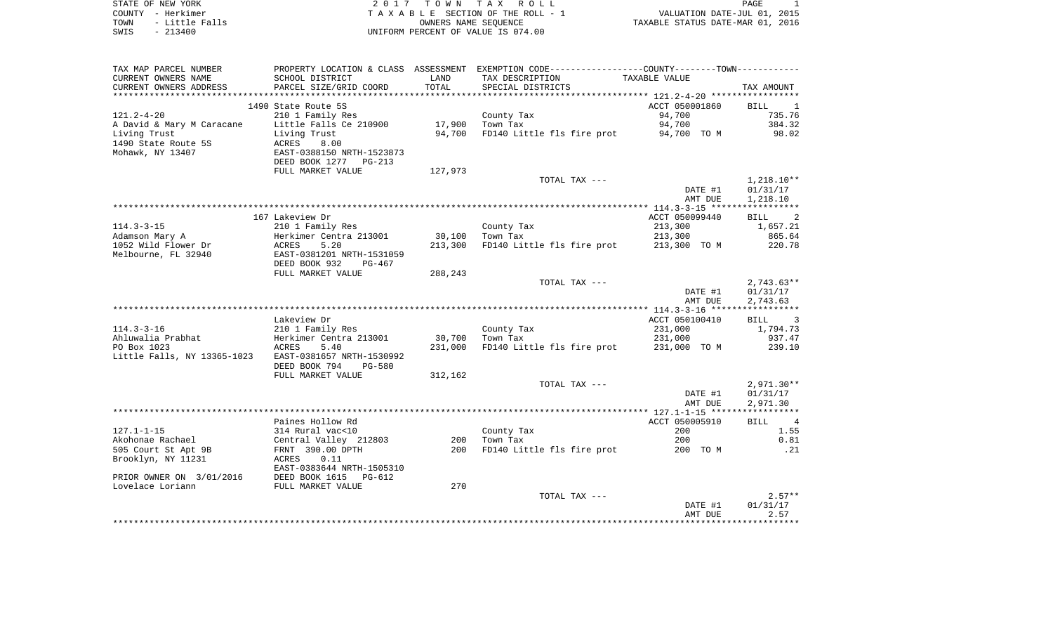| STATE OF NEW YORK      | 2017 TOWN TAX ROLL                 | PAGE                             |
|------------------------|------------------------------------|----------------------------------|
| COUNTY - Herkimer      | TAXABLE SECTION OF THE ROLL - 1    | VALUATION DATE-JUL 01, 2015      |
| - Little Falls<br>TOWN | OWNERS NAME SEOUENCE               | TAXABLE STATUS DATE-MAR 01, 2016 |
| SWIS<br>$-213400$      | UNIFORM PERCENT OF VALUE IS 074.00 |                                  |
|                        |                                    |                                  |
|                        |                                    |                                  |
|                        |                                    |                                  |

TAX MAP PARCEL NUMBER PROPERTY LOCATION & CLASS ASSESSMENT EXEMPTION CODE------------------COUNTY--------TOWN------------

| CURRENT OWNERS NAME         | SCHOOL DISTRICT                | LAND    | TAX DESCRIPTION                       | TAXABLE VALUE                             |                               |
|-----------------------------|--------------------------------|---------|---------------------------------------|-------------------------------------------|-------------------------------|
| CURRENT OWNERS ADDRESS      | PARCEL SIZE/GRID COORD         | TOTAL   | SPECIAL DISTRICTS                     |                                           | TAX AMOUNT                    |
| *******************         |                                |         | ************************************* | ***************** 121.2-4-20 ************ |                               |
|                             | 1490 State Route 5S            |         |                                       | ACCT 050001860                            | <b>BILL</b><br>1              |
| $121.2 - 4 - 20$            | 210 1 Family Res               |         | County Tax                            | 94,700                                    | 735.76                        |
| A David & Mary M Caracane   | Little Falls Ce 210900         | 17,900  | Town Tax                              | 94,700                                    | 384.32                        |
| Living Trust                | Living Trust                   | 94,700  | FD140 Little fls fire prot            | 94,700 TO M                               | 98.02                         |
| 1490 State Route 5S         | ACRES<br>8.00                  |         |                                       |                                           |                               |
| Mohawk, NY 13407            | EAST-0388150 NRTH-1523873      |         |                                       |                                           |                               |
|                             | DEED BOOK 1277<br>$PG-213$     |         |                                       |                                           |                               |
|                             | FULL MARKET VALUE              | 127,973 |                                       |                                           |                               |
|                             |                                |         | TOTAL TAX ---                         |                                           | $1,218.10**$                  |
|                             |                                |         |                                       | DATE #1                                   | 01/31/17                      |
|                             |                                |         |                                       | AMT DUE                                   | 1,218.10                      |
|                             |                                |         |                                       |                                           | ************                  |
|                             | 167 Lakeview Dr                |         |                                       | ACCT 050099440                            | 2<br><b>BILL</b>              |
| $114.3 - 3 - 15$            | 210 1 Family Res               |         | County Tax                            | 213,300                                   | 1,657.21                      |
| Adamson Mary A              | Herkimer Centra 213001         | 30,100  | Town Tax                              | 213,300                                   | 865.64                        |
| 1052 Wild Flower Dr         | <b>ACRES</b><br>5.20           | 213,300 | FD140 Little fls fire prot            | 213,300 TO M                              | 220.78                        |
| Melbourne, FL 32940         | EAST-0381201 NRTH-1531059      |         |                                       |                                           |                               |
|                             | DEED BOOK 932<br>PG-467        |         |                                       |                                           |                               |
|                             | FULL MARKET VALUE              | 288,243 |                                       |                                           |                               |
|                             |                                |         | TOTAL TAX ---                         |                                           | $2,743.63**$                  |
|                             |                                |         |                                       | DATE #1                                   | 01/31/17                      |
|                             |                                |         |                                       | AMT DUE                                   | 2,743.63                      |
|                             |                                |         |                                       |                                           |                               |
|                             | Lakeview Dr                    |         |                                       | ACCT 050100410                            | <b>BILL</b><br>3              |
| $114.3 - 3 - 16$            | 210 1 Family Res               |         | County Tax                            | 231,000                                   | 1,794.73                      |
| Ahluwalia Prabhat           | Herkimer Centra 213001         | 30,700  | Town Tax                              | 231,000                                   | 937.47                        |
| PO Box 1023                 | <b>ACRES</b><br>5.40           | 231,000 | FD140 Little fls fire prot            | 231,000 TO M                              | 239.10                        |
| Little Falls, NY 13365-1023 | EAST-0381657 NRTH-1530992      |         |                                       |                                           |                               |
|                             | DEED BOOK 794<br><b>PG-580</b> |         |                                       |                                           |                               |
|                             | FULL MARKET VALUE              | 312,162 |                                       |                                           |                               |
|                             |                                |         | TOTAL TAX ---                         |                                           | $2,971.30**$                  |
|                             |                                |         |                                       | DATE #1                                   | 01/31/17                      |
|                             |                                |         |                                       | AMT DUE                                   | 2,971.30                      |
|                             |                                |         |                                       |                                           |                               |
|                             | Paines Hollow Rd               |         |                                       | ACCT 050005910                            | <b>BILL</b><br>$\overline{4}$ |
| $127.1 - 1 - 15$            | 314 Rural vac<10               |         | County Tax                            | 200                                       | 1.55                          |
| Akohonae Rachael            | Central Valley 212803          | 200     | Town Tax                              | 200                                       | 0.81                          |
| 505 Court St Apt 9B         | FRNT 390.00 DPTH               | 200     | FD140 Little fls fire prot            | 200 TO M                                  | .21                           |
| Brooklyn, NY 11231          | ACRES<br>0.11                  |         |                                       |                                           |                               |
|                             | EAST-0383644 NRTH-1505310      |         |                                       |                                           |                               |
| PRIOR OWNER ON 3/01/2016    | DEED BOOK 1615<br>PG-612       |         |                                       |                                           |                               |
| Lovelace Loriann            | FULL MARKET VALUE              | 270     |                                       |                                           |                               |
|                             |                                |         | TOTAL TAX ---                         |                                           | $2.57**$                      |
|                             |                                |         |                                       | DATE #1                                   | 01/31/17                      |
|                             |                                |         |                                       | AMT DUE                                   | 2.57                          |
|                             |                                |         |                                       |                                           |                               |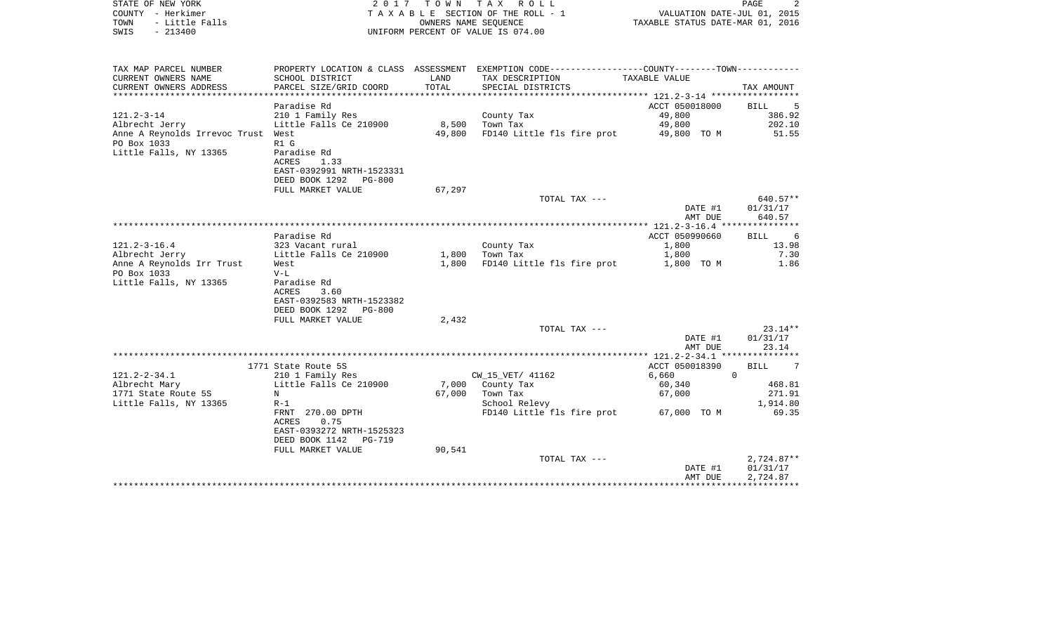| STATE OF NEW YORK<br>COUNTY - Herkimer<br>TOWN<br>- Little Falls<br>SWIS<br>$-213400$ | 2017                                       |                  | TOWN TAX ROLL<br>TAXABLE SECTION OF THE ROLL - 1<br>OWNERS NAME SEQUENCE<br>UNIFORM PERCENT OF VALUE IS 074.00 | TAXABLE STATUS DATE-MAR 01, 2016           | PAGE<br>2<br>VALUATION DATE-JUL 01, 2015 |
|---------------------------------------------------------------------------------------|--------------------------------------------|------------------|----------------------------------------------------------------------------------------------------------------|--------------------------------------------|------------------------------------------|
|                                                                                       |                                            |                  |                                                                                                                |                                            |                                          |
| TAX MAP PARCEL NUMBER                                                                 |                                            |                  | PROPERTY LOCATION & CLASS ASSESSMENT EXEMPTION CODE----------------COUNTY-------TOWN----------                 |                                            |                                          |
| CURRENT OWNERS NAME                                                                   | SCHOOL DISTRICT                            | LAND             | TAX DESCRIPTION                                                                                                | TAXABLE VALUE                              |                                          |
| CURRENT OWNERS ADDRESS                                                                | PARCEL SIZE/GRID COORD                     | TOTAL            | SPECIAL DISTRICTS                                                                                              |                                            | TAX AMOUNT                               |
|                                                                                       |                                            | **************** |                                                                                                                | ****************** 121.2-3-14 ************ |                                          |
| $121.2 - 3 - 14$                                                                      | Paradise Rd<br>210 1 Family Res            |                  |                                                                                                                | ACCT 050018000<br>49,800                   | <b>BILL</b><br>5<br>386.92               |
| Albrecht Jerry                                                                        | Little Falls Ce 210900                     | 8,500            | County Tax<br>Town Tax                                                                                         | 49,800                                     | 202.10                                   |
| Anne A Reynolds Irrevoc Trust West                                                    |                                            | 49,800           | FD140 Little fls fire prot                                                                                     | 49,800 TO M                                | 51.55                                    |
| PO Box 1033                                                                           | R1 G                                       |                  |                                                                                                                |                                            |                                          |
| Little Falls, NY 13365                                                                | Paradise Rd                                |                  |                                                                                                                |                                            |                                          |
|                                                                                       | ACRES<br>1.33                              |                  |                                                                                                                |                                            |                                          |
|                                                                                       | EAST-0392991 NRTH-1523331                  |                  |                                                                                                                |                                            |                                          |
|                                                                                       | DEED BOOK 1292<br><b>PG-800</b>            |                  |                                                                                                                |                                            |                                          |
|                                                                                       | FULL MARKET VALUE                          | 67,297           | TOTAL TAX ---                                                                                                  |                                            | 640.57**                                 |
|                                                                                       |                                            |                  |                                                                                                                | DATE #1                                    | 01/31/17                                 |
|                                                                                       |                                            |                  |                                                                                                                | AMT DUE                                    | 640.57                                   |
|                                                                                       | ********************                       |                  | *******************************                                                                                | ************ 121.2-3-16.4 **************** |                                          |
|                                                                                       | Paradise Rd                                |                  |                                                                                                                | ACCT 050990660                             | -6<br>BILL                               |
| $121.2 - 3 - 16.4$                                                                    | 323 Vacant rural                           |                  | County Tax                                                                                                     | 1,800                                      | 13.98                                    |
| Albrecht Jerry                                                                        | Little Falls Ce 210900                     | 1,800            | Town Tax                                                                                                       | 1,800                                      | 7.30                                     |
| Anne A Reynolds Irr Trust<br>PO Box 1033                                              | West<br>$V-L$                              | 1,800            | FD140 Little fls fire prot                                                                                     | 1,800 TO M                                 | 1.86                                     |
| Little Falls, NY 13365                                                                | Paradise Rd                                |                  |                                                                                                                |                                            |                                          |
|                                                                                       | ACRES<br>3.60                              |                  |                                                                                                                |                                            |                                          |
|                                                                                       | EAST-0392583 NRTH-1523382                  |                  |                                                                                                                |                                            |                                          |
|                                                                                       | DEED BOOK 1292<br><b>PG-800</b>            |                  |                                                                                                                |                                            |                                          |
|                                                                                       | FULL MARKET VALUE                          | 2,432            |                                                                                                                |                                            |                                          |
|                                                                                       |                                            |                  | TOTAL TAX ---                                                                                                  |                                            | $23.14**$                                |
|                                                                                       |                                            |                  |                                                                                                                | DATE #1                                    | 01/31/17                                 |
|                                                                                       |                                            |                  |                                                                                                                | AMT DUE                                    | 23.14                                    |
|                                                                                       | 1771 State Route 5S                        |                  |                                                                                                                | ACCT 050018390                             | 7<br>BILL                                |
| $121.2 - 2 - 34.1$                                                                    | 210 1 Family Res                           |                  | CW_15_VET/ 41162                                                                                               | 6,660                                      | $\Omega$                                 |
| Albrecht Mary                                                                         | Little Falls Ce 210900                     | 7,000            | County Tax                                                                                                     | 60,340                                     | 468.81                                   |
| 1771 State Route 5S                                                                   | N                                          | 67,000           | Town Tax                                                                                                       | 67,000                                     | 271.91                                   |
| Little Falls, NY 13365                                                                | $R-1$                                      |                  | School Relevy                                                                                                  |                                            | 1,914.80                                 |
|                                                                                       | FRNT 270.00 DPTH                           |                  | FD140 Little fls fire prot                                                                                     | 67,000 TO M                                | 69.35                                    |
|                                                                                       | 0.75<br>ACRES<br>EAST-0393272 NRTH-1525323 |                  |                                                                                                                |                                            |                                          |
|                                                                                       | DEED BOOK 1142<br>PG-719                   |                  |                                                                                                                |                                            |                                          |
|                                                                                       | FULL MARKET VALUE                          | 90,541           |                                                                                                                |                                            |                                          |
|                                                                                       |                                            |                  | TOTAL TAX ---                                                                                                  |                                            | $2,724.87**$                             |
|                                                                                       |                                            |                  |                                                                                                                | DATE #1                                    | 01/31/17                                 |
|                                                                                       |                                            |                  |                                                                                                                | AMT DUE                                    | 2,724.87                                 |
|                                                                                       |                                            |                  |                                                                                                                |                                            |                                          |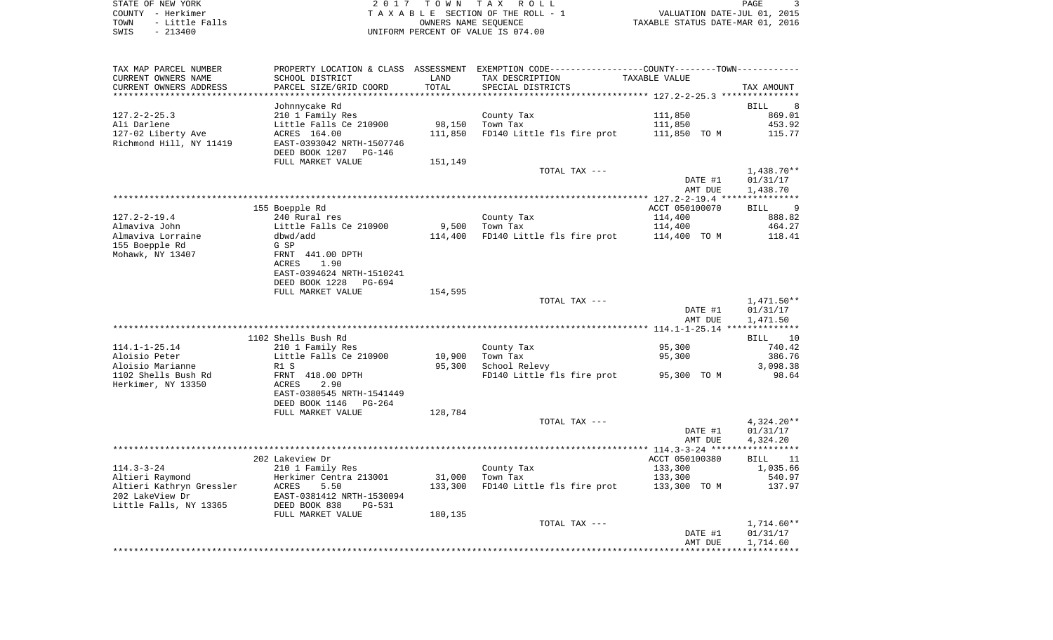| STATE OF NEW YORK |  |           |                |  |
|-------------------|--|-----------|----------------|--|
| COUNTY - Herkimer |  |           |                |  |
| TOWN              |  |           | - Little Falls |  |
| SWIS              |  | $-213400$ |                |  |

STATE OF NEW YORK 2 0 1 7 T O W N T A X R O L L PAGE 3TA X A B L E SECTION OF THE ROLL - 1 TOWN - LITTLE TO BE CONSUMER SECTION OF THE ROLL - 1<br>
TAXABLE STATUS DATE-MAR 01, 2016 SWIS - 213400 UNIFORM PERCENT OF VALUE IS 074.00

| TAX MAP PARCEL NUMBER    | PROPERTY LOCATION & CLASS ASSESSMENT |         | EXEMPTION CODE-----------------COUNTY-------TOWN-------- |                |                  |
|--------------------------|--------------------------------------|---------|----------------------------------------------------------|----------------|------------------|
| CURRENT OWNERS NAME      | SCHOOL DISTRICT                      | LAND    | TAX DESCRIPTION                                          | TAXABLE VALUE  |                  |
| CURRENT OWNERS ADDRESS   | PARCEL SIZE/GRID COORD               | TOTAL   | SPECIAL DISTRICTS                                        |                | TAX AMOUNT       |
|                          |                                      |         |                                                          |                |                  |
|                          | Johnnycake Rd                        |         |                                                          |                | <b>BILL</b><br>8 |
| $127.2 - 2 - 25.3$       | 210 1 Family Res                     |         | County Tax                                               | 111,850        | 869.01           |
| Ali Darlene              | Little Falls Ce 210900               | 98,150  | Town Tax                                                 | 111,850        | 453.92           |
| 127-02 Liberty Ave       | ACRES 164.00                         | 111,850 | FD140 Little fls fire prot                               | 111,850 TO M   | 115.77           |
| Richmond Hill, NY 11419  | EAST-0393042 NRTH-1507746            |         |                                                          |                |                  |
|                          | DEED BOOK 1207<br><b>PG-146</b>      |         |                                                          |                |                  |
|                          | FULL MARKET VALUE                    | 151,149 |                                                          |                |                  |
|                          |                                      |         | TOTAL TAX ---                                            |                | $1,438.70**$     |
|                          |                                      |         |                                                          | DATE #1        | 01/31/17         |
|                          |                                      |         |                                                          | AMT DUE        | 1,438.70         |
|                          |                                      |         |                                                          |                |                  |
|                          | 155 Boepple Rd                       |         |                                                          | ACCT 050100070 | 9<br>BILL        |
| $127.2 - 2 - 19.4$       | 240 Rural res                        |         | County Tax                                               | 114,400        | 888.82           |
| Almaviva John            | Little Falls Ce 210900               | 9,500   | Town Tax                                                 | 114,400        | 464.27           |
| Almaviva Lorraine        | dbwd/add                             | 114,400 | FD140 Little fls fire prot                               | 114,400 TO M   | 118.41           |
| 155 Boepple Rd           | G SP                                 |         |                                                          |                |                  |
|                          |                                      |         |                                                          |                |                  |
| Mohawk, NY 13407         | FRNT 441.00 DPTH                     |         |                                                          |                |                  |
|                          | 1.90<br>ACRES                        |         |                                                          |                |                  |
|                          | EAST-0394624 NRTH-1510241            |         |                                                          |                |                  |
|                          | DEED BOOK 1228<br>PG-694             |         |                                                          |                |                  |
|                          | FULL MARKET VALUE                    | 154,595 |                                                          |                |                  |
|                          |                                      |         | TOTAL TAX ---                                            |                | 1,471.50**       |
|                          |                                      |         |                                                          | DATE #1        | 01/31/17         |
|                          |                                      |         |                                                          | AMT DUE        | 1,471.50         |
|                          |                                      |         |                                                          |                |                  |
|                          | 1102 Shells Bush Rd                  |         |                                                          |                | 10<br>BILL       |
| $114.1 - 1 - 25.14$      | 210 1 Family Res                     |         | County Tax                                               | 95,300         | 740.42           |
| Aloisio Peter            | Little Falls Ce 210900               | 10,900  | Town Tax                                                 | 95,300         | 386.76           |
| Aloisio Marianne         | R1 S                                 | 95,300  | School Relevy                                            |                | 3,098.38         |
| 1102 Shells Bush Rd      | FRNT 418.00 DPTH                     |         | FD140 Little fls fire prot                               | 95,300 TO M    | 98.64            |
| Herkimer, NY 13350       | 2.90<br>ACRES                        |         |                                                          |                |                  |
|                          | EAST-0380545 NRTH-1541449            |         |                                                          |                |                  |
|                          | DEED BOOK 1146<br>$PG-264$           |         |                                                          |                |                  |
|                          | FULL MARKET VALUE                    | 128,784 |                                                          |                |                  |
|                          |                                      |         | TOTAL TAX ---                                            |                | $4,324.20**$     |
|                          |                                      |         |                                                          | DATE #1        | 01/31/17         |
|                          |                                      |         |                                                          | AMT DUE        | 4,324.20         |
|                          |                                      |         |                                                          |                |                  |
|                          | 202 Lakeview Dr                      |         |                                                          | ACCT 050100380 | 11<br>BILL       |
| $114.3 - 3 - 24$         | 210 1 Family Res                     |         | County Tax                                               | 133,300        | 1,035.66         |
| Altieri Raymond          | Herkimer Centra 213001               | 31,000  | Town Tax                                                 | 133,300        | 540.97           |
| Altieri Kathryn Gressler | ACRES<br>5.50                        | 133,300 | FD140 Little fls fire prot                               | 133,300 TO M   | 137.97           |
| 202 LakeView Dr          | EAST-0381412 NRTH-1530094            |         |                                                          |                |                  |
| Little Falls, NY 13365   | DEED BOOK 838<br><b>PG-531</b>       |         |                                                          |                |                  |
|                          | FULL MARKET VALUE                    | 180,135 |                                                          |                |                  |
|                          |                                      |         | TOTAL TAX ---                                            |                | $1,714.60**$     |
|                          |                                      |         |                                                          | DATE #1        | 01/31/17         |
|                          |                                      |         |                                                          | AMT DUE        | 1,714.60         |
|                          |                                      |         |                                                          |                |                  |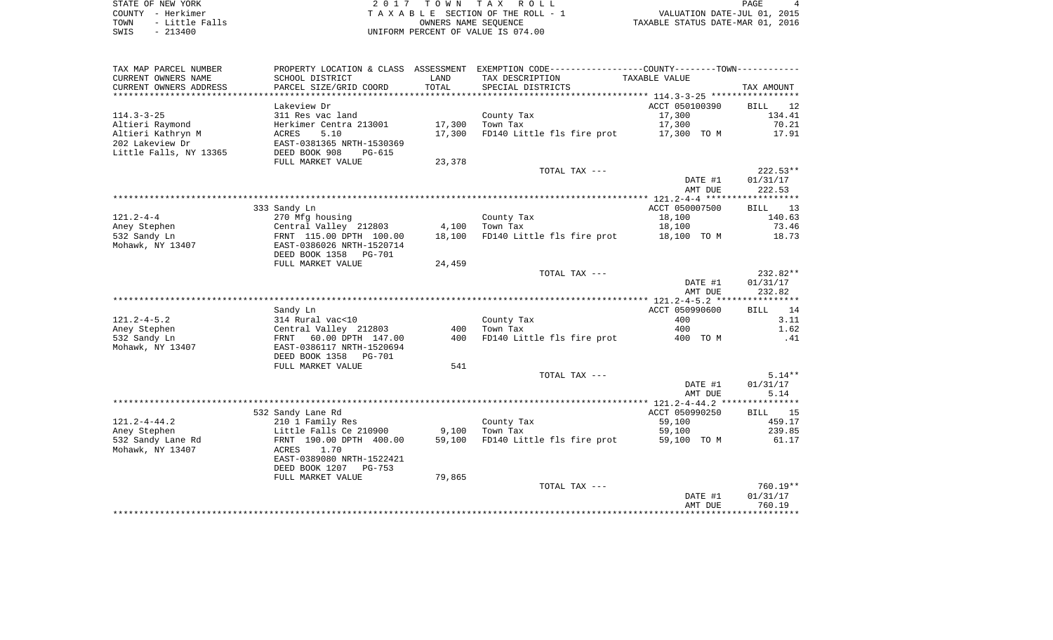STATE OF NEW YORK GOOD CONSULTED A SAME OF A LOCAL CONSULTED A LOCAL CONSULTED A LOCAL CONSULTED AND RELATED A LOCAL CONSULTED A LOCAL CONSULTED A LOCAL CONSULTED A LOCAL CONSULTED A LOCAL CONSULTED A LOCAL CONSULTED A LOC COUNTY - Herkimer<br>
T A X A B L E SECTION OF THE ROLL - 1<br>
TOWN - Little Falls<br>
SWIS - 213400 - 2013400 - UNIFORM PERCENT OF VALUE IS 074.00 TOWN - Little Falls OWNERS NAME SEQUENCE TAXABLE STATUS DATE-MAR 01, 2016 SWIS - 213400 UNIFORM PERCENT OF VALUE IS 074.00

| TAX MAP PARCEL NUMBER  | PROPERTY LOCATION & CLASS ASSESSMENT |        |                            |                |                   |
|------------------------|--------------------------------------|--------|----------------------------|----------------|-------------------|
| CURRENT OWNERS NAME    | SCHOOL DISTRICT                      | LAND   | TAX DESCRIPTION            | TAXABLE VALUE  |                   |
| CURRENT OWNERS ADDRESS | PARCEL SIZE/GRID COORD               | TOTAL  | SPECIAL DISTRICTS          |                | TAX AMOUNT        |
|                        |                                      |        |                            |                |                   |
|                        | Lakeview Dr                          |        |                            | ACCT 050100390 | 12<br><b>BILL</b> |
| $114.3 - 3 - 25$       |                                      |        |                            |                | 134.41            |
|                        | 311 Res vac land                     |        | County Tax                 | 17,300         |                   |
| Altieri Raymond        | Herkimer Centra 213001               | 17,300 | Town Tax                   | 17,300         | 70.21             |
| Altieri Kathryn M      | ACRES<br>5.10                        | 17,300 | FD140 Little fls fire prot | 17,300 TO M    | 17.91             |
| 202 Lakeview Dr        | EAST-0381365 NRTH-1530369            |        |                            |                |                   |
| Little Falls, NY 13365 | DEED BOOK 908<br><b>PG-615</b>       |        |                            |                |                   |
|                        | FULL MARKET VALUE                    | 23,378 |                            |                |                   |
|                        |                                      |        | TOTAL TAX ---              |                | 222.53**          |
|                        |                                      |        |                            | DATE #1        | 01/31/17          |
|                        |                                      |        |                            |                |                   |
|                        |                                      |        |                            | AMT DUE        | 222.53            |
|                        |                                      |        |                            |                |                   |
|                        | 333 Sandy Ln                         |        |                            | ACCT 050007500 | 13<br><b>BILL</b> |
| $121.2 - 4 - 4$        | 270 Mfg housing                      |        | County Tax                 | 18,100         | 140.63            |
| Aney Stephen           | Central Valley 212803                | 4,100  | Town Tax                   | 18,100         | 73.46             |
| 532 Sandy Ln           | FRNT 115.00 DPTH 100.00              | 18,100 | FD140 Little fls fire prot | 18,100 TO M    | 18.73             |
| Mohawk, NY 13407       | EAST-0386026 NRTH-1520714            |        |                            |                |                   |
|                        | DEED BOOK 1358<br>PG-701             |        |                            |                |                   |
|                        |                                      |        |                            |                |                   |
|                        | FULL MARKET VALUE                    | 24,459 |                            |                |                   |
|                        |                                      |        | TOTAL TAX ---              |                | 232.82**          |
|                        |                                      |        |                            | DATE #1        | 01/31/17          |
|                        |                                      |        |                            | AMT DUE        | 232.82            |
|                        |                                      |        |                            |                |                   |
|                        | Sandy Ln                             |        |                            | ACCT 050990600 | 14<br><b>BILL</b> |
| $121.2 - 4 - 5.2$      | 314 Rural vac<10                     |        | County Tax                 | 400            | 3.11              |
| Aney Stephen           | Central Valley 212803                | 400    | Town Tax                   | 400            | 1.62              |
| 532 Sandy Ln           | 60.00 DPTH 147.00<br>FRNT            | 400    | FD140 Little fls fire prot | 400 TO M       | .41               |
|                        |                                      |        |                            |                |                   |
| Mohawk, NY 13407       | EAST-0386117 NRTH-1520694            |        |                            |                |                   |
|                        | DEED BOOK 1358 PG-701                |        |                            |                |                   |
|                        | FULL MARKET VALUE                    | 541    |                            |                |                   |
|                        |                                      |        | TOTAL TAX ---              |                | $5.14**$          |
|                        |                                      |        |                            | DATE #1        | 01/31/17          |
|                        |                                      |        |                            | AMT DUE        | 5.14              |
|                        |                                      |        |                            |                |                   |
|                        | 532 Sandy Lane Rd                    |        |                            | ACCT 050990250 | 15<br>BILL        |
| $121.2 - 4 - 44.2$     |                                      |        |                            |                | 459.17            |
|                        | 210 1 Family Res                     |        | County Tax                 | 59,100         |                   |
| Aney Stephen           | Little Falls Ce 210900               | 9,100  | Town Tax                   | 59,100         | 239.85            |
| 532 Sandy Lane Rd      | FRNT 190.00 DPTH 400.00              | 59,100 | FD140 Little fls fire prot | 59,100 TO M    | 61.17             |
| Mohawk, NY 13407       | 1.70<br>ACRES                        |        |                            |                |                   |
|                        | EAST-0389080 NRTH-1522421            |        |                            |                |                   |
|                        | DEED BOOK 1207<br>PG-753             |        |                            |                |                   |
|                        | FULL MARKET VALUE                    | 79,865 |                            |                |                   |
|                        |                                      |        | TOTAL TAX ---              |                | 760.19**          |
|                        |                                      |        |                            |                | 01/31/17          |
|                        |                                      |        |                            | DATE #1        |                   |
|                        |                                      |        |                            | AMT DUE        | 760.19            |
|                        |                                      |        |                            |                |                   |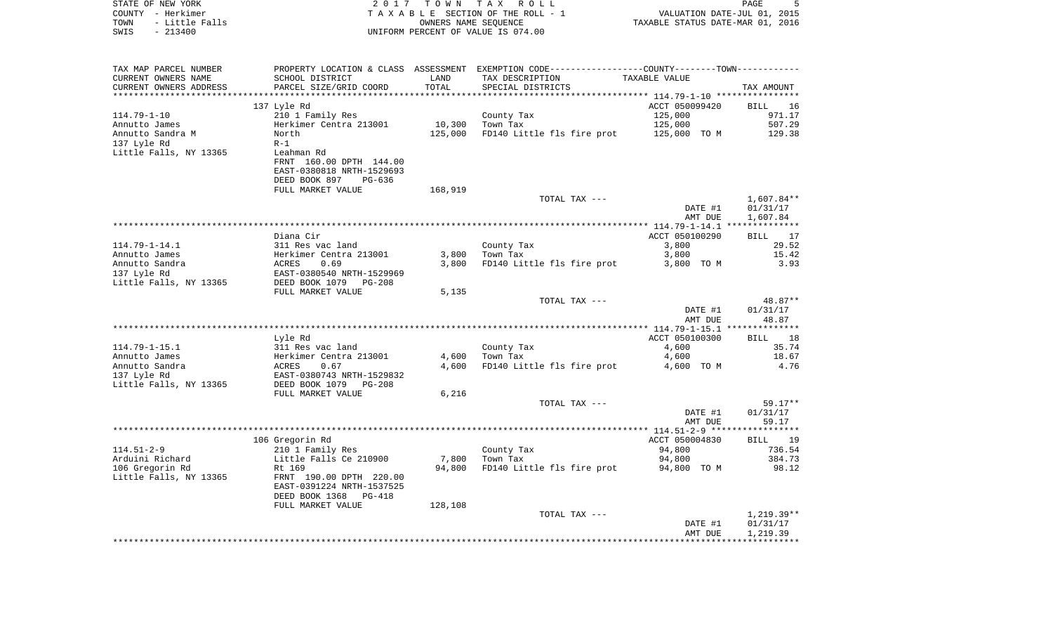| STATE OF NEW YORK<br>COUNTY - Herkimer<br>- Little Falls<br>TOWN<br>SWIS<br>$-213400$ | 2017                                                 | TOWN       | TAX ROLL<br>TAXABLE SECTION OF THE ROLL - 1<br>OWNERS NAME SEQUENCE<br>UNIFORM PERCENT OF VALUE IS 074.00 | TAXABLE STATUS DATE-MAR 01, 2016     | PAGE<br>5<br>VALUATION DATE-JUL 01, 2015 |
|---------------------------------------------------------------------------------------|------------------------------------------------------|------------|-----------------------------------------------------------------------------------------------------------|--------------------------------------|------------------------------------------|
| TAX MAP PARCEL NUMBER                                                                 |                                                      |            | PROPERTY LOCATION & CLASS ASSESSMENT EXEMPTION CODE----------------COUNTY-------TOWN----------            |                                      |                                          |
| CURRENT OWNERS NAME                                                                   | SCHOOL DISTRICT                                      | LAND       | TAX DESCRIPTION                                                                                           | TAXABLE VALUE                        |                                          |
| CURRENT OWNERS ADDRESS                                                                | PARCEL SIZE/GRID COORD                               | TOTAL      | SPECIAL DISTRICTS                                                                                         |                                      | TAX AMOUNT                               |
| ********************                                                                  |                                                      | ********** |                                                                                                           | ************ 114.79-1-10 *********** |                                          |
| $114.79 - 1 - 10$                                                                     | 137 Lyle Rd<br>210 1 Family Res                      |            | County Tax                                                                                                | ACCT 050099420<br>125,000            | <b>BILL</b><br>16<br>971.17              |
| Annutto James                                                                         | Herkimer Centra 213001                               | 10,300     | Town Tax                                                                                                  | 125,000                              | 507.29                                   |
| Annutto Sandra M                                                                      | North                                                | 125,000    | FD140 Little fls fire prot                                                                                | 125,000 TO M                         | 129.38                                   |
| 137 Lyle Rd                                                                           | $R-1$                                                |            |                                                                                                           |                                      |                                          |
| Little Falls, NY 13365                                                                | Leahman Rd                                           |            |                                                                                                           |                                      |                                          |
|                                                                                       | FRNT 160.00 DPTH 144.00                              |            |                                                                                                           |                                      |                                          |
|                                                                                       | EAST-0380818 NRTH-1529693<br>DEED BOOK 897<br>PG-636 |            |                                                                                                           |                                      |                                          |
|                                                                                       | FULL MARKET VALUE                                    | 168,919    |                                                                                                           |                                      |                                          |
|                                                                                       |                                                      |            | TOTAL TAX ---                                                                                             |                                      | 1,607.84**                               |
|                                                                                       |                                                      |            |                                                                                                           | DATE #1                              | 01/31/17                                 |
|                                                                                       |                                                      |            |                                                                                                           | AMT DUE                              | 1,607.84                                 |
|                                                                                       | Diana Cir                                            |            |                                                                                                           | ACCT 050100290                       | 17<br><b>BILL</b>                        |
| $114.79 - 1 - 14.1$                                                                   | 311 Res vac land                                     |            | County Tax                                                                                                | 3,800                                | 29.52                                    |
| Annutto James                                                                         | Herkimer Centra 213001                               | 3,800      | Town Tax                                                                                                  | 3,800                                | 15.42                                    |
| Annutto Sandra                                                                        | ACRES<br>0.69                                        | 3,800      | FD140 Little fls fire prot                                                                                | 3,800 TO M                           | 3.93                                     |
| 137 Lyle Rd                                                                           | EAST-0380540 NRTH-1529969                            |            |                                                                                                           |                                      |                                          |
| Little Falls, NY 13365                                                                | DEED BOOK 1079 PG-208                                |            |                                                                                                           |                                      |                                          |
|                                                                                       | FULL MARKET VALUE                                    | 5,135      | TOTAL TAX ---                                                                                             |                                      | 48.87**                                  |
|                                                                                       |                                                      |            |                                                                                                           | DATE #1                              | 01/31/17                                 |
|                                                                                       |                                                      |            |                                                                                                           | AMT DUE                              | 48.87                                    |
|                                                                                       |                                                      |            |                                                                                                           |                                      |                                          |
|                                                                                       | Lyle Rd                                              |            |                                                                                                           | ACCT 050100300                       | 18<br><b>BILL</b>                        |
| $114.79 - 1 - 15.1$<br>Annutto James                                                  | 311 Res vac land<br>Herkimer Centra 213001           | 4,600      | County Tax                                                                                                | 4,600                                | 35.74<br>18.67                           |
| Annutto Sandra                                                                        | ACRES<br>0.67                                        | 4,600      | Town Tax<br>FD140 Little fls fire prot                                                                    | 4,600<br>4,600 TO M                  | 4.76                                     |
| 137 Lyle Rd                                                                           | EAST-0380743 NRTH-1529832                            |            |                                                                                                           |                                      |                                          |
| Little Falls, NY 13365                                                                | DEED BOOK 1079 PG-208                                |            |                                                                                                           |                                      |                                          |
|                                                                                       | FULL MARKET VALUE                                    | 6,216      |                                                                                                           |                                      |                                          |
|                                                                                       |                                                      |            | TOTAL TAX ---                                                                                             |                                      | $59.17**$                                |
|                                                                                       |                                                      |            |                                                                                                           | DATE #1<br>AMT DUE                   | 01/31/17<br>59.17                        |
|                                                                                       |                                                      |            |                                                                                                           |                                      |                                          |
|                                                                                       | 106 Gregorin Rd                                      |            |                                                                                                           | ACCT 050004830                       | <b>BILL</b><br>19                        |
| $114.51 - 2 - 9$                                                                      | 210 1 Family Res                                     |            | County Tax                                                                                                | 94,800                               | 736.54                                   |
| Arduini Richard                                                                       | Little Falls Ce 210900                               | 7,800      | Town Tax                                                                                                  | 94,800                               | 384.73                                   |
| 106 Gregorin Rd<br>Little Falls, NY 13365                                             | Rt 169<br>FRNT 190.00 DPTH 220.00                    | 94,800     | FD140 Little fls fire prot                                                                                | 94,800 TO M                          | 98.12                                    |
|                                                                                       | EAST-0391224 NRTH-1537525                            |            |                                                                                                           |                                      |                                          |
|                                                                                       | DEED BOOK 1368<br>$PG-418$                           |            |                                                                                                           |                                      |                                          |
|                                                                                       | FULL MARKET VALUE                                    | 128,108    |                                                                                                           |                                      |                                          |
|                                                                                       |                                                      |            | TOTAL TAX ---                                                                                             |                                      | $1,219.39**$                             |
|                                                                                       |                                                      |            |                                                                                                           | DATE #1                              | 01/31/17                                 |
|                                                                                       |                                                      |            |                                                                                                           | AMT DUE                              | 1,219.39                                 |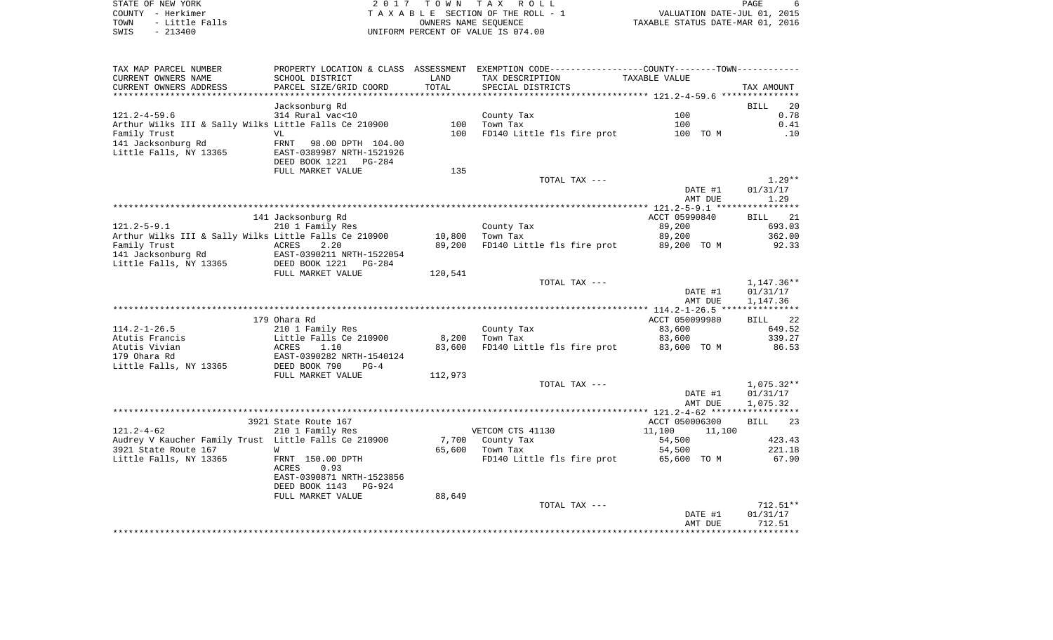| STATE OF NEW YORK      | 2017 TOWN TAX ROLL                 | PAGE                             |
|------------------------|------------------------------------|----------------------------------|
| COUNTY - Herkimer      | TAXABLE SECTION OF THE ROLL - 1    | VALUATION DATE-JUL 01, 2015      |
| - Little Falls<br>TOWN | OWNERS NAME SEOUENCE               | TAXABLE STATUS DATE-MAR 01, 2016 |
| $-213400$<br>SWIS      | UNIFORM PERCENT OF VALUE IS 074.00 |                                  |

| TAX MAP PARCEL NUMBER<br>CURRENT OWNERS NAME<br>CURRENT OWNERS ADDRESS      | PROPERTY LOCATION & CLASS ASSESSMENT EXEMPTION CODE----------------COUNTY-------TOWN----------<br>SCHOOL DISTRICT<br>PARCEL SIZE/GRID COORD | LAND<br>TOTAL | TAX DESCRIPTION<br>SPECIAL DISTRICTS | <b>TAXABLE VALUE</b> | TAX AMOUNT                        |
|-----------------------------------------------------------------------------|---------------------------------------------------------------------------------------------------------------------------------------------|---------------|--------------------------------------|----------------------|-----------------------------------|
| *********************                                                       |                                                                                                                                             |               |                                      |                      |                                   |
| $121.2 - 4 - 59.6$<br>Arthur Wilks III & Sally Wilks Little Falls Ce 210900 | Jacksonburg Rd<br>314 Rural vac<10                                                                                                          | 100           | County Tax<br>Town Tax               | 100<br>100           | 20<br><b>BILL</b><br>0.78<br>0.41 |
| Family Trust<br>141 Jacksonburg Rd<br>Little Falls, NY 13365                | VL<br>98.00 DPTH 104.00<br>FRNT<br>EAST-0389987 NRTH-1521926<br>DEED BOOK 1221<br>$PG-284$<br>FULL MARKET VALUE                             | 100<br>135    | FD140 Little fls fire prot           | 100 TO M             | .10                               |
|                                                                             |                                                                                                                                             |               | TOTAL TAX ---                        | DATE #1<br>AMT DUE   | $1.29**$<br>01/31/17<br>1.29      |
|                                                                             |                                                                                                                                             |               |                                      |                      |                                   |
|                                                                             | 141 Jacksonburg Rd                                                                                                                          |               |                                      | ACCT 05990840        | <b>BILL</b><br>21                 |
| $121.2 - 5 - 9.1$<br>Arthur Wilks III & Sally Wilks Little Falls Ce 210900  | 210 1 Family Res                                                                                                                            | 10,800        | County Tax<br>Town Tax               | 89,200<br>89,200     | 693.03<br>362.00                  |
| Family Trust                                                                | ACRES<br>2.20                                                                                                                               | 89,200        | FD140 Little fls fire prot           | 89,200 TO M          | 92.33                             |
| 141 Jacksonburg Rd                                                          | EAST-0390211 NRTH-1522054                                                                                                                   |               |                                      |                      |                                   |
| Little Falls, NY 13365                                                      | DEED BOOK 1221<br>$PG-284$                                                                                                                  |               |                                      |                      |                                   |
|                                                                             | FULL MARKET VALUE                                                                                                                           | 120,541       |                                      |                      |                                   |
|                                                                             |                                                                                                                                             |               | TOTAL TAX ---                        |                      | 1,147.36**                        |
|                                                                             |                                                                                                                                             |               |                                      | DATE #1              | 01/31/17                          |
|                                                                             |                                                                                                                                             |               |                                      | AMT DUE              | 1,147.36                          |
|                                                                             |                                                                                                                                             |               |                                      |                      |                                   |
|                                                                             | 179 Ohara Rd                                                                                                                                |               |                                      | ACCT 050099980       | 22<br><b>BILL</b>                 |
| $114.2 - 1 - 26.5$                                                          | 210 1 Family Res                                                                                                                            |               | County Tax                           | 83,600               | 649.52                            |
| Atutis Francis                                                              | Little Falls Ce 210900                                                                                                                      | 8,200         | Town Tax                             | 83,600               | 339.27                            |
| Atutis Vivian                                                               | ACRES<br>1.10                                                                                                                               | 83,600        | FD140 Little fls fire prot           | 83,600 TO M          | 86.53                             |
| 179 Ohara Rd                                                                | EAST-0390282 NRTH-1540124<br>DEED BOOK 790<br>$PG-4$                                                                                        |               |                                      |                      |                                   |
| Little Falls, NY 13365                                                      | FULL MARKET VALUE                                                                                                                           | 112,973       |                                      |                      |                                   |
|                                                                             |                                                                                                                                             |               | TOTAL TAX ---                        |                      | $1,075.32**$                      |
|                                                                             |                                                                                                                                             |               |                                      | DATE #1              | 01/31/17                          |
|                                                                             |                                                                                                                                             |               |                                      | AMT DUE              | 1,075.32                          |
|                                                                             |                                                                                                                                             |               |                                      |                      |                                   |
|                                                                             | 3921 State Route 167                                                                                                                        |               |                                      | ACCT 050006300       | <b>BILL</b><br>23                 |
| $121.2 - 4 - 62$                                                            | 210 1 Family Res                                                                                                                            |               | VETCOM CTS 41130                     | 11,100<br>11,100     |                                   |
| Audrey V Kaucher Family Trust Little Falls Ce 210900                        |                                                                                                                                             | 7,700         | County Tax                           | 54,500               | 423.43                            |
| 3921 State Route 167                                                        | M                                                                                                                                           | 65,600        | Town Tax                             | 54,500               | 221.18                            |
| Little Falls, NY 13365                                                      | FRNT 150.00 DPTH<br>0.93<br>ACRES<br>EAST-0390871 NRTH-1523856<br>DEED BOOK 1143<br><b>PG-924</b>                                           |               | FD140 Little fls fire prot           | 65,600 TO M          | 67.90                             |
|                                                                             | FULL MARKET VALUE                                                                                                                           | 88,649        |                                      |                      |                                   |
|                                                                             |                                                                                                                                             |               | TOTAL TAX ---                        |                      | $712.51**$                        |
|                                                                             |                                                                                                                                             |               |                                      | DATE #1              | 01/31/17                          |
|                                                                             |                                                                                                                                             |               |                                      | AMT DUE              | 712.51                            |
|                                                                             |                                                                                                                                             |               |                                      |                      |                                   |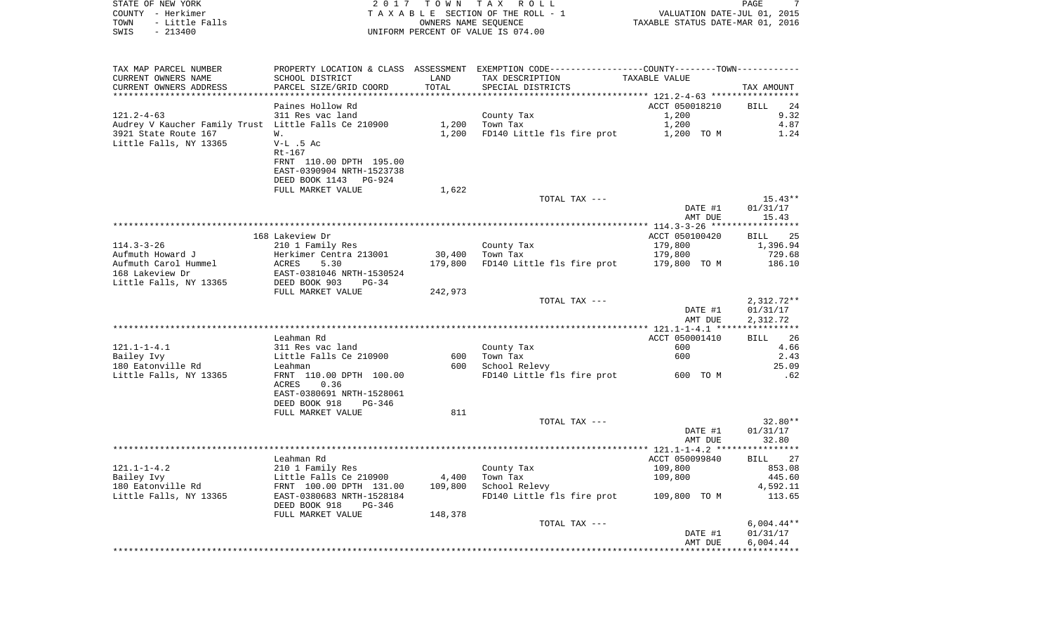| COUNTY - Herkimer<br>TOWN<br>- Little Falls<br>$-213400$<br>SWIS |                                                       |         | TAXABLE SECTION OF THE ROLL - 1<br>OWNERS NAME SEOUENCE<br>UNIFORM PERCENT OF VALUE IS 074.00  | VALUATION DATE-JUL 01, 2015<br>TAXABLE STATUS DATE-MAR 01, 2016 |                   |
|------------------------------------------------------------------|-------------------------------------------------------|---------|------------------------------------------------------------------------------------------------|-----------------------------------------------------------------|-------------------|
| TAX MAP PARCEL NUMBER                                            |                                                       |         | PROPERTY LOCATION & CLASS ASSESSMENT EXEMPTION CODE----------------COUNTY-------TOWN---------- |                                                                 |                   |
| CURRENT OWNERS NAME                                              | SCHOOL DISTRICT                                       | LAND    | TAX DESCRIPTION                                                                                | TAXABLE VALUE                                                   |                   |
| CURRENT OWNERS ADDRESS                                           | PARCEL SIZE/GRID COORD                                | TOTAL   | SPECIAL DISTRICTS                                                                              | ************ 121.2-4-63 ******************                      | TAX AMOUNT        |
|                                                                  | Paines Hollow Rd                                      |         |                                                                                                | ACCT 050018210                                                  | <b>BILL</b><br>24 |
| $121.2 - 4 - 63$                                                 | 311 Res vac land                                      |         | County Tax                                                                                     | 1,200                                                           | 9.32              |
| Audrey V Kaucher Family Trust Little Falls Ce 210900             |                                                       | 1,200   | Town Tax                                                                                       | 1,200                                                           | 4.87              |
| 3921 State Route 167                                             | W.                                                    | 1,200   | FD140 Little fls fire prot                                                                     | 1,200 TO M                                                      | 1.24              |
| Little Falls, NY 13365                                           | $V-L$ .5 Ac<br>$Rt-167$                               |         |                                                                                                |                                                                 |                   |
|                                                                  | FRNT 110.00 DPTH 195.00                               |         |                                                                                                |                                                                 |                   |
|                                                                  | EAST-0390904 NRTH-1523738                             |         |                                                                                                |                                                                 |                   |
|                                                                  | DEED BOOK 1143 PG-924                                 |         |                                                                                                |                                                                 |                   |
|                                                                  | FULL MARKET VALUE                                     | 1,622   |                                                                                                |                                                                 |                   |
|                                                                  |                                                       |         | TOTAL TAX ---                                                                                  |                                                                 | $15.43**$         |
|                                                                  |                                                       |         |                                                                                                | DATE #1<br>AMT DUE                                              | 01/31/17<br>15.43 |
|                                                                  |                                                       |         |                                                                                                |                                                                 |                   |
|                                                                  | 168 Lakeview Dr                                       |         |                                                                                                | ACCT 050100420                                                  | 25<br>BILL        |
| $114.3 - 3 - 26$                                                 | 210 1 Family Res                                      |         | County Tax                                                                                     | 179,800                                                         | 1,396.94          |
| Aufmuth Howard J                                                 | Herkimer Centra 213001                                | 30,400  | Town Tax                                                                                       | 179,800                                                         | 729.68            |
| Aufmuth Carol Hummel                                             | ACRES<br>5.30                                         | 179,800 | FD140 Little fls fire prot 179,800 TO M                                                        |                                                                 | 186.10            |
| 168 Lakeview Dr<br>Little Falls, NY 13365                        | EAST-0381046 NRTH-1530524<br>DEED BOOK 903<br>$PG-34$ |         |                                                                                                |                                                                 |                   |
|                                                                  | FULL MARKET VALUE                                     | 242,973 |                                                                                                |                                                                 |                   |
|                                                                  |                                                       |         | TOTAL TAX ---                                                                                  |                                                                 | $2,312.72**$      |
|                                                                  |                                                       |         |                                                                                                | DATE #1                                                         | 01/31/17          |
|                                                                  |                                                       |         |                                                                                                | AMT DUE                                                         | 2,312.72          |
|                                                                  | Leahman Rd                                            |         |                                                                                                | ACCT 050001410                                                  | 26<br>BILL        |
| $121.1 - 1 - 4.1$                                                | 311 Res vac land                                      |         | County Tax                                                                                     | 600                                                             | 4.66              |
| Bailey Ivy                                                       | Little Falls Ce 210900                                | 600     | Town Tax                                                                                       | 600                                                             | 2.43              |
| 180 Eatonville Rd                                                | Leahman                                               | 600 -   | School Relevy                                                                                  |                                                                 | 25.09             |
| Little Falls, NY 13365                                           | FRNT 110.00 DPTH 100.00                               |         | FD140 Little fls fire prot 600 TO M                                                            |                                                                 | .62               |
|                                                                  | ACRES<br>0.36<br>EAST-0380691 NRTH-1528061            |         |                                                                                                |                                                                 |                   |
|                                                                  | DEED BOOK 918<br>PG-346                               |         |                                                                                                |                                                                 |                   |
|                                                                  | FULL MARKET VALUE                                     | 811     |                                                                                                |                                                                 |                   |
|                                                                  |                                                       |         | TOTAL TAX ---                                                                                  |                                                                 | $32.80**$         |
|                                                                  |                                                       |         |                                                                                                | DATE #1                                                         | 01/31/17          |
|                                                                  |                                                       |         |                                                                                                | AMT DUE                                                         | 32.80             |
|                                                                  | Leahman Rd                                            |         |                                                                                                | ACCT 050099840                                                  | BILL 27           |
| $121.1 - 1 - 4.2$                                                | 210 1 Family Res                                      |         | County Tax                                                                                     | 109,800                                                         | 853.08            |
| Bailey Ivy                                                       | Little Falls Ce 210900                                | 4,400   | Town Tax                                                                                       | 109,800                                                         | 445.60            |
| 180 Eatonville Rd                                                | FRNT 100.00 DPTH 131.00                               | 109,800 | School Relevy                                                                                  |                                                                 | 4,592.11          |
| Little Falls, NY 13365                                           | EAST-0380683 NRTH-1528184                             |         | FD140 Little fls fire prot 109,800 TO M                                                        |                                                                 | 113.65            |
|                                                                  | DEED BOOK 918<br>PG-346                               |         |                                                                                                |                                                                 |                   |
|                                                                  | FULL MARKET VALUE                                     | 148,378 | TOTAL TAX ---                                                                                  |                                                                 | $6,004.44**$      |
|                                                                  |                                                       |         |                                                                                                | DATE #1                                                         | 01/31/17          |
|                                                                  |                                                       |         |                                                                                                | AMT DUE                                                         | 6,004.44          |
|                                                                  |                                                       |         |                                                                                                |                                                                 |                   |

STATE OF NEW YORK 2 0 1 7 T O W N T A X R O L L PAGE 7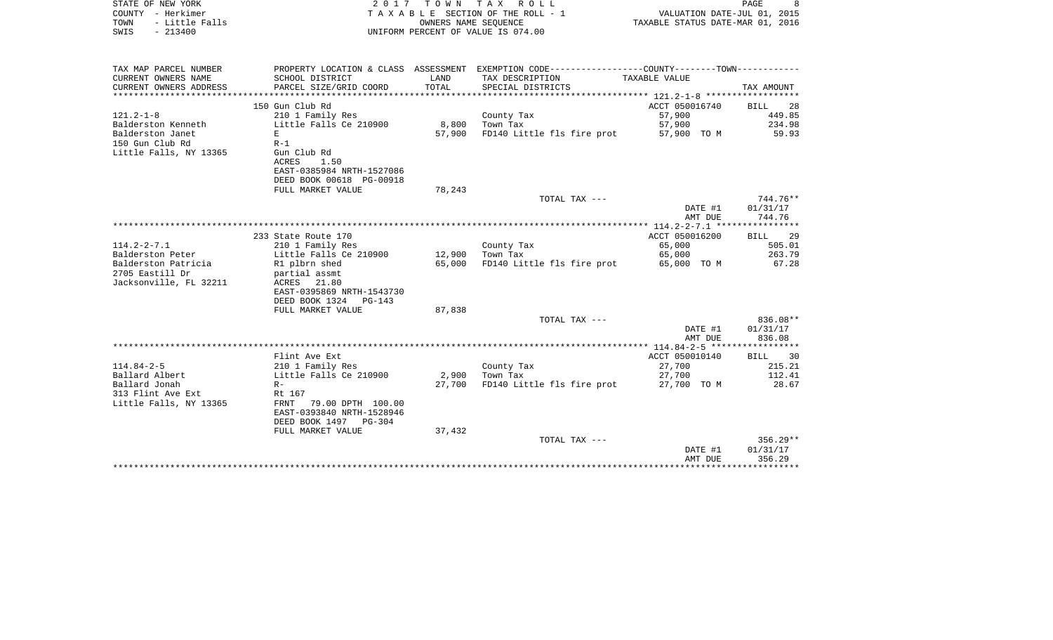| STATE OF NEW YORK<br>COUNTY - Herkimer<br>- Little Falls<br>TOWN<br>$-213400$<br>SWIS | 2017                                                    | T O W N         | TAX ROLL<br>TAXABLE SECTION OF THE ROLL - 1<br>OWNERS NAME SEOUENCE<br>UNIFORM PERCENT OF VALUE IS 074.00 | VALUATION DATE-JUL 01, 2015<br>TAXABLE STATUS DATE-MAR 01, 2016 | PAGE<br>8          |
|---------------------------------------------------------------------------------------|---------------------------------------------------------|-----------------|-----------------------------------------------------------------------------------------------------------|-----------------------------------------------------------------|--------------------|
| TAX MAP PARCEL NUMBER                                                                 |                                                         |                 | PROPERTY LOCATION & CLASS ASSESSMENT EXEMPTION CODE---------------COUNTY-------TOWN----------             |                                                                 |                    |
| CURRENT OWNERS NAME<br>CURRENT OWNERS ADDRESS                                         | SCHOOL DISTRICT<br>PARCEL SIZE/GRID COORD               | LAND<br>TOTAL   | TAX DESCRIPTION<br>SPECIAL DISTRICTS                                                                      | TAXABLE VALUE                                                   | TAX AMOUNT         |
| **********************                                                                |                                                         |                 |                                                                                                           |                                                                 |                    |
|                                                                                       | 150 Gun Club Rd                                         |                 |                                                                                                           | ACCT 050016740                                                  | <b>BILL</b><br>28  |
| $121.2 - 1 - 8$                                                                       | 210 1 Family Res                                        |                 | County Tax                                                                                                | 57,900                                                          | 449.85             |
| Balderston Kenneth<br>Balderston Janet                                                | Little Falls Ce 210900<br>$\mathbf E$                   | 8,800<br>57,900 | Town Tax<br>FD140 Little fls fire prot                                                                    | 57,900<br>57,900 TO M                                           | 234.98<br>59.93    |
| 150 Gun Club Rd                                                                       | $R-1$                                                   |                 |                                                                                                           |                                                                 |                    |
| Little Falls, NY 13365                                                                | Gun Club Rd                                             |                 |                                                                                                           |                                                                 |                    |
|                                                                                       | ACRES<br>1.50                                           |                 |                                                                                                           |                                                                 |                    |
|                                                                                       | EAST-0385984 NRTH-1527086                               |                 |                                                                                                           |                                                                 |                    |
|                                                                                       | DEED BOOK 00618 PG-00918                                |                 |                                                                                                           |                                                                 |                    |
|                                                                                       | FULL MARKET VALUE                                       | 78,243          |                                                                                                           |                                                                 |                    |
|                                                                                       |                                                         |                 | TOTAL TAX ---                                                                                             |                                                                 | 744.76**           |
|                                                                                       |                                                         |                 |                                                                                                           | DATE #1<br>AMT DUE                                              | 01/31/17<br>744.76 |
|                                                                                       |                                                         |                 |                                                                                                           |                                                                 |                    |
|                                                                                       | 233 State Route 170                                     |                 |                                                                                                           | ACCT 050016200                                                  | 29<br><b>BILL</b>  |
| $114.2 - 2 - 7.1$                                                                     | 210 1 Family Res                                        |                 | County Tax                                                                                                | 65,000                                                          | 505.01             |
| Balderston Peter                                                                      | Little Falls Ce 210900                                  | 12,900          | Town Tax                                                                                                  | 65,000                                                          | 263.79             |
| Balderston Patricia                                                                   | R1 plbrn shed                                           | 65,000          | FD140 Little fls fire prot                                                                                | 65,000 TO M                                                     | 67.28              |
| 2705 Eastill Dr                                                                       | partial assmt                                           |                 |                                                                                                           |                                                                 |                    |
| Jacksonville, FL 32211                                                                | ACRES 21.80                                             |                 |                                                                                                           |                                                                 |                    |
|                                                                                       | EAST-0395869 NRTH-1543730<br>DEED BOOK 1324<br>$PG-143$ |                 |                                                                                                           |                                                                 |                    |
|                                                                                       | FULL MARKET VALUE                                       | 87,838          |                                                                                                           |                                                                 |                    |
|                                                                                       |                                                         |                 | TOTAL TAX ---                                                                                             |                                                                 | 836.08**           |
|                                                                                       |                                                         |                 |                                                                                                           | DATE #1                                                         | 01/31/17           |
|                                                                                       |                                                         |                 |                                                                                                           | AMT DUE                                                         | 836.08             |
|                                                                                       |                                                         |                 |                                                                                                           |                                                                 |                    |
|                                                                                       | Flint Ave Ext                                           |                 |                                                                                                           | ACCT 050010140                                                  | BILL<br>30         |
| $114.84 - 2 - 5$                                                                      | 210 1 Family Res                                        |                 | County Tax                                                                                                | 27,700                                                          | 215.21             |
| Ballard Albert<br>Ballard Jonah                                                       | Little Falls Ce 210900<br>$R -$                         | 2,900<br>27,700 | Town Tax<br>FD140 Little fls fire prot                                                                    | 27,700<br>27,700 TO M                                           | 112.41<br>28.67    |
| 313 Flint Ave Ext                                                                     | Rt 167                                                  |                 |                                                                                                           |                                                                 |                    |
| Little Falls, NY 13365                                                                | <b>FRNT</b><br>79.00 DPTH 100.00                        |                 |                                                                                                           |                                                                 |                    |
|                                                                                       | EAST-0393840 NRTH-1528946                               |                 |                                                                                                           |                                                                 |                    |
|                                                                                       | DEED BOOK 1497<br><b>PG-304</b>                         |                 |                                                                                                           |                                                                 |                    |
|                                                                                       | FULL MARKET VALUE                                       | 37,432          |                                                                                                           |                                                                 |                    |
|                                                                                       |                                                         |                 | TOTAL TAX ---                                                                                             |                                                                 | 356.29**           |
|                                                                                       |                                                         |                 |                                                                                                           | DATE #1                                                         | 01/31/17           |
|                                                                                       |                                                         |                 |                                                                                                           | AMT DUE                                                         | 356.29             |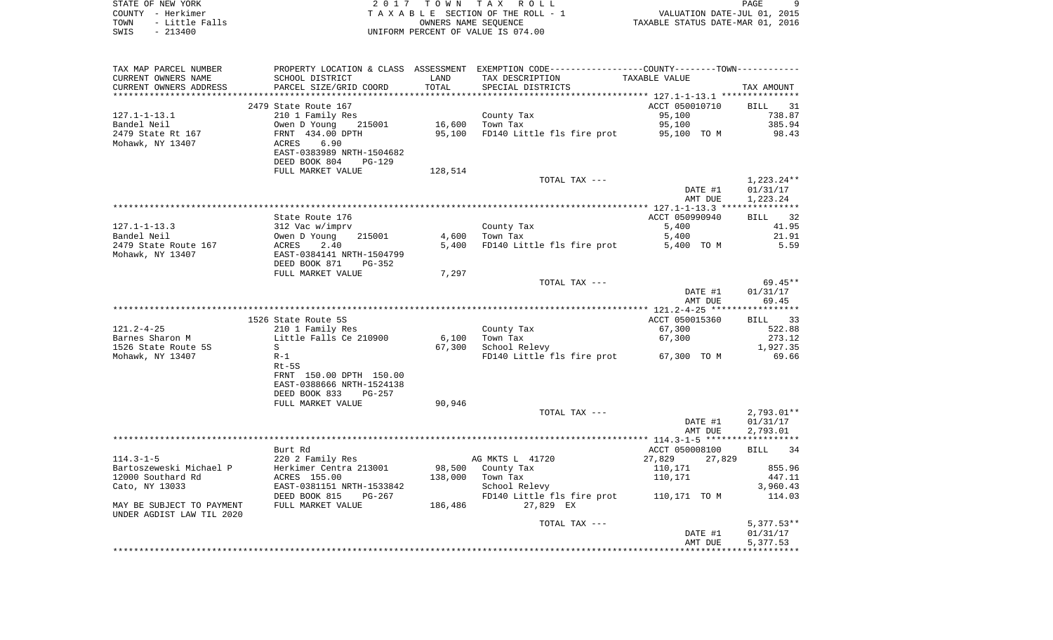| STATE OF NEW YORK      | 2017 TOWN TAX ROLL                 | PAGE                             |  |
|------------------------|------------------------------------|----------------------------------|--|
| COUNTY - Herkimer      | TAXABLE SECTION OF THE ROLL - 1    | VALUATION DATE-JUL 01, 2015      |  |
| TOWN<br>- Little Falls | OWNERS NAME SEOUENCE               | TAXABLE STATUS DATE-MAR 01, 2016 |  |
| SWIS<br>- 213400       | UNIFORM PERCENT OF VALUE IS 074.00 |                                  |  |

| TAX MAP PARCEL NUMBER<br>CURRENT OWNERS NAME<br>CURRENT OWNERS ADDRESS | SCHOOL DISTRICT<br>PARCEL SIZE/GRID COORD                                              | LAND<br>TOTAL    | PROPERTY LOCATION & CLASS ASSESSMENT EXEMPTION CODE----------------COUNTY--------TOWN----------<br>TAX DESCRIPTION<br>SPECIAL DISTRICTS | TAXABLE VALUE                                     | TAX AMOUNT                           |
|------------------------------------------------------------------------|----------------------------------------------------------------------------------------|------------------|-----------------------------------------------------------------------------------------------------------------------------------------|---------------------------------------------------|--------------------------------------|
| *********************                                                  | **************************                                                             |                  |                                                                                                                                         |                                                   |                                      |
| $127.1 - 1 - 13.1$<br>Bandel Neil<br>2479 State Rt 167                 | 2479 State Route 167<br>210 1 Family Res<br>Owen D Young<br>215001<br>FRNT 434.00 DPTH | 16,600<br>95,100 | County Tax<br>Town Tax<br>FD140 Little fls fire prot                                                                                    | ACCT 050010710<br>95,100<br>95,100<br>95,100 TO M | BILL 31<br>738.87<br>385.94<br>98.43 |
| Mohawk, NY 13407                                                       | ACRES<br>6.90<br>EAST-0383989 NRTH-1504682<br>DEED BOOK 804<br><b>PG-129</b>           |                  |                                                                                                                                         |                                                   |                                      |
|                                                                        | FULL MARKET VALUE                                                                      | 128,514          | TOTAL TAX ---                                                                                                                           |                                                   | 1,223.24**                           |
|                                                                        |                                                                                        |                  |                                                                                                                                         | DATE #1                                           | 01/31/17                             |
|                                                                        |                                                                                        |                  |                                                                                                                                         | AMT DUE                                           | 1,223.24                             |
|                                                                        |                                                                                        |                  |                                                                                                                                         |                                                   |                                      |
|                                                                        | State Route 176                                                                        |                  |                                                                                                                                         | ACCT 050990940                                    | BILL 32                              |
| $127.1 - 1 - 13.3$                                                     | 312 Vac w/imprv                                                                        |                  | County Tax                                                                                                                              | 5,400                                             | 41.95                                |
| Bandel Neil                                                            | 215001                                                                                 | 4,600            | Town Tax                                                                                                                                | 5,400                                             | 21.91                                |
| 2479 State Route 167                                                   | Owen D Young<br>ACRES 2.40<br>2.40                                                     | 5,400            | FD140 Little fls fire prot                                                                                                              | 5,400 TO M                                        | 5.59                                 |
| Mohawk, NY 13407                                                       | EAST-0384141 NRTH-1504799<br>DEED BOOK 871<br>PG-352                                   |                  |                                                                                                                                         |                                                   |                                      |
|                                                                        | FULL MARKET VALUE                                                                      | 7,297            |                                                                                                                                         |                                                   |                                      |
|                                                                        |                                                                                        |                  | TOTAL TAX ---                                                                                                                           |                                                   | 69.45**                              |
|                                                                        |                                                                                        |                  |                                                                                                                                         | DATE #1                                           | 01/31/17                             |
|                                                                        |                                                                                        |                  |                                                                                                                                         | AMT DUE                                           | 69.45                                |
|                                                                        | 1526 State Route 5S                                                                    |                  |                                                                                                                                         | ACCT 050015360                                    | BILL 33                              |
| $121.2 - 4 - 25$                                                       | 210 1 Family Res                                                                       |                  | County Tax                                                                                                                              | 67,300                                            | 522.88                               |
| Barnes Sharon M                                                        | Little Falls Ce 210900                                                                 | 6,100            | Town Tax                                                                                                                                | 67,300                                            | 273.12                               |
| 1526 State Route 5S                                                    | S                                                                                      | 67,300           | School Relevy                                                                                                                           |                                                   | 1,927.35                             |
| Mohawk, NY 13407                                                       | $R-1$                                                                                  |                  | FD140 Little fls fire prot 67,300 TO M                                                                                                  |                                                   | 69.66                                |
|                                                                        | $Rt-5S$                                                                                |                  |                                                                                                                                         |                                                   |                                      |
|                                                                        | FRNT 150.00 DPTH 150.00<br>EAST-0388666 NRTH-1524138                                   |                  |                                                                                                                                         |                                                   |                                      |
|                                                                        | DEED BOOK 833<br>PG-257                                                                |                  |                                                                                                                                         |                                                   |                                      |
|                                                                        | FULL MARKET VALUE                                                                      | 90,946           |                                                                                                                                         |                                                   |                                      |
|                                                                        |                                                                                        |                  | TOTAL TAX ---                                                                                                                           |                                                   | $2,793.01**$                         |
|                                                                        |                                                                                        |                  |                                                                                                                                         | DATE #1<br>AMT DUE                                | 01/31/17<br>2,793.01                 |
|                                                                        |                                                                                        |                  |                                                                                                                                         |                                                   |                                      |
|                                                                        | Burt Rd                                                                                |                  |                                                                                                                                         | ACCT 050008100                                    | <b>BILL</b><br>34                    |
| $114.3 - 1 - 5$                                                        | 220 2 Family Res                                                                       |                  | AG MKTS L 41720                                                                                                                         | 27,829<br>27,829                                  |                                      |
| Bartoszeweski Michael P<br>12000 Southard Rd                           | Herkimer Centra 213001<br>ACRES 155.00                                                 |                  | 98,500 County Tax<br>138,000 Town Tax                                                                                                   | 110,171<br>110,171                                | 855.96<br>447.11                     |
| Cato, NY 13033                                                         | EAST-0381151 NRTH-1533842                                                              |                  | School Relevy                                                                                                                           |                                                   | 3,960.43                             |
|                                                                        | DEED BOOK 815<br>$PG-267$                                                              |                  | FD140 Little fls fire prot                                                                                                              | 110,171 TO M                                      | 114.03                               |
| MAY BE SUBJECT TO PAYMENT<br>UNDER AGDIST LAW TIL 2020                 | FULL MARKET VALUE                                                                      | 186,486          | 27,829 EX                                                                                                                               |                                                   |                                      |
|                                                                        |                                                                                        |                  | TOTAL TAX ---                                                                                                                           |                                                   | $5,377.53**$                         |
|                                                                        |                                                                                        |                  |                                                                                                                                         | DATE #1                                           | 01/31/17                             |
|                                                                        |                                                                                        |                  |                                                                                                                                         | AMT DUE                                           | 5,377.53                             |
|                                                                        |                                                                                        |                  |                                                                                                                                         |                                                   |                                      |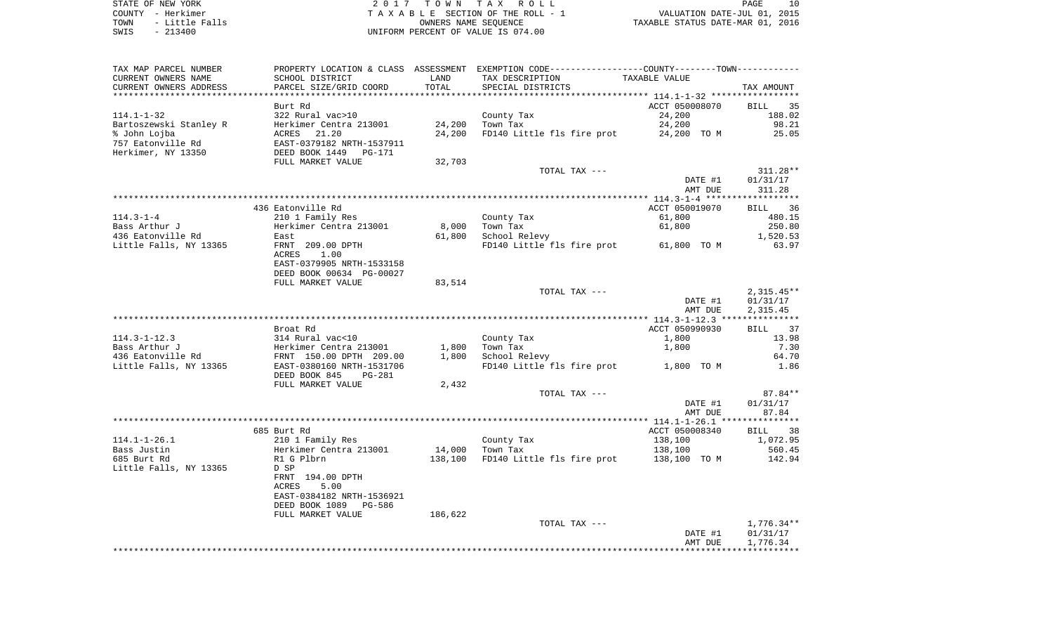STATE OF NEW YORK **EXECUTE:** A 2 0 1 7 T O W N T A X R O L L COUNTY - Herkimer<br>
T A X A B L E SECTION OF THE ROLL - 1<br>
TOWN - Little Falls<br>
SWIS - 213400 - 2013400 - UNIFORM PERCENT OF VALUE IS 074.00 TOWN - LITTLE FALLS ON THE ROLL - 1<br>
TAXABLE STATUS DATE-JUL 01, 2015<br>
OWNERS NAME SEQUENCE TAXABLE STATUS DATE-MAR 01, 2016 SWIS - 213400 UNIFORM PERCENT OF VALUE IS 074.00

| TAX MAP PARCEL NUMBER  |                                |         | PROPERTY LOCATION & CLASS ASSESSMENT EXEMPTION CODE---------------COUNTY-------TOWN-------- |                |                   |
|------------------------|--------------------------------|---------|---------------------------------------------------------------------------------------------|----------------|-------------------|
| CURRENT OWNERS NAME    | SCHOOL DISTRICT                | LAND    | TAX DESCRIPTION                                                                             | TAXABLE VALUE  |                   |
| CURRENT OWNERS ADDRESS | PARCEL SIZE/GRID COORD         | TOTAL   | SPECIAL DISTRICTS                                                                           |                | TAX AMOUNT        |
| ***************        |                                |         |                                                                                             |                |                   |
|                        | Burt Rd                        |         |                                                                                             | ACCT 050008070 | BILL<br>35        |
| $114.1 - 1 - 32$       | 322 Rural vac>10               |         | County Tax                                                                                  | 24,200         | 188.02            |
| Bartoszewski Stanley R | Herkimer Centra 213001         | 24,200  | Town Tax                                                                                    | 24,200         | 98.21             |
| % John Lojba           | ACRES<br>21.20                 | 24,200  | FD140 Little fls fire prot                                                                  | 24,200 TO M    | 25.05             |
| 757 Eatonville Rd      | EAST-0379182 NRTH-1537911      |         |                                                                                             |                |                   |
| Herkimer, NY 13350     | DEED BOOK 1449<br>PG-171       |         |                                                                                             |                |                   |
|                        | FULL MARKET VALUE              | 32,703  |                                                                                             |                |                   |
|                        |                                |         | TOTAL TAX ---                                                                               |                | $311.28**$        |
|                        |                                |         |                                                                                             | DATE #1        | 01/31/17          |
|                        |                                |         |                                                                                             | AMT DUE        | 311.28            |
|                        |                                |         |                                                                                             |                |                   |
|                        |                                |         |                                                                                             |                |                   |
|                        | 436 Eatonville Rd              |         |                                                                                             | ACCT 050019070 | 36<br>BILL        |
| $114.3 - 1 - 4$        | 210 1 Family Res               |         | County Tax                                                                                  | 61,800         | 480.15            |
| Bass Arthur J          | Herkimer Centra 213001         | 8,000   | Town Tax                                                                                    | 61,800         | 250.80            |
| 436 Eatonville Rd      | East                           | 61,800  | School Relevy                                                                               |                | 1,520.53          |
| Little Falls, NY 13365 | FRNT 209.00 DPTH               |         | FD140 Little fls fire prot                                                                  | 61,800 TO M    | 63.97             |
|                        | 1.00<br>ACRES                  |         |                                                                                             |                |                   |
|                        | EAST-0379905 NRTH-1533158      |         |                                                                                             |                |                   |
|                        | DEED BOOK 00634 PG-00027       |         |                                                                                             |                |                   |
|                        | FULL MARKET VALUE              | 83,514  |                                                                                             |                |                   |
|                        |                                |         | TOTAL TAX ---                                                                               |                | $2,315.45**$      |
|                        |                                |         |                                                                                             | DATE #1        | 01/31/17          |
|                        |                                |         |                                                                                             | AMT DUE        | 2,315.45          |
|                        |                                |         |                                                                                             |                |                   |
|                        | Broat Rd                       |         |                                                                                             | ACCT 050990930 | <b>BILL</b><br>37 |
| $114.3 - 1 - 12.3$     | 314 Rural vac<10               |         | County Tax                                                                                  | 1,800          | 13.98             |
| Bass Arthur J          | Herkimer Centra 213001         | 1,800   | Town Tax                                                                                    | 1,800          | 7.30              |
| 436 Eatonville Rd      | FRNT 150.00 DPTH 209.00        | 1,800   | School Relevy                                                                               |                | 64.70             |
| Little Falls, NY 13365 | EAST-0380160 NRTH-1531706      |         | FD140 Little fls fire prot                                                                  | 1,800 TO M     | 1.86              |
|                        | DEED BOOK 845<br><b>PG-281</b> |         |                                                                                             |                |                   |
|                        | FULL MARKET VALUE              | 2,432   |                                                                                             |                |                   |
|                        |                                |         | TOTAL TAX ---                                                                               |                | 87.84**           |
|                        |                                |         |                                                                                             | DATE #1        | 01/31/17          |
|                        |                                |         |                                                                                             |                | 87.84             |
|                        |                                |         |                                                                                             | AMT DUE        |                   |
|                        |                                |         |                                                                                             |                |                   |
|                        | 685 Burt Rd                    |         |                                                                                             | ACCT 050008340 | <b>BILL</b><br>38 |
| $114.1 - 1 - 26.1$     | 210 1 Family Res               |         | County Tax                                                                                  | 138,100        | 1,072.95          |
| Bass Justin            | Herkimer Centra 213001         | 14,000  | Town Tax                                                                                    | 138,100        | 560.45            |
| 685 Burt Rd            | R1 G Plbrn                     | 138,100 | FD140 Little fls fire prot                                                                  | 138,100 TO M   | 142.94            |
| Little Falls, NY 13365 | D SP                           |         |                                                                                             |                |                   |
|                        | FRNT 194.00 DPTH               |         |                                                                                             |                |                   |
|                        | 5.00<br><b>ACRES</b>           |         |                                                                                             |                |                   |
|                        | EAST-0384182 NRTH-1536921      |         |                                                                                             |                |                   |
|                        | DEED BOOK 1089<br>PG-586       |         |                                                                                             |                |                   |
|                        | FULL MARKET VALUE              | 186,622 |                                                                                             |                |                   |
|                        |                                |         | TOTAL TAX ---                                                                               |                | $1,776.34**$      |
|                        |                                |         |                                                                                             | DATE #1        | 01/31/17          |
|                        |                                |         |                                                                                             | AMT DUE        | 1,776.34          |
|                        |                                |         |                                                                                             |                |                   |
|                        |                                |         |                                                                                             |                |                   |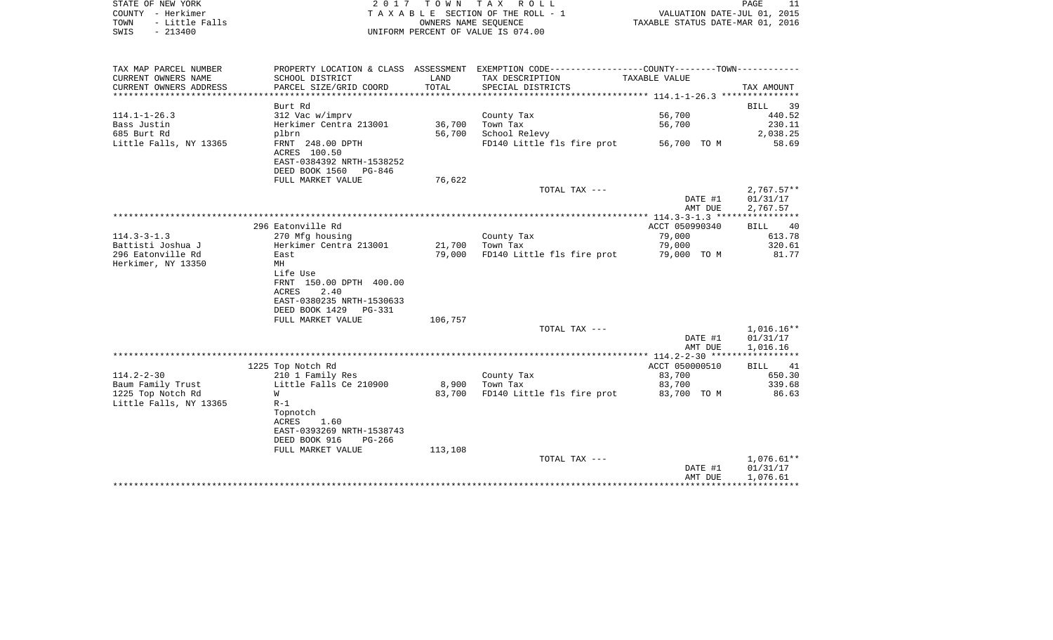| STATE OF NEW YORK      |                                      |                      | 2017 TOWN TAX ROLL                                          |                                  | 11<br>PAGE        |
|------------------------|--------------------------------------|----------------------|-------------------------------------------------------------|----------------------------------|-------------------|
| - Herkimer<br>COUNTY   |                                      |                      | T A X A B L E SECTION OF THE ROLL - 1                       | VALUATION DATE-JUL 01, 2015      |                   |
| - Little Falls<br>TOWN |                                      | OWNERS NAME SEOUENCE |                                                             | TAXABLE STATUS DATE-MAR 01, 2016 |                   |
| $-213400$<br>SWIS      |                                      |                      | UNIFORM PERCENT OF VALUE IS 074.00                          |                                  |                   |
|                        |                                      |                      |                                                             |                                  |                   |
| TAX MAP PARCEL NUMBER  | PROPERTY LOCATION & CLASS ASSESSMENT |                      | EXEMPTION CODE-----------------COUNTY-------TOWN----------- |                                  |                   |
| CURRENT OWNERS NAME    | SCHOOL DISTRICT                      | LAND                 | TAX DESCRIPTION                                             | TAXABLE VALUE                    |                   |
| CURRENT OWNERS ADDRESS | PARCEL SIZE/GRID COORD               | TOTAL                | SPECIAL DISTRICTS                                           |                                  | TAX AMOUNT        |
|                        |                                      |                      |                                                             |                                  |                   |
|                        | Burt Rd                              |                      |                                                             |                                  | 39<br>BILL        |
| $114.1 - 1 - 26.3$     | 312 Vac w/imprv                      |                      | County Tax                                                  | 56,700                           | 440.52            |
| Bass Justin            | Herkimer Centra 213001               | 36,700               | Town Tax                                                    | 56,700                           | 230.11            |
| 685 Burt Rd            | plbrn                                | 56,700               | School Relevy                                               |                                  | 2,038.25          |
| Little Falls, NY 13365 | FRNT 248.00 DPTH                     |                      | FD140 Little fls fire prot                                  | 56,700 TO M                      | 58.69             |
|                        | ACRES 100.50                         |                      |                                                             |                                  |                   |
|                        | EAST-0384392 NRTH-1538252            |                      |                                                             |                                  |                   |
|                        | DEED BOOK 1560<br>PG-846             |                      |                                                             |                                  |                   |
|                        | FULL MARKET VALUE                    | 76,622               |                                                             |                                  |                   |
|                        |                                      |                      | TOTAL TAX $---$                                             |                                  | $2,767.57**$      |
|                        |                                      |                      |                                                             | DATE #1                          | 01/31/17          |
|                        |                                      |                      |                                                             | AMT DUE                          | 2,767.57          |
|                        |                                      |                      |                                                             |                                  |                   |
|                        | 296 Eatonville Rd                    |                      |                                                             | ACCT 050990340                   | 40<br><b>BILL</b> |
| $114.3 - 3 - 1.3$      | 270 Mfg housing                      |                      | County Tax                                                  | 79,000                           | 613.78            |
| Battisti Joshua J      | Herkimer Centra 213001               | 21,700               | Town Tax                                                    | 79,000                           | 320.61            |
| 296 Eatonville Rd      | East                                 | 79,000               | FD140 Little fls fire prot                                  | 79,000 TO M                      | 81.77             |
| Herkimer, NY 13350     | МH                                   |                      |                                                             |                                  |                   |
|                        | Life Use                             |                      |                                                             |                                  |                   |

|                        | EAST-0380235 NRTH-1530633                     |         |                            |                                     |              |
|------------------------|-----------------------------------------------|---------|----------------------------|-------------------------------------|--------------|
|                        | DEED BOOK 1429<br>PG-331<br>FULL MARKET VALUE | 106,757 |                            |                                     |              |
|                        |                                               |         | TOTAL TAX ---              |                                     | 1,016.16**   |
|                        |                                               |         |                            | DATE #1                             | 01/31/17     |
|                        |                                               |         |                            | AMT DUE                             | 1,016.16     |
|                        |                                               |         |                            | $114.2 - 2 - 30$ ****************** |              |
|                        | 1225 Top Notch Rd                             |         |                            | ACCT 050000510                      | 41<br>BILL   |
| $114.2 - 2 - 30$       | 210 1 Family Res                              |         | County Tax                 | 83,700                              | 650.30       |
| Baum Family Trust      | Little Falls Ce 210900                        | 8,900   | Town Tax                   | 83,700                              | 339.68       |
| 1225 Top Notch Rd      | W                                             | 83,700  | FD140 Little fls fire prot | 83,700<br>TO M                      | 86.63        |
| Little Falls, NY 13365 | $R-1$                                         |         |                            |                                     |              |
|                        | Topnotch                                      |         |                            |                                     |              |
|                        | 1.60<br>ACRES                                 |         |                            |                                     |              |
|                        | EAST-0393269 NRTH-1538743                     |         |                            |                                     |              |
|                        | DEED BOOK 916<br>PG-266                       |         |                            |                                     |              |
|                        | FULL MARKET VALUE                             | 113,108 |                            |                                     |              |
|                        |                                               |         | TOTAL TAX ---              |                                     | $1,076.61**$ |
|                        |                                               |         |                            | DATE #1                             | 01/31/17     |
|                        |                                               |         |                            | AMT DUE                             | 1,076.61     |
|                        |                                               |         |                            |                                     |              |
|                        |                                               |         |                            |                                     |              |

FRNT 150.00 DPTH 400.00

ACRES 2.40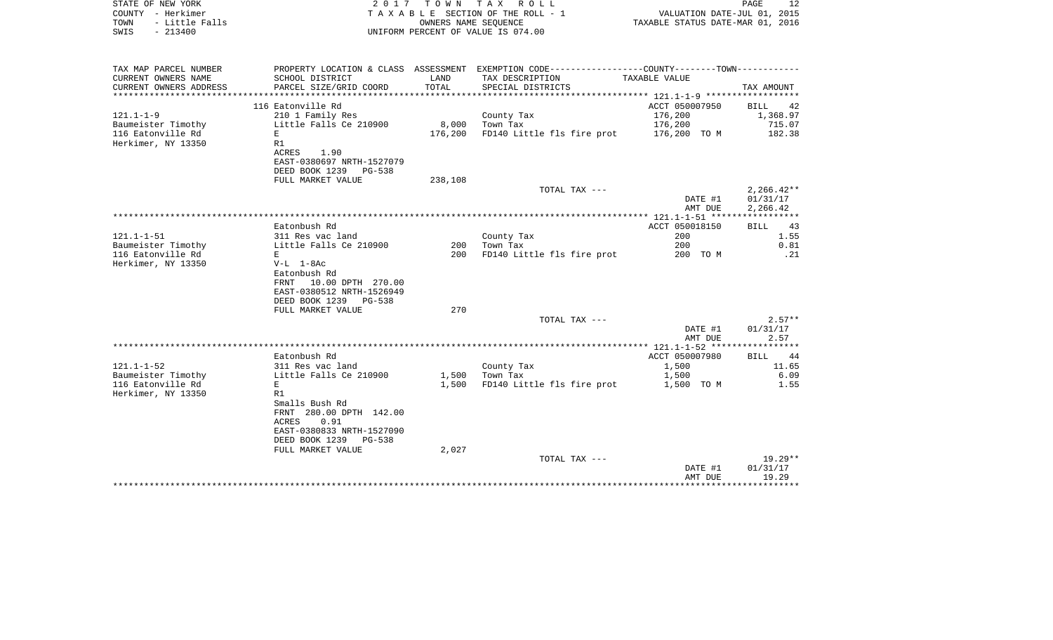| COUNTY - Herkimer<br>TOWN<br>- Little Falls<br>$-213400$<br>SWIS |                                                         |         | T A X A B L E SECTION OF THE ROLL - 1<br>OWNERS NAME SEOUENCE<br>UNIFORM PERCENT OF VALUE IS 074.00 | VALUATION DATE-JUL 01, 2015<br>TAXABLE STATUS DATE-MAR 01, 2016 |                        |
|------------------------------------------------------------------|---------------------------------------------------------|---------|-----------------------------------------------------------------------------------------------------|-----------------------------------------------------------------|------------------------|
|                                                                  |                                                         |         |                                                                                                     |                                                                 |                        |
| TAX MAP PARCEL NUMBER                                            |                                                         |         | PROPERTY LOCATION & CLASS ASSESSMENT EXEMPTION CODE---------------COUNTY-------TOWN----------       |                                                                 |                        |
| CURRENT OWNERS NAME                                              | SCHOOL DISTRICT                                         | LAND    | TAX DESCRIPTION                                                                                     | TAXABLE VALUE                                                   |                        |
| CURRENT OWNERS ADDRESS                                           | PARCEL SIZE/GRID COORD                                  | TOTAL   | SPECIAL DISTRICTS                                                                                   |                                                                 | TAX AMOUNT             |
|                                                                  |                                                         |         |                                                                                                     |                                                                 |                        |
| $121.1 - 1 - 9$                                                  | 116 Eatonville Rd<br>210 1 Family Res                   |         | County Tax                                                                                          | ACCT 050007950<br>176,200                                       | BILL<br>42<br>1,368.97 |
| Baumeister Timothy                                               | Little Falls Ce 210900                                  | 8,000   | Town Tax                                                                                            | 176,200                                                         | 715.07                 |
| 116 Eatonville Rd                                                | E                                                       | 176,200 | FD140 Little fls fire prot                                                                          | 176,200 TO M                                                    | 182.38                 |
| Herkimer, NY 13350                                               | R1                                                      |         |                                                                                                     |                                                                 |                        |
|                                                                  | ACRES<br>1.90                                           |         |                                                                                                     |                                                                 |                        |
|                                                                  | EAST-0380697 NRTH-1527079                               |         |                                                                                                     |                                                                 |                        |
|                                                                  | DEED BOOK 1239<br>PG-538                                |         |                                                                                                     |                                                                 |                        |
|                                                                  | FULL MARKET VALUE                                       | 238,108 | TOTAL TAX ---                                                                                       |                                                                 | $2,266.42**$           |
|                                                                  |                                                         |         |                                                                                                     | DATE #1                                                         | 01/31/17               |
|                                                                  |                                                         |         |                                                                                                     | AMT DUE                                                         | 2,266.42               |
|                                                                  |                                                         |         |                                                                                                     | ************ 121.1-1-51 *****************                       |                        |
|                                                                  | Eatonbush Rd                                            |         |                                                                                                     | ACCT 050018150                                                  | 43<br><b>BILL</b>      |
| $121.1 - 1 - 51$                                                 | 311 Res vac land                                        |         | County Tax                                                                                          | 200                                                             | 1.55                   |
| Baumeister Timothy                                               | Little Falls Ce 210900                                  | 200     | Town Tax                                                                                            | 200                                                             | 0.81                   |
| 116 Eatonville Rd                                                | E                                                       | 200     | FD140 Little fls fire prot                                                                          | 200 TO M                                                        | .21                    |
| Herkimer, NY 13350                                               | $V-L$ 1-8Ac<br>Eatonbush Rd                             |         |                                                                                                     |                                                                 |                        |
|                                                                  | 10.00 DPTH 270.00<br>FRNT                               |         |                                                                                                     |                                                                 |                        |
|                                                                  | EAST-0380512 NRTH-1526949                               |         |                                                                                                     |                                                                 |                        |
|                                                                  | DEED BOOK 1239<br>PG-538                                |         |                                                                                                     |                                                                 |                        |
|                                                                  | FULL MARKET VALUE                                       | 270     |                                                                                                     |                                                                 |                        |
|                                                                  |                                                         |         | TOTAL TAX ---                                                                                       |                                                                 | $2.57**$               |
|                                                                  |                                                         |         |                                                                                                     | DATE #1                                                         | 01/31/17               |
|                                                                  |                                                         |         |                                                                                                     | AMT DUE                                                         | 2.57                   |
|                                                                  | Eatonbush Rd                                            |         |                                                                                                     | ACCT 050007980                                                  | 44<br><b>BILL</b>      |
| $121.1 - 1 - 52$                                                 | 311 Res vac land                                        |         | County Tax                                                                                          | 1,500                                                           | 11.65                  |
| Baumeister Timothy                                               | Little Falls Ce 210900                                  | 1,500   | Town Tax                                                                                            | 1,500                                                           | 6.09                   |
| 116 Eatonville Rd                                                | E                                                       | 1,500   | FD140 Little fls fire prot                                                                          | 1,500 TO M                                                      | 1.55                   |
| Herkimer, NY 13350                                               | R1                                                      |         |                                                                                                     |                                                                 |                        |
|                                                                  | Smalls Bush Rd                                          |         |                                                                                                     |                                                                 |                        |
|                                                                  | FRNT 280.00 DPTH 142.00                                 |         |                                                                                                     |                                                                 |                        |
|                                                                  | ACRES<br>0.91                                           |         |                                                                                                     |                                                                 |                        |
|                                                                  | EAST-0380833 NRTH-1527090<br>DEED BOOK 1239<br>$PG-538$ |         |                                                                                                     |                                                                 |                        |
|                                                                  | FULL MARKET VALUE                                       | 2,027   |                                                                                                     |                                                                 |                        |
|                                                                  |                                                         |         | TOTAL TAX ---                                                                                       |                                                                 | $19.29**$              |
|                                                                  |                                                         |         |                                                                                                     | DATE #1                                                         | 01/31/17               |
|                                                                  |                                                         |         |                                                                                                     | AMT DUE<br>**************                                       | 19.29<br>************  |

STATE OF NEW YORK **EXECUTE:** TO W N TAX ROLL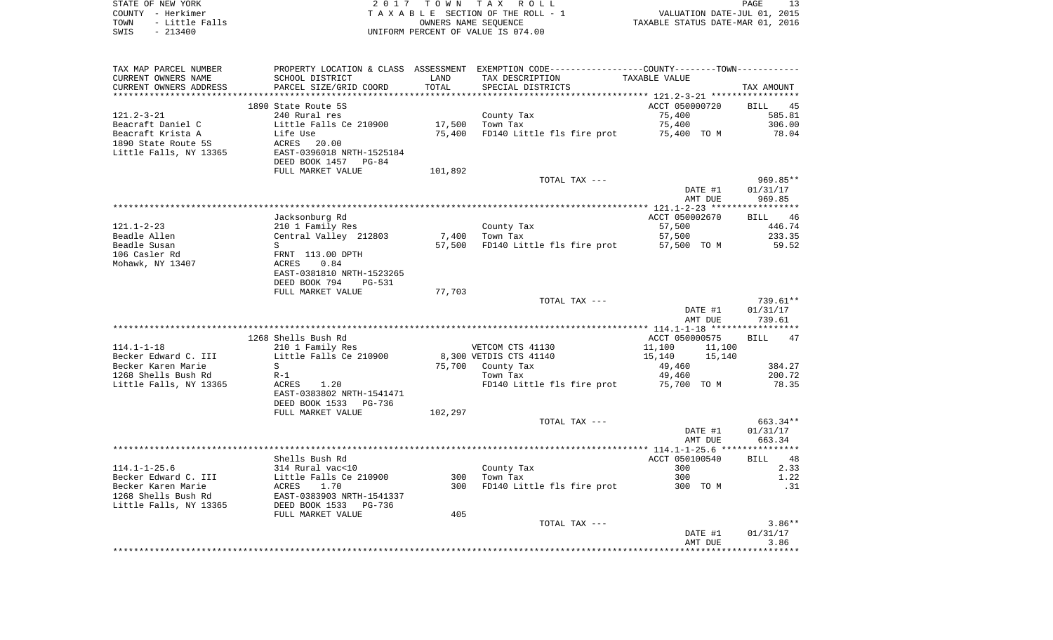| STATE OF NEW YORK      | 2017 TOWN TAX ROLL                 | PAGE                             |
|------------------------|------------------------------------|----------------------------------|
| COUNTY - Herkimer      | TAXABLE SECTION OF THE ROLL - 1    | VALUATION DATE-JUL 01, 2015      |
| TOWN<br>- Little Falls | OWNERS NAME SEOUENCE               | TAXABLE STATUS DATE-MAR 01, 2016 |
| $-213400$<br>SWIS      | UNIFORM PERCENT OF VALUE IS 074.00 |                                  |

| CURRENT OWNERS NAME<br>SCHOOL DISTRICT<br>LAND<br>TAX DESCRIPTION<br>TAXABLE VALUE<br>TOTAL<br>PARCEL SIZE/GRID COORD<br>CURRENT OWNERS ADDRESS<br>SPECIAL DISTRICTS<br>TAX AMOUNT<br>****************** 121.2-3-21 ************<br>1890 State Route 5S<br>ACCT 050000720<br>BILL<br>45<br>$121.2 - 3 - 21$<br>240 Rural res<br>County Tax<br>75,400<br>585.81<br>Beacraft Daniel C<br>Little Falls Ce 210900<br>17,500<br>Town Tax<br>75,400<br>306.00<br>75,400 TO M<br>Beacraft Krista A<br>78.04<br>Life Use<br>75,400<br>FD140 Little fls fire prot<br>1890 State Route 5S<br>ACRES<br>20.00<br>Little Falls, NY 13365<br>EAST-0396018 NRTH-1525184<br>DEED BOOK 1457<br>PG-84<br>FULL MARKET VALUE<br>101,892<br>969.85**<br>TOTAL TAX ---<br>DATE #1<br>01/31/17<br>AMT DUE<br>969.85<br>Jacksonburg Rd<br>46<br>ACCT 050002670<br>BILL<br>$121.1 - 2 - 23$<br>210 1 Family Res<br>57,500<br>446.74<br>County Tax<br>Beadle Allen<br>Central Valley 212803<br>7,400<br>Town Tax<br>57,500<br>233.35<br>Beadle Susan<br>57,500<br>FD140 Little fls fire prot<br>57,500 TO M<br>59.52<br>S<br>FRNT 113.00 DPTH<br>ACRES<br>0.84<br>EAST-0381810 NRTH-1523265<br>DEED BOOK 794<br>PG-531<br>77,703<br>FULL MARKET VALUE<br>TOTAL TAX ---<br>739.61**<br>DATE #1<br>01/31/17<br>AMT DUE<br>739.61<br>1268 Shells Bush Rd<br>ACCT 050000575<br><b>BILL</b><br>47<br>$114.1 - 1 - 18$<br>11,100<br>210 1 Family Res<br>VETCOM CTS 41130<br>11,100<br>Becker Edward C. III<br>Little Falls Ce 210900<br>8,300 VETDIS CTS 41140<br>15,140<br>15,140<br>Becker Karen Marie<br>384.27<br>S<br>75,700 County Tax<br>49,460<br>1268 Shells Bush Rd<br>49,460<br>200.72<br>$R-1$<br>Town Tax<br>75,700 TO M<br>Little Falls, NY 13365<br>1.20<br>FD140 Little fls fire prot<br>78.35<br>ACRES<br>EAST-0383802 NRTH-1541471<br>DEED BOOK 1533<br>PG-736<br>FULL MARKET VALUE<br>102,297<br>663.34**<br>TOTAL TAX ---<br>01/31/17<br>DATE #1<br>663.34<br>AMT DUE<br>Shells Bush Rd<br>ACCT 050100540<br>48<br>BILL<br>$114.1 - 1 - 25.6$<br>314 Rural vac<10<br>County Tax<br>300<br>2.33<br>Becker Edward C. III<br>Little Falls Ce 210900<br>300<br>300<br>1.22<br>Town Tax<br>Becker Karen Marie<br>FD140 Little fls fire prot<br>ACRES<br>1.70<br>300<br>300 TO M<br>.31<br>1268 Shells Bush Rd<br>EAST-0383903 NRTH-1541337<br>Little Falls, NY 13365<br>DEED BOOK 1533<br>PG-736<br>FULL MARKET VALUE<br>405<br>$3.86**$<br>TOTAL TAX ---<br>DATE #1<br>01/31/17<br>3.86<br>AMT DUE | TAX MAP PARCEL NUMBER | PROPERTY LOCATION & CLASS ASSESSMENT | EXEMPTION CODE----------------COUNTY-------TOWN---------- |  |
|------------------------------------------------------------------------------------------------------------------------------------------------------------------------------------------------------------------------------------------------------------------------------------------------------------------------------------------------------------------------------------------------------------------------------------------------------------------------------------------------------------------------------------------------------------------------------------------------------------------------------------------------------------------------------------------------------------------------------------------------------------------------------------------------------------------------------------------------------------------------------------------------------------------------------------------------------------------------------------------------------------------------------------------------------------------------------------------------------------------------------------------------------------------------------------------------------------------------------------------------------------------------------------------------------------------------------------------------------------------------------------------------------------------------------------------------------------------------------------------------------------------------------------------------------------------------------------------------------------------------------------------------------------------------------------------------------------------------------------------------------------------------------------------------------------------------------------------------------------------------------------------------------------------------------------------------------------------------------------------------------------------------------------------------------------------------------------------------------------------------------------------------------------------------------------------------------------------------------------------------------------------------------------------------------------------------------------------------------------------------------------------------------------------------------------------------------------------------------------|-----------------------|--------------------------------------|-----------------------------------------------------------|--|
|                                                                                                                                                                                                                                                                                                                                                                                                                                                                                                                                                                                                                                                                                                                                                                                                                                                                                                                                                                                                                                                                                                                                                                                                                                                                                                                                                                                                                                                                                                                                                                                                                                                                                                                                                                                                                                                                                                                                                                                                                                                                                                                                                                                                                                                                                                                                                                                                                                                                                    |                       |                                      |                                                           |  |
|                                                                                                                                                                                                                                                                                                                                                                                                                                                                                                                                                                                                                                                                                                                                                                                                                                                                                                                                                                                                                                                                                                                                                                                                                                                                                                                                                                                                                                                                                                                                                                                                                                                                                                                                                                                                                                                                                                                                                                                                                                                                                                                                                                                                                                                                                                                                                                                                                                                                                    |                       |                                      |                                                           |  |
|                                                                                                                                                                                                                                                                                                                                                                                                                                                                                                                                                                                                                                                                                                                                                                                                                                                                                                                                                                                                                                                                                                                                                                                                                                                                                                                                                                                                                                                                                                                                                                                                                                                                                                                                                                                                                                                                                                                                                                                                                                                                                                                                                                                                                                                                                                                                                                                                                                                                                    |                       |                                      |                                                           |  |
|                                                                                                                                                                                                                                                                                                                                                                                                                                                                                                                                                                                                                                                                                                                                                                                                                                                                                                                                                                                                                                                                                                                                                                                                                                                                                                                                                                                                                                                                                                                                                                                                                                                                                                                                                                                                                                                                                                                                                                                                                                                                                                                                                                                                                                                                                                                                                                                                                                                                                    |                       |                                      |                                                           |  |
|                                                                                                                                                                                                                                                                                                                                                                                                                                                                                                                                                                                                                                                                                                                                                                                                                                                                                                                                                                                                                                                                                                                                                                                                                                                                                                                                                                                                                                                                                                                                                                                                                                                                                                                                                                                                                                                                                                                                                                                                                                                                                                                                                                                                                                                                                                                                                                                                                                                                                    |                       |                                      |                                                           |  |
|                                                                                                                                                                                                                                                                                                                                                                                                                                                                                                                                                                                                                                                                                                                                                                                                                                                                                                                                                                                                                                                                                                                                                                                                                                                                                                                                                                                                                                                                                                                                                                                                                                                                                                                                                                                                                                                                                                                                                                                                                                                                                                                                                                                                                                                                                                                                                                                                                                                                                    |                       |                                      |                                                           |  |
|                                                                                                                                                                                                                                                                                                                                                                                                                                                                                                                                                                                                                                                                                                                                                                                                                                                                                                                                                                                                                                                                                                                                                                                                                                                                                                                                                                                                                                                                                                                                                                                                                                                                                                                                                                                                                                                                                                                                                                                                                                                                                                                                                                                                                                                                                                                                                                                                                                                                                    |                       |                                      |                                                           |  |
|                                                                                                                                                                                                                                                                                                                                                                                                                                                                                                                                                                                                                                                                                                                                                                                                                                                                                                                                                                                                                                                                                                                                                                                                                                                                                                                                                                                                                                                                                                                                                                                                                                                                                                                                                                                                                                                                                                                                                                                                                                                                                                                                                                                                                                                                                                                                                                                                                                                                                    |                       |                                      |                                                           |  |
|                                                                                                                                                                                                                                                                                                                                                                                                                                                                                                                                                                                                                                                                                                                                                                                                                                                                                                                                                                                                                                                                                                                                                                                                                                                                                                                                                                                                                                                                                                                                                                                                                                                                                                                                                                                                                                                                                                                                                                                                                                                                                                                                                                                                                                                                                                                                                                                                                                                                                    |                       |                                      |                                                           |  |
|                                                                                                                                                                                                                                                                                                                                                                                                                                                                                                                                                                                                                                                                                                                                                                                                                                                                                                                                                                                                                                                                                                                                                                                                                                                                                                                                                                                                                                                                                                                                                                                                                                                                                                                                                                                                                                                                                                                                                                                                                                                                                                                                                                                                                                                                                                                                                                                                                                                                                    |                       |                                      |                                                           |  |
|                                                                                                                                                                                                                                                                                                                                                                                                                                                                                                                                                                                                                                                                                                                                                                                                                                                                                                                                                                                                                                                                                                                                                                                                                                                                                                                                                                                                                                                                                                                                                                                                                                                                                                                                                                                                                                                                                                                                                                                                                                                                                                                                                                                                                                                                                                                                                                                                                                                                                    |                       |                                      |                                                           |  |
|                                                                                                                                                                                                                                                                                                                                                                                                                                                                                                                                                                                                                                                                                                                                                                                                                                                                                                                                                                                                                                                                                                                                                                                                                                                                                                                                                                                                                                                                                                                                                                                                                                                                                                                                                                                                                                                                                                                                                                                                                                                                                                                                                                                                                                                                                                                                                                                                                                                                                    |                       |                                      |                                                           |  |
|                                                                                                                                                                                                                                                                                                                                                                                                                                                                                                                                                                                                                                                                                                                                                                                                                                                                                                                                                                                                                                                                                                                                                                                                                                                                                                                                                                                                                                                                                                                                                                                                                                                                                                                                                                                                                                                                                                                                                                                                                                                                                                                                                                                                                                                                                                                                                                                                                                                                                    |                       |                                      |                                                           |  |
|                                                                                                                                                                                                                                                                                                                                                                                                                                                                                                                                                                                                                                                                                                                                                                                                                                                                                                                                                                                                                                                                                                                                                                                                                                                                                                                                                                                                                                                                                                                                                                                                                                                                                                                                                                                                                                                                                                                                                                                                                                                                                                                                                                                                                                                                                                                                                                                                                                                                                    |                       |                                      |                                                           |  |
|                                                                                                                                                                                                                                                                                                                                                                                                                                                                                                                                                                                                                                                                                                                                                                                                                                                                                                                                                                                                                                                                                                                                                                                                                                                                                                                                                                                                                                                                                                                                                                                                                                                                                                                                                                                                                                                                                                                                                                                                                                                                                                                                                                                                                                                                                                                                                                                                                                                                                    |                       |                                      |                                                           |  |
|                                                                                                                                                                                                                                                                                                                                                                                                                                                                                                                                                                                                                                                                                                                                                                                                                                                                                                                                                                                                                                                                                                                                                                                                                                                                                                                                                                                                                                                                                                                                                                                                                                                                                                                                                                                                                                                                                                                                                                                                                                                                                                                                                                                                                                                                                                                                                                                                                                                                                    |                       |                                      |                                                           |  |
|                                                                                                                                                                                                                                                                                                                                                                                                                                                                                                                                                                                                                                                                                                                                                                                                                                                                                                                                                                                                                                                                                                                                                                                                                                                                                                                                                                                                                                                                                                                                                                                                                                                                                                                                                                                                                                                                                                                                                                                                                                                                                                                                                                                                                                                                                                                                                                                                                                                                                    |                       |                                      |                                                           |  |
|                                                                                                                                                                                                                                                                                                                                                                                                                                                                                                                                                                                                                                                                                                                                                                                                                                                                                                                                                                                                                                                                                                                                                                                                                                                                                                                                                                                                                                                                                                                                                                                                                                                                                                                                                                                                                                                                                                                                                                                                                                                                                                                                                                                                                                                                                                                                                                                                                                                                                    |                       |                                      |                                                           |  |
|                                                                                                                                                                                                                                                                                                                                                                                                                                                                                                                                                                                                                                                                                                                                                                                                                                                                                                                                                                                                                                                                                                                                                                                                                                                                                                                                                                                                                                                                                                                                                                                                                                                                                                                                                                                                                                                                                                                                                                                                                                                                                                                                                                                                                                                                                                                                                                                                                                                                                    |                       |                                      |                                                           |  |
|                                                                                                                                                                                                                                                                                                                                                                                                                                                                                                                                                                                                                                                                                                                                                                                                                                                                                                                                                                                                                                                                                                                                                                                                                                                                                                                                                                                                                                                                                                                                                                                                                                                                                                                                                                                                                                                                                                                                                                                                                                                                                                                                                                                                                                                                                                                                                                                                                                                                                    |                       |                                      |                                                           |  |
|                                                                                                                                                                                                                                                                                                                                                                                                                                                                                                                                                                                                                                                                                                                                                                                                                                                                                                                                                                                                                                                                                                                                                                                                                                                                                                                                                                                                                                                                                                                                                                                                                                                                                                                                                                                                                                                                                                                                                                                                                                                                                                                                                                                                                                                                                                                                                                                                                                                                                    | 106 Casler Rd         |                                      |                                                           |  |
|                                                                                                                                                                                                                                                                                                                                                                                                                                                                                                                                                                                                                                                                                                                                                                                                                                                                                                                                                                                                                                                                                                                                                                                                                                                                                                                                                                                                                                                                                                                                                                                                                                                                                                                                                                                                                                                                                                                                                                                                                                                                                                                                                                                                                                                                                                                                                                                                                                                                                    | Mohawk, NY 13407      |                                      |                                                           |  |
|                                                                                                                                                                                                                                                                                                                                                                                                                                                                                                                                                                                                                                                                                                                                                                                                                                                                                                                                                                                                                                                                                                                                                                                                                                                                                                                                                                                                                                                                                                                                                                                                                                                                                                                                                                                                                                                                                                                                                                                                                                                                                                                                                                                                                                                                                                                                                                                                                                                                                    |                       |                                      |                                                           |  |
|                                                                                                                                                                                                                                                                                                                                                                                                                                                                                                                                                                                                                                                                                                                                                                                                                                                                                                                                                                                                                                                                                                                                                                                                                                                                                                                                                                                                                                                                                                                                                                                                                                                                                                                                                                                                                                                                                                                                                                                                                                                                                                                                                                                                                                                                                                                                                                                                                                                                                    |                       |                                      |                                                           |  |
|                                                                                                                                                                                                                                                                                                                                                                                                                                                                                                                                                                                                                                                                                                                                                                                                                                                                                                                                                                                                                                                                                                                                                                                                                                                                                                                                                                                                                                                                                                                                                                                                                                                                                                                                                                                                                                                                                                                                                                                                                                                                                                                                                                                                                                                                                                                                                                                                                                                                                    |                       |                                      |                                                           |  |
|                                                                                                                                                                                                                                                                                                                                                                                                                                                                                                                                                                                                                                                                                                                                                                                                                                                                                                                                                                                                                                                                                                                                                                                                                                                                                                                                                                                                                                                                                                                                                                                                                                                                                                                                                                                                                                                                                                                                                                                                                                                                                                                                                                                                                                                                                                                                                                                                                                                                                    |                       |                                      |                                                           |  |
|                                                                                                                                                                                                                                                                                                                                                                                                                                                                                                                                                                                                                                                                                                                                                                                                                                                                                                                                                                                                                                                                                                                                                                                                                                                                                                                                                                                                                                                                                                                                                                                                                                                                                                                                                                                                                                                                                                                                                                                                                                                                                                                                                                                                                                                                                                                                                                                                                                                                                    |                       |                                      |                                                           |  |
|                                                                                                                                                                                                                                                                                                                                                                                                                                                                                                                                                                                                                                                                                                                                                                                                                                                                                                                                                                                                                                                                                                                                                                                                                                                                                                                                                                                                                                                                                                                                                                                                                                                                                                                                                                                                                                                                                                                                                                                                                                                                                                                                                                                                                                                                                                                                                                                                                                                                                    |                       |                                      |                                                           |  |
|                                                                                                                                                                                                                                                                                                                                                                                                                                                                                                                                                                                                                                                                                                                                                                                                                                                                                                                                                                                                                                                                                                                                                                                                                                                                                                                                                                                                                                                                                                                                                                                                                                                                                                                                                                                                                                                                                                                                                                                                                                                                                                                                                                                                                                                                                                                                                                                                                                                                                    |                       |                                      |                                                           |  |
|                                                                                                                                                                                                                                                                                                                                                                                                                                                                                                                                                                                                                                                                                                                                                                                                                                                                                                                                                                                                                                                                                                                                                                                                                                                                                                                                                                                                                                                                                                                                                                                                                                                                                                                                                                                                                                                                                                                                                                                                                                                                                                                                                                                                                                                                                                                                                                                                                                                                                    |                       |                                      |                                                           |  |
|                                                                                                                                                                                                                                                                                                                                                                                                                                                                                                                                                                                                                                                                                                                                                                                                                                                                                                                                                                                                                                                                                                                                                                                                                                                                                                                                                                                                                                                                                                                                                                                                                                                                                                                                                                                                                                                                                                                                                                                                                                                                                                                                                                                                                                                                                                                                                                                                                                                                                    |                       |                                      |                                                           |  |
|                                                                                                                                                                                                                                                                                                                                                                                                                                                                                                                                                                                                                                                                                                                                                                                                                                                                                                                                                                                                                                                                                                                                                                                                                                                                                                                                                                                                                                                                                                                                                                                                                                                                                                                                                                                                                                                                                                                                                                                                                                                                                                                                                                                                                                                                                                                                                                                                                                                                                    |                       |                                      |                                                           |  |
|                                                                                                                                                                                                                                                                                                                                                                                                                                                                                                                                                                                                                                                                                                                                                                                                                                                                                                                                                                                                                                                                                                                                                                                                                                                                                                                                                                                                                                                                                                                                                                                                                                                                                                                                                                                                                                                                                                                                                                                                                                                                                                                                                                                                                                                                                                                                                                                                                                                                                    |                       |                                      |                                                           |  |
|                                                                                                                                                                                                                                                                                                                                                                                                                                                                                                                                                                                                                                                                                                                                                                                                                                                                                                                                                                                                                                                                                                                                                                                                                                                                                                                                                                                                                                                                                                                                                                                                                                                                                                                                                                                                                                                                                                                                                                                                                                                                                                                                                                                                                                                                                                                                                                                                                                                                                    |                       |                                      |                                                           |  |
|                                                                                                                                                                                                                                                                                                                                                                                                                                                                                                                                                                                                                                                                                                                                                                                                                                                                                                                                                                                                                                                                                                                                                                                                                                                                                                                                                                                                                                                                                                                                                                                                                                                                                                                                                                                                                                                                                                                                                                                                                                                                                                                                                                                                                                                                                                                                                                                                                                                                                    |                       |                                      |                                                           |  |
|                                                                                                                                                                                                                                                                                                                                                                                                                                                                                                                                                                                                                                                                                                                                                                                                                                                                                                                                                                                                                                                                                                                                                                                                                                                                                                                                                                                                                                                                                                                                                                                                                                                                                                                                                                                                                                                                                                                                                                                                                                                                                                                                                                                                                                                                                                                                                                                                                                                                                    |                       |                                      |                                                           |  |
|                                                                                                                                                                                                                                                                                                                                                                                                                                                                                                                                                                                                                                                                                                                                                                                                                                                                                                                                                                                                                                                                                                                                                                                                                                                                                                                                                                                                                                                                                                                                                                                                                                                                                                                                                                                                                                                                                                                                                                                                                                                                                                                                                                                                                                                                                                                                                                                                                                                                                    |                       |                                      |                                                           |  |
|                                                                                                                                                                                                                                                                                                                                                                                                                                                                                                                                                                                                                                                                                                                                                                                                                                                                                                                                                                                                                                                                                                                                                                                                                                                                                                                                                                                                                                                                                                                                                                                                                                                                                                                                                                                                                                                                                                                                                                                                                                                                                                                                                                                                                                                                                                                                                                                                                                                                                    |                       |                                      |                                                           |  |
|                                                                                                                                                                                                                                                                                                                                                                                                                                                                                                                                                                                                                                                                                                                                                                                                                                                                                                                                                                                                                                                                                                                                                                                                                                                                                                                                                                                                                                                                                                                                                                                                                                                                                                                                                                                                                                                                                                                                                                                                                                                                                                                                                                                                                                                                                                                                                                                                                                                                                    |                       |                                      |                                                           |  |
|                                                                                                                                                                                                                                                                                                                                                                                                                                                                                                                                                                                                                                                                                                                                                                                                                                                                                                                                                                                                                                                                                                                                                                                                                                                                                                                                                                                                                                                                                                                                                                                                                                                                                                                                                                                                                                                                                                                                                                                                                                                                                                                                                                                                                                                                                                                                                                                                                                                                                    |                       |                                      |                                                           |  |
|                                                                                                                                                                                                                                                                                                                                                                                                                                                                                                                                                                                                                                                                                                                                                                                                                                                                                                                                                                                                                                                                                                                                                                                                                                                                                                                                                                                                                                                                                                                                                                                                                                                                                                                                                                                                                                                                                                                                                                                                                                                                                                                                                                                                                                                                                                                                                                                                                                                                                    |                       |                                      |                                                           |  |
|                                                                                                                                                                                                                                                                                                                                                                                                                                                                                                                                                                                                                                                                                                                                                                                                                                                                                                                                                                                                                                                                                                                                                                                                                                                                                                                                                                                                                                                                                                                                                                                                                                                                                                                                                                                                                                                                                                                                                                                                                                                                                                                                                                                                                                                                                                                                                                                                                                                                                    |                       |                                      |                                                           |  |
|                                                                                                                                                                                                                                                                                                                                                                                                                                                                                                                                                                                                                                                                                                                                                                                                                                                                                                                                                                                                                                                                                                                                                                                                                                                                                                                                                                                                                                                                                                                                                                                                                                                                                                                                                                                                                                                                                                                                                                                                                                                                                                                                                                                                                                                                                                                                                                                                                                                                                    |                       |                                      |                                                           |  |
|                                                                                                                                                                                                                                                                                                                                                                                                                                                                                                                                                                                                                                                                                                                                                                                                                                                                                                                                                                                                                                                                                                                                                                                                                                                                                                                                                                                                                                                                                                                                                                                                                                                                                                                                                                                                                                                                                                                                                                                                                                                                                                                                                                                                                                                                                                                                                                                                                                                                                    |                       |                                      |                                                           |  |
|                                                                                                                                                                                                                                                                                                                                                                                                                                                                                                                                                                                                                                                                                                                                                                                                                                                                                                                                                                                                                                                                                                                                                                                                                                                                                                                                                                                                                                                                                                                                                                                                                                                                                                                                                                                                                                                                                                                                                                                                                                                                                                                                                                                                                                                                                                                                                                                                                                                                                    |                       |                                      |                                                           |  |
|                                                                                                                                                                                                                                                                                                                                                                                                                                                                                                                                                                                                                                                                                                                                                                                                                                                                                                                                                                                                                                                                                                                                                                                                                                                                                                                                                                                                                                                                                                                                                                                                                                                                                                                                                                                                                                                                                                                                                                                                                                                                                                                                                                                                                                                                                                                                                                                                                                                                                    |                       |                                      |                                                           |  |
|                                                                                                                                                                                                                                                                                                                                                                                                                                                                                                                                                                                                                                                                                                                                                                                                                                                                                                                                                                                                                                                                                                                                                                                                                                                                                                                                                                                                                                                                                                                                                                                                                                                                                                                                                                                                                                                                                                                                                                                                                                                                                                                                                                                                                                                                                                                                                                                                                                                                                    |                       |                                      |                                                           |  |
|                                                                                                                                                                                                                                                                                                                                                                                                                                                                                                                                                                                                                                                                                                                                                                                                                                                                                                                                                                                                                                                                                                                                                                                                                                                                                                                                                                                                                                                                                                                                                                                                                                                                                                                                                                                                                                                                                                                                                                                                                                                                                                                                                                                                                                                                                                                                                                                                                                                                                    |                       |                                      |                                                           |  |
|                                                                                                                                                                                                                                                                                                                                                                                                                                                                                                                                                                                                                                                                                                                                                                                                                                                                                                                                                                                                                                                                                                                                                                                                                                                                                                                                                                                                                                                                                                                                                                                                                                                                                                                                                                                                                                                                                                                                                                                                                                                                                                                                                                                                                                                                                                                                                                                                                                                                                    |                       |                                      |                                                           |  |
|                                                                                                                                                                                                                                                                                                                                                                                                                                                                                                                                                                                                                                                                                                                                                                                                                                                                                                                                                                                                                                                                                                                                                                                                                                                                                                                                                                                                                                                                                                                                                                                                                                                                                                                                                                                                                                                                                                                                                                                                                                                                                                                                                                                                                                                                                                                                                                                                                                                                                    |                       |                                      |                                                           |  |
|                                                                                                                                                                                                                                                                                                                                                                                                                                                                                                                                                                                                                                                                                                                                                                                                                                                                                                                                                                                                                                                                                                                                                                                                                                                                                                                                                                                                                                                                                                                                                                                                                                                                                                                                                                                                                                                                                                                                                                                                                                                                                                                                                                                                                                                                                                                                                                                                                                                                                    |                       |                                      |                                                           |  |
|                                                                                                                                                                                                                                                                                                                                                                                                                                                                                                                                                                                                                                                                                                                                                                                                                                                                                                                                                                                                                                                                                                                                                                                                                                                                                                                                                                                                                                                                                                                                                                                                                                                                                                                                                                                                                                                                                                                                                                                                                                                                                                                                                                                                                                                                                                                                                                                                                                                                                    |                       |                                      |                                                           |  |
|                                                                                                                                                                                                                                                                                                                                                                                                                                                                                                                                                                                                                                                                                                                                                                                                                                                                                                                                                                                                                                                                                                                                                                                                                                                                                                                                                                                                                                                                                                                                                                                                                                                                                                                                                                                                                                                                                                                                                                                                                                                                                                                                                                                                                                                                                                                                                                                                                                                                                    |                       |                                      |                                                           |  |
|                                                                                                                                                                                                                                                                                                                                                                                                                                                                                                                                                                                                                                                                                                                                                                                                                                                                                                                                                                                                                                                                                                                                                                                                                                                                                                                                                                                                                                                                                                                                                                                                                                                                                                                                                                                                                                                                                                                                                                                                                                                                                                                                                                                                                                                                                                                                                                                                                                                                                    |                       |                                      |                                                           |  |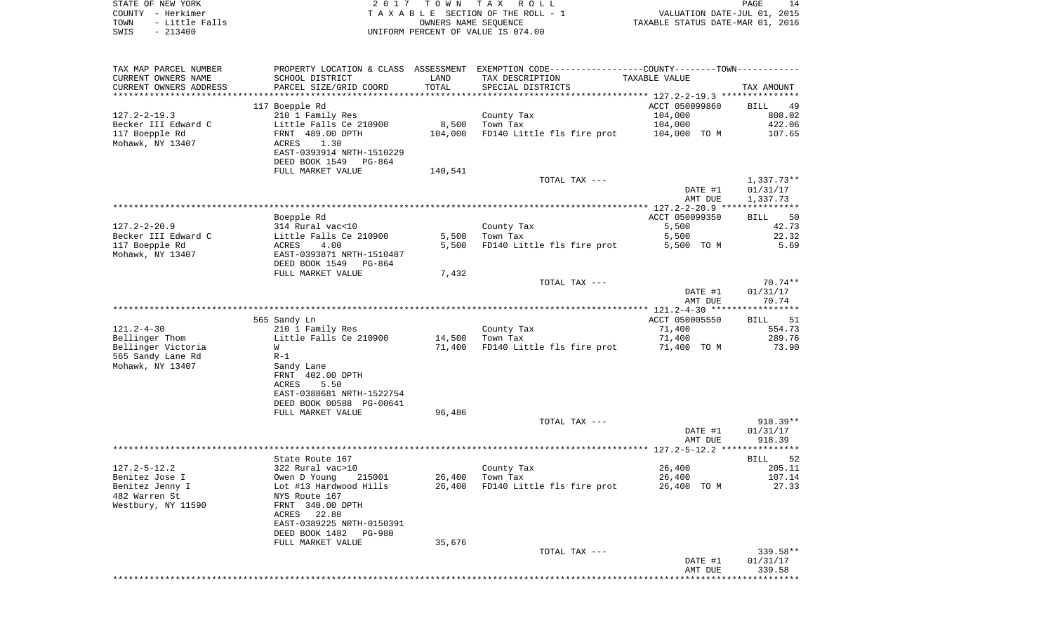| STATE OF NEW YORK |                | 2017 TOWN TAX ROLL                 |                                  | PAGE |  |
|-------------------|----------------|------------------------------------|----------------------------------|------|--|
| COUNTY - Herkimer |                | TAXABLE SECTION OF THE ROLL - 1    | VALUATION DATE-JUL 01, 2015      |      |  |
| TOWN              | - Little Falls | OWNERS NAME SEOUENCE               | TAXABLE STATUS DATE-MAR 01, 2016 |      |  |
| SWIS              | - 213400       | UNIFORM PERCENT OF VALUE IS 074.00 |                                  |      |  |
|                   |                |                                    |                                  |      |  |

 $\frac{14}{2015}$ <br>2016

| TAX MAP PARCEL NUMBER  | PROPERTY LOCATION & CLASS ASSESSMENT EXEMPTION CODE---------------COUNTY-------TOWN---------- |         |                            |                |                      |
|------------------------|-----------------------------------------------------------------------------------------------|---------|----------------------------|----------------|----------------------|
| CURRENT OWNERS NAME    | SCHOOL DISTRICT                                                                               | LAND    | TAX DESCRIPTION            | TAXABLE VALUE  |                      |
| CURRENT OWNERS ADDRESS | PARCEL SIZE/GRID COORD                                                                        | TOTAL   | SPECIAL DISTRICTS          |                | TAX AMOUNT           |
|                        |                                                                                               |         |                            |                |                      |
|                        | 117 Boepple Rd                                                                                |         |                            | ACCT 050099860 | BILL<br>49           |
| $127.2 - 2 - 19.3$     | 210 1 Family Res                                                                              |         | County Tax                 | 104,000        | 808.02               |
| Becker III Edward C    | Little Falls Ce 210900                                                                        | 8,500   | Town Tax                   | 104,000        | 422.06               |
| 117 Boepple Rd         | FRNT 489.00 DPTH                                                                              | 104,000 | FD140 Little fls fire prot | 104,000 TO M   | 107.65               |
| Mohawk, NY 13407       | ACRES<br>1.30                                                                                 |         |                            |                |                      |
|                        | EAST-0393914 NRTH-1510229                                                                     |         |                            |                |                      |
|                        | DEED BOOK 1549<br>PG-864                                                                      |         |                            |                |                      |
|                        | FULL MARKET VALUE                                                                             | 140,541 |                            |                |                      |
|                        |                                                                                               |         | TOTAL TAX ---              |                | $1,337.73**$         |
|                        |                                                                                               |         |                            | DATE #1        | 01/31/17             |
|                        |                                                                                               |         |                            | AMT DUE        | 1,337.73             |
|                        |                                                                                               |         |                            |                |                      |
|                        | Boepple Rd                                                                                    |         |                            | ACCT 050099350 | BILL 50              |
| $127.2 - 2 - 20.9$     | 314 Rural vac<10                                                                              |         | County Tax                 | 5,500          | 42.73                |
| Becker III Edward C    | Little Falls Ce 210900                                                                        | 5,500   | Town Tax                   | 5,500          | 22.32                |
| 117 Boepple Rd         | ACRES<br>4.00                                                                                 | 5,500   | FD140 Little fls fire prot | 5,500 TO M     | 5.69                 |
| Mohawk, NY 13407       | EAST-0393871 NRTH-1510487                                                                     |         |                            |                |                      |
|                        | DEED BOOK 1549<br>PG-864                                                                      |         |                            |                |                      |
|                        | FULL MARKET VALUE                                                                             | 7,432   |                            |                |                      |
|                        |                                                                                               |         | TOTAL TAX ---              |                | $70.74**$            |
|                        |                                                                                               |         |                            | DATE #1        | 01/31/17             |
|                        |                                                                                               |         |                            | AMT DUE        | 70.74                |
|                        |                                                                                               |         |                            |                |                      |
|                        |                                                                                               |         |                            | ACCT 050005550 |                      |
|                        | 565 Sandy Ln                                                                                  |         |                            |                | BILL<br>51<br>554.73 |
| $121.2 - 4 - 30$       | 210 1 Family Res                                                                              |         | County Tax                 | 71,400         |                      |
| Bellinger Thom         | Little Falls Ce 210900                                                                        | 14,500  | Town Tax                   | 71,400         | 289.76               |
| Bellinger Victoria     | W                                                                                             | 71,400  | FD140 Little fls fire prot | 71,400 TO M    | 73.90                |
| 565 Sandy Lane Rd      | $R-1$                                                                                         |         |                            |                |                      |
| Mohawk, NY 13407       | Sandy Lane                                                                                    |         |                            |                |                      |
|                        | FRNT 402.00 DPTH                                                                              |         |                            |                |                      |
|                        | 5.50<br>ACRES                                                                                 |         |                            |                |                      |
|                        | EAST-0388681 NRTH-1522754                                                                     |         |                            |                |                      |
|                        | DEED BOOK 00588 PG-00641                                                                      |         |                            |                |                      |
|                        | FULL MARKET VALUE                                                                             | 96,486  |                            |                |                      |
|                        |                                                                                               |         | TOTAL TAX ---              |                | $918.39**$           |
|                        |                                                                                               |         |                            | DATE #1        | 01/31/17             |
|                        |                                                                                               |         |                            | AMT DUE        | 918.39               |
|                        |                                                                                               |         |                            |                |                      |
|                        | State Route 167                                                                               |         |                            |                | <b>BILL</b><br>52    |
| $127.2 - 5 - 12.2$     | 322 Rural vac>10                                                                              |         | County Tax                 | 26,400         | 205.11               |
| Benitez Jose I         | Owen D Young<br>215001                                                                        | 26,400  | Town Tax                   | 26,400         | 107.14               |
| Benitez Jenny I        | Lot #13 Hardwood Hills                                                                        | 26,400  | FD140 Little fls fire prot | 26,400 TO M    | 27.33                |
| 482 Warren St          | NYS Route 167                                                                                 |         |                            |                |                      |
| Westbury, NY 11590     | FRNT 340.00 DPTH                                                                              |         |                            |                |                      |
|                        | 22.80<br>ACRES                                                                                |         |                            |                |                      |
|                        | EAST-0389225 NRTH-0150391                                                                     |         |                            |                |                      |
|                        | DEED BOOK 1482<br>PG-980                                                                      |         |                            |                |                      |
|                        | FULL MARKET VALUE                                                                             | 35,676  |                            |                |                      |
|                        |                                                                                               |         | TOTAL TAX ---              |                | 339.58**             |
|                        |                                                                                               |         |                            | DATE #1        | 01/31/17             |
|                        |                                                                                               |         |                            | AMT DUE        | 339.58               |
|                        |                                                                                               |         |                            |                |                      |
|                        |                                                                                               |         |                            |                |                      |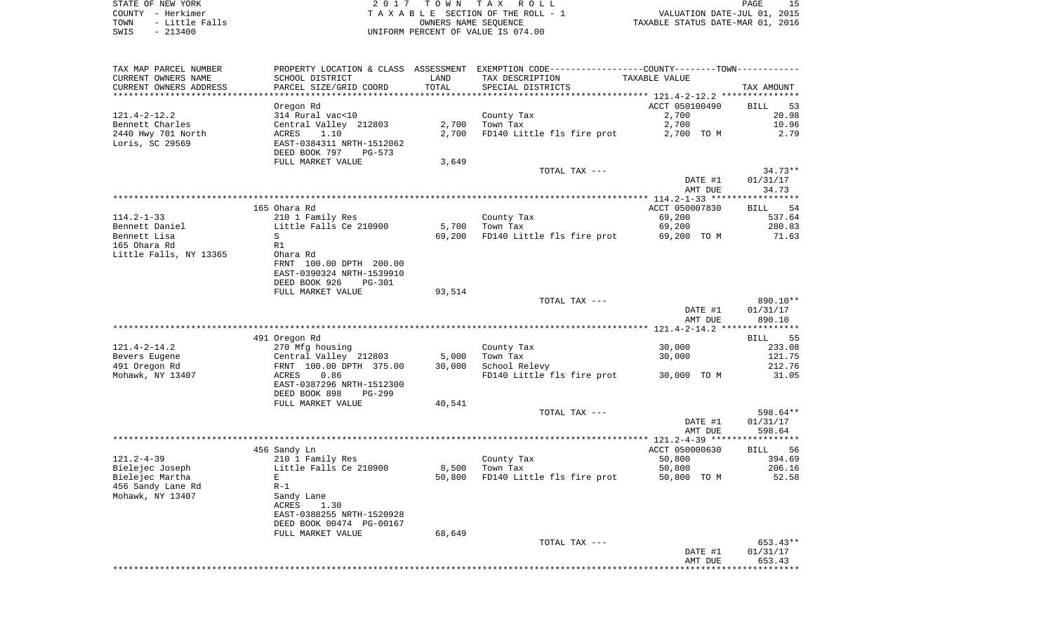STATE OF NEW YORK 2 0 1 7 T O W N T A X R O L L PAGE 15 COUNTY - Herkimer T A X A B L E SECTION OF THE ROLL - 1 VALUATION DATE-JUL 01, 2015 TOWN - Little Falls OWNERS NAME SEQUENCE TAXABLE STATUS DATE-MAR 01, 2016 SWIS - 213400 UNIFORM PERCENT OF VALUE IS 074.00

| TAX MAP PARCEL NUMBER                 |                                            |             | PROPERTY LOCATION & CLASS ASSESSMENT EXEMPTION CODE----------------COUNTY--------TOWN---------- |                                                    |                   |
|---------------------------------------|--------------------------------------------|-------------|-------------------------------------------------------------------------------------------------|----------------------------------------------------|-------------------|
| CURRENT OWNERS NAME                   | SCHOOL DISTRICT                            | LAND        | TAX DESCRIPTION                                                                                 | TAXABLE VALUE                                      |                   |
| CURRENT OWNERS ADDRESS                | PARCEL SIZE/GRID COORD                     | TOTAL       | SPECIAL DISTRICTS                                                                               |                                                    | TAX AMOUNT        |
| *********************                 | **********************                     | *********** |                                                                                                 | ********************* 121.4-2-12.2 *************** |                   |
|                                       | Oregon Rd                                  |             |                                                                                                 | ACCT 050100490                                     | <b>BILL</b><br>53 |
| $121.4 - 2 - 12.2$                    | 314 Rural vac<10                           |             | County Tax                                                                                      | 2,700                                              | 20.98             |
| Bennett Charles                       | Central Valley 212803                      | 2,700       | Town Tax                                                                                        | 2,700                                              | 10.96<br>2.79     |
| 2440 Hwy 701 North<br>Loris, SC 29569 | ACRES<br>1.10<br>EAST-0384311 NRTH-1512062 | 2,700       | FD140 Little fls fire prot                                                                      | 2,700 TO M                                         |                   |
|                                       | DEED BOOK 797<br>PG-573                    |             |                                                                                                 |                                                    |                   |
|                                       | FULL MARKET VALUE                          | 3,649       |                                                                                                 |                                                    |                   |
|                                       |                                            |             | TOTAL TAX ---                                                                                   |                                                    | $34.73**$         |
|                                       |                                            |             |                                                                                                 | DATE #1                                            | 01/31/17          |
|                                       |                                            |             |                                                                                                 | AMT DUE                                            | 34.73             |
|                                       |                                            |             |                                                                                                 |                                                    |                   |
|                                       | 165 Ohara Rd                               |             |                                                                                                 | ACCT 050007830                                     | 54<br><b>BILL</b> |
| $114.2 - 1 - 33$                      | 210 1 Family Res                           |             | County Tax                                                                                      | 69,200                                             | 537.64            |
| Bennett Daniel                        | Little Falls Ce 210900                     | 5,700       | Town Tax                                                                                        | 69,200                                             | 280.83            |
| Bennett Lisa                          | S                                          | 69,200      | FD140 Little fls fire prot                                                                      | 69,200 TO M                                        | 71.63             |
| 165 Ohara Rd                          | R1                                         |             |                                                                                                 |                                                    |                   |
| Little Falls, NY 13365                | Ohara Rd                                   |             |                                                                                                 |                                                    |                   |
|                                       | FRNT 100.00 DPTH 200.00                    |             |                                                                                                 |                                                    |                   |
|                                       | EAST-0390324 NRTH-1539910<br><b>PG-301</b> |             |                                                                                                 |                                                    |                   |
|                                       | DEED BOOK 926<br>FULL MARKET VALUE         | 93,514      |                                                                                                 |                                                    |                   |
|                                       |                                            |             | TOTAL TAX ---                                                                                   |                                                    | 890.10**          |
|                                       |                                            |             |                                                                                                 | DATE #1                                            | 01/31/17          |
|                                       |                                            |             |                                                                                                 | AMT DUE                                            | 890.10            |
|                                       |                                            |             |                                                                                                 |                                                    |                   |
|                                       | 491 Oregon Rd                              |             |                                                                                                 |                                                    | <b>BILL</b><br>55 |
| $121.4 - 2 - 14.2$                    | 270 Mfg housing                            |             | County Tax                                                                                      | 30,000                                             | 233.08            |
| Bevers Eugene                         | Central Valley 212803                      | 5,000       | Town Tax                                                                                        | 30,000                                             | 121.75            |
| 491 Oregon Rd                         | FRNT 100.00 DPTH 375.00                    | 30,000      | School Relevy                                                                                   |                                                    | 212.76            |
| Mohawk, NY 13407                      | ACRES<br>0.86                              |             | FD140 Little fls fire prot                                                                      | 30,000 TO M                                        | 31.05             |
|                                       | EAST-0387296 NRTH-1512300                  |             |                                                                                                 |                                                    |                   |
|                                       | DEED BOOK 898<br>$PG-299$                  |             |                                                                                                 |                                                    |                   |
|                                       | FULL MARKET VALUE                          | 40,541      | TOTAL TAX ---                                                                                   |                                                    | 598.64**          |
|                                       |                                            |             |                                                                                                 | DATE #1                                            | 01/31/17          |
|                                       |                                            |             |                                                                                                 | AMT DUE                                            | 598.64            |
|                                       |                                            |             |                                                                                                 |                                                    |                   |
|                                       | 456 Sandy Ln                               |             |                                                                                                 | ACCT 050000630                                     | <b>BILL</b><br>56 |
| $121.2 - 4 - 39$                      | 210 1 Family Res                           |             | County Tax                                                                                      | 50,800                                             | 394.69            |
| Bielejec Joseph                       | Little Falls Ce 210900                     | 8,500       | Town Tax                                                                                        | 50,800                                             | 206.16            |
| Bielejec Martha                       | E                                          | 50,800      | FD140 Little fls fire prot                                                                      | 50,800 TO M                                        | 52.58             |
| 456 Sandy Lane Rd                     | $R-1$                                      |             |                                                                                                 |                                                    |                   |
| Mohawk, NY 13407                      | Sandy Lane                                 |             |                                                                                                 |                                                    |                   |
|                                       | ACRES<br>1.30                              |             |                                                                                                 |                                                    |                   |
|                                       | EAST-0388255 NRTH-1520928                  |             |                                                                                                 |                                                    |                   |
|                                       | DEED BOOK 00474 PG-00167                   | 68,649      |                                                                                                 |                                                    |                   |
|                                       | FULL MARKET VALUE                          |             | TOTAL TAX ---                                                                                   |                                                    | 653.43**          |
|                                       |                                            |             |                                                                                                 | DATE #1                                            | 01/31/17          |
|                                       |                                            |             |                                                                                                 | AMT DUE                                            | 653.43            |
|                                       |                                            |             |                                                                                                 |                                                    | *********         |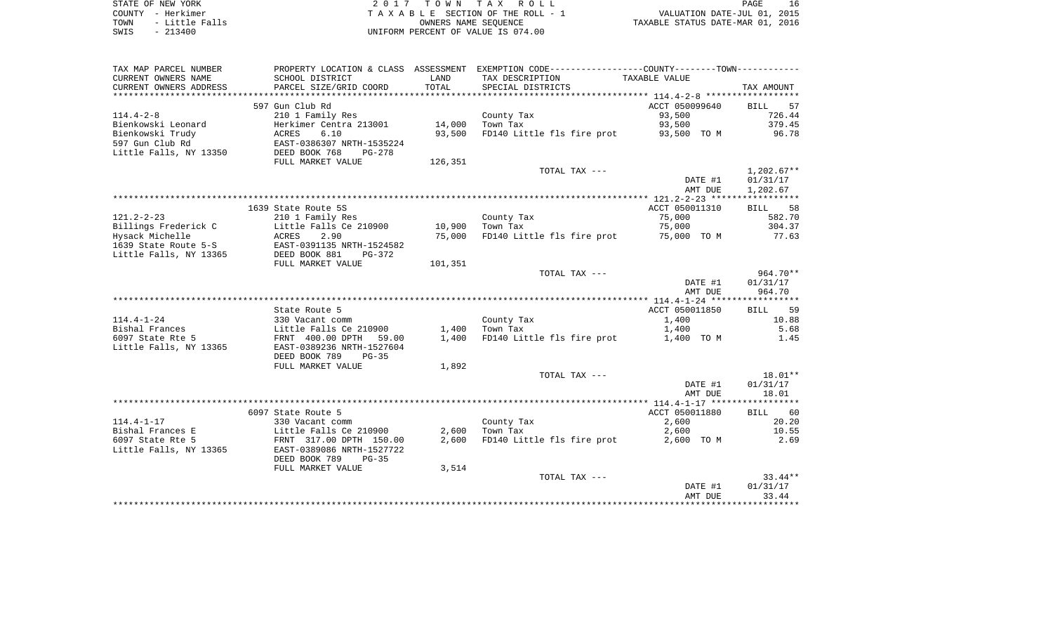| STATE OF NEW YORK |  |           |                |  |
|-------------------|--|-----------|----------------|--|
| COUNTY - Herkimer |  |           |                |  |
| TOWN              |  |           | - Little Falls |  |
| SWIS              |  | $-213400$ |                |  |

2017 TOWN TAX ROLL TA X A B L E SECTION OF THE ROLL - 1 TOWN - Little Falls OWNERS NAME SEQUENCE TAXABLE STATUS DATE-MAR 01, 2016 SWIS - 213400 UNIFORM PERCENT OF VALUE IS 074.00

| CURRENT OWNERS NAME<br>SCHOOL DISTRICT<br>TAX DESCRIPTION<br>TAXABLE VALUE<br>LAND<br>TOTAL<br>CURRENT OWNERS ADDRESS<br>PARCEL SIZE/GRID COORD<br>SPECIAL DISTRICTS<br>****************************<br>***********************<br>597 Gun Club Rd<br>ACCT 050099640<br>$114.4 - 2 - 8$<br>210 1 Family Res<br>County Tax<br>93,500<br>Bienkowski Leonard<br>14,000<br>93,500<br>Herkimer Centra 213001<br>Town Tax<br>Bienkowski Trudy<br>6.10<br>93,500<br>FD140 Little fls fire prot<br>ACRES<br>93,500 TO M<br>597 Gun Club Rd<br>EAST-0386307 NRTH-1535224<br>Little Falls, NY 13350<br>DEED BOOK 768<br>$PG-278$<br>126,351<br>FULL MARKET VALUE<br>TOTAL TAX ---<br>DATE #1<br>AMT DUE | TAX AMOUNT<br>57<br><b>BILL</b><br>726.44<br>379.45<br>96.78<br>$1,202.67**$<br>01/31/17<br>1,202.67 |
|-----------------------------------------------------------------------------------------------------------------------------------------------------------------------------------------------------------------------------------------------------------------------------------------------------------------------------------------------------------------------------------------------------------------------------------------------------------------------------------------------------------------------------------------------------------------------------------------------------------------------------------------------------------------------------------------------|------------------------------------------------------------------------------------------------------|
|                                                                                                                                                                                                                                                                                                                                                                                                                                                                                                                                                                                                                                                                                               |                                                                                                      |
|                                                                                                                                                                                                                                                                                                                                                                                                                                                                                                                                                                                                                                                                                               |                                                                                                      |
|                                                                                                                                                                                                                                                                                                                                                                                                                                                                                                                                                                                                                                                                                               |                                                                                                      |
|                                                                                                                                                                                                                                                                                                                                                                                                                                                                                                                                                                                                                                                                                               |                                                                                                      |
|                                                                                                                                                                                                                                                                                                                                                                                                                                                                                                                                                                                                                                                                                               |                                                                                                      |
|                                                                                                                                                                                                                                                                                                                                                                                                                                                                                                                                                                                                                                                                                               |                                                                                                      |
|                                                                                                                                                                                                                                                                                                                                                                                                                                                                                                                                                                                                                                                                                               |                                                                                                      |
|                                                                                                                                                                                                                                                                                                                                                                                                                                                                                                                                                                                                                                                                                               |                                                                                                      |
|                                                                                                                                                                                                                                                                                                                                                                                                                                                                                                                                                                                                                                                                                               |                                                                                                      |
|                                                                                                                                                                                                                                                                                                                                                                                                                                                                                                                                                                                                                                                                                               |                                                                                                      |
|                                                                                                                                                                                                                                                                                                                                                                                                                                                                                                                                                                                                                                                                                               |                                                                                                      |
|                                                                                                                                                                                                                                                                                                                                                                                                                                                                                                                                                                                                                                                                                               |                                                                                                      |
|                                                                                                                                                                                                                                                                                                                                                                                                                                                                                                                                                                                                                                                                                               |                                                                                                      |
|                                                                                                                                                                                                                                                                                                                                                                                                                                                                                                                                                                                                                                                                                               |                                                                                                      |
| 1639 State Route 5S<br>ACCT 050011310                                                                                                                                                                                                                                                                                                                                                                                                                                                                                                                                                                                                                                                         | 58<br><b>BILL</b>                                                                                    |
| $121.2 - 2 - 23$<br>75,000<br>210 1 Family Res<br>County Tax                                                                                                                                                                                                                                                                                                                                                                                                                                                                                                                                                                                                                                  | 582.70                                                                                               |
| 75,000<br>Billings Frederick C<br>Little Falls Ce 210900<br>10,900<br>Town Tax                                                                                                                                                                                                                                                                                                                                                                                                                                                                                                                                                                                                                | 304.37                                                                                               |
| Hysack Michelle<br>ACRES<br>2.90<br>75,000<br>FD140 Little fls fire prot<br>75,000 TO M                                                                                                                                                                                                                                                                                                                                                                                                                                                                                                                                                                                                       | 77.63                                                                                                |
| EAST-0391135 NRTH-1524582<br>1639 State Route 5-S                                                                                                                                                                                                                                                                                                                                                                                                                                                                                                                                                                                                                                             |                                                                                                      |
| Little Falls, NY 13365<br>DEED BOOK 881<br>PG-372                                                                                                                                                                                                                                                                                                                                                                                                                                                                                                                                                                                                                                             |                                                                                                      |
| 101,351<br>FULL MARKET VALUE                                                                                                                                                                                                                                                                                                                                                                                                                                                                                                                                                                                                                                                                  | 964.70**                                                                                             |
| TOTAL TAX ---<br>DATE #1                                                                                                                                                                                                                                                                                                                                                                                                                                                                                                                                                                                                                                                                      | 01/31/17                                                                                             |
| AMT DUE                                                                                                                                                                                                                                                                                                                                                                                                                                                                                                                                                                                                                                                                                       | 964.70                                                                                               |
|                                                                                                                                                                                                                                                                                                                                                                                                                                                                                                                                                                                                                                                                                               |                                                                                                      |
| State Route 5<br>ACCT 050011850                                                                                                                                                                                                                                                                                                                                                                                                                                                                                                                                                                                                                                                               | 59<br>BILL                                                                                           |
| $114.4 - 1 - 24$<br>1,400<br>330 Vacant comm<br>County Tax                                                                                                                                                                                                                                                                                                                                                                                                                                                                                                                                                                                                                                    | 10.88                                                                                                |
| Bishal Frances<br>1,400<br>Town Tax<br>1,400<br>Little Falls Ce 210900                                                                                                                                                                                                                                                                                                                                                                                                                                                                                                                                                                                                                        | 5.68                                                                                                 |
| 6097 State Rte 5<br>FD140 Little fls fire prot<br>FRNT 400.00 DPTH<br>1,400<br>1,400 TO M<br>59.00                                                                                                                                                                                                                                                                                                                                                                                                                                                                                                                                                                                            | 1.45                                                                                                 |
| Little Falls, NY 13365<br>EAST-0389236 NRTH-1527604                                                                                                                                                                                                                                                                                                                                                                                                                                                                                                                                                                                                                                           |                                                                                                      |
| DEED BOOK 789<br>$PG-35$                                                                                                                                                                                                                                                                                                                                                                                                                                                                                                                                                                                                                                                                      |                                                                                                      |
| FULL MARKET VALUE<br>1,892                                                                                                                                                                                                                                                                                                                                                                                                                                                                                                                                                                                                                                                                    |                                                                                                      |
| TOTAL TAX ---                                                                                                                                                                                                                                                                                                                                                                                                                                                                                                                                                                                                                                                                                 | 18.01**                                                                                              |
| DATE #1                                                                                                                                                                                                                                                                                                                                                                                                                                                                                                                                                                                                                                                                                       | 01/31/17                                                                                             |
| AMT DUE                                                                                                                                                                                                                                                                                                                                                                                                                                                                                                                                                                                                                                                                                       | 18.01                                                                                                |
|                                                                                                                                                                                                                                                                                                                                                                                                                                                                                                                                                                                                                                                                                               |                                                                                                      |
| ACCT 050011880<br>6097 State Route 5                                                                                                                                                                                                                                                                                                                                                                                                                                                                                                                                                                                                                                                          | BILL 60                                                                                              |
| $114.4 - 1 - 17$<br>2,600<br>330 Vacant comm<br>County Tax                                                                                                                                                                                                                                                                                                                                                                                                                                                                                                                                                                                                                                    | 20.20                                                                                                |
| Bishal Frances E<br>2,600<br>Little Falls Ce 210900<br>Town Tax<br>2,600                                                                                                                                                                                                                                                                                                                                                                                                                                                                                                                                                                                                                      | 10.55                                                                                                |
| 6097 State Rte 5<br>2,600<br>FD140 Little fls fire prot<br>FRNT 317.00 DPTH 150.00<br>2,600 TO M                                                                                                                                                                                                                                                                                                                                                                                                                                                                                                                                                                                              | 2.69                                                                                                 |
| Little Falls, NY 13365<br>EAST-0389086 NRTH-1527722                                                                                                                                                                                                                                                                                                                                                                                                                                                                                                                                                                                                                                           |                                                                                                      |
| DEED BOOK 789<br>$PG-35$                                                                                                                                                                                                                                                                                                                                                                                                                                                                                                                                                                                                                                                                      |                                                                                                      |
| FULL MARKET VALUE<br>3,514                                                                                                                                                                                                                                                                                                                                                                                                                                                                                                                                                                                                                                                                    |                                                                                                      |
| TOTAL TAX ---                                                                                                                                                                                                                                                                                                                                                                                                                                                                                                                                                                                                                                                                                 | $33.44**$                                                                                            |
| DATE #1                                                                                                                                                                                                                                                                                                                                                                                                                                                                                                                                                                                                                                                                                       | 01/31/17                                                                                             |
| AMT DUE                                                                                                                                                                                                                                                                                                                                                                                                                                                                                                                                                                                                                                                                                       | 33.44                                                                                                |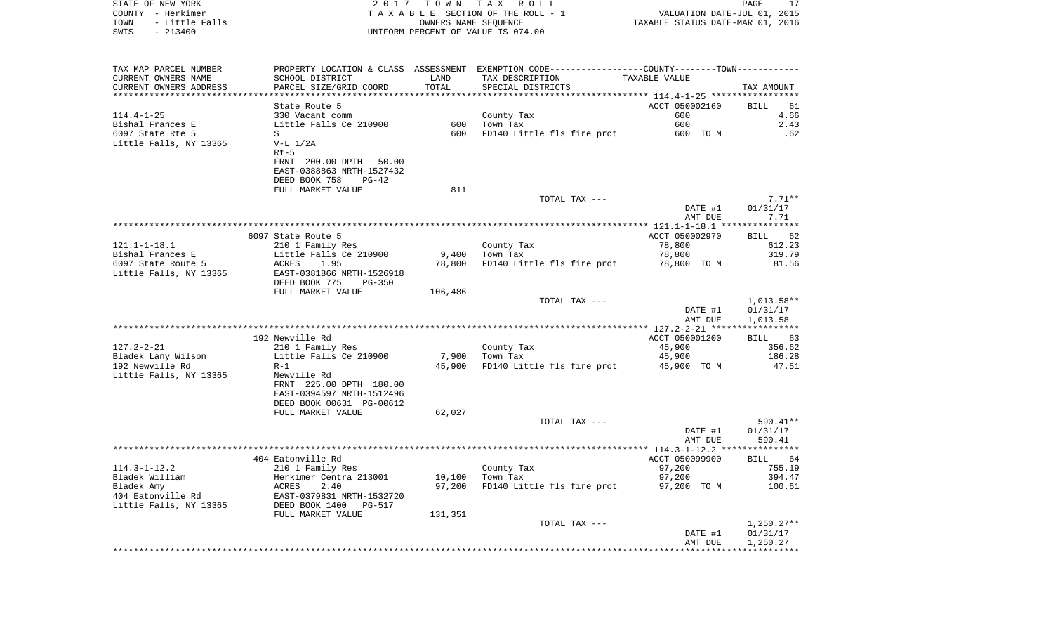| TOWN<br>- Little Falls<br>$-213400$<br>SWIS |                                            |         | OWNERS NAME SEQUENCE<br>UNIFORM PERCENT OF VALUE IS 074.00                                      | TAXABLE STATUS DATE-MAR 01, 2016 |                             |
|---------------------------------------------|--------------------------------------------|---------|-------------------------------------------------------------------------------------------------|----------------------------------|-----------------------------|
|                                             |                                            |         |                                                                                                 |                                  |                             |
| TAX MAP PARCEL NUMBER                       |                                            |         | PROPERTY LOCATION & CLASS ASSESSMENT EXEMPTION CODE----------------COUNTY--------TOWN---------- |                                  |                             |
| CURRENT OWNERS NAME                         | SCHOOL DISTRICT                            | LAND    | TAX DESCRIPTION                                                                                 | TAXABLE VALUE                    |                             |
| CURRENT OWNERS ADDRESS                      | PARCEL SIZE/GRID COORD                     | TOTAL   | SPECIAL DISTRICTS                                                                               |                                  | TAX AMOUNT                  |
| ***********************                     |                                            |         |                                                                                                 |                                  |                             |
|                                             | State Route 5                              |         |                                                                                                 | ACCT 050002160<br>600            | BILL<br>61<br>4.66          |
| 114.4-1-25<br>Bishal Frances E              | 330 Vacant comm<br>Little Falls Ce 210900  | 600     | County Tax<br>Town Tax                                                                          | 600                              | 2.43                        |
| 6097 State Rte 5                            | S                                          | 600     | FD140 Little fls fire prot                                                                      | 600 TO M                         | .62                         |
| Little Falls, NY 13365                      | $V-L 1/2A$                                 |         |                                                                                                 |                                  |                             |
|                                             | $Rt-5$                                     |         |                                                                                                 |                                  |                             |
|                                             | FRNT 200.00 DPTH 50.00                     |         |                                                                                                 |                                  |                             |
|                                             | EAST-0388863 NRTH-1527432                  |         |                                                                                                 |                                  |                             |
|                                             | DEED BOOK 758<br>PG-42                     |         |                                                                                                 |                                  |                             |
|                                             | FULL MARKET VALUE                          | 811     |                                                                                                 |                                  |                             |
|                                             |                                            |         | TOTAL TAX ---                                                                                   |                                  | $7.71**$                    |
|                                             |                                            |         |                                                                                                 | DATE #1                          | 01/31/17                    |
|                                             |                                            |         |                                                                                                 | AMT DUE                          | 7.71                        |
|                                             |                                            |         |                                                                                                 |                                  | ***********                 |
| 121.1-1-18.1                                | 6097 State Route 5<br>210 1 Family Res     |         | County Tax                                                                                      | ACCT 050002970<br>78,800         | 62<br><b>BILL</b><br>612.23 |
| Bishal Frances E                            | Little Falls Ce 210900                     | 9,400   | Town Tax                                                                                        | 78,800                           | 319.79                      |
| 6097 State Route 5                          | ACRES<br>1.95                              | 78,800  | FD140 Little fls fire prot                                                                      | 78,800 TO M                      | 81.56                       |
| Little Falls, NY 13365                      | EAST-0381866 NRTH-1526918                  |         |                                                                                                 |                                  |                             |
|                                             | DEED BOOK 775<br>PG-350                    |         |                                                                                                 |                                  |                             |
|                                             | FULL MARKET VALUE                          | 106,486 |                                                                                                 |                                  |                             |
|                                             |                                            |         | TOTAL TAX ---                                                                                   |                                  | $1,013.58**$                |
|                                             |                                            |         |                                                                                                 | DATE #1                          | 01/31/17                    |
|                                             |                                            |         |                                                                                                 | AMT DUE                          | 1,013.58                    |
|                                             |                                            |         |                                                                                                 |                                  |                             |
|                                             | 192 Newville Rd                            |         |                                                                                                 | ACCT 050001200                   | <b>BILL</b><br>63           |
| 127.2-2-21<br>Bladek Lany Wilson            | 210 1 Family Res<br>Little Falls Ce 210900 | 7,900   | County Tax<br>Town Tax                                                                          | 45,900<br>45,900                 | 356.62<br>186.28            |
| 192 Newville Rd                             | $R-1$                                      | 45,900  | FD140 Little fls fire prot                                                                      | 45,900 TO M                      | 47.51                       |
| Little Falls, NY 13365                      | Newville Rd                                |         |                                                                                                 |                                  |                             |
|                                             | FRNT 225.00 DPTH 180.00                    |         |                                                                                                 |                                  |                             |
|                                             | EAST-0394597 NRTH-1512496                  |         |                                                                                                 |                                  |                             |
|                                             | DEED BOOK 00631 PG-00612                   |         |                                                                                                 |                                  |                             |
|                                             | FULL MARKET VALUE                          | 62,027  |                                                                                                 |                                  |                             |
|                                             |                                            |         | TOTAL TAX ---                                                                                   |                                  | 590.41**                    |
|                                             |                                            |         |                                                                                                 | DATE #1                          | 01/31/17                    |
|                                             |                                            |         |                                                                                                 | AMT DUE                          | 590.41                      |
|                                             |                                            |         |                                                                                                 |                                  |                             |
| 114.3-1-12.2                                | 404 Eatonville Rd<br>210 1 Family Res      |         | County Tax                                                                                      | ACCT 050099900<br>97,200         | BILL 64<br>755.19           |
| Bladek William                              | Herkimer Centra 213001                     | 10,100  | Town Tax                                                                                        | 97,200                           | 394.47                      |
| Bladek Amy                                  |                                            | 97,200  | FD140 Little fls fire prot                                                                      | 97,200 TO M                      | 100.61                      |
| 404 Eatonville Rd                           | ACRES 2.40<br>EAST-0379831 NRTH-1532720    |         |                                                                                                 |                                  |                             |
| Little Falls, NY 13365                      | DEED BOOK 1400 PG-517                      |         |                                                                                                 |                                  |                             |
|                                             | FULL MARKET VALUE                          | 131,351 |                                                                                                 |                                  |                             |
|                                             |                                            |         | TOTAL TAX ---                                                                                   |                                  | $1,250.27**$                |
|                                             |                                            |         |                                                                                                 | DATE #1                          | 01/31/17                    |
|                                             |                                            |         |                                                                                                 | AMT DUE                          | 1,250.27                    |
|                                             |                                            |         |                                                                                                 |                                  |                             |

STATE OF NEW YORK 2 0 1 7 T O W N T A X R O L L PAGE 17 COUNTY - Herkimer T A X A B L E SECTION OF THE ROLL - 1 VALUATION DATE-JUL 01, 2015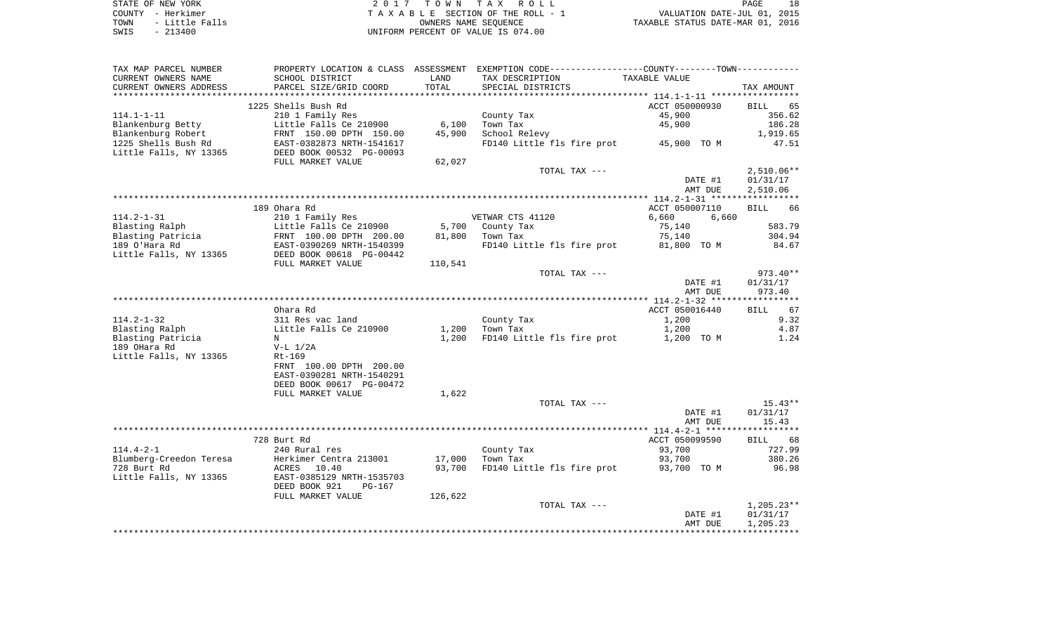| STATE OF NEW YORK |  |           |                |
|-------------------|--|-----------|----------------|
| COUNTY - Herkimer |  |           |                |
| TOWN              |  |           | - Little Falls |
| SWIS              |  | $-213400$ |                |

2017 TOWN TAX ROLL TA X A B L E SECTION OF THE ROLL - 1 TOWN - Little Falls OWNERS NAME SEQUENCE TAXABLE STATUS DATE-MAR 01, 2016 SWIS - 213400 UNIFORM PERCENT OF VALUE IS 074.00

| TAX MAP PARCEL NUMBER                             |                                                                                                            |         |                                        |                |              |
|---------------------------------------------------|------------------------------------------------------------------------------------------------------------|---------|----------------------------------------|----------------|--------------|
| CURRENT OWNERS NAME                               | SCHOOL DISTRICT                                                                                            | LAND    | TAX DESCRIPTION                        | TAXABLE VALUE  |              |
| CURRENT OWNERS ADDRESS                            | PARCEL SIZE/GRID COORD                                                                                     | TOTAL   | SPECIAL DISTRICTS                      |                | TAX AMOUNT   |
|                                                   |                                                                                                            |         |                                        |                |              |
|                                                   | 1225 Shells Bush Rd                                                                                        |         |                                        | ACCT 050000930 | BILL 65      |
| 114.1-1-11                                        | 210 1 Family Res                                                                                           |         | County Tax                             | 45,900         | 356.62       |
|                                                   |                                                                                                            | 6,100   | Town Tax                               | 45,900         | 186.28       |
|                                                   |                                                                                                            |         | School Relevy                          |                |              |
|                                                   |                                                                                                            | 45,900  |                                        |                | 1,919.65     |
|                                                   |                                                                                                            |         | FD140 Little fls fire prot 45,900 TO M |                | 47.51        |
|                                                   |                                                                                                            |         |                                        |                |              |
|                                                   | FULL MARKET VALUE                                                                                          | 62,027  |                                        |                |              |
|                                                   |                                                                                                            |         | TOTAL TAX ---                          |                | $2,510.06**$ |
|                                                   |                                                                                                            |         |                                        | DATE #1        | 01/31/17     |
|                                                   |                                                                                                            |         |                                        | AMT DUE        | 2,510.06     |
|                                                   |                                                                                                            |         |                                        |                |              |
|                                                   | 189 Ohara Rd                                                                                               |         |                                        | ACCT 050007110 | BILL 66      |
| 114.2-1-31                                        | 210 1 Family Res                                                                                           |         | VETWAR CTS 41120                       | 6,660<br>6,660 |              |
| Blasting Ralph                                    |                                                                                                            |         | 5,700 County Tax                       | 75,140         | 583.79       |
|                                                   | Little Falls Ce 210900<br>FRNT 100.00 DPTH 200.00<br>EAST-0390269 NRTH-1540399<br>DEED BOOK 00618 PG-00442 |         |                                        |                | 304.94       |
| ----<br>Blasting Patricia<br>189 O'Hara Rd        |                                                                                                            |         | 81,800 Town Tax                        | 75,140         |              |
|                                                   |                                                                                                            |         | FD140 Little fls fire prot 81,800 TO M |                | 84.67        |
| Little Falls, NY 13365                            |                                                                                                            |         |                                        |                |              |
|                                                   | FULL MARKET VALUE                                                                                          | 110,541 |                                        |                |              |
|                                                   |                                                                                                            |         | TOTAL TAX ---                          |                | 973.40**     |
|                                                   |                                                                                                            |         |                                        | DATE #1        | 01/31/17     |
|                                                   |                                                                                                            |         |                                        | AMT DUE        | 973.40       |
|                                                   |                                                                                                            |         |                                        |                |              |
|                                                   | Ohara Rd                                                                                                   |         |                                        | ACCT 050016440 | BILL 67      |
| 114.2-1-32                                        |                                                                                                            |         | County Tax                             | 1,200          | 9.32         |
| Blasting Ralph                                    |                                                                                                            |         |                                        | 1,200          | 4.87         |
|                                                   | N                                                                                                          | 1,200   | FD140 Little fls fire prot 1,200 TO M  |                | 1.24         |
| Blasting Patricia<br>189 OHara Rd<br>189 OHara Rd | V-L 1/2A                                                                                                   |         |                                        |                |              |
|                                                   |                                                                                                            |         |                                        |                |              |
| Little Falls, NY 13365                            | Rt-169                                                                                                     |         |                                        |                |              |
|                                                   | FRNT 100.00 DPTH 200.00                                                                                    |         |                                        |                |              |
|                                                   | EAST-0390281 NRTH-1540291                                                                                  |         |                                        |                |              |
|                                                   | DEED BOOK 00617 PG-00472                                                                                   |         |                                        |                |              |
|                                                   | FULL MARKET VALUE                                                                                          | 1,622   |                                        |                |              |
|                                                   |                                                                                                            |         | TOTAL TAX ---                          |                | $15.43**$    |
|                                                   |                                                                                                            |         |                                        | DATE #1        | 01/31/17     |
|                                                   |                                                                                                            |         |                                        | AMT DUE        | 15.43        |
|                                                   |                                                                                                            |         |                                        |                |              |
|                                                   | 728 Burt Rd                                                                                                |         |                                        | ACCT 050099590 | BILL 68      |
| 114.4-2-1                                         | 240 Rural res                                                                                              |         |                                        | 93,700         | 727.99       |
|                                                   |                                                                                                            | 17,000  | County Tax<br>Town Tax                 | 93,700         | 380.26       |
|                                                   |                                                                                                            |         |                                        |                |              |
|                                                   |                                                                                                            | 93,700  | FD140 Little fls fire prot 93,700 TO M |                | 96.98        |
|                                                   |                                                                                                            |         |                                        |                |              |
|                                                   | DEED BOOK 921<br>PG-167                                                                                    |         |                                        |                |              |
|                                                   | FULL MARKET VALUE                                                                                          | 126,622 |                                        |                |              |
|                                                   |                                                                                                            |         | TOTAL TAX ---                          |                | $1,205.23**$ |
|                                                   |                                                                                                            |         |                                        | DATE #1        | 01/31/17     |
|                                                   |                                                                                                            |         |                                        | AMT DUE        | 1,205.23     |
|                                                   |                                                                                                            |         |                                        |                |              |
|                                                   |                                                                                                            |         |                                        |                |              |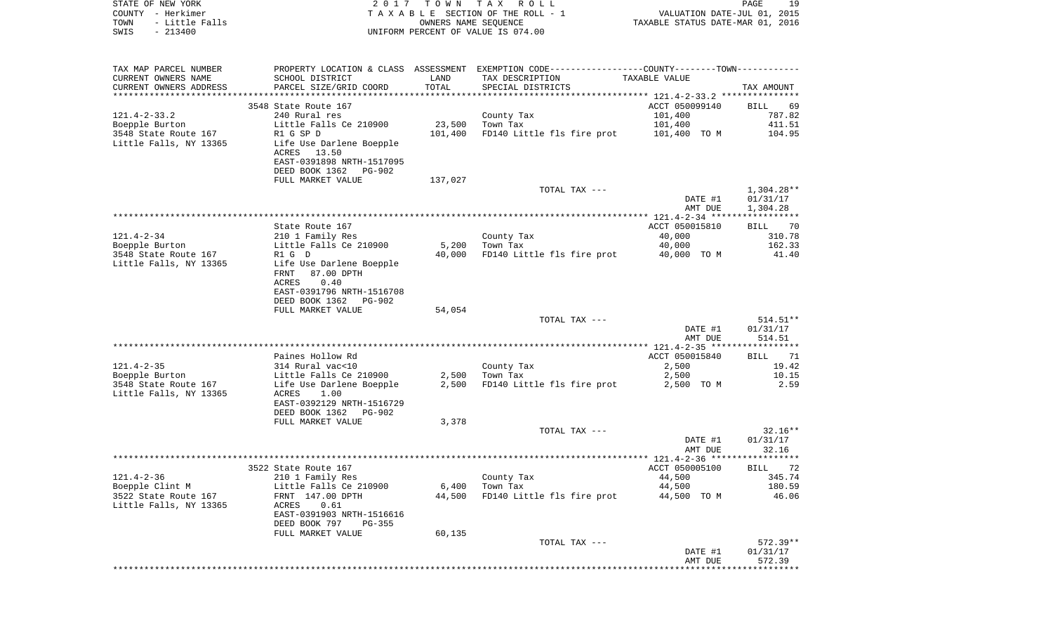| STATE OF NEW YORK<br>COUNTY - Herkimer |                             |                      | 2017 TOWN TAX ROLL<br>TAXABLE SECTION OF THE ROLL - 1                                         | VALUATION DATE-JUL 01, 2015      | 19<br>PAGE         |
|----------------------------------------|-----------------------------|----------------------|-----------------------------------------------------------------------------------------------|----------------------------------|--------------------|
| - Little Falls<br>TOWN                 |                             | OWNERS NAME SEQUENCE |                                                                                               | TAXABLE STATUS DATE-MAR 01, 2016 |                    |
| $-213400$<br>SWIS                      |                             |                      | UNIFORM PERCENT OF VALUE IS 074.00                                                            |                                  |                    |
|                                        |                             |                      |                                                                                               |                                  |                    |
| TAX MAP PARCEL NUMBER                  |                             |                      | PROPERTY LOCATION & CLASS ASSESSMENT EXEMPTION CODE---------------COUNTY-------TOWN---------- |                                  |                    |
| CURRENT OWNERS NAME                    | SCHOOL DISTRICT             | LAND                 | TAX DESCRIPTION                                                                               | TAXABLE VALUE                    |                    |
| CURRENT OWNERS ADDRESS                 | PARCEL SIZE/GRID COORD      | TOTAL                | SPECIAL DISTRICTS                                                                             |                                  | TAX AMOUNT         |
| ***********************                | *************************** |                      |                                                                                               |                                  |                    |
|                                        | 3548 State Route 167        |                      |                                                                                               | ACCT 050099140                   | <b>BILL</b><br>-69 |
| $121.4 - 2 - 33.2$                     | 240 Rural res               |                      | County Tax                                                                                    | 101,400                          | 787.82             |
| Boepple Burton                         | Little Falls Ce 210900      | 23,500               | Town Tax                                                                                      | 101,400                          | 411.51             |
| 3548 State Route 167                   | R1 G SP D                   | 101,400              | FD140 Little fls fire prot                                                                    | 101,400 TO M                     | 104.95             |
| Little Falls, NY 13365                 | Life Use Darlene Boepple    |                      |                                                                                               |                                  |                    |
|                                        | ACRES 13.50                 |                      |                                                                                               |                                  |                    |
|                                        | EAST-0391898 NRTH-1517095   |                      |                                                                                               |                                  |                    |
|                                        | DEED BOOK 1362<br>PG-902    |                      |                                                                                               |                                  |                    |
|                                        | FULL MARKET VALUE           | 137,027              | TOTAL TAX ---                                                                                 |                                  | $1,304.28**$       |
|                                        |                             |                      |                                                                                               | DATE #1                          | 01/31/17           |
|                                        |                             |                      |                                                                                               | AMT DUE                          | 1,304.28           |
|                                        |                             |                      |                                                                                               |                                  |                    |
|                                        | State Route 167             |                      |                                                                                               | ACCT 050015810                   | BILL 70            |
| 121.4-2-34                             | 210 1 Family Res            |                      | County Tax                                                                                    | 40,000                           | 310.78             |
| Boepple Burton                         | Little Falls Ce 210900      | 5,200                | Town Tax                                                                                      | 40,000                           | 162.33             |
| 3548 State Route 167                   | R1 G D                      | 40,000               | FD140 Little fls fire prot                                                                    | 40,000 TO M                      | 41.40              |
| Little Falls, NY 13365                 | Life Use Darlene Boepple    |                      |                                                                                               |                                  |                    |
|                                        | 87.00 DPTH<br>FRNT          |                      |                                                                                               |                                  |                    |
|                                        | ACRES<br>0.40               |                      |                                                                                               |                                  |                    |
|                                        | EAST-0391796 NRTH-1516708   |                      |                                                                                               |                                  |                    |
|                                        | DEED BOOK 1362<br>PG-902    |                      |                                                                                               |                                  |                    |
|                                        | FULL MARKET VALUE           | 54,054               |                                                                                               |                                  |                    |
|                                        |                             |                      | TOTAL TAX ---                                                                                 |                                  | $514.51**$         |
|                                        |                             |                      |                                                                                               | DATE #1<br>AMT DUE               | 01/31/17<br>514.51 |
|                                        |                             |                      |                                                                                               |                                  |                    |
|                                        | Paines Hollow Rd            |                      |                                                                                               | ACCT 050015840                   | BILL<br>71         |
| $121.4 - 2 - 35$                       | 314 Rural vac<10            |                      | County Tax                                                                                    | 2,500                            | 19.42              |
| Boepple Burton                         | Little Falls Ce 210900      | 2,500                | Town Tax                                                                                      | 2,500                            | 10.15              |
| 3548 State Route 167                   | Life Use Darlene Boepple    | 2,500                | FD140 Little fls fire prot                                                                    | 2,500 TO M                       | 2.59               |
| Little Falls, NY 13365                 | 1.00<br>ACRES               |                      |                                                                                               |                                  |                    |
|                                        | EAST-0392129 NRTH-1516729   |                      |                                                                                               |                                  |                    |
|                                        | DEED BOOK 1362<br>PG-902    |                      |                                                                                               |                                  |                    |
|                                        | FULL MARKET VALUE           | 3,378                |                                                                                               |                                  |                    |
|                                        |                             |                      | TOTAL TAX ---                                                                                 |                                  | $32.16**$          |
|                                        |                             |                      |                                                                                               | DATE #1                          | 01/31/17           |
|                                        |                             |                      |                                                                                               | AMT DUE                          | 32.16              |
|                                        | 3522 State Route 167        |                      |                                                                                               | ACCT 050005100 BILL 72           |                    |
| $121.4 - 2 - 36$                       | 210 1 Family Res            |                      | County Tax                                                                                    | 44,500                           | 345.74             |
| Boepple Clint M                        | Little Falls Ce 210900      | 6,400                | Town Tax                                                                                      | 44,500                           | 180.59             |
| 3522 State Route 167                   | FRNT 147.00 DPTH            | 44,500               | FD140 Little fls fire prot                                                                    | 44,500 TO M                      | 46.06              |
| Little Falls, NY 13365                 | 0.61<br>ACRES               |                      |                                                                                               |                                  |                    |
|                                        | EAST-0391903 NRTH-1516616   |                      |                                                                                               |                                  |                    |
|                                        | DEED BOOK 797<br>$PG-355$   |                      |                                                                                               |                                  |                    |
|                                        | FULL MARKET VALUE           | 60,135               |                                                                                               |                                  |                    |
|                                        |                             |                      | TOTAL TAX ---                                                                                 |                                  | $572.39**$         |
|                                        |                             |                      |                                                                                               | DATE #1                          | 01/31/17           |
|                                        |                             |                      |                                                                                               | AMT DUE                          | 572.39             |
|                                        |                             |                      |                                                                                               |                                  |                    |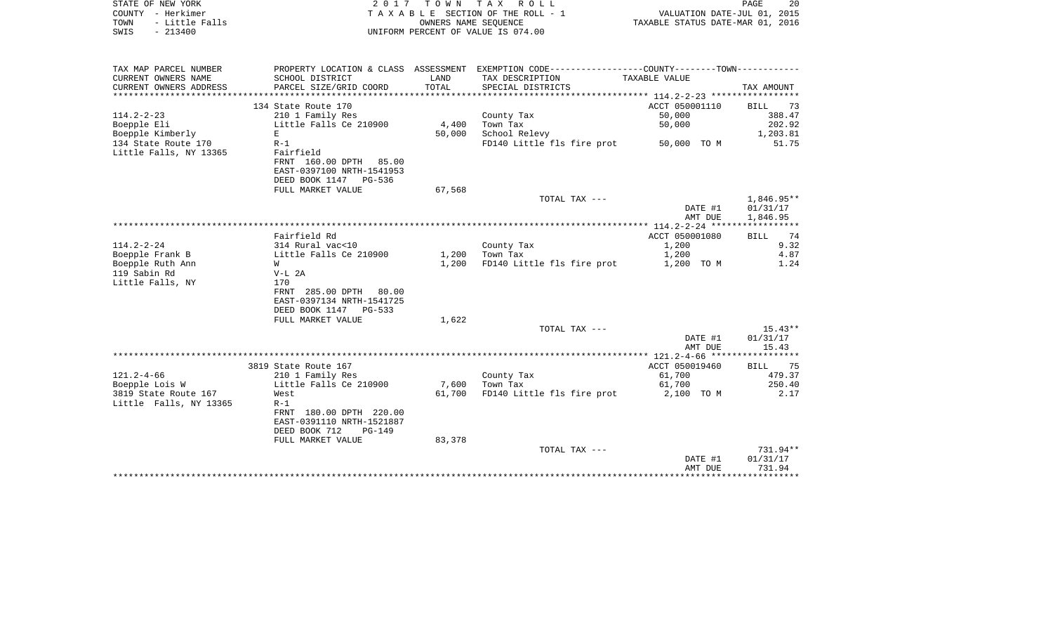| STATE OF NEW YORK<br>COUNTY - Herkimer<br>- Little Falls<br>TOWN<br>$-213400$<br>SWIS | 2017                             | T O W N<br>OWNERS NAME SEQUENCE | TAX ROLL<br>TAXABLE SECTION OF THE ROLL - 1<br>UNIFORM PERCENT OF VALUE IS 074.00                                 | VALUATION DATE-JUL 01, 2015<br>TAXABLE STATUS DATE-MAR 01, 2016 | PAGE<br>20        |
|---------------------------------------------------------------------------------------|----------------------------------|---------------------------------|-------------------------------------------------------------------------------------------------------------------|-----------------------------------------------------------------|-------------------|
|                                                                                       |                                  |                                 |                                                                                                                   |                                                                 |                   |
| TAX MAP PARCEL NUMBER<br>CURRENT OWNERS NAME                                          | SCHOOL DISTRICT                  | LAND                            | PROPERTY LOCATION & CLASS ASSESSMENT EXEMPTION CODE----------------COUNTY-------TOWN----------<br>TAX DESCRIPTION | TAXABLE VALUE                                                   |                   |
| CURRENT OWNERS ADDRESS                                                                | PARCEL SIZE/GRID COORD           | TOTAL                           | SPECIAL DISTRICTS                                                                                                 |                                                                 | TAX AMOUNT        |
| **********************                                                                |                                  |                                 |                                                                                                                   |                                                                 |                   |
|                                                                                       | 134 State Route 170              |                                 |                                                                                                                   | ACCT 050001110                                                  | <b>BILL</b><br>73 |
| $114.2 - 2 - 23$                                                                      | 210 1 Family Res                 |                                 | County Tax                                                                                                        | 50,000                                                          | 388.47            |
| Boepple Eli                                                                           | Little Falls Ce 210900           | 4,400                           | Town Tax                                                                                                          | 50,000                                                          | 202.92            |
| Boepple Kimberly                                                                      | Е.                               | 50,000                          | School Relevy                                                                                                     |                                                                 | 1,203.81<br>51.75 |
| 134 State Route 170<br>Little Falls, NY 13365                                         | $R-1$<br>Fairfield               |                                 | FD140 Little fls fire prot                                                                                        | 50,000 TO M                                                     |                   |
|                                                                                       | FRNT 160.00 DPTH 85.00           |                                 |                                                                                                                   |                                                                 |                   |
|                                                                                       | EAST-0397100 NRTH-1541953        |                                 |                                                                                                                   |                                                                 |                   |
|                                                                                       | DEED BOOK 1147 PG-536            |                                 |                                                                                                                   |                                                                 |                   |
|                                                                                       | FULL MARKET VALUE                | 67,568                          |                                                                                                                   |                                                                 |                   |
|                                                                                       |                                  |                                 | TOTAL TAX ---                                                                                                     |                                                                 | 1,846.95**        |
|                                                                                       |                                  |                                 |                                                                                                                   | DATE #1                                                         | 01/31/17          |
|                                                                                       |                                  |                                 |                                                                                                                   | AMT DUE<br>**************** 114.2-2-24 **********               | 1,846.95<br>***** |
|                                                                                       | Fairfield Rd                     |                                 |                                                                                                                   | ACCT 050001080                                                  | 74<br><b>BILL</b> |
| $114.2 - 2 - 24$                                                                      | 314 Rural vac<10                 |                                 | County Tax                                                                                                        | 1,200                                                           | 9.32              |
| Boepple Frank B                                                                       | Little Falls Ce 210900           | 1,200                           | Town Tax                                                                                                          | 1,200                                                           | 4.87              |
| Boepple Ruth Ann                                                                      | W                                | 1,200                           | FD140 Little fls fire prot                                                                                        | 1,200 TO M                                                      | 1.24              |
| 119 Sabin Rd                                                                          | $V-L$ 2A                         |                                 |                                                                                                                   |                                                                 |                   |
| Little Falls, NY                                                                      | 170                              |                                 |                                                                                                                   |                                                                 |                   |
|                                                                                       | FRNT 285.00 DPTH<br>80.00        |                                 |                                                                                                                   |                                                                 |                   |
|                                                                                       | EAST-0397134 NRTH-1541725        |                                 |                                                                                                                   |                                                                 |                   |
|                                                                                       | DEED BOOK 1147 PG-533            |                                 |                                                                                                                   |                                                                 |                   |
|                                                                                       | FULL MARKET VALUE                | 1,622                           | TOTAL TAX ---                                                                                                     |                                                                 | $15.43**$         |
|                                                                                       |                                  |                                 |                                                                                                                   | DATE #1                                                         | 01/31/17          |
|                                                                                       |                                  |                                 |                                                                                                                   | AMT DUE                                                         | 15.43             |
|                                                                                       |                                  |                                 |                                                                                                                   |                                                                 |                   |
|                                                                                       | 3819 State Route 167             |                                 |                                                                                                                   | ACCT 050019460                                                  | 75<br>BILL        |
| $121.2 - 4 - 66$                                                                      | 210 1 Family Res                 |                                 | County Tax                                                                                                        | 61,700                                                          | 479.37            |
| Boepple Lois W                                                                        | Little Falls Ce 210900           | 7,600                           | Town Tax                                                                                                          | 61,700                                                          | 250.40            |
| 3819 State Route 167                                                                  | West                             | 61,700                          | FD140 Little fls fire prot                                                                                        | 2,100 TO M                                                      | 2.17              |
| Little Falls, NY 13365                                                                | $R-1$<br>FRNT 180.00 DPTH 220.00 |                                 |                                                                                                                   |                                                                 |                   |
|                                                                                       | EAST-0391110 NRTH-1521887        |                                 |                                                                                                                   |                                                                 |                   |
|                                                                                       | DEED BOOK 712<br>$PG-149$        |                                 |                                                                                                                   |                                                                 |                   |
|                                                                                       | FULL MARKET VALUE                | 83,378                          |                                                                                                                   |                                                                 |                   |
|                                                                                       |                                  |                                 | TOTAL TAX ---                                                                                                     |                                                                 | 731.94**          |
|                                                                                       |                                  |                                 |                                                                                                                   | DATE #1                                                         | 01/31/17          |
|                                                                                       |                                  |                                 |                                                                                                                   | AMT DUE                                                         | 731.94            |
|                                                                                       |                                  |                                 |                                                                                                                   | ********************************                                |                   |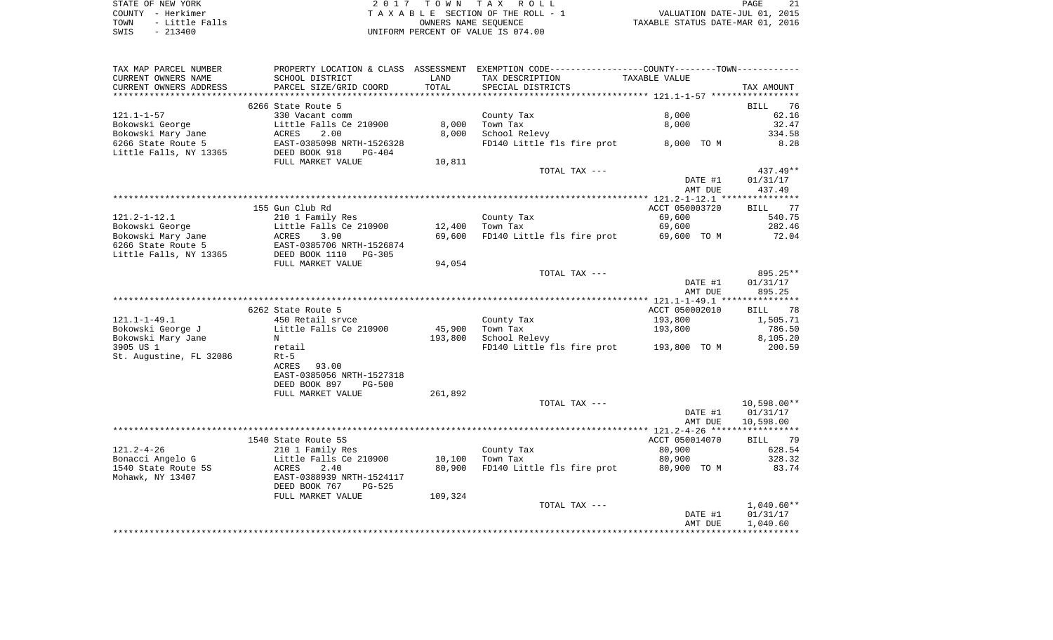STATE OF NEW YORK **EXECUTE:** TOWN TAX ROLL COUNTY - Herkimer<br>
T A X A B L E SECTION OF THE ROLL - 1<br>
TOWN - Little Falls<br>
SWIS - 213400 - 2013400 - UNIFORM PERCENT OF VALUE IS 074.00 TOWN - LITTLE SECTION OF THE ROLL - 1<br>
TAXABLE STATUS DATE-JUL 01, 2015<br>
OWNERS NAME SEQUENCE TAXABLE STATUS DATE-MAR 01, 2016 SWIS - 213400 UNIFORM PERCENT OF VALUE IS 074.00

| TAX MAP PARCEL NUMBER   | PROPERTY LOCATION & CLASS ASSESSMENT EXEMPTION CODE----------------COUNTY-------TOWN---------- |         |                                         |                |                   |
|-------------------------|------------------------------------------------------------------------------------------------|---------|-----------------------------------------|----------------|-------------------|
| CURRENT OWNERS NAME     | SCHOOL DISTRICT                                                                                | LAND    | TAX DESCRIPTION                         | TAXABLE VALUE  |                   |
| CURRENT OWNERS ADDRESS  | PARCEL SIZE/GRID COORD                                                                         | TOTAL   | SPECIAL DISTRICTS                       |                | TAX AMOUNT        |
|                         |                                                                                                |         |                                         |                |                   |
|                         | 6266 State Route 5                                                                             |         |                                         |                | BILL 76           |
| $121.1 - 1 - 57$        | 330 Vacant comm                                                                                |         | County Tax                              | 8,000          | 62.16             |
| Bokowski George         | Little Falls Ce 210900                                                                         | 8,000   | Town Tax                                | 8,000          | 32.47             |
|                         |                                                                                                |         |                                         |                |                   |
| Bokowski Mary Jane      | 2.00<br>ACRES                                                                                  | 8,000   | School Relevy                           |                | 334.58            |
| 6266 State Route 5      | EAST-0385098 NRTH-1526328<br>DEED BOOK 918 PG-404                                              |         | FD140 Little fls fire prot 8,000 TO M   |                | 8.28              |
| Little Falls, NY 13365  |                                                                                                |         |                                         |                |                   |
|                         | FULL MARKET VALUE                                                                              | 10,811  |                                         |                |                   |
|                         |                                                                                                |         | TOTAL TAX ---                           |                | $437.49**$        |
|                         |                                                                                                |         |                                         | DATE #1        | 01/31/17          |
|                         |                                                                                                |         |                                         | AMT DUE        | 437.49            |
|                         |                                                                                                |         |                                         |                |                   |
|                         | 155 Gun Club Rd                                                                                |         |                                         | ACCT 050003720 | BILL 77           |
| $121.2 - 1 - 12.1$      | 210 1 Family Res                                                                               |         | County Tax                              | 69,600         | 540.75            |
| Bokowski George         | Little Falls Ce 210900                                                                         | 12,400  | Town Tax                                | 69,600         | 282.46            |
|                         |                                                                                                |         |                                         |                |                   |
| Bokowski Mary Jane      | 3.90<br>ACRES                                                                                  | 69,600  | FD140 Little fls fire prot              | 69,600 TO M    | 72.04             |
| 6266 State Route 5      | EAST-0385706 NRTH-1526874<br>DEED BOOK 1110 PG-305                                             |         |                                         |                |                   |
| Little Falls, NY 13365  |                                                                                                |         |                                         |                |                   |
|                         | FULL MARKET VALUE                                                                              | 94,054  |                                         |                |                   |
|                         |                                                                                                |         | TOTAL TAX ---                           |                | 895.25**          |
|                         |                                                                                                |         |                                         | DATE #1        | 01/31/17          |
|                         |                                                                                                |         |                                         | AMT DUE        | 895.25            |
|                         |                                                                                                |         |                                         |                |                   |
|                         | 6262 State Route 5                                                                             |         |                                         | ACCT 050002010 | BILL 78           |
| $121.1 - 1 - 49.1$      | 450 Retail sryce                                                                               |         | County Tax                              | 193,800        | 1,505.71          |
| Bokowski George J       | Little Falls Ce 210900                                                                         | 45,900  | Town Tax                                | 193,800        | 786.50            |
| Bokowski Mary Jane      | $\mathbf N$                                                                                    | 193,800 | School Relevy                           |                | 8,105.20          |
|                         |                                                                                                |         |                                         |                |                   |
| 3905 US 1               | retail                                                                                         |         | FD140 Little fls fire prot 193,800 TO M |                | 200.59            |
| St. Augustine, FL 32086 | $Rt-5$                                                                                         |         |                                         |                |                   |
|                         | 93.00<br>ACRES                                                                                 |         |                                         |                |                   |
|                         | EAST-0385056 NRTH-1527318                                                                      |         |                                         |                |                   |
|                         | DEED BOOK 897<br><b>PG-500</b>                                                                 |         |                                         |                |                   |
|                         | FULL MARKET VALUE                                                                              | 261,892 |                                         |                |                   |
|                         |                                                                                                |         | TOTAL TAX ---                           |                | $10,598.00**$     |
|                         |                                                                                                |         |                                         | DATE #1        | 01/31/17          |
|                         |                                                                                                |         |                                         | AMT DUE        | 10,598.00         |
|                         |                                                                                                |         |                                         |                |                   |
|                         | 1540 State Route 5S                                                                            |         |                                         | ACCT 050014070 | <b>BILL</b><br>79 |
| $121.2 - 4 - 26$        |                                                                                                |         |                                         |                |                   |
|                         | 210 1 Family Res                                                                               |         | County Tax                              | 80,900         | 628.54            |
| Bonacci Angelo G        | Little Falls Ce 210900                                                                         | 10,100  | Town Tax                                | 80,900         | 328.32            |
| 1540 State Route 5S     | ACRES<br>2.40                                                                                  | 80,900  | FD140 Little fls fire prot              | 80,900 TO M    | 83.74             |
| Mohawk, NY 13407        | EAST-0388939 NRTH-1524117                                                                      |         |                                         |                |                   |
|                         | DEED BOOK 767<br>PG-525                                                                        |         |                                         |                |                   |
|                         | FULL MARKET VALUE                                                                              | 109,324 |                                         |                |                   |
|                         |                                                                                                |         | TOTAL TAX ---                           |                | $1,040.60**$      |
|                         |                                                                                                |         |                                         | DATE #1        | 01/31/17          |
|                         |                                                                                                |         |                                         | AMT DUE        | 1,040.60          |
|                         |                                                                                                |         |                                         |                |                   |
|                         |                                                                                                |         |                                         |                |                   |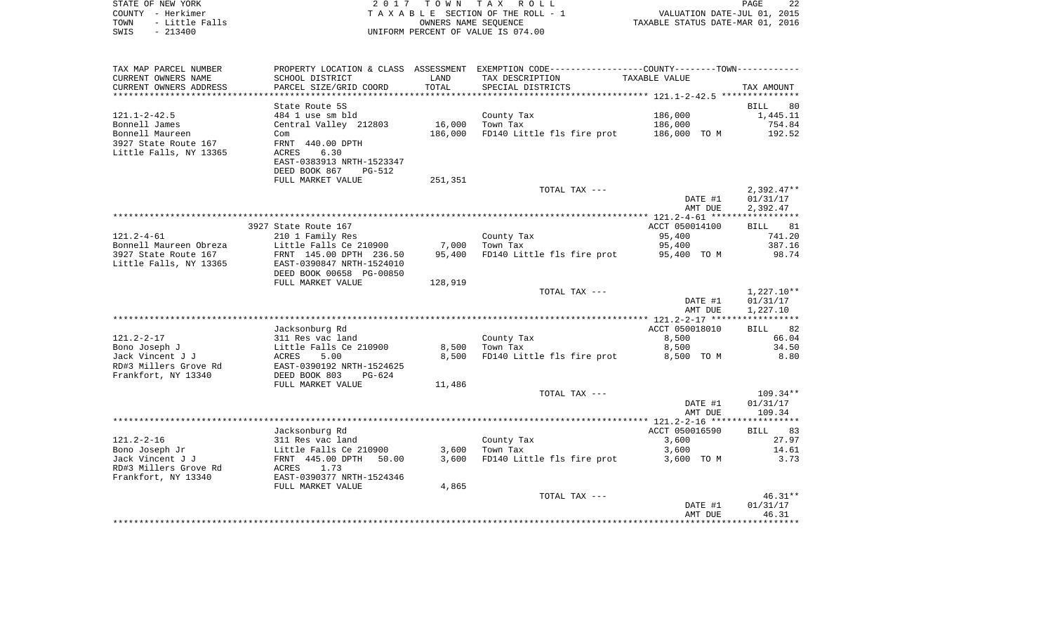| STATE OF NEW YORK<br>COUNTY - Herkimer<br>TOWN<br>- Little Falls<br>$-213400$<br>SWIS | 2 0 1 7                                                                                          | T O W N<br>OWNERS NAME SEOUENCE | TAX ROLL<br>TAXABLE SECTION OF THE ROLL - 1<br>UNIFORM PERCENT OF VALUE IS 074.00             | VALUATION DATE-JUL 01, 2015<br>TAXABLE STATUS DATE-MAR 01, 2016 | 22<br>PAGE                           |
|---------------------------------------------------------------------------------------|--------------------------------------------------------------------------------------------------|---------------------------------|-----------------------------------------------------------------------------------------------|-----------------------------------------------------------------|--------------------------------------|
| TAX MAP PARCEL NUMBER                                                                 |                                                                                                  |                                 | PROPERTY LOCATION & CLASS ASSESSMENT EXEMPTION CODE---------------COUNTY-------TOWN---------- |                                                                 |                                      |
| CURRENT OWNERS NAME<br>CURRENT OWNERS ADDRESS<br>***********************              | SCHOOL DISTRICT<br>PARCEL SIZE/GRID COORD                                                        | LAND<br>TOTAL                   | TAX DESCRIPTION<br>SPECIAL DISTRICTS                                                          | TAXABLE VALUE                                                   | TAX AMOUNT                           |
|                                                                                       | State Route 5S                                                                                   |                                 |                                                                                               |                                                                 | 80<br>BILL                           |
| $121.1 - 2 - 42.5$                                                                    | 484 1 use sm bld                                                                                 |                                 | County Tax                                                                                    | 186,000                                                         | 1,445.11                             |
| Bonnell James                                                                         | Central Valley 212803                                                                            | 16,000                          | Town Tax                                                                                      | 186,000                                                         | 754.84                               |
| Bonnell Maureen<br>3927 State Route 167<br>Little Falls, NY 13365                     | Com<br>FRNT 440.00 DPTH<br>ACRES<br>6.30<br>EAST-0383913 NRTH-1523347<br>DEED BOOK 867<br>PG-512 | 186,000                         | FD140 Little fls fire prot 186,000 TO M                                                       |                                                                 | 192.52                               |
|                                                                                       | FULL MARKET VALUE                                                                                | 251,351                         |                                                                                               |                                                                 |                                      |
|                                                                                       |                                                                                                  |                                 | TOTAL TAX ---                                                                                 | DATE #1<br>AMT DUE                                              | $2,392.47**$<br>01/31/17<br>2,392.47 |
|                                                                                       |                                                                                                  |                                 |                                                                                               |                                                                 |                                      |
|                                                                                       | 3927 State Route 167                                                                             |                                 |                                                                                               | ACCT 050014100                                                  | <b>BILL</b><br>81                    |
| $121.2 - 4 - 61$                                                                      | 210 1 Family Res                                                                                 |                                 | County Tax                                                                                    | 95,400                                                          | 741.20                               |
| Bonnell Maureen Obreza<br>3927 State Route 167                                        | Little Falls Ce 210900<br>FRNT 145.00 DPTH 236.50                                                | 7,000<br>95,400                 | Town Tax<br>FD140 Little fls fire prot                                                        | 95,400<br>95,400 TO M                                           | 387.16<br>98.74                      |
| Little Falls, NY 13365                                                                | EAST-0390847 NRTH-1524010<br>DEED BOOK 00658 PG-00850                                            |                                 |                                                                                               |                                                                 |                                      |
|                                                                                       | FULL MARKET VALUE                                                                                | 128,919                         |                                                                                               |                                                                 | $1,227.10**$                         |
|                                                                                       |                                                                                                  |                                 | TOTAL TAX ---                                                                                 | DATE #1<br>AMT DUE                                              | 01/31/17<br>1,227.10                 |
|                                                                                       |                                                                                                  |                                 |                                                                                               |                                                                 |                                      |
|                                                                                       | Jacksonburg Rd                                                                                   |                                 |                                                                                               | ACCT 050018010                                                  | 82<br>BILL                           |
| $121.2 - 2 - 17$<br>Bono Joseph J                                                     | 311 Res vac land<br>Little Falls Ce 210900                                                       | 8,500                           | County Tax<br>Town Tax                                                                        | 8,500<br>8,500                                                  | 66.04<br>34.50                       |
| Jack Vincent J J                                                                      | ACRES<br>5.00                                                                                    | 8,500                           | FD140 Little fls fire prot                                                                    | 8,500 TO M                                                      | 8.80                                 |
| RD#3 Millers Grove Rd<br>Frankfort, NY 13340                                          | EAST-0390192 NRTH-1524625<br>DEED BOOK 803<br>PG-624                                             |                                 |                                                                                               |                                                                 |                                      |
|                                                                                       | FULL MARKET VALUE                                                                                | 11,486                          |                                                                                               |                                                                 |                                      |
|                                                                                       |                                                                                                  |                                 | TOTAL TAX ---                                                                                 | DATE #1<br>AMT DUE                                              | $109.34**$<br>01/31/17<br>109.34     |
|                                                                                       |                                                                                                  |                                 |                                                                                               |                                                                 |                                      |
|                                                                                       | Jacksonburg Rd                                                                                   |                                 |                                                                                               | ACCT 050016590                                                  | <b>BILL</b><br>83                    |
| $121.2 - 2 - 16$                                                                      | 311 Res vac land                                                                                 |                                 | County Tax                                                                                    | 3,600                                                           | 27.97                                |
| Bono Joseph Jr<br>Jack Vincent J J                                                    | Little Falls Ce 210900<br>FRNT 445.00 DPTH 50.00                                                 | 3,600<br>3,600                  | Town Tax<br>FD140 Little fls fire prot                                                        | 3,600<br>3,600 TO M                                             | 14.61<br>3.73                        |
| RD#3 Millers Grove Rd<br>Frankfort, NY 13340                                          | 1.73<br>ACRES<br>EAST-0390377 NRTH-1524346                                                       |                                 |                                                                                               |                                                                 |                                      |
|                                                                                       | FULL MARKET VALUE                                                                                | 4,865                           |                                                                                               |                                                                 |                                      |
|                                                                                       |                                                                                                  |                                 | TOTAL TAX ---                                                                                 |                                                                 | $46.31**$                            |
|                                                                                       |                                                                                                  |                                 |                                                                                               | DATE #1                                                         | 01/31/17                             |
|                                                                                       |                                                                                                  |                                 |                                                                                               | AMT DUE<br>**************                                       | 46.31<br>* * * * * * * * * * *       |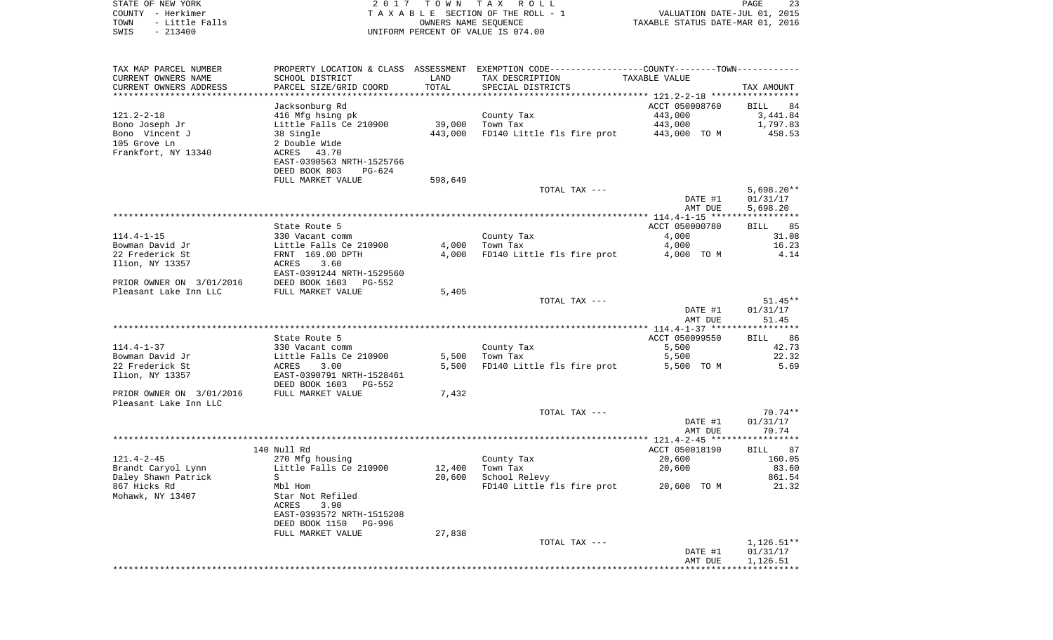STATE OF NEW YORK 2 0 1 7 T O W N T A X R O L L PAGE 23COUNTY - Herkimer **T A X A B L E** SECTION OF THE ROLL - 1 VALUATION DATE-JUL 01, 2015 TOWN - Little Falls OWNERS NAME SEQUENCE TAXABLE STATUS DATE-MAR 01, 2016 SWIS - 213400 UNIFORM PERCENT OF VALUE IS 074.00TAX MAP PARCEL NUMBER PROPERTY LOCATION & CLASS ASSESSMENT EXEMPTION CODE------------------COUNTY--------TOWN------------ CURRENT OWNERS NAME SCHOOL DISTRICT LAND TAX DESCRIPTION TAXABLE VALUECURRENT OWNERS ADDRESS PARCEL SIZE/GRID COORD TOTAL SPECIAL DISTRICTS TAX AMOUNT \*\*\*\*\*\*\*\*\*\*\*\*\*\*\*\*\*\*\*\*\*\*\*\*\*\*\*\*\*\*\*\*\*\*\*\*\*\*\*\*\*\*\*\*\*\*\*\*\*\*\*\*\*\*\*\*\*\*\*\*\*\*\*\*\*\*\*\*\*\*\*\*\*\*\*\*\*\*\*\*\*\*\*\*\*\*\*\*\*\*\*\*\*\*\*\*\*\*\*\*\*\*\* 121.2-2-18 \*\*\*\*\*\*\*\*\*\*\*\*\*\*\*\*\* Jacksonburg Rd ACCT 050008760 BILL 84 121.2-2-18 416 Mfg hsing pk County Tax 443,000 3,441.84 Bono Joseph Jr **Little Falls Ce 210900** 39,000 Town Tax 443,000 1,797.83 Bono Vincent J 38 Single 443,000 FD140 Little fls fire prot 443,000 TO M 458.53 105 Grove Ln 2 Double WideACRES 43.70 Frankfort, NY 13340 EAST-0390563 NRTH-1525766 DEED BOOK 803 PG-624FULL MARKET VALUE 598,649 TOTAL TAX  $---$  5,698.20\*\* DATE #1 01/31/17 AMT DUE 5,698.20 \*\*\*\*\*\*\*\*\*\*\*\*\*\*\*\*\*\*\*\*\*\*\*\*\*\*\*\*\*\*\*\*\*\*\*\*\*\*\*\*\*\*\*\*\*\*\*\*\*\*\*\*\*\*\*\*\*\*\*\*\*\*\*\*\*\*\*\*\*\*\*\*\*\*\*\*\*\*\*\*\*\*\*\*\*\*\*\*\*\*\*\*\*\*\*\*\*\*\*\*\*\*\* 114.4-1-15 \*\*\*\*\*\*\*\*\*\*\*\*\*\*\*\*\*85 State Route 5 ACCT 050000780 BILL 850000780 BILL 850000780 BILL 850000780 BILL 850000780 BILL 850000780 BILL 850000780 BILL 850000780 BILL 850000780 BILL 850000780 BILL 850000780 BILL 850000780 BILL 850000780 BILL 85000078 114.4-1-15 330 Vacant comm County Tax 4,000 31.08 Bowman David Jr Little Falls Ce 210900 4,000 Town Tax 4,000 16.23 22 Frederick St FRNT 169.00 DPTH 4,000 FD140 Little fls fire prot 4,000 TO M 4.14 Ilion, NY 13357 ACRES 3.60 EAST-0391244 NRTH-1529560PRIOR OWNER ON 3/01/2016 DEED BOOK 1603 PG-552 Pleasant Lake Inn LLC FULL MARKET VALUE 5,405 TOTAL TAX --- 51.45\*\* DATE #1 01/31/17 AMT DUE 51.45 \*\*\*\*\*\*\*\*\*\*\*\*\*\*\*\*\*\*\*\*\*\*\*\*\*\*\*\*\*\*\*\*\*\*\*\*\*\*\*\*\*\*\*\*\*\*\*\*\*\*\*\*\*\*\*\*\*\*\*\*\*\*\*\*\*\*\*\*\*\*\*\*\*\*\*\*\*\*\*\*\*\*\*\*\*\*\*\*\*\*\*\*\*\*\*\*\*\*\*\*\*\*\* 114.4-1-37 \*\*\*\*\*\*\*\*\*\*\*\*\*\*\*\*\*86 State Route 5 ACCT 050099550 BILL 86 ACCT 050099550 BILL 86 ACCT 050099550 BILL 86 ACCT 050099550 BILL 86 ACCT 114.4-1-37 330 Vacant comm County Tax 5,500 42.73 Bowman David Jr Little Falls Ce 210900 5,500 Town Tax 5,500 22.32 22 Frederick St ACRES 3.00 5,500 FD140 Little fls fire prot 5,500 TO M 5.69 Ilion, NY 13357 EAST-0390791 NRTH-1528461 DEED BOOK 1603 PG-552PRIOR OWNER ON 3/01/2016 FULL MARKET VALUE 7,432 Pleasant Lake Inn LLCTOTAL TAX  $---$  70.74\*\* DATE #1 01/31/17 AMT DUE 70.74 \*\*\*\*\*\*\*\*\*\*\*\*\*\*\*\*\*\*\*\*\*\*\*\*\*\*\*\*\*\*\*\*\*\*\*\*\*\*\*\*\*\*\*\*\*\*\*\*\*\*\*\*\*\*\*\*\*\*\*\*\*\*\*\*\*\*\*\*\*\*\*\*\*\*\*\*\*\*\*\*\*\*\*\*\*\*\*\*\*\*\*\*\*\*\*\*\*\*\*\*\*\*\* 121.4-2-45 \*\*\*\*\*\*\*\*\*\*\*\*\*\*\*\*\* 140 Null Rd ACCT 050018190 BILL 87121.4-2-45 270 Mfg housing County Tax 20,600 160.05 Brandt Caryol Lynn Little Falls Ce 210900 12,400 Town Tax 20,600 83.60 Daley Shawn Patrick S 3 861.54

867 Hicks Rd Mbl Hom FD140 Little fls fire prot 20,600 TO M 21.32 Star Not Refiled ACRES 3.90 EAST-0393572 NRTH-1515208DEED BOOK 1150 PG-996

FULL MARKET VALUE 27,838 TOTAL TAX  $---$  1,126.51\*\* DATE #1 01/31/17 AMT DUE 1,126.51

\*\*\*\*\*\*\*\*\*\*\*\*\*\*\*\*\*\*\*\*\*\*\*\*\*\*\*\*\*\*\*\*\*\*\*\*\*\*\*\*\*\*\*\*\*\*\*\*\*\*\*\*\*\*\*\*\*\*\*\*\*\*\*\*\*\*\*\*\*\*\*\*\*\*\*\*\*\*\*\*\*\*\*\*\*\*\*\*\*\*\*\*\*\*\*\*\*\*\*\*\*\*\*\*\*\*\*\*\*\*\*\*\*\*\*\*\*\*\*\*\*\*\*\*\*\*\*\*\*\*\*\*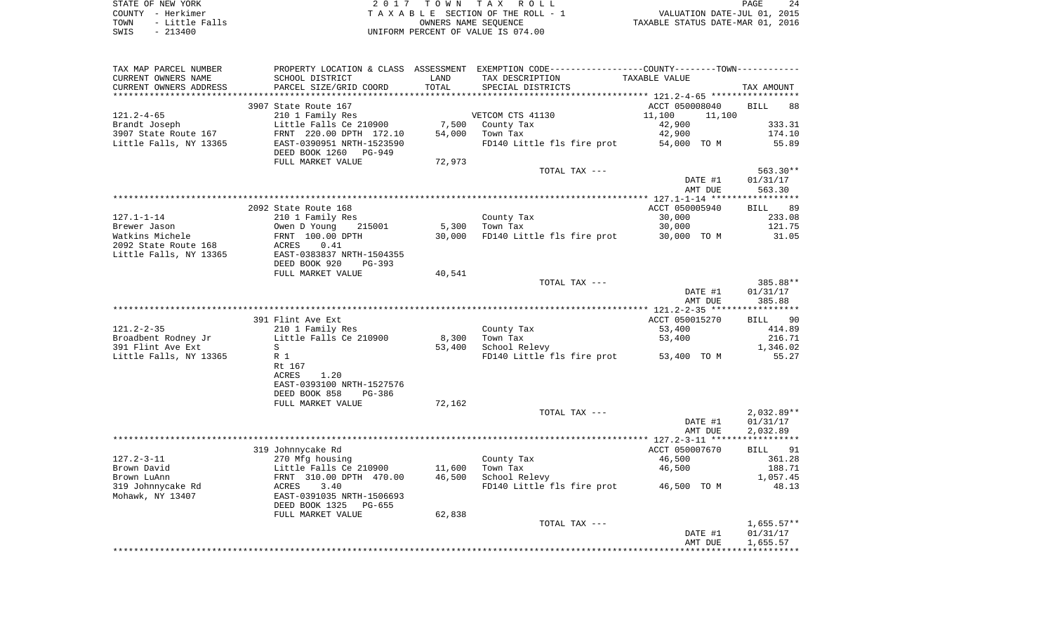| STATE OF NEW YORK |  |           |                |  |
|-------------------|--|-----------|----------------|--|
| COUNTY - Herkimer |  |           |                |  |
| TOWN              |  |           | - Little Falls |  |
| SWIS              |  | $-213400$ |                |  |

STATE OF NEW YORK 2 0 1 7 T O W N T A X R O L L PAGE 24TA X A B L E SECTION OF THE ROLL - 1 TOWN - Little Falls OWNERS NAME SEQUENCE TAXABLE STATUS DATE-MAR 01, 2016 SWIS - 213400 UNIFORM PERCENT OF VALUE IS 074.00

| TAX MAP PARCEL NUMBER  |                                                   |        | PROPERTY LOCATION & CLASS ASSESSMENT EXEMPTION CODE---------------COUNTY-------TOWN---------- |                  |              |
|------------------------|---------------------------------------------------|--------|-----------------------------------------------------------------------------------------------|------------------|--------------|
| CURRENT OWNERS NAME    | SCHOOL DISTRICT                                   | LAND   | TAX DESCRIPTION                                                                               | TAXABLE VALUE    |              |
| CURRENT OWNERS ADDRESS | PARCEL SIZE/GRID COORD                            | TOTAL  | SPECIAL DISTRICTS                                                                             |                  | TAX AMOUNT   |
|                        |                                                   |        |                                                                                               |                  |              |
|                        | 3907 State Route 167                              |        |                                                                                               | ACCT 050008040   | BILL<br>88   |
| $121.2 - 4 - 65$       | 210 1 Family Res                                  |        | VETCOM CTS 41130                                                                              | 11,100<br>11,100 |              |
| Brandt Joseph          | Little Falls Ce 210900                            |        | 7,500 County Tax                                                                              | 42,900           | 333.31       |
| 3907 State Route 167   | FRNT 220.00 DPTH 172.10                           | 54,000 | Town Tax                                                                                      | 42,900           | 174.10       |
| Little Falls, NY 13365 | EAST-0390951 NRTH-1523590                         |        | FD140 Little fls fire prot                                                                    | 54,000 TO M      | 55.89        |
|                        | DEED BOOK 1260<br>PG-949                          |        |                                                                                               |                  |              |
|                        | FULL MARKET VALUE                                 | 72,973 |                                                                                               |                  |              |
|                        |                                                   |        | TOTAL TAX ---                                                                                 |                  | 563.30**     |
|                        |                                                   |        |                                                                                               | DATE #1          | 01/31/17     |
|                        |                                                   |        |                                                                                               | AMT DUE          | 563.30       |
|                        |                                                   |        |                                                                                               |                  |              |
|                        |                                                   |        |                                                                                               |                  |              |
|                        | 2092 State Route 168                              |        |                                                                                               | ACCT 050005940   | BILL 89      |
| $127.1 - 1 - 14$       | 210 1 Family Res                                  |        | County Tax                                                                                    | 30,000           | 233.08       |
| Brewer Jason           | Owen D Young<br>215001                            |        | 5,300 Town Tax                                                                                | 30,000           | 121.75       |
| Watkins Michele        | FRNT 100.00 DPTH                                  | 30,000 | FD140 Little fls fire prot 30,000 TO M                                                        |                  | 31.05        |
| 2092 State Route 168   | ACRES<br>0.41                                     |        |                                                                                               |                  |              |
| Little Falls, NY 13365 | EAST-0383837 NRTH-1504355                         |        |                                                                                               |                  |              |
|                        | DEED BOOK 920<br>PG-393                           |        |                                                                                               |                  |              |
|                        | FULL MARKET VALUE                                 | 40,541 |                                                                                               |                  |              |
|                        |                                                   |        | TOTAL TAX ---                                                                                 |                  | 385.88**     |
|                        |                                                   |        |                                                                                               | DATE #1          | 01/31/17     |
|                        |                                                   |        |                                                                                               | AMT DUE          | 385.88       |
|                        |                                                   |        |                                                                                               |                  |              |
|                        | 391 Flint Ave Ext                                 |        |                                                                                               | ACCT 050015270   | BILL 90      |
| $121.2 - 2 - 35$       | 210 1 Family Res                                  |        | County Tax                                                                                    | 53,400           | 414.89       |
| Broadbent Rodney Jr    | Little Falls Ce 210900                            | 8,300  | Town Tax                                                                                      | 53,400           | 216.71       |
| 391 Flint Ave Ext      | S                                                 | 53,400 | School Relevy                                                                                 |                  | 1,346.02     |
| Little Falls, NY 13365 | R 1                                               |        | FD140 Little fls fire prot 53,400 TO M                                                        |                  | 55.27        |
|                        | Rt 167                                            |        |                                                                                               |                  |              |
|                        | 1.20<br>ACRES                                     |        |                                                                                               |                  |              |
|                        | EAST-0393100 NRTH-1527576                         |        |                                                                                               |                  |              |
|                        | DEED BOOK 858<br>PG-386                           |        |                                                                                               |                  |              |
|                        | FULL MARKET VALUE                                 | 72,162 |                                                                                               |                  |              |
|                        |                                                   |        | TOTAL TAX ---                                                                                 |                  | $2,032.89**$ |
|                        |                                                   |        |                                                                                               | DATE #1          | 01/31/17     |
|                        |                                                   |        |                                                                                               | AMT DUE          | 2,032.89     |
|                        |                                                   |        |                                                                                               |                  |              |
|                        | 319 Johnnycake Rd                                 |        |                                                                                               | ACCT 050007670   | BILL 91      |
| $127.2 - 3 - 11$       | 270 Mfg housing                                   |        | County Tax                                                                                    | 46,500           | 361.28       |
| Brown David            |                                                   | 11,600 | Town Tax                                                                                      | 46,500           | 188.71       |
| Brown LuAnn            | Little Falls Ce 210900<br>FRNT 310.00 DPTH 470.00 | 46,500 | School Relevy                                                                                 |                  | 1,057.45     |
|                        |                                                   |        | FD140 Little fls fire prot 46,500 TO M                                                        |                  | 48.13        |
| 319 Johnnycake Rd      | ACRES 3.40<br>EAST-0391035 NRTH-1506693           |        |                                                                                               |                  |              |
| Mohawk, NY 13407       |                                                   |        |                                                                                               |                  |              |
|                        | DEED BOOK 1325<br>PG-655                          |        |                                                                                               |                  |              |
|                        | FULL MARKET VALUE                                 | 62,838 |                                                                                               |                  |              |
|                        |                                                   |        | TOTAL TAX ---                                                                                 |                  | $1,655.57**$ |
|                        |                                                   |        |                                                                                               | DATE #1          | 01/31/17     |
|                        |                                                   |        |                                                                                               | AMT DUE          | 1,655.57     |
|                        |                                                   |        |                                                                                               |                  |              |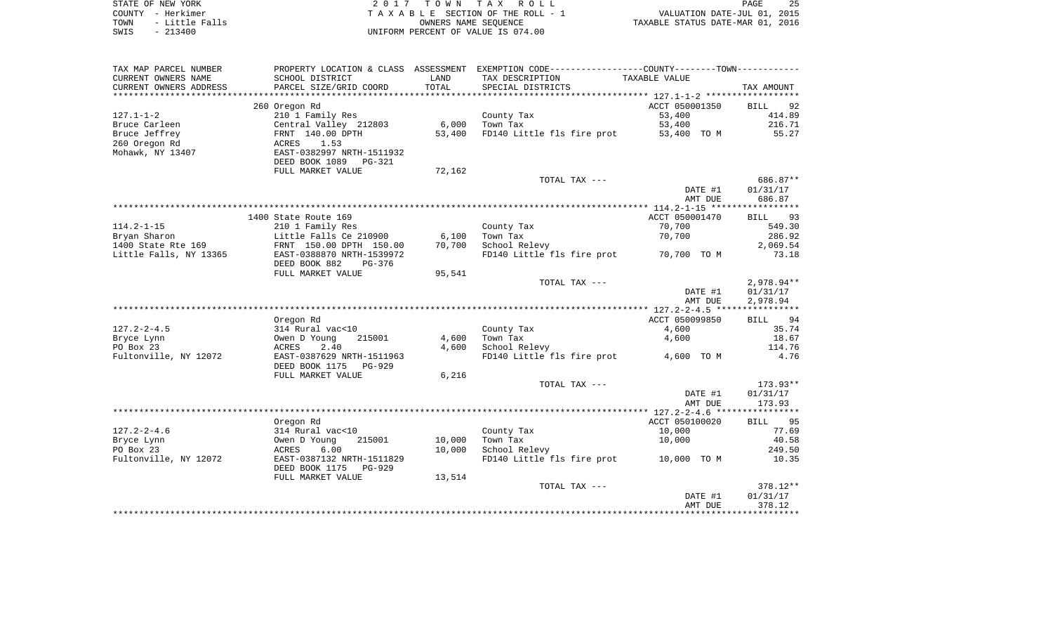|      | STATE OF NEW YORK | 2017 TOWN TAX ROLL                 | PAGE                             | 25 |
|------|-------------------|------------------------------------|----------------------------------|----|
|      | COUNTY - Herkimer | TAXABLE SECTION OF THE ROLL - 1    | VALUATION DATE-JUL 01, 2015      |    |
| TOWN | - Little Falls    | OWNERS NAME SEOUENCE               | TAXABLE STATUS DATE-MAR 01, 2016 |    |
| SWIS | - 213400          | UNIFORM PERCENT OF VALUE IS 074.00 |                                  |    |

| TAX MAP PARCEL NUMBER     | PROPERTY LOCATION & CLASS ASSESSMENT |        | EXEMPTION CODE-----------------COUNTY-------TOWN----------- |                |                   |
|---------------------------|--------------------------------------|--------|-------------------------------------------------------------|----------------|-------------------|
| CURRENT OWNERS NAME       | SCHOOL DISTRICT                      | LAND   | TAX DESCRIPTION                                             | TAXABLE VALUE  |                   |
| CURRENT OWNERS ADDRESS    | PARCEL SIZE/GRID COORD               | TOTAL  | SPECIAL DISTRICTS                                           |                | TAX AMOUNT        |
| ************************* |                                      |        |                                                             |                |                   |
|                           | 260 Oregon Rd                        |        |                                                             | ACCT 050001350 | 92<br><b>BILL</b> |
| $127.1 - 1 - 2$           | 210 1 Family Res                     |        | County Tax                                                  | 53,400         | 414.89            |
| Bruce Carleen             | Central Valley 212803                | 6,000  | Town Tax                                                    | 53,400         | 216.71            |
| Bruce Jeffrey             | FRNT 140.00 DPTH                     | 53,400 | FD140 Little fls fire prot                                  | 53,400 TO M    | 55.27             |
| 260 Oregon Rd             | ACRES<br>1.53                        |        |                                                             |                |                   |
| Mohawk, NY 13407          | EAST-0382997 NRTH-1511932            |        |                                                             |                |                   |
|                           | DEED BOOK 1089 PG-321                |        |                                                             |                |                   |
|                           | FULL MARKET VALUE                    | 72,162 |                                                             |                |                   |
|                           |                                      |        | TOTAL TAX ---                                               |                | 686.87**          |
|                           |                                      |        |                                                             | DATE #1        | 01/31/17          |
|                           |                                      |        |                                                             | AMT DUE        | 686.87            |
|                           |                                      |        |                                                             |                |                   |
|                           | 1400 State Route 169                 |        |                                                             | ACCT 050001470 | 93<br><b>BILL</b> |
| $114.2 - 1 - 15$          | 210 1 Family Res                     |        | County Tax                                                  | 70,700         | 549.30            |
| Bryan Sharon              | Little Falls Ce 210900               | 6,100  | Town Tax                                                    | 70,700         | 286.92            |
| 1400 State Rte 169        | FRNT 150.00 DPTH 150.00              | 70,700 | School Relevy                                               |                | 2,069.54          |
| Little Falls, NY 13365    | EAST-0388870 NRTH-1539972            |        | FD140 Little fls fire prot                                  | 70,700 TO M    | 73.18             |
|                           | DEED BOOK 882<br>PG-376              |        |                                                             |                |                   |
|                           | FULL MARKET VALUE                    | 95,541 |                                                             |                |                   |
|                           |                                      |        | TOTAL TAX ---                                               |                | 2,978.94**        |
|                           |                                      |        |                                                             | DATE #1        | 01/31/17          |
|                           |                                      |        |                                                             | AMT DUE        | 2,978.94          |
|                           |                                      |        |                                                             |                |                   |
|                           | Oregon Rd                            |        |                                                             | ACCT 050099850 | BILL 94           |
| $127.2 - 2 - 4.5$         | 314 Rural vac<10                     |        | County Tax                                                  | 4,600          | 35.74             |
| Bryce Lynn                | Owen D Young<br>215001               | 4,600  | Town Tax                                                    | 4,600          | 18.67             |
| PO Box 23                 | ACRES<br>2.40                        | 4,600  | School Relevy                                               |                | 114.76            |
| Fultonville, NY 12072     | EAST-0387629 NRTH-1511963            |        | FD140 Little fls fire prot                                  | 4,600 TO M     | 4.76              |
|                           | DEED BOOK 1175<br>$PG-929$           |        |                                                             |                |                   |
|                           | FULL MARKET VALUE                    | 6,216  |                                                             |                |                   |
|                           |                                      |        | TOTAL TAX ---                                               |                | 173.93**          |
|                           |                                      |        |                                                             | DATE #1        | 01/31/17          |
|                           |                                      |        |                                                             | AMT DUE        | 173.93            |
|                           |                                      |        |                                                             |                |                   |
|                           | Oregon Rd                            |        |                                                             | ACCT 050100020 | 95<br>BILL        |
| $127.2 - 2 - 4.6$         | 314 Rural vac<10                     |        | County Tax                                                  | 10,000         | 77.69             |
| Bryce Lynn                | Owen D Young<br>215001               | 10,000 | Town Tax                                                    | 10,000         | 40.58             |
| PO Box 23                 | 6.00<br>ACRES                        | 10,000 | School Relevy                                               |                | 249.50            |
| Fultonville, NY 12072     | EAST-0387132 NRTH-1511829            |        | FD140 Little fls fire prot                                  | 10,000 TO M    | 10.35             |
|                           | DEED BOOK 1175<br>PG-929             |        |                                                             |                |                   |
|                           | FULL MARKET VALUE                    | 13,514 |                                                             |                |                   |
|                           |                                      |        | TOTAL TAX ---                                               |                | 378.12**          |
|                           |                                      |        |                                                             | DATE #1        | 01/31/17          |
|                           |                                      |        |                                                             | AMT DUE        | 378.12            |
|                           |                                      |        |                                                             |                |                   |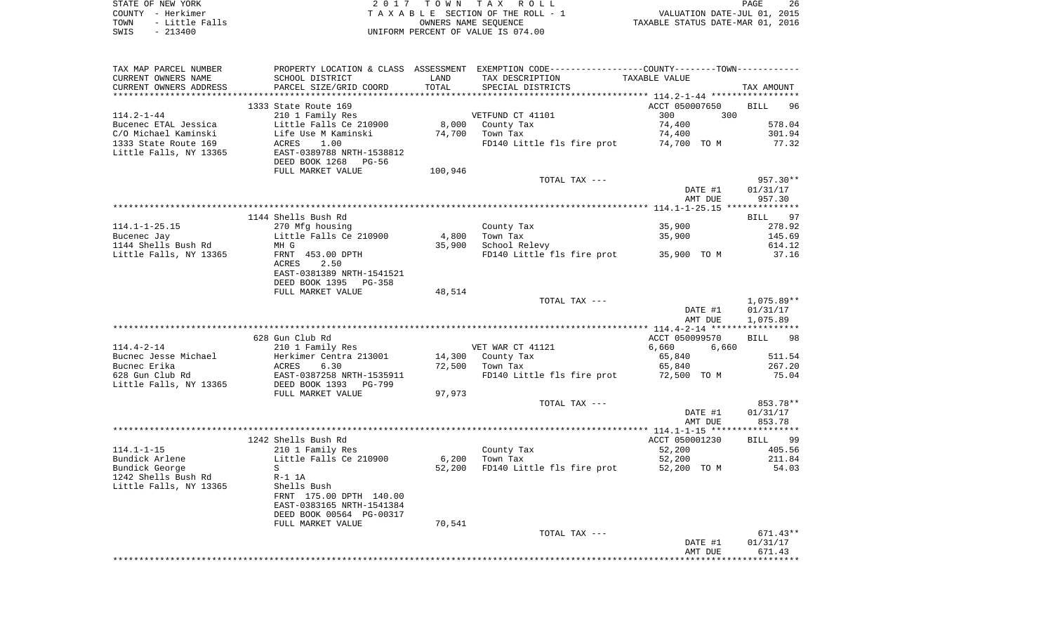| STATE OF NEW YORK      | 2017 TOWN TAX ROLL                 | 26<br>PAGE                       |
|------------------------|------------------------------------|----------------------------------|
| COUNTY - Herkimer      | TAXABLE SECTION OF THE ROLL - 1    | VALUATION DATE-JUL 01, 2015      |
| - Little Falls<br>TOWN | OWNERS NAME SEOUENCE               | TAXABLE STATUS DATE-MAR 01, 2016 |
| $-213400$<br>SWIS      | UNIFORM PERCENT OF VALUE IS 074.00 |                                  |

| TAX MAP PARCEL NUMBER  |                           |         | PROPERTY LOCATION & CLASS ASSESSMENT EXEMPTION CODE----------------COUNTY--------TOWN---------- |                |                   |
|------------------------|---------------------------|---------|-------------------------------------------------------------------------------------------------|----------------|-------------------|
| CURRENT OWNERS NAME    | SCHOOL DISTRICT           | LAND    | TAX DESCRIPTION                                                                                 | TAXABLE VALUE  |                   |
| CURRENT OWNERS ADDRESS | PARCEL SIZE/GRID COORD    | TOTAL   | SPECIAL DISTRICTS                                                                               |                | TAX AMOUNT        |
|                        |                           |         |                                                                                                 |                |                   |
|                        | 1333 State Route 169      |         |                                                                                                 | ACCT 050007650 | <b>BILL</b><br>96 |
| $114.2 - 1 - 44$       | 210 1 Family Res          |         | VETFUND CT 41101                                                                                | 300<br>300     |                   |
| Bucenec ETAL Jessica   | Little Falls Ce 210900    |         | 8,000 County Tax                                                                                | 74,400         | 578.04            |
| C/O Michael Kaminski   | Life Use M Kaminski       | 74,700  | Town Tax                                                                                        | 74,400         | 301.94            |
| 1333 State Route 169   | 1.00<br>ACRES             |         | FD140 Little fls fire prot                                                                      | 74,700 TO M    | 77.32             |
| Little Falls, NY 13365 | EAST-0389788 NRTH-1538812 |         |                                                                                                 |                |                   |
|                        | DEED BOOK 1268<br>PG-56   |         |                                                                                                 |                |                   |
|                        | FULL MARKET VALUE         | 100,946 |                                                                                                 |                |                   |
|                        |                           |         | TOTAL TAX ---                                                                                   |                | 957.30**          |
|                        |                           |         |                                                                                                 | DATE #1        | 01/31/17          |
|                        |                           |         |                                                                                                 | AMT DUE        | 957.30            |
|                        |                           |         |                                                                                                 |                |                   |
|                        | 1144 Shells Bush Rd       |         |                                                                                                 |                | <b>BILL</b><br>97 |
| $114.1 - 1 - 25.15$    | 270 Mfg housing           |         | County Tax                                                                                      | 35,900         | 278.92            |
| Bucenec Jay            | Little Falls Ce 210900    | 4,800   | Town Tax                                                                                        |                | 145.69            |
| 1144 Shells Bush Rd    | MH G                      | 35,900  | School Relevy                                                                                   | 35,900         | 614.12            |
|                        |                           |         |                                                                                                 |                |                   |
| Little Falls, NY 13365 | FRNT 453.00 DPTH          |         | FD140 Little fls fire prot 35,900 TO M                                                          |                | 37.16             |
|                        | 2.50<br>ACRES             |         |                                                                                                 |                |                   |
|                        | EAST-0381389 NRTH-1541521 |         |                                                                                                 |                |                   |
|                        | DEED BOOK 1395<br>PG-358  |         |                                                                                                 |                |                   |
|                        | FULL MARKET VALUE         | 48,514  |                                                                                                 |                |                   |
|                        |                           |         | TOTAL TAX ---                                                                                   |                | 1,075.89**        |
|                        |                           |         |                                                                                                 | DATE #1        | 01/31/17          |
|                        |                           |         |                                                                                                 | AMT DUE        | 1,075.89          |
|                        |                           |         |                                                                                                 |                |                   |
|                        | 628 Gun Club Rd           |         |                                                                                                 | ACCT 050099570 | <b>BILL</b><br>98 |
| $114.4 - 2 - 14$       | 210 1 Family Res          |         | VET WAR CT 41121                                                                                | 6,660<br>6,660 |                   |
| Bucnec Jesse Michael   | Herkimer Centra 213001    |         | 14,300 County Tax                                                                               | 65,840         | 511.54            |
| Bucnec Erika           | 6.30<br>ACRES             |         | 72,500 Town Tax                                                                                 | 65,840         | 267.20            |
| 628 Gun Club Rd        | EAST-0387258 NRTH-1535911 |         | FD140 Little fls fire prot                                                                      | 72,500 TO M    | 75.04             |
| Little Falls, NY 13365 | DEED BOOK 1393 PG-799     |         |                                                                                                 |                |                   |
|                        | FULL MARKET VALUE         | 97,973  |                                                                                                 |                |                   |
|                        |                           |         | TOTAL TAX ---                                                                                   |                | 853.78**          |
|                        |                           |         |                                                                                                 | DATE #1        | 01/31/17          |
|                        |                           |         |                                                                                                 | AMT DUE        | 853.78            |
|                        |                           |         |                                                                                                 |                |                   |
|                        | 1242 Shells Bush Rd       |         |                                                                                                 | ACCT 050001230 | BILL 99           |
| $114.1 - 1 - 15$       | 210 1 Family Res          |         | County Tax                                                                                      | 52,200         | 405.56            |
| Bundick Arlene         | Little Falls Ce 210900    | 6,200   | Town Tax                                                                                        | 52,200         | 211.84            |
| Bundick George         | S                         |         | 52,200 FD140 Little fls fire prot                                                               | 52,200 TO M    | 54.03             |
| 1242 Shells Bush Rd    | $R-1$ 1A                  |         |                                                                                                 |                |                   |
| Little Falls, NY 13365 | Shells Bush               |         |                                                                                                 |                |                   |
|                        | FRNT 175.00 DPTH 140.00   |         |                                                                                                 |                |                   |
|                        | EAST-0383165 NRTH-1541384 |         |                                                                                                 |                |                   |
|                        | DEED BOOK 00564 PG-00317  |         |                                                                                                 |                |                   |
|                        | FULL MARKET VALUE         | 70,541  |                                                                                                 |                |                   |
|                        |                           |         | TOTAL TAX ---                                                                                   |                | $671.43**$        |
|                        |                           |         |                                                                                                 | DATE #1        | 01/31/17          |
|                        |                           |         |                                                                                                 | AMT DUE        | 671.43            |
|                        |                           |         |                                                                                                 |                |                   |
|                        |                           |         |                                                                                                 |                |                   |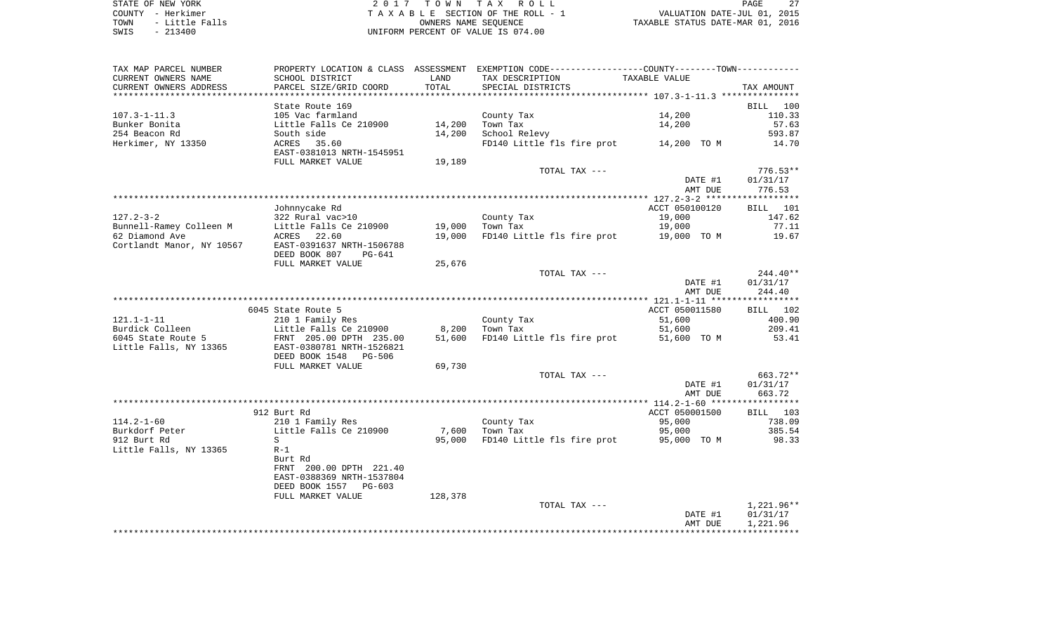STATE OF NEW YORK **EXECUTE:**  $2017$  TOWN TAX ROLL COUNTY - Herkimer<br>
T A X A B L E SECTION OF THE ROLL - 1<br>
TOWN - Little Falls<br>
SWIS - 213400 - 2013400 - UNIFORM PERCENT OF VALUE IS 074.00 TOWN - LITTLE FALLS ON THE ROLL - 1<br>
TAXABLE STATUS DATE-JUL 01, 2015<br>
OWNERS NAME SEQUENCE TAXABLE STATUS DATE-MAR 01, 2016 SWIS - 213400 UNIFORM PERCENT OF VALUE IS 074.00

| TAX MAP PARCEL NUMBER   | PROPERTY LOCATION & CLASS ASSESSMENT EXEMPTION CODE---------------COUNTY-------TOWN---------- |                 |                                        |                |            |
|-------------------------|-----------------------------------------------------------------------------------------------|-----------------|----------------------------------------|----------------|------------|
| CURRENT OWNERS NAME     | SCHOOL DISTRICT                                                                               | LAND            | TAX DESCRIPTION                        | TAXABLE VALUE  |            |
| CURRENT OWNERS ADDRESS  | PARCEL SIZE/GRID COORD                                                                        | TOTAL           | SPECIAL DISTRICTS                      |                | TAX AMOUNT |
|                         |                                                                                               |                 |                                        |                |            |
|                         | State Route 169                                                                               |                 |                                        |                | BILL 100   |
| $107.3 - 1 - 11.3$      | 105 Vac farmland                                                                              |                 | County Tax                             | 14,200         | 110.33     |
| Bunker Bonita           | Little Falls Ce 210900                                                                        | 14,200          | Town Tax                               | 14,200         | 57.63      |
| 254 Beacon Rd           | South side                                                                                    | 14,200          | School Relevy                          |                | 593.87     |
|                         | ACRES 35.60                                                                                   |                 | FD140 Little fls fire prot 14,200 TO M |                |            |
| Herkimer, NY 13350      |                                                                                               |                 |                                        |                | 14.70      |
|                         | EAST-0381013 NRTH-1545951                                                                     |                 |                                        |                |            |
|                         | FULL MARKET VALUE                                                                             | 19,189          |                                        |                |            |
|                         |                                                                                               |                 | TOTAL TAX ---                          |                | $776.53**$ |
|                         |                                                                                               |                 |                                        | DATE #1        | 01/31/17   |
|                         |                                                                                               |                 |                                        | AMT DUE        | 776.53     |
|                         |                                                                                               |                 |                                        |                |            |
|                         | Johnnycake Rd                                                                                 |                 |                                        | ACCT 050100120 | BILL 101   |
| $127.2 - 3 - 2$         | 322 Rural vac>10                                                                              |                 | County Tax                             | 19,000         | 147.62     |
| Bunnell-Ramey Colleen M | Little Falls Ce 210900<br>ACRES 22.60                                                         | 19,000 Town Tax |                                        | 19,000         | 77.11      |
| 62 Diamond Ave          |                                                                                               | 19,000          | FD140 Little fls fire prot 19,000 TO M |                | 19.67      |
|                         | Cortlandt Manor, NY 10567 EAST-0391637 NRTH-1506788                                           |                 |                                        |                |            |
|                         | DEED BOOK 807<br>PG-641                                                                       |                 |                                        |                |            |
|                         | FULL MARKET VALUE                                                                             | 25,676          |                                        |                |            |
|                         |                                                                                               |                 | TOTAL TAX ---                          |                | $244.40**$ |
|                         |                                                                                               |                 |                                        |                | 01/31/17   |
|                         |                                                                                               |                 |                                        | DATE #1        |            |
|                         |                                                                                               |                 |                                        | AMT DUE        | 244.40     |
|                         |                                                                                               |                 |                                        |                |            |
|                         | 6045 State Route 5                                                                            |                 |                                        | ACCT 050011580 | BILL 102   |
| $121.1 - 1 - 11$        | 210 1 Family Res                                                                              |                 | County Tax                             | 51,600         | 400.90     |
| Burdick Colleen         | Little Falls Ce 210900 0 8,200 Town Tax<br>FRNT 205.00 DPTH 235.00 51,600 FD140 Lit           |                 |                                        | 51,600         | 209.41     |
| 6045 State Route 5      |                                                                                               |                 | FD140 Little fls fire prot 51,600 TO M |                | 53.41      |
| Little Falls, NY 13365  | -<br>EAST-0380781 NRTH-1526821                                                                |                 |                                        |                |            |
|                         | DEED BOOK 1548 PG-506                                                                         |                 |                                        |                |            |
|                         | FULL MARKET VALUE                                                                             | 69,730          |                                        |                |            |
|                         |                                                                                               |                 | TOTAL TAX ---                          |                | 663.72**   |
|                         |                                                                                               |                 |                                        | DATE #1        | 01/31/17   |
|                         |                                                                                               |                 |                                        | AMT DUE        | 663.72     |
|                         |                                                                                               |                 |                                        |                |            |
|                         | 912 Burt Rd                                                                                   |                 |                                        | ACCT 050001500 | BILL 103   |
| $114.2 - 1 - 60$        | 210 1 Family Res                                                                              |                 | County Tax                             | 95,000         | 738.09     |
| Burkdorf Peter          | Little Falls Ce 210900                                                                        |                 | 7,600 Town Tax                         | 95,000         | 385.54     |
| 912 Burt Rd             | S                                                                                             | 95,000          | FD140 Little fls fire prot 95,000 TO M |                | 98.33      |
| Little Falls, NY 13365  | $R-1$                                                                                         |                 |                                        |                |            |
|                         | Burt Rd                                                                                       |                 |                                        |                |            |
|                         | FRNT 200.00 DPTH 221.40                                                                       |                 |                                        |                |            |
|                         | EAST-0388369 NRTH-1537804                                                                     |                 |                                        |                |            |
|                         |                                                                                               |                 |                                        |                |            |
|                         | DEED BOOK 1557 PG-603                                                                         |                 |                                        |                |            |
|                         | FULL MARKET VALUE                                                                             | 128,378         |                                        |                |            |
|                         |                                                                                               |                 | TOTAL TAX ---                          |                | 1,221.96** |
|                         |                                                                                               |                 |                                        | DATE #1        | 01/31/17   |
|                         |                                                                                               |                 |                                        | AMT DUE        | 1,221.96   |
|                         |                                                                                               |                 |                                        |                |            |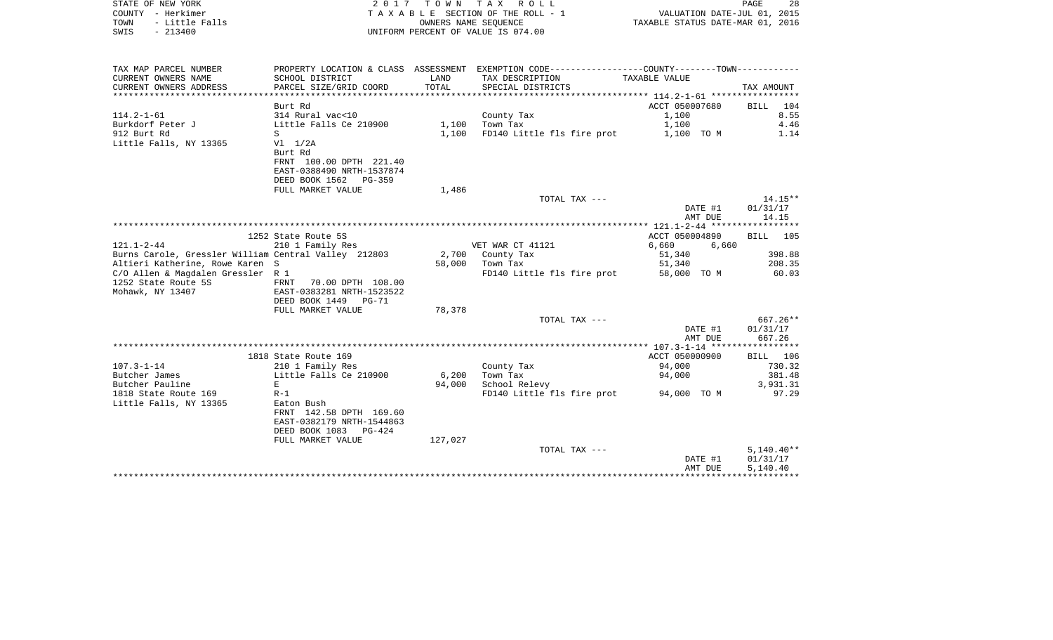| COUNTY - Herkimer<br>TOWN<br>- Little Falls<br>$-213400$<br>SWIS |                                                      |         | TAXABLE SECTION OF THE ROLL - 1<br>OWNERS NAME SEQUENCE<br>UNIFORM PERCENT OF VALUE IS 074.00  | VALUATION DATE-JUL 01, 2015<br>TAXABLE STATUS DATE-MAR 01, 2016 |                 |  |
|------------------------------------------------------------------|------------------------------------------------------|---------|------------------------------------------------------------------------------------------------|-----------------------------------------------------------------|-----------------|--|
|                                                                  |                                                      |         |                                                                                                |                                                                 |                 |  |
| TAX MAP PARCEL NUMBER                                            |                                                      |         | PROPERTY LOCATION & CLASS ASSESSMENT EXEMPTION CODE---------------COUNTY--------TOWN---------- |                                                                 |                 |  |
| CURRENT OWNERS NAME                                              | SCHOOL DISTRICT                                      | LAND    | TAX DESCRIPTION                                                                                | TAXABLE VALUE                                                   |                 |  |
| CURRENT OWNERS ADDRESS                                           | PARCEL SIZE/GRID COORD                               | TOTAL   | SPECIAL DISTRICTS                                                                              |                                                                 | TAX AMOUNT      |  |
|                                                                  | Burt Rd                                              |         |                                                                                                | ACCT 050007680                                                  | 104             |  |
| $114.2 - 1 - 61$                                                 | 314 Rural vac<10                                     |         |                                                                                                | 1,100                                                           | BILL<br>8.55    |  |
| Burkdorf Peter J                                                 | Little Falls Ce 210900                               |         | County Tax<br>1,100 Town Tax                                                                   | 1,100                                                           | 4.46            |  |
| 912 Burt Rd                                                      | S                                                    |         | 1,100 FD140 Little fls fire prot                                                               | 1,100 TO M                                                      | 1.14            |  |
| Little Falls, NY 13365                                           | $V1 \quad 1/2A$                                      |         |                                                                                                |                                                                 |                 |  |
|                                                                  | Burt Rd                                              |         |                                                                                                |                                                                 |                 |  |
|                                                                  | FRNT 100.00 DPTH 221.40                              |         |                                                                                                |                                                                 |                 |  |
|                                                                  | EAST-0388490 NRTH-1537874                            |         |                                                                                                |                                                                 |                 |  |
|                                                                  | DEED BOOK 1562 PG-359                                |         |                                                                                                |                                                                 |                 |  |
|                                                                  | FULL MARKET VALUE                                    | 1,486   |                                                                                                |                                                                 |                 |  |
|                                                                  |                                                      |         | TOTAL TAX ---                                                                                  |                                                                 | $14.15**$       |  |
|                                                                  |                                                      |         |                                                                                                | DATE #1                                                         | 01/31/17        |  |
|                                                                  |                                                      |         |                                                                                                | AMT DUE                                                         | 14.15           |  |
|                                                                  |                                                      |         |                                                                                                |                                                                 |                 |  |
|                                                                  | 1252 State Route 5S                                  |         |                                                                                                | ACCT 050004890                                                  | <b>BILL</b> 105 |  |
| $121.1 - 2 - 44$                                                 | 210 1 Family Res                                     |         | VET WAR CT 41121                                                                               | 6,660<br>6,660                                                  |                 |  |
|                                                                  | Burns Carole, Gressler William Central Valley 212803 |         | 2,700 County Tax                                                                               | 51,340                                                          | 398.88          |  |
| Altieri Katherine, Rowe Karen S                                  |                                                      | 58,000  | Town Tax                                                                                       | 51,340                                                          | 208.35          |  |
| C/O Allen & Magdalen Gressler R 1                                |                                                      |         | FD140 Little fls fire prot                                                                     | 58,000 TO M                                                     | 60.03           |  |
| 1252 State Route 5S                                              | FRNT 70.00 DPTH 108.00                               |         |                                                                                                |                                                                 |                 |  |
| Mohawk, NY 13407                                                 | EAST-0383281 NRTH-1523522                            |         |                                                                                                |                                                                 |                 |  |
|                                                                  | DEED BOOK 1449 PG-71                                 |         |                                                                                                |                                                                 |                 |  |
|                                                                  | FULL MARKET VALUE                                    | 78,378  |                                                                                                |                                                                 |                 |  |
|                                                                  |                                                      |         | TOTAL TAX ---                                                                                  |                                                                 | 667.26**        |  |
|                                                                  |                                                      |         |                                                                                                | DATE #1                                                         | 01/31/17        |  |
|                                                                  |                                                      |         |                                                                                                | AMT DUE                                                         | 667.26          |  |
|                                                                  |                                                      |         |                                                                                                |                                                                 |                 |  |
|                                                                  | 1818 State Route 169                                 |         |                                                                                                | ACCT 050000900                                                  | BILL 106        |  |
| $107.3 - 1 - 14$                                                 | 210 1 Family Res                                     |         | County Tax                                                                                     | 94,000                                                          | 730.32          |  |
| Butcher James                                                    | Little Falls Ce 210900                               | 6,200   | Town Tax                                                                                       | 94,000                                                          | 381.48          |  |
| Butcher Pauline                                                  | E                                                    | 94,000  | School Relevy                                                                                  |                                                                 | 3,931.31        |  |
| 1818 State Route 169                                             | $R-1$                                                |         | FD140 Little fls fire prot                                                                     | 94,000 TO M                                                     | 97.29           |  |
| Little Falls, NY 13365                                           | Eaton Bush                                           |         |                                                                                                |                                                                 |                 |  |
|                                                                  | FRNT 142.58 DPTH 169.60                              |         |                                                                                                |                                                                 |                 |  |
|                                                                  | EAST-0382179 NRTH-1544863                            |         |                                                                                                |                                                                 |                 |  |
|                                                                  | DEED BOOK 1083 PG-424                                |         |                                                                                                |                                                                 |                 |  |
|                                                                  | FULL MARKET VALUE                                    | 127,027 |                                                                                                |                                                                 |                 |  |
|                                                                  |                                                      |         | TOTAL TAX ---                                                                                  |                                                                 | $5,140.40**$    |  |
|                                                                  |                                                      |         |                                                                                                | DATE #1                                                         | 01/31/17        |  |
|                                                                  |                                                      |         |                                                                                                | AMT DUE                                                         | 5,140.40        |  |

STATE OF NEW YORK  $2017$  T O W N T A X R O L L PAGE 28 PAGE

28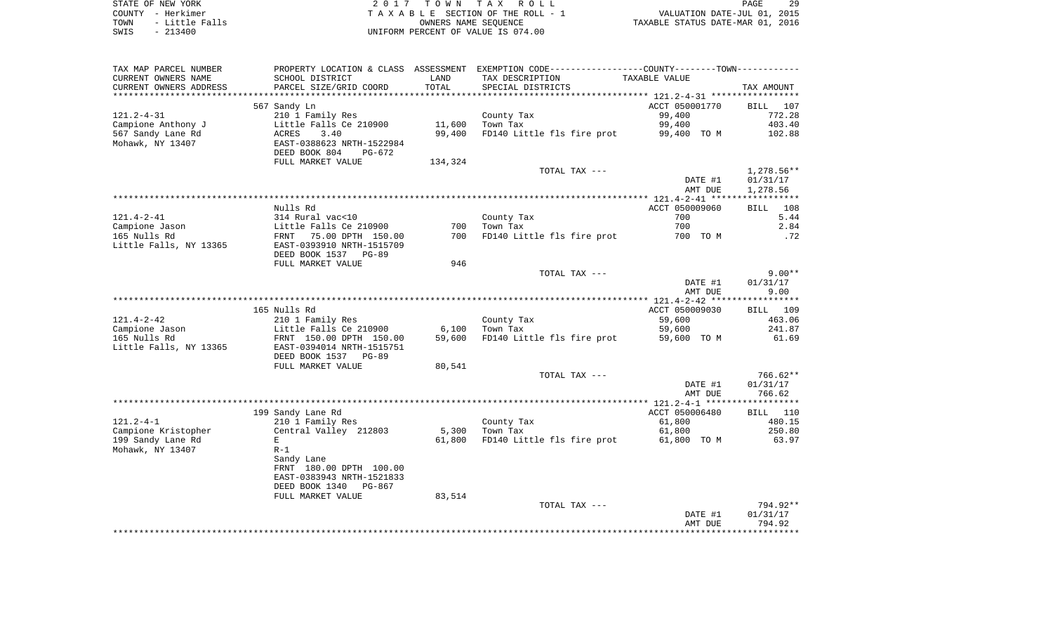| STATE OF NEW YORK |  |           |                |  |
|-------------------|--|-----------|----------------|--|
| COUNTY - Herkimer |  |           |                |  |
| TOWN              |  |           | - Little Falls |  |
| SWIS              |  | $-213400$ |                |  |

STATE OF NEW YORK 2 0 1 7 T O W N T A X R O L L PAGE 29TA X A B L E SECTION OF THE ROLL - 1 TOWN - Little Falls OWNERS NAME SEQUENCE TAXABLE STATUS DATE-MAR 01, 2016 SWIS - 213400 UNIFORM PERCENT OF VALUE IS 074.00

| TAX MAP PARCEL NUMBER          | PROPERTY LOCATION & CLASS ASSESSMENT EXEMPTION CODE---------------COUNTY-------TOWN---------- |         |                             |                                              |                  |
|--------------------------------|-----------------------------------------------------------------------------------------------|---------|-----------------------------|----------------------------------------------|------------------|
| CURRENT OWNERS NAME            | SCHOOL DISTRICT                                                                               | LAND    | TAX DESCRIPTION             | TAXABLE VALUE                                |                  |
| CURRENT OWNERS ADDRESS         | PARCEL SIZE/GRID COORD                                                                        | TOTAL   | SPECIAL DISTRICTS           |                                              | TAX AMOUNT       |
|                                |                                                                                               |         | *************************** | ******************** 121.2-4-31 ************ |                  |
|                                | 567 Sandy Ln                                                                                  |         |                             | ACCT 050001770                               | BILL 107         |
| $121.2 - 4 - 31$               | 210 1 Family Res                                                                              |         | County Tax                  | 99,400                                       | 772.28           |
| Campione Anthony J             | Little Falls Ce 210900                                                                        | 11,600  | Town Tax                    | 99,400                                       | 403.40           |
| 567 Sandy Lane Rd              | ACRES<br>3.40                                                                                 | 99,400  | FD140 Little fls fire prot  | 99,400 TO M                                  | 102.88           |
| Mohawk, NY 13407               | EAST-0388623 NRTH-1522984                                                                     |         |                             |                                              |                  |
|                                | DEED BOOK 804<br>PG-672                                                                       |         |                             |                                              |                  |
|                                | FULL MARKET VALUE                                                                             | 134,324 |                             |                                              |                  |
|                                |                                                                                               |         | TOTAL TAX ---               |                                              | $1,278.56**$     |
|                                |                                                                                               |         |                             | DATE #1                                      | 01/31/17         |
|                                |                                                                                               |         |                             | AMT DUE                                      | 1,278.56         |
|                                |                                                                                               |         |                             |                                              |                  |
|                                | Nulls Rd                                                                                      |         |                             | ACCT 050009060                               | BILL 108         |
| $121.4 - 2 - 41$               | 314 Rural vac<10                                                                              |         | County Tax                  | 700                                          | 5.44             |
| Campione Jason                 | Little Falls Ce 210900                                                                        | 700     | Town Tax                    | 700                                          | 2.84             |
| 165 Nulls Rd                   | FRNT 75.00 DPTH 150.00                                                                        | 700     | FD140 Little fls fire prot  | 700 TO M                                     | .72              |
| Little Falls, NY 13365         | EAST-0393910 NRTH-1515709                                                                     |         |                             |                                              |                  |
|                                | DEED BOOK 1537 PG-89                                                                          |         |                             |                                              |                  |
|                                | FULL MARKET VALUE                                                                             | 946     |                             |                                              |                  |
|                                |                                                                                               |         | TOTAL TAX ---               |                                              | $9.00**$         |
|                                |                                                                                               |         |                             | DATE #1                                      | 01/31/17         |
|                                |                                                                                               |         |                             | AMT DUE                                      | 9.00             |
|                                |                                                                                               |         |                             |                                              |                  |
|                                | 165 Nulls Rd                                                                                  |         |                             |                                              |                  |
| $121.4 - 2 - 42$               |                                                                                               |         |                             | ACCT 050009030<br>59,600                     | BILL 109         |
|                                | 210 1 Family Res<br>Little Falls Ce 210900                                                    | 6,100   | County Tax<br>Town Tax      | 59,600                                       | 463.06<br>241.87 |
| Campione Jason<br>165 Nulls Rd |                                                                                               | 59,600  |                             |                                              | 61.69            |
|                                | FRNT 150.00 DPTH 150.00                                                                       |         | FD140 Little fls fire prot  | 59,600 TO M                                  |                  |
| Little Falls, NY 13365         | EAST-0394014 NRTH-1515751                                                                     |         |                             |                                              |                  |
|                                | DEED BOOK 1537 PG-89                                                                          |         |                             |                                              |                  |
|                                | FULL MARKET VALUE                                                                             | 80,541  |                             |                                              |                  |
|                                |                                                                                               |         | TOTAL TAX ---               |                                              | $766.62**$       |
|                                |                                                                                               |         |                             | DATE #1                                      | 01/31/17         |
|                                |                                                                                               |         |                             | AMT DUE                                      | 766.62           |
|                                |                                                                                               |         |                             |                                              |                  |
|                                | 199 Sandy Lane Rd                                                                             |         |                             | ACCT 050006480                               | BILL 110         |
| $121.2 - 4 - 1$                | 210 1 Family Res                                                                              |         | County Tax                  | 61,800                                       | 480.15           |
| Campione Kristopher            | Central Valley 212803                                                                         | 5,300   | Town Tax                    | 61,800                                       | 250.80           |
| 199 Sandy Lane Rd              | Е                                                                                             | 61,800  | FD140 Little fls fire prot  | 61,800 TO M                                  | 63.97            |
| Mohawk, NY 13407               | $R-1$                                                                                         |         |                             |                                              |                  |
|                                | Sandy Lane                                                                                    |         |                             |                                              |                  |
|                                | FRNT 180.00 DPTH 100.00                                                                       |         |                             |                                              |                  |
|                                | EAST-0383943 NRTH-1521833                                                                     |         |                             |                                              |                  |
|                                | DEED BOOK 1340<br>PG-867                                                                      |         |                             |                                              |                  |
|                                | FULL MARKET VALUE                                                                             | 83,514  |                             |                                              |                  |
|                                |                                                                                               |         | TOTAL TAX ---               |                                              | 794.92**         |
|                                |                                                                                               |         |                             | DATE #1                                      | 01/31/17         |
|                                |                                                                                               |         |                             | AMT DUE                                      | 794.92           |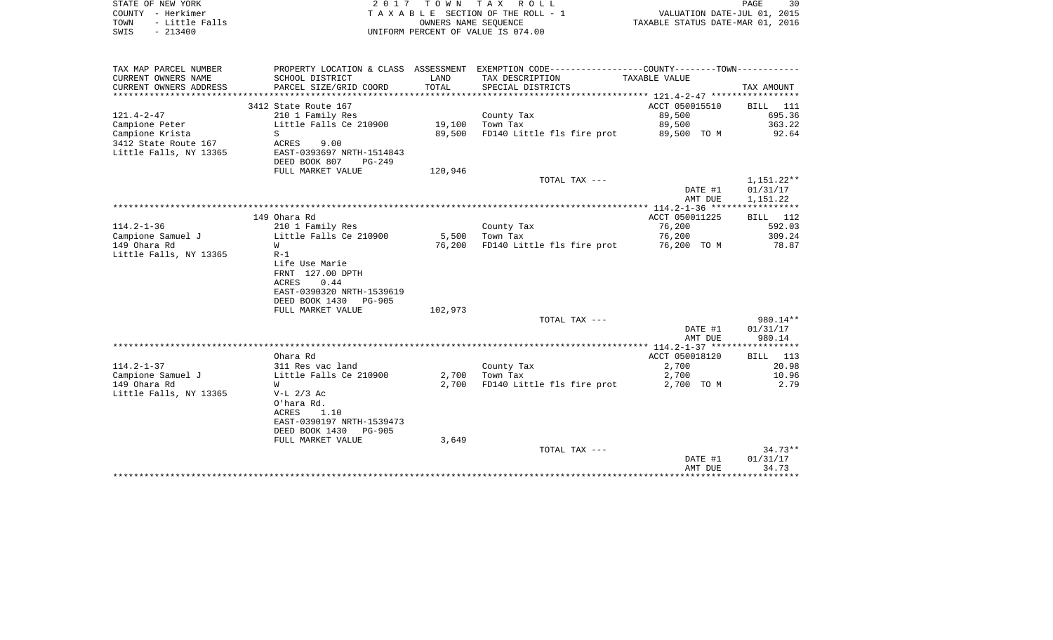| STATE OF NEW YORK<br>COUNTY - Herkimer<br>TOWN<br>- Little Falls<br>$-213400$<br>SWIS |                                                                                                                          | OWNERS NAME SEQUENCE | 2017 TOWN TAX ROLL<br>T A X A B L E SECTION OF THE ROLL - 1<br>UNIFORM PERCENT OF VALUE IS 074.00                | VALUATION DATE-JUL 01, 2015<br>TAXABLE STATUS DATE-MAR 01, 2016 | PAGE<br>30                           |
|---------------------------------------------------------------------------------------|--------------------------------------------------------------------------------------------------------------------------|----------------------|------------------------------------------------------------------------------------------------------------------|-----------------------------------------------------------------|--------------------------------------|
| TAX MAP PARCEL NUMBER<br>CURRENT OWNERS NAME                                          | SCHOOL DISTRICT                                                                                                          | LAND                 | PROPERTY LOCATION & CLASS ASSESSMENT EXEMPTION CODE---------------COUNTY-------TOWN----------<br>TAX DESCRIPTION | TAXABLE VALUE                                                   |                                      |
| CURRENT OWNERS ADDRESS<br>************************                                    | PARCEL SIZE/GRID COORD                                                                                                   | TOTAL                | SPECIAL DISTRICTS                                                                                                |                                                                 | TAX AMOUNT                           |
| 3412 State Route 167                                                                  |                                                                                                                          |                      |                                                                                                                  | ACCT 050015510                                                  | BILL 111                             |
| 121.4-2-47                                                                            | 210 1 Family Res                                                                                                         |                      | County Tax                                                                                                       | 89,500                                                          | 695.36                               |
| Campione Peter                                                                        | Little Falls Ce 210900                                                                                                   | 19,100               | Town Tax                                                                                                         | 89,500                                                          | 363.22                               |
| Campione Krista<br>S<br>3412 State Route 167<br>ACRES<br>Little Falls, NY 13365       | 9.00<br>EAST-0393697 NRTH-1514843<br>DEED BOOK 807<br>PG-249                                                             | 89,500               | FD140 Little fls fire prot                                                                                       | 89,500 TO M                                                     | 92.64                                |
|                                                                                       | FULL MARKET VALUE                                                                                                        | 120,946              |                                                                                                                  |                                                                 |                                      |
|                                                                                       |                                                                                                                          |                      | TOTAL TAX ---                                                                                                    | DATE #1<br>AMT DUE                                              | $1,151.22**$<br>01/31/17<br>1,151.22 |
|                                                                                       |                                                                                                                          |                      |                                                                                                                  |                                                                 |                                      |
| 149 Ohara Rd                                                                          |                                                                                                                          |                      |                                                                                                                  | ACCT 050011225                                                  | BILL 112                             |
| $114.2 - 1 - 36$                                                                      | 210 1 Family Res                                                                                                         |                      | County Tax                                                                                                       | 76,200                                                          | 592.03                               |
| Campione Samuel J<br>149 Ohara Rd<br>W                                                | Little Falls Ce 210900                                                                                                   | 5,500<br>76,200      | Town Tax<br>FD140 Little fls fire prot                                                                           | 76,200<br>76,200 TO M                                           | 309.24<br>78.87                      |
| Little Falls, NY 13365<br>$R-1$<br>ACRES                                              | Life Use Marie<br>FRNT 127.00 DPTH<br>0.44<br>EAST-0390320 NRTH-1539619<br>DEED BOOK 1430<br>PG-905<br>FULL MARKET VALUE | 102,973              |                                                                                                                  |                                                                 |                                      |
|                                                                                       |                                                                                                                          |                      | TOTAL TAX ---                                                                                                    |                                                                 | 980.14**                             |
|                                                                                       |                                                                                                                          |                      |                                                                                                                  | DATE #1<br>AMT DUE                                              | 01/31/17<br>980.14                   |
|                                                                                       |                                                                                                                          |                      |                                                                                                                  |                                                                 |                                      |
| Ohara Rd<br>$114.2 - 1 - 37$                                                          | 311 Res vac land                                                                                                         |                      |                                                                                                                  | ACCT 050018120<br>2,700                                         | BILL 113<br>20.98                    |
| Campione Samuel J                                                                     | Little Falls Ce 210900                                                                                                   | 2,700                | County Tax<br>Town Tax                                                                                           | 2,700                                                           | 10.96                                |
| 149 Ohara Rd<br>W                                                                     |                                                                                                                          | 2,700                | FD140 Little fls fire prot                                                                                       | 2,700 TO M                                                      | 2.79                                 |
| Little Falls, NY 13365<br>$V-L$ 2/3 Ac<br>O'hara Rd.<br>ACRES                         | 1.10<br>EAST-0390197 NRTH-1539473<br>DEED BOOK 1430<br>PG-905                                                            |                      |                                                                                                                  |                                                                 |                                      |
|                                                                                       | FULL MARKET VALUE                                                                                                        | 3,649                |                                                                                                                  |                                                                 |                                      |
|                                                                                       |                                                                                                                          |                      | TOTAL TAX ---                                                                                                    | DATE #1<br>AMT DUE                                              | $34.73**$<br>01/31/17<br>34.73       |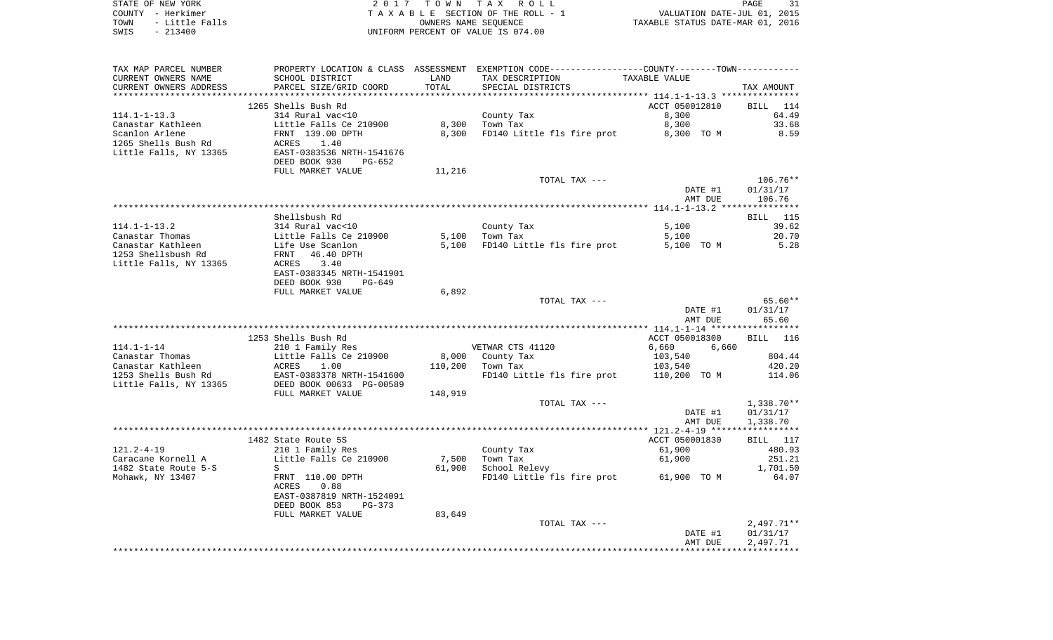|      | STATE OF NEW YORK | 2017 TOWN TAX ROLL                 |                                  | PAGE | 31 |
|------|-------------------|------------------------------------|----------------------------------|------|----|
|      | COUNTY - Herkimer | TAXABLE SECTION OF THE ROLL - 1    | VALUATION DATE-JUL 01, 2015      |      |    |
| TOWN | - Little Falls    | OWNERS NAME SEOUENCE               | TAXABLE STATUS DATE-MAR 01, 2016 |      |    |
| SWIS | $-213400$         | UNIFORM PERCENT OF VALUE IS 074.00 |                                  |      |    |
|      |                   |                                    |                                  |      |    |
|      |                   |                                    |                                  |      |    |
|      |                   |                                    |                                  |      |    |

TAX MAP PARCEL NUMBER PROPERTY LOCATION & CLASS ASSESSMENT EXEMPTION CODE------------------COUNTY--------TOWN------------

| CURRENT OWNERS NAME    | SCHOOL DISTRICT                | LAND    | TAX DESCRIPTION            | TAXABLE VALUE                             |                    |
|------------------------|--------------------------------|---------|----------------------------|-------------------------------------------|--------------------|
| CURRENT OWNERS ADDRESS | PARCEL SIZE/GRID COORD         | TOTAL   | SPECIAL DISTRICTS          |                                           | TAX AMOUNT         |
|                        |                                |         |                            | ***************** 114.1-1-13.3 ********** |                    |
|                        | 1265 Shells Bush Rd            |         |                            | ACCT 050012810                            | 114<br>BILL        |
| $114.1 - 1 - 13.3$     | 314 Rural vac<10               |         | County Tax                 | 8,300                                     | 64.49              |
| Canastar Kathleen      | Little Falls Ce 210900         | 8,300   | Town Tax                   | 8,300                                     | 33.68              |
| Scanlon Arlene         | FRNT 139.00 DPTH               | 8,300   | FD140 Little fls fire prot | 8,300 TO M                                | 8.59               |
|                        | 1.40                           |         |                            |                                           |                    |
| 1265 Shells Bush Rd    | ACRES                          |         |                            |                                           |                    |
| Little Falls, NY 13365 | EAST-0383536 NRTH-1541676      |         |                            |                                           |                    |
|                        | DEED BOOK 930<br>$PG-652$      |         |                            |                                           |                    |
|                        | FULL MARKET VALUE              | 11,216  |                            |                                           |                    |
|                        |                                |         | TOTAL TAX ---              |                                           | $106.76**$         |
|                        |                                |         |                            | DATE #1                                   | 01/31/17           |
|                        |                                |         |                            | AMT DUE                                   | 106.76             |
|                        |                                |         |                            |                                           |                    |
|                        | Shellsbush Rd                  |         |                            |                                           | BILL 115           |
| $114.1 - 1 - 13.2$     | 314 Rural vac<10               |         | County Tax                 | 5,100                                     | 39.62              |
|                        |                                |         |                            |                                           |                    |
| Canastar Thomas        | Little Falls Ce 210900         | 5,100   | Town Tax                   | 5,100                                     | 20.70              |
| Canastar Kathleen      | Life Use Scanlon               | 5,100   | FD140 Little fls fire prot | 5,100 TO M                                | 5.28               |
| 1253 Shellsbush Rd     | 46.40 DPTH<br>FRNT             |         |                            |                                           |                    |
| Little Falls, NY 13365 | 3.40<br><b>ACRES</b>           |         |                            |                                           |                    |
|                        | EAST-0383345 NRTH-1541901      |         |                            |                                           |                    |
|                        | DEED BOOK 930<br><b>PG-649</b> |         |                            |                                           |                    |
|                        | FULL MARKET VALUE              | 6,892   |                            |                                           |                    |
|                        |                                |         | TOTAL TAX ---              |                                           | $65.60**$          |
|                        |                                |         |                            | DATE #1                                   | 01/31/17           |
|                        |                                |         |                            | AMT DUE                                   | 65.60              |
|                        |                                |         |                            |                                           |                    |
|                        | 1253 Shells Bush Rd            |         |                            | ACCT 050018300                            | <b>BILL</b><br>116 |
|                        |                                |         |                            |                                           |                    |
| $114.1 - 1 - 14$       | 210 1 Family Res               |         | VETWAR CTS 41120           | 6,660<br>6,660                            |                    |
| Canastar Thomas        | Little Falls Ce 210900         | 8,000   | County Tax                 | 103,540                                   | 804.44             |
| Canastar Kathleen      | ACRES<br>1.00                  | 110,200 | Town Tax                   | 103,540                                   | 420.20             |
| 1253 Shells Bush Rd    | EAST-0383378 NRTH-1541600      |         | FD140 Little fls fire prot | 110,200 TO M                              | 114.06             |
| Little Falls, NY 13365 | DEED BOOK 00633 PG-00589       |         |                            |                                           |                    |
|                        | FULL MARKET VALUE              | 148,919 |                            |                                           |                    |
|                        |                                |         | TOTAL TAX ---              |                                           | $1,338.70**$       |
|                        |                                |         |                            | DATE #1                                   | 01/31/17           |
|                        |                                |         |                            | AMT DUE                                   | 1,338.70           |
|                        |                                |         |                            |                                           | ***********        |
|                        |                                |         |                            |                                           |                    |
|                        | 1482 State Route 5S            |         |                            | ACCT 050001830                            | BILL 117           |
| $121.2 - 4 - 19$       | 210 1 Family Res               |         | County Tax                 | 61,900                                    | 480.93             |
| Caracane Kornell A     | Little Falls Ce 210900         | 7,500   | Town Tax                   | 61,900                                    | 251.21             |
| 1482 State Route 5-S   | S                              | 61,900  | School Relevy              |                                           | 1,701.50           |
| Mohawk, NY 13407       | FRNT 110.00 DPTH               |         | FD140 Little fls fire prot | 61,900 TO M                               | 64.07              |
|                        | ACRES<br>0.88                  |         |                            |                                           |                    |
|                        | EAST-0387819 NRTH-1524091      |         |                            |                                           |                    |
|                        | DEED BOOK 853<br>$PG-373$      |         |                            |                                           |                    |
|                        | FULL MARKET VALUE              | 83,649  |                            |                                           |                    |
|                        |                                |         | TOTAL TAX ---              |                                           | $2,497.71**$       |
|                        |                                |         |                            |                                           |                    |
|                        |                                |         |                            | DATE #1                                   | 01/31/17           |
|                        |                                |         |                            | AMT DUE                                   | 2,497.71           |
|                        |                                |         |                            |                                           |                    |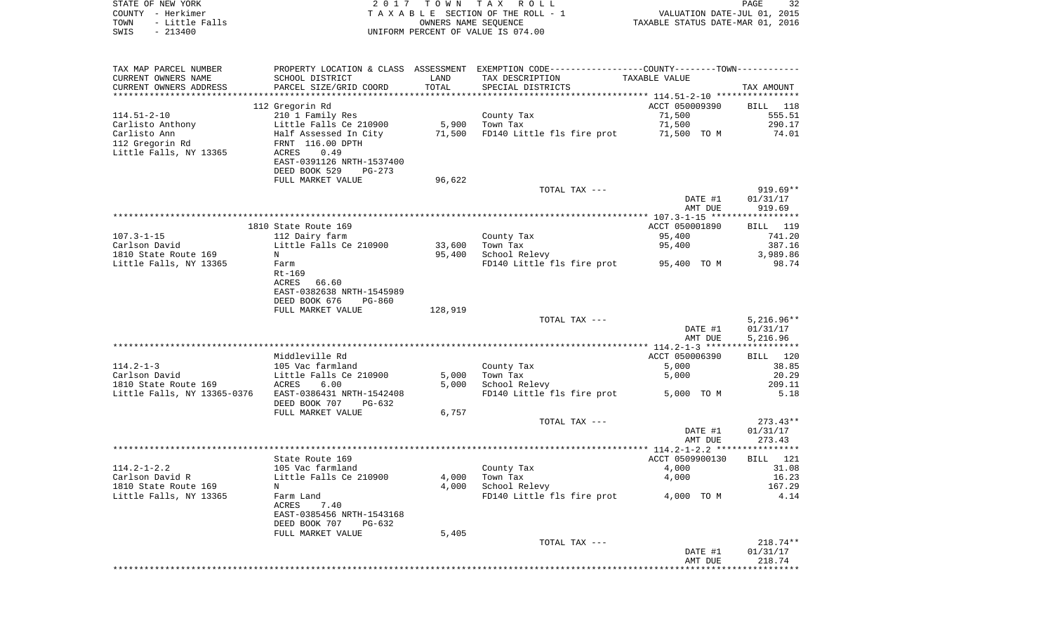| STATE OF NEW YORK           | 2017                      |                      | TOWN TAX ROLL                                                                                 |                                                   | 32<br>PAGE  |
|-----------------------------|---------------------------|----------------------|-----------------------------------------------------------------------------------------------|---------------------------------------------------|-------------|
| COUNTY - Herkimer           |                           |                      | TAXABLE SECTION OF THE ROLL - 1                                                               | VALUATION DATE-JUL 01, 2015                       |             |
| TOWN<br>- Little Falls      |                           | OWNERS NAME SEQUENCE |                                                                                               | TAXABLE STATUS DATE-MAR 01, 2016                  |             |
| $-213400$<br>SWIS           |                           |                      | UNIFORM PERCENT OF VALUE IS 074.00                                                            |                                                   |             |
|                             |                           |                      |                                                                                               |                                                   |             |
|                             |                           |                      |                                                                                               |                                                   |             |
| TAX MAP PARCEL NUMBER       |                           |                      | PROPERTY LOCATION & CLASS ASSESSMENT EXEMPTION CODE---------------COUNTY-------TOWN---------- |                                                   |             |
| CURRENT OWNERS NAME         | SCHOOL DISTRICT           | LAND                 | TAX DESCRIPTION                                                                               | TAXABLE VALUE                                     |             |
| CURRENT OWNERS ADDRESS      | PARCEL SIZE/GRID COORD    | TOTAL                | SPECIAL DISTRICTS                                                                             |                                                   | TAX AMOUNT  |
|                             |                           |                      |                                                                                               |                                                   |             |
|                             | 112 Gregorin Rd           |                      |                                                                                               | ACCT 050009390                                    | BILL<br>118 |
| $114.51 - 2 - 10$           | 210 1 Family Res          |                      | County Tax                                                                                    | 71,500                                            | 555.51      |
| Carlisto Anthony            | Little Falls Ce 210900    | 5,900                | Town Tax                                                                                      | 71,500                                            | 290.17      |
| Carlisto Ann                | Half Assessed In City     | 71,500               | FD140 Little fls fire prot                                                                    | 71,500 TO M                                       | 74.01       |
| 112 Gregorin Rd             | FRNT 116.00 DPTH          |                      |                                                                                               |                                                   |             |
| Little Falls, NY 13365      | ACRES<br>0.49             |                      |                                                                                               |                                                   |             |
|                             | EAST-0391126 NRTH-1537400 |                      |                                                                                               |                                                   |             |
|                             | DEED BOOK 529<br>PG-273   |                      |                                                                                               |                                                   |             |
|                             | FULL MARKET VALUE         | 96,622               |                                                                                               |                                                   |             |
|                             |                           |                      | TOTAL TAX ---                                                                                 |                                                   | $919.69**$  |
|                             |                           |                      |                                                                                               | DATE #1                                           | 01/31/17    |
|                             |                           |                      |                                                                                               | AMT DUE                                           | 919.69      |
|                             |                           |                      |                                                                                               |                                                   |             |
|                             | 1810 State Route 169      |                      |                                                                                               | ACCT 050001890                                    | BILL 119    |
| $107.3 - 1 - 15$            | 112 Dairy farm            |                      | County Tax                                                                                    | 95,400                                            | 741.20      |
| Carlson David               | Little Falls Ce 210900    | 33,600               | Town Tax                                                                                      | 95,400                                            | 387.16      |
| 1810 State Route 169        | N                         | 95,400               | School Relevy                                                                                 |                                                   | 3,989.86    |
| Little Falls, NY 13365      | Farm                      |                      | FD140 Little fls fire prot                                                                    | 95,400 TO M                                       | 98.74       |
|                             | Rt-169                    |                      |                                                                                               |                                                   |             |
|                             | ACRES<br>66.60            |                      |                                                                                               |                                                   |             |
|                             | EAST-0382638 NRTH-1545989 |                      |                                                                                               |                                                   |             |
|                             | DEED BOOK 676<br>PG-860   |                      |                                                                                               |                                                   |             |
|                             | FULL MARKET VALUE         | 128,919              |                                                                                               |                                                   |             |
|                             |                           |                      | TOTAL TAX ---                                                                                 |                                                   | 5,216.96**  |
|                             |                           |                      |                                                                                               | DATE #1                                           | 01/31/17    |
|                             |                           |                      |                                                                                               | AMT DUE                                           | 5,216.96    |
|                             |                           |                      |                                                                                               |                                                   |             |
|                             | Middleville Rd            |                      |                                                                                               | ACCT 050006390                                    | 120<br>BILL |
| $114.2 - 1 - 3$             | 105 Vac farmland          |                      | County Tax                                                                                    | 5,000                                             | 38.85       |
| Carlson David               | Little Falls Ce 210900    | 5,000                | Town Tax                                                                                      | 5,000                                             | 20.29       |
| 1810 State Route 169        | ACRES<br>6.00             | 5,000                | School Relevy                                                                                 |                                                   | 209.11      |
| Little Falls, NY 13365-0376 | EAST-0386431 NRTH-1542408 |                      | FD140 Little fls fire prot                                                                    | 5,000 TO M                                        | 5.18        |
|                             | DEED BOOK 707<br>PG-632   |                      |                                                                                               |                                                   |             |
|                             | FULL MARKET VALUE         | 6,757                |                                                                                               |                                                   |             |
|                             |                           |                      | TOTAL TAX ---                                                                                 |                                                   | $273.43**$  |
|                             |                           |                      |                                                                                               | DATE #1                                           | 01/31/17    |
|                             |                           |                      |                                                                                               | AMT DUE                                           | 273.43      |
|                             |                           |                      |                                                                                               | ******************** 114.2-1-2.2 **************** |             |
|                             | State Route 169           |                      |                                                                                               | ACCT 0509900130                                   | BILL<br>121 |
| $114.2 - 1 - 2.2$           | 105 Vac farmland          |                      | County Tax                                                                                    | 4,000                                             | 31.08       |
| Carlson David R             | Little Falls Ce 210900    | 4,000                | Town Tax                                                                                      | 4,000                                             | 16.23       |
| 1810 State Route 169        | N                         | 4,000                | School Relevy                                                                                 |                                                   | 167.29      |
| Little Falls, NY 13365      | Farm Land                 |                      | FD140 Little fls fire prot                                                                    | 4,000 TO M                                        | 4.14        |
|                             | ACRES<br>7.40             |                      |                                                                                               |                                                   |             |
|                             | EAST-0385456 NRTH-1543168 |                      |                                                                                               |                                                   |             |
|                             | DEED BOOK 707<br>PG-632   |                      |                                                                                               |                                                   |             |
|                             | FULL MARKET VALUE         | 5,405                |                                                                                               |                                                   |             |
|                             |                           |                      | TOTAL TAX ---                                                                                 |                                                   | 218.74**    |
|                             |                           |                      |                                                                                               | DATE #1                                           | 01/31/17    |
|                             |                           |                      |                                                                                               | AMT DUE                                           | 218.74      |
|                             |                           |                      |                                                                                               |                                                   |             |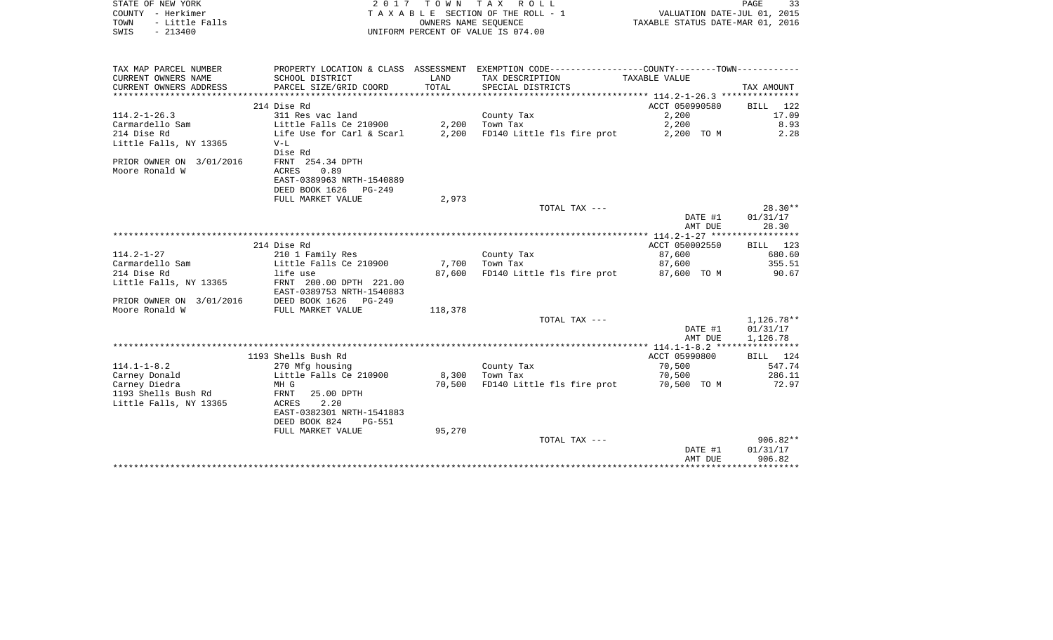| STATE OF NEW YORK<br>COUNTY - Herkimer<br>- Little Falls<br>TOWN<br>$-213400$<br>SWIS | 2 0 1 7                                                                                                             |                | TOWN TAX ROLL<br>T A X A B L E SECTION OF THE ROLL - 1<br>OWNERS NAME SEOUENCE<br>UNIFORM PERCENT OF VALUE IS 074.00 | VALUATION DATE-JUL 01, 2015<br>TAXABLE STATUS DATE-MAR 01, 2016 | PAGE<br>33                       |
|---------------------------------------------------------------------------------------|---------------------------------------------------------------------------------------------------------------------|----------------|----------------------------------------------------------------------------------------------------------------------|-----------------------------------------------------------------|----------------------------------|
| TAX MAP PARCEL NUMBER<br>CURRENT OWNERS NAME                                          | SCHOOL DISTRICT                                                                                                     | LAND           | PROPERTY LOCATION & CLASS ASSESSMENT EXEMPTION CODE---------------COUNTY-------TOWN----------<br>TAX DESCRIPTION     | <b>TAXABLE VALUE</b>                                            |                                  |
| CURRENT OWNERS ADDRESS                                                                | PARCEL SIZE/GRID COORD                                                                                              | TOTAL          | SPECIAL DISTRICTS                                                                                                    |                                                                 | TAX AMOUNT                       |
|                                                                                       | 214 Dise Rd                                                                                                         |                |                                                                                                                      | ACCT 050990580                                                  | <b>BILL</b><br>122               |
| $114.2 - 1 - 26.3$<br>Carmardello Sam<br>214 Dise Rd                                  | 311 Res vac land<br>Little Falls Ce 210900<br>Life Use for Carl & Scarl                                             | 2,200<br>2,200 | County Tax<br>Town Tax<br>FD140 Little fls fire prot                                                                 | 2,200<br>2,200<br>2,200 TO M                                    | 17.09<br>8.93<br>2.28            |
| Little Falls, NY 13365                                                                | $V-L$<br>Dise Rd                                                                                                    |                |                                                                                                                      |                                                                 |                                  |
| PRIOR OWNER ON 3/01/2016<br>Moore Ronald W                                            | FRNT 254.34 DPTH<br>0.89<br><b>ACRES</b><br>EAST-0389963 NRTH-1540889<br>DEED BOOK 1626 PG-249<br>FULL MARKET VALUE | 2,973          |                                                                                                                      |                                                                 |                                  |
|                                                                                       |                                                                                                                     |                | TOTAL TAX ---                                                                                                        |                                                                 | $28.30**$                        |
|                                                                                       |                                                                                                                     |                |                                                                                                                      | DATE #1<br>AMT DUE                                              | 01/31/17<br>28.30                |
|                                                                                       |                                                                                                                     |                |                                                                                                                      |                                                                 |                                  |
| $114.2 - 1 - 27$                                                                      | 214 Dise Rd<br>210 1 Family Res                                                                                     |                | County Tax                                                                                                           | ACCT 050002550<br>87,600                                        | BILL 123<br>680.60               |
| Carmardello Sam                                                                       | Little Falls Ce 210900                                                                                              | 7,700          | Town Tax                                                                                                             | 87,600                                                          | 355.51                           |
| 214 Dise Rd                                                                           | life use                                                                                                            | 87,600         | FD140 Little fls fire prot                                                                                           | 87,600 TO M                                                     | 90.67                            |
| Little Falls, NY 13365                                                                | FRNT 200.00 DPTH 221.00<br>EAST-0389753 NRTH-1540883                                                                |                |                                                                                                                      |                                                                 |                                  |
| PRIOR OWNER ON 3/01/2016<br>Moore Ronald W                                            | DEED BOOK 1626 PG-249<br>FULL MARKET VALUE                                                                          | 118,378        |                                                                                                                      |                                                                 |                                  |
|                                                                                       |                                                                                                                     |                | TOTAL TAX ---                                                                                                        |                                                                 | $1,126.78**$                     |
|                                                                                       |                                                                                                                     |                |                                                                                                                      | DATE #1<br>AMT DUE                                              | 01/31/17<br>1,126.78             |
|                                                                                       | 1193 Shells Bush Rd                                                                                                 |                |                                                                                                                      | ACCT 05990800                                                   | 124<br>BILL                      |
| $114.1 - 1 - 8.2$                                                                     | 270 Mfg housing                                                                                                     |                | County Tax                                                                                                           | 70,500                                                          | 547.74                           |
| Carney Donald                                                                         | Little Falls Ce 210900                                                                                              | 8,300          | Town Tax                                                                                                             | 70,500                                                          | 286.11                           |
| Carney Diedra                                                                         | MH G                                                                                                                | 70,500         | FD140 Little fls fire prot                                                                                           | 70,500 TO M                                                     | 72.97                            |
| 1193 Shells Bush Rd                                                                   | FRNT<br>25.00 DPTH                                                                                                  |                |                                                                                                                      |                                                                 |                                  |
| Little Falls, NY 13365                                                                | <b>ACRES</b><br>2.20<br>EAST-0382301 NRTH-1541883<br>DEED BOOK 824<br><b>PG-551</b>                                 |                |                                                                                                                      |                                                                 |                                  |
|                                                                                       | FULL MARKET VALUE                                                                                                   | 95,270         |                                                                                                                      |                                                                 |                                  |
|                                                                                       |                                                                                                                     |                | TOTAL TAX ---                                                                                                        | DATE #1<br>AMT DUE                                              | $906.82**$<br>01/31/17<br>906.82 |
|                                                                                       |                                                                                                                     |                |                                                                                                                      |                                                                 |                                  |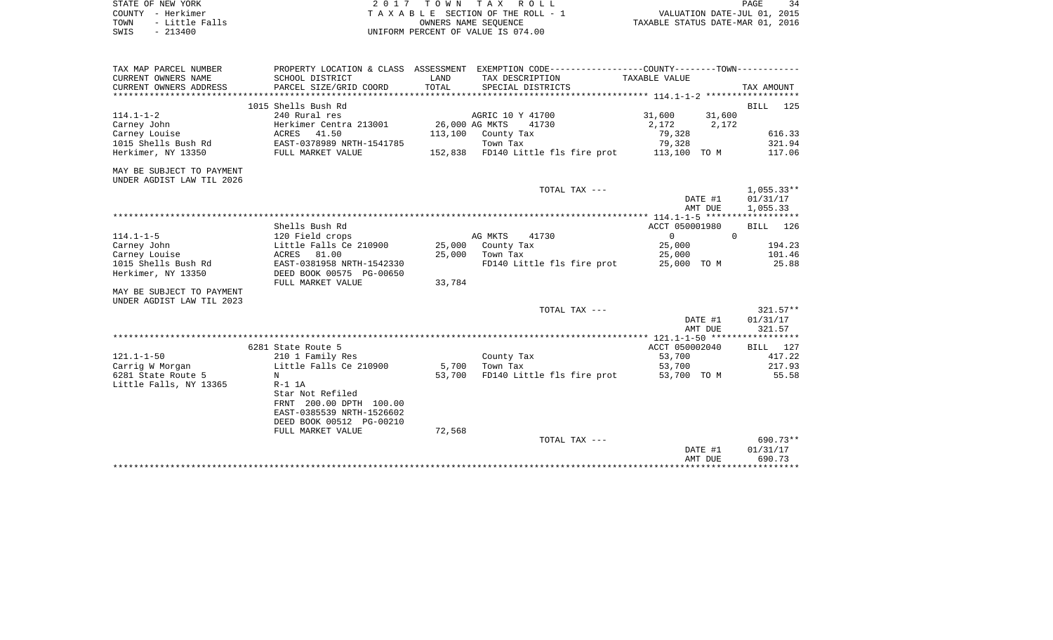|      | STATE OF NEW YORK | 2017 TOWN TAX ROLL                    | 34<br><b>PAGE</b>                |
|------|-------------------|---------------------------------------|----------------------------------|
|      | COUNTY - Herkimer | T A X A B L E SECTION OF THE ROLL - 1 | VALUATION DATE-JUL 01, 2015      |
| TOWN | - Little Falls    | OWNERS NAME SEOUENCE                  | TAXABLE STATUS DATE-MAR 01, 2016 |
| SWIS | $-213400$         | UNIFORM PERCENT OF VALUE IS 074.00    |                                  |

| TAX MAP PARCEL NUMBER     | PROPERTY LOCATION & CLASS ASSESSMENT EXEMPTION CODE----------------COUNTY--------TOWN----------- |                |                                                 |                   |              |
|---------------------------|--------------------------------------------------------------------------------------------------|----------------|-------------------------------------------------|-------------------|--------------|
| CURRENT OWNERS NAME       | SCHOOL DISTRICT                                                                                  | LAND           | TAX DESCRIPTION                                 | TAXABLE VALUE     |              |
| CURRENT OWNERS ADDRESS    | PARCEL SIZE/GRID COORD                                                                           | TOTAL          | SPECIAL DISTRICTS                               |                   | TAX AMOUNT   |
|                           |                                                                                                  |                |                                                 |                   |              |
|                           | 1015 Shells Bush Rd                                                                              |                |                                                 |                   | BILL 125     |
| $114.1 - 1 - 2$           | 240 Rural res                                                                                    |                | AGRIC 10 Y 41700                                | 31,600<br>31,600  |              |
| Carney John               | Herkimer Centra 213001                                                                           | 26,000 AG MKTS | 41730                                           | 2,172 2,172       |              |
| Carney Louise             | ACRES 41.50                                                                                      |                | 113,100 County Tax                              | 79,328            | 616.33       |
| 1015 Shells Bush Rd       | EAST-0378989 NRTH-1541785                                                                        |                | Town Tax                                        | 79,328            | 321.94       |
| Herkimer, NY 13350        | FULL MARKET VALUE                                                                                |                | 152,838 FD140 Little fls fire prot 113,100 TO M |                   | 117.06       |
| MAY BE SUBJECT TO PAYMENT |                                                                                                  |                |                                                 |                   |              |
| UNDER AGDIST LAW TIL 2026 |                                                                                                  |                |                                                 |                   |              |
|                           |                                                                                                  |                | TOTAL TAX ---                                   |                   | $1,055.33**$ |
|                           |                                                                                                  |                |                                                 | DATE #1           | 01/31/17     |
|                           |                                                                                                  |                |                                                 | AMT DUE           | 1,055.33     |
|                           |                                                                                                  |                |                                                 |                   |              |
|                           | Shells Bush Rd                                                                                   |                |                                                 | ACCT 050001980    | BILL 126     |
| $114.1 - 1 - 5$           | 120 Field crops                                                                                  |                | AG MKTS<br>41730                                | $0 \qquad \qquad$ | $\Omega$     |
| Carney John               | Little Falls Ce 210900                                                                           | 25,000         | County Tax                                      | 25,000            | 194.23       |
| Carney Louise             | ACRES 81.00                                                                                      |                | 25,000 Town Tax                                 | 25,000            | 101.46       |
| 1015 Shells Bush Rd       | EAST-0381958 NRTH-1542330                                                                        |                | FD140 Little fls fire prot 25,000 TO M          |                   | 25.88        |
| Herkimer, NY 13350        | DEED BOOK 00575 PG-00650                                                                         |                |                                                 |                   |              |
|                           | FULL MARKET VALUE                                                                                | 33,784         |                                                 |                   |              |
| MAY BE SUBJECT TO PAYMENT |                                                                                                  |                |                                                 |                   |              |
| UNDER AGDIST LAW TIL 2023 |                                                                                                  |                |                                                 |                   |              |
|                           |                                                                                                  |                | TOTAL TAX ---                                   |                   | $321.57**$   |
|                           |                                                                                                  |                |                                                 | DATE #1           | 01/31/17     |
|                           |                                                                                                  |                |                                                 | AMT DUE           | 321.57       |
|                           |                                                                                                  |                |                                                 |                   |              |
|                           | 6281 State Route 5                                                                               |                |                                                 | ACCT 050002040    | BILL 127     |
| $121.1 - 1 - 50$          | 210 1 Family Res                                                                                 |                | County Tax                                      | 53,700            | 417.22       |
| Carrig W Morgan           | Little Falls Ce 210900                                                                           |                | 5,700 Town Tax                                  | 53,700            | 217.93       |
| 6281 State Route 5        | N                                                                                                | 53,700         | FD140 Little fls fire prot                      | 53,700 TO M       | 55.58        |
| Little Falls, NY 13365    | $R-1$ 1A                                                                                         |                |                                                 |                   |              |
|                           | Star Not Refiled                                                                                 |                |                                                 |                   |              |
|                           | FRNT 200.00 DPTH 100.00                                                                          |                |                                                 |                   |              |
|                           | EAST-0385539 NRTH-1526602                                                                        |                |                                                 |                   |              |
|                           | DEED BOOK 00512 PG-00210                                                                         |                |                                                 |                   |              |
|                           | FULL MARKET VALUE                                                                                | 72,568         |                                                 |                   |              |
|                           |                                                                                                  |                | TOTAL TAX ---                                   |                   | 690.73**     |
|                           |                                                                                                  |                |                                                 | DATE #1           | 01/31/17     |
|                           |                                                                                                  |                |                                                 | AMT DUE           | 690.73       |
|                           |                                                                                                  |                |                                                 |                   |              |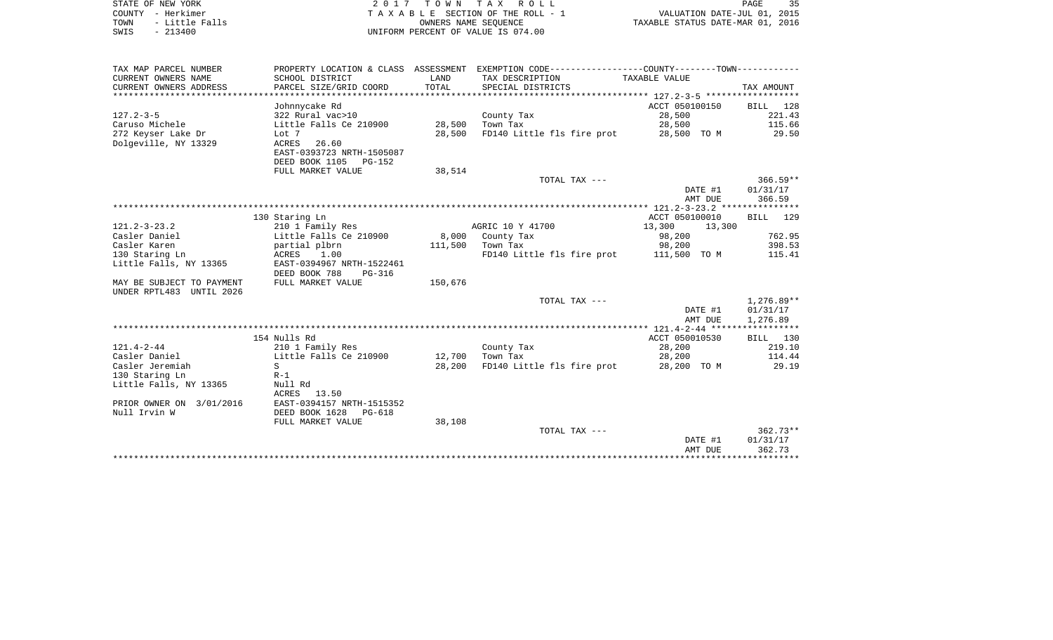| STATE OF NEW YORK |  |           |                |  |
|-------------------|--|-----------|----------------|--|
| COUNTY - Herkimer |  |           |                |  |
| TOWN              |  |           | - Little Falls |  |
| SWTS              |  | $-213400$ |                |  |

2017 TOWN TAX ROLL TA X A B L E SECTION OF THE ROLL - 1 TOWN - Little Falls OWNERS NAME SEQUENCE TAXABLE STATUS DATE-MAR 01, 2016 SWIS - 213400 UNIFORM PERCENT OF VALUE IS 074.00

| TAX MAP PARCEL NUMBER     |                           |         | PROPERTY LOCATION & CLASS ASSESSMENT EXEMPTION CODE---------------COUNTY-------TOWN---------- |                    |              |
|---------------------------|---------------------------|---------|-----------------------------------------------------------------------------------------------|--------------------|--------------|
| CURRENT OWNERS NAME       | SCHOOL DISTRICT           | LAND    | TAX DESCRIPTION                                                                               | TAXABLE VALUE      |              |
| CURRENT OWNERS ADDRESS    | PARCEL SIZE/GRID COORD    | TOTAL   | SPECIAL DISTRICTS                                                                             |                    | TAX AMOUNT   |
|                           |                           |         |                                                                                               |                    |              |
|                           | Johnnycake Rd             |         |                                                                                               | ACCT 050100150     | BILL 128     |
| $127.2 - 3 - 5$           | 322 Rural vac>10          |         | County Tax                                                                                    | 28,500             | 221.43       |
| Caruso Michele            | Little Falls Ce 210900    | 28,500  | Town Tax                                                                                      | 28,500             | 115.66       |
| 272 Keyser Lake Dr        | Lot 7                     | 28,500  | FD140 Little fls fire prot                                                                    | 28,500 TO M        | 29.50        |
| Dolgeville, NY 13329      | 26.60<br>ACRES            |         |                                                                                               |                    |              |
|                           | EAST-0393723 NRTH-1505087 |         |                                                                                               |                    |              |
|                           | DEED BOOK 1105<br>PG-152  |         |                                                                                               |                    |              |
|                           | FULL MARKET VALUE         | 38,514  |                                                                                               |                    |              |
|                           |                           |         | TOTAL TAX ---                                                                                 |                    | $366.59**$   |
|                           |                           |         |                                                                                               | DATE #1            | 01/31/17     |
|                           |                           |         |                                                                                               | AMT DUE            | 366.59       |
|                           |                           |         |                                                                                               |                    |              |
|                           | 130 Staring Ln            |         |                                                                                               | ACCT 050100010     | 129<br>BILL  |
| $121.2 - 3 - 23.2$        | 210 1 Family Res          |         | AGRIC 10 Y 41700                                                                              | 13,300<br>13,300   |              |
| Casler Daniel             | Little Falls Ce 210900    |         | 8,000 County Tax                                                                              | 98,200             | 762.95       |
| Casler Karen              | partial plbrn             |         | 111,500 Town Tax                                                                              | 98,200             | 398.53       |
| 130 Staring Ln            | ACRES 1.00                |         | FD140 Little fls fire prot 111,500 TO M                                                       |                    | 115.41       |
| Little Falls, NY 13365    | EAST-0394967 NRTH-1522461 |         |                                                                                               |                    |              |
|                           | DEED BOOK 788<br>PG-316   |         |                                                                                               |                    |              |
| MAY BE SUBJECT TO PAYMENT | FULL MARKET VALUE         | 150,676 |                                                                                               |                    |              |
| UNDER RPTL483 UNTIL 2026  |                           |         |                                                                                               |                    |              |
|                           |                           |         | TOTAL TAX ---                                                                                 |                    | $1,276.89**$ |
|                           |                           |         |                                                                                               | DATE #1<br>AMT DUE | 01/31/17     |
|                           |                           |         |                                                                                               |                    | 1,276.89     |
|                           | 154 Nulls Rd              |         |                                                                                               | ACCT 050010530     | BILL 130     |
| $121.4 - 2 - 44$          | 210 1 Family Res          |         | County Tax                                                                                    | 28,200             | 219.10       |
| Casler Daniel             | Little Falls Ce 210900    | 12,700  | Town Tax                                                                                      | 28,200             | 114.44       |
| Casler Jeremiah           | S                         | 28,200  | FD140 Little fls fire prot                                                                    | 28,200 TO M        | 29.19        |
| 130 Staring Ln            | $R-1$                     |         |                                                                                               |                    |              |
| Little Falls, NY 13365    | Null Rd                   |         |                                                                                               |                    |              |
|                           | ACRES 13.50               |         |                                                                                               |                    |              |
| PRIOR OWNER ON 3/01/2016  | EAST-0394157 NRTH-1515352 |         |                                                                                               |                    |              |
| Null Irvin W              | DEED BOOK 1628<br>PG-618  |         |                                                                                               |                    |              |
|                           | FULL MARKET VALUE         | 38,108  |                                                                                               |                    |              |
|                           |                           |         | TOTAL TAX ---                                                                                 |                    | $362.73**$   |
|                           |                           |         |                                                                                               | DATE #1            | 01/31/17     |
|                           |                           |         |                                                                                               | AMT DUE            | 362.73       |
|                           |                           |         |                                                                                               |                    |              |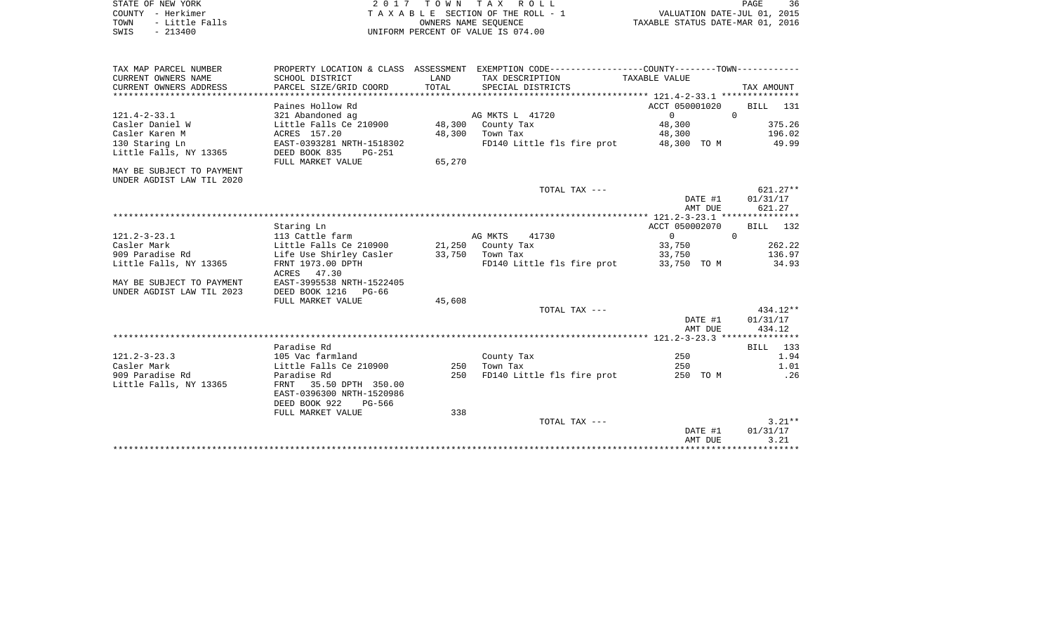| STATE OF NEW YORK |           |                |  |
|-------------------|-----------|----------------|--|
| COUNTY - Herkimer |           |                |  |
| TOWN              |           | - Little Falls |  |
| SWIS              | $-213400$ |                |  |

STATE OF NEW YORK 2 0 1 7 T O W N T A X R O L L PAGE 36TA X A B L E SECTION OF THE ROLL - 1 TOWN - Little Falls OWNERS NAME SEQUENCE TAXABLE STATUS DATE-MAR 01, 2016 SWIS - 213400 UNIFORM PERCENT OF VALUE IS 074.00

| TAX MAP PARCEL NUMBER     |                                          |                 | PROPERTY LOCATION & CLASS ASSESSMENT EXEMPTION CODE----------------COUNTY--------TOWN---------- |                |            |
|---------------------------|------------------------------------------|-----------------|-------------------------------------------------------------------------------------------------|----------------|------------|
| CURRENT OWNERS NAME       | SCHOOL DISTRICT                          | LAND            | TAX DESCRIPTION TAXABLE VALUE                                                                   |                |            |
| CURRENT OWNERS ADDRESS    | PARCEL SIZE/GRID COORD                   | TOTAL           | SPECIAL DISTRICTS                                                                               |                | TAX AMOUNT |
|                           |                                          |                 |                                                                                                 |                |            |
|                           | Paines Hollow Rd                         |                 |                                                                                                 | ACCT 050001020 | BILL 131   |
| $121.4 - 2 - 33.1$        | 321 Abandoned ag                         |                 | AG MKTS L 41720                                                                                 | $\Omega$       | $\Omega$   |
| Casler Daniel W           | Little Falls Ce 210900 48,300 County Tax |                 |                                                                                                 | 48,300         | 375.26     |
| Casler Karen M            | ACRES 157.20                             | 48,300          | Town Tax                                                                                        | 48,300 196.02  |            |
| 130 Staring Ln            | EAST-0393281 NRTH-1518302                |                 | FD140 Little fls fire prot 48,300 TO M 49.99                                                    |                |            |
| Little Falls, NY 13365    | DEED BOOK 835<br>PG-251                  |                 |                                                                                                 |                |            |
|                           | FULL MARKET VALUE                        | 65,270          |                                                                                                 |                |            |
| MAY BE SUBJECT TO PAYMENT |                                          |                 |                                                                                                 |                |            |
| UNDER AGDIST LAW TIL 2020 |                                          |                 |                                                                                                 |                |            |
|                           |                                          |                 | TOTAL TAX ---                                                                                   |                | $621.27**$ |
|                           |                                          |                 |                                                                                                 | DATE #1        | 01/31/17   |
|                           |                                          |                 |                                                                                                 | AMT DUE        | 621.27     |
|                           |                                          |                 |                                                                                                 |                |            |
|                           | Staring Ln                               |                 |                                                                                                 | ACCT 050002070 | BILL 132   |
| $121.2 - 3 - 23.1$        | 113 Cattle farm                          |                 | AG MKTS<br>41730                                                                                | $\Omega$       | $\Omega$   |
| Casler Mark               | Little Falls Ce 210900                   |                 | 21,250 County Tax                                                                               | 33,750         | 262.22     |
| 909 Paradise Rd           | Life Use Shirley Casler                  | 33,750 Town Tax |                                                                                                 | 33,750         | 136.97     |
| Little Falls, NY 13365    | FRNT 1973.00 DPTH                        |                 | FD140 Little fls fire prot 33,750 TO M                                                          |                | 34.93      |
|                           | ACRES 47.30                              |                 |                                                                                                 |                |            |
| MAY BE SUBJECT TO PAYMENT | EAST-3995538 NRTH-1522405                |                 |                                                                                                 |                |            |
| UNDER AGDIST LAW TIL 2023 | DEED BOOK 1216 PG-66                     |                 |                                                                                                 |                |            |
|                           | FULL MARKET VALUE                        | 45,608          |                                                                                                 |                |            |
|                           |                                          |                 | TOTAL TAX ---                                                                                   |                | $434.12**$ |
|                           |                                          |                 |                                                                                                 | DATE #1        | 01/31/17   |
|                           |                                          |                 |                                                                                                 | AMT DUE        | 434.12     |
|                           |                                          |                 |                                                                                                 |                |            |
|                           | Paradise Rd                              |                 |                                                                                                 |                | BILL 133   |
| $121.2 - 3 - 23.3$        | 105 Vac farmland                         |                 | County Tax                                                                                      | 250            | 1.94       |
| Casler Mark               | Little Falls Ce 210900                   | 250             | Town Tax                                                                                        | 250            | 1.01       |
| 909 Paradise Rd           | Paradise Rd                              | 250             | FD140 Little fls fire prot 250 TO M                                                             |                | .26        |
| Little Falls, NY 13365    | FRNT 35.50 DPTH 350.00                   |                 |                                                                                                 |                |            |
|                           | EAST-0396300 NRTH-1520986                |                 |                                                                                                 |                |            |
|                           | DEED BOOK 922<br>PG-566                  |                 |                                                                                                 |                |            |
|                           | FULL MARKET VALUE                        | 338             |                                                                                                 |                |            |
|                           |                                          |                 | TOTAL TAX ---                                                                                   |                | $3.21**$   |
|                           |                                          |                 |                                                                                                 | DATE #1        | 01/31/17   |
|                           |                                          |                 |                                                                                                 | AMT DUE        | 3.21       |
|                           |                                          |                 |                                                                                                 |                |            |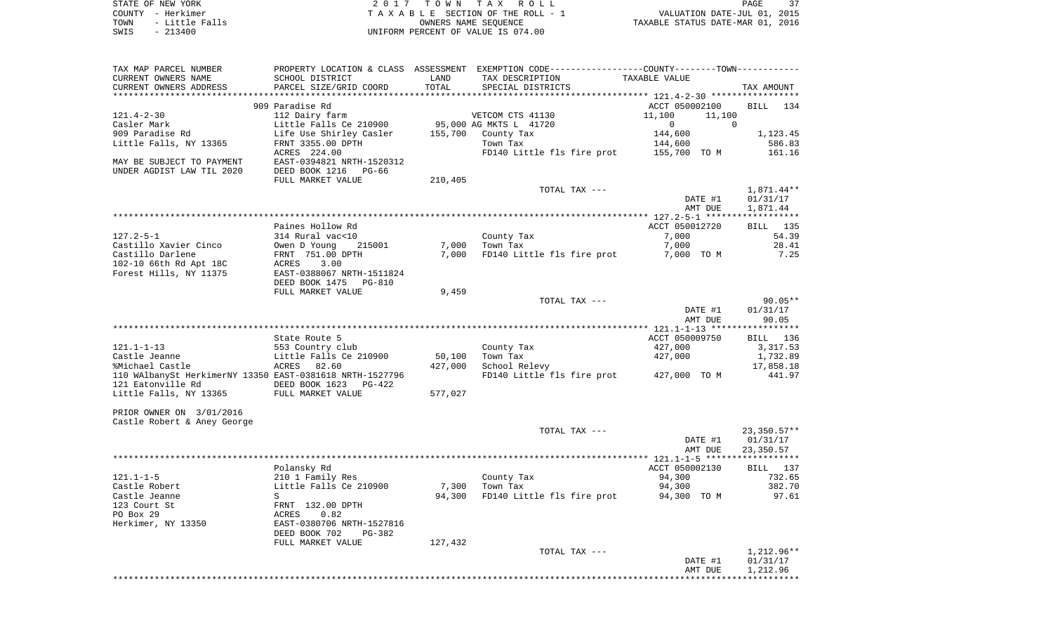STATE OF NEW YORK 2 0 1 7 T O W N T A X R O L L PAGE 37COUNTY - Herkimer **T A X A B L E** SECTION OF THE ROLL - 1 VALUATION DATE-JUL 01, 2015 TOWN - Little Falls OWNERS NAME SEQUENCE TAXABLE STATUS DATE-MAR 01, 2016 SWIS - 213400 UNIFORM PERCENT OF VALUE IS 074.00

TAX MAP PARCEL NUMBER PROPERTY LOCATION & CLASS ASSESSMENT EXEMPTION CODE------------------COUNTY--------TOWN------------ CURRENT OWNERS NAME SCHOOL DISTRICT LAND TAX DESCRIPTION TAXABLE VALUECURRENT OWNERS ADDRESS PARCEL SIZE/GRID COORD TOTAL SPECIAL DISTRICTS TAX AMOUNT \*\*\*\*\*\*\*\*\*\*\*\*\*\*\*\*\*\*\*\*\*\*\*\*\*\*\*\*\*\*\*\*\*\*\*\*\*\*\*\*\*\*\*\*\*\*\*\*\*\*\*\*\*\*\*\*\*\*\*\*\*\*\*\*\*\*\*\*\*\*\*\*\*\*\*\*\*\*\*\*\*\*\*\*\*\*\*\*\*\*\*\*\*\*\*\*\*\*\*\*\*\*\* 121.4-2-30 \*\*\*\*\*\*\*\*\*\*\*\*\*\*\*\*\*909 Paradise Rd ACCT 050002100 BILL 1346 BILL 1346 BILL 1346 BILL 1346 BILL 1346 BILL 1346 BILL 1346 BILL 1346 BILL 1346 BILL 1346 BILL 1346 BILL 1346 BILL 1346 BILL 1346 BILL 1346 BILL 1346 BILL 1346 BILL 1346 BILL 1346 B BILL 134 121.4-2-30 112 Dairy farm VETCOM CTS 41130 11,100 11,100 Casler Mark Little Falls Ce 210900 95,000 AG MKTS L 41720 0 0 909 Paradise Rd Communication County Tax 144,600 1,123.45 Little Falls, NY 13365 683 FRNT 3355.00 DPTH Town Tax Town Tax 144,600 586.83 ACRES 224.00 FD140 Little fls fire prot 155,700 TO M 161.16 MAY BE SUBJECT TO PAYMENT EAST-0394821 NRTH-1520312UNDER AGDIST LAW TIL 2020 DEED BOOK 1216 PG-66FULL MARKET VALUE 210,405 TOTAL TAX  $---$  1,871.44\*\* DATE #1 01/31/17 AMT DUE 1,871.44 \*\*\*\*\*\*\*\*\*\*\*\*\*\*\*\*\*\*\*\*\*\*\*\*\*\*\*\*\*\*\*\*\*\*\*\*\*\*\*\*\*\*\*\*\*\*\*\*\*\*\*\*\*\*\*\*\*\*\*\*\*\*\*\*\*\*\*\*\*\*\*\*\*\*\*\*\*\*\*\*\*\*\*\*\*\*\*\*\*\*\*\*\*\*\*\*\*\*\*\*\*\*\* 127.2-5-1 \*\*\*\*\*\*\*\*\*\*\*\*\*\*\*\*\*\***BILL** 135 Paines Hollow Rd **Paint 135 and 135 and 135 and 135 and 135 and 135 and 135 and 135 and 135 and 135 and 135 and 135 and 135 and 135 and 135 and 135 and 135 and 135 and 135 and 135 and 135 and 135 and 135 and 135 and 135 an** 127.2-5-1 314 Rural vac<10 County Tax 7,000 54.39 Castillo Xavier Cinco Owen D Young 215001 7,000 Town Tax 7,000 28.41 Castillo Darlene FRNT 751.00 DPTH 7,000 FD140 Little fls fire prot 7,000 TO M 7.25 102-10 66th Rd Apt 18C ACRES 3.00 Forest Hills, NY 11375 EAST-0388067 NRTH-1511824 DEED BOOK 1475 PG-810 FULL MARKET VALUE 9,459 TOTAL TAX --- 90.05\*\* DATE #1 01/31/17 AMT DUE 90.05 \*\*\*\*\*\*\*\*\*\*\*\*\*\*\*\*\*\*\*\*\*\*\*\*\*\*\*\*\*\*\*\*\*\*\*\*\*\*\*\*\*\*\*\*\*\*\*\*\*\*\*\*\*\*\*\*\*\*\*\*\*\*\*\*\*\*\*\*\*\*\*\*\*\*\*\*\*\*\*\*\*\*\*\*\*\*\*\*\*\*\*\*\*\*\*\*\*\*\*\*\*\*\* 121.1-1-13 \*\*\*\*\*\*\*\*\*\*\*\*\*\*\*\*\*State Route 5 ACCT 050009750 BILL 136 121.1-1-13 553 Country club County Tax 427,000 3,317.53 Castle Jeanne Little Falls Ce 210900 50,100 Town Tax 427,000 1,732.89 %Michael Castle ACRES 82.60 427,000 School Relevy 17,858.18 110 WAlbanySt HerkimerNY 13350 EAST-0381618 NRTH-1527796 FD140 Little fls fire prot 427,000 TO M 441.97 121 Eatonville Rd DEED BOOK 1623 PG-422Little Falls, NY 13365 FULL MARKET VALUE 577,027 PRIOR OWNER ON 3/01/2016 Castle Robert & Aney George TOTAL TAX --- 23,350.57\*\* DATE #1 01/31/17 AMT DUE 23,350.57 \*\*\*\*\*\*\*\*\*\*\*\*\*\*\*\*\*\*\*\*\*\*\*\*\*\*\*\*\*\*\*\*\*\*\*\*\*\*\*\*\*\*\*\*\*\*\*\*\*\*\*\*\*\*\*\*\*\*\*\*\*\*\*\*\*\*\*\*\*\*\*\*\*\*\*\*\*\*\*\*\*\*\*\*\*\*\*\*\*\*\*\*\*\*\*\*\*\*\*\*\*\*\* 121.1-1-5 \*\*\*\*\*\*\*\*\*\*\*\*\*\*\*\*\*\* Polansky Rd ACCT 050002130 BILL 137 121.1-1-5 210 1 Family Res County Tax 94,300 732.65 Castle Robert Little Falls Ce 210900 7,300 Town Tax 94,300 382.70 Castle Jeanne S S S Service S 34,300 FD140 Little fls fire prot 94,300 TO M 97.61 123 Court St FRNT 132.00 DPTH PO Box 29 ACRES 0.82 Herkimer, NY 13350 EAST-0380706 NRTH-1527816

FULL MARKET VALUE 127,432 TOTAL TAX --- 1,212.96\*\* DATE #1 01/31/17 AMT DUE 1,212.96 \*\*\*\*\*\*\*\*\*\*\*\*\*\*\*\*\*\*\*\*\*\*\*\*\*\*\*\*\*\*\*\*\*\*\*\*\*\*\*\*\*\*\*\*\*\*\*\*\*\*\*\*\*\*\*\*\*\*\*\*\*\*\*\*\*\*\*\*\*\*\*\*\*\*\*\*\*\*\*\*\*\*\*\*\*\*\*\*\*\*\*\*\*\*\*\*\*\*\*\*\*\*\*\*\*\*\*\*\*\*\*\*\*\*\*\*\*\*\*\*\*\*\*\*\*\*\*\*\*\*\*\*

DEED BOOK 702 PG-382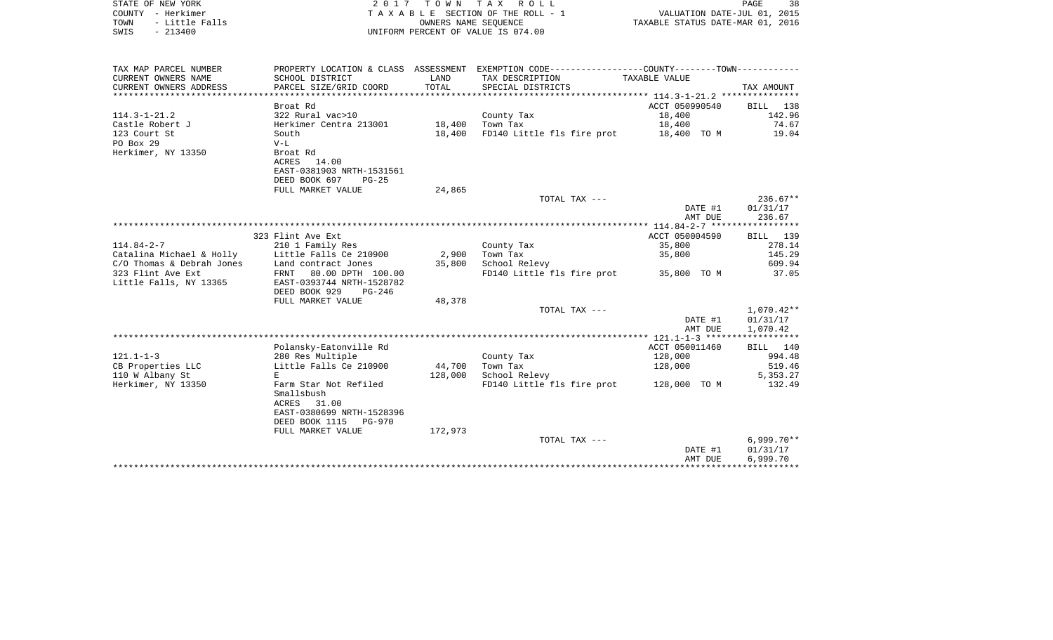| STATE OF NEW YORK<br>COUNTY - Herkimer<br>TOWN<br>- Little Falls<br>$-213400$<br>SWIS |                                                                                                       | OWNERS NAME SEQUENCE | 2017 TOWN TAX ROLL<br>TAXABLE SECTION OF THE ROLL - 1<br>UNIFORM PERCENT OF VALUE IS 074.00   | PAGE<br>38<br>VALUATION DATE-JUL 01, 2015<br>TAXABLE STATUS DATE-MAR 01, 2016 |                        |  |
|---------------------------------------------------------------------------------------|-------------------------------------------------------------------------------------------------------|----------------------|-----------------------------------------------------------------------------------------------|-------------------------------------------------------------------------------|------------------------|--|
| TAX MAP PARCEL NUMBER                                                                 |                                                                                                       |                      | PROPERTY LOCATION & CLASS ASSESSMENT EXEMPTION CODE---------------COUNTY-------TOWN---------- |                                                                               |                        |  |
| CURRENT OWNERS NAME<br>CURRENT OWNERS ADDRESS                                         | SCHOOL DISTRICT<br>PARCEL SIZE/GRID COORD                                                             | LAND<br>TOTAL        | TAX DESCRIPTION<br>SPECIAL DISTRICTS                                                          | TAXABLE VALUE                                                                 | TAX AMOUNT             |  |
|                                                                                       |                                                                                                       |                      |                                                                                               |                                                                               |                        |  |
|                                                                                       | Broat Rd                                                                                              |                      |                                                                                               | ACCT 050990540                                                                | BILL 138               |  |
| $114.3 - 1 - 21.2$                                                                    | 322 Rural vac>10                                                                                      |                      | County Tax                                                                                    | 18,400                                                                        | 142.96                 |  |
| Castle Robert J                                                                       | Herkimer Centra 213001                                                                                | 18,400               | Town Tax                                                                                      | 18,400                                                                        | 74.67                  |  |
| 123 Court St<br>PO Box 29<br>Herkimer, NY 13350                                       | South<br>$V-L$<br>Broat Rd<br>ACRES 14.00<br>EAST-0381903 NRTH-1531561                                | 18,400               | FD140 Little fls fire prot                                                                    | 18,400 TO M                                                                   | 19.04                  |  |
|                                                                                       | DEED BOOK 697<br>$PG-25$<br>FULL MARKET VALUE                                                         | 24,865               |                                                                                               |                                                                               |                        |  |
|                                                                                       |                                                                                                       |                      | TOTAL TAX ---                                                                                 | DATE #1                                                                       | $236.67**$<br>01/31/17 |  |
|                                                                                       |                                                                                                       |                      |                                                                                               | AMT DUE                                                                       | 236.67                 |  |
|                                                                                       | 323 Flint Ave Ext                                                                                     |                      |                                                                                               | ACCT 050004590                                                                | BILL 139               |  |
| $114.84 - 2 - 7$                                                                      | 210 1 Family Res                                                                                      |                      | County Tax                                                                                    | 35,800                                                                        | 278.14                 |  |
| Catalina Michael & Holly                                                              | Little Falls Ce 210900                                                                                | 2,900                | Town Tax                                                                                      | 35,800                                                                        | 145.29                 |  |
| C/O Thomas & Debrah Jones                                                             | Land contract Jones                                                                                   | 35,800               | School Relevy                                                                                 |                                                                               | 609.94                 |  |
| 323 Flint Ave Ext<br>Little Falls, NY 13365                                           | FRNT 80.00 DPTH 100.00<br>EAST-0393744 NRTH-1528782<br>DEED BOOK 929<br>$PG-246$<br>FULL MARKET VALUE | 48,378               | FD140 Little fls fire prot                                                                    | 35,800 TO M                                                                   | 37.05                  |  |
|                                                                                       |                                                                                                       |                      | TOTAL TAX ---                                                                                 |                                                                               | $1,070.42**$           |  |
|                                                                                       |                                                                                                       |                      |                                                                                               | DATE #1<br>AMT DUE                                                            | 01/31/17<br>1,070.42   |  |
|                                                                                       |                                                                                                       |                      |                                                                                               |                                                                               |                        |  |
|                                                                                       | Polansky-Eatonville Rd                                                                                |                      |                                                                                               | ACCT 050011460                                                                | BILL 140               |  |
| $121.1 - 1 - 3$                                                                       | 280 Res Multiple                                                                                      |                      | County Tax                                                                                    | 128,000                                                                       | 994.48                 |  |
| CB Properties LLC<br>110 W Albany St                                                  | Little Falls Ce 210900<br>E.                                                                          | 44,700<br>128,000    | Town Tax<br>School Relevy                                                                     | 128,000                                                                       | 519.46<br>5,353.27     |  |

Herkimer, NY 13350 Farm Star Not Refiled FD140 Little fls fire prot 128,000 TO M 132.49

\*\*\*\*\*\*\*\*\*\*\*\*\*\*\*\*\*\*\*\*\*\*\*\*\*\*\*\*\*\*\*\*\*\*\*\*\*\*\*\*\*\*\*\*\*\*\*\*\*\*\*\*\*\*\*\*\*\*\*\*\*\*\*\*\*\*\*\*\*\*\*\*\*\*\*\*\*\*\*\*\*\*\*\*\*\*\*\*\*\*\*\*\*\*\*\*\*\*\*\*\*\*\*\*\*\*\*\*\*\*\*\*\*\*\*\*\*\*\*\*\*\*\*\*\*\*\*\*\*\*\*\*

TOTAL TAX ---  $6,999.70**$ <br>DATE #1  $01/31/17$ 

 $01/31/17$ 

AMT DUE 6,999.70

 SmallsbushACRES 31.00

EAST-0380699 NRTH-1528396

DEED BOOK 1115 PG-970 FULL MARKET VALUE 172,973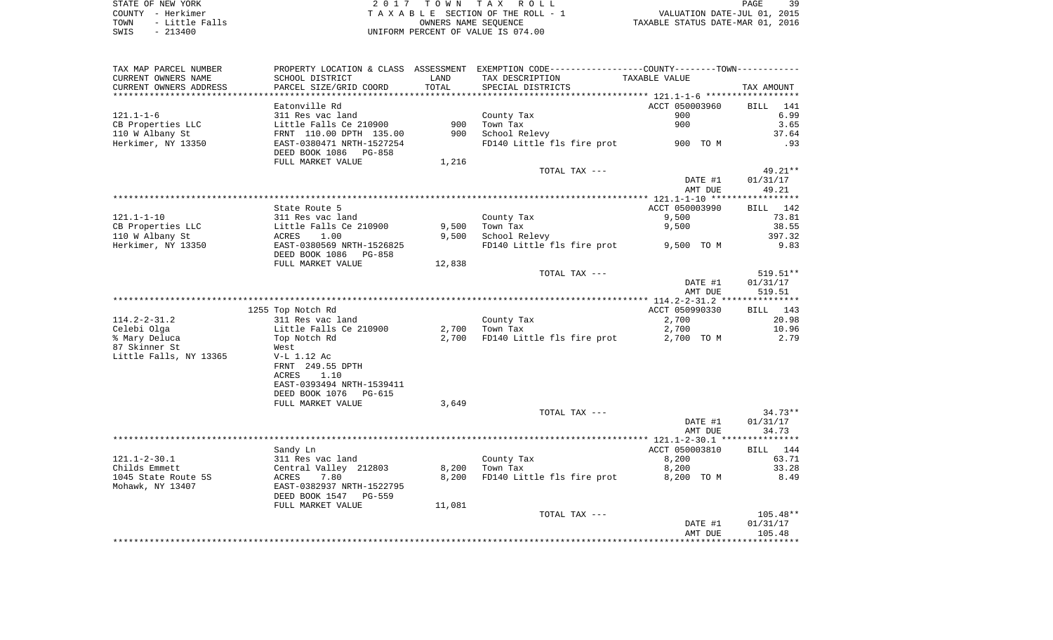STATE OF NEW YORK 2 0 1 7 T O W N T A X R O L L PAGE 39 COUNTY - Herkimer T A X A B L E SECTION OF THE ROLL - 1 VALUATION DATE-JUL 01, 2015 TOWN - Little Falls OWNERS NAME SEQUENCE TAXABLE STATUS DATE-MAR 01, 2016 SWIS - 213400 UNIFORM PERCENT OF VALUE IS 074.00

| TAX MAP PARCEL NUMBER<br>CURRENT OWNERS NAME | PROPERTY LOCATION & CLASS ASSESSMENT<br>SCHOOL DISTRICT                    | LAND       | EXEMPTION CODE-----------------COUNTY-------TOWN-----------<br>TAX DESCRIPTION | TAXABLE VALUE                       |                            |
|----------------------------------------------|----------------------------------------------------------------------------|------------|--------------------------------------------------------------------------------|-------------------------------------|----------------------------|
| CURRENT OWNERS ADDRESS                       | PARCEL SIZE/GRID COORD                                                     | TOTAL      | SPECIAL DISTRICTS                                                              | ************ 121.1-1-6 ************ | TAX AMOUNT                 |
| $121.1 - 1 - 6$                              | Eatonville Rd<br>311 Res vac land                                          |            | County Tax                                                                     | ACCT 050003960<br>900               | <b>BILL</b><br>141<br>6.99 |
| CB Properties LLC<br>110 W Albany St         | Little Falls Ce 210900<br>FRNT 110.00 DPTH 135.00                          | 900<br>900 | Town Tax<br>School Relevy                                                      | 900                                 | 3.65<br>37.64              |
| Herkimer, NY 13350                           | EAST-0380471 NRTH-1527254<br>DEED BOOK 1086<br>PG-858<br>FULL MARKET VALUE | 1,216      | FD140 Little fls fire prot                                                     | 900 TO M                            | .93                        |
|                                              |                                                                            |            | TOTAL TAX ---                                                                  |                                     | 49.21**                    |
|                                              |                                                                            |            |                                                                                | DATE #1<br>AMT DUE                  | 01/31/17<br>49.21          |
|                                              |                                                                            |            |                                                                                |                                     |                            |
| $121.1 - 1 - 10$                             | State Route 5<br>311 Res vac land                                          |            | County Tax                                                                     | ACCT 050003990<br>9,500             | 142<br>BILL<br>73.81       |
| CB Properties LLC                            | Little Falls Ce 210900                                                     | 9,500      | Town Tax                                                                       | 9,500                               | 38.55                      |
| 110 W Albany St                              | ACRES<br>1.00                                                              | 9,500      | School Relevy                                                                  |                                     | 397.32                     |
| Herkimer, NY 13350                           | EAST-0380569 NRTH-1526825<br>DEED BOOK 1086<br>PG-858                      |            | FD140 Little fls fire prot                                                     | 9,500 TO M                          | 9.83                       |
|                                              | FULL MARKET VALUE                                                          | 12,838     |                                                                                |                                     |                            |
|                                              |                                                                            |            | TOTAL TAX ---                                                                  | DATE #1                             | 519.51**<br>01/31/17       |
|                                              |                                                                            |            |                                                                                | AMT DUE                             | 519.51                     |
|                                              | 1255 Top Notch Rd                                                          |            |                                                                                | ACCT 050990330                      | BILL 143                   |
| $114.2 - 2 - 31.2$                           | 311 Res vac land                                                           |            | County Tax                                                                     | 2,700                               | 20.98                      |
| Celebi Olga                                  | Little Falls Ce 210900                                                     | 2,700      | Town Tax                                                                       | 2,700                               | 10.96                      |
| % Mary Deluca                                | Top Notch Rd                                                               | 2,700      | FD140 Little fls fire prot                                                     | 2,700 TO M                          | 2.79                       |
| 87 Skinner St                                | West                                                                       |            |                                                                                |                                     |                            |
| Little Falls, NY 13365                       | V-L 1.12 Ac                                                                |            |                                                                                |                                     |                            |
|                                              | FRNT 249.55 DPTH                                                           |            |                                                                                |                                     |                            |
|                                              | ACRES<br>1.10                                                              |            |                                                                                |                                     |                            |
|                                              | EAST-0393494 NRTH-1539411                                                  |            |                                                                                |                                     |                            |
|                                              | DEED BOOK 1076<br>PG-615<br>FULL MARKET VALUE                              | 3,649      |                                                                                |                                     |                            |
|                                              |                                                                            |            | TOTAL TAX ---                                                                  |                                     | $34.73**$                  |
|                                              |                                                                            |            |                                                                                | DATE #1                             | 01/31/17                   |
|                                              |                                                                            |            |                                                                                | AMT DUE                             | 34.73                      |
|                                              |                                                                            |            |                                                                                |                                     |                            |
|                                              | Sandy Ln                                                                   |            |                                                                                | ACCT 050003810                      | 144<br>BILL                |
| $121.1 - 2 - 30.1$                           | 311 Res vac land                                                           |            | County Tax                                                                     | 8,200                               | 63.71                      |
| Childs Emmett                                | Central Valley 212803                                                      | 8,200      | Town Tax                                                                       | 8,200                               | 33.28                      |
| 1045 State Route 5S<br>Mohawk, NY 13407      | ACRES<br>7.80<br>EAST-0382937 NRTH-1522795<br>DEED BOOK 1547<br>PG-559     | 8,200      | FD140 Little fls fire prot                                                     | 8,200 TO M                          | 8.49                       |
|                                              | FULL MARKET VALUE                                                          | 11,081     |                                                                                |                                     |                            |
|                                              |                                                                            |            | TOTAL TAX ---                                                                  |                                     | $105.48**$                 |
|                                              |                                                                            |            |                                                                                | DATE #1<br>AMT DUE                  | 01/31/17<br>105.48         |
|                                              |                                                                            |            |                                                                                |                                     | * * * * * * * * *          |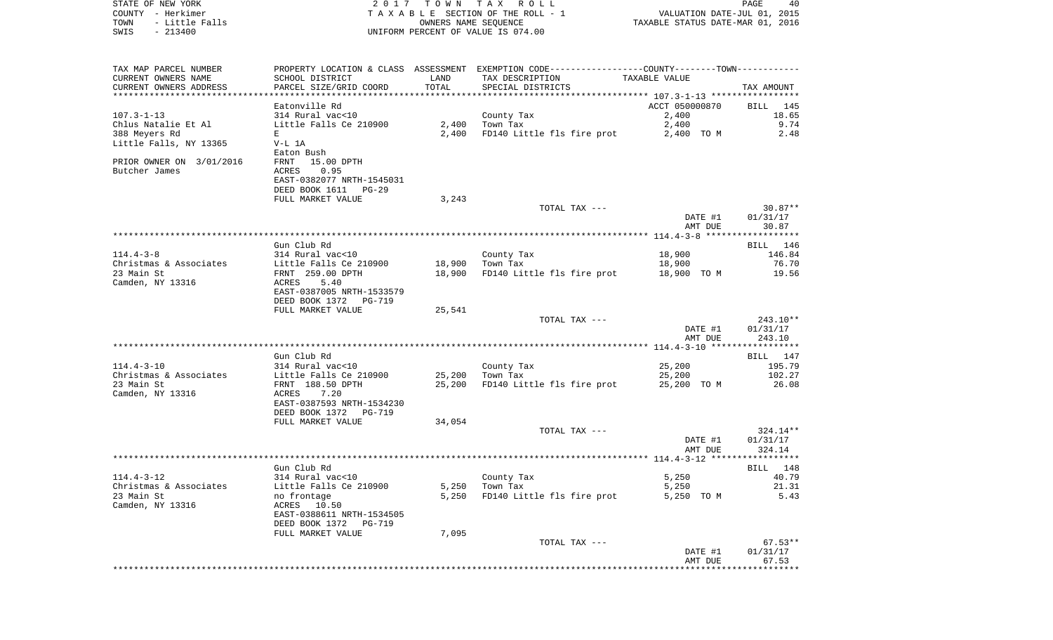| STATE OF NEW YORK        |                           |                      | 2017 TOWN TAX ROLL                                                                             |                                  | PAGE<br>40 |
|--------------------------|---------------------------|----------------------|------------------------------------------------------------------------------------------------|----------------------------------|------------|
| COUNTY - Herkimer        |                           |                      | TAXABLE SECTION OF THE ROLL - 1                                                                | VALUATION DATE-JUL 01, 2015      |            |
| - Little Falls<br>TOWN   |                           | OWNERS NAME SEQUENCE |                                                                                                | TAXABLE STATUS DATE-MAR 01, 2016 |            |
| $-213400$<br>SWIS        |                           |                      | UNIFORM PERCENT OF VALUE IS 074.00                                                             |                                  |            |
|                          |                           |                      |                                                                                                |                                  |            |
|                          |                           |                      |                                                                                                |                                  |            |
| TAX MAP PARCEL NUMBER    |                           |                      | PROPERTY LOCATION & CLASS ASSESSMENT EXEMPTION CODE----------------COUNTY-------TOWN---------- |                                  |            |
| CURRENT OWNERS NAME      | SCHOOL DISTRICT           | LAND                 | TAX DESCRIPTION                                                                                | TAXABLE VALUE                    |            |
| CURRENT OWNERS ADDRESS   | PARCEL SIZE/GRID COORD    | TOTAL                | SPECIAL DISTRICTS                                                                              |                                  | TAX AMOUNT |
|                          | Eatonville Rd             |                      |                                                                                                | ACCT 050000870                   | BILL 145   |
| $107.3 - 1 - 13$         | 314 Rural vac<10          |                      | County Tax                                                                                     | 2,400                            | 18.65      |
| Chlus Natalie Et Al      | Little Falls Ce 210900    | 2,400                | Town Tax                                                                                       | 2,400                            | 9.74       |
| 388 Meyers Rd            | E                         | 2,400                | FD140 Little fls fire prot                                                                     | 2,400 TO M                       | 2.48       |
| Little Falls, NY 13365   | V-L 1A                    |                      |                                                                                                |                                  |            |
|                          | Eaton Bush                |                      |                                                                                                |                                  |            |
| PRIOR OWNER ON 3/01/2016 | FRNT 15.00 DPTH           |                      |                                                                                                |                                  |            |
| Butcher James            | ACRES<br>0.95             |                      |                                                                                                |                                  |            |
|                          | EAST-0382077 NRTH-1545031 |                      |                                                                                                |                                  |            |
|                          | DEED BOOK 1611 PG-29      |                      |                                                                                                |                                  |            |
|                          | FULL MARKET VALUE         | 3,243                |                                                                                                |                                  |            |
|                          |                           |                      | TOTAL TAX ---                                                                                  |                                  | $30.87**$  |
|                          |                           |                      |                                                                                                | DATE #1                          | 01/31/17   |
|                          |                           |                      |                                                                                                | AMT DUE                          | 30.87      |
|                          |                           |                      |                                                                                                |                                  |            |
|                          | Gun Club Rd               |                      |                                                                                                |                                  | BILL 146   |
| $114.4 - 3 - 8$          | 314 Rural vac<10          |                      | County Tax                                                                                     | 18,900                           | 146.84     |
| Christmas & Associates   | Little Falls Ce 210900    | 18,900               | Town Tax                                                                                       | 18,900                           | 76.70      |
| 23 Main St               | FRNT 259.00 DPTH          | 18,900               | FD140 Little fls fire prot                                                                     | 18,900 TO M                      | 19.56      |
| Camden, NY 13316         | ACRES<br>5.40             |                      |                                                                                                |                                  |            |
|                          | EAST-0387005 NRTH-1533579 |                      |                                                                                                |                                  |            |
|                          | DEED BOOK 1372 PG-719     |                      |                                                                                                |                                  |            |
|                          | FULL MARKET VALUE         | 25,541               |                                                                                                |                                  |            |
|                          |                           |                      | TOTAL TAX ---                                                                                  |                                  | 243.10**   |
|                          |                           |                      |                                                                                                | DATE #1                          | 01/31/17   |
|                          |                           |                      |                                                                                                | AMT DUE                          | 243.10     |
|                          |                           |                      |                                                                                                |                                  |            |
|                          | Gun Club Rd               |                      |                                                                                                |                                  | BILL 147   |
| $114.4 - 3 - 10$         | 314 Rural vac<10          |                      | County Tax                                                                                     | 25,200                           | 195.79     |
| Christmas & Associates   | Little Falls Ce 210900    | 25,200               | Town Tax                                                                                       | 25,200                           | 102.27     |
| 23 Main St               | FRNT 188.50 DPTH          | 25,200               | FD140 Little fls fire prot                                                                     | 25,200 TO M                      | 26.08      |
| Camden, NY 13316         | ACRES 7.20                |                      |                                                                                                |                                  |            |
|                          | EAST-0387593 NRTH-1534230 |                      |                                                                                                |                                  |            |
|                          | DEED BOOK 1372 PG-719     |                      |                                                                                                |                                  |            |
|                          | FULL MARKET VALUE         | 34,054               | TOTAL TAX ---                                                                                  |                                  | 324.14**   |
|                          |                           |                      |                                                                                                | DATE #1                          | 01/31/17   |
|                          |                           |                      |                                                                                                | AMT DUE                          | 324.14     |
|                          |                           |                      |                                                                                                |                                  |            |
|                          | Gun Club Rd               |                      |                                                                                                |                                  | BILL 148   |
| $114.4 - 3 - 12$         | 314 Rural vac<10          |                      | County Tax                                                                                     | 5,250                            | 40.79      |
| Christmas & Associates   | Little Falls Ce 210900    | 5,250                | Town Tax                                                                                       | 5,250                            | 21.31      |
| 23 Main St               | no frontage               | 5,250                | FD140 Little fls fire prot                                                                     | 5,250 TO M                       | 5.43       |
| Camden, NY 13316         | ACRES 10.50               |                      |                                                                                                |                                  |            |
|                          | EAST-0388611 NRTH-1534505 |                      |                                                                                                |                                  |            |
|                          | DEED BOOK 1372<br>PG-719  |                      |                                                                                                |                                  |            |
|                          | FULL MARKET VALUE         | 7,095                |                                                                                                |                                  |            |
|                          |                           |                      | TOTAL TAX ---                                                                                  |                                  | $67.53**$  |
|                          |                           |                      |                                                                                                | DATE #1                          | 01/31/17   |
|                          |                           |                      |                                                                                                | AMT DUE                          | 67.53      |
|                          |                           |                      |                                                                                                |                                  |            |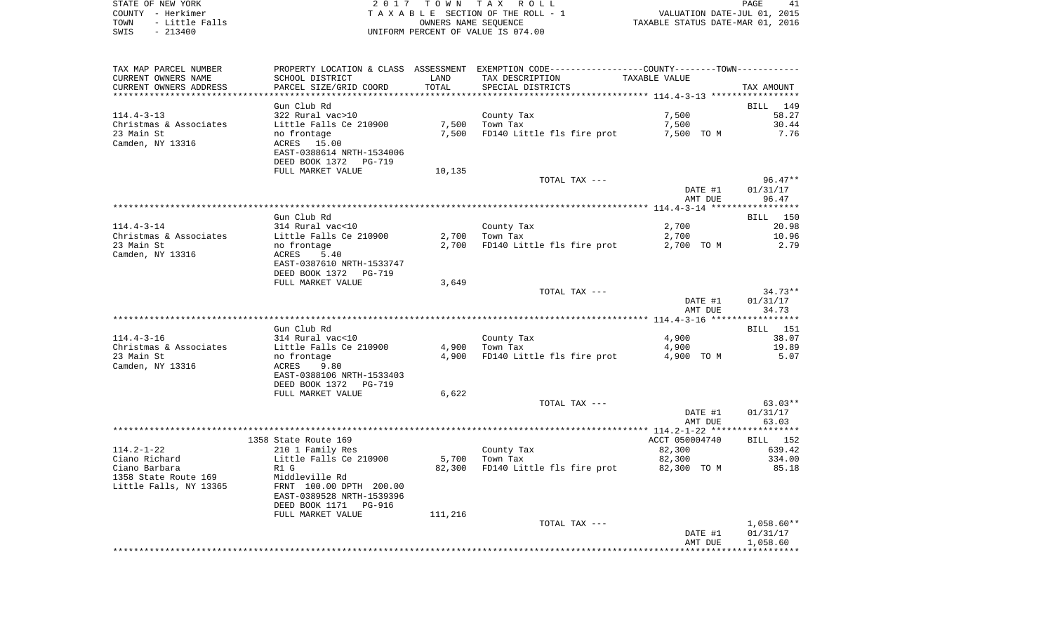STATE OF NEW YORK **EXECUTE:** TOWN TAX ROLL COUNTY - Herkimer<br>
T A X A B L E SECTION OF THE ROLL - 1<br>
TOWN - Little Falls<br>
SWIS - 213400 - 2013400 - UNIFORM PERCENT OF VALUE IS 074.00 TOWN - Little Falls OWNERS NAME SEQUENCE TAXABLE STATUS DATE-MAR 01, 2016 SWIS - 213400 UNIFORM PERCENT OF VALUE IS 074.00

| TAX MAP PARCEL NUMBER                |                           |         | PROPERTY LOCATION & CLASS ASSESSMENT EXEMPTION CODE----------------COUNTY-------TOWN-------- |                |                 |
|--------------------------------------|---------------------------|---------|----------------------------------------------------------------------------------------------|----------------|-----------------|
| CURRENT OWNERS NAME                  | SCHOOL DISTRICT           | LAND    | TAX DESCRIPTION                                                                              | TAXABLE VALUE  |                 |
| CURRENT OWNERS ADDRESS               | PARCEL SIZE/GRID COORD    | TOTAL   | SPECIAL DISTRICTS                                                                            |                | TAX AMOUNT      |
|                                      |                           |         |                                                                                              |                |                 |
|                                      | Gun Club Rd               |         |                                                                                              |                | BILL 149        |
| $114.4 - 3 - 13$                     | 322 Rural vac>10          |         | County Tax                                                                                   | 7,500          | 58.27           |
| Christmas & Associates               | Little Falls Ce 210900    |         | 7,500 Town Tax                                                                               | 7,500          | 30.44           |
| 23 Main St                           | no frontage               |         | 7,500 FD140 Little fls fire prot 7,500 TO M                                                  |                | 7.76            |
| Camden, NY 13316                     | ACRES 15.00               |         |                                                                                              |                |                 |
|                                      | EAST-0388614 NRTH-1534006 |         |                                                                                              |                |                 |
|                                      | DEED BOOK 1372 PG-719     |         |                                                                                              |                |                 |
|                                      | FULL MARKET VALUE         | 10,135  |                                                                                              |                |                 |
|                                      |                           |         | TOTAL TAX ---                                                                                |                | $96.47**$       |
|                                      |                           |         |                                                                                              | DATE #1        | 01/31/17        |
|                                      |                           |         |                                                                                              | AMT DUE        | 96.47           |
|                                      |                           |         |                                                                                              |                |                 |
|                                      | Gun Club Rd               |         |                                                                                              |                | BILL 150        |
| $114.4 - 3 - 14$                     | 314 Rural vac<10          |         | County Tax                                                                                   | 2,700          | 20.98           |
|                                      |                           |         | $2,700$ Town Tax                                                                             |                |                 |
| Christmas & Associates<br>23 Main St | Little Falls Ce 210900    |         | FD140 Little fls fire prot                                                                   | 2,700          | 10.96<br>2.79   |
|                                      | no frontage               | 2,700   |                                                                                              | 2,700 TO M     |                 |
| Camden, NY 13316                     | 5.40<br>ACRES             |         |                                                                                              |                |                 |
|                                      | EAST-0387610 NRTH-1533747 |         |                                                                                              |                |                 |
|                                      | DEED BOOK 1372 PG-719     |         |                                                                                              |                |                 |
|                                      | FULL MARKET VALUE         | 3,649   |                                                                                              |                |                 |
|                                      |                           |         | TOTAL TAX ---                                                                                |                | $34.73**$       |
|                                      |                           |         |                                                                                              | DATE #1        | 01/31/17        |
|                                      |                           |         |                                                                                              | AMT DUE        | 34.73           |
|                                      |                           |         |                                                                                              |                |                 |
|                                      | Gun Club Rd               |         |                                                                                              |                | <b>BILL</b> 151 |
| $114.4 - 3 - 16$                     | 314 Rural vac<10          |         | County Tax                                                                                   | 4,900          | 38.07           |
| Christmas & Associates               | Little Falls Ce 210900    |         | 4,900 Town Tax                                                                               | 4,900          | 19.89           |
| 23 Main St                           | no frontage               |         | 4,900 FD140 Little fls fire prot                                                             | 4,900 TO M     | 5.07            |
| Camden, NY 13316                     | 9.80<br>ACRES             |         |                                                                                              |                |                 |
|                                      | EAST-0388106 NRTH-1533403 |         |                                                                                              |                |                 |
|                                      | DEED BOOK 1372 PG-719     |         |                                                                                              |                |                 |
|                                      | FULL MARKET VALUE         | 6,622   |                                                                                              |                |                 |
|                                      |                           |         | TOTAL TAX ---                                                                                |                | $63.03**$       |
|                                      |                           |         |                                                                                              | DATE #1        | 01/31/17        |
|                                      |                           |         |                                                                                              | AMT DUE        | 63.03           |
|                                      |                           |         |                                                                                              |                |                 |
|                                      | 1358 State Route 169      |         |                                                                                              | ACCT 050004740 | BILL 152        |
| $114.2 - 1 - 22$                     | 210 1 Family Res          |         | County Tax                                                                                   | 82,300         | 639.42          |
| Ciano Richard                        | Little Falls Ce 210900    |         | 5,700 Town Tax                                                                               | 82,300         | 334.00          |
| Ciano Barbara                        | R1 G                      | 82,300  | FD140 Little fls fire prot                                                                   | 82,300 TO M    | 85.18           |
| 1358 State Route 169                 | Middleville Rd            |         |                                                                                              |                |                 |
| Little Falls, NY 13365               | FRNT 100.00 DPTH 200.00   |         |                                                                                              |                |                 |
|                                      | EAST-0389528 NRTH-1539396 |         |                                                                                              |                |                 |
|                                      | DEED BOOK 1171 PG-916     |         |                                                                                              |                |                 |
|                                      | FULL MARKET VALUE         | 111,216 |                                                                                              |                |                 |
|                                      |                           |         | TOTAL TAX ---                                                                                |                | $1,058.60**$    |
|                                      |                           |         |                                                                                              | DATE #1        | 01/31/17        |
|                                      |                           |         |                                                                                              | AMT DUE        | 1,058.60        |
|                                      |                           |         |                                                                                              |                |                 |
|                                      |                           |         |                                                                                              |                |                 |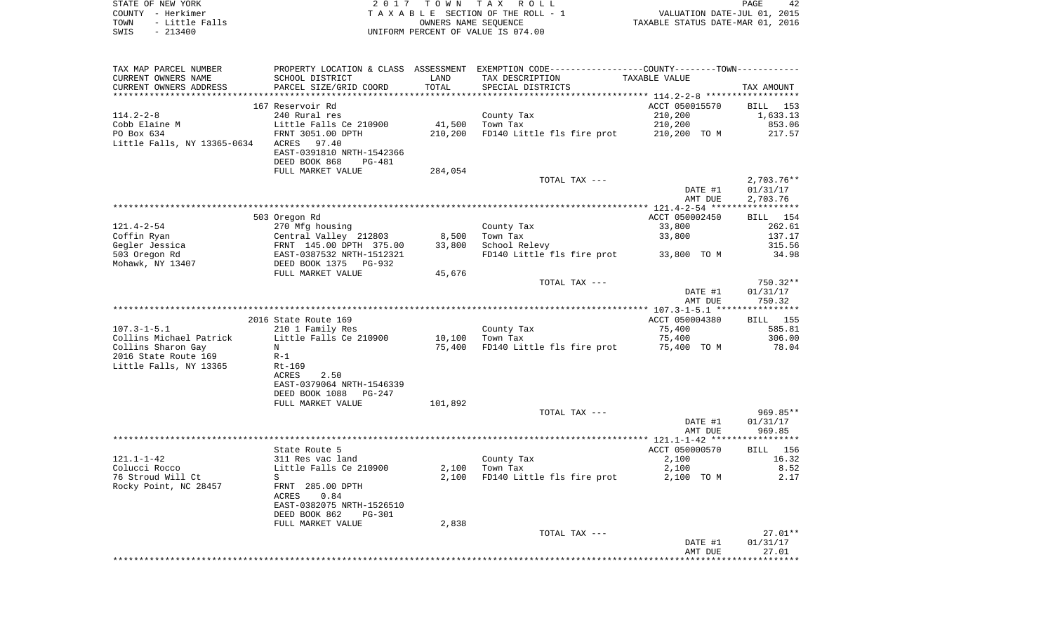| STATE OF NEW YORK      | 2017 TOWN TAX ROLL                 | PAGE                             |
|------------------------|------------------------------------|----------------------------------|
| COUNTY - Herkimer      | TAXABLE SECTION OF THE ROLL - 1    | VALUATION DATE-JUL 01, 2015      |
| - Little Falls<br>TOWN | OWNERS NAME SEOUENCE               | TAXABLE STATUS DATE-MAR 01, 2016 |
| SWIS<br>$-213400$      | UNIFORM PERCENT OF VALUE IS 074.00 |                                  |

 $\begin{array}{c} 42 \\ 2015 \\ 2016 \end{array}$ 

| TAX MAP PARCEL NUMBER                     |                                                                                                        |         | PROPERTY LOCATION & CLASS ASSESSMENT EXEMPTION CODE---------------COUNTY-------TOWN---------- |                |                 |
|-------------------------------------------|--------------------------------------------------------------------------------------------------------|---------|-----------------------------------------------------------------------------------------------|----------------|-----------------|
| CURRENT OWNERS NAME                       | SCHOOL DISTRICT                                                                                        | LAND    | TAX DESCRIPTION                                                                               | TAXABLE VALUE  |                 |
| CURRENT OWNERS ADDRESS                    | PARCEL SIZE/GRID COORD                                                                                 | TOTAL   | SPECIAL DISTRICTS                                                                             |                | TAX AMOUNT      |
|                                           |                                                                                                        |         |                                                                                               |                |                 |
|                                           | 167 Reservoir Rd                                                                                       |         |                                                                                               | ACCT 050015570 | BILL 153        |
| $114.2 - 2 - 8$                           | 240 Rural res                                                                                          |         | County Tax                                                                                    | 210,200        | 1,633.13        |
| Cobb Elaine M                             | Little Falls Ce 210900                                                                                 | 41,500  | Town Tax                                                                                      | 210,200        | 853.06          |
| PO Box 634<br>Little Falls, NY 13365-0634 | FRNT 3051.00 DPTH<br>ACRES<br>97.40                                                                    | 210,200 | FD140 Little fls fire prot                                                                    | 210,200 TO M   | 217.57          |
|                                           | EAST-0391810 NRTH-1542366                                                                              |         |                                                                                               |                |                 |
|                                           | DEED BOOK 868<br><b>PG-481</b>                                                                         |         |                                                                                               |                |                 |
|                                           | FULL MARKET VALUE                                                                                      | 284,054 |                                                                                               |                |                 |
|                                           |                                                                                                        |         | TOTAL TAX ---                                                                                 |                | $2,703.76**$    |
|                                           |                                                                                                        |         |                                                                                               | DATE #1        | 01/31/17        |
|                                           |                                                                                                        |         |                                                                                               | AMT DUE        | 2,703.76        |
|                                           |                                                                                                        |         |                                                                                               |                |                 |
|                                           | 503 Oregon Rd                                                                                          |         |                                                                                               | ACCT 050002450 | BILL 154        |
| $121.4 - 2 - 54$                          | 270 Mfg housing                                                                                        |         | County Tax                                                                                    | 33,800         | 262.61          |
| Coffin Ryan                               |                                                                                                        | 8,500   | Town Tax                                                                                      | 33,800         | 137.17          |
| Gegler Jessica                            |                                                                                                        | 33,800  | School Relevy                                                                                 |                | 315.56          |
| 503 Oregon Rd                             |                                                                                                        |         | FD140 Little fls fire prot                                                                    | 33,800 TO M    | 34.98           |
| Mohawk, NY 13407                          | Central Valley 212803<br>FRNT 145.00 DPTH 375.00<br>EAST-0387532 NRTH-1512321<br>DEED BOOK 1375 PG-932 |         |                                                                                               |                |                 |
|                                           | FULL MARKET VALUE                                                                                      | 45,676  |                                                                                               |                |                 |
|                                           |                                                                                                        |         | TOTAL TAX ---                                                                                 |                | 750.32**        |
|                                           |                                                                                                        |         |                                                                                               | DATE #1        | 01/31/17        |
|                                           |                                                                                                        |         |                                                                                               | AMT DUE        | 750.32          |
|                                           |                                                                                                        |         |                                                                                               | ACCT 050004380 | <b>BILL</b> 155 |
| $107.3 - 1 - 5.1$                         | 2016 State Route 169<br>210 1 Family Res                                                               |         | County Tax                                                                                    | 75,400         | 585.81          |
| Collins Michael Patrick                   | Little Falls Ce 210900                                                                                 | 10,100  | Town Tax                                                                                      | 75,400         | 306.00          |
| Collins Sharon Gay                        | N                                                                                                      | 75,400  | FD140 Little fls fire prot                                                                    | 75,400 TO M    | 78.04           |
| 2016 State Route 169                      | $R-1$                                                                                                  |         |                                                                                               |                |                 |
| Little Falls, NY 13365                    | $Rt-169$                                                                                               |         |                                                                                               |                |                 |
|                                           | ACRES<br>2.50                                                                                          |         |                                                                                               |                |                 |
|                                           | EAST-0379064 NRTH-1546339                                                                              |         |                                                                                               |                |                 |
|                                           | DEED BOOK 1088<br>PG-247                                                                               |         |                                                                                               |                |                 |
|                                           | FULL MARKET VALUE                                                                                      | 101,892 |                                                                                               |                |                 |
|                                           |                                                                                                        |         | TOTAL TAX ---                                                                                 |                | 969.85**        |
|                                           |                                                                                                        |         |                                                                                               | DATE #1        | 01/31/17        |
|                                           |                                                                                                        |         |                                                                                               | AMT DUE        | 969.85          |
|                                           |                                                                                                        |         |                                                                                               |                |                 |
|                                           | State Route 5                                                                                          |         |                                                                                               | ACCT 050000570 | <b>BILL</b> 156 |
| $121.1 - 1 - 42$                          | 311 Res vac land                                                                                       |         | County Tax                                                                                    | 2,100          | 16.32           |
| Colucci Rocco                             | Little Falls Ce 210900                                                                                 | 2,100   | Town Tax                                                                                      | 2,100          | 8.52            |
| 76 Stroud Will Ct                         | S                                                                                                      | 2,100   | FD140 Little fls fire prot                                                                    | 2,100 TO M     | 2.17            |
| Rocky Point, NC 28457                     | FRNT 285.00 DPTH                                                                                       |         |                                                                                               |                |                 |
|                                           | ACRES<br>0.84<br>EAST-0382075 NRTH-1526510                                                             |         |                                                                                               |                |                 |
|                                           | DEED BOOK 862<br>PG-301                                                                                |         |                                                                                               |                |                 |
|                                           | FULL MARKET VALUE                                                                                      | 2,838   |                                                                                               |                |                 |
|                                           |                                                                                                        |         | TOTAL TAX ---                                                                                 |                | 27.01**         |
|                                           |                                                                                                        |         |                                                                                               | DATE #1        | 01/31/17        |
|                                           |                                                                                                        |         |                                                                                               | AMT DUE        | 27.01           |
|                                           |                                                                                                        |         |                                                                                               |                |                 |
|                                           |                                                                                                        |         |                                                                                               |                |                 |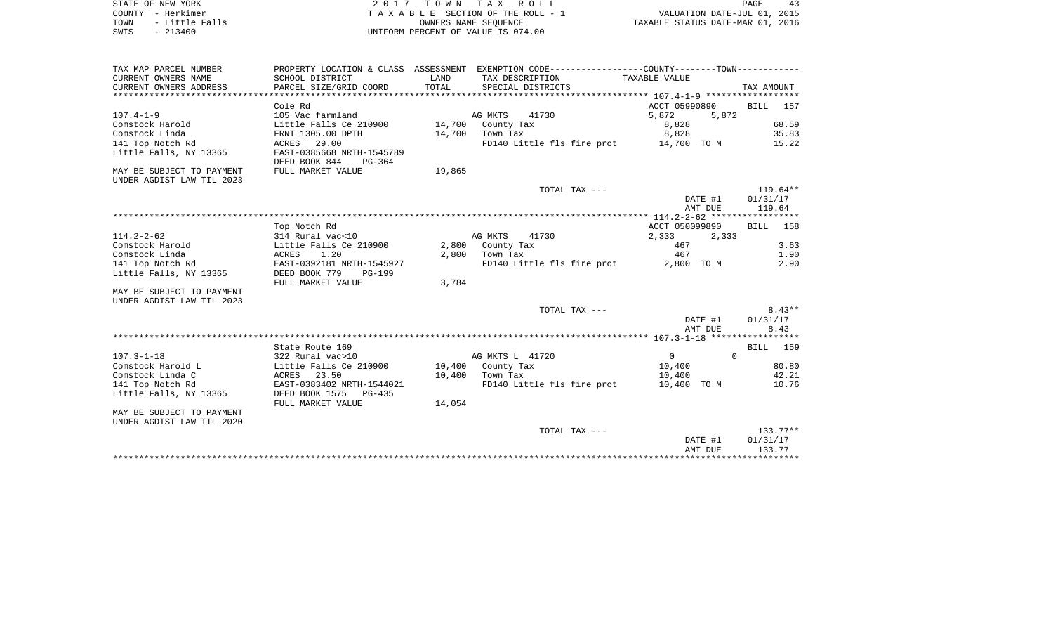| STATE OF NEW YORK |           |                |  |
|-------------------|-----------|----------------|--|
| COUNTY - Herkimer |           |                |  |
| TOWN              |           | - Little Falls |  |
| SWIS              | $-213400$ |                |  |

2017 TOWN TAX ROLL TA X A B L E SECTION OF THE ROLL - 1 TOWN - Little Falls OWNERS NAME SEQUENCE TAXABLE STATUS DATE-MAR 01, 2016 SWIS - 213400 UNIFORM PERCENT OF VALUE IS 074.00

| TAX MAP PARCEL NUMBER     | PROPERTY LOCATION & CLASS ASSESSMENT |        | EXEMPTION CODE----------------COUNTY-------TOWN----------- |                            |                    |
|---------------------------|--------------------------------------|--------|------------------------------------------------------------|----------------------------|--------------------|
| CURRENT OWNERS NAME       | SCHOOL DISTRICT                      | LAND   | TAX DESCRIPTION                                            | TAXABLE VALUE              |                    |
| CURRENT OWNERS ADDRESS    | PARCEL SIZE/GRID COORD               | TOTAL  | SPECIAL DISTRICTS                                          |                            | TAX AMOUNT         |
|                           |                                      |        |                                                            |                            |                    |
|                           | Cole Rd                              |        |                                                            | ACCT 05990890              | BILL<br>157        |
| $107.4 - 1 - 9$           | 105 Vac farmland                     |        | AG MKTS<br>41730                                           | 5,872<br>5,872             |                    |
| Comstock Harold           | Little Falls Ce 210900               | 14,700 | County Tax                                                 | 8,828                      | 68.59              |
| Comstock Linda            | FRNT 1305.00 DPTH                    |        | 14,700 Town Tax                                            | 8,828                      | 35.83              |
| 141 Top Notch Rd          | ACRES 29.00                          |        | FD140 Little fls fire prot 14,700 TO M                     |                            | 15.22              |
| Little Falls, NY 13365    | EAST-0385668 NRTH-1545789            |        |                                                            |                            |                    |
|                           | DEED BOOK 844<br>PG-364              |        |                                                            |                            |                    |
| MAY BE SUBJECT TO PAYMENT | FULL MARKET VALUE                    | 19,865 |                                                            |                            |                    |
| UNDER AGDIST LAW TIL 2023 |                                      |        |                                                            |                            |                    |
|                           |                                      |        | TOTAL TAX ---                                              |                            | $119.64**$         |
|                           |                                      |        |                                                            | DATE #1                    | 01/31/17           |
|                           |                                      |        |                                                            | AMT DUE                    | 119.64             |
|                           |                                      |        |                                                            |                            |                    |
|                           | Top Notch Rd                         |        |                                                            | ACCT 050099890             | <b>BILL</b><br>158 |
| $114.2 - 2 - 62$          | 314 Rural vac<10                     |        | AG MKTS<br>41730                                           | 2,333<br>2,333             |                    |
| Comstock Harold           | Little Falls Ce 210900               |        | 2,800 County Tax                                           | 467                        | 3.63               |
| Comstock Linda            | 1.20<br>ACRES                        |        | $2,800$ Town Tax                                           | 467                        | 1.90               |
| 141 Top Notch Rd          | EAST-0392181 NRTH-1545927            |        | FD140 Little fls fire prot                                 | 2,800 TO M                 | 2.90               |
| Little Falls, NY 13365    | DEED BOOK 779<br>PG-199              |        |                                                            |                            |                    |
|                           | FULL MARKET VALUE                    | 3,784  |                                                            |                            |                    |
| MAY BE SUBJECT TO PAYMENT |                                      |        |                                                            |                            |                    |
| UNDER AGDIST LAW TIL 2023 |                                      |        |                                                            |                            |                    |
|                           |                                      |        | TOTAL TAX ---                                              |                            | $8.43**$           |
|                           |                                      |        |                                                            | DATE #1                    | 01/31/17           |
|                           |                                      |        |                                                            | AMT DUE                    | 8.43               |
|                           |                                      |        |                                                            |                            |                    |
|                           | State Route 169                      |        |                                                            |                            | 159<br>BILL        |
| $107.3 - 1 - 18$          | 322 Rural vac>10                     |        | AG MKTS L 41720                                            | $\overline{0}$<br>$\Omega$ |                    |
| Comstock Harold L         | Little Falls Ce 210900               |        | 10,400 County Tax                                          | 10,400                     | 80.80              |
| Comstock Linda C          | ACRES 23.50                          | 10,400 | Town Tax                                                   | 10,400                     | 42.21              |
| 141 Top Notch Rd          | EAST-0383402 NRTH-1544021            |        | FD140 Little fls fire prot                                 | 10,400 TO M                | 10.76              |
| Little Falls, NY 13365    | DEED BOOK 1575<br>PG-435             |        |                                                            |                            |                    |
|                           | FULL MARKET VALUE                    | 14,054 |                                                            |                            |                    |
| MAY BE SUBJECT TO PAYMENT |                                      |        |                                                            |                            |                    |
| UNDER AGDIST LAW TIL 2020 |                                      |        |                                                            |                            |                    |
|                           |                                      |        | TOTAL TAX ---                                              |                            | $133.77**$         |
|                           |                                      |        |                                                            | DATE #1                    | 01/31/17           |
|                           |                                      |        |                                                            | AMT DUE                    | 133.77             |
|                           |                                      |        |                                                            |                            |                    |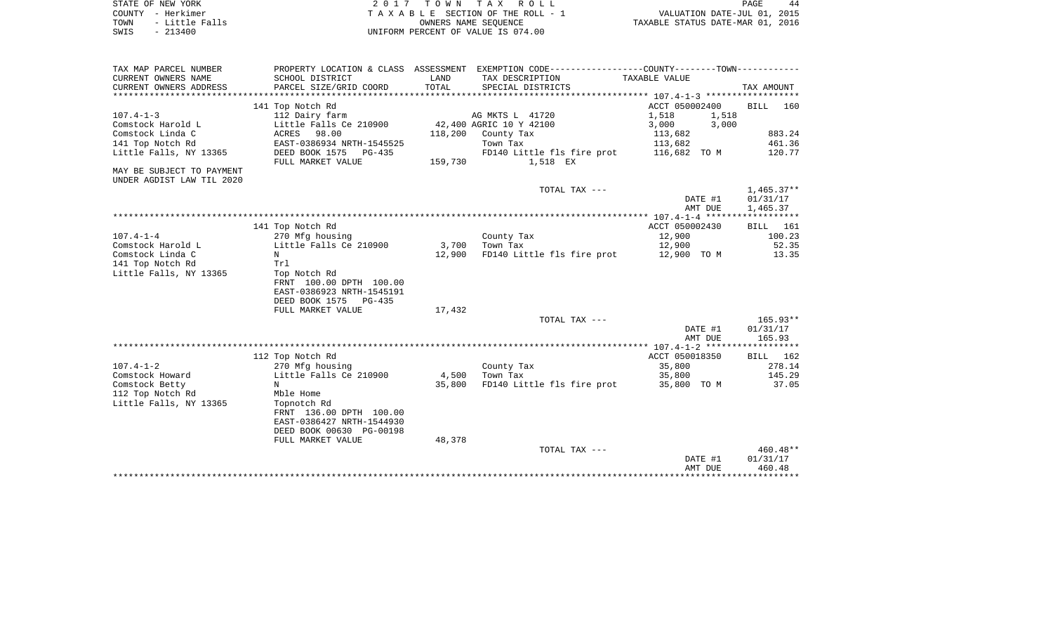| STATE OF NEW YORK      | 2017 TOWN TAX ROLL                 | 44<br>PAGE                       |
|------------------------|------------------------------------|----------------------------------|
| COUNTY - Herkimer      | TAXABLE SECTION OF THE ROLL - 1    | VALUATION DATE-JUL 01, 2015      |
| - Little Falls<br>TOWN | OWNERS NAME SEOUENCE               | TAXABLE STATUS DATE-MAR 01, 2016 |
| $-213400$<br>SWIS      | UNIFORM PERCENT OF VALUE IS 074.00 |                                  |

| TAX MAP PARCEL NUMBER     |                           |         | PROPERTY LOCATION & CLASS ASSESSMENT EXEMPTION CODE----------------COUNTY--------TOWN---------- |                |                        |
|---------------------------|---------------------------|---------|-------------------------------------------------------------------------------------------------|----------------|------------------------|
| CURRENT OWNERS NAME       | SCHOOL DISTRICT           | LAND    | TAX DESCRIPTION                                                                                 | TAXABLE VALUE  |                        |
| CURRENT OWNERS ADDRESS    | PARCEL SIZE/GRID COORD    | TOTAL   | SPECIAL DISTRICTS                                                                               |                | TAX AMOUNT             |
|                           |                           |         |                                                                                                 |                |                        |
|                           | 141 Top Notch Rd          |         |                                                                                                 | ACCT 050002400 | <b>BILL</b><br>160     |
| $107.4 - 1 - 3$           | 112 Dairy farm            |         | AG MKTS L 41720                                                                                 | 1,518<br>1,518 |                        |
| Comstock Harold L         | Little Falls Ce 210900    |         | 42,400 AGRIC 10 Y 42100                                                                         | 3,000<br>3,000 |                        |
| Comstock Linda C          | ACRES 98.00               | 118,200 | County Tax                                                                                      | 113,682        | 883.24                 |
| 141 Top Notch Rd          | EAST-0386934 NRTH-1545525 |         | Town Tax                                                                                        | 113,682        | 461.36                 |
| Little Falls, NY 13365    | DEED BOOK 1575<br>PG-435  |         | FD140 Little fls fire prot                                                                      | 116,682 TO M   | 120.77                 |
|                           | FULL MARKET VALUE         | 159,730 | 1,518 EX                                                                                        |                |                        |
| MAY BE SUBJECT TO PAYMENT |                           |         |                                                                                                 |                |                        |
| UNDER AGDIST LAW TIL 2020 |                           |         |                                                                                                 |                |                        |
|                           |                           |         | TOTAL TAX ---                                                                                   |                | $1,465.37**$           |
|                           |                           |         |                                                                                                 | DATE #1        | 01/31/17               |
|                           |                           |         |                                                                                                 | AMT DUE        | 1,465.37               |
|                           |                           |         |                                                                                                 |                |                        |
|                           | 141 Top Notch Rd          |         |                                                                                                 | ACCT 050002430 | 161<br>BILL            |
| $107.4 - 1 - 4$           | 270 Mfg housing           |         | County Tax                                                                                      | 12,900         | 100.23                 |
| Comstock Harold L         | Little Falls Ce 210900    | 3,700   | Town Tax                                                                                        | 12,900         | 52.35                  |
| Comstock Linda C          | N                         | 12,900  | FD140 Little fls fire prot                                                                      | 12,900 TO M    | 13.35                  |
| 141 Top Notch Rd          | Trl                       |         |                                                                                                 |                |                        |
| Little Falls, NY 13365    | Top Notch Rd              |         |                                                                                                 |                |                        |
|                           | FRNT 100.00 DPTH 100.00   |         |                                                                                                 |                |                        |
|                           | EAST-0386923 NRTH-1545191 |         |                                                                                                 |                |                        |
|                           | DEED BOOK 1575<br>PG-435  |         |                                                                                                 |                |                        |
|                           | FULL MARKET VALUE         | 17,432  |                                                                                                 |                |                        |
|                           |                           |         | TOTAL TAX ---                                                                                   | DATE #1        | $165.93**$<br>01/31/17 |
|                           |                           |         |                                                                                                 |                | 165.93                 |
|                           |                           |         |                                                                                                 | AMT DUE        |                        |
|                           | 112 Top Notch Rd          |         |                                                                                                 | ACCT 050018350 | BILL<br>162            |
| $107.4 - 1 - 2$           | 270 Mfg housing           |         | County Tax                                                                                      | 35,800         | 278.14                 |
| Comstock Howard           | Little Falls Ce 210900    | 4,500   | Town Tax                                                                                        | 35,800         | 145.29                 |
| Comstock Betty            | N                         | 35,800  | FD140 Little fls fire prot                                                                      | 35,800 TO M    | 37.05                  |
| 112 Top Notch Rd          | Mble Home                 |         |                                                                                                 |                |                        |
| Little Falls, NY 13365    | Topnotch Rd               |         |                                                                                                 |                |                        |
|                           | FRNT 136.00 DPTH 100.00   |         |                                                                                                 |                |                        |
|                           | EAST-0386427 NRTH-1544930 |         |                                                                                                 |                |                        |
|                           | DEED BOOK 00630 PG-00198  |         |                                                                                                 |                |                        |
|                           | FULL MARKET VALUE         | 48,378  |                                                                                                 |                |                        |
|                           |                           |         | TOTAL TAX ---                                                                                   |                | $460.48**$             |
|                           |                           |         |                                                                                                 | DATE #1        | 01/31/17               |
|                           |                           |         |                                                                                                 | AMT DUE        | 460.48                 |
|                           |                           |         |                                                                                                 |                |                        |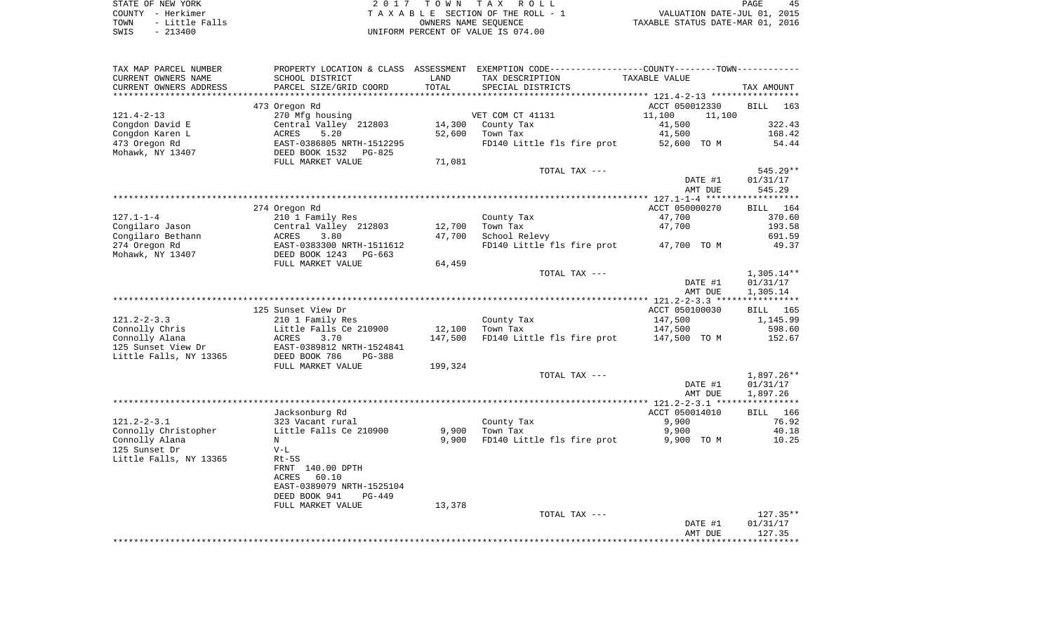| STATE OF NEW YORK |           |                |  |
|-------------------|-----------|----------------|--|
| COUNTY - Herkimer |           |                |  |
| TOWN              |           | - Little Falls |  |
| SWIS              | $-213400$ |                |  |

2017 TOWN TAX ROLL TA X A B L E SECTION OF THE ROLL - 1 TOWN - Little Falls OWNERS NAME SEQUENCE TAXABLE STATUS DATE-MAR 01, 2016 SWIS - 213400 UNIFORM PERCENT OF VALUE IS 074.00

| TAX MAP PARCEL NUMBER         |                                |         | PROPERTY LOCATION & CLASS ASSESSMENT EXEMPTION CODE-----------------COUNTY-------TOWN-------- |                                                  |                    |
|-------------------------------|--------------------------------|---------|-----------------------------------------------------------------------------------------------|--------------------------------------------------|--------------------|
| CURRENT OWNERS NAME           | SCHOOL DISTRICT                | LAND    | TAX DESCRIPTION                                                                               | TAXABLE VALUE                                    |                    |
| CURRENT OWNERS ADDRESS        | PARCEL SIZE/GRID COORD         | TOTAL   | SPECIAL DISTRICTS                                                                             |                                                  | TAX AMOUNT         |
| * * * * * * * * * * * * * * * |                                |         |                                                                                               | ****************** 121.4-2-13 ****************** |                    |
|                               | 473 Oregon Rd                  |         |                                                                                               | ACCT 050012330                                   | <b>BILL</b><br>163 |
| $121.4 - 2 - 13$              | 270 Mfg housing                |         | VET COM CT 41131                                                                              | 11,100<br>11,100                                 |                    |
| Congdon David E               | Central Valley 212803          | 14,300  | County Tax                                                                                    | 41,500                                           | 322.43             |
| Congdon Karen L               | 5.20<br><b>ACRES</b>           | 52,600  | Town Tax                                                                                      | 41,500                                           | 168.42             |
| 473 Oregon Rd                 | EAST-0386805 NRTH-1512295      |         | FD140 Little fls fire prot                                                                    | 52,600 TO M                                      | 54.44              |
| Mohawk, NY 13407              | DEED BOOK 1532<br>PG-825       |         |                                                                                               |                                                  |                    |
|                               | FULL MARKET VALUE              | 71,081  |                                                                                               |                                                  |                    |
|                               |                                |         | TOTAL TAX ---                                                                                 |                                                  | 545.29**           |
|                               |                                |         |                                                                                               | DATE #1                                          | 01/31/17           |
|                               |                                |         |                                                                                               | AMT DUE                                          | 545.29             |
|                               |                                |         |                                                                                               |                                                  | ****************** |
|                               | 274 Oregon Rd                  |         |                                                                                               | ACCT 050000270                                   | <b>BILL</b><br>164 |
| $127.1 - 1 - 4$               | 210 1 Family Res               |         | County Tax                                                                                    | 47,700                                           | 370.60             |
| Congilaro Jason               |                                |         |                                                                                               |                                                  | 193.58             |
|                               | Central Valley 212803          | 12,700  | Town Tax                                                                                      | 47,700                                           |                    |
| Congilaro Bethann             | 3.80<br>ACRES                  | 47,700  | School Relevy                                                                                 |                                                  | 691.59             |
| 274 Oregon Rd                 | EAST-0383300 NRTH-1511612      |         | FD140 Little fls fire prot                                                                    | 47,700 TO M                                      | 49.37              |
| Mohawk, NY 13407              | DEED BOOK 1243<br>$PG-663$     |         |                                                                                               |                                                  |                    |
|                               | FULL MARKET VALUE              | 64,459  |                                                                                               |                                                  |                    |
|                               |                                |         | TOTAL TAX ---                                                                                 |                                                  | $1,305.14**$       |
|                               |                                |         |                                                                                               | DATE #1                                          | 01/31/17           |
|                               |                                |         |                                                                                               | AMT DUE                                          | 1,305.14           |
|                               |                                |         |                                                                                               |                                                  | ***********        |
|                               | 125 Sunset View Dr             |         |                                                                                               | ACCT 050100030                                   | BILL<br>165        |
| $121.2 - 2 - 3.3$             | 210 1 Family Res               |         | County Tax                                                                                    | 147,500                                          | 1,145.99           |
| Connolly Chris                | Little Falls Ce 210900         | 12,100  | Town Tax                                                                                      | 147,500                                          | 598.60             |
| Connolly Alana                | ACRES<br>3.70                  | 147,500 | FD140 Little fls fire prot                                                                    | 147,500 TO M                                     | 152.67             |
| 125 Sunset View Dr            | EAST-0389812 NRTH-1524841      |         |                                                                                               |                                                  |                    |
| Little Falls, NY 13365        | DEED BOOK 786<br>PG-388        |         |                                                                                               |                                                  |                    |
|                               | FULL MARKET VALUE              | 199,324 |                                                                                               |                                                  |                    |
|                               |                                |         | TOTAL TAX ---                                                                                 |                                                  | 1,897.26**         |
|                               |                                |         |                                                                                               | DATE #1                                          | 01/31/17           |
|                               |                                |         |                                                                                               | AMT DUE                                          | 1,897.26           |
|                               |                                |         |                                                                                               |                                                  |                    |
|                               | Jacksonburg Rd                 |         |                                                                                               | ACCT 050014010                                   | BILL 166           |
| $121.2 - 2 - 3.1$             | 323 Vacant rural               |         | County Tax                                                                                    | 9,900                                            | 76.92              |
|                               |                                | 9,900   |                                                                                               |                                                  |                    |
| Connolly Christopher          | Little Falls Ce 210900         |         | Town Tax                                                                                      | 9,900                                            | 40.18              |
| Connolly Alana                | N                              | 9,900   | FD140 Little fls fire prot                                                                    | 9,900 TO M                                       | 10.25              |
| 125 Sunset Dr                 | $V-L$                          |         |                                                                                               |                                                  |                    |
| Little Falls, NY 13365        | $Rt-5S$                        |         |                                                                                               |                                                  |                    |
|                               | FRNT 140.00 DPTH               |         |                                                                                               |                                                  |                    |
|                               | <b>ACRES</b><br>60.10          |         |                                                                                               |                                                  |                    |
|                               | EAST-0389079 NRTH-1525104      |         |                                                                                               |                                                  |                    |
|                               | DEED BOOK 941<br><b>PG-449</b> |         |                                                                                               |                                                  |                    |
|                               | FULL MARKET VALUE              | 13,378  |                                                                                               |                                                  |                    |
|                               |                                |         | TOTAL TAX ---                                                                                 |                                                  | $127.35**$         |
|                               |                                |         |                                                                                               | DATE #1                                          | 01/31/17           |
|                               |                                |         |                                                                                               | AMT DUE                                          | 127.35             |
|                               |                                |         |                                                                                               |                                                  |                    |
|                               |                                |         |                                                                                               |                                                  |                    |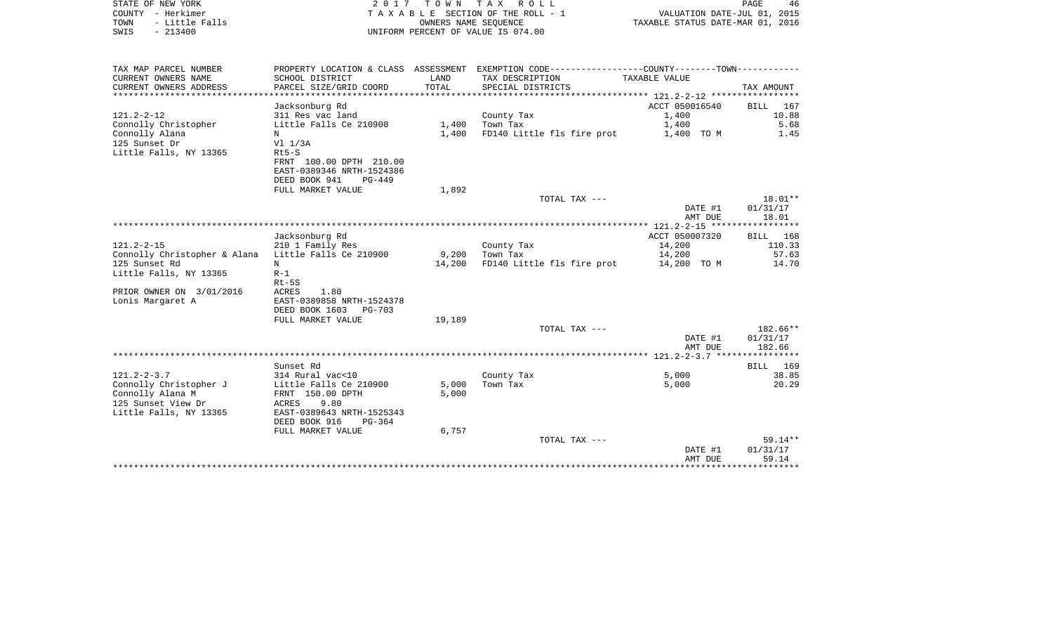| STATE OF NEW YORK<br>COUNTY - Herkimer<br>- Little Falls<br>TOWN<br>$-213400$<br>SWIS | 2017                                                                              | T O W N<br>OWNERS NAME SEOUENCE | TAX ROLL<br>TAXABLE SECTION OF THE ROLL - 1<br>UNIFORM PERCENT OF VALUE IS 074.00                   | VALUATION DATE-JUL 01, 2015<br>TAXABLE STATUS DATE-MAR 01, 2016 | PAGE<br>46            |
|---------------------------------------------------------------------------------------|-----------------------------------------------------------------------------------|---------------------------------|-----------------------------------------------------------------------------------------------------|-----------------------------------------------------------------|-----------------------|
| TAX MAP PARCEL NUMBER<br>CURRENT OWNERS NAME<br>CURRENT OWNERS ADDRESS                | PROPERTY LOCATION & CLASS ASSESSMENT<br>SCHOOL DISTRICT<br>PARCEL SIZE/GRID COORD | LAND<br>TOTAL                   | EXEMPTION CODE-----------------COUNTY-------TOWN-----------<br>TAX DESCRIPTION<br>SPECIAL DISTRICTS | TAXABLE VALUE                                                   | TAX AMOUNT            |
| ************************                                                              |                                                                                   |                                 |                                                                                                     |                                                                 |                       |
| $121.2 - 2 - 12$                                                                      | Jacksonburg Rd<br>311 Res vac land                                                |                                 | County Tax                                                                                          | ACCT 050016540<br>1,400                                         | BILL<br>167<br>10.88  |
| Connolly Christopher                                                                  | Little Falls Ce 210900                                                            | 1,400                           | Town Tax                                                                                            | 1,400                                                           | 5.68                  |
| Connolly Alana                                                                        | N                                                                                 | 1,400                           | FD140 Little fls fire prot                                                                          | 1,400 TO M                                                      | 1.45                  |
| 125 Sunset Dr                                                                         | V1 1/3A                                                                           |                                 |                                                                                                     |                                                                 |                       |
| Little Falls, NY 13365                                                                | $Rt5-S$<br>FRNT 100.00 DPTH 210.00                                                |                                 |                                                                                                     |                                                                 |                       |
|                                                                                       | EAST-0389346 NRTH-1524386                                                         |                                 |                                                                                                     |                                                                 |                       |
|                                                                                       | DEED BOOK 941<br>$PG-449$                                                         |                                 |                                                                                                     |                                                                 |                       |
|                                                                                       | FULL MARKET VALUE                                                                 | 1,892                           | TOTAL TAX ---                                                                                       |                                                                 | 18.01**               |
|                                                                                       |                                                                                   |                                 |                                                                                                     | DATE #1                                                         | 01/31/17              |
|                                                                                       |                                                                                   |                                 |                                                                                                     | AMT DUE                                                         | 18.01                 |
|                                                                                       | Jacksonburg Rd                                                                    |                                 |                                                                                                     | ************ 121.2-2-15 ******************<br>ACCT 050007320    | 168<br>BILL           |
| $121.2 - 2 - 15$                                                                      | 210 1 Family Res                                                                  |                                 | County Tax                                                                                          | 14,200                                                          | 110.33                |
| Connolly Christopher & Alana                                                          | Little Falls Ce 210900                                                            | 9,200                           | Town Tax                                                                                            | 14,200                                                          | 57.63                 |
| 125 Sunset Rd<br>Little Falls, NY 13365                                               | N<br>$R-1$                                                                        | 14,200                          | FD140 Little fls fire prot                                                                          | 14,200 TO M                                                     | 14.70                 |
|                                                                                       | $Rt-5S$                                                                           |                                 |                                                                                                     |                                                                 |                       |
| PRIOR OWNER ON 3/01/2016                                                              | <b>ACRES</b><br>1.80                                                              |                                 |                                                                                                     |                                                                 |                       |
| Lonis Margaret A                                                                      | EAST-0389858 NRTH-1524378<br>DEED BOOK 1603<br>PG-703                             |                                 |                                                                                                     |                                                                 |                       |
|                                                                                       | FULL MARKET VALUE                                                                 | 19,189                          |                                                                                                     |                                                                 |                       |
|                                                                                       |                                                                                   |                                 | TOTAL TAX ---                                                                                       |                                                                 | 182.66**              |
|                                                                                       |                                                                                   |                                 |                                                                                                     | DATE #1                                                         | 01/31/17              |
|                                                                                       |                                                                                   |                                 |                                                                                                     | AMT DUE                                                         | 182.66                |
|                                                                                       | Sunset Rd                                                                         |                                 |                                                                                                     |                                                                 | <b>BILL</b><br>169    |
| $121.2 - 2 - 3.7$                                                                     | 314 Rural vac<10                                                                  |                                 | County Tax                                                                                          | 5,000                                                           | 38.85                 |
| Connolly Christopher J<br>Connolly Alana M                                            | Little Falls Ce 210900<br>FRNT 150.00 DPTH                                        | 5,000<br>5,000                  | Town Tax                                                                                            | 5,000                                                           | 20.29                 |
| 125 Sunset View Dr                                                                    | 9.80<br>ACRES                                                                     |                                 |                                                                                                     |                                                                 |                       |
| Little Falls, NY 13365                                                                | EAST-0389643 NRTH-1525343                                                         |                                 |                                                                                                     |                                                                 |                       |
|                                                                                       | DEED BOOK 916<br>$PG-364$<br>FULL MARKET VALUE                                    | 6,757                           |                                                                                                     |                                                                 |                       |
|                                                                                       |                                                                                   |                                 | TOTAL TAX ---                                                                                       |                                                                 | $59.14**$             |
|                                                                                       |                                                                                   |                                 |                                                                                                     | DATE #1                                                         | 01/31/17              |
|                                                                                       |                                                                                   |                                 |                                                                                                     | AMT DUE<br>*****************                                    | 59.14<br>************ |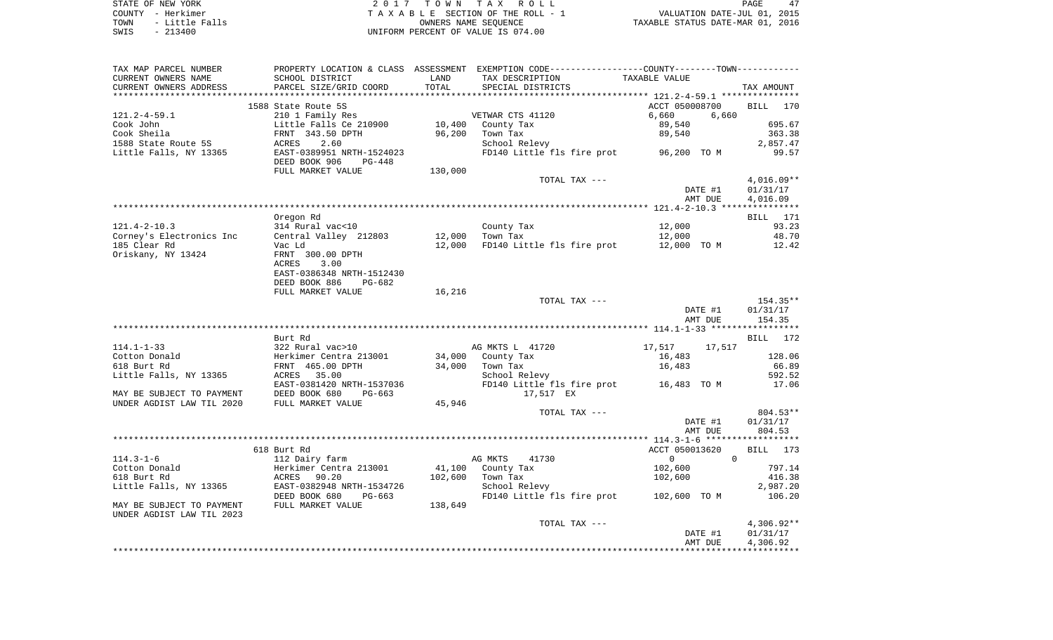| STATE OF NEW YORK      | 2017 TOWN TAX ROLL                 | PAGE                             |
|------------------------|------------------------------------|----------------------------------|
| COUNTY - Herkimer      | TAXABLE SECTION OF THE ROLL - 1    | VALUATION DATE-JUL 01, 2015      |
| - Little Falls<br>TOWN | OWNERS NAME SEOUENCE               | TAXABLE STATUS DATE-MAR 01, 2016 |
| $-213400$<br>SWIS      | UNIFORM PERCENT OF VALUE IS 074.00 |                                  |

| TAX MAP PARCEL NUMBER<br>CURRENT OWNERS NAME<br>CURRENT OWNERS ADDRESS | SCHOOL DISTRICT<br>PARCEL SIZE/GRID COORD            | LAND<br>TOTAL     | PROPERTY LOCATION & CLASS ASSESSMENT EXEMPTION CODE---------------COUNTY-------TOWN----------<br>TAX DESCRIPTION<br>SPECIAL DISTRICTS | TAXABLE VALUE                    | TAX AMOUNT   |
|------------------------------------------------------------------------|------------------------------------------------------|-------------------|---------------------------------------------------------------------------------------------------------------------------------------|----------------------------------|--------------|
|                                                                        |                                                      | * * * * * * * * * | ********************************* 121.2-4-59.1 ***************                                                                        |                                  |              |
| $121.2 - 4 - 59.1$                                                     | 1588 State Route 5S<br>210 1 Family Res              |                   | VETWAR CTS 41120                                                                                                                      | ACCT 050008700<br>6,660<br>6,660 | BILL<br>170  |
| Cook John                                                              | Little Falls Ce 210900                               | 10,400            | County Tax                                                                                                                            | 89,540                           | 695.67       |
| Cook Sheila                                                            | FRNT 343.50 DPTH                                     | 96,200            | Town Tax                                                                                                                              | 89,540                           | 363.38       |
| 1588 State Route 5S                                                    | ACRES<br>2.60                                        |                   | School Relevy                                                                                                                         |                                  | 2,857.47     |
| Little Falls, NY 13365                                                 | EAST-0389951 NRTH-1524023<br>DEED BOOK 906<br>PG-448 |                   | FD140 Little fls fire prot                                                                                                            | 96,200 TO M                      | 99.57        |
|                                                                        | FULL MARKET VALUE                                    | 130,000           |                                                                                                                                       |                                  |              |
|                                                                        |                                                      |                   | TOTAL TAX ---                                                                                                                         |                                  | $4,016.09**$ |
|                                                                        |                                                      |                   |                                                                                                                                       | DATE #1                          | 01/31/17     |
|                                                                        |                                                      |                   |                                                                                                                                       | AMT DUE                          | 4,016.09     |
|                                                                        |                                                      |                   |                                                                                                                                       |                                  |              |
|                                                                        | Oregon Rd                                            |                   |                                                                                                                                       |                                  | BILL 171     |
| $121.4 - 2 - 10.3$                                                     | 314 Rural vac<10                                     |                   | County Tax                                                                                                                            | 12,000                           | 93.23        |
| Corney's Electronics Inc                                               | Central Valley 212803                                | 12,000            | Town Tax                                                                                                                              | 12,000                           | 48.70        |
| 185 Clear Rd                                                           | Vac Ld                                               | 12,000            | FD140 Little fls fire prot                                                                                                            | 12,000 TO M                      | 12.42        |
| Oriskany, NY 13424                                                     | FRNT 300.00 DPTH<br><b>ACRES</b><br>3.00             |                   |                                                                                                                                       |                                  |              |
|                                                                        | EAST-0386348 NRTH-1512430<br>DEED BOOK 886<br>PG-682 |                   |                                                                                                                                       |                                  |              |
|                                                                        | FULL MARKET VALUE                                    | 16,216            |                                                                                                                                       |                                  |              |
|                                                                        |                                                      |                   | TOTAL TAX ---                                                                                                                         |                                  | 154.35**     |
|                                                                        |                                                      |                   |                                                                                                                                       | DATE #1                          | 01/31/17     |
|                                                                        |                                                      |                   |                                                                                                                                       | AMT DUE                          | 154.35       |
|                                                                        |                                                      |                   |                                                                                                                                       |                                  |              |
|                                                                        | Burt Rd                                              |                   |                                                                                                                                       |                                  | BILL 172     |
| $114.1 - 1 - 33$                                                       | 322 Rural vac>10                                     |                   | AG MKTS L 41720                                                                                                                       | 17,517<br>17,517                 |              |
| Cotton Donald                                                          | Herkimer Centra 213001                               | 34,000            | County Tax                                                                                                                            | 16,483                           | 128.06       |
| 618 Burt Rd                                                            | FRNT 465.00 DPTH                                     | 34,000            | Town Tax                                                                                                                              | 16,483                           | 66.89        |
| Little Falls, NY 13365                                                 | ACRES<br>35.00                                       |                   | School Relevy                                                                                                                         |                                  | 592.52       |
|                                                                        | EAST-0381420 NRTH-1537036                            |                   | FD140 Little fls fire prot                                                                                                            | 16,483 TO M                      | 17.06        |
| MAY BE SUBJECT TO PAYMENT                                              | DEED BOOK 680<br>$PG-663$                            |                   | 17,517 EX                                                                                                                             |                                  |              |
| UNDER AGDIST LAW TIL 2020                                              | FULL MARKET VALUE                                    | 45,946            |                                                                                                                                       |                                  |              |
|                                                                        |                                                      |                   | TOTAL TAX ---                                                                                                                         |                                  | 804.53**     |
|                                                                        |                                                      |                   |                                                                                                                                       | DATE #1                          | 01/31/17     |
|                                                                        |                                                      |                   |                                                                                                                                       | AMT DUE                          | 804.53       |
|                                                                        |                                                      |                   |                                                                                                                                       |                                  |              |
|                                                                        | 618 Burt Rd                                          |                   |                                                                                                                                       | ACCT 050013620<br>$\Omega$       | BILL<br>173  |
| $114.3 - 1 - 6$                                                        | 112 Dairy farm                                       |                   | AG MKTS<br>41730                                                                                                                      | $\mathbf{0}$                     |              |
| Cotton Donald                                                          | Herkimer Centra 213001                               | 41,100            | County Tax                                                                                                                            | 102,600                          | 797.14       |
| 618 Burt Rd                                                            | ACRES<br>90.20                                       | 102,600           | Town Tax                                                                                                                              | 102,600                          | 416.38       |
| Little Falls, NY 13365                                                 | EAST-0382948 NRTH-1534726                            |                   | School Relevy                                                                                                                         |                                  | 2,987.20     |
|                                                                        | DEED BOOK 680<br>$PG-663$                            |                   | FD140 Little fls fire prot                                                                                                            | 102,600 TO M                     | 106.20       |
| MAY BE SUBJECT TO PAYMENT<br>UNDER AGDIST LAW TIL 2023                 | FULL MARKET VALUE                                    | 138,649           |                                                                                                                                       |                                  |              |
|                                                                        |                                                      |                   | TOTAL TAX ---                                                                                                                         |                                  | $4,306.92**$ |
|                                                                        |                                                      |                   |                                                                                                                                       | DATE #1                          | 01/31/17     |
|                                                                        |                                                      |                   |                                                                                                                                       | AMT DUE                          | 4,306.92     |
|                                                                        |                                                      |                   |                                                                                                                                       |                                  |              |
|                                                                        |                                                      |                   |                                                                                                                                       |                                  |              |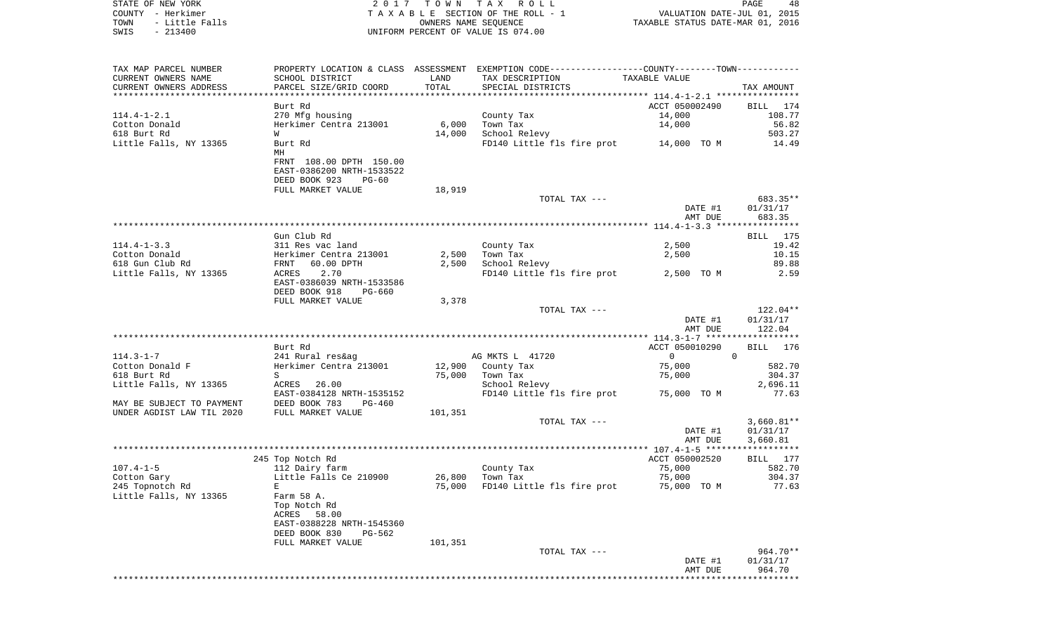| STATE OF NEW YORK      | 2017 TOWN TAX ROLL                 | 48<br>PAGE                       |
|------------------------|------------------------------------|----------------------------------|
| COUNTY - Herkimer      | TAXABLE SECTION OF THE ROLL - 1    | VALUATION DATE-JUL 01, 2015      |
| - Little Falls<br>TOWN | OWNERS NAME SEOUENCE               | TAXABLE STATUS DATE-MAR 01, 2016 |
| $-213400$<br>SWIS      | UNIFORM PERCENT OF VALUE IS 074.00 |                                  |

| TAX MAP PARCEL NUMBER<br>CURRENT OWNERS NAME                                                 | SCHOOL DISTRICT                                                 | LAND    | PROPERTY LOCATION & CLASS ASSESSMENT EXEMPTION CODE---------------COUNTY-------TOWN----------<br>TAX DESCRIPTION | TAXABLE VALUE      |                    |
|----------------------------------------------------------------------------------------------|-----------------------------------------------------------------|---------|------------------------------------------------------------------------------------------------------------------|--------------------|--------------------|
| CURRENT OWNERS ADDRESS                                                                       | PARCEL SIZE/GRID COORD                                          | TOTAL   | SPECIAL DISTRICTS                                                                                                |                    | TAX AMOUNT         |
|                                                                                              |                                                                 |         |                                                                                                                  |                    |                    |
|                                                                                              | Burt Rd                                                         |         |                                                                                                                  | ACCT 050002490     | BILL 174           |
| 114.4-1-2.1                                                                                  | 270 Mfg housing                                                 |         | County Tax                                                                                                       | 14,000             | 108.77             |
| Cotton Donald                                                                                | Herkimer Centra 213001                                          | 6,000   | Town Tax                                                                                                         | 14,000             | 56.82              |
| 618 Burt Rd                                                                                  | W                                                               | 14,000  | School Relevy                                                                                                    |                    | 503.27             |
| Little Falls, NY 13365                                                                       | Burt Rd<br>MH                                                   |         | FD140 Little fls fire prot 14,000 TO M                                                                           |                    | 14.49              |
|                                                                                              | FRNT 108.00 DPTH 150.00<br>EAST-0386200 NRTH-1533522            |         |                                                                                                                  |                    |                    |
|                                                                                              | DEED BOOK 923<br>$PG-60$<br>FULL MARKET VALUE                   | 18,919  |                                                                                                                  |                    |                    |
|                                                                                              |                                                                 |         | TOTAL TAX ---                                                                                                    |                    | 683.35**           |
|                                                                                              |                                                                 |         |                                                                                                                  | DATE #1            | 01/31/17           |
|                                                                                              |                                                                 |         |                                                                                                                  | AMT DUE            | 683.35             |
|                                                                                              |                                                                 |         |                                                                                                                  |                    |                    |
|                                                                                              | Gun Club Rd                                                     |         |                                                                                                                  |                    | <b>BILL</b> 175    |
| $114.4 - 1 - 3.3$                                                                            | 311 Res vac land<br>Herkimer Centra 213001<br>FRNT   60.00 DPTH |         | County Tax                                                                                                       | 2,500              | 19.42              |
| Cotton Donald                                                                                |                                                                 | 2,500   | Town Tax                                                                                                         | 2,500              | 10.15              |
| $618 \text{ Gun Club Rd}$                                                                    |                                                                 | 2,500   | School Relevy                                                                                                    |                    | 89.88              |
| Little Falls, NY 13365                                                                       | ACRES 2.70                                                      |         | FD140 Little fls fire prot 2,500 TO M                                                                            |                    | 2.59               |
|                                                                                              | EAST-0386039 NRTH-1533586                                       |         |                                                                                                                  |                    |                    |
|                                                                                              | DEED BOOK 918<br>PG-660                                         |         |                                                                                                                  |                    |                    |
|                                                                                              | FULL MARKET VALUE                                               | 3,378   |                                                                                                                  |                    |                    |
|                                                                                              |                                                                 |         | TOTAL TAX ---                                                                                                    |                    | 122.04**           |
|                                                                                              |                                                                 |         |                                                                                                                  | DATE #1<br>AMT DUE | 01/31/17<br>122.04 |
|                                                                                              |                                                                 |         |                                                                                                                  |                    |                    |
|                                                                                              | Burt Rd                                                         |         |                                                                                                                  | ACCT 050010290     | BILL 176           |
| 114.3-1-7                                                                                    | 241 Rural res&ag                                                |         | AG MKTS L 41720                                                                                                  | $\overline{0}$     | $\Omega$           |
| Cotton Donald F                                                                              | Herkimer Centra 213001                                          |         | 12,900 County Tax                                                                                                | 75,000             | 582.70             |
| 618 Burt Rd                                                                                  | S                                                               |         | 75,000 Town Tax                                                                                                  | 75,000             | 304.37             |
| Little Falls, NY 13365                                                                       | ACRES 26.00                                                     |         | School Relevy                                                                                                    |                    | 2,696.11           |
|                                                                                              | EAST-0384128 NRTH-1535152                                       |         | FD140 Little fls fire prot 75,000 TO M                                                                           |                    | 77.63              |
| MAY BE SUBJECT TO PAYMENT THE BOOK 783 THE BOOK 783 THE SUBJECT TO PAYMENT THE DEED BOOK 783 | PG-460                                                          |         |                                                                                                                  |                    |                    |
|                                                                                              |                                                                 | 101,351 |                                                                                                                  |                    |                    |
|                                                                                              |                                                                 |         | TOTAL TAX ---                                                                                                    |                    | $3,660.81**$       |
|                                                                                              |                                                                 |         |                                                                                                                  | DATE #1            | 01/31/17           |
|                                                                                              |                                                                 |         |                                                                                                                  | AMT DUE            | 3,660.81           |
|                                                                                              |                                                                 |         |                                                                                                                  |                    |                    |
|                                                                                              | 245 Top Notch Rd                                                |         |                                                                                                                  | ACCT 050002520     | BILL $177$         |
| 107.4-1-5                                                                                    | 112 Dairy farm                                                  |         | County Tax                                                                                                       | 75,000             | 582.70             |
| Cotton Gary                                                                                  | Little Falls Ce 210900                                          |         | 26,800 Town Tax                                                                                                  | 75,000             | 304.37             |
| 245 Topnotch Rd                                                                              | E                                                               | 75,000  | FD140 Little fls fire prot 75,000 TO M                                                                           |                    | 77.63              |
| Little Falls, NY 13365                                                                       | Farm 58 A.                                                      |         |                                                                                                                  |                    |                    |
|                                                                                              | Top Notch Rd<br>ACRES 58.00                                     |         |                                                                                                                  |                    |                    |
|                                                                                              | EAST-0388228 NRTH-1545360                                       |         |                                                                                                                  |                    |                    |
|                                                                                              | DEED BOOK 830<br>PG-562                                         |         |                                                                                                                  |                    |                    |
|                                                                                              | FULL MARKET VALUE                                               | 101,351 |                                                                                                                  |                    |                    |
|                                                                                              |                                                                 |         | TOTAL TAX ---                                                                                                    |                    | 964.70**           |
|                                                                                              |                                                                 |         |                                                                                                                  | DATE #1            | 01/31/17           |
|                                                                                              |                                                                 |         |                                                                                                                  | AMT DUE            | 964.70             |
|                                                                                              |                                                                 |         |                                                                                                                  |                    |                    |
|                                                                                              |                                                                 |         |                                                                                                                  |                    |                    |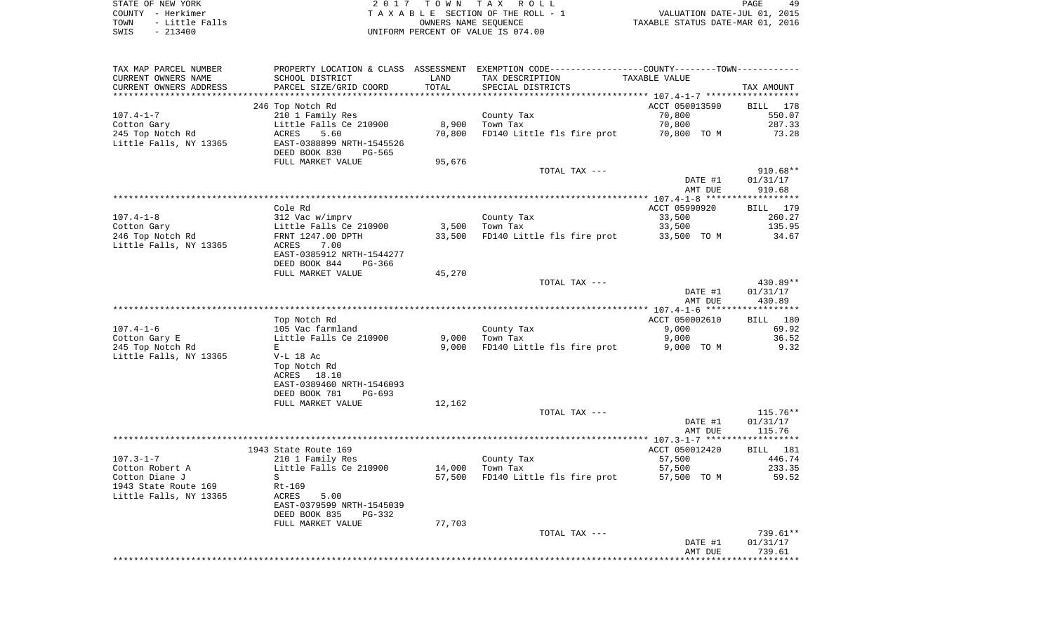STATE OF NEW YORK **EXECUTE:** TOWN TAX ROLL COUNTY - Herkimer<br>
T A X A B L E SECTION OF THE ROLL - 1<br>
TOWN - Little Falls<br>
SWIS - 213400 - 2013400 - UNIFORM PERCENT OF VALUE IS 074.00 TOWN - LITTLE FALLS ON THE ROLL - 1<br>
TAXABLE STATUS DATE-JUL 01, 2015<br>
OWNERS NAME SEQUENCE TAXABLE STATUS DATE-MAR 01, 2016 SWIS - 213400 UNIFORM PERCENT OF VALUE IS 074.00

PAGE 49

| TAX MAP PARCEL NUMBER  |                           |        | PROPERTY LOCATION & CLASS ASSESSMENT EXEMPTION CODE----------------COUNTY-------TOWN---------- |                |                                 |
|------------------------|---------------------------|--------|------------------------------------------------------------------------------------------------|----------------|---------------------------------|
| CURRENT OWNERS NAME    | SCHOOL DISTRICT           | LAND   | TAX DESCRIPTION                                                                                | TAXABLE VALUE  |                                 |
| CURRENT OWNERS ADDRESS | PARCEL SIZE/GRID COORD    | TOTAL  | SPECIAL DISTRICTS                                                                              |                | TAX AMOUNT                      |
|                        |                           |        |                                                                                                |                |                                 |
|                        | 246 Top Notch Rd          |        |                                                                                                | ACCT 050013590 | BILL 178                        |
| $107.4 - 1 - 7$        | 210 1 Family Res          |        | County Tax                                                                                     | 70,800         | 550.07                          |
| Cotton Gary            | Little Falls Ce 210900    | 8,900  | Town Tax                                                                                       | 70,800         | 287.33                          |
| 245 Top Notch Rd       | 5.60<br>ACRES             | 70,800 | FD140 Little fls fire prot                                                                     | 70,800 TO M    | 73.28                           |
| Little Falls, NY 13365 | EAST-0388899 NRTH-1545526 |        |                                                                                                |                |                                 |
|                        | DEED BOOK 830<br>PG-565   |        |                                                                                                |                |                                 |
|                        | FULL MARKET VALUE         | 95,676 |                                                                                                |                |                                 |
|                        |                           |        | TOTAL TAX ---                                                                                  |                | $910.68**$                      |
|                        |                           |        |                                                                                                | DATE #1        | 01/31/17                        |
|                        |                           |        |                                                                                                | AMT DUE        | 910.68                          |
|                        |                           |        |                                                                                                |                |                                 |
|                        | Cole Rd                   |        |                                                                                                | ACCT 05990920  | BILL 179                        |
| $107.4 - 1 - 8$        | 312 Vac w/imprv           |        | County Tax                                                                                     | 33,500         | 260.27                          |
| Cotton Gary            | Little Falls Ce 210900    | 3,500  | Town Tax                                                                                       | 33,500         | 135.95                          |
| 246 Top Notch Rd       | FRNT 1247.00 DPTH         | 33,500 | FD140 Little fls fire prot                                                                     | 33,500 TO M    | 34.67                           |
| Little Falls, NY 13365 | 7.00<br>ACRES             |        |                                                                                                |                |                                 |
|                        | EAST-0385912 NRTH-1544277 |        |                                                                                                |                |                                 |
|                        | DEED BOOK 844<br>PG-366   |        |                                                                                                |                |                                 |
|                        | FULL MARKET VALUE         | 45,270 |                                                                                                |                |                                 |
|                        |                           |        | TOTAL TAX ---                                                                                  |                | 430.89**                        |
|                        |                           |        |                                                                                                |                |                                 |
|                        |                           |        |                                                                                                | DATE #1        | 01/31/17                        |
|                        |                           |        |                                                                                                | AMT DUE        | 430.89<br>* * * * * * * * * * * |
|                        |                           |        |                                                                                                |                |                                 |
|                        | Top Notch Rd              |        |                                                                                                | ACCT 050002610 | BILL 180                        |
| $107.4 - 1 - 6$        | 105 Vac farmland          |        | County Tax                                                                                     | 9,000          | 69.92                           |
| Cotton Gary E          | Little Falls Ce 210900    | 9,000  | Town Tax                                                                                       | 9,000          | 36.52                           |
| 245 Top Notch Rd       | E                         | 9.000  | FD140 Little fls fire prot                                                                     | 9,000 TO M     | 9.32                            |
| Little Falls, NY 13365 | $V-L$ 18 Ac               |        |                                                                                                |                |                                 |
|                        | Top Notch Rd              |        |                                                                                                |                |                                 |
|                        | ACRES 18.10               |        |                                                                                                |                |                                 |
|                        | EAST-0389460 NRTH-1546093 |        |                                                                                                |                |                                 |
|                        | DEED BOOK 781<br>PG-693   |        |                                                                                                |                |                                 |
|                        | FULL MARKET VALUE         | 12,162 |                                                                                                |                |                                 |
|                        |                           |        | TOTAL TAX ---                                                                                  |                | $115.76***$                     |
|                        |                           |        |                                                                                                | DATE #1        | 01/31/17                        |
|                        |                           |        |                                                                                                | AMT DUE        | 115.76                          |
|                        |                           |        |                                                                                                |                |                                 |
|                        | 1943 State Route 169      |        |                                                                                                | ACCT 050012420 | BILL 181                        |
| $107.3 - 1 - 7$        | 210 1 Family Res          |        | County Tax                                                                                     | 57,500         | 446.74                          |
| Cotton Robert A        | Little Falls Ce 210900    | 14,000 | Town Tax                                                                                       | 57,500         | 233.35                          |
| Cotton Diane J         | S                         | 57,500 | FD140 Little fls fire prot                                                                     | 57,500 TO M    | 59.52                           |
| 1943 State Route 169   | Rt-169                    |        |                                                                                                |                |                                 |
| Little Falls, NY 13365 | ACRES<br>5.00             |        |                                                                                                |                |                                 |
|                        | EAST-0379599 NRTH-1545039 |        |                                                                                                |                |                                 |
|                        | DEED BOOK 835<br>PG-332   |        |                                                                                                |                |                                 |
|                        | FULL MARKET VALUE         | 77,703 |                                                                                                |                |                                 |
|                        |                           |        | TOTAL TAX ---                                                                                  |                | 739.61**                        |
|                        |                           |        |                                                                                                | DATE #1        | 01/31/17                        |
|                        |                           |        |                                                                                                | AMT DUE        | 739.61                          |
|                        |                           |        |                                                                                                |                |                                 |
|                        |                           |        |                                                                                                |                |                                 |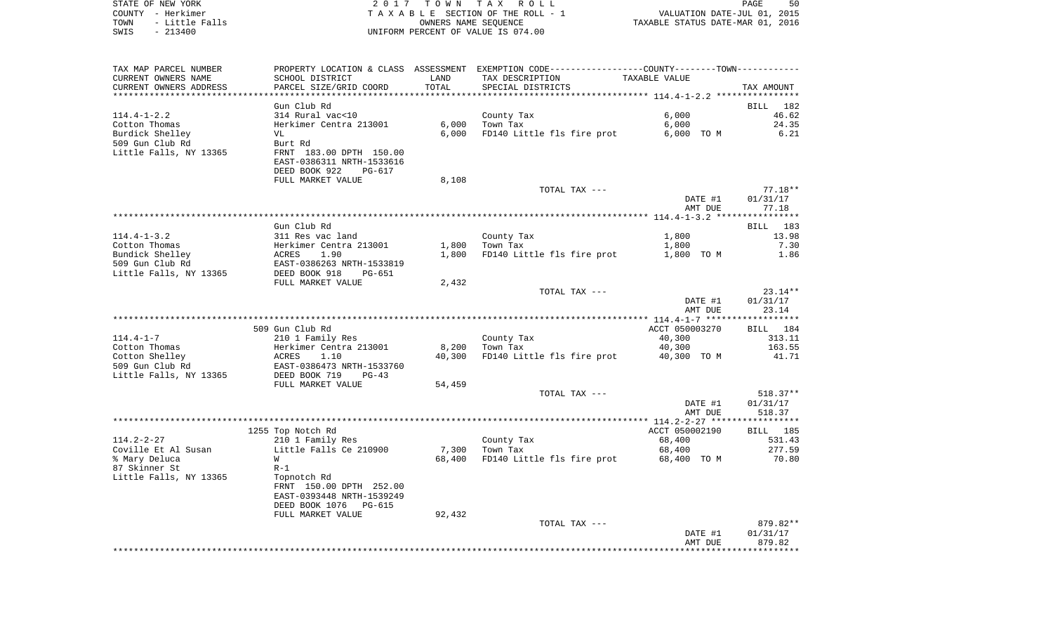| STATE OF NEW YORK      | 2017 TOWN TAX ROLL                 | 50<br>PAGE                       |
|------------------------|------------------------------------|----------------------------------|
| COUNTY - Herkimer      | TAXABLE SECTION OF THE ROLL - 1    | VALUATION DATE-JUL 01, 2015      |
| TOWN<br>- Little Falls | OWNERS NAME SEOUENCE               | TAXABLE STATUS DATE-MAR 01, 2016 |
| SWIS<br>$-213400$      | UNIFORM PERCENT OF VALUE IS 074.00 |                                  |
|                        |                                    |                                  |

| TAX MAP PARCEL NUMBER                     |                                                        |                | PROPERTY LOCATION & CLASS ASSESSMENT EXEMPTION CODE---------------COUNTY-------TOWN---------- |                                   |                |
|-------------------------------------------|--------------------------------------------------------|----------------|-----------------------------------------------------------------------------------------------|-----------------------------------|----------------|
| CURRENT OWNERS NAME                       | SCHOOL DISTRICT                                        | LAND           | TAX DESCRIPTION                                                                               | TAXABLE VALUE                     |                |
| CURRENT OWNERS ADDRESS                    | PARCEL SIZE/GRID COORD                                 | TOTAL          | SPECIAL DISTRICTS                                                                             |                                   | TAX AMOUNT     |
| ******************************            |                                                        |                |                                                                                               |                                   |                |
|                                           | Gun Club Rd                                            |                |                                                                                               |                                   | BILL<br>182    |
| $114.4 - 1 - 2.2$                         | 314 Rural vac<10                                       |                | County Tax                                                                                    | 6,000                             | 46.62<br>24.35 |
| Cotton Thomas<br>Burdick Shelley          | Herkimer Centra 213001<br>VL                           | 6,000<br>6,000 | Town Tax<br>FD140 Little fls fire prot                                                        | 6,000<br>6,000 TO M               | 6.21           |
| 509 Gun Club Rd                           | Burt Rd                                                |                |                                                                                               |                                   |                |
| Little Falls, NY 13365                    | FRNT 183.00 DPTH 150.00                                |                |                                                                                               |                                   |                |
|                                           | EAST-0386311 NRTH-1533616                              |                |                                                                                               |                                   |                |
|                                           | DEED BOOK 922<br>PG-617                                |                |                                                                                               |                                   |                |
|                                           | FULL MARKET VALUE                                      | 8,108          |                                                                                               |                                   |                |
|                                           |                                                        |                | TOTAL TAX ---                                                                                 |                                   | $77.18**$      |
|                                           |                                                        |                |                                                                                               | DATE #1                           | 01/31/17       |
|                                           |                                                        |                |                                                                                               | AMT DUE                           | 77.18          |
|                                           |                                                        |                |                                                                                               | ***************** 114.4-1-3.2 *** | ********       |
|                                           | Gun Club Rd                                            |                |                                                                                               |                                   | 183<br>BILL    |
| $114.4 - 1 - 3.2$                         | 311 Res vac land                                       |                | County Tax                                                                                    | 1,800                             | 13.98          |
| Cotton Thomas                             | Herkimer Centra 213001                                 | 1,800          | Town Tax                                                                                      | 1,800                             | 7.30           |
| Bundick Shelley                           | 1.90<br>ACRES                                          | 1,800          | FD140 Little fls fire prot                                                                    | 1,800 TO M                        | 1.86           |
| 509 Gun Club Rd<br>Little Falls, NY 13365 | EAST-0386263 NRTH-1533819<br>DEED BOOK 918<br>$PG-651$ |                |                                                                                               |                                   |                |
|                                           | FULL MARKET VALUE                                      | 2,432          |                                                                                               |                                   |                |
|                                           |                                                        |                | TOTAL TAX ---                                                                                 |                                   | $23.14**$      |
|                                           |                                                        |                |                                                                                               | DATE #1                           | 01/31/17       |
|                                           |                                                        |                |                                                                                               | AMT DUE                           | 23.14          |
|                                           |                                                        |                |                                                                                               |                                   |                |
|                                           | 509 Gun Club Rd                                        |                |                                                                                               | ACCT 050003270                    | BILL 184       |
| $114.4 - 1 - 7$                           | 210 1 Family Res                                       |                | County Tax                                                                                    | 40,300                            | 313.11         |
| Cotton Thomas                             | Herkimer Centra 213001                                 | 8,200          | Town Tax                                                                                      | 40,300                            | 163.55         |
| Cotton Shelley                            | ACRES<br>1.10                                          | 40,300         | FD140 Little fls fire prot                                                                    | 40,300 TO M                       | 41.71          |
| 509 Gun Club Rd                           | EAST-0386473 NRTH-1533760                              |                |                                                                                               |                                   |                |
| Little Falls, NY 13365                    | DEED BOOK 719<br>$PG-43$                               |                |                                                                                               |                                   |                |
|                                           | FULL MARKET VALUE                                      | 54,459         | TOTAL TAX ---                                                                                 |                                   | $518.37**$     |
|                                           |                                                        |                |                                                                                               | DATE #1                           | 01/31/17       |
|                                           |                                                        |                |                                                                                               | AMT DUE                           | 518.37         |
|                                           |                                                        |                |                                                                                               |                                   | **********     |
|                                           | 1255 Top Notch Rd                                      |                |                                                                                               | ACCT 050002190                    | BILL<br>185    |
| $114.2 - 2 - 27$                          | 210 1 Family Res                                       |                | County Tax                                                                                    | 68,400                            | 531.43         |
| Coville Et Al Susan                       | Little Falls Ce 210900                                 | 7,300          | Town Tax                                                                                      | 68,400                            | 277.59         |
| % Mary Deluca                             | W                                                      | 68,400         | FD140 Little fls fire prot                                                                    | 68,400 TO M                       | 70.80          |
| 87 Skinner St                             | $R-1$                                                  |                |                                                                                               |                                   |                |
| Little Falls, NY 13365                    | Topnotch Rd                                            |                |                                                                                               |                                   |                |
|                                           | FRNT 150.00 DPTH 252.00                                |                |                                                                                               |                                   |                |
|                                           | EAST-0393448 NRTH-1539249                              |                |                                                                                               |                                   |                |
|                                           | DEED BOOK 1076<br>PG-615                               |                |                                                                                               |                                   |                |
|                                           | FULL MARKET VALUE                                      | 92,432         | TOTAL TAX ---                                                                                 |                                   | 879.82**       |
|                                           |                                                        |                |                                                                                               | DATE #1                           | 01/31/17       |
|                                           |                                                        |                |                                                                                               | AMT DUE                           | 879.82         |
|                                           |                                                        |                |                                                                                               |                                   |                |
|                                           |                                                        |                |                                                                                               |                                   |                |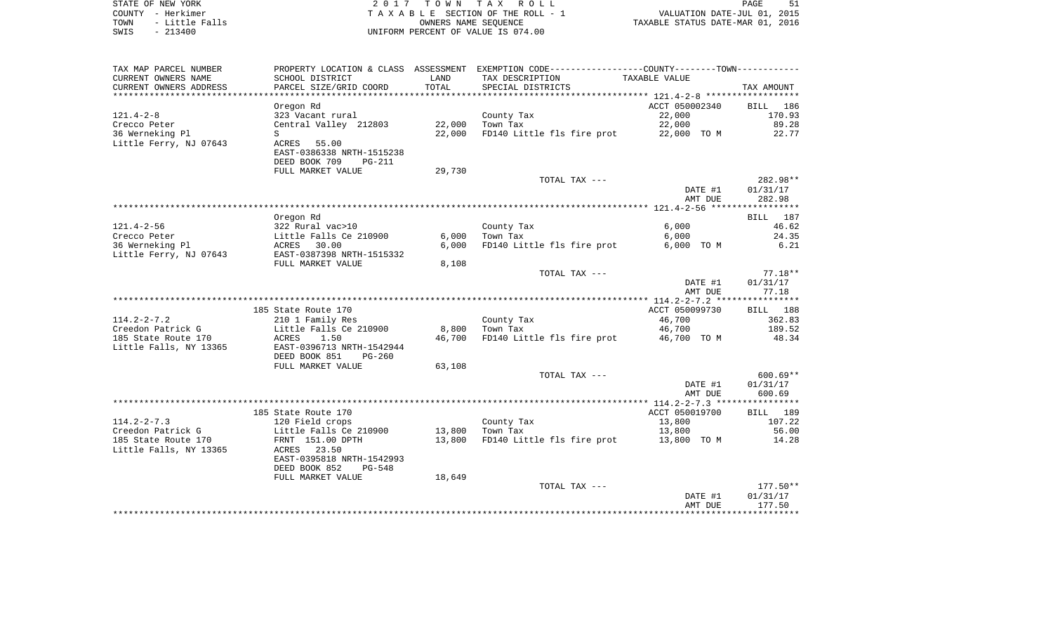| STATE OF NEW YORK |  |           |                |
|-------------------|--|-----------|----------------|
| COUNTY - Herkimer |  |           |                |
| TOWN              |  |           | - Little Falls |
| SWIS              |  | $-213400$ |                |

2017 TOWN TAX ROLL TA X A B L E SECTION OF THE ROLL - 1 TOWN - Little Falls OWNERS NAME SEQUENCE TAXABLE STATUS DATE-MAR 01, 2016 SWIS - 213400 UNIFORM PERCENT OF VALUE IS 074.00

|                        |                                |        |                                                                                               | AMT DUE        | 177.50<br>********* |
|------------------------|--------------------------------|--------|-----------------------------------------------------------------------------------------------|----------------|---------------------|
|                        |                                |        |                                                                                               | DATE #1        | 01/31/17            |
|                        |                                | 18,649 | TOTAL TAX ---                                                                                 |                | $177.50**$          |
|                        | FULL MARKET VALUE              |        |                                                                                               |                |                     |
|                        | DEED BOOK 852<br>$PG-548$      |        |                                                                                               |                |                     |
|                        | EAST-0395818 NRTH-1542993      |        |                                                                                               |                |                     |
| Little Falls, NY 13365 | ACRES 23.50                    |        |                                                                                               |                |                     |
| 185 State Route 170    | FRNT 151.00 DPTH               | 13,800 | FD140 Little fls fire prot 13,800 TO M                                                        |                | 14.28               |
| Creedon Patrick G      | Little Falls Ce 210900         | 13,800 | Town Tax                                                                                      | 13,800         | 56.00               |
| $114.2 - 2 - 7.3$      | 120 Field crops                |        | County Tax                                                                                    | 13,800         | 107.22              |
|                        | 185 State Route 170            |        |                                                                                               | ACCT 050019700 | BILL 189            |
|                        |                                |        |                                                                                               |                |                     |
|                        |                                |        |                                                                                               | AMT DUE        | 600.69              |
|                        |                                |        |                                                                                               | DATE #1        | 01/31/17            |
|                        |                                |        | TOTAL TAX ---                                                                                 |                | $600.69**$          |
|                        | FULL MARKET VALUE              | 63,108 |                                                                                               |                |                     |
|                        | DEED BOOK 851<br>$PG-260$      |        |                                                                                               |                |                     |
| Little Falls, NY 13365 | EAST-0396713 NRTH-1542944      |        |                                                                                               |                |                     |
| 185 State Route 170    | ACRES<br>1.50                  | 46,700 | FD140 Little fls fire prot                                                                    | 46,700 TO M    | 48.34               |
| Creedon Patrick G      | Little Falls Ce 210900         | 8,800  | Town Tax                                                                                      | 46,700         | 189.52              |
|                        | 210 1 Family Res               |        | County Tax                                                                                    | 46,700         | 362.83              |
| $114.2 - 2 - 7.2$      |                                |        |                                                                                               |                |                     |
|                        | 185 State Route 170            |        |                                                                                               | ACCT 050099730 | BILL 188            |
|                        |                                |        |                                                                                               |                |                     |
|                        |                                |        |                                                                                               | AMT DUE        | 77.18               |
|                        |                                |        |                                                                                               | DATE #1        | 01/31/17            |
|                        |                                |        | TOTAL TAX ---                                                                                 |                | $77.18**$           |
|                        | FULL MARKET VALUE              | 8,108  |                                                                                               |                |                     |
| Little Ferry, NJ 07643 | EAST-0387398 NRTH-1515332      |        |                                                                                               |                |                     |
| 36 Werneking Pl        | ACRES 30.00                    | 6,000  | FD140 Little fls fire prot                                                                    | 6,000 TO M     | 6.21                |
| Crecco Peter           | Little Falls Ce 210900         | 6,000  | Town Tax                                                                                      | 6,000          | 24.35               |
| $121.4 - 2 - 56$       | 322 Rural vac>10               |        | County Tax                                                                                    | 6,000          | 46.62               |
|                        | Oregon Rd                      |        |                                                                                               |                | BILL 187            |
|                        |                                |        |                                                                                               |                |                     |
|                        |                                |        |                                                                                               | AMT DUE        | 282.98              |
|                        |                                |        |                                                                                               | DATE #1        |                     |
|                        |                                |        |                                                                                               |                | 01/31/17            |
|                        |                                |        | TOTAL TAX ---                                                                                 |                | 282.98**            |
|                        | FULL MARKET VALUE              | 29,730 |                                                                                               |                |                     |
|                        | DEED BOOK 709<br><b>PG-211</b> |        |                                                                                               |                |                     |
|                        | EAST-0386338 NRTH-1515238      |        |                                                                                               |                |                     |
| Little Ferry, NJ 07643 | ACRES 55.00                    |        |                                                                                               |                |                     |
| 36 Werneking Pl        | S                              | 22,000 | FD140 Little fls fire prot                                                                    | 22,000 TO M    | 22.77               |
| Crecco Peter           | Central Valley 212803          | 22,000 | Town Tax                                                                                      | 22,000         | 89.28               |
| $121.4 - 2 - 8$        | 323 Vacant rural               |        | County Tax                                                                                    | 22,000         | 170.93              |
|                        | Oregon Rd                      |        |                                                                                               | ACCT 050002340 | 186<br>BILL         |
|                        |                                |        |                                                                                               |                |                     |
| CURRENT OWNERS ADDRESS | PARCEL SIZE/GRID COORD         | TOTAL  | SPECIAL DISTRICTS                                                                             |                | TAX AMOUNT          |
| CURRENT OWNERS NAME    | SCHOOL DISTRICT                | LAND   | TAX DESCRIPTION                                                                               | TAXABLE VALUE  |                     |
| TAX MAP PARCEL NUMBER  |                                |        | PROPERTY LOCATION & CLASS ASSESSMENT EXEMPTION CODE---------------COUNTY-------TOWN---------- |                |                     |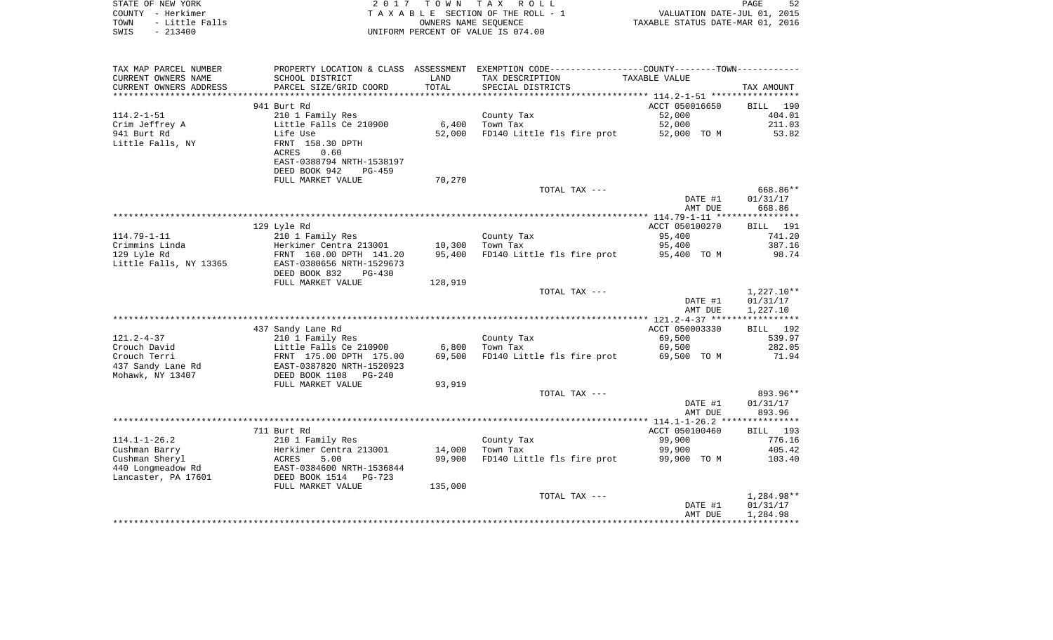|                                    | 52<br>PAGE                       |
|------------------------------------|----------------------------------|
| TAXABLE SECTION OF THE ROLL - 1    | VALUATION DATE-JUL 01, 2015      |
| OWNERS NAME SEOUENCE               | TAXABLE STATUS DATE-MAR 01, 2016 |
| UNIFORM PERCENT OF VALUE IS 074.00 |                                  |
|                                    |                                  |
|                                    | 2017 TOWN TAX ROLL               |

| TAX MAP PARCEL NUMBER<br>CURRENT OWNERS NAME   | PROPERTY LOCATION & CLASS ASSESSMENT<br>SCHOOL DISTRICT | LAND    | EXEMPTION CODE-----------------COUNTY-------TOWN-----------<br>TAX DESCRIPTION | TAXABLE VALUE            |                           |
|------------------------------------------------|---------------------------------------------------------|---------|--------------------------------------------------------------------------------|--------------------------|---------------------------|
| CURRENT OWNERS ADDRESS<br>******************** | PARCEL SIZE/GRID COORD                                  | TOTAL   | SPECIAL DISTRICTS                                                              |                          | TAX AMOUNT                |
|                                                | 941 Burt Rd                                             |         |                                                                                | ACCT 050016650           | <b>BILL</b><br>190        |
| $114.2 - 1 - 51$                               | 210 1 Family Res                                        |         | County Tax                                                                     | 52,000                   | 404.01                    |
| Crim Jeffrey A                                 | Little Falls Ce 210900                                  | 6,400   | Town Tax                                                                       | 52,000                   | 211.03                    |
| 941 Burt Rd                                    | Life Use                                                | 52,000  | FD140 Little fls fire prot                                                     | 52,000 TO M              | 53.82                     |
| Little Falls, NY                               | FRNT 158.30 DPTH                                        |         |                                                                                |                          |                           |
|                                                | 0.60<br>ACRES<br>EAST-0388794 NRTH-1538197              |         |                                                                                |                          |                           |
|                                                | DEED BOOK 942<br>$PG-459$                               |         |                                                                                |                          |                           |
|                                                | FULL MARKET VALUE                                       | 70,270  |                                                                                |                          |                           |
|                                                |                                                         |         | TOTAL TAX ---                                                                  |                          | 668.86**                  |
|                                                |                                                         |         |                                                                                | DATE #1                  | 01/31/17                  |
|                                                |                                                         |         |                                                                                | AMT DUE                  | 668.86                    |
|                                                |                                                         |         |                                                                                |                          |                           |
| $114.79 - 1 - 11$                              | 129 Lyle Rd<br>210 1 Family Res                         |         | County Tax                                                                     | ACCT 050100270<br>95,400 | <b>BILL</b> 191<br>741.20 |
| Crimmins Linda                                 | Herkimer Centra 213001                                  | 10,300  | Town Tax                                                                       | 95,400                   | 387.16                    |
| 129 Lyle Rd                                    | FRNT 160.00 DPTH 141.20                                 | 95,400  | FD140 Little fls fire prot                                                     | 95,400 TO M              | 98.74                     |
| Little Falls, NY 13365                         | EAST-0380656 NRTH-1529673                               |         |                                                                                |                          |                           |
|                                                | DEED BOOK 832<br>$PG-430$                               |         |                                                                                |                          |                           |
|                                                | FULL MARKET VALUE                                       | 128,919 |                                                                                |                          |                           |
|                                                |                                                         |         | TOTAL TAX ---                                                                  | DATE #1                  | $1,227.10**$<br>01/31/17  |
|                                                |                                                         |         |                                                                                | AMT DUE                  | 1,227.10                  |
|                                                |                                                         |         |                                                                                |                          |                           |
|                                                | 437 Sandy Lane Rd                                       |         |                                                                                | ACCT 050003330           | BILL 192                  |
| $121.2 - 4 - 37$                               | 210 1 Family Res                                        |         | County Tax                                                                     | 69,500                   | 539.97                    |
| Crouch David                                   | Little Falls Ce 210900                                  | 6,800   | Town Tax                                                                       | 69,500                   | 282.05                    |
| Crouch Terri                                   | FRNT 175.00 DPTH 175.00                                 | 69,500  | FD140 Little fls fire prot                                                     | 69,500 TO M              | 71.94                     |
| 437 Sandy Lane Rd<br>Mohawk, NY 13407          | EAST-0387820 NRTH-1520923<br>DEED BOOK 1108 PG-240      |         |                                                                                |                          |                           |
|                                                | FULL MARKET VALUE                                       | 93,919  |                                                                                |                          |                           |
|                                                |                                                         |         | TOTAL TAX ---                                                                  |                          | 893.96**                  |
|                                                |                                                         |         |                                                                                | DATE #1                  | 01/31/17                  |
|                                                |                                                         |         |                                                                                | AMT DUE                  | 893.96                    |
|                                                |                                                         |         |                                                                                |                          |                           |
| $114.1 - 1 - 26.2$                             | 711 Burt Rd<br>210 1 Family Res                         |         | County Tax                                                                     | ACCT 050100460<br>99,900 | 193<br>BILL<br>776.16     |
| Cushman Barry                                  | Herkimer Centra 213001                                  | 14,000  | Town Tax                                                                       | 99,900                   | 405.42                    |
| Cushman Sheryl                                 | <b>ACRES</b><br>5.00                                    | 99,900  | FD140 Little fls fire prot                                                     | 99,900 TO M              | 103.40                    |
| 440 Longmeadow Rd                              | EAST-0384600 NRTH-1536844                               |         |                                                                                |                          |                           |
| Lancaster, PA 17601                            | DEED BOOK 1514 PG-723                                   |         |                                                                                |                          |                           |
|                                                | FULL MARKET VALUE                                       | 135,000 |                                                                                |                          |                           |
|                                                |                                                         |         | TOTAL TAX ---                                                                  | DATE #1                  | 1,284.98**<br>01/31/17    |
|                                                |                                                         |         |                                                                                | AMT DUE                  | 1,284.98                  |
|                                                |                                                         |         |                                                                                |                          |                           |
|                                                |                                                         |         |                                                                                |                          |                           |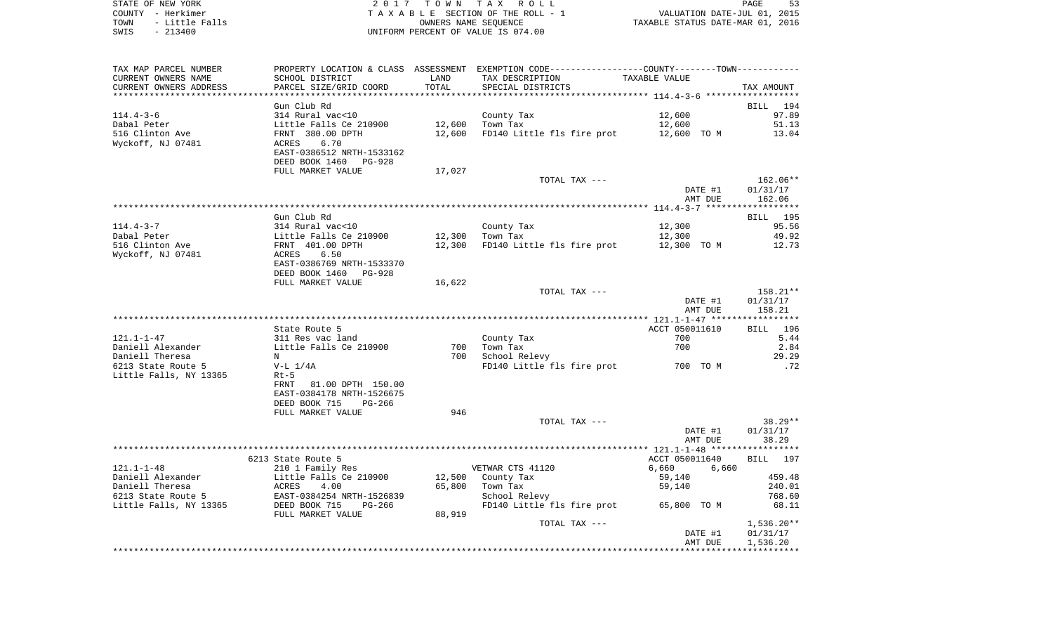STATE OF NEW YORK **EXECUTE:** A 2 0 1 7 T O W N T A X R O L L COUNTY - Herkimer<br>
T A X A B L E SECTION OF THE ROLL - 1<br>
TOWN - Little Falls<br>
SWIS - 213400 - 2013400 - UNIFORM PERCENT OF VALUE IS 074.00 TOWN - Little Falls OWNERS NAME SEQUENCE TAXABLE STATUS DATE-MAR 01, 2016 SWIS - 213400 UNIFORM PERCENT OF VALUE IS 074.00

| TAX MAP PARCEL NUMBER  | PROPERTY LOCATION & CLASS ASSESSMENT EXEMPTION CODE---------------COUNTY-------TOWN---------- |        |                                                   |                |                 |
|------------------------|-----------------------------------------------------------------------------------------------|--------|---------------------------------------------------|----------------|-----------------|
| CURRENT OWNERS NAME    | SCHOOL DISTRICT                                                                               | LAND   | TAX DESCRIPTION                                   | TAXABLE VALUE  |                 |
| CURRENT OWNERS ADDRESS | PARCEL SIZE/GRID COORD                                                                        | TOTAL  | SPECIAL DISTRICTS                                 |                | TAX AMOUNT      |
|                        |                                                                                               |        |                                                   |                |                 |
|                        | Gun Club Rd                                                                                   |        |                                                   |                | BILL 194        |
| $114.4 - 3 - 6$        | 314 Rural vac<10                                                                              |        | County Tax                                        | 12,600         | 97.89           |
| Dabal Peter            | Little Falls Ce 210900                                                                        |        | 12,600 Town Tax                                   | 12,600         | 51.13           |
| 516 Clinton Ave        | FRNT 380.00 DPTH                                                                              | 12,600 | FD140 Little fls fire prot 12,600 TO M            |                | 13.04           |
| Wyckoff, NJ 07481      | 6.70<br>ACRES                                                                                 |        |                                                   |                |                 |
|                        | EAST-0386512 NRTH-1533162                                                                     |        |                                                   |                |                 |
|                        | DEED BOOK 1460 PG-928                                                                         |        |                                                   |                |                 |
|                        | FULL MARKET VALUE                                                                             | 17,027 |                                                   |                |                 |
|                        |                                                                                               |        | TOTAL TAX ---                                     |                | $162.06**$      |
|                        |                                                                                               |        |                                                   | DATE #1        |                 |
|                        |                                                                                               |        |                                                   |                | 01/31/17        |
|                        |                                                                                               |        |                                                   | AMT DUE        | 162.06          |
|                        |                                                                                               |        |                                                   |                |                 |
|                        | Gun Club Rd                                                                                   |        |                                                   |                | <b>BILL</b> 195 |
| $114.4 - 3 - 7$        | 314 Rural vac<10                                                                              |        | County Tax                                        | 12,300         | 95.56           |
| Dabal Peter            | Little Falls Ce 210900<br>FRNT 401.00 DPTH<br>ACRES 6.50                                      |        | 12,300 Town Tax                                   | 12,300         | 49.92           |
| 516 Clinton Ave        |                                                                                               |        | $12,300$ FD140 Little fls fire prot $12,300$ TO M |                | 12.73           |
| Wyckoff, NJ 07481      |                                                                                               |        |                                                   |                |                 |
|                        | EAST-0386769 NRTH-1533370                                                                     |        |                                                   |                |                 |
|                        | DEED BOOK 1460 PG-928                                                                         |        |                                                   |                |                 |
|                        | FULL MARKET VALUE                                                                             | 16,622 |                                                   |                |                 |
|                        |                                                                                               |        | TOTAL TAX ---                                     |                | $158.21**$      |
|                        |                                                                                               |        |                                                   | DATE #1        | 01/31/17        |
|                        |                                                                                               |        |                                                   | AMT DUE        | 158.21          |
|                        |                                                                                               |        |                                                   |                |                 |
|                        | State Route 5                                                                                 |        |                                                   | ACCT 050011610 | BILL 196        |
| $121.1 - 1 - 47$       | 311 Res vac land                                                                              |        | County Tax                                        | 700            | 5.44            |
| Daniell Alexander      | Little Falls Ce 210900                                                                        |        | 700 Town Tax                                      | 700            | 2.84            |
| Daniell Theresa        | N                                                                                             |        | 700 School Relevy                                 |                | 29.29           |
| 6213 State Route 5     | $V-L 1/4A$                                                                                    |        | FD140 Little fls fire prot 700 TO M               |                | .72             |
| Little Falls, NY 13365 | $Rt-5$                                                                                        |        |                                                   |                |                 |
|                        | FRNT 81.00 DPTH 150.00                                                                        |        |                                                   |                |                 |
|                        | EAST-0384178 NRTH-1526675                                                                     |        |                                                   |                |                 |
|                        | DEED BOOK 715<br>PG-266                                                                       |        |                                                   |                |                 |
|                        | FULL MARKET VALUE                                                                             | 946    |                                                   |                |                 |
|                        |                                                                                               |        | TOTAL TAX ---                                     |                | $38.29**$       |
|                        |                                                                                               |        |                                                   | DATE #1        | 01/31/17        |
|                        |                                                                                               |        |                                                   | AMT DUE        | 38.29           |
|                        |                                                                                               |        |                                                   |                |                 |
|                        | 6213 State Route 5                                                                            |        |                                                   | ACCT 050011640 | BILL 197        |
| $121.1 - 1 - 48$       | 210 1 Family Res                                                                              |        | VETWAR CTS 41120                                  | 6,660<br>6,660 |                 |
| Daniell Alexander      |                                                                                               |        | 12,500 County Tax                                 | 59,140         | 459.48          |
| Daniell Theresa        | Little Falls Ce 210900<br>ACRES 4.00<br>EAST-0384254 NPTU-1500000                             |        | 65,800 Town Tax                                   | 59,140         | 240.01          |
| 6213 State Route 5     | EAST-0384254 NRTH-1526839                                                                     |        | School Relevy                                     |                | 768.60          |
| Little Falls, NY 13365 | DEED BOOK 715<br>PG-266                                                                       |        | FD140 Little fls fire prot 65,800 TO M            |                | 68.11           |
|                        | FULL MARKET VALUE                                                                             | 88,919 |                                                   |                |                 |
|                        |                                                                                               |        | TOTAL TAX ---                                     |                | $1,536.20**$    |
|                        |                                                                                               |        |                                                   | DATE #1        | 01/31/17        |
|                        |                                                                                               |        |                                                   | AMT DUE        | 1,536.20        |
|                        |                                                                                               |        |                                                   |                | *************   |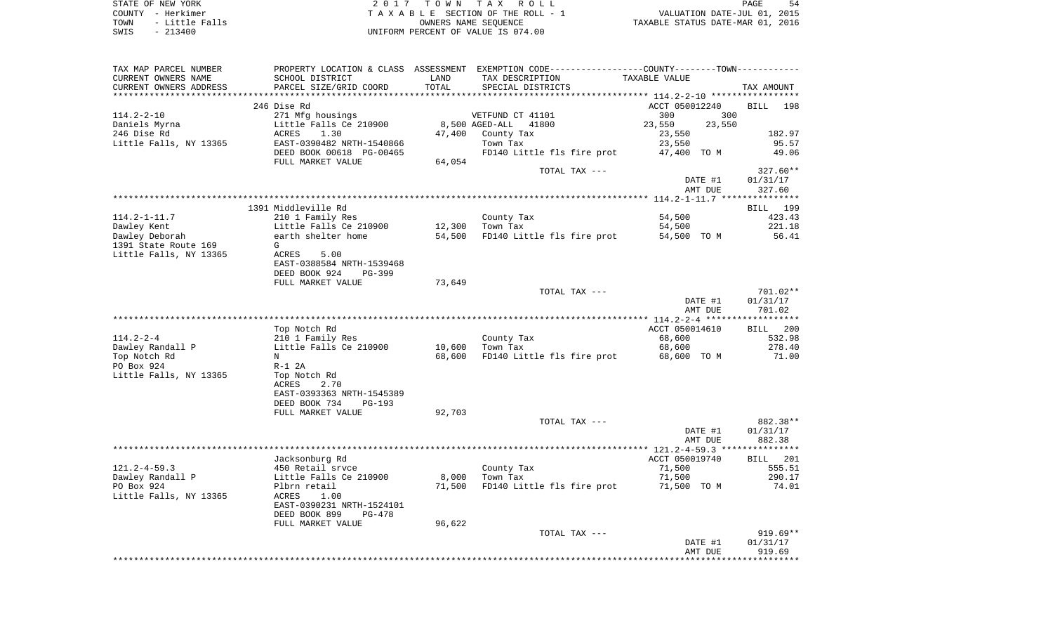STATE OF NEW YORK 54 CONSTRUCTED AS A CONSTRUCTED ASSESSED. THE SERVICE SERVICE SERVICE SERVICE SERVICE SERVICE COUNTY - Herkimer **T A X A B L E** SECTION OF THE ROLL - 1 VALUATION DATE-JUL 01, 2015 TOWN - Little Falls OWNERS NAME SEQUENCE TAXABLE STATUS DATE-MAR 01, 2016 SWIS - 213400 UNIFORM PERCENT OF VALUE IS 074.00

TAX MAP PARCEL NUMBER PROPERTY LOCATION & CLASS ASSESSMENT EXEMPTION CODE------------------COUNTY--------TOWN------------ CURRENT OWNERS NAME SCHOOL DISTRICT LAND TAX DESCRIPTION TAXABLE VALUECURRENT OWNERS ADDRESS PARCEL SIZE/GRID COORD TOTAL SPECIAL DISTRICTS TAX AMOUNT \*\*\*\*\*\*\*\*\*\*\*\*\*\*\*\*\*\*\*\*\*\*\*\*\*\*\*\*\*\*\*\*\*\*\*\*\*\*\*\*\*\*\*\*\*\*\*\*\*\*\*\*\*\*\*\*\*\*\*\*\*\*\*\*\*\*\*\*\*\*\*\*\*\*\*\*\*\*\*\*\*\*\*\*\*\*\*\*\*\*\*\*\*\*\*\*\*\*\*\*\*\*\* 114.2-2-10 \*\*\*\*\*\*\*\*\*\*\*\*\*\*\*\*\* 246 Dise Rd ACCT 050012240 BILL 198114.2-2-10 271 Mfg housings VETFUND CT 41101 300 300 Daniels Myrna Little Falls Ce 210900 8,500 AGED-ALL 41800 23,550 23,550 246 Dise Rd ACRES 1.30 47,400 County Tax 23,550 182.97 Little Falls, NY 13365 BAST-0390482 NRTH-1540866 Town Tax 23,550 23,550 95.57 DEED BOOK 00618 PG-00465 FD140 Little fls fire prot 47,400 TO M 49.06 FULL MARKET VALUE 64,054 TOTAL TAX --- 327.60\*\* DATE #1 01/31/17 AMT DUE 327.60 \*\*\*\*\*\*\*\*\*\*\*\*\*\*\*\*\*\*\*\*\*\*\*\*\*\*\*\*\*\*\*\*\*\*\*\*\*\*\*\*\*\*\*\*\*\*\*\*\*\*\*\*\*\*\*\*\*\*\*\*\*\*\*\*\*\*\*\*\*\*\*\*\*\*\*\*\*\*\*\*\*\*\*\*\*\*\*\*\*\*\*\*\*\*\*\*\*\*\*\*\*\*\* 114.2-1-11.7 \*\*\*\*\*\*\*\*\*\*\*\*\*\*\* 1391 Middleville Rd BILL 199114.2-1-11.7 210 1 Family Res County Tax 54,500 423.43 Dawley Kent Little Falls Ce 210900 12,300 Town Tax 54,500 221.18 Dawley Deborah **earth shelter home** 54,500 FD140 Little fls fire prot 54,500 TO M 56.41 1391 State Route 169 GLittle Falls, NY 13365 ACRES 5.00 EAST-0388584 NRTH-1539468 DEED BOOK 924 PG-399FULL MARKET VALUE 73,649 TOTAL TAX --- 701.02\*\* DATE #1 01/31/17 AMT DUE 701.02 \*\*\*\*\*\*\*\*\*\*\*\*\*\*\*\*\*\*\*\*\*\*\*\*\*\*\*\*\*\*\*\*\*\*\*\*\*\*\*\*\*\*\*\*\*\*\*\*\*\*\*\*\*\*\*\*\*\*\*\*\*\*\*\*\*\*\*\*\*\*\*\*\*\*\*\*\*\*\*\*\*\*\*\*\*\*\*\*\*\*\*\*\*\*\*\*\*\*\*\*\*\*\* 114.2-2-4 \*\*\*\*\*\*\*\*\*\*\*\*\*\*\*\*\*\*BILL 200 Top Notch Rd and ACCT 050014610 BILL 2008 BILL 2008 BILL 2009 BILL 2009 BILL 2009 BILL 2009 BILL 2009 BILL 200 114.2-2-4 210 1 Family Res County Tax 68,600 532.98 Dawley Randall P **Little Falls Ce 210900** 10,600 Town Tax 68,600 278.40 Top Notch Rd N 68,600 FD140 Little fls fire prot 68,600 TO M 71.00 PO Box 924 R-1 2A Little Falls, NY 13365 Top Notch Rd ACRES 2.70 EAST-0393363 NRTH-1545389 DEED BOOK 734 PG-193FULL MARKET VALUE 92,703 TOTAL TAX --- 882.38\*\* DATE #1 01/31/17 AMT DUE 882.38 \*\*\*\*\*\*\*\*\*\*\*\*\*\*\*\*\*\*\*\*\*\*\*\*\*\*\*\*\*\*\*\*\*\*\*\*\*\*\*\*\*\*\*\*\*\*\*\*\*\*\*\*\*\*\*\*\*\*\*\*\*\*\*\*\*\*\*\*\*\*\*\*\*\*\*\*\*\*\*\*\*\*\*\*\*\*\*\*\*\*\*\*\*\*\*\*\*\*\*\*\*\*\* 121.2-4-59.3 \*\*\*\*\*\*\*\*\*\*\*\*\*\*\***BILL** 201 Jacksonburg Rd **ACCT** 050019740 121.2-4-59.3 450 Retail srvce County Tax 71,500 555.51 Dawley Randall P Little Falls Ce 210900 8,000 Town Tax 71,500 290.17 PO Box 924 Plbrn retail 71,500 FD140 Little fls fire prot 71,500 TO M 74.01 Little Falls, NY 13365 ACRES 1.00 EAST-0390231 NRTH-1524101 DEED BOOK 899 PG-478FULL MARKET VALUE 96,622 TOTAL TAX --- 919.69\*\* DATE #1 01/31/17 AMT DUE 919.69\*\*\*\*\*\*\*\*\*\*\*\*\*\*\*\*\*\*\*\*\*\*\*\*\*\*\*\*\*\*\*\*\*\*\*\*\*\*\*\*\*\*\*\*\*\*\*\*\*\*\*\*\*\*\*\*\*\*\*\*\*\*\*\*\*\*\*\*\*\*\*\*\*\*\*\*\*\*\*\*\*\*\*\*\*\*\*\*\*\*\*\*\*\*\*\*\*\*\*\*\*\*\*\*\*\*\*\*\*\*\*\*\*\*\*\*\*\*\*\*\*\*\*\*\*\*\*\*\*\*\*\*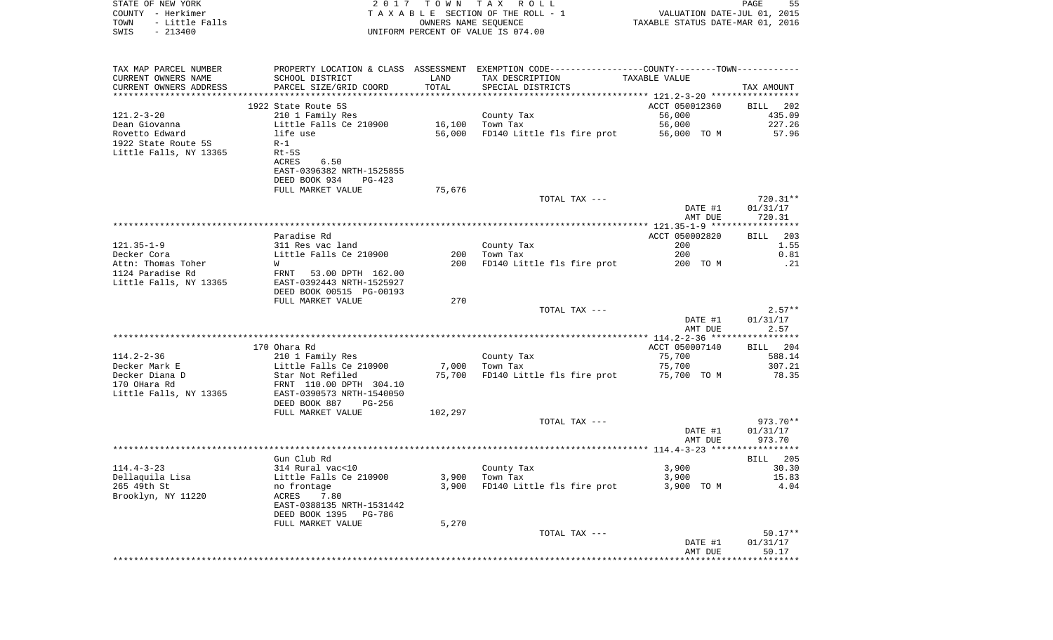| STATE OF NEW YORK<br>COUNTY - Herkimer<br>- Little Falls<br>TOWN<br>$-213400$<br>SWIS | 2017                                                   | OWNERS NAME SEQUENCE | TOWN TAX ROLL<br>TAXABLE SECTION OF THE ROLL - 1<br>UNIFORM PERCENT OF VALUE IS 074.00        | VALUATION DATE-JUL 01, 2015<br>TAXABLE STATUS DATE-MAR 01, 2016 | PAGE<br>55       |
|---------------------------------------------------------------------------------------|--------------------------------------------------------|----------------------|-----------------------------------------------------------------------------------------------|-----------------------------------------------------------------|------------------|
| TAX MAP PARCEL NUMBER                                                                 |                                                        |                      | PROPERTY LOCATION & CLASS ASSESSMENT EXEMPTION CODE---------------COUNTY-------TOWN---------- |                                                                 |                  |
| CURRENT OWNERS NAME                                                                   | SCHOOL DISTRICT                                        | LAND                 | TAX DESCRIPTION                                                                               | TAXABLE VALUE                                                   |                  |
| CURRENT OWNERS ADDRESS<br>************************                                    | PARCEL SIZE/GRID COORD                                 | TOTAL                | SPECIAL DISTRICTS                                                                             |                                                                 | TAX AMOUNT       |
|                                                                                       | 1922 State Route 5S                                    |                      |                                                                                               | ACCT 050012360                                                  | BILL<br>202      |
| $121.2 - 3 - 20$                                                                      | 210 1 Family Res                                       |                      | County Tax                                                                                    | 56,000                                                          | 435.09           |
| Dean Giovanna                                                                         | Little Falls Ce 210900                                 | 16,100               | Town Tax                                                                                      | 56,000                                                          | 227.26           |
| Rovetto Edward                                                                        | life use                                               | 56,000               | FD140 Little fls fire prot                                                                    | 56,000 TO M                                                     | 57.96            |
| 1922 State Route 5S                                                                   | $R-1$                                                  |                      |                                                                                               |                                                                 |                  |
| Little Falls, NY 13365                                                                | $Rt-5S$                                                |                      |                                                                                               |                                                                 |                  |
|                                                                                       | ACRES<br>6.50<br>EAST-0396382 NRTH-1525855             |                      |                                                                                               |                                                                 |                  |
|                                                                                       | DEED BOOK 934<br>PG-423                                |                      |                                                                                               |                                                                 |                  |
|                                                                                       | FULL MARKET VALUE                                      | 75,676               |                                                                                               |                                                                 |                  |
|                                                                                       |                                                        |                      | TOTAL TAX ---                                                                                 |                                                                 | 720.31**         |
|                                                                                       |                                                        |                      |                                                                                               | DATE #1                                                         | 01/31/17         |
|                                                                                       |                                                        |                      |                                                                                               | AMT DUE                                                         | 720.31           |
|                                                                                       | Paradise Rd                                            |                      |                                                                                               | ACCT 050002820                                                  | 203<br>BILL      |
| $121.35 - 1 - 9$                                                                      | 311 Res vac land                                       |                      | County Tax                                                                                    | 200                                                             | 1.55             |
| Decker Cora                                                                           | Little Falls Ce 210900                                 | 200                  | Town Tax                                                                                      | 200                                                             | 0.81             |
| Attn: Thomas Toher                                                                    | W                                                      | 200                  | FD140 Little fls fire prot                                                                    | 200 TO M                                                        | .21              |
| 1124 Paradise Rd<br>Little Falls, NY 13365                                            | FRNT<br>53.00 DPTH 162.00<br>EAST-0392443 NRTH-1525927 |                      |                                                                                               |                                                                 |                  |
|                                                                                       | DEED BOOK 00515 PG-00193                               |                      |                                                                                               |                                                                 |                  |
|                                                                                       | FULL MARKET VALUE                                      | 270                  |                                                                                               |                                                                 |                  |
|                                                                                       |                                                        |                      | TOTAL TAX ---                                                                                 |                                                                 | $2.57**$         |
|                                                                                       |                                                        |                      |                                                                                               | DATE #1<br>AMT DUE                                              | 01/31/17<br>2.57 |
|                                                                                       |                                                        |                      |                                                                                               |                                                                 |                  |
|                                                                                       | 170 Ohara Rd                                           |                      |                                                                                               | ACCT 050007140                                                  | BILL 204         |
| $114.2 - 2 - 36$                                                                      | 210 1 Family Res                                       |                      | County Tax                                                                                    | 75,700                                                          | 588.14           |
| Decker Mark E                                                                         | Little Falls Ce 210900                                 | 7,000                | Town Tax                                                                                      | 75,700                                                          | 307.21           |
| Decker Diana D                                                                        | Star Not Refiled                                       | 75,700               | FD140 Little fls fire prot                                                                    | 75,700 TO M                                                     | 78.35            |
| 170 OHara Rd<br>Little Falls, NY 13365                                                | FRNT 110.00 DPTH 304.10<br>EAST-0390573 NRTH-1540050   |                      |                                                                                               |                                                                 |                  |
|                                                                                       | DEED BOOK 887<br>PG-256                                |                      |                                                                                               |                                                                 |                  |
|                                                                                       | FULL MARKET VALUE                                      | 102,297              |                                                                                               |                                                                 |                  |
|                                                                                       |                                                        |                      | TOTAL TAX ---                                                                                 |                                                                 | 973.70**         |
|                                                                                       |                                                        |                      |                                                                                               | DATE #1                                                         | 01/31/17         |
|                                                                                       |                                                        |                      |                                                                                               | AMT DUE                                                         | 973.70           |
|                                                                                       | Gun Club Rd                                            |                      |                                                                                               |                                                                 | 205<br>BILL      |
| $114.4 - 3 - 23$                                                                      | 314 Rural vac<10                                       |                      | County Tax                                                                                    | 3,900                                                           | 30.30            |
| Dellaquila Lisa                                                                       | Little Falls Ce 210900                                 | 3,900                | Town Tax                                                                                      | 3,900                                                           | 15.83            |
| 265 49th St                                                                           | no frontage                                            | 3,900                | FD140 Little fls fire prot                                                                    | 3,900 TO M                                                      | 4.04             |
| Brooklyn, NY 11220                                                                    | ACRES<br>7.80<br>EAST-0388135 NRTH-1531442             |                      |                                                                                               |                                                                 |                  |
|                                                                                       | DEED BOOK 1395 PG-786                                  |                      |                                                                                               |                                                                 |                  |
|                                                                                       | FULL MARKET VALUE                                      | 5,270                |                                                                                               |                                                                 |                  |
|                                                                                       |                                                        |                      | TOTAL TAX ---                                                                                 |                                                                 | $50.17**$        |
|                                                                                       |                                                        |                      |                                                                                               | DATE #1                                                         | 01/31/17         |
|                                                                                       |                                                        |                      |                                                                                               | AMT DUE                                                         | 50.17            |
|                                                                                       |                                                        |                      |                                                                                               |                                                                 |                  |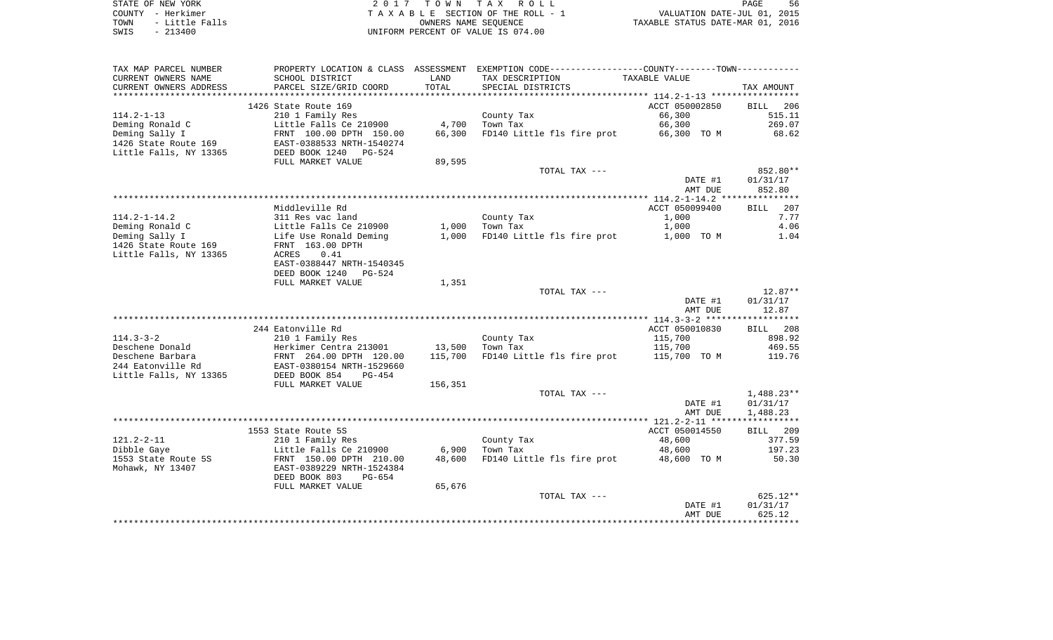|      | STATE OF NEW YORK |
|------|-------------------|
|      | COUNTY - Herkimer |
| TOWN | - Little Falls    |
| SWTS | - 213400          |

2017 TOWN TAX ROLL TA X A B L E SECTION OF THE ROLL - 1 SWIS - 213400 WIFORM PERCENT OF VALUE IS 074.00

PAGE 56 TOWN TAX ROLL<br>LE SECTION OF THE ROLL - 1 WALUATION DATE-JUL 01, 2015<br>OWNERS NAME SEQUENCE TAXABLE STATUS DATE-MAR 01, 2016

| TAX MAP PARCEL NUMBER<br>CURRENT OWNERS NAME      | PROPERTY LOCATION & CLASS ASSESSMENT<br>SCHOOL DISTRICT | LAND    | EXEMPTION CODE-----------------COUNTY-------TOWN-----------<br>TAX DESCRIPTION | TAXABLE VALUE            |                       |
|---------------------------------------------------|---------------------------------------------------------|---------|--------------------------------------------------------------------------------|--------------------------|-----------------------|
| CURRENT OWNERS ADDRESS<br>*********************** | PARCEL SIZE/GRID COORD                                  | TOTAL   | SPECIAL DISTRICTS                                                              |                          | TAX AMOUNT            |
|                                                   |                                                         |         |                                                                                |                          |                       |
| $114.2 - 1 - 13$                                  | 1426 State Route 169<br>210 1 Family Res                |         | County Tax                                                                     | ACCT 050002850<br>66,300 | 206<br>BILL<br>515.11 |
| Deming Ronald C                                   | Little Falls Ce 210900                                  | 4,700   | Town Tax                                                                       | 66,300                   | 269.07                |
| Deming Sally I                                    | FRNT 100.00 DPTH 150.00                                 | 66,300  | FD140 Little fls fire prot                                                     | 66,300 TO M              | 68.62                 |
| 1426 State Route 169<br>Little Falls, NY 13365    | EAST-0388533 NRTH-1540274<br>DEED BOOK 1240<br>$PG-524$ |         |                                                                                |                          |                       |
|                                                   | FULL MARKET VALUE                                       | 89,595  |                                                                                |                          |                       |
|                                                   |                                                         |         | TOTAL TAX ---                                                                  |                          | 852.80**              |
|                                                   |                                                         |         |                                                                                | DATE #1                  | 01/31/17              |
|                                                   |                                                         |         |                                                                                | AMT DUE                  | 852.80                |
|                                                   |                                                         |         |                                                                                |                          |                       |
|                                                   | Middleville Rd                                          |         |                                                                                | ACCT 050099400           | 207<br><b>BILL</b>    |
| $114.2 - 1 - 14.2$                                | 311 Res vac land                                        |         | County Tax                                                                     | 1,000                    | 7.77                  |
| Deming Ronald C                                   | Little Falls Ce 210900                                  | 1,000   | Town Tax                                                                       | 1,000                    | 4.06                  |
| Deming Sally I                                    | Life Use Ronald Deming                                  | 1,000   | FD140 Little fls fire prot                                                     | 1,000 TO M               | 1.04                  |
| 1426 State Route 169                              | FRNT 163.00 DPTH                                        |         |                                                                                |                          |                       |
| Little Falls, NY 13365                            | <b>ACRES</b><br>0.41                                    |         |                                                                                |                          |                       |
|                                                   | EAST-0388447 NRTH-1540345                               |         |                                                                                |                          |                       |
|                                                   | DEED BOOK 1240<br><b>PG-524</b>                         |         |                                                                                |                          |                       |
|                                                   | FULL MARKET VALUE                                       | 1,351   |                                                                                |                          |                       |
|                                                   |                                                         |         | TOTAL TAX ---                                                                  |                          | $12.87**$             |
|                                                   |                                                         |         |                                                                                | DATE #1                  | 01/31/17              |
|                                                   |                                                         |         |                                                                                | AMT DUE                  | 12.87                 |
|                                                   | 244 Eatonville Rd                                       |         |                                                                                |                          |                       |
|                                                   |                                                         |         |                                                                                | ACCT 050010830           | 208<br><b>BILL</b>    |
| $114.3 - 3 - 2$<br>Deschene Donald                | 210 1 Family Res                                        | 13,500  | County Tax<br>Town Tax                                                         | 115,700<br>115,700       | 898.92<br>469.55      |
| Deschene Barbara                                  | Herkimer Centra 213001<br>FRNT 264.00 DPTH 120.00       | 115,700 | FD140 Little fls fire prot                                                     | 115,700 TO M             | 119.76                |
| 244 Eatonville Rd                                 | EAST-0380154 NRTH-1529660                               |         |                                                                                |                          |                       |
| Little Falls, NY 13365                            | DEED BOOK 854<br>$PG-454$                               |         |                                                                                |                          |                       |
|                                                   | FULL MARKET VALUE                                       | 156,351 |                                                                                |                          |                       |
|                                                   |                                                         |         | TOTAL TAX ---                                                                  |                          | 1,488.23**            |
|                                                   |                                                         |         |                                                                                | DATE #1                  | 01/31/17              |
|                                                   |                                                         |         |                                                                                | AMT DUE                  | 1,488.23              |
|                                                   |                                                         |         |                                                                                |                          |                       |
|                                                   | 1553 State Route 5S                                     |         |                                                                                | ACCT 050014550           | <b>BILL</b><br>209    |
| $121.2 - 2 - 11$                                  | 210 1 Family Res                                        |         | County Tax                                                                     | 48,600                   | 377.59                |
| Dibble Gaye                                       | Little Falls Ce 210900                                  | 6,900   | Town Tax                                                                       | 48,600                   | 197.23                |
| 1553 State Route 5S                               | FRNT 150.00 DPTH 210.00                                 | 48,600  | FD140 Little fls fire prot                                                     | 48,600 TO M              | 50.30                 |
| Mohawk, NY 13407                                  | EAST-0389229 NRTH-1524384                               |         |                                                                                |                          |                       |
|                                                   | DEED BOOK 803<br>PG-654                                 |         |                                                                                |                          |                       |
|                                                   | FULL MARKET VALUE                                       | 65,676  |                                                                                |                          |                       |
|                                                   |                                                         |         | TOTAL TAX ---                                                                  |                          | $625.12**$            |
|                                                   |                                                         |         |                                                                                | DATE #1                  | 01/31/17              |
|                                                   |                                                         |         |                                                                                | AMT DUE                  | 625.12                |
|                                                   |                                                         |         |                                                                                |                          |                       |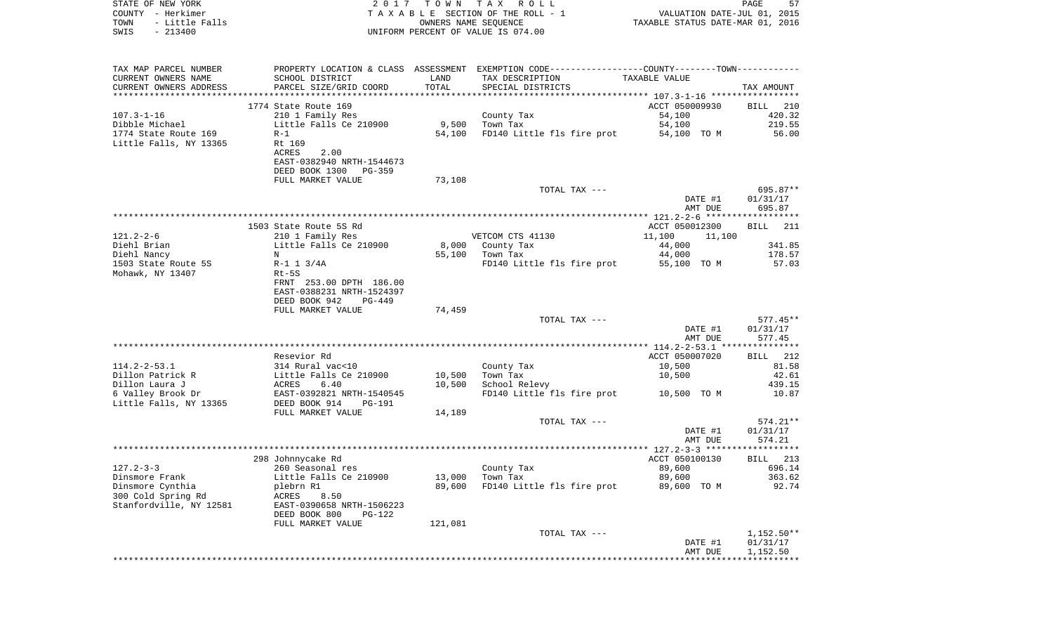| COUNTY - Herkimer<br>TOWN<br>- Little Falls<br>$-213400$<br>SWIS |                           | OWNERS NAME SEQUENCE | T A X A B L E SECTION OF THE ROLL - 1<br>UNIFORM PERCENT OF VALUE IS 074.00                                       | VALUATION DATE-JUL 01, 2015<br>TAXABLE STATUS DATE-MAR 01, 2016 |                      |
|------------------------------------------------------------------|---------------------------|----------------------|-------------------------------------------------------------------------------------------------------------------|-----------------------------------------------------------------|----------------------|
|                                                                  |                           |                      |                                                                                                                   |                                                                 |                      |
| TAX MAP PARCEL NUMBER<br>CURRENT OWNERS NAME                     | SCHOOL DISTRICT           | LAND                 | PROPERTY LOCATION & CLASS ASSESSMENT EXEMPTION CODE----------------COUNTY-------TOWN----------<br>TAX DESCRIPTION | TAXABLE VALUE                                                   |                      |
| CURRENT OWNERS ADDRESS                                           | PARCEL SIZE/GRID COORD    | TOTAL                | SPECIAL DISTRICTS                                                                                                 |                                                                 | TAX AMOUNT           |
|                                                                  |                           |                      |                                                                                                                   |                                                                 |                      |
|                                                                  | 1774 State Route 169      |                      |                                                                                                                   | ACCT 050009930                                                  | 210<br>BILL          |
| $107.3 - 1 - 16$                                                 | 210 1 Family Res          |                      | County Tax                                                                                                        | 54,100                                                          | 420.32               |
| Dibble Michael                                                   | Little Falls Ce 210900    | 9,500                | Town Tax                                                                                                          | 54,100                                                          | 219.55               |
| 1774 State Route 169                                             | R-1                       | 54,100               | FD140 Little fls fire prot                                                                                        | 54,100 TO M                                                     | 56.00                |
| Little Falls, NY 13365                                           | Rt 169                    |                      |                                                                                                                   |                                                                 |                      |
|                                                                  | 2.00<br>ACRES             |                      |                                                                                                                   |                                                                 |                      |
|                                                                  | EAST-0382940 NRTH-1544673 |                      |                                                                                                                   |                                                                 |                      |
|                                                                  | DEED BOOK 1300<br>PG-359  |                      |                                                                                                                   |                                                                 |                      |
|                                                                  | FULL MARKET VALUE         | 73,108               |                                                                                                                   |                                                                 |                      |
|                                                                  |                           |                      | TOTAL TAX ---                                                                                                     | DATE #1                                                         | 695.87**<br>01/31/17 |
|                                                                  |                           |                      |                                                                                                                   | AMT DUE                                                         | 695.87               |
|                                                                  |                           |                      |                                                                                                                   |                                                                 |                      |
|                                                                  | 1503 State Route 5S Rd    |                      |                                                                                                                   | ACCT 050012300                                                  | <b>BILL</b><br>211   |
| 121.2-2-6                                                        | 210 1 Family Res          |                      | VETCOM CTS 41130                                                                                                  | 11,100<br>11,100                                                |                      |
| Diehl Brian                                                      | Little Falls Ce 210900    | 8,000                | County Tax                                                                                                        | 44,000                                                          | 341.85               |
| Diehl Nancy                                                      | N                         | 55,100               | Town Tax                                                                                                          | 44,000                                                          | 178.57               |
| 1503 State Route 5S                                              | $R-1$ 1 3/4A              |                      | FD140 Little fls fire prot                                                                                        | 55,100 TO M                                                     | 57.03                |
| Mohawk, NY 13407                                                 | Rt-5S                     |                      |                                                                                                                   |                                                                 |                      |
|                                                                  | FRNT 253.00 DPTH 186.00   |                      |                                                                                                                   |                                                                 |                      |
|                                                                  | EAST-0388231 NRTH-1524397 |                      |                                                                                                                   |                                                                 |                      |
|                                                                  | DEED BOOK 942<br>PG-449   |                      |                                                                                                                   |                                                                 |                      |
|                                                                  | FULL MARKET VALUE         | 74,459               | TOTAL TAX ---                                                                                                     |                                                                 | $577.45**$           |
|                                                                  |                           |                      |                                                                                                                   | DATE #1                                                         | 01/31/17             |
|                                                                  |                           |                      |                                                                                                                   | AMT DUE                                                         | 577.45               |
|                                                                  |                           |                      |                                                                                                                   |                                                                 |                      |
|                                                                  | Resevior Rd               |                      |                                                                                                                   | ACCT 050007020                                                  | 212<br>BILL          |
| 114.2-2-53.1                                                     | 314 Rural vac<10          |                      | County Tax                                                                                                        | 10,500                                                          | 81.58                |
| Dillon Patrick R                                                 | Little Falls Ce 210900    | 10,500               | Town Tax                                                                                                          | 10,500                                                          | 42.61                |
| Dillon Laura J                                                   | 6.40<br>ACRES             | 10,500               | School Relevy                                                                                                     |                                                                 | 439.15               |
| 6 Valley Brook Dr                                                | EAST-0392821 NRTH-1540545 |                      | FD140 Little fls fire prot                                                                                        | 10,500 TO M                                                     | 10.87                |
| Little Falls, NY 13365                                           | DEED BOOK 914<br>PG-191   |                      |                                                                                                                   |                                                                 |                      |
|                                                                  | FULL MARKET VALUE         | 14,189               | TOTAL TAX ---                                                                                                     |                                                                 | 574.21**             |
|                                                                  |                           |                      |                                                                                                                   | DATE #1                                                         | 01/31/17             |
|                                                                  |                           |                      |                                                                                                                   | AMT DUE                                                         | 574.21               |
|                                                                  |                           |                      |                                                                                                                   |                                                                 |                      |
|                                                                  | 298 Johnnycake Rd         |                      |                                                                                                                   | ACCT 050100130                                                  | BILL 213             |
| 127.2-3-3                                                        | 260 Seasonal res          |                      | County Tax                                                                                                        | 89,600                                                          | 696.14               |
| Dinsmore Frank                                                   | Little Falls Ce 210900    |                      | 13,000 Town Tax                                                                                                   | 89,600                                                          | 363.62               |
| Dinsmore Cynthia                                                 | plebrn R1                 | 89,600               | FD140 Little fls fire prot                                                                                        | 89,600 TO M                                                     | 92.74                |
| 300 Cold Spring Rd                                               | 8.50<br>ACRES             |                      |                                                                                                                   |                                                                 |                      |
| Stanfordville, NY 12581                                          | EAST-0390658 NRTH-1506223 |                      |                                                                                                                   |                                                                 |                      |
|                                                                  | DEED BOOK 800<br>PG-122   |                      |                                                                                                                   |                                                                 |                      |
|                                                                  | FULL MARKET VALUE         | 121,081              | TOTAL TAX ---                                                                                                     |                                                                 | $1,152.50**$         |
|                                                                  |                           |                      |                                                                                                                   | DATE #1                                                         | 01/31/17             |
|                                                                  |                           |                      |                                                                                                                   | AMT DUE                                                         | 1,152.50             |
|                                                                  |                           |                      |                                                                                                                   | * * * * * * * * * * * * * * * * * * *                           |                      |

PAGE 57

STATE OF NEW YORK **EXECUTE:** TOWN TAX ROLL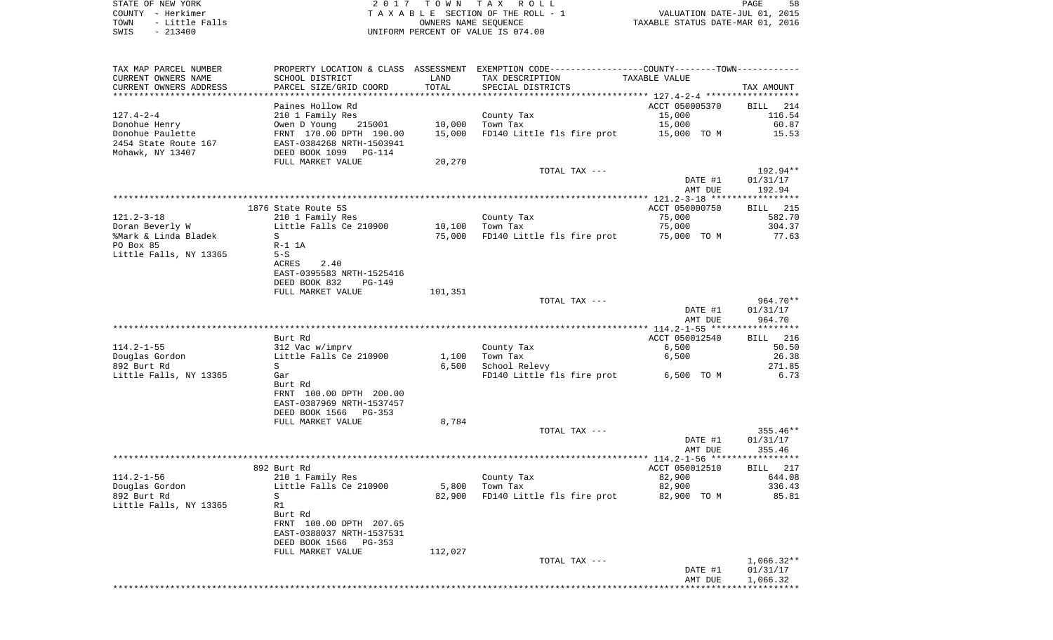STATE OF NEW YORK **EXECUTE:** A 2 0 1 7 T O W N T A X R O L L COUNTY - Herkimer<br>
T A X A B L E SECTION OF THE ROLL - 1<br>
TOWN - Little Falls<br>
SWIS - 213400 - 2013400 - UNIFORM PERCENT OF VALUE IS 074.00 TOWN - LITTLE FALLS ON THE ROLL - 1<br>
TAXABLE STATUS DATE-JUL 01, 2015<br>
OWNERS NAME SEQUENCE TAXABLE STATUS DATE-MAR 01, 2016 SWIS - 213400 UNIFORM PERCENT OF VALUE IS 074.00

PAGE 58

| TAX MAP PARCEL NUMBER               |                                |         | PROPERTY LOCATION & CLASS ASSESSMENT EXEMPTION CODE----------------COUNTY-------TOWN---------- |                |                    |
|-------------------------------------|--------------------------------|---------|------------------------------------------------------------------------------------------------|----------------|--------------------|
| CURRENT OWNERS NAME                 | SCHOOL DISTRICT                | LAND    | TAX DESCRIPTION                                                                                | TAXABLE VALUE  |                    |
| CURRENT OWNERS ADDRESS              | PARCEL SIZE/GRID COORD         | TOTAL   | SPECIAL DISTRICTS                                                                              |                | TAX AMOUNT         |
| * * * * * * * * * * * * * * * * * * |                                |         |                                                                                                |                |                    |
|                                     | Paines Hollow Rd               |         |                                                                                                | ACCT 050005370 | BILL 214           |
| $127.4 - 2 - 4$                     | 210 1 Family Res               |         | County Tax                                                                                     | 15,000         | 116.54             |
| Donohue Henry                       | Owen D Young<br>215001         | 10,000  | Town Tax                                                                                       | 15,000         | 60.87              |
| Donohue Paulette                    | FRNT 170.00 DPTH 190.00        | 15,000  | FD140 Little fls fire prot                                                                     | 15,000 TO M    | 15.53              |
| 2454 State Route 167                | EAST-0384268 NRTH-1503941      |         |                                                                                                |                |                    |
| Mohawk, NY 13407                    | DEED BOOK 1099<br>$PG-114$     |         |                                                                                                |                |                    |
|                                     | FULL MARKET VALUE              | 20,270  |                                                                                                |                |                    |
|                                     |                                |         |                                                                                                |                | 192.94**           |
|                                     |                                |         | TOTAL TAX ---                                                                                  |                |                    |
|                                     |                                |         |                                                                                                | DATE #1        | 01/31/17           |
|                                     |                                |         |                                                                                                | AMT DUE        | 192.94             |
|                                     |                                |         |                                                                                                |                |                    |
|                                     | 1876 State Route 5S            |         |                                                                                                | ACCT 050000750 | <b>BILL</b> 215    |
| $121.2 - 3 - 18$                    | 210 1 Family Res               |         | County Tax                                                                                     | 75,000         | 582.70             |
| Doran Beverly W                     | Little Falls Ce 210900         |         | 10,100 Town Tax                                                                                | 75,000         | 304.37             |
| %Mark & Linda Bladek                | S                              | 75,000  | FD140 Little fls fire prot                                                                     | 75,000 TO M    | 77.63              |
| PO Box 85                           | $R-1$ 1A                       |         |                                                                                                |                |                    |
| Little Falls, NY 13365              | $5-S$                          |         |                                                                                                |                |                    |
|                                     | ACRES<br>2.40                  |         |                                                                                                |                |                    |
|                                     | EAST-0395583 NRTH-1525416      |         |                                                                                                |                |                    |
|                                     | DEED BOOK 832<br><b>PG-149</b> |         |                                                                                                |                |                    |
|                                     | FULL MARKET VALUE              | 101,351 |                                                                                                |                |                    |
|                                     |                                |         | TOTAL TAX ---                                                                                  |                | $964.70**$         |
|                                     |                                |         |                                                                                                | DATE #1        | 01/31/17           |
|                                     |                                |         |                                                                                                | AMT DUE        | 964.70             |
|                                     |                                |         |                                                                                                |                |                    |
|                                     | Burt Rd                        |         |                                                                                                | ACCT 050012540 | 216<br><b>BILL</b> |
| $114.2 - 1 - 55$                    | 312 Vac w/imprv                |         | County Tax                                                                                     | 6,500          | 50.50              |
| Douglas Gordon                      | Little Falls Ce 210900         | 1,100   | Town Tax                                                                                       | 6,500          | 26.38              |
| 892 Burt Rd                         | S                              | 6,500   | School Relevy                                                                                  |                | 271.85             |
|                                     | Gar                            |         |                                                                                                |                | 6.73               |
| Little Falls, NY 13365              |                                |         | FD140 Little fls fire prot 6,500 TO M                                                          |                |                    |
|                                     | Burt Rd                        |         |                                                                                                |                |                    |
|                                     | FRNT 100.00 DPTH 200.00        |         |                                                                                                |                |                    |
|                                     | EAST-0387969 NRTH-1537457      |         |                                                                                                |                |                    |
|                                     | DEED BOOK 1566<br>PG-353       |         |                                                                                                |                |                    |
|                                     | FULL MARKET VALUE              | 8,784   |                                                                                                |                |                    |
|                                     |                                |         | TOTAL TAX ---                                                                                  |                | $355.46**$         |
|                                     |                                |         |                                                                                                | DATE #1        | 01/31/17           |
|                                     |                                |         |                                                                                                | AMT DUE        | 355.46             |
|                                     |                                |         |                                                                                                |                |                    |
|                                     | 892 Burt Rd                    |         |                                                                                                | ACCT 050012510 | BILL 217           |
| $114.2 - 1 - 56$                    | 210 1 Family Res               |         | County Tax                                                                                     | 82,900         | 644.08             |
| Douglas Gordon                      | Little Falls Ce 210900         | 5,800   | Town Tax                                                                                       | 82,900         | 336.43             |
| 892 Burt Rd                         | S                              | 82,900  | FD140 Little fls fire prot 82,900 TO M                                                         |                | 85.81              |
| Little Falls, NY 13365              | R1                             |         |                                                                                                |                |                    |
|                                     | Burt Rd                        |         |                                                                                                |                |                    |
|                                     | FRNT 100.00 DPTH 207.65        |         |                                                                                                |                |                    |
|                                     | EAST-0388037 NRTH-1537531      |         |                                                                                                |                |                    |
|                                     | DEED BOOK 1566<br>PG-353       |         |                                                                                                |                |                    |
|                                     | FULL MARKET VALUE              | 112,027 |                                                                                                |                |                    |
|                                     |                                |         | TOTAL TAX ---                                                                                  |                | $1,066.32**$       |
|                                     |                                |         |                                                                                                | DATE #1        | 01/31/17           |
|                                     |                                |         |                                                                                                | AMT DUE        | 1,066.32           |
|                                     |                                |         |                                                                                                |                |                    |
|                                     |                                |         |                                                                                                |                |                    |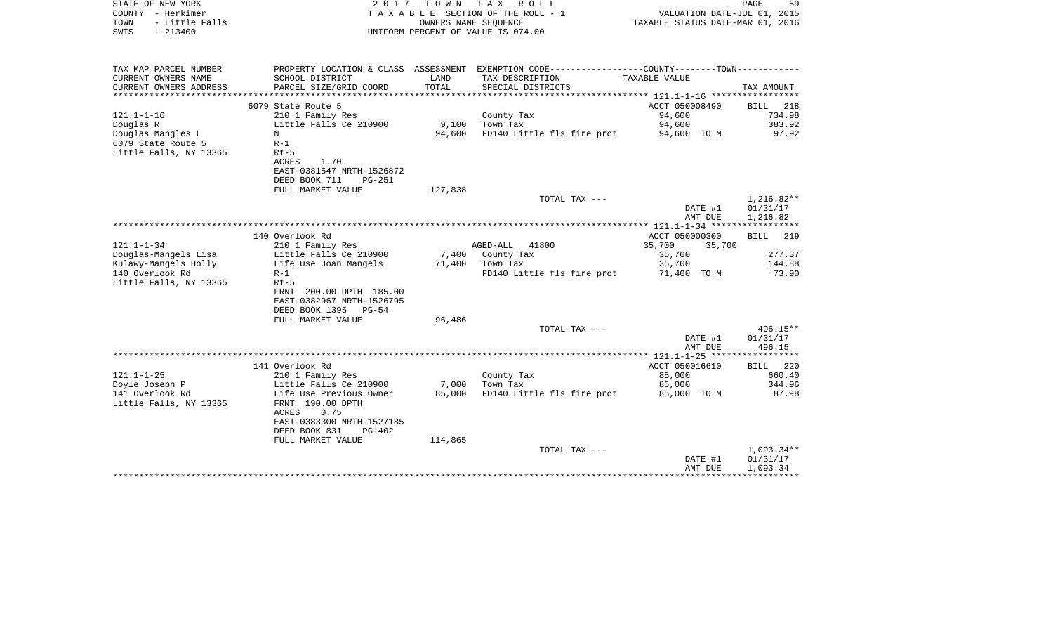| COUNTY - Herkimer<br>TOWN<br>- Little Falls<br>SWIS<br>$-213400$                     |                                                                                                         | OWNERS NAME SEOUENCE | TAXABLE SECTION OF THE ROLL - 1<br>UNIFORM PERCENT OF VALUE IS 074.00                                                                 | TAXABLE STATUS DATE-MAR 01, 2016   | VALUATION DATE-JUL 01, 2015      |
|--------------------------------------------------------------------------------------|---------------------------------------------------------------------------------------------------------|----------------------|---------------------------------------------------------------------------------------------------------------------------------------|------------------------------------|----------------------------------|
| TAX MAP PARCEL NUMBER<br>CURRENT OWNERS NAME<br>CURRENT OWNERS ADDRESS               | SCHOOL DISTRICT<br>PARCEL SIZE/GRID COORD                                                               | LAND<br>TOTAL        | PROPERTY LOCATION & CLASS ASSESSMENT EXEMPTION CODE---------------COUNTY-------TOWN----------<br>TAX DESCRIPTION<br>SPECIAL DISTRICTS | TAXABLE VALUE                      | TAX AMOUNT                       |
| 6079 State Route 5                                                                   |                                                                                                         |                      |                                                                                                                                       | ACCT 050008490                     | BILL<br>218                      |
| 121.1-1-16                                                                           | 210 1 Family Res                                                                                        |                      | County Tax                                                                                                                            | 94,600                             | 734.98                           |
| Douglas R                                                                            | Little Falls Ce 210900                                                                                  | 9,100                | Town Tax                                                                                                                              | 94,600                             | 383.92                           |
| Douglas Mangles L<br>N                                                               |                                                                                                         | 94,600               | FD140 Little fls fire prot                                                                                                            | 94,600 TO M                        | 97.92                            |
| 6079 State Route 5<br>$R-1$<br>Little Falls, NY 13365<br>$Rt-5$<br>ACRES             | 1.70<br>EAST-0381547 NRTH-1526872<br>DEED BOOK 711<br><b>PG-251</b>                                     |                      |                                                                                                                                       |                                    |                                  |
|                                                                                      | FULL MARKET VALUE                                                                                       | 127,838              | TOTAL TAX ---                                                                                                                         |                                    | $1,216.82**$                     |
|                                                                                      |                                                                                                         |                      |                                                                                                                                       | DATE #1<br>AMT DUE                 | 01/31/17<br>1,216.82             |
|                                                                                      |                                                                                                         |                      |                                                                                                                                       |                                    |                                  |
| 140 Overlook Rd<br>121.1-1-34                                                        | 210 1 Family Res                                                                                        |                      | AGED-ALL<br>41800                                                                                                                     | ACCT 050000300<br>35,700<br>35,700 | BILL<br>219                      |
| Douglas-Mangels Lisa                                                                 | Little Falls Ce 210900                                                                                  |                      | 7,400 County Tax                                                                                                                      | 35,700                             | 277.37                           |
| Kulawy-Mangels Holly<br>140 Overlook Rd<br>$R-1$<br>Little Falls, NY 13365<br>$Rt-5$ | Life Use Joan Mangels<br>FRNT 200.00 DPTH 185.00<br>EAST-0382967 NRTH-1526795<br>DEED BOOK 1395 PG-54   | 71,400               | Town Tax<br>FD140 Little fls fire prot                                                                                                | 35,700<br>71,400 TO M              | 144.88<br>73.90                  |
|                                                                                      | FULL MARKET VALUE                                                                                       | 96,486               |                                                                                                                                       |                                    |                                  |
|                                                                                      |                                                                                                         |                      | TOTAL TAX ---                                                                                                                         | DATE #1<br>AMT DUE                 | $496.15**$<br>01/31/17<br>496.15 |
|                                                                                      |                                                                                                         |                      |                                                                                                                                       |                                    |                                  |
| 141 Overlook Rd                                                                      |                                                                                                         |                      |                                                                                                                                       | ACCT 050016610                     | 220<br>BILL                      |
| 121.1-1-25                                                                           | 210 1 Family Res                                                                                        |                      | County Tax                                                                                                                            | 85,000                             | 660.40                           |
| Doyle Joseph P<br>141 Overlook Rd                                                    | Little Falls Ce 210900<br>Life Use Previous Owner                                                       | 7,000<br>85,000      | Town Tax<br>FD140 Little fls fire prot                                                                                                | 85,000<br>85,000 TO M              | 344.96<br>87.98                  |
| Little Falls, NY 13365<br>ACRES                                                      | FRNT 190.00 DPTH<br>0.75<br>EAST-0383300 NRTH-1527185<br>DEED BOOK 831<br>$PG-402$<br>FULL MARKET VALUE | 114,865              |                                                                                                                                       |                                    |                                  |
|                                                                                      |                                                                                                         |                      | TOTAL TAX ---                                                                                                                         |                                    | $1,093.34**$                     |
|                                                                                      |                                                                                                         |                      |                                                                                                                                       | DATE #1<br>AMT DUE                 | 01/31/17<br>1,093.34             |

PAGE 59

STATE OF NEW YORK **EXECUTE:**  $2017$  TOWN TAX ROLL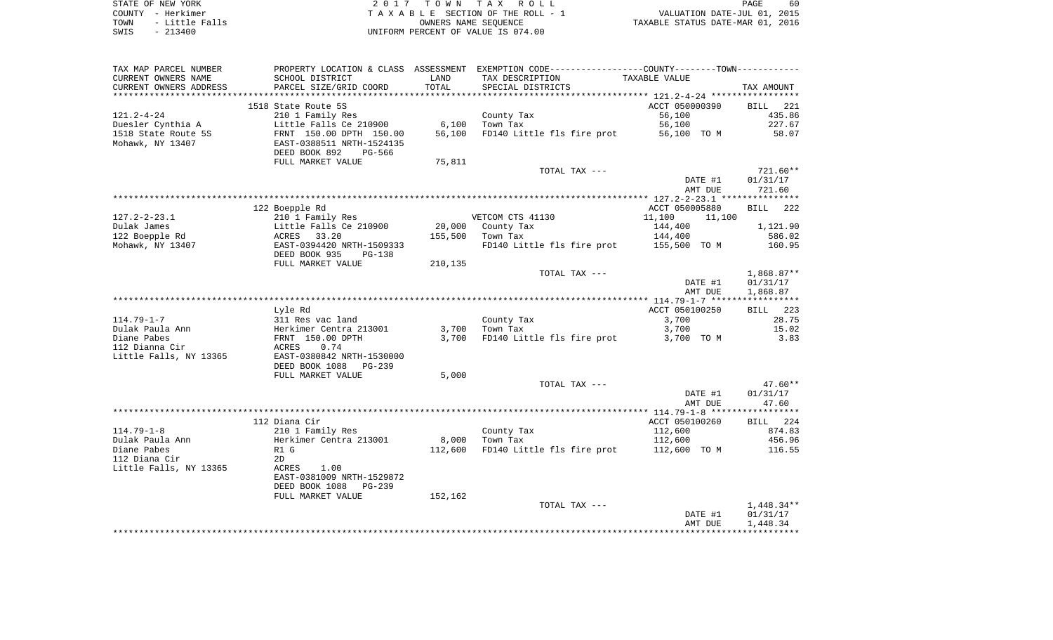| STATE OF NEW YORK |           |                |  |
|-------------------|-----------|----------------|--|
| COUNTY - Herkimer |           |                |  |
| TOWN              |           | - Little Falls |  |
| SWIS              | $-213400$ |                |  |

2017 TOWN TAX ROLL TA X A B L E SECTION OF THE ROLL - 1 TOWN - Little Falls OWNERS NAME SEQUENCE TAXABLE STATUS DATE-MAR 01, 2016 SWIS - 213400 UNIFORM PERCENT OF VALUE IS 074.00

| TAX MAP PARCEL NUMBER  |                            |         | PROPERTY LOCATION & CLASS ASSESSMENT EXEMPTION CODE----------------COUNTY-------TOWN-------- |                  |              |
|------------------------|----------------------------|---------|----------------------------------------------------------------------------------------------|------------------|--------------|
| CURRENT OWNERS NAME    | SCHOOL DISTRICT            | LAND    | TAX DESCRIPTION                                                                              | TAXABLE VALUE    |              |
| CURRENT OWNERS ADDRESS | PARCEL SIZE/GRID COORD     | TOTAL   | SPECIAL DISTRICTS                                                                            |                  | TAX AMOUNT   |
|                        |                            |         |                                                                                              |                  |              |
|                        | 1518 State Route 5S        |         |                                                                                              | ACCT 050000390   | BILL 221     |
| $121.2 - 4 - 24$       | 210 1 Family Res           |         | County Tax                                                                                   | 56,100           | 435.86       |
| Duesler Cynthia A      | Little Falls Ce 210900     | 6,100   | Town Tax                                                                                     | 56,100           | 227.67       |
| 1518 State Route 5S    | FRNT 150.00 DPTH 150.00    | 56,100  | FD140 Little fls fire prot                                                                   | 56,100 TO M      | 58.07        |
| Mohawk, NY 13407       | EAST-0388511 NRTH-1524135  |         |                                                                                              |                  |              |
|                        |                            |         |                                                                                              |                  |              |
|                        | DEED BOOK 892<br>PG-566    |         |                                                                                              |                  |              |
|                        | FULL MARKET VALUE          | 75,811  |                                                                                              |                  |              |
|                        |                            |         | TOTAL TAX ---                                                                                |                  | 721.60**     |
|                        |                            |         |                                                                                              | DATE #1          | 01/31/17     |
|                        |                            |         |                                                                                              | AMT DUE          | 721.60       |
|                        |                            |         |                                                                                              |                  |              |
|                        | 122 Boepple Rd             |         |                                                                                              | ACCT 050005880   | BILL 222     |
| $127.2 - 2 - 23.1$     | 210 1 Family Res           |         | VETCOM CTS 41130                                                                             | 11,100<br>11,100 |              |
| Dulak James            | Little Falls Ce 210900     | 20,000  | County Tax                                                                                   | 144,400          | 1,121.90     |
| 122 Boepple Rd         | ACRES<br>33.20             | 155,500 | Town Tax                                                                                     | 144,400          | 586.02       |
| Mohawk, NY 13407       | EAST-0394420 NRTH-1509333  |         | FD140 Little fls fire prot 155,500 TO M                                                      |                  | 160.95       |
|                        | DEED BOOK 935<br>PG-138    |         |                                                                                              |                  |              |
|                        | FULL MARKET VALUE          |         |                                                                                              |                  |              |
|                        |                            | 210,135 |                                                                                              |                  |              |
|                        |                            |         | TOTAL TAX ---                                                                                |                  | $1,868.87**$ |
|                        |                            |         |                                                                                              | DATE #1          | 01/31/17     |
|                        |                            |         |                                                                                              | AMT DUE          | 1,868.87     |
|                        |                            |         |                                                                                              |                  |              |
|                        | Lyle Rd                    |         |                                                                                              | ACCT 050100250   | 223<br>BILL  |
| $114.79 - 1 - 7$       | 311 Res vac land           |         | County Tax                                                                                   | 3,700            | 28.75        |
| Dulak Paula Ann        | Herkimer Centra 213001     | 3,700   | Town Tax                                                                                     | 3,700            | 15.02        |
| Diane Pabes            | FRNT 150.00 DPTH           | 3,700   | FD140 Little fls fire prot                                                                   | 3,700 TO M       | 3.83         |
| 112 Dianna Cir         | 0.74<br><b>ACRES</b>       |         |                                                                                              |                  |              |
| Little Falls, NY 13365 | EAST-0380842 NRTH-1530000  |         |                                                                                              |                  |              |
|                        | DEED BOOK 1088<br>PG-239   |         |                                                                                              |                  |              |
|                        | FULL MARKET VALUE          | 5,000   |                                                                                              |                  |              |
|                        |                            |         | TOTAL TAX ---                                                                                |                  | $47.60**$    |
|                        |                            |         |                                                                                              | DATE #1          | 01/31/17     |
|                        |                            |         |                                                                                              | AMT DUE          | 47.60        |
|                        |                            |         |                                                                                              |                  |              |
|                        | 112 Diana Cir              |         |                                                                                              | ACCT 050100260   | BILL 224     |
|                        |                            |         |                                                                                              |                  |              |
| $114.79 - 1 - 8$       | 210 1 Family Res           |         | County Tax                                                                                   | 112,600          | 874.83       |
| Dulak Paula Ann        | Herkimer Centra 213001     | 8,000   | Town Tax                                                                                     | 112,600          | 456.96       |
| Diane Pabes            | R1 G                       | 112,600 | FD140 Little fls fire prot                                                                   | 112,600 TO M     | 116.55       |
| 112 Diana Cir          | 2D                         |         |                                                                                              |                  |              |
| Little Falls, NY 13365 | 1.00<br>ACRES              |         |                                                                                              |                  |              |
|                        | EAST-0381009 NRTH-1529872  |         |                                                                                              |                  |              |
|                        | DEED BOOK 1088<br>$PG-239$ |         |                                                                                              |                  |              |
|                        | FULL MARKET VALUE          | 152,162 |                                                                                              |                  |              |
|                        |                            |         | TOTAL TAX ---                                                                                |                  | $1,448.34**$ |
|                        |                            |         |                                                                                              | DATE #1          | 01/31/17     |
|                        |                            |         |                                                                                              | AMT DUE          | 1,448.34     |
|                        |                            |         |                                                                                              |                  |              |
|                        |                            |         |                                                                                              |                  |              |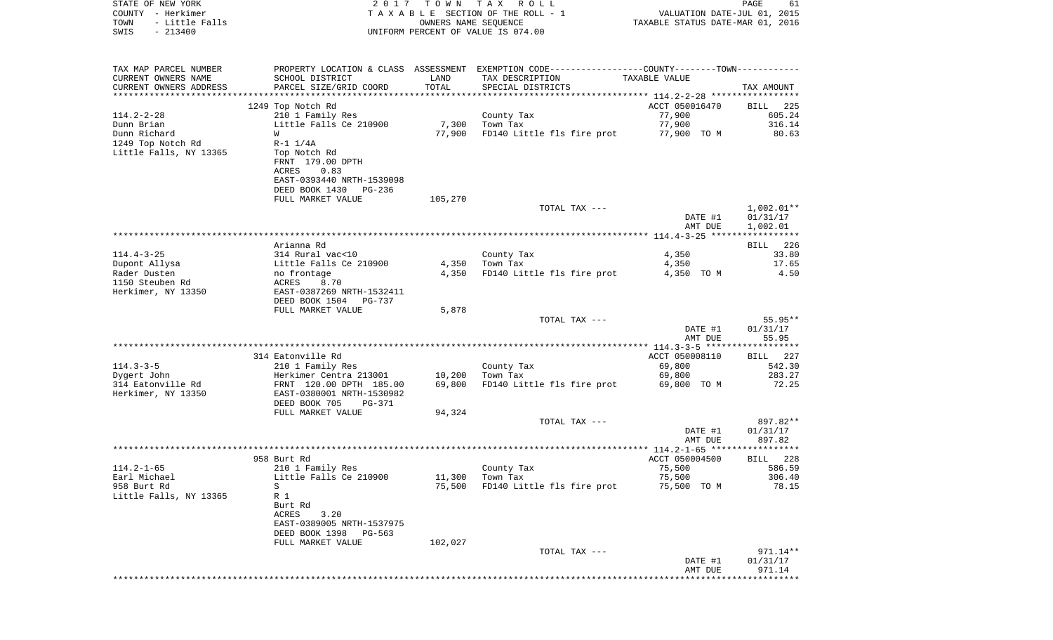| STATE OF NEW YORK<br>COUNTY - Herkimer<br>- Little Falls<br>TOWN<br>SWIS<br>$-213400$ |                                                                                                                              |         | 2017 TOWN TAX ROLL<br>TAXABLE SECTION OF THE ROLL - 1<br>OWNERS NAME SEQUENCE<br>UNIFORM PERCENT OF VALUE IS 074.00 | VALUATION DATE-JUL 01, 2015<br>TAXABLE STATUS DATE-MAR 01, 2016 | PAGE<br>61             |
|---------------------------------------------------------------------------------------|------------------------------------------------------------------------------------------------------------------------------|---------|---------------------------------------------------------------------------------------------------------------------|-----------------------------------------------------------------|------------------------|
| TAX MAP PARCEL NUMBER                                                                 |                                                                                                                              |         | PROPERTY LOCATION & CLASS ASSESSMENT EXEMPTION CODE---------------COUNTY-------TOWN----------                       |                                                                 |                        |
| CURRENT OWNERS NAME                                                                   | SCHOOL DISTRICT                                                                                                              | LAND    | TAX DESCRIPTION                                                                                                     | TAXABLE VALUE                                                   |                        |
| CURRENT OWNERS ADDRESS<br>************************                                    | PARCEL SIZE/GRID COORD                                                                                                       | TOTAL   | SPECIAL DISTRICTS                                                                                                   |                                                                 | TAX AMOUNT             |
|                                                                                       | 1249 Top Notch Rd                                                                                                            |         |                                                                                                                     | ACCT 050016470                                                  | BILL<br>225            |
| $114.2 - 2 - 28$                                                                      | 210 1 Family Res                                                                                                             |         | County Tax                                                                                                          | 77,900                                                          | 605.24                 |
| Dunn Brian                                                                            | Little Falls Ce 210900                                                                                                       |         | 7,300 Town Tax                                                                                                      | 77,900                                                          | 316.14                 |
| Dunn Richard                                                                          | W                                                                                                                            | 77,900  | FD140 Little fls fire prot                                                                                          | 77,900 TO M                                                     | 80.63                  |
| 1249 Top Notch Rd<br>Little Falls, NY 13365                                           | $R - 1$ $1/4A$<br>Top Notch Rd<br>FRNT 179.00 DPTH<br>0.83<br>ACRES<br>EAST-0393440 NRTH-1539098<br>DEED BOOK 1430<br>PG-236 |         |                                                                                                                     |                                                                 |                        |
|                                                                                       | FULL MARKET VALUE                                                                                                            | 105,270 |                                                                                                                     |                                                                 |                        |
|                                                                                       |                                                                                                                              |         | TOTAL TAX ---                                                                                                       | DATE #1                                                         | 1,002.01**<br>01/31/17 |
|                                                                                       |                                                                                                                              |         |                                                                                                                     | AMT DUE                                                         | 1,002.01               |
|                                                                                       | Arianna Rd                                                                                                                   |         |                                                                                                                     |                                                                 | 226<br>BILL            |
| $114.4 - 3 - 25$                                                                      | 314 Rural vac<10                                                                                                             |         | County Tax                                                                                                          | 4,350                                                           | 33.80                  |
| Dupont Allysa                                                                         | Little Falls Ce 210900                                                                                                       | 4,350   | Town Tax                                                                                                            | 4,350                                                           | 17.65                  |
| Rader Dusten                                                                          | no frontage                                                                                                                  |         | 4,350 FD140 Little fls fire prot                                                                                    | 4,350 TO M                                                      | 4.50                   |
| 1150 Steuben Rd<br>Herkimer, NY 13350                                                 | ACRES<br>8.70<br>EAST-0387269 NRTH-1532411<br>DEED BOOK 1504 PG-737                                                          |         |                                                                                                                     |                                                                 |                        |
|                                                                                       | FULL MARKET VALUE                                                                                                            | 5,878   |                                                                                                                     |                                                                 |                        |
|                                                                                       |                                                                                                                              |         | TOTAL TAX ---                                                                                                       |                                                                 | 55.95**                |
|                                                                                       |                                                                                                                              |         |                                                                                                                     | DATE #1<br>AMT DUE                                              | 01/31/17<br>55.95      |
|                                                                                       | 314 Eatonville Rd                                                                                                            |         |                                                                                                                     | ACCT 050008110                                                  | BILL 227               |
| $114.3 - 3 - 5$                                                                       | 210 1 Family Res                                                                                                             |         | County Tax                                                                                                          | 69,800                                                          | 542.30                 |
| Dygert John                                                                           | Herkimer Centra 213001                                                                                                       | 10,200  | Town Tax                                                                                                            | 69,800                                                          | 283.27                 |
| 314 Eatonville Rd<br>Herkimer, NY 13350                                               | FRNT 120.00 DPTH 185.00<br>EAST-0380001 NRTH-1530982<br>DEED BOOK 705<br>PG-371                                              | 69,800  | FD140 Little fls fire prot                                                                                          | 69,800 TO M                                                     | 72.25                  |
|                                                                                       | FULL MARKET VALUE                                                                                                            | 94,324  |                                                                                                                     |                                                                 |                        |
|                                                                                       |                                                                                                                              |         | TOTAL TAX ---                                                                                                       |                                                                 | 897.82**               |
|                                                                                       |                                                                                                                              |         |                                                                                                                     | DATE #1                                                         | 01/31/17               |
|                                                                                       |                                                                                                                              |         |                                                                                                                     | AMT DUE                                                         | 897.82                 |
|                                                                                       | 958 Burt Rd                                                                                                                  |         |                                                                                                                     | ACCT 050004500                                                  | BILL 228               |
| $114.2 - 1 - 65$                                                                      | 210 1 Family Res                                                                                                             |         | County Tax                                                                                                          | 75,500                                                          | 586.59                 |
| Earl Michael                                                                          | Little Falls Ce 210900                                                                                                       | 11,300  | Town Tax                                                                                                            | 75,500                                                          | 306.40                 |
| 958 Burt Rd<br>Little Falls, NY 13365                                                 | S<br>R 1<br>Burt Rd<br>ACRES<br>3.20<br>EAST-0389005 NRTH-1537975                                                            | 75,500  | FD140 Little fls fire prot                                                                                          | 75,500 TO M                                                     | 78.15                  |
|                                                                                       | DEED BOOK 1398<br>PG-563                                                                                                     |         |                                                                                                                     |                                                                 |                        |
|                                                                                       | FULL MARKET VALUE                                                                                                            | 102,027 |                                                                                                                     |                                                                 |                        |
|                                                                                       |                                                                                                                              |         |                                                                                                                     |                                                                 |                        |
|                                                                                       |                                                                                                                              |         | TOTAL TAX ---                                                                                                       | DATE #1                                                         | 971.14**<br>01/31/17   |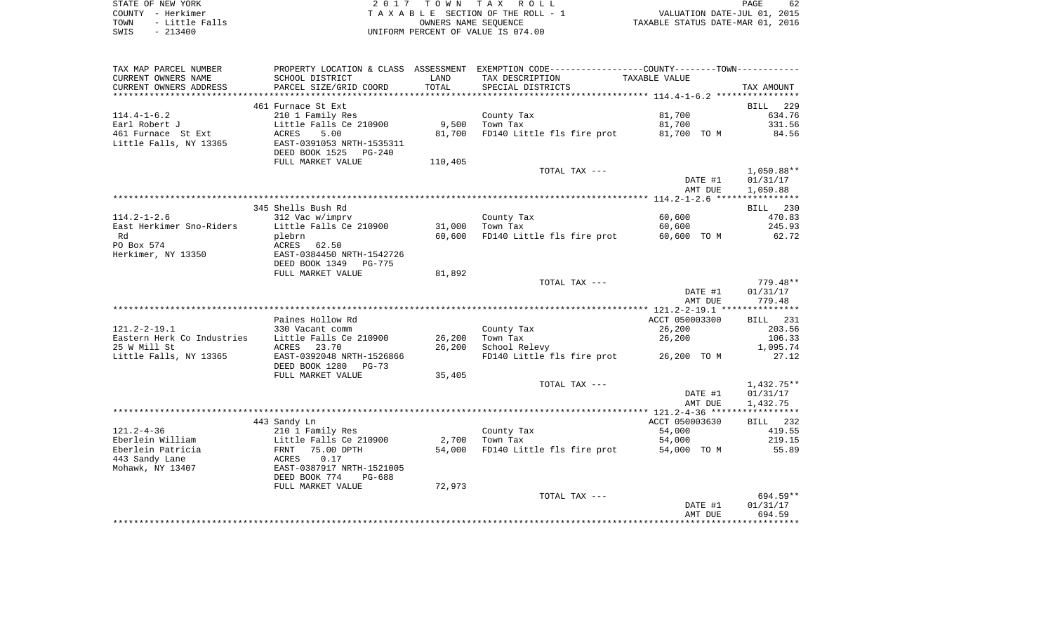| STATE OF NEW YORK |  |           |                |  |
|-------------------|--|-----------|----------------|--|
| COUNTY - Herkimer |  |           |                |  |
| TOWN              |  |           | - Little Falls |  |
| SWIS              |  | $-213400$ |                |  |

2017 TOWN TAX ROLL TA X A B L E SECTION OF THE ROLL - 1 TOWN - Little Falls OWNERS NAME SEQUENCE TAXABLE STATUS DATE-MAR 01, 2016 UNIFORM PERCENT OF VALUE IS 074.00

| TAX MAP PARCEL NUMBER                          | PROPERTY LOCATION & CLASS ASSESSMENT |         | EXEMPTION CODE-----------------COUNTY-------TOWN----------- |                |                    |
|------------------------------------------------|--------------------------------------|---------|-------------------------------------------------------------|----------------|--------------------|
| CURRENT OWNERS NAME                            | SCHOOL DISTRICT                      | LAND    | TAX DESCRIPTION                                             | TAXABLE VALUE  |                    |
| CURRENT OWNERS ADDRESS<br>******************** | PARCEL SIZE/GRID COORD               | TOTAL   | SPECIAL DISTRICTS                                           |                | TAX AMOUNT         |
|                                                |                                      |         |                                                             |                |                    |
|                                                | 461 Furnace St Ext                   |         |                                                             |                | <b>BILL</b><br>229 |
| $114.4 - 1 - 6.2$                              | 210 1 Family Res                     |         | County Tax                                                  | 81,700         | 634.76             |
| Earl Robert J                                  | Little Falls Ce 210900               | 9,500   | Town Tax                                                    | 81,700         | 331.56             |
| 461 Furnace St Ext                             | <b>ACRES</b><br>5.00                 | 81,700  | FD140 Little fls fire prot                                  | 81,700 TO M    | 84.56              |
| Little Falls, NY 13365                         | EAST-0391053 NRTH-1535311            |         |                                                             |                |                    |
|                                                | DEED BOOK 1525 PG-240                |         |                                                             |                |                    |
|                                                | FULL MARKET VALUE                    | 110,405 |                                                             |                |                    |
|                                                |                                      |         | TOTAL TAX ---                                               |                | $1,050.88**$       |
|                                                |                                      |         |                                                             | DATE #1        | 01/31/17           |
|                                                |                                      |         |                                                             | AMT DUE        | 1,050.88           |
|                                                |                                      |         |                                                             |                |                    |
|                                                | 345 Shells Bush Rd                   |         |                                                             |                | BILL 230           |
| $114.2 - 1 - 2.6$                              | 312 Vac w/imprv                      |         | County Tax                                                  | 60,600         | 470.83             |
| East Herkimer Sno-Riders                       | Little Falls Ce 210900               | 31,000  | Town Tax                                                    | 60,600         | 245.93             |
| Rd                                             | plebrn                               | 60,600  | FD140 Little fls fire prot                                  | 60,600 TO M    | 62.72              |
| PO Box 574                                     | ACRES 62.50                          |         |                                                             |                |                    |
| Herkimer, NY 13350                             | EAST-0384450 NRTH-1542726            |         |                                                             |                |                    |
|                                                | DEED BOOK 1349 PG-775                |         |                                                             |                |                    |
|                                                | FULL MARKET VALUE                    | 81,892  |                                                             |                |                    |
|                                                |                                      |         | TOTAL TAX ---                                               |                | 779.48**           |
|                                                |                                      |         |                                                             | DATE #1        | 01/31/17           |
|                                                |                                      |         |                                                             | AMT DUE        | 779.48             |
|                                                |                                      |         |                                                             |                |                    |
|                                                | Paines Hollow Rd                     |         |                                                             | ACCT 050003300 | BILL 231           |
| $121.2 - 2 - 19.1$                             | 330 Vacant comm                      |         | County Tax                                                  | 26,200         | 203.56             |
| Eastern Herk Co Industries                     | Little Falls Ce 210900               | 26,200  | Town Tax                                                    | 26,200         | 106.33             |
| 25 W Mill St                                   | ACRES 23.70                          | 26,200  | School Relevy                                               |                | 1,095.74           |
| Little Falls, NY 13365                         | EAST-0392048 NRTH-1526866            |         | FD140 Little fls fire prot                                  | 26,200 TO M    | 27.12              |
|                                                | DEED BOOK 1280 PG-73                 |         |                                                             |                |                    |
|                                                | FULL MARKET VALUE                    | 35,405  |                                                             |                |                    |
|                                                |                                      |         | TOTAL TAX ---                                               |                | 1,432.75**         |
|                                                |                                      |         |                                                             | DATE #1        | 01/31/17           |
|                                                |                                      |         |                                                             | AMT DUE        | 1,432.75           |
|                                                |                                      |         |                                                             |                |                    |
|                                                | 443 Sandy Ln                         |         |                                                             | ACCT 050003630 | BILL 232           |
| $121.2 - 4 - 36$                               | 210 1 Family Res                     |         | County Tax                                                  | 54,000         | 419.55             |
| Eberlein William                               | Little Falls Ce 210900               | 2,700   | Town Tax                                                    | 54,000         | 219.15             |
| Eberlein Patricia                              | 75.00 DPTH<br>FRNT                   | 54,000  | FD140 Little fls fire prot                                  | 54,000 TO M    | 55.89              |
| 443 Sandy Lane                                 | 0.17<br>ACRES                        |         |                                                             |                |                    |
| Mohawk, NY 13407                               | EAST-0387917 NRTH-1521005            |         |                                                             |                |                    |
|                                                | DEED BOOK 774<br>PG-688              |         |                                                             |                |                    |
|                                                | FULL MARKET VALUE                    | 72,973  |                                                             |                |                    |
|                                                |                                      |         | TOTAL TAX ---                                               |                | $694.59**$         |
|                                                |                                      |         |                                                             | DATE #1        | 01/31/17           |
|                                                |                                      |         |                                                             | AMT DUE        | 694.59             |
|                                                |                                      |         |                                                             |                |                    |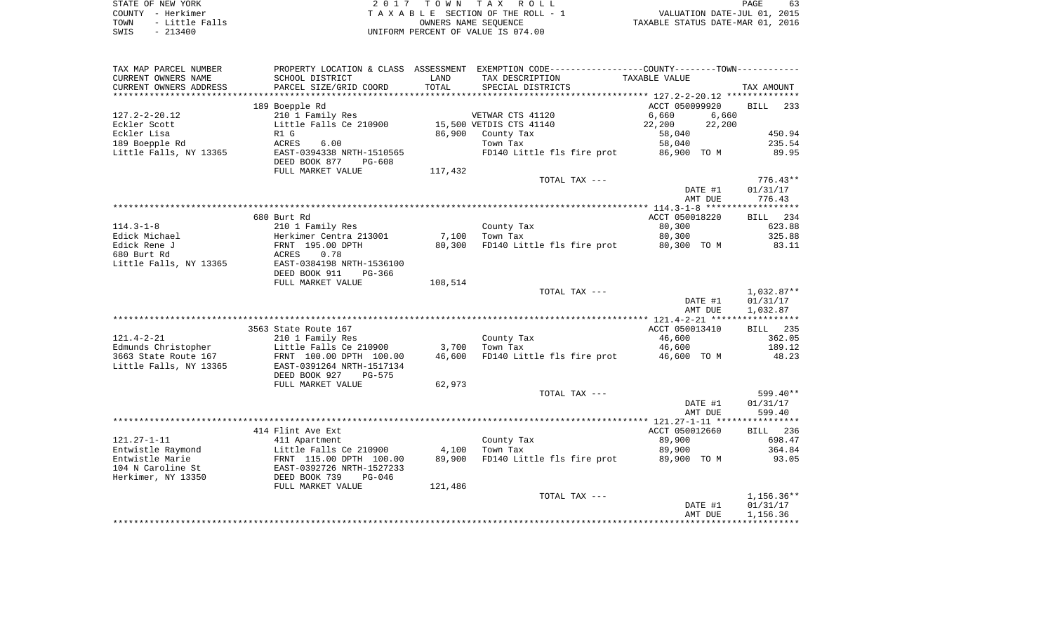| STATE OF NEW YORK      | 2017 TOWN TAX ROLL                 | 63<br>PAGE                       |
|------------------------|------------------------------------|----------------------------------|
| COUNTY - Herkimer      | TAXABLE SECTION OF THE ROLL - 1    | VALUATION DATE-JUL 01, 2015      |
| - Little Falls<br>TOWN | OWNERS NAME SEOUENCE               | TAXABLE STATUS DATE-MAR 01, 2016 |
| $-213400$<br>SWIS      | UNIFORM PERCENT OF VALUE IS 074.00 |                                  |

| TAX MAP PARCEL NUMBER         |                                                      |         | PROPERTY LOCATION & CLASS ASSESSMENT EXEMPTION CODE----------------COUNTY--------TOWN----------- |                       |                    |
|-------------------------------|------------------------------------------------------|---------|--------------------------------------------------------------------------------------------------|-----------------------|--------------------|
| CURRENT OWNERS NAME           | SCHOOL DISTRICT                                      | LAND    | TAX DESCRIPTION                                                                                  | TAXABLE VALUE         |                    |
| CURRENT OWNERS ADDRESS        | PARCEL SIZE/GRID COORD                               | TOTAL   | SPECIAL DISTRICTS                                                                                |                       | TAX AMOUNT         |
| *********************         |                                                      |         |                                                                                                  |                       |                    |
|                               | 189 Boepple Rd                                       |         |                                                                                                  | ACCT 050099920        | 233<br><b>BILL</b> |
| $127.2 - 2 - 20.12$           | 210 1 Family Res                                     |         | VETWAR CTS 41120                                                                                 | 6,660<br>6,660        |                    |
| Eckler Scott                  | Little Falls Ce 210900                               |         | 15,500 VETDIS CTS 41140                                                                          | 22,200<br>22,200      |                    |
| Eckler Lisa<br>189 Boepple Rd | R1 G<br>6.00                                         | 86,900  | County Tax<br>Town Tax                                                                           | 58,040                | 450.94<br>235.54   |
| Little Falls, NY 13365        | ACRES<br>EAST-0394338 NRTH-1510565                   |         | FD140 Little fls fire prot                                                                       | 58,040<br>86,900 TO M | 89.95              |
|                               | DEED BOOK 877<br>PG-608                              |         |                                                                                                  |                       |                    |
|                               | FULL MARKET VALUE                                    | 117,432 |                                                                                                  |                       |                    |
|                               |                                                      |         | TOTAL TAX ---                                                                                    |                       | $776.43**$         |
|                               |                                                      |         |                                                                                                  | DATE #1               | 01/31/17           |
|                               |                                                      |         |                                                                                                  | AMT DUE               | 776.43             |
|                               |                                                      |         |                                                                                                  |                       |                    |
|                               | 680 Burt Rd                                          |         |                                                                                                  | ACCT 050018220        | BILL 234           |
| $114.3 - 1 - 8$               | 210 1 Family Res                                     |         | County Tax                                                                                       | 80,300                | 623.88             |
| Edick Michael                 | Herkimer Centra 213001                               | 7,100   | Town Tax                                                                                         | 80,300                | 325.88             |
| Edick Rene J                  | FRNT 195.00 DPTH                                     | 80,300  | FD140 Little fls fire prot                                                                       | 80,300 TO M           | 83.11              |
| 680 Burt Rd                   | 0.78<br>ACRES                                        |         |                                                                                                  |                       |                    |
| Little Falls, NY 13365        | EAST-0384198 NRTH-1536100                            |         |                                                                                                  |                       |                    |
|                               | DEED BOOK 911<br>PG-366                              |         |                                                                                                  |                       |                    |
|                               | FULL MARKET VALUE                                    | 108,514 |                                                                                                  |                       |                    |
|                               |                                                      |         | TOTAL TAX ---                                                                                    |                       | 1,032.87**         |
|                               |                                                      |         |                                                                                                  | DATE #1               | 01/31/17           |
|                               |                                                      |         |                                                                                                  | AMT DUE               | 1,032.87           |
|                               | 3563 State Route 167                                 |         |                                                                                                  | ACCT 050013410        | BILL 235           |
| $121.4 - 2 - 21$              | 210 1 Family Res                                     |         | County Tax                                                                                       | 46,600                | 362.05             |
| Edmunds Christopher           | Little Falls Ce 210900                               | 3,700   | Town Tax                                                                                         | 46,600                | 189.12             |
| 3663 State Route 167          | FRNT 100.00 DPTH 100.00                              | 46,600  | FD140 Little fls fire prot                                                                       | 46,600 TO M           | 48.23              |
| Little Falls, NY 13365        | EAST-0391264 NRTH-1517134                            |         |                                                                                                  |                       |                    |
|                               | DEED BOOK 927<br>PG-575                              |         |                                                                                                  |                       |                    |
|                               | FULL MARKET VALUE                                    | 62,973  |                                                                                                  |                       |                    |
|                               |                                                      |         | TOTAL TAX ---                                                                                    |                       | 599.40**           |
|                               |                                                      |         |                                                                                                  | DATE #1               | 01/31/17           |
|                               |                                                      |         |                                                                                                  | AMT DUE               | 599.40             |
|                               |                                                      |         |                                                                                                  |                       |                    |
|                               | 414 Flint Ave Ext                                    |         |                                                                                                  | ACCT 050012660        | BILL 236           |
| $121.27 - 1 - 11$             | 411 Apartment                                        |         | County Tax                                                                                       | 89,900                | 698.47             |
| Entwistle Raymond             | Little Falls Ce 210900                               | 4,100   | Town Tax                                                                                         | 89,900                | 364.84             |
| Entwistle Marie               | FRNT 115.00 DPTH 100.00<br>EAST-0392726 NRTH-1527233 | 89,900  | FD140 Little fls fire prot                                                                       | 89,900 TO M           | 93.05              |
| 104 N Caroline St             |                                                      |         |                                                                                                  |                       |                    |
| Herkimer, NY 13350            | DEED BOOK 739<br>$PG-046$                            |         |                                                                                                  |                       |                    |
|                               | FULL MARKET VALUE                                    | 121,486 | TOTAL TAX ---                                                                                    |                       | $1,156.36**$       |
|                               |                                                      |         |                                                                                                  | DATE #1               | 01/31/17           |
|                               |                                                      |         |                                                                                                  | AMT DUE               | 1,156.36           |
|                               |                                                      |         |                                                                                                  |                       |                    |
|                               |                                                      |         |                                                                                                  |                       |                    |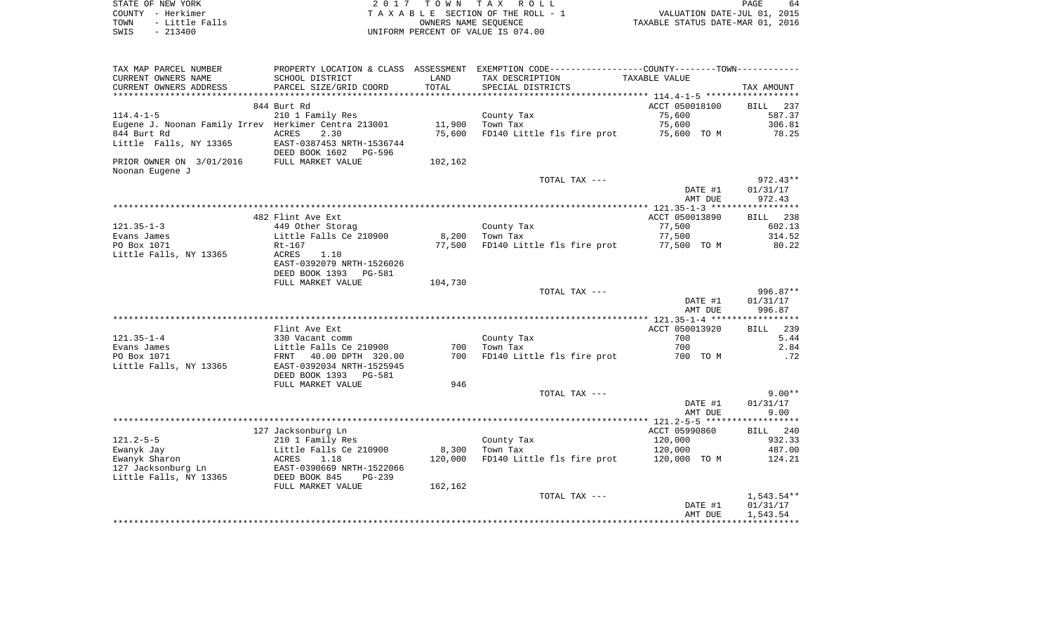| STATE OF NEW YORK |           |                |
|-------------------|-----------|----------------|
| COUNTY - Herkimer |           |                |
| TOWN              |           | - Little Falls |
| SWIS              | $-213400$ |                |

2017 TOWN TAX ROLL TA X A B L E SECTION OF THE ROLL - 1 TOWN - Little Falls OWNERS NAME SEQUENCE TAXABLE STATUS DATE-MAR 01, 2016 SWIS - 213400 UNIFORM PERCENT OF VALUE IS 074.00

| CURRENT OWNERS NAME<br>SCHOOL DISTRICT<br>TAX DESCRIPTION<br>LAND<br>TAXABLE VALUE<br>CURRENT OWNERS ADDRESS<br>PARCEL SIZE/GRID COORD<br>TOTAL<br>SPECIAL DISTRICTS<br>TAX AMOUNT<br>**********************<br>*************************<br>844 Burt Rd<br>ACCT 050018100<br>BILL<br>237<br>210 1 Family Res<br>75,600<br>587.37<br>County Tax<br>Eugene J. Noonan Family Irrev Herkimer Centra 213001<br>11,900<br>Town Tax<br>75,600<br>306.81<br><b>ACRES</b><br>2.30<br>75,600<br>FD140 Little fls fire prot<br>78.25<br>75,600 TO M<br>EAST-0387453 NRTH-1536744<br>DEED BOOK 1602 PG-596<br>PRIOR OWNER ON 3/01/2016<br>FULL MARKET VALUE<br>102,162<br>Noonan Eugene J<br>TOTAL TAX ---<br>DATE #1<br>01/31/17<br>972.43<br>AMT DUE<br>ACCT 050013890<br>482 Flint Ave Ext<br><b>BILL</b><br>238<br>$121.35 - 1 - 3$<br>77,500<br>449 Other Storag<br>County Tax<br>602.13<br>Evans James<br>Little Falls Ce 210900<br>8,200<br>77,500<br>314.52<br>Town Tax<br>PO Box 1071<br>FD140 Little fls fire prot<br>80.22<br>Rt-167<br>77,500<br>77,500 TO M<br><b>ACRES</b><br>Little Falls, NY 13365<br>1.10<br>EAST-0392079 NRTH-1526026<br>DEED BOOK 1393<br>PG-581<br>FULL MARKET VALUE<br>104,730<br>TOTAL TAX ---<br>DATE #1<br>01/31/17<br>996.87<br>AMT DUE<br>ACCT 050013920<br>239<br>Flint Ave Ext<br><b>BILL</b><br>700<br>$121.35 - 1 - 4$<br>5.44<br>330 Vacant comm<br>County Tax<br>2.84<br>700<br>700<br>Evans James<br>Little Falls Ce 210900<br>Town Tax<br>700<br>FD140 Little fls fire prot<br>PO Box 1071<br>40.00 DPTH 320.00<br>700 TO M<br>.72<br>FRNT<br>Little Falls, NY 13365<br>EAST-0392034 NRTH-1525945<br>DEED BOOK 1393 PG-581<br>FULL MARKET VALUE<br>946<br>$9.00**$<br>TOTAL TAX ---<br>01/31/17<br>DATE #1<br>9.00<br>AMT DUE<br>127 Jacksonburg Ln<br>ACCT 05990860<br>BILL 240<br>$121.2 - 5 - 5$<br>120,000<br>932.33<br>210 1 Family Res<br>County Tax<br>8,300<br>Ewanyk Jay<br>Little Falls Ce 210900<br>Town Tax<br>120,000<br>487.00<br>Ewanyk Sharon<br>ACRES<br>1.18<br>120,000<br>FD140 Little fls fire prot<br>120,000 TO M<br>124.21<br>127 Jacksonburg Ln<br>EAST-0390669 NRTH-1522066<br>Little Falls, NY 13365<br>DEED BOOK 845<br>$PG-239$<br>162,162<br>FULL MARKET VALUE<br>TOTAL TAX ---<br>01/31/17<br>DATE #1<br>1,543.54<br>AMT DUE | TAX MAP PARCEL NUMBER  | PROPERTY LOCATION & CLASS | ASSESSMENT | EXEMPTION CODE-----------------COUNTY--------TOWN----------- |  |
|---------------------------------------------------------------------------------------------------------------------------------------------------------------------------------------------------------------------------------------------------------------------------------------------------------------------------------------------------------------------------------------------------------------------------------------------------------------------------------------------------------------------------------------------------------------------------------------------------------------------------------------------------------------------------------------------------------------------------------------------------------------------------------------------------------------------------------------------------------------------------------------------------------------------------------------------------------------------------------------------------------------------------------------------------------------------------------------------------------------------------------------------------------------------------------------------------------------------------------------------------------------------------------------------------------------------------------------------------------------------------------------------------------------------------------------------------------------------------------------------------------------------------------------------------------------------------------------------------------------------------------------------------------------------------------------------------------------------------------------------------------------------------------------------------------------------------------------------------------------------------------------------------------------------------------------------------------------------------------------------------------------------------------------------------------------------------------------------------------------------------------------------------------------------------------------------------------------------------------------------------------------------------------------------------|------------------------|---------------------------|------------|--------------------------------------------------------------|--|
| $972.43**$<br>996.87**<br>1,543.54**                                                                                                                                                                                                                                                                                                                                                                                                                                                                                                                                                                                                                                                                                                                                                                                                                                                                                                                                                                                                                                                                                                                                                                                                                                                                                                                                                                                                                                                                                                                                                                                                                                                                                                                                                                                                                                                                                                                                                                                                                                                                                                                                                                                                                                                              |                        |                           |            |                                                              |  |
|                                                                                                                                                                                                                                                                                                                                                                                                                                                                                                                                                                                                                                                                                                                                                                                                                                                                                                                                                                                                                                                                                                                                                                                                                                                                                                                                                                                                                                                                                                                                                                                                                                                                                                                                                                                                                                                                                                                                                                                                                                                                                                                                                                                                                                                                                                   |                        |                           |            |                                                              |  |
|                                                                                                                                                                                                                                                                                                                                                                                                                                                                                                                                                                                                                                                                                                                                                                                                                                                                                                                                                                                                                                                                                                                                                                                                                                                                                                                                                                                                                                                                                                                                                                                                                                                                                                                                                                                                                                                                                                                                                                                                                                                                                                                                                                                                                                                                                                   |                        |                           |            |                                                              |  |
|                                                                                                                                                                                                                                                                                                                                                                                                                                                                                                                                                                                                                                                                                                                                                                                                                                                                                                                                                                                                                                                                                                                                                                                                                                                                                                                                                                                                                                                                                                                                                                                                                                                                                                                                                                                                                                                                                                                                                                                                                                                                                                                                                                                                                                                                                                   |                        |                           |            |                                                              |  |
|                                                                                                                                                                                                                                                                                                                                                                                                                                                                                                                                                                                                                                                                                                                                                                                                                                                                                                                                                                                                                                                                                                                                                                                                                                                                                                                                                                                                                                                                                                                                                                                                                                                                                                                                                                                                                                                                                                                                                                                                                                                                                                                                                                                                                                                                                                   | $114.4 - 1 - 5$        |                           |            |                                                              |  |
|                                                                                                                                                                                                                                                                                                                                                                                                                                                                                                                                                                                                                                                                                                                                                                                                                                                                                                                                                                                                                                                                                                                                                                                                                                                                                                                                                                                                                                                                                                                                                                                                                                                                                                                                                                                                                                                                                                                                                                                                                                                                                                                                                                                                                                                                                                   |                        |                           |            |                                                              |  |
|                                                                                                                                                                                                                                                                                                                                                                                                                                                                                                                                                                                                                                                                                                                                                                                                                                                                                                                                                                                                                                                                                                                                                                                                                                                                                                                                                                                                                                                                                                                                                                                                                                                                                                                                                                                                                                                                                                                                                                                                                                                                                                                                                                                                                                                                                                   | 844 Burt Rd            |                           |            |                                                              |  |
|                                                                                                                                                                                                                                                                                                                                                                                                                                                                                                                                                                                                                                                                                                                                                                                                                                                                                                                                                                                                                                                                                                                                                                                                                                                                                                                                                                                                                                                                                                                                                                                                                                                                                                                                                                                                                                                                                                                                                                                                                                                                                                                                                                                                                                                                                                   | Little Falls, NY 13365 |                           |            |                                                              |  |
|                                                                                                                                                                                                                                                                                                                                                                                                                                                                                                                                                                                                                                                                                                                                                                                                                                                                                                                                                                                                                                                                                                                                                                                                                                                                                                                                                                                                                                                                                                                                                                                                                                                                                                                                                                                                                                                                                                                                                                                                                                                                                                                                                                                                                                                                                                   |                        |                           |            |                                                              |  |
|                                                                                                                                                                                                                                                                                                                                                                                                                                                                                                                                                                                                                                                                                                                                                                                                                                                                                                                                                                                                                                                                                                                                                                                                                                                                                                                                                                                                                                                                                                                                                                                                                                                                                                                                                                                                                                                                                                                                                                                                                                                                                                                                                                                                                                                                                                   |                        |                           |            |                                                              |  |
|                                                                                                                                                                                                                                                                                                                                                                                                                                                                                                                                                                                                                                                                                                                                                                                                                                                                                                                                                                                                                                                                                                                                                                                                                                                                                                                                                                                                                                                                                                                                                                                                                                                                                                                                                                                                                                                                                                                                                                                                                                                                                                                                                                                                                                                                                                   |                        |                           |            |                                                              |  |
|                                                                                                                                                                                                                                                                                                                                                                                                                                                                                                                                                                                                                                                                                                                                                                                                                                                                                                                                                                                                                                                                                                                                                                                                                                                                                                                                                                                                                                                                                                                                                                                                                                                                                                                                                                                                                                                                                                                                                                                                                                                                                                                                                                                                                                                                                                   |                        |                           |            |                                                              |  |
|                                                                                                                                                                                                                                                                                                                                                                                                                                                                                                                                                                                                                                                                                                                                                                                                                                                                                                                                                                                                                                                                                                                                                                                                                                                                                                                                                                                                                                                                                                                                                                                                                                                                                                                                                                                                                                                                                                                                                                                                                                                                                                                                                                                                                                                                                                   |                        |                           |            |                                                              |  |
|                                                                                                                                                                                                                                                                                                                                                                                                                                                                                                                                                                                                                                                                                                                                                                                                                                                                                                                                                                                                                                                                                                                                                                                                                                                                                                                                                                                                                                                                                                                                                                                                                                                                                                                                                                                                                                                                                                                                                                                                                                                                                                                                                                                                                                                                                                   |                        |                           |            |                                                              |  |
|                                                                                                                                                                                                                                                                                                                                                                                                                                                                                                                                                                                                                                                                                                                                                                                                                                                                                                                                                                                                                                                                                                                                                                                                                                                                                                                                                                                                                                                                                                                                                                                                                                                                                                                                                                                                                                                                                                                                                                                                                                                                                                                                                                                                                                                                                                   |                        |                           |            |                                                              |  |
|                                                                                                                                                                                                                                                                                                                                                                                                                                                                                                                                                                                                                                                                                                                                                                                                                                                                                                                                                                                                                                                                                                                                                                                                                                                                                                                                                                                                                                                                                                                                                                                                                                                                                                                                                                                                                                                                                                                                                                                                                                                                                                                                                                                                                                                                                                   |                        |                           |            |                                                              |  |
|                                                                                                                                                                                                                                                                                                                                                                                                                                                                                                                                                                                                                                                                                                                                                                                                                                                                                                                                                                                                                                                                                                                                                                                                                                                                                                                                                                                                                                                                                                                                                                                                                                                                                                                                                                                                                                                                                                                                                                                                                                                                                                                                                                                                                                                                                                   |                        |                           |            |                                                              |  |
|                                                                                                                                                                                                                                                                                                                                                                                                                                                                                                                                                                                                                                                                                                                                                                                                                                                                                                                                                                                                                                                                                                                                                                                                                                                                                                                                                                                                                                                                                                                                                                                                                                                                                                                                                                                                                                                                                                                                                                                                                                                                                                                                                                                                                                                                                                   |                        |                           |            |                                                              |  |
|                                                                                                                                                                                                                                                                                                                                                                                                                                                                                                                                                                                                                                                                                                                                                                                                                                                                                                                                                                                                                                                                                                                                                                                                                                                                                                                                                                                                                                                                                                                                                                                                                                                                                                                                                                                                                                                                                                                                                                                                                                                                                                                                                                                                                                                                                                   |                        |                           |            |                                                              |  |
|                                                                                                                                                                                                                                                                                                                                                                                                                                                                                                                                                                                                                                                                                                                                                                                                                                                                                                                                                                                                                                                                                                                                                                                                                                                                                                                                                                                                                                                                                                                                                                                                                                                                                                                                                                                                                                                                                                                                                                                                                                                                                                                                                                                                                                                                                                   |                        |                           |            |                                                              |  |
|                                                                                                                                                                                                                                                                                                                                                                                                                                                                                                                                                                                                                                                                                                                                                                                                                                                                                                                                                                                                                                                                                                                                                                                                                                                                                                                                                                                                                                                                                                                                                                                                                                                                                                                                                                                                                                                                                                                                                                                                                                                                                                                                                                                                                                                                                                   |                        |                           |            |                                                              |  |
|                                                                                                                                                                                                                                                                                                                                                                                                                                                                                                                                                                                                                                                                                                                                                                                                                                                                                                                                                                                                                                                                                                                                                                                                                                                                                                                                                                                                                                                                                                                                                                                                                                                                                                                                                                                                                                                                                                                                                                                                                                                                                                                                                                                                                                                                                                   |                        |                           |            |                                                              |  |
|                                                                                                                                                                                                                                                                                                                                                                                                                                                                                                                                                                                                                                                                                                                                                                                                                                                                                                                                                                                                                                                                                                                                                                                                                                                                                                                                                                                                                                                                                                                                                                                                                                                                                                                                                                                                                                                                                                                                                                                                                                                                                                                                                                                                                                                                                                   |                        |                           |            |                                                              |  |
|                                                                                                                                                                                                                                                                                                                                                                                                                                                                                                                                                                                                                                                                                                                                                                                                                                                                                                                                                                                                                                                                                                                                                                                                                                                                                                                                                                                                                                                                                                                                                                                                                                                                                                                                                                                                                                                                                                                                                                                                                                                                                                                                                                                                                                                                                                   |                        |                           |            |                                                              |  |
|                                                                                                                                                                                                                                                                                                                                                                                                                                                                                                                                                                                                                                                                                                                                                                                                                                                                                                                                                                                                                                                                                                                                                                                                                                                                                                                                                                                                                                                                                                                                                                                                                                                                                                                                                                                                                                                                                                                                                                                                                                                                                                                                                                                                                                                                                                   |                        |                           |            |                                                              |  |
|                                                                                                                                                                                                                                                                                                                                                                                                                                                                                                                                                                                                                                                                                                                                                                                                                                                                                                                                                                                                                                                                                                                                                                                                                                                                                                                                                                                                                                                                                                                                                                                                                                                                                                                                                                                                                                                                                                                                                                                                                                                                                                                                                                                                                                                                                                   |                        |                           |            |                                                              |  |
|                                                                                                                                                                                                                                                                                                                                                                                                                                                                                                                                                                                                                                                                                                                                                                                                                                                                                                                                                                                                                                                                                                                                                                                                                                                                                                                                                                                                                                                                                                                                                                                                                                                                                                                                                                                                                                                                                                                                                                                                                                                                                                                                                                                                                                                                                                   |                        |                           |            |                                                              |  |
|                                                                                                                                                                                                                                                                                                                                                                                                                                                                                                                                                                                                                                                                                                                                                                                                                                                                                                                                                                                                                                                                                                                                                                                                                                                                                                                                                                                                                                                                                                                                                                                                                                                                                                                                                                                                                                                                                                                                                                                                                                                                                                                                                                                                                                                                                                   |                        |                           |            |                                                              |  |
|                                                                                                                                                                                                                                                                                                                                                                                                                                                                                                                                                                                                                                                                                                                                                                                                                                                                                                                                                                                                                                                                                                                                                                                                                                                                                                                                                                                                                                                                                                                                                                                                                                                                                                                                                                                                                                                                                                                                                                                                                                                                                                                                                                                                                                                                                                   |                        |                           |            |                                                              |  |
|                                                                                                                                                                                                                                                                                                                                                                                                                                                                                                                                                                                                                                                                                                                                                                                                                                                                                                                                                                                                                                                                                                                                                                                                                                                                                                                                                                                                                                                                                                                                                                                                                                                                                                                                                                                                                                                                                                                                                                                                                                                                                                                                                                                                                                                                                                   |                        |                           |            |                                                              |  |
|                                                                                                                                                                                                                                                                                                                                                                                                                                                                                                                                                                                                                                                                                                                                                                                                                                                                                                                                                                                                                                                                                                                                                                                                                                                                                                                                                                                                                                                                                                                                                                                                                                                                                                                                                                                                                                                                                                                                                                                                                                                                                                                                                                                                                                                                                                   |                        |                           |            |                                                              |  |
|                                                                                                                                                                                                                                                                                                                                                                                                                                                                                                                                                                                                                                                                                                                                                                                                                                                                                                                                                                                                                                                                                                                                                                                                                                                                                                                                                                                                                                                                                                                                                                                                                                                                                                                                                                                                                                                                                                                                                                                                                                                                                                                                                                                                                                                                                                   |                        |                           |            |                                                              |  |
|                                                                                                                                                                                                                                                                                                                                                                                                                                                                                                                                                                                                                                                                                                                                                                                                                                                                                                                                                                                                                                                                                                                                                                                                                                                                                                                                                                                                                                                                                                                                                                                                                                                                                                                                                                                                                                                                                                                                                                                                                                                                                                                                                                                                                                                                                                   |                        |                           |            |                                                              |  |
|                                                                                                                                                                                                                                                                                                                                                                                                                                                                                                                                                                                                                                                                                                                                                                                                                                                                                                                                                                                                                                                                                                                                                                                                                                                                                                                                                                                                                                                                                                                                                                                                                                                                                                                                                                                                                                                                                                                                                                                                                                                                                                                                                                                                                                                                                                   |                        |                           |            |                                                              |  |
|                                                                                                                                                                                                                                                                                                                                                                                                                                                                                                                                                                                                                                                                                                                                                                                                                                                                                                                                                                                                                                                                                                                                                                                                                                                                                                                                                                                                                                                                                                                                                                                                                                                                                                                                                                                                                                                                                                                                                                                                                                                                                                                                                                                                                                                                                                   |                        |                           |            |                                                              |  |
|                                                                                                                                                                                                                                                                                                                                                                                                                                                                                                                                                                                                                                                                                                                                                                                                                                                                                                                                                                                                                                                                                                                                                                                                                                                                                                                                                                                                                                                                                                                                                                                                                                                                                                                                                                                                                                                                                                                                                                                                                                                                                                                                                                                                                                                                                                   |                        |                           |            |                                                              |  |
|                                                                                                                                                                                                                                                                                                                                                                                                                                                                                                                                                                                                                                                                                                                                                                                                                                                                                                                                                                                                                                                                                                                                                                                                                                                                                                                                                                                                                                                                                                                                                                                                                                                                                                                                                                                                                                                                                                                                                                                                                                                                                                                                                                                                                                                                                                   |                        |                           |            |                                                              |  |
|                                                                                                                                                                                                                                                                                                                                                                                                                                                                                                                                                                                                                                                                                                                                                                                                                                                                                                                                                                                                                                                                                                                                                                                                                                                                                                                                                                                                                                                                                                                                                                                                                                                                                                                                                                                                                                                                                                                                                                                                                                                                                                                                                                                                                                                                                                   |                        |                           |            |                                                              |  |
|                                                                                                                                                                                                                                                                                                                                                                                                                                                                                                                                                                                                                                                                                                                                                                                                                                                                                                                                                                                                                                                                                                                                                                                                                                                                                                                                                                                                                                                                                                                                                                                                                                                                                                                                                                                                                                                                                                                                                                                                                                                                                                                                                                                                                                                                                                   |                        |                           |            |                                                              |  |
|                                                                                                                                                                                                                                                                                                                                                                                                                                                                                                                                                                                                                                                                                                                                                                                                                                                                                                                                                                                                                                                                                                                                                                                                                                                                                                                                                                                                                                                                                                                                                                                                                                                                                                                                                                                                                                                                                                                                                                                                                                                                                                                                                                                                                                                                                                   |                        |                           |            |                                                              |  |
|                                                                                                                                                                                                                                                                                                                                                                                                                                                                                                                                                                                                                                                                                                                                                                                                                                                                                                                                                                                                                                                                                                                                                                                                                                                                                                                                                                                                                                                                                                                                                                                                                                                                                                                                                                                                                                                                                                                                                                                                                                                                                                                                                                                                                                                                                                   |                        |                           |            |                                                              |  |
|                                                                                                                                                                                                                                                                                                                                                                                                                                                                                                                                                                                                                                                                                                                                                                                                                                                                                                                                                                                                                                                                                                                                                                                                                                                                                                                                                                                                                                                                                                                                                                                                                                                                                                                                                                                                                                                                                                                                                                                                                                                                                                                                                                                                                                                                                                   |                        |                           |            |                                                              |  |
|                                                                                                                                                                                                                                                                                                                                                                                                                                                                                                                                                                                                                                                                                                                                                                                                                                                                                                                                                                                                                                                                                                                                                                                                                                                                                                                                                                                                                                                                                                                                                                                                                                                                                                                                                                                                                                                                                                                                                                                                                                                                                                                                                                                                                                                                                                   |                        |                           |            |                                                              |  |
|                                                                                                                                                                                                                                                                                                                                                                                                                                                                                                                                                                                                                                                                                                                                                                                                                                                                                                                                                                                                                                                                                                                                                                                                                                                                                                                                                                                                                                                                                                                                                                                                                                                                                                                                                                                                                                                                                                                                                                                                                                                                                                                                                                                                                                                                                                   |                        |                           |            |                                                              |  |
|                                                                                                                                                                                                                                                                                                                                                                                                                                                                                                                                                                                                                                                                                                                                                                                                                                                                                                                                                                                                                                                                                                                                                                                                                                                                                                                                                                                                                                                                                                                                                                                                                                                                                                                                                                                                                                                                                                                                                                                                                                                                                                                                                                                                                                                                                                   |                        |                           |            |                                                              |  |
|                                                                                                                                                                                                                                                                                                                                                                                                                                                                                                                                                                                                                                                                                                                                                                                                                                                                                                                                                                                                                                                                                                                                                                                                                                                                                                                                                                                                                                                                                                                                                                                                                                                                                                                                                                                                                                                                                                                                                                                                                                                                                                                                                                                                                                                                                                   |                        |                           |            |                                                              |  |
|                                                                                                                                                                                                                                                                                                                                                                                                                                                                                                                                                                                                                                                                                                                                                                                                                                                                                                                                                                                                                                                                                                                                                                                                                                                                                                                                                                                                                                                                                                                                                                                                                                                                                                                                                                                                                                                                                                                                                                                                                                                                                                                                                                                                                                                                                                   |                        |                           |            |                                                              |  |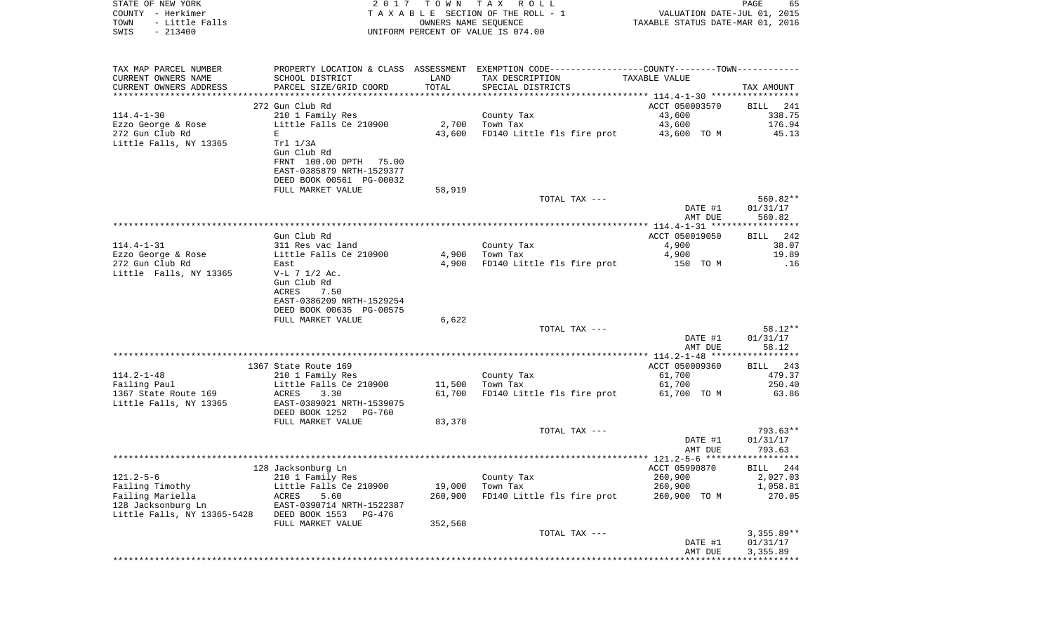| STATE OF NEW YORK<br>COUNTY - Herkimer<br>- Little Falls<br>TOWN | 2017                                          | T O W N<br>OWNERS NAME SEQUENCE | TAX ROLL<br>TAXABLE SECTION OF THE ROLL - 1                                                   | VALUATION DATE-JUL 01, 2015<br>TAXABLE STATUS DATE-MAR 01, 2016 | PAGE<br>65            |
|------------------------------------------------------------------|-----------------------------------------------|---------------------------------|-----------------------------------------------------------------------------------------------|-----------------------------------------------------------------|-----------------------|
| $-213400$<br>SWIS                                                |                                               |                                 | UNIFORM PERCENT OF VALUE IS 074.00                                                            |                                                                 |                       |
| TAX MAP PARCEL NUMBER                                            |                                               |                                 | PROPERTY LOCATION & CLASS ASSESSMENT EXEMPTION CODE---------------COUNTY-------TOWN---------- |                                                                 |                       |
| CURRENT OWNERS NAME                                              | SCHOOL DISTRICT                               | LAND                            | TAX DESCRIPTION                                                                               | TAXABLE VALUE                                                   |                       |
| CURRENT OWNERS ADDRESS                                           | PARCEL SIZE/GRID COORD                        | TOTAL                           | SPECIAL DISTRICTS                                                                             |                                                                 | TAX AMOUNT            |
| ************************                                         |                                               |                                 |                                                                                               |                                                                 |                       |
| $114.4 - 1 - 30$                                                 | 272 Gun Club Rd                               |                                 | County Tax                                                                                    | ACCT 050003570<br>43,600                                        | BILL<br>241<br>338.75 |
| Ezzo George & Rose                                               | 210 1 Family Res<br>Little Falls Ce 210900    | 2,700                           | Town Tax                                                                                      | 43,600                                                          | 176.94                |
| 272 Gun Club Rd                                                  | Е                                             | 43,600                          | FD140 Little fls fire prot                                                                    | 43,600 TO M                                                     | 45.13                 |
| Little Falls, NY 13365                                           | Trl 1/3A                                      |                                 |                                                                                               |                                                                 |                       |
|                                                                  | Gun Club Rd                                   |                                 |                                                                                               |                                                                 |                       |
|                                                                  | FRNT 100.00 DPTH 75.00                        |                                 |                                                                                               |                                                                 |                       |
|                                                                  | EAST-0385879 NRTH-1529377                     |                                 |                                                                                               |                                                                 |                       |
|                                                                  | DEED BOOK 00561 PG-00032<br>FULL MARKET VALUE | 58,919                          |                                                                                               |                                                                 |                       |
|                                                                  |                                               |                                 | TOTAL TAX ---                                                                                 |                                                                 | 560.82**              |
|                                                                  |                                               |                                 |                                                                                               | DATE #1                                                         | 01/31/17              |
|                                                                  |                                               |                                 |                                                                                               | AMT DUE                                                         | 560.82                |
|                                                                  |                                               |                                 |                                                                                               |                                                                 |                       |
|                                                                  | Gun Club Rd                                   |                                 |                                                                                               | ACCT 050019050                                                  | - 242<br>BILL         |
| $114.4 - 1 - 31$                                                 | 311 Res vac land                              |                                 | County Tax                                                                                    | 4,900                                                           | 38.07                 |
| Ezzo George & Rose<br>272 Gun Club Rd                            | Little Falls Ce 210900<br>East                | 4,900<br>4,900                  | Town Tax<br>FD140 Little fls fire prot                                                        | 4,900<br>150 TO M                                               | 19.89<br>.16          |
| Little Falls, NY 13365                                           | $V-L$ 7 $1/2$ Ac.                             |                                 |                                                                                               |                                                                 |                       |
|                                                                  | Gun Club Rd                                   |                                 |                                                                                               |                                                                 |                       |
|                                                                  | ACRES<br>7.50                                 |                                 |                                                                                               |                                                                 |                       |
|                                                                  | EAST-0386209 NRTH-1529254                     |                                 |                                                                                               |                                                                 |                       |
|                                                                  | DEED BOOK 00635 PG-00575                      |                                 |                                                                                               |                                                                 |                       |
|                                                                  | FULL MARKET VALUE                             | 6,622                           | TOTAL TAX ---                                                                                 |                                                                 | 58.12**               |
|                                                                  |                                               |                                 |                                                                                               | DATE #1                                                         | 01/31/17              |
|                                                                  |                                               |                                 |                                                                                               | AMT DUE                                                         | 58.12                 |
|                                                                  |                                               |                                 |                                                                                               | ****************** 114.2-1-48 ******************                |                       |
|                                                                  | 1367 State Route 169                          |                                 |                                                                                               | ACCT 050009360                                                  | BILL 243              |
| $114.2 - 1 - 48$                                                 | 210 1 Family Res                              |                                 | County Tax                                                                                    | 61,700                                                          | 479.37                |
| Failing Paul                                                     | Little Falls Ce 210900                        | 11,500                          | Town Tax                                                                                      | 61,700                                                          | 250.40                |
| 1367 State Route 169<br>Little Falls, NY 13365                   | ACRES<br>3.30<br>EAST-0389021 NRTH-1539075    | 61,700                          | FD140 Little fls fire prot                                                                    | 61,700 TO M                                                     | 63.86                 |
|                                                                  | DEED BOOK 1252 PG-760                         |                                 |                                                                                               |                                                                 |                       |
|                                                                  | FULL MARKET VALUE                             | 83,378                          |                                                                                               |                                                                 |                       |
|                                                                  |                                               |                                 | TOTAL TAX ---                                                                                 |                                                                 | 793.63**              |
|                                                                  |                                               |                                 |                                                                                               | DATE #1                                                         | 01/31/17              |
|                                                                  |                                               |                                 |                                                                                               | AMT DUE                                                         | 793.63                |
|                                                                  |                                               |                                 |                                                                                               |                                                                 |                       |
| $121.2 - 5 - 6$                                                  | 128 Jacksonburg Ln<br>210 1 Family Res        |                                 | County Tax                                                                                    | ACCT 05990870<br>260,900                                        | BILL 244<br>2,027.03  |
| Failing Timothy                                                  | Little Falls Ce 210900                        | 19,000                          | Town Tax                                                                                      | 260,900                                                         | 1,058.81              |
| Failing Mariella                                                 | <b>ACRES</b><br>5.60                          | 260,900                         | FD140 Little fls fire prot                                                                    | 260,900 TO M                                                    | 270.05                |
| 128 Jacksonburg Ln                                               | EAST-0390714 NRTH-1522387                     |                                 |                                                                                               |                                                                 |                       |
| Little Falls, NY 13365-5428                                      | DEED BOOK 1553<br>PG-476                      |                                 |                                                                                               |                                                                 |                       |
|                                                                  | FULL MARKET VALUE                             | 352,568                         |                                                                                               |                                                                 |                       |
|                                                                  |                                               |                                 | TOTAL TAX ---                                                                                 |                                                                 | $3,355.89**$          |
|                                                                  |                                               |                                 |                                                                                               | DATE #1<br>AMT DUE                                              | 01/31/17<br>3,355.89  |
|                                                                  |                                               |                                 |                                                                                               |                                                                 |                       |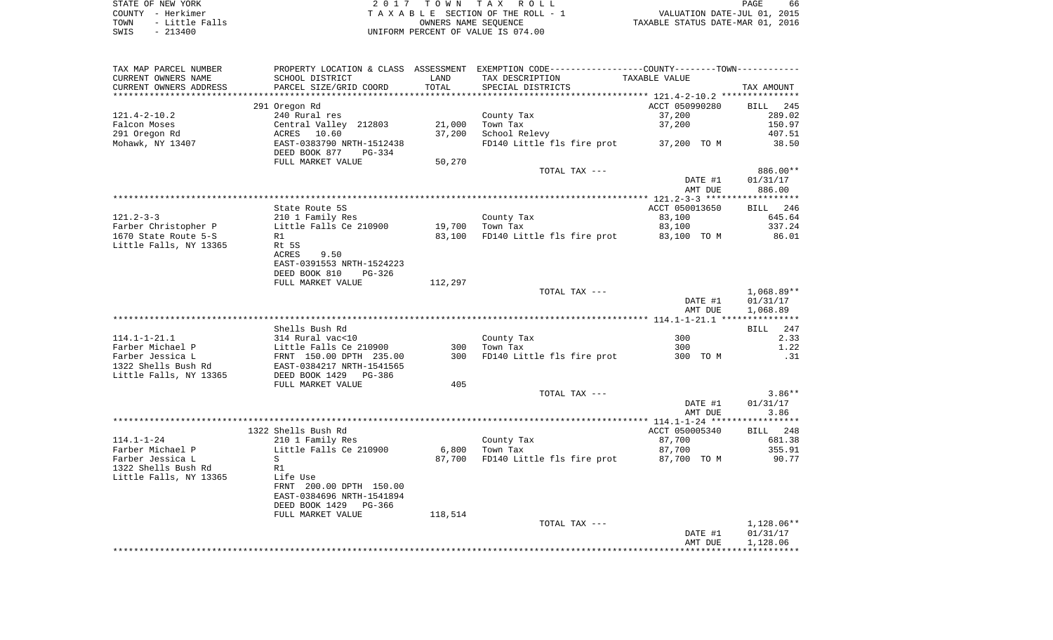STATE OF NEW YORK 2 0 1 7 T O W N T A X R O L L PAGE 66COUNTY - Herkimer<br>
T A X A B L E SECTION OF THE ROLL - 1<br>
TOWN - Little Falls<br>
SWIS - 213400<br>
COUNTER DRIFORM PERCENT OF VALUE IS 074.00 UNIFORM PERCENT OF VALUE IS 074.00

PAGE 66 TO A MOVE AND THE ROLL - 1 WALUATION DATE-JUL 01, 2015<br>
UNITE SECTION OF THE ROLL - 1 TAXABLE STATUS DATE-MAR 01, 2016

| TAX MAP PARCEL NUMBER                   | PROPERTY LOCATION & CLASS ASSESSMENT EXEMPTION CODE---------------COUNTY-------TOWN---------- |         |                            |                |                    |
|-----------------------------------------|-----------------------------------------------------------------------------------------------|---------|----------------------------|----------------|--------------------|
| CURRENT OWNERS NAME                     | SCHOOL DISTRICT                                                                               | LAND    | TAX DESCRIPTION            | TAXABLE VALUE  |                    |
| CURRENT OWNERS ADDRESS                  | PARCEL SIZE/GRID COORD                                                                        | TOTAL   | SPECIAL DISTRICTS          |                | TAX AMOUNT         |
|                                         |                                                                                               |         |                            |                |                    |
|                                         | 291 Oregon Rd                                                                                 |         |                            | ACCT 050990280 | BILL<br>245        |
| $121.4 - 2 - 10.2$                      | 240 Rural res                                                                                 |         | County Tax                 | 37,200         | 289.02             |
| Falcon Moses                            | Central Valley 212803                                                                         | 21,000  | Town Tax                   | 37,200         | 150.97             |
| 291 Oregon Rd                           | 10.60<br>ACRES                                                                                | 37,200  | School Relevy              |                | 407.51             |
| Mohawk, NY 13407                        | EAST-0383790 NRTH-1512438<br>DEED BOOK 877<br>PG-334                                          |         | FD140 Little fls fire prot | 37,200 TO M    | 38.50              |
|                                         | FULL MARKET VALUE                                                                             | 50,270  |                            |                |                    |
|                                         |                                                                                               |         | TOTAL TAX ---              |                | 886.00**           |
|                                         |                                                                                               |         |                            | DATE #1        | 01/31/17           |
|                                         |                                                                                               |         |                            | AMT DUE        | 886.00             |
|                                         |                                                                                               |         |                            |                |                    |
|                                         | State Route 5S                                                                                |         |                            | ACCT 050013650 | BILL 246           |
| $121.2 - 3 - 3$                         | 210 1 Family Res                                                                              |         | County Tax                 | 83,100         | 645.64             |
| Farber Christopher P                    | Little Falls Ce 210900                                                                        | 19,700  | Town Tax                   | 83,100         | 337.24             |
| 1670 State Route 5-S                    | R1                                                                                            | 83,100  | FD140 Little fls fire prot | 83,100 TO M    | 86.01              |
| Little Falls, NY 13365                  | Rt 5S                                                                                         |         |                            |                |                    |
|                                         | ACRES<br>9.50                                                                                 |         |                            |                |                    |
|                                         | EAST-0391553 NRTH-1524223                                                                     |         |                            |                |                    |
|                                         | DEED BOOK 810<br>$PG-326$                                                                     |         |                            |                |                    |
|                                         | FULL MARKET VALUE                                                                             | 112,297 |                            |                |                    |
|                                         |                                                                                               |         | TOTAL TAX ---              |                | $1,068.89**$       |
|                                         |                                                                                               |         |                            | DATE #1        | 01/31/17           |
|                                         |                                                                                               |         |                            | AMT DUE        | 1,068.89           |
|                                         |                                                                                               |         |                            |                |                    |
|                                         | Shells Bush Rd                                                                                |         |                            |                | BILL<br>247        |
| $114.1 - 1 - 21.1$                      | 314 Rural vac<10                                                                              |         | County Tax                 | 300            | 2.33               |
| Farber Michael P                        | Little Falls Ce 210900                                                                        | 300     | Town Tax                   | 300            | 1.22               |
| Farber Jessica L<br>1322 Shells Bush Rd | FRNT 150.00 DPTH 235.00                                                                       | 300     | FD140 Little fls fire prot | 300 TO M       | .31                |
| Little Falls, NY 13365                  | EAST-0384217 NRTH-1541565<br>DEED BOOK 1429<br>$PG-386$                                       |         |                            |                |                    |
|                                         | FULL MARKET VALUE                                                                             | 405     |                            |                |                    |
|                                         |                                                                                               |         | TOTAL TAX ---              |                | $3.86**$           |
|                                         |                                                                                               |         |                            | DATE #1        | 01/31/17           |
|                                         |                                                                                               |         |                            | AMT DUE        | 3.86               |
|                                         |                                                                                               |         |                            |                |                    |
|                                         | 1322 Shells Bush Rd                                                                           |         |                            | ACCT 050005340 | 248<br><b>BILL</b> |
| $114.1 - 1 - 24$                        | 210 1 Family Res                                                                              |         | County Tax                 | 87,700         | 681.38             |
| Farber Michael P                        | Little Falls Ce 210900                                                                        | 6,800   | Town Tax                   | 87,700         | 355.91             |
| Farber Jessica L                        | S                                                                                             | 87,700  | FD140 Little fls fire prot | 87,700 TO M    | 90.77              |
| 1322 Shells Bush Rd                     | R1                                                                                            |         |                            |                |                    |
| Little Falls, NY 13365                  | Life Use                                                                                      |         |                            |                |                    |
|                                         | FRNT 200.00 DPTH 150.00                                                                       |         |                            |                |                    |
|                                         | EAST-0384696 NRTH-1541894                                                                     |         |                            |                |                    |
|                                         | DEED BOOK 1429 PG-366                                                                         |         |                            |                |                    |
|                                         | FULL MARKET VALUE                                                                             | 118,514 |                            |                |                    |
|                                         |                                                                                               |         | TOTAL TAX ---              |                | $1,128.06**$       |
|                                         |                                                                                               |         |                            | DATE #1        | 01/31/17           |
|                                         |                                                                                               |         |                            | AMT DUE        | 1,128.06           |
|                                         |                                                                                               |         |                            |                |                    |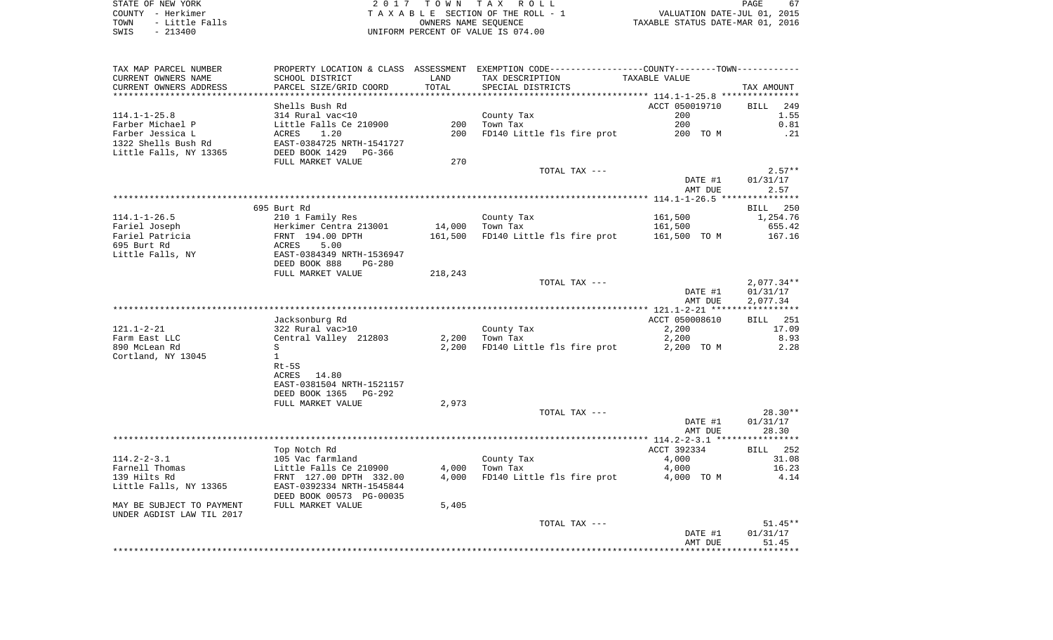STATE OF NEW YORK **EXECUTE:** A 2 0 1 7 T O W N T A X R O L L COUNTY - Herkimer<br>
T A X A B L E SECTION OF THE ROLL - 1<br>
TOWN - Little Falls<br>
SWIS - 213400 - 2013400 - UNIFORM PERCENT OF VALUE IS 074.00 TOWN - LITTLE FALLS ON THE ROLL - 1<br>
TAXABLE STATUS DATE-JUL 01, 2015<br>
OWNERS NAME SEQUENCE TAXABLE STATUS DATE-MAR 01, 2016 SWIS - 213400 UNIFORM PERCENT OF VALUE IS 074.00

PAGE 67

| SCHOOL DISTRICT<br>LAND<br>TAX DESCRIPTION<br>TAXABLE VALUE<br>TOTAL<br>PARCEL SIZE/GRID COORD<br>SPECIAL DISTRICTS<br>TAX AMOUNT<br>ACCT 050019710<br>Shells Bush Rd<br>249<br>BILL<br>$114.1 - 1 - 25.8$<br>314 Rural vac<10<br>200<br>1.55<br>County Tax<br>200<br>200<br>0.81<br>Farber Michael P<br>Little Falls Ce 210900<br>Town Tax<br>Farber Jessica L<br>200<br>FD140 Little fls fire prot<br>200 TO M<br>.21<br>ACRES<br>1.20<br>1322 Shells Bush Rd<br>EAST-0384725 NRTH-1541727<br>Little Falls, NY 13365<br>DEED BOOK 1429<br>PG-366<br>FULL MARKET VALUE<br>270<br>$2.57**$<br>TOTAL TAX ---<br>DATE #1<br>01/31/17<br>AMT DUE<br>2.57<br>695 Burt Rd<br>BILL 250<br>$114.1 - 1 - 26.5$<br>210 1 Family Res<br>161,500<br>1,254.76<br>County Tax<br>Fariel Joseph<br>Herkimer Centra 213001<br>14,000<br>Town Tax<br>161,500<br>655.42<br>Fariel Patricia<br>FRNT 194.00 DPTH<br>161,500<br>FD140 Little fls fire prot<br>161,500 TO M<br>167.16<br>695 Burt Rd<br>ACRES<br>5.00<br>EAST-0384349 NRTH-1536947<br>DEED BOOK 888<br>$PG-280$<br>218,243<br>FULL MARKET VALUE<br>$2,077.34**$<br>TOTAL TAX ---<br>DATE #1<br>01/31/17<br>AMT DUE<br>2,077.34<br>Jacksonburg Rd<br>ACCT 050008610<br>251<br>BILL<br>17.09<br>322 Rural vac>10<br>County Tax<br>2,200<br>2,200<br>8.93<br>Farm East LLC<br>Central Valley 212803<br>Town Tax<br>2,200<br>2,200<br>2.28<br>890 McLean Rd<br>S<br>FD140 Little fls fire prot<br>2,200 TO M<br>Cortland, NY 13045<br>$\mathbf{1}$<br>$Rt-5S$<br>ACRES 14.80<br>EAST-0381504 NRTH-1521157<br>DEED BOOK 1365<br>PG-292<br>FULL MARKET VALUE<br>2,973<br>$28.30**$<br>TOTAL TAX ---<br>DATE #1<br>01/31/17<br>28.30<br>AMT DUE<br>ACCT 392334<br><b>BILL</b> 252<br>Top Notch Rd<br>31.08<br>$114.2 - 2 - 3.1$<br>105 Vac farmland<br>County Tax<br>4,000<br>Farnell Thomas<br>Little Falls Ce 210900<br>4,000<br>Town Tax<br>4,000<br>16.23<br>139 Hilts Rd<br>FD140 Little fls fire prot<br>4.14<br>FRNT 127.00 DPTH 332.00<br>4,000<br>4,000 TO M<br>Little Falls, NY 13365<br>EAST-0392334 NRTH-1545844<br>DEED BOOK 00573 PG-00035<br>FULL MARKET VALUE<br>5,405<br>$51.45**$<br>TOTAL TAX ---<br>DATE #1<br>01/31/17<br>AMT DUE<br>51.45 | TAX MAP PARCEL NUMBER     |  | PROPERTY LOCATION & CLASS ASSESSMENT EXEMPTION CODE---------------COUNTY-------TOWN---------- |  |
|----------------------------------------------------------------------------------------------------------------------------------------------------------------------------------------------------------------------------------------------------------------------------------------------------------------------------------------------------------------------------------------------------------------------------------------------------------------------------------------------------------------------------------------------------------------------------------------------------------------------------------------------------------------------------------------------------------------------------------------------------------------------------------------------------------------------------------------------------------------------------------------------------------------------------------------------------------------------------------------------------------------------------------------------------------------------------------------------------------------------------------------------------------------------------------------------------------------------------------------------------------------------------------------------------------------------------------------------------------------------------------------------------------------------------------------------------------------------------------------------------------------------------------------------------------------------------------------------------------------------------------------------------------------------------------------------------------------------------------------------------------------------------------------------------------------------------------------------------------------------------------------------------------------------------------------------------------------------------------------------------------------------------------------------------------------------------------------------------------------------------------------------------------------------------------------------------|---------------------------|--|-----------------------------------------------------------------------------------------------|--|
|                                                                                                                                                                                                                                                                                                                                                                                                                                                                                                                                                                                                                                                                                                                                                                                                                                                                                                                                                                                                                                                                                                                                                                                                                                                                                                                                                                                                                                                                                                                                                                                                                                                                                                                                                                                                                                                                                                                                                                                                                                                                                                                                                                                                    | CURRENT OWNERS NAME       |  |                                                                                               |  |
|                                                                                                                                                                                                                                                                                                                                                                                                                                                                                                                                                                                                                                                                                                                                                                                                                                                                                                                                                                                                                                                                                                                                                                                                                                                                                                                                                                                                                                                                                                                                                                                                                                                                                                                                                                                                                                                                                                                                                                                                                                                                                                                                                                                                    | CURRENT OWNERS ADDRESS    |  |                                                                                               |  |
|                                                                                                                                                                                                                                                                                                                                                                                                                                                                                                                                                                                                                                                                                                                                                                                                                                                                                                                                                                                                                                                                                                                                                                                                                                                                                                                                                                                                                                                                                                                                                                                                                                                                                                                                                                                                                                                                                                                                                                                                                                                                                                                                                                                                    |                           |  |                                                                                               |  |
|                                                                                                                                                                                                                                                                                                                                                                                                                                                                                                                                                                                                                                                                                                                                                                                                                                                                                                                                                                                                                                                                                                                                                                                                                                                                                                                                                                                                                                                                                                                                                                                                                                                                                                                                                                                                                                                                                                                                                                                                                                                                                                                                                                                                    |                           |  |                                                                                               |  |
|                                                                                                                                                                                                                                                                                                                                                                                                                                                                                                                                                                                                                                                                                                                                                                                                                                                                                                                                                                                                                                                                                                                                                                                                                                                                                                                                                                                                                                                                                                                                                                                                                                                                                                                                                                                                                                                                                                                                                                                                                                                                                                                                                                                                    |                           |  |                                                                                               |  |
|                                                                                                                                                                                                                                                                                                                                                                                                                                                                                                                                                                                                                                                                                                                                                                                                                                                                                                                                                                                                                                                                                                                                                                                                                                                                                                                                                                                                                                                                                                                                                                                                                                                                                                                                                                                                                                                                                                                                                                                                                                                                                                                                                                                                    |                           |  |                                                                                               |  |
|                                                                                                                                                                                                                                                                                                                                                                                                                                                                                                                                                                                                                                                                                                                                                                                                                                                                                                                                                                                                                                                                                                                                                                                                                                                                                                                                                                                                                                                                                                                                                                                                                                                                                                                                                                                                                                                                                                                                                                                                                                                                                                                                                                                                    |                           |  |                                                                                               |  |
|                                                                                                                                                                                                                                                                                                                                                                                                                                                                                                                                                                                                                                                                                                                                                                                                                                                                                                                                                                                                                                                                                                                                                                                                                                                                                                                                                                                                                                                                                                                                                                                                                                                                                                                                                                                                                                                                                                                                                                                                                                                                                                                                                                                                    |                           |  |                                                                                               |  |
|                                                                                                                                                                                                                                                                                                                                                                                                                                                                                                                                                                                                                                                                                                                                                                                                                                                                                                                                                                                                                                                                                                                                                                                                                                                                                                                                                                                                                                                                                                                                                                                                                                                                                                                                                                                                                                                                                                                                                                                                                                                                                                                                                                                                    |                           |  |                                                                                               |  |
|                                                                                                                                                                                                                                                                                                                                                                                                                                                                                                                                                                                                                                                                                                                                                                                                                                                                                                                                                                                                                                                                                                                                                                                                                                                                                                                                                                                                                                                                                                                                                                                                                                                                                                                                                                                                                                                                                                                                                                                                                                                                                                                                                                                                    |                           |  |                                                                                               |  |
|                                                                                                                                                                                                                                                                                                                                                                                                                                                                                                                                                                                                                                                                                                                                                                                                                                                                                                                                                                                                                                                                                                                                                                                                                                                                                                                                                                                                                                                                                                                                                                                                                                                                                                                                                                                                                                                                                                                                                                                                                                                                                                                                                                                                    |                           |  |                                                                                               |  |
|                                                                                                                                                                                                                                                                                                                                                                                                                                                                                                                                                                                                                                                                                                                                                                                                                                                                                                                                                                                                                                                                                                                                                                                                                                                                                                                                                                                                                                                                                                                                                                                                                                                                                                                                                                                                                                                                                                                                                                                                                                                                                                                                                                                                    |                           |  |                                                                                               |  |
|                                                                                                                                                                                                                                                                                                                                                                                                                                                                                                                                                                                                                                                                                                                                                                                                                                                                                                                                                                                                                                                                                                                                                                                                                                                                                                                                                                                                                                                                                                                                                                                                                                                                                                                                                                                                                                                                                                                                                                                                                                                                                                                                                                                                    |                           |  |                                                                                               |  |
|                                                                                                                                                                                                                                                                                                                                                                                                                                                                                                                                                                                                                                                                                                                                                                                                                                                                                                                                                                                                                                                                                                                                                                                                                                                                                                                                                                                                                                                                                                                                                                                                                                                                                                                                                                                                                                                                                                                                                                                                                                                                                                                                                                                                    |                           |  |                                                                                               |  |
|                                                                                                                                                                                                                                                                                                                                                                                                                                                                                                                                                                                                                                                                                                                                                                                                                                                                                                                                                                                                                                                                                                                                                                                                                                                                                                                                                                                                                                                                                                                                                                                                                                                                                                                                                                                                                                                                                                                                                                                                                                                                                                                                                                                                    |                           |  |                                                                                               |  |
|                                                                                                                                                                                                                                                                                                                                                                                                                                                                                                                                                                                                                                                                                                                                                                                                                                                                                                                                                                                                                                                                                                                                                                                                                                                                                                                                                                                                                                                                                                                                                                                                                                                                                                                                                                                                                                                                                                                                                                                                                                                                                                                                                                                                    |                           |  |                                                                                               |  |
|                                                                                                                                                                                                                                                                                                                                                                                                                                                                                                                                                                                                                                                                                                                                                                                                                                                                                                                                                                                                                                                                                                                                                                                                                                                                                                                                                                                                                                                                                                                                                                                                                                                                                                                                                                                                                                                                                                                                                                                                                                                                                                                                                                                                    |                           |  |                                                                                               |  |
|                                                                                                                                                                                                                                                                                                                                                                                                                                                                                                                                                                                                                                                                                                                                                                                                                                                                                                                                                                                                                                                                                                                                                                                                                                                                                                                                                                                                                                                                                                                                                                                                                                                                                                                                                                                                                                                                                                                                                                                                                                                                                                                                                                                                    |                           |  |                                                                                               |  |
|                                                                                                                                                                                                                                                                                                                                                                                                                                                                                                                                                                                                                                                                                                                                                                                                                                                                                                                                                                                                                                                                                                                                                                                                                                                                                                                                                                                                                                                                                                                                                                                                                                                                                                                                                                                                                                                                                                                                                                                                                                                                                                                                                                                                    |                           |  |                                                                                               |  |
|                                                                                                                                                                                                                                                                                                                                                                                                                                                                                                                                                                                                                                                                                                                                                                                                                                                                                                                                                                                                                                                                                                                                                                                                                                                                                                                                                                                                                                                                                                                                                                                                                                                                                                                                                                                                                                                                                                                                                                                                                                                                                                                                                                                                    |                           |  |                                                                                               |  |
|                                                                                                                                                                                                                                                                                                                                                                                                                                                                                                                                                                                                                                                                                                                                                                                                                                                                                                                                                                                                                                                                                                                                                                                                                                                                                                                                                                                                                                                                                                                                                                                                                                                                                                                                                                                                                                                                                                                                                                                                                                                                                                                                                                                                    | Little Falls, NY          |  |                                                                                               |  |
|                                                                                                                                                                                                                                                                                                                                                                                                                                                                                                                                                                                                                                                                                                                                                                                                                                                                                                                                                                                                                                                                                                                                                                                                                                                                                                                                                                                                                                                                                                                                                                                                                                                                                                                                                                                                                                                                                                                                                                                                                                                                                                                                                                                                    |                           |  |                                                                                               |  |
|                                                                                                                                                                                                                                                                                                                                                                                                                                                                                                                                                                                                                                                                                                                                                                                                                                                                                                                                                                                                                                                                                                                                                                                                                                                                                                                                                                                                                                                                                                                                                                                                                                                                                                                                                                                                                                                                                                                                                                                                                                                                                                                                                                                                    |                           |  |                                                                                               |  |
|                                                                                                                                                                                                                                                                                                                                                                                                                                                                                                                                                                                                                                                                                                                                                                                                                                                                                                                                                                                                                                                                                                                                                                                                                                                                                                                                                                                                                                                                                                                                                                                                                                                                                                                                                                                                                                                                                                                                                                                                                                                                                                                                                                                                    |                           |  |                                                                                               |  |
|                                                                                                                                                                                                                                                                                                                                                                                                                                                                                                                                                                                                                                                                                                                                                                                                                                                                                                                                                                                                                                                                                                                                                                                                                                                                                                                                                                                                                                                                                                                                                                                                                                                                                                                                                                                                                                                                                                                                                                                                                                                                                                                                                                                                    |                           |  |                                                                                               |  |
|                                                                                                                                                                                                                                                                                                                                                                                                                                                                                                                                                                                                                                                                                                                                                                                                                                                                                                                                                                                                                                                                                                                                                                                                                                                                                                                                                                                                                                                                                                                                                                                                                                                                                                                                                                                                                                                                                                                                                                                                                                                                                                                                                                                                    |                           |  |                                                                                               |  |
|                                                                                                                                                                                                                                                                                                                                                                                                                                                                                                                                                                                                                                                                                                                                                                                                                                                                                                                                                                                                                                                                                                                                                                                                                                                                                                                                                                                                                                                                                                                                                                                                                                                                                                                                                                                                                                                                                                                                                                                                                                                                                                                                                                                                    |                           |  |                                                                                               |  |
|                                                                                                                                                                                                                                                                                                                                                                                                                                                                                                                                                                                                                                                                                                                                                                                                                                                                                                                                                                                                                                                                                                                                                                                                                                                                                                                                                                                                                                                                                                                                                                                                                                                                                                                                                                                                                                                                                                                                                                                                                                                                                                                                                                                                    |                           |  |                                                                                               |  |
|                                                                                                                                                                                                                                                                                                                                                                                                                                                                                                                                                                                                                                                                                                                                                                                                                                                                                                                                                                                                                                                                                                                                                                                                                                                                                                                                                                                                                                                                                                                                                                                                                                                                                                                                                                                                                                                                                                                                                                                                                                                                                                                                                                                                    | $121.1 - 2 - 21$          |  |                                                                                               |  |
|                                                                                                                                                                                                                                                                                                                                                                                                                                                                                                                                                                                                                                                                                                                                                                                                                                                                                                                                                                                                                                                                                                                                                                                                                                                                                                                                                                                                                                                                                                                                                                                                                                                                                                                                                                                                                                                                                                                                                                                                                                                                                                                                                                                                    |                           |  |                                                                                               |  |
|                                                                                                                                                                                                                                                                                                                                                                                                                                                                                                                                                                                                                                                                                                                                                                                                                                                                                                                                                                                                                                                                                                                                                                                                                                                                                                                                                                                                                                                                                                                                                                                                                                                                                                                                                                                                                                                                                                                                                                                                                                                                                                                                                                                                    |                           |  |                                                                                               |  |
|                                                                                                                                                                                                                                                                                                                                                                                                                                                                                                                                                                                                                                                                                                                                                                                                                                                                                                                                                                                                                                                                                                                                                                                                                                                                                                                                                                                                                                                                                                                                                                                                                                                                                                                                                                                                                                                                                                                                                                                                                                                                                                                                                                                                    |                           |  |                                                                                               |  |
|                                                                                                                                                                                                                                                                                                                                                                                                                                                                                                                                                                                                                                                                                                                                                                                                                                                                                                                                                                                                                                                                                                                                                                                                                                                                                                                                                                                                                                                                                                                                                                                                                                                                                                                                                                                                                                                                                                                                                                                                                                                                                                                                                                                                    |                           |  |                                                                                               |  |
|                                                                                                                                                                                                                                                                                                                                                                                                                                                                                                                                                                                                                                                                                                                                                                                                                                                                                                                                                                                                                                                                                                                                                                                                                                                                                                                                                                                                                                                                                                                                                                                                                                                                                                                                                                                                                                                                                                                                                                                                                                                                                                                                                                                                    |                           |  |                                                                                               |  |
|                                                                                                                                                                                                                                                                                                                                                                                                                                                                                                                                                                                                                                                                                                                                                                                                                                                                                                                                                                                                                                                                                                                                                                                                                                                                                                                                                                                                                                                                                                                                                                                                                                                                                                                                                                                                                                                                                                                                                                                                                                                                                                                                                                                                    |                           |  |                                                                                               |  |
|                                                                                                                                                                                                                                                                                                                                                                                                                                                                                                                                                                                                                                                                                                                                                                                                                                                                                                                                                                                                                                                                                                                                                                                                                                                                                                                                                                                                                                                                                                                                                                                                                                                                                                                                                                                                                                                                                                                                                                                                                                                                                                                                                                                                    |                           |  |                                                                                               |  |
|                                                                                                                                                                                                                                                                                                                                                                                                                                                                                                                                                                                                                                                                                                                                                                                                                                                                                                                                                                                                                                                                                                                                                                                                                                                                                                                                                                                                                                                                                                                                                                                                                                                                                                                                                                                                                                                                                                                                                                                                                                                                                                                                                                                                    |                           |  |                                                                                               |  |
|                                                                                                                                                                                                                                                                                                                                                                                                                                                                                                                                                                                                                                                                                                                                                                                                                                                                                                                                                                                                                                                                                                                                                                                                                                                                                                                                                                                                                                                                                                                                                                                                                                                                                                                                                                                                                                                                                                                                                                                                                                                                                                                                                                                                    |                           |  |                                                                                               |  |
|                                                                                                                                                                                                                                                                                                                                                                                                                                                                                                                                                                                                                                                                                                                                                                                                                                                                                                                                                                                                                                                                                                                                                                                                                                                                                                                                                                                                                                                                                                                                                                                                                                                                                                                                                                                                                                                                                                                                                                                                                                                                                                                                                                                                    |                           |  |                                                                                               |  |
|                                                                                                                                                                                                                                                                                                                                                                                                                                                                                                                                                                                                                                                                                                                                                                                                                                                                                                                                                                                                                                                                                                                                                                                                                                                                                                                                                                                                                                                                                                                                                                                                                                                                                                                                                                                                                                                                                                                                                                                                                                                                                                                                                                                                    |                           |  |                                                                                               |  |
|                                                                                                                                                                                                                                                                                                                                                                                                                                                                                                                                                                                                                                                                                                                                                                                                                                                                                                                                                                                                                                                                                                                                                                                                                                                                                                                                                                                                                                                                                                                                                                                                                                                                                                                                                                                                                                                                                                                                                                                                                                                                                                                                                                                                    |                           |  |                                                                                               |  |
|                                                                                                                                                                                                                                                                                                                                                                                                                                                                                                                                                                                                                                                                                                                                                                                                                                                                                                                                                                                                                                                                                                                                                                                                                                                                                                                                                                                                                                                                                                                                                                                                                                                                                                                                                                                                                                                                                                                                                                                                                                                                                                                                                                                                    |                           |  |                                                                                               |  |
|                                                                                                                                                                                                                                                                                                                                                                                                                                                                                                                                                                                                                                                                                                                                                                                                                                                                                                                                                                                                                                                                                                                                                                                                                                                                                                                                                                                                                                                                                                                                                                                                                                                                                                                                                                                                                                                                                                                                                                                                                                                                                                                                                                                                    |                           |  |                                                                                               |  |
|                                                                                                                                                                                                                                                                                                                                                                                                                                                                                                                                                                                                                                                                                                                                                                                                                                                                                                                                                                                                                                                                                                                                                                                                                                                                                                                                                                                                                                                                                                                                                                                                                                                                                                                                                                                                                                                                                                                                                                                                                                                                                                                                                                                                    |                           |  |                                                                                               |  |
|                                                                                                                                                                                                                                                                                                                                                                                                                                                                                                                                                                                                                                                                                                                                                                                                                                                                                                                                                                                                                                                                                                                                                                                                                                                                                                                                                                                                                                                                                                                                                                                                                                                                                                                                                                                                                                                                                                                                                                                                                                                                                                                                                                                                    |                           |  |                                                                                               |  |
|                                                                                                                                                                                                                                                                                                                                                                                                                                                                                                                                                                                                                                                                                                                                                                                                                                                                                                                                                                                                                                                                                                                                                                                                                                                                                                                                                                                                                                                                                                                                                                                                                                                                                                                                                                                                                                                                                                                                                                                                                                                                                                                                                                                                    |                           |  |                                                                                               |  |
|                                                                                                                                                                                                                                                                                                                                                                                                                                                                                                                                                                                                                                                                                                                                                                                                                                                                                                                                                                                                                                                                                                                                                                                                                                                                                                                                                                                                                                                                                                                                                                                                                                                                                                                                                                                                                                                                                                                                                                                                                                                                                                                                                                                                    |                           |  |                                                                                               |  |
|                                                                                                                                                                                                                                                                                                                                                                                                                                                                                                                                                                                                                                                                                                                                                                                                                                                                                                                                                                                                                                                                                                                                                                                                                                                                                                                                                                                                                                                                                                                                                                                                                                                                                                                                                                                                                                                                                                                                                                                                                                                                                                                                                                                                    |                           |  |                                                                                               |  |
|                                                                                                                                                                                                                                                                                                                                                                                                                                                                                                                                                                                                                                                                                                                                                                                                                                                                                                                                                                                                                                                                                                                                                                                                                                                                                                                                                                                                                                                                                                                                                                                                                                                                                                                                                                                                                                                                                                                                                                                                                                                                                                                                                                                                    | MAY BE SUBJECT TO PAYMENT |  |                                                                                               |  |
|                                                                                                                                                                                                                                                                                                                                                                                                                                                                                                                                                                                                                                                                                                                                                                                                                                                                                                                                                                                                                                                                                                                                                                                                                                                                                                                                                                                                                                                                                                                                                                                                                                                                                                                                                                                                                                                                                                                                                                                                                                                                                                                                                                                                    | UNDER AGDIST LAW TIL 2017 |  |                                                                                               |  |
|                                                                                                                                                                                                                                                                                                                                                                                                                                                                                                                                                                                                                                                                                                                                                                                                                                                                                                                                                                                                                                                                                                                                                                                                                                                                                                                                                                                                                                                                                                                                                                                                                                                                                                                                                                                                                                                                                                                                                                                                                                                                                                                                                                                                    |                           |  |                                                                                               |  |
|                                                                                                                                                                                                                                                                                                                                                                                                                                                                                                                                                                                                                                                                                                                                                                                                                                                                                                                                                                                                                                                                                                                                                                                                                                                                                                                                                                                                                                                                                                                                                                                                                                                                                                                                                                                                                                                                                                                                                                                                                                                                                                                                                                                                    |                           |  |                                                                                               |  |
|                                                                                                                                                                                                                                                                                                                                                                                                                                                                                                                                                                                                                                                                                                                                                                                                                                                                                                                                                                                                                                                                                                                                                                                                                                                                                                                                                                                                                                                                                                                                                                                                                                                                                                                                                                                                                                                                                                                                                                                                                                                                                                                                                                                                    |                           |  |                                                                                               |  |
|                                                                                                                                                                                                                                                                                                                                                                                                                                                                                                                                                                                                                                                                                                                                                                                                                                                                                                                                                                                                                                                                                                                                                                                                                                                                                                                                                                                                                                                                                                                                                                                                                                                                                                                                                                                                                                                                                                                                                                                                                                                                                                                                                                                                    |                           |  |                                                                                               |  |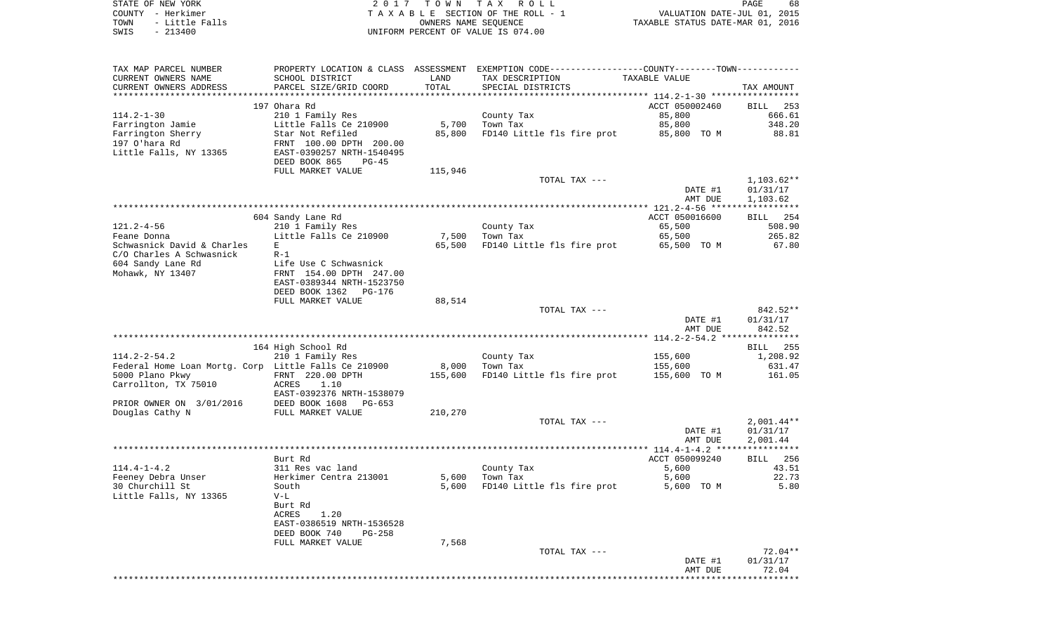STATE OF NEW YORK **EXECUTE:** A G L L 2 0 1 7 T O W N T A X R O L L COUNTY - Herkimer<br>
T A X A B L E SECTION OF THE ROLL - 1<br>
TOWN - Little Falls<br>
SWIS - 213400 - 2013400 - UNIFORM PERCENT OF VALUE IS 074.00 SWIS - 213400 UNIFORM PERCENT OF VALUE IS 074.00

PAGE 68 TOWN - LITTLE FALLS ON THE ROLL - 1<br>
TAXABLE STATUS DATE-JUL 01, 2015<br>
OWNERS NAME SEQUENCE TAXABLE STATUS DATE-MAR 01, 2016

| TAX MAP PARCEL NUMBER                                  |                                             |         | PROPERTY LOCATION & CLASS ASSESSMENT EXEMPTION CODE---------------COUNTY-------TOWN---------- |                |                                |
|--------------------------------------------------------|---------------------------------------------|---------|-----------------------------------------------------------------------------------------------|----------------|--------------------------------|
| CURRENT OWNERS NAME                                    | SCHOOL DISTRICT                             | LAND    | TAX DESCRIPTION                                                                               | TAXABLE VALUE  |                                |
| CURRENT OWNERS ADDRESS                                 | PARCEL SIZE/GRID COORD                      | TOTAL   | SPECIAL DISTRICTS                                                                             |                | TAX AMOUNT                     |
| **********************                                 |                                             |         |                                                                                               |                |                                |
|                                                        | 197 Ohara Rd                                |         |                                                                                               | ACCT 050002460 | BILL<br>253                    |
| $114.2 - 1 - 30$                                       | 210 1 Family Res                            |         | County Tax                                                                                    | 85,800         | 666.61                         |
| Farrington Jamie                                       | Little Falls Ce 210900                      | 5,700   | Town Tax                                                                                      | 85,800         | 348.20                         |
| Farrington Sherry<br>197 O'hara Rd                     | Star Not Refiled<br>FRNT 100.00 DPTH 200.00 | 85,800  | FD140 Little fls fire prot                                                                    | 85,800 TO M    | 88.81                          |
| Little Falls, NY 13365                                 | EAST-0390257 NRTH-1540495                   |         |                                                                                               |                |                                |
|                                                        | DEED BOOK 865<br>$PG-45$                    |         |                                                                                               |                |                                |
|                                                        | FULL MARKET VALUE                           | 115,946 |                                                                                               |                |                                |
|                                                        |                                             |         | TOTAL TAX ---                                                                                 |                | $1,103.62**$                   |
|                                                        |                                             |         |                                                                                               | DATE #1        | 01/31/17                       |
|                                                        |                                             |         |                                                                                               | AMT DUE        | 1,103.62                       |
|                                                        |                                             |         |                                                                                               |                |                                |
|                                                        | 604 Sandy Lane Rd                           |         |                                                                                               | ACCT 050016600 | <b>BILL</b> 254                |
| $121.2 - 4 - 56$                                       | 210 1 Family Res                            |         | County Tax                                                                                    | 65,500         | 508.90                         |
| Feane Donna                                            | Little Falls Ce 210900                      | 7,500   | Town Tax                                                                                      | 65,500         | 265.82                         |
| Schwasnick David & Charles<br>C/O Charles A Schwasnick | E<br>$R-1$                                  | 65,500  | FD140 Little fls fire prot                                                                    | 65,500 TO M    | 67.80                          |
| 604 Sandy Lane Rd                                      | Life Use C Schwasnick                       |         |                                                                                               |                |                                |
| Mohawk, NY 13407                                       | FRNT 154.00 DPTH 247.00                     |         |                                                                                               |                |                                |
|                                                        | EAST-0389344 NRTH-1523750                   |         |                                                                                               |                |                                |
|                                                        | DEED BOOK 1362<br>PG-176                    |         |                                                                                               |                |                                |
|                                                        | FULL MARKET VALUE                           | 88,514  |                                                                                               |                |                                |
|                                                        |                                             |         | TOTAL TAX ---                                                                                 |                | 842.52**                       |
|                                                        |                                             |         |                                                                                               | DATE #1        | 01/31/17                       |
|                                                        |                                             |         |                                                                                               | AMT DUE        | 842.52                         |
|                                                        |                                             |         |                                                                                               |                |                                |
| $114.2 - 2 - 54.2$                                     | 164 High School Rd<br>210 1 Family Res      |         | County Tax                                                                                    | 155,600        | BILL 255<br>1,208.92           |
| Federal Home Loan Mortg. Corp Little Falls Ce 210900   |                                             | 8,000   | Town Tax                                                                                      | 155,600        | 631.47                         |
| 5000 Plano Pkwy                                        | FRNT 220.00 DPTH                            | 155,600 | FD140 Little fls fire prot                                                                    | 155,600 TO M   | 161.05                         |
| Carrollton, TX 75010                                   | ACRES<br>1.10                               |         |                                                                                               |                |                                |
|                                                        | EAST-0392376 NRTH-1538079                   |         |                                                                                               |                |                                |
| PRIOR OWNER ON 3/01/2016                               | DEED BOOK 1608<br>PG-653                    |         |                                                                                               |                |                                |
| Douglas Cathy N                                        | FULL MARKET VALUE                           | 210,270 |                                                                                               |                |                                |
|                                                        |                                             |         | TOTAL TAX ---                                                                                 |                | $2,001.44**$                   |
|                                                        |                                             |         |                                                                                               | DATE #1        | 01/31/17                       |
|                                                        |                                             |         |                                                                                               | AMT DUE        | 2,001.44                       |
|                                                        |                                             |         |                                                                                               |                |                                |
|                                                        | Burt Rd                                     |         |                                                                                               | ACCT 050099240 | <b>BILL</b><br>256<br>43.51    |
| $114.4 - 1 - 4.2$<br>Feeney Debra Unser                | 311 Res vac land<br>Herkimer Centra 213001  | 5,600   | County Tax<br>Town Tax                                                                        | 5,600<br>5,600 | 22.73                          |
| 30 Churchill St                                        | South                                       | 5,600   | FD140 Little fls fire prot                                                                    | 5,600 TO M     | 5.80                           |
| Little Falls, NY 13365                                 | $V-L$                                       |         |                                                                                               |                |                                |
|                                                        | Burt Rd                                     |         |                                                                                               |                |                                |
|                                                        | 1.20<br>ACRES                               |         |                                                                                               |                |                                |
|                                                        | EAST-0386519 NRTH-1536528                   |         |                                                                                               |                |                                |
|                                                        | DEED BOOK 740<br>$PG-258$                   |         |                                                                                               |                |                                |
|                                                        | FULL MARKET VALUE                           | 7,568   |                                                                                               |                |                                |
|                                                        |                                             |         | TOTAL TAX ---                                                                                 |                | $72.04**$                      |
|                                                        |                                             |         |                                                                                               | DATE #1        | 01/31/17                       |
|                                                        |                                             |         |                                                                                               | AMT DUE        | 72.04<br>* * * * * * * * * * * |
|                                                        |                                             |         |                                                                                               |                |                                |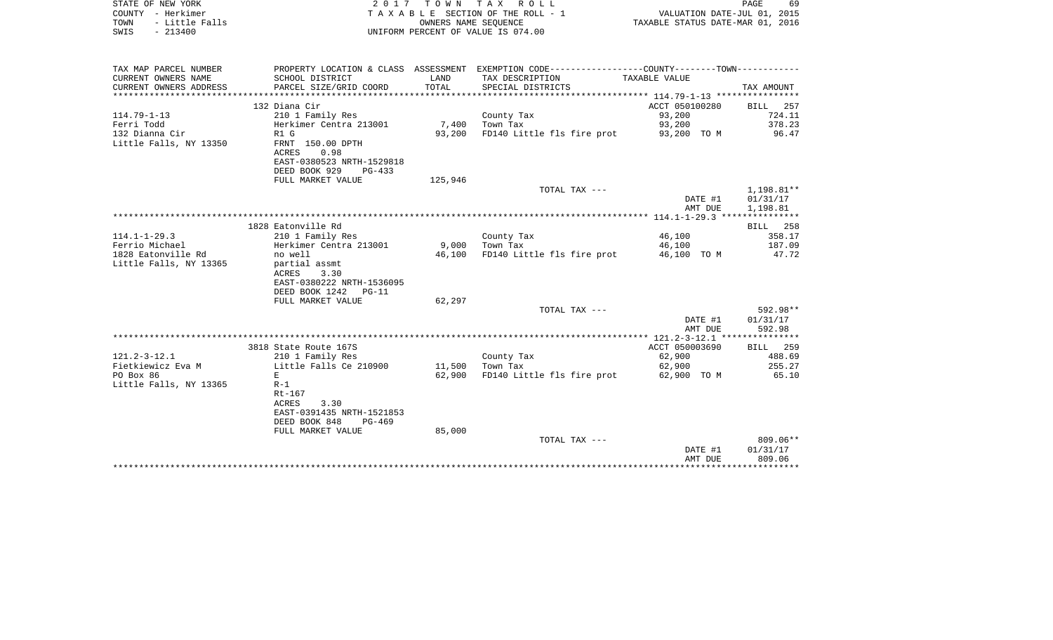| STATE OF NEW YORK<br>COUNTY - Herkimer<br>- Little Falls<br>TOWN<br>$-213400$<br>SWIS | 2017                                                   | T O W N<br>OWNERS NAME SEOUENCE | TAX ROLL<br>T A X A B L E SECTION OF THE ROLL - 1<br>UNIFORM PERCENT OF VALUE IS 074.00                          | VALUATION DATE-JUL 01, 2015<br>TAXABLE STATUS DATE-MAR 01, 2016 | PAGE<br>69  |
|---------------------------------------------------------------------------------------|--------------------------------------------------------|---------------------------------|------------------------------------------------------------------------------------------------------------------|-----------------------------------------------------------------|-------------|
| TAX MAP PARCEL NUMBER<br>CURRENT OWNERS NAME                                          | SCHOOL DISTRICT                                        | LAND                            | PROPERTY LOCATION & CLASS ASSESSMENT EXEMPTION CODE---------------COUNTY-------TOWN----------<br>TAX DESCRIPTION | TAXABLE VALUE                                                   |             |
| CURRENT OWNERS ADDRESS                                                                | PARCEL SIZE/GRID COORD                                 | TOTAL                           | SPECIAL DISTRICTS                                                                                                |                                                                 | TAX AMOUNT  |
|                                                                                       | 132 Diana Cir                                          |                                 |                                                                                                                  | ACCT 050100280                                                  | BILL<br>257 |
| $114.79 - 1 - 13$                                                                     | 210 1 Family Res                                       |                                 | County Tax                                                                                                       | 93,200                                                          | 724.11      |
| Ferri Todd                                                                            | Herkimer Centra 213001                                 | 7,400                           | Town Tax                                                                                                         | 93,200                                                          | 378.23      |
| 132 Dianna Cir                                                                        | R1 G                                                   | 93,200                          | FD140 Little fls fire prot                                                                                       | 93,200 TO M                                                     | 96.47       |
| Little Falls, NY 13350                                                                | FRNT 150.00 DPTH<br><b>ACRES</b><br>0.98               |                                 |                                                                                                                  |                                                                 |             |
|                                                                                       | EAST-0380523 NRTH-1529818<br>DEED BOOK 929<br>$PG-433$ |                                 |                                                                                                                  |                                                                 |             |
|                                                                                       | FULL MARKET VALUE                                      | 125,946                         |                                                                                                                  |                                                                 |             |
|                                                                                       |                                                        |                                 | TOTAL TAX ---                                                                                                    |                                                                 | 1,198.81**  |
|                                                                                       |                                                        |                                 |                                                                                                                  | DATE #1                                                         | 01/31/17    |
|                                                                                       |                                                        |                                 |                                                                                                                  | AMT DUE                                                         | 1,198.81    |
|                                                                                       |                                                        |                                 |                                                                                                                  |                                                                 |             |
|                                                                                       | 1828 Eatonville Rd                                     |                                 |                                                                                                                  |                                                                 | BILL 258    |
| $114.1 - 1 - 29.3$                                                                    | 210 1 Family Res                                       |                                 | County Tax                                                                                                       | 46,100                                                          | 358.17      |
| Ferrio Michael                                                                        | Herkimer Centra 213001                                 | 9,000                           | Town Tax                                                                                                         | 46,100                                                          | 187.09      |
| 1828 Eatonville Rd                                                                    | no well                                                | 46,100                          | FD140 Little fls fire prot                                                                                       | 46,100 TO M                                                     | 47.72       |
| Little Falls, NY 13365                                                                | partial assmt                                          |                                 |                                                                                                                  |                                                                 |             |
|                                                                                       | 3.30<br>ACRES                                          |                                 |                                                                                                                  |                                                                 |             |
|                                                                                       | EAST-0380222 NRTH-1536095                              |                                 |                                                                                                                  |                                                                 |             |
|                                                                                       | DEED BOOK 1242<br>$PG-11$                              |                                 |                                                                                                                  |                                                                 |             |
|                                                                                       | FULL MARKET VALUE                                      | 62,297                          | TOTAL TAX ---                                                                                                    |                                                                 | 592.98**    |
|                                                                                       |                                                        |                                 |                                                                                                                  | DATE #1                                                         | 01/31/17    |
|                                                                                       |                                                        |                                 |                                                                                                                  | AMT DUE                                                         | 592.98      |
|                                                                                       |                                                        |                                 |                                                                                                                  |                                                                 |             |
|                                                                                       | 3818 State Route 167S                                  |                                 |                                                                                                                  | ACCT 050003690                                                  | BILL<br>259 |
| $121.2 - 3 - 12.1$                                                                    | 210 1 Family Res                                       |                                 | County Tax                                                                                                       | 62,900                                                          | 488.69      |
| Fietkiewicz Eva M                                                                     | Little Falls Ce 210900                                 | 11,500                          | Town Tax                                                                                                         | 62,900                                                          | 255.27      |
| PO Box 86                                                                             | E                                                      | 62,900                          | FD140 Little fls fire prot                                                                                       | 62,900 TO M                                                     | 65.10       |
| Little Falls, NY 13365                                                                | $R-1$                                                  |                                 |                                                                                                                  |                                                                 |             |
|                                                                                       | Rt-167                                                 |                                 |                                                                                                                  |                                                                 |             |
|                                                                                       | ACRES<br>3.30                                          |                                 |                                                                                                                  |                                                                 |             |
|                                                                                       | EAST-0391435 NRTH-1521853                              |                                 |                                                                                                                  |                                                                 |             |
|                                                                                       | DEED BOOK 848<br>$PG-469$                              |                                 |                                                                                                                  |                                                                 |             |
|                                                                                       | FULL MARKET VALUE                                      | 85,000                          |                                                                                                                  |                                                                 |             |
|                                                                                       |                                                        |                                 | TOTAL TAX ---                                                                                                    |                                                                 | $809.06**$  |
|                                                                                       |                                                        |                                 |                                                                                                                  | DATE #1                                                         | 01/31/17    |
|                                                                                       |                                                        |                                 |                                                                                                                  | AMT DUE<br>******************************                       | 809.06      |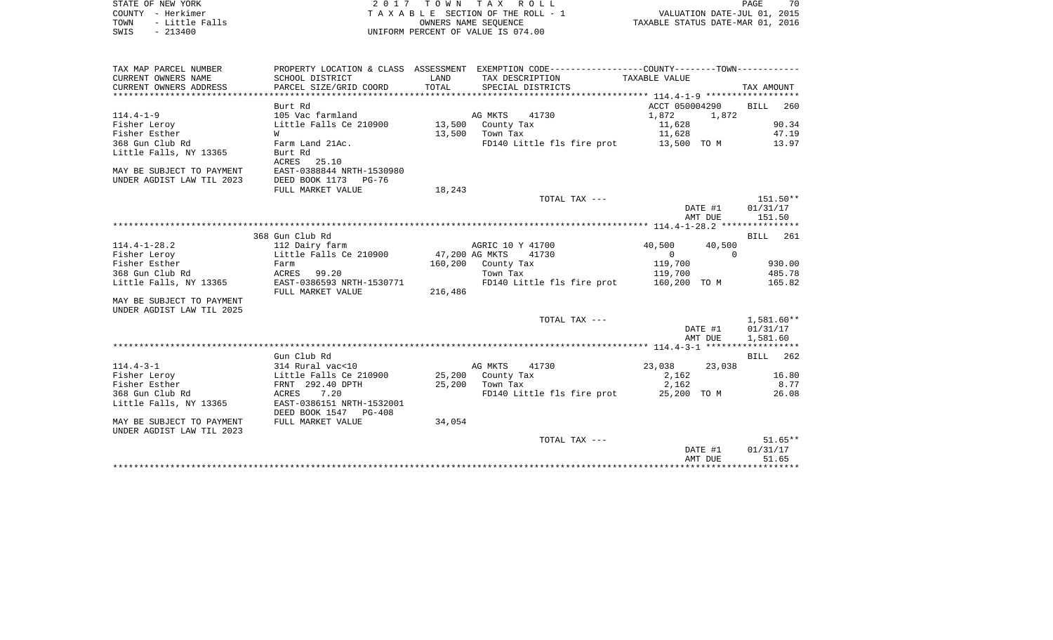| STATE OF NEW YORK      | 2017 TOWN TAX ROLL                 | 70<br>PAGE                       |
|------------------------|------------------------------------|----------------------------------|
| COUNTY - Herkimer      | TAXABLE SECTION OF THE ROLL - 1    | VALUATION DATE-JUL 01, 2015      |
| - Little Falls<br>TOWN | OWNERS NAME SEOUENCE               | TAXABLE STATUS DATE-MAR 01, 2016 |
| $-213400$<br>SWIS      | UNIFORM PERCENT OF VALUE IS 074.00 |                                  |

| TAX MAP PARCEL NUMBER     |                           |         | PROPERTY LOCATION & CLASS ASSESSMENT EXEMPTION CODE---------------COUNTY-------TOWN---------- |                |              |
|---------------------------|---------------------------|---------|-----------------------------------------------------------------------------------------------|----------------|--------------|
| CURRENT OWNERS NAME       | SCHOOL DISTRICT           | LAND    | TAX DESCRIPTION                                                                               | TAXABLE VALUE  |              |
| CURRENT OWNERS ADDRESS    | PARCEL SIZE/GRID COORD    | TOTAL   | SPECIAL DISTRICTS                                                                             |                | TAX AMOUNT   |
|                           |                           |         |                                                                                               |                |              |
|                           | Burt Rd                   |         |                                                                                               | ACCT 050004290 | 260<br>BILL  |
| $114.4 - 1 - 9$           | 105 Vac farmland          |         | AG MKTS<br>41730                                                                              | 1,872          | 1,872        |
| Fisher Leroy              | Little Falls Ce 210900    |         | 13,500 County Tax                                                                             | 11,628         | 90.34        |
| Fisher Esther             | <b>W</b>                  |         | 13,500 Town Tax                                                                               | 11,628         | 47.19        |
| 368 Gun Club Rd           | Farm Land 21Ac.           |         | FD140 Little fls fire prot 13,500 TO M                                                        |                | 13.97        |
| Little Falls, NY 13365    | Burt Rd                   |         |                                                                                               |                |              |
|                           | ACRES 25.10               |         |                                                                                               |                |              |
| MAY BE SUBJECT TO PAYMENT | EAST-0388844 NRTH-1530980 |         |                                                                                               |                |              |
| UNDER AGDIST LAW TIL 2023 | DEED BOOK 1173 PG-76      |         |                                                                                               |                |              |
|                           | FULL MARKET VALUE         | 18,243  |                                                                                               |                |              |
|                           |                           |         | TOTAL TAX ---                                                                                 |                | 151.50**     |
|                           |                           |         |                                                                                               | DATE #1        | 01/31/17     |
|                           |                           |         |                                                                                               | AMT DUE        | 151.50       |
|                           |                           |         |                                                                                               |                |              |
|                           | 368 Gun Club Rd           |         |                                                                                               |                | BILL 261     |
| $114.4 - 1 - 28.2$        | 112 Dairy farm            |         | AGRIC 10 Y 41700                                                                              | 40,500         | 40,500       |
| Fisher Leroy              | Little Falls Ce 210900    |         | 47,200 AG MKTS 41730                                                                          | $\Omega$       | $\Omega$     |
| Fisher Esther             | Farm                      |         | 160,200 County Tax                                                                            | 119,700        | 930.00       |
| 368 Gun Club Rd           | ACRES 99.20               |         | Town Tax                                                                                      | 119,700        | 485.78       |
| Little Falls, NY 13365    | EAST-0386593 NRTH-1530771 |         | FD140 Little fls fire prot 160,200 TO M                                                       |                | 165.82       |
|                           | FULL MARKET VALUE         | 216,486 |                                                                                               |                |              |
| MAY BE SUBJECT TO PAYMENT |                           |         |                                                                                               |                |              |
| UNDER AGDIST LAW TIL 2025 |                           |         |                                                                                               |                |              |
|                           |                           |         | TOTAL TAX ---                                                                                 |                | $1,581.60**$ |
|                           |                           |         |                                                                                               | DATE #1        | 01/31/17     |
|                           |                           |         |                                                                                               | AMT DUE        | 1,581.60     |
|                           |                           |         |                                                                                               |                |              |
|                           | Gun Club Rd               |         |                                                                                               |                | BILL 262     |
| $114.4 - 3 - 1$           | 314 Rural vac<10          |         | AG MKTS<br>41730                                                                              | 23,038 23,038  |              |
| Fisher Leroy              | Little Falls Ce 210900    |         | 25,200 County Tax                                                                             | 2,162          | 16.80        |
| Fisher Esther             | FRNT 292.40 DPTH          |         | 25,200 Town Tax                                                                               | 2,162          | 8.77         |
| 368 Gun Club Rd           | ACRES 7.20                |         | FD140 Little fls fire prot 25,200 TO M                                                        |                | 26.08        |
| Little Falls, NY 13365    | EAST-0386151 NRTH-1532001 |         |                                                                                               |                |              |
|                           | DEED BOOK 1547 PG-408     |         |                                                                                               |                |              |
| MAY BE SUBJECT TO PAYMENT | FULL MARKET VALUE         | 34,054  |                                                                                               |                |              |
| UNDER AGDIST LAW TIL 2023 |                           |         |                                                                                               |                |              |
|                           |                           |         | TOTAL TAX ---                                                                                 |                | $51.65**$    |
|                           |                           |         |                                                                                               | DATE #1        | 01/31/17     |
|                           |                           |         |                                                                                               | AMT DUE        | 51.65        |
|                           |                           |         |                                                                                               |                |              |

70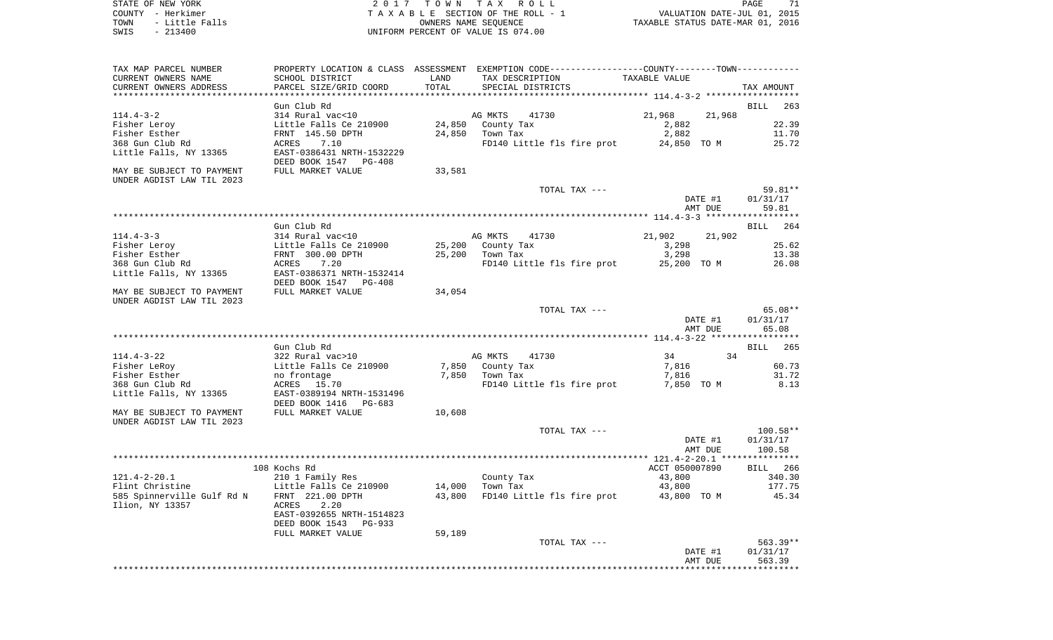STATE OF NEW YORK **EXECUTE:** TOWN TAX ROLL PAGE 71 COUNTY - Herkimer<br>
T A X A B L E SECTION OF THE ROLL - 1<br>
TOWN - Little Falls<br>
SWIS - 213400 - 2013400 - UNIFORM PERCENT OF VALUE IS 074.00 TOWN - LITTLE FALLS ON THE ROLL - 1<br>
TAXABLE STATUS DATE-JUL 01, 2015<br>
OWNERS NAME SEQUENCE TAXABLE STATUS DATE-MAR 01, 2016 SWIS - 213400 UNIFORM PERCENT OF VALUE IS 074.00

| TAX MAP PARCEL NUMBER<br>CURRENT OWNERS NAME           | SCHOOL DISTRICT                                       | LAND                        | PROPERTY LOCATION & CLASS ASSESSMENT EXEMPTION CODE---------------COUNTY-------TOWN----------<br>TAXABLE VALUE<br>TAX DESCRIPTION |                                |             |  |  |  |
|--------------------------------------------------------|-------------------------------------------------------|-----------------------------|-----------------------------------------------------------------------------------------------------------------------------------|--------------------------------|-------------|--|--|--|
| CURRENT OWNERS ADDRESS                                 | PARCEL SIZE/GRID COORD                                | TOTAL<br>****************** | SPECIAL DISTRICTS                                                                                                                 | ************** 114.4-3-2 ***** | TAX AMOUNT  |  |  |  |
| Gun Club Rd<br>BILL<br>263                             |                                                       |                             |                                                                                                                                   |                                |             |  |  |  |
| $114.4 - 3 - 2$                                        | 314 Rural vac<10                                      |                             | AG MKTS<br>41730                                                                                                                  | 21,968<br>21,968               |             |  |  |  |
| Fisher Leroy                                           | Little Falls Ce 210900                                | 24,850                      | County Tax                                                                                                                        | 2,882                          | 22.39       |  |  |  |
| Fisher Esther                                          | FRNT 145.50 DPTH                                      | 24,850                      | Town Tax                                                                                                                          | 2,882                          | 11.70       |  |  |  |
| 368 Gun Club Rd                                        | 7.10<br>ACRES                                         |                             | FD140 Little fls fire prot                                                                                                        | 24,850 TO M                    | 25.72       |  |  |  |
| Little Falls, NY 13365                                 | EAST-0386431 NRTH-1532229<br>DEED BOOK 1547<br>PG-408 |                             |                                                                                                                                   |                                |             |  |  |  |
| MAY BE SUBJECT TO PAYMENT<br>UNDER AGDIST LAW TIL 2023 | FULL MARKET VALUE                                     | 33,581                      |                                                                                                                                   |                                |             |  |  |  |
|                                                        |                                                       |                             | TOTAL TAX ---                                                                                                                     |                                | 59.81**     |  |  |  |
|                                                        |                                                       |                             |                                                                                                                                   | DATE #1                        | 01/31/17    |  |  |  |
|                                                        |                                                       |                             |                                                                                                                                   | AMT DUE                        | 59.81       |  |  |  |
|                                                        |                                                       |                             |                                                                                                                                   |                                | **********  |  |  |  |
|                                                        | Gun Club Rd                                           |                             |                                                                                                                                   |                                | 264<br>BILL |  |  |  |
| $114.4 - 3 - 3$                                        | 314 Rural vac<10                                      |                             | AG MKTS<br>41730                                                                                                                  | 21,902<br>21,902               |             |  |  |  |
| Fisher Leroy                                           | Little Falls Ce 210900                                | 25,200                      | County Tax                                                                                                                        | 3,298                          | 25.62       |  |  |  |
| Fisher Esther                                          | FRNT 300.00 DPTH                                      | 25,200                      | Town Tax                                                                                                                          | 3,298                          | 13.38       |  |  |  |
| 368 Gun Club Rd                                        | ACRES<br>7.20                                         |                             | FD140 Little fls fire prot                                                                                                        | 25,200 TO M                    | 26.08       |  |  |  |
| Little Falls, NY 13365                                 | EAST-0386371 NRTH-1532414                             |                             |                                                                                                                                   |                                |             |  |  |  |
|                                                        | DEED BOOK 1547<br>$PG-408$                            |                             |                                                                                                                                   |                                |             |  |  |  |
| MAY BE SUBJECT TO PAYMENT                              | FULL MARKET VALUE                                     | 34,054                      |                                                                                                                                   |                                |             |  |  |  |
| UNDER AGDIST LAW TIL 2023                              |                                                       |                             |                                                                                                                                   |                                |             |  |  |  |
|                                                        |                                                       |                             | TOTAL TAX ---                                                                                                                     |                                | 65.08**     |  |  |  |
|                                                        |                                                       |                             |                                                                                                                                   | DATE #1                        | 01/31/17    |  |  |  |
|                                                        |                                                       |                             |                                                                                                                                   | AMT DUE                        | 65.08       |  |  |  |
|                                                        |                                                       |                             |                                                                                                                                   |                                |             |  |  |  |
|                                                        | Gun Club Rd                                           |                             |                                                                                                                                   |                                | 265<br>BILL |  |  |  |
| $114.4 - 3 - 22$                                       | 322 Rural vac>10                                      |                             | AG MKTS<br>41730                                                                                                                  | 34<br>34                       |             |  |  |  |
| Fisher LeRoy                                           | Little Falls Ce 210900                                | 7,850                       | County Tax                                                                                                                        | 7,816                          | 60.73       |  |  |  |
| Fisher Esther                                          | no frontage                                           | 7,850                       | Town Tax                                                                                                                          | 7,816                          | 31.72       |  |  |  |
| 368 Gun Club Rd                                        | 15.70<br>ACRES                                        |                             | FD140 Little fls fire prot                                                                                                        | 7,850 TO M                     | 8.13        |  |  |  |
| Little Falls, NY 13365                                 | EAST-0389194 NRTH-1531496                             |                             |                                                                                                                                   |                                |             |  |  |  |
|                                                        | DEED BOOK 1416<br>PG-683                              |                             |                                                                                                                                   |                                |             |  |  |  |
| MAY BE SUBJECT TO PAYMENT                              | FULL MARKET VALUE                                     | 10,608                      |                                                                                                                                   |                                |             |  |  |  |
| UNDER AGDIST LAW TIL 2023                              |                                                       |                             |                                                                                                                                   |                                |             |  |  |  |
|                                                        |                                                       |                             | TOTAL TAX ---                                                                                                                     |                                | 100.58**    |  |  |  |
|                                                        |                                                       |                             |                                                                                                                                   | DATE #1                        | 01/31/17    |  |  |  |
|                                                        |                                                       |                             |                                                                                                                                   | AMT DUE                        | 100.58      |  |  |  |
|                                                        |                                                       |                             |                                                                                                                                   |                                |             |  |  |  |
|                                                        | 108 Kochs Rd                                          |                             |                                                                                                                                   | ACCT 050007890                 | BILL 266    |  |  |  |
| $121.4 - 2 - 20.1$                                     | 210 1 Family Res                                      |                             | County Tax                                                                                                                        | 43,800                         | 340.30      |  |  |  |
| Flint Christine                                        | Little Falls Ce 210900                                | 14,000                      | Town Tax                                                                                                                          | 43,800                         | 177.75      |  |  |  |
| 585 Spinnerville Gulf Rd N                             | FRNT 221.00 DPTH                                      | 43,800                      | FD140 Little fls fire prot                                                                                                        | 43,800 TO M                    | 45.34       |  |  |  |
| Ilion, NY 13357                                        | ACRES<br>2.20                                         |                             |                                                                                                                                   |                                |             |  |  |  |
|                                                        | EAST-0392655 NRTH-1514823                             |                             |                                                                                                                                   |                                |             |  |  |  |
|                                                        | DEED BOOK 1543<br><b>PG-933</b>                       |                             |                                                                                                                                   |                                |             |  |  |  |
|                                                        | FULL MARKET VALUE                                     | 59,189                      |                                                                                                                                   |                                |             |  |  |  |
|                                                        |                                                       |                             | TOTAL TAX ---                                                                                                                     |                                | 563.39**    |  |  |  |
|                                                        |                                                       |                             |                                                                                                                                   | DATE #1                        | 01/31/17    |  |  |  |
|                                                        |                                                       |                             |                                                                                                                                   | AMT DUE                        | 563.39      |  |  |  |
|                                                        |                                                       |                             |                                                                                                                                   |                                |             |  |  |  |
|                                                        |                                                       |                             |                                                                                                                                   |                                |             |  |  |  |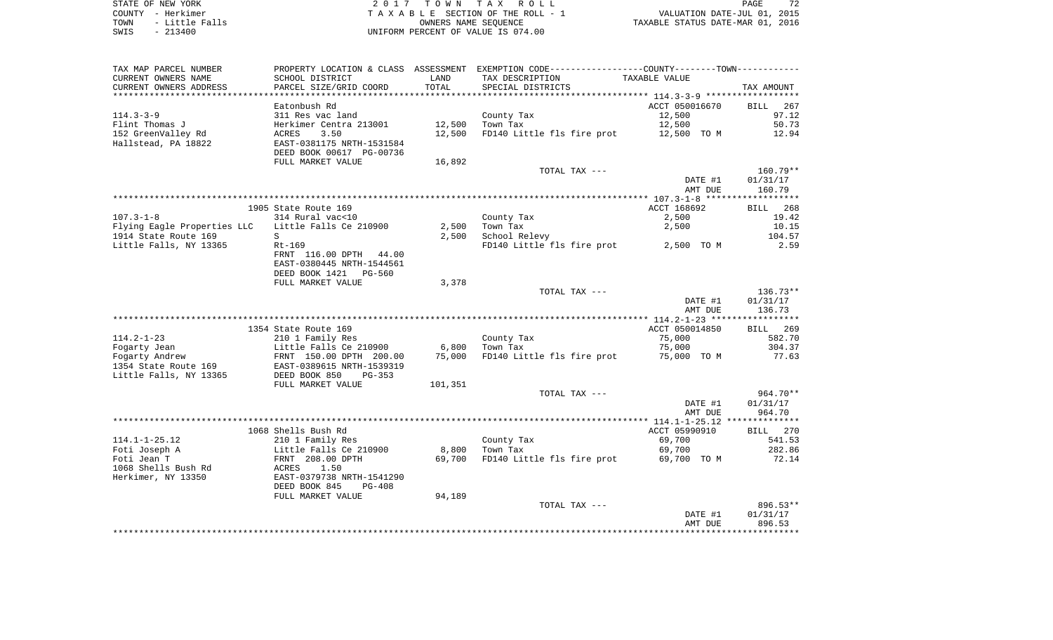STATE OF NEW YORK **EXECUTE:**  $2017$  TOWN TAX ROLL COUNTY - Herkimer<br>
T A X A B L E SECTION OF THE ROLL - 1<br>
TOWN - Little Falls<br>
SWIS - 213400 - 2013400 - UNIFORM PERCENT OF VALUE IS 074.00 TO A CONSIDER THE ROLL - 1 WALUATION DATE-JUL 01, 2015<br>
UNIERS NAME SEQUENCE TAXABLE STATUS DATE-MAR 01, 2016 UNIFORM PERCENT OF VALUE IS 074.00

| TAX MAP PARCEL NUMBER<br>CURRENT OWNERS NAME<br>CURRENT OWNERS ADDRESS | PROPERTY LOCATION & CLASS ASSESSMENT<br>SCHOOL DISTRICT<br>PARCEL SIZE/GRID COORD | LAND<br>TOTAL    | EXEMPTION CODE-----------------COUNTY-------TOWN-----------<br>TAX DESCRIPTION<br>SPECIAL DISTRICTS | TAXABLE VALUE                                | TAX AMOUNT                     |
|------------------------------------------------------------------------|-----------------------------------------------------------------------------------|------------------|-----------------------------------------------------------------------------------------------------|----------------------------------------------|--------------------------------|
| ***********************                                                |                                                                                   |                  |                                                                                                     |                                              |                                |
| $114.3 - 3 - 9$                                                        | Eatonbush Rd<br>311 Res vac land                                                  |                  | County Tax                                                                                          | ACCT 050016670<br>12,500                     | <b>BILL</b><br>267<br>97.12    |
| Flint Thomas J<br>152 GreenValley Rd                                   | Herkimer Centra 213001<br>3.50<br>ACRES                                           | 12,500<br>12,500 | Town Tax<br>FD140 Little fls fire prot                                                              | 12,500<br>12,500 TO M                        | 50.73<br>12.94                 |
| Hallstead, PA 18822                                                    | EAST-0381175 NRTH-1531584<br>DEED BOOK 00617 PG-00736<br>FULL MARKET VALUE        | 16,892           |                                                                                                     |                                              |                                |
|                                                                        |                                                                                   |                  | TOTAL TAX ---                                                                                       | DATE #1<br>AMT DUE                           | 160.79**<br>01/31/17<br>160.79 |
|                                                                        |                                                                                   |                  |                                                                                                     |                                              |                                |
|                                                                        | 1905 State Route 169                                                              |                  |                                                                                                     | ACCT 168692                                  | <b>BILL</b><br>268             |
| $107.3 - 1 - 8$                                                        | 314 Rural vac<10                                                                  |                  | County Tax                                                                                          | 2,500                                        | 19.42                          |
| Flying Eagle Properties LLC                                            | Little Falls Ce 210900                                                            | 2,500            | Town Tax                                                                                            | 2,500                                        | 10.15                          |
| 1914 State Route 169                                                   | S                                                                                 | 2,500            | School Relevy                                                                                       |                                              | 104.57                         |
| Little Falls, NY 13365                                                 | $Rt-169$<br>FRNT 116.00 DPTH 44.00<br>EAST-0380445 NRTH-1544561                   |                  | FD140 Little fls fire prot                                                                          | 2,500 TO M                                   | 2.59                           |
|                                                                        | DEED BOOK 1421 PG-560<br>FULL MARKET VALUE                                        |                  |                                                                                                     |                                              |                                |
|                                                                        |                                                                                   | 3,378            | TOTAL TAX ---                                                                                       |                                              | 136.73**                       |
|                                                                        |                                                                                   |                  |                                                                                                     | DATE #1<br>AMT DUE                           | 01/31/17<br>136.73             |
|                                                                        |                                                                                   |                  |                                                                                                     | ************** 114.2-1-23 ****************** |                                |
| $114.2 - 1 - 23$                                                       | 1354 State Route 169                                                              |                  |                                                                                                     | ACCT 050014850                               | BILL<br>269                    |
| Fogarty Jean                                                           | 210 1 Family Res<br>Little Falls Ce 210900                                        | 6,800            | County Tax<br>Town Tax                                                                              | 75,000<br>75,000                             | 582.70<br>304.37               |
| Fogarty Andrew                                                         | FRNT 150.00 DPTH 200.00                                                           | 75,000           | FD140 Little fls fire prot                                                                          | 75,000 TO M                                  | 77.63                          |
| 1354 State Route 169<br>Little Falls, NY 13365                         | EAST-0389615 NRTH-1539319<br>DEED BOOK 850<br>$PG-353$                            |                  |                                                                                                     |                                              |                                |
|                                                                        | FULL MARKET VALUE                                                                 | 101,351          |                                                                                                     |                                              |                                |
|                                                                        |                                                                                   |                  | TOTAL TAX ---                                                                                       |                                              | 964.70**                       |
|                                                                        |                                                                                   |                  |                                                                                                     | DATE #1<br>AMT DUE                           | 01/31/17<br>964.70             |
|                                                                        |                                                                                   |                  |                                                                                                     | ************** 114.1-1-25.12 *************** |                                |
|                                                                        | 1068 Shells Bush Rd                                                               |                  |                                                                                                     | ACCT 05990910                                | BILL 270                       |
| $114.1 - 1 - 25.12$                                                    | 210 1 Family Res                                                                  |                  | County Tax                                                                                          | 69,700                                       | 541.53                         |
| Foti Joseph A                                                          | Little Falls Ce 210900                                                            | 8,800            | Town Tax                                                                                            | 69,700                                       | 282.86                         |
| Foti Jean T                                                            | FRNT 208.00 DPTH                                                                  | 69,700           | FD140 Little fls fire prot                                                                          | 69,700 TO M                                  | 72.14                          |
| 1068 Shells Bush Rd                                                    | 1.50<br>ACRES                                                                     |                  |                                                                                                     |                                              |                                |
| Herkimer, NY 13350                                                     | EAST-0379738 NRTH-1541290<br>DEED BOOK 845<br>$PG-408$                            |                  |                                                                                                     |                                              |                                |
|                                                                        | FULL MARKET VALUE                                                                 | 94,189           |                                                                                                     |                                              |                                |
|                                                                        |                                                                                   |                  | TOTAL TAX ---                                                                                       |                                              | 896.53**                       |
|                                                                        |                                                                                   |                  |                                                                                                     | DATE #1<br>AMT DUE                           | 01/31/17<br>896.53             |
|                                                                        |                                                                                   |                  |                                                                                                     |                                              |                                |
|                                                                        |                                                                                   |                  |                                                                                                     |                                              |                                |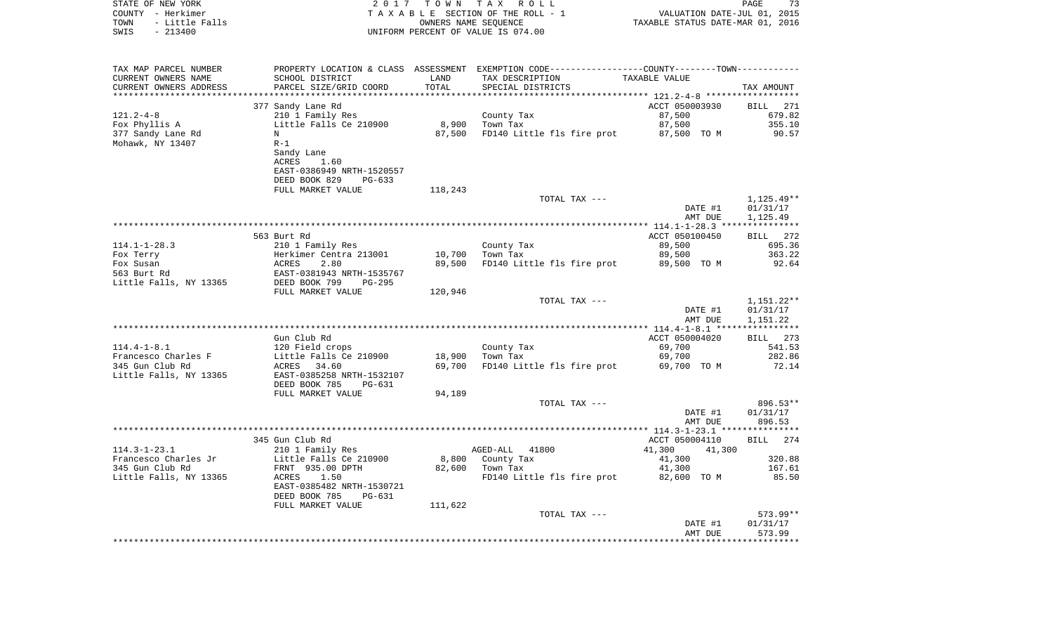| STATE OF NEW YORK<br>COUNTY - Herkimer<br>- Little Falls<br>TOWN<br>SWIS<br>$-213400$ |                                            |                      | 2017 TOWN TAX ROLL<br>TAXABLE SECTION OF THE ROLL - 1<br>OWNERS NAME SEOUENCE<br>UNIFORM PERCENT OF VALUE IS 074.00 | ر ہے<br>2015 ,01 VALUATION DATE-JUL<br>2016 ,01 TAXABLE STATUS DATE-MAR | 73<br>PAGE            |
|---------------------------------------------------------------------------------------|--------------------------------------------|----------------------|---------------------------------------------------------------------------------------------------------------------|-------------------------------------------------------------------------|-----------------------|
| TAX MAP PARCEL NUMBER                                                                 |                                            |                      | PROPERTY LOCATION & CLASS ASSESSMENT EXEMPTION CODE---------------COUNTY-------TOWN----------                       |                                                                         |                       |
| CURRENT OWNERS NAME                                                                   | SCHOOL DISTRICT                            | LAND                 | TAX DESCRIPTION                                                                                                     | TAXABLE VALUE                                                           |                       |
| CURRENT OWNERS ADDRESS                                                                | PARCEL SIZE/GRID COORD                     | TOTAL<br>*********** | SPECIAL DISTRICTS                                                                                                   |                                                                         | TAX AMOUNT            |
|                                                                                       | 377 Sandy Lane Rd                          |                      |                                                                                                                     | ************ 121.2-4-8 **************<br>ACCT 050003930                 | <b>BILL</b><br>271    |
| $121.2 - 4 - 8$                                                                       | 210 1 Family Res                           |                      | County Tax                                                                                                          | 87,500                                                                  | 679.82                |
| Fox Phyllis A                                                                         | Little Falls Ce 210900                     | 8,900                | Town Tax                                                                                                            | 87,500                                                                  | 355.10                |
| 377 Sandy Lane Rd                                                                     | N                                          | 87,500               | FD140 Little fls fire prot 87,500 TO M                                                                              |                                                                         | 90.57                 |
| Mohawk, NY 13407                                                                      | $R-1$                                      |                      |                                                                                                                     |                                                                         |                       |
|                                                                                       | Sandy Lane                                 |                      |                                                                                                                     |                                                                         |                       |
|                                                                                       | ACRES<br>1.60                              |                      |                                                                                                                     |                                                                         |                       |
|                                                                                       | EAST-0386949 NRTH-1520557                  |                      |                                                                                                                     |                                                                         |                       |
|                                                                                       | DEED BOOK 829<br>$PG-633$                  |                      |                                                                                                                     |                                                                         |                       |
|                                                                                       | FULL MARKET VALUE                          | 118,243              | TOTAL TAX ---                                                                                                       |                                                                         | $1,125.49**$          |
|                                                                                       |                                            |                      |                                                                                                                     | DATE #1                                                                 | 01/31/17              |
|                                                                                       |                                            |                      |                                                                                                                     | AMT DUE                                                                 | 1,125.49              |
|                                                                                       | ******************                         |                      |                                                                                                                     |                                                                         |                       |
|                                                                                       | 563 Burt Rd                                |                      |                                                                                                                     | ACCT 050100450                                                          | <b>BILL</b><br>272    |
| $114.1 - 1 - 28.3$                                                                    | 210 1 Family Res                           |                      | County Tax                                                                                                          | 89,500                                                                  | 695.36                |
| Fox Terry                                                                             | Herkimer Centra 213001                     | 10,700               | Town Tax                                                                                                            | 89,500                                                                  | 363.22                |
| Fox Susan<br>563 Burt Rd                                                              | 2.80<br>ACRES<br>EAST-0381943 NRTH-1535767 | 89,500               | FD140 Little fls fire prot                                                                                          | 89,500 TO M                                                             | 92.64                 |
| Little Falls, NY 13365                                                                | DEED BOOK 799<br>$PG-295$                  |                      |                                                                                                                     |                                                                         |                       |
|                                                                                       | FULL MARKET VALUE                          | 120,946              |                                                                                                                     |                                                                         |                       |
|                                                                                       |                                            |                      | TOTAL TAX ---                                                                                                       |                                                                         | $1,151.22**$          |
|                                                                                       |                                            |                      |                                                                                                                     | DATE #1                                                                 | 01/31/17              |
|                                                                                       |                                            |                      |                                                                                                                     | AMT DUE                                                                 | 1,151.22              |
| *****************************                                                         |                                            |                      |                                                                                                                     |                                                                         |                       |
| $114.4 - 1 - 8.1$                                                                     | Gun Club Rd<br>120 Field crops             |                      | County Tax                                                                                                          | ACCT 050004020<br>69,700                                                | BILL 273<br>541.53    |
| Francesco Charles F                                                                   | Little Falls Ce 210900                     | 18,900               | Town Tax                                                                                                            | 69,700                                                                  | 282.86                |
| 345 Gun Club Rd                                                                       | ACRES 34.60                                | 69,700               | FD140 Little fls fire prot 69,700 TO M                                                                              |                                                                         | 72.14                 |
| Little Falls, NY 13365                                                                | EAST-0385258 NRTH-1532107                  |                      |                                                                                                                     |                                                                         |                       |
|                                                                                       | DEED BOOK 785<br>PG-631                    |                      |                                                                                                                     |                                                                         |                       |
|                                                                                       | FULL MARKET VALUE                          | 94,189               |                                                                                                                     |                                                                         |                       |
|                                                                                       |                                            |                      | TOTAL TAX ---                                                                                                       |                                                                         | 896.53**              |
|                                                                                       |                                            |                      |                                                                                                                     | DATE #1<br>AMT DUE                                                      | 01/31/17<br>896.53    |
|                                                                                       |                                            |                      |                                                                                                                     |                                                                         |                       |
|                                                                                       | 345 Gun Club Rd                            |                      |                                                                                                                     | ACCT 050004110                                                          | 274<br><b>BILL</b>    |
| $114.3 - 1 - 23.1$                                                                    | 210 1 Family Res                           |                      | AGED-ALL 41800                                                                                                      | 41,300<br>41,300                                                        |                       |
| Francesco Charles Jr                                                                  | Little Falls Ce 210900                     | 8,800                | County Tax                                                                                                          | 41,300                                                                  | 320.88                |
| 345 Gun Club Rd                                                                       | FRNT 935.00 DPTH                           | 82,600               | Town Tax                                                                                                            | 41,300                                                                  | 167.61                |
| Little Falls, NY 13365                                                                | ACRES<br>1.50                              |                      | FD140 Little fls fire prot                                                                                          | 82,600 TO M                                                             | 85.50                 |
|                                                                                       | EAST-0385482 NRTH-1530721                  |                      |                                                                                                                     |                                                                         |                       |
|                                                                                       | DEED BOOK 785<br>PG-631                    |                      |                                                                                                                     |                                                                         |                       |
|                                                                                       | FULL MARKET VALUE                          | 111,622              | TOTAL TAX ---                                                                                                       |                                                                         | 573.99**              |
|                                                                                       |                                            |                      |                                                                                                                     | DATE #1                                                                 | 01/31/17              |
|                                                                                       |                                            |                      |                                                                                                                     | AMT DUE                                                                 | 573.99                |
|                                                                                       |                                            |                      |                                                                                                                     |                                                                         | * * * * * * * * * * * |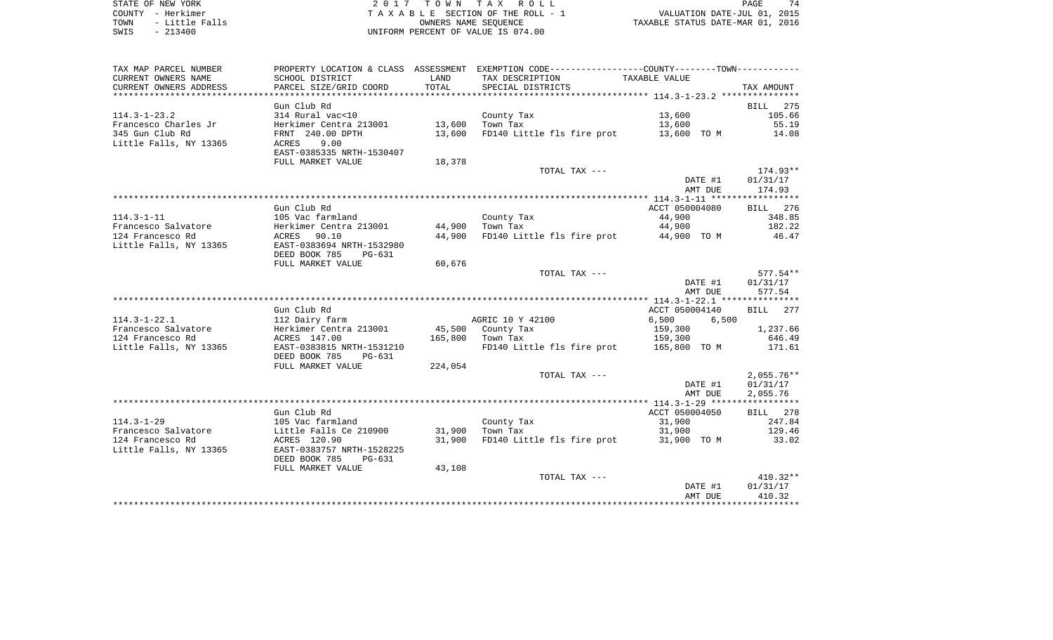STATE OF NEW YORK **EXECUTE:**  $2017$  TOWN TAX ROLL COUNTY - Herkimer<br>
T A X A B L E SECTION OF THE ROLL - 1<br>
TOWN - Little Falls<br>
SWIS - 213400 - 2013400 - UNIFORM PERCENT OF VALUE IS 074.00 TOWN - LITTLE FALLS ON THE ROLL - 1<br>
TAXABLE STATUS DATE-JUL 01, 2015<br>
OWNERS NAME SEQUENCE TAXABLE STATUS DATE-MAR 01, 2016 SWIS - 213400 UNIFORM PERCENT OF VALUE IS 074.00

| TAX MAP PARCEL NUMBER  |                                                      |         | PROPERTY LOCATION & CLASS ASSESSMENT EXEMPTION CODE---------------COUNTY-------TOWN---------- |                |              |
|------------------------|------------------------------------------------------|---------|-----------------------------------------------------------------------------------------------|----------------|--------------|
| CURRENT OWNERS NAME    | SCHOOL DISTRICT                                      | LAND    | TAX DESCRIPTION                                                                               | TAXABLE VALUE  |              |
| CURRENT OWNERS ADDRESS | PARCEL SIZE/GRID COORD                               | TOTAL   | SPECIAL DISTRICTS                                                                             |                | TAX AMOUNT   |
|                        |                                                      |         |                                                                                               |                |              |
|                        | Gun Club Rd                                          |         |                                                                                               |                | 275<br>BILL  |
| $114.3 - 1 - 23.2$     | 314 Rural vac<10                                     |         | County Tax                                                                                    | 13,600         | 105.66       |
| Francesco Charles Jr   | Herkimer Centra 213001                               | 13,600  | Town Tax                                                                                      | 13,600         | 55.19        |
| 345 Gun Club Rd        | FRNT 240.00 DPTH                                     | 13,600  | FD140 Little fls fire prot 13,600 TO M                                                        |                | 14.08        |
| Little Falls, NY 13365 | ACRES<br>9.00<br>EAST-0385335 NRTH-1530407           |         |                                                                                               |                |              |
|                        | FULL MARKET VALUE                                    | 18,378  |                                                                                               |                |              |
|                        |                                                      |         | TOTAL TAX ---                                                                                 |                | 174.93**     |
|                        |                                                      |         |                                                                                               | DATE #1        | 01/31/17     |
|                        |                                                      |         |                                                                                               | AMT DUE        | 174.93       |
|                        |                                                      |         |                                                                                               |                |              |
|                        | Gun Club Rd                                          |         |                                                                                               | ACCT 050004080 | BILL 276     |
| $114.3 - 1 - 11$       | 105 Vac farmland                                     |         | County Tax                                                                                    | 44,900         | 348.85       |
| Francesco Salvatore    | Herkimer Centra 213001                               | 44,900  | Town Tax                                                                                      | 44,900         | 182.22       |
| 124 Francesco Rd       | ACRES 90.10                                          | 44,900  | FD140 Little fls fire prot                                                                    | 44,900 TO M    | 46.47        |
| Little Falls, NY 13365 | EAST-0383694 NRTH-1532980<br>DEED BOOK 785<br>PG-631 |         |                                                                                               |                |              |
|                        | FULL MARKET VALUE                                    | 60,676  |                                                                                               |                |              |
|                        |                                                      |         | TOTAL TAX ---                                                                                 |                | 577.54**     |
|                        |                                                      |         |                                                                                               | DATE #1        | 01/31/17     |
|                        |                                                      |         |                                                                                               | AMT DUE        | 577.54       |
|                        |                                                      |         |                                                                                               |                |              |
|                        | Gun Club Rd                                          |         |                                                                                               | ACCT 050004140 | BILL 277     |
| $114.3 - 1 - 22.1$     | 112 Dairy farm                                       |         | AGRIC 10 Y 42100                                                                              | 6,500<br>6,500 |              |
| Francesco Salvatore    | Herkimer Centra 213001                               |         | 45,500 County Tax                                                                             | 159,300        | 1,237.66     |
| 124 Francesco Rd       | ACRES 147.00                                         |         | 165,800 Town Tax                                                                              | 159,300        | 646.49       |
| Little Falls, NY 13365 | EAST-0383815 NRTH-1531210                            |         | FD140 Little fls fire prot 165,800 TO M                                                       |                | 171.61       |
|                        | DEED BOOK 785<br>PG-631                              |         |                                                                                               |                |              |
|                        | FULL MARKET VALUE                                    | 224,054 |                                                                                               |                |              |
|                        |                                                      |         | TOTAL TAX ---                                                                                 |                | $2,055.76**$ |
|                        |                                                      |         |                                                                                               | DATE #1        | 01/31/17     |
|                        |                                                      |         |                                                                                               | AMT DUE        | 2,055.76     |
|                        |                                                      |         |                                                                                               |                |              |
|                        | Gun Club Rd                                          |         |                                                                                               | ACCT 050004050 | BILL 278     |
| $114.3 - 1 - 29$       | 105 Vac farmland                                     |         | County Tax                                                                                    | 31,900         | 247.84       |
| Francesco Salvatore    | Little Falls Ce 210900                               | 31,900  | Town Tax                                                                                      | 31,900         | 129.46       |
| 124 Francesco Rd       | ACRES 120.90                                         | 31,900  | FD140 Little fls fire prot                                                                    | 31,900 TO M    | 33.02        |
| Little Falls, NY 13365 | EAST-0383757 NRTH-1528225                            |         |                                                                                               |                |              |
|                        | DEED BOOK 785<br>PG-631                              |         |                                                                                               |                |              |
|                        | FULL MARKET VALUE                                    | 43,108  |                                                                                               |                |              |
|                        |                                                      |         | TOTAL TAX ---                                                                                 |                | $410.32**$   |
|                        |                                                      |         |                                                                                               | DATE #1        | 01/31/17     |
|                        |                                                      |         |                                                                                               | AMT DUE        | 410.32       |
|                        |                                                      |         |                                                                                               |                |              |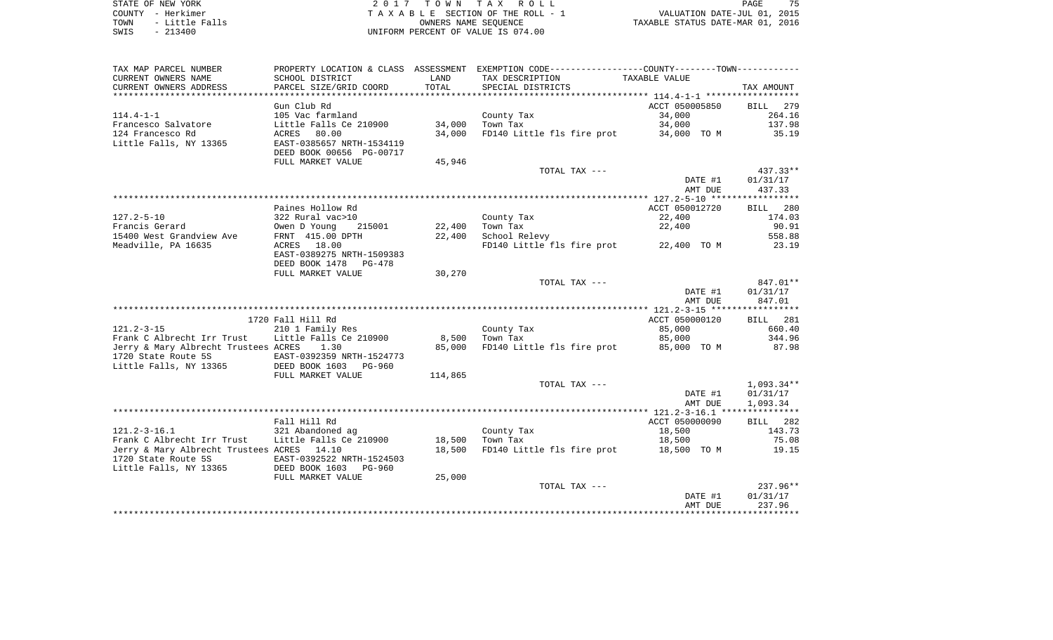STATE OF NEW YORK GOOD CONSULTED A RELATED TO MINITALLY A ROLL CONSULTED TO A PAGE 2 0 1 7 TO MINITALLY ROLL. COUNTY - Herkimer T A X A B L E SECTION OF THE ROLL - 1 VALUATION DATE-JUL 01, 2015 TOWN - Little Falls OWNERS NAME SEQUENCE TAXABLE STATUS DATE-MAR 01, 2016 UNIFORM PERCENT OF VALUE IS 074.00

75

| TAX MAP PARCEL NUMBER                                                                         |                           |         | PROPERTY LOCATION & CLASS ASSESSMENT EXEMPTION CODE----------------COUNTY--------TOWN----------- |                |                    |
|-----------------------------------------------------------------------------------------------|---------------------------|---------|--------------------------------------------------------------------------------------------------|----------------|--------------------|
| CURRENT OWNERS NAME                                                                           | SCHOOL DISTRICT           | LAND    | TAX DESCRIPTION                                                                                  | TAXABLE VALUE  |                    |
| CURRENT OWNERS ADDRESS                                                                        | PARCEL SIZE/GRID COORD    | TOTAL   | SPECIAL DISTRICTS                                                                                |                | TAX AMOUNT         |
|                                                                                               |                           |         |                                                                                                  |                |                    |
|                                                                                               | Gun Club Rd               |         |                                                                                                  | ACCT 050005850 | BILL 279           |
| $114.4 - 1 - 1$                                                                               | 105 Vac farmland          |         | County Tax                                                                                       | 34,000         | 264.16             |
| Francesco Salvatore                                                                           | Little Falls Ce 210900    | 34,000  | Town Tax                                                                                         | 34,000         | 137.98             |
| 124 Francesco Rd                                                                              | ACRES 80.00               | 34,000  | FD140 Little fls fire prot 34,000 TO M                                                           |                | 35.19              |
| Little Falls, NY 13365                                                                        | EAST-0385657 NRTH-1534119 |         |                                                                                                  |                |                    |
|                                                                                               | DEED BOOK 00656 PG-00717  |         |                                                                                                  |                |                    |
|                                                                                               | FULL MARKET VALUE         | 45,946  |                                                                                                  |                |                    |
|                                                                                               |                           |         | TOTAL TAX ---                                                                                    |                | $437.33**$         |
|                                                                                               |                           |         |                                                                                                  | DATE #1        | 01/31/17           |
|                                                                                               |                           |         |                                                                                                  | AMT DUE        | 437.33             |
|                                                                                               |                           |         |                                                                                                  |                |                    |
|                                                                                               | Paines Hollow Rd          |         |                                                                                                  | ACCT 050012720 | BILL 280           |
| $127.2 - 5 - 10$                                                                              | 322 Rural vac>10          |         | County Tax                                                                                       | 22,400         | 174.03             |
| Francis Gerard                                                                                | Owen D Young 215001       | 22,400  | Town Tax                                                                                         | 22,400         | 90.91              |
| 15400 West Grandview Ave                                                                      | FRNT 415.00 DPTH          | 22,400  | School Relevy                                                                                    |                | 558.88             |
| Meadville, PA 16635                                                                           | ACRES 18.00               |         | FD140 Little fls fire prot 22,400 TO M                                                           |                | 23.19              |
|                                                                                               | EAST-0389275 NRTH-1509383 |         |                                                                                                  |                |                    |
|                                                                                               | DEED BOOK 1478 PG-478     |         |                                                                                                  |                |                    |
|                                                                                               | FULL MARKET VALUE         | 30,270  |                                                                                                  |                |                    |
|                                                                                               |                           |         | TOTAL TAX ---                                                                                    |                | 847.01**           |
|                                                                                               |                           |         |                                                                                                  | DATE #1        | 01/31/17           |
|                                                                                               |                           |         |                                                                                                  | AMT DUE        | 847.01             |
|                                                                                               | 1720 Fall Hill Rd         |         |                                                                                                  | ACCT 050000120 |                    |
| $121.2 - 3 - 15$                                                                              | 210 1 Family Res          |         | County Tax                                                                                       | 85,000         | BILL 281<br>660.40 |
| Frank C Albrecht Irr Trust                                                                    | Little Falls Ce 210900    | 8,500   | Town Tax                                                                                         | 85,000         | 344.96             |
| Jerry & Mary Albrecht Trustees ACRES                                                          | 1.30                      | 85,000  | FD140 Little fls fire prot                                                                       | 85,000 TO M    | 87.98              |
|                                                                                               |                           |         |                                                                                                  |                |                    |
| 1720 State Route 5S EAST-0392359 NRTH-1524773<br>Little Falls, NY 13365 DEED BOOK 1603 PG-960 |                           |         |                                                                                                  |                |                    |
|                                                                                               | FULL MARKET VALUE         | 114,865 |                                                                                                  |                |                    |
|                                                                                               |                           |         | TOTAL TAX ---                                                                                    |                | $1,093.34**$       |
|                                                                                               |                           |         |                                                                                                  | DATE #1        | 01/31/17           |
|                                                                                               |                           |         |                                                                                                  | AMT DUE        | 1,093.34           |
|                                                                                               |                           |         |                                                                                                  |                |                    |
|                                                                                               | Fall Hill Rd              |         |                                                                                                  | ACCT 050000090 | BILL 282           |
| $121.2 - 3 - 16.1$                                                                            | 321 Abandoned ag          |         | County Tax                                                                                       | 18,500         | 143.73             |
| Frank C Albrecht Irr Trust                                                                    | Little Falls Ce 210900    | 18,500  | Town Tax                                                                                         | 18,500         | 75.08              |
| Jerry & Mary Albrecht Trustees ACRES 14.10                                                    |                           | 18,500  | FD140 Little fls fire prot 18,500 TO M                                                           |                | 19.15              |
| 1720 State Route 5S                                                                           | EAST-0392522 NRTH-1524503 |         |                                                                                                  |                |                    |
| Little Falls, NY 13365                                                                        | DEED BOOK 1603 PG-960     |         |                                                                                                  |                |                    |
|                                                                                               | FULL MARKET VALUE         | 25,000  |                                                                                                  |                |                    |
|                                                                                               |                           |         | TOTAL TAX ---                                                                                    |                | $237.96**$         |
|                                                                                               |                           |         |                                                                                                  | DATE #1        | 01/31/17           |
|                                                                                               |                           |         |                                                                                                  | AMT DUE        | 237.96             |
|                                                                                               |                           |         |                                                                                                  |                |                    |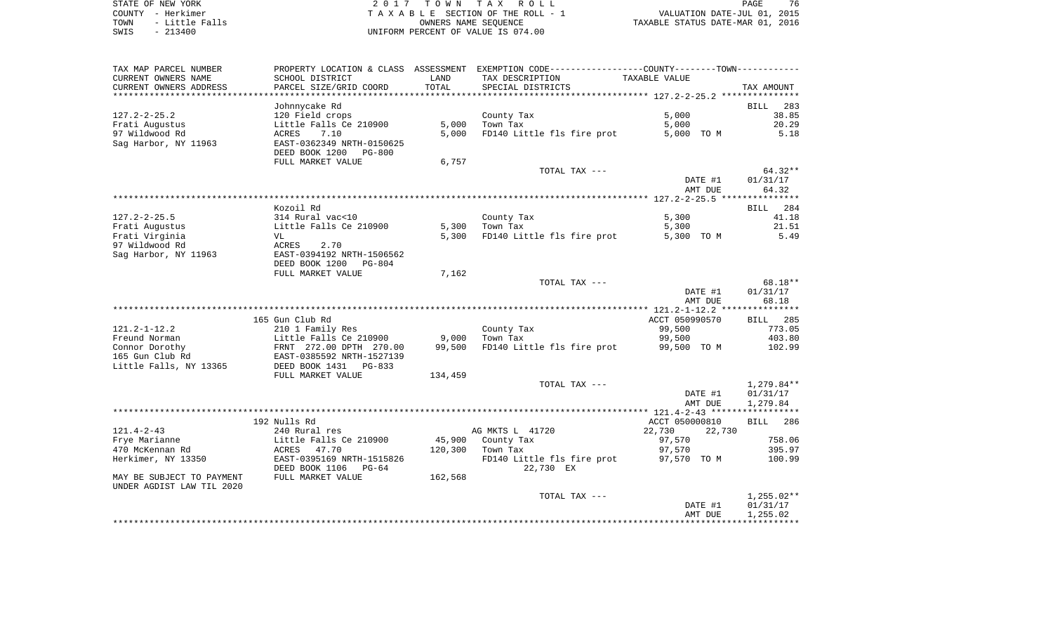| STATE OF NEW YORK |  |           |                |  |
|-------------------|--|-----------|----------------|--|
| COUNTY - Herkimer |  |           |                |  |
| TOWN              |  |           | - Little Falls |  |
| SWIS              |  | $-213400$ |                |  |

STATE OF NEW YORK 2 0 1 7 T O W N T A X R O L L PAGE 76TA X A B L E SECTION OF THE ROLL - 1 TOWN - Little Falls OWNERS NAME SEQUENCE TAXABLE STATUS DATE-MAR 01, 2016 UNIFORM PERCENT OF VALUE IS 074.00

| TAX MAP PARCEL NUMBER<br>CURRENT OWNERS NAME           | PROPERTY LOCATION & CLASS ASSESSMENT<br>SCHOOL DISTRICT                | LAND    | EXEMPTION CODE-----------------COUNTY-------TOWN-----------<br>TAX DESCRIPTION | TAXABLE VALUE    |                    |
|--------------------------------------------------------|------------------------------------------------------------------------|---------|--------------------------------------------------------------------------------|------------------|--------------------|
| CURRENT OWNERS ADDRESS                                 | PARCEL SIZE/GRID COORD                                                 | TOTAL   | SPECIAL DISTRICTS                                                              |                  | TAX AMOUNT         |
| *********************                                  |                                                                        |         |                                                                                |                  |                    |
|                                                        | Johnnycake Rd                                                          |         |                                                                                |                  | 283<br><b>BILL</b> |
| $127.2 - 2 - 25.2$                                     | 120 Field crops                                                        |         | County Tax                                                                     | 5,000            | 38.85              |
| Frati Augustus                                         | Little Falls Ce 210900                                                 | 5,000   | Town Tax                                                                       | 5,000            | 20.29              |
| 97 Wildwood Rd<br>Sag Harbor, NY 11963                 | 7.10<br>ACRES<br>EAST-0362349 NRTH-0150625<br>DEED BOOK 1200<br>PG-800 | 5,000   | FD140 Little fls fire prot                                                     | 5,000 TO M       | 5.18               |
|                                                        | FULL MARKET VALUE                                                      | 6,757   |                                                                                |                  |                    |
|                                                        |                                                                        |         | TOTAL TAX ---                                                                  |                  | $64.32**$          |
|                                                        |                                                                        |         |                                                                                | DATE #1          | 01/31/17           |
|                                                        |                                                                        |         |                                                                                | AMT DUE          | 64.32              |
|                                                        |                                                                        |         |                                                                                |                  |                    |
|                                                        | Kozoil Rd                                                              |         |                                                                                |                  | 284<br><b>BILL</b> |
| $127.2 - 2 - 25.5$                                     | 314 Rural vac<10                                                       |         | County Tax                                                                     | 5,300            | 41.18              |
| Frati Augustus                                         | Little Falls Ce 210900                                                 | 5,300   | Town Tax                                                                       | 5,300            | 21.51              |
| Frati Virginia                                         | VL                                                                     | 5,300   | FD140 Little fls fire prot                                                     | 5,300 TO M       | 5.49               |
| 97 Wildwood Rd                                         | ACRES<br>2.70                                                          |         |                                                                                |                  |                    |
| Sag Harbor, NY 11963                                   | EAST-0394192 NRTH-1506562                                              |         |                                                                                |                  |                    |
|                                                        | DEED BOOK 1200<br>$PG-804$                                             |         |                                                                                |                  |                    |
|                                                        | FULL MARKET VALUE                                                      | 7,162   |                                                                                |                  |                    |
|                                                        |                                                                        |         | TOTAL TAX ---                                                                  | DATE #1          | 68.18**            |
|                                                        |                                                                        |         |                                                                                | AMT DUE          | 01/31/17<br>68.18  |
|                                                        |                                                                        |         |                                                                                |                  |                    |
|                                                        | 165 Gun Club Rd                                                        |         |                                                                                | ACCT 050990570   | 285<br><b>BILL</b> |
| $121.2 - 1 - 12.2$                                     | 210 1 Family Res                                                       |         | County Tax                                                                     | 99,500           | 773.05             |
| Freund Norman                                          | Little Falls Ce 210900                                                 | 9,000   | Town Tax                                                                       | 99,500           | 403.80             |
| Connor Dorothy                                         | FRNT 272.00 DPTH 270.00                                                | 99,500  | FD140 Little fls fire prot                                                     | 99,500 TO M      | 102.99             |
| 165 Gun Club Rd<br>Little Falls, NY 13365              | EAST-0385592 NRTH-1527139<br>DEED BOOK 1431 PG-833                     |         |                                                                                |                  |                    |
|                                                        | FULL MARKET VALUE                                                      | 134,459 |                                                                                |                  |                    |
|                                                        |                                                                        |         | TOTAL TAX ---                                                                  |                  | $1,279.84**$       |
|                                                        |                                                                        |         |                                                                                | DATE #1          | 01/31/17           |
|                                                        |                                                                        |         |                                                                                | AMT DUE          | 1,279.84           |
|                                                        |                                                                        |         |                                                                                |                  |                    |
|                                                        | 192 Nulls Rd                                                           |         |                                                                                | ACCT 050000810   | 286<br>BILL        |
| $121.4 - 2 - 43$                                       | 240 Rural res                                                          |         | AG MKTS L 41720                                                                | 22,730<br>22,730 |                    |
| Frye Marianne                                          | Little Falls Ce 210900                                                 | 45,900  | County Tax                                                                     | 97,570           | 758.06             |
| 470 McKennan Rd                                        | 47.70<br>ACRES                                                         | 120,300 | Town Tax                                                                       | 97,570           | 395.97             |
| Herkimer, NY 13350                                     | EAST-0395169 NRTH-1515826                                              |         | FD140 Little fls fire prot                                                     | 97,570 TO M      | 100.99             |
|                                                        | DEED BOOK 1106<br>$PG-64$                                              |         | 22,730 EX                                                                      |                  |                    |
| MAY BE SUBJECT TO PAYMENT<br>UNDER AGDIST LAW TIL 2020 | FULL MARKET VALUE                                                      | 162,568 |                                                                                |                  |                    |
|                                                        |                                                                        |         | TOTAL TAX ---                                                                  |                  | $1,255.02**$       |
|                                                        |                                                                        |         |                                                                                | DATE #1          | 01/31/17           |
|                                                        |                                                                        |         |                                                                                | AMT DUE          | 1,255.02           |
|                                                        |                                                                        |         |                                                                                |                  |                    |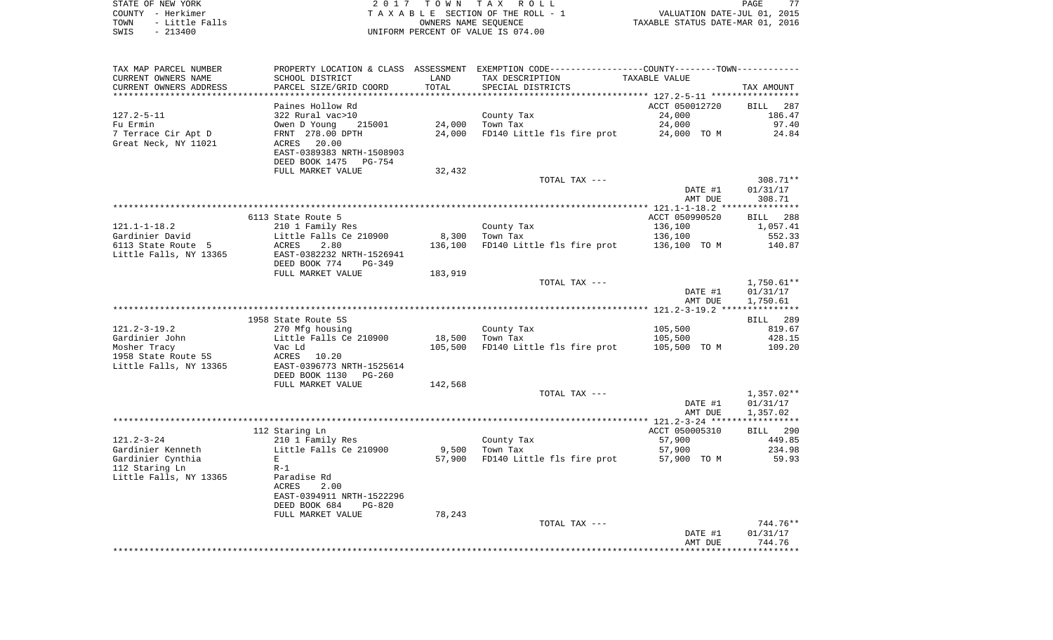| STATE OF NEW YORK      | 2017 TOWN TAX ROLL                 | 77<br>PAGE                       |
|------------------------|------------------------------------|----------------------------------|
| COUNTY - Herkimer      | TAXABLE SECTION OF THE ROLL - 1    | VALUATION DATE-JUL 01, 2015      |
| - Little Falls<br>TOWN | OWNERS NAME SEOUENCE               | TAXABLE STATUS DATE-MAR 01, 2016 |
| $-213400$<br>SWIS      | UNIFORM PERCENT OF VALUE IS 074.00 |                                  |

| TAX MAP PARCEL NUMBER<br>CURRENT OWNERS NAME | SCHOOL DISTRICT              | LAND    | PROPERTY LOCATION & CLASS ASSESSMENT EXEMPTION CODE---------------COUNTY--------TOWN----------<br>TAX DESCRIPTION | TAXABLE VALUE  |                          |
|----------------------------------------------|------------------------------|---------|-------------------------------------------------------------------------------------------------------------------|----------------|--------------------------|
| CURRENT OWNERS ADDRESS                       | PARCEL SIZE/GRID COORD       | TOTAL   | SPECIAL DISTRICTS                                                                                                 |                | TAX AMOUNT               |
|                                              |                              |         |                                                                                                                   |                |                          |
|                                              | Paines Hollow Rd             |         |                                                                                                                   | ACCT 050012720 | BILL<br>287              |
| $127.2 - 5 - 11$                             | 322 Rural vac>10             |         | County Tax                                                                                                        | 24,000         | 186.47                   |
| Fu Ermin                                     | Owen D Young<br>215001       | 24,000  | Town Tax                                                                                                          | 24,000         | 97.40                    |
| 7 Terrace Cir Apt D                          | FRNT 278.00 DPTH             | 24,000  | FD140 Little fls fire prot                                                                                        | 24,000 TO M    | 24.84                    |
| Great Neck, NY 11021                         | 20.00<br>ACRES               |         |                                                                                                                   |                |                          |
|                                              | EAST-0389383 NRTH-1508903    |         |                                                                                                                   |                |                          |
|                                              | DEED BOOK 1475 PG-754        |         |                                                                                                                   |                |                          |
|                                              | FULL MARKET VALUE            | 32,432  | TOTAL TAX ---                                                                                                     |                | 308.71**                 |
|                                              |                              |         |                                                                                                                   | DATE #1        | 01/31/17                 |
|                                              |                              |         |                                                                                                                   | AMT DUE        | 308.71                   |
|                                              |                              |         |                                                                                                                   |                |                          |
|                                              | 6113 State Route 5           |         |                                                                                                                   | ACCT 050990520 | BILL 288                 |
| $121.1 - 1 - 18.2$                           | 210 1 Family Res             |         | County Tax                                                                                                        | 136,100        | 1,057.41                 |
| Gardinier David                              | Little Falls Ce 210900       | 8,300   | Town Tax                                                                                                          | 136,100        | 552.33                   |
| 6113 State Route 5                           | ACRES<br>2.80                | 136,100 | FD140 Little fls fire prot                                                                                        | 136,100 TO M   | 140.87                   |
| Little Falls, NY 13365                       | EAST-0382232 NRTH-1526941    |         |                                                                                                                   |                |                          |
|                                              | DEED BOOK 774<br>PG-349      |         |                                                                                                                   |                |                          |
|                                              | FULL MARKET VALUE            | 183,919 |                                                                                                                   |                |                          |
|                                              |                              |         | TOTAL TAX ---                                                                                                     | DATE #1        | $1,750.61**$<br>01/31/17 |
|                                              |                              |         |                                                                                                                   | AMT DUE        | 1,750.61                 |
|                                              |                              |         |                                                                                                                   |                |                          |
|                                              | 1958 State Route 5S          |         |                                                                                                                   |                | BILL 289                 |
| $121.2 - 3 - 19.2$                           | 270 Mfg housing              |         | County Tax                                                                                                        | 105,500        | 819.67                   |
| Gardinier John                               | Little Falls Ce 210900       | 18,500  | Town Tax                                                                                                          | 105,500        | 428.15                   |
| Mosher Tracy                                 | Vac Ld                       | 105,500 | FD140 Little fls fire prot                                                                                        | 105,500 TO M   | 109.20                   |
| 1958 State Route 5S                          | ACRES<br>10.20               |         |                                                                                                                   |                |                          |
| Little Falls, NY 13365                       | EAST-0396773 NRTH-1525614    |         |                                                                                                                   |                |                          |
|                                              | DEED BOOK 1130 PG-260        |         |                                                                                                                   |                |                          |
|                                              | FULL MARKET VALUE            | 142,568 | TOTAL TAX ---                                                                                                     |                | $1,357.02**$             |
|                                              |                              |         |                                                                                                                   | DATE #1        | 01/31/17                 |
|                                              |                              |         |                                                                                                                   | AMT DUE        | 1,357.02                 |
|                                              |                              |         |                                                                                                                   |                |                          |
|                                              | 112 Staring Ln               |         |                                                                                                                   | ACCT 050005310 | BILL 290                 |
| $121.2 - 3 - 24$                             | 210 1 Family Res             |         | County Tax                                                                                                        | 57,900         | 449.85                   |
| Gardinier Kenneth                            | Little Falls Ce 210900       | 9,500   | Town Tax                                                                                                          | 57,900         | 234.98                   |
| Gardinier Cynthia                            | E                            | 57,900  | FD140 Little fls fire prot                                                                                        | 57,900 TO M    | 59.93                    |
| 112 Staring Ln                               | $R-1$                        |         |                                                                                                                   |                |                          |
| Little Falls, NY 13365                       | Paradise Rd<br>ACRES<br>2.00 |         |                                                                                                                   |                |                          |
|                                              | EAST-0394911 NRTH-1522296    |         |                                                                                                                   |                |                          |
|                                              | DEED BOOK 684<br>$PG-820$    |         |                                                                                                                   |                |                          |
|                                              | FULL MARKET VALUE            | 78,243  |                                                                                                                   |                |                          |
|                                              |                              |         | TOTAL TAX ---                                                                                                     |                | 744.76**                 |
|                                              |                              |         |                                                                                                                   | DATE #1        | 01/31/17                 |
|                                              |                              |         |                                                                                                                   | AMT DUE        | 744.76                   |
|                                              |                              |         |                                                                                                                   |                |                          |
|                                              |                              |         |                                                                                                                   |                |                          |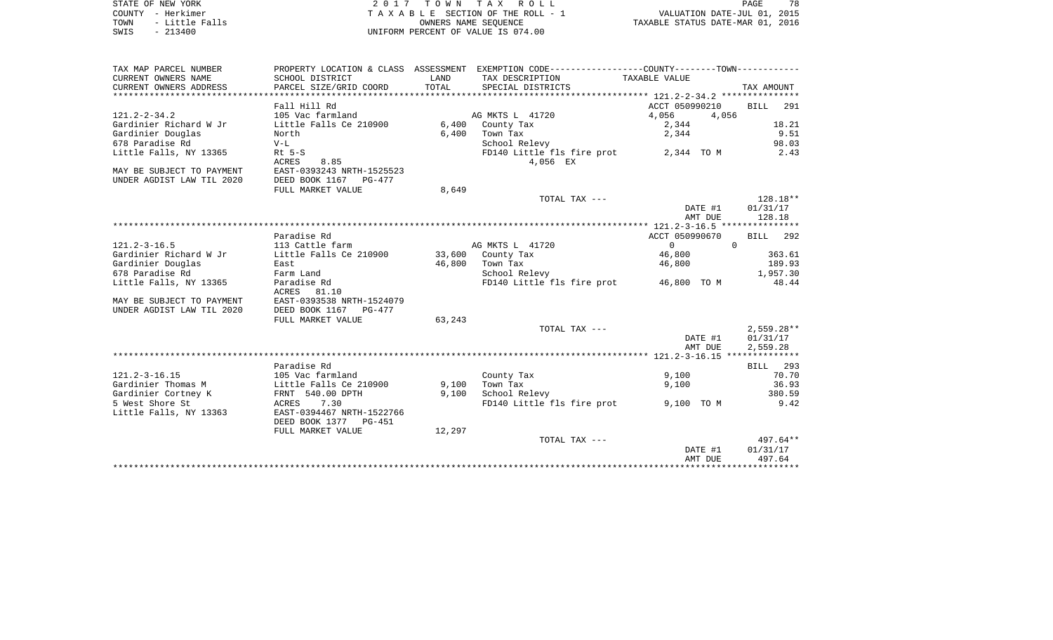| STATE OF NEW YORK |  |           |                |  |
|-------------------|--|-----------|----------------|--|
| COUNTY - Herkimer |  |           |                |  |
| TOWN              |  |           | - Little Falls |  |
| SWIS              |  | $-213400$ |                |  |

 $S$ TOWN TAX ROLL PAGE TA X A B L E SECTION OF THE ROLL - 1 TO THE ROLL - 1 VALUATION DATE-JUL 01, 2015<br>
TAXABLE STATUS DATE-MAR 01, 2016 SWIS - 213400 UNIFORM PERCENT OF VALUE IS 074.00

78

| TAX MAP PARCEL NUMBER     |                                          |        | PROPERTY LOCATION & CLASS ASSESSMENT EXEMPTION CODE---------------COUNTY-------TOWN---------- |                            |                    |
|---------------------------|------------------------------------------|--------|-----------------------------------------------------------------------------------------------|----------------------------|--------------------|
| CURRENT OWNERS NAME       | SCHOOL DISTRICT                          | LAND   | TAX DESCRIPTION                                                                               | TAXABLE VALUE              |                    |
| CURRENT OWNERS ADDRESS    | PARCEL SIZE/GRID COORD                   | TOTAL  | SPECIAL DISTRICTS                                                                             |                            | TAX AMOUNT         |
|                           |                                          |        |                                                                                               |                            |                    |
|                           | Fall Hill Rd                             |        |                                                                                               | ACCT 050990210             | 291<br><b>BILL</b> |
| $121.2 - 2 - 34.2$        | 105 Vac farmland                         |        | AG MKTS L 41720                                                                               | 4,056<br>4,056             |                    |
| Gardinier Richard W Jr    | Little Falls Ce $210900$ 6,400           |        | County Tax                                                                                    | 2,344                      | 18.21              |
| Gardinier Douglas         | North                                    | 6,400  | Town Tax                                                                                      | 2,344                      | 9.51               |
| 678 Paradise Rd           | $V-L$                                    |        | School Relevy                                                                                 |                            | 98.03              |
| Little Falls, NY 13365    | $Rt$ 5-S                                 |        | FD140 Little fls fire prot                                                                    | 2,344 TO M                 | 2.43               |
|                           | ACRES<br>8.85                            |        | 4,056 EX                                                                                      |                            |                    |
|                           |                                          |        |                                                                                               |                            |                    |
| MAY BE SUBJECT TO PAYMENT | EAST-0393243 NRTH-1525523                |        |                                                                                               |                            |                    |
| UNDER AGDIST LAW TIL 2020 | DEED BOOK 1167 PG-477                    |        |                                                                                               |                            |                    |
|                           | FULL MARKET VALUE                        | 8,649  |                                                                                               |                            |                    |
|                           |                                          |        | TOTAL TAX ---                                                                                 |                            | $128.18**$         |
|                           |                                          |        |                                                                                               | DATE #1                    | 01/31/17           |
|                           |                                          |        |                                                                                               | AMT DUE                    | 128.18             |
|                           |                                          |        |                                                                                               |                            |                    |
|                           | Paradise Rd                              |        |                                                                                               | ACCT 050990670             | BILL 292           |
| $121.2 - 3 - 16.5$        | 113 Cattle farm                          |        | AG MKTS L 41720                                                                               | $\Omega$<br>$\overline{0}$ |                    |
| Gardinier Richard W Jr    | Little Falls Ce 210900 33,600 County Tax |        |                                                                                               | 46,800                     | 363.61             |
| Gardinier Douglas         | East                                     |        | 46,800 Town Tax                                                                               | 46,800                     | 189.93             |
| 678 Paradise Rd           | Farm Land                                |        | School Relevy                                                                                 |                            | 1,957.30           |
| Little Falls, NY 13365    | Paradise Rd                              |        | FD140 Little fls fire prot 46,800 TO M                                                        |                            | 48.44              |
|                           | ACRES 81.10                              |        |                                                                                               |                            |                    |
| MAY BE SUBJECT TO PAYMENT | EAST-0393538 NRTH-1524079                |        |                                                                                               |                            |                    |
| UNDER AGDIST LAW TIL 2020 | DEED BOOK 1167 PG-477                    |        |                                                                                               |                            |                    |
|                           | FULL MARKET VALUE                        | 63,243 |                                                                                               |                            |                    |
|                           |                                          |        | TOTAL TAX ---                                                                                 |                            | $2,559.28**$       |
|                           |                                          |        |                                                                                               | DATE #1                    | 01/31/17           |
|                           |                                          |        |                                                                                               | AMT DUE                    | 2,559.28           |
|                           |                                          |        |                                                                                               |                            |                    |
|                           | Paradise Rd                              |        |                                                                                               |                            | BILL 293           |
| $121.2 - 3 - 16.15$       | 105 Vac farmland                         |        |                                                                                               | 9,100                      | 70.70              |
|                           |                                          |        | County Tax                                                                                    |                            |                    |
| Gardinier Thomas M        | Little Falls Ce 210900                   | 9,100  | Town Tax                                                                                      | 9,100                      | 36.93              |
| Gardinier Cortney K       | FRNT 540.00 DPTH                         | 9.100  | School Relevy                                                                                 |                            | 380.59             |
| 5 West Shore St           | 7.30<br>ACRES                            |        | FD140 Little fls fire prot                                                                    | 9,100 TO M                 | 9.42               |
| Little Falls, NY 13363    | EAST-0394467 NRTH-1522766                |        |                                                                                               |                            |                    |
|                           | DEED BOOK 1377 PG-451                    |        |                                                                                               |                            |                    |
|                           | FULL MARKET VALUE                        | 12,297 |                                                                                               |                            |                    |
|                           |                                          |        | TOTAL TAX ---                                                                                 |                            | 497.64**           |
|                           |                                          |        |                                                                                               | DATE #1                    | 01/31/17           |
|                           |                                          |        |                                                                                               | AMT DUE                    | 497.64             |
|                           |                                          |        |                                                                                               |                            |                    |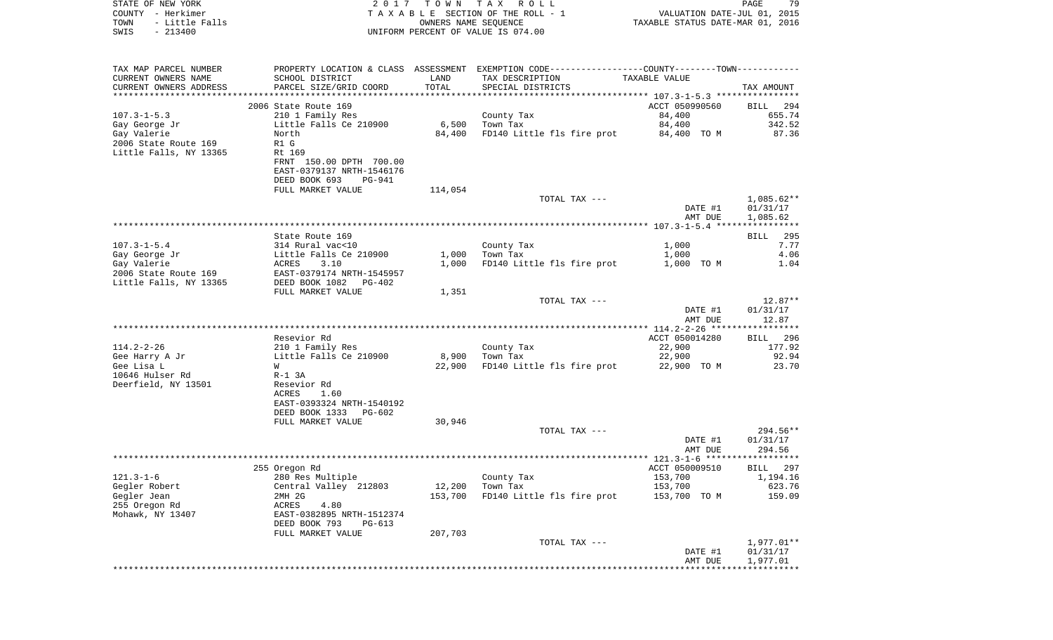| COUNTY<br>– Herkimer<br>TOWN<br>- Little Falls |                                      | OWNERS NAME SEOUENCE | T A X A B L E SECTION OF THE ROLL - 1                       | VALUATION DATE-JUL 01, 2015<br>TAXABLE STATUS DATE-MAR 01, 2016 |                          |
|------------------------------------------------|--------------------------------------|----------------------|-------------------------------------------------------------|-----------------------------------------------------------------|--------------------------|
| SWIS<br>$-213400$                              |                                      |                      | UNIFORM PERCENT OF VALUE IS 074.00                          |                                                                 |                          |
| TAX MAP PARCEL NUMBER                          | PROPERTY LOCATION & CLASS ASSESSMENT |                      | EXEMPTION CODE-----------------COUNTY-------TOWN----------- |                                                                 |                          |
| CURRENT OWNERS NAME                            | SCHOOL DISTRICT                      | LAND                 | TAX DESCRIPTION                                             | TAXABLE VALUE                                                   |                          |
| CURRENT OWNERS ADDRESS                         | PARCEL SIZE/GRID COORD               | TOTAL                | SPECIAL DISTRICTS                                           |                                                                 | TAX AMOUNT               |
|                                                | 2006 State Route 169                 |                      |                                                             | ACCT 050990560                                                  | BILL<br>294              |
| $107.3 - 1 - 5.3$                              | 210 1 Family Res                     |                      | County Tax                                                  | 84,400                                                          | 655.74                   |
| Gay George Jr                                  | Little Falls Ce 210900               | 6,500                | Town Tax                                                    | 84,400                                                          | 342.52                   |
| Gay Valerie                                    | North                                | 84,400               | FD140 Little fls fire prot                                  | 84,400 TO M                                                     | 87.36                    |
| 2006 State Route 169                           | R1 G                                 |                      |                                                             |                                                                 |                          |
| Little Falls, NY 13365                         | Rt 169                               |                      |                                                             |                                                                 |                          |
|                                                | FRNT 150.00 DPTH 700.00              |                      |                                                             |                                                                 |                          |
|                                                | EAST-0379137 NRTH-1546176            |                      |                                                             |                                                                 |                          |
|                                                | DEED BOOK 693<br><b>PG-941</b>       |                      |                                                             |                                                                 |                          |
|                                                | FULL MARKET VALUE                    | 114,054              |                                                             |                                                                 |                          |
|                                                |                                      |                      | TOTAL TAX ---                                               | DATE #1                                                         | $1,085.62**$<br>01/31/17 |
|                                                |                                      |                      |                                                             | AMT DUE                                                         | 1,085.62                 |
|                                                |                                      |                      |                                                             |                                                                 |                          |
|                                                | State Route 169                      |                      |                                                             |                                                                 | 295<br>BILL              |
| $107.3 - 1 - 5.4$                              | 314 Rural vac<10                     |                      | County Tax                                                  | 1,000                                                           | 7.77                     |
| Gay George Jr                                  | Little Falls Ce 210900               | 1,000                | Town Tax                                                    | 1,000                                                           | 4.06                     |
| Gay Valerie                                    | ACRES<br>3.10                        | 1,000                | FD140 Little fls fire prot                                  | 1,000 TO M                                                      | 1.04                     |
| 2006 State Route 169                           | EAST-0379174 NRTH-1545957            |                      |                                                             |                                                                 |                          |
| Little Falls, NY 13365                         | DEED BOOK 1082<br>PG-402             |                      |                                                             |                                                                 |                          |
|                                                | FULL MARKET VALUE                    | 1,351                | TOTAL TAX ---                                               |                                                                 | $12.87**$                |
|                                                |                                      |                      |                                                             | DATE #1                                                         | 01/31/17                 |
|                                                |                                      |                      |                                                             | AMT DUE                                                         | 12.87                    |
|                                                |                                      |                      |                                                             |                                                                 |                          |
|                                                | Resevior Rd                          |                      |                                                             | ACCT 050014280                                                  | 296<br>BILL              |
| $114.2 - 2 - 26$                               | 210 1 Family Res                     |                      | County Tax                                                  | 22,900                                                          | 177.92                   |
| Gee Harry A Jr                                 | Little Falls Ce 210900               | 8,900                | Town Tax                                                    | 22,900                                                          | 92.94                    |
| Gee Lisa L                                     | W                                    | 22,900               | FD140 Little fls fire prot                                  | 22,900 TO M                                                     | 23.70                    |
| 10646 Hulser Rd                                | $R-1$ 3A                             |                      |                                                             |                                                                 |                          |
| Deerfield, NY 13501                            | Resevior Rd<br>ACRES<br>1.60         |                      |                                                             |                                                                 |                          |
|                                                | EAST-0393324 NRTH-1540192            |                      |                                                             |                                                                 |                          |
|                                                | DEED BOOK 1333<br>PG-602             |                      |                                                             |                                                                 |                          |
|                                                | FULL MARKET VALUE                    | 30,946               |                                                             |                                                                 |                          |
|                                                |                                      |                      | TOTAL TAX ---                                               |                                                                 | $294.56**$               |
|                                                |                                      |                      |                                                             | DATE #1                                                         | 01/31/17                 |
|                                                |                                      |                      |                                                             | AMT DUE                                                         | 294.56                   |
|                                                |                                      |                      |                                                             |                                                                 | ******************       |
| $121.3 - 1 - 6$                                | 255 Oregon Rd<br>280 Res Multiple    |                      | County Tax                                                  | ACCT 050009510<br>153,700                                       | 297<br>BILL<br>1,194.16  |
| Gegler Robert                                  | Central Valley 212803                | 12,200               | Town Tax                                                    | 153,700                                                         | 623.76                   |
| Gegler Jean                                    | 2MH 2G                               | 153,700              | FD140 Little fls fire prot                                  | 153,700 TO M                                                    | 159.09                   |
| 255 Oregon Rd                                  | ACRES<br>4.80                        |                      |                                                             |                                                                 |                          |
| Mohawk, NY 13407                               | EAST-0382895 NRTH-1512374            |                      |                                                             |                                                                 |                          |
|                                                | DEED BOOK 793<br>PG-613              |                      |                                                             |                                                                 |                          |
|                                                | FULL MARKET VALUE                    | 207,703              |                                                             |                                                                 |                          |
|                                                |                                      |                      | TOTAL TAX ---                                               |                                                                 | 1,977.01**               |
|                                                |                                      |                      |                                                             | DATE #1                                                         | 01/31/17                 |
|                                                |                                      |                      |                                                             | AMT DUE                                                         | 1,977.01                 |

STATE OF NEW YORK 2 0 1 7 T O W N T A X R O L L PAGE 79

79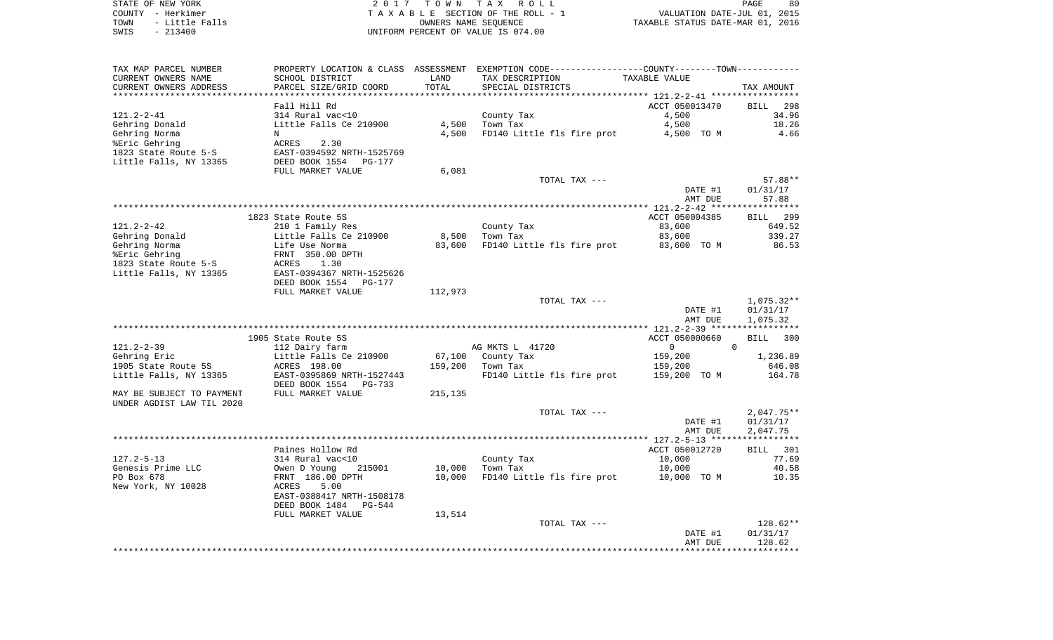STATE OF NEW YORK **EXECUTE:** A G L L 2 0 1 7 T O W N T A X R O L L COUNTY - Herkimer<br>
T A X A B L E SECTION OF THE ROLL - 1<br>
TOWN - Little Falls<br>
SWIS - 213400 - 2013400 - UNIFORM PERCENT OF VALUE IS 074.00 TOWN - Little Falls OWNERS NAME SEQUENCE TAXABLE STATUS DATE-MAR 01, 2016 SWIS - 213400 UNIFORM PERCENT OF VALUE IS 074.00

| TAX MAP PARCEL NUMBER     |                                 |         | PROPERTY LOCATION & CLASS ASSESSMENT EXEMPTION CODE----------------COUNTY-------TOWN---------- |                |                    |
|---------------------------|---------------------------------|---------|------------------------------------------------------------------------------------------------|----------------|--------------------|
| CURRENT OWNERS NAME       | SCHOOL DISTRICT                 | LAND    | TAX DESCRIPTION                                                                                | TAXABLE VALUE  |                    |
| CURRENT OWNERS ADDRESS    | PARCEL SIZE/GRID COORD          | TOTAL   | SPECIAL DISTRICTS                                                                              |                | TAX AMOUNT         |
|                           |                                 |         |                                                                                                |                |                    |
|                           | Fall Hill Rd                    |         |                                                                                                | ACCT 050013470 | <b>BILL</b><br>298 |
| $121.2 - 2 - 41$          | 314 Rural vac<10                |         | County Tax                                                                                     | 4,500          | 34.96              |
| Gehring Donald            | Little Falls Ce 210900          | 4,500   | Town Tax                                                                                       | 4,500          | 18.26              |
| Gehring Norma             | N                               | 4,500   | FD140 Little fls fire prot                                                                     | 4,500 TO M     | 4.66               |
| %Eric Gehring             | 2.30<br>ACRES                   |         |                                                                                                |                |                    |
| 1823 State Route 5-S      | EAST-0394592 NRTH-1525769       |         |                                                                                                |                |                    |
| Little Falls, NY 13365    | DEED BOOK 1554<br>PG-177        |         |                                                                                                |                |                    |
|                           | FULL MARKET VALUE               | 6,081   |                                                                                                |                |                    |
|                           |                                 |         | TOTAL TAX ---                                                                                  |                | $57.88**$          |
|                           |                                 |         |                                                                                                | DATE #1        | 01/31/17           |
|                           |                                 |         |                                                                                                | AMT DUE        | 57.88              |
|                           |                                 |         |                                                                                                |                |                    |
|                           | 1823 State Route 5S             |         |                                                                                                | ACCT 050004385 | <b>BILL</b> 299    |
| $121.2 - 2 - 42$          | 210 1 Family Res                |         | County Tax                                                                                     | 83,600         | 649.52             |
| Gehring Donald            | Little Falls Ce 210900          | 8,500   | Town Tax                                                                                       | 83,600         | 339.27             |
|                           | Life Use Norma                  | 83,600  |                                                                                                | 83,600 TO M    | 86.53              |
| Gehring Norma             |                                 |         | FD140 Little fls fire prot                                                                     |                |                    |
| %Eric Gehring             | FRNT 350.00 DPTH                |         |                                                                                                |                |                    |
| 1823 State Route 5-S      | ACRES<br>1.30                   |         |                                                                                                |                |                    |
| Little Falls, NY 13365    | EAST-0394367 NRTH-1525626       |         |                                                                                                |                |                    |
|                           | DEED BOOK 1554<br><b>PG-177</b> |         |                                                                                                |                |                    |
|                           | FULL MARKET VALUE               | 112,973 |                                                                                                |                |                    |
|                           |                                 |         | TOTAL TAX ---                                                                                  |                | $1,075.32**$       |
|                           |                                 |         |                                                                                                | DATE #1        | 01/31/17           |
|                           |                                 |         |                                                                                                | AMT DUE        | 1,075.32           |
|                           |                                 |         |                                                                                                |                |                    |
|                           | 1905 State Route 5S             |         |                                                                                                | ACCT 050000660 | <b>BILL</b><br>300 |
| $121.2 - 2 - 39$          | 112 Dairy farm                  |         | AG MKTS L 41720                                                                                | $\mathbf 0$    | $\Omega$           |
| Gehring Eric              | Little Falls Ce 210900          | 67,100  | County Tax                                                                                     | 159,200        | 1,236.89           |
| 1905 State Route 5S       | ACRES 198.00                    | 159,200 | Town Tax                                                                                       | 159,200        | 646.08             |
| Little Falls, NY 13365    | EAST-0395869 NRTH-1527443       |         | FD140 Little fls fire prot                                                                     | 159,200 TO M   | 164.78             |
|                           | DEED BOOK 1554<br>$PG-733$      |         |                                                                                                |                |                    |
| MAY BE SUBJECT TO PAYMENT | FULL MARKET VALUE               | 215,135 |                                                                                                |                |                    |
|                           |                                 |         |                                                                                                |                |                    |
| UNDER AGDIST LAW TIL 2020 |                                 |         |                                                                                                |                |                    |
|                           |                                 |         | TOTAL TAX ---                                                                                  |                | $2,047.75**$       |
|                           |                                 |         |                                                                                                | DATE #1        | 01/31/17           |
|                           |                                 |         |                                                                                                | AMT DUE        | 2,047.75           |
|                           |                                 |         |                                                                                                |                |                    |
|                           | Paines Hollow Rd                |         |                                                                                                | ACCT 050012720 | BILL<br>301        |
| $127.2 - 5 - 13$          | 314 Rural vac<10                |         | County Tax                                                                                     | 10,000         | 77.69              |
| Genesis Prime LLC         | Owen D Young<br>215001          | 10,000  | Town Tax                                                                                       | 10,000         | 40.58              |
| PO Box 678                | FRNT 186.00 DPTH                | 10,000  | FD140 Little fls fire prot                                                                     | 10,000 TO M    | 10.35              |
| New York, NY 10028        | ACRES<br>5.00                   |         |                                                                                                |                |                    |
|                           | EAST-0388417 NRTH-1508178       |         |                                                                                                |                |                    |
|                           | DEED BOOK 1484<br>PG-544        |         |                                                                                                |                |                    |
|                           | FULL MARKET VALUE               | 13,514  |                                                                                                |                |                    |
|                           |                                 |         | TOTAL TAX ---                                                                                  |                | 128.62**           |
|                           |                                 |         |                                                                                                | DATE #1        | 01/31/17           |
|                           |                                 |         |                                                                                                |                |                    |
|                           |                                 |         |                                                                                                | AMT DUE        | 128.62             |
|                           |                                 |         |                                                                                                |                |                    |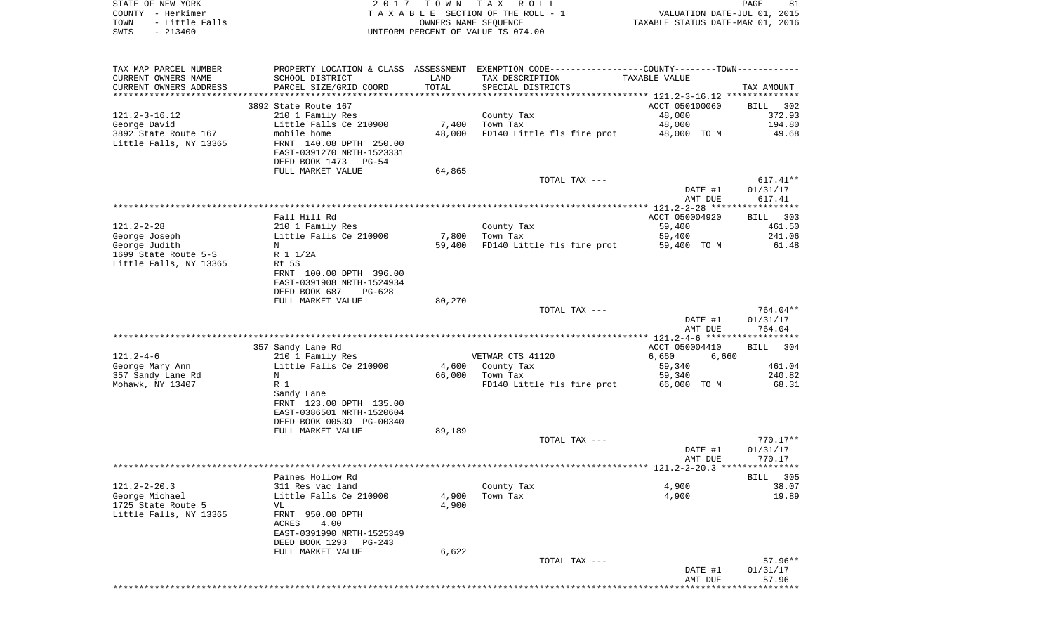| STATE OF NEW YORK   | 2017 TOWN TAX ROLL                 | 81<br>PAGE                       |
|---------------------|------------------------------------|----------------------------------|
| COUNTY - Herkimer   | TAXABLE SECTION OF THE ROLL - 1    | VALUATION DATE-JUL 01, 2015      |
| TOWN - Little Falls | OWNERS NAME SEOUENCE               | TAXABLE STATUS DATE-MAR 01, 2016 |
| SWIS<br>- 213400    | UNIFORM PERCENT OF VALUE IS 074.00 |                                  |

 $\begin{array}{c} 81 \\ 2015 \\ 2016 \end{array}$ 

| TAX MAP PARCEL NUMBER                            |                                                                                                |                 | PROPERTY LOCATION & CLASS ASSESSMENT EXEMPTION CODE----------------COUNTY-------TOWN---------- |                       |                    |
|--------------------------------------------------|------------------------------------------------------------------------------------------------|-----------------|------------------------------------------------------------------------------------------------|-----------------------|--------------------|
| CURRENT OWNERS NAME                              | SCHOOL DISTRICT                                                                                | LAND            | TAX DESCRIPTION                                                                                | TAXABLE VALUE         |                    |
| CURRENT OWNERS ADDRESS<br>********************** | PARCEL SIZE/GRID COORD                                                                         | TOTAL           | SPECIAL DISTRICTS                                                                              |                       | TAX AMOUNT         |
|                                                  | 3892 State Route 167                                                                           |                 |                                                                                                | ACCT 050100060        | <b>BILL</b><br>302 |
| $121.2 - 3 - 16.12$                              | 210 1 Family Res                                                                               |                 | County Tax                                                                                     | 48,000                | 372.93             |
| George David                                     | Little Falls Ce 210900                                                                         | 7,400           | Town Tax                                                                                       | 48,000                | 194.80             |
| 3892 State Route 167                             | mobile home                                                                                    | 48,000          | FD140 Little fls fire prot                                                                     | 48,000 TO M           | 49.68              |
| Little Falls, NY 13365                           | FRNT 140.08 DPTH 250.00<br>EAST-0391270 NRTH-1523331                                           |                 |                                                                                                |                       |                    |
|                                                  | DEED BOOK 1473<br>PG-54<br>FULL MARKET VALUE                                                   | 64,865          |                                                                                                |                       |                    |
|                                                  |                                                                                                |                 | TOTAL TAX ---                                                                                  |                       | $617.41**$         |
|                                                  |                                                                                                |                 |                                                                                                | DATE #1<br>AMT DUE    | 01/31/17<br>617.41 |
|                                                  |                                                                                                |                 |                                                                                                |                       |                    |
|                                                  | Fall Hill Rd                                                                                   |                 |                                                                                                | ACCT 050004920        | 303<br>BILL        |
| $121.2 - 2 - 28$                                 | 210 1 Family Res                                                                               |                 | County Tax                                                                                     | 59,400                | 461.50             |
| George Joseph                                    | Little Falls Ce 210900                                                                         | 7,800           | Town Tax                                                                                       | 59,400                | 241.06             |
| George Judith                                    | N                                                                                              | 59,400          | FD140 Little fls fire prot                                                                     | 59,400 TO M           | 61.48              |
| 1699 State Route 5-S<br>Little Falls, NY 13365   | R 1 1/2A<br>Rt 5S<br>FRNT 100.00 DPTH 396.00<br>EAST-0391908 NRTH-1524934                      |                 |                                                                                                |                       |                    |
|                                                  | DEED BOOK 687<br>$PG-628$<br>FULL MARKET VALUE                                                 | 80,270          |                                                                                                |                       |                    |
|                                                  |                                                                                                |                 | TOTAL TAX ---                                                                                  |                       | 764.04**           |
|                                                  |                                                                                                |                 |                                                                                                | DATE #1<br>AMT DUE    | 01/31/17<br>764.04 |
|                                                  |                                                                                                |                 |                                                                                                | ****                  | **************     |
|                                                  | 357 Sandy Lane Rd                                                                              |                 |                                                                                                | ACCT 050004410        | <b>BILL</b><br>304 |
| $121.2 - 4 - 6$                                  | 210 1 Family Res                                                                               |                 | VETWAR CTS 41120                                                                               | 6,660<br>6,660        |                    |
| George Mary Ann                                  | Little Falls Ce 210900<br>N                                                                    | 4,600<br>66,000 | County Tax<br>Town Tax                                                                         | 59,340                | 461.04<br>240.82   |
| 357 Sandy Lane Rd<br>Mohawk, NY 13407            | R <sub>1</sub>                                                                                 |                 | FD140 Little fls fire prot                                                                     | 59,340<br>66,000 TO M | 68.31              |
|                                                  | Sandy Lane<br>FRNT 123.00 DPTH 135.00<br>EAST-0386501 NRTH-1520604<br>DEED BOOK 00530 PG-00340 |                 |                                                                                                |                       |                    |
|                                                  | FULL MARKET VALUE                                                                              | 89,189          |                                                                                                |                       |                    |
|                                                  |                                                                                                |                 | TOTAL TAX ---                                                                                  |                       | $770.17**$         |
|                                                  |                                                                                                |                 |                                                                                                | DATE #1<br>AMT DUE    | 01/31/17<br>770.17 |
|                                                  |                                                                                                |                 |                                                                                                |                       | ************       |
|                                                  | Paines Hollow Rd<br>311 Res vac land                                                           |                 |                                                                                                |                       | 305<br>BILL        |
| $121.2 - 2 - 20.3$<br>George Michael             | Little Falls Ce 210900                                                                         | 4,900           | County Tax<br>Town Tax                                                                         | 4,900<br>4,900        | 38.07<br>19.89     |
| 1725 State Route 5                               | VL                                                                                             | 4,900           |                                                                                                |                       |                    |
| Little Falls, NY 13365                           | FRNT 950.00 DPTH<br>4.00<br>ACRES                                                              |                 |                                                                                                |                       |                    |
|                                                  | EAST-0391990 NRTH-1525349<br>DEED BOOK 1293<br>$PG-243$                                        |                 |                                                                                                |                       |                    |
|                                                  | FULL MARKET VALUE                                                                              | 6,622           |                                                                                                |                       |                    |
|                                                  |                                                                                                |                 | TOTAL TAX ---                                                                                  |                       | 57.96**            |
|                                                  |                                                                                                |                 |                                                                                                | DATE #1<br>AMT DUE    | 01/31/17<br>57.96  |
|                                                  |                                                                                                |                 |                                                                                                |                       |                    |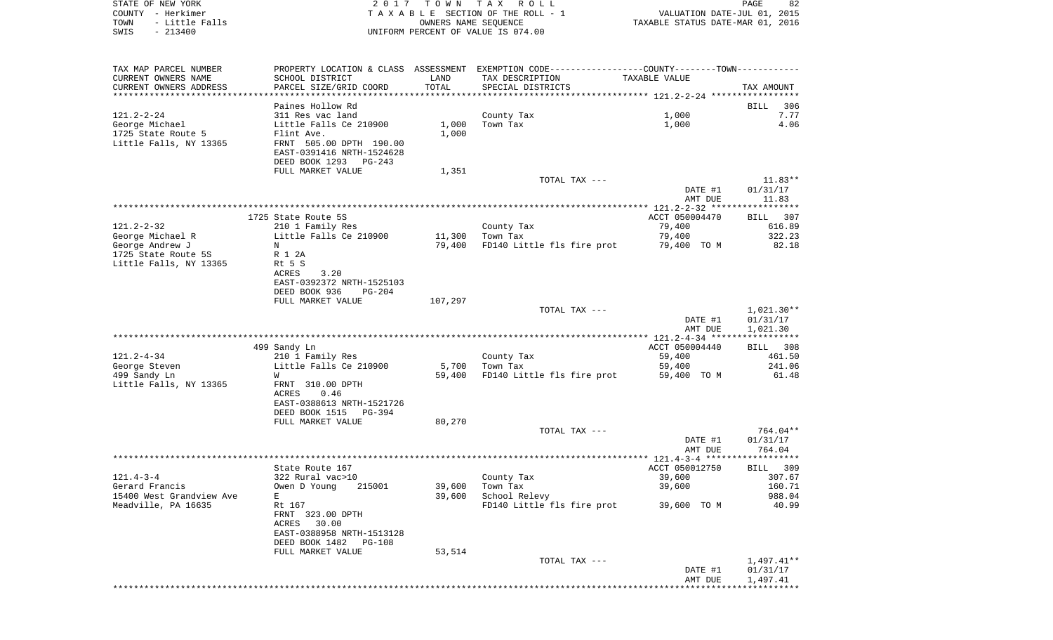| STATE OF NEW YORK<br>COUNTY - Herkimer<br>- Little Falls<br>TOWN<br>$-213400$<br>SWIS | 2017                                                                                               | T O W N        | TAX ROLL<br>TAXABLE SECTION OF THE ROLL - 1<br>OWNERS NAME SEQUENCE<br>UNIFORM PERCENT OF VALUE IS 074.00        | VALUATION DATE-JUL 01, 2015<br>TAXABLE STATUS DATE-MAR 01, 2016 | PAGE<br>82                   |
|---------------------------------------------------------------------------------------|----------------------------------------------------------------------------------------------------|----------------|------------------------------------------------------------------------------------------------------------------|-----------------------------------------------------------------|------------------------------|
| TAX MAP PARCEL NUMBER<br>CURRENT OWNERS NAME                                          | SCHOOL DISTRICT                                                                                    | LAND           | PROPERTY LOCATION & CLASS ASSESSMENT EXEMPTION CODE---------------COUNTY-------TOWN----------<br>TAX DESCRIPTION | TAXABLE VALUE                                                   |                              |
| CURRENT OWNERS ADDRESS<br>************************                                    | PARCEL SIZE/GRID COORD                                                                             | TOTAL          | SPECIAL DISTRICTS                                                                                                |                                                                 | TAX AMOUNT                   |
| $121.2 - 2 - 24$<br>George Michael<br>1725 State Route 5                              | Paines Hollow Rd<br>311 Res vac land<br>Little Falls Ce 210900<br>Flint Ave.                       | 1,000<br>1,000 | County Tax<br>Town Tax                                                                                           | 1,000<br>1,000                                                  | 306<br>BILL<br>7.77<br>4.06  |
| Little Falls, NY 13365                                                                | FRNT 505.00 DPTH 190.00<br>EAST-0391416 NRTH-1524628<br>DEED BOOK 1293 PG-243<br>FULL MARKET VALUE | 1,351          |                                                                                                                  |                                                                 |                              |
|                                                                                       |                                                                                                    |                | TOTAL TAX ---                                                                                                    |                                                                 | $11.83**$                    |
|                                                                                       |                                                                                                    |                |                                                                                                                  | DATE #1<br>AMT DUE                                              | 01/31/17<br>11.83            |
|                                                                                       |                                                                                                    |                |                                                                                                                  |                                                                 |                              |
| $121.2 - 2 - 32$                                                                      | 1725 State Route 5S<br>210 1 Family Res                                                            |                | County Tax                                                                                                       | ACCT 050004470<br>79,400                                        | <b>BILL</b><br>307<br>616.89 |
| George Michael R                                                                      | Little Falls Ce 210900                                                                             | 11,300         | Town Tax                                                                                                         | 79,400                                                          | 322.23                       |
| George Andrew J                                                                       | N                                                                                                  | 79,400         | FD140 Little fls fire prot                                                                                       | 79,400 TO M                                                     | 82.18                        |
| 1725 State Route 5S<br>Little Falls, NY 13365                                         | R 1 2A                                                                                             |                |                                                                                                                  |                                                                 |                              |
|                                                                                       | Rt 5 S<br>ACRES<br>3.20                                                                            |                |                                                                                                                  |                                                                 |                              |
|                                                                                       | EAST-0392372 NRTH-1525103                                                                          |                |                                                                                                                  |                                                                 |                              |
|                                                                                       | DEED BOOK 936<br>$PG-204$                                                                          |                |                                                                                                                  |                                                                 |                              |
|                                                                                       | FULL MARKET VALUE                                                                                  | 107,297        |                                                                                                                  |                                                                 |                              |
|                                                                                       |                                                                                                    |                | TOTAL TAX ---                                                                                                    | DATE #1                                                         | $1,021.30**$<br>01/31/17     |
|                                                                                       |                                                                                                    |                |                                                                                                                  | AMT DUE                                                         | 1,021.30                     |
|                                                                                       | 499 Sandy Ln                                                                                       |                |                                                                                                                  | ACCT 050004440                                                  | 308<br>BILL                  |
| $121.2 - 4 - 34$                                                                      | 210 1 Family Res                                                                                   |                | County Tax                                                                                                       | 59,400                                                          | 461.50                       |
| George Steven                                                                         | Little Falls Ce 210900                                                                             | 5,700          | Town Tax                                                                                                         | 59,400                                                          | 241.06                       |
| 499 Sandy Ln<br>Little Falls, NY 13365                                                | W<br>FRNT 310.00 DPTH                                                                              | 59,400         | FD140 Little fls fire prot                                                                                       | 59,400 TO M                                                     | 61.48                        |
|                                                                                       | ACRES<br>0.46                                                                                      |                |                                                                                                                  |                                                                 |                              |
|                                                                                       | EAST-0388613 NRTH-1521726                                                                          |                |                                                                                                                  |                                                                 |                              |
|                                                                                       | DEED BOOK 1515<br>PG-394<br>FULL MARKET VALUE                                                      | 80,270         |                                                                                                                  |                                                                 |                              |
|                                                                                       |                                                                                                    |                | TOTAL TAX ---                                                                                                    |                                                                 | 764.04**                     |
|                                                                                       |                                                                                                    |                |                                                                                                                  | DATE #1                                                         | 01/31/17                     |
|                                                                                       |                                                                                                    |                |                                                                                                                  | AMT DUE                                                         | 764.04                       |
|                                                                                       | State Route 167                                                                                    |                |                                                                                                                  | ACCT 050012750                                                  | BILL 309                     |
| $121.4 - 3 - 4$                                                                       | 322 Rural vac>10                                                                                   |                | County Tax                                                                                                       | 39,600                                                          | 307.67                       |
| Gerard Francis                                                                        | Owen D Young<br>215001                                                                             | 39,600         | Town Tax                                                                                                         | 39,600                                                          | 160.71                       |
| 15400 West Grandview Ave<br>Meadville, PA 16635                                       | Е<br>Rt 167                                                                                        | 39,600         | School Relevy<br>FD140 Little fls fire prot                                                                      | 39,600 TO M                                                     | 988.04<br>40.99              |
|                                                                                       | FRNT 323.00 DPTH<br>ACRES 30.00                                                                    |                |                                                                                                                  |                                                                 |                              |
|                                                                                       | EAST-0388958 NRTH-1513128<br>DEED BOOK 1482 PG-108                                                 |                |                                                                                                                  |                                                                 |                              |
|                                                                                       | FULL MARKET VALUE                                                                                  | 53,514         |                                                                                                                  |                                                                 |                              |
|                                                                                       |                                                                                                    |                | TOTAL TAX ---                                                                                                    |                                                                 | 1,497.41**                   |
|                                                                                       |                                                                                                    |                |                                                                                                                  | DATE #1<br>AMT DUE                                              | 01/31/17<br>1,497.41         |
|                                                                                       |                                                                                                    |                |                                                                                                                  |                                                                 |                              |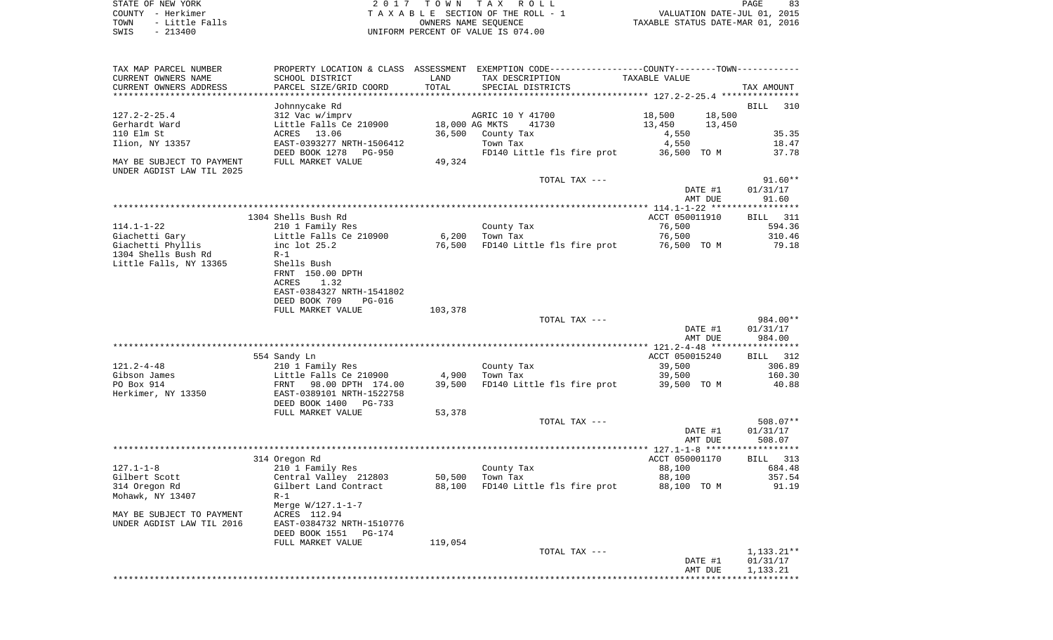| STATE OF NEW YORK      | 2017 TOWN TAX ROLL                 | PAGE                             |
|------------------------|------------------------------------|----------------------------------|
| COUNTY - Herkimer      | TAXABLE SECTION OF THE ROLL - 1    | VALUATION DATE-JUL 01, 2015      |
| - Little Falls<br>TOWN | OWNERS NAME SEOUENCE               | TAXABLE STATUS DATE-MAR 01, 2016 |
| SWIS<br>$-213400$      | UNIFORM PERCENT OF VALUE IS 074.00 |                                  |

| TAX MAP PARCEL NUMBER<br>CURRENT OWNERS NAME                                                       | PROPERTY LOCATION & CLASS ASSESSMENT EXEMPTION CODE----------------COUNTY--------TOWN----------<br>SCHOOL DISTRICT                             | LAND             | TAX DESCRIPTION                                                       | TAXABLE VALUE                                          |                                       |
|----------------------------------------------------------------------------------------------------|------------------------------------------------------------------------------------------------------------------------------------------------|------------------|-----------------------------------------------------------------------|--------------------------------------------------------|---------------------------------------|
| CURRENT OWNERS ADDRESS<br>***********************                                                  | PARCEL SIZE/GRID COORD                                                                                                                         | TOTAL            | SPECIAL DISTRICTS                                                     |                                                        | TAX AMOUNT                            |
| $127.2 - 2 - 25.4$<br>Gerhardt Ward<br>110 Elm St<br>Ilion, NY 13357                               | Johnnycake Rd<br>312 Vac w/imprv<br>Little Falls Ce 210900<br>ACRES 13.06<br>EAST-0393277 NRTH-1506412                                         | 36,500           | AGRIC 10 Y 41700<br>18,000 AG MKTS<br>41730<br>County Tax<br>Town Tax | 18,500<br>18,500<br>13,450<br>13,450<br>4,550<br>4,550 | BILL<br>310<br>35.35<br>18.47         |
| MAY BE SUBJECT TO PAYMENT<br>UNDER AGDIST LAW TIL 2025                                             | DEED BOOK 1278<br>PG-950<br>FULL MARKET VALUE                                                                                                  | 49,324           | FD140 Little fls fire prot                                            | 36,500 TO M                                            | 37.78                                 |
|                                                                                                    |                                                                                                                                                |                  | TOTAL TAX ---                                                         | DATE #1<br>AMT DUE                                     | $91.60**$<br>01/31/17<br>91.60        |
|                                                                                                    |                                                                                                                                                |                  |                                                                       |                                                        |                                       |
| 114.1-1-22<br>Giachetti Gary<br>Giachetti Phyllis<br>1304 Shells Bush Rd<br>Little Falls, NY 13365 | 1304 Shells Bush Rd<br>210 1 Family Res<br>Little Falls Ce 210900<br>inc lot 25.2<br>$R-1$<br>Shells Bush<br>FRNT 150.00 DPTH<br>1.32<br>ACRES | 6,200<br>76,500  | County Tax<br>Town Tax<br>FD140 Little fls fire prot                  | ACCT 050011910<br>76,500<br>76,500<br>76,500 TO M      | BILL 311<br>594.36<br>310.46<br>79.18 |
|                                                                                                    | EAST-0384327 NRTH-1541802<br>DEED BOOK 709<br><b>PG-016</b><br>FULL MARKET VALUE                                                               | 103,378          | TOTAL TAX ---                                                         | DATE #1                                                | 984.00**<br>01/31/17                  |
|                                                                                                    |                                                                                                                                                |                  |                                                                       | AMT DUE                                                | 984.00                                |
|                                                                                                    | 554 Sandy Ln                                                                                                                                   |                  |                                                                       | ACCT 050015240                                         | BILL 312                              |
| $121.2 - 4 - 48$                                                                                   | 210 1 Family Res                                                                                                                               |                  | County Tax                                                            | 39,500                                                 | 306.89                                |
| Gibson James<br>PO Box 914<br>Herkimer, NY 13350                                                   | Little Falls Ce 210900<br>FRNT 98.00 DPTH 174.00<br>EAST-0389101 NRTH-1522758<br>DEED BOOK 1400 PG-733                                         | 4,900<br>39,500  | Town Tax<br>FD140 Little fls fire prot                                | 39,500<br>39,500 TO M                                  | 160.30<br>40.88                       |
|                                                                                                    | FULL MARKET VALUE                                                                                                                              | 53,378           |                                                                       |                                                        |                                       |
|                                                                                                    |                                                                                                                                                |                  | TOTAL TAX ---                                                         | DATE #1<br>AMT DUE                                     | 508.07**<br>01/31/17<br>508.07        |
|                                                                                                    |                                                                                                                                                |                  |                                                                       |                                                        |                                       |
| $127.1 - 1 - 8$<br>Gilbert Scott<br>314 Oregon Rd<br>Mohawk, NY 13407                              | 314 Oregon Rd<br>210 1 Family Res<br>Central Valley 212803<br>Gilbert Land Contract<br>$R-1$                                                   | 50,500<br>88,100 | County Tax<br>Town Tax<br>FD140 Little fls fire prot                  | ACCT 050001170<br>88,100<br>88,100<br>88,100 TO M      | BILL 313<br>684.48<br>357.54<br>91.19 |
| MAY BE SUBJECT TO PAYMENT<br>UNDER AGDIST LAW TIL 2016                                             | Merge $W/127.1 - 1 - 7$<br>ACRES 112.94<br>EAST-0384732 NRTH-1510776<br>DEED BOOK 1551<br>PG-174<br>FULL MARKET VALUE                          | 119,054          |                                                                       |                                                        |                                       |
|                                                                                                    |                                                                                                                                                |                  | TOTAL TAX ---                                                         | DATE #1<br>AMT DUE                                     | $1,133.21**$<br>01/31/17<br>1,133.21  |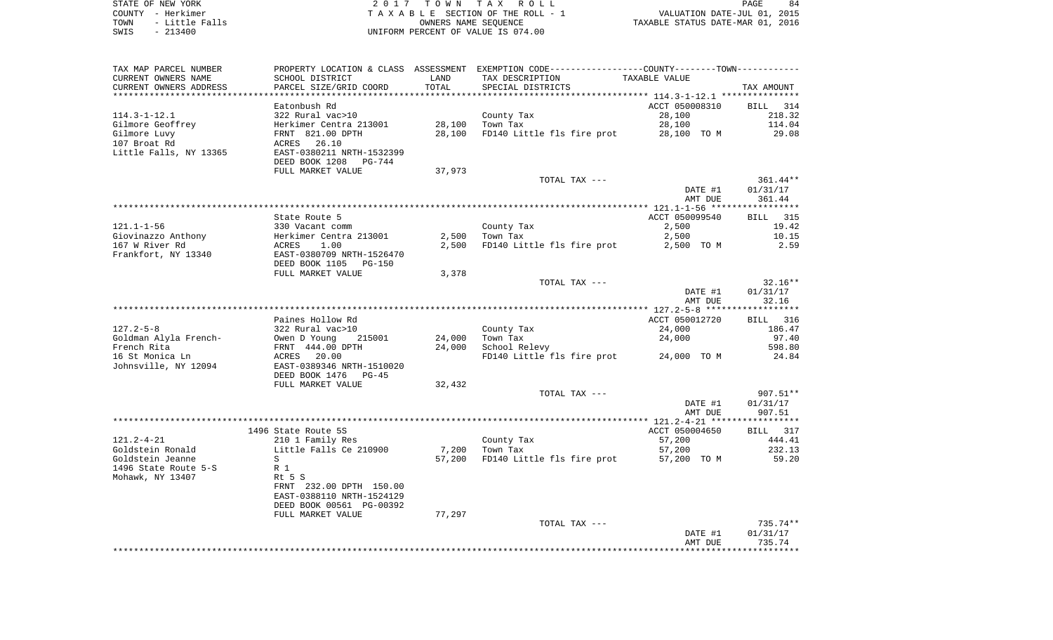STATE OF NEW YORK **EXECUTE:** A G L L 2 0 1 7 T O W N T A X R O L L COUNTY - Herkimer<br>
T A X A B L E SECTION OF THE ROLL - 1<br>
TOWN - Little Falls<br>
SWIS - 213400 - 2013400 - UNIFORM PERCENT OF VALUE IS 074.00 TOWN - LITTLE FALLS OF THE ROLL - 1<br>
TAXABLE STATUS DATE-JUL 01, 2015<br>
OWNERS NAME SEQUENCE TAXABLE STATUS DATE-MAR 01, 2016 SWIS - 213400 UNIFORM PERCENT OF VALUE IS 074.00

| TAX MAP PARCEL NUMBER  |                                 |        | PROPERTY LOCATION & CLASS ASSESSMENT EXEMPTION CODE---------------COUNTY-------TOWN---------- |                |                 |
|------------------------|---------------------------------|--------|-----------------------------------------------------------------------------------------------|----------------|-----------------|
| CURRENT OWNERS NAME    | SCHOOL DISTRICT                 | LAND   | TAX DESCRIPTION                                                                               | TAXABLE VALUE  |                 |
| CURRENT OWNERS ADDRESS | PARCEL SIZE/GRID COORD          | TOTAL  | SPECIAL DISTRICTS                                                                             |                | TAX AMOUNT      |
|                        |                                 |        |                                                                                               |                |                 |
|                        | Eatonbush Rd                    |        |                                                                                               | ACCT 050008310 | BILL 314        |
| $114.3 - 1 - 12.1$     | 322 Rural vac>10                |        | County Tax                                                                                    | 28,100         | 218.32          |
| Gilmore Geoffrey       | Herkimer Centra 213001          | 28,100 | Town Tax                                                                                      | 28,100         | 114.04          |
| Gilmore Luvy           | FRNT 821.00 DPTH                | 28,100 | FD140 Little fls fire prot                                                                    | 28,100 TO M    | 29.08           |
| 107 Broat Rd           | ACRES 26.10                     |        |                                                                                               |                |                 |
|                        |                                 |        |                                                                                               |                |                 |
| Little Falls, NY 13365 | EAST-0380211 NRTH-1532399       |        |                                                                                               |                |                 |
|                        | DEED BOOK 1208<br>PG-744        |        |                                                                                               |                |                 |
|                        | FULL MARKET VALUE               | 37,973 |                                                                                               |                |                 |
|                        |                                 |        | TOTAL TAX ---                                                                                 |                | 361.44**        |
|                        |                                 |        |                                                                                               | DATE #1        | 01/31/17        |
|                        |                                 |        |                                                                                               | AMT DUE        | 361.44          |
|                        |                                 |        |                                                                                               |                |                 |
|                        | State Route 5                   |        |                                                                                               | ACCT 050099540 | <b>BILL</b> 315 |
| $121.1 - 1 - 56$       | 330 Vacant comm                 |        | County Tax                                                                                    | 2,500          | 19.42           |
| Giovinazzo Anthony     | Herkimer Centra 213001          | 2,500  | Town Tax                                                                                      | 2,500          | 10.15           |
| 167 W River Rd         | ACRES<br>1.00                   | 2,500  | FD140 Little fls fire prot                                                                    | 2,500 TO M     | 2.59            |
| Frankfort, NY 13340    | EAST-0380709 NRTH-1526470       |        |                                                                                               |                |                 |
|                        | DEED BOOK 1105<br><b>PG-150</b> |        |                                                                                               |                |                 |
|                        | FULL MARKET VALUE               | 3,378  |                                                                                               |                |                 |
|                        |                                 |        | TOTAL TAX ---                                                                                 |                | $32.16**$       |
|                        |                                 |        |                                                                                               | DATE #1        | 01/31/17        |
|                        |                                 |        |                                                                                               | AMT DUE        | 32.16           |
|                        |                                 |        |                                                                                               |                |                 |
|                        |                                 |        |                                                                                               |                |                 |
|                        | Paines Hollow Rd                |        |                                                                                               | ACCT 050012720 | BILL 316        |
| $127.2 - 5 - 8$        | 322 Rural vac>10                |        | County Tax                                                                                    | 24,000         | 186.47          |
| Goldman Alyla French-  | Owen D Young<br>215001          | 24,000 | Town Tax                                                                                      | 24,000         | 97.40           |
| French Rita            | FRNT 444.00 DPTH                | 24,000 | School Relevy                                                                                 |                | 598.80          |
| 16 St Monica Ln        | ACRES 20.00                     |        | FD140 Little fls fire prot 24,000 TO M                                                        |                | 24.84           |
| Johnsville, NY 12094   | EAST-0389346 NRTH-1510020       |        |                                                                                               |                |                 |
|                        | DEED BOOK 1476<br>$PG-45$       |        |                                                                                               |                |                 |
|                        | FULL MARKET VALUE               | 32,432 |                                                                                               |                |                 |
|                        |                                 |        | TOTAL TAX ---                                                                                 |                | 907.51**        |
|                        |                                 |        |                                                                                               | DATE #1        | 01/31/17        |
|                        |                                 |        |                                                                                               | AMT DUE        | 907.51          |
|                        |                                 |        |                                                                                               |                |                 |
|                        | 1496 State Route 5S             |        |                                                                                               | ACCT 050004650 | BILL 317        |
| $121.2 - 4 - 21$       | 210 1 Family Res                |        | County Tax                                                                                    | 57,200         | 444.41          |
| Goldstein Ronald       | Little Falls Ce 210900          | 7,200  | Town Tax                                                                                      | 57,200         | 232.13          |
| Goldstein Jeanne       | S                               |        | 57,200 FD140 Little fls fire prot                                                             | 57,200 TO M    | 59.20           |
| 1496 State Route 5-S   | R 1                             |        |                                                                                               |                |                 |
| Mohawk, NY 13407       | Rt 5 S                          |        |                                                                                               |                |                 |
|                        |                                 |        |                                                                                               |                |                 |
|                        | FRNT 232.00 DPTH 150.00         |        |                                                                                               |                |                 |
|                        | EAST-0388110 NRTH-1524129       |        |                                                                                               |                |                 |
|                        | DEED BOOK 00561 PG-00392        |        |                                                                                               |                |                 |
|                        | FULL MARKET VALUE               | 77,297 |                                                                                               |                |                 |
|                        |                                 |        | TOTAL TAX ---                                                                                 |                | $735.74**$      |
|                        |                                 |        |                                                                                               | DATE #1        | 01/31/17        |
|                        |                                 |        |                                                                                               | AMT DUE        | 735.74          |
|                        |                                 |        |                                                                                               |                |                 |
|                        |                                 |        |                                                                                               |                |                 |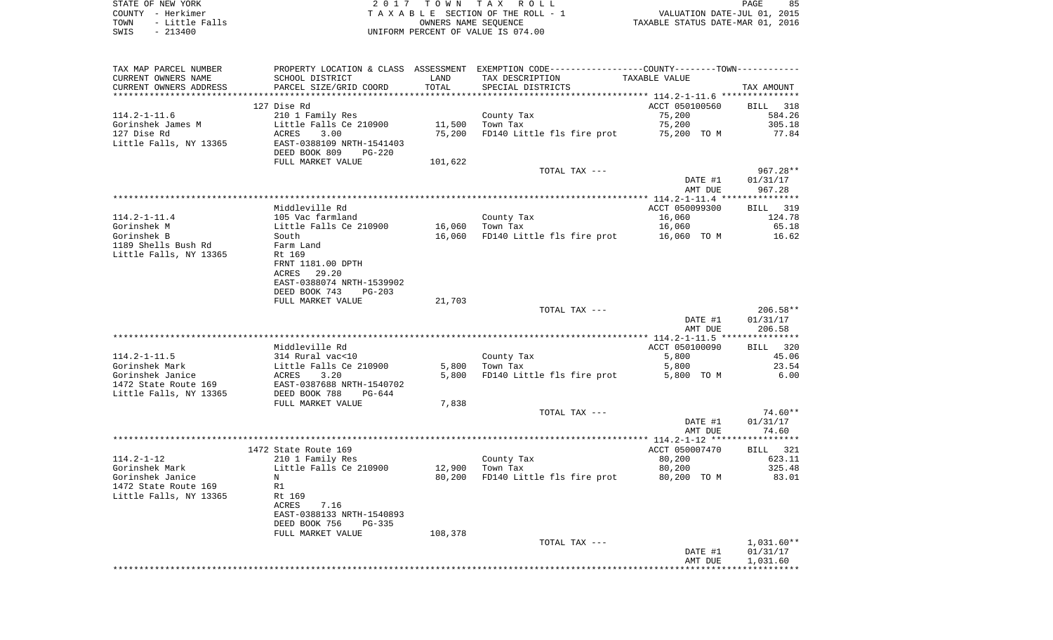STATE OF NEW YORK **EXECUTE:** TOWN TAX ROLL COUNTY - Herkimer<br>
T A X A B L E SECTION OF THE ROLL - 1<br>
TOWN - Little Falls<br>
SWIS - 213400 - 2013400 - UNIFORM PERCENT OF VALUE IS 074.00 TOWN - Little Falls OWNERS NAME SEQUENCE TAXABLE STATUS DATE-MAR 01, 2016 SWIS - 213400 UNIFORM PERCENT OF VALUE IS 074.00

| TAX MAP PARCEL NUMBER  | PROPERTY LOCATION & CLASS ASSESSMENT |         | EXEMPTION CODE-----------------COUNTY--------TOWN----------- |                |              |
|------------------------|--------------------------------------|---------|--------------------------------------------------------------|----------------|--------------|
| CURRENT OWNERS NAME    | SCHOOL DISTRICT                      | LAND    | TAX DESCRIPTION                                              | TAXABLE VALUE  |              |
| CURRENT OWNERS ADDRESS | PARCEL SIZE/GRID COORD               | TOTAL   | SPECIAL DISTRICTS                                            |                | TAX AMOUNT   |
|                        |                                      |         |                                                              |                |              |
|                        | 127 Dise Rd                          |         |                                                              | ACCT 050100560 | BILL 318     |
| $114.2 - 1 - 11.6$     | 210 1 Family Res                     |         | County Tax                                                   | 75,200         | 584.26       |
| Gorinshek James M      | Little Falls Ce 210900               | 11,500  | Town Tax                                                     | 75,200         | 305.18       |
| 127 Dise Rd            | ACRES<br>3.00                        | 75,200  | FD140 Little fls fire prot                                   | 75,200 TO M    | 77.84        |
| Little Falls, NY 13365 | EAST-0388109 NRTH-1541403            |         |                                                              |                |              |
|                        | DEED BOOK 809<br><b>PG-220</b>       |         |                                                              |                |              |
|                        | FULL MARKET VALUE                    | 101,622 |                                                              |                |              |
|                        |                                      |         | TOTAL TAX ---                                                |                | $967.28**$   |
|                        |                                      |         |                                                              | DATE #1        | 01/31/17     |
|                        |                                      |         |                                                              | AMT DUE        | 967.28       |
|                        |                                      |         |                                                              |                |              |
|                        | Middleville Rd                       |         |                                                              | ACCT 050099300 | BILL 319     |
| $114.2 - 1 - 11.4$     | 105 Vac farmland                     |         | County Tax                                                   | 16,060         | 124.78       |
| Gorinshek M            | Little Falls Ce 210900               | 16,060  | Town Tax                                                     | 16,060         | 65.18        |
| Gorinshek B            | South                                | 16,060  | FD140 Little fls fire prot                                   | 16,060 TO M    | 16.62        |
| 1189 Shells Bush Rd    | Farm Land                            |         |                                                              |                |              |
| Little Falls, NY 13365 | Rt 169                               |         |                                                              |                |              |
|                        | FRNT 1181.00 DPTH                    |         |                                                              |                |              |
|                        | 29.20<br>ACRES                       |         |                                                              |                |              |
|                        | EAST-0388074 NRTH-1539902            |         |                                                              |                |              |
|                        | DEED BOOK 743<br>$PG-203$            |         |                                                              |                |              |
|                        | FULL MARKET VALUE                    | 21,703  |                                                              |                |              |
|                        |                                      |         | TOTAL TAX ---                                                |                | $206.58**$   |
|                        |                                      |         |                                                              | DATE #1        | 01/31/17     |
|                        |                                      |         |                                                              | AMT DUE        | 206.58       |
|                        |                                      |         |                                                              |                |              |
|                        | Middleville Rd                       |         |                                                              | ACCT 050100090 | BILL 320     |
| $114.2 - 1 - 11.5$     |                                      |         |                                                              |                | 45.06        |
|                        | 314 Rural vac<10                     |         | County Tax                                                   | 5,800          |              |
| Gorinshek Mark         | Little Falls Ce 210900               | 5,800   | Town Tax                                                     | 5,800          | 23.54        |
| Gorinshek Janice       | ACRES<br>3.20                        | 5,800   | FD140 Little fls fire prot                                   | 5,800 TO M     | 6.00         |
| 1472 State Route 169   | EAST-0387688 NRTH-1540702            |         |                                                              |                |              |
| Little Falls, NY 13365 | DEED BOOK 788<br>$PG-644$            |         |                                                              |                |              |
|                        | FULL MARKET VALUE                    | 7,838   |                                                              |                |              |
|                        |                                      |         | TOTAL TAX ---                                                |                | 74.60**      |
|                        |                                      |         |                                                              | DATE #1        | 01/31/17     |
|                        |                                      |         |                                                              | AMT DUE        | 74.60        |
|                        |                                      |         |                                                              |                |              |
|                        | 1472 State Route 169                 |         |                                                              | ACCT 050007470 | BILL 321     |
| $114.2 - 1 - 12$       | 210 1 Family Res                     |         | County Tax                                                   | 80,200         | 623.11       |
| Gorinshek Mark         | Little Falls Ce 210900               | 12,900  | Town Tax                                                     | 80,200         | 325.48       |
| Gorinshek Janice       | N                                    | 80,200  | FD140 Little fls fire prot                                   | 80,200 TO M    | 83.01        |
| 1472 State Route 169   | R1                                   |         |                                                              |                |              |
| Little Falls, NY 13365 | Rt 169                               |         |                                                              |                |              |
|                        | 7.16<br>ACRES                        |         |                                                              |                |              |
|                        | EAST-0388133 NRTH-1540893            |         |                                                              |                |              |
|                        | DEED BOOK 756<br>$PG-335$            |         |                                                              |                |              |
|                        | FULL MARKET VALUE                    | 108,378 |                                                              |                |              |
|                        |                                      |         | TOTAL TAX ---                                                |                | $1,031.60**$ |
|                        |                                      |         |                                                              | DATE #1        | 01/31/17     |
|                        |                                      |         |                                                              | AMT DUE        | 1,031.60     |
|                        |                                      |         |                                                              |                |              |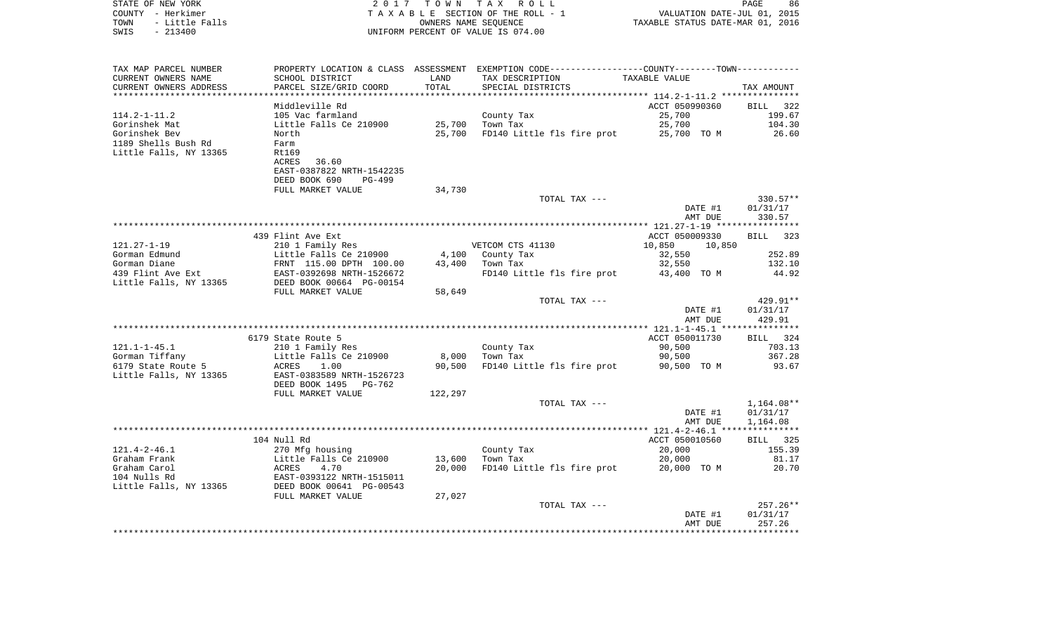| COUNTY<br>– Herkimer<br>TOWN<br>- Little Falls<br>SWIS<br>$-213400$ |                           |             | T A X A B L E SECTION OF THE ROLL - 1<br>OWNERS NAME SEQUENCE<br>UNIFORM PERCENT OF VALUE IS 074.00 | VALUATION DATE-JUL 01, 2015<br>TAXABLE STATUS DATE-MAR 01, 2016 |                    |
|---------------------------------------------------------------------|---------------------------|-------------|-----------------------------------------------------------------------------------------------------|-----------------------------------------------------------------|--------------------|
|                                                                     |                           |             |                                                                                                     |                                                                 |                    |
| TAX MAP PARCEL NUMBER                                               |                           |             | PROPERTY LOCATION & CLASS ASSESSMENT EXEMPTION CODE----------------COUNTY--------TOWN----------     |                                                                 |                    |
| CURRENT OWNERS NAME                                                 | SCHOOL DISTRICT           | LAND        | TAX DESCRIPTION                                                                                     | TAXABLE VALUE                                                   |                    |
| CURRENT OWNERS ADDRESS                                              | PARCEL SIZE/GRID COORD    | TOTAL       | SPECIAL DISTRICTS                                                                                   |                                                                 | TAX AMOUNT         |
|                                                                     |                           | *********** |                                                                                                     |                                                                 |                    |
|                                                                     | Middleville Rd            |             |                                                                                                     | ACCT 050990360                                                  | 322<br><b>BILL</b> |
| $114.2 - 1 - 11.2$                                                  | 105 Vac farmland          |             | County Tax                                                                                          | 25,700                                                          | 199.67             |
| Gorinshek Mat                                                       | Little Falls Ce 210900    | 25,700      | Town Tax                                                                                            | 25,700                                                          | 104.30             |
| Gorinshek Bev                                                       | North                     | 25,700      | FD140 Little fls fire prot                                                                          | 25,700 TO M                                                     | 26.60              |
| 1189 Shells Bush Rd<br>Little Falls, NY 13365                       | Farm<br><b>Rt169</b>      |             |                                                                                                     |                                                                 |                    |
|                                                                     | 36.60<br>ACRES            |             |                                                                                                     |                                                                 |                    |
|                                                                     | EAST-0387822 NRTH-1542235 |             |                                                                                                     |                                                                 |                    |
|                                                                     | DEED BOOK 690<br>PG-499   |             |                                                                                                     |                                                                 |                    |
|                                                                     | FULL MARKET VALUE         | 34,730      |                                                                                                     |                                                                 |                    |
|                                                                     |                           |             | TOTAL TAX ---                                                                                       |                                                                 | $330.57**$         |
|                                                                     |                           |             |                                                                                                     | DATE #1                                                         | 01/31/17           |
|                                                                     |                           |             |                                                                                                     | AMT DUE                                                         | 330.57             |
|                                                                     |                           |             |                                                                                                     |                                                                 |                    |
|                                                                     | 439 Flint Ave Ext         |             |                                                                                                     | ACCT 050009330                                                  | BILL 323           |
| $121.27 - 1 - 19$                                                   | 210 1 Family Res          |             | VETCOM CTS 41130                                                                                    | 10,850<br>10,850                                                |                    |
| Gorman Edmund                                                       | Little Falls Ce 210900    |             | 4,100 County Tax                                                                                    | 32,550                                                          | 252.89             |
| Gorman Diane                                                        | FRNT 115.00 DPTH 100.00   | 43,400      | Town Tax                                                                                            | 32,550                                                          | 132.10             |
| 439 Flint Ave Ext                                                   | EAST-0392698 NRTH-1526672 |             | FD140 Little fls fire prot                                                                          | 43,400 TO M                                                     | 44.92              |
| Little Falls, NY 13365                                              | DEED BOOK 00664 PG-00154  |             |                                                                                                     |                                                                 |                    |
|                                                                     | FULL MARKET VALUE         | 58,649      | TOTAL TAX ---                                                                                       |                                                                 | $429.91**$         |
|                                                                     |                           |             |                                                                                                     | DATE #1                                                         | 01/31/17           |
|                                                                     |                           |             |                                                                                                     | AMT DUE                                                         | 429.91             |
|                                                                     |                           |             |                                                                                                     |                                                                 |                    |
|                                                                     | 6179 State Route 5        |             |                                                                                                     | ACCT 050011730                                                  | BILL 324           |
| $121.1 - 1 - 45.1$                                                  | 210 1 Family Res          |             | County Tax                                                                                          | 90,500                                                          | 703.13             |
| Gorman Tiffany                                                      | Little Falls Ce 210900    | 8,000       | Town Tax                                                                                            | 90,500                                                          | 367.28             |
| 6179 State Route 5                                                  | ACRES<br>1.00             | 90,500      | FD140 Little fls fire prot                                                                          | 90,500 TO M                                                     | 93.67              |
| Little Falls, NY 13365                                              | EAST-0383589 NRTH-1526723 |             |                                                                                                     |                                                                 |                    |
|                                                                     | DEED BOOK 1495<br>PG-762  |             |                                                                                                     |                                                                 |                    |
|                                                                     | FULL MARKET VALUE         | 122,297     |                                                                                                     |                                                                 |                    |
|                                                                     |                           |             | TOTAL TAX ---                                                                                       |                                                                 | 1,164.08**         |
|                                                                     |                           |             |                                                                                                     | DATE #1                                                         | 01/31/17           |
|                                                                     |                           |             |                                                                                                     | AMT DUE                                                         | 1,164.08           |
|                                                                     | 104 Null Rd               |             |                                                                                                     | ACCT 050010560                                                  | BILL 325           |
| $121.4 - 2 - 46.1$                                                  | 270 Mfg housing           |             | County Tax                                                                                          | 20,000                                                          | 155.39             |
| Graham Frank                                                        | Little Falls Ce 210900    | 13,600      | Town Tax                                                                                            | 20,000                                                          | 81.17              |
| Graham Carol                                                        | 4.70<br>ACRES             | 20,000      | FD140 Little fls fire prot                                                                          | 20,000 TO M                                                     | 20.70              |
| 104 Nulls Rd                                                        | EAST-0393122 NRTH-1515011 |             |                                                                                                     |                                                                 |                    |
| Little Falls, NY 13365                                              | DEED BOOK 00641 PG-00543  |             |                                                                                                     |                                                                 |                    |
|                                                                     | FULL MARKET VALUE         | 27,027      |                                                                                                     |                                                                 |                    |
|                                                                     |                           |             | TOTAL TAX ---                                                                                       |                                                                 | 257.26**           |
|                                                                     |                           |             |                                                                                                     | DATE #1                                                         | 01/31/17           |
|                                                                     |                           |             |                                                                                                     | AMT DUE                                                         | 257.26             |

STATE OF NEW YORK STATE OF NEW YORK STATE OF NEW YORK STATE OF NEW YORK STATE OF NEW YORK STATE AND RESERVE AND THE STATE OF THE STATE OF THE STATE OF THE STATE OF THE STATE OF THE STATE OF THE STATE OF THE STATE OF THE ST

86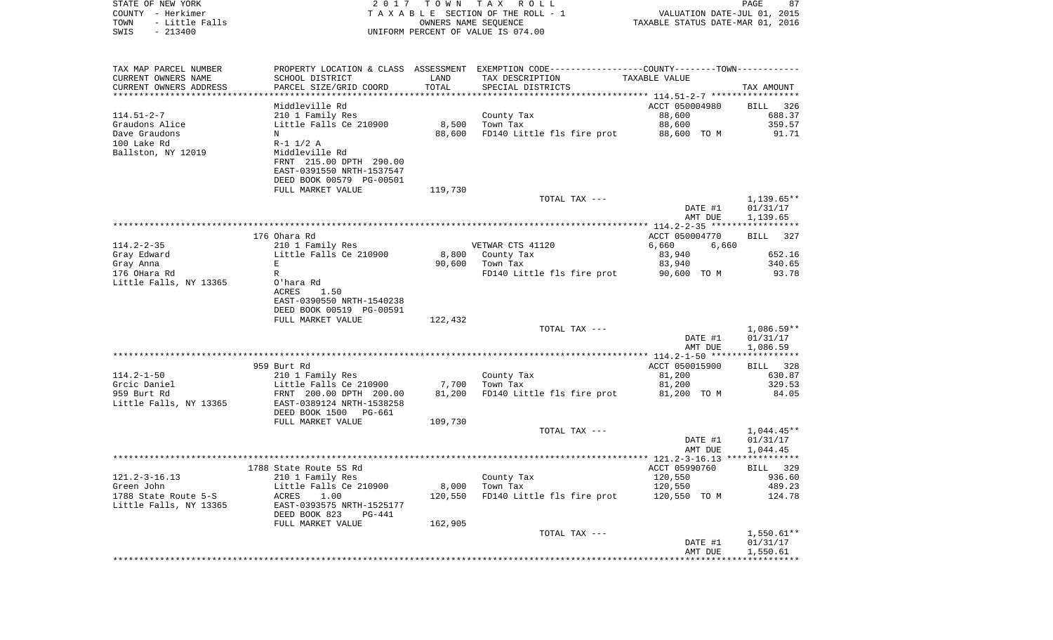| STATE OF NEW YORK                               | 2017                                             | T O W N | TAX ROLL                                                                                      |                                                                 | PAGE<br>87           |
|-------------------------------------------------|--------------------------------------------------|---------|-----------------------------------------------------------------------------------------------|-----------------------------------------------------------------|----------------------|
| COUNTY - Herkimer<br>- Little Falls<br>TOWN     |                                                  |         | TAXABLE SECTION OF THE ROLL - 1<br>OWNERS NAME SEQUENCE                                       | VALUATION DATE-JUL 01, 2015<br>TAXABLE STATUS DATE-MAR 01, 2016 |                      |
| $-213400$<br>SWIS                               |                                                  |         | UNIFORM PERCENT OF VALUE IS 074.00                                                            |                                                                 |                      |
|                                                 |                                                  |         |                                                                                               |                                                                 |                      |
|                                                 |                                                  |         |                                                                                               |                                                                 |                      |
| TAX MAP PARCEL NUMBER                           |                                                  |         | PROPERTY LOCATION & CLASS ASSESSMENT EXEMPTION CODE---------------COUNTY-------TOWN---------- |                                                                 |                      |
| CURRENT OWNERS NAME                             | SCHOOL DISTRICT                                  | LAND    | TAX DESCRIPTION                                                                               | TAXABLE VALUE                                                   |                      |
| CURRENT OWNERS ADDRESS<br>********************* | PARCEL SIZE/GRID COORD<br>********************** | TOTAL   | SPECIAL DISTRICTS                                                                             |                                                                 | TAX AMOUNT           |
|                                                 | Middleville Rd                                   |         |                                                                                               | ACCT 050004980                                                  | 326<br>BILL          |
| $114.51 - 2 - 7$                                | 210 1 Family Res                                 |         | County Tax                                                                                    | 88,600                                                          | 688.37               |
| Graudons Alice                                  | Little Falls Ce 210900                           | 8,500   | Town Tax                                                                                      | 88,600                                                          | 359.57               |
| Dave Graudons                                   | N                                                | 88,600  | FD140 Little fls fire prot                                                                    | 88,600 TO M                                                     | 91.71                |
| 100 Lake Rd                                     | $R-1$ 1/2 A                                      |         |                                                                                               |                                                                 |                      |
| Ballston, NY 12019                              | Middleville Rd                                   |         |                                                                                               |                                                                 |                      |
|                                                 | FRNT 215.00 DPTH 290.00                          |         |                                                                                               |                                                                 |                      |
|                                                 | EAST-0391550 NRTH-1537547                        |         |                                                                                               |                                                                 |                      |
|                                                 | DEED BOOK 00579 PG-00501                         |         |                                                                                               |                                                                 |                      |
|                                                 | FULL MARKET VALUE                                | 119,730 |                                                                                               |                                                                 |                      |
|                                                 |                                                  |         | TOTAL TAX ---                                                                                 |                                                                 | $1,139.65**$         |
|                                                 |                                                  |         |                                                                                               | DATE #1                                                         | 01/31/17             |
|                                                 |                                                  |         |                                                                                               | AMT DUE                                                         | 1,139.65             |
|                                                 | 176 Ohara Rd                                     |         |                                                                                               | ACCT 050004770                                                  | <b>BILL</b><br>327   |
| $114.2 - 2 - 35$                                | 210 1 Family Res                                 |         | VETWAR CTS 41120                                                                              | 6,660<br>6,660                                                  |                      |
| Gray Edward                                     | Little Falls Ce 210900                           | 8,800   | County Tax                                                                                    | 83,940                                                          | 652.16               |
| Gray Anna                                       | Е                                                | 90,600  | Town Tax                                                                                      | 83,940                                                          | 340.65               |
| 176 OHara Rd                                    | R                                                |         | FD140 Little fls fire prot                                                                    | 90,600 TO M                                                     | 93.78                |
| Little Falls, NY 13365                          | O'hara Rd                                        |         |                                                                                               |                                                                 |                      |
|                                                 | <b>ACRES</b><br>1.50                             |         |                                                                                               |                                                                 |                      |
|                                                 | EAST-0390550 NRTH-1540238                        |         |                                                                                               |                                                                 |                      |
|                                                 | DEED BOOK 00519 PG-00591                         |         |                                                                                               |                                                                 |                      |
|                                                 | FULL MARKET VALUE                                | 122,432 | TOTAL TAX ---                                                                                 |                                                                 | $1,086.59**$         |
|                                                 |                                                  |         |                                                                                               | DATE #1                                                         | 01/31/17             |
|                                                 |                                                  |         |                                                                                               | AMT DUE                                                         | 1,086.59             |
|                                                 | *****************                                |         | *****************************                                                                 | ************ 114.2-1-50 ******                                  |                      |
|                                                 | 959 Burt Rd                                      |         |                                                                                               | ACCT 050015900                                                  | BILL<br>328          |
| $114.2 - 1 - 50$                                | 210 1 Family Res                                 |         | County Tax                                                                                    | 81,200                                                          | 630.87               |
| Grcic Daniel                                    | Little Falls Ce 210900                           | 7,700   | Town Tax                                                                                      | 81,200                                                          | 329.53               |
| 959 Burt Rd                                     | FRNT 200.00 DPTH 200.00                          | 81,200  | FD140 Little fls fire prot                                                                    | 81,200 TO M                                                     | 84.05                |
| Little Falls, NY 13365                          | EAST-0389124 NRTH-1538258                        |         |                                                                                               |                                                                 |                      |
|                                                 | DEED BOOK 1500<br>PG-661                         |         |                                                                                               |                                                                 |                      |
|                                                 | FULL MARKET VALUE                                | 109,730 |                                                                                               |                                                                 | $1,044.45**$         |
|                                                 |                                                  |         | TOTAL TAX ---                                                                                 | DATE #1                                                         | 01/31/17             |
|                                                 |                                                  |         |                                                                                               | AMT DUE                                                         | 1,044.45             |
|                                                 |                                                  |         |                                                                                               |                                                                 |                      |
|                                                 | 1788 State Route 5S Rd                           |         |                                                                                               | ACCT 05990760                                                   | BILL 329             |
| $121.2 - 3 - 16.13$                             | 210 1 Family Res                                 |         | County Tax                                                                                    | 120,550                                                         | 936.60               |
| Green John                                      | Little Falls Ce 210900                           | 8,000   | Town Tax                                                                                      | 120,550                                                         | 489.23               |
| 1788 State Route 5-S                            | <b>ACRES</b><br>1.00                             | 120,550 | FD140 Little fls fire prot                                                                    | 120,550 TO M                                                    | 124.78               |
| Little Falls, NY 13365                          | EAST-0393575 NRTH-1525177                        |         |                                                                                               |                                                                 |                      |
|                                                 | DEED BOOK 823<br>PG-441                          |         |                                                                                               |                                                                 |                      |
|                                                 | FULL MARKET VALUE                                | 162,905 |                                                                                               |                                                                 |                      |
|                                                 |                                                  |         | TOTAL TAX ---                                                                                 | DATE #1                                                         | $1,550.61**$         |
|                                                 |                                                  |         |                                                                                               | AMT DUE                                                         | 01/31/17<br>1,550.61 |
|                                                 |                                                  |         |                                                                                               |                                                                 |                      |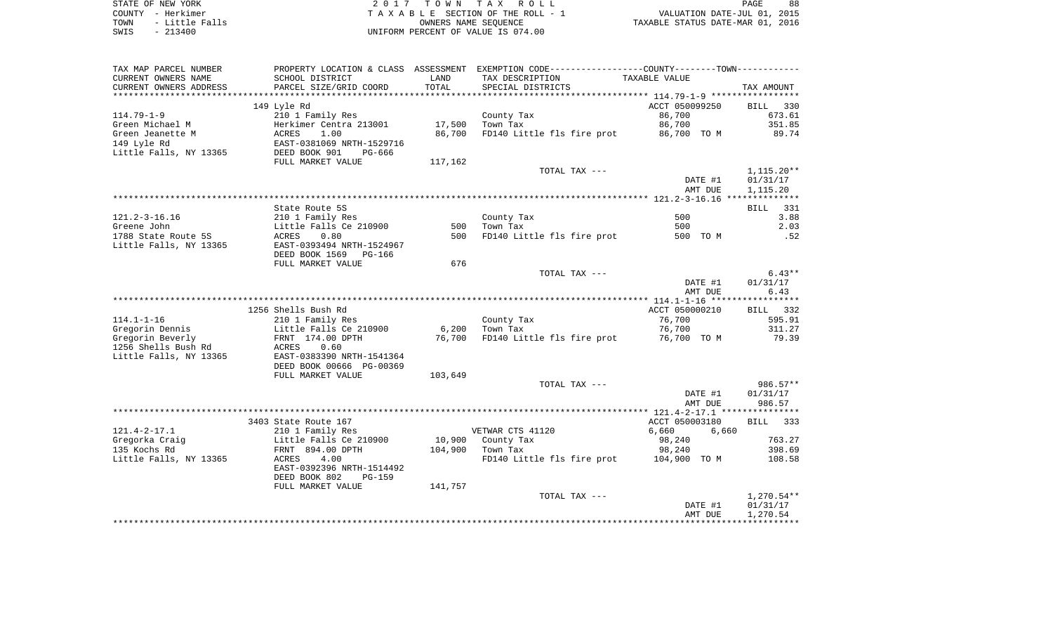STATE OF NEW YORK 2 0 1 7 T O W N T A X R O L L PAGE 88COUNTY - Herkimer<br>
T A X A B L E SECTION OF THE ROLL - 1<br>
TOWN - Little Falls<br>
SWIS - 213400 - 2013400 - UNIFORM PERCENT OF VALUE IS 074.00 UNIFORM PERCENT OF VALUE IS 074.00

PAGE 88 TO A MOVE AND THE ROLL - 1 WALUATION DATE-JUL 01, 2015<br>
UNIERS NAME SEQUENCE TAXABLE STATUS DATE-MAR 01, 2016

| TAX MAP PARCEL NUMBER<br>CURRENT OWNERS NAME<br>CURRENT OWNERS ADDRESS | PROPERTY LOCATION & CLASS ASSESSMENT<br>SCHOOL DISTRICT<br>PARCEL SIZE/GRID COORD | LAND<br>TOTAL | EXEMPTION CODE-----------------COUNTY-------TOWN-----------<br>TAX DESCRIPTION<br>SPECIAL DISTRICTS |               | TAXABLE VALUE  |       | TAX AMOUNT         |
|------------------------------------------------------------------------|-----------------------------------------------------------------------------------|---------------|-----------------------------------------------------------------------------------------------------|---------------|----------------|-------|--------------------|
| ***********************                                                |                                                                                   |               |                                                                                                     |               |                |       |                    |
|                                                                        | 149 Lyle Rd                                                                       |               |                                                                                                     |               | ACCT 050099250 |       | <b>BILL</b><br>330 |
| $114.79 - 1 - 9$                                                       | 210 1 Family Res                                                                  |               | County Tax                                                                                          |               | 86,700         |       | 673.61             |
| Green Michael M                                                        | Herkimer Centra 213001                                                            | 17,500        | Town Tax                                                                                            |               | 86,700         |       | 351.85             |
| Green Jeanette M                                                       | 1.00<br><b>ACRES</b>                                                              | 86,700        | FD140 Little fls fire prot                                                                          |               | 86,700 TO M    |       | 89.74              |
| 149 Lyle Rd                                                            | EAST-0381069 NRTH-1529716                                                         |               |                                                                                                     |               |                |       |                    |
| Little Falls, NY 13365                                                 | DEED BOOK 901<br>PG-666                                                           |               |                                                                                                     |               |                |       |                    |
|                                                                        | FULL MARKET VALUE                                                                 | 117,162       |                                                                                                     |               |                |       |                    |
|                                                                        |                                                                                   |               |                                                                                                     | TOTAL TAX --- |                |       | $1,115.20**$       |
|                                                                        |                                                                                   |               |                                                                                                     |               | DATE #1        |       | 01/31/17           |
|                                                                        |                                                                                   |               |                                                                                                     |               | AMT DUE        |       | 1,115.20           |
|                                                                        |                                                                                   |               |                                                                                                     |               |                |       |                    |
|                                                                        | State Route 5S                                                                    |               |                                                                                                     |               |                |       | BILL 331           |
| $121.2 - 3 - 16.16$                                                    | 210 1 Family Res                                                                  |               | County Tax                                                                                          |               | 500            |       | 3.88               |
| Greene John                                                            | Little Falls Ce 210900                                                            | 500           | Town Tax                                                                                            |               | 500            |       | 2.03               |
| 1788 State Route 5S                                                    | 0.80<br>ACRES                                                                     | 500           | FD140 Little fls fire prot                                                                          |               | 500 TO M       |       | .52                |
| Little Falls, NY 13365                                                 | EAST-0393494 NRTH-1524967                                                         |               |                                                                                                     |               |                |       |                    |
|                                                                        | DEED BOOK 1569 PG-166                                                             |               |                                                                                                     |               |                |       |                    |
|                                                                        | FULL MARKET VALUE                                                                 | 676           |                                                                                                     |               |                |       |                    |
|                                                                        |                                                                                   |               |                                                                                                     | TOTAL TAX --- |                |       | $6.43**$           |
|                                                                        |                                                                                   |               |                                                                                                     |               | DATE #1        |       | 01/31/17           |
|                                                                        |                                                                                   |               |                                                                                                     |               | AMT DUE        |       | 6.43               |
|                                                                        |                                                                                   |               |                                                                                                     |               |                |       |                    |
|                                                                        | 1256 Shells Bush Rd                                                               |               |                                                                                                     |               | ACCT 050000210 |       | BILL<br>332        |
| $114.1 - 1 - 16$                                                       | 210 1 Family Res                                                                  |               | County Tax                                                                                          |               | 76,700         |       | 595.91             |
| Gregorin Dennis                                                        | Little Falls Ce 210900                                                            | 6,200         | Town Tax                                                                                            |               | 76,700         |       | 311.27             |
| Gregorin Beverly<br>1256 Shells Bush Rd                                | FRNT 174.00 DPTH<br>ACRES<br>0.60                                                 | 76,700        | FD140 Little fls fire prot                                                                          |               | 76,700 TO M    |       | 79.39              |
| Little Falls, NY 13365                                                 | EAST-0383390 NRTH-1541364                                                         |               |                                                                                                     |               |                |       |                    |
|                                                                        | DEED BOOK 00666 PG-00369                                                          |               |                                                                                                     |               |                |       |                    |
|                                                                        | FULL MARKET VALUE                                                                 | 103,649       |                                                                                                     |               |                |       |                    |
|                                                                        |                                                                                   |               |                                                                                                     | TOTAL TAX --- |                |       | 986.57**           |
|                                                                        |                                                                                   |               |                                                                                                     |               | DATE #1        |       | 01/31/17           |
|                                                                        |                                                                                   |               |                                                                                                     |               | AMT DUE        |       | 986.57             |
|                                                                        |                                                                                   |               |                                                                                                     |               |                |       |                    |
|                                                                        | 3403 State Route 167                                                              |               |                                                                                                     |               | ACCT 050003180 |       | BILL 333           |
| $121.4 - 2 - 17.1$                                                     | 210 1 Family Res                                                                  |               | VETWAR CTS 41120                                                                                    |               | 6,660          | 6,660 |                    |
| Gregorka Craig                                                         | Little Falls Ce 210900                                                            |               | 10,900 County Tax                                                                                   |               | 98,240         |       | 763.27             |
| 135 Kochs Rd                                                           | FRNT 894.00 DPTH                                                                  | 104,900       | Town Tax                                                                                            |               | 98,240         |       | 398.69             |
| Little Falls, NY 13365                                                 | ACRES<br>4.00                                                                     |               | FD140 Little fls fire prot 104,900 TO M                                                             |               |                |       | 108.58             |
|                                                                        | EAST-0392396 NRTH-1514492                                                         |               |                                                                                                     |               |                |       |                    |
|                                                                        | DEED BOOK 802<br>PG-159                                                           |               |                                                                                                     |               |                |       |                    |
|                                                                        | FULL MARKET VALUE                                                                 | 141,757       |                                                                                                     |               |                |       |                    |
|                                                                        |                                                                                   |               |                                                                                                     | TOTAL TAX --- |                |       | 1,270.54**         |
|                                                                        |                                                                                   |               |                                                                                                     |               | DATE #1        |       | 01/31/17           |
|                                                                        |                                                                                   |               |                                                                                                     |               | AMT DUE        |       | 1,270.54           |
|                                                                        |                                                                                   |               |                                                                                                     |               |                |       |                    |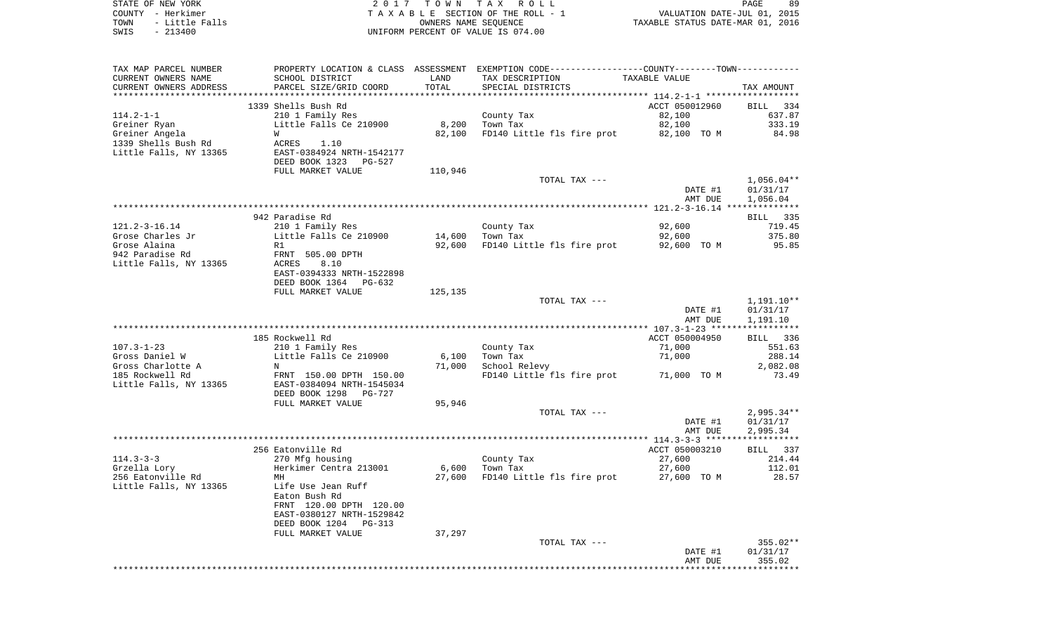| STATE OF NEW YORK<br>COUNTY - Herkimer | 2017                                       | T O W N              | TAX ROLL<br>TAXABLE SECTION OF THE ROLL - 1                                                   | VALUATION DATE-JUL 01, 2015      | PAGE<br>89         |
|----------------------------------------|--------------------------------------------|----------------------|-----------------------------------------------------------------------------------------------|----------------------------------|--------------------|
| - Little Falls<br>TOWN                 |                                            | OWNERS NAME SEQUENCE |                                                                                               | TAXABLE STATUS DATE-MAR 01, 2016 |                    |
| $-213400$<br>SWIS                      |                                            |                      | UNIFORM PERCENT OF VALUE IS 074.00                                                            |                                  |                    |
|                                        |                                            |                      |                                                                                               |                                  |                    |
| TAX MAP PARCEL NUMBER                  |                                            |                      | PROPERTY LOCATION & CLASS ASSESSMENT EXEMPTION CODE---------------COUNTY-------TOWN---------- |                                  |                    |
| CURRENT OWNERS NAME                    | SCHOOL DISTRICT                            | LAND                 | TAX DESCRIPTION                                                                               | TAXABLE VALUE                    |                    |
| CURRENT OWNERS ADDRESS                 | PARCEL SIZE/GRID COORD                     | TOTAL                | SPECIAL DISTRICTS                                                                             |                                  | TAX AMOUNT         |
| ************************               |                                            |                      |                                                                                               |                                  |                    |
|                                        | 1339 Shells Bush Rd                        |                      |                                                                                               | ACCT 050012960                   | BILL<br>- 334      |
| $114.2 - 1 - 1$<br>Greiner Ryan        | 210 1 Family Res<br>Little Falls Ce 210900 | 8,200                | County Tax<br>Town Tax                                                                        | 82,100<br>82,100                 | 637.87<br>333.19   |
| Greiner Angela                         | W                                          | 82,100               | FD140 Little fls fire prot                                                                    | 82,100 TO M                      | 84.98              |
| 1339 Shells Bush Rd                    | ACRES<br>1.10                              |                      |                                                                                               |                                  |                    |
| Little Falls, NY 13365                 | EAST-0384924 NRTH-1542177                  |                      |                                                                                               |                                  |                    |
|                                        | DEED BOOK 1323 PG-527                      |                      |                                                                                               |                                  |                    |
|                                        | FULL MARKET VALUE                          | 110,946              |                                                                                               |                                  |                    |
|                                        |                                            |                      | TOTAL TAX ---                                                                                 |                                  | $1,056.04**$       |
|                                        |                                            |                      |                                                                                               | DATE #1                          | 01/31/17           |
|                                        |                                            |                      |                                                                                               | AMT DUE                          | 1,056.04           |
|                                        | 942 Paradise Rd                            |                      |                                                                                               |                                  | 335<br>BILL        |
| $121.2 - 3 - 16.14$                    | 210 1 Family Res                           |                      | County Tax                                                                                    | 92,600                           | 719.45             |
| Grose Charles Jr                       | Little Falls Ce 210900                     | 14,600               | Town Tax                                                                                      | 92,600                           | 375.80             |
| Grose Alaina                           | R1                                         | 92,600               | FD140 Little fls fire prot                                                                    | 92,600 TO M                      | 95.85              |
| 942 Paradise Rd                        | FRNT 505.00 DPTH                           |                      |                                                                                               |                                  |                    |
| Little Falls, NY 13365                 | ACRES<br>8.10                              |                      |                                                                                               |                                  |                    |
|                                        | EAST-0394333 NRTH-1522898                  |                      |                                                                                               |                                  |                    |
|                                        | DEED BOOK 1364 PG-632<br>FULL MARKET VALUE | 125,135              |                                                                                               |                                  |                    |
|                                        |                                            |                      | TOTAL TAX ---                                                                                 |                                  | 1,191.10**         |
|                                        |                                            |                      |                                                                                               | DATE #1                          | 01/31/17           |
|                                        |                                            |                      |                                                                                               | AMT DUE                          | 1,191.10           |
|                                        |                                            |                      |                                                                                               |                                  |                    |
|                                        | 185 Rockwell Rd                            |                      |                                                                                               | ACCT 050004950                   | BILL<br>336        |
| $107.3 - 1 - 23$                       | 210 1 Family Res                           |                      | County Tax                                                                                    | 71,000                           | 551.63             |
| Gross Daniel W<br>Gross Charlotte A    | Little Falls Ce 210900<br>N                | 6,100<br>71,000      | Town Tax<br>School Relevy                                                                     | 71,000                           | 288.14<br>2,082.08 |
| 185 Rockwell Rd                        | FRNT 150.00 DPTH 150.00                    |                      | FD140 Little fls fire prot                                                                    | 71,000 TO M                      | 73.49              |
| Little Falls, NY 13365                 | EAST-0384094 NRTH-1545034                  |                      |                                                                                               |                                  |                    |
|                                        | DEED BOOK 1298 PG-727                      |                      |                                                                                               |                                  |                    |
|                                        | FULL MARKET VALUE                          | 95,946               |                                                                                               |                                  |                    |
|                                        |                                            |                      | TOTAL TAX ---                                                                                 |                                  | 2,995.34**         |
|                                        |                                            |                      |                                                                                               | DATE #1                          | 01/31/17           |
|                                        |                                            |                      |                                                                                               | AMT DUE                          | 2,995.34           |
|                                        | 256 Eatonville Rd                          |                      |                                                                                               | ACCT 050003210                   | BILL<br>337        |
| $114.3 - 3 - 3$                        | 270 Mfg housing                            |                      | County Tax                                                                                    | 27,600                           | 214.44             |
| Grzella Lory                           | Herkimer Centra 213001                     |                      | $6,600$ Town Tax                                                                              | 27,600                           | 112.01             |
| 256 Eatonville Rd                      | MН                                         | 27,600               | FD140 Little fls fire prot                                                                    | 27,600 TO M                      | 28.57              |
| Little Falls, NY 13365                 | Life Use Jean Ruff                         |                      |                                                                                               |                                  |                    |
|                                        | Eaton Bush Rd                              |                      |                                                                                               |                                  |                    |
|                                        | FRNT 120.00 DPTH 120.00                    |                      |                                                                                               |                                  |                    |
|                                        | EAST-0380127 NRTH-1529842                  |                      |                                                                                               |                                  |                    |
|                                        | DEED BOOK 1204 PG-313<br>FULL MARKET VALUE | 37,297               |                                                                                               |                                  |                    |
|                                        |                                            |                      | TOTAL TAX ---                                                                                 |                                  | 355.02**           |
|                                        |                                            |                      |                                                                                               | DATE #1                          | 01/31/17           |
|                                        |                                            |                      |                                                                                               | AMT DUE                          | 355.02             |
|                                        |                                            |                      |                                                                                               |                                  |                    |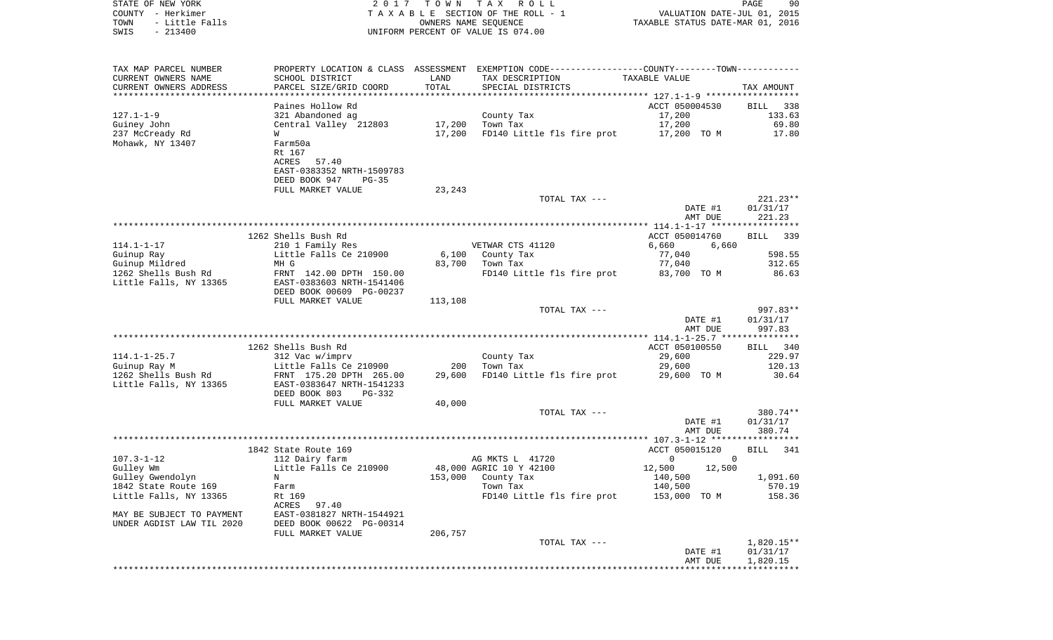COUNTY - Herkimer **T A X A B L E** SECTION OF THE ROLL - 1 VALUATION DATE-JUL 01, 2015 TOWN - Little Falls OWNERS NAME SEQUENCE TAXABLE STATUS DATE-MAR 01, 2016 SWIS - 213400 UNIFORM PERCENT OF VALUE IS 074.00TAX MAP PARCEL NUMBER PROPERTY LOCATION & CLASS ASSESSMENT EXEMPTION CODE------------------COUNTY--------TOWN------------ CURRENT OWNERS NAME SCHOOL DISTRICT LAND TAX DESCRIPTION TAXABLE VALUECURRENT OWNERS ADDRESS PARCEL SIZE/GRID COORD TOTAL SPECIAL DISTRICTS TAX AMOUNT \*\*\*\*\*\*\*\*\*\*\*\*\*\*\*\*\*\*\*\*\*\*\*\*\*\*\*\*\*\*\*\*\*\*\*\*\*\*\*\*\*\*\*\*\*\*\*\*\*\*\*\*\*\*\*\*\*\*\*\*\*\*\*\*\*\*\*\*\*\*\*\*\*\*\*\*\*\*\*\*\*\*\*\*\*\*\*\*\*\*\*\*\*\*\*\*\*\*\*\*\*\*\* 127.1-1-9 \*\*\*\*\*\*\*\*\*\*\*\*\*\*\*\*\*\*Paines Hollow Rd **ACCT** 050004530 BILL 338 133.63 127.1-1-9 321 Abandoned ag County Tax 17,200 Guiney John Central Valley 212803 17,200 Town Tax 17,200 69.80 237 McCready Rd M 6 W 6 W 17,200 FD140 Little fls fire prot 17,200 TO M 17.80 Mohawk, NY 13407 Farm50a Rt 167 ACRES 57.40 EAST-0383352 NRTH-1509783 DEED BOOK 947 PG-35FULL MARKET VALUE 23,243 TOTAL TAX  $---$  221.23\*\* DATE #1 01/31/17 AMT DUE 221.23 \*\*\*\*\*\*\*\*\*\*\*\*\*\*\*\*\*\*\*\*\*\*\*\*\*\*\*\*\*\*\*\*\*\*\*\*\*\*\*\*\*\*\*\*\*\*\*\*\*\*\*\*\*\*\*\*\*\*\*\*\*\*\*\*\*\*\*\*\*\*\*\*\*\*\*\*\*\*\*\*\*\*\*\*\*\*\*\*\*\*\*\*\*\*\*\*\*\*\*\*\*\*\* 114.1-1-17 \*\*\*\*\*\*\*\*\*\*\*\*\*\*\*\*\*1262 Shells Bush Rd ACCT 050014760 BILL 3399 BILL 3399 BILL 3399 BILL 3399 BILL 3399 BILL 3399 BILL 3399 BILL 3399 BILL 3399 BILL 3399 BILL 3399 BILL 3399 BILL 3399 BILL 3399 BILL 3399 BILL 3399 BILL 3399 BILL 3399 BILL 33 BILL 339 114.1-1-17 210 1 Family Res VETWAR CTS 41120 6,660 6,660 Guinup Ray Little Falls Ce 210900 6,100 County Tax 77,040 598.55 Guinup Mildred MH G 77, 2006 21: MH G 83,700 70 31, 2006 21: 2010 1262 Shells Bush Rd FRNT 142.00 DPTH 150.00 FD140 Little fls fire prot 83,700 TO M 86.63 Little Falls, NY 13365 EAST-0383603 NRTH-1541406 DEED BOOK 00609 PG-00237FULL MARKET VALUE 113,108 TOTAL TAX --- 997.83\*\* DATE #1 01/31/17 AMT DUE 997.83 \*\*\*\*\*\*\*\*\*\*\*\*\*\*\*\*\*\*\*\*\*\*\*\*\*\*\*\*\*\*\*\*\*\*\*\*\*\*\*\*\*\*\*\*\*\*\*\*\*\*\*\*\*\*\*\*\*\*\*\*\*\*\*\*\*\*\*\*\*\*\*\*\*\*\*\*\*\*\*\*\*\*\*\*\*\*\*\*\*\*\*\*\*\*\*\*\*\*\*\*\*\*\* 114.1-1-25.7 \*\*\*\*\*\*\*\*\*\*\*\*\*\*\* 1262 Shells Bush Rd ACCT 050100550 BILL 340114.1-1-25.7 312 Vac w/imprv County Tax 29,600 229.97 Guinup Ray M **Example 200 Little Falls Ce 210900** 200 Town Tax 29,600 29,600 20.13 1262 Shells Bush Rd FRNT 175.20 DPTH 265.00 29,600 FD140 Little fls fire prot 29,600 TO M 30.64 Little Falls, NY 13365 EAST-0383647 NRTH-1541233 DEED BOOK 803 PG-332FULL MARKET VALUE 40,000 TOTAL TAX --- 380.74\*\* DATE #1 01/31/17 AMT DUE 380.74 \*\*\*\*\*\*\*\*\*\*\*\*\*\*\*\*\*\*\*\*\*\*\*\*\*\*\*\*\*\*\*\*\*\*\*\*\*\*\*\*\*\*\*\*\*\*\*\*\*\*\*\*\*\*\*\*\*\*\*\*\*\*\*\*\*\*\*\*\*\*\*\*\*\*\*\*\*\*\*\*\*\*\*\*\*\*\*\*\*\*\*\*\*\*\*\*\*\*\*\*\*\*\* 107.3-1-12 \*\*\*\*\*\*\*\*\*\*\*\*\*\*\*\*\*1842 State Route 169 **ACCT** 050015120 BILL 341 107.3-1-12 112 Dairy farm AG MKTS L 41720 0 0 0 Gulley Wm Little Falls Ce 210900 48,000 AGRIC 10 Y 42100 12,500 12,500 Gulley Gwendolyn N 153,000 County Tax 140,500 1,091.60 1842 State Route 169 Farm Town Tax 140,500 570.19 Little Falls, NY 13365 Rt 169 Rt 169 Rt 169 RD140 Little fls fire prot 153,000 TO M 158.36 ACRES 97.40MAY BE SUBJECT TO PAYMENT EAST-0381827 NRTH-1544921UNDER AGDIST LAW TIL 2020 DEED BOOK 00622 PG-00314 FULL MARKET VALUE 206,757 TOTAL TAX --- 1,820.15\*\* DATE #1 01/31/17 AMT DUE 1,820.15 \*\*\*\*\*\*\*\*\*\*\*\*\*\*\*\*\*\*\*\*\*\*\*\*\*\*\*\*\*\*\*\*\*\*\*\*\*\*\*\*\*\*\*\*\*\*\*\*\*\*\*\*\*\*\*\*\*\*\*\*\*\*\*\*\*\*\*\*\*\*\*\*\*\*\*\*\*\*\*\*\*\*\*\*\*\*\*\*\*\*\*\*\*\*\*\*\*\*\*\*\*\*\*\*\*\*\*\*\*\*\*\*\*\*\*\*\*\*\*\*\*\*\*\*\*\*\*\*\*\*\*\*

STATE OF NEW YORK 2 0 1 7 T O W N T A X R O L L PAGE 90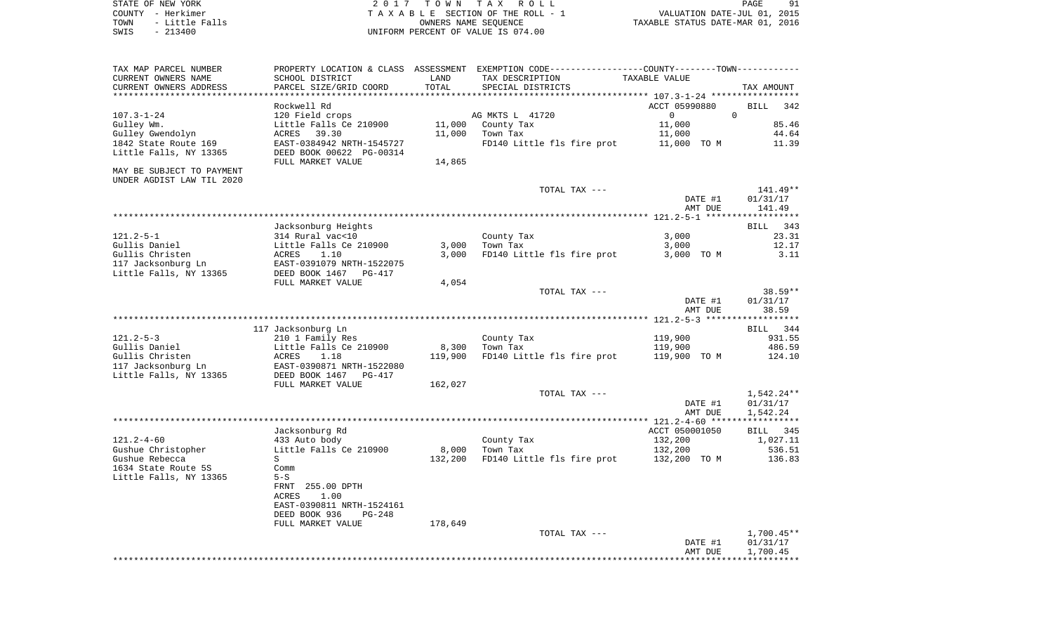STATE OF NEW YORK 2 0 1 7 T O W N T A X R O L L PAGE 91 COUNTY - Herkimer T A X A B L E SECTION OF THE ROLL - 1 VALUATION DATE-JUL 01, 2015 TOWN - Little Falls OWNERS NAME SEQUENCE TAXABLE STATUS DATE-MAR 01, 2016 SWIS - 213400 UNIFORM PERCENT OF VALUE IS 074.00

| TAX MAP PARCEL NUMBER<br>CURRENT OWNERS NAME | PROPERTY LOCATION & CLASS ASSESSMENT EXEMPTION CODE----------------COUNTY-------TOWN----------<br>SCHOOL DISTRICT | LAND    | TAX DESCRIPTION            | <b>TAXABLE VALUE</b> |                       |
|----------------------------------------------|-------------------------------------------------------------------------------------------------------------------|---------|----------------------------|----------------------|-----------------------|
| CURRENT OWNERS ADDRESS                       | PARCEL SIZE/GRID COORD                                                                                            | TOTAL   | SPECIAL DISTRICTS          |                      | TAX AMOUNT            |
| ***********************                      | **********************                                                                                            |         |                            |                      |                       |
|                                              | Rockwell Rd                                                                                                       |         |                            | ACCT 05990880        | <b>BILL</b><br>342    |
| $107.3 - 1 - 24$                             | 120 Field crops                                                                                                   |         | AG MKTS L 41720            | $\mathbf 0$          | $\Omega$              |
| Gulley Wm.                                   | Little Falls Ce 210900                                                                                            | 11,000  | County Tax                 | 11,000               | 85.46                 |
| Gulley Gwendolyn                             | 39.30<br>ACRES                                                                                                    | 11,000  | Town Tax                   | 11,000               | 44.64                 |
| 1842 State Route 169                         | EAST-0384942 NRTH-1545727                                                                                         |         | FD140 Little fls fire prot | 11,000 TO M          | 11.39                 |
| Little Falls, NY 13365                       | DEED BOOK 00622 PG-00314                                                                                          |         |                            |                      |                       |
|                                              | FULL MARKET VALUE                                                                                                 | 14,865  |                            |                      |                       |
| MAY BE SUBJECT TO PAYMENT                    |                                                                                                                   |         |                            |                      |                       |
| UNDER AGDIST LAW TIL 2020                    |                                                                                                                   |         |                            |                      |                       |
|                                              |                                                                                                                   |         | TOTAL TAX ---              |                      | 141.49**              |
|                                              |                                                                                                                   |         |                            | DATE #1              | 01/31/17              |
|                                              |                                                                                                                   |         |                            | AMT DUE              | 141.49                |
|                                              |                                                                                                                   |         |                            |                      |                       |
|                                              | Jacksonburg Heights                                                                                               |         |                            |                      | 343<br>BILL           |
| $121.2 - 5 - 1$                              | 314 Rural vac<10                                                                                                  |         | County Tax                 | 3,000                | 23.31                 |
| Gullis Daniel                                | Little Falls Ce 210900                                                                                            | 3,000   | Town Tax                   | 3,000                | 12.17                 |
| Gullis Christen                              | 1.10<br>ACRES                                                                                                     | 3,000   | FD140 Little fls fire prot | 3,000 TO M           | 3.11                  |
| 117 Jacksonburg Ln                           | EAST-0391079 NRTH-1522075                                                                                         |         |                            |                      |                       |
| Little Falls, NY 13365                       | DEED BOOK 1467<br>PG-417                                                                                          |         |                            |                      |                       |
|                                              | FULL MARKET VALUE                                                                                                 | 4,054   |                            |                      |                       |
|                                              |                                                                                                                   |         | TOTAL TAX ---              |                      | $38.59**$             |
|                                              |                                                                                                                   |         |                            | DATE #1              | 01/31/17              |
|                                              |                                                                                                                   |         |                            | AMT DUE              | 38.59                 |
|                                              |                                                                                                                   |         |                            |                      | * * * * * * * * * * * |
|                                              | 117 Jacksonburg Ln                                                                                                |         |                            |                      | 344<br>BILL           |
| $121.2 - 5 - 3$                              | 210 1 Family Res                                                                                                  |         | County Tax                 | 119,900              | 931.55                |
| Gullis Daniel                                | Little Falls Ce 210900                                                                                            | 8,300   | Town Tax                   | 119,900              | 486.59                |
| Gullis Christen                              | 1.18<br>ACRES                                                                                                     | 119,900 | FD140 Little fls fire prot | 119,900 TO M         | 124.10                |
| 117 Jacksonburg Ln                           | EAST-0390871 NRTH-1522080                                                                                         |         |                            |                      |                       |
| Little Falls, NY 13365                       | DEED BOOK 1467<br>$PG-417$                                                                                        |         |                            |                      |                       |
|                                              | FULL MARKET VALUE                                                                                                 | 162,027 |                            |                      |                       |
|                                              |                                                                                                                   |         | TOTAL TAX ---              |                      | 1,542.24**            |
|                                              |                                                                                                                   |         |                            | DATE #1              | 01/31/17              |
|                                              |                                                                                                                   |         |                            | AMT DUE              | 1,542.24              |
|                                              |                                                                                                                   |         |                            |                      | ***********           |
|                                              | Jacksonburg Rd                                                                                                    |         |                            | ACCT 050001050       | <b>BILL</b><br>345    |
| $121.2 - 4 - 60$                             | 433 Auto body                                                                                                     |         | County Tax                 | 132,200              | 1,027.11              |
| Gushue Christopher                           | Little Falls Ce 210900                                                                                            | 8,000   | Town Tax                   | 132,200              | 536.51                |
| Gushue Rebecca                               | S                                                                                                                 | 132,200 | FD140 Little fls fire prot | 132,200 TO M         | 136.83                |
| 1634 State Route 5S                          | Comm                                                                                                              |         |                            |                      |                       |
| Little Falls, NY 13365                       | $5-S$                                                                                                             |         |                            |                      |                       |
|                                              | FRNT 255.00 DPTH                                                                                                  |         |                            |                      |                       |
|                                              | <b>ACRES</b><br>1.00                                                                                              |         |                            |                      |                       |
|                                              | EAST-0390811 NRTH-1524161                                                                                         |         |                            |                      |                       |
|                                              | DEED BOOK 936<br>PG-248                                                                                           |         |                            |                      |                       |
|                                              | FULL MARKET VALUE                                                                                                 | 178,649 |                            |                      |                       |
|                                              |                                                                                                                   |         | TOTAL TAX ---              |                      | $1,700.45**$          |
|                                              |                                                                                                                   |         |                            | DATE #1              | 01/31/17              |
|                                              |                                                                                                                   |         |                            | AMT DUE              | 1,700.45              |
|                                              |                                                                                                                   |         |                            |                      |                       |
|                                              |                                                                                                                   |         |                            |                      |                       |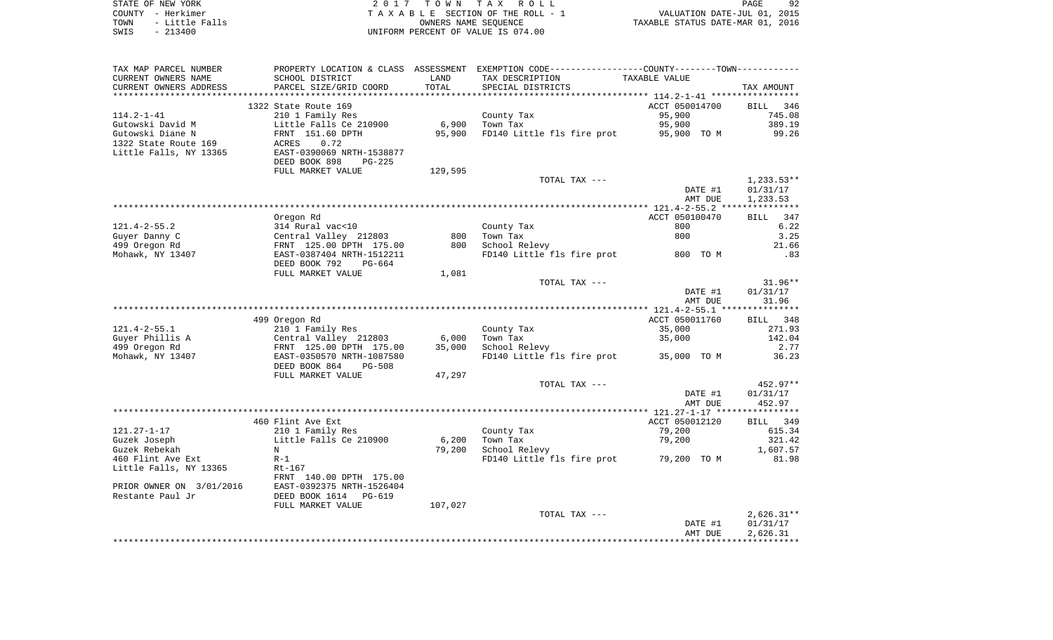| STATE OF NEW YORK      | 2017 TOWN TAX ROLL                 | 92<br><b>PAGE</b>                |
|------------------------|------------------------------------|----------------------------------|
| COUNTY - Herkimer      | TAXABLE SECTION OF THE ROLL - 1    | VALUATION DATE-JUL 01, 2015      |
| - Little Falls<br>TOWN | OWNERS NAME SEOUENCE               | TAXABLE STATUS DATE-MAR 01, 2016 |
| SWIS<br>- 213400       | UNIFORM PERCENT OF VALUE IS 074.00 |                                  |

| TAX MAP PARCEL NUMBER    |                                |         | PROPERTY LOCATION & CLASS ASSESSMENT EXEMPTION CODE----------------COUNTY-------TOWN-------- |                |                    |
|--------------------------|--------------------------------|---------|----------------------------------------------------------------------------------------------|----------------|--------------------|
| CURRENT OWNERS NAME      | SCHOOL DISTRICT                | LAND    | TAX DESCRIPTION                                                                              | TAXABLE VALUE  |                    |
| CURRENT OWNERS ADDRESS   | PARCEL SIZE/GRID COORD         | TOTAL   | SPECIAL DISTRICTS                                                                            |                | TAX AMOUNT         |
|                          |                                |         |                                                                                              |                |                    |
|                          | 1322 State Route 169           |         |                                                                                              | ACCT 050014700 | BILL 346           |
| $114.2 - 1 - 41$         | 210 1 Family Res               |         | County Tax                                                                                   | 95,900         | 745.08             |
| Gutowski David M         | Little Falls Ce 210900         | 6,900   | Town Tax                                                                                     | 95,900         | 389.19             |
| Gutowski Diane N         | FRNT 151.60 DPTH               | 95,900  | FD140 Little fls fire prot 95,900 TO M                                                       |                | 99.26              |
| 1322 State Route 169     | ACRES<br>0.72                  |         |                                                                                              |                |                    |
| Little Falls, NY 13365   | EAST-0390069 NRTH-1538877      |         |                                                                                              |                |                    |
|                          | DEED BOOK 898<br>$PG-225$      |         |                                                                                              |                |                    |
|                          | FULL MARKET VALUE              | 129,595 |                                                                                              |                |                    |
|                          |                                |         |                                                                                              |                |                    |
|                          |                                |         | TOTAL TAX ---                                                                                |                | $1,233.53**$       |
|                          |                                |         |                                                                                              | DATE #1        | 01/31/17           |
|                          |                                |         |                                                                                              | AMT DUE        | 1,233.53           |
|                          |                                |         |                                                                                              |                |                    |
|                          | Oregon Rd                      |         |                                                                                              | ACCT 050100470 | 347<br>BILL        |
| $121.4 - 2 - 55.2$       | 314 Rural vac<10               |         | County Tax                                                                                   | 800            | 6.22               |
| Guyer Danny C            | Central Valley 212803          | 800     | Town Tax                                                                                     | 800            | 3.25               |
| 499 Oregon Rd            | FRNT 125.00 DPTH 175.00        | 800     | School Relevy                                                                                |                | 21.66              |
| Mohawk, NY 13407         | EAST-0387404 NRTH-1512211      |         | FD140 Little fls fire prot 800 TO M                                                          |                | .83                |
|                          | DEED BOOK 792<br>PG-664        |         |                                                                                              |                |                    |
|                          | FULL MARKET VALUE              | 1,081   |                                                                                              |                |                    |
|                          |                                |         | TOTAL TAX ---                                                                                |                | $31.96**$          |
|                          |                                |         |                                                                                              | DATE #1        | 01/31/17           |
|                          |                                |         |                                                                                              | AMT DUE        | 31.96              |
|                          |                                |         |                                                                                              |                |                    |
|                          | 499 Oregon Rd                  |         |                                                                                              | ACCT 050011760 | BILL 348           |
| $121.4 - 2 - 55.1$       | 210 1 Family Res               |         | County Tax                                                                                   | 35,000         | 271.93             |
| Guyer Phillis A          | Central Valley 212803          | 6,000   | Town Tax                                                                                     | 35,000         | 142.04             |
| 499 Oregon Rd            | FRNT 125.00 DPTH 175.00        | 35,000  | School Relevy                                                                                |                | 2.77               |
| Mohawk, NY 13407         | EAST-0350570 NRTH-1087580      |         | FD140 Little fls fire prot 35,000 TO M                                                       |                | 36.23              |
|                          | DEED BOOK 864<br><b>PG-508</b> |         |                                                                                              |                |                    |
|                          | FULL MARKET VALUE              | 47,297  |                                                                                              |                |                    |
|                          |                                |         | TOTAL TAX ---                                                                                |                | $452.97**$         |
|                          |                                |         |                                                                                              | DATE #1        | 01/31/17           |
|                          |                                |         |                                                                                              | AMT DUE        | 452.97             |
|                          |                                |         |                                                                                              |                |                    |
|                          |                                |         |                                                                                              |                |                    |
|                          | 460 Flint Ave Ext              |         |                                                                                              | ACCT 050012120 | <b>BILL</b><br>349 |
| $121.27 - 1 - 17$        | 210 1 Family Res               |         | County Tax                                                                                   | 79,200         | 615.34             |
| Guzek Joseph             | Little Falls Ce 210900         | 6,200   | Town Tax                                                                                     | 79,200         | 321.42             |
| Guzek Rebekah            | N                              | 79,200  | School Relevy                                                                                |                | 1,607.57           |
| 460 Flint Ave Ext        | $R-1$                          |         | FD140 Little fls fire prot 79,200 TO M                                                       |                | 81.98              |
| Little Falls, NY 13365   | $Rt-167$                       |         |                                                                                              |                |                    |
|                          | FRNT 140.00 DPTH 175.00        |         |                                                                                              |                |                    |
| PRIOR OWNER ON 3/01/2016 | EAST-0392375 NRTH-1526404      |         |                                                                                              |                |                    |
| Restante Paul Jr         | DEED BOOK 1614 PG-619          |         |                                                                                              |                |                    |
|                          | FULL MARKET VALUE              | 107,027 |                                                                                              |                |                    |
|                          |                                |         | TOTAL TAX ---                                                                                |                | $2,626.31**$       |
|                          |                                |         |                                                                                              | DATE #1        | 01/31/17           |
|                          |                                |         |                                                                                              | AMT DUE        | 2,626.31           |
|                          |                                |         |                                                                                              |                |                    |
|                          |                                |         |                                                                                              |                |                    |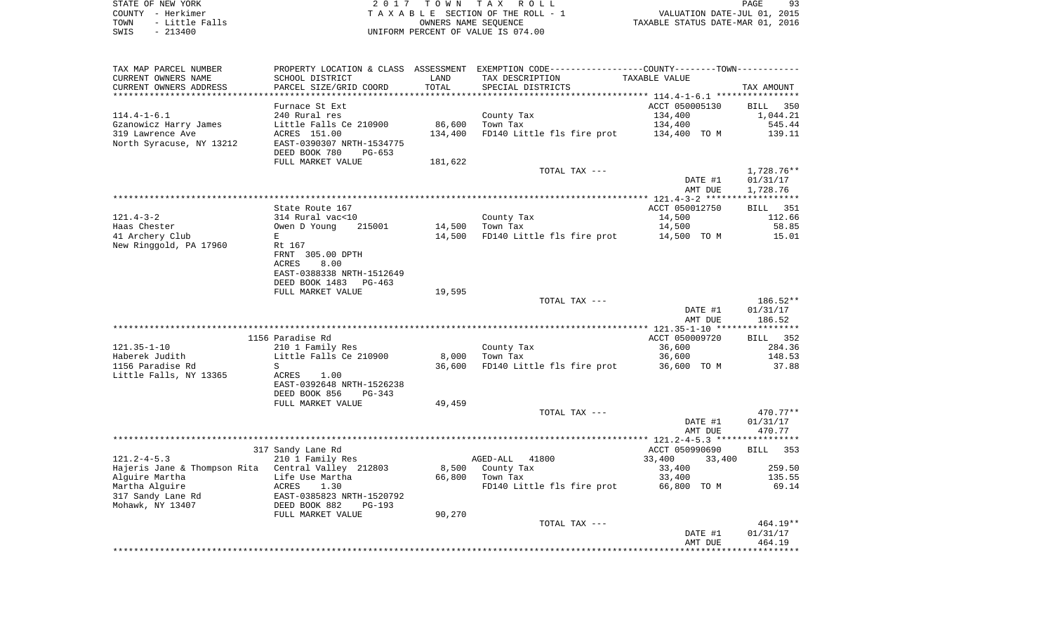STATE OF NEW YORK **EXECUTE:** A 2 0 1 7 T O W N T A X R O L L COUNTY - Herkimer<br>
T A X A B L E SECTION OF THE ROLL - 1<br>
TOWN - Little Falls<br>
SWIS - 213400 - 2013400 - UNIFORM PERCENT OF VALUE IS 074.00 TOWN - Little Falls OWNERS NAME SEQUENCE TAXABLE STATUS DATE-MAR 01, 2016 SWIS - 213400 UNIFORM PERCENT OF VALUE IS 074.00

| TAX MAP PARCEL NUMBER                              | PROPERTY LOCATION & CLASS      | ASSESSMENT          |                            | EXEMPTION CODE-----------------COUNTY-------TOWN----------- |                    |
|----------------------------------------------------|--------------------------------|---------------------|----------------------------|-------------------------------------------------------------|--------------------|
| CURRENT OWNERS NAME                                | SCHOOL DISTRICT                | LAND                | TAX DESCRIPTION            | TAXABLE VALUE                                               |                    |
| CURRENT OWNERS ADDRESS                             | PARCEL SIZE/GRID COORD         | TOTAL               | SPECIAL DISTRICTS          |                                                             | TAX AMOUNT         |
|                                                    |                                | ******************* |                            | ****************** 114.4-1-6.1 *****************            |                    |
|                                                    | Furnace St Ext                 |                     |                            | ACCT 050005130                                              | <b>BILL</b><br>350 |
| $114.4 - 1 - 6.1$                                  | 240 Rural res                  |                     | County Tax                 | 134,400                                                     | 1,044.21           |
| Gzanowicz Harry James                              | Little Falls Ce 210900         | 86,600              | Town Tax                   | 134,400                                                     | 545.44             |
| 319 Lawrence Ave                                   | ACRES 151.00                   | 134,400             | FD140 Little fls fire prot | 134,400 TO M                                                | 139.11             |
| North Syracuse, NY 13212                           | EAST-0390307 NRTH-1534775      |                     |                            |                                                             |                    |
|                                                    | DEED BOOK 780<br>$PG-653$      |                     |                            |                                                             |                    |
|                                                    |                                |                     |                            |                                                             |                    |
|                                                    | FULL MARKET VALUE              | 181,622             |                            |                                                             |                    |
|                                                    |                                |                     | TOTAL TAX ---              |                                                             | 1,728.76**         |
|                                                    |                                |                     |                            | DATE #1                                                     | 01/31/17           |
|                                                    |                                |                     |                            | AMT DUE                                                     | 1,728.76           |
|                                                    |                                |                     |                            |                                                             |                    |
|                                                    | State Route 167                |                     |                            | ACCT 050012750                                              | BILL 351           |
| $121.4 - 3 - 2$                                    | 314 Rural vac<10               |                     | County Tax                 | 14,500                                                      | 112.66             |
| Haas Chester                                       | 215001<br>Owen D Young         | 14,500              | Town Tax                   | 14,500                                                      | 58.85              |
| 41 Archery Club                                    | E                              | 14,500              | FD140 Little fls fire prot | 14,500 TO M                                                 | 15.01              |
| New Ringgold, PA 17960                             | Rt 167                         |                     |                            |                                                             |                    |
|                                                    | FRNT 305.00 DPTH               |                     |                            |                                                             |                    |
|                                                    | ACRES<br>8.00                  |                     |                            |                                                             |                    |
|                                                    | EAST-0388338 NRTH-1512649      |                     |                            |                                                             |                    |
|                                                    | DEED BOOK 1483<br>$PG-463$     |                     |                            |                                                             |                    |
|                                                    | FULL MARKET VALUE              | 19,595              |                            |                                                             |                    |
|                                                    |                                |                     | TOTAL TAX ---              |                                                             | 186.52**           |
|                                                    |                                |                     |                            | DATE #1                                                     | 01/31/17           |
|                                                    |                                |                     |                            | AMT DUE                                                     | 186.52             |
|                                                    |                                |                     |                            |                                                             |                    |
|                                                    | 1156 Paradise Rd               |                     |                            | ACCT 050009720                                              | 352<br>BILL        |
| $121.35 - 1 - 10$                                  | 210 1 Family Res               |                     | County Tax                 | 36,600                                                      | 284.36             |
| Haberek Judith                                     | Little Falls Ce 210900         | 8,000               | Town Tax                   | 36,600                                                      | 148.53             |
| 1156 Paradise Rd                                   | S                              | 36,600              | FD140 Little fls fire prot | 36,600 TO M                                                 | 37.88              |
|                                                    | ACRES                          |                     |                            |                                                             |                    |
| Little Falls, NY 13365                             | 1.00                           |                     |                            |                                                             |                    |
|                                                    | EAST-0392648 NRTH-1526238      |                     |                            |                                                             |                    |
|                                                    | DEED BOOK 856<br>PG-343        |                     |                            |                                                             |                    |
|                                                    | FULL MARKET VALUE              | 49,459              |                            |                                                             |                    |
|                                                    |                                |                     | TOTAL TAX ---              |                                                             | 470.77**           |
|                                                    |                                |                     |                            | DATE #1                                                     | 01/31/17           |
|                                                    |                                |                     |                            | AMT DUE                                                     | 470.77             |
|                                                    |                                |                     |                            |                                                             |                    |
|                                                    | 317 Sandy Lane Rd              |                     |                            | ACCT 050990690                                              | <b>BILL</b><br>353 |
| $121.2 - 4 - 5.3$                                  | 210 1 Family Res               |                     | AGED-ALL<br>41800          | 33,400<br>33,400                                            |                    |
| Hajeris Jane & Thompson Rita Central Valley 212803 |                                | 8,500               | County Tax                 | 33,400                                                      | 259.50             |
| Alguire Martha                                     | Life Use Martha                | 66,800              | Town Tax                   | 33,400                                                      | 135.55             |
| Martha Alguire                                     | 1.30<br>ACRES                  |                     | FD140 Little fls fire prot | 66,800 TO M                                                 | 69.14              |
| 317 Sandy Lane Rd                                  | EAST-0385823 NRTH-1520792      |                     |                            |                                                             |                    |
| Mohawk, NY 13407                                   | DEED BOOK 882<br><b>PG-193</b> |                     |                            |                                                             |                    |
|                                                    | FULL MARKET VALUE              | 90,270              |                            |                                                             |                    |
|                                                    |                                |                     | TOTAL TAX ---              |                                                             | 464.19**           |
|                                                    |                                |                     |                            | DATE #1                                                     | 01/31/17           |
|                                                    |                                |                     |                            | AMT DUE                                                     | 464.19             |
|                                                    |                                |                     |                            |                                                             |                    |
|                                                    |                                |                     |                            |                                                             |                    |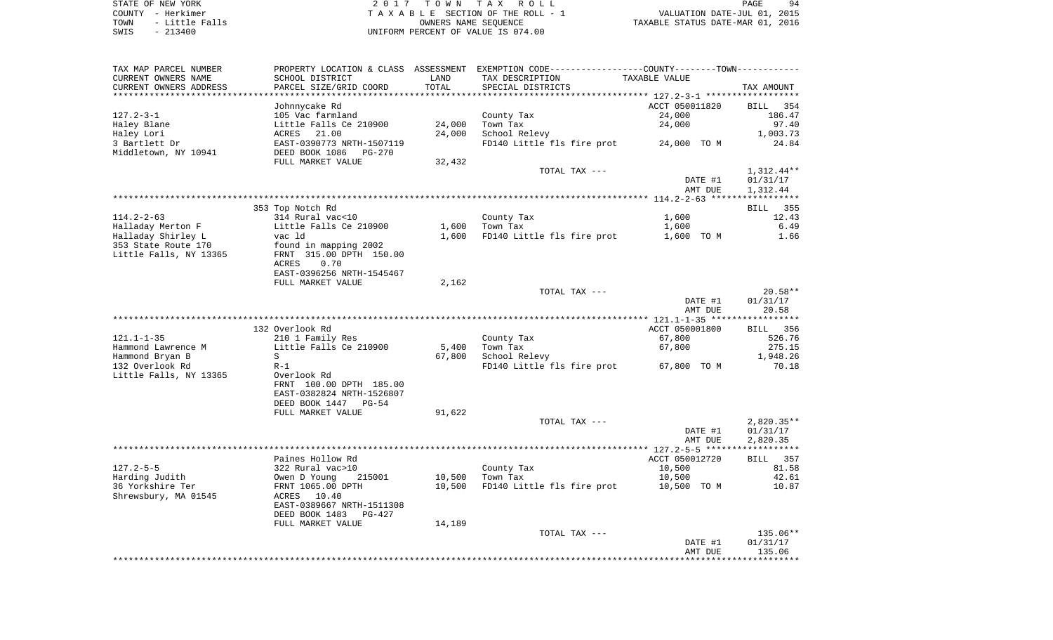STATE OF NEW YORK **EXECUTE:** A 2 0 1 7 T O W N T A X R O L L COUNTY - Herkimer<br>
T A X A B L E SECTION OF THE ROLL - 1<br>
TOWN - Little Falls<br>
SWIS - 213400 - 2013400 - UNIFORM PERCENT OF VALUE IS 074.00 TOWN - LITTLE SECTION OF THE ROLL - 1<br>
TAXABLE STATUS DATE-JUL 01, 2015<br>
OWNERS NAME SEQUENCE TAXABLE STATUS DATE-MAR 01, 2016 SWIS - 213400 UNIFORM PERCENT OF VALUE IS 074.00

| TAX MAP PARCEL NUMBER  |                           |        | PROPERTY LOCATION & CLASS ASSESSMENT EXEMPTION CODE---------------COUNTY-------TOWN---------- |                |                    |
|------------------------|---------------------------|--------|-----------------------------------------------------------------------------------------------|----------------|--------------------|
| CURRENT OWNERS NAME    | SCHOOL DISTRICT           | LAND   | TAX DESCRIPTION                                                                               | TAXABLE VALUE  |                    |
| CURRENT OWNERS ADDRESS | PARCEL SIZE/GRID COORD    | TOTAL  | SPECIAL DISTRICTS                                                                             |                | TAX AMOUNT         |
|                        |                           |        |                                                                                               |                |                    |
|                        | Johnnycake Rd             |        |                                                                                               | ACCT 050011820 | <b>BILL</b><br>354 |
| $127.2 - 3 - 1$        | 105 Vac farmland          |        | County Tax                                                                                    | 24,000         | 186.47             |
| Haley Blane            | Little Falls Ce 210900    | 24,000 | Town Tax                                                                                      | 24,000         | 97.40              |
| Haley Lori             | ACRES 21.00               | 24,000 | School Relevy                                                                                 |                | 1,003.73           |
| 3 Bartlett Dr          | EAST-0390773 NRTH-1507119 |        | FD140 Little fls fire prot                                                                    | 24,000 TO M    | 24.84              |
| Middletown, NY 10941   | DEED BOOK 1086<br>PG-270  |        |                                                                                               |                |                    |
|                        | FULL MARKET VALUE         | 32,432 |                                                                                               |                |                    |
|                        |                           |        | TOTAL TAX ---                                                                                 |                | 1,312.44**         |
|                        |                           |        |                                                                                               | DATE #1        | 01/31/17           |
|                        |                           |        |                                                                                               | AMT DUE        | 1,312.44           |
|                        |                           |        |                                                                                               |                |                    |
|                        | 353 Top Notch Rd          |        |                                                                                               |                | BILL 355           |
| $114.2 - 2 - 63$       | 314 Rural vac<10          |        | County Tax                                                                                    | 1,600          | 12.43              |
| Halladay Merton F      | Little Falls Ce 210900    | 1,600  | Town Tax                                                                                      | 1,600          | 6.49               |
| Halladay Shirley L     | vac ld                    | 1,600  | FD140 Little fls fire prot                                                                    | 1,600 TO M     | 1.66               |
| 353 State Route 170    |                           |        |                                                                                               |                |                    |
|                        | found in mapping 2002     |        |                                                                                               |                |                    |
| Little Falls, NY 13365 | FRNT 315.00 DPTH 150.00   |        |                                                                                               |                |                    |
|                        | ACRES<br>0.70             |        |                                                                                               |                |                    |
|                        | EAST-0396256 NRTH-1545467 |        |                                                                                               |                |                    |
|                        | FULL MARKET VALUE         | 2,162  |                                                                                               |                |                    |
|                        |                           |        | TOTAL TAX ---                                                                                 |                | $20.58**$          |
|                        |                           |        |                                                                                               | DATE #1        | 01/31/17           |
|                        |                           |        |                                                                                               | AMT DUE        | 20.58              |
|                        |                           |        |                                                                                               |                |                    |
|                        | 132 Overlook Rd           |        |                                                                                               | ACCT 050001800 | 356<br>BILL.       |
| $121.1 - 1 - 35$       | 210 1 Family Res          |        | County Tax                                                                                    | 67,800         | 526.76             |
| Hammond Lawrence M     | Little Falls Ce 210900    | 5,400  | Town Tax                                                                                      | 67,800         | 275.15             |
| Hammond Bryan B        | S                         | 67,800 | School Relevy                                                                                 |                | 1,948.26           |
| 132 Overlook Rd        | $R-1$                     |        | FD140 Little fls fire prot                                                                    | 67,800 TO M    | 70.18              |
| Little Falls, NY 13365 | Overlook Rd               |        |                                                                                               |                |                    |
|                        | FRNT 100.00 DPTH 185.00   |        |                                                                                               |                |                    |
|                        | EAST-0382824 NRTH-1526807 |        |                                                                                               |                |                    |
|                        | DEED BOOK 1447<br>$PG-54$ |        |                                                                                               |                |                    |
|                        | FULL MARKET VALUE         | 91,622 |                                                                                               |                |                    |
|                        |                           |        | TOTAL TAX ---                                                                                 |                | $2,820.35**$       |
|                        |                           |        |                                                                                               | DATE #1        | 01/31/17           |
|                        |                           |        |                                                                                               | AMT DUE        | 2,820.35           |
|                        |                           |        |                                                                                               |                |                    |
|                        | Paines Hollow Rd          |        |                                                                                               | ACCT 050012720 | 357<br>BILL        |
| $127.2 - 5 - 5$        | 322 Rural vac>10          |        | County Tax                                                                                    | 10,500         | 81.58              |
| Harding Judith         | Owen D Young<br>215001    | 10,500 | Town Tax                                                                                      | 10,500         | 42.61              |
| 36 Yorkshire Ter       | FRNT 1065.00 DPTH         | 10,500 | FD140 Little fls fire prot                                                                    | 10,500 TO M    | 10.87              |
| Shrewsbury, MA 01545   | ACRES<br>10.40            |        |                                                                                               |                |                    |
|                        | EAST-0389667 NRTH-1511308 |        |                                                                                               |                |                    |
|                        | DEED BOOK 1483<br>PG-427  |        |                                                                                               |                |                    |
|                        | FULL MARKET VALUE         | 14,189 |                                                                                               |                |                    |
|                        |                           |        | TOTAL TAX ---                                                                                 |                | 135.06**           |
|                        |                           |        |                                                                                               | DATE #1        | 01/31/17           |
|                        |                           |        |                                                                                               | AMT DUE        | 135.06             |
|                        |                           |        |                                                                                               |                |                    |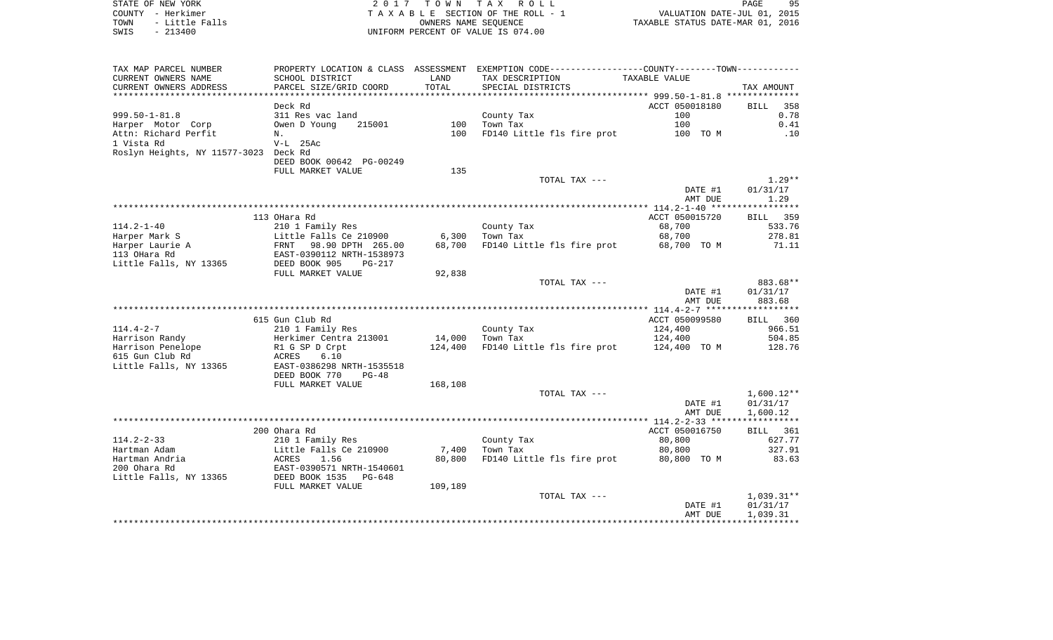STATE OF NEW YORK **EXECUTE:** A G L L 2 0 1 7 T O W N T A X R O L L COUNTY - Herkimer<br>
T A X A B L E SECTION OF THE ROLL - 1<br>
TOWN - Little Falls<br>
SWIS - 213400 - 2013400 - UNIFORM PERCENT OF VALUE IS 074.00 TOWN - LITTLE FALLS ON THE ROLL - 1<br>
TAXABLE STATUS DATE-JUL 01, 2015<br>
OWNERS NAME SEQUENCE TAXABLE STATUS DATE-MAR 01, 2016 SWIS - 213400 UNIFORM PERCENT OF VALUE IS 074.00

| TAX MAP PARCEL NUMBER                 |                           |         | PROPERTY LOCATION & CLASS ASSESSMENT EXEMPTION CODE----------------COUNTY-------TOWN---------- |                |                    |
|---------------------------------------|---------------------------|---------|------------------------------------------------------------------------------------------------|----------------|--------------------|
| CURRENT OWNERS NAME                   | SCHOOL DISTRICT           | LAND    | TAX DESCRIPTION                                                                                | TAXABLE VALUE  |                    |
| CURRENT OWNERS ADDRESS                | PARCEL SIZE/GRID COORD    | TOTAL   | SPECIAL DISTRICTS                                                                              |                | TAX AMOUNT         |
| ***************                       |                           |         |                                                                                                |                |                    |
|                                       | Deck Rd                   |         |                                                                                                | ACCT 050018180 | 358<br><b>BILL</b> |
| $999.50 - 1 - 81.8$                   | 311 Res vac land          |         | County Tax                                                                                     | 100            | 0.78               |
|                                       | 215001                    | 100     | Town Tax                                                                                       | 100            | 0.41               |
| Harper Motor Corp                     | Owen D Young              |         |                                                                                                |                |                    |
| Attn: Richard Perfit                  | Ν.                        | 100     | FD140 Little fls fire prot                                                                     | 100 TO M       | .10                |
| 1 Vista Rd                            | $V-L$ 25Ac                |         |                                                                                                |                |                    |
| Roslyn Heights, NY 11577-3023 Deck Rd |                           |         |                                                                                                |                |                    |
|                                       | DEED BOOK 00642 PG-00249  |         |                                                                                                |                |                    |
|                                       | FULL MARKET VALUE         | 135     |                                                                                                |                |                    |
|                                       |                           |         | TOTAL TAX ---                                                                                  |                | $1.29**$           |
|                                       |                           |         |                                                                                                | DATE #1        | 01/31/17           |
|                                       |                           |         |                                                                                                | AMT DUE        | 1.29               |
|                                       |                           |         |                                                                                                |                |                    |
|                                       | 113 OHara Rd              |         |                                                                                                | ACCT 050015720 | 359<br>BILL        |
| $114.2 - 1 - 40$                      | 210 1 Family Res          |         | County Tax                                                                                     | 68,700         | 533.76             |
| Harper Mark S                         | Little Falls Ce 210900    | 6,300   | Town Tax                                                                                       | 68,700         | 278.81             |
| Harper Laurie A                       | 98.90 DPTH 265.00<br>FRNT | 68,700  | FD140 Little fls fire prot                                                                     | 68,700 TO M    | 71.11              |
|                                       |                           |         |                                                                                                |                |                    |
| 113 OHara Rd                          | EAST-0390112 NRTH-1538973 |         |                                                                                                |                |                    |
| Little Falls, NY 13365                | DEED BOOK 905<br>PG-217   |         |                                                                                                |                |                    |
|                                       | FULL MARKET VALUE         | 92,838  |                                                                                                |                |                    |
|                                       |                           |         | TOTAL TAX ---                                                                                  |                | 883.68**           |
|                                       |                           |         |                                                                                                | DATE #1        | 01/31/17           |
|                                       |                           |         |                                                                                                | AMT DUE        | 883.68             |
|                                       |                           |         |                                                                                                |                |                    |
|                                       | 615 Gun Club Rd           |         |                                                                                                | ACCT 050099580 | 360<br>BILL        |
| $114.4 - 2 - 7$                       | 210 1 Family Res          |         | County Tax                                                                                     | 124,400        | 966.51             |
| Harrison Randy                        | Herkimer Centra 213001    | 14,000  | Town Tax                                                                                       | 124,400        | 504.85             |
| Harrison Penelope                     | R1 G SP D Crpt            | 124,400 | FD140 Little fls fire prot                                                                     | 124,400 TO M   | 128.76             |
| 615 Gun Club Rd                       | ACRES<br>6.10             |         |                                                                                                |                |                    |
| Little Falls, NY 13365                | EAST-0386298 NRTH-1535518 |         |                                                                                                |                |                    |
|                                       | DEED BOOK 770<br>$PG-48$  |         |                                                                                                |                |                    |
|                                       | FULL MARKET VALUE         | 168,108 |                                                                                                |                |                    |
|                                       |                           |         | TOTAL TAX ---                                                                                  |                | $1,600.12**$       |
|                                       |                           |         |                                                                                                | DATE #1        | 01/31/17           |
|                                       |                           |         |                                                                                                | AMT DUE        | 1,600.12           |
|                                       |                           |         |                                                                                                |                |                    |
|                                       | 200 Ohara Rd              |         |                                                                                                | ACCT 050016750 | BILL<br>361        |
| $114.2 - 2 - 33$                      | 210 1 Family Res          |         | County Tax                                                                                     | 80,800         | 627.77             |
| Hartman Adam                          | Little Falls Ce 210900    | 7,400   | Town Tax                                                                                       | 80,800         | 327.91             |
| Hartman Andria                        | ACRES<br>1.56             | 80,800  | FD140 Little fls fire prot                                                                     | 80,800 TO M    | 83.63              |
|                                       |                           |         |                                                                                                |                |                    |
| 200 Ohara Rd                          | EAST-0390571 NRTH-1540601 |         |                                                                                                |                |                    |
| Little Falls, NY 13365                | DEED BOOK 1535<br>PG-648  |         |                                                                                                |                |                    |
|                                       | FULL MARKET VALUE         | 109,189 |                                                                                                |                |                    |
|                                       |                           |         | TOTAL TAX ---                                                                                  |                | $1,039.31**$       |
|                                       |                           |         |                                                                                                | DATE #1        | 01/31/17           |
|                                       |                           |         |                                                                                                | AMT DUE        | 1,039.31           |
|                                       |                           |         |                                                                                                |                |                    |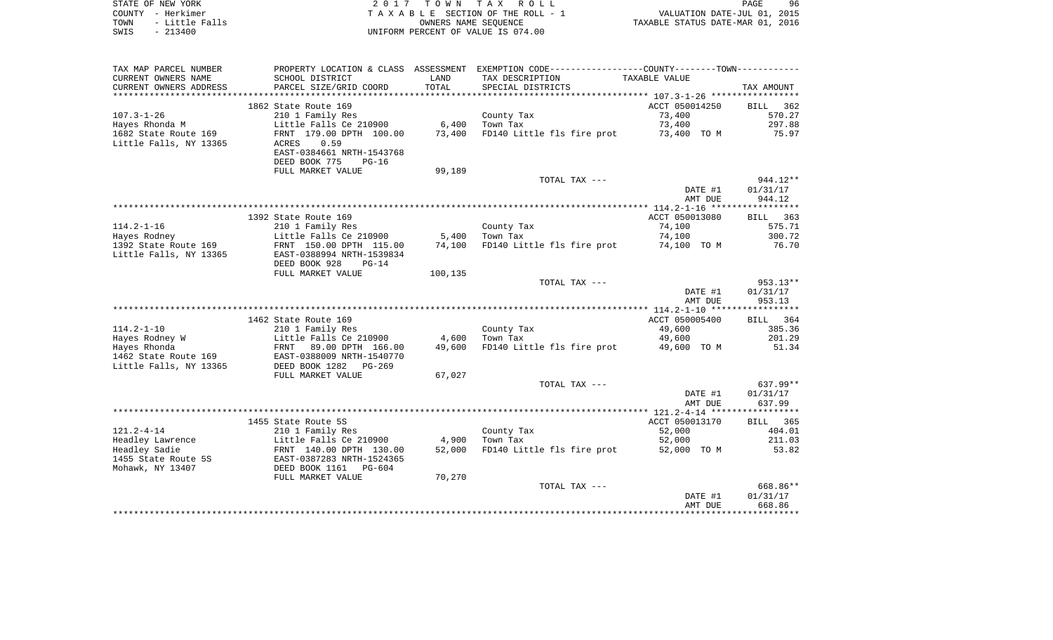| STATE OF NEW YORK      | 2017 TOWN TAX ROLL                 | 96<br>PAGE                       |
|------------------------|------------------------------------|----------------------------------|
| COUNTY - Herkimer      | TAXABLE SECTION OF THE ROLL - 1    | VALUATION DATE-JUL 01, 2015      |
| - Little Falls<br>TOWN | OWNERS NAME SEOUENCE               | TAXABLE STATUS DATE-MAR 01, 2016 |
| SWIS<br>$-213400$      | UNIFORM PERCENT OF VALUE IS 074.00 |                                  |

| TAX MAP PARCEL NUMBER          |                                                  |         | PROPERTY LOCATION & CLASS ASSESSMENT EXEMPTION CODE---------------COUNTY-------TOWN---------- |                       |                    |
|--------------------------------|--------------------------------------------------|---------|-----------------------------------------------------------------------------------------------|-----------------------|--------------------|
| CURRENT OWNERS NAME            | SCHOOL DISTRICT                                  | LAND    | TAX DESCRIPTION                                                                               | TAXABLE VALUE         |                    |
| CURRENT OWNERS ADDRESS         | PARCEL SIZE/GRID COORD                           | TOTAL   | SPECIAL DISTRICTS                                                                             |                       | TAX AMOUNT         |
| *****************              | ************************                         |         |                                                                                               |                       |                    |
|                                | 1862 State Route 169                             |         |                                                                                               | ACCT 050014250        | BILL 362           |
| $107.3 - 1 - 26$               | 210 1 Family Res                                 |         | County Tax                                                                                    | 73,400                | 570.27             |
| Hayes Rhonda M                 | Little Falls Ce 210900                           | 6,400   | Town Tax                                                                                      | 73,400                | 297.88             |
| 1682 State Route 169           | FRNT 179.00 DPTH 100.00                          | 73,400  | FD140 Little fls fire prot                                                                    | 73,400 TO M           | 75.97              |
| Little Falls, NY 13365         | 0.59<br>ACRES                                    |         |                                                                                               |                       |                    |
|                                | EAST-0384661 NRTH-1543768                        |         |                                                                                               |                       |                    |
|                                | DEED BOOK 775<br>$PG-16$                         |         |                                                                                               |                       |                    |
|                                | FULL MARKET VALUE                                | 99,189  |                                                                                               |                       |                    |
|                                |                                                  |         | TOTAL TAX ---                                                                                 |                       | $944.12**$         |
|                                |                                                  |         |                                                                                               | DATE #1               | 01/31/17           |
|                                |                                                  |         |                                                                                               | AMT DUE               | 944.12             |
|                                |                                                  |         |                                                                                               |                       |                    |
|                                | 1392 State Route 169                             |         |                                                                                               | ACCT 050013080        | BILL 363           |
| $114.2 - 1 - 16$               | 210 1 Family Res                                 |         | County Tax                                                                                    | 74,100                | 575.71             |
| Hayes Rodney                   | Little Falls Ce 210900                           | 5,400   | Town Tax                                                                                      | 74,100                | 300.72             |
| 1392 State Route 169           | FRNT 150.00 DPTH 115.00                          | 74,100  | FD140 Little fls fire prot                                                                    | 74,100 TO M           | 76.70              |
| Little Falls, NY 13365         | EAST-0388994 NRTH-1539834                        |         |                                                                                               |                       |                    |
|                                | DEED BOOK 928<br>$PG-14$                         |         |                                                                                               |                       |                    |
|                                | FULL MARKET VALUE                                | 100,135 |                                                                                               |                       |                    |
|                                |                                                  |         | TOTAL TAX ---                                                                                 |                       | $953.13**$         |
|                                |                                                  |         |                                                                                               | DATE #1               | 01/31/17           |
|                                |                                                  |         |                                                                                               | AMT DUE               | 953.13             |
|                                |                                                  |         |                                                                                               | ACCT 050005400        |                    |
| $114.2 - 1 - 10$               | 1462 State Route 169<br>210 1 Family Res         |         | County Tax                                                                                    | 49,600                | BILL 364<br>385.36 |
|                                |                                                  | 4,600   | Town Tax                                                                                      |                       | 201.29             |
| Hayes Rodney W<br>Hayes Rhonda | Little Falls Ce 210900<br>FRNT 89.00 DPTH 166.00 | 49,600  | FD140 Little fls fire prot                                                                    | 49,600<br>49,600 TO M | 51.34              |
| 1462 State Route 169           | -----<br>EAST-0388009 NRTH-1540770               |         |                                                                                               |                       |                    |
| Little Falls, NY 13365         | DEED BOOK 1282<br>$PG-269$                       |         |                                                                                               |                       |                    |
|                                | FULL MARKET VALUE                                | 67,027  |                                                                                               |                       |                    |
|                                |                                                  |         | TOTAL TAX ---                                                                                 |                       | 637.99**           |
|                                |                                                  |         |                                                                                               | DATE #1               | 01/31/17           |
|                                |                                                  |         |                                                                                               | AMT DUE               | 637.99             |
|                                |                                                  |         |                                                                                               |                       |                    |
|                                | 1455 State Route 5S                              |         |                                                                                               | ACCT 050013170        | BILL 365           |
| $121.2 - 4 - 14$               | 210 1 Family Res                                 |         | County Tax                                                                                    | 52,000                | 404.01             |
| Headley Lawrence               | Little Falls Ce 210900                           | 4,900   | Town Tax                                                                                      | 52,000                | 211.03             |
| Headley Sadie                  | FRNT 140.00 DPTH 130.00                          | 52,000  | FD140 Little fls fire prot                                                                    | 52,000 TO M           | 53.82              |
| 1455 State Route 5S            | EAST-0387283 NRTH-1524365                        |         |                                                                                               |                       |                    |
| Mohawk, NY 13407               | DEED BOOK 1161<br>PG-604                         |         |                                                                                               |                       |                    |
|                                | FULL MARKET VALUE                                | 70,270  |                                                                                               |                       |                    |
|                                |                                                  |         | TOTAL TAX ---                                                                                 |                       | 668.86**           |
|                                |                                                  |         |                                                                                               | DATE #1               | 01/31/17           |
|                                |                                                  |         |                                                                                               | AMT DUE               | 668.86             |
|                                |                                                  |         |                                                                                               |                       |                    |
|                                |                                                  |         |                                                                                               |                       |                    |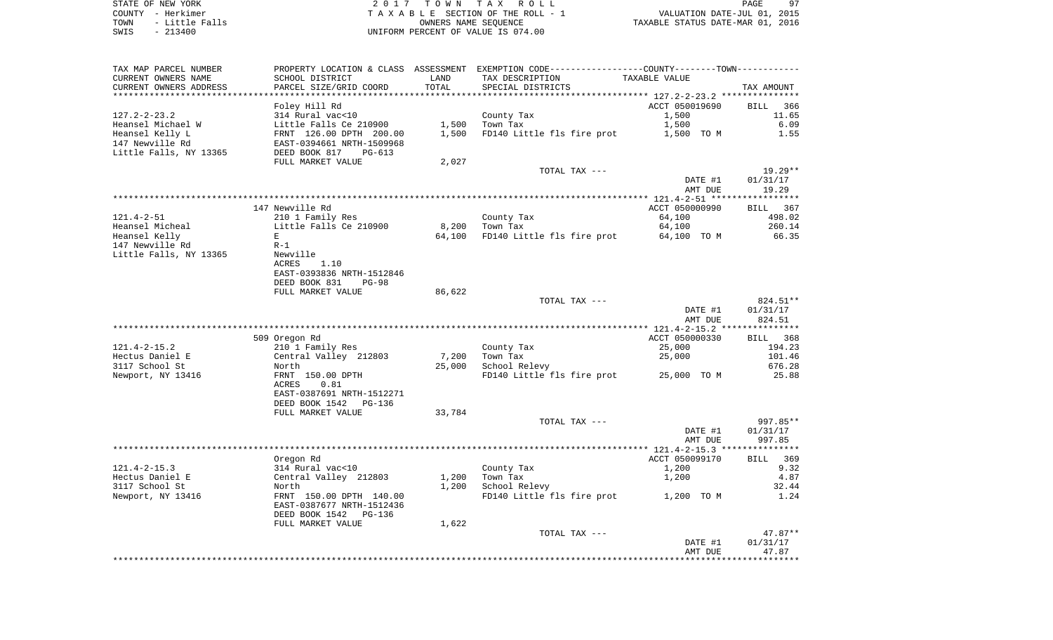STATE OF NEW YORK **EXECUTE:**  $2017$  TOWN TAX ROLL COUNTY - Herkimer<br>
T A X A B L E SECTION OF THE ROLL - 1<br>
TOWN - Little Falls<br>
SWIS - 213400 - 2013400 - UNIFORM PERCENT OF VALUE IS 074.00 TOWN - Little Falls OWNERS NAME SEQUENCE TAXABLE STATUS DATE-MAR 01, 2016 SWIS - 213400 UNIFORM PERCENT OF VALUE IS 074.00

| TAX MAP PARCEL NUMBER  | PROPERTY LOCATION & CLASS ASSESSMENT |        | EXEMPTION CODE-----------------COUNTY--------TOWN---------- |                                 |                    |
|------------------------|--------------------------------------|--------|-------------------------------------------------------------|---------------------------------|--------------------|
| CURRENT OWNERS NAME    | SCHOOL DISTRICT                      | LAND   | TAX DESCRIPTION                                             | TAXABLE VALUE                   |                    |
| CURRENT OWNERS ADDRESS | PARCEL SIZE/GRID COORD               | TOTAL  | SPECIAL DISTRICTS                                           |                                 | TAX AMOUNT         |
|                        |                                      |        |                                                             |                                 |                    |
|                        | Foley Hill Rd                        |        |                                                             | ACCT 050019690                  | 366<br>BILL        |
| $127.2 - 2 - 23.2$     | 314 Rural vac<10                     |        | County Tax                                                  | 1,500                           | 11.65              |
| Heansel Michael W      | Little Falls Ce 210900               | 1,500  | Town Tax                                                    | 1,500                           | 6.09               |
| Heansel Kelly L        | FRNT 126.00 DPTH 200.00              | 1,500  | FD140 Little fls fire prot                                  | 1,500 TO M                      | 1.55               |
| 147 Newville Rd        | EAST-0394661 NRTH-1509968            |        |                                                             |                                 |                    |
| Little Falls, NY 13365 | DEED BOOK 817<br>$PG-613$            |        |                                                             |                                 |                    |
|                        | FULL MARKET VALUE                    | 2,027  |                                                             |                                 |                    |
|                        |                                      |        | TOTAL TAX ---                                               |                                 | $19.29**$          |
|                        |                                      |        |                                                             | DATE #1                         | 01/31/17           |
|                        |                                      |        |                                                             | AMT DUE                         | 19.29              |
|                        |                                      |        |                                                             |                                 |                    |
|                        | 147 Newville Rd                      |        |                                                             | ACCT 050000990                  | BILL 367           |
| $121.4 - 2 - 51$       |                                      |        |                                                             |                                 |                    |
|                        | 210 1 Family Res                     |        | County Tax                                                  | 64,100                          | 498.02             |
| Heansel Micheal        | Little Falls Ce 210900               | 8,200  | Town Tax                                                    | 64,100                          | 260.14             |
| Heansel Kelly          | Е                                    | 64,100 | FD140 Little fls fire prot                                  | 64,100 TO M                     | 66.35              |
| 147 Newville Rd        | $R-1$                                |        |                                                             |                                 |                    |
| Little Falls, NY 13365 | Newville                             |        |                                                             |                                 |                    |
|                        | <b>ACRES</b><br>1.10                 |        |                                                             |                                 |                    |
|                        | EAST-0393836 NRTH-1512846            |        |                                                             |                                 |                    |
|                        | DEED BOOK 831<br>$PG-98$             |        |                                                             |                                 |                    |
|                        |                                      | 86,622 |                                                             |                                 |                    |
|                        | FULL MARKET VALUE                    |        |                                                             |                                 |                    |
|                        |                                      |        | TOTAL TAX ---                                               |                                 | 824.51**           |
|                        |                                      |        |                                                             | DATE #1                         | 01/31/17           |
|                        |                                      |        |                                                             | AMT DUE                         | 824.51             |
|                        |                                      |        | *************************************                       | ************** 121.4-2-15.2 *** | ***********        |
|                        | 509 Oregon Rd                        |        |                                                             | ACCT 050000330                  | <b>BILL</b><br>368 |
| $121.4 - 2 - 15.2$     | 210 1 Family Res                     |        | County Tax                                                  | 25,000                          | 194.23             |
| Hectus Daniel E        | Central Valley 212803                | 7,200  | Town Tax                                                    | 25,000                          | 101.46             |
| 3117 School St         | North                                | 25,000 | School Relevy                                               |                                 | 676.28             |
| Newport, NY 13416      | FRNT 150.00 DPTH                     |        | FD140 Little fls fire prot                                  | 25,000 TO M                     | 25.88              |
|                        | ACRES<br>0.81                        |        |                                                             |                                 |                    |
|                        | EAST-0387691 NRTH-1512271            |        |                                                             |                                 |                    |
|                        | PG-136                               |        |                                                             |                                 |                    |
|                        | DEED BOOK 1542                       |        |                                                             |                                 |                    |
|                        | FULL MARKET VALUE                    | 33,784 |                                                             |                                 |                    |
|                        |                                      |        | TOTAL TAX ---                                               |                                 | 997.85**           |
|                        |                                      |        |                                                             | DATE #1                         | 01/31/17           |
|                        |                                      |        |                                                             | AMT DUE                         | 997.85             |
|                        |                                      |        |                                                             |                                 |                    |
|                        | Oregon Rd                            |        |                                                             | ACCT 050099170                  | BILL 369           |
| $121.4 - 2 - 15.3$     | 314 Rural vac<10                     |        | County Tax                                                  | 1,200                           | 9.32               |
| Hectus Daniel E        | Central Valley 212803                | 1,200  | Town Tax                                                    | 1,200                           | 4.87               |
| 3117 School St         | North                                | 1,200  | School Relevy                                               |                                 | 32.44              |
| Newport, NY 13416      | FRNT 150.00 DPTH 140.00              |        | FD140 Little fls fire prot                                  | 1,200 TO M                      | 1.24               |
|                        | EAST-0387677 NRTH-1512436            |        |                                                             |                                 |                    |
|                        | DEED BOOK 1542<br>PG-136             |        |                                                             |                                 |                    |
|                        | FULL MARKET VALUE                    | 1,622  |                                                             |                                 |                    |
|                        |                                      |        | TOTAL TAX ---                                               |                                 | $47.87**$          |
|                        |                                      |        |                                                             | DATE #1<br>AMT DUE              | 01/31/17<br>47.87  |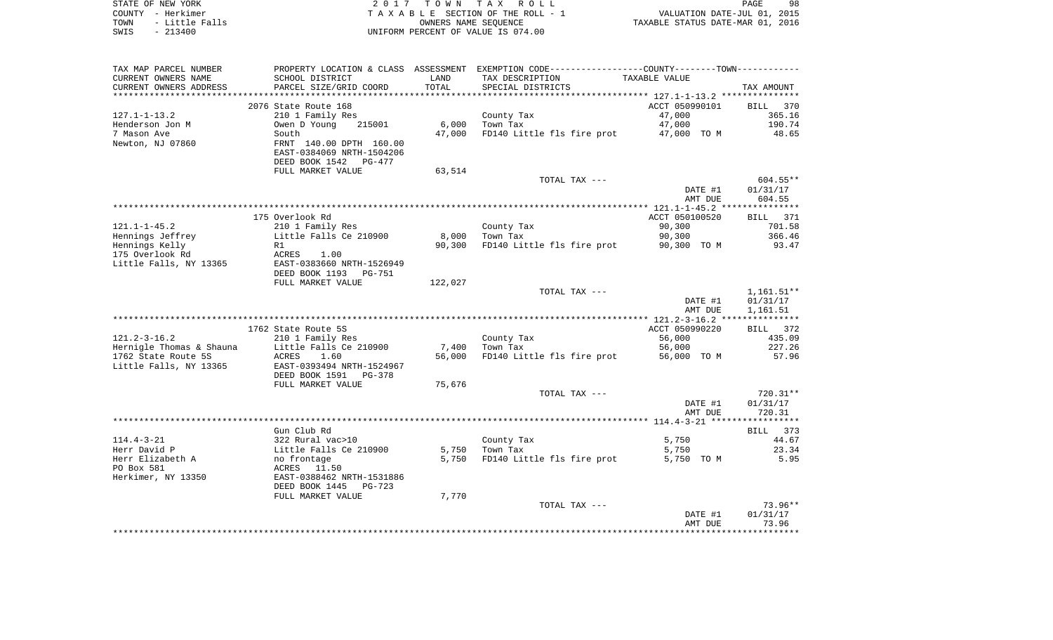| STATE OF NEW YORK      | 2017 TOWN TAX ROLL                 | 98<br>PAGE                       |
|------------------------|------------------------------------|----------------------------------|
| COUNTY - Herkimer      | TAXABLE SECTION OF THE ROLL - 1    | VALUATION DATE-JUL 01, 2015      |
| - Little Falls<br>TOWN | OWNERS NAME SEOUENCE               | TAXABLE STATUS DATE-MAR 01, 2016 |
| $-213400$<br>SWIS      | UNIFORM PERCENT OF VALUE IS 074.00 |                                  |

| TAX MAP PARCEL NUMBER    |                                            |         | PROPERTY LOCATION & CLASS ASSESSMENT EXEMPTION CODE---------------COUNTY--------TOWN---------- |                |                      |
|--------------------------|--------------------------------------------|---------|------------------------------------------------------------------------------------------------|----------------|----------------------|
| CURRENT OWNERS NAME      | SCHOOL DISTRICT                            | LAND    | TAX DESCRIPTION                                                                                | TAXABLE VALUE  |                      |
| CURRENT OWNERS ADDRESS   | PARCEL SIZE/GRID COORD                     | TOTAL   | SPECIAL DISTRICTS                                                                              |                | TAX AMOUNT           |
|                          |                                            |         |                                                                                                |                |                      |
|                          | 2076 State Route 168                       |         |                                                                                                | ACCT 050990101 | BILL 370             |
| $127.1 - 1 - 13.2$       | 210 1 Family Res                           |         | County Tax                                                                                     | 47,000         | 365.16               |
| Henderson Jon M          | Owen D Young<br>215001                     | 6,000   | Town Tax                                                                                       | 47,000         | 190.74               |
| 7 Mason Ave              | South                                      | 47,000  | FD140 Little fls fire prot                                                                     | 47,000 TO M    | 48.65                |
| Newton, NJ 07860         | FRNT 140.00 DPTH 160.00                    |         |                                                                                                |                |                      |
|                          | EAST-0384069 NRTH-1504206                  |         |                                                                                                |                |                      |
|                          | DEED BOOK 1542<br>PG-477                   |         |                                                                                                |                |                      |
|                          | FULL MARKET VALUE                          | 63,514  |                                                                                                |                |                      |
|                          |                                            |         | TOTAL TAX ---                                                                                  | DATE #1        | 604.55**<br>01/31/17 |
|                          |                                            |         |                                                                                                | AMT DUE        | 604.55               |
|                          | **************                             |         |                                                                                                |                |                      |
|                          | 175 Overlook Rd                            |         |                                                                                                | ACCT 050100520 | BILL 371             |
| $121.1 - 1 - 45.2$       | 210 1 Family Res                           |         | County Tax                                                                                     | 90,300         | 701.58               |
| Hennings Jeffrey         | Little Falls Ce 210900                     | 8,000   | Town Tax                                                                                       | 90,300         | 366.46               |
| Hennings Kelly           | R1                                         | 90,300  | FD140 Little fls fire prot                                                                     | 90,300 TO M    | 93.47                |
| 175 Overlook Rd          | 1.00<br>ACRES                              |         |                                                                                                |                |                      |
| Little Falls, NY 13365   | EAST-0383660 NRTH-1526949                  |         |                                                                                                |                |                      |
|                          | DEED BOOK 1193<br>PG-751                   |         |                                                                                                |                |                      |
|                          | FULL MARKET VALUE                          | 122,027 |                                                                                                |                |                      |
|                          |                                            |         | TOTAL TAX ---                                                                                  |                | $1,161.51**$         |
|                          |                                            |         |                                                                                                | DATE #1        | 01/31/17             |
|                          |                                            |         |                                                                                                | AMT DUE        | 1,161.51             |
|                          |                                            |         |                                                                                                |                |                      |
|                          | 1762 State Route 5S                        |         |                                                                                                | ACCT 050990220 | BILL 372             |
| $121.2 - 3 - 16.2$       | 210 1 Family Res                           |         | County Tax                                                                                     | 56,000         | 435.09               |
| Hernigle Thomas & Shauna | Little Falls Ce 210900                     | 7,400   | Town Tax                                                                                       | 56,000         | 227.26               |
| 1762 State Route 5S      | ACRES<br>1.60<br>EAST-0393494 NRTH-1524967 | 56,000  | FD140 Little fls fire prot                                                                     | 56,000 TO M    | 57.96                |
| Little Falls, NY 13365   | DEED BOOK 1591<br>PG-378                   |         |                                                                                                |                |                      |
|                          | FULL MARKET VALUE                          | 75,676  |                                                                                                |                |                      |
|                          |                                            |         | TOTAL TAX ---                                                                                  |                | 720.31**             |
|                          |                                            |         |                                                                                                | DATE #1        | 01/31/17             |
|                          |                                            |         |                                                                                                | AMT DUE        | 720.31               |
|                          |                                            |         |                                                                                                |                |                      |
|                          | Gun Club Rd                                |         |                                                                                                |                | BILL 373             |
| $114.4 - 3 - 21$         | 322 Rural vac>10                           |         | County Tax                                                                                     | 5,750          | 44.67                |
| Herr David P             | Little Falls Ce 210900                     | 5,750   | Town Tax                                                                                       | 5,750          | 23.34                |
| Herr Elizabeth A         | no frontage                                | 5,750   | FD140 Little fls fire prot                                                                     | 5,750 TO M     | 5.95                 |
| PO Box 581               | ACRES 11.50                                |         |                                                                                                |                |                      |
| Herkimer, NY 13350       | EAST-0388462 NRTH-1531886                  |         |                                                                                                |                |                      |
|                          | DEED BOOK 1445<br>$PG-723$                 |         |                                                                                                |                |                      |
|                          | FULL MARKET VALUE                          | 7,770   |                                                                                                |                |                      |
|                          |                                            |         | TOTAL TAX ---                                                                                  |                | $73.96**$            |
|                          |                                            |         |                                                                                                | DATE #1        | 01/31/17             |
|                          |                                            |         |                                                                                                | AMT DUE        | 73.96                |
|                          |                                            |         |                                                                                                |                |                      |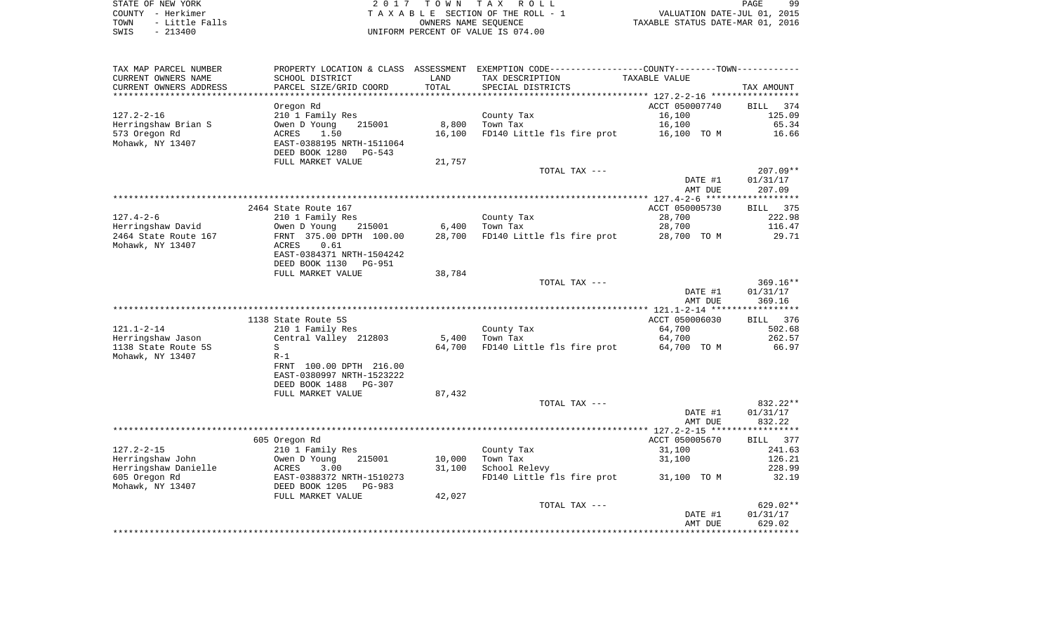STATE OF NEW YORK **EXECUTE:**  $2017$  TOWN TAX ROLL COUNTY - Herkimer<br>
T A X A B L E SECTION OF THE ROLL - 1<br>
TOWN - Little Falls<br>
SWIS - 213400 - 2013400 - UNIFORM PERCENT OF VALUE IS 074.00 TO A CONSERVE THE ROLL - 1 WALUATION DATE-JUL 01, 2015<br>
UNIERS NAME SEQUENCE TAXABLE STATUS DATE-MAR 01, 2016 UNIFORM PERCENT OF VALUE IS 074.00

| TAX MAP PARCEL NUMBER<br>CURRENT OWNERS NAME        | PROPERTY LOCATION & CLASS ASSESSMENT<br>SCHOOL DISTRICT | LAND   | EXEMPTION CODE-----------------COUNTY-------TOWN-----------<br>TAX DESCRIPTION | TAXABLE VALUE                                |                              |
|-----------------------------------------------------|---------------------------------------------------------|--------|--------------------------------------------------------------------------------|----------------------------------------------|------------------------------|
| CURRENT OWNERS ADDRESS<br>************************* | PARCEL SIZE/GRID COORD                                  | TOTAL  | SPECIAL DISTRICTS                                                              |                                              | TAX AMOUNT                   |
|                                                     | Oregon Rd                                               |        |                                                                                | ACCT 050007740                               | <b>BILL</b><br>374           |
| $127.2 - 2 - 16$                                    | 210 1 Family Res                                        |        | County Tax                                                                     | 16,100                                       | 125.09                       |
| Herringshaw Brian S                                 | Owen D Young<br>215001                                  | 8,800  | Town Tax                                                                       | 16,100                                       | 65.34                        |
| 573 Oregon Rd                                       | 1.50<br>ACRES                                           | 16,100 | FD140 Little fls fire prot                                                     | 16,100 TO M                                  | 16.66                        |
| Mohawk, NY 13407                                    | EAST-0388195 NRTH-1511064<br>DEED BOOK 1280<br>PG-543   |        |                                                                                |                                              |                              |
|                                                     | FULL MARKET VALUE                                       | 21,757 |                                                                                |                                              |                              |
|                                                     |                                                         |        | TOTAL TAX ---                                                                  |                                              | $207.09**$                   |
|                                                     |                                                         |        |                                                                                | DATE #1                                      | 01/31/17                     |
|                                                     |                                                         |        |                                                                                | AMT DUE                                      | 207.09                       |
|                                                     |                                                         |        |                                                                                |                                              |                              |
| $127.4 - 2 - 6$                                     | 2464 State Route 167<br>210 1 Family Res                |        | County Tax                                                                     | ACCT 050005730<br>28,700                     | 375<br><b>BILL</b><br>222.98 |
| Herringshaw David                                   | Owen D Young<br>215001                                  | 6,400  | Town Tax                                                                       | 28,700                                       | 116.47                       |
| 2464 State Route 167                                | FRNT 375.00 DPTH 100.00                                 | 28,700 | FD140 Little fls fire prot                                                     | 28,700 TO M                                  | 29.71                        |
| Mohawk, NY 13407                                    | ACRES<br>0.61                                           |        |                                                                                |                                              |                              |
|                                                     | EAST-0384371 NRTH-1504242                               |        |                                                                                |                                              |                              |
|                                                     | DEED BOOK 1130<br>PG-951                                |        |                                                                                |                                              |                              |
|                                                     | FULL MARKET VALUE                                       | 38,784 |                                                                                |                                              |                              |
|                                                     |                                                         |        | TOTAL TAX ---                                                                  |                                              | $369.16**$                   |
|                                                     |                                                         |        |                                                                                | DATE #1<br>AMT DUE                           | 01/31/17<br>369.16           |
|                                                     |                                                         |        |                                                                                |                                              |                              |
|                                                     | 1138 State Route 5S                                     |        |                                                                                | ACCT 050006030                               | <b>BILL</b><br>376           |
| $121.1 - 2 - 14$                                    | 210 1 Family Res                                        |        | County Tax                                                                     | 64,700                                       | 502.68                       |
| Herringshaw Jason                                   | Central Valley 212803                                   | 5,400  | Town Tax                                                                       | 64,700                                       | 262.57                       |
| 1138 State Route 5S                                 | S                                                       | 64,700 | FD140 Little fls fire prot                                                     | 64,700 TO M                                  | 66.97                        |
| Mohawk, NY 13407                                    | $R-1$                                                   |        |                                                                                |                                              |                              |
|                                                     | FRNT 100.00 DPTH 216.00<br>EAST-0380997 NRTH-1523222    |        |                                                                                |                                              |                              |
|                                                     | DEED BOOK 1488<br>PG-307                                |        |                                                                                |                                              |                              |
|                                                     | FULL MARKET VALUE                                       | 87,432 |                                                                                |                                              |                              |
|                                                     |                                                         |        | TOTAL TAX ---                                                                  |                                              | 832.22**                     |
|                                                     |                                                         |        |                                                                                | DATE #1                                      | 01/31/17                     |
|                                                     |                                                         |        |                                                                                | AMT DUE                                      | 832.22                       |
|                                                     |                                                         |        |                                                                                | ************** 127.2-2-15 ****************** |                              |
| $127.2 - 2 - 15$                                    | 605 Oregon Rd                                           |        |                                                                                | ACCT 050005670                               | 377<br><b>BILL</b>           |
| Herringshaw John                                    | 210 1 Family Res<br>215001<br>Owen D Young              | 10,000 | County Tax<br>Town Tax                                                         | 31,100<br>31,100                             | 241.63<br>126.21             |
| Herringshaw Danielle                                | ACRES<br>3.00                                           | 31,100 | School Relevy                                                                  |                                              | 228.99                       |
| 605 Oregon Rd                                       | EAST-0388372 NRTH-1510273                               |        | FD140 Little fls fire prot                                                     | 31,100 TO M                                  | 32.19                        |
| Mohawk, NY 13407                                    | DEED BOOK 1205 PG-983                                   |        |                                                                                |                                              |                              |
|                                                     | FULL MARKET VALUE                                       | 42,027 |                                                                                |                                              |                              |
|                                                     |                                                         |        | TOTAL TAX ---                                                                  |                                              | 629.02**                     |
|                                                     |                                                         |        |                                                                                | DATE #1                                      | 01/31/17                     |
|                                                     |                                                         |        |                                                                                | AMT DUE                                      | 629.02<br>*********          |
|                                                     |                                                         |        |                                                                                |                                              |                              |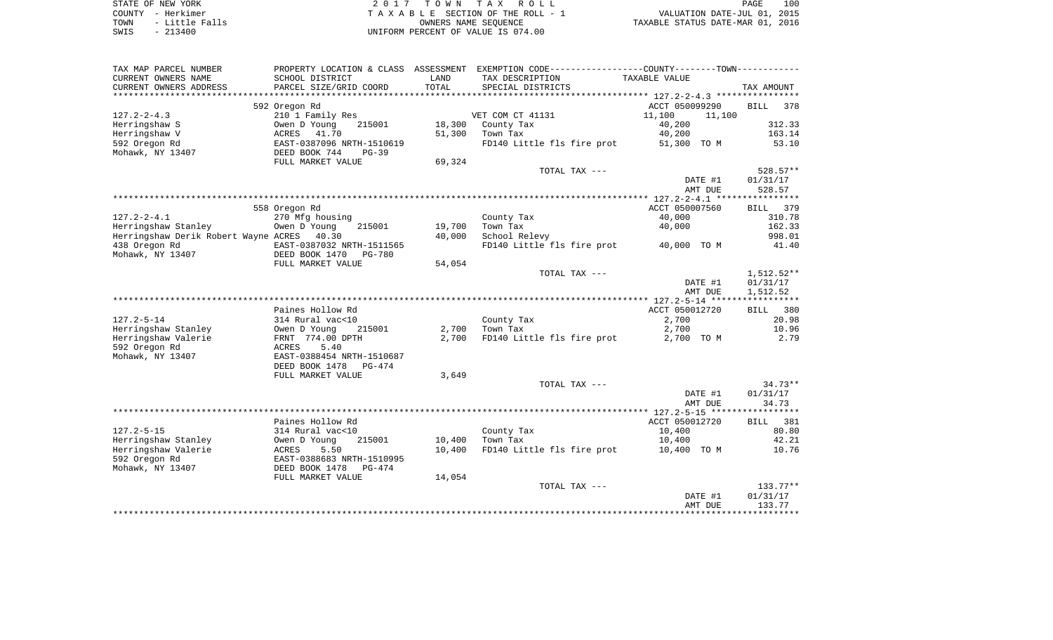| STATE OF NEW YORK      | 2017 TOWN TAX ROLL                 |
|------------------------|------------------------------------|
| COUNTY - Herkimer      | TAXABLE SECTION OF THE ROLL - 1    |
| - Little Falls<br>TOWN | OWNERS NAME SEOUENCE               |
| SMTS - 213400          | INIFORM PERCENT OF VALUE IS 074 00 |

COUNTY - Herkimer<br>
T A X A B L E SECTION OF THE ROLL - 1<br>
OWNERS NAME SECTION OF THE ROLL - 1 TOWN - Little Falls OWNERS NAME SEQUENCE TAXABLE STATUS DATE-MAR 01, 2016 SWIS - 213400 UNIFORM PERCENT OF VALUE IS 074.00

| CURRENT OWNERS NAME<br>SCHOOL DISTRICT<br>LAND<br>TAX DESCRIPTION<br>TAXABLE VALUE<br>TOTAL<br>CURRENT OWNERS ADDRESS<br>PARCEL SIZE/GRID COORD<br>SPECIAL DISTRICTS<br>TAX AMOUNT<br>ACCT 050099290<br>592 Oregon Rd<br>BILL<br>378<br>$127.2 - 2 - 4.3$<br>210 1 Family Res<br>VET COM CT 41131<br>11,100<br>11,100<br>40,200<br>312.33<br>Herringshaw S<br>Owen D Young<br>215001<br>18,300<br>County Tax<br>Herringshaw V<br>41.70<br>51,300<br>Town Tax<br>40,200<br>163.14<br>ACRES<br>FD140 Little fls fire prot<br>EAST-0387096 NRTH-1510619<br>51,300 TO M<br>53.10<br>Mohawk, NY 13407<br>DEED BOOK 744<br>$PG-39$<br>69,324<br>FULL MARKET VALUE<br>528.57**<br>TOTAL TAX ---<br>DATE #1<br>01/31/17<br>AMT DUE<br>528.57<br>558 Oregon Rd<br>ACCT 050007560<br>BILL 379<br>270 Mfg housing<br>40,000<br>310.78<br>County Tax<br>Herringshaw Stanley<br>Owen D Young<br>19,700<br>Town Tax<br>40,000<br>162.33<br>215001<br>998.01<br>Herringshaw Derik Robert Wayne ACRES 40.30<br>40,000<br>School Relevy<br>438 Oregon Rd<br>EAST-0387032 NRTH-1511565<br>FD140 Little fls fire prot<br>41.40<br>40,000 TO M<br>Mohawk, NY 13407<br>DEED BOOK 1470<br><b>PG-780</b><br>54,054<br>FULL MARKET VALUE<br>$1,512.52**$<br>TOTAL TAX ---<br>01/31/17<br>DATE #1<br>AMT DUE<br>1,512.52<br>Paines Hollow Rd<br>ACCT 050012720<br>BILL 380<br>$127.2 - 5 - 14$<br>2,700<br>314 Rural vac<10<br>County Tax<br>20.98<br>2,700<br>2,700<br>10.96<br>Herringshaw Stanley<br>215001<br>Town Tax<br>Owen D Young<br>2,700<br>2.79<br>Herringshaw Valerie<br>FRNT 774.00 DPTH<br>FD140 Little fls fire prot<br>2,700 TO M<br>592 Oregon Rd<br>5.40<br><b>ACRES</b><br>EAST-0388454 NRTH-1510687<br>DEED BOOK 1478<br>$PG-474$<br>FULL MARKET VALUE<br>3,649<br>TOTAL TAX ---<br>$34.73**$<br>DATE #1<br>01/31/17<br>AMT DUE<br>34.73<br>Paines Hollow Rd<br>ACCT 050012720<br>381<br>BILL<br>$127.2 - 5 - 15$<br>80.80<br>314 Rural vac<10<br>10,400<br>County Tax<br>42.21<br>Herringshaw Stanley<br>Owen D Young<br>215001<br>10,400<br>Town Tax<br>10,400<br>Herringshaw Valerie<br>5.50<br>10,400<br>FD140 Little fls fire prot<br>10,400 TO M<br>10.76<br>ACRES<br>592 Oregon Rd<br>EAST-0388683 NRTH-1510995<br>DEED BOOK 1478<br>Mohawk, NY 13407<br>$PG-474$<br>FULL MARKET VALUE<br>14,054<br>$133.77**$<br>TOTAL TAX ---<br>DATE #1<br>01/31/17<br>133.77<br>AMT DUE | TAX MAP PARCEL NUMBER |  | PROPERTY LOCATION & CLASS ASSESSMENT EXEMPTION CODE-----------------COUNTY--------TOWN---------- |  |
|--------------------------------------------------------------------------------------------------------------------------------------------------------------------------------------------------------------------------------------------------------------------------------------------------------------------------------------------------------------------------------------------------------------------------------------------------------------------------------------------------------------------------------------------------------------------------------------------------------------------------------------------------------------------------------------------------------------------------------------------------------------------------------------------------------------------------------------------------------------------------------------------------------------------------------------------------------------------------------------------------------------------------------------------------------------------------------------------------------------------------------------------------------------------------------------------------------------------------------------------------------------------------------------------------------------------------------------------------------------------------------------------------------------------------------------------------------------------------------------------------------------------------------------------------------------------------------------------------------------------------------------------------------------------------------------------------------------------------------------------------------------------------------------------------------------------------------------------------------------------------------------------------------------------------------------------------------------------------------------------------------------------------------------------------------------------------------------------------------------------------------------------------------------------------------------------------------------------------------------------------------------------------------------------------------------------------------------------------------------------------------|-----------------------|--|--------------------------------------------------------------------------------------------------|--|
|                                                                                                                                                                                                                                                                                                                                                                                                                                                                                                                                                                                                                                                                                                                                                                                                                                                                                                                                                                                                                                                                                                                                                                                                                                                                                                                                                                                                                                                                                                                                                                                                                                                                                                                                                                                                                                                                                                                                                                                                                                                                                                                                                                                                                                                                                                                                                                                |                       |  |                                                                                                  |  |
|                                                                                                                                                                                                                                                                                                                                                                                                                                                                                                                                                                                                                                                                                                                                                                                                                                                                                                                                                                                                                                                                                                                                                                                                                                                                                                                                                                                                                                                                                                                                                                                                                                                                                                                                                                                                                                                                                                                                                                                                                                                                                                                                                                                                                                                                                                                                                                                |                       |  |                                                                                                  |  |
|                                                                                                                                                                                                                                                                                                                                                                                                                                                                                                                                                                                                                                                                                                                                                                                                                                                                                                                                                                                                                                                                                                                                                                                                                                                                                                                                                                                                                                                                                                                                                                                                                                                                                                                                                                                                                                                                                                                                                                                                                                                                                                                                                                                                                                                                                                                                                                                |                       |  |                                                                                                  |  |
|                                                                                                                                                                                                                                                                                                                                                                                                                                                                                                                                                                                                                                                                                                                                                                                                                                                                                                                                                                                                                                                                                                                                                                                                                                                                                                                                                                                                                                                                                                                                                                                                                                                                                                                                                                                                                                                                                                                                                                                                                                                                                                                                                                                                                                                                                                                                                                                |                       |  |                                                                                                  |  |
|                                                                                                                                                                                                                                                                                                                                                                                                                                                                                                                                                                                                                                                                                                                                                                                                                                                                                                                                                                                                                                                                                                                                                                                                                                                                                                                                                                                                                                                                                                                                                                                                                                                                                                                                                                                                                                                                                                                                                                                                                                                                                                                                                                                                                                                                                                                                                                                |                       |  |                                                                                                  |  |
|                                                                                                                                                                                                                                                                                                                                                                                                                                                                                                                                                                                                                                                                                                                                                                                                                                                                                                                                                                                                                                                                                                                                                                                                                                                                                                                                                                                                                                                                                                                                                                                                                                                                                                                                                                                                                                                                                                                                                                                                                                                                                                                                                                                                                                                                                                                                                                                |                       |  |                                                                                                  |  |
|                                                                                                                                                                                                                                                                                                                                                                                                                                                                                                                                                                                                                                                                                                                                                                                                                                                                                                                                                                                                                                                                                                                                                                                                                                                                                                                                                                                                                                                                                                                                                                                                                                                                                                                                                                                                                                                                                                                                                                                                                                                                                                                                                                                                                                                                                                                                                                                |                       |  |                                                                                                  |  |
|                                                                                                                                                                                                                                                                                                                                                                                                                                                                                                                                                                                                                                                                                                                                                                                                                                                                                                                                                                                                                                                                                                                                                                                                                                                                                                                                                                                                                                                                                                                                                                                                                                                                                                                                                                                                                                                                                                                                                                                                                                                                                                                                                                                                                                                                                                                                                                                |                       |  |                                                                                                  |  |
|                                                                                                                                                                                                                                                                                                                                                                                                                                                                                                                                                                                                                                                                                                                                                                                                                                                                                                                                                                                                                                                                                                                                                                                                                                                                                                                                                                                                                                                                                                                                                                                                                                                                                                                                                                                                                                                                                                                                                                                                                                                                                                                                                                                                                                                                                                                                                                                | 592 Oregon Rd         |  |                                                                                                  |  |
|                                                                                                                                                                                                                                                                                                                                                                                                                                                                                                                                                                                                                                                                                                                                                                                                                                                                                                                                                                                                                                                                                                                                                                                                                                                                                                                                                                                                                                                                                                                                                                                                                                                                                                                                                                                                                                                                                                                                                                                                                                                                                                                                                                                                                                                                                                                                                                                |                       |  |                                                                                                  |  |
|                                                                                                                                                                                                                                                                                                                                                                                                                                                                                                                                                                                                                                                                                                                                                                                                                                                                                                                                                                                                                                                                                                                                                                                                                                                                                                                                                                                                                                                                                                                                                                                                                                                                                                                                                                                                                                                                                                                                                                                                                                                                                                                                                                                                                                                                                                                                                                                |                       |  |                                                                                                  |  |
|                                                                                                                                                                                                                                                                                                                                                                                                                                                                                                                                                                                                                                                                                                                                                                                                                                                                                                                                                                                                                                                                                                                                                                                                                                                                                                                                                                                                                                                                                                                                                                                                                                                                                                                                                                                                                                                                                                                                                                                                                                                                                                                                                                                                                                                                                                                                                                                |                       |  |                                                                                                  |  |
|                                                                                                                                                                                                                                                                                                                                                                                                                                                                                                                                                                                                                                                                                                                                                                                                                                                                                                                                                                                                                                                                                                                                                                                                                                                                                                                                                                                                                                                                                                                                                                                                                                                                                                                                                                                                                                                                                                                                                                                                                                                                                                                                                                                                                                                                                                                                                                                |                       |  |                                                                                                  |  |
|                                                                                                                                                                                                                                                                                                                                                                                                                                                                                                                                                                                                                                                                                                                                                                                                                                                                                                                                                                                                                                                                                                                                                                                                                                                                                                                                                                                                                                                                                                                                                                                                                                                                                                                                                                                                                                                                                                                                                                                                                                                                                                                                                                                                                                                                                                                                                                                |                       |  |                                                                                                  |  |
|                                                                                                                                                                                                                                                                                                                                                                                                                                                                                                                                                                                                                                                                                                                                                                                                                                                                                                                                                                                                                                                                                                                                                                                                                                                                                                                                                                                                                                                                                                                                                                                                                                                                                                                                                                                                                                                                                                                                                                                                                                                                                                                                                                                                                                                                                                                                                                                |                       |  |                                                                                                  |  |
|                                                                                                                                                                                                                                                                                                                                                                                                                                                                                                                                                                                                                                                                                                                                                                                                                                                                                                                                                                                                                                                                                                                                                                                                                                                                                                                                                                                                                                                                                                                                                                                                                                                                                                                                                                                                                                                                                                                                                                                                                                                                                                                                                                                                                                                                                                                                                                                |                       |  |                                                                                                  |  |
|                                                                                                                                                                                                                                                                                                                                                                                                                                                                                                                                                                                                                                                                                                                                                                                                                                                                                                                                                                                                                                                                                                                                                                                                                                                                                                                                                                                                                                                                                                                                                                                                                                                                                                                                                                                                                                                                                                                                                                                                                                                                                                                                                                                                                                                                                                                                                                                |                       |  |                                                                                                  |  |
|                                                                                                                                                                                                                                                                                                                                                                                                                                                                                                                                                                                                                                                                                                                                                                                                                                                                                                                                                                                                                                                                                                                                                                                                                                                                                                                                                                                                                                                                                                                                                                                                                                                                                                                                                                                                                                                                                                                                                                                                                                                                                                                                                                                                                                                                                                                                                                                | $127.2 - 2 - 4.1$     |  |                                                                                                  |  |
|                                                                                                                                                                                                                                                                                                                                                                                                                                                                                                                                                                                                                                                                                                                                                                                                                                                                                                                                                                                                                                                                                                                                                                                                                                                                                                                                                                                                                                                                                                                                                                                                                                                                                                                                                                                                                                                                                                                                                                                                                                                                                                                                                                                                                                                                                                                                                                                |                       |  |                                                                                                  |  |
|                                                                                                                                                                                                                                                                                                                                                                                                                                                                                                                                                                                                                                                                                                                                                                                                                                                                                                                                                                                                                                                                                                                                                                                                                                                                                                                                                                                                                                                                                                                                                                                                                                                                                                                                                                                                                                                                                                                                                                                                                                                                                                                                                                                                                                                                                                                                                                                |                       |  |                                                                                                  |  |
|                                                                                                                                                                                                                                                                                                                                                                                                                                                                                                                                                                                                                                                                                                                                                                                                                                                                                                                                                                                                                                                                                                                                                                                                                                                                                                                                                                                                                                                                                                                                                                                                                                                                                                                                                                                                                                                                                                                                                                                                                                                                                                                                                                                                                                                                                                                                                                                |                       |  |                                                                                                  |  |
|                                                                                                                                                                                                                                                                                                                                                                                                                                                                                                                                                                                                                                                                                                                                                                                                                                                                                                                                                                                                                                                                                                                                                                                                                                                                                                                                                                                                                                                                                                                                                                                                                                                                                                                                                                                                                                                                                                                                                                                                                                                                                                                                                                                                                                                                                                                                                                                |                       |  |                                                                                                  |  |
|                                                                                                                                                                                                                                                                                                                                                                                                                                                                                                                                                                                                                                                                                                                                                                                                                                                                                                                                                                                                                                                                                                                                                                                                                                                                                                                                                                                                                                                                                                                                                                                                                                                                                                                                                                                                                                                                                                                                                                                                                                                                                                                                                                                                                                                                                                                                                                                |                       |  |                                                                                                  |  |
|                                                                                                                                                                                                                                                                                                                                                                                                                                                                                                                                                                                                                                                                                                                                                                                                                                                                                                                                                                                                                                                                                                                                                                                                                                                                                                                                                                                                                                                                                                                                                                                                                                                                                                                                                                                                                                                                                                                                                                                                                                                                                                                                                                                                                                                                                                                                                                                |                       |  |                                                                                                  |  |
|                                                                                                                                                                                                                                                                                                                                                                                                                                                                                                                                                                                                                                                                                                                                                                                                                                                                                                                                                                                                                                                                                                                                                                                                                                                                                                                                                                                                                                                                                                                                                                                                                                                                                                                                                                                                                                                                                                                                                                                                                                                                                                                                                                                                                                                                                                                                                                                |                       |  |                                                                                                  |  |
|                                                                                                                                                                                                                                                                                                                                                                                                                                                                                                                                                                                                                                                                                                                                                                                                                                                                                                                                                                                                                                                                                                                                                                                                                                                                                                                                                                                                                                                                                                                                                                                                                                                                                                                                                                                                                                                                                                                                                                                                                                                                                                                                                                                                                                                                                                                                                                                |                       |  |                                                                                                  |  |
|                                                                                                                                                                                                                                                                                                                                                                                                                                                                                                                                                                                                                                                                                                                                                                                                                                                                                                                                                                                                                                                                                                                                                                                                                                                                                                                                                                                                                                                                                                                                                                                                                                                                                                                                                                                                                                                                                                                                                                                                                                                                                                                                                                                                                                                                                                                                                                                |                       |  |                                                                                                  |  |
|                                                                                                                                                                                                                                                                                                                                                                                                                                                                                                                                                                                                                                                                                                                                                                                                                                                                                                                                                                                                                                                                                                                                                                                                                                                                                                                                                                                                                                                                                                                                                                                                                                                                                                                                                                                                                                                                                                                                                                                                                                                                                                                                                                                                                                                                                                                                                                                |                       |  |                                                                                                  |  |
|                                                                                                                                                                                                                                                                                                                                                                                                                                                                                                                                                                                                                                                                                                                                                                                                                                                                                                                                                                                                                                                                                                                                                                                                                                                                                                                                                                                                                                                                                                                                                                                                                                                                                                                                                                                                                                                                                                                                                                                                                                                                                                                                                                                                                                                                                                                                                                                |                       |  |                                                                                                  |  |
|                                                                                                                                                                                                                                                                                                                                                                                                                                                                                                                                                                                                                                                                                                                                                                                                                                                                                                                                                                                                                                                                                                                                                                                                                                                                                                                                                                                                                                                                                                                                                                                                                                                                                                                                                                                                                                                                                                                                                                                                                                                                                                                                                                                                                                                                                                                                                                                |                       |  |                                                                                                  |  |
|                                                                                                                                                                                                                                                                                                                                                                                                                                                                                                                                                                                                                                                                                                                                                                                                                                                                                                                                                                                                                                                                                                                                                                                                                                                                                                                                                                                                                                                                                                                                                                                                                                                                                                                                                                                                                                                                                                                                                                                                                                                                                                                                                                                                                                                                                                                                                                                |                       |  |                                                                                                  |  |
|                                                                                                                                                                                                                                                                                                                                                                                                                                                                                                                                                                                                                                                                                                                                                                                                                                                                                                                                                                                                                                                                                                                                                                                                                                                                                                                                                                                                                                                                                                                                                                                                                                                                                                                                                                                                                                                                                                                                                                                                                                                                                                                                                                                                                                                                                                                                                                                |                       |  |                                                                                                  |  |
|                                                                                                                                                                                                                                                                                                                                                                                                                                                                                                                                                                                                                                                                                                                                                                                                                                                                                                                                                                                                                                                                                                                                                                                                                                                                                                                                                                                                                                                                                                                                                                                                                                                                                                                                                                                                                                                                                                                                                                                                                                                                                                                                                                                                                                                                                                                                                                                |                       |  |                                                                                                  |  |
|                                                                                                                                                                                                                                                                                                                                                                                                                                                                                                                                                                                                                                                                                                                                                                                                                                                                                                                                                                                                                                                                                                                                                                                                                                                                                                                                                                                                                                                                                                                                                                                                                                                                                                                                                                                                                                                                                                                                                                                                                                                                                                                                                                                                                                                                                                                                                                                |                       |  |                                                                                                  |  |
|                                                                                                                                                                                                                                                                                                                                                                                                                                                                                                                                                                                                                                                                                                                                                                                                                                                                                                                                                                                                                                                                                                                                                                                                                                                                                                                                                                                                                                                                                                                                                                                                                                                                                                                                                                                                                                                                                                                                                                                                                                                                                                                                                                                                                                                                                                                                                                                | Mohawk, NY 13407      |  |                                                                                                  |  |
|                                                                                                                                                                                                                                                                                                                                                                                                                                                                                                                                                                                                                                                                                                                                                                                                                                                                                                                                                                                                                                                                                                                                                                                                                                                                                                                                                                                                                                                                                                                                                                                                                                                                                                                                                                                                                                                                                                                                                                                                                                                                                                                                                                                                                                                                                                                                                                                |                       |  |                                                                                                  |  |
|                                                                                                                                                                                                                                                                                                                                                                                                                                                                                                                                                                                                                                                                                                                                                                                                                                                                                                                                                                                                                                                                                                                                                                                                                                                                                                                                                                                                                                                                                                                                                                                                                                                                                                                                                                                                                                                                                                                                                                                                                                                                                                                                                                                                                                                                                                                                                                                |                       |  |                                                                                                  |  |
|                                                                                                                                                                                                                                                                                                                                                                                                                                                                                                                                                                                                                                                                                                                                                                                                                                                                                                                                                                                                                                                                                                                                                                                                                                                                                                                                                                                                                                                                                                                                                                                                                                                                                                                                                                                                                                                                                                                                                                                                                                                                                                                                                                                                                                                                                                                                                                                |                       |  |                                                                                                  |  |
|                                                                                                                                                                                                                                                                                                                                                                                                                                                                                                                                                                                                                                                                                                                                                                                                                                                                                                                                                                                                                                                                                                                                                                                                                                                                                                                                                                                                                                                                                                                                                                                                                                                                                                                                                                                                                                                                                                                                                                                                                                                                                                                                                                                                                                                                                                                                                                                |                       |  |                                                                                                  |  |
|                                                                                                                                                                                                                                                                                                                                                                                                                                                                                                                                                                                                                                                                                                                                                                                                                                                                                                                                                                                                                                                                                                                                                                                                                                                                                                                                                                                                                                                                                                                                                                                                                                                                                                                                                                                                                                                                                                                                                                                                                                                                                                                                                                                                                                                                                                                                                                                |                       |  |                                                                                                  |  |
|                                                                                                                                                                                                                                                                                                                                                                                                                                                                                                                                                                                                                                                                                                                                                                                                                                                                                                                                                                                                                                                                                                                                                                                                                                                                                                                                                                                                                                                                                                                                                                                                                                                                                                                                                                                                                                                                                                                                                                                                                                                                                                                                                                                                                                                                                                                                                                                |                       |  |                                                                                                  |  |
|                                                                                                                                                                                                                                                                                                                                                                                                                                                                                                                                                                                                                                                                                                                                                                                                                                                                                                                                                                                                                                                                                                                                                                                                                                                                                                                                                                                                                                                                                                                                                                                                                                                                                                                                                                                                                                                                                                                                                                                                                                                                                                                                                                                                                                                                                                                                                                                |                       |  |                                                                                                  |  |
|                                                                                                                                                                                                                                                                                                                                                                                                                                                                                                                                                                                                                                                                                                                                                                                                                                                                                                                                                                                                                                                                                                                                                                                                                                                                                                                                                                                                                                                                                                                                                                                                                                                                                                                                                                                                                                                                                                                                                                                                                                                                                                                                                                                                                                                                                                                                                                                |                       |  |                                                                                                  |  |
|                                                                                                                                                                                                                                                                                                                                                                                                                                                                                                                                                                                                                                                                                                                                                                                                                                                                                                                                                                                                                                                                                                                                                                                                                                                                                                                                                                                                                                                                                                                                                                                                                                                                                                                                                                                                                                                                                                                                                                                                                                                                                                                                                                                                                                                                                                                                                                                |                       |  |                                                                                                  |  |
|                                                                                                                                                                                                                                                                                                                                                                                                                                                                                                                                                                                                                                                                                                                                                                                                                                                                                                                                                                                                                                                                                                                                                                                                                                                                                                                                                                                                                                                                                                                                                                                                                                                                                                                                                                                                                                                                                                                                                                                                                                                                                                                                                                                                                                                                                                                                                                                |                       |  |                                                                                                  |  |
|                                                                                                                                                                                                                                                                                                                                                                                                                                                                                                                                                                                                                                                                                                                                                                                                                                                                                                                                                                                                                                                                                                                                                                                                                                                                                                                                                                                                                                                                                                                                                                                                                                                                                                                                                                                                                                                                                                                                                                                                                                                                                                                                                                                                                                                                                                                                                                                |                       |  |                                                                                                  |  |
|                                                                                                                                                                                                                                                                                                                                                                                                                                                                                                                                                                                                                                                                                                                                                                                                                                                                                                                                                                                                                                                                                                                                                                                                                                                                                                                                                                                                                                                                                                                                                                                                                                                                                                                                                                                                                                                                                                                                                                                                                                                                                                                                                                                                                                                                                                                                                                                |                       |  |                                                                                                  |  |
|                                                                                                                                                                                                                                                                                                                                                                                                                                                                                                                                                                                                                                                                                                                                                                                                                                                                                                                                                                                                                                                                                                                                                                                                                                                                                                                                                                                                                                                                                                                                                                                                                                                                                                                                                                                                                                                                                                                                                                                                                                                                                                                                                                                                                                                                                                                                                                                |                       |  |                                                                                                  |  |
|                                                                                                                                                                                                                                                                                                                                                                                                                                                                                                                                                                                                                                                                                                                                                                                                                                                                                                                                                                                                                                                                                                                                                                                                                                                                                                                                                                                                                                                                                                                                                                                                                                                                                                                                                                                                                                                                                                                                                                                                                                                                                                                                                                                                                                                                                                                                                                                |                       |  |                                                                                                  |  |
|                                                                                                                                                                                                                                                                                                                                                                                                                                                                                                                                                                                                                                                                                                                                                                                                                                                                                                                                                                                                                                                                                                                                                                                                                                                                                                                                                                                                                                                                                                                                                                                                                                                                                                                                                                                                                                                                                                                                                                                                                                                                                                                                                                                                                                                                                                                                                                                |                       |  |                                                                                                  |  |
|                                                                                                                                                                                                                                                                                                                                                                                                                                                                                                                                                                                                                                                                                                                                                                                                                                                                                                                                                                                                                                                                                                                                                                                                                                                                                                                                                                                                                                                                                                                                                                                                                                                                                                                                                                                                                                                                                                                                                                                                                                                                                                                                                                                                                                                                                                                                                                                |                       |  |                                                                                                  |  |
|                                                                                                                                                                                                                                                                                                                                                                                                                                                                                                                                                                                                                                                                                                                                                                                                                                                                                                                                                                                                                                                                                                                                                                                                                                                                                                                                                                                                                                                                                                                                                                                                                                                                                                                                                                                                                                                                                                                                                                                                                                                                                                                                                                                                                                                                                                                                                                                |                       |  |                                                                                                  |  |
|                                                                                                                                                                                                                                                                                                                                                                                                                                                                                                                                                                                                                                                                                                                                                                                                                                                                                                                                                                                                                                                                                                                                                                                                                                                                                                                                                                                                                                                                                                                                                                                                                                                                                                                                                                                                                                                                                                                                                                                                                                                                                                                                                                                                                                                                                                                                                                                |                       |  |                                                                                                  |  |
|                                                                                                                                                                                                                                                                                                                                                                                                                                                                                                                                                                                                                                                                                                                                                                                                                                                                                                                                                                                                                                                                                                                                                                                                                                                                                                                                                                                                                                                                                                                                                                                                                                                                                                                                                                                                                                                                                                                                                                                                                                                                                                                                                                                                                                                                                                                                                                                |                       |  |                                                                                                  |  |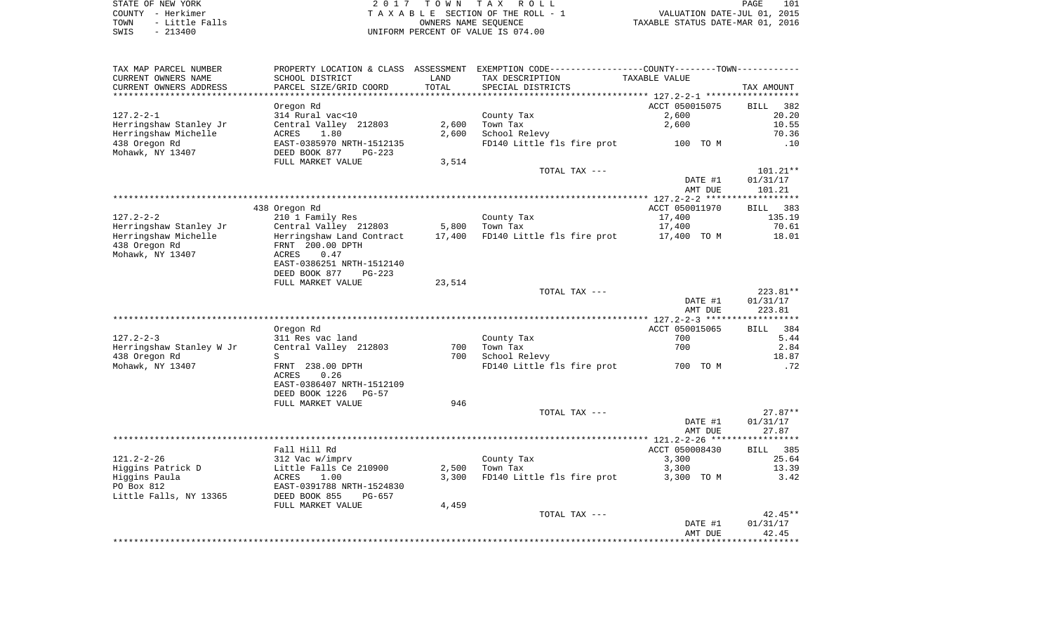STATE OF NEW YORK **EXECUTE:**  $2017$  TOWN TAX ROLL COUNTY - Herkimer<br>
T A X A B L E SECTION OF THE ROLL - 1<br>
TOWN - Little Falls<br>
SWIS - 213400 - 2013400 - UNIFORM PERCENT OF VALUE IS 074.00 TOWN - Little Falls OWNERS NAME SEQUENCE TAXABLE STATUS DATE-MAR 01, 2016 SWIS - 213400 UNIFORM PERCENT OF VALUE IS 074.00

| TAX MAP PARCEL NUMBER    |                                |        | PROPERTY LOCATION & CLASS ASSESSMENT EXEMPTION CODE---------------COUNTY-------TOWN---------- |                                                    |                    |
|--------------------------|--------------------------------|--------|-----------------------------------------------------------------------------------------------|----------------------------------------------------|--------------------|
| CURRENT OWNERS NAME      | SCHOOL DISTRICT                | LAND   | TAX DESCRIPTION                                                                               | TAXABLE VALUE                                      |                    |
| CURRENT OWNERS ADDRESS   | PARCEL SIZE/GRID COORD         | TOTAL  | SPECIAL DISTRICTS                                                                             |                                                    | TAX AMOUNT         |
|                          |                                |        | *************************                                                                     | ********************* 127.2-2-1 ****************** |                    |
|                          | Oregon Rd                      |        |                                                                                               | ACCT 050015075                                     | <b>BILL</b><br>382 |
| $127.2 - 2 - 1$          | 314 Rural vac<10               |        | County Tax                                                                                    | 2,600                                              | 20.20              |
| Herringshaw Stanley Jr   | Central Valley 212803          | 2,600  | Town Tax                                                                                      | 2,600                                              | 10.55              |
|                          |                                |        |                                                                                               |                                                    |                    |
| Herringshaw Michelle     | 1.80<br>ACRES                  | 2,600  | School Relevy                                                                                 |                                                    | 70.36              |
| 438 Oregon Rd            | EAST-0385970 NRTH-1512135      |        | FD140 Little fls fire prot 100 TO M                                                           |                                                    | .10                |
| Mohawk, NY 13407         | DEED BOOK 877<br>$PG-223$      |        |                                                                                               |                                                    |                    |
|                          | FULL MARKET VALUE              | 3,514  |                                                                                               |                                                    |                    |
|                          |                                |        | TOTAL TAX ---                                                                                 |                                                    | 101.21**           |
|                          |                                |        |                                                                                               | DATE #1                                            | 01/31/17           |
|                          |                                |        |                                                                                               | AMT DUE                                            | 101.21             |
|                          |                                |        |                                                                                               |                                                    | ***********        |
|                          | 438 Oregon Rd                  |        |                                                                                               | ACCT 050011970                                     | BILL 383           |
| $127.2 - 2 - 2$          | 210 1 Family Res               |        | County Tax                                                                                    | 17,400                                             | 135.19             |
| Herringshaw Stanley Jr   | Central Valley 212803          | 5,800  | Town Tax                                                                                      | 17,400                                             | 70.61              |
| Herringshaw Michelle     | Herringshaw Land Contract      | 17,400 | FD140 Little fls fire prot                                                                    | 17,400 TO M                                        | 18.01              |
| 438 Oregon Rd            | FRNT 200.00 DPTH               |        |                                                                                               |                                                    |                    |
|                          |                                |        |                                                                                               |                                                    |                    |
| Mohawk, NY 13407         | 0.47<br>ACRES                  |        |                                                                                               |                                                    |                    |
|                          | EAST-0386251 NRTH-1512140      |        |                                                                                               |                                                    |                    |
|                          | DEED BOOK 877<br>$PG-223$      |        |                                                                                               |                                                    |                    |
|                          | FULL MARKET VALUE              | 23,514 |                                                                                               |                                                    |                    |
|                          |                                |        | TOTAL TAX ---                                                                                 |                                                    | $223.81**$         |
|                          |                                |        |                                                                                               | DATE #1                                            | 01/31/17           |
|                          |                                |        |                                                                                               | AMT DUE                                            | 223.81             |
|                          |                                |        |                                                                                               |                                                    |                    |
|                          | Oregon Rd                      |        |                                                                                               | ACCT 050015065                                     | BILL 384           |
| $127.2 - 2 - 3$          | 311 Res vac land               |        | County Tax                                                                                    | 700                                                | 5.44               |
| Herringshaw Stanley W Jr | Central Valley 212803          | 700    | Town Tax                                                                                      | 700                                                | 2.84               |
| 438 Oregon Rd            | S                              | 700    | School Relevy                                                                                 |                                                    | 18.87              |
| Mohawk, NY 13407         | FRNT 238.00 DPTH               |        | FD140 Little fls fire prot                                                                    | 700 TO M                                           | .72                |
|                          | ACRES<br>0.26                  |        |                                                                                               |                                                    |                    |
|                          |                                |        |                                                                                               |                                                    |                    |
|                          | EAST-0386407 NRTH-1512109      |        |                                                                                               |                                                    |                    |
|                          | DEED BOOK 1226<br><b>PG-57</b> |        |                                                                                               |                                                    |                    |
|                          | FULL MARKET VALUE              | 946    |                                                                                               |                                                    |                    |
|                          |                                |        | TOTAL TAX ---                                                                                 |                                                    | $27.87**$          |
|                          |                                |        |                                                                                               | DATE #1                                            | 01/31/17           |
|                          |                                |        |                                                                                               | AMT DUE                                            | 27.87              |
|                          |                                |        |                                                                                               |                                                    |                    |
|                          | Fall Hill Rd                   |        |                                                                                               | ACCT 050008430                                     | BILL 385           |
| $121.2 - 2 - 26$         | 312 Vac w/imprv                |        | County Tax                                                                                    | 3,300                                              | 25.64              |
| Higgins Patrick D        | Little Falls Ce 210900         | 2,500  | Town Tax                                                                                      | 3,300                                              | 13.39              |
| Higgins Paula            | ACRES<br>1.00                  | 3,300  | FD140 Little fls fire prot                                                                    | 3,300 TO M                                         | 3.42               |
| PO Box 812               | EAST-0391788 NRTH-1524830      |        |                                                                                               |                                                    |                    |
| Little Falls, NY 13365   | DEED BOOK 855<br>PG-657        |        |                                                                                               |                                                    |                    |
|                          |                                |        |                                                                                               |                                                    |                    |
|                          | FULL MARKET VALUE              | 4,459  |                                                                                               |                                                    |                    |
|                          |                                |        | TOTAL TAX ---                                                                                 |                                                    | $42.45**$          |
|                          |                                |        |                                                                                               | DATE #1                                            | 01/31/17           |
|                          |                                |        |                                                                                               | AMT DUE                                            | 42.45              |
|                          |                                |        |                                                                                               |                                                    |                    |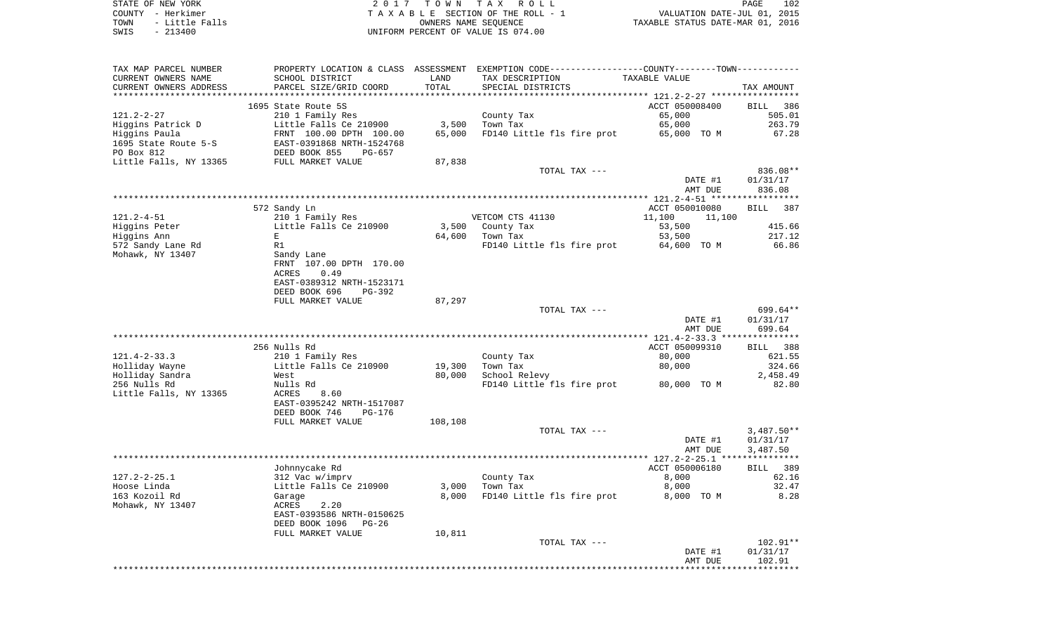STATE OF NEW YORK **EXECUTE:**  $2017$  TOWN TAX ROLL COUNTY - Herkimer<br>
T A X A B L E SECTION OF THE ROLL - 1<br>
TOWN - Little Falls<br>
SWIS - 213400 - 2013400 - UNIFORM PERCENT OF VALUE IS 074.00 TOWN - Little Falls OWNERS NAME SEQUENCE TAXABLE STATUS DATE-MAR 01, 2016 SWIS - 213400 UNIFORM PERCENT OF VALUE IS 074.00

| TAX MAP PARCEL NUMBER  | PROPERTY LOCATION & CLASS ASSESSMENT |         | EXEMPTION CODE-----------------COUNTY--------TOWN----------- |                  |                       |
|------------------------|--------------------------------------|---------|--------------------------------------------------------------|------------------|-----------------------|
| CURRENT OWNERS NAME    | SCHOOL DISTRICT                      | LAND    | TAX DESCRIPTION                                              | TAXABLE VALUE    |                       |
| CURRENT OWNERS ADDRESS | PARCEL SIZE/GRID COORD               | TOTAL   | SPECIAL DISTRICTS                                            |                  | TAX AMOUNT            |
|                        |                                      |         |                                                              |                  |                       |
|                        | 1695 State Route 5S                  |         |                                                              | ACCT 050008400   | <b>BILL</b><br>386    |
| $121.2 - 2 - 27$       | 210 1 Family Res                     |         | County Tax                                                   | 65,000           | 505.01                |
|                        |                                      |         |                                                              |                  |                       |
| Higgins Patrick D      | Little Falls Ce 210900               | 3,500   | Town Tax                                                     | 65,000           | 263.79                |
| Higgins Paula          | FRNT 100.00 DPTH 100.00              | 65,000  | FD140 Little fls fire prot                                   | 65,000 TO M      | 67.28                 |
| 1695 State Route 5-S   | EAST-0391868 NRTH-1524768            |         |                                                              |                  |                       |
| PO Box 812             | DEED BOOK 855<br>$PG-657$            |         |                                                              |                  |                       |
| Little Falls, NY 13365 | FULL MARKET VALUE                    | 87,838  |                                                              |                  |                       |
|                        |                                      |         | TOTAL TAX ---                                                |                  | 836.08**              |
|                        |                                      |         |                                                              | DATE #1          | 01/31/17              |
|                        |                                      |         |                                                              | AMT DUE          | 836.08                |
|                        |                                      |         |                                                              |                  |                       |
|                        | 572 Sandy Ln                         |         |                                                              | ACCT 050010080   | 387<br>BILL           |
| $121.2 - 4 - 51$       | 210 1 Family Res                     |         | VETCOM CTS 41130                                             | 11,100<br>11,100 |                       |
| Higgins Peter          | Little Falls Ce 210900               | 3,500   | County Tax                                                   | 53,500           | 415.66                |
| Higgins Ann            | Е                                    | 64,600  | Town Tax                                                     | 53,500           | 217.12                |
| 572 Sandy Lane Rd      | R1                                   |         | FD140 Little fls fire prot                                   | 64,600 TO M      | 66.86                 |
|                        |                                      |         |                                                              |                  |                       |
| Mohawk, NY 13407       | Sandy Lane                           |         |                                                              |                  |                       |
|                        | FRNT 107.00 DPTH 170.00              |         |                                                              |                  |                       |
|                        | ACRES<br>0.49                        |         |                                                              |                  |                       |
|                        | EAST-0389312 NRTH-1523171            |         |                                                              |                  |                       |
|                        | DEED BOOK 696<br>$PG-392$            |         |                                                              |                  |                       |
|                        | FULL MARKET VALUE                    | 87,297  |                                                              |                  |                       |
|                        |                                      |         | TOTAL TAX ---                                                |                  | 699.64**              |
|                        |                                      |         |                                                              | DATE #1          | 01/31/17              |
|                        |                                      |         |                                                              | AMT DUE          | 699.64                |
|                        |                                      |         |                                                              |                  | ***********           |
|                        | 256 Nulls Rd                         |         |                                                              | ACCT 050099310   | 388<br>BILL           |
| $121.4 - 2 - 33.3$     | 210 1 Family Res                     |         | County Tax                                                   | 80,000           | 621.55                |
| Holliday Wayne         | Little Falls Ce 210900               | 19,300  | Town Tax                                                     | 80,000           | 324.66                |
| Holliday Sandra        | West                                 | 80,000  | School Relevy                                                |                  | 2,458.49              |
| 256 Nulls Rd           |                                      |         | FD140 Little fls fire prot                                   | 80,000 TO M      | 82.80                 |
|                        | Nulls Rd                             |         |                                                              |                  |                       |
| Little Falls, NY 13365 | ACRES<br>8.60                        |         |                                                              |                  |                       |
|                        | EAST-0395242 NRTH-1517087            |         |                                                              |                  |                       |
|                        | DEED BOOK 746<br>PG-176              |         |                                                              |                  |                       |
|                        | FULL MARKET VALUE                    | 108,108 |                                                              |                  |                       |
|                        |                                      |         | TOTAL TAX ---                                                |                  | $3,487.50**$          |
|                        |                                      |         |                                                              | DATE #1          | 01/31/17              |
|                        |                                      |         |                                                              | AMT DUE          | 3,487.50              |
|                        |                                      |         |                                                              |                  | * * * * * * * * * * * |
|                        | Johnnycake Rd                        |         |                                                              | ACCT 050006180   | 389<br>BILL           |
| $127.2 - 2 - 25.1$     | 312 Vac w/imprv                      |         | County Tax                                                   | 8,000            | 62.16                 |
| Hoose Linda            | Little Falls Ce 210900               | 3,000   | Town Tax                                                     | 8,000            | 32.47                 |
| 163 Kozoil Rd          | Garage                               | 8,000   | FD140 Little fls fire prot                                   | 8,000 TO M       | 8.28                  |
| Mohawk, NY 13407       | ACRES<br>2.20                        |         |                                                              |                  |                       |
|                        | EAST-0393586 NRTH-0150625            |         |                                                              |                  |                       |
|                        |                                      |         |                                                              |                  |                       |
|                        | DEED BOOK 1096<br>$PG-26$            |         |                                                              |                  |                       |
|                        | FULL MARKET VALUE                    | 10,811  |                                                              |                  |                       |
|                        |                                      |         | TOTAL TAX ---                                                |                  | 102.91**              |
|                        |                                      |         |                                                              | DATE #1          | 01/31/17              |
|                        |                                      |         |                                                              | AMT DUE          | 102.91                |
|                        |                                      |         |                                                              |                  |                       |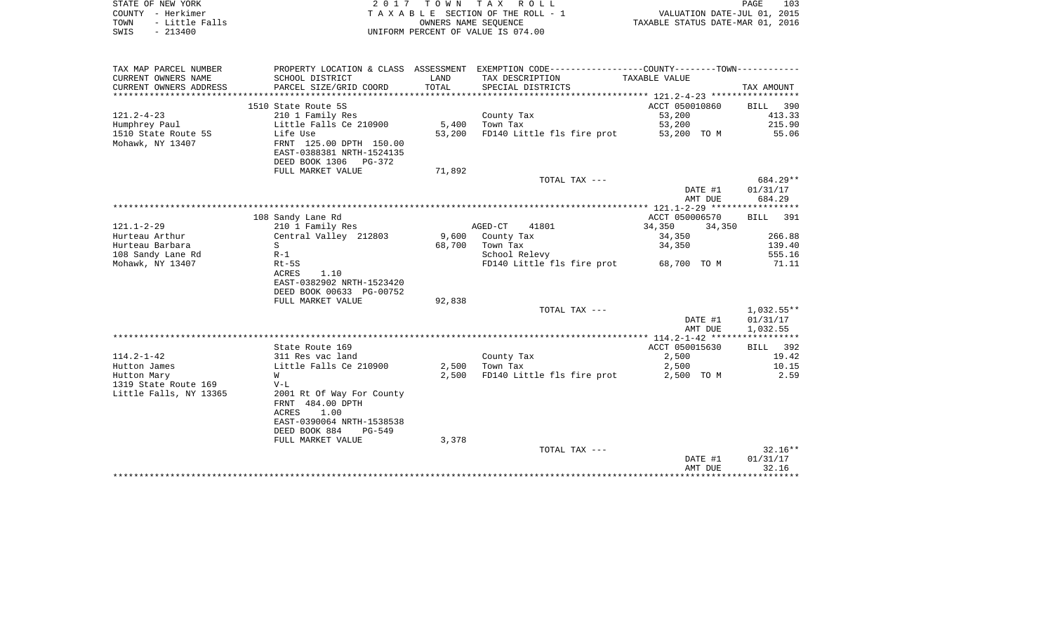| STATE OF NEW YORK      | 2017 TOWN TAX ROLL                 | 103<br>PAGE                      |
|------------------------|------------------------------------|----------------------------------|
| COUNTY - Herkimer      | TAXABLE SECTION OF THE ROLL - 1    | VALUATION DATE-JUL 01, 2015      |
| - Little Falls<br>TOWN | OWNERS NAME SEOUENCE               | TAXABLE STATUS DATE-MAR 01, 2016 |
| $-213400$<br>SWIS      | UNIFORM PERCENT OF VALUE IS 074.00 |                                  |

| TAX MAP PARCEL NUMBER              |                                           |        | PROPERTY LOCATION & CLASS ASSESSMENT EXEMPTION CODE----------------COUNTY--------TOWN---------- |                                   |                   |
|------------------------------------|-------------------------------------------|--------|-------------------------------------------------------------------------------------------------|-----------------------------------|-------------------|
| CURRENT OWNERS NAME                | SCHOOL DISTRICT                           | LAND   | TAX DESCRIPTION                                                                                 | TAXABLE VALUE                     |                   |
| CURRENT OWNERS ADDRESS             | PARCEL SIZE/GRID COORD                    | TOTAL  | SPECIAL DISTRICTS                                                                               |                                   | TAX AMOUNT        |
|                                    |                                           |        |                                                                                                 |                                   |                   |
|                                    | 1510 State Route 5S                       |        |                                                                                                 | ACCT 050010860                    | BILL 390          |
| $121.2 - 4 - 23$                   | 210 1 Family Res                          |        | County Tax                                                                                      | 53,200                            | 413.33            |
| Humphrey Paul                      | Little Falls Ce 210900                    | 5,400  | Town Tax                                                                                        | 53,200                            | 215.90            |
| 1510 State Route 5S                | Life Use                                  | 53,200 | FD140 Little fls fire prot                                                                      | 53,200 TO M                       | 55.06             |
| Mohawk, NY 13407                   | FRNT 125.00 DPTH 150.00                   |        |                                                                                                 |                                   |                   |
|                                    | EAST-0388381 NRTH-1524135                 |        |                                                                                                 |                                   |                   |
|                                    | DEED BOOK 1306 PG-372                     |        |                                                                                                 |                                   |                   |
|                                    | FULL MARKET VALUE                         | 71,892 |                                                                                                 |                                   |                   |
|                                    |                                           |        | TOTAL TAX ---                                                                                   |                                   | 684.29**          |
|                                    |                                           |        |                                                                                                 | DATE #1                           | 01/31/17          |
|                                    |                                           |        |                                                                                                 | AMT DUE                           | 684.29            |
|                                    |                                           |        |                                                                                                 |                                   |                   |
|                                    | 108 Sandy Lane Rd                         |        |                                                                                                 | ACCT 050006570                    | BILL 391          |
| $121.1 - 2 - 29$<br>Hurteau Arthur | 210 1 Family Res<br>Central Valley 212803 | 9,600  | AGED-CT<br>41801<br>County Tax                                                                  | 34,350<br>34,350                  | 266.88            |
| Hurteau Barbara                    | S                                         | 68,700 | Town Tax                                                                                        | 34,350<br>34,350                  | 139.40            |
| 108 Sandy Lane Rd                  | $R-1$                                     |        | School Relevy                                                                                   |                                   | 555.16            |
| Mohawk, NY 13407                   | Rt-5S                                     |        | FD140 Little fls fire prot 68,700 TO M                                                          |                                   | 71.11             |
|                                    | 1.10<br>ACRES                             |        |                                                                                                 |                                   |                   |
|                                    | EAST-0382902 NRTH-1523420                 |        |                                                                                                 |                                   |                   |
|                                    | DEED BOOK 00633 PG-00752                  |        |                                                                                                 |                                   |                   |
|                                    | FULL MARKET VALUE                         | 92,838 |                                                                                                 |                                   |                   |
|                                    |                                           |        | TOTAL TAX ---                                                                                   |                                   | $1,032.55**$      |
|                                    |                                           |        |                                                                                                 | DATE #1                           | 01/31/17          |
|                                    |                                           |        |                                                                                                 | AMT DUE                           | 1,032.55          |
|                                    |                                           |        |                                                                                                 |                                   |                   |
|                                    | State Route 169                           |        |                                                                                                 | ACCT 050015630                    | BILL 392          |
| $114.2 - 1 - 42$                   | 311 Res vac land                          |        | County Tax                                                                                      | 2,500                             | 19.42             |
| Hutton James                       | Little Falls Ce 210900                    | 2,500  | Town Tax                                                                                        | 2,500                             | 10.15             |
| Hutton Mary                        | W                                         | 2,500  | FD140 Little fls fire prot                                                                      | 2,500 TO M                        | 2.59              |
| 1319 State Route 169               | $V-L$                                     |        |                                                                                                 |                                   |                   |
| Little Falls, NY 13365             | 2001 Rt Of Way For County                 |        |                                                                                                 |                                   |                   |
|                                    | FRNT 484.00 DPTH                          |        |                                                                                                 |                                   |                   |
|                                    | <b>ACRES</b><br>1.00                      |        |                                                                                                 |                                   |                   |
|                                    | EAST-0390064 NRTH-1538538                 |        |                                                                                                 |                                   |                   |
|                                    | DEED BOOK 884<br>$PG-549$                 |        |                                                                                                 |                                   |                   |
|                                    | FULL MARKET VALUE                         | 3,378  |                                                                                                 |                                   |                   |
|                                    |                                           |        | TOTAL TAX ---                                                                                   |                                   | $32.16**$         |
|                                    |                                           |        |                                                                                                 | DATE #1<br>AMT DUE                | 01/31/17<br>32.16 |
|                                    |                                           |        |                                                                                                 | ********************************* |                   |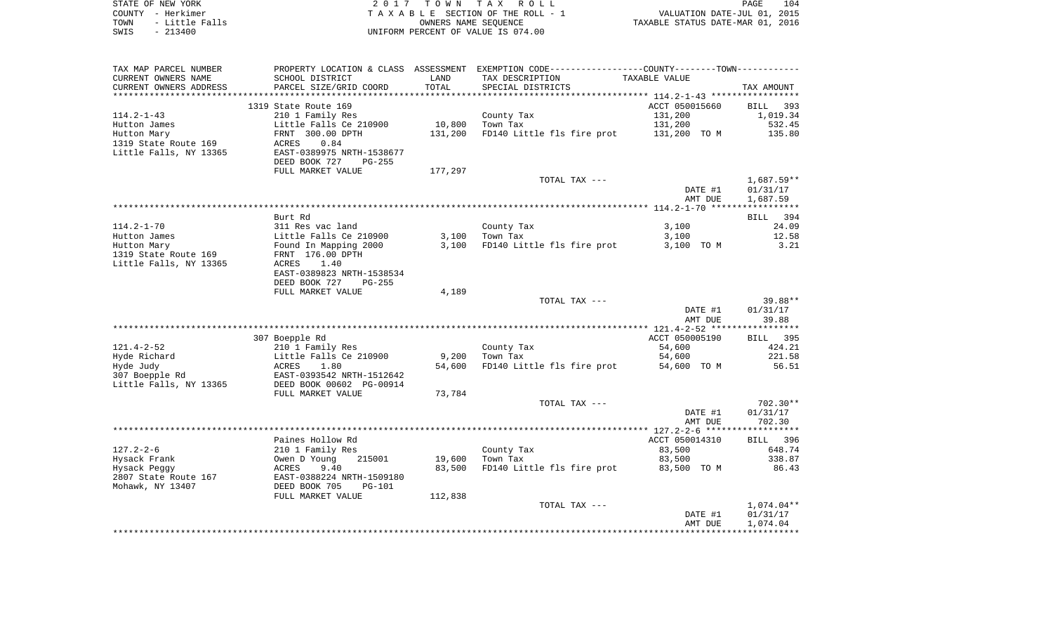| STATE OF NEW YORK                           |                                                                                |         | 2017 TOWN TAX ROLL                                                                            |                                                                             | PAGE<br>104          |
|---------------------------------------------|--------------------------------------------------------------------------------|---------|-----------------------------------------------------------------------------------------------|-----------------------------------------------------------------------------|----------------------|
| COUNTY - Herkimer                           |                                                                                |         | TAXABLE SECTION OF THE ROLL - 1                                                               | FAGE 104<br>VALUATION DATE-JUL 01, 2015<br>TAXABLE STATUS DATE-MAR 01, 2016 |                      |
| TOWN<br>- Little Falls<br>SWIS<br>$-213400$ |                                                                                |         | OWNERS NAME SEQUENCE<br>UNIFORM PERCENT OF VALUE IS 074.00                                    |                                                                             |                      |
|                                             |                                                                                |         |                                                                                               |                                                                             |                      |
| TAX MAP PARCEL NUMBER                       |                                                                                |         | PROPERTY LOCATION & CLASS ASSESSMENT EXEMPTION CODE---------------COUNTY-------TOWN---------- |                                                                             |                      |
| CURRENT OWNERS NAME                         | SCHOOL DISTRICT                                                                | LAND    | TAX DESCRIPTION                                                                               | TAXABLE VALUE                                                               |                      |
| CURRENT OWNERS ADDRESS                      | PARCEL SIZE/GRID COORD                                                         | TOTAL   | SPECIAL DISTRICTS                                                                             |                                                                             | TAX AMOUNT           |
|                                             |                                                                                |         |                                                                                               |                                                                             |                      |
| $114.2 - 1 - 43$                            | 1319 State Route 169<br>210 1 Family Res                                       |         | County Tax                                                                                    | ACCT 050015660<br>131,200                                                   | BILL 393<br>1,019.34 |
| Hutton James                                | Little Falls Ce 210900                                                         |         | 10,800 Town Tax                                                                               |                                                                             | 532.45               |
| Hutton Mary                                 | FRNT 300.00 DPTH                                                               |         | 10,800 Town Tax<br>131,200 FD140 Little fls fire prot 131,200 TO M                            |                                                                             | 135.80               |
| 1319 State Route 169                        | ACRES<br>0.84                                                                  |         |                                                                                               |                                                                             |                      |
| Little Falls, NY 13365                      | EAST-0389975 NRTH-1538677                                                      |         |                                                                                               |                                                                             |                      |
|                                             | DEED BOOK 727 PG-255                                                           |         |                                                                                               |                                                                             |                      |
|                                             | FULL MARKET VALUE                                                              | 177,297 |                                                                                               |                                                                             |                      |
|                                             |                                                                                |         | TOTAL TAX ---                                                                                 |                                                                             | 1,687.59**           |
|                                             |                                                                                |         |                                                                                               | DATE #1                                                                     | 01/31/17             |
|                                             |                                                                                |         |                                                                                               | AMT DUE                                                                     | 1,687.59             |
|                                             |                                                                                |         |                                                                                               |                                                                             |                      |
|                                             | Burt Rd                                                                        |         |                                                                                               |                                                                             | BILL 394             |
| $114.2 - 1 - 70$                            | 311 Res vac land                                                               |         | County Tax                                                                                    | 3,100                                                                       | 24.09                |
| Hutton James<br>Hutton Mary                 | Little Falls Ce 210900 3,100 Town Tax<br>Found In Mapping 2000 3,100 FD140 Lit |         | FD140 Little fls fire prot 3,100 TO M                                                         | 3,100                                                                       | 12.58<br>3.21        |
| 1319 State Route 169                        | FRNT 176.00 DPTH                                                               |         |                                                                                               |                                                                             |                      |
| Little Falls, NY 13365                      | ACRES<br>1.40                                                                  |         |                                                                                               |                                                                             |                      |
|                                             | EAST-0389823 NRTH-1538534                                                      |         |                                                                                               |                                                                             |                      |
|                                             | DEED BOOK 727 PG-255                                                           |         |                                                                                               |                                                                             |                      |
|                                             | FULL MARKET VALUE                                                              | 4,189   |                                                                                               |                                                                             |                      |
|                                             |                                                                                |         | TOTAL TAX ---                                                                                 |                                                                             | 39.88**              |
|                                             |                                                                                |         |                                                                                               | DATE #1                                                                     | 01/31/17             |
|                                             |                                                                                |         |                                                                                               | AMT DUE                                                                     | 39.88                |
|                                             |                                                                                |         |                                                                                               |                                                                             |                      |
| $121.4 - 2 - 52$                            | 307 Boepple Rd                                                                 |         |                                                                                               | ACCT 050005190                                                              | BILL 395             |
| Hyde Richard                                | 210 1 Family Res<br>Little Falls Ce 210900                                     |         | County Tax<br>9,200 Town Tax                                                                  | 54,600<br>54,600                                                            | 424.21<br>221.58     |
| Hyde Judy                                   | ACRES<br>1.80                                                                  | 54,600  | FD140 Little fls fire prot                                                                    | 54,600 TO M                                                                 | 56.51                |
| 307 Boepple Rd                              | EAST-0393542 NRTH-1512642                                                      |         |                                                                                               |                                                                             |                      |
| Little Falls, NY 13365                      | DEED BOOK 00602 PG-00914                                                       |         |                                                                                               |                                                                             |                      |
|                                             | FULL MARKET VALUE                                                              | 73,784  |                                                                                               |                                                                             |                      |
|                                             |                                                                                |         | TOTAL TAX ---                                                                                 |                                                                             | $702.30**$           |
|                                             |                                                                                |         |                                                                                               | DATE #1                                                                     | 01/31/17             |
|                                             |                                                                                |         |                                                                                               | AMT DUE                                                                     | 702.30               |
|                                             |                                                                                |         |                                                                                               |                                                                             |                      |
|                                             | Paines Hollow Rd                                                               |         |                                                                                               | ACCT 050014310                                                              | BILL 396             |
| $127.2 - 2 - 6$                             | 210 1 Family Res                                                               |         | County Tax                                                                                    | 83,500                                                                      | 648.74               |
| Hysack Frank                                | 215001<br>Owen D Young                                                         | 19,600  | Town Tax                                                                                      | 83,500                                                                      | 338.87               |
| Hysack Peggy                                | 9.40<br>ACRES                                                                  | 83,500  | FD140 Little fls fire prot                                                                    | 83,500 TO M                                                                 | 86.43                |
| 2807 State Route 167                        | EAST-0388224 NRTH-1509180                                                      |         |                                                                                               |                                                                             |                      |
| Mohawk, NY 13407                            | DEED BOOK 705<br>$PG-101$                                                      |         |                                                                                               |                                                                             |                      |

| FULL MARKET VALUE | 112,838 |               |         |            |
|-------------------|---------|---------------|---------|------------|
|                   |         | TOTAL TAX --- |         | 1,074.04** |
|                   |         |               | DATE #1 | 01/31/17   |
|                   |         |               | AMT DUE | 1,074.04   |
|                   |         |               |         |            |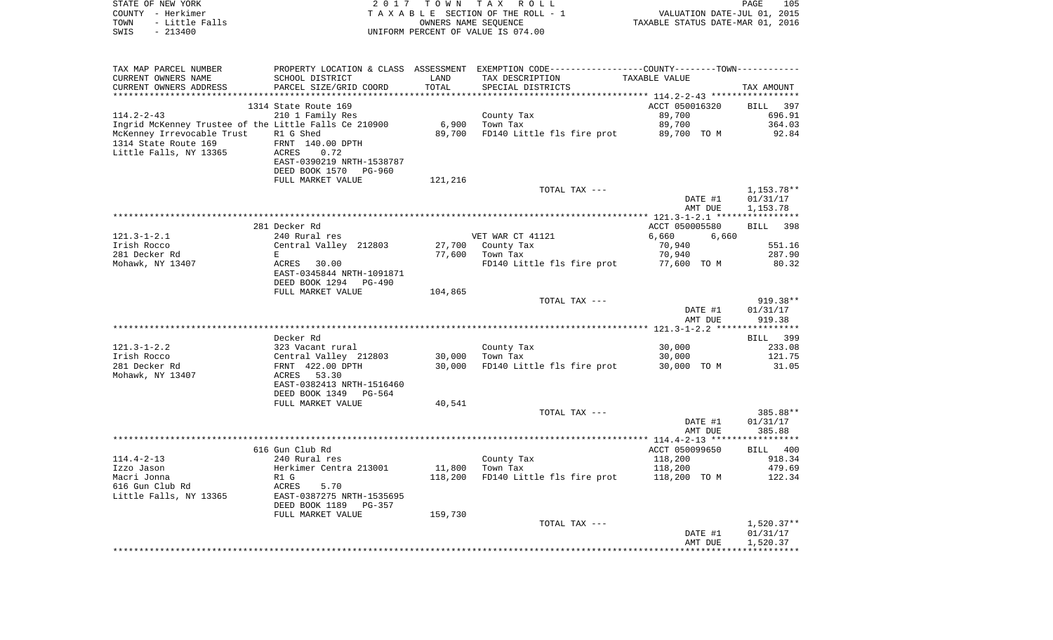| COUNTY - Herkimer                                     |                                                                                                          |         | TAXABLE SECTION OF THE ROLL - 1                                                                |                                                                 |                 |
|-------------------------------------------------------|----------------------------------------------------------------------------------------------------------|---------|------------------------------------------------------------------------------------------------|-----------------------------------------------------------------|-----------------|
| TOWN<br>- Little Falls                                |                                                                                                          |         | OWNERS NAME SEQUENCE                                                                           | VALUATION DATE-JUL 01, 2015<br>TAXABLE STATUS DATE-MAR 01, 2016 |                 |
| SWIS<br>$-213400$                                     |                                                                                                          |         | UNIFORM PERCENT OF VALUE IS 074.00                                                             |                                                                 |                 |
|                                                       |                                                                                                          |         |                                                                                                |                                                                 |                 |
|                                                       |                                                                                                          |         |                                                                                                |                                                                 |                 |
|                                                       |                                                                                                          |         |                                                                                                |                                                                 |                 |
| TAX MAP PARCEL NUMBER                                 |                                                                                                          |         | PROPERTY LOCATION & CLASS ASSESSMENT EXEMPTION CODE----------------COUNTY-------TOWN---------- |                                                                 |                 |
| CURRENT OWNERS NAME                                   | SCHOOL DISTRICT                                                                                          | LAND    | TAX DESCRIPTION                                                                                | TAXABLE VALUE                                                   |                 |
| CURRENT OWNERS ADDRESS                                | PARCEL SIZE/GRID COORD                                                                                   | TOTAL   | SPECIAL DISTRICTS                                                                              |                                                                 | TAX AMOUNT      |
|                                                       |                                                                                                          |         |                                                                                                |                                                                 |                 |
|                                                       | 1314 State Route 169                                                                                     |         |                                                                                                | ACCT 050016320                                                  | BILL 397        |
| $114.2 - 2 - 43$                                      | 210 1 Family Res                                                                                         |         | County Tax                                                                                     | 89,700                                                          | 696.91          |
| Ingrid McKenney Trustee of the Little Falls Ce 210900 |                                                                                                          |         | $6,900$ Town Tax                                                                               | 89,700                                                          | 364.03          |
| McKenney Irrevocable Trust R1 G Shed                  |                                                                                                          |         | 89,700 FD140 Little fls fire prot 89,700 TO M                                                  |                                                                 | 92.84           |
|                                                       |                                                                                                          |         |                                                                                                |                                                                 |                 |
|                                                       |                                                                                                          |         |                                                                                                |                                                                 |                 |
|                                                       | EAST-0390219 NRTH-1538787                                                                                |         |                                                                                                |                                                                 |                 |
|                                                       | DEED BOOK 1570 PG-960                                                                                    |         |                                                                                                |                                                                 |                 |
|                                                       | FULL MARKET VALUE                                                                                        | 121,216 |                                                                                                |                                                                 |                 |
|                                                       |                                                                                                          |         | TOTAL TAX ---                                                                                  |                                                                 | 1,153.78**      |
|                                                       |                                                                                                          |         |                                                                                                | DATE #1                                                         | 01/31/17        |
|                                                       |                                                                                                          |         |                                                                                                | AMT DUE                                                         | 1,153.78        |
|                                                       |                                                                                                          |         |                                                                                                |                                                                 |                 |
|                                                       | 281 Decker Rd                                                                                            |         |                                                                                                | ACCT 050005580                                                  | BILL 398        |
| $121.3 - 1 - 2.1$                                     | 240 Rural res                                                                                            |         | VET WAR CT 41121                                                                               | 6,660<br>6,660                                                  |                 |
| Irish Rocco                                           | Central Valley 212803                                                                                    |         | 27,700 County Tax                                                                              | 70,940                                                          | 551.16          |
| 281 Decker Rd                                         | E                                                                                                        |         | 77,600 Town Tax                                                                                | 70,940                                                          | 287.90          |
| Mohawk, NY 13407                                      |                                                                                                          |         | FD140 Little fls fire prot 77,600 TO M                                                         |                                                                 | 80.32           |
|                                                       | ACRES 30.00<br>EAST-0345844 NRTH-1091871                                                                 |         |                                                                                                |                                                                 |                 |
|                                                       | DEED BOOK 1294 PG-490                                                                                    |         |                                                                                                |                                                                 |                 |
|                                                       | FULL MARKET VALUE                                                                                        | 104,865 |                                                                                                |                                                                 |                 |
|                                                       |                                                                                                          |         | TOTAL TAX ---                                                                                  |                                                                 | 919.38**        |
|                                                       |                                                                                                          |         |                                                                                                | DATE #1                                                         | 01/31/17        |
|                                                       |                                                                                                          |         |                                                                                                | AMT DUE                                                         | 919.38          |
|                                                       |                                                                                                          |         |                                                                                                |                                                                 |                 |
|                                                       | Decker Rd                                                                                                |         |                                                                                                |                                                                 | <b>BILL</b> 399 |
| $121.3 - 1 - 2.2$                                     | Decker Rd<br>323 Vacant rural<br>Central Valley 212803<br>FRNT 422.00 DPTH<br>ACRES 53.30<br>RCRES 53.30 |         |                                                                                                | 30,000                                                          | 233.08          |
| Irish Rocco                                           |                                                                                                          |         | County Tax<br>Town Tax<br>30,000 Town Tax                                                      | 30,000                                                          | 121.75          |
| 281 Decker Rd                                         |                                                                                                          |         | 30,000 FD140 Little fls fire prot 30,000 TO M                                                  |                                                                 | 31.05           |
| Mohawk, NY 13407                                      |                                                                                                          |         |                                                                                                |                                                                 |                 |
|                                                       | EAST-0382413 NRTH-1516460                                                                                |         |                                                                                                |                                                                 |                 |
|                                                       | DEED BOOK 1349 PG-564                                                                                    |         |                                                                                                |                                                                 |                 |
|                                                       | FULL MARKET VALUE                                                                                        | 40,541  |                                                                                                |                                                                 |                 |
|                                                       |                                                                                                          |         | TOTAL TAX ---                                                                                  |                                                                 | 385.88**        |
|                                                       |                                                                                                          |         |                                                                                                | DATE #1                                                         | 01/31/17        |
|                                                       |                                                                                                          |         |                                                                                                | AMT DUE                                                         | 385.88          |
|                                                       |                                                                                                          |         |                                                                                                |                                                                 |                 |
|                                                       | 616 Gun Club Rd                                                                                          |         |                                                                                                | ACCT 050099650                                                  | BILL 400        |
| $114.4 - 2 - 13$                                      |                                                                                                          |         |                                                                                                | 118,200                                                         | 918.34          |
|                                                       |                                                                                                          |         | County Tax                                                                                     |                                                                 |                 |
| Izzo Jason                                            | 240 Rural res<br>Herkimer Centra 213001<br>R1 G                                                          |         | 11,800 Town Tax                                                                                | 118,200                                                         | 479.69          |
| Macri Jonna                                           |                                                                                                          |         | 118,200 FD140 Little fls fire prot 118,200 TO M                                                |                                                                 | 122.34          |
| 616 Gun Club Rd                                       | <b>ACRES</b><br>5.70                                                                                     |         |                                                                                                |                                                                 |                 |
| Little Falls, NY 13365                                | EAST-0387275 NRTH-1535695                                                                                |         |                                                                                                |                                                                 |                 |
|                                                       | DEED BOOK 1189<br>PG-357                                                                                 |         |                                                                                                |                                                                 |                 |
|                                                       | FULL MARKET VALUE                                                                                        | 159,730 |                                                                                                |                                                                 |                 |
|                                                       |                                                                                                          |         | TOTAL TAX ---                                                                                  |                                                                 | $1,520.37**$    |
|                                                       |                                                                                                          |         |                                                                                                | DATE #1                                                         | 01/31/17        |
|                                                       |                                                                                                          |         |                                                                                                | AMT DUE                                                         | 1,520.37        |
|                                                       |                                                                                                          |         |                                                                                                |                                                                 |                 |

PAGE 105

STATE OF NEW YORK **EXECUTE:**  $2017$  TOWN TAX ROLL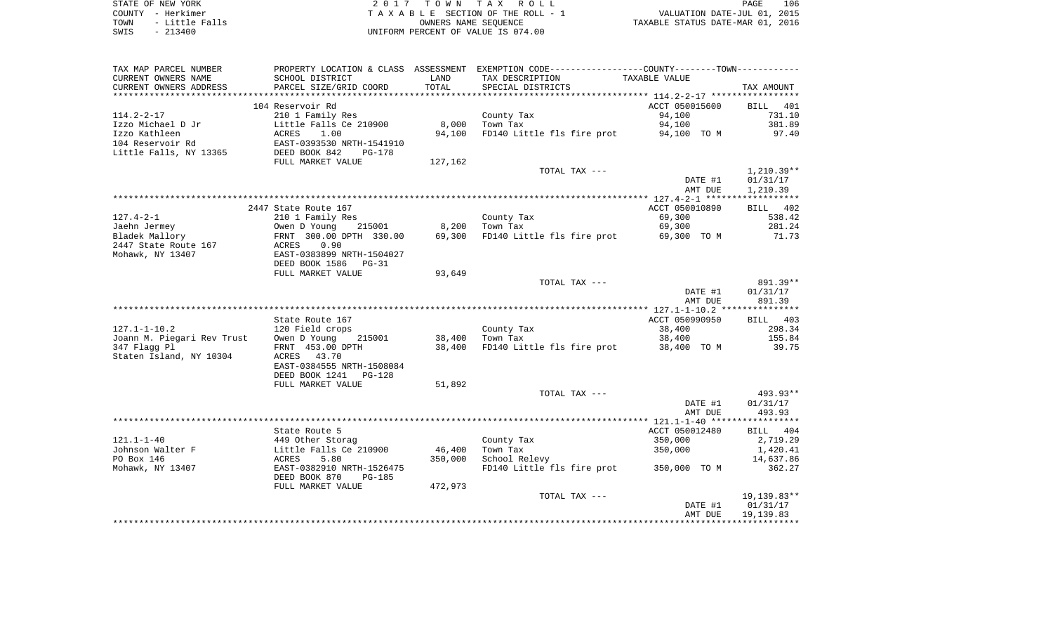| STATE OF NEW YORK       | 2017 TOWN TAX ROLL                  | 106<br>PAGE                      |
|-------------------------|-------------------------------------|----------------------------------|
| COUNTY – Herkimer       | TAXABLE SECTION OF THE ROLL - 1     | VALUATION DATE-JUL 01, 2015      |
| - Little Falls<br>TOWN  | OWNERS NAME SEOUENCE                | TAXABLE STATUS DATE-MAR 01, 2016 |
| - 213400<br><b>CMTC</b> | INITEORM PERCENT OF VALUE IS 074 00 |                                  |

SWIS - 213400 UNIFORM PERCENT OF VALUE IS 074.00

| TAX MAP PARCEL NUMBER      |                                                   |         | PROPERTY LOCATION & CLASS ASSESSMENT EXEMPTION CODE----------------COUNTY-------TOWN---------- |                |              |
|----------------------------|---------------------------------------------------|---------|------------------------------------------------------------------------------------------------|----------------|--------------|
| CURRENT OWNERS NAME        | SCHOOL DISTRICT                                   | LAND    | TAX DESCRIPTION                                                                                | TAXABLE VALUE  |              |
| CURRENT OWNERS ADDRESS     | PARCEL SIZE/GRID COORD                            | TOTAL   | SPECIAL DISTRICTS                                                                              |                | TAX AMOUNT   |
|                            |                                                   |         |                                                                                                |                |              |
|                            | 104 Reservoir Rd                                  |         |                                                                                                | ACCT 050015600 | BILL 401     |
| $114.2 - 2 - 17$           | 210 1 Family Res                                  |         | County Tax                                                                                     | 94,100         | 731.10       |
| Izzo Michael D Jr          | Little Falls Ce 210900                            | 8,000   | Town Tax                                                                                       | 94,100         | 381.89       |
| Izzo Kathleen              |                                                   | 94,100  | FD140 Little fls fire prot 94,100 TO M                                                         |                |              |
|                            | ACRES<br>1.00                                     |         |                                                                                                |                | 97.40        |
| 104 Reservoir Rd           | EAST-0393530 NRTH-1541910<br>DEED BOOK 842 PG-178 |         |                                                                                                |                |              |
| Little Falls, NY 13365     |                                                   |         |                                                                                                |                |              |
|                            | FULL MARKET VALUE                                 | 127,162 |                                                                                                |                |              |
|                            |                                                   |         | TOTAL TAX ---                                                                                  |                | $1,210.39**$ |
|                            |                                                   |         |                                                                                                | DATE #1        | 01/31/17     |
|                            |                                                   |         |                                                                                                | AMT DUE        | 1,210.39     |
|                            |                                                   |         |                                                                                                |                |              |
|                            | 2447 State Route 167                              |         |                                                                                                | ACCT 050010890 | BILL 402     |
| $127.4 - 2 - 1$            | 210 1 Family Res                                  |         | County Tax                                                                                     | 69,300         | 538.42       |
| Jaehn Jermey               |                                                   | 8,200   | Town Tax                                                                                       | 69,300         | 281.24       |
| Bladek Mallory             | 90 Noung 215<br>1500 FRNT 300.00 DPTH             | 69,300  | FD140 Little fls fire prot 69,300 TO M                                                         |                | 71.73        |
| 2447 State Route 167       | 0.90<br>ACRES                                     |         |                                                                                                |                |              |
| Mohawk, NY 13407           | EAST-0383899 NRTH-1504027                         |         |                                                                                                |                |              |
|                            | DEED BOOK 1586 PG-31                              |         |                                                                                                |                |              |
|                            | FULL MARKET VALUE                                 | 93,649  |                                                                                                |                |              |
|                            |                                                   |         | TOTAL TAX ---                                                                                  |                | 891.39**     |
|                            |                                                   |         |                                                                                                | DATE #1        | 01/31/17     |
|                            |                                                   |         |                                                                                                | AMT DUE        | 891.39       |
|                            |                                                   |         |                                                                                                |                |              |
|                            |                                                   |         |                                                                                                |                |              |
|                            | State Route 167                                   |         |                                                                                                | ACCT 050990950 | BILL 403     |
| $127.1 - 1 - 10.2$         | 120 Field crops                                   |         | County Tax                                                                                     | 38,400         | 298.34       |
| Joann M. Piegari Rev Trust | Owen D Young 215001                               | 38,400  | Town Tax                                                                                       | 38,400         | 155.84       |
| 347 Flagg Pl               | FRNT 453.00 DPTH                                  | 38,400  | FD140 Little fls fire prot 38,400 TO M                                                         |                | 39.75        |
| Staten Island, NY 10304    | ACRES 43.70                                       |         |                                                                                                |                |              |
|                            | EAST-0384555 NRTH-1508084                         |         |                                                                                                |                |              |
|                            | DEED BOOK 1241 PG-128                             |         |                                                                                                |                |              |
|                            | FULL MARKET VALUE                                 | 51,892  |                                                                                                |                |              |
|                            |                                                   |         | TOTAL TAX ---                                                                                  |                | $493.93**$   |
|                            |                                                   |         |                                                                                                | DATE #1        | 01/31/17     |
|                            |                                                   |         |                                                                                                | AMT DUE        | 493.93       |
|                            |                                                   |         |                                                                                                |                |              |
|                            | State Route 5                                     |         |                                                                                                | ACCT 050012480 | BILL 404     |
| $121.1 - 1 - 40$           | 449 Other Storag                                  |         | County Tax                                                                                     | 350,000        | 2,719.29     |
| Johnson Walter F           | Little Falls Ce 210900                            | 46,400  | Town Tax                                                                                       | 350,000        | 1,420.41     |
| PO Box 146                 | ACRES<br>5.80                                     | 350,000 | School Relevy                                                                                  |                | 14,637.86    |
| Mohawk, NY 13407           | EAST-0382910 NRTH-1526475                         |         | FD140 Little fls fire prot 350,000 TO M                                                        |                | 362.27       |
|                            | DEED BOOK 870<br>PG-185                           |         |                                                                                                |                |              |
|                            | FULL MARKET VALUE                                 | 472,973 |                                                                                                |                |              |
|                            |                                                   |         | TOTAL TAX ---                                                                                  |                | 19,139.83**  |
|                            |                                                   |         |                                                                                                | DATE #1        |              |
|                            |                                                   |         |                                                                                                |                | 01/31/17     |
|                            |                                                   |         |                                                                                                | AMT DUE        | 19,139.83    |
|                            |                                                   |         |                                                                                                |                |              |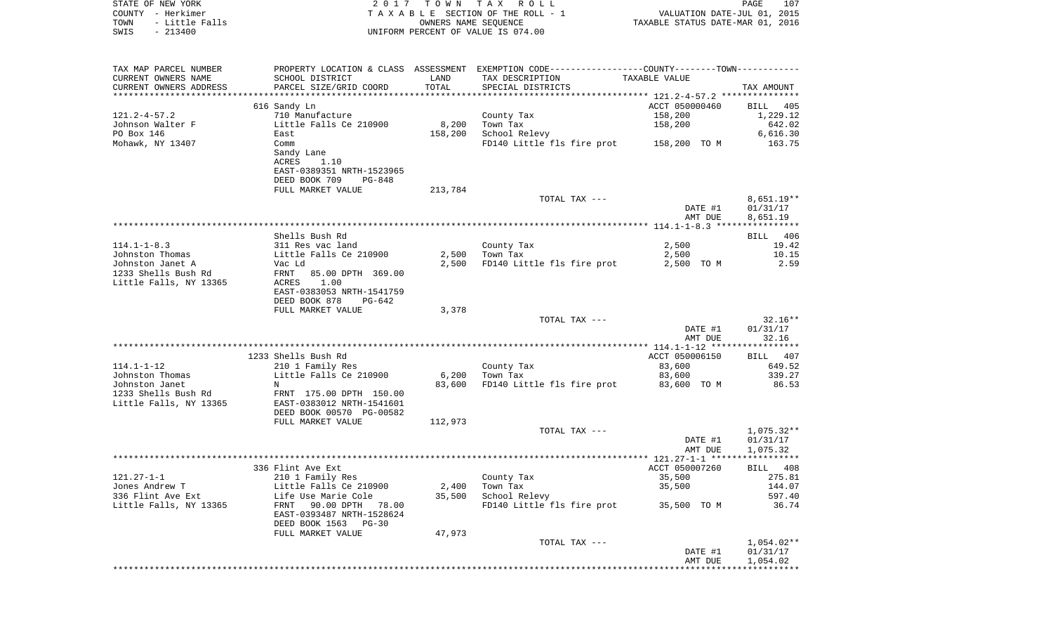|      | STATE OF NEW YORK | 2017 TOWN TAX ROLL                 |                                  | PAGE | 107 |
|------|-------------------|------------------------------------|----------------------------------|------|-----|
|      | COUNTY - Herkimer | TAXABLE SECTION OF THE ROLL - 1    | VALUATION DATE-JUL 01, 2015      |      |     |
| TOWN | - Little Falls    | OWNERS NAME SEOUENCE               | TAXABLE STATUS DATE-MAR 01, 2016 |      |     |
| SWIS | $-213400$         | UNIFORM PERCENT OF VALUE IS 074.00 |                                  |      |     |

| TAX MAP PARCEL NUMBER  |                                      |         | PROPERTY LOCATION & CLASS ASSESSMENT EXEMPTION CODE---------------COUNTY-------TOWN---------- |                |                    |
|------------------------|--------------------------------------|---------|-----------------------------------------------------------------------------------------------|----------------|--------------------|
| CURRENT OWNERS NAME    | SCHOOL DISTRICT                      | LAND    | TAX DESCRIPTION                                                                               | TAXABLE VALUE  |                    |
| CURRENT OWNERS ADDRESS | PARCEL SIZE/GRID COORD               | TOTAL   | SPECIAL DISTRICTS                                                                             |                | TAX AMOUNT         |
| ********************** |                                      |         |                                                                                               |                |                    |
|                        | 616 Sandy Ln                         |         |                                                                                               | ACCT 050000460 | <b>BILL</b><br>405 |
| $121.2 - 4 - 57.2$     | 710 Manufacture                      |         | County Tax                                                                                    | 158,200        | 1,229.12           |
| Johnson Walter F       | Little Falls Ce 210900               | 8,200   | Town Tax                                                                                      | 158,200        | 642.02             |
| PO Box 146             | East                                 | 158,200 | School Relevy                                                                                 |                | 6,616.30           |
| Mohawk, NY 13407       | Comm                                 |         | FD140 Little fls fire prot                                                                    | 158,200 TO M   | 163.75             |
|                        | Sandy Lane                           |         |                                                                                               |                |                    |
|                        | ACRES<br>1.10                        |         |                                                                                               |                |                    |
|                        | EAST-0389351 NRTH-1523965            |         |                                                                                               |                |                    |
|                        | DEED BOOK 709<br>$PG-848$            |         |                                                                                               |                |                    |
|                        | FULL MARKET VALUE                    | 213,784 |                                                                                               |                |                    |
|                        |                                      |         | TOTAL TAX ---                                                                                 |                | $8,651.19**$       |
|                        |                                      |         |                                                                                               | DATE #1        | 01/31/17           |
|                        |                                      |         |                                                                                               | AMT DUE        | 8,651.19           |
|                        |                                      |         |                                                                                               |                |                    |
|                        | Shells Bush Rd                       |         |                                                                                               |                | 406<br><b>BILL</b> |
| $114.1 - 1 - 8.3$      | 311 Res vac land                     |         | County Tax                                                                                    | 2,500          | 19.42              |
| Johnston Thomas        | Little Falls Ce 210900               | 2,500   | Town Tax                                                                                      | 2,500          | 10.15              |
| Johnston Janet A       | Vac Ld                               | 2,500   | FD140 Little fls fire prot                                                                    | 2,500 TO M     | 2.59               |
| 1233 Shells Bush Rd    | FRNT<br>85.00 DPTH 369.00            |         |                                                                                               |                |                    |
| Little Falls, NY 13365 | ACRES<br>1.00                        |         |                                                                                               |                |                    |
|                        | EAST-0383053 NRTH-1541759            |         |                                                                                               |                |                    |
|                        | DEED BOOK 878<br>$PG-642$            |         |                                                                                               |                |                    |
|                        | FULL MARKET VALUE                    | 3,378   |                                                                                               |                |                    |
|                        |                                      |         | TOTAL TAX ---                                                                                 |                | $32.16**$          |
|                        |                                      |         |                                                                                               | DATE #1        | 01/31/17           |
|                        |                                      |         |                                                                                               | AMT DUE        | 32.16              |
|                        |                                      |         |                                                                                               |                |                    |
|                        | 1233 Shells Bush Rd                  |         |                                                                                               | ACCT 050006150 | 407<br>BILL        |
| $114.1 - 1 - 12$       |                                      |         |                                                                                               | 83,600         | 649.52             |
|                        | 210 1 Family Res                     |         | County Tax                                                                                    |                |                    |
| Johnston Thomas        | Little Falls Ce 210900<br>$_{\rm N}$ | 6,200   | Town Tax                                                                                      | 83,600         | 339.27             |
| Johnston Janet         |                                      | 83,600  | FD140 Little fls fire prot                                                                    | 83,600 TO M    | 86.53              |
| 1233 Shells Bush Rd    | FRNT 175.00 DPTH 150.00              |         |                                                                                               |                |                    |
| Little Falls, NY 13365 | EAST-0383012 NRTH-1541601            |         |                                                                                               |                |                    |
|                        | DEED BOOK 00570 PG-00582             |         |                                                                                               |                |                    |
|                        | FULL MARKET VALUE                    | 112,973 |                                                                                               |                |                    |
|                        |                                      |         | TOTAL TAX ---                                                                                 |                | $1,075.32**$       |
|                        |                                      |         |                                                                                               | DATE #1        | 01/31/17           |
|                        |                                      |         |                                                                                               | AMT DUE        | 1,075.32           |
|                        |                                      |         |                                                                                               |                |                    |
|                        | 336 Flint Ave Ext                    |         |                                                                                               | ACCT 050007260 | BILL 408           |
| $121.27 - 1 - 1$       | 210 1 Family Res                     |         | County Tax                                                                                    | 35,500         | 275.81             |
| Jones Andrew T         | Little Falls Ce 210900               | 2,400   | Town Tax                                                                                      | 35,500         | 144.07             |
| 336 Flint Ave Ext      | Life Use Marie Cole                  | 35,500  | School Relevy                                                                                 |                | 597.40             |
| Little Falls, NY 13365 | FRNT<br>90.00 DPTH<br>78.00          |         | FD140 Little fls fire prot                                                                    | 35,500 TO M    | 36.74              |
|                        | EAST-0393487 NRTH-1528624            |         |                                                                                               |                |                    |
|                        | DEED BOOK 1563<br>$PG-30$            |         |                                                                                               |                |                    |
|                        | FULL MARKET VALUE                    | 47,973  |                                                                                               |                |                    |
|                        |                                      |         | TOTAL TAX ---                                                                                 |                | $1,054.02**$       |
|                        |                                      |         |                                                                                               | DATE #1        | 01/31/17           |
|                        |                                      |         |                                                                                               | AMT DUE        | 1,054.02           |
|                        |                                      |         |                                                                                               |                |                    |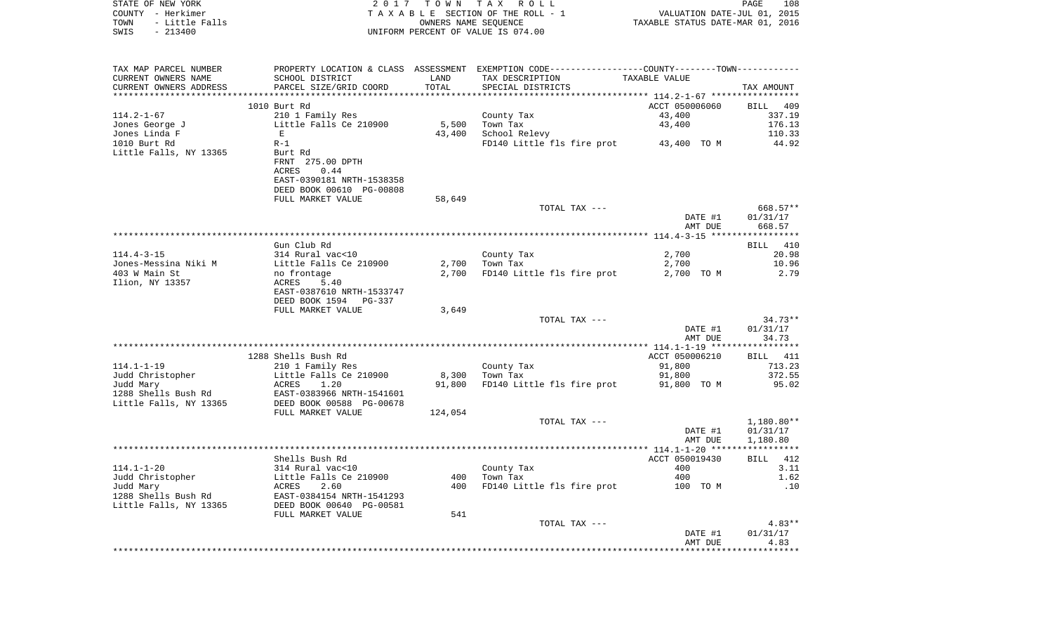| STATE OF NEW YORK                            | 2017                                                  |         | TOWN TAX ROLL                                                                                                     |                                  | PAGE<br>108            |
|----------------------------------------------|-------------------------------------------------------|---------|-------------------------------------------------------------------------------------------------------------------|----------------------------------|------------------------|
| COUNTY - Herkimer                            |                                                       |         | TAXABLE SECTION OF THE ROLL - 1                                                                                   | VALUATION DATE-JUL 01, 2015      |                        |
| TOWN<br>- Little Falls                       |                                                       |         | OWNERS NAME SEQUENCE                                                                                              | TAXABLE STATUS DATE-MAR 01, 2016 |                        |
| $-213400$<br>SWIS                            |                                                       |         | UNIFORM PERCENT OF VALUE IS 074.00                                                                                |                                  |                        |
|                                              |                                                       |         |                                                                                                                   |                                  |                        |
| TAX MAP PARCEL NUMBER<br>CURRENT OWNERS NAME | SCHOOL DISTRICT                                       | LAND    | PROPERTY LOCATION & CLASS ASSESSMENT EXEMPTION CODE----------------COUNTY-------TOWN----------<br>TAX DESCRIPTION | TAXABLE VALUE                    |                        |
| CURRENT OWNERS ADDRESS                       | PARCEL SIZE/GRID COORD                                | TOTAL   | SPECIAL DISTRICTS                                                                                                 |                                  | TAX AMOUNT             |
|                                              |                                                       |         |                                                                                                                   |                                  |                        |
|                                              | 1010 Burt Rd                                          |         |                                                                                                                   | ACCT 050006060                   | BILL 409               |
| 114.2-1-67                                   | 210 1 Family Res                                      |         | County Tax                                                                                                        | 43,400                           | 337.19                 |
| Jones George J                               | Little Falls Ce 210900                                | 5,500   | Town Tax                                                                                                          | 43,400                           | 176.13                 |
| Jones Linda F                                | E                                                     | 43,400  | School Relevy                                                                                                     |                                  | 110.33                 |
| 1010 Burt Rd                                 | $R-1$                                                 |         | FD140 Little fls fire prot 43,400 TO M                                                                            |                                  | 44.92                  |
| Little Falls, NY 13365                       | Burt Rd                                               |         |                                                                                                                   |                                  |                        |
|                                              | FRNT 275.00 DPTH                                      |         |                                                                                                                   |                                  |                        |
|                                              | ACRES<br>0.44                                         |         |                                                                                                                   |                                  |                        |
|                                              | EAST-0390181 NRTH-1538358                             |         |                                                                                                                   |                                  |                        |
|                                              | DEED BOOK 00610 PG-00808<br>FULL MARKET VALUE         | 58,649  |                                                                                                                   |                                  |                        |
|                                              |                                                       |         | TOTAL TAX ---                                                                                                     |                                  | 668.57**               |
|                                              |                                                       |         |                                                                                                                   | DATE #1                          | 01/31/17               |
|                                              |                                                       |         |                                                                                                                   | AMT DUE                          | 668.57                 |
|                                              |                                                       |         |                                                                                                                   |                                  |                        |
|                                              | Gun Club Rd                                           |         |                                                                                                                   |                                  | BILL 410               |
| $114.4 - 3 - 15$                             | 314 Rural vac<10                                      |         | County Tax                                                                                                        | 2,700                            | 20.98                  |
| Jones-Messina Niki M                         | Little Falls Ce 210900                                | 2,700   | Town Tax                                                                                                          | 2,700                            | 10.96                  |
| 403 W Main St                                | no frontage                                           | 2,700   | FD140 Little fls fire prot                                                                                        | 2,700 TO M                       | 2.79                   |
| Ilion, NY 13357                              | ACRES<br>5.40                                         |         |                                                                                                                   |                                  |                        |
|                                              | EAST-0387610 NRTH-1533747                             |         |                                                                                                                   |                                  |                        |
|                                              | DEED BOOK 1594 PG-337                                 |         |                                                                                                                   |                                  |                        |
|                                              | FULL MARKET VALUE                                     | 3,649   | TOTAL TAX ---                                                                                                     |                                  | $34.73**$              |
|                                              |                                                       |         |                                                                                                                   | DATE #1                          | 01/31/17               |
|                                              |                                                       |         |                                                                                                                   | AMT DUE                          | 34.73                  |
|                                              |                                                       |         |                                                                                                                   |                                  |                        |
|                                              | 1288 Shells Bush Rd                                   |         |                                                                                                                   | ACCT 050006210                   | BILL 411               |
| 114.1–1–19                                   | 210 1 Family Res                                      |         | County Tax                                                                                                        | 91,800                           | 713.23                 |
| Judd Christopher                             | Little Falls Ce 210900                                | 8,300   | Town Tax                                                                                                          | 91,800                           | 372.55                 |
| Judd Mary                                    | ACRES<br>1.20                                         | 91,800  | FD140 Little fls fire prot 91,800 TO M                                                                            |                                  | 95.02                  |
| 1288 Shells Bush Rd                          | EAST-0383966 NRTH-1541601<br>DEED BOOK 00588 PG-00678 |         |                                                                                                                   |                                  |                        |
| Little Falls, NY 13365                       |                                                       |         |                                                                                                                   |                                  |                        |
|                                              | FULL MARKET VALUE                                     | 124,054 |                                                                                                                   |                                  |                        |
|                                              |                                                       |         | TOTAL TAX ---                                                                                                     | DATE #1                          | 1,180.80**<br>01/31/17 |
|                                              |                                                       |         |                                                                                                                   | AMT DUE                          | 1,180.80               |
|                                              |                                                       |         |                                                                                                                   |                                  |                        |
|                                              | Shells Bush Rd                                        |         |                                                                                                                   | ACCT 050019430                   | BILL 412               |
| 114.1-1-20                                   | 314 Rural vac<10                                      |         | County Tax                                                                                                        | 400                              | 3.11                   |
| Judd Christopher                             | Little Falls Ce 210900                                | 400     | Town Tax                                                                                                          | 400                              | 1.62                   |
| Judd Mary                                    | ACRES<br>2.60                                         | 400     | FD140 Little fls fire prot                                                                                        | 100 TO M                         | .10                    |
| 1288 Shells Bush Rd                          | EAST-0384154 NRTH-1541293                             |         |                                                                                                                   |                                  |                        |
| Little Falls, NY 13365                       | DEED BOOK 00640 PG-00581                              |         |                                                                                                                   |                                  |                        |
|                                              | FULL MARKET VALUE                                     | 541     |                                                                                                                   |                                  |                        |
|                                              |                                                       |         | TOTAL TAX ---                                                                                                     |                                  | $4.83**$               |
|                                              |                                                       |         |                                                                                                                   | DATE #1                          | 01/31/17               |
|                                              |                                                       |         |                                                                                                                   | AMT DUE                          | 4.83                   |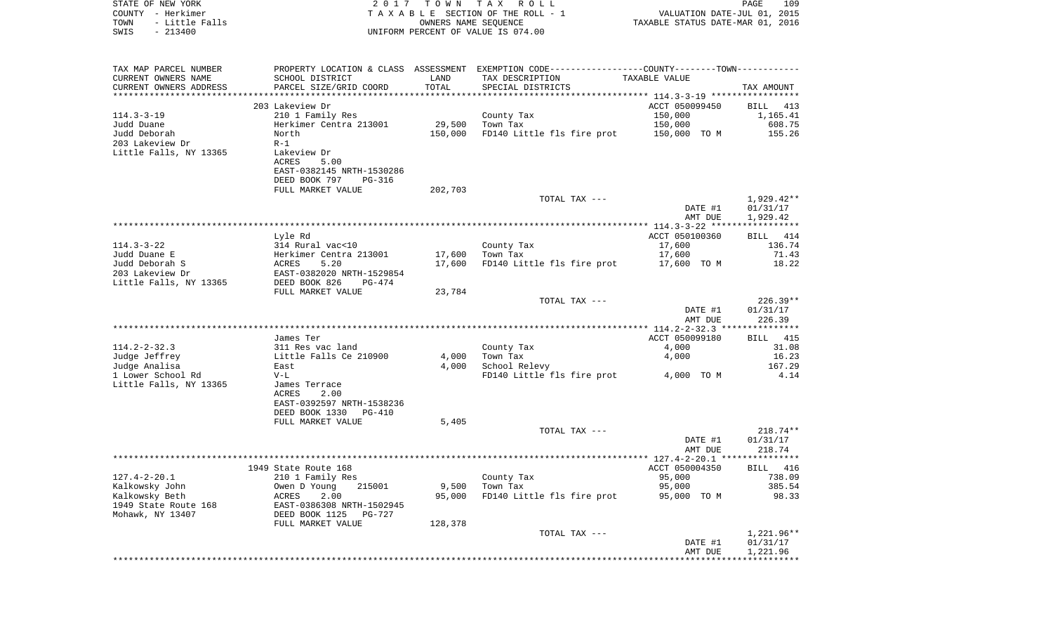| STATE OF NEW YORK<br>COUNTY - Herkimer<br>- Little Falls<br>TOWN<br>$-213400$<br>SWIS | 2017                                                         | T O W N               | T A X<br>ROLL<br>TAXABLE SECTION OF THE ROLL - 1<br>OWNERS NAME SEQUENCE<br>UNIFORM PERCENT OF VALUE IS 074.00 | VALUATION DATE-JUL 01, 2015<br>TAXABLE STATUS DATE-MAR 01, 2016 | 109<br>PAGE                                  |
|---------------------------------------------------------------------------------------|--------------------------------------------------------------|-----------------------|----------------------------------------------------------------------------------------------------------------|-----------------------------------------------------------------|----------------------------------------------|
| TAX MAP PARCEL NUMBER                                                                 |                                                              |                       | PROPERTY LOCATION & CLASS ASSESSMENT EXEMPTION CODE---------------COUNTY-------TOWN----------                  |                                                                 |                                              |
| CURRENT OWNERS NAME                                                                   | SCHOOL DISTRICT                                              | LAND                  | TAX DESCRIPTION                                                                                                | TAXABLE VALUE                                                   |                                              |
| CURRENT OWNERS ADDRESS<br>***********************                                     | PARCEL SIZE/GRID COORD<br>************************           | TOTAL<br>************ | SPECIAL DISTRICTS                                                                                              |                                                                 | TAX AMOUNT                                   |
|                                                                                       | 203 Lakeview Dr                                              |                       |                                                                                                                | ACCT 050099450                                                  | 413<br>BILL                                  |
| $114.3 - 3 - 19$                                                                      | 210 1 Family Res                                             |                       | County Tax                                                                                                     | 150,000                                                         | 1,165.41                                     |
| Judd Duane                                                                            | Herkimer Centra 213001                                       | 29,500                | Town Tax                                                                                                       | 150,000                                                         | 608.75                                       |
| Judd Deborah                                                                          | North                                                        | 150,000               | FD140 Little fls fire prot                                                                                     | 150,000 TO M                                                    | 155.26                                       |
| 203 Lakeview Dr                                                                       | $R-1$                                                        |                       |                                                                                                                |                                                                 |                                              |
| Little Falls, NY 13365                                                                | Lakeview Dr                                                  |                       |                                                                                                                |                                                                 |                                              |
|                                                                                       | ACRES<br>5.00<br>EAST-0382145 NRTH-1530286                   |                       |                                                                                                                |                                                                 |                                              |
|                                                                                       | DEED BOOK 797<br>PG-316                                      |                       |                                                                                                                |                                                                 |                                              |
|                                                                                       | FULL MARKET VALUE                                            | 202,703               |                                                                                                                |                                                                 |                                              |
|                                                                                       |                                                              |                       | TOTAL TAX ---                                                                                                  |                                                                 | $1,929.42**$                                 |
|                                                                                       |                                                              |                       |                                                                                                                | DATE #1                                                         | 01/31/17                                     |
|                                                                                       |                                                              |                       |                                                                                                                | AMT DUE                                                         | 1,929.42<br>***********                      |
|                                                                                       | Lyle Rd                                                      |                       |                                                                                                                | ACCT 050100360                                                  | 414<br>BILL                                  |
| $114.3 - 3 - 22$                                                                      | 314 Rural vac<10                                             |                       | County Tax                                                                                                     | 17,600                                                          | 136.74                                       |
| Judd Duane E                                                                          | Herkimer Centra 213001                                       | 17,600                | Town Tax                                                                                                       | 17,600                                                          | 71.43                                        |
| Judd Deborah S                                                                        | 5.20<br>ACRES                                                | 17,600                | FD140 Little fls fire prot                                                                                     | 17,600 TO M                                                     | 18.22                                        |
| 203 Lakeview Dr                                                                       | EAST-0382020 NRTH-1529854                                    |                       |                                                                                                                |                                                                 |                                              |
| Little Falls, NY 13365                                                                | DEED BOOK 826<br>PG-474<br>FULL MARKET VALUE                 | 23,784                |                                                                                                                |                                                                 |                                              |
|                                                                                       |                                                              |                       | TOTAL TAX ---                                                                                                  |                                                                 | $226.39**$                                   |
|                                                                                       |                                                              |                       |                                                                                                                | DATE #1                                                         | 01/31/17                                     |
|                                                                                       |                                                              |                       |                                                                                                                | AMT DUE                                                         | 226.39                                       |
|                                                                                       | James Ter                                                    |                       |                                                                                                                | ************* 114.2-2-32.3<br>ACCT 050099180                    | * * * * * * * * * * *<br>****<br>415<br>BILL |
| $114.2 - 2 - 32.3$                                                                    | 311 Res vac land                                             |                       | County Tax                                                                                                     | 4,000                                                           | 31.08                                        |
| Judge Jeffrey                                                                         | Little Falls Ce 210900                                       | 4,000                 | Town Tax                                                                                                       | 4,000                                                           | 16.23                                        |
| Judge Analisa                                                                         | East                                                         | 4,000                 | School Relevy                                                                                                  |                                                                 | 167.29                                       |
| 1 Lower School Rd                                                                     | $V-L$                                                        |                       | FD140 Little fls fire prot                                                                                     | 4,000 TO M                                                      | 4.14                                         |
| Little Falls, NY 13365                                                                | James Terrace                                                |                       |                                                                                                                |                                                                 |                                              |
|                                                                                       | ACRES<br>2.00<br>EAST-0392597 NRTH-1538236                   |                       |                                                                                                                |                                                                 |                                              |
|                                                                                       | DEED BOOK 1330<br>PG-410                                     |                       |                                                                                                                |                                                                 |                                              |
|                                                                                       | FULL MARKET VALUE                                            | 5,405                 |                                                                                                                |                                                                 |                                              |
|                                                                                       |                                                              |                       | TOTAL TAX ---                                                                                                  |                                                                 | $218.74**$                                   |
|                                                                                       |                                                              |                       |                                                                                                                | DATE #1                                                         | 01/31/17                                     |
|                                                                                       |                                                              |                       |                                                                                                                | AMT DUE                                                         | 218.74                                       |
|                                                                                       | 1949 State Route 168                                         |                       |                                                                                                                | ACCT 050004350                                                  | BILL 416                                     |
| $127.4 - 2 - 20.1$                                                                    | 210 1 Family Res                                             |                       | County Tax                                                                                                     | 95,000                                                          | 738.09                                       |
| Kalkowsky John                                                                        | Owen D Young<br>215001                                       | 9,500                 | Town Tax                                                                                                       | 95,000                                                          | 385.54                                       |
| Kalkowsky Beth                                                                        | 2.00<br>ACRES                                                | 95,000                | FD140 Little fls fire prot                                                                                     | 95,000<br>TO M                                                  | 98.33                                        |
| 1949 State Route 168<br>Mohawk, NY 13407                                              | EAST-0386308 NRTH-1502945<br>DEED BOOK 1125<br><b>PG-727</b> |                       |                                                                                                                |                                                                 |                                              |
|                                                                                       | FULL MARKET VALUE                                            | 128,378               |                                                                                                                |                                                                 |                                              |
|                                                                                       |                                                              |                       | TOTAL TAX ---                                                                                                  |                                                                 | $1,221.96**$                                 |
|                                                                                       |                                                              |                       |                                                                                                                | DATE #1                                                         | 01/31/17                                     |
|                                                                                       |                                                              |                       |                                                                                                                | AMT DUE                                                         | 1,221.96                                     |
|                                                                                       |                                                              |                       |                                                                                                                |                                                                 |                                              |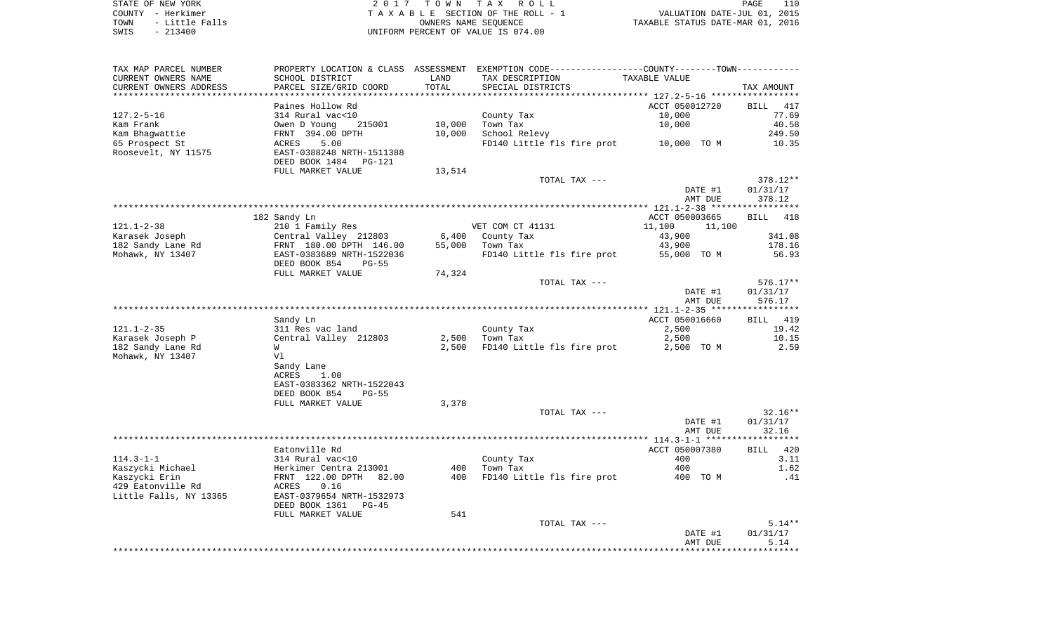| STATE OF NEW YORK      | 2017 TOWN TAX ROLL                 | 110<br>PAGE                      |
|------------------------|------------------------------------|----------------------------------|
| COUNTY - Herkimer      | TAXABLE SECTION OF THE ROLL - 1    | VALUATION DATE-JUL 01, 2015      |
| - Little Falls<br>TOWN | OWNERS NAME SEOUENCE               | TAXABLE STATUS DATE-MAR 01, 2016 |
| SWIS<br>$-213400$      | UNIFORM PERCENT OF VALUE IS 074.00 |                                  |

PAGE 110

| TAX MAP PARCEL NUMBER                 |                                                  |                 | PROPERTY LOCATION & CLASS ASSESSMENT EXEMPTION CODE---------------COUNTY-------TOWN---------- |                  |                    |
|---------------------------------------|--------------------------------------------------|-----------------|-----------------------------------------------------------------------------------------------|------------------|--------------------|
| CURRENT OWNERS NAME                   | SCHOOL DISTRICT                                  | LAND            | TAX DESCRIPTION                                                                               | TAXABLE VALUE    |                    |
| CURRENT OWNERS ADDRESS                | PARCEL SIZE/GRID COORD                           | TOTAL           | SPECIAL DISTRICTS                                                                             |                  | TAX AMOUNT         |
|                                       | Paines Hollow Rd                                 |                 |                                                                                               | ACCT 050012720   | <b>BILL</b><br>417 |
| $127.2 - 5 - 16$                      | 314 Rural vac<10                                 |                 |                                                                                               | 10,000           | 77.69              |
| Kam Frank                             | Owen D Young<br>215001                           | 10,000          | County Tax<br>Town Tax                                                                        | 10,000           | 40.58              |
| Kam Bhagwattie                        | FRNT 394.00 DPTH                                 | 10,000          | School Relevy                                                                                 |                  | 249.50             |
|                                       | 5.00                                             |                 |                                                                                               |                  |                    |
| 65 Prospect St<br>Roosevelt, NY 11575 | ACRES<br>EAST-0388248 NRTH-1511388               |                 | FD140 Little fls fire prot                                                                    | 10,000 TO M      | 10.35              |
|                                       | DEED BOOK 1484                                   |                 |                                                                                               |                  |                    |
|                                       | PG-121                                           |                 |                                                                                               |                  |                    |
|                                       | FULL MARKET VALUE                                | 13,514          | TOTAL TAX ---                                                                                 |                  | 378.12**           |
|                                       |                                                  |                 |                                                                                               | DATE #1          | 01/31/17           |
|                                       |                                                  |                 |                                                                                               | AMT DUE          | 378.12             |
|                                       |                                                  |                 |                                                                                               |                  |                    |
|                                       | 182 Sandy Ln                                     |                 |                                                                                               | ACCT 050003665   | <b>BILL</b><br>418 |
| $121.1 - 2 - 38$                      |                                                  |                 | VET COM CT 41131                                                                              | 11,100<br>11,100 |                    |
|                                       | 210 1 Family Res                                 |                 |                                                                                               |                  | 341.08             |
| Karasek Joseph<br>182 Sandy Lane Rd   | Central Valley 212803<br>FRNT 180.00 DPTH 146.00 | 6,400<br>55,000 | County Tax<br>Town Tax                                                                        | 43,900<br>43,900 | 178.16             |
| Mohawk, NY 13407                      | EAST-0383689 NRTH-1522036                        |                 | FD140 Little fls fire prot                                                                    | 55,000 TO M      | 56.93              |
|                                       | DEED BOOK 854<br>$PG-55$                         |                 |                                                                                               |                  |                    |
|                                       | FULL MARKET VALUE                                | 74,324          |                                                                                               |                  |                    |
|                                       |                                                  |                 | TOTAL TAX ---                                                                                 |                  | $576.17**$         |
|                                       |                                                  |                 |                                                                                               | DATE #1          | 01/31/17           |
|                                       |                                                  |                 |                                                                                               | AMT DUE          | 576.17             |
|                                       |                                                  |                 |                                                                                               |                  | **********         |
|                                       | Sandy Ln                                         |                 |                                                                                               | ACCT 050016660   | 419<br>BILL        |
| $121.1 - 2 - 35$                      | 311 Res vac land                                 |                 | County Tax                                                                                    | 2,500            | 19.42              |
| Karasek Joseph P                      | Central Valley 212803                            | 2,500           | Town Tax                                                                                      | 2,500            | 10.15              |
| 182 Sandy Lane Rd                     | W                                                | 2,500           | FD140 Little fls fire prot                                                                    | 2,500 TO M       | 2.59               |
| Mohawk, NY 13407                      | V1                                               |                 |                                                                                               |                  |                    |
|                                       | Sandy Lane                                       |                 |                                                                                               |                  |                    |
|                                       | ACRES<br>1.00                                    |                 |                                                                                               |                  |                    |
|                                       | EAST-0383362 NRTH-1522043                        |                 |                                                                                               |                  |                    |
|                                       | DEED BOOK 854<br>$PG-55$                         |                 |                                                                                               |                  |                    |
|                                       | FULL MARKET VALUE                                | 3,378           |                                                                                               |                  |                    |
|                                       |                                                  |                 | TOTAL TAX ---                                                                                 |                  | $32.16**$          |
|                                       |                                                  |                 |                                                                                               | DATE #1          | 01/31/17           |
|                                       |                                                  |                 |                                                                                               | AMT DUE          | 32.16              |
|                                       |                                                  |                 |                                                                                               |                  |                    |
|                                       | Eatonville Rd                                    |                 |                                                                                               | ACCT 050007380   | 420<br>BILL        |
| $114.3 - 1 - 1$                       | 314 Rural vac<10                                 |                 | County Tax                                                                                    | 400              | 3.11               |
| Kaszycki Michael                      | Herkimer Centra 213001                           | 400             | Town Tax                                                                                      | 400              | 1.62               |
| Kaszycki Erin                         | FRNT 122.00 DPTH<br>82.00                        | 400             | FD140 Little fls fire prot                                                                    | 400 TO M         | .41                |
| 429 Eatonville Rd                     | 0.16<br>ACRES                                    |                 |                                                                                               |                  |                    |
| Little Falls, NY 13365                | EAST-0379654 NRTH-1532973                        |                 |                                                                                               |                  |                    |
|                                       | DEED BOOK 1361<br>$PG-45$                        |                 |                                                                                               |                  |                    |
|                                       | FULL MARKET VALUE                                | 541             |                                                                                               |                  |                    |
|                                       |                                                  |                 | TOTAL TAX ---                                                                                 |                  | $5.14**$           |
|                                       |                                                  |                 |                                                                                               | DATE #1          | 01/31/17           |
|                                       |                                                  |                 |                                                                                               | AMT DUE          | 5.14               |
|                                       |                                                  |                 |                                                                                               |                  |                    |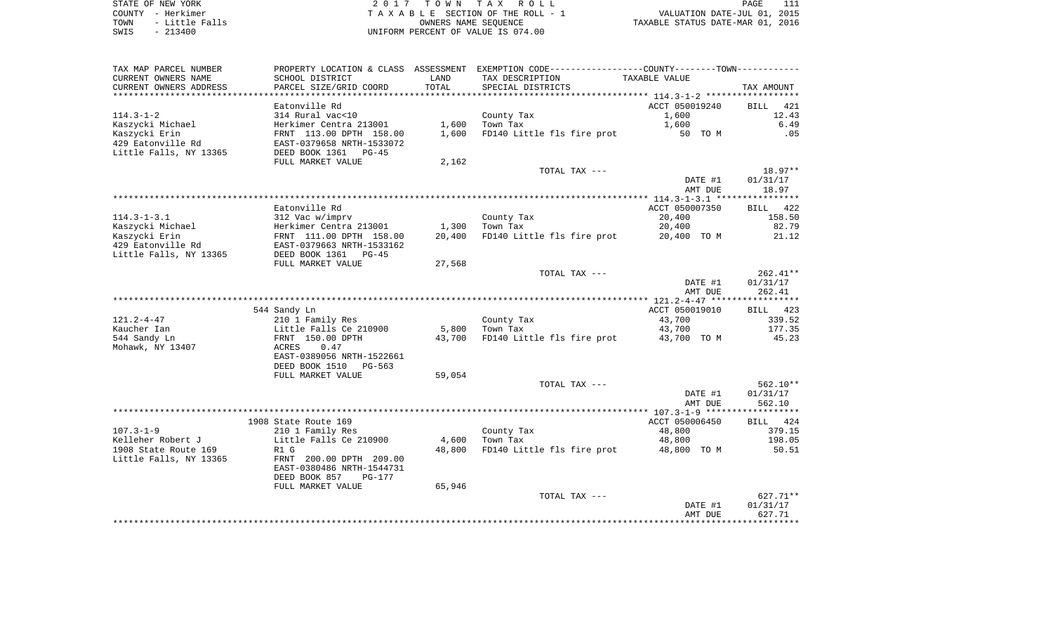STATE OF NEW YORK **EXECUTE:**  $2017$  TOWN TAX ROLL COUNTY - Herkimer<br>
T A X A B L E SECTION OF THE ROLL - 1<br>
TOWN - Little Falls<br>
SWIS - 213400 - 2013400 - UNIFORM PERCENT OF VALUE IS 074.00 TOWN - Little Falls OWNERS NAME SEQUENCE TAXABLE STATUS DATE-MAR 01, 2016 SWIS - 213400 UNIFORM PERCENT OF VALUE IS 074.00

| CURRENT OWNERS NAME<br>SCHOOL DISTRICT<br>LAND<br>TAX DESCRIPTION<br>TAXABLE VALUE<br>CURRENT OWNERS ADDRESS<br>PARCEL SIZE/GRID COORD<br>TOTAL<br>SPECIAL DISTRICTS<br>TAX AMOUNT<br>Eatonville Rd<br>ACCT 050019240<br>BILL<br>421<br>314 Rural vac<10<br>County Tax<br>1,600<br>12.43<br>Kaszycki Michael<br>Herkimer Centra 213001<br>1,600<br>Town Tax<br>1,600<br>6.49<br>Kaszycki Erin<br>FRNT 113.00 DPTH 158.00<br>FD140 Little fls fire prot<br>1,600<br>50 TO M<br>.05<br>429 Eatonville Rd<br>EAST-0379658 NRTH-1533072<br>Little Falls, NY 13365<br>DEED BOOK 1361 PG-45<br>FULL MARKET VALUE<br>2,162<br>TOTAL TAX ---<br>DATE #1<br>01/31/17<br>AMT DUE<br>18.97<br>Eatonville Rd<br>ACCT 050007350<br><b>BILL</b><br>422<br>$114.3 - 1 - 3.1$<br>312 Vac w/imprv<br>20,400<br>158.50<br>County Tax<br>Kaszycki Michael<br>Herkimer Centra 213001<br>82.79<br>1,300<br>Town Tax<br>20,400<br>Kaszycki Erin<br>FRNT 111.00 DPTH 158.00<br>20,400<br>FD140 Little fls fire prot<br>21.12<br>20,400 TO M<br>429 Eatonville Rd<br>EAST-0379663 NRTH-1533162<br>Little Falls, NY 13365<br>DEED BOOK 1361 PG-45<br>FULL MARKET VALUE<br>27,568<br>TOTAL TAX ---<br>01/31/17<br>DATE #1<br>AMT DUE<br>262.41<br>544 Sandy Ln<br>ACCT 050019010<br>423<br>BILL<br>$121.2 - 4 - 47$<br>210 1 Family Res<br>43,700<br>339.52<br>County Tax<br>Kaucher Ian<br>Little Falls Ce 210900<br>5,800<br>Town Tax<br>43,700<br>177.35<br>544 Sandy Ln<br>FRNT 150.00 DPTH<br>FD140 Little fls fire prot 43,700 TO M<br>45.23<br>43,700<br>0.47<br>Mohawk, NY 13407<br>ACRES<br>EAST-0389056 NRTH-1522661<br>DEED BOOK 1510<br>$PG-563$<br>59,054<br>FULL MARKET VALUE<br>TOTAL TAX ---<br>DATE #1<br>01/31/17<br>AMT DUE<br>562.10<br>ACCT 050006450<br>1908 State Route 169<br>BILL 424<br>County Tax<br>48,800<br>379.15<br>210 1 Family Res<br>Kelleher Robert J<br>Little Falls Ce 210900<br>198.05<br>4,600<br>Town Tax<br>48,800<br>FD140 Little fls fire prot<br>R1 G<br>48,800<br>48,800 TO M<br>50.51<br>Little Falls, NY 13365<br>FRNT 200.00 DPTH 209.00<br>EAST-0380486 NRTH-1544731<br>DEED BOOK 857<br><b>PG-177</b><br>65,946<br>FULL MARKET VALUE<br>TOTAL TAX ---<br>DATE #1<br>01/31/17<br>627.71<br>AMT DUE | TAX MAP PARCEL NUMBER |  | PROPERTY LOCATION & CLASS ASSESSMENT EXEMPTION CODE----------------COUNTY--------TOWN--------- |  |
|----------------------------------------------------------------------------------------------------------------------------------------------------------------------------------------------------------------------------------------------------------------------------------------------------------------------------------------------------------------------------------------------------------------------------------------------------------------------------------------------------------------------------------------------------------------------------------------------------------------------------------------------------------------------------------------------------------------------------------------------------------------------------------------------------------------------------------------------------------------------------------------------------------------------------------------------------------------------------------------------------------------------------------------------------------------------------------------------------------------------------------------------------------------------------------------------------------------------------------------------------------------------------------------------------------------------------------------------------------------------------------------------------------------------------------------------------------------------------------------------------------------------------------------------------------------------------------------------------------------------------------------------------------------------------------------------------------------------------------------------------------------------------------------------------------------------------------------------------------------------------------------------------------------------------------------------------------------------------------------------------------------------------------------------------------------------------------------------------------------------------------------------------------------------------------------------------------------------------|-----------------------|--|------------------------------------------------------------------------------------------------|--|
|                                                                                                                                                                                                                                                                                                                                                                                                                                                                                                                                                                                                                                                                                                                                                                                                                                                                                                                                                                                                                                                                                                                                                                                                                                                                                                                                                                                                                                                                                                                                                                                                                                                                                                                                                                                                                                                                                                                                                                                                                                                                                                                                                                                                                            |                       |  |                                                                                                |  |
| 18.97**<br>$262.41**$<br>$562.10**$<br>$627.71**$                                                                                                                                                                                                                                                                                                                                                                                                                                                                                                                                                                                                                                                                                                                                                                                                                                                                                                                                                                                                                                                                                                                                                                                                                                                                                                                                                                                                                                                                                                                                                                                                                                                                                                                                                                                                                                                                                                                                                                                                                                                                                                                                                                          |                       |  |                                                                                                |  |
|                                                                                                                                                                                                                                                                                                                                                                                                                                                                                                                                                                                                                                                                                                                                                                                                                                                                                                                                                                                                                                                                                                                                                                                                                                                                                                                                                                                                                                                                                                                                                                                                                                                                                                                                                                                                                                                                                                                                                                                                                                                                                                                                                                                                                            |                       |  |                                                                                                |  |
|                                                                                                                                                                                                                                                                                                                                                                                                                                                                                                                                                                                                                                                                                                                                                                                                                                                                                                                                                                                                                                                                                                                                                                                                                                                                                                                                                                                                                                                                                                                                                                                                                                                                                                                                                                                                                                                                                                                                                                                                                                                                                                                                                                                                                            |                       |  |                                                                                                |  |
|                                                                                                                                                                                                                                                                                                                                                                                                                                                                                                                                                                                                                                                                                                                                                                                                                                                                                                                                                                                                                                                                                                                                                                                                                                                                                                                                                                                                                                                                                                                                                                                                                                                                                                                                                                                                                                                                                                                                                                                                                                                                                                                                                                                                                            | $114.3 - 1 - 2$       |  |                                                                                                |  |
|                                                                                                                                                                                                                                                                                                                                                                                                                                                                                                                                                                                                                                                                                                                                                                                                                                                                                                                                                                                                                                                                                                                                                                                                                                                                                                                                                                                                                                                                                                                                                                                                                                                                                                                                                                                                                                                                                                                                                                                                                                                                                                                                                                                                                            |                       |  |                                                                                                |  |
|                                                                                                                                                                                                                                                                                                                                                                                                                                                                                                                                                                                                                                                                                                                                                                                                                                                                                                                                                                                                                                                                                                                                                                                                                                                                                                                                                                                                                                                                                                                                                                                                                                                                                                                                                                                                                                                                                                                                                                                                                                                                                                                                                                                                                            |                       |  |                                                                                                |  |
|                                                                                                                                                                                                                                                                                                                                                                                                                                                                                                                                                                                                                                                                                                                                                                                                                                                                                                                                                                                                                                                                                                                                                                                                                                                                                                                                                                                                                                                                                                                                                                                                                                                                                                                                                                                                                                                                                                                                                                                                                                                                                                                                                                                                                            |                       |  |                                                                                                |  |
|                                                                                                                                                                                                                                                                                                                                                                                                                                                                                                                                                                                                                                                                                                                                                                                                                                                                                                                                                                                                                                                                                                                                                                                                                                                                                                                                                                                                                                                                                                                                                                                                                                                                                                                                                                                                                                                                                                                                                                                                                                                                                                                                                                                                                            |                       |  |                                                                                                |  |
|                                                                                                                                                                                                                                                                                                                                                                                                                                                                                                                                                                                                                                                                                                                                                                                                                                                                                                                                                                                                                                                                                                                                                                                                                                                                                                                                                                                                                                                                                                                                                                                                                                                                                                                                                                                                                                                                                                                                                                                                                                                                                                                                                                                                                            |                       |  |                                                                                                |  |
|                                                                                                                                                                                                                                                                                                                                                                                                                                                                                                                                                                                                                                                                                                                                                                                                                                                                                                                                                                                                                                                                                                                                                                                                                                                                                                                                                                                                                                                                                                                                                                                                                                                                                                                                                                                                                                                                                                                                                                                                                                                                                                                                                                                                                            |                       |  |                                                                                                |  |
|                                                                                                                                                                                                                                                                                                                                                                                                                                                                                                                                                                                                                                                                                                                                                                                                                                                                                                                                                                                                                                                                                                                                                                                                                                                                                                                                                                                                                                                                                                                                                                                                                                                                                                                                                                                                                                                                                                                                                                                                                                                                                                                                                                                                                            |                       |  |                                                                                                |  |
|                                                                                                                                                                                                                                                                                                                                                                                                                                                                                                                                                                                                                                                                                                                                                                                                                                                                                                                                                                                                                                                                                                                                                                                                                                                                                                                                                                                                                                                                                                                                                                                                                                                                                                                                                                                                                                                                                                                                                                                                                                                                                                                                                                                                                            |                       |  |                                                                                                |  |
|                                                                                                                                                                                                                                                                                                                                                                                                                                                                                                                                                                                                                                                                                                                                                                                                                                                                                                                                                                                                                                                                                                                                                                                                                                                                                                                                                                                                                                                                                                                                                                                                                                                                                                                                                                                                                                                                                                                                                                                                                                                                                                                                                                                                                            |                       |  |                                                                                                |  |
|                                                                                                                                                                                                                                                                                                                                                                                                                                                                                                                                                                                                                                                                                                                                                                                                                                                                                                                                                                                                                                                                                                                                                                                                                                                                                                                                                                                                                                                                                                                                                                                                                                                                                                                                                                                                                                                                                                                                                                                                                                                                                                                                                                                                                            |                       |  |                                                                                                |  |
|                                                                                                                                                                                                                                                                                                                                                                                                                                                                                                                                                                                                                                                                                                                                                                                                                                                                                                                                                                                                                                                                                                                                                                                                                                                                                                                                                                                                                                                                                                                                                                                                                                                                                                                                                                                                                                                                                                                                                                                                                                                                                                                                                                                                                            |                       |  |                                                                                                |  |
|                                                                                                                                                                                                                                                                                                                                                                                                                                                                                                                                                                                                                                                                                                                                                                                                                                                                                                                                                                                                                                                                                                                                                                                                                                                                                                                                                                                                                                                                                                                                                                                                                                                                                                                                                                                                                                                                                                                                                                                                                                                                                                                                                                                                                            |                       |  |                                                                                                |  |
|                                                                                                                                                                                                                                                                                                                                                                                                                                                                                                                                                                                                                                                                                                                                                                                                                                                                                                                                                                                                                                                                                                                                                                                                                                                                                                                                                                                                                                                                                                                                                                                                                                                                                                                                                                                                                                                                                                                                                                                                                                                                                                                                                                                                                            |                       |  |                                                                                                |  |
|                                                                                                                                                                                                                                                                                                                                                                                                                                                                                                                                                                                                                                                                                                                                                                                                                                                                                                                                                                                                                                                                                                                                                                                                                                                                                                                                                                                                                                                                                                                                                                                                                                                                                                                                                                                                                                                                                                                                                                                                                                                                                                                                                                                                                            |                       |  |                                                                                                |  |
|                                                                                                                                                                                                                                                                                                                                                                                                                                                                                                                                                                                                                                                                                                                                                                                                                                                                                                                                                                                                                                                                                                                                                                                                                                                                                                                                                                                                                                                                                                                                                                                                                                                                                                                                                                                                                                                                                                                                                                                                                                                                                                                                                                                                                            |                       |  |                                                                                                |  |
|                                                                                                                                                                                                                                                                                                                                                                                                                                                                                                                                                                                                                                                                                                                                                                                                                                                                                                                                                                                                                                                                                                                                                                                                                                                                                                                                                                                                                                                                                                                                                                                                                                                                                                                                                                                                                                                                                                                                                                                                                                                                                                                                                                                                                            |                       |  |                                                                                                |  |
|                                                                                                                                                                                                                                                                                                                                                                                                                                                                                                                                                                                                                                                                                                                                                                                                                                                                                                                                                                                                                                                                                                                                                                                                                                                                                                                                                                                                                                                                                                                                                                                                                                                                                                                                                                                                                                                                                                                                                                                                                                                                                                                                                                                                                            |                       |  |                                                                                                |  |
|                                                                                                                                                                                                                                                                                                                                                                                                                                                                                                                                                                                                                                                                                                                                                                                                                                                                                                                                                                                                                                                                                                                                                                                                                                                                                                                                                                                                                                                                                                                                                                                                                                                                                                                                                                                                                                                                                                                                                                                                                                                                                                                                                                                                                            |                       |  |                                                                                                |  |
|                                                                                                                                                                                                                                                                                                                                                                                                                                                                                                                                                                                                                                                                                                                                                                                                                                                                                                                                                                                                                                                                                                                                                                                                                                                                                                                                                                                                                                                                                                                                                                                                                                                                                                                                                                                                                                                                                                                                                                                                                                                                                                                                                                                                                            |                       |  |                                                                                                |  |
|                                                                                                                                                                                                                                                                                                                                                                                                                                                                                                                                                                                                                                                                                                                                                                                                                                                                                                                                                                                                                                                                                                                                                                                                                                                                                                                                                                                                                                                                                                                                                                                                                                                                                                                                                                                                                                                                                                                                                                                                                                                                                                                                                                                                                            |                       |  |                                                                                                |  |
|                                                                                                                                                                                                                                                                                                                                                                                                                                                                                                                                                                                                                                                                                                                                                                                                                                                                                                                                                                                                                                                                                                                                                                                                                                                                                                                                                                                                                                                                                                                                                                                                                                                                                                                                                                                                                                                                                                                                                                                                                                                                                                                                                                                                                            |                       |  |                                                                                                |  |
|                                                                                                                                                                                                                                                                                                                                                                                                                                                                                                                                                                                                                                                                                                                                                                                                                                                                                                                                                                                                                                                                                                                                                                                                                                                                                                                                                                                                                                                                                                                                                                                                                                                                                                                                                                                                                                                                                                                                                                                                                                                                                                                                                                                                                            |                       |  |                                                                                                |  |
|                                                                                                                                                                                                                                                                                                                                                                                                                                                                                                                                                                                                                                                                                                                                                                                                                                                                                                                                                                                                                                                                                                                                                                                                                                                                                                                                                                                                                                                                                                                                                                                                                                                                                                                                                                                                                                                                                                                                                                                                                                                                                                                                                                                                                            |                       |  |                                                                                                |  |
|                                                                                                                                                                                                                                                                                                                                                                                                                                                                                                                                                                                                                                                                                                                                                                                                                                                                                                                                                                                                                                                                                                                                                                                                                                                                                                                                                                                                                                                                                                                                                                                                                                                                                                                                                                                                                                                                                                                                                                                                                                                                                                                                                                                                                            |                       |  |                                                                                                |  |
|                                                                                                                                                                                                                                                                                                                                                                                                                                                                                                                                                                                                                                                                                                                                                                                                                                                                                                                                                                                                                                                                                                                                                                                                                                                                                                                                                                                                                                                                                                                                                                                                                                                                                                                                                                                                                                                                                                                                                                                                                                                                                                                                                                                                                            |                       |  |                                                                                                |  |
|                                                                                                                                                                                                                                                                                                                                                                                                                                                                                                                                                                                                                                                                                                                                                                                                                                                                                                                                                                                                                                                                                                                                                                                                                                                                                                                                                                                                                                                                                                                                                                                                                                                                                                                                                                                                                                                                                                                                                                                                                                                                                                                                                                                                                            |                       |  |                                                                                                |  |
|                                                                                                                                                                                                                                                                                                                                                                                                                                                                                                                                                                                                                                                                                                                                                                                                                                                                                                                                                                                                                                                                                                                                                                                                                                                                                                                                                                                                                                                                                                                                                                                                                                                                                                                                                                                                                                                                                                                                                                                                                                                                                                                                                                                                                            |                       |  |                                                                                                |  |
|                                                                                                                                                                                                                                                                                                                                                                                                                                                                                                                                                                                                                                                                                                                                                                                                                                                                                                                                                                                                                                                                                                                                                                                                                                                                                                                                                                                                                                                                                                                                                                                                                                                                                                                                                                                                                                                                                                                                                                                                                                                                                                                                                                                                                            |                       |  |                                                                                                |  |
|                                                                                                                                                                                                                                                                                                                                                                                                                                                                                                                                                                                                                                                                                                                                                                                                                                                                                                                                                                                                                                                                                                                                                                                                                                                                                                                                                                                                                                                                                                                                                                                                                                                                                                                                                                                                                                                                                                                                                                                                                                                                                                                                                                                                                            |                       |  |                                                                                                |  |
|                                                                                                                                                                                                                                                                                                                                                                                                                                                                                                                                                                                                                                                                                                                                                                                                                                                                                                                                                                                                                                                                                                                                                                                                                                                                                                                                                                                                                                                                                                                                                                                                                                                                                                                                                                                                                                                                                                                                                                                                                                                                                                                                                                                                                            |                       |  |                                                                                                |  |
|                                                                                                                                                                                                                                                                                                                                                                                                                                                                                                                                                                                                                                                                                                                                                                                                                                                                                                                                                                                                                                                                                                                                                                                                                                                                                                                                                                                                                                                                                                                                                                                                                                                                                                                                                                                                                                                                                                                                                                                                                                                                                                                                                                                                                            |                       |  |                                                                                                |  |
|                                                                                                                                                                                                                                                                                                                                                                                                                                                                                                                                                                                                                                                                                                                                                                                                                                                                                                                                                                                                                                                                                                                                                                                                                                                                                                                                                                                                                                                                                                                                                                                                                                                                                                                                                                                                                                                                                                                                                                                                                                                                                                                                                                                                                            |                       |  |                                                                                                |  |
|                                                                                                                                                                                                                                                                                                                                                                                                                                                                                                                                                                                                                                                                                                                                                                                                                                                                                                                                                                                                                                                                                                                                                                                                                                                                                                                                                                                                                                                                                                                                                                                                                                                                                                                                                                                                                                                                                                                                                                                                                                                                                                                                                                                                                            |                       |  |                                                                                                |  |
|                                                                                                                                                                                                                                                                                                                                                                                                                                                                                                                                                                                                                                                                                                                                                                                                                                                                                                                                                                                                                                                                                                                                                                                                                                                                                                                                                                                                                                                                                                                                                                                                                                                                                                                                                                                                                                                                                                                                                                                                                                                                                                                                                                                                                            |                       |  |                                                                                                |  |
|                                                                                                                                                                                                                                                                                                                                                                                                                                                                                                                                                                                                                                                                                                                                                                                                                                                                                                                                                                                                                                                                                                                                                                                                                                                                                                                                                                                                                                                                                                                                                                                                                                                                                                                                                                                                                                                                                                                                                                                                                                                                                                                                                                                                                            | $107.3 - 1 - 9$       |  |                                                                                                |  |
|                                                                                                                                                                                                                                                                                                                                                                                                                                                                                                                                                                                                                                                                                                                                                                                                                                                                                                                                                                                                                                                                                                                                                                                                                                                                                                                                                                                                                                                                                                                                                                                                                                                                                                                                                                                                                                                                                                                                                                                                                                                                                                                                                                                                                            |                       |  |                                                                                                |  |
|                                                                                                                                                                                                                                                                                                                                                                                                                                                                                                                                                                                                                                                                                                                                                                                                                                                                                                                                                                                                                                                                                                                                                                                                                                                                                                                                                                                                                                                                                                                                                                                                                                                                                                                                                                                                                                                                                                                                                                                                                                                                                                                                                                                                                            | 1908 State Route 169  |  |                                                                                                |  |
|                                                                                                                                                                                                                                                                                                                                                                                                                                                                                                                                                                                                                                                                                                                                                                                                                                                                                                                                                                                                                                                                                                                                                                                                                                                                                                                                                                                                                                                                                                                                                                                                                                                                                                                                                                                                                                                                                                                                                                                                                                                                                                                                                                                                                            |                       |  |                                                                                                |  |
|                                                                                                                                                                                                                                                                                                                                                                                                                                                                                                                                                                                                                                                                                                                                                                                                                                                                                                                                                                                                                                                                                                                                                                                                                                                                                                                                                                                                                                                                                                                                                                                                                                                                                                                                                                                                                                                                                                                                                                                                                                                                                                                                                                                                                            |                       |  |                                                                                                |  |
|                                                                                                                                                                                                                                                                                                                                                                                                                                                                                                                                                                                                                                                                                                                                                                                                                                                                                                                                                                                                                                                                                                                                                                                                                                                                                                                                                                                                                                                                                                                                                                                                                                                                                                                                                                                                                                                                                                                                                                                                                                                                                                                                                                                                                            |                       |  |                                                                                                |  |
|                                                                                                                                                                                                                                                                                                                                                                                                                                                                                                                                                                                                                                                                                                                                                                                                                                                                                                                                                                                                                                                                                                                                                                                                                                                                                                                                                                                                                                                                                                                                                                                                                                                                                                                                                                                                                                                                                                                                                                                                                                                                                                                                                                                                                            |                       |  |                                                                                                |  |
|                                                                                                                                                                                                                                                                                                                                                                                                                                                                                                                                                                                                                                                                                                                                                                                                                                                                                                                                                                                                                                                                                                                                                                                                                                                                                                                                                                                                                                                                                                                                                                                                                                                                                                                                                                                                                                                                                                                                                                                                                                                                                                                                                                                                                            |                       |  |                                                                                                |  |
|                                                                                                                                                                                                                                                                                                                                                                                                                                                                                                                                                                                                                                                                                                                                                                                                                                                                                                                                                                                                                                                                                                                                                                                                                                                                                                                                                                                                                                                                                                                                                                                                                                                                                                                                                                                                                                                                                                                                                                                                                                                                                                                                                                                                                            |                       |  |                                                                                                |  |
|                                                                                                                                                                                                                                                                                                                                                                                                                                                                                                                                                                                                                                                                                                                                                                                                                                                                                                                                                                                                                                                                                                                                                                                                                                                                                                                                                                                                                                                                                                                                                                                                                                                                                                                                                                                                                                                                                                                                                                                                                                                                                                                                                                                                                            |                       |  |                                                                                                |  |
|                                                                                                                                                                                                                                                                                                                                                                                                                                                                                                                                                                                                                                                                                                                                                                                                                                                                                                                                                                                                                                                                                                                                                                                                                                                                                                                                                                                                                                                                                                                                                                                                                                                                                                                                                                                                                                                                                                                                                                                                                                                                                                                                                                                                                            |                       |  |                                                                                                |  |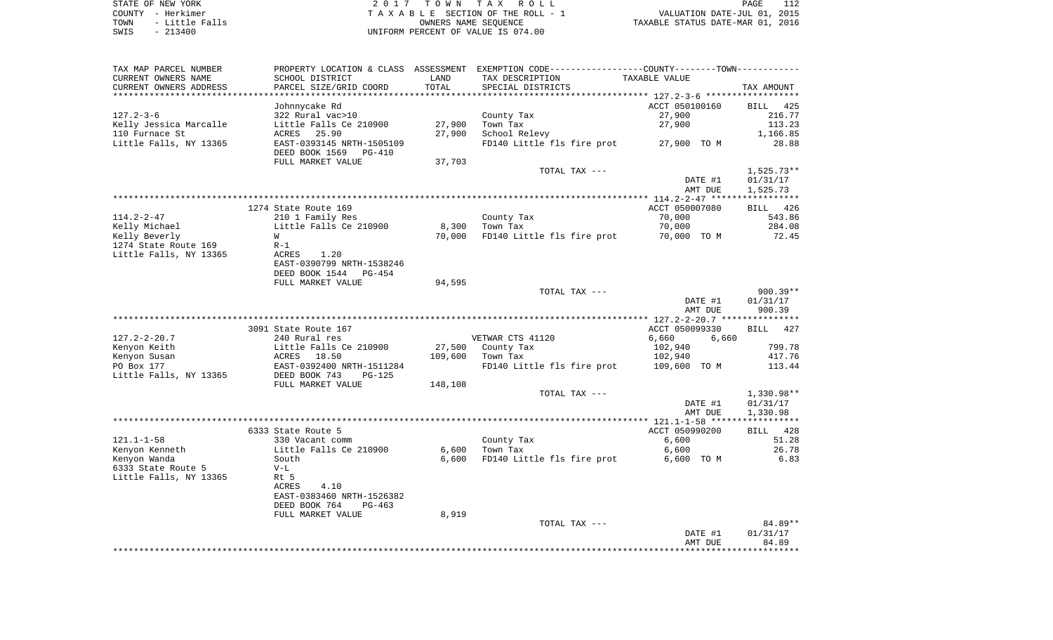STATE OF NEW YORK **EXECUTE:**  $2017$  TOWN TAX ROLL COUNTY - Herkimer<br>
T A X A B L E SECTION OF THE ROLL - 1<br>
TOWN - Little Falls<br>
SWIS - 213400 - 2013400 - UNIFORM PERCENT OF VALUE IS 074.00 TOWN - Little Falls OWNERS NAME SEQUENCE TAXABLE STATUS DATE-MAR 01, 2016 SWIS - 213400 UNIFORM PERCENT OF VALUE IS 074.00

|                        |                                          |         |                                                                                               | DATE #1<br>AMT DUE                                | 01/31/17<br>84.89  |
|------------------------|------------------------------------------|---------|-----------------------------------------------------------------------------------------------|---------------------------------------------------|--------------------|
|                        |                                          |         | TOTAL TAX ---                                                                                 |                                                   | 84.89**            |
|                        | FULL MARKET VALUE                        | 8,919   |                                                                                               |                                                   |                    |
|                        | DEED BOOK 764<br>$PG-463$                |         |                                                                                               |                                                   |                    |
|                        | EAST-0383460 NRTH-1526382                |         |                                                                                               |                                                   |                    |
|                        | ACRES<br>4.10                            |         |                                                                                               |                                                   |                    |
| Little Falls, NY 13365 | Rt 5                                     |         |                                                                                               |                                                   |                    |
| 6333 State Route 5     | $V-L$                                    |         |                                                                                               |                                                   |                    |
| Kenyon Wanda           | South                                    | 6,600   | FD140 Little fls fire prot                                                                    | 6,600 TO M                                        | 6.83               |
| Kenyon Kenneth         | Little Falls Ce 210900                   | 6,600   | Town Tax                                                                                      | 6,600                                             | 26.78              |
| $121.1 - 1 - 58$       | 330 Vacant comm                          |         | County Tax                                                                                    | 6,600                                             | 51.28              |
|                        | 6333 State Route 5                       |         |                                                                                               | ACCT 050990200                                    | BILL 428           |
|                        |                                          |         |                                                                                               |                                                   |                    |
|                        |                                          |         |                                                                                               | AMT DUE                                           | 1,330.98           |
|                        |                                          |         |                                                                                               | DATE #1                                           | 01/31/17           |
|                        |                                          |         | TOTAL TAX ---                                                                                 |                                                   | $1,330.98**$       |
|                        | FULL MARKET VALUE                        | 148,108 |                                                                                               |                                                   |                    |
| Little Falls, NY 13365 | DEED BOOK 743<br>$PG-125$                |         |                                                                                               |                                                   |                    |
| PO Box 177             | EAST-0392400 NRTH-1511284                |         | FD140 Little fls fire prot                                                                    | 109,600 TO M                                      | 113.44             |
| Kenyon Susan           | ACRES 18.50                              | 109,600 | Town Tax                                                                                      | 102,940                                           | 417.76             |
| Kenyon Keith           | Little Falls Ce 210900                   | 27,500  | County Tax                                                                                    | 102,940                                           | 799.78             |
| $127.2 - 2 - 20.7$     | 240 Rural res                            |         | VETWAR CTS 41120                                                                              | 6,660<br>6,660                                    |                    |
|                        | 3091 State Route 167                     |         |                                                                                               | ACCT 050099330                                    | BILL 427           |
|                        |                                          |         |                                                                                               |                                                   |                    |
|                        |                                          |         |                                                                                               | AMT DUE                                           | 900.39             |
|                        |                                          |         |                                                                                               | DATE #1                                           | 01/31/17           |
|                        |                                          |         | TOTAL TAX ---                                                                                 |                                                   | $900.39**$         |
|                        | FULL MARKET VALUE                        | 94,595  |                                                                                               |                                                   |                    |
|                        | DEED BOOK 1544<br>PG-454                 |         |                                                                                               |                                                   |                    |
|                        | EAST-0390799 NRTH-1538246                |         |                                                                                               |                                                   |                    |
| Little Falls, NY 13365 | 1.20<br>ACRES                            |         |                                                                                               |                                                   |                    |
| 1274 State Route 169   | $R-1$                                    |         |                                                                                               |                                                   |                    |
| Kelly Beverly          | W                                        | 70,000  | FD140 Little fls fire prot                                                                    | 70,000 TO M                                       | 72.45              |
| Kelly Michael          | Little Falls Ce 210900                   | 8,300   | Town Tax                                                                                      | 70,000                                            | 284.08             |
| $114.2 - 2 - 47$       | 1274 State Route 169<br>210 1 Family Res |         | County Tax                                                                                    | ACCT 050007080<br>70,000                          | BILL 426<br>543.86 |
|                        |                                          |         |                                                                                               |                                                   |                    |
|                        |                                          |         |                                                                                               | AMT DUE                                           | 1,525.73           |
|                        |                                          |         |                                                                                               | DATE #1                                           | 01/31/17           |
|                        |                                          |         | TOTAL TAX ---                                                                                 |                                                   | $1,525.73**$       |
|                        | FULL MARKET VALUE                        | 37,703  |                                                                                               |                                                   |                    |
|                        | DEED BOOK 1569<br>PG-410                 |         |                                                                                               |                                                   |                    |
| Little Falls, NY 13365 | EAST-0393145 NRTH-1505109                |         | FD140 Little fls fire prot                                                                    | 27,900 TO M                                       | 28.88              |
| 110 Furnace St         | ACRES 25.90                              | 27,900  | School Relevy                                                                                 |                                                   | 1,166.85           |
| Kelly Jessica Marcalle | Little Falls Ce 210900                   | 27,900  | Town Tax                                                                                      | 27,900                                            | 113.23             |
| $127.2 - 3 - 6$        | 322 Rural vac>10                         |         | County Tax                                                                                    | 27,900                                            | 216.77             |
|                        | Johnnycake Rd                            |         |                                                                                               | ACCT 050100160                                    | BILL 425           |
|                        |                                          |         |                                                                                               | ******************* 127.2-3-6 ******************* |                    |
| CURRENT OWNERS ADDRESS | PARCEL SIZE/GRID COORD                   | TOTAL   | SPECIAL DISTRICTS                                                                             |                                                   | TAX AMOUNT         |
| CURRENT OWNERS NAME    | SCHOOL DISTRICT                          | LAND    | TAX DESCRIPTION                                                                               | TAXABLE VALUE                                     |                    |
| TAX MAP PARCEL NUMBER  |                                          |         | PROPERTY LOCATION & CLASS ASSESSMENT EXEMPTION CODE---------------COUNTY-------TOWN---------- |                                                   |                    |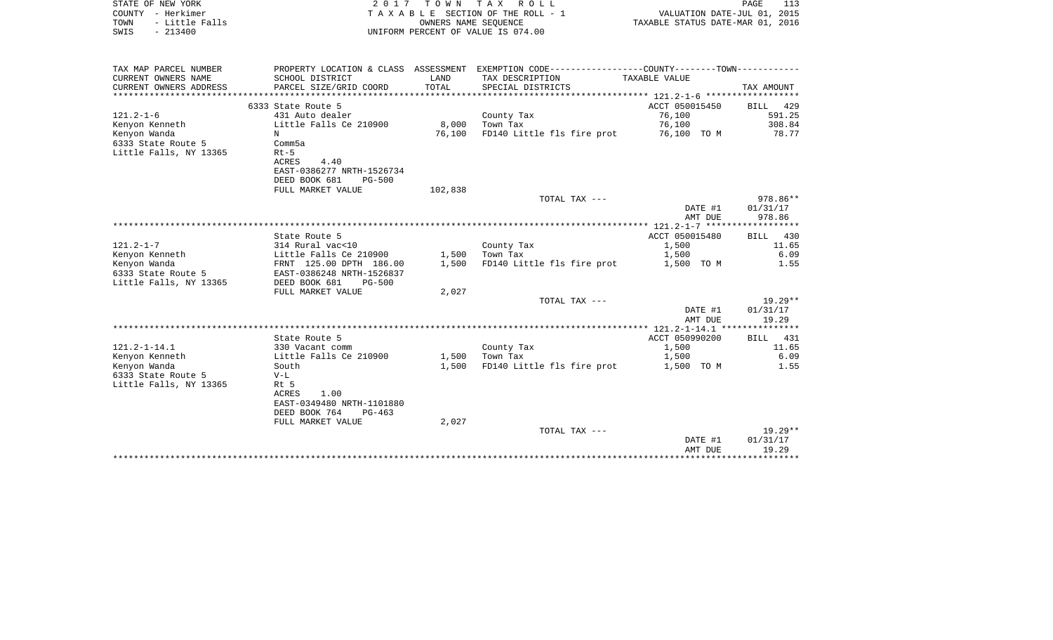| STATE OF NEW YORK<br>COUNTY - Herkimer<br>TOWN<br>- Little Falls<br>SWIS - 213400 |                                           |               | 2017 TOWN TAX ROLL<br>TAXABLE SECTION OF THE ROLL - 1<br>OWNERS NAME SEOUENCE<br>UNIFORM PERCENT OF VALUE IS 074.00 | VALUATION DATE-JUL 01, 2015<br>TAXABLE STATUS DATE-MAR 01, 2016 | PAGE<br>113 |
|-----------------------------------------------------------------------------------|-------------------------------------------|---------------|---------------------------------------------------------------------------------------------------------------------|-----------------------------------------------------------------|-------------|
| TAX MAP PARCEL NUMBER                                                             |                                           |               | PROPERTY LOCATION & CLASS ASSESSMENT EXEMPTION CODE----------------COUNTY-------TOWN----------                      |                                                                 |             |
| CURRENT OWNERS NAME<br>CURRENT OWNERS ADDRESS                                     | SCHOOL DISTRICT<br>PARCEL SIZE/GRID COORD | LAND<br>TOTAL | TAX DESCRIPTION<br>SPECIAL DISTRICTS                                                                                | TAXABLE VALUE                                                   | TAX AMOUNT  |
|                                                                                   |                                           |               |                                                                                                                     |                                                                 |             |
|                                                                                   | 6333 State Route 5                        |               |                                                                                                                     | ACCT 050015450                                                  | BILL 429    |
| 121.2-1-6                                                                         | 431 Auto dealer                           |               | County Tax                                                                                                          | 76,100                                                          | 591.25      |
| Kenyon Kenneth                                                                    | Little Falls Ce 210900                    | 8,000         | Town Tax                                                                                                            | 76,100                                                          | 308.84      |
| Kenyon Wanda                                                                      | N                                         | 76,100        | FD140 Little fls fire prot                                                                                          | 76,100 TO M                                                     | 78.77       |
| 6333 State Route 5                                                                | Comm5a                                    |               |                                                                                                                     |                                                                 |             |
| Little Falls, NY 13365                                                            | $Rt-5$                                    |               |                                                                                                                     |                                                                 |             |
|                                                                                   | ACRES<br>4.40                             |               |                                                                                                                     |                                                                 |             |
|                                                                                   | EAST-0386277 NRTH-1526734                 |               |                                                                                                                     |                                                                 |             |
|                                                                                   | DEED BOOK 681<br>PG-500                   |               |                                                                                                                     |                                                                 |             |
|                                                                                   | FULL MARKET VALUE                         | 102,838       |                                                                                                                     |                                                                 |             |
|                                                                                   |                                           |               | TOTAL TAX ---                                                                                                       |                                                                 | 978.86**    |
|                                                                                   |                                           |               |                                                                                                                     | DATE #1                                                         | 01/31/17    |
|                                                                                   |                                           |               |                                                                                                                     | AMT DUE                                                         | 978.86      |
|                                                                                   |                                           |               |                                                                                                                     |                                                                 |             |
|                                                                                   | State Route 5                             |               |                                                                                                                     | ACCT 050015480                                                  | BILL 430    |
| $121.2 - 1 - 7$                                                                   | 314 Rural vac<10                          |               | County Tax                                                                                                          | 1,500                                                           | 11.65       |
| Kenyon Kenneth                                                                    | Little Falls Ce 210900                    | 1,500         | Town Tax                                                                                                            | 1,500                                                           | 6.09        |
| Kenyon Wanda                                                                      | FRNT 125.00 DPTH 186.00                   | 1,500         | FD140 Little fls fire prot                                                                                          | 1,500 TO M                                                      | 1.55        |
| 6333 State Route 5                                                                | EAST-0386248 NRTH-1526837                 |               |                                                                                                                     |                                                                 |             |
| Little Falls, NY 13365                                                            | DEED BOOK 681<br>PG-500                   |               |                                                                                                                     |                                                                 |             |
|                                                                                   | FULL MARKET VALUE                         | 2,027         |                                                                                                                     |                                                                 |             |
|                                                                                   |                                           |               | TOTAL TAX ---                                                                                                       |                                                                 | 19.29**     |
|                                                                                   |                                           |               |                                                                                                                     | DATE #1                                                         | 01/31/17    |
|                                                                                   |                                           |               |                                                                                                                     | AMT DUE                                                         | 19.29       |
|                                                                                   |                                           |               |                                                                                                                     |                                                                 |             |
|                                                                                   | State Route 5                             |               |                                                                                                                     | ACCT 050990200                                                  | BILL 431    |
| 121.2-1-14.1                                                                      | 330 Vacant comm                           |               | County Tax                                                                                                          | 1,500                                                           | 11.65       |
| Kenyon Kenneth                                                                    | Little Falls Ce 210900                    |               | $1,500$ Town Tax                                                                                                    | 1,500                                                           | 6.09        |
| Kenyon Wanda                                                                      | South                                     | 1,500         | FD140 Little fls fire prot                                                                                          | 1,500 TO M                                                      | 1.55        |
| 6333 State Route 5                                                                | $V-L$                                     |               |                                                                                                                     |                                                                 |             |
| Little Falls, NY 13365                                                            | Rt 5                                      |               |                                                                                                                     |                                                                 |             |
|                                                                                   | 1.00<br>ACRES                             |               |                                                                                                                     |                                                                 |             |
|                                                                                   | EAST-0349480 NRTH-1101880                 |               |                                                                                                                     |                                                                 |             |
|                                                                                   | DEED BOOK 764<br>PG-463                   |               |                                                                                                                     |                                                                 |             |
|                                                                                   | FULL MARKET VALUE                         | 2,027         |                                                                                                                     |                                                                 |             |
|                                                                                   |                                           |               | TOTAL TAX ---                                                                                                       |                                                                 | $19.29**$   |
|                                                                                   |                                           |               |                                                                                                                     | DATE #1                                                         | 01/31/17    |
|                                                                                   |                                           |               |                                                                                                                     | AMT DUE                                                         | 19.29       |
|                                                                                   |                                           |               |                                                                                                                     |                                                                 |             |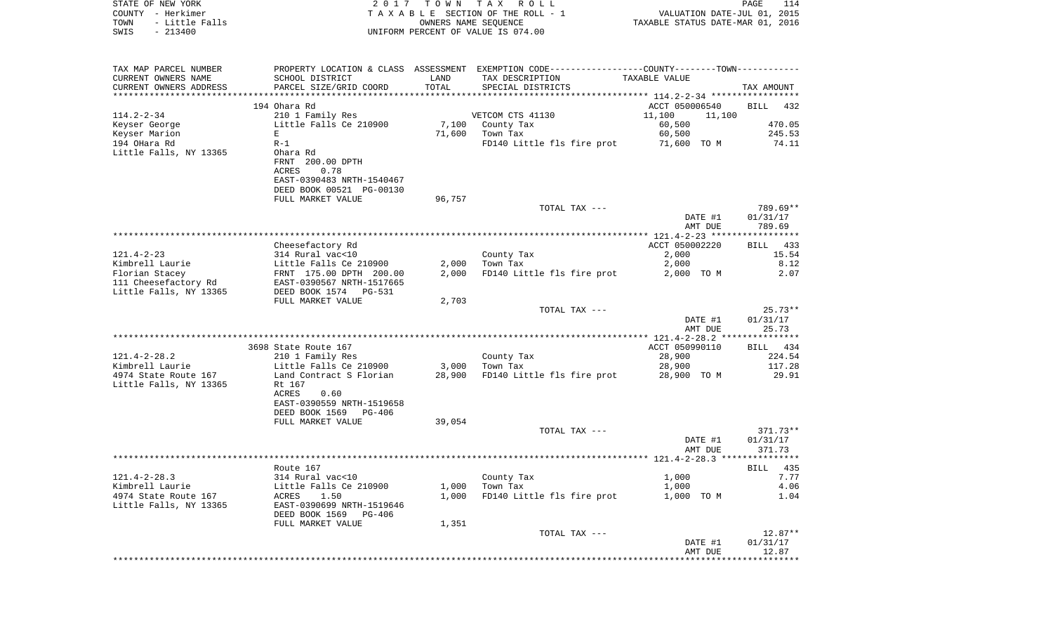| STATE OF NEW YORK<br>COUNTY - Herkimer<br>- Little Falls<br>TOWN<br>$-213400$<br>SWIS | 2017                                              | T O W N        | TAX ROLL<br>TAXABLE SECTION OF THE ROLL - 1<br>OWNERS NAME SEQUENCE<br>UNIFORM PERCENT OF VALUE IS 074.00 | VALUATION DATE-JUL 01, 2015<br>TAXABLE STATUS DATE-MAR 01, 2016 | $\mathop{\mathtt{PAGE}}$<br>114 |
|---------------------------------------------------------------------------------------|---------------------------------------------------|----------------|-----------------------------------------------------------------------------------------------------------|-----------------------------------------------------------------|---------------------------------|
|                                                                                       |                                                   |                |                                                                                                           |                                                                 |                                 |
| TAX MAP PARCEL NUMBER                                                                 |                                                   |                | PROPERTY LOCATION & CLASS ASSESSMENT EXEMPTION CODE---------------COUNTY-------TOWN----------             |                                                                 |                                 |
| CURRENT OWNERS NAME                                                                   | SCHOOL DISTRICT                                   | LAND           | TAX DESCRIPTION                                                                                           | TAXABLE VALUE                                                   |                                 |
| CURRENT OWNERS ADDRESS                                                                | PARCEL SIZE/GRID COORD                            | TOTAL          | SPECIAL DISTRICTS                                                                                         |                                                                 | TAX AMOUNT                      |
| ***********************                                                               | **************************                        |                |                                                                                                           |                                                                 |                                 |
| $114.2 - 2 - 34$                                                                      | 194 Ohara Rd<br>210 1 Family Res                  |                | VETCOM CTS 41130                                                                                          | ACCT 050006540<br>11,100<br>11,100                              | <b>BILL</b><br>432              |
| Keyser George                                                                         | Little Falls Ce 210900                            |                | 7,100 County Tax                                                                                          | 60,500                                                          | 470.05                          |
| Keyser Marion                                                                         | E                                                 | 71,600         | Town Tax                                                                                                  | 60,500                                                          | 245.53                          |
| 194 OHara Rd                                                                          | $R-1$                                             |                | FD140 Little fls fire prot                                                                                | 71,600 TO M                                                     | 74.11                           |
| Little Falls, NY 13365                                                                | Ohara Rd                                          |                |                                                                                                           |                                                                 |                                 |
|                                                                                       | FRNT 200.00 DPTH                                  |                |                                                                                                           |                                                                 |                                 |
|                                                                                       | ACRES<br>0.78                                     |                |                                                                                                           |                                                                 |                                 |
|                                                                                       | EAST-0390483 NRTH-1540467                         |                |                                                                                                           |                                                                 |                                 |
|                                                                                       | DEED BOOK 00521 PG-00130                          |                |                                                                                                           |                                                                 |                                 |
|                                                                                       | FULL MARKET VALUE                                 | 96,757         | TOTAL TAX ---                                                                                             |                                                                 | 789.69**                        |
|                                                                                       |                                                   |                |                                                                                                           | DATE #1                                                         | 01/31/17                        |
|                                                                                       |                                                   |                |                                                                                                           | AMT DUE                                                         | 789.69                          |
|                                                                                       |                                                   |                |                                                                                                           |                                                                 |                                 |
|                                                                                       | Cheesefactory Rd                                  |                |                                                                                                           | ACCT 050002220                                                  | 433<br>BILL                     |
| $121.4 - 2 - 23$                                                                      | 314 Rural vac<10                                  |                | County Tax                                                                                                | 2,000                                                           | 15.54                           |
| Kimbrell Laurie<br>Florian Stacey                                                     | Little Falls Ce 210900<br>FRNT 175.00 DPTH 200.00 | 2,000<br>2,000 | Town Tax                                                                                                  | 2,000<br>2,000 TO M                                             | 8.12<br>2.07                    |
| 111 Cheesefactory Rd                                                                  | EAST-0390567 NRTH-1517665                         |                | FD140 Little fls fire prot                                                                                |                                                                 |                                 |
| Little Falls, NY 13365                                                                | DEED BOOK 1574 PG-531                             |                |                                                                                                           |                                                                 |                                 |
|                                                                                       | FULL MARKET VALUE                                 | 2,703          |                                                                                                           |                                                                 |                                 |
|                                                                                       |                                                   |                | TOTAL TAX ---                                                                                             |                                                                 | $25.73**$                       |
|                                                                                       |                                                   |                |                                                                                                           | DATE #1                                                         | 01/31/17                        |
|                                                                                       |                                                   |                |                                                                                                           | AMT DUE                                                         | 25.73                           |
|                                                                                       | 3698 State Route 167                              |                |                                                                                                           | ACCT 050990110                                                  | BILL 434                        |
| $121.4 - 2 - 28.2$                                                                    | 210 1 Family Res                                  |                | County Tax                                                                                                | 28,900                                                          | 224.54                          |
| Kimbrell Laurie                                                                       | Little Falls Ce 210900                            | 3,000          | Town Tax                                                                                                  | 28,900                                                          | 117.28                          |
| 4974 State Route 167                                                                  | Land Contract S Florian                           | 28,900         | FD140 Little fls fire prot                                                                                | 28,900 TO M                                                     | 29.91                           |
| Little Falls, NY 13365                                                                | Rt 167                                            |                |                                                                                                           |                                                                 |                                 |
|                                                                                       | ACRES<br>0.60                                     |                |                                                                                                           |                                                                 |                                 |
|                                                                                       | EAST-0390559 NRTH-1519658                         |                |                                                                                                           |                                                                 |                                 |
|                                                                                       | DEED BOOK 1569<br>PG-406                          |                |                                                                                                           |                                                                 |                                 |
|                                                                                       | FULL MARKET VALUE                                 | 39,054         | TOTAL TAX ---                                                                                             |                                                                 | $371.73**$                      |
|                                                                                       |                                                   |                |                                                                                                           | DATE #1                                                         | 01/31/17                        |
|                                                                                       |                                                   |                |                                                                                                           | AMT DUE                                                         | 371.73                          |
|                                                                                       |                                                   |                |                                                                                                           |                                                                 |                                 |
|                                                                                       | Route 167                                         |                |                                                                                                           |                                                                 | BILL 435                        |
| $121.4 - 2 - 28.3$                                                                    | 314 Rural vac<10                                  |                | County Tax                                                                                                | 1,000                                                           | 7.77                            |
| Kimbrell Laurie                                                                       | Little Falls Ce 210900                            | 1,000          | Town Tax                                                                                                  | 1,000                                                           | 4.06                            |
| 4974 State Route 167<br>Little Falls, NY 13365                                        | 1.50<br>ACRES<br>EAST-0390699 NRTH-1519646        | 1,000          | FD140 Little fls fire prot                                                                                | 1,000 TO M                                                      | 1.04                            |
|                                                                                       | DEED BOOK 1569<br>PG-406                          |                |                                                                                                           |                                                                 |                                 |
|                                                                                       | FULL MARKET VALUE                                 | 1,351          |                                                                                                           |                                                                 |                                 |
|                                                                                       |                                                   |                | TOTAL TAX ---                                                                                             |                                                                 | $12.87**$                       |
|                                                                                       |                                                   |                |                                                                                                           | DATE #1                                                         | 01/31/17                        |
|                                                                                       |                                                   |                |                                                                                                           | AMT DUE                                                         | 12.87                           |
|                                                                                       |                                                   |                |                                                                                                           | **************************                                      |                                 |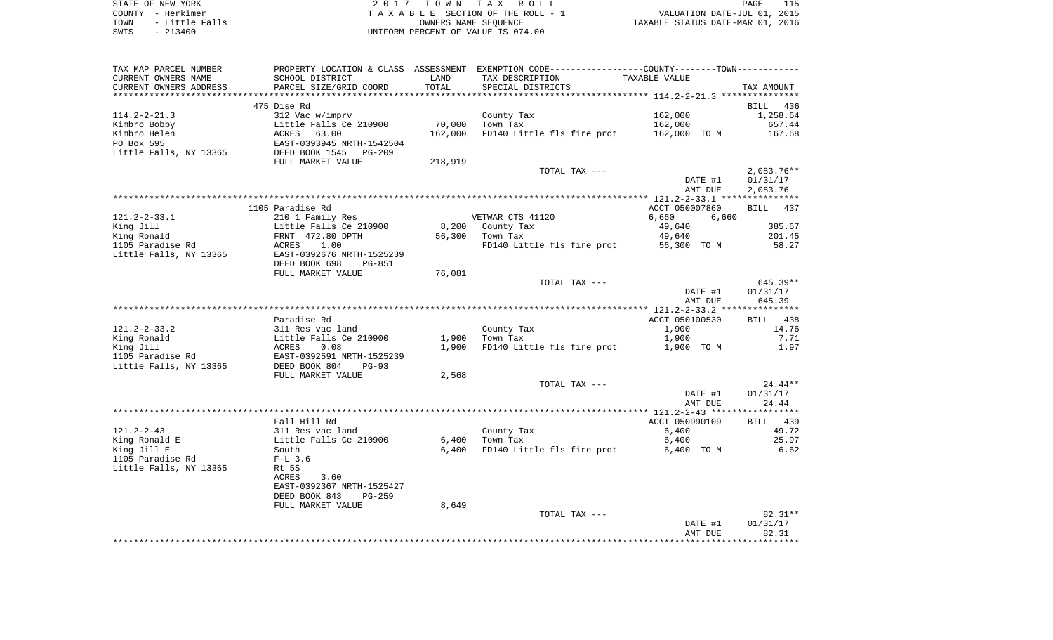| STATE OF NEW YORK      | 2017 TOWN TAX ROLL                 | PAGE                             |
|------------------------|------------------------------------|----------------------------------|
| COUNTY - Herkimer      | TAXABLE SECTION OF THE ROLL - 1    | VALUATION DATE-JUL 01, 2015      |
| - Little Falls<br>TOWN | OWNERS NAME SEOUENCE               | TAXABLE STATUS DATE-MAR 01, 2016 |
| $-213400$<br>SWIS      | UNIFORM PERCENT OF VALUE IS 074.00 |                                  |

| TAX MAP PARCEL NUMBER    | PROPERTY LOCATION & CLASS ASSESSMENT EXEMPTION CODE---------------COUNTY--------TOWN---------- |         |                                        |                |               |
|--------------------------|------------------------------------------------------------------------------------------------|---------|----------------------------------------|----------------|---------------|
| CURRENT OWNERS NAME      | SCHOOL DISTRICT                                                                                | LAND    | TAX DESCRIPTION                        | TAXABLE VALUE  |               |
| CURRENT OWNERS ADDRESS   | PARCEL SIZE/GRID COORD                                                                         | TOTAL   | SPECIAL DISTRICTS                      |                | TAX AMOUNT    |
|                          |                                                                                                |         |                                        |                |               |
|                          | 475 Dise Rd                                                                                    |         |                                        |                | BILL 436      |
| $114.2 - 2 - 21.3$       | 312 Vac w/imprv                                                                                |         | County Tax                             | 162,000        | 1,258.64      |
| Kimbro Bobby             | Little Falls Ce 210900                                                                         | 70,000  | Town Tax                               | 162,000        | 657.44        |
| Kimbro Helen             | ACRES<br>63.00                                                                                 | 162,000 | FD140 Little fls fire prot             | 162,000 TO M   | 167.68        |
| PO Box 595               | EAST-0393945 NRTH-1542504<br>DEED BOOK 1545 PG-209                                             |         |                                        |                |               |
| Little Falls, NY 13365   |                                                                                                |         |                                        |                |               |
|                          | FULL MARKET VALUE                                                                              | 218,919 |                                        |                |               |
|                          |                                                                                                |         | TOTAL TAX ---                          |                | $2,083.76**$  |
|                          |                                                                                                |         |                                        | DATE #1        | 01/31/17      |
|                          |                                                                                                |         |                                        | AMT DUE        | 2,083.76      |
|                          |                                                                                                |         |                                        |                |               |
|                          | 1105 Paradise Rd                                                                               |         |                                        | ACCT 050007860 | BILL 437      |
| $121.2 - 2 - 33.1$       | 210 1 Family Res                                                                               |         | VETWAR CTS 41120                       | 6,660<br>6,660 |               |
| King Jill                |                                                                                                |         | 8,200 County Tax                       | 49,640         | 385.67        |
| King Ronald              | Little Falls Ce 210900<br>FRNT 472.80 DPTH<br>ACRES 1.00                                       | 56,300  | Town Tax                               | 49,640         | 201.45        |
| 1105 Paradise Rd         |                                                                                                |         | FD140 Little fls fire prot 56,300 TO M |                | 58.27         |
| Little Falls, NY 13365   | EAST-0392676 NRTH-1525239                                                                      |         |                                        |                |               |
|                          | DEED BOOK 698<br>PG-851                                                                        |         |                                        |                |               |
|                          | FULL MARKET VALUE                                                                              | 76,081  |                                        |                |               |
|                          |                                                                                                |         | TOTAL TAX ---                          |                | 645.39**      |
|                          |                                                                                                |         |                                        | DATE #1        | 01/31/17      |
|                          |                                                                                                |         |                                        | AMT DUE        | 645.39        |
|                          |                                                                                                |         |                                        |                |               |
|                          | Paradise Rd                                                                                    |         |                                        | ACCT 050100530 | BILL 438      |
| $121.2 - 2 - 33.2$       | 311 Res vac land                                                                               | 1,900   | County Tax                             | 1,900          | 14.76<br>7.71 |
| King Ronald<br>King Jill |                                                                                                |         | Town Tax                               | 1,900          |               |
| 1105 Paradise Rd         | Little Falls Ce 210900<br>ACRES    0.08<br>EAST-0392591 NRTH-1525239                           | 1,900   | FD140 Little fls fire prot             | 1,900 TO M     | 1.97          |
| Little Falls, NY 13365   | DEED BOOK 804<br>$PG-93$                                                                       |         |                                        |                |               |
|                          |                                                                                                | 2,568   |                                        |                |               |
|                          | FULL MARKET VALUE                                                                              |         | TOTAL TAX ---                          |                | $24.44**$     |
|                          |                                                                                                |         |                                        | DATE #1        | 01/31/17      |
|                          |                                                                                                |         |                                        | AMT DUE        | 24.44         |
|                          |                                                                                                |         |                                        |                |               |
|                          | Fall Hill Rd                                                                                   |         |                                        | ACCT 050990109 | BILL 439      |
| $121.2 - 2 - 43$         | 311 Res vac land                                                                               |         | County Tax                             | 6,400          | 49.72         |
| King Ronald E            | Little Falls Ce 210900                                                                         | 6,400   | Town Tax                               | 6,400          | 25.97         |
| King Jill E              | South                                                                                          | 6,400   | FD140 Little fls fire prot             | 6,400 TO M     | 6.62          |
| 1105 Paradise Rd         | $F-L$ 3.6                                                                                      |         |                                        |                |               |
| Little Falls, NY 13365   | Rt 5S                                                                                          |         |                                        |                |               |
|                          | ACRES<br>3.60                                                                                  |         |                                        |                |               |
|                          | EAST-0392367 NRTH-1525427                                                                      |         |                                        |                |               |
|                          | DEED BOOK 843<br>PG-259                                                                        |         |                                        |                |               |
|                          | FULL MARKET VALUE                                                                              | 8,649   |                                        |                |               |
|                          |                                                                                                |         | TOTAL TAX ---                          |                | $82.31**$     |
|                          |                                                                                                |         |                                        | DATE #1        | 01/31/17      |
|                          |                                                                                                |         |                                        | AMT DUE        | 82.31         |
|                          |                                                                                                |         |                                        |                |               |
|                          |                                                                                                |         |                                        |                |               |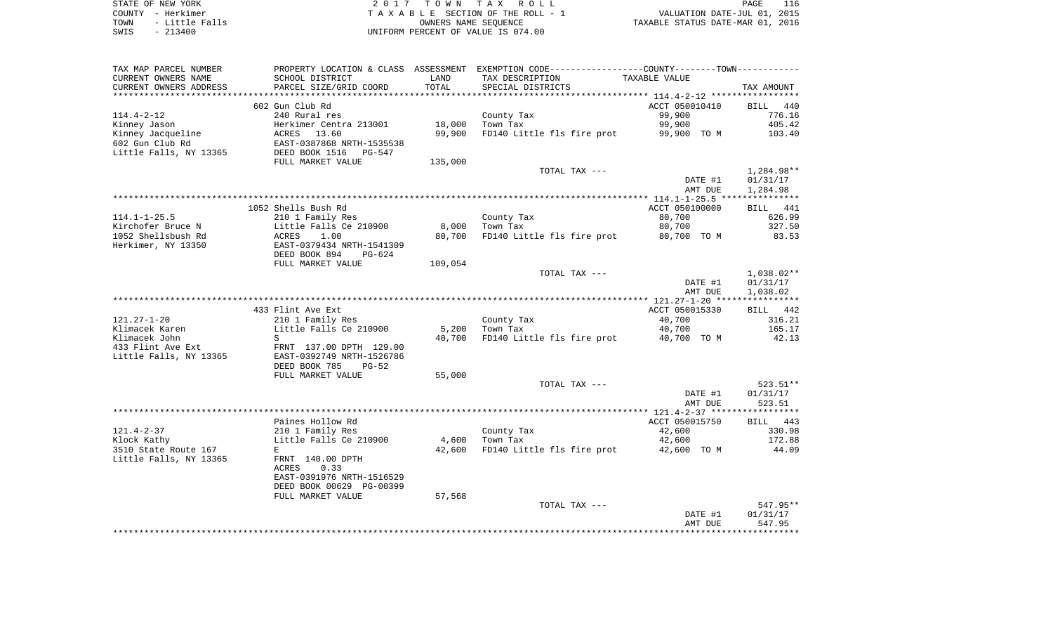| STATE OF NEW YORK |           |                |  |
|-------------------|-----------|----------------|--|
| COUNTY - Herkimer |           |                |  |
| TOWN              |           | - Little Falls |  |
| SWIS              | $-213400$ |                |  |

STATE OF NEW YORK 2 0 1 7 T O W N T A X R O L L PAGE 116 COUNTY - Herkimer T A X A B L E SECTION OF THE ROLL - 1 VALUATION DATE-JUL 01, 2015 TOWN - Little Falls OWNERS NAME SEQUENCE TAXABLE STATUS DATE-MAR 01, 2016 UNIFORM PERCENT OF VALUE IS 074.00

| TAX MAP PARCEL NUMBER<br>CURRENT OWNERS NAME                             | PROPERTY LOCATION & CLASS ASSESSMENT<br>SCHOOL DISTRICT                                                                          | LAND             | EXEMPTION CODE-----------------COUNTY-------TOWN-----------<br>TAX DESCRIPTION | TAXABLE VALUE                                     |                                                  |
|--------------------------------------------------------------------------|----------------------------------------------------------------------------------------------------------------------------------|------------------|--------------------------------------------------------------------------------|---------------------------------------------------|--------------------------------------------------|
| CURRENT OWNERS ADDRESS<br>*********************                          | PARCEL SIZE/GRID COORD                                                                                                           | TOTAL            | SPECIAL DISTRICTS                                                              |                                                   | TAX AMOUNT                                       |
| $114.4 - 2 - 12$<br>Kinney Jason<br>Kinney Jacqueline<br>602 Gun Club Rd | 602 Gun Club Rd<br>240 Rural res<br>Herkimer Centra 213001<br>ACRES<br>13.60<br>EAST-0387868 NRTH-1535538                        | 18,000<br>99,900 | County Tax<br>Town Tax<br>FD140 Little fls fire prot                           | ACCT 050010410<br>99,900<br>99,900<br>99,900 TO M | <b>BILL</b><br>440<br>776.16<br>405.42<br>103.40 |
| Little Falls, NY 13365                                                   | DEED BOOK 1516<br>PG-547<br>FULL MARKET VALUE                                                                                    | 135,000          |                                                                                |                                                   |                                                  |
|                                                                          |                                                                                                                                  |                  | TOTAL TAX ---                                                                  | DATE #1<br>AMT DUE                                | 1,284.98**<br>01/31/17<br>1,284.98               |
|                                                                          |                                                                                                                                  |                  |                                                                                |                                                   | ******<br>****                                   |
| $114.1 - 1 - 25.5$                                                       | 1052 Shells Bush Rd<br>210 1 Family Res                                                                                          |                  | County Tax                                                                     | ACCT 050100000<br>80,700                          | 441<br><b>BILL</b><br>626.99                     |
| Kirchofer Bruce N                                                        | Little Falls Ce 210900                                                                                                           | 8,000            | Town Tax                                                                       | 80,700                                            | 327.50                                           |
| 1052 Shellsbush Rd<br>Herkimer, NY 13350                                 | ACRES<br>1.00<br>EAST-0379434 NRTH-1541309<br>DEED BOOK 894<br>$PG-624$                                                          | 80,700           | FD140 Little fls fire prot                                                     | 80,700 TO M                                       | 83.53                                            |
|                                                                          | FULL MARKET VALUE                                                                                                                | 109,054          | TOTAL TAX ---                                                                  |                                                   | 1,038.02**                                       |
|                                                                          |                                                                                                                                  |                  |                                                                                | DATE #1<br>AMT DUE                                | 01/31/17<br>1,038.02<br>******                   |
|                                                                          | 433 Flint Ave Ext                                                                                                                |                  |                                                                                | ACCT 050015330                                    | <b>BILL</b><br>442                               |
| $121.27 - 1 - 20$<br>Klimacek Karen<br>Klimacek John                     | 210 1 Family Res<br>Little Falls Ce 210900<br>S                                                                                  | 5,200<br>40,700  | County Tax<br>Town Tax<br>FD140 Little fls fire prot                           | 40,700<br>40,700<br>40,700 TO M                   | 316.21<br>165.17<br>42.13                        |
| 433 Flint Ave Ext<br>Little Falls, NY 13365                              | FRNT 137.00 DPTH 129.00<br>EAST-0392749 NRTH-1526786<br>DEED BOOK 785<br>$PG-52$                                                 |                  |                                                                                |                                                   |                                                  |
|                                                                          | FULL MARKET VALUE                                                                                                                | 55,000           |                                                                                |                                                   |                                                  |
|                                                                          |                                                                                                                                  |                  | TOTAL TAX ---                                                                  | DATE #1<br>AMT DUE                                | 523.51**<br>01/31/17<br>523.51                   |
|                                                                          |                                                                                                                                  |                  |                                                                                |                                                   |                                                  |
| $121.4 - 2 - 37$                                                         | Paines Hollow Rd<br>210 1 Family Res                                                                                             |                  | County Tax                                                                     | ACCT 050015750<br>42,600                          | <b>BILL</b><br>443<br>330.98                     |
| Klock Kathy<br>3510 State Route 167<br>Little Falls, NY 13365            | Little Falls Ce 210900<br>E<br>FRNT 140.00 DPTH<br>0.33<br><b>ACRES</b><br>EAST-0391976 NRTH-1516529<br>DEED BOOK 00629 PG-00399 | 4,600<br>42,600  | Town Tax<br>FD140 Little fls fire prot                                         | 42,600<br>42,600 TO M                             | 172.88<br>44.09                                  |
|                                                                          | FULL MARKET VALUE                                                                                                                | 57,568           |                                                                                |                                                   |                                                  |
|                                                                          |                                                                                                                                  |                  | TOTAL TAX ---                                                                  | DATE #1<br>AMT DUE                                | 547.95**<br>01/31/17<br>547.95                   |
|                                                                          | ***************************                                                                                                      |                  |                                                                                |                                                   |                                                  |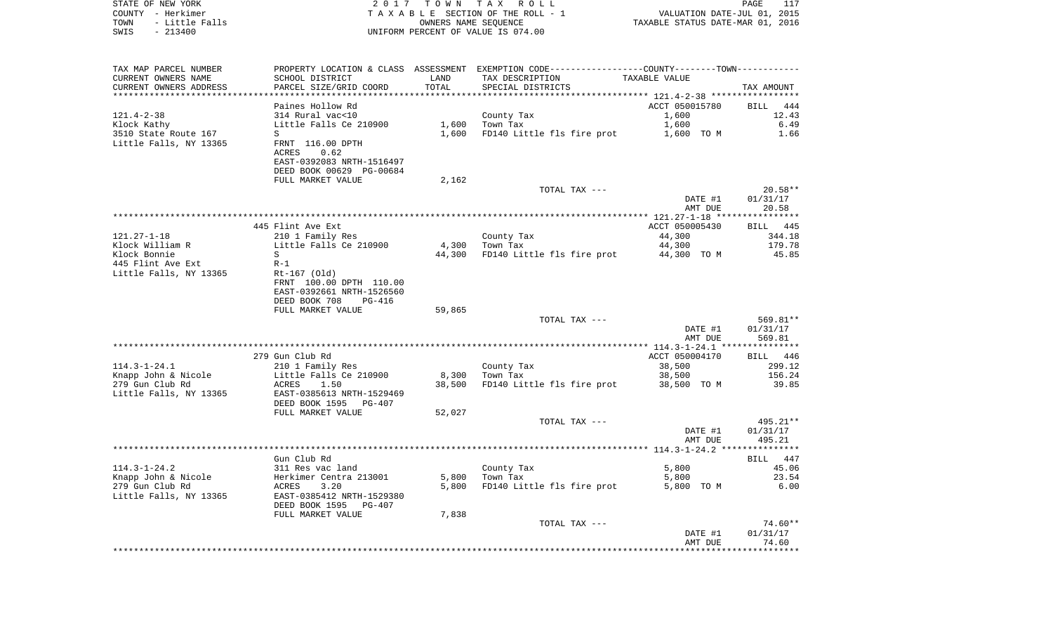| STATE OF NEW YORK<br>COUNTY - Herkimer<br>- Little Falls<br>TOWN<br>$-213400$<br>SWIS |                                                                                                   | 2017 TOWN<br>OWNERS NAME SEQUENCE | TAX ROLL<br>TAXABLE SECTION OF THE ROLL - 1<br>UNIFORM PERCENT OF VALUE IS 074.00             | TAXABLE STATUS DATE-MAR 01, 2016 | PAGE<br>117<br>VALUATION DATE-JUL 01, 2015 |
|---------------------------------------------------------------------------------------|---------------------------------------------------------------------------------------------------|-----------------------------------|-----------------------------------------------------------------------------------------------|----------------------------------|--------------------------------------------|
| TAX MAP PARCEL NUMBER                                                                 |                                                                                                   |                                   | PROPERTY LOCATION & CLASS ASSESSMENT EXEMPTION CODE---------------COUNTY-------TOWN---------- |                                  |                                            |
| CURRENT OWNERS NAME                                                                   | SCHOOL DISTRICT                                                                                   | LAND                              | TAX DESCRIPTION                                                                               | TAXABLE VALUE                    |                                            |
| CURRENT OWNERS ADDRESS                                                                | PARCEL SIZE/GRID COORD                                                                            | TOTAL                             | SPECIAL DISTRICTS                                                                             |                                  | TAX AMOUNT                                 |
| ************************                                                              |                                                                                                   |                                   |                                                                                               |                                  |                                            |
| $121.4 - 2 - 38$                                                                      | Paines Hollow Rd<br>314 Rural vac<10                                                              |                                   |                                                                                               | ACCT 050015780<br>1,600          | BILL<br>444<br>12.43                       |
| Klock Kathy                                                                           | Little Falls Ce 210900                                                                            | 1,600                             | County Tax<br>Town Tax                                                                        | 1,600                            | 6.49                                       |
| 3510 State Route 167                                                                  | S                                                                                                 | 1,600                             | FD140 Little fls fire prot                                                                    | 1,600 TO M                       | 1.66                                       |
| Little Falls, NY 13365                                                                | FRNT 116.00 DPTH<br>ACRES<br>0.62<br>EAST-0392083 NRTH-1516497<br>DEED BOOK 00629 PG-00684        |                                   |                                                                                               |                                  |                                            |
|                                                                                       | FULL MARKET VALUE                                                                                 | 2,162                             |                                                                                               |                                  |                                            |
|                                                                                       |                                                                                                   |                                   | TOTAL TAX ---                                                                                 |                                  | $20.58**$                                  |
|                                                                                       |                                                                                                   |                                   |                                                                                               | DATE #1                          | 01/31/17                                   |
|                                                                                       |                                                                                                   |                                   |                                                                                               | AMT DUE                          | 20.58                                      |
|                                                                                       | 445 Flint Ave Ext                                                                                 |                                   |                                                                                               | ACCT 050005430                   | BILL 445                                   |
| $121.27 - 1 - 18$                                                                     | 210 1 Family Res                                                                                  |                                   | County Tax                                                                                    | 44,300                           | 344.18                                     |
| Klock William R                                                                       | Little Falls Ce 210900                                                                            | 4,300                             | Town Tax                                                                                      | 44,300                           | 179.78                                     |
| Klock Bonnie                                                                          | S                                                                                                 | 44,300                            | FD140 Little fls fire prot                                                                    | 44,300 TO M                      | 45.85                                      |
| 445 Flint Ave Ext                                                                     | $R-1$                                                                                             |                                   |                                                                                               |                                  |                                            |
| Little Falls, NY 13365                                                                | $Rt-167$ (Old)<br>FRNT 100.00 DPTH 110.00<br>EAST-0392661 NRTH-1526560<br>DEED BOOK 708<br>PG-416 |                                   |                                                                                               |                                  |                                            |
|                                                                                       | FULL MARKET VALUE                                                                                 | 59,865                            |                                                                                               |                                  |                                            |
|                                                                                       |                                                                                                   |                                   | TOTAL TAX ---                                                                                 |                                  | 569.81**                                   |
|                                                                                       |                                                                                                   |                                   |                                                                                               | DATE #1<br>AMT DUE               | 01/31/17<br>569.81                         |
|                                                                                       |                                                                                                   |                                   |                                                                                               |                                  |                                            |
| $114.3 - 1 - 24.1$                                                                    | 279 Gun Club Rd<br>210 1 Family Res                                                               |                                   | County Tax                                                                                    | ACCT 050004170<br>38,500         | BILL 446<br>299.12                         |
| Knapp John & Nicole                                                                   | Little Falls Ce 210900                                                                            | 8,300                             | Town Tax                                                                                      | 38,500                           | 156.24                                     |
| 279 Gun Club Rd                                                                       | ACRES<br>1.50                                                                                     | 38,500                            | FD140 Little fls fire prot                                                                    | 38,500 TO M                      | 39.85                                      |
| Little Falls, NY 13365                                                                | EAST-0385613 NRTH-1529469<br>DEED BOOK 1595 PG-407                                                |                                   |                                                                                               |                                  |                                            |
|                                                                                       | FULL MARKET VALUE                                                                                 | 52,027                            |                                                                                               |                                  |                                            |
|                                                                                       |                                                                                                   |                                   | TOTAL TAX ---                                                                                 |                                  | 495.21**                                   |
|                                                                                       |                                                                                                   |                                   |                                                                                               | DATE #1<br>AMT DUE               | 01/31/17<br>495.21                         |
|                                                                                       |                                                                                                   |                                   |                                                                                               |                                  |                                            |
|                                                                                       | Gun Club Rd                                                                                       |                                   |                                                                                               |                                  | 447<br>BILL                                |
| $114.3 - 1 - 24.2$                                                                    | 311 Res vac land                                                                                  |                                   | County Tax                                                                                    | 5,800                            | 45.06                                      |
| Knapp John & Nicole                                                                   | Herkimer Centra 213001                                                                            | 5,800                             | Town Tax                                                                                      | 5,800                            | 23.54                                      |
| 279 Gun Club Rd<br>Little Falls, NY 13365                                             | 3.20<br><b>ACRES</b><br>EAST-0385412 NRTH-1529380<br>DEED BOOK 1595<br>PG-407                     | 5,800                             | FD140 Little fls fire prot                                                                    | 5,800 TO M                       | 6.00                                       |
|                                                                                       | FULL MARKET VALUE                                                                                 | 7,838                             |                                                                                               |                                  |                                            |
|                                                                                       |                                                                                                   |                                   | TOTAL TAX ---                                                                                 |                                  | 74.60**                                    |
|                                                                                       |                                                                                                   |                                   |                                                                                               | DATE #1                          | 01/31/17                                   |
|                                                                                       |                                                                                                   |                                   |                                                                                               | AMT DUE                          | 74.60                                      |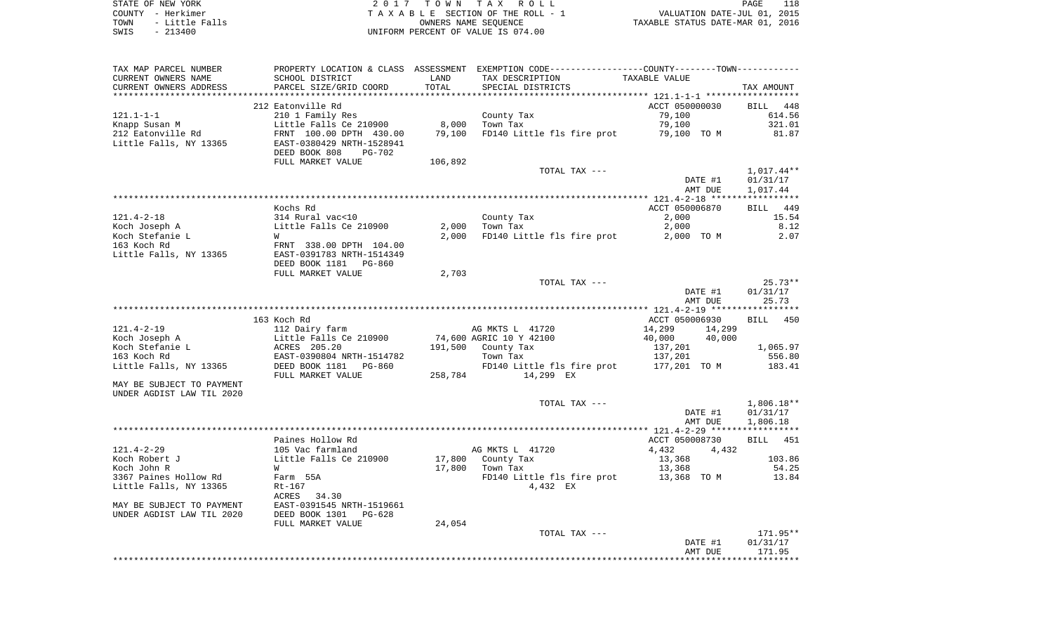| STATE OF NEW YORK |  |           |                |  |
|-------------------|--|-----------|----------------|--|
| COUNTY - Herkimer |  |           |                |  |
| TOWN              |  |           | - Little Falls |  |
| SWIS              |  | $-213400$ |                |  |

STATE OF NEW YORK 2 0 1 7 T O W N T A X R O L L PAGE 118TA X A B L E SECTION OF THE ROLL - 1 TOWN - Little Falls OWNERS NAME SEQUENCE TAXABLE STATUS DATE-MAR 01, 2016 SWIS - 213400 UNIFORM PERCENT OF VALUE IS 074.00

| TAX MAP PARCEL NUMBER     |                                |         | PROPERTY LOCATION & CLASS ASSESSMENT EXEMPTION CODE---------------COUNTY-------TOWN---------- |                  |              |
|---------------------------|--------------------------------|---------|-----------------------------------------------------------------------------------------------|------------------|--------------|
| CURRENT OWNERS NAME       | SCHOOL DISTRICT                | LAND    | TAX DESCRIPTION                                                                               | TAXABLE VALUE    |              |
| CURRENT OWNERS ADDRESS    | PARCEL SIZE/GRID COORD         | TOTAL   | SPECIAL DISTRICTS                                                                             |                  | TAX AMOUNT   |
|                           |                                |         |                                                                                               |                  |              |
|                           | 212 Eatonville Rd              |         |                                                                                               | ACCT 050000030   | BILL 448     |
| $121.1 - 1 - 1$           | 210 1 Family Res               |         | County Tax                                                                                    | 79,100           | 614.56       |
| Knapp Susan M             | Little Falls Ce 210900         | 8,000   | Town Tax                                                                                      | 79,100           | 321.01       |
| 212 Eatonville Rd         | FRNT 100.00 DPTH 430.00        | 79,100  | FD140 Little fls fire prot                                                                    | 79,100 TO M      | 81.87        |
| Little Falls, NY 13365    | EAST-0380429 NRTH-1528941      |         |                                                                                               |                  |              |
|                           | DEED BOOK 808<br><b>PG-702</b> |         |                                                                                               |                  |              |
|                           | FULL MARKET VALUE              | 106,892 |                                                                                               |                  |              |
|                           |                                |         | TOTAL TAX ---                                                                                 |                  | 1,017.44**   |
|                           |                                |         |                                                                                               | DATE #1          | 01/31/17     |
|                           |                                |         |                                                                                               | AMT DUE          | 1,017.44     |
|                           |                                |         |                                                                                               |                  |              |
|                           | Kochs Rd                       |         |                                                                                               | ACCT 050006870   | BILL 449     |
| $121.4 - 2 - 18$          | 314 Rural vac<10               |         | County Tax                                                                                    | 2,000            | 15.54        |
|                           |                                |         |                                                                                               |                  |              |
| Koch Joseph A             | Little Falls Ce 210900         | 2,000   | Town Tax                                                                                      | 2,000            | 8.12         |
| Koch Stefanie L           | W                              | 2,000   | FD140 Little fls fire prot                                                                    | 2,000 TO M       | 2.07         |
| 163 Koch Rd               | FRNT 338.00 DPTH 104.00        |         |                                                                                               |                  |              |
| Little Falls, NY 13365    | EAST-0391783 NRTH-1514349      |         |                                                                                               |                  |              |
|                           | DEED BOOK 1181<br>PG-860       |         |                                                                                               |                  |              |
|                           | FULL MARKET VALUE              | 2,703   |                                                                                               |                  |              |
|                           |                                |         | TOTAL TAX ---                                                                                 |                  | $25.73**$    |
|                           |                                |         |                                                                                               | DATE #1          | 01/31/17     |
|                           |                                |         |                                                                                               | AMT DUE          | 25.73        |
|                           |                                |         |                                                                                               |                  |              |
|                           | 163 Koch Rd                    |         |                                                                                               | ACCT 050006930   | BILL 450     |
| $121.4 - 2 - 19$          | 112 Dairy farm                 |         | AG MKTS L 41720                                                                               | 14,299<br>14,299 |              |
| Koch Joseph A             | Little Falls Ce 210900         |         | 74,600 AGRIC 10 Y 42100                                                                       | 40,000<br>40,000 |              |
| Koch Stefanie L           | ACRES 205.20                   |         | 191,500 County Tax                                                                            | 137,201          | 1,065.97     |
| 163 Koch Rd               | EAST-0390804 NRTH-1514782      |         | Town Tax                                                                                      | 137,201          | 556.80       |
| Little Falls, NY 13365    | DEED BOOK 1181 PG-860          |         | FD140 Little fls fire prot                                                                    | 177,201 TO M     | 183.41       |
|                           | FULL MARKET VALUE              | 258,784 | 14,299 EX                                                                                     |                  |              |
| MAY BE SUBJECT TO PAYMENT |                                |         |                                                                                               |                  |              |
| UNDER AGDIST LAW TIL 2020 |                                |         |                                                                                               |                  |              |
|                           |                                |         | TOTAL TAX ---                                                                                 |                  | $1,806.18**$ |
|                           |                                |         |                                                                                               | DATE #1          | 01/31/17     |
|                           |                                |         |                                                                                               | AMT DUE          | 1,806.18     |
|                           |                                |         |                                                                                               |                  |              |
|                           | Paines Hollow Rd               |         |                                                                                               | ACCT 050008730   | BILL 451     |
| $121.4 - 2 - 29$          | 105 Vac farmland               |         | AG MKTS L 41720                                                                               | 4,432<br>4,432   |              |
| Koch Robert J             | Little Falls Ce 210900         |         | 17,800 County Tax                                                                             | 13,368           | 103.86       |
| Koch John R               | W                              | 17,800  | Town Tax                                                                                      | 13,368           | 54.25        |
| 3367 Paines Hollow Rd     | Farm 55A                       |         | FD140 Little fls fire prot                                                                    | 13,368 TO M      | 13.84        |
| Little Falls, NY 13365    | Rt-167                         |         | 4,432 EX                                                                                      |                  |              |
|                           | ACRES<br>34.30                 |         |                                                                                               |                  |              |
| MAY BE SUBJECT TO PAYMENT |                                |         |                                                                                               |                  |              |
|                           | EAST-0391545 NRTH-1519661      |         |                                                                                               |                  |              |
| UNDER AGDIST LAW TIL 2020 | DEED BOOK 1301<br>$PG-628$     |         |                                                                                               |                  |              |
|                           | FULL MARKET VALUE              | 24,054  |                                                                                               |                  |              |
|                           |                                |         | TOTAL TAX ---                                                                                 |                  | 171.95**     |
|                           |                                |         |                                                                                               | DATE #1          | 01/31/17     |
|                           |                                |         |                                                                                               | AMT DUE          | 171.95       |
|                           |                                |         |                                                                                               |                  |              |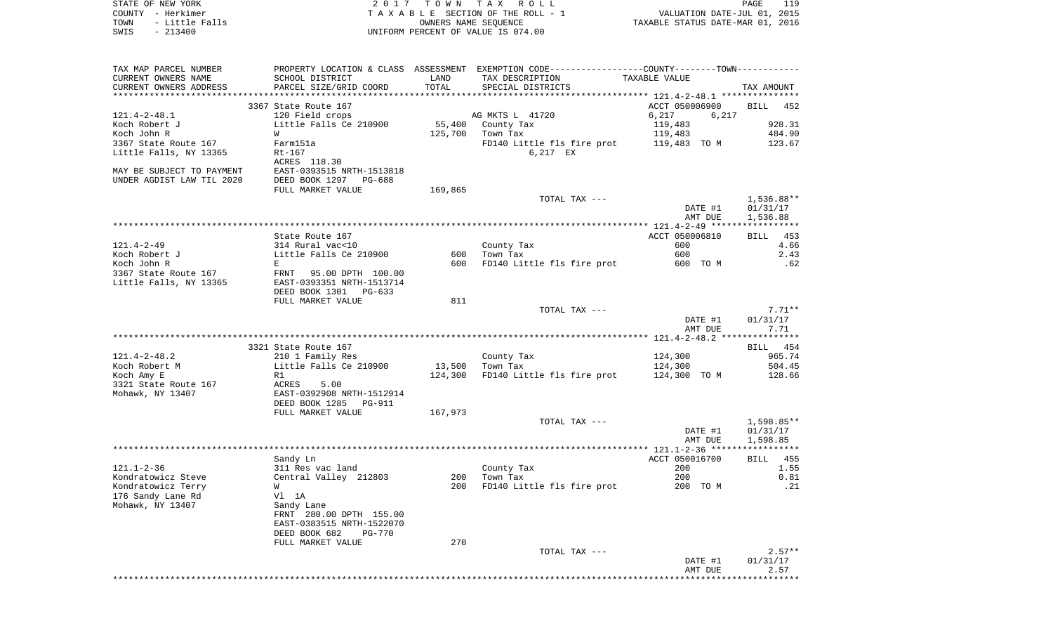| STATE OF NEW YORK<br>COUNTY - Herkimer |                                | 2017 TOWN TAX        | R O L L<br>TAXABLE SECTION OF THE ROLL - 1                                                     | VALUATION DATE-JUL 01, 2015      | PAGE<br>119 |
|----------------------------------------|--------------------------------|----------------------|------------------------------------------------------------------------------------------------|----------------------------------|-------------|
| TOWN<br>- Little Falls                 |                                | OWNERS NAME SEQUENCE |                                                                                                | TAXABLE STATUS DATE-MAR 01, 2016 |             |
| SWIS<br>$-213400$                      |                                |                      | UNIFORM PERCENT OF VALUE IS 074.00                                                             |                                  |             |
|                                        |                                |                      |                                                                                                |                                  |             |
| TAX MAP PARCEL NUMBER                  |                                |                      | PROPERTY LOCATION & CLASS ASSESSMENT EXEMPTION CODE----------------COUNTY-------TOWN---------- |                                  |             |
| CURRENT OWNERS NAME                    | SCHOOL DISTRICT                | LAND                 | TAX DESCRIPTION                                                                                | TAXABLE VALUE                    |             |
| CURRENT OWNERS ADDRESS                 | PARCEL SIZE/GRID COORD         | TOTAL                | SPECIAL DISTRICTS                                                                              |                                  | TAX AMOUNT  |
|                                        |                                |                      |                                                                                                |                                  |             |
|                                        | 3367 State Route 167           |                      |                                                                                                | ACCT 050006900                   | BILL<br>452 |
| 121.4-2-48.1                           | 120 Field crops                |                      | AG MKTS L 41720                                                                                | 6,217<br>6,217                   |             |
| Koch Robert J                          | Little Falls Ce 210900         | 55,400               | County Tax                                                                                     | 119,483                          | 928.31      |
| Koch John R                            | W                              | 125,700              | Town Tax                                                                                       | 119,483                          | 484.90      |
| 3367 State Route 167                   | Farm151a                       |                      | FD140 Little fls fire prot                                                                     | 119,483 TO M                     | 123.67      |
| Little Falls, NY 13365                 | Rt-167                         |                      | 6,217 EX                                                                                       |                                  |             |
|                                        | ACRES 118.30                   |                      |                                                                                                |                                  |             |
| MAY BE SUBJECT TO PAYMENT              | EAST-0393515 NRTH-1513818      |                      |                                                                                                |                                  |             |
| UNDER AGDIST LAW TIL 2020              | DEED BOOK 1297<br>PG-688       |                      |                                                                                                |                                  |             |
|                                        | FULL MARKET VALUE              | 169,865              | TOTAL TAX ---                                                                                  |                                  | 1,536.88**  |
|                                        |                                |                      |                                                                                                | DATE #1                          | 01/31/17    |
|                                        |                                |                      |                                                                                                | AMT DUE                          | 1,536.88    |
|                                        |                                |                      |                                                                                                |                                  |             |
|                                        | State Route 167                |                      |                                                                                                | ACCT 050006810                   | 453<br>BILL |
| 121.4-2-49                             | 314 Rural vac<10               |                      | County Tax                                                                                     | 600                              | 4.66        |
| Koch Robert J                          | Little Falls Ce 210900         | 600                  | Town Tax                                                                                       | 600                              | 2.43        |
| Koch John R                            | E                              | 600                  | FD140 Little fls fire prot                                                                     | 600 TO M                         | .62         |
| 3367 State Route 167                   | FRNT 95.00 DPTH 100.00         |                      |                                                                                                |                                  |             |
| Little Falls, NY 13365                 | EAST-0393351 NRTH-1513714      |                      |                                                                                                |                                  |             |
|                                        | DEED BOOK 1301 PG-633          |                      |                                                                                                |                                  |             |
|                                        | FULL MARKET VALUE              | 811                  |                                                                                                |                                  |             |
|                                        |                                |                      | TOTAL TAX ---                                                                                  |                                  | $7.71**$    |
|                                        |                                |                      |                                                                                                | DATE #1                          | 01/31/17    |
|                                        |                                |                      |                                                                                                | AMT DUE                          | 7.71        |
|                                        |                                |                      |                                                                                                |                                  |             |
|                                        | 3321 State Route 167           |                      |                                                                                                |                                  | BILL 454    |
| 121.4-2-48.2                           | 210 1 Family Res               |                      | County Tax                                                                                     | 124,300                          | 965.74      |
| Koch Robert M                          | Little Falls Ce 210900         | 13,500               | Town Tax                                                                                       | 124,300                          | 504.45      |
| Koch Amy E                             | R1                             | 124,300              | FD140 Little fls fire prot                                                                     | 124,300 TO M                     | 128.66      |
| 3321 State Route 167                   | ACRES<br>5.00                  |                      |                                                                                                |                                  |             |
| Mohawk, NY 13407                       | EAST-0392908 NRTH-1512914      |                      |                                                                                                |                                  |             |
|                                        | DEED BOOK 1285<br>PG-911       |                      |                                                                                                |                                  |             |
|                                        | FULL MARKET VALUE              | 167,973              | TOTAL TAX ---                                                                                  |                                  | 1,598.85**  |
|                                        |                                |                      |                                                                                                | DATE #1                          | 01/31/17    |
|                                        |                                |                      |                                                                                                | AMT DUE                          | 1,598.85    |
|                                        |                                |                      |                                                                                                |                                  | *********** |
|                                        | Sandy Ln                       |                      |                                                                                                | ACCT 050016700                   | 455<br>BILL |
| $121.1 - 2 - 36$                       | 311 Res vac land               |                      | County Tax                                                                                     | 200                              | 1.55        |
| Kondratowicz Steve                     | Central Valley 212803          | 200                  | Town Tax                                                                                       | 200                              | 0.81        |
| Kondratowicz Terry                     | W                              | 200                  | FD140 Little fls fire prot                                                                     | 200 TO M                         | .21         |
| 176 Sandy Lane Rd                      | Vl 1A                          |                      |                                                                                                |                                  |             |
| Mohawk, NY 13407                       | Sandy Lane                     |                      |                                                                                                |                                  |             |
|                                        | FRNT 280.00 DPTH 155.00        |                      |                                                                                                |                                  |             |
|                                        | EAST-0383515 NRTH-1522070      |                      |                                                                                                |                                  |             |
|                                        | DEED BOOK 682<br><b>PG-770</b> |                      |                                                                                                |                                  |             |
|                                        | FULL MARKET VALUE              | 270                  |                                                                                                |                                  |             |
|                                        |                                |                      | TOTAL TAX ---                                                                                  |                                  | $2.57**$    |
|                                        |                                |                      |                                                                                                | DATE #1                          | 01/31/17    |
|                                        |                                |                      |                                                                                                | AMT DUE                          | 2.57        |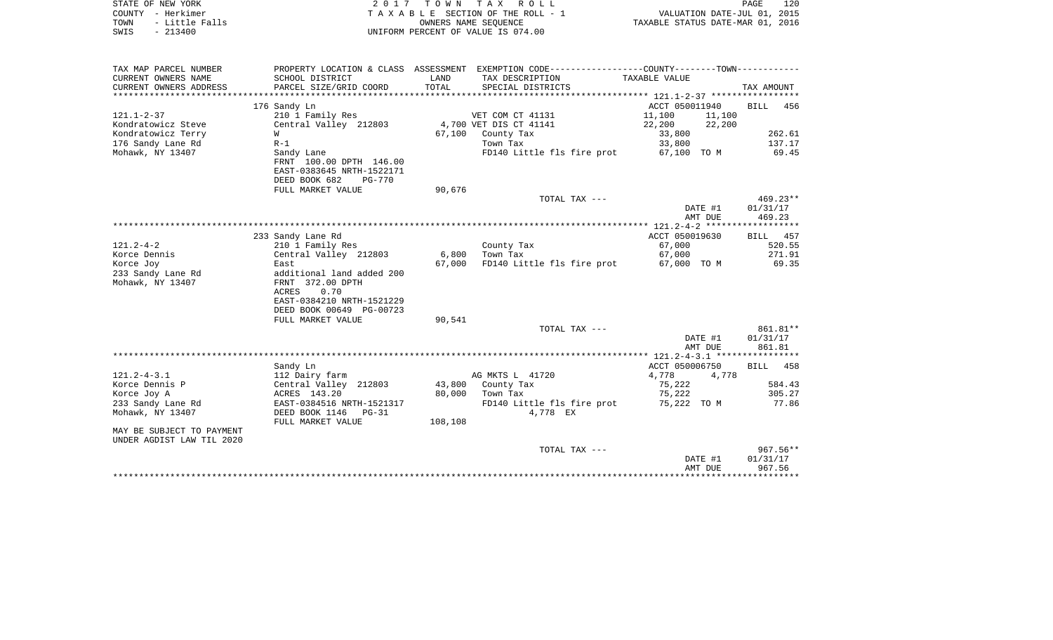| STATE OF NEW YORK<br>COUNTY - Herkimer<br>- Little Falls<br>TOWN<br>SWIS<br>$-213400$ | 2017                                                                                                                            | T O W N           | TAX ROLL<br>TAXABLE SECTION OF THE ROLL - 1<br>OWNERS NAME SEQUENCE<br>UNIFORM PERCENT OF VALUE IS 074.00        | VALUATION DATE-JUL 01, 2015<br>TAXABLE STATUS DATE-MAR 01, 2016 | PAGE<br>120                      |
|---------------------------------------------------------------------------------------|---------------------------------------------------------------------------------------------------------------------------------|-------------------|------------------------------------------------------------------------------------------------------------------|-----------------------------------------------------------------|----------------------------------|
| TAX MAP PARCEL NUMBER<br>CURRENT OWNERS NAME                                          | SCHOOL DISTRICT                                                                                                                 | LAND              | PROPERTY LOCATION & CLASS ASSESSMENT EXEMPTION CODE---------------COUNTY-------TOWN----------<br>TAX DESCRIPTION | TAXABLE VALUE                                                   |                                  |
| CURRENT OWNERS ADDRESS<br>***********************                                     | PARCEL SIZE/GRID COORD                                                                                                          | TOTAL             | SPECIAL DISTRICTS                                                                                                |                                                                 | TAX AMOUNT                       |
|                                                                                       | 176 Sandy Ln                                                                                                                    |                   |                                                                                                                  | ACCT 050011940                                                  | 456<br><b>BILL</b>               |
| $121.1 - 2 - 37$                                                                      | 210 1 Family Res                                                                                                                |                   | VET COM CT 41131                                                                                                 | 11,100<br>11,100                                                |                                  |
| Kondratowicz Steve                                                                    | Central Valley 212803                                                                                                           |                   | 4,700 VET DIS CT 41141                                                                                           | 22,200<br>22,200                                                |                                  |
| Kondratowicz Terry                                                                    | W                                                                                                                               | 67,100            | County Tax                                                                                                       | 33,800                                                          | 262.61                           |
| 176 Sandy Lane Rd                                                                     | $R-1$                                                                                                                           |                   | Town Tax                                                                                                         | 33,800                                                          | 137.17                           |
| Mohawk, NY 13407                                                                      | Sandy Lane<br>FRNT 100.00 DPTH 146.00<br>EAST-0383645 NRTH-1522171<br>DEED BOOK 682<br><b>PG-770</b>                            |                   | FD140 Little fls fire prot                                                                                       | 67,100 TO M                                                     | 69.45                            |
|                                                                                       | FULL MARKET VALUE                                                                                                               | 90,676            |                                                                                                                  |                                                                 |                                  |
|                                                                                       |                                                                                                                                 |                   | TOTAL TAX ---                                                                                                    | DATE #1<br>AMT DUE                                              | $469.23**$<br>01/31/17<br>469.23 |
|                                                                                       |                                                                                                                                 |                   |                                                                                                                  |                                                                 |                                  |
|                                                                                       | 233 Sandy Lane Rd                                                                                                               |                   |                                                                                                                  | ACCT 050019630                                                  | BILL<br>457                      |
| $121.2 - 4 - 2$                                                                       | 210 1 Family Res                                                                                                                |                   | County Tax                                                                                                       | 67,000                                                          | 520.55                           |
| Korce Dennis                                                                          | Central Valley 212803                                                                                                           | 6,800             | Town Tax                                                                                                         | 67,000                                                          | 271.91                           |
| Korce Joy<br>233 Sandy Lane Rd<br>Mohawk, NY 13407                                    | East<br>additional land added 200<br>FRNT 372.00 DPTH<br>ACRES<br>0.70<br>EAST-0384210 NRTH-1521229<br>DEED BOOK 00649 PG-00723 | 67,000            | FD140 Little fls fire prot                                                                                       | 67,000 TO M                                                     | 69.35                            |
|                                                                                       | FULL MARKET VALUE                                                                                                               | 90,541            |                                                                                                                  |                                                                 |                                  |
|                                                                                       |                                                                                                                                 |                   | TOTAL TAX ---                                                                                                    | DATE #1<br>AMT DUE                                              | 861.81**<br>01/31/17<br>861.81   |
|                                                                                       |                                                                                                                                 |                   |                                                                                                                  | *********** 121.2-4-3.1 *****************                       |                                  |
|                                                                                       | Sandy Ln                                                                                                                        |                   |                                                                                                                  | ACCT 050006750                                                  | 458<br><b>BILL</b>               |
| $121.2 - 4 - 3.1$                                                                     | 112 Dairy farm                                                                                                                  |                   | AG MKTS L 41720                                                                                                  | 4,778<br>4,778                                                  |                                  |
| Korce Dennis P                                                                        | Central Valley 212803                                                                                                           | 43,800            | County Tax                                                                                                       | 75,222                                                          | 584.43                           |
| Korce Joy A<br>233 Sandy Lane Rd<br>Mohawk, NY 13407                                  | ACRES 143.20<br>EAST-0384516 NRTH-1521317<br>DEED BOOK 1146 PG-31<br>FULL MARKET VALUE                                          | 80,000<br>108,108 | Town Tax<br>FD140 Little fls fire prot<br>4,778 EX                                                               | 75,222<br>75,222 TO M                                           | 305.27<br>77.86                  |
| MAY BE SUBJECT TO PAYMENT                                                             |                                                                                                                                 |                   |                                                                                                                  |                                                                 |                                  |
| UNDER AGDIST LAW TIL 2020                                                             |                                                                                                                                 |                   |                                                                                                                  |                                                                 |                                  |
|                                                                                       |                                                                                                                                 |                   | TOTAL TAX ---                                                                                                    | DATE #1<br>AMT DUE                                              | $967.56**$<br>01/31/17<br>967.56 |
|                                                                                       |                                                                                                                                 |                   |                                                                                                                  |                                                                 |                                  |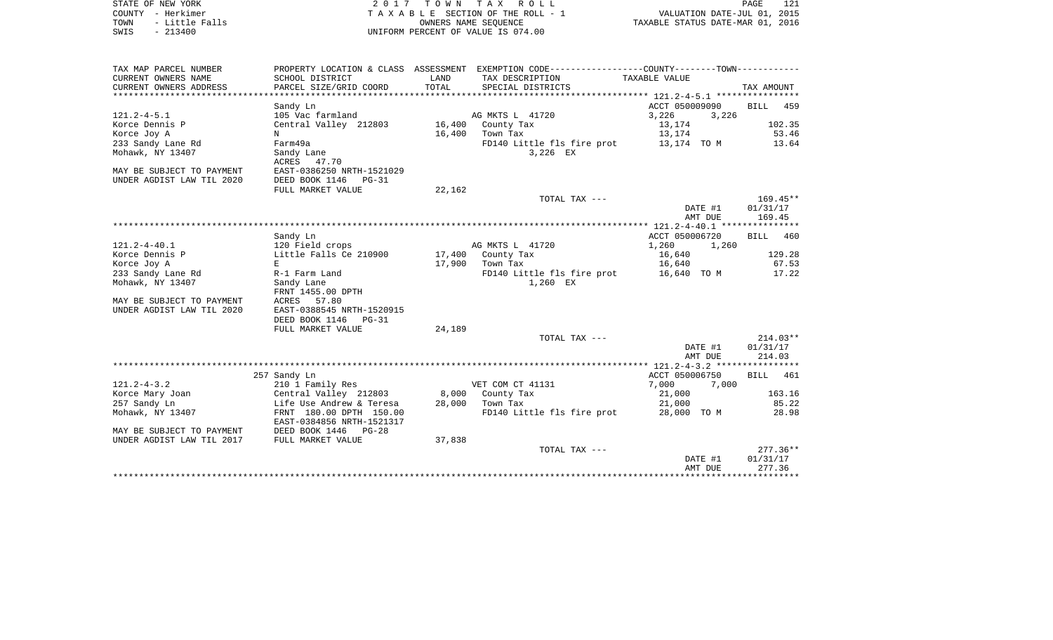| STATE OF NEW YORK |  |           |                |  |
|-------------------|--|-----------|----------------|--|
| COUNTY - Herkimer |  |           |                |  |
| TOWN              |  |           | - Little Falls |  |
| SWIS              |  | $-213400$ |                |  |

2017 TOWN TAX ROLL TA X A B L E SECTION OF THE ROLL - 1 TOWN - Little Falls OWNERS NAME SEQUENCE TAXABLE STATUS DATE-MAR 01, 2016 SWIS - 213400 UNIFORM PERCENT OF VALUE IS 074.00

| TAX MAP PARCEL NUMBER     | PROPERTY LOCATION & CLASS                | ASSESSMENT |                            |                |                    |
|---------------------------|------------------------------------------|------------|----------------------------|----------------|--------------------|
| CURRENT OWNERS NAME       | SCHOOL DISTRICT                          | LAND       | TAX DESCRIPTION            | TAXABLE VALUE  |                    |
| CURRENT OWNERS ADDRESS    | PARCEL SIZE/GRID COORD                   | TOTAL      | SPECIAL DISTRICTS          |                | TAX AMOUNT         |
|                           |                                          |            |                            |                |                    |
|                           | Sandy Ln                                 |            |                            | ACCT 050009090 | <b>BILL</b><br>459 |
| $121.2 - 4 - 5.1$         | 105 Vac farmland                         |            | AG MKTS L 41720            | 3,226<br>3,226 |                    |
| Korce Dennis P            | Central Valley 212803                    |            | 16,400 County Tax          | 13,174         | 102.35             |
| Korce Joy A               | N                                        | 16,400     | Town Tax                   | 13,174         | 53.46              |
| 233 Sandy Lane Rd         | Farm49a                                  |            | FD140 Little fls fire prot | 13,174 TO M    | 13.64              |
| Mohawk, NY 13407          | Sandy Lane                               |            | 3,226 EX                   |                |                    |
|                           | ACRES 47.70                              |            |                            |                |                    |
| MAY BE SUBJECT TO PAYMENT | EAST-0386250 NRTH-1521029                |            |                            |                |                    |
| UNDER AGDIST LAW TIL 2020 | DEED BOOK 1146<br>$PG-31$                |            |                            |                |                    |
|                           | FULL MARKET VALUE                        | 22,162     |                            |                |                    |
|                           |                                          |            |                            |                |                    |
|                           |                                          |            | TOTAL TAX ---              |                | $169.45**$         |
|                           |                                          |            |                            | DATE #1        | 01/31/17           |
|                           |                                          |            |                            | AMT DUE        | 169.45             |
|                           |                                          |            |                            |                |                    |
|                           | Sandy Ln                                 |            |                            | ACCT 050006720 | <b>BILL</b><br>460 |
| $121.2 - 4 - 40.1$        | 120 Field crops                          |            | AG MKTS L 41720            | 1,260<br>1,260 |                    |
| Korce Dennis P            | Little Falls Ce 210900 17,400 County Tax |            |                            | 16,640         | 129.28             |
| Korce Joy A               | E                                        | 17,900     | Town Tax                   | 16,640         | 67.53              |
| 233 Sandy Lane Rd         | R-1 Farm Land                            |            | FD140 Little fls fire prot | 16,640 TO M    | 17.22              |
| Mohawk, NY 13407          | Sandy Lane                               |            | 1,260 EX                   |                |                    |
|                           | FRNT 1455.00 DPTH                        |            |                            |                |                    |
| MAY BE SUBJECT TO PAYMENT | <b>ACRES</b><br>57.80                    |            |                            |                |                    |
| UNDER AGDIST LAW TIL 2020 | EAST-0388545 NRTH-1520915                |            |                            |                |                    |
|                           | DEED BOOK 1146<br>$PG-31$                |            |                            |                |                    |
|                           | FULL MARKET VALUE                        | 24,189     |                            |                |                    |
|                           |                                          |            | TOTAL TAX ---              |                | $214.03**$         |
|                           |                                          |            |                            | DATE #1        | 01/31/17           |
|                           |                                          |            |                            | AMT DUE        | 214.03             |
|                           |                                          |            |                            |                |                    |
|                           | 257 Sandy Ln                             |            |                            | ACCT 050006750 | 461<br><b>BILL</b> |
| $121.2 - 4 - 3.2$         | 210 1 Family Res                         |            | VET COM CT 41131           | 7,000<br>7,000 |                    |
| Korce Mary Joan           | Central Valley 212803                    |            | 8,000 County Tax           | 21,000         | 163.16             |
| 257 Sandy Ln              | Life Use Andrew & Teresa                 | 28,000     | Town Tax                   | 21,000         | 85.22              |
| Mohawk, NY 13407          | FRNT 180.00 DPTH 150.00                  |            | FD140 Little fls fire prot | 28,000 TO M    | 28.98              |
|                           | EAST-0384856 NRTH-1521317                |            |                            |                |                    |
| MAY BE SUBJECT TO PAYMENT | DEED BOOK 1446<br>$PG-28$                |            |                            |                |                    |
| UNDER AGDIST LAW TIL 2017 | FULL MARKET VALUE                        | 37,838     |                            |                |                    |
|                           |                                          |            | TOTAL TAX ---              |                | $277.36**$         |
|                           |                                          |            |                            | DATE #1        | 01/31/17           |
|                           |                                          |            |                            | AMT DUE        | 277.36             |
|                           |                                          |            |                            |                |                    |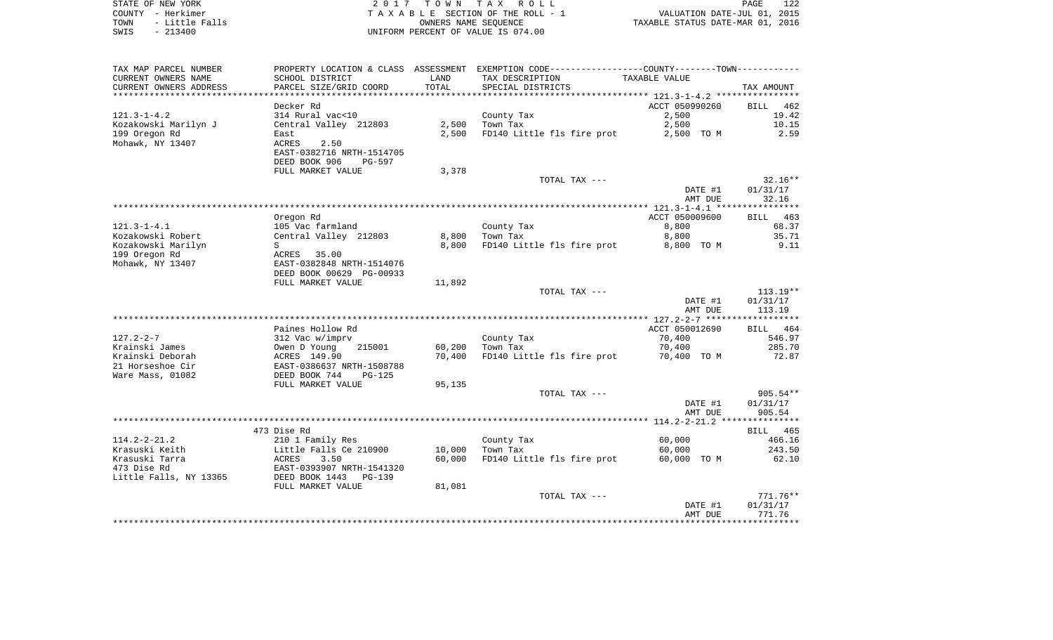| STATE OF NEW YORK |  |           |                |  |
|-------------------|--|-----------|----------------|--|
| COUNTY - Herkimer |  |           |                |  |
| TOWN              |  |           | - Little Falls |  |
| SWIS              |  | $-213400$ |                |  |

STATE OF NEW YORK 2 0 1 7 T O W N T A X R O L L PAGE 122TA X A B L E SECTION OF THE ROLL - 1 TOWN - Little Falls OWNERS NAME SEQUENCE TAXABLE STATUS DATE-MAR 01, 2016 UNIFORM PERCENT OF VALUE IS 074.00

| TAX MAP PARCEL NUMBER  | PROPERTY LOCATION & CLASS ASSESSMENT |        | EXEMPTION CODE-----------------COUNTY-------TOWN----------- |                                    |                    |
|------------------------|--------------------------------------|--------|-------------------------------------------------------------|------------------------------------|--------------------|
| CURRENT OWNERS NAME    | SCHOOL DISTRICT                      | LAND   | TAX DESCRIPTION                                             | TAXABLE VALUE                      |                    |
| CURRENT OWNERS ADDRESS | PARCEL SIZE/GRID COORD               | TOTAL  | SPECIAL DISTRICTS                                           |                                    | TAX AMOUNT         |
| ********************   |                                      |        |                                                             |                                    |                    |
|                        | Decker Rd                            |        |                                                             | ACCT 050990260                     | <b>BILL</b><br>462 |
| $121.3 - 1 - 4.2$      | 314 Rural vac<10                     |        | County Tax                                                  | 2,500                              | 19.42              |
| Kozakowski Marilyn J   | Central Valley 212803                | 2,500  | Town Tax                                                    | 2,500                              | 10.15              |
| 199 Oregon Rd          | East                                 | 2,500  | FD140 Little fls fire prot                                  | 2,500 TO M                         | 2.59               |
| Mohawk, NY 13407       | ACRES<br>2.50                        |        |                                                             |                                    |                    |
|                        | EAST-0382716 NRTH-1514705            |        |                                                             |                                    |                    |
|                        | DEED BOOK 906<br>PG-597              |        |                                                             |                                    |                    |
|                        | FULL MARKET VALUE                    | 3,378  |                                                             |                                    |                    |
|                        |                                      |        | TOTAL TAX ---                                               |                                    | $32.16**$          |
|                        |                                      |        |                                                             | DATE #1<br>AMT DUE                 | 01/31/17<br>32.16  |
|                        |                                      |        |                                                             |                                    |                    |
|                        | Oregon Rd                            |        |                                                             | ACCT 050009600                     | 463<br><b>BILL</b> |
| $121.3 - 1 - 4.1$      | 105 Vac farmland                     |        | County Tax                                                  | 8,800                              | 68.37              |
| Kozakowski Robert      | Central Valley 212803                | 8,800  | Town Tax                                                    | 8,800                              | 35.71              |
| Kozakowski Marilyn     | S                                    | 8,800  | FD140 Little fls fire prot                                  | 8,800 TO M                         | 9.11               |
| 199 Oregon Rd          | ACRES 35.00                          |        |                                                             |                                    |                    |
| Mohawk, NY 13407       | EAST-0382848 NRTH-1514076            |        |                                                             |                                    |                    |
|                        | DEED BOOK 00629 PG-00933             |        |                                                             |                                    |                    |
|                        | FULL MARKET VALUE                    | 11,892 |                                                             |                                    |                    |
|                        |                                      |        | TOTAL TAX ---                                               |                                    | $113.19**$         |
|                        |                                      |        |                                                             | DATE #1                            | 01/31/17           |
|                        |                                      |        |                                                             | AMT DUE                            | 113.19             |
|                        |                                      |        |                                                             |                                    |                    |
|                        | Paines Hollow Rd                     |        |                                                             | ACCT 050012690                     | BILL<br>464        |
| $127.2 - 2 - 7$        | 312 Vac w/imprv                      |        | County Tax                                                  | 70,400                             | 546.97             |
| Krainski James         | Owen D Young<br>215001               | 60,200 | Town Tax                                                    | 70,400                             | 285.70             |
| Krainski Deborah       | ACRES 149.90                         | 70,400 | FD140 Little fls fire prot                                  | 70,400 TO M                        | 72.87              |
| 21 Horseshoe Cir       | EAST-0386637 NRTH-1508788            |        |                                                             |                                    |                    |
| Ware Mass, 01082       | DEED BOOK 744<br>$PG-125$            |        |                                                             |                                    |                    |
|                        | FULL MARKET VALUE                    | 95,135 |                                                             |                                    |                    |
|                        |                                      |        | TOTAL TAX ---                                               |                                    | $905.54**$         |
|                        |                                      |        |                                                             | DATE #1                            | 01/31/17           |
|                        |                                      |        |                                                             | AMT DUE                            | 905.54             |
|                        | 473 Dise Rd                          |        |                                                             |                                    | BILL 465           |
| $114.2 - 2 - 21.2$     | 210 1 Family Res                     |        | County Tax                                                  | 60,000                             | 466.16             |
| Krasuski Keith         | Little Falls Ce 210900               | 10,000 | Town Tax                                                    | 60,000                             | 243.50             |
| Krasuski Tarra         | ACRES<br>3.50                        | 60,000 | FD140 Little fls fire prot                                  | 60,000 TO M                        | 62.10              |
| 473 Dise Rd            | EAST-0393907 NRTH-1541320            |        |                                                             |                                    |                    |
| Little Falls, NY 13365 | DEED BOOK 1443 PG-139                |        |                                                             |                                    |                    |
|                        | FULL MARKET VALUE                    | 81,081 |                                                             |                                    |                    |
|                        |                                      |        | TOTAL TAX ---                                               |                                    | $771.76**$         |
|                        |                                      |        |                                                             | DATE #1                            | 01/31/17           |
|                        |                                      |        |                                                             | AMT DUE                            | 771.76             |
|                        |                                      |        |                                                             | ********************************** |                    |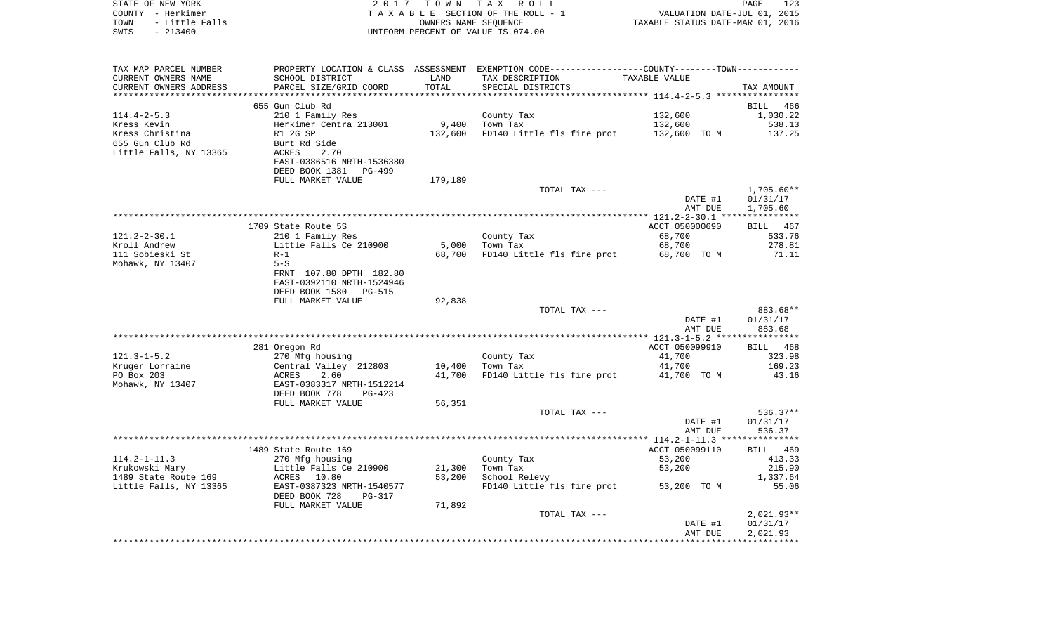| STATE OF NEW YORK<br>COUNTY - Herkimer<br>TOWN<br>- Little Falls          |                                                                                                                         |                    | 2017 TOWN TAX ROLL<br>TAXABLE SECTION OF THE ROLL - 1<br>OWNERS NAME SEQUENCE                                                        | VALUATION DATE-JUL 01, 2015<br>TAXABLE STATUS DATE-MAR 01, 2016 | PAGE<br>123                           |
|---------------------------------------------------------------------------|-------------------------------------------------------------------------------------------------------------------------|--------------------|--------------------------------------------------------------------------------------------------------------------------------------|-----------------------------------------------------------------|---------------------------------------|
| SWIS<br>$-213400$                                                         |                                                                                                                         |                    | UNIFORM PERCENT OF VALUE IS 074.00                                                                                                   |                                                                 |                                       |
| TAX MAP PARCEL NUMBER<br>CURRENT OWNERS NAME<br>CURRENT OWNERS ADDRESS    | SCHOOL DISTRICT<br>PARCEL SIZE/GRID COORD                                                                               | LAND<br>TOTAL      | PROPERTY LOCATION & CLASS ASSESSMENT EXEMPTION CODE---------------COUNTY-------TOWN---------<br>TAX DESCRIPTION<br>SPECIAL DISTRICTS | TAXABLE VALUE                                                   | TAX AMOUNT                            |
|                                                                           |                                                                                                                         |                    |                                                                                                                                      |                                                                 |                                       |
|                                                                           | 655 Gun Club Rd                                                                                                         |                    |                                                                                                                                      |                                                                 | BILL 466                              |
| $114.4 - 2 - 5.3$<br>Kress Kevin                                          | 210 1 Family Res<br>Herkimer Centra 213001                                                                              | 9,400              | County Tax<br>Town Tax                                                                                                               | 132,600<br>132,600                                              | 1,030.22<br>538.13                    |
| Kress Christina<br>655 Gun Club Rd<br>Little Falls, NY 13365              | R1 2G SP<br>Burt Rd Side<br>ACRES<br>2.70<br>EAST-0386516 NRTH-1536380<br>DEED BOOK 1381<br>PG-499<br>FULL MARKET VALUE | 132,600<br>179,189 | FD140 Little fls fire prot                                                                                                           | 132,600 TO M                                                    | 137.25                                |
|                                                                           |                                                                                                                         |                    | TOTAL TAX ---                                                                                                                        |                                                                 | $1,705.60**$                          |
|                                                                           |                                                                                                                         |                    |                                                                                                                                      | DATE #1<br>AMT DUE                                              | 01/31/17<br>1,705.60                  |
|                                                                           |                                                                                                                         |                    |                                                                                                                                      |                                                                 |                                       |
| $121.2 - 2 - 30.1$<br>Kroll Andrew<br>111 Sobieski St<br>Mohawk, NY 13407 | 1709 State Route 5S<br>210 1 Family Res<br>Little Falls Ce 210900<br>$R-1$<br>$5-S$<br>FRNT 107.80 DPTH 182.80          | 5,000<br>68,700    | County Tax<br>Town Tax<br>FD140 Little fls fire prot                                                                                 | ACCT 050000690<br>68,700<br>68,700<br>68,700 TO M               | BILL 467<br>533.76<br>278.81<br>71.11 |
|                                                                           | EAST-0392110 NRTH-1524946<br>DEED BOOK 1580<br>PG-515<br>FULL MARKET VALUE                                              | 92,838             |                                                                                                                                      |                                                                 |                                       |
|                                                                           |                                                                                                                         |                    | TOTAL TAX ---                                                                                                                        | DATE #1                                                         | 883.68**<br>01/31/17                  |
|                                                                           |                                                                                                                         |                    |                                                                                                                                      | AMT DUE                                                         | 883.68                                |
|                                                                           | 281 Oregon Rd                                                                                                           |                    |                                                                                                                                      | ACCT 050099910                                                  | BILL 468                              |
| $121.3 - 1 - 5.2$                                                         | 270 Mfg housing                                                                                                         |                    | County Tax                                                                                                                           | 41,700                                                          | 323.98                                |
| Kruger Lorraine                                                           | Central Valley 212803                                                                                                   | 10,400             | Town Tax                                                                                                                             | 41,700                                                          | 169.23                                |
| PO Box 203<br>Mohawk, NY 13407                                            | ACRES<br>2.60<br>EAST-0383317 NRTH-1512214                                                                              | 41,700             | FD140 Little fls fire prot                                                                                                           | 41,700 TO M                                                     | 43.16                                 |
|                                                                           | DEED BOOK 778<br>PG-423<br>FULL MARKET VALUE                                                                            | 56,351             |                                                                                                                                      |                                                                 |                                       |
|                                                                           |                                                                                                                         |                    | TOTAL TAX ---                                                                                                                        | DATE #1<br>AMT DUE                                              | 536.37**<br>01/31/17<br>536.37        |
|                                                                           |                                                                                                                         |                    |                                                                                                                                      |                                                                 |                                       |
|                                                                           | 1489 State Route 169                                                                                                    |                    |                                                                                                                                      | ACCT 050099110                                                  | BILL 469                              |

|                        | 1489 State Route 169     |
|------------------------|--------------------------|
| $114.2 - 1 - 11.3$     | 270 Mfg housing          |
| Krukowski Mary         | Little Falls Ce 210900   |
| 1489 State Route 169   | ACRES 10.80              |
| Little Falls, NY 13365 | EAST-0387323 NRTH-154057 |
|                        | DEED BOOK 728 PG-317     |

|                        | PULL MARREI VALUE         | <b>PO, POL</b> |                            |                |              |
|------------------------|---------------------------|----------------|----------------------------|----------------|--------------|
|                        |                           |                | TOTAL TAX ---              |                | $536.37**$   |
|                        |                           |                |                            | DATE #1        | 01/31/17     |
|                        |                           |                |                            | AMT DUE        | 536.37       |
|                        |                           |                |                            |                |              |
|                        | 1489 State Route 169      |                |                            | ACCT 050099110 | BILL 469     |
| 114.2-1-11.3           | 270 Mfg housing           |                | County Tax                 | 53,200         | 413.33       |
| Krukowski Mary         | Little Falls Ce 210900    | 21,300         | Town Tax                   | 53,200         | 215.90       |
| 1489 State Route 169   | ACRES 10.80               | 53,200         | School Relevy              |                | 1,337.64     |
| Little Falls, NY 13365 | EAST-0387323 NRTH-1540577 |                | FD140 Little fls fire prot | 53,200<br>TO M | 55.06        |
|                        | DEED BOOK 728<br>PG-317   |                |                            |                |              |
|                        | FULL MARKET VALUE         | 71,892         |                            |                |              |
|                        |                           |                | TOTAL TAX ---              |                | $2,021.93**$ |
|                        |                           |                |                            | DATE #1        | 01/31/17     |
|                        |                           |                |                            | AMT DUE        | 2,021.93     |
|                        |                           |                |                            |                |              |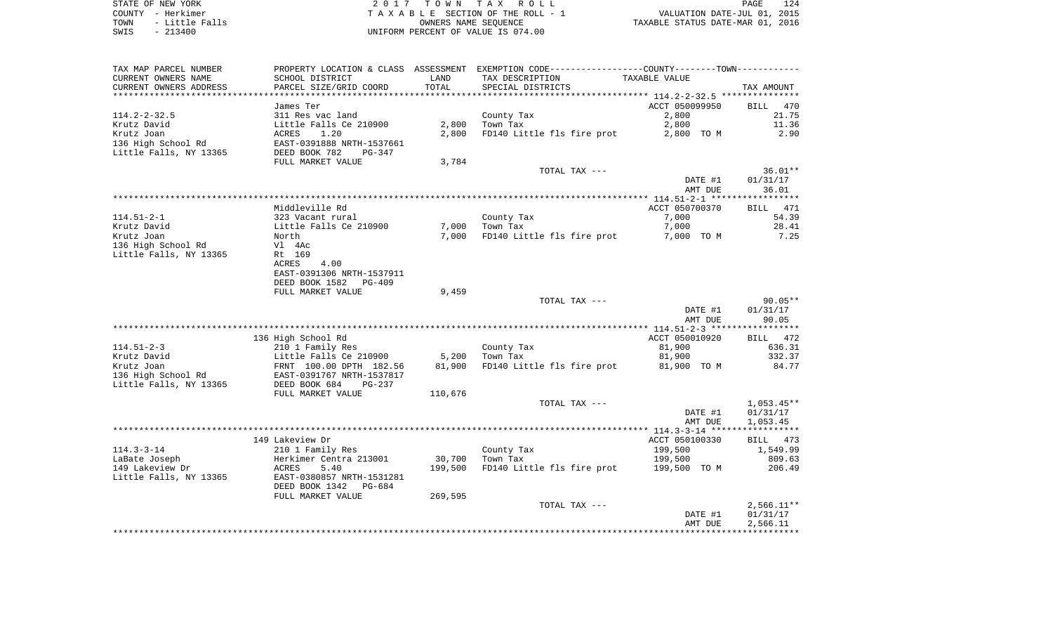STATE OF NEW YORK **EXECUTE:**  $2017$  TOWN TAX ROLL COUNTY - Herkimer<br>
T A X A B L E SECTION OF THE ROLL - 1<br>
TOWN - Little Falls<br>
SWIS - 213400 - 2013400 - UNIFORM PERCENT OF VALUE IS 074.00 TOWN - Little Falls OWNERS NAME SEQUENCE TAXABLE STATUS DATE-MAR 01, 2016 SWIS - 213400 UNIFORM PERCENT OF VALUE IS 074.00

| TAX MAP PARCEL NUMBER  |                           |         | PROPERTY LOCATION & CLASS ASSESSMENT EXEMPTION CODE---------------COUNTY-------TOWN---------- |                                                           |                                   |
|------------------------|---------------------------|---------|-----------------------------------------------------------------------------------------------|-----------------------------------------------------------|-----------------------------------|
| CURRENT OWNERS NAME    | SCHOOL DISTRICT           | LAND    | TAX DESCRIPTION                                                                               | TAXABLE VALUE                                             |                                   |
| CURRENT OWNERS ADDRESS | PARCEL SIZE/GRID COORD    | TOTAL   | SPECIAL DISTRICTS                                                                             |                                                           | TAX AMOUNT                        |
|                        |                           |         | *******************************                                                               | *************************** 114.2-2-32.5 **************** |                                   |
|                        | James Ter                 |         |                                                                                               | ACCT 050099950                                            | BILL<br>470                       |
| $114.2 - 2 - 32.5$     | 311 Res vac land          |         | County Tax                                                                                    | 2,800                                                     | 21.75                             |
| Krutz David            | Little Falls Ce 210900    | 2,800   | Town Tax                                                                                      | 2,800                                                     | 11.36                             |
| Krutz Joan             | 1.20<br>ACRES             | 2,800   | FD140 Little fls fire prot                                                                    | 2,800 TO M                                                | 2.90                              |
| 136 High School Rd     | EAST-0391888 NRTH-1537661 |         |                                                                                               |                                                           |                                   |
|                        |                           |         |                                                                                               |                                                           |                                   |
| Little Falls, NY 13365 | DEED BOOK 782<br>PG-347   |         |                                                                                               |                                                           |                                   |
|                        | FULL MARKET VALUE         | 3,784   |                                                                                               |                                                           |                                   |
|                        |                           |         | TOTAL TAX ---                                                                                 |                                                           | $36.01**$                         |
|                        |                           |         |                                                                                               | DATE #1                                                   | 01/31/17                          |
|                        |                           |         |                                                                                               | AMT DUE                                                   | 36.01                             |
|                        |                           |         |                                                                                               |                                                           |                                   |
|                        | Middleville Rd            |         |                                                                                               | ACCT 050700370                                            | <b>BILL</b><br>471                |
| $114.51 - 2 - 1$       | 323 Vacant rural          |         | County Tax                                                                                    | 7,000                                                     | 54.39                             |
| Krutz David            | Little Falls Ce 210900    | 7,000   | Town Tax                                                                                      | 7,000                                                     | 28.41                             |
| Krutz Joan             | North                     | 7,000   | FD140 Little fls fire prot                                                                    | 7,000 TO M                                                | 7.25                              |
| 136 High School Rd     | Vl 4Ac                    |         |                                                                                               |                                                           |                                   |
| Little Falls, NY 13365 | Rt 169                    |         |                                                                                               |                                                           |                                   |
|                        | <b>ACRES</b><br>4.00      |         |                                                                                               |                                                           |                                   |
|                        | EAST-0391306 NRTH-1537911 |         |                                                                                               |                                                           |                                   |
|                        |                           |         |                                                                                               |                                                           |                                   |
|                        | DEED BOOK 1582 PG-409     |         |                                                                                               |                                                           |                                   |
|                        | FULL MARKET VALUE         | 9,459   |                                                                                               |                                                           |                                   |
|                        |                           |         | TOTAL TAX ---                                                                                 |                                                           | $90.05**$                         |
|                        |                           |         |                                                                                               | DATE #1                                                   | 01/31/17                          |
|                        |                           |         |                                                                                               | AMT DUE                                                   | 90.05                             |
|                        |                           |         |                                                                                               |                                                           |                                   |
|                        | 136 High School Rd        |         |                                                                                               | ACCT 050010920                                            | 472<br>BILL                       |
| $114.51 - 2 - 3$       | 210 1 Family Res          |         | County Tax                                                                                    | 81,900                                                    | 636.31                            |
| Krutz David            | Little Falls Ce 210900    | 5,200   | Town Tax                                                                                      | 81,900                                                    | 332.37                            |
| Krutz Joan             | FRNT 100.00 DPTH 182.56   | 81,900  | FD140 Little fls fire prot                                                                    | 81,900 TO M                                               | 84.77                             |
| 136 High School Rd     | EAST-0391767 NRTH-1537817 |         |                                                                                               |                                                           |                                   |
| Little Falls, NY 13365 | DEED BOOK 684<br>PG-237   |         |                                                                                               |                                                           |                                   |
|                        | FULL MARKET VALUE         | 110,676 |                                                                                               |                                                           |                                   |
|                        |                           |         | TOTAL TAX ---                                                                                 |                                                           | $1,053.45**$                      |
|                        |                           |         |                                                                                               | DATE #1                                                   |                                   |
|                        |                           |         |                                                                                               |                                                           | 01/31/17                          |
|                        |                           |         |                                                                                               | AMT DUE                                                   | 1,053.45<br>* * * * * * * * * * * |
|                        |                           |         |                                                                                               |                                                           |                                   |
|                        | 149 Lakeview Dr           |         |                                                                                               | ACCT 050100330                                            | BILL 473                          |
| $114.3 - 3 - 14$       | 210 1 Family Res          |         | County Tax                                                                                    | 199,500                                                   | 1,549.99                          |
| LaBate Joseph          | Herkimer Centra 213001    | 30,700  | Town Tax                                                                                      | 199,500                                                   | 809.63                            |
| 149 Lakeview Dr        | ACRES<br>5.40             | 199,500 | FD140 Little fls fire prot                                                                    | 199,500 TO M                                              | 206.49                            |
| Little Falls, NY 13365 | EAST-0380857 NRTH-1531281 |         |                                                                                               |                                                           |                                   |
|                        | DEED BOOK 1342<br>PG-684  |         |                                                                                               |                                                           |                                   |
|                        | FULL MARKET VALUE         | 269,595 |                                                                                               |                                                           |                                   |
|                        |                           |         | TOTAL TAX ---                                                                                 |                                                           | $2,566.11**$                      |
|                        |                           |         |                                                                                               | DATE #1                                                   | 01/31/17                          |
|                        |                           |         |                                                                                               | AMT DUE                                                   | 2,566.11                          |
|                        |                           |         |                                                                                               |                                                           |                                   |
|                        |                           |         |                                                                                               |                                                           |                                   |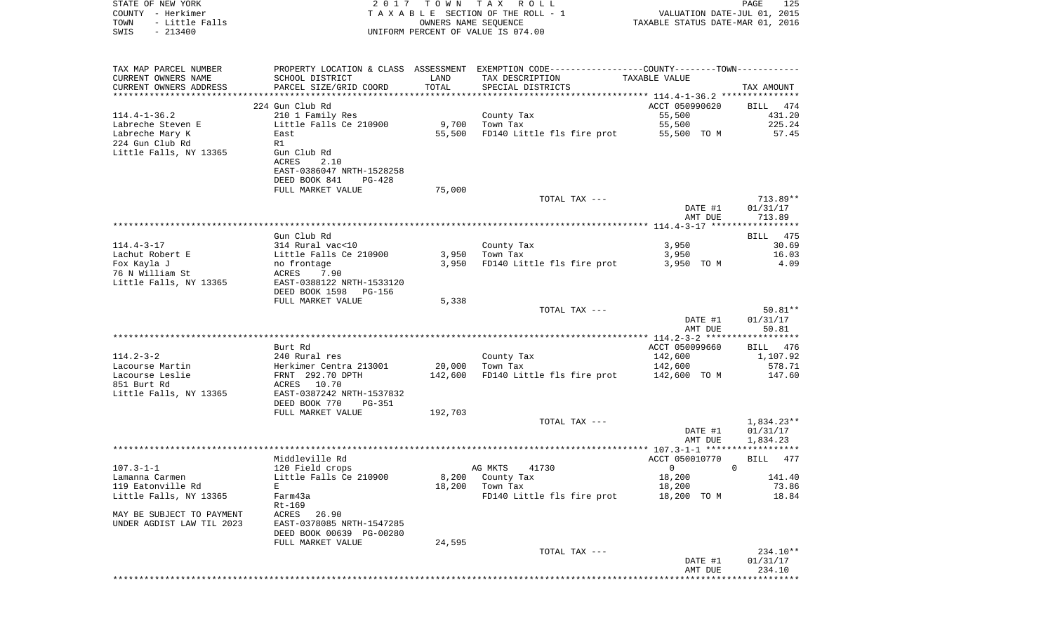| COUNTY<br>– Herkimer<br>TOWN<br>- Little Falls |                                               | OWNERS NAME SEQUENCE | TAXABLE SECTION OF THE ROLL - 1                                                               | VALUATION DATE-JUL 01, 2015<br>TAXABLE STATUS DATE-MAR 01, 2016 |                        |
|------------------------------------------------|-----------------------------------------------|----------------------|-----------------------------------------------------------------------------------------------|-----------------------------------------------------------------|------------------------|
| SWIS<br>$-213400$                              |                                               |                      | UNIFORM PERCENT OF VALUE IS 074.00                                                            |                                                                 |                        |
|                                                |                                               |                      |                                                                                               |                                                                 |                        |
| TAX MAP PARCEL NUMBER                          |                                               |                      | PROPERTY LOCATION & CLASS ASSESSMENT EXEMPTION CODE---------------COUNTY-------TOWN---------- |                                                                 |                        |
| CURRENT OWNERS NAME                            | SCHOOL DISTRICT                               | LAND                 | TAX DESCRIPTION                                                                               | TAXABLE VALUE                                                   |                        |
| CURRENT OWNERS ADDRESS                         | PARCEL SIZE/GRID COORD                        | TOTAL                | SPECIAL DISTRICTS                                                                             |                                                                 | TAX AMOUNT             |
|                                                |                                               |                      |                                                                                               |                                                                 |                        |
| 114.4-1-36.2                                   | 224 Gun Club Rd                               |                      |                                                                                               | ACCT 050990620<br>55,500                                        | BILL 474<br>431.20     |
| Labreche Steven E                              | 210 1 Family Res<br>Little Falls Ce 210900    | 9,700                | County Tax<br>Town Tax                                                                        | 55,500                                                          | 225.24                 |
| Labreche Mary K                                | East                                          | 55,500               | FD140 Little fls fire prot                                                                    | 55,500 TO M                                                     | 57.45                  |
| 224 Gun Club Rd                                | R1                                            |                      |                                                                                               |                                                                 |                        |
| Little Falls, NY 13365                         | Gun Club Rd                                   |                      |                                                                                               |                                                                 |                        |
|                                                | ACRES<br>2.10                                 |                      |                                                                                               |                                                                 |                        |
|                                                | EAST-0386047 NRTH-1528258                     |                      |                                                                                               |                                                                 |                        |
|                                                | DEED BOOK 841<br>PG-428                       |                      |                                                                                               |                                                                 |                        |
|                                                | FULL MARKET VALUE                             | 75,000               |                                                                                               |                                                                 |                        |
|                                                |                                               |                      | TOTAL TAX ---                                                                                 |                                                                 | 713.89**               |
|                                                |                                               |                      |                                                                                               | DATE #1                                                         | 01/31/17               |
|                                                |                                               |                      |                                                                                               | AMT DUE                                                         | 713.89                 |
|                                                | Gun Club Rd                                   |                      |                                                                                               |                                                                 | BILL 475               |
| 114.4-3-17                                     | 314 Rural vac<10                              |                      | County Tax                                                                                    | 3,950                                                           | 30.69                  |
| Lachut Robert E                                | Little Falls Ce 210900                        | 3,950                | Town Tax                                                                                      | 3,950                                                           | 16.03                  |
| Fox Kayla J                                    | no frontage                                   | 3,950                | FD140 Little fls fire prot                                                                    | 3,950 TO M                                                      | 4.09                   |
| 76 N William St                                | ACRES 7.90                                    |                      |                                                                                               |                                                                 |                        |
| Little Falls, NY 13365                         | EAST-0388122 NRTH-1533120                     |                      |                                                                                               |                                                                 |                        |
|                                                | DEED BOOK 1598<br>PG-156                      |                      |                                                                                               |                                                                 |                        |
|                                                | FULL MARKET VALUE                             | 5,338                |                                                                                               |                                                                 |                        |
|                                                |                                               |                      | TOTAL TAX ---                                                                                 |                                                                 | $50.81**$              |
|                                                |                                               |                      |                                                                                               | DATE #1<br>AMT DUE                                              | 01/31/17<br>50.81      |
|                                                |                                               |                      |                                                                                               |                                                                 |                        |
|                                                | Burt Rd                                       |                      |                                                                                               | ACCT 050099660                                                  | BILL 476               |
| 114.2-3-2                                      | 240 Rural res                                 |                      | County Tax                                                                                    | 142,600                                                         | 1,107.92               |
| Lacourse Martin                                | Herkimer Centra 213001                        | 20,000               | Town Tax                                                                                      | 142,600                                                         | 578.71                 |
| Lacourse Leslie                                | FRNT 292.70 DPTH                              | 142,600              | FD140 Little fls fire prot                                                                    | 142,600 TO M                                                    | 147.60                 |
| 851 Burt Rd                                    | ACRES 10.70                                   |                      |                                                                                               |                                                                 |                        |
| Little Falls, NY 13365                         | EAST-0387242 NRTH-1537832                     |                      |                                                                                               |                                                                 |                        |
|                                                | DEED BOOK 770<br>PG-351                       |                      |                                                                                               |                                                                 |                        |
|                                                | FULL MARKET VALUE                             | 192,703              | TOTAL TAX ---                                                                                 |                                                                 |                        |
|                                                |                                               |                      |                                                                                               | DATE #1                                                         | 1,834.23**<br>01/31/17 |
|                                                |                                               |                      |                                                                                               | AMT DUE                                                         | 1,834.23               |
|                                                |                                               |                      |                                                                                               |                                                                 |                        |
|                                                | Middleville Rd                                |                      |                                                                                               | ACCT 050010770                                                  | BILL<br>477            |
| 107.3-1-1                                      | 120 Field crops                               |                      | AG MKTS<br>41730                                                                              | 0                                                               | $\Omega$               |
| Lamanna Carmen                                 | Little Falls Ce 210900                        | 8,200                | County Tax                                                                                    | 18,200                                                          | 141.40                 |
| 119 Eatonville Rd                              | $\mathbf E$                                   | 18,200               | Town Tax                                                                                      | 18,200                                                          | 73.86                  |
| Little Falls, NY 13365                         | Farm43a                                       |                      | FD140 Little fls fire prot                                                                    | 18,200 TO M                                                     | 18.84                  |
|                                                | $Rt-169$                                      |                      |                                                                                               |                                                                 |                        |
| MAY BE SUBJECT TO PAYMENT                      | ACRES<br>26.90                                |                      |                                                                                               |                                                                 |                        |
| UNDER AGDIST LAW TIL 2023                      | EAST-0378085 NRTH-1547285                     |                      |                                                                                               |                                                                 |                        |
|                                                | DEED BOOK 00639 PG-00280<br>FULL MARKET VALUE | 24,595               |                                                                                               |                                                                 |                        |
|                                                |                                               |                      | TOTAL TAX ---                                                                                 |                                                                 | 234.10**               |
|                                                |                                               |                      |                                                                                               | DATE #1                                                         | 01/31/17               |
|                                                |                                               |                      |                                                                                               | AMT DUE                                                         | 234.10                 |
|                                                |                                               |                      |                                                                                               |                                                                 | *******                |

PAGE 125

STATE OF NEW YORK **EXECUTE:**  $2017$  TOWN TAX ROLL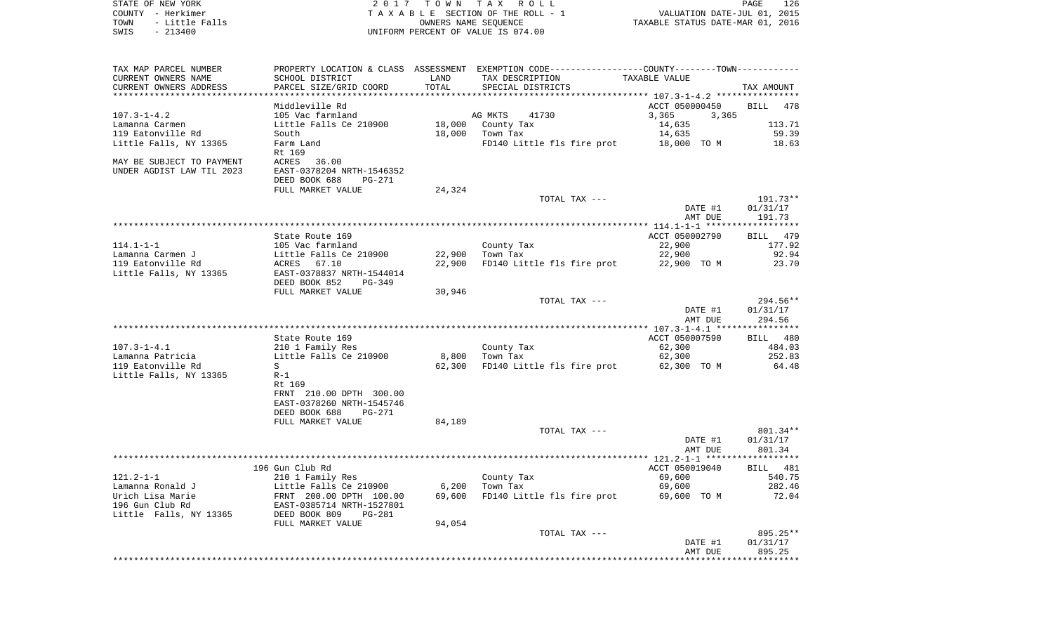| STATE OF NEW YORK<br>- Herkimer<br>COUNTY<br>- Little Falls<br>TOWN<br>$-213400$<br>SWIS | 2 0 1 7                                                                                 | TOWN<br>OWNERS NAME SEOUENCE | T A X<br>R O L L<br>TAXABLE SECTION OF THE ROLL - 1<br>UNIFORM PERCENT OF VALUE IS 074.00           | VALUATION DATE-JUL 01, 2015<br>TAXABLE STATUS DATE-MAR 01, 2016 | PAGE<br>126 |
|------------------------------------------------------------------------------------------|-----------------------------------------------------------------------------------------|------------------------------|-----------------------------------------------------------------------------------------------------|-----------------------------------------------------------------|-------------|
| TAX MAP PARCEL NUMBER<br>CURRENT OWNERS NAME<br>CURRENT OWNERS ADDRESS                   | PROPERTY LOCATION & CLASS ASSESSMENT<br>SCHOOL DISTRICT<br>PARCEL SIZE/GRID COORD       | LAND<br>TOTAL                | EXEMPTION CODE-----------------COUNTY-------TOWN-----------<br>TAX DESCRIPTION<br>SPECIAL DISTRICTS | TAXABLE VALUE                                                   | TAX AMOUNT  |
|                                                                                          | Middleville Rd                                                                          |                              |                                                                                                     | ACCT 050000450                                                  | BILL 478    |
| $107.3 - 1 - 4.2$                                                                        | 105 Vac farmland                                                                        |                              | AG MKTS<br>41730                                                                                    | 3,365<br>3,365                                                  |             |
| Lamanna Carmen                                                                           | Little Falls Ce 210900                                                                  |                              | 18,000 County Tax                                                                                   | 14,635                                                          | 113.71      |
| 119 Eatonville Rd                                                                        | South                                                                                   | 18,000                       | Town Tax                                                                                            | 14,635                                                          | 59.39       |
| Little Falls, NY 13365                                                                   | Farm Land                                                                               |                              | FD140 Little fls fire prot                                                                          | 18,000 TO M                                                     | 18.63       |
| MAY BE SUBJECT TO PAYMENT<br>UNDER AGDIST LAW TIL 2023                                   | Rt 169<br>ACRES<br>36.00<br>EAST-0378204 NRTH-1546352<br>DEED BOOK 688<br><b>PG-271</b> |                              |                                                                                                     |                                                                 |             |
|                                                                                          | FULL MARKET VALUE                                                                       | 24,324                       |                                                                                                     |                                                                 |             |
|                                                                                          |                                                                                         |                              | TOTAL TAX ---                                                                                       |                                                                 | 191.73**    |
|                                                                                          |                                                                                         |                              |                                                                                                     | DATE #1                                                         | 01/31/17    |
|                                                                                          |                                                                                         |                              |                                                                                                     | AMT DUE                                                         | 191.73      |
|                                                                                          | State Route 169                                                                         |                              |                                                                                                     | ACCT 050002790                                                  | BILL 479    |
| $114.1 - 1 - 1$                                                                          | 105 Vac farmland                                                                        |                              | County Tax                                                                                          | 22,900                                                          | 177.92      |
| Lamanna Carmen J                                                                         | Little Falls Ce 210900                                                                  | 22,900                       | Town Tax                                                                                            | 22,900                                                          | 92.94       |
| 119 Eatonville Rd                                                                        | 67.10<br>ACRES                                                                          | 22,900                       | FD140 Little fls fire prot                                                                          | 22,900 TO M                                                     | 23.70       |
| Little Falls, NY 13365                                                                   | EAST-0378837 NRTH-1544014<br>DEED BOOK 852<br>$PG-349$                                  |                              |                                                                                                     |                                                                 |             |
|                                                                                          | FULL MARKET VALUE                                                                       | 30,946                       |                                                                                                     |                                                                 |             |
|                                                                                          |                                                                                         |                              | TOTAL TAX ---                                                                                       |                                                                 | $294.56**$  |
|                                                                                          |                                                                                         |                              |                                                                                                     | DATE #1                                                         | 01/31/17    |
|                                                                                          |                                                                                         |                              |                                                                                                     | AMT DUE                                                         | 294.56      |

|                        |                            |        |                            |                | **************** |
|------------------------|----------------------------|--------|----------------------------|----------------|------------------|
|                        | State Route 169            |        |                            | ACCT 050007590 | 480<br>BILL      |
| $107.3 - 1 - 4.1$      | 210 1 Family Res           |        | County Tax                 | 62,300         | 484.03           |
| Lamanna Patricia       | Little Falls Ce 210900     | 8,800  | Town Tax                   | 62,300         | 252.83           |
| 119 Eatonville Rd      | S                          | 62,300 | FD140 Little fls fire prot | 62,300 TO M    | 64.48            |
| Little Falls, NY 13365 | $R-1$                      |        |                            |                |                  |
|                        | Rt 169                     |        |                            |                |                  |
|                        | 210.00 DPTH 300.00<br>FRNT |        |                            |                |                  |
|                        | EAST-0378260 NRTH-1545746  |        |                            |                |                  |
|                        | DEED BOOK 688<br>PG-271    |        |                            |                |                  |
|                        | FULL MARKET VALUE          | 84,189 |                            |                |                  |
|                        |                            |        | TOTAL TAX ---              |                | 801.34**         |
|                        |                            |        |                            | DATE #1        | 01/31/17         |
|                        |                            |        |                            | AMT DUE        | 801.34           |

|                        |                           |        |                            |                | ****************** |
|------------------------|---------------------------|--------|----------------------------|----------------|--------------------|
|                        | 196 Gun Club Rd           |        |                            | ACCT 050019040 | 481<br>BILL        |
| $121.2 - 1 - 1$        | 210 1 Family Res          |        | County Tax                 | 69,600         | 540.75             |
| Lamanna Ronald J       | Little Falls Ce 210900    | 6,200  | Town Tax                   | 69,600         | 282.46             |
| Urich Lisa Marie       | FRNT 200.00 DPTH 100.00   | 69,600 | FD140 Little fls fire prot | 69,600<br>TO M | 72.04              |
| 196 Gun Club Rd        | EAST-0385714 NRTH-1527801 |        |                            |                |                    |
| Little Falls, NY 13365 | DEED BOOK 809<br>PG-281   |        |                            |                |                    |
|                        | FULL MARKET VALUE         | 94,054 |                            |                |                    |
|                        |                           |        | TOTAL TAX ---              |                | $895.25**$         |
|                        |                           |        |                            | DATE #1        | 01/31/17           |
|                        |                           |        |                            | AMT DUE        | 895.25             |
|                        |                           |        |                            |                |                    |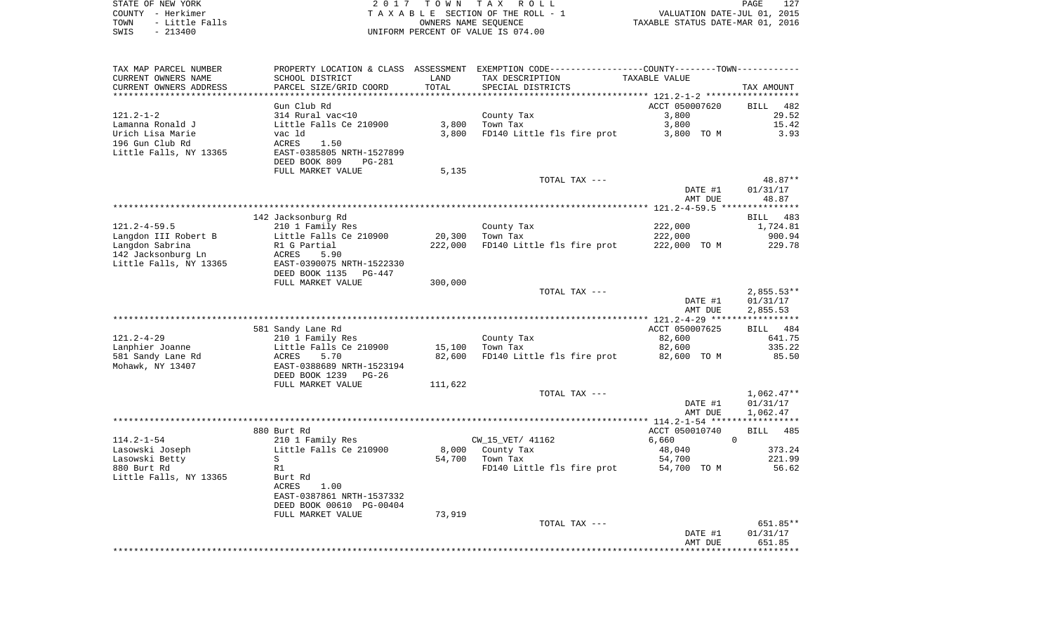| STATE OF NEW YORK      | 2017 TOWN TAX ROLL                 | 127<br>PAGE                      |  |
|------------------------|------------------------------------|----------------------------------|--|
| COUNTY - Herkimer      | TAXABLE SECTION OF THE ROLL - 1    | VALUATION DATE-JUL 01, 2015      |  |
| TOWN<br>- Little Falls | OWNERS NAME SEOUENCE               | TAXABLE STATUS DATE-MAR 01, 2016 |  |
| SWIS<br>$-213400$      | UNIFORM PERCENT OF VALUE IS 074.00 |                                  |  |

| TAX MAP PARCEL NUMBER  |                           |         | PROPERTY LOCATION & CLASS ASSESSMENT EXEMPTION CODE---------------COUNTY-------TOWN---------- |                |                    |
|------------------------|---------------------------|---------|-----------------------------------------------------------------------------------------------|----------------|--------------------|
| CURRENT OWNERS NAME    | SCHOOL DISTRICT           | LAND    | TAX DESCRIPTION                                                                               | TAXABLE VALUE  |                    |
| CURRENT OWNERS ADDRESS | PARCEL SIZE/GRID COORD    | TOTAL   | SPECIAL DISTRICTS                                                                             |                | TAX AMOUNT         |
|                        |                           |         |                                                                                               |                |                    |
|                        | Gun Club Rd               |         |                                                                                               | ACCT 050007620 | BILL 482           |
| $121.2 - 1 - 2$        | 314 Rural vac<10          |         | County Tax                                                                                    | 3,800          | 29.52              |
| Lamanna Ronald J       | Little Falls Ce 210900    | 3,800   | Town Tax                                                                                      | 3,800          | 15.42              |
| Urich Lisa Marie       | vac ld                    | 3,800   | FD140 Little fls fire prot                                                                    | 3,800 TO M     | 3.93               |
| 196 Gun Club Rd        | ACRES<br>1.50             |         |                                                                                               |                |                    |
| Little Falls, NY 13365 | EAST-0385805 NRTH-1527899 |         |                                                                                               |                |                    |
|                        | DEED BOOK 809<br>$PG-281$ |         |                                                                                               |                |                    |
|                        | FULL MARKET VALUE         | 5,135   |                                                                                               |                |                    |
|                        |                           |         | TOTAL TAX ---                                                                                 |                | 48.87**            |
|                        |                           |         |                                                                                               |                |                    |
|                        |                           |         |                                                                                               | DATE #1        | 01/31/17           |
|                        |                           |         |                                                                                               | AMT DUE        | 48.87              |
|                        |                           |         |                                                                                               |                |                    |
|                        | 142 Jacksonburg Rd        |         |                                                                                               |                | 483<br>BILL        |
| $121.2 - 4 - 59.5$     | 210 1 Family Res          |         | County Tax                                                                                    | 222,000        | 1,724.81           |
| Langdon III Robert B   | Little Falls Ce 210900    | 20,300  | Town Tax                                                                                      | 222,000        | 900.94             |
| Langdon Sabrina        | R1 G Partial              | 222,000 | FD140 Little fls fire prot                                                                    | 222,000 TO M   | 229.78             |
| 142 Jacksonburg Ln     | ACRES<br>5.90             |         |                                                                                               |                |                    |
| Little Falls, NY 13365 | EAST-0390075 NRTH-1522330 |         |                                                                                               |                |                    |
|                        | DEED BOOK 1135<br>PG-447  |         |                                                                                               |                |                    |
|                        | FULL MARKET VALUE         | 300,000 |                                                                                               |                |                    |
|                        |                           |         | TOTAL TAX ---                                                                                 |                | $2,855.53**$       |
|                        |                           |         |                                                                                               | DATE #1        | 01/31/17           |
|                        |                           |         |                                                                                               | AMT DUE        | 2,855.53           |
|                        |                           |         |                                                                                               |                |                    |
|                        | 581 Sandy Lane Rd         |         |                                                                                               | ACCT 050007625 | BILL 484           |
| $121.2 - 4 - 29$       | 210 1 Family Res          |         | County Tax                                                                                    | 82,600         | 641.75             |
| Lanphier Joanne        | Little Falls Ce 210900    | 15,100  | Town Tax                                                                                      | 82,600         | 335.22             |
| 581 Sandy Lane Rd      | ACRES<br>5.70             | 82,600  | FD140 Little fls fire prot                                                                    | 82,600 TO M    | 85.50              |
| Mohawk, NY 13407       | EAST-0388689 NRTH-1523194 |         |                                                                                               |                |                    |
|                        | DEED BOOK 1239<br>PG-26   |         |                                                                                               |                |                    |
|                        | FULL MARKET VALUE         | 111,622 |                                                                                               |                |                    |
|                        |                           |         | TOTAL TAX ---                                                                                 |                | $1,062.47**$       |
|                        |                           |         |                                                                                               | DATE #1        | 01/31/17           |
|                        |                           |         |                                                                                               | AMT DUE        | 1,062.47           |
|                        |                           |         |                                                                                               |                |                    |
|                        | 880 Burt Rd               |         |                                                                                               | ACCT 050010740 | 485<br><b>BILL</b> |
| $114.2 - 1 - 54$       | 210 1 Family Res          |         | CW_15_VET/ 41162                                                                              | 6,660          | $\Omega$           |
| Lasowski Joseph        | Little Falls Ce 210900    |         | 8,000 County Tax                                                                              | 48,040         | 373.24             |
| Lasowski Betty         | S                         | 54,700  | Town Tax                                                                                      | 54,700         | 221.99             |
| 880 Burt Rd            | R1                        |         | FD140 Little fls fire prot                                                                    | 54,700 TO M    | 56.62              |
| Little Falls, NY 13365 | Burt Rd                   |         |                                                                                               |                |                    |
|                        | 1.00<br>ACRES             |         |                                                                                               |                |                    |
|                        | EAST-0387861 NRTH-1537332 |         |                                                                                               |                |                    |
|                        | DEED BOOK 00610 PG-00404  |         |                                                                                               |                |                    |
|                        | FULL MARKET VALUE         | 73,919  |                                                                                               |                |                    |
|                        |                           |         | TOTAL TAX ---                                                                                 |                | 651.85**           |
|                        |                           |         |                                                                                               | DATE #1        | 01/31/17           |
|                        |                           |         |                                                                                               | AMT DUE        | 651.85             |
|                        |                           |         |                                                                                               |                |                    |
|                        |                           |         |                                                                                               |                |                    |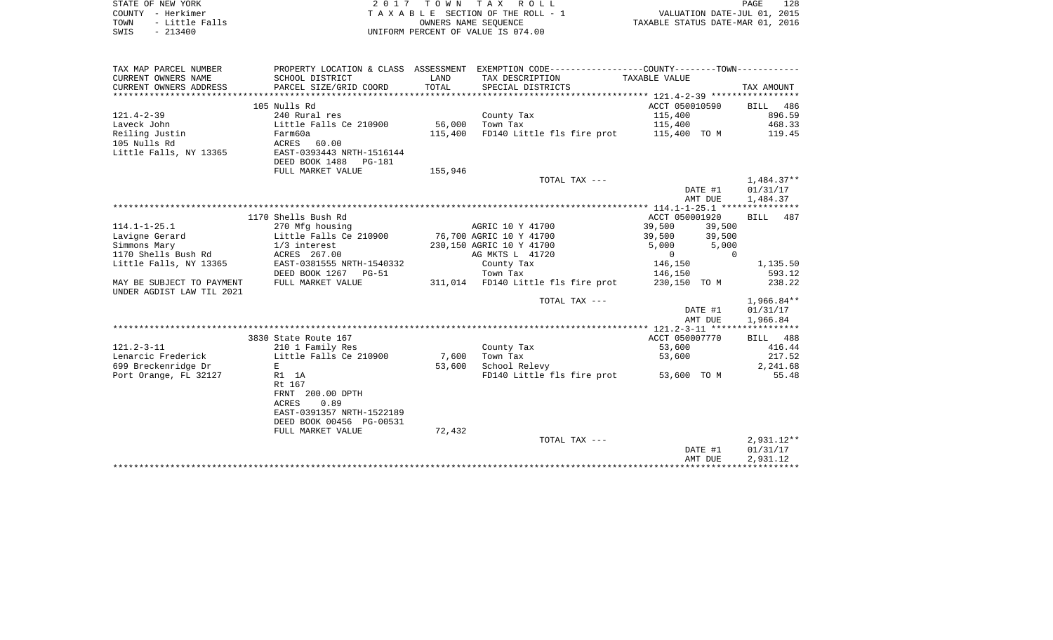| STATE OF NEW YORK      |                                      |                | 2017 TOWN TAX ROLL                 |                                                             | PAGE                        | 128 |
|------------------------|--------------------------------------|----------------|------------------------------------|-------------------------------------------------------------|-----------------------------|-----|
| - Herkimer<br>COUNTY   |                                      |                | TAXABLE SECTION OF THE ROLL - 1    |                                                             | VALUATION DATE-JUL 01, 2015 |     |
| - Little Falls<br>TOWN |                                      |                | OWNERS NAME SEOUENCE               | TAXABLE STATUS DATE-MAR 01, 2016                            |                             |     |
| $-213400$<br>SWIS      |                                      |                | UNIFORM PERCENT OF VALUE IS 074.00 |                                                             |                             |     |
|                        |                                      |                |                                    |                                                             |                             |     |
|                        |                                      |                |                                    |                                                             |                             |     |
|                        |                                      |                |                                    |                                                             |                             |     |
| TAX MAP PARCEL NUMBER  | PROPERTY LOCATION & CLASS ASSESSMENT |                |                                    | EXEMPTION CODE-----------------COUNTY-------TOWN----------- |                             |     |
| CURRENT OWNERS NAME    | SCHOOL DISTRICT                      | $T.\Delta NID$ | TAY DESCRIPTION                    | TAYARLE VALUE                                               |                             |     |

| $\sim$                    |                                            |         |                                    |                  |              |
|---------------------------|--------------------------------------------|---------|------------------------------------|------------------|--------------|
| CURRENT OWNERS ADDRESS    | PARCEL SIZE/GRID COORD                     | TOTAL   | SPECIAL DISTRICTS                  |                  | TAX AMOUNT   |
|                           |                                            |         |                                    |                  |              |
|                           | 105 Nulls Rd                               |         |                                    | ACCT 050010590   | BILL 486     |
| $121.4 - 2 - 39$          | 240 Rural res                              |         | County Tax                         | 115,400          | 896.59       |
| Laveck John               | Little Falls Ce 210900                     | 56,000  | Town Tax                           | 115,400          | 468.33       |
| Reiling Justin            | Farm60a                                    | 115,400 | FD140 Little fls fire prot         | 115,400 TO M     | 119.45       |
| 105 Nulls Rd              | ACRES 60.00                                |         |                                    |                  |              |
| Little Falls, NY 13365    | EAST-0393443 NRTH-1516144                  |         |                                    |                  |              |
|                           | DEED BOOK 1488 PG-181                      |         |                                    |                  |              |
|                           | FULL MARKET VALUE                          | 155,946 |                                    |                  |              |
|                           |                                            |         | TOTAL TAX ---                      |                  | 1,484.37**   |
|                           |                                            |         |                                    | DATE #1          | 01/31/17     |
|                           |                                            |         |                                    | AMT DUE          | 1,484.37     |
|                           |                                            |         |                                    |                  |              |
|                           | 1170 Shells Bush Rd                        |         |                                    | ACCT 050001920   | 487<br>BILL  |
| $114.1 - 1 - 25.1$        | 270 Mfg housing                            |         | AGRIC 10 Y 41700                   | 39,500<br>39,500 |              |
| Lavigne Gerard            | Little Falls Ce 210900                     |         | 76,700 AGRIC 10 Y 41700            | 39,500<br>39,500 |              |
| Simmons Mary              | 1/3 interest                               |         | 230,150 AGRIC 10 Y 41700           | 5,000<br>5,000   |              |
| 1170 Shells Bush Rd       | ACRES 267.00                               |         | AG MKTS L 41720                    | $\Omega$<br>0    |              |
| Little Falls, NY 13365    | EAST-0381555 NRTH-1540332                  |         | County Tax                         | 146,150          | 1,135.50     |
|                           | DEED BOOK 1267 PG-51                       |         | Town Tax                           | 146,150          | 593.12       |
| MAY BE SUBJECT TO PAYMENT | FULL MARKET VALUE                          |         | 311,014 FD140 Little fls fire prot | 230,150 TO M     | 238.22       |
| UNDER AGDIST LAW TIL 2021 |                                            |         |                                    |                  |              |
|                           |                                            |         | TOTAL TAX ---                      |                  | $1,966.84**$ |
|                           |                                            |         |                                    | DATE #1          | 01/31/17     |
|                           |                                            |         |                                    | AMT DUE          | 1,966.84     |
|                           |                                            |         |                                    |                  |              |
|                           | 3830 State Route 167                       |         |                                    | ACCT 050007770   | BILL 488     |
| $121.2 - 3 - 11$          |                                            |         |                                    | 53,600           | 416.44       |
| Lenarcic Frederick        | 210 1 Family Res<br>Little Falls Ce 210900 | 7,600   | County Tax<br>Town Tax             | 53,600           | 217.52       |
|                           | E                                          |         |                                    |                  |              |
| 699 Breckenridge Dr       |                                            | 53,600  | School Relevy                      |                  | 2,241.68     |
| Port Orange, FL 32127     | R1 1A                                      |         | FD140 Little fls fire prot         | 53,600 TO M      | 55.48        |
|                           | Rt 167                                     |         |                                    |                  |              |
|                           | FRNT 200.00 DPTH                           |         |                                    |                  |              |
|                           | <b>ACRES</b><br>0.89                       |         |                                    |                  |              |
|                           | EAST-0391357 NRTH-1522189                  |         |                                    |                  |              |
|                           | DEED BOOK 00456 PG-00531                   |         |                                    |                  |              |
|                           | FULL MARKET VALUE                          | 72,432  |                                    |                  |              |
|                           |                                            |         | TOTAL TAX ---                      |                  | 2,931.12**   |
|                           |                                            |         |                                    | DATE #1          | 01/31/17     |
|                           |                                            |         |                                    | AMT DUE          | 2,931.12     |
|                           |                                            |         |                                    |                  |              |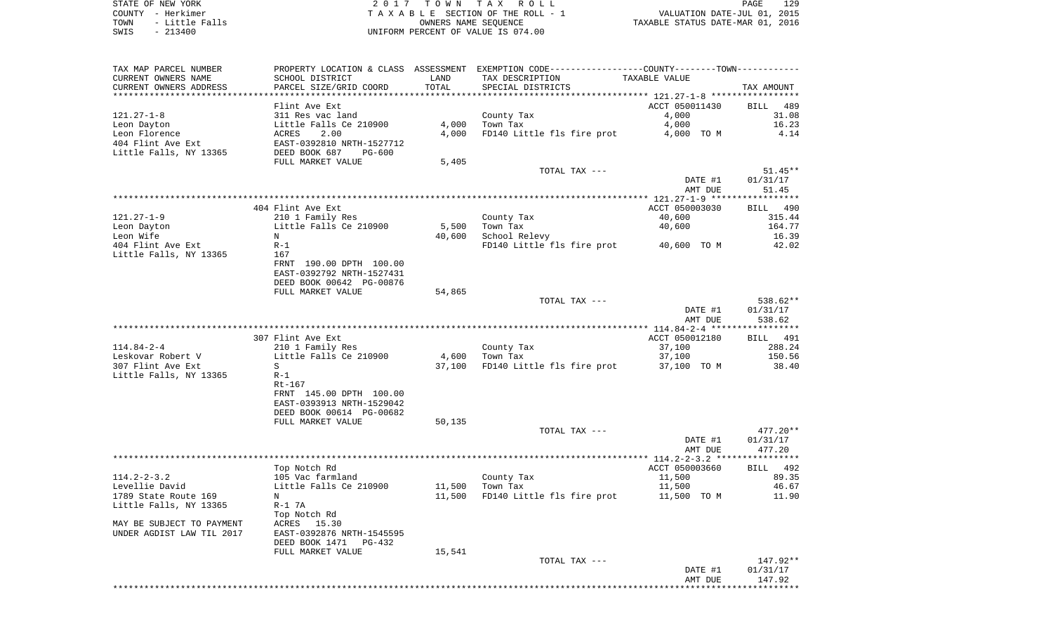STATE OF NEW YORK **EXECUTE:**  $2017$  TOWN TAX ROLL COUNTY - Herkimer<br>
T A X A B L E SECTION OF THE ROLL - 1<br>
TOWN - Little Falls<br>
SWIS - 213400 - 2013400 - UNIFORM PERCENT OF VALUE IS 074.00 TOWN - Little Falls OWNERS NAME SEQUENCE TAXABLE STATUS DATE-MAR 01, 2016 SWIS - 213400 UNIFORM PERCENT OF VALUE IS 074.00

| TAX MAP PARCEL NUMBER     | PROPERTY LOCATION & CLASS |        | - ASSESSMENT   EXEMPTION CODE-----------------COUNTY-------TOWN---------- |                |                         |
|---------------------------|---------------------------|--------|---------------------------------------------------------------------------|----------------|-------------------------|
| CURRENT OWNERS NAME       | SCHOOL DISTRICT           | LAND   | TAX DESCRIPTION                                                           | TAXABLE VALUE  |                         |
| CURRENT OWNERS ADDRESS    | PARCEL SIZE/GRID COORD    | TOTAL  | SPECIAL DISTRICTS                                                         |                | TAX AMOUNT              |
|                           |                           |        |                                                                           |                |                         |
|                           | Flint Ave Ext             |        |                                                                           | ACCT 050011430 | BILL<br>489             |
| $121.27 - 1 - 8$          | 311 Res vac land          |        | County Tax                                                                | 4,000          | 31.08                   |
| Leon Dayton               | Little Falls Ce 210900    | 4,000  | Town Tax                                                                  | 4,000          | 16.23                   |
| Leon Florence             | 2.00<br>ACRES             | 4,000  | FD140 Little fls fire prot                                                | 4,000 TO M     | 4.14                    |
| 404 Flint Ave Ext         | EAST-0392810 NRTH-1527712 |        |                                                                           |                |                         |
| Little Falls, NY 13365    | DEED BOOK 687<br>PG-600   |        |                                                                           |                |                         |
|                           | FULL MARKET VALUE         | 5,405  |                                                                           |                |                         |
|                           |                           |        | TOTAL TAX ---                                                             |                | $51.45**$               |
|                           |                           |        |                                                                           | DATE #1        | 01/31/17                |
|                           |                           |        |                                                                           | AMT DUE        | 51.45                   |
|                           |                           |        |                                                                           |                | * * * * * * * * * * * * |
|                           | 404 Flint Ave Ext         |        |                                                                           | ACCT 050003030 | BILL 490                |
| $121.27 - 1 - 9$          | 210 1 Family Res          |        | County Tax                                                                | 40,600         | 315.44                  |
| Leon Dayton               | Little Falls Ce 210900    | 5,500  | Town Tax                                                                  | 40,600         | 164.77                  |
| Leon Wife                 | N                         | 40,600 | School Relevy                                                             |                | 16.39                   |
| 404 Flint Ave Ext         | $R-1$                     |        | FD140 Little fls fire prot                                                | 40,600 TO M    | 42.02                   |
| Little Falls, NY 13365    | 167                       |        |                                                                           |                |                         |
|                           | FRNT 190.00 DPTH 100.00   |        |                                                                           |                |                         |
|                           | EAST-0392792 NRTH-1527431 |        |                                                                           |                |                         |
|                           | DEED BOOK 00642 PG-00876  |        |                                                                           |                |                         |
|                           | FULL MARKET VALUE         | 54,865 |                                                                           |                |                         |
|                           |                           |        | TOTAL TAX ---                                                             |                | 538.62**                |
|                           |                           |        |                                                                           | DATE #1        | 01/31/17                |
|                           |                           |        |                                                                           | AMT DUE        | 538.62                  |
|                           |                           |        |                                                                           |                |                         |
|                           | 307 Flint Ave Ext         |        |                                                                           | ACCT 050012180 | BILL 491                |
| $114.84 - 2 - 4$          | 210 1 Family Res          |        | County Tax                                                                | 37,100         | 288.24                  |
| Leskovar Robert V         | Little Falls Ce 210900    | 4,600  | Town Tax                                                                  | 37,100         | 150.56                  |
| 307 Flint Ave Ext         | S                         | 37,100 | FD140 Little fls fire prot                                                | 37,100 TO M    | 38.40                   |
| Little Falls, NY 13365    | $R-1$                     |        |                                                                           |                |                         |
|                           | $Rt-167$                  |        |                                                                           |                |                         |
|                           | FRNT 145.00 DPTH 100.00   |        |                                                                           |                |                         |
|                           | EAST-0393913 NRTH-1529042 |        |                                                                           |                |                         |
|                           | DEED BOOK 00614 PG-00682  |        |                                                                           |                |                         |
|                           | FULL MARKET VALUE         | 50,135 |                                                                           |                |                         |
|                           |                           |        | TOTAL TAX ---                                                             |                | 477.20**                |
|                           |                           |        |                                                                           | DATE #1        | 01/31/17                |
|                           |                           |        |                                                                           | AMT DUE        | 477.20                  |
|                           |                           |        |                                                                           |                |                         |
|                           | Top Notch Rd              |        |                                                                           | ACCT 050003660 | BILL 492                |
| $114.2 - 2 - 3.2$         | 105 Vac farmland          |        | County Tax                                                                | 11,500         | 89.35                   |
| Levellie David            | Little Falls Ce 210900    | 11,500 | Town Tax                                                                  | 11,500         | 46.67                   |
| 1789 State Route 169      | N                         | 11,500 | FD140 Little fls fire prot                                                | 11,500 TO M    | 11.90                   |
| Little Falls, NY 13365    | $R-1$ 7A                  |        |                                                                           |                |                         |
|                           | Top Notch Rd              |        |                                                                           |                |                         |
| MAY BE SUBJECT TO PAYMENT | ACRES 15.30               |        |                                                                           |                |                         |
| UNDER AGDIST LAW TIL 2017 | EAST-0392876 NRTH-1545595 |        |                                                                           |                |                         |
|                           | DEED BOOK 1471<br>PG-432  |        |                                                                           |                |                         |
|                           | FULL MARKET VALUE         | 15,541 |                                                                           |                |                         |
|                           |                           |        | TOTAL TAX ---                                                             |                | 147.92**                |
|                           |                           |        |                                                                           | DATE #1        | 01/31/17                |
|                           |                           |        |                                                                           | AMT DUE        | 147.92                  |
|                           |                           |        |                                                                           |                |                         |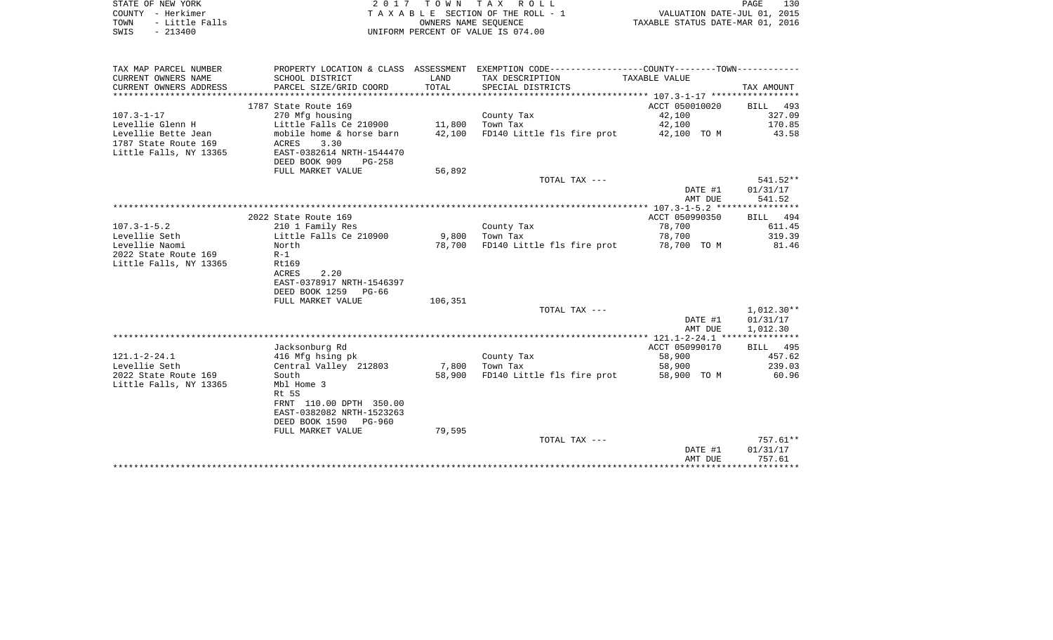|      | STATE OF NEW YORK | 2017 TOWN TAX ROLL                    | PAGE                             | 130 |
|------|-------------------|---------------------------------------|----------------------------------|-----|
|      | COUNTY - Herkimer | T A X A B L E SECTION OF THE ROLL - 1 | VALUATION DATE-JUL 01, 2015      |     |
| TOWN | - Little Falls    | OWNERS NAME SEOUENCE                  | TAXABLE STATUS DATE-MAR 01, 2016 |     |
| SWIS | $-213400$         | UNIFORM PERCENT OF VALUE IS 074.00    |                                  |     |

| TAX MAP PARCEL NUMBER  | PROPERTY LOCATION & CLASS ASSESSMENT |                |                                        |                |              |
|------------------------|--------------------------------------|----------------|----------------------------------------|----------------|--------------|
| CURRENT OWNERS NAME    | SCHOOL DISTRICT                      | LAND           | TAX DESCRIPTION                        | TAXABLE VALUE  |              |
| CURRENT OWNERS ADDRESS | PARCEL SIZE/GRID COORD               | TOTAL          | SPECIAL DISTRICTS                      |                | TAX AMOUNT   |
|                        |                                      |                |                                        |                |              |
|                        | 1787 State Route 169                 |                |                                        | ACCT 050010020 | BILL<br>493  |
| $107.3 - 1 - 17$       | 270 Mfg housing                      |                | County Tax                             | 42,100         | 327.09       |
| Levellie Glenn H       | Little Falls Ce 210900               |                | 11,800 Town Tax                        | 42,100         | 170.85       |
| Levellie Bette Jean    | mobile home & horse barn             | 42,100         | FD140 Little fls fire prot 42,100 TO M |                | 43.58        |
| 1787 State Route 169   | ACRES<br>3.30                        |                |                                        |                |              |
| Little Falls, NY 13365 | EAST-0382614 NRTH-1544470            |                |                                        |                |              |
|                        | DEED BOOK 909<br>PG-258              |                |                                        |                |              |
|                        | FULL MARKET VALUE                    | 56,892         |                                        |                |              |
|                        |                                      |                | TOTAL TAX ---                          |                | 541.52**     |
|                        |                                      |                |                                        | DATE #1        | 01/31/17     |
|                        |                                      |                |                                        | AMT DUE        | 541.52       |
|                        |                                      |                |                                        |                |              |
|                        | 2022 State Route 169                 |                |                                        | ACCT 050990350 | BILL 494     |
| $107.3 - 1 - 5.2$      | 210 1 Family Res                     |                | County Tax                             | 78,700         | 611.45       |
| Levellie Seth          | Little Falls Ce 210900               | 9,800 Town Tax |                                        | 78,700         | 319.39       |
| Levellie Naomi         | North                                | 78,700         | FD140 Little fls fire prot             |                |              |
|                        |                                      |                |                                        | 78,700 TO M    | 81.46        |
| 2022 State Route 169   | $R-1$                                |                |                                        |                |              |
| Little Falls, NY 13365 | Rt169                                |                |                                        |                |              |
|                        | 2.20<br>ACRES                        |                |                                        |                |              |
|                        | EAST-0378917 NRTH-1546397            |                |                                        |                |              |
|                        | DEED BOOK 1259<br>PG-66              |                |                                        |                |              |
|                        | FULL MARKET VALUE                    | 106,351        |                                        |                |              |
|                        |                                      |                | TOTAL TAX ---                          |                | $1,012.30**$ |
|                        |                                      |                |                                        | DATE #1        | 01/31/17     |
|                        |                                      |                |                                        | AMT DUE        | 1,012.30     |
|                        |                                      |                |                                        |                |              |
|                        | Jacksonburg Rd                       |                |                                        | ACCT 050990170 | BILL 495     |
| $121.1 - 2 - 24.1$     | 416 Mfg hsing pk                     |                | County Tax                             | 58,900         | 457.62       |
| Levellie Seth          | Central Valley 212803                |                | 7,800 Town Tax                         | 58,900         | 239.03       |
| 2022 State Route 169   | South                                | 58,900         | FD140 Little fls fire prot             | 58,900 TO M    | 60.96        |
| Little Falls, NY 13365 | Mbl Home 3                           |                |                                        |                |              |
|                        | Rt 5S                                |                |                                        |                |              |
|                        | FRNT 110.00 DPTH 350.00              |                |                                        |                |              |
|                        | EAST-0382082 NRTH-1523263            |                |                                        |                |              |
|                        | DEED BOOK 1590<br>PG-960             |                |                                        |                |              |
|                        | FULL MARKET VALUE                    | 79,595         |                                        |                |              |
|                        |                                      |                | TOTAL TAX ---                          |                | 757.61**     |
|                        |                                      |                |                                        | DATE #1        | 01/31/17     |
|                        |                                      |                |                                        | AMT DUE        | 757.61       |
|                        |                                      |                |                                        |                |              |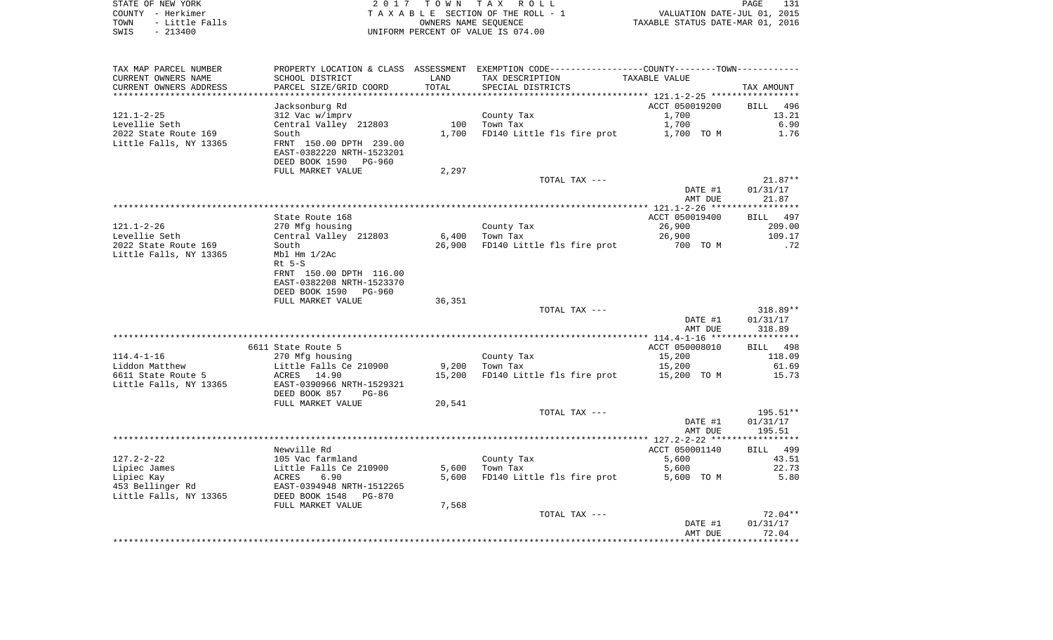| STATE OF NEW YORK      | 2017 TOWN TAX ROLL                 | 131<br>PAGE                      |
|------------------------|------------------------------------|----------------------------------|
| COUNTY - Herkimer      | TAXABLE SECTION OF THE ROLL - 1    | VALUATION DATE-JUL 01, 2015      |
| - Little Falls<br>TOWN | OWNERS NAME SEOUENCE               | TAXABLE STATUS DATE-MAR 01, 2016 |
| SWIS<br>$-213400$      | UNIFORM PERCENT OF VALUE IS 074.00 |                                  |

| TAX MAP PARCEL NUMBER    |                           |        | PROPERTY LOCATION & CLASS ASSESSMENT EXEMPTION CODE----------------COUNTY-------TOWN---------- |                |             |
|--------------------------|---------------------------|--------|------------------------------------------------------------------------------------------------|----------------|-------------|
| CURRENT OWNERS NAME      | SCHOOL DISTRICT           | LAND   | TAX DESCRIPTION                                                                                | TAXABLE VALUE  |             |
| CURRENT OWNERS ADDRESS   | PARCEL SIZE/GRID COORD    | TOTAL  | SPECIAL DISTRICTS                                                                              |                | TAX AMOUNT  |
| ************************ |                           |        |                                                                                                |                |             |
|                          | Jacksonburg Rd            |        |                                                                                                | ACCT 050019200 | BILL<br>496 |
| 121.1-2-25               | 312 Vac w/imprv           |        | County Tax                                                                                     | 1,700          | 13.21       |
| Levellie Seth            | Central Valley 212803     | 100    | Town Tax                                                                                       | 1,700          | 6.90        |
| 2022 State Route 169     | South                     | 1,700  | FD140 Little fls fire prot                                                                     | 1,700 TO M     | 1.76        |
| Little Falls, NY 13365   | FRNT 150.00 DPTH 239.00   |        |                                                                                                |                |             |
|                          | EAST-0382220 NRTH-1523201 |        |                                                                                                |                |             |
|                          | DEED BOOK 1590<br>PG-960  |        |                                                                                                |                |             |
|                          | FULL MARKET VALUE         | 2,297  |                                                                                                |                |             |
|                          |                           |        | TOTAL TAX ---                                                                                  |                | $21.87**$   |
|                          |                           |        |                                                                                                | DATE #1        | 01/31/17    |
|                          |                           |        |                                                                                                | AMT DUE        | 21.87       |
|                          |                           |        |                                                                                                |                |             |
|                          |                           |        |                                                                                                |                |             |
|                          | State Route 168           |        |                                                                                                | ACCT 050019400 | BILL 497    |
| $121.1 - 2 - 26$         | 270 Mfg housing           |        | County Tax                                                                                     | 26,900         | 209.00      |
| Levellie Seth            | Central Valley 212803     | 6,400  | Town Tax                                                                                       | 26,900         | 109.17      |
| 2022 State Route 169     | South                     | 26,900 | FD140 Little fls fire prot                                                                     | 700 TO M       | .72         |
| Little Falls, NY 13365   | Mbl Hm 1/2Ac              |        |                                                                                                |                |             |
|                          | $Rt$ 5-S                  |        |                                                                                                |                |             |
|                          | FRNT 150.00 DPTH 116.00   |        |                                                                                                |                |             |
|                          | EAST-0382208 NRTH-1523370 |        |                                                                                                |                |             |
|                          | DEED BOOK 1590<br>PG-960  |        |                                                                                                |                |             |
|                          | FULL MARKET VALUE         | 36,351 |                                                                                                |                |             |
|                          |                           |        | TOTAL TAX ---                                                                                  |                | $318.89**$  |
|                          |                           |        |                                                                                                | DATE #1        | 01/31/17    |
|                          |                           |        |                                                                                                | AMT DUE        | 318.89      |
|                          |                           |        |                                                                                                |                |             |
|                          | 6611 State Route 5        |        |                                                                                                | ACCT 050008010 | BILL 498    |
| $114.4 - 1 - 16$         | 270 Mfg housing           |        | County Tax                                                                                     | 15,200         | 118.09      |
| Liddon Matthew           | Little Falls Ce 210900    | 9,200  | Town Tax                                                                                       | 15,200         | 61.69       |
| 6611 State Route 5       |                           | 15,200 | FD140 Little fls fire prot                                                                     | 15,200 TO M    | 15.73       |
|                          | ACRES 14.90               |        |                                                                                                |                |             |
| Little Falls, NY 13365   | EAST-0390966 NRTH-1529321 |        |                                                                                                |                |             |
|                          | DEED BOOK 857<br>PG-86    |        |                                                                                                |                |             |
|                          | FULL MARKET VALUE         | 20,541 |                                                                                                |                |             |
|                          |                           |        | TOTAL TAX ---                                                                                  |                | 195.51**    |
|                          |                           |        |                                                                                                | DATE #1        | 01/31/17    |
|                          |                           |        |                                                                                                | AMT DUE        | 195.51      |
|                          |                           |        |                                                                                                |                |             |
|                          | Newville Rd               |        |                                                                                                | ACCT 050001140 | BILL 499    |
| $127.2 - 2 - 22$         | 105 Vac farmland          |        | County Tax                                                                                     | 5,600          | 43.51       |
| Lipiec James             |                           | 5,600  | Town Tax                                                                                       | 5,600          | 22.73       |
| Lipiec Kay               |                           | 5,600  | FD140 Little fls fire prot                                                                     | 5,600 TO M     | 5.80        |
| 453 Bellinger Rd         | EAST-0394948 NRTH-1512265 |        |                                                                                                |                |             |
| Little Falls, NY 13365   | DEED BOOK 1548<br>PG-870  |        |                                                                                                |                |             |
|                          | FULL MARKET VALUE         | 7,568  |                                                                                                |                |             |
|                          |                           |        | TOTAL TAX ---                                                                                  |                | $72.04**$   |
|                          |                           |        |                                                                                                | DATE #1        | 01/31/17    |
|                          |                           |        |                                                                                                | AMT DUE        | 72.04       |
|                          |                           |        |                                                                                                |                |             |
|                          |                           |        |                                                                                                |                |             |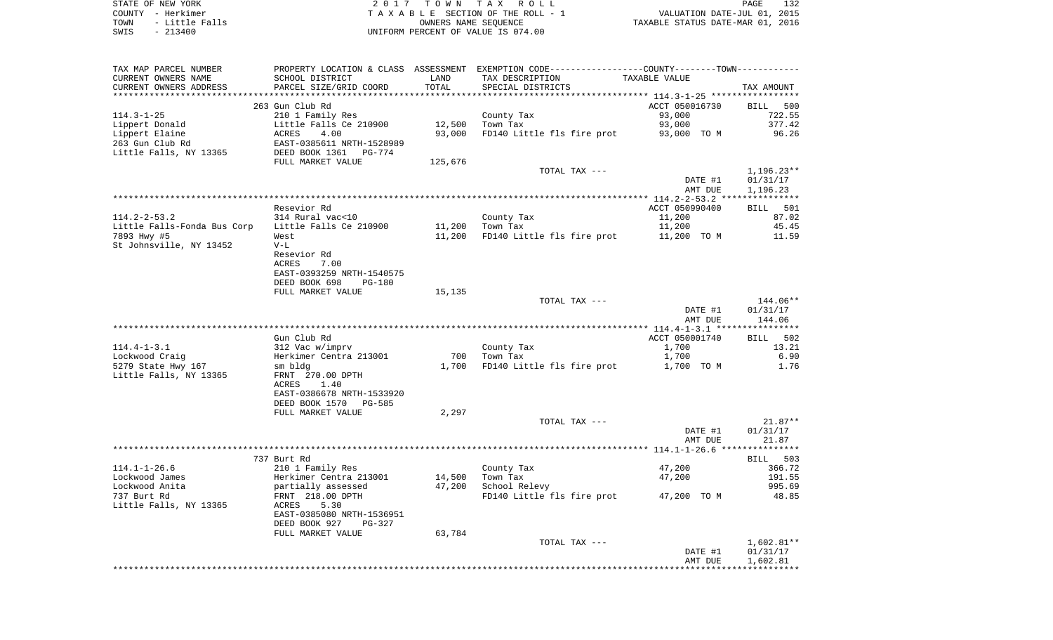| STATE OF NEW YORK |           |                |  |
|-------------------|-----------|----------------|--|
| COUNTY - Herkimer |           |                |  |
| TOWN              |           | - Little Falls |  |
| SWIS              | $-213400$ |                |  |

STATE OF NEW YORK 2 0 1 7 T O W N T A X R O L L PAGE 132TA X A B L E SECTION OF THE ROLL - 1 TOWN - Little Falls OWNERS NAME SEQUENCE TAXABLE STATUS DATE-MAR 01, 2016 SWIS - 213400 UNIFORM PERCENT OF VALUE IS 074.00

| PROPERTY LOCATION & CLASS ASSESSMENT EXEMPTION CODE---------------COUNTY-------TOWN----------<br>TAX MAP PARCEL NUMBER<br>CURRENT OWNERS NAME<br>SCHOOL DISTRICT<br>LAND<br>TAX DESCRIPTION<br>TAXABLE VALUE<br>PARCEL SIZE/GRID COORD<br>TOTAL<br>CURRENT OWNERS ADDRESS<br>SPECIAL DISTRICTS<br>ACCT 050016730<br>263 Gun Club Rd<br><b>BILL</b><br>210 1 Family Res<br>County Tax<br>93,000<br>93,000<br>Little Falls Ce 210900<br>12,500<br>Town Tax<br>93,000<br>FD140 Little fls fire prot<br>ACRES<br>4.00<br>93,000 TO M<br>EAST-0385611 NRTH-1528989<br>DEED BOOK 1361<br>PG-774<br>FULL MARKET VALUE<br>125,676<br>TOTAL TAX ---<br>DATE #1<br>AMT DUE<br>Resevior Rd<br>ACCT 050990400<br>11,200<br>314 Rural vac<10<br>County Tax<br>Little Falls Ce 210900<br>11,200<br>Town Tax<br>11,200<br>11,200<br>FD140 Little fls fire prot<br>11,200 TO M<br>West<br>$V-L$<br>Resevior Rd<br>ACRES<br>7.00<br>EAST-0393259 NRTH-1540575<br>DEED BOOK 698<br><b>PG-180</b><br>FULL MARKET VALUE<br>15,135<br>TOTAL TAX ---<br>DATE #1<br>AMT DUE<br>Gun Club Rd<br>ACCT 050001740<br>312 Vac w/imprv<br>County Tax<br>1,700<br>Herkimer Centra 213001<br>700<br>Town Tax<br>1,700<br>1,700<br>FD140 Little fls fire prot<br>1,700 TO M<br>sm bldg<br>FRNT 270.00 DPTH<br>ACRES<br>1.40<br>EAST-0386678 NRTH-1533920<br>DEED BOOK 1570<br><b>PG-585</b><br>FULL MARKET VALUE<br>2,297<br>TOTAL TAX ---<br>DATE #1<br>AMT DUE<br>737 Burt Rd<br>210 1 Family Res<br>County Tax<br>47,200 | TAX AMOUNT<br>500  |
|--------------------------------------------------------------------------------------------------------------------------------------------------------------------------------------------------------------------------------------------------------------------------------------------------------------------------------------------------------------------------------------------------------------------------------------------------------------------------------------------------------------------------------------------------------------------------------------------------------------------------------------------------------------------------------------------------------------------------------------------------------------------------------------------------------------------------------------------------------------------------------------------------------------------------------------------------------------------------------------------------------------------------------------------------------------------------------------------------------------------------------------------------------------------------------------------------------------------------------------------------------------------------------------------------------------------------------------------------------------------------------------------------------------------------------------------------------------------------------------------|--------------------|
|                                                                                                                                                                                                                                                                                                                                                                                                                                                                                                                                                                                                                                                                                                                                                                                                                                                                                                                                                                                                                                                                                                                                                                                                                                                                                                                                                                                                                                                                                            |                    |
|                                                                                                                                                                                                                                                                                                                                                                                                                                                                                                                                                                                                                                                                                                                                                                                                                                                                                                                                                                                                                                                                                                                                                                                                                                                                                                                                                                                                                                                                                            |                    |
| $114.3 - 1 - 25$<br>Lippert Donald<br>Lippert Elaine<br>263 Gun Club Rd<br>Little Falls, NY 13365<br>$114.2 - 2 - 53.2$<br>Little Falls-Fonda Bus Corp<br>7893 Hwy #5<br>St Johnsville, NY 13452<br>$114.4 - 1 - 3.1$<br>Lockwood Craig<br>5279 State Hwy 167<br>Little Falls, NY 13365<br>$114.1 - 1 - 26.6$                                                                                                                                                                                                                                                                                                                                                                                                                                                                                                                                                                                                                                                                                                                                                                                                                                                                                                                                                                                                                                                                                                                                                                              |                    |
|                                                                                                                                                                                                                                                                                                                                                                                                                                                                                                                                                                                                                                                                                                                                                                                                                                                                                                                                                                                                                                                                                                                                                                                                                                                                                                                                                                                                                                                                                            |                    |
|                                                                                                                                                                                                                                                                                                                                                                                                                                                                                                                                                                                                                                                                                                                                                                                                                                                                                                                                                                                                                                                                                                                                                                                                                                                                                                                                                                                                                                                                                            | 722.55             |
|                                                                                                                                                                                                                                                                                                                                                                                                                                                                                                                                                                                                                                                                                                                                                                                                                                                                                                                                                                                                                                                                                                                                                                                                                                                                                                                                                                                                                                                                                            | 377.42             |
|                                                                                                                                                                                                                                                                                                                                                                                                                                                                                                                                                                                                                                                                                                                                                                                                                                                                                                                                                                                                                                                                                                                                                                                                                                                                                                                                                                                                                                                                                            |                    |
|                                                                                                                                                                                                                                                                                                                                                                                                                                                                                                                                                                                                                                                                                                                                                                                                                                                                                                                                                                                                                                                                                                                                                                                                                                                                                                                                                                                                                                                                                            | 96.26              |
|                                                                                                                                                                                                                                                                                                                                                                                                                                                                                                                                                                                                                                                                                                                                                                                                                                                                                                                                                                                                                                                                                                                                                                                                                                                                                                                                                                                                                                                                                            |                    |
|                                                                                                                                                                                                                                                                                                                                                                                                                                                                                                                                                                                                                                                                                                                                                                                                                                                                                                                                                                                                                                                                                                                                                                                                                                                                                                                                                                                                                                                                                            |                    |
|                                                                                                                                                                                                                                                                                                                                                                                                                                                                                                                                                                                                                                                                                                                                                                                                                                                                                                                                                                                                                                                                                                                                                                                                                                                                                                                                                                                                                                                                                            |                    |
|                                                                                                                                                                                                                                                                                                                                                                                                                                                                                                                                                                                                                                                                                                                                                                                                                                                                                                                                                                                                                                                                                                                                                                                                                                                                                                                                                                                                                                                                                            | $1,196.23**$       |
|                                                                                                                                                                                                                                                                                                                                                                                                                                                                                                                                                                                                                                                                                                                                                                                                                                                                                                                                                                                                                                                                                                                                                                                                                                                                                                                                                                                                                                                                                            | 01/31/17           |
|                                                                                                                                                                                                                                                                                                                                                                                                                                                                                                                                                                                                                                                                                                                                                                                                                                                                                                                                                                                                                                                                                                                                                                                                                                                                                                                                                                                                                                                                                            | 1,196.23           |
|                                                                                                                                                                                                                                                                                                                                                                                                                                                                                                                                                                                                                                                                                                                                                                                                                                                                                                                                                                                                                                                                                                                                                                                                                                                                                                                                                                                                                                                                                            |                    |
|                                                                                                                                                                                                                                                                                                                                                                                                                                                                                                                                                                                                                                                                                                                                                                                                                                                                                                                                                                                                                                                                                                                                                                                                                                                                                                                                                                                                                                                                                            | BILL 501           |
|                                                                                                                                                                                                                                                                                                                                                                                                                                                                                                                                                                                                                                                                                                                                                                                                                                                                                                                                                                                                                                                                                                                                                                                                                                                                                                                                                                                                                                                                                            | 87.02              |
|                                                                                                                                                                                                                                                                                                                                                                                                                                                                                                                                                                                                                                                                                                                                                                                                                                                                                                                                                                                                                                                                                                                                                                                                                                                                                                                                                                                                                                                                                            | 45.45              |
|                                                                                                                                                                                                                                                                                                                                                                                                                                                                                                                                                                                                                                                                                                                                                                                                                                                                                                                                                                                                                                                                                                                                                                                                                                                                                                                                                                                                                                                                                            | 11.59              |
|                                                                                                                                                                                                                                                                                                                                                                                                                                                                                                                                                                                                                                                                                                                                                                                                                                                                                                                                                                                                                                                                                                                                                                                                                                                                                                                                                                                                                                                                                            |                    |
|                                                                                                                                                                                                                                                                                                                                                                                                                                                                                                                                                                                                                                                                                                                                                                                                                                                                                                                                                                                                                                                                                                                                                                                                                                                                                                                                                                                                                                                                                            |                    |
|                                                                                                                                                                                                                                                                                                                                                                                                                                                                                                                                                                                                                                                                                                                                                                                                                                                                                                                                                                                                                                                                                                                                                                                                                                                                                                                                                                                                                                                                                            |                    |
|                                                                                                                                                                                                                                                                                                                                                                                                                                                                                                                                                                                                                                                                                                                                                                                                                                                                                                                                                                                                                                                                                                                                                                                                                                                                                                                                                                                                                                                                                            |                    |
|                                                                                                                                                                                                                                                                                                                                                                                                                                                                                                                                                                                                                                                                                                                                                                                                                                                                                                                                                                                                                                                                                                                                                                                                                                                                                                                                                                                                                                                                                            |                    |
|                                                                                                                                                                                                                                                                                                                                                                                                                                                                                                                                                                                                                                                                                                                                                                                                                                                                                                                                                                                                                                                                                                                                                                                                                                                                                                                                                                                                                                                                                            |                    |
|                                                                                                                                                                                                                                                                                                                                                                                                                                                                                                                                                                                                                                                                                                                                                                                                                                                                                                                                                                                                                                                                                                                                                                                                                                                                                                                                                                                                                                                                                            |                    |
|                                                                                                                                                                                                                                                                                                                                                                                                                                                                                                                                                                                                                                                                                                                                                                                                                                                                                                                                                                                                                                                                                                                                                                                                                                                                                                                                                                                                                                                                                            | 144.06**           |
|                                                                                                                                                                                                                                                                                                                                                                                                                                                                                                                                                                                                                                                                                                                                                                                                                                                                                                                                                                                                                                                                                                                                                                                                                                                                                                                                                                                                                                                                                            | 01/31/17           |
|                                                                                                                                                                                                                                                                                                                                                                                                                                                                                                                                                                                                                                                                                                                                                                                                                                                                                                                                                                                                                                                                                                                                                                                                                                                                                                                                                                                                                                                                                            | 144.06             |
|                                                                                                                                                                                                                                                                                                                                                                                                                                                                                                                                                                                                                                                                                                                                                                                                                                                                                                                                                                                                                                                                                                                                                                                                                                                                                                                                                                                                                                                                                            |                    |
|                                                                                                                                                                                                                                                                                                                                                                                                                                                                                                                                                                                                                                                                                                                                                                                                                                                                                                                                                                                                                                                                                                                                                                                                                                                                                                                                                                                                                                                                                            | 502<br><b>BILL</b> |
|                                                                                                                                                                                                                                                                                                                                                                                                                                                                                                                                                                                                                                                                                                                                                                                                                                                                                                                                                                                                                                                                                                                                                                                                                                                                                                                                                                                                                                                                                            | 13.21              |
|                                                                                                                                                                                                                                                                                                                                                                                                                                                                                                                                                                                                                                                                                                                                                                                                                                                                                                                                                                                                                                                                                                                                                                                                                                                                                                                                                                                                                                                                                            | 6.90               |
|                                                                                                                                                                                                                                                                                                                                                                                                                                                                                                                                                                                                                                                                                                                                                                                                                                                                                                                                                                                                                                                                                                                                                                                                                                                                                                                                                                                                                                                                                            | 1.76               |
|                                                                                                                                                                                                                                                                                                                                                                                                                                                                                                                                                                                                                                                                                                                                                                                                                                                                                                                                                                                                                                                                                                                                                                                                                                                                                                                                                                                                                                                                                            |                    |
|                                                                                                                                                                                                                                                                                                                                                                                                                                                                                                                                                                                                                                                                                                                                                                                                                                                                                                                                                                                                                                                                                                                                                                                                                                                                                                                                                                                                                                                                                            |                    |
|                                                                                                                                                                                                                                                                                                                                                                                                                                                                                                                                                                                                                                                                                                                                                                                                                                                                                                                                                                                                                                                                                                                                                                                                                                                                                                                                                                                                                                                                                            |                    |
|                                                                                                                                                                                                                                                                                                                                                                                                                                                                                                                                                                                                                                                                                                                                                                                                                                                                                                                                                                                                                                                                                                                                                                                                                                                                                                                                                                                                                                                                                            |                    |
|                                                                                                                                                                                                                                                                                                                                                                                                                                                                                                                                                                                                                                                                                                                                                                                                                                                                                                                                                                                                                                                                                                                                                                                                                                                                                                                                                                                                                                                                                            |                    |
|                                                                                                                                                                                                                                                                                                                                                                                                                                                                                                                                                                                                                                                                                                                                                                                                                                                                                                                                                                                                                                                                                                                                                                                                                                                                                                                                                                                                                                                                                            | $21.87**$          |
|                                                                                                                                                                                                                                                                                                                                                                                                                                                                                                                                                                                                                                                                                                                                                                                                                                                                                                                                                                                                                                                                                                                                                                                                                                                                                                                                                                                                                                                                                            |                    |
|                                                                                                                                                                                                                                                                                                                                                                                                                                                                                                                                                                                                                                                                                                                                                                                                                                                                                                                                                                                                                                                                                                                                                                                                                                                                                                                                                                                                                                                                                            | 01/31/17           |
|                                                                                                                                                                                                                                                                                                                                                                                                                                                                                                                                                                                                                                                                                                                                                                                                                                                                                                                                                                                                                                                                                                                                                                                                                                                                                                                                                                                                                                                                                            | 21.87              |
|                                                                                                                                                                                                                                                                                                                                                                                                                                                                                                                                                                                                                                                                                                                                                                                                                                                                                                                                                                                                                                                                                                                                                                                                                                                                                                                                                                                                                                                                                            |                    |
|                                                                                                                                                                                                                                                                                                                                                                                                                                                                                                                                                                                                                                                                                                                                                                                                                                                                                                                                                                                                                                                                                                                                                                                                                                                                                                                                                                                                                                                                                            | 503<br><b>BILL</b> |
|                                                                                                                                                                                                                                                                                                                                                                                                                                                                                                                                                                                                                                                                                                                                                                                                                                                                                                                                                                                                                                                                                                                                                                                                                                                                                                                                                                                                                                                                                            | 366.72             |
| Herkimer Centra 213001<br>47,200<br>Lockwood James<br>14,500<br>Town Tax                                                                                                                                                                                                                                                                                                                                                                                                                                                                                                                                                                                                                                                                                                                                                                                                                                                                                                                                                                                                                                                                                                                                                                                                                                                                                                                                                                                                                   | 191.55             |
| Lockwood Anita<br>47,200<br>School Relevy<br>partially assessed                                                                                                                                                                                                                                                                                                                                                                                                                                                                                                                                                                                                                                                                                                                                                                                                                                                                                                                                                                                                                                                                                                                                                                                                                                                                                                                                                                                                                            | 995.69             |
| 737 Burt Rd<br>FRNT 218.00 DPTH<br>FD140 Little fls fire prot<br>47,200 TO M                                                                                                                                                                                                                                                                                                                                                                                                                                                                                                                                                                                                                                                                                                                                                                                                                                                                                                                                                                                                                                                                                                                                                                                                                                                                                                                                                                                                               | 48.85              |
| Little Falls, NY 13365<br>ACRES<br>5.30                                                                                                                                                                                                                                                                                                                                                                                                                                                                                                                                                                                                                                                                                                                                                                                                                                                                                                                                                                                                                                                                                                                                                                                                                                                                                                                                                                                                                                                    |                    |
| EAST-0385080 NRTH-1536951                                                                                                                                                                                                                                                                                                                                                                                                                                                                                                                                                                                                                                                                                                                                                                                                                                                                                                                                                                                                                                                                                                                                                                                                                                                                                                                                                                                                                                                                  |                    |
| DEED BOOK 927<br><b>PG-327</b>                                                                                                                                                                                                                                                                                                                                                                                                                                                                                                                                                                                                                                                                                                                                                                                                                                                                                                                                                                                                                                                                                                                                                                                                                                                                                                                                                                                                                                                             |                    |
| 63,784<br>FULL MARKET VALUE                                                                                                                                                                                                                                                                                                                                                                                                                                                                                                                                                                                                                                                                                                                                                                                                                                                                                                                                                                                                                                                                                                                                                                                                                                                                                                                                                                                                                                                                |                    |
| TOTAL TAX ---                                                                                                                                                                                                                                                                                                                                                                                                                                                                                                                                                                                                                                                                                                                                                                                                                                                                                                                                                                                                                                                                                                                                                                                                                                                                                                                                                                                                                                                                              | $1,602.81**$       |
| DATE #1                                                                                                                                                                                                                                                                                                                                                                                                                                                                                                                                                                                                                                                                                                                                                                                                                                                                                                                                                                                                                                                                                                                                                                                                                                                                                                                                                                                                                                                                                    | 01/31/17           |
| AMT DUE                                                                                                                                                                                                                                                                                                                                                                                                                                                                                                                                                                                                                                                                                                                                                                                                                                                                                                                                                                                                                                                                                                                                                                                                                                                                                                                                                                                                                                                                                    | 1,602.81           |
|                                                                                                                                                                                                                                                                                                                                                                                                                                                                                                                                                                                                                                                                                                                                                                                                                                                                                                                                                                                                                                                                                                                                                                                                                                                                                                                                                                                                                                                                                            |                    |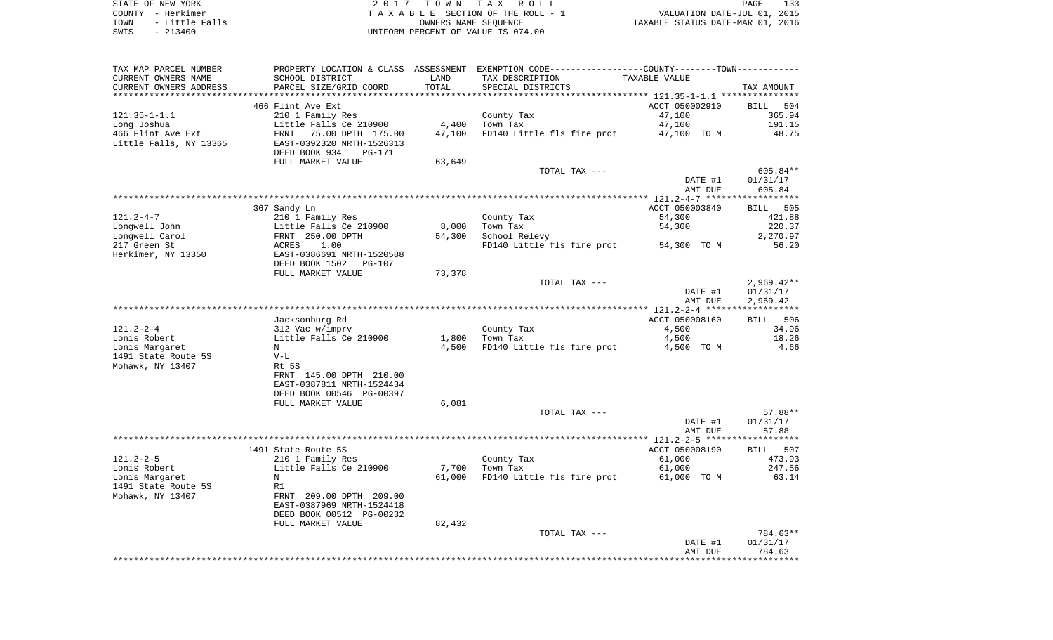| STATE OF NEW YORK |  |           |                |  |
|-------------------|--|-----------|----------------|--|
| COUNTY - Herkimer |  |           |                |  |
| TOWN              |  |           | - Little Falls |  |
| SWIS              |  | $-213400$ |                |  |

STATE OF THE TAX ROLL TA X A B L E SECTION OF THE ROLL - 1 TOWN - Little Falls OWNERS NAME SEQUENCE TAXABLE STATUS DATE-MAR 01, 2016 SWIS - 213400 UNIFORM PERCENT OF VALUE IS 074.00

| TAX MAP PARCEL NUMBER  | PROPERTY LOCATION & CLASS ASSESSMENT |        | EXEMPTION CODE-----------------COUNTY-------TOWN--------- |                |              |
|------------------------|--------------------------------------|--------|-----------------------------------------------------------|----------------|--------------|
| CURRENT OWNERS NAME    | SCHOOL DISTRICT                      | LAND   | TAX DESCRIPTION                                           | TAXABLE VALUE  |              |
| CURRENT OWNERS ADDRESS | PARCEL SIZE/GRID COORD               | TOTAL  | SPECIAL DISTRICTS                                         |                | TAX AMOUNT   |
| *****************      |                                      |        |                                                           |                |              |
|                        | 466 Flint Ave Ext                    |        |                                                           | ACCT 050002910 | BILL 504     |
| $121.35 - 1 - 1.1$     | 210 1 Family Res                     |        | County Tax                                                | 47,100         | 365.94       |
| Long Joshua            | Little Falls Ce 210900               | 4,400  | Town Tax                                                  | 47,100         | 191.15       |
| 466 Flint Ave Ext      | FRNT 75.00 DPTH 175.00               | 47,100 | FD140 Little fls fire prot                                | 47,100 TO M    | 48.75        |
| Little Falls, NY 13365 | EAST-0392320 NRTH-1526313            |        |                                                           |                |              |
|                        | DEED BOOK 934<br><b>PG-171</b>       |        |                                                           |                |              |
|                        | FULL MARKET VALUE                    | 63,649 |                                                           |                |              |
|                        |                                      |        | TOTAL TAX ---                                             |                | 605.84**     |
|                        |                                      |        |                                                           | DATE #1        | 01/31/17     |
|                        |                                      |        |                                                           | AMT DUE        | 605.84       |
|                        |                                      |        |                                                           |                |              |
|                        | 367 Sandy Ln                         |        |                                                           | ACCT 050003840 | BILL 505     |
| $121.2 - 4 - 7$        | 210 1 Family Res                     |        | County Tax                                                | 54,300         | 421.88       |
| Longwell John          | Little Falls Ce 210900               | 8,000  | Town Tax                                                  | 54,300         | 220.37       |
| Lonqwell Carol         | FRNT 250.00 DPTH                     | 54,300 | School Relevy                                             |                | 2,270.97     |
|                        |                                      |        |                                                           |                |              |
| 217 Green St           | 1.00<br>ACRES                        |        | FD140 Little fls fire prot                                | 54,300 TO M    | 56.20        |
| Herkimer, NY 13350     | EAST-0386691 NRTH-1520588            |        |                                                           |                |              |
|                        | DEED BOOK 1502<br>PG-107             |        |                                                           |                |              |
|                        | FULL MARKET VALUE                    | 73,378 |                                                           |                |              |
|                        |                                      |        | TOTAL TAX ---                                             |                | $2,969.42**$ |
|                        |                                      |        |                                                           | DATE #1        | 01/31/17     |
|                        |                                      |        |                                                           | AMT DUE        | 2,969.42     |
|                        |                                      |        |                                                           |                |              |
|                        | Jacksonburg Rd                       |        |                                                           | ACCT 050008160 | BILL 506     |
| $121.2 - 2 - 4$        | 312 Vac w/imprv                      |        | County Tax                                                | 4,500          | 34.96        |
| Lonis Robert           | Little Falls Ce 210900               | 1,800  | Town Tax                                                  | 4,500          | 18.26        |
| Lonis Margaret         | N                                    | 4,500  | FD140 Little fls fire prot                                | 4,500 TO M     | 4.66         |
| 1491 State Route 5S    | $V-L$                                |        |                                                           |                |              |
| Mohawk, NY 13407       | Rt 5S                                |        |                                                           |                |              |
|                        | FRNT 145.00 DPTH 210.00              |        |                                                           |                |              |
|                        | EAST-0387811 NRTH-1524434            |        |                                                           |                |              |
|                        | DEED BOOK 00546 PG-00397             |        |                                                           |                |              |
|                        | FULL MARKET VALUE                    | 6,081  |                                                           |                |              |
|                        |                                      |        | TOTAL TAX ---                                             |                | 57.88**      |
|                        |                                      |        |                                                           | DATE #1        | 01/31/17     |
|                        |                                      |        |                                                           | AMT DUE        | 57.88        |
|                        |                                      |        |                                                           |                |              |
|                        | 1491 State Route 5S                  |        |                                                           | ACCT 050008190 | BILL 507     |
| $121.2 - 2 - 5$        | 210 1 Family Res                     |        | County Tax                                                | 61,000         | 473.93       |
| Lonis Robert           | Little Falls Ce 210900               | 7,700  | Town Tax                                                  | 61,000         | 247.56       |
| Lonis Margaret         | N                                    | 61,000 | FD140 Little fls fire prot                                | 61,000 TO M    | 63.14        |
| 1491 State Route 5S    | R1                                   |        |                                                           |                |              |
| Mohawk, NY 13407       | FRNT 209.00 DPTH 209.00              |        |                                                           |                |              |
|                        | EAST-0387969 NRTH-1524418            |        |                                                           |                |              |
|                        | DEED BOOK 00512 PG-00232             |        |                                                           |                |              |
|                        | FULL MARKET VALUE                    | 82,432 |                                                           |                |              |
|                        |                                      |        | TOTAL TAX ---                                             |                | 784.63**     |
|                        |                                      |        |                                                           | DATE #1        | 01/31/17     |
|                        |                                      |        |                                                           | AMT DUE        | 784.63       |
|                        |                                      |        |                                                           |                |              |
|                        |                                      |        |                                                           |                |              |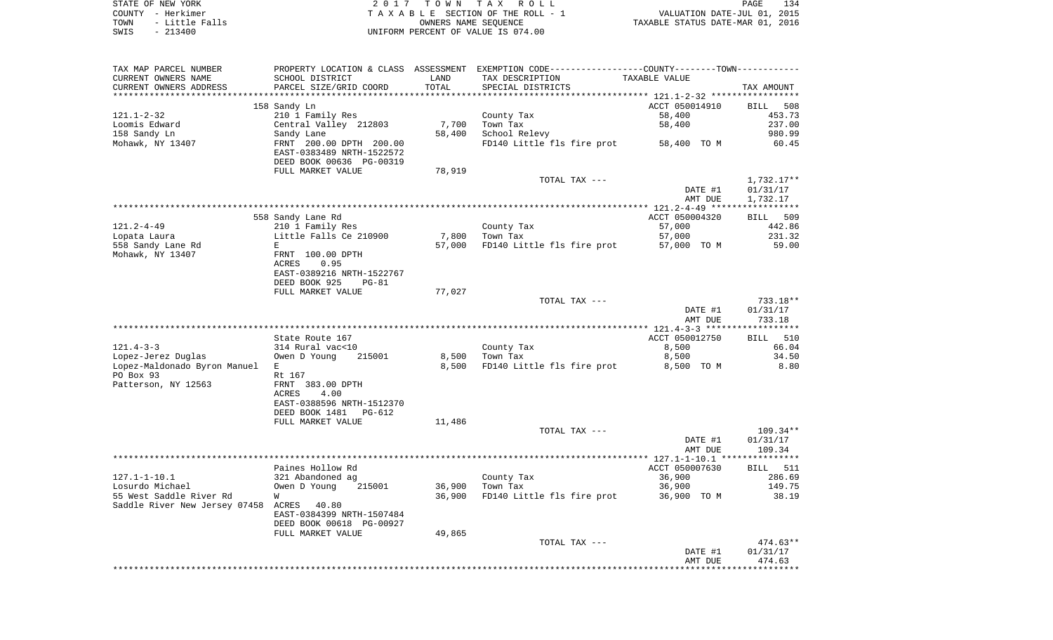| STATE OF NEW YORK      | 2017 TOWN TAX ROLL                 | 134<br>PAGE                      |
|------------------------|------------------------------------|----------------------------------|
| COUNTY - Herkimer      | TAXABLE SECTION OF THE ROLL - 1    | VALUATION DATE-JUL 01, 2015      |
| - Little Falls<br>TOWN | OWNERS NAME SEOUENCE               | TAXABLE STATUS DATE-MAR 01, 2016 |
| $-213400$<br>SWIS      | UNIFORM PERCENT OF VALUE IS 074.00 |                                  |

| TAX MAP PARCEL NUMBER<br>CURRENT OWNERS NAME                         | SCHOOL DISTRICT                                                                                                           | LAND            | PROPERTY LOCATION & CLASS ASSESSMENT EXEMPTION CODE---------------COUNTY-------TOWN----------<br>TAX DESCRIPTION | TAXABLE VALUE                      |                                                  |
|----------------------------------------------------------------------|---------------------------------------------------------------------------------------------------------------------------|-----------------|------------------------------------------------------------------------------------------------------------------|------------------------------------|--------------------------------------------------|
| CURRENT OWNERS ADDRESS<br>*********************                      | PARCEL SIZE/GRID COORD<br>****************************                                                                    | TOTAL           | SPECIAL DISTRICTS                                                                                                |                                    | TAX AMOUNT                                       |
| 121.1-2-32<br>Loomis Edward<br>158 Sandy Ln                          | 158 Sandy Ln<br>210 1 Family Res<br>Central Valley 212803<br>Sandy Lane                                                   | 7,700<br>58,400 | County Tax<br>Town Tax<br>School Relevy                                                                          | ACCT 050014910<br>58,400<br>58,400 | <b>BILL</b><br>508<br>453.73<br>237.00<br>980.99 |
| Mohawk, NY 13407                                                     | FRNT 200.00 DPTH 200.00<br>EAST-0383489 NRTH-1522572<br>DEED BOOK 00636 PG-00319                                          |                 | FD140 Little fls fire prot                                                                                       | 58,400 TO M                        | 60.45                                            |
|                                                                      | FULL MARKET VALUE                                                                                                         | 78,919          | TOTAL TAX ---                                                                                                    | DATE #1<br>AMT DUE                 | 1,732.17**<br>01/31/17<br>1,732.17               |
|                                                                      |                                                                                                                           |                 |                                                                                                                  |                                    |                                                  |
| 121.2-4-49                                                           | 558 Sandy Lane Rd<br>210 1 Family Res                                                                                     |                 | County Tax                                                                                                       | ACCT 050004320<br>57,000           | BILL 509<br>442.86                               |
| Lopata Laura<br>558 Sandy Lane Rd<br>Mohawk, NY 13407                | Little Falls Ce 210900<br>E<br>FRNT 100.00 DPTH<br>ACRES<br>0.95<br>EAST-0389216 NRTH-1522767<br>DEED BOOK 925<br>$PG-81$ | 7,800<br>57,000 | Town Tax<br>FD140 Little fls fire prot                                                                           | 57,000<br>57,000 TO M              | 231.32<br>59.00                                  |
|                                                                      | FULL MARKET VALUE                                                                                                         | 77,027          |                                                                                                                  |                                    |                                                  |
|                                                                      |                                                                                                                           |                 | TOTAL TAX ---                                                                                                    | DATE #1<br>AMT DUE                 | 733.18**<br>01/31/17<br>733.18                   |
|                                                                      |                                                                                                                           |                 |                                                                                                                  |                                    |                                                  |
| $121.4 - 3 - 3$                                                      | State Route 167<br>314 Rural vac<10                                                                                       |                 | County Tax                                                                                                       | ACCT 050012750<br>8,500            | BILL 510<br>66.04                                |
| Lopez-Jerez Duglas                                                   | 215001<br>Owen D Young                                                                                                    | 8,500           | Town Tax                                                                                                         | 8,500                              | 34.50                                            |
| Lopez-Maldonado Byron Manuel E<br>PO Box 93                          | Rt 167                                                                                                                    | 8,500           | FD140 Little fls fire prot                                                                                       | 8,500 TO M                         | 8.80                                             |
| Patterson, NY 12563                                                  | FRNT 383.00 DPTH<br>ACRES<br>4.00<br>EAST-0388596 NRTH-1512370                                                            |                 |                                                                                                                  |                                    |                                                  |
|                                                                      | DEED BOOK 1481<br>PG-612<br>FULL MARKET VALUE                                                                             | 11,486          |                                                                                                                  |                                    |                                                  |
|                                                                      |                                                                                                                           |                 | TOTAL TAX ---                                                                                                    | DATE #1                            | 109.34**<br>01/31/17                             |
|                                                                      |                                                                                                                           |                 |                                                                                                                  | AMT DUE                            | 109.34                                           |
|                                                                      |                                                                                                                           |                 |                                                                                                                  |                                    |                                                  |
| $127.1 - 1 - 10.1$                                                   | Paines Hollow Rd<br>321 Abandoned ag                                                                                      |                 | County Tax                                                                                                       | ACCT 050007630<br>36,900           | <b>BILL</b> 511<br>286.69                        |
| Losurdo Michael                                                      | Owen D Young<br>215001                                                                                                    | 36,900          | Town Tax                                                                                                         | 36,900                             | 149.75                                           |
| 55 West Saddle River Rd<br>Saddle River New Jersey 07458 ACRES 40.80 | W                                                                                                                         | 36,900          | FD140 Little fls fire prot                                                                                       | 36,900 TO M                        | 38.19                                            |
|                                                                      | EAST-0384399 NRTH-1507484<br>DEED BOOK 00618 PG-00927<br>FULL MARKET VALUE                                                | 49,865          |                                                                                                                  |                                    |                                                  |
|                                                                      |                                                                                                                           |                 | TOTAL TAX ---                                                                                                    |                                    | $474.63**$                                       |
|                                                                      |                                                                                                                           |                 |                                                                                                                  | DATE #1<br>AMT DUE                 | 01/31/17<br>474.63                               |
|                                                                      |                                                                                                                           |                 |                                                                                                                  |                                    |                                                  |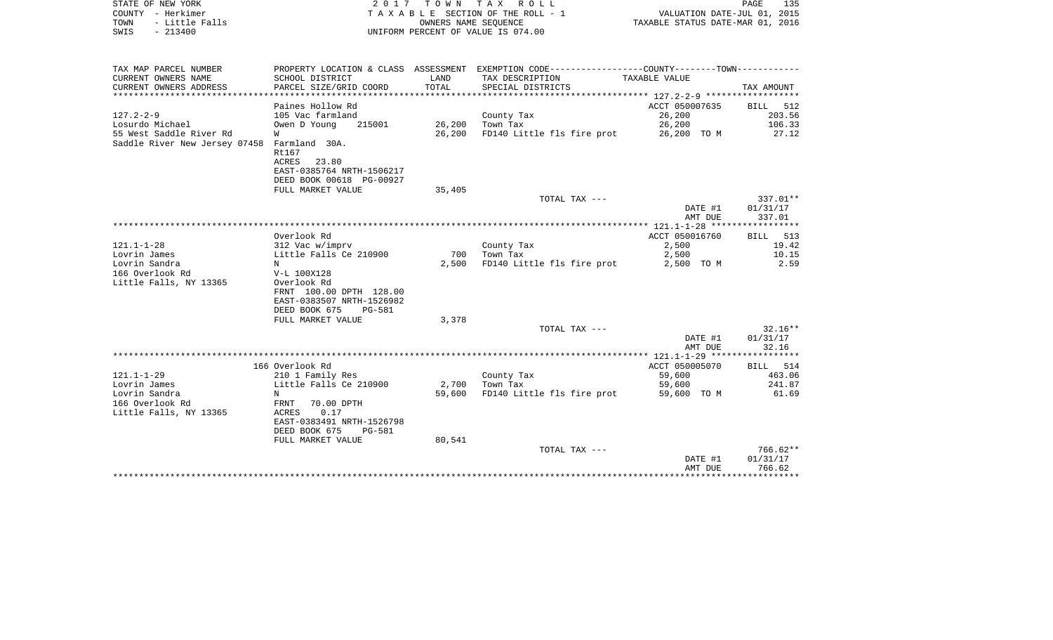| STATE OF NEW YORK<br>COUNTY - Herkimer<br>- Little Falls<br>TOWN<br>$-213400$<br>SWIS | 2017                                                                                                                      | T O W N<br>OWNERS NAME SEQUENCE | TAX ROLL<br>TAXABLE SECTION OF THE ROLL - 1<br>UNIFORM PERCENT OF VALUE IS 074.00                                | VALUATION DATE-JUL 01, 2015<br>TAXABLE STATUS DATE-MAR 01, 2016 | PAGE<br>135                      |
|---------------------------------------------------------------------------------------|---------------------------------------------------------------------------------------------------------------------------|---------------------------------|------------------------------------------------------------------------------------------------------------------|-----------------------------------------------------------------|----------------------------------|
| TAX MAP PARCEL NUMBER<br>CURRENT OWNERS NAME                                          | SCHOOL DISTRICT                                                                                                           | LAND                            | PROPERTY LOCATION & CLASS ASSESSMENT EXEMPTION CODE---------------COUNTY-------TOWN----------<br>TAX DESCRIPTION | TAXABLE VALUE                                                   |                                  |
| CURRENT OWNERS ADDRESS<br>*************************                                   | PARCEL SIZE/GRID COORD                                                                                                    | TOTAL                           | SPECIAL DISTRICTS                                                                                                |                                                                 | TAX AMOUNT                       |
|                                                                                       | Paines Hollow Rd                                                                                                          |                                 |                                                                                                                  | ACCT 050007635                                                  | BILL<br>512                      |
| $127.2 - 2 - 9$                                                                       | 105 Vac farmland                                                                                                          |                                 | County Tax                                                                                                       | 26,200                                                          | 203.56                           |
| Losurdo Michael                                                                       | Owen D Young<br>215001                                                                                                    | 26,200                          | Town Tax                                                                                                         | 26,200                                                          | 106.33                           |
| 55 West Saddle River Rd<br>Saddle River New Jersey 07458                              | W<br>Farmland 30A.<br>Rt167<br><b>ACRES</b><br>23.80<br>EAST-0385764 NRTH-1506217<br>DEED BOOK 00618 PG-00927             | 26,200                          | FD140 Little fls fire prot                                                                                       | 26,200 TO M                                                     | 27.12                            |
|                                                                                       | FULL MARKET VALUE                                                                                                         | 35,405                          |                                                                                                                  |                                                                 |                                  |
|                                                                                       |                                                                                                                           |                                 | TOTAL TAX ---                                                                                                    | DATE #1<br>AMT DUE                                              | 337.01**<br>01/31/17<br>337.01   |
|                                                                                       |                                                                                                                           |                                 |                                                                                                                  | ************** 121.1-1-28 ******************                    |                                  |
|                                                                                       | Overlook Rd                                                                                                               |                                 |                                                                                                                  | ACCT 050016760                                                  | <b>BILL</b><br>513               |
| $121.1 - 1 - 28$                                                                      | 312 Vac w/imprv                                                                                                           |                                 | County Tax                                                                                                       | 2,500                                                           | 19.42                            |
| Lovrin James                                                                          | Little Falls Ce 210900                                                                                                    | 700                             | Town Tax                                                                                                         | 2,500                                                           | 10.15                            |
| Lovrin Sandra<br>166 Overlook Rd<br>Little Falls, NY 13365                            | N<br>V-L 100X128<br>Overlook Rd<br>FRNT 100.00 DPTH 128.00<br>EAST-0383507 NRTH-1526982<br>DEED BOOK 675<br><b>PG-581</b> | 2,500                           | FD140 Little fls fire prot                                                                                       | 2,500 TO M                                                      | 2.59                             |
|                                                                                       | FULL MARKET VALUE                                                                                                         | 3,378                           |                                                                                                                  |                                                                 |                                  |
|                                                                                       |                                                                                                                           |                                 | TOTAL TAX ---                                                                                                    | DATE #1<br>AMT DUE                                              | $32.16**$<br>01/31/17<br>32.16   |
|                                                                                       |                                                                                                                           |                                 |                                                                                                                  |                                                                 |                                  |
|                                                                                       | 166 Overlook Rd                                                                                                           |                                 |                                                                                                                  | ACCT 050005070                                                  | BILL 514                         |
| $121.1 - 1 - 29$                                                                      | 210 1 Family Res                                                                                                          |                                 | County Tax                                                                                                       | 59,600                                                          | 463.06                           |
| Lovrin James                                                                          | Little Falls Ce 210900                                                                                                    | 2,700                           | Town Tax                                                                                                         | 59,600                                                          | 241.87                           |
| Lovrin Sandra<br>166 Overlook Rd<br>Little Falls, NY 13365                            | N<br>FRNT<br>70.00 DPTH<br>0.17<br>ACRES<br>EAST-0383491 NRTH-1526798<br>DEED BOOK 675<br><b>PG-581</b>                   | 59,600                          | FD140 Little fls fire prot                                                                                       | 59,600 TO M                                                     | 61.69                            |
|                                                                                       | FULL MARKET VALUE                                                                                                         | 80,541                          |                                                                                                                  |                                                                 |                                  |
|                                                                                       |                                                                                                                           |                                 | TOTAL TAX ---                                                                                                    | DATE #1<br>AMT DUE                                              | $766.62**$<br>01/31/17<br>766.62 |
|                                                                                       |                                                                                                                           |                                 |                                                                                                                  |                                                                 | *************                    |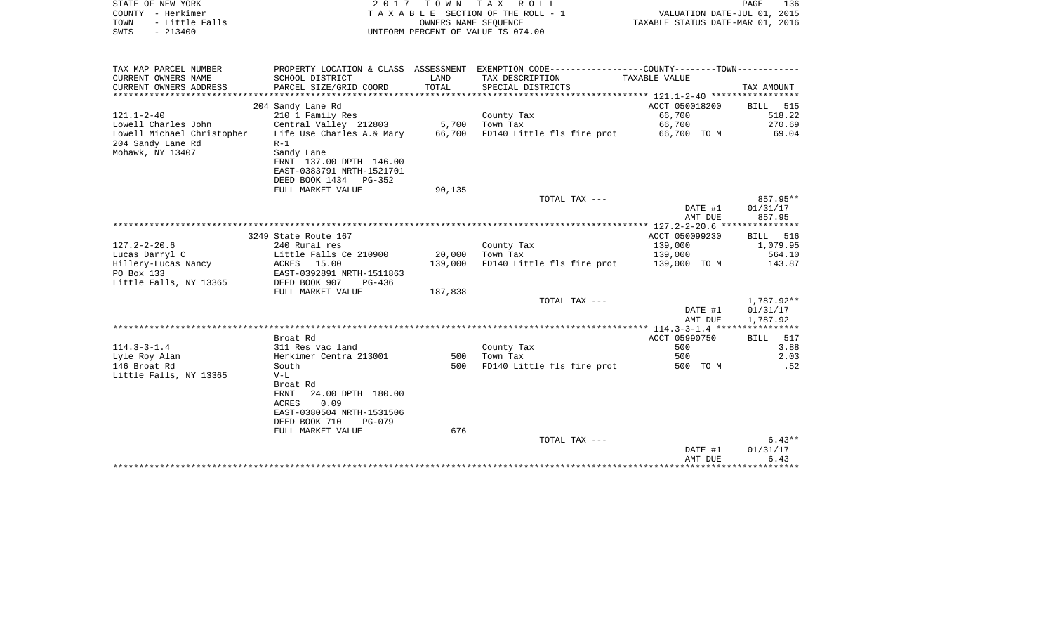| STATE OF NEW YORK<br>COUNTY - Herkimer<br>- Little Falls<br>TOWN<br>$-213400$<br>SWIS | 2 0 1 7                                              | T O W N                   | TAX ROLL<br>TAXABLE SECTION OF THE ROLL - 1<br>OWNERS NAME SEQUENCE<br>UNIFORM PERCENT OF VALUE IS 074.00 | VALUATION DATE-JUL 01, 2015<br>TAXABLE STATUS DATE-MAR 01, 2016 | PAGE<br>136          |
|---------------------------------------------------------------------------------------|------------------------------------------------------|---------------------------|-----------------------------------------------------------------------------------------------------------|-----------------------------------------------------------------|----------------------|
|                                                                                       |                                                      |                           |                                                                                                           |                                                                 |                      |
| TAX MAP PARCEL NUMBER                                                                 |                                                      |                           | PROPERTY LOCATION & CLASS ASSESSMENT EXEMPTION CODE---------------COUNTY-------TOWN----------             |                                                                 |                      |
| CURRENT OWNERS NAME<br>CURRENT OWNERS ADDRESS                                         | SCHOOL DISTRICT<br>PARCEL SIZE/GRID COORD            | LAND<br>TOTAL<br>******** | TAX DESCRIPTION<br>SPECIAL DISTRICTS                                                                      | <b>TAXABLE VALUE</b>                                            | TAX AMOUNT           |
|                                                                                       | 204 Sandy Lane Rd                                    |                           |                                                                                                           | ACCT 050018200                                                  | <b>BILL</b><br>515   |
| $121.1 - 2 - 40$                                                                      | 210 1 Family Res                                     |                           | County Tax                                                                                                | 66,700                                                          | 518.22               |
| Lowell Charles John                                                                   | Central Valley 212803                                | 5,700                     | Town Tax                                                                                                  | 66,700                                                          | 270.69               |
| Lowell Michael Christopher                                                            | Life Use Charles A.& Mary                            | 66,700                    | FD140 Little fls fire prot                                                                                | 66,700 TO M                                                     | 69.04                |
| 204 Sandy Lane Rd                                                                     | $R-1$                                                |                           |                                                                                                           |                                                                 |                      |
| Mohawk, NY 13407                                                                      | Sandy Lane                                           |                           |                                                                                                           |                                                                 |                      |
|                                                                                       | FRNT 137.00 DPTH 146.00<br>EAST-0383791 NRTH-1521701 |                           |                                                                                                           |                                                                 |                      |
|                                                                                       | DEED BOOK 1434 PG-352                                |                           |                                                                                                           |                                                                 |                      |
|                                                                                       | FULL MARKET VALUE                                    | 90,135                    |                                                                                                           |                                                                 |                      |
|                                                                                       |                                                      |                           | TOTAL TAX ---                                                                                             |                                                                 | 857.95**             |
|                                                                                       |                                                      |                           |                                                                                                           | DATE #1                                                         | 01/31/17             |
|                                                                                       |                                                      |                           |                                                                                                           | AMT DUE                                                         | 857.95               |
|                                                                                       | 3249 State Route 167                                 |                           |                                                                                                           | *** 127.2-2-20.6 ***************<br>ACCT 050099230              | 516<br><b>BILL</b>   |
| $127.2 - 2 - 20.6$                                                                    | 240 Rural res                                        |                           | County Tax                                                                                                | 139,000                                                         | 1,079.95             |
| Lucas Darryl C                                                                        | Little Falls Ce 210900                               | 20,000                    | Town Tax                                                                                                  | 139,000                                                         | 564.10               |
| Hillery-Lucas Nancy                                                                   | ACRES 15.00                                          | 139,000                   | FD140 Little fls fire prot                                                                                | 139,000 TO M                                                    | 143.87               |
| PO Box 133                                                                            | EAST-0392891 NRTH-1511863                            |                           |                                                                                                           |                                                                 |                      |
| Little Falls, NY 13365                                                                | DEED BOOK 907<br>PG-436                              |                           |                                                                                                           |                                                                 |                      |
|                                                                                       | FULL MARKET VALUE                                    | 187,838                   |                                                                                                           |                                                                 |                      |
|                                                                                       |                                                      |                           | TOTAL TAX ---                                                                                             |                                                                 | 1,787.92**           |
|                                                                                       |                                                      |                           |                                                                                                           | DATE #1<br>AMT DUE                                              | 01/31/17<br>1,787.92 |
|                                                                                       |                                                      |                           |                                                                                                           | $** 114.3 - 3 - 1.4 **$                                         | *****                |
|                                                                                       | Broat Rd                                             |                           |                                                                                                           | ACCT 05990750                                                   | <b>BILL</b><br>517   |
| $114.3 - 3 - 1.4$                                                                     | 311 Res vac land                                     |                           | County Tax                                                                                                | 500                                                             | 3.88                 |
| Lyle Roy Alan                                                                         | Herkimer Centra 213001                               | 500                       | Town Tax                                                                                                  | 500                                                             | 2.03                 |
| 146 Broat Rd                                                                          | South                                                | 500                       | FD140 Little fls fire prot                                                                                | 500 TO M                                                        | .52                  |
| Little Falls, NY 13365                                                                | $V-L$                                                |                           |                                                                                                           |                                                                 |                      |
|                                                                                       | Broat Rd<br>24.00 DPTH 180.00<br>FRNT                |                           |                                                                                                           |                                                                 |                      |
|                                                                                       | 0.09<br>ACRES                                        |                           |                                                                                                           |                                                                 |                      |
|                                                                                       | EAST-0380504 NRTH-1531506                            |                           |                                                                                                           |                                                                 |                      |
|                                                                                       | DEED BOOK 710<br>$PG-079$                            |                           |                                                                                                           |                                                                 |                      |
|                                                                                       | FULL MARKET VALUE                                    | 676                       |                                                                                                           |                                                                 |                      |
|                                                                                       |                                                      |                           | TOTAL TAX ---                                                                                             |                                                                 | $6.43**$             |
|                                                                                       |                                                      |                           |                                                                                                           | DATE #1                                                         | 01/31/17             |
|                                                                                       |                                                      |                           |                                                                                                           | AMT DUE                                                         | 6.43                 |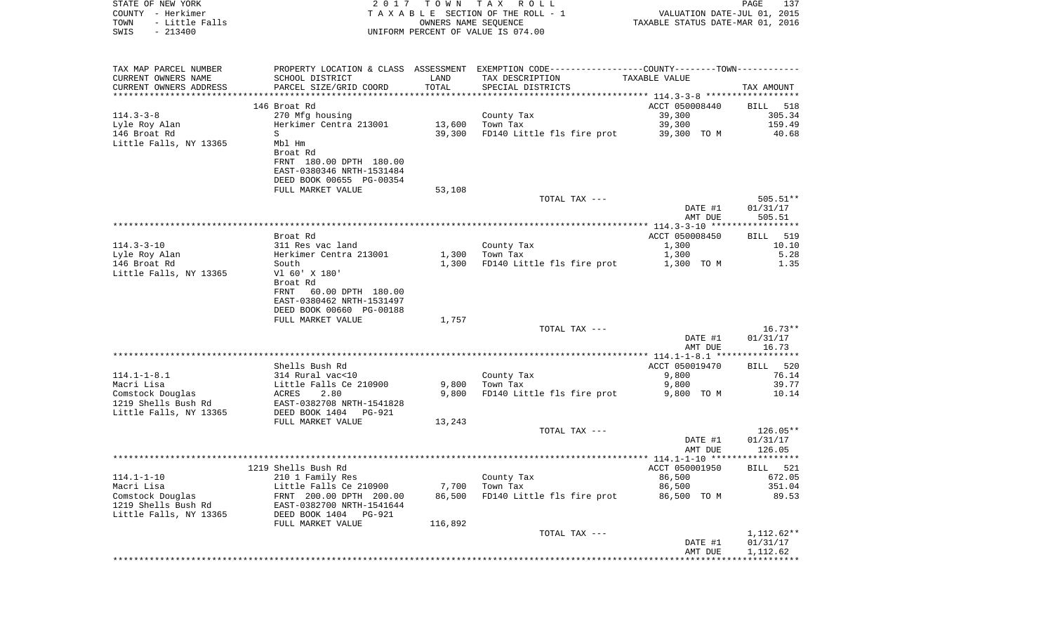| STATE OF NEW YORK<br>COUNTY - Herkimer<br>- Little Falls<br>TOWN  | 2017                                                                                                            | T O W N<br>OWNERS NAME SEQUENCE | TAX ROLL<br>TAXABLE SECTION OF THE ROLL - 1                                                   | TAXABLE STATUS DATE-MAR 01, 2016                 | PAGE<br>137<br>VALUATION DATE-JUL 01, 2015 |
|-------------------------------------------------------------------|-----------------------------------------------------------------------------------------------------------------|---------------------------------|-----------------------------------------------------------------------------------------------|--------------------------------------------------|--------------------------------------------|
| $-213400$<br>SWIS                                                 |                                                                                                                 |                                 | UNIFORM PERCENT OF VALUE IS 074.00                                                            |                                                  |                                            |
| TAX MAP PARCEL NUMBER                                             |                                                                                                                 |                                 | PROPERTY LOCATION & CLASS ASSESSMENT EXEMPTION CODE---------------COUNTY-------TOWN---------- |                                                  |                                            |
| CURRENT OWNERS NAME<br>CURRENT OWNERS ADDRESS                     | SCHOOL DISTRICT<br>PARCEL SIZE/GRID COORD                                                                       | LAND<br>TOTAL                   | TAX DESCRIPTION<br>SPECIAL DISTRICTS                                                          | TAXABLE VALUE                                    | TAX AMOUNT                                 |
| ************************                                          |                                                                                                                 |                                 |                                                                                               |                                                  |                                            |
|                                                                   | 146 Broat Rd                                                                                                    |                                 |                                                                                               | ACCT 050008440                                   | BILL<br>518                                |
| $114.3 - 3 - 8$                                                   | 270 Mfg housing                                                                                                 |                                 | County Tax                                                                                    | 39,300                                           | 305.34                                     |
| Lyle Roy Alan                                                     | Herkimer Centra 213001                                                                                          | 13,600                          | Town Tax                                                                                      | 39,300                                           | 159.49                                     |
| 146 Broat Rd<br>Little Falls, NY 13365                            | S<br>Mbl Hm                                                                                                     | 39,300                          | FD140 Little fls fire prot                                                                    | 39,300 TO M                                      | 40.68                                      |
|                                                                   | Broat Rd                                                                                                        |                                 |                                                                                               |                                                  |                                            |
|                                                                   | FRNT 180.00 DPTH 180.00<br>EAST-0380346 NRTH-1531484<br>DEED BOOK 00655 PG-00354                                |                                 |                                                                                               |                                                  |                                            |
|                                                                   | FULL MARKET VALUE                                                                                               | 53,108                          |                                                                                               |                                                  |                                            |
|                                                                   |                                                                                                                 |                                 | TOTAL TAX ---                                                                                 | DATE #1                                          | $505.51**$<br>01/31/17                     |
|                                                                   |                                                                                                                 |                                 |                                                                                               | AMT DUE                                          | 505.51                                     |
|                                                                   | Broat Rd                                                                                                        |                                 |                                                                                               | ACCT 050008450                                   | 519<br>BILL                                |
| $114.3 - 3 - 10$                                                  | 311 Res vac land                                                                                                |                                 | County Tax                                                                                    | 1,300                                            | 10.10                                      |
| Lyle Roy Alan                                                     | Herkimer Centra 213001                                                                                          | 1,300                           | Town Tax                                                                                      | 1,300                                            | 5.28                                       |
| 146 Broat Rd                                                      | South                                                                                                           | 1,300                           | FD140 Little fls fire prot                                                                    | 1,300 TO M                                       | 1.35                                       |
| Little Falls, NY 13365                                            | V1 60' X 180'<br>Broat Rd<br>FRNT<br>60.00 DPTH 180.00<br>EAST-0380462 NRTH-1531497<br>DEED BOOK 00660 PG-00188 |                                 |                                                                                               |                                                  |                                            |
|                                                                   | FULL MARKET VALUE                                                                                               | 1,757                           |                                                                                               |                                                  |                                            |
|                                                                   |                                                                                                                 |                                 | TOTAL TAX ---                                                                                 | DATE #1<br>AMT DUE                               | $16.73**$<br>01/31/17<br>16.73             |
|                                                                   | ***************************                                                                                     |                                 | ***********************************                                                           | ****************** 114.1-1-8.1 ***************** |                                            |
|                                                                   | Shells Bush Rd                                                                                                  |                                 |                                                                                               | ACCT 050019470                                   | BILL 520                                   |
| $114.1 - 1 - 8.1$<br>Macri Lisa                                   | 314 Rural vac<10<br>Little Falls Ce 210900                                                                      | 9,800                           | County Tax<br>Town Tax                                                                        | 9,800<br>9,800                                   | 76.14<br>39.77                             |
| Comstock Douglas                                                  | ACRES<br>2.80                                                                                                   | 9,800                           | FD140 Little fls fire prot                                                                    | 9,800 TO M                                       | 10.14                                      |
| 1219 Shells Bush Rd<br>Little Falls, NY 13365                     | EAST-0382708 NRTH-1541828<br>DEED BOOK 1404 PG-921                                                              |                                 |                                                                                               |                                                  |                                            |
|                                                                   | FULL MARKET VALUE                                                                                               | 13,243                          |                                                                                               |                                                  |                                            |
|                                                                   |                                                                                                                 |                                 | TOTAL TAX ---                                                                                 | DATE #1<br>AMT DUE                               | $126.05**$<br>01/31/17<br>126.05           |
|                                                                   |                                                                                                                 |                                 |                                                                                               |                                                  |                                            |
|                                                                   | 1219 Shells Bush Rd                                                                                             |                                 |                                                                                               | ACCT 050001950                                   | BILL 521                                   |
| $114.1 - 1 - 10$                                                  | 210 1 Family Res                                                                                                |                                 | County Tax                                                                                    | 86,500                                           | 672.05                                     |
| Macri Lisa                                                        | Little Falls Ce 210900                                                                                          | 7,700                           | Town Tax                                                                                      | 86,500                                           | 351.04                                     |
| Comstock Douglas<br>1219 Shells Bush Rd<br>Little Falls, NY 13365 | FRNT 200.00 DPTH 200.00<br>EAST-0382700 NRTH-1541644<br>PG-921                                                  | 86,500                          | FD140 Little fls fire prot                                                                    | 86,500 TO M                                      | 89.53                                      |
|                                                                   | DEED BOOK 1404<br>FULL MARKET VALUE                                                                             | 116,892                         |                                                                                               |                                                  |                                            |
|                                                                   |                                                                                                                 |                                 | TOTAL TAX ---                                                                                 |                                                  | 1,112.62**                                 |
|                                                                   |                                                                                                                 |                                 |                                                                                               | DATE #1                                          | 01/31/17                                   |
|                                                                   |                                                                                                                 |                                 |                                                                                               | AMT DUE                                          | 1,112.62                                   |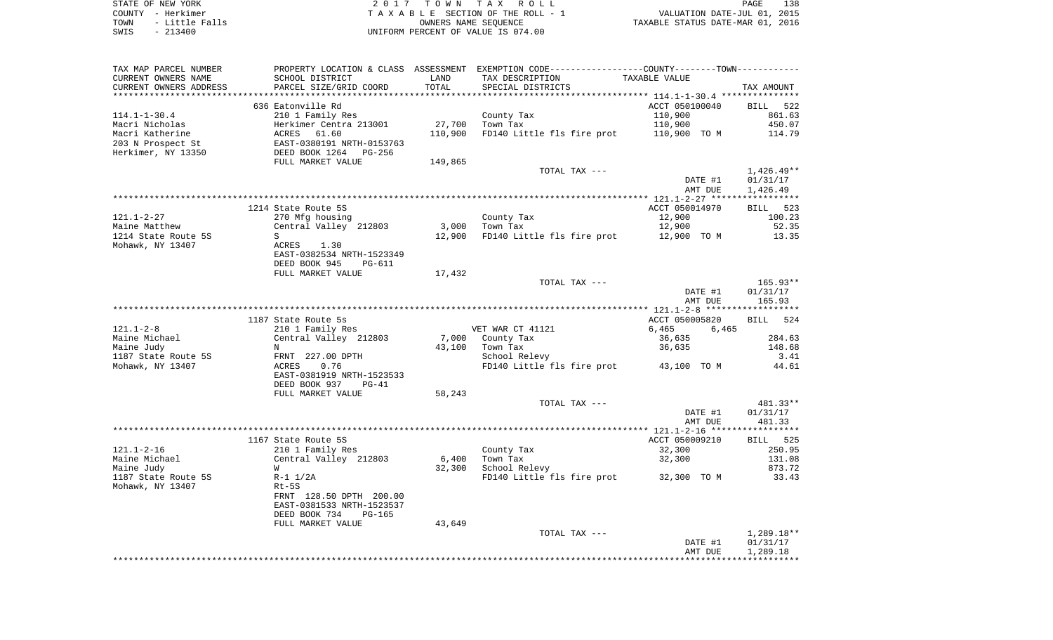STATE OF NEW YORK 2 0 1 7 T O W N T A X R O L L PAGE 138COUNTY - Herkimer **T A X A B L E** SECTION OF THE ROLL - 1 VALUATION DATE-JUL 01, 2015 TOWN - Little Falls OWNERS NAME SEQUENCE TAXABLE STATUS DATE-MAR 01, 2016 SWIS - 213400 UNIFORM PERCENT OF VALUE IS 074.00

TAX MAP PARCEL NUMBER PROPERTY LOCATION & CLASS ASSESSMENT EXEMPTION CODE------------------COUNTY--------TOWN------------ CURRENT OWNERS NAME SCHOOL DISTRICT LAND TAX DESCRIPTION TAXABLE VALUECURRENT OWNERS ADDRESS PARCEL SIZE/GRID COORD TOTAL SPECIAL DISTRICTS TAX AMOUNT \*\*\*\*\*\*\*\*\*\*\*\*\*\*\*\*\*\*\*\*\*\*\*\*\*\*\*\*\*\*\*\*\*\*\*\*\*\*\*\*\*\*\*\*\*\*\*\*\*\*\*\*\*\*\*\*\*\*\*\*\*\*\*\*\*\*\*\*\*\*\*\*\*\*\*\*\*\*\*\*\*\*\*\*\*\*\*\*\*\*\*\*\*\*\*\*\*\*\*\*\*\*\* 114.1-1-30.4 \*\*\*\*\*\*\*\*\*\*\*\*\*\*\* 636 Eatonville Rd ACCT 050100040 BILL 522861.63 114.1-1-30.4 210 1 Family Res County Tax 2001 861.10.900 Macri Nicholas 6.07 (Herkimer Centra 213001 127,700 Town Tax 110,900 110,900 110,900 450.07 Macri Katherine 6 10 ACRES 61.60 110,900 FD140 Little fls fire prot 110,900 TO M 114.79 203 N Prospect St EAST-0380191 NRTH-0153763 Herkimer, NY 13350 DEED BOOK 1264 PG-256 FULL MARKET VALUE 149,865 TOTAL TAX --- 1,426.49\*\* DATE #1 01/31/17 AMT DUE 1,426.49 \*\*\*\*\*\*\*\*\*\*\*\*\*\*\*\*\*\*\*\*\*\*\*\*\*\*\*\*\*\*\*\*\*\*\*\*\*\*\*\*\*\*\*\*\*\*\*\*\*\*\*\*\*\*\*\*\*\*\*\*\*\*\*\*\*\*\*\*\*\*\*\*\*\*\*\*\*\*\*\*\*\*\*\*\*\*\*\*\*\*\*\*\*\*\*\*\*\*\*\*\*\*\* 121.1-2-27 \*\*\*\*\*\*\*\*\*\*\*\*\*\*\*\*\*1214 State Route 5S ACCT 050014970 BILL 523 121.1-2-27 270 Mfg housing County Tax 12,900 100.23 Maine Matthew Central Valley 212803 3,000 Town Tax 12,900 52.35 1214 State Route 5S S 12,900 FD140 Little fls fire prot 12,900 TO M 13.35 Mohawk, NY 13407 **ACRES** 1.30 EAST-0382534 NRTH-1523349 DEED BOOK 945 PG-611FULL MARKET VALUE 17,432 TOTAL TAX --- 165.93\*\* DATE #1 01/31/17 AMT DUE 165.93 \*\*\*\*\*\*\*\*\*\*\*\*\*\*\*\*\*\*\*\*\*\*\*\*\*\*\*\*\*\*\*\*\*\*\*\*\*\*\*\*\*\*\*\*\*\*\*\*\*\*\*\*\*\*\*\*\*\*\*\*\*\*\*\*\*\*\*\*\*\*\*\*\*\*\*\*\*\*\*\*\*\*\*\*\*\*\*\*\*\*\*\*\*\*\*\*\*\*\*\*\*\*\* 121.1-2-8 \*\*\*\*\*\*\*\*\*\*\*\*\*\*\*\*\*\***BILL** 524 1187 State Route 5s ACCT 050005820 BILL 5244 BILL 5244 BILL 5244 BILL 5244 BILL 5244 BILL 5244 BILL 5244 BILL 5244 BILL 5244 BILL 5244 BILL 5244 BILL 5244 BILL 5244 BILL 5244 BILL 5244 BILL 5244 BILL 5244 BILL 5244 BILL 52 121.1-2-8 210 1 Family Res VET WAR CT 41121 6,465 6,465 Maine Michael Central Valley 212803 7,000 County Tax 36,635 284.63 Maine Judy N 43,100 Town Tax 36,635 148.68 1187 State Route 5S FRNT 227.00 DPTH School Relevy School Relevy 3.41 Mohawk, NY 13407 **ACRES** 0.76 **FD140** Little fls fire prot 43,100 TO M 44.61 EAST-0381919 NRTH-1523533 DEED BOOK 937 PG-41FULL MARKET VALUE 58,243 TOTAL TAX --- 481.33\*\* DATE #1 01/31/17 AMT DUE 481.33 \*\*\*\*\*\*\*\*\*\*\*\*\*\*\*\*\*\*\*\*\*\*\*\*\*\*\*\*\*\*\*\*\*\*\*\*\*\*\*\*\*\*\*\*\*\*\*\*\*\*\*\*\*\*\*\*\*\*\*\*\*\*\*\*\*\*\*\*\*\*\*\*\*\*\*\*\*\*\*\*\*\*\*\*\*\*\*\*\*\*\*\*\*\*\*\*\*\*\*\*\*\*\* 121.1-2-16 \*\*\*\*\*\*\*\*\*\*\*\*\*\*\*\*\***BILL** 525 1167 State Route 5S ACCT 050009210 121.1-2-16 210 1 Family Res County Tax 32,300 250.95 Maine Michael Central Valley 212803 6,400 Town Tax 32,300 131.08 Maine Judy W 32,300 School Relevy 873.72 1187 State Route 5S R-1 1/2A Review Review FD140 Little fls fire prot 32,300 TO M 33.43 Mohawk, NY 13407 Rt-5S FRNT 128.50 DPTH 200.00 EAST-0381533 NRTH-1523537 DEED BOOK 734 PG-165FULL MARKET VALUE 43,649 TOTAL TAX  $---$  1,289.18\*\* DATE #1 01/31/17 AMT DUE 1,289.18 \*\*\*\*\*\*\*\*\*\*\*\*\*\*\*\*\*\*\*\*\*\*\*\*\*\*\*\*\*\*\*\*\*\*\*\*\*\*\*\*\*\*\*\*\*\*\*\*\*\*\*\*\*\*\*\*\*\*\*\*\*\*\*\*\*\*\*\*\*\*\*\*\*\*\*\*\*\*\*\*\*\*\*\*\*\*\*\*\*\*\*\*\*\*\*\*\*\*\*\*\*\*\*\*\*\*\*\*\*\*\*\*\*\*\*\*\*\*\*\*\*\*\*\*\*\*\*\*\*\*\*\*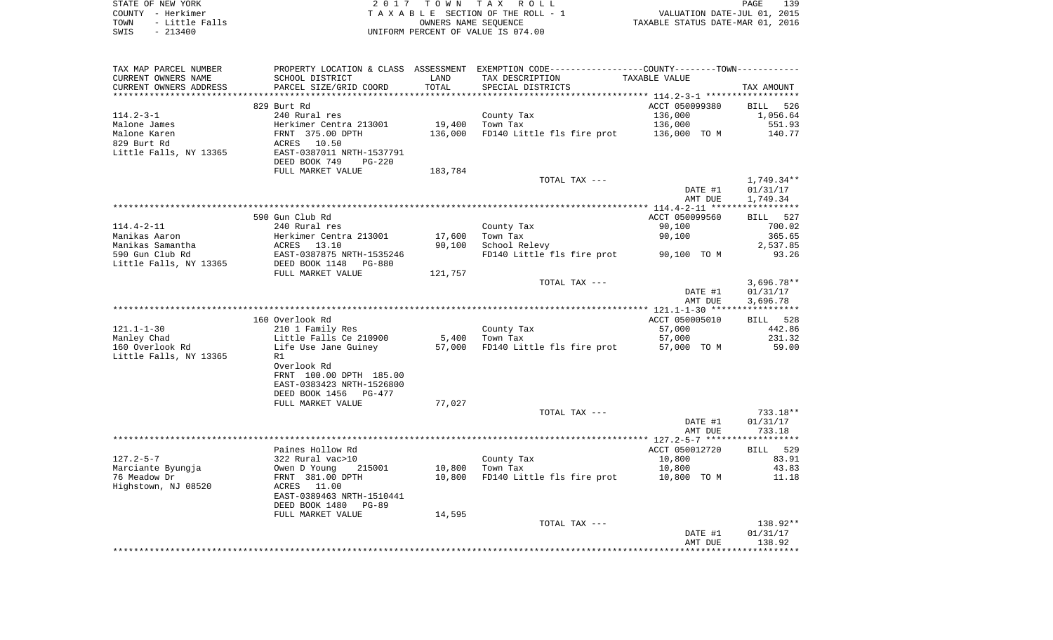| STATE OF NEW YORK      | 2017 TOWN TAX ROLL                 | 139<br>PAGE                      |
|------------------------|------------------------------------|----------------------------------|
| COUNTY - Herkimer      | TAXABLE SECTION OF THE ROLL - 1    | VALUATION DATE-JUL 01, 2015      |
| - Little Falls<br>TOWN | OWNERS NAME SEOUENCE               | TAXABLE STATUS DATE-MAR 01, 2016 |
| SWIS<br>$-213400$      | UNIFORM PERCENT OF VALUE IS 074.00 |                                  |

| TAX MAP PARCEL NUMBER<br>CURRENT OWNERS NAME | SCHOOL DISTRICT                | LAND       | PROPERTY LOCATION & CLASS ASSESSMENT EXEMPTION CODE---------------COUNTY-------TOWN----------<br>TAX DESCRIPTION | TAXABLE VALUE  |              |
|----------------------------------------------|--------------------------------|------------|------------------------------------------------------------------------------------------------------------------|----------------|--------------|
| CURRENT OWNERS ADDRESS                       | PARCEL SIZE/GRID COORD         | TOTAL      | SPECIAL DISTRICTS                                                                                                |                | TAX AMOUNT   |
|                                              |                                | ********** |                                                                                                                  |                |              |
|                                              | 829 Burt Rd                    |            |                                                                                                                  | ACCT 050099380 | BILL 526     |
| $114.2 - 3 - 1$                              | 240 Rural res                  |            | County Tax                                                                                                       | 136,000        | 1,056.64     |
| Malone James                                 | Herkimer Centra 213001         | 19,400     | Town Tax                                                                                                         | 136,000        | 551.93       |
| Malone Karen                                 | FRNT 375.00 DPTH               | 136,000    | FD140 Little fls fire prot                                                                                       | 136,000 TO M   | 140.77       |
| 829 Burt Rd                                  | ACRES 10.50                    |            |                                                                                                                  |                |              |
| Little Falls, NY 13365                       | EAST-0387011 NRTH-1537791      |            |                                                                                                                  |                |              |
|                                              | DEED BOOK 749<br><b>PG-220</b> |            |                                                                                                                  |                |              |
|                                              | FULL MARKET VALUE              | 183,784    |                                                                                                                  |                |              |
|                                              |                                |            | TOTAL TAX ---                                                                                                    |                | 1,749.34**   |
|                                              |                                |            |                                                                                                                  | DATE #1        | 01/31/17     |
|                                              |                                |            |                                                                                                                  | AMT DUE        | 1,749.34     |
|                                              |                                |            |                                                                                                                  |                |              |
|                                              | 590 Gun Club Rd                |            |                                                                                                                  | ACCT 050099560 | BILL 527     |
| $114.4 - 2 - 11$                             | 240 Rural res                  |            | County Tax                                                                                                       | 90,100         | 700.02       |
| Manikas Aaron                                | Herkimer Centra 213001         | 17,600     | Town Tax                                                                                                         | 90,100         | 365.65       |
| Manikas Samantha                             | 13.10<br>ACRES                 | 90,100     | School Relevy                                                                                                    |                | 2,537.85     |
| 590 Gun Club Rd                              | EAST-0387875 NRTH-1535246      |            | FD140 Little fls fire prot                                                                                       | 90,100 TO M    | 93.26        |
| Little Falls, NY 13365                       | DEED BOOK 1148<br>PG-880       |            |                                                                                                                  |                |              |
|                                              | FULL MARKET VALUE              | 121,757    |                                                                                                                  |                |              |
|                                              |                                |            | TOTAL TAX ---                                                                                                    |                | $3,696.78**$ |
|                                              |                                |            |                                                                                                                  | DATE #1        | 01/31/17     |
|                                              |                                |            |                                                                                                                  | AMT DUE        | 3,696.78     |
|                                              |                                |            |                                                                                                                  |                |              |
|                                              | 160 Overlook Rd                |            |                                                                                                                  | ACCT 050005010 | BILL 528     |
| 121.1-1-30                                   | 210 1 Family Res               |            | County Tax                                                                                                       | 57,000         | 442.86       |
| Manley Chad                                  | Little Falls Ce 210900         | 5,400      | Town Tax                                                                                                         | 57,000         | 231.32       |
| 160 Overlook Rd                              | Life Use Jane Guiney           | 57,000     | FD140 Little fls fire prot                                                                                       | 57,000 TO M    | 59.00        |
| Little Falls, NY 13365                       | R1                             |            |                                                                                                                  |                |              |
|                                              | Overlook Rd                    |            |                                                                                                                  |                |              |
|                                              | FRNT 100.00 DPTH 185.00        |            |                                                                                                                  |                |              |
|                                              | EAST-0383423 NRTH-1526800      |            |                                                                                                                  |                |              |
|                                              | DEED BOOK 1456<br>PG-477       |            |                                                                                                                  |                |              |
|                                              | FULL MARKET VALUE              | 77,027     |                                                                                                                  |                |              |
|                                              |                                |            | TOTAL TAX ---                                                                                                    |                | $733.18**$   |
|                                              |                                |            |                                                                                                                  | DATE #1        | 01/31/17     |
|                                              |                                |            |                                                                                                                  | AMT DUE        | 733.18       |
|                                              |                                |            |                                                                                                                  |                |              |
|                                              | Paines Hollow Rd               |            |                                                                                                                  | ACCT 050012720 | BILL 529     |
| $127.2 - 5 - 7$                              | 322 Rural vac>10               |            | County Tax                                                                                                       | 10,800         | 83.91        |
| Marciante Byungja                            | Owen D Young<br>215001         | 10,800     | Town Tax                                                                                                         | 10,800         | 43.83        |
| 76 Meadow Dr                                 | FRNT 381.00 DPTH               | 10,800     | FD140 Little fls fire prot                                                                                       | 10,800 TO M    | 11.18        |
| Highstown, NJ 08520                          | ACRES 11.00                    |            |                                                                                                                  |                |              |
|                                              | EAST-0389463 NRTH-1510441      |            |                                                                                                                  |                |              |
|                                              | DEED BOOK 1480<br>PG-89        |            |                                                                                                                  |                |              |
|                                              | FULL MARKET VALUE              | 14,595     |                                                                                                                  |                |              |
|                                              |                                |            | TOTAL TAX ---                                                                                                    |                | 138.92**     |
|                                              |                                |            |                                                                                                                  | DATE #1        | 01/31/17     |
|                                              |                                |            |                                                                                                                  | AMT DUE        | 138.92       |
|                                              |                                |            |                                                                                                                  |                |              |
|                                              |                                |            |                                                                                                                  |                |              |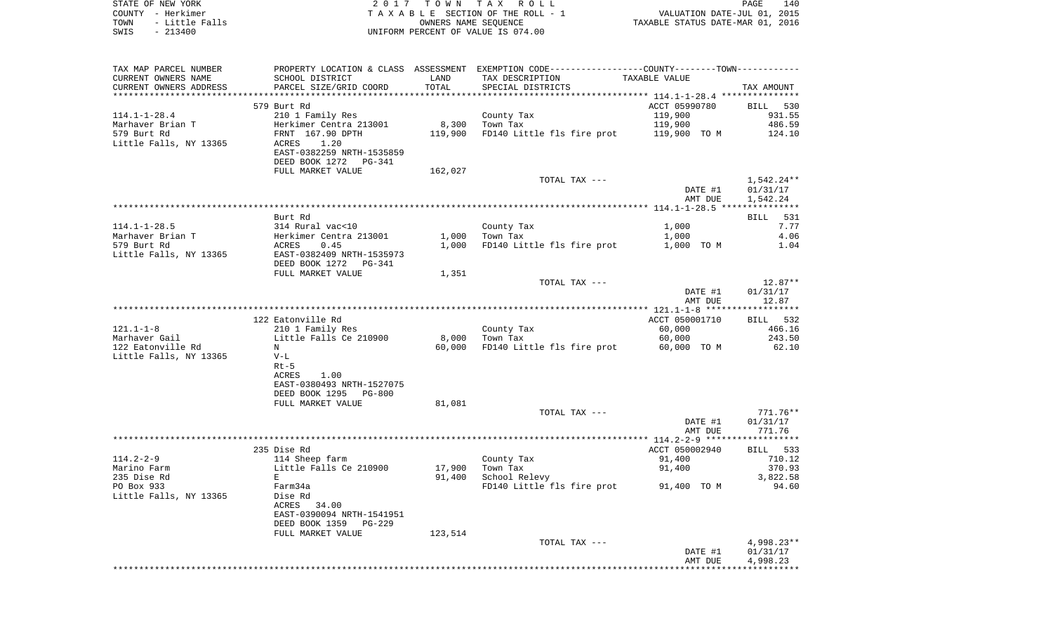|      | STATE OF NEW YORK | 2017 TOWN TAX ROLL                 | PAGE                             | 140 |
|------|-------------------|------------------------------------|----------------------------------|-----|
|      | COUNTY - Herkimer | TAXABLE SECTION OF THE ROLL - 1    | VALUATION DATE-JUL 01, 2015      |     |
| TOWN | - Little Falls    | OWNERS NAME SEOUENCE               | TAXABLE STATUS DATE-MAR 01, 2016 |     |
| SWIS | - 213400          | UNIFORM PERCENT OF VALUE IS 074.00 |                                  |     |

| TAX MAP PARCEL NUMBER   |                           |         | PROPERTY LOCATION & CLASS ASSESSMENT EXEMPTION CODE-----------------COUNTY-------TOWN----------- |                |              |
|-------------------------|---------------------------|---------|--------------------------------------------------------------------------------------------------|----------------|--------------|
| CURRENT OWNERS NAME     | SCHOOL DISTRICT           | LAND    | TAX DESCRIPTION                                                                                  | TAXABLE VALUE  |              |
| CURRENT OWNERS ADDRESS  | PARCEL SIZE/GRID COORD    | TOTAL   | SPECIAL DISTRICTS                                                                                |                | TAX AMOUNT   |
| *********************** |                           |         |                                                                                                  |                |              |
|                         | 579 Burt Rd               |         |                                                                                                  | ACCT 05990780  | BILL 530     |
| $114.1 - 1 - 28.4$      | 210 1 Family Res          |         | County Tax                                                                                       | 119,900        | 931.55       |
| Marhaver Brian T        | Herkimer Centra 213001    |         | 8,300 Town Tax                                                                                   | 119,900        | 486.59       |
| 579 Burt Rd             | FRNT 167.90 DPTH          |         | 119,900 FD140 Little fls fire prot 119,900 TO M                                                  |                | 124.10       |
| Little Falls, NY 13365  | ACRES<br>1.20             |         |                                                                                                  |                |              |
|                         | EAST-0382259 NRTH-1535859 |         |                                                                                                  |                |              |
|                         |                           |         |                                                                                                  |                |              |
|                         | DEED BOOK 1272 PG-341     |         |                                                                                                  |                |              |
|                         | FULL MARKET VALUE         | 162,027 |                                                                                                  |                |              |
|                         |                           |         | TOTAL TAX ---                                                                                    |                | 1,542.24**   |
|                         |                           |         |                                                                                                  | DATE #1        | 01/31/17     |
|                         |                           |         |                                                                                                  | AMT DUE        | 1,542.24     |
|                         |                           |         |                                                                                                  |                |              |
|                         | Burt Rd                   |         |                                                                                                  |                | BILL 531     |
| $114.1 - 1 - 28.5$      | 314 Rural vac<10          |         | County Tax                                                                                       | 1,000          | 7.77         |
| Marhaver Brian T        | Herkimer Centra 213001    |         | $1,000$ Town Tax                                                                                 | 1,000          | 4.06         |
| 579 Burt Rd             | ACRES<br>0.45             |         | 1,000 FD140 Little fls fire prot 1,000 TO M                                                      |                | 1.04         |
| Little Falls, NY 13365  | EAST-0382409 NRTH-1535973 |         |                                                                                                  |                |              |
|                         | DEED BOOK 1272 PG-341     |         |                                                                                                  |                |              |
|                         | FULL MARKET VALUE         | 1,351   |                                                                                                  |                |              |
|                         |                           |         | TOTAL TAX ---                                                                                    |                | 12.87**      |
|                         |                           |         |                                                                                                  | DATE #1        | 01/31/17     |
|                         |                           |         |                                                                                                  | AMT DUE        | 12.87        |
|                         |                           |         |                                                                                                  |                |              |
|                         | 122 Eatonville Rd         |         |                                                                                                  | ACCT 050001710 | BILL 532     |
| $121.1 - 1 - 8$         | 210 1 Family Res          |         | County Tax                                                                                       | 60,000         | 466.16       |
|                         |                           |         | 8,000 Town Tax                                                                                   |                | 243.50       |
| Marhaver Gail           | Little Falls Ce 210900    |         |                                                                                                  | 60,000         |              |
| 122 Eatonville Rd       | N                         | 60,000  | FD140 Little fls fire prot                                                                       | 60,000 TO M    | 62.10        |
| Little Falls, NY 13365  | $V-L$                     |         |                                                                                                  |                |              |
|                         | $Rt-5$                    |         |                                                                                                  |                |              |
|                         | ACRES<br>1.00             |         |                                                                                                  |                |              |
|                         | EAST-0380493 NRTH-1527075 |         |                                                                                                  |                |              |
|                         | DEED BOOK 1295<br>PG-800  |         |                                                                                                  |                |              |
|                         | FULL MARKET VALUE         | 81,081  |                                                                                                  |                |              |
|                         |                           |         | TOTAL TAX ---                                                                                    |                | $771.76**$   |
|                         |                           |         |                                                                                                  | DATE #1        | 01/31/17     |
|                         |                           |         |                                                                                                  | AMT DUE        | 771.76       |
|                         |                           |         |                                                                                                  |                |              |
|                         | 235 Dise Rd               |         |                                                                                                  | ACCT 050002940 | BILL 533     |
| $114.2 - 2 - 9$         | 114 Sheep farm            |         | County Tax                                                                                       | 91,400         | 710.12       |
| Marino Farm             | Little Falls Ce 210900    | 17,900  | Town Tax                                                                                         | 91,400         | 370.93       |
| 235 Dise Rd             | E                         | 91,400  | School Relevy                                                                                    |                | 3,822.58     |
| PO Box 933              | Farm34a                   |         | FD140 Little fls fire prot 91,400 TO M                                                           |                | 94.60        |
| Little Falls, NY 13365  | Dise Rd                   |         |                                                                                                  |                |              |
|                         | ACRES 34.00               |         |                                                                                                  |                |              |
|                         | EAST-0390094 NRTH-1541951 |         |                                                                                                  |                |              |
|                         | DEED BOOK 1359<br>PG-229  |         |                                                                                                  |                |              |
|                         | FULL MARKET VALUE         | 123,514 |                                                                                                  |                |              |
|                         |                           |         | TOTAL TAX ---                                                                                    |                | $4,998.23**$ |
|                         |                           |         |                                                                                                  | DATE #1        | 01/31/17     |
|                         |                           |         |                                                                                                  | AMT DUE        |              |
|                         |                           |         |                                                                                                  |                | 4,998.23     |
|                         |                           |         |                                                                                                  |                |              |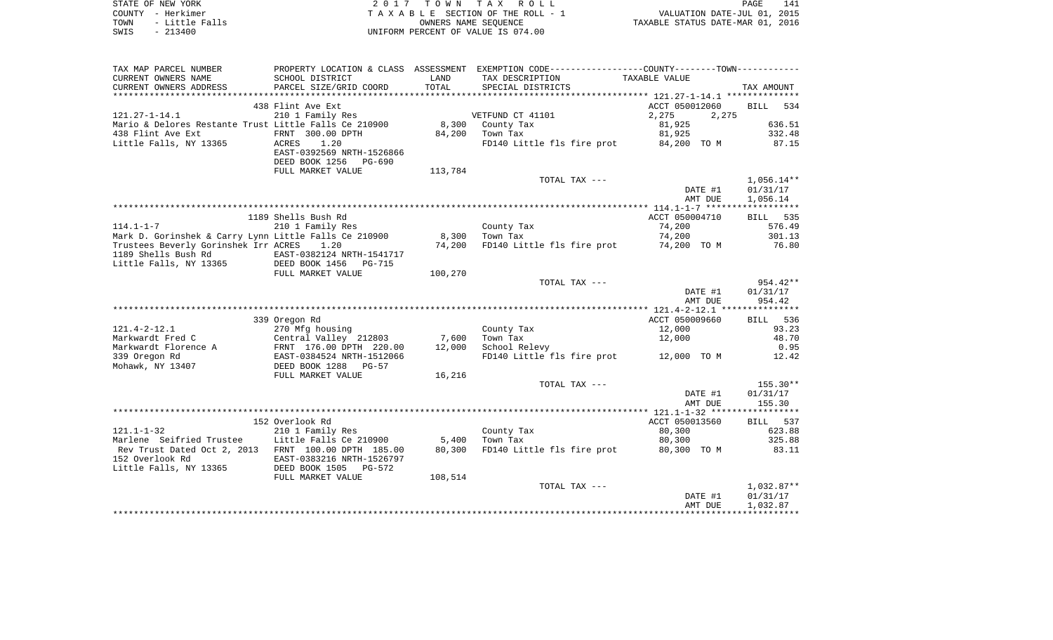| STATE OF NEW YORK      | 2017 TOWN TAX ROLL                 | 141<br>PAGE                      |
|------------------------|------------------------------------|----------------------------------|
| COUNTY - Herkimer      | TAXABLE SECTION OF THE ROLL - 1    | VALUATION DATE-JUL 01, 2015      |
| - Little Falls<br>TOWN | OWNERS NAME SEOUENCE               | TAXABLE STATUS DATE-MAR 01, 2016 |
| $-213400$<br>SWIS      | UNIFORM PERCENT OF VALUE IS 074.00 |                                  |

| TAX MAP PARCEL NUMBER                                 |                                                                            |         |                            | PROPERTY LOCATION & CLASS ASSESSMENT EXEMPTION CODE---------------COUNTY-------TOWN---------- |                    |
|-------------------------------------------------------|----------------------------------------------------------------------------|---------|----------------------------|-----------------------------------------------------------------------------------------------|--------------------|
| CURRENT OWNERS NAME                                   | SCHOOL DISTRICT                                                            | LAND    | TAX DESCRIPTION            | TAXABLE VALUE                                                                                 |                    |
| CURRENT OWNERS ADDRESS                                | PARCEL SIZE/GRID COORD                                                     | TOTAL   | SPECIAL DISTRICTS          |                                                                                               | TAX AMOUNT         |
|                                                       |                                                                            |         |                            |                                                                                               |                    |
|                                                       | 438 Flint Ave Ext                                                          |         |                            | ACCT 050012060                                                                                | <b>BILL</b><br>534 |
| $121.27 - 1 - 14.1$                                   | 210 1 Family Res                                                           |         | VETFUND CT 41101           | 2,275<br>2,275                                                                                |                    |
| Mario & Delores Restante Trust Little Falls Ce 210900 |                                                                            | 8,300   | County Tax                 | 81,925                                                                                        | 636.51             |
| 438 Flint Ave Ext                                     | FRNT 300.00 DPTH                                                           | 84,200  | Town Tax                   | 81,925                                                                                        | 332.48             |
| Little Falls, NY 13365                                | <b>ACRES</b><br>1.20<br>EAST-0392569 NRTH-1526866<br>DEED BOOK 1256 PG-690 |         |                            | FD140 Little fls fire prot 84,200 TO M                                                        | 87.15              |
|                                                       | FULL MARKET VALUE                                                          | 113,784 |                            |                                                                                               |                    |
|                                                       |                                                                            |         | TOTAL TAX ---              |                                                                                               | $1,056.14**$       |
|                                                       |                                                                            |         |                            | DATE #1                                                                                       | 01/31/17           |
|                                                       |                                                                            |         |                            | AMT DUE                                                                                       | 1,056.14           |
|                                                       |                                                                            |         |                            |                                                                                               |                    |
|                                                       | 1189 Shells Bush Rd                                                        |         |                            | ACCT 050004710                                                                                | BILL 535           |
| $114.1 - 1 - 7$                                       | 210 1 Family Res                                                           |         | County Tax                 | 74,200                                                                                        | 576.49             |
| Mark D. Gorinshek & Carry Lynn Little Falls Ce 210900 |                                                                            | 8,300   | Town Tax                   | 74,200                                                                                        | 301.13             |
| Trustees Beverly Gorinshek Irr ACRES                  | 1.20                                                                       | 74,200  |                            | FD140 Little fls fire prot 74,200 TO M                                                        | 76.80              |
| 1189 Shells Bush Rd                                   |                                                                            |         |                            |                                                                                               |                    |
| Little Falls, NY 13365                                |                                                                            |         |                            |                                                                                               |                    |
|                                                       | FULL MARKET VALUE                                                          | 100,270 |                            |                                                                                               |                    |
|                                                       |                                                                            |         | TOTAL TAX ---              |                                                                                               | 954.42**           |
|                                                       |                                                                            |         |                            | DATE #1                                                                                       | 01/31/17           |
|                                                       |                                                                            |         |                            | AMT DUE                                                                                       | 954.42             |
|                                                       |                                                                            |         |                            |                                                                                               |                    |
|                                                       | 339 Oregon Rd                                                              |         |                            | ACCT 050009660                                                                                | BILL 536           |
| $121.4 - 2 - 12.1$                                    | 270 Mfg housing                                                            |         | County Tax                 | 12,000                                                                                        | 93.23              |
| Markwardt Fred C                                      | Central Valley 212803                                                      | 7,600   | Town Tax                   | 12,000                                                                                        | 48.70              |
| Markwardt Florence A                                  | FRNT 176.00 DPTH 220.00                                                    | 12,000  | School Relevy              |                                                                                               | 0.95               |
| 339 Oregon Rd                                         | EAST-0384524 NRTH-1512066                                                  |         |                            | FD140 Little fls fire prot 12,000 TO M                                                        | 12.42              |
| Mohawk, NY 13407                                      | DEED BOOK 1288 PG-57                                                       |         |                            |                                                                                               |                    |
|                                                       | FULL MARKET VALUE                                                          | 16,216  |                            |                                                                                               |                    |
|                                                       |                                                                            |         | TOTAL TAX ---              |                                                                                               | 155.30**           |
|                                                       |                                                                            |         |                            | DATE #1                                                                                       | 01/31/17           |
|                                                       |                                                                            |         |                            | AMT DUE                                                                                       | 155.30             |
|                                                       |                                                                            |         |                            |                                                                                               |                    |
|                                                       | 152 Overlook Rd                                                            |         |                            | ACCT 050013560                                                                                | BILL 537           |
| $121.1 - 1 - 32$                                      | 210 1 Family Res                                                           |         | County Tax                 | 80,300                                                                                        | 623.88             |
| Marlene Seifried Trustee                              | Little Falls Ce 210900                                                     | 5,400   | Town Tax                   | 80,300                                                                                        | 325.88             |
| Rev Trust Dated Oct 2, 2013 FRNT 100.00 DPTH 185.00   |                                                                            | 80,300  | FD140 Little fls fire prot | 80,300 TO M                                                                                   | 83.11              |
| 152 Overlook Rd                                       | EAST-0383216 NRTH-1526797                                                  |         |                            |                                                                                               |                    |
| Little Falls, NY 13365 DEED BOOK 1505 PG-572          |                                                                            |         |                            |                                                                                               |                    |
|                                                       | FULL MARKET VALUE                                                          | 108,514 |                            |                                                                                               |                    |
|                                                       |                                                                            |         | TOTAL TAX ---              |                                                                                               | $1,032.87**$       |
|                                                       |                                                                            |         |                            | DATE #1                                                                                       | 01/31/17           |
|                                                       |                                                                            |         |                            | AMT DUE                                                                                       | 1,032.87           |
|                                                       |                                                                            |         |                            |                                                                                               |                    |
|                                                       |                                                                            |         |                            |                                                                                               |                    |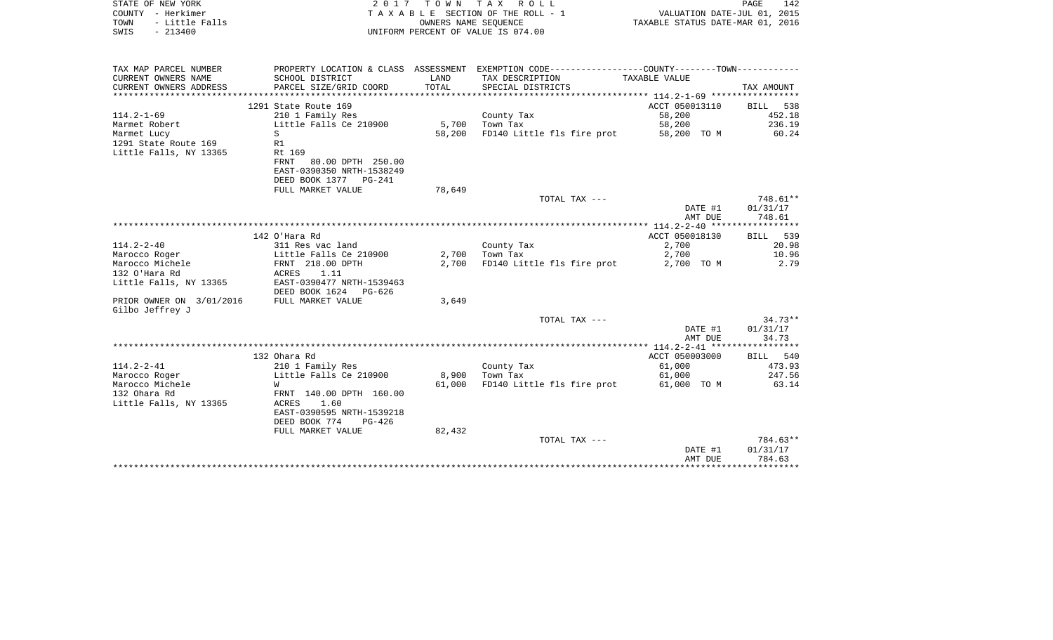| STATE OF NEW YORK<br>COUNTY - Herkimer<br>- Little Falls<br>TOWN           | 2017<br>TAXABLE SECTION OF THE ROLL - 1                                                | PAGE<br>142<br>VALUATION DATE-JUL 01, 2015<br>TAXABLE STATUS DATE-MAR 01, 2016 |                                                                                               |                    |                                |
|----------------------------------------------------------------------------|----------------------------------------------------------------------------------------|--------------------------------------------------------------------------------|-----------------------------------------------------------------------------------------------|--------------------|--------------------------------|
| $-213400$<br>SWIS                                                          |                                                                                        |                                                                                | UNIFORM PERCENT OF VALUE IS 074.00                                                            |                    |                                |
| TAX MAP PARCEL NUMBER                                                      |                                                                                        |                                                                                | PROPERTY LOCATION & CLASS ASSESSMENT EXEMPTION CODE---------------COUNTY-------TOWN---------- |                    |                                |
| CURRENT OWNERS NAME<br>CURRENT OWNERS ADDRESS<br>************************* | SCHOOL DISTRICT<br>PARCEL SIZE/GRID COORD                                              | LAND<br><b>TOTAL</b>                                                           | TAX DESCRIPTION<br>SPECIAL DISTRICTS                                                          | TAXABLE VALUE      | TAX AMOUNT                     |
|                                                                            | 1291 State Route 169                                                                   |                                                                                |                                                                                               | ACCT 050013110     | <b>BILL</b><br>538             |
| $114.2 - 1 - 69$<br>Marmet Robert                                          | 210 1 Family Res<br>Little Falls Ce 210900                                             | 5,700                                                                          | County Tax<br>Town Tax                                                                        | 58,200<br>58,200   | 452.18<br>236.19               |
| Marmet Lucy<br>1291 State Route 169<br>Little Falls, NY 13365              | S<br>R1<br>Rt 169                                                                      | 58,200                                                                         | FD140 Little fls fire prot                                                                    | 58,200 TO M        | 60.24                          |
|                                                                            | <b>FRNT</b><br>80.00 DPTH 250.00<br>EAST-0390350 NRTH-1538249<br>DEED BOOK 1377 PG-241 |                                                                                |                                                                                               |                    |                                |
|                                                                            | FULL MARKET VALUE                                                                      | 78,649                                                                         |                                                                                               |                    |                                |
|                                                                            |                                                                                        |                                                                                | TOTAL TAX ---                                                                                 | DATE #1<br>AMT DUE | 748.61**<br>01/31/17<br>748.61 |
|                                                                            |                                                                                        |                                                                                |                                                                                               |                    |                                |
|                                                                            | 142 O'Hara Rd                                                                          |                                                                                |                                                                                               | ACCT 050018130     | 539<br>BILL.                   |
| $114.2 - 2 - 40$                                                           | 311 Res vac land                                                                       |                                                                                | County Tax                                                                                    | 2,700              | 20.98                          |
| Marocco Roger                                                              | Little Falls Ce 210900                                                                 | 2,700                                                                          | Town Tax                                                                                      | 2,700              | 10.96                          |
| Marocco Michele<br>132 O'Hara Rd                                           | FRNT 218.00 DPTH<br>1.11<br>ACRES                                                      | 2,700                                                                          | FD140 Little fls fire prot                                                                    | 2,700 TO M         | 2.79                           |
| Little Falls, NY 13365                                                     | EAST-0390477 NRTH-1539463<br>DEED BOOK 1624<br>$PG-626$                                |                                                                                |                                                                                               |                    |                                |
| PRIOR OWNER ON 3/01/2016<br>Gilbo Jeffrey J                                | FULL MARKET VALUE                                                                      | 3,649                                                                          |                                                                                               |                    |                                |
|                                                                            |                                                                                        |                                                                                | TOTAL TAX ---                                                                                 | DATE #1<br>AMT DUE | $34.73**$<br>01/31/17<br>34.73 |
|                                                                            |                                                                                        |                                                                                |                                                                                               |                    |                                |
|                                                                            | 132 Ohara Rd                                                                           |                                                                                |                                                                                               | ACCT 050003000     | 540<br>BILL                    |
| $114.2 - 2 - 41$                                                           | 210 1 Family Res                                                                       |                                                                                | County Tax                                                                                    | 61,000             | 473.93                         |
| Marocco Roger                                                              | Little Falls Ce 210900                                                                 | 8,900                                                                          | Town Tax                                                                                      | 61,000             | 247.56                         |
| Marocco Michele<br>132 Ohara Rd<br>Little Falls, NY 13365                  | W<br>FRNT 140.00 DPTH 160.00<br><b>ACRES</b><br>1.60                                   | 61,000                                                                         | FD140 Little fls fire prot                                                                    | 61,000 TO M        | 63.14                          |
|                                                                            | EAST-0390595 NRTH-1539218<br>DEED BOOK 774<br>PG-426<br>FULL MARKET VALUE              | 82,432                                                                         |                                                                                               |                    |                                |
|                                                                            |                                                                                        |                                                                                | TOTAL TAX ---                                                                                 | DATE #1<br>AMT DUE | 784.63**<br>01/31/17<br>784.63 |
|                                                                            |                                                                                        |                                                                                |                                                                                               |                    |                                |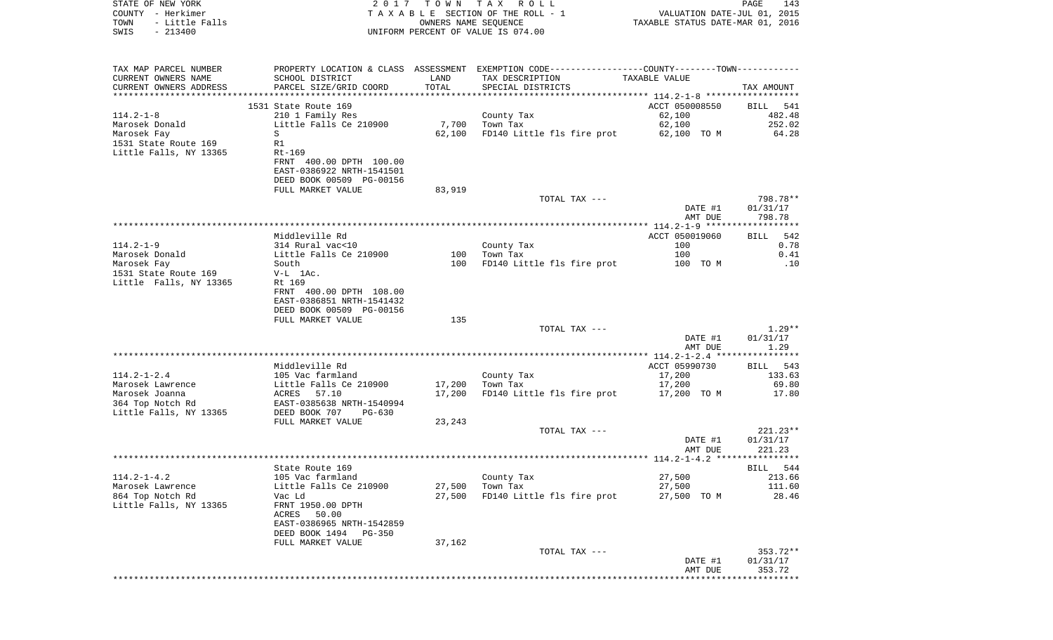| COUNTY - Herkimer<br>TOWN<br>- Little Falls<br>SWIS<br>$-213400$ |                                              |        | TAXABLE SECTION OF THE ROLL - 1<br>OWNERS NAME SEQUENCE<br>UNIFORM PERCENT OF VALUE IS 074.00 | VALUATION DATE-JUL 01, 2015<br>TAXABLE STATUS DATE-MAR 01, 2016 |                      |
|------------------------------------------------------------------|----------------------------------------------|--------|-----------------------------------------------------------------------------------------------|-----------------------------------------------------------------|----------------------|
| TAX MAP PARCEL NUMBER                                            |                                              |        | PROPERTY LOCATION & CLASS ASSESSMENT EXEMPTION CODE---------------COUNTY-------TOWN---------- |                                                                 |                      |
| CURRENT OWNERS NAME                                              | SCHOOL DISTRICT                              | LAND   | TAX DESCRIPTION                                                                               | TAXABLE VALUE                                                   |                      |
| CURRENT OWNERS ADDRESS                                           | PARCEL SIZE/GRID COORD                       | TOTAL  | SPECIAL DISTRICTS                                                                             |                                                                 | TAX AMOUNT           |
|                                                                  | 1531 State Route 169                         |        |                                                                                               | ACCT 050008550                                                  | BILL 541             |
| 114.2-1-8                                                        | 210 1 Family Res                             |        | County Tax                                                                                    | 62,100                                                          | 482.48               |
| Marosek Donald                                                   | Little Falls Ce 210900                       | 7,700  | Town Tax                                                                                      | 62,100                                                          | 252.02               |
| Marosek Fay                                                      | S                                            | 62,100 | FD140 Little fls fire prot                                                                    | 62,100 TO M                                                     | 64.28                |
| 1531 State Route 169                                             | R1                                           |        |                                                                                               |                                                                 |                      |
| Little Falls, NY 13365                                           | $Rt-169$<br>FRNT 400.00 DPTH 100.00          |        |                                                                                               |                                                                 |                      |
|                                                                  | EAST-0386922 NRTH-1541501                    |        |                                                                                               |                                                                 |                      |
|                                                                  | DEED BOOK 00509 PG-00156                     |        |                                                                                               |                                                                 |                      |
|                                                                  | FULL MARKET VALUE                            | 83,919 |                                                                                               |                                                                 |                      |
|                                                                  |                                              |        | TOTAL TAX ---                                                                                 |                                                                 | 798.78**             |
|                                                                  |                                              |        |                                                                                               | DATE #1                                                         | 01/31/17             |
|                                                                  |                                              |        |                                                                                               | AMT DUE                                                         | 798.78               |
|                                                                  | Middleville Rd                               |        |                                                                                               | ACCT 050019060                                                  | 542<br>BILL          |
| $114.2 - 1 - 9$                                                  | 314 Rural vac<10                             |        | County Tax                                                                                    | 100                                                             | 0.78                 |
| Marosek Donald                                                   | Little Falls Ce 210900                       | 100    | Town Tax                                                                                      | 100                                                             | 0.41                 |
| Marosek Fay                                                      | South                                        | 100    | FD140 Little fls fire prot                                                                    | 100 TO M                                                        | .10                  |
| 1531 State Route 169                                             | $V-L$ 1Ac.                                   |        |                                                                                               |                                                                 |                      |
| Little Falls, NY 13365                                           | Rt 169<br>FRNT 400.00 DPTH 108.00            |        |                                                                                               |                                                                 |                      |
|                                                                  | EAST-0386851 NRTH-1541432                    |        |                                                                                               |                                                                 |                      |
|                                                                  | DEED BOOK 00509 PG-00156                     |        |                                                                                               |                                                                 |                      |
|                                                                  | FULL MARKET VALUE                            | 135    |                                                                                               |                                                                 |                      |
|                                                                  |                                              |        | TOTAL TAX ---                                                                                 |                                                                 | $1.29**$             |
|                                                                  |                                              |        |                                                                                               | DATE #1                                                         | 01/31/17             |
|                                                                  |                                              |        |                                                                                               | AMT DUE                                                         | 1.29                 |
|                                                                  | Middleville Rd                               |        |                                                                                               | ACCT 05990730                                                   | BILL<br>543          |
| $114.2 - 1 - 2.4$                                                | 105 Vac farmland                             |        | County Tax                                                                                    | 17,200                                                          | 133.63               |
| Marosek Lawrence                                                 | Little Falls Ce 210900                       | 17,200 | Town Tax                                                                                      | 17,200                                                          | 69.80                |
| Marosek Joanna                                                   | ACRES 57.10                                  | 17,200 | FD140 Little fls fire prot                                                                    | 17,200 TO M                                                     | 17.80                |
| 364 Top Notch Rd                                                 | EAST-0385638 NRTH-1540994                    |        |                                                                                               |                                                                 |                      |
| Little Falls, NY 13365                                           | DEED BOOK 707<br>PG-630<br>FULL MARKET VALUE | 23,243 |                                                                                               |                                                                 |                      |
|                                                                  |                                              |        | TOTAL TAX ---                                                                                 |                                                                 | $221.23**$           |
|                                                                  |                                              |        |                                                                                               | DATE #1                                                         | 01/31/17             |
|                                                                  |                                              |        |                                                                                               | AMT DUE                                                         | 221.23               |
|                                                                  |                                              |        |                                                                                               |                                                                 |                      |
|                                                                  | State Route 169                              |        |                                                                                               |                                                                 | 544<br>BILL          |
| 114.2-1-4.2<br>Marosek Lawrence                                  | 105 Vac farmland<br>Little Falls Ce 210900   | 27,500 | County Tax<br>Town Tax                                                                        | 27,500<br>27,500                                                | 213.66<br>111.60     |
| 864 Top Notch Rd                                                 | Vac Ld                                       | 27,500 | FD140 Little fls fire prot                                                                    | 27,500 TO M                                                     | 28.46                |
| Little Falls, NY 13365                                           | FRNT 1950.00 DPTH                            |        |                                                                                               |                                                                 |                      |
|                                                                  | ACRES<br>50.00                               |        |                                                                                               |                                                                 |                      |
|                                                                  | EAST-0386965 NRTH-1542859                    |        |                                                                                               |                                                                 |                      |
|                                                                  | DEED BOOK 1494<br>PG-350                     |        |                                                                                               |                                                                 |                      |
|                                                                  | FULL MARKET VALUE                            | 37,162 |                                                                                               |                                                                 |                      |
|                                                                  |                                              |        | TOTAL TAX ---                                                                                 | DATE #1                                                         | 353.72**<br>01/31/17 |
|                                                                  |                                              |        |                                                                                               | AMT DUE                                                         | 353.72               |
|                                                                  |                                              |        |                                                                                               |                                                                 |                      |

PAGE 143

STATE OF NEW YORK **EXECUTE:**  $2017$  TOWN TAX ROLL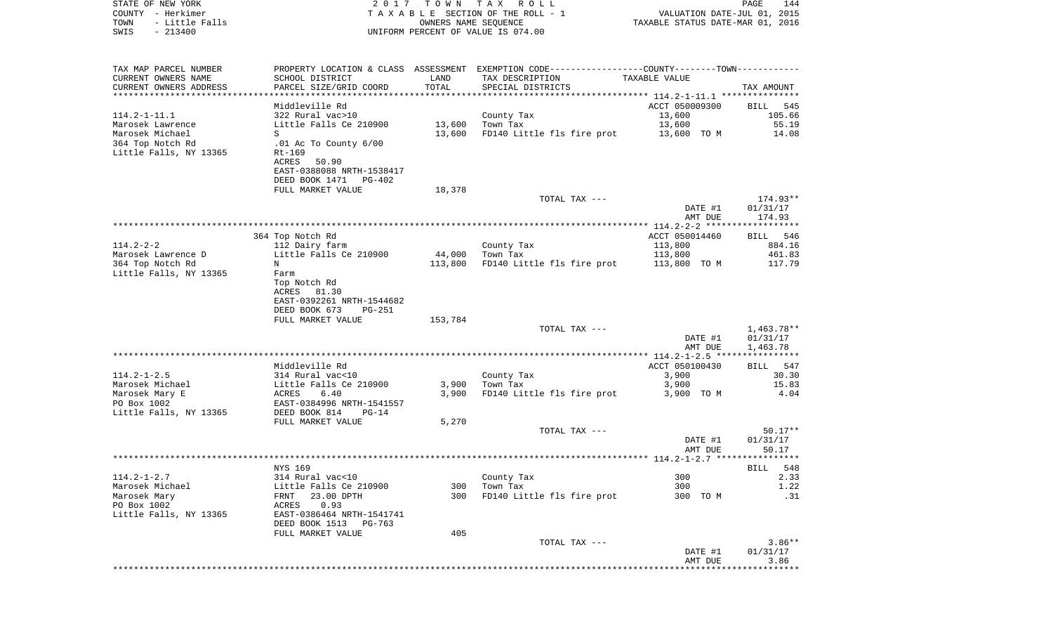| COUNTY - Herkimer<br>TOWN<br>- Little Falls<br>$-213400$<br>SWIS                                   |                                                                                                                           |                   | TAXABLE SECTION OF THE ROLL - 1<br>OWNERS NAME SEQUENCE<br>UNIFORM PERCENT OF VALUE IS 074.00                                         | VALUATION DATE-JUL 01, 2015<br>TAXABLE STATUS DATE-MAR 01, 2016 |                                           |
|----------------------------------------------------------------------------------------------------|---------------------------------------------------------------------------------------------------------------------------|-------------------|---------------------------------------------------------------------------------------------------------------------------------------|-----------------------------------------------------------------|-------------------------------------------|
| TAX MAP PARCEL NUMBER<br>CURRENT OWNERS NAME<br>CURRENT OWNERS ADDRESS<br>************************ | SCHOOL DISTRICT<br>PARCEL SIZE/GRID COORD                                                                                 | LAND<br>TOTAL     | PROPERTY LOCATION & CLASS ASSESSMENT EXEMPTION CODE---------------COUNTY-------TOWN----------<br>TAX DESCRIPTION<br>SPECIAL DISTRICTS | TAXABLE VALUE                                                   | TAX AMOUNT                                |
|                                                                                                    | Middleville Rd                                                                                                            |                   |                                                                                                                                       | ACCT 050009300                                                  | BILL<br>545                               |
| $114.2 - 1 - 11.1$<br>Marosek Lawrence                                                             | 322 Rural vac>10                                                                                                          |                   | County Tax                                                                                                                            | 13,600                                                          | 105.66                                    |
| Marosek Michael                                                                                    | Little Falls Ce 210900<br>S                                                                                               | 13,600            | 13,600 Town Tax<br>FD140 Little fls fire prot                                                                                         | 13,600<br>13,600 TO M                                           | 55.19<br>14.08                            |
| 364 Top Notch Rd<br>Little Falls, NY 13365                                                         | .01 Ac To County 6/00<br>Rt-169<br>ACRES<br>50.90<br>EAST-0388088 NRTH-1538417<br>DEED BOOK 1471 PG-402                   |                   |                                                                                                                                       |                                                                 |                                           |
|                                                                                                    | FULL MARKET VALUE                                                                                                         | 18,378            |                                                                                                                                       |                                                                 |                                           |
|                                                                                                    |                                                                                                                           |                   | TOTAL TAX ---                                                                                                                         | DATE #1                                                         | 174.93**<br>01/31/17                      |
|                                                                                                    |                                                                                                                           |                   |                                                                                                                                       | AMT DUE                                                         | 174.93                                    |
|                                                                                                    | 364 Top Notch Rd                                                                                                          |                   |                                                                                                                                       | ACCT 050014460                                                  | <b>BILL</b><br>546                        |
| $114.2 - 2 - 2$                                                                                    | 112 Dairy farm                                                                                                            |                   | County Tax                                                                                                                            | 113,800                                                         | 884.16                                    |
| Marosek Lawrence D<br>364 Top Notch Rd                                                             | Little Falls Ce 210900<br>N                                                                                               | 44,000<br>113,800 | Town Tax<br>FD140 Little fls fire prot                                                                                                | 113,800<br>113,800 TO M                                         | 461.83<br>117.79                          |
| Little Falls, NY 13365                                                                             | Farm<br>Top Notch Rd<br>ACRES<br>81.30<br>EAST-0392261 NRTH-1544682<br>DEED BOOK 673<br>PG-251<br>FULL MARKET VALUE       | 153,784           |                                                                                                                                       |                                                                 |                                           |
|                                                                                                    |                                                                                                                           |                   | TOTAL TAX ---                                                                                                                         |                                                                 | $1,463.78**$                              |
|                                                                                                    |                                                                                                                           |                   |                                                                                                                                       | DATE #1<br>AMT DUE                                              | 01/31/17<br>1,463.78                      |
|                                                                                                    | Middleville Rd                                                                                                            |                   |                                                                                                                                       | ACCT 050100430                                                  | BILL 547                                  |
| $114.2 - 1 - 2.5$                                                                                  | 314 Rural vac<10                                                                                                          |                   | County Tax                                                                                                                            | 3,900                                                           | 30.30                                     |
| Marosek Michael<br>Marosek Mary E<br>PO Box 1002                                                   | Little Falls Ce 210900<br>ACRES<br>6.40<br>EAST-0384996 NRTH-1541557                                                      | 3,900<br>3,900    | Town Tax<br>FD140 Little fls fire prot                                                                                                | 3,900<br>3,900 TO M                                             | 15.83<br>4.04                             |
| Little Falls, NY 13365                                                                             | DEED BOOK 814<br>$PG-14$<br>FULL MARKET VALUE                                                                             | 5,270             |                                                                                                                                       |                                                                 |                                           |
|                                                                                                    |                                                                                                                           |                   | TOTAL TAX ---                                                                                                                         | DATE #1<br>AMT DUE                                              | $50.17**$<br>01/31/17<br>50.17            |
|                                                                                                    |                                                                                                                           |                   |                                                                                                                                       |                                                                 |                                           |
| $114.2 - 1 - 2.7$<br>Marosek Michael<br>Marosek Mary<br>PO Box 1002<br>Little Falls, NY 13365      | NYS 169<br>314 Rural vac<10<br>Little Falls Ce 210900<br>23.00 DPTH<br>FRNT<br>ACRES<br>0.93<br>EAST-0386464 NRTH-1541741 | 300<br>300        | County Tax<br>Town Tax<br>FD140 Little fls fire prot                                                                                  | 300<br>300<br>300 TO M                                          | <b>BILL</b><br>548<br>2.33<br>1.22<br>.31 |
|                                                                                                    | DEED BOOK 1513 PG-763<br>FULL MARKET VALUE                                                                                | 405               |                                                                                                                                       |                                                                 |                                           |
|                                                                                                    |                                                                                                                           |                   | TOTAL TAX ---                                                                                                                         | DATE #1                                                         | $3.86**$<br>01/31/17                      |
|                                                                                                    |                                                                                                                           |                   |                                                                                                                                       | AMT DUE                                                         | 3.86                                      |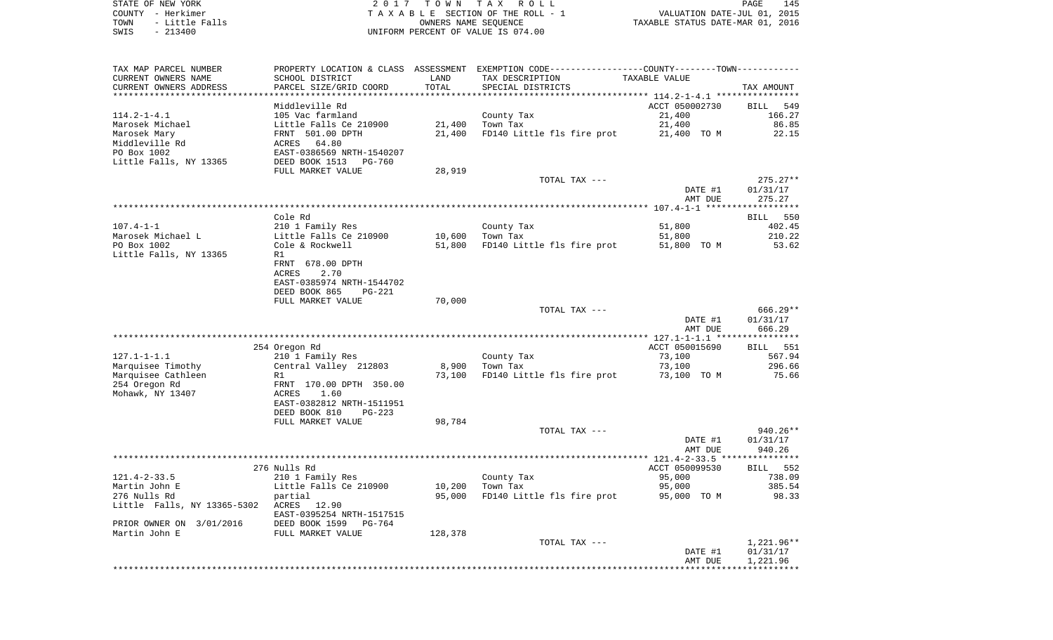STATE OF NEW YORK 2 0 1 7 T O W N T A X R O L L PAGE 145COUNTY - Herkimer **T A X A B L E** SECTION OF THE ROLL - 1 VALUATION DATE-JUL 01, 2015 TOWN - Little Falls OWNERS NAME SEQUENCE TAXABLE STATUS DATE-MAR 01, 2016 SWIS - 213400 UNIFORM PERCENT OF VALUE IS 074.00

TAX MAP PARCEL NUMBER PROPERTY LOCATION & CLASS ASSESSMENT EXEMPTION CODE------------------COUNTY--------TOWN------------ CURRENT OWNERS NAME SCHOOL DISTRICT LAND TAX DESCRIPTION TAXABLE VALUECURRENT OWNERS ADDRESS PARCEL SIZE/GRID COORD TOTAL SPECIAL DISTRICTS TAX AMOUNT \*\*\*\*\*\*\*\*\*\*\*\*\*\*\*\*\*\*\*\*\*\*\*\*\*\*\*\*\*\*\*\*\*\*\*\*\*\*\*\*\*\*\*\*\*\*\*\*\*\*\*\*\*\*\*\*\*\*\*\*\*\*\*\*\*\*\*\*\*\*\*\*\*\*\*\*\*\*\*\*\*\*\*\*\*\*\*\*\*\*\*\*\*\*\*\*\*\*\*\*\*\*\* 114.2-1-4.1 \*\*\*\*\*\*\*\*\*\*\*\*\*\*\*\*Middleville Rd ACCT 050002730 BILL 549 166.27 114.2-1-4.1 105 Vac farmland County Tax 21,400 166.27 Marosek Michael Little Falls Ce 210900 21,400 Town Tax 21,400 86.85 Marosek Mary **FRNT 501.00 DPTH** 21,400 FD140 Little fls fire prot 21,400 TO M 22.15 Middleville Rd **ACRES** 64.80 PO Box 1002 EAST-0386569 NRTH-1540207Little Falls, NY 13365 DEED BOOK 1513 PG-760 FULL MARKET VALUE 28,919 TOTAL TAX --- 275.27\*\* DATE #1 01/31/17 AMT DUE 275.27 \*\*\*\*\*\*\*\*\*\*\*\*\*\*\*\*\*\*\*\*\*\*\*\*\*\*\*\*\*\*\*\*\*\*\*\*\*\*\*\*\*\*\*\*\*\*\*\*\*\*\*\*\*\*\*\*\*\*\*\*\*\*\*\*\*\*\*\*\*\*\*\*\*\*\*\*\*\*\*\*\*\*\*\*\*\*\*\*\*\*\*\*\*\*\*\*\*\*\*\*\*\*\* 107.4-1-1 \*\*\*\*\*\*\*\*\*\*\*\*\*\*\*\*\*\* Cole Rd BILL 550402.45 107.4-1-1 210 1 Family Res County Tax 51,800 Marosek Michael L **Little Falls Ce 210900** 10,600 Town Tax 51,800 51,800 210.22 PO Box 1002 Cole & Rockwell 51,800 FD140 Little fls fire prot 51,800 TO M 53.62 Little Falls, NY 13365 R1 FRNT 678.00 DPTHACRES 2.70 EAST-0385974 NRTH-1544702 DEED BOOK 865 PG-221FULL MARKET VALUE 70,000 TOTAL TAX --- 666.29\*\* DATE #1 01/31/17 AMT DUE 666.29 \*\*\*\*\*\*\*\*\*\*\*\*\*\*\*\*\*\*\*\*\*\*\*\*\*\*\*\*\*\*\*\*\*\*\*\*\*\*\*\*\*\*\*\*\*\*\*\*\*\*\*\*\*\*\*\*\*\*\*\*\*\*\*\*\*\*\*\*\*\*\*\*\*\*\*\*\*\*\*\*\*\*\*\*\*\*\*\*\*\*\*\*\*\*\*\*\*\*\*\*\*\*\* 127.1-1-1.1 \*\*\*\*\*\*\*\*\*\*\*\*\*\*\*\* 254 Oregon Rd ACCT 050015690 BILL 551 127.1-1-1.1 210 1 Family Res County Tax 73,100 567.94 Marquisee Timothy Central Valley 212803 8,900 Town Tax 73,100 296.66 Marquisee Cathleen **R1** R1 873,100 FD140 Little fls fire prot 73,100 TO M 75.66 254 Oregon Rd FRNT 170.00 DPTH 350.00 Mohawk, NY 13407 <br>
ACRES 1.60 EAST-0382812 NRTH-1511951 DEED BOOK 810 PG-223FULL MARKET VALUE 98,784 TOTAL TAX --- 940.26\*\* DATE #1 01/31/17 AMT DUE 940.26 \*\*\*\*\*\*\*\*\*\*\*\*\*\*\*\*\*\*\*\*\*\*\*\*\*\*\*\*\*\*\*\*\*\*\*\*\*\*\*\*\*\*\*\*\*\*\*\*\*\*\*\*\*\*\*\*\*\*\*\*\*\*\*\*\*\*\*\*\*\*\*\*\*\*\*\*\*\*\*\*\*\*\*\*\*\*\*\*\*\*\*\*\*\*\*\*\*\*\*\*\*\*\* 121.4-2-33.5 \*\*\*\*\*\*\*\*\*\*\*\*\*\*\* 276 Nulls Rd ACCT 050099530 BILL 552121.4-2-33.5 210 1 Family Res County Tax 95,000 738.09 Martin John E Little Falls Ce 210900 10,200 Town Tax 95,000 385.54 276 Nulls Rd partial 95,000 FD140 Little fls fire prot 95,000 TO M 98.33 Little Falls, NY 13365-5302 ACRES 12.90 EAST-0395254 NRTH-1517515PRIOR OWNER ON 3/01/2016 DEED BOOK 1599 PG-764 Martin John E FULL MARKET VALUE 128,378 TOTAL TAX --- 1,221.96\*\* DATE #1 01/31/17 AMT DUE 1,221.96 \*\*\*\*\*\*\*\*\*\*\*\*\*\*\*\*\*\*\*\*\*\*\*\*\*\*\*\*\*\*\*\*\*\*\*\*\*\*\*\*\*\*\*\*\*\*\*\*\*\*\*\*\*\*\*\*\*\*\*\*\*\*\*\*\*\*\*\*\*\*\*\*\*\*\*\*\*\*\*\*\*\*\*\*\*\*\*\*\*\*\*\*\*\*\*\*\*\*\*\*\*\*\*\*\*\*\*\*\*\*\*\*\*\*\*\*\*\*\*\*\*\*\*\*\*\*\*\*\*\*\*\*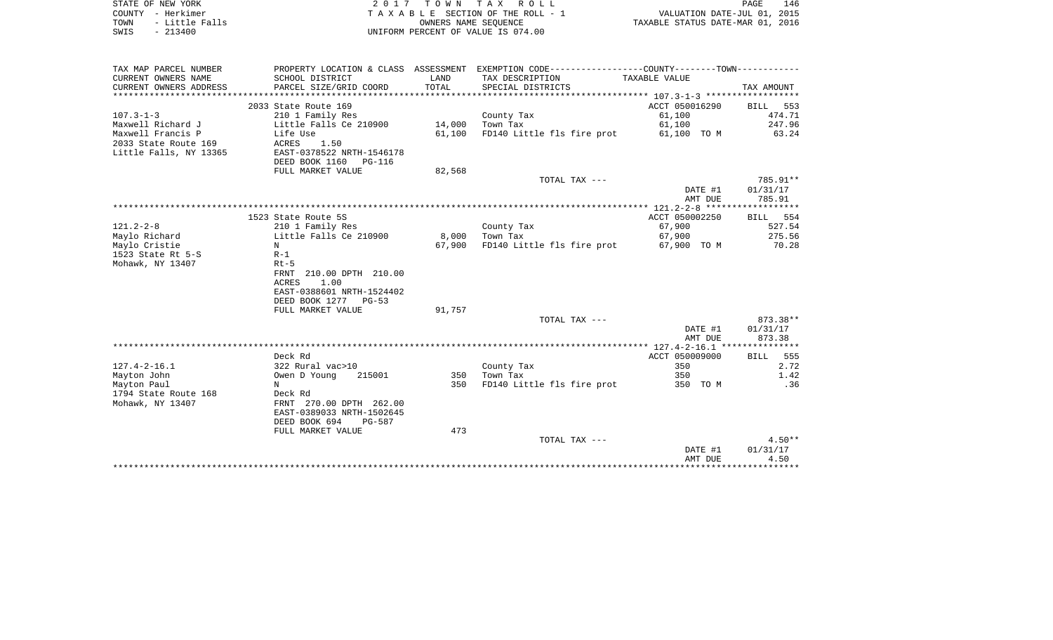|      | STATE OF NEW YORK   | 2017 TOWN TAX ROLL                    |                                  | PAGE | 146 |
|------|---------------------|---------------------------------------|----------------------------------|------|-----|
|      | COUNTY - Herkimer   | T A X A B L E SECTION OF THE ROLL - 1 | VALUATION DATE-JUL 01, 2015      |      |     |
|      | TOWN - Little Falls | OWNERS NAME SEOUENCE                  | TAXABLE STATUS DATE-MAR 01, 2016 |      |     |
| SWIS | $-213400$           | UNIFORM PERCENT OF VALUE IS 074.00    |                                  |      |     |
|      |                     |                                       |                                  |      |     |
|      |                     |                                       |                                  |      |     |

| TAX MAP PARCEL NUMBER  | PROPERTY LOCATION & CLASS ASSESSMENT |        | EXEMPTION CODE-----------------COUNTY-------TOWN----------- |                |                    |
|------------------------|--------------------------------------|--------|-------------------------------------------------------------|----------------|--------------------|
| CURRENT OWNERS NAME    | SCHOOL DISTRICT                      | LAND   | TAX DESCRIPTION                                             | TAXABLE VALUE  |                    |
| CURRENT OWNERS ADDRESS | PARCEL SIZE/GRID COORD               | TOTAL  | SPECIAL DISTRICTS                                           |                | TAX AMOUNT         |
|                        |                                      |        |                                                             |                |                    |
|                        | 2033 State Route 169                 |        |                                                             | ACCT 050016290 | BILL 553           |
| $107.3 - 1 - 3$        | 210 1 Family Res                     |        | County Tax                                                  | 61,100         | 474.71             |
| Maxwell Richard J      | Little Falls Ce 210900               | 14,000 | Town Tax                                                    | 61,100         | 247.96             |
| Maxwell Francis P      | Life Use                             | 61,100 | FD140 Little fls fire prot                                  | 61,100 TO M    | 63.24              |
| 2033 State Route 169   | ACRES<br>1.50                        |        |                                                             |                |                    |
| Little Falls, NY 13365 | EAST-0378522 NRTH-1546178            |        |                                                             |                |                    |
|                        | DEED BOOK 1160 PG-116                |        |                                                             |                |                    |
|                        | FULL MARKET VALUE                    | 82,568 |                                                             |                |                    |
|                        |                                      |        | TOTAL TAX ---                                               |                | 785.91**           |
|                        |                                      |        |                                                             | DATE #1        | 01/31/17           |
|                        |                                      |        |                                                             | AMT DUE        | 785.91             |
|                        |                                      |        |                                                             |                | ****************** |
|                        | 1523 State Route 5S                  |        |                                                             | ACCT 050002250 | BILL 554           |
| $121.2 - 2 - 8$        | 210 1 Family Res                     |        | County Tax                                                  | 67,900         | 527.54             |
| Maylo Richard          | Little Falls Ce 210900               | 8,000  | Town Tax                                                    | 67,900         | 275.56             |
| Maylo Cristie          | N                                    | 67,900 | FD140 Little fls fire prot                                  | 67,900 TO M    | 70.28              |
| 1523 State Rt $5-S$    | $R-1$                                |        |                                                             |                |                    |
| Mohawk, NY 13407       | $Rt-5$                               |        |                                                             |                |                    |
|                        | 210.00 DPTH 210.00<br>FRNT           |        |                                                             |                |                    |
|                        | <b>ACRES</b><br>1.00                 |        |                                                             |                |                    |
|                        | EAST-0388601 NRTH-1524402            |        |                                                             |                |                    |
|                        | DEED BOOK 1277 PG-53                 |        |                                                             |                |                    |
|                        | FULL MARKET VALUE                    | 91,757 |                                                             |                |                    |
|                        |                                      |        | TOTAL TAX ---                                               |                | 873.38**           |
|                        |                                      |        |                                                             | DATE #1        | 01/31/17           |
|                        |                                      |        |                                                             | AMT DUE        | 873.38             |
|                        |                                      |        |                                                             |                |                    |
|                        | Deck Rd                              |        |                                                             | ACCT 050009000 | BILL 555           |
| $127.4 - 2 - 16.1$     | 322 Rural vac>10                     |        | County Tax                                                  | 350            | 2.72               |
| Mayton John            | Owen D Young<br>215001               | 350    | Town Tax                                                    | 350            | 1.42               |
| Mayton Paul            | N                                    | 350    | FD140 Little fls fire prot                                  | 350 TO M       | .36                |
| 1794 State Route 168   | Deck Rd                              |        |                                                             |                |                    |
| Mohawk, NY 13407       | FRNT 270.00 DPTH 262.00              |        |                                                             |                |                    |
|                        | EAST-0389033 NRTH-1502645            |        |                                                             |                |                    |
|                        | DEED BOOK 694<br>PG-587              |        |                                                             |                |                    |
|                        | FULL MARKET VALUE                    | 473    |                                                             |                |                    |
|                        |                                      |        | TOTAL TAX ---                                               |                | $4.50**$           |
|                        |                                      |        |                                                             | DATE #1        | 01/31/17           |
|                        |                                      |        |                                                             | AMT DUE        | 4.50               |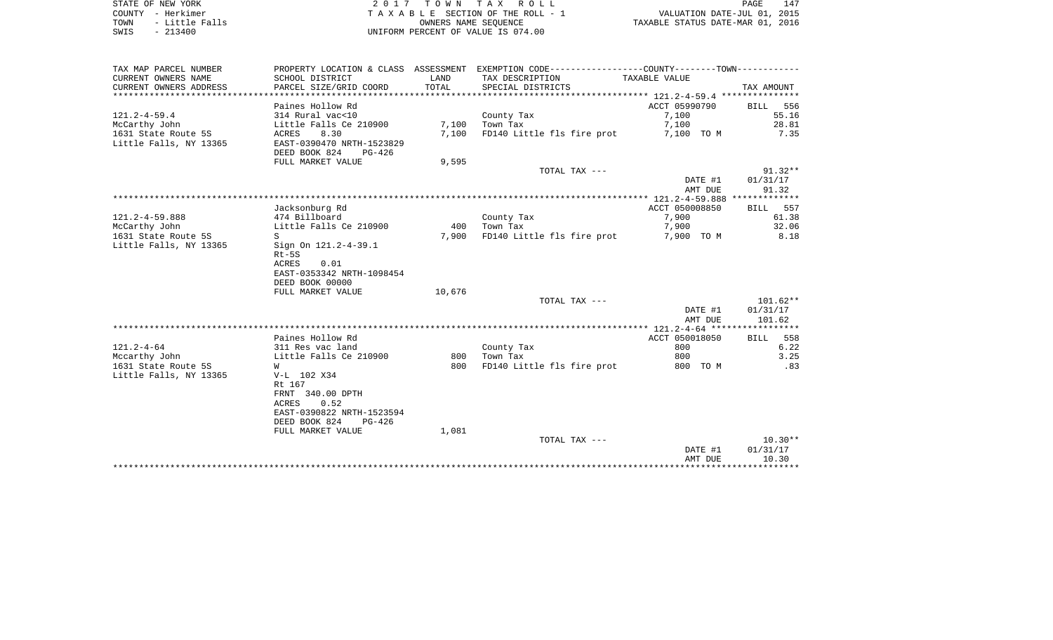| STATE OF NEW YORK |  |           |                |  |
|-------------------|--|-----------|----------------|--|
| COUNTY - Herkimer |  |           |                |  |
| TOWN              |  |           | - Little Falls |  |
| SWIS              |  | $-213400$ |                |  |

2017 TOWN TAX ROLL TA X A B L E SECTION OF THE ROLL - 1 TOWN - Little Falls OWNERS NAME SEQUENCE TAXABLE STATUS DATE-MAR 01, 2016 UNIFORM PERCENT OF VALUE IS 074.00

| TAX MAP PARCEL NUMBER                | PROPERTY LOCATION & CLASS ASSESSMENT |        | EXEMPTION CODE----------------COUNTY-------TOWN----------- |                     |                |
|--------------------------------------|--------------------------------------|--------|------------------------------------------------------------|---------------------|----------------|
| CURRENT OWNERS NAME                  | SCHOOL DISTRICT                      | LAND   | TAX DESCRIPTION                                            | TAXABLE VALUE       |                |
| CURRENT OWNERS ADDRESS               | PARCEL SIZE/GRID COORD               | TOTAL  | SPECIAL DISTRICTS                                          |                     | TAX AMOUNT     |
|                                      |                                      |        |                                                            |                     |                |
|                                      | Paines Hollow Rd                     |        |                                                            | ACCT 05990790       | BILL 556       |
| $121.2 - 4 - 59.4$                   | 314 Rural vac<10                     |        | County Tax                                                 | 7,100               | 55.16          |
| McCarthy John                        | Little Falls Ce 210900               | 7,100  | Town Tax                                                   | 7,100               | 28.81          |
| 1631 State Route 5S                  | 8.30<br>ACRES                        | 7,100  | FD140 Little fls fire prot                                 | 7,100 TO M          | 7.35           |
| Little Falls, NY 13365               | EAST-0390470 NRTH-1523829            |        |                                                            |                     |                |
|                                      | DEED BOOK 824<br>PG-426              |        |                                                            |                     |                |
|                                      | FULL MARKET VALUE                    | 9,595  |                                                            |                     |                |
|                                      |                                      |        | TOTAL TAX ---                                              |                     | $91.32**$      |
|                                      |                                      |        |                                                            | DATE #1             | 01/31/17       |
|                                      |                                      |        |                                                            | AMT DUE             | 91.32          |
|                                      |                                      |        |                                                            |                     |                |
|                                      | Jacksonburg Rd                       |        |                                                            | ACCT 050008850      | BILL 557       |
| $121.2 - 4 - 59.888$                 | 474 Billboard                        | 400    | County Tax<br>Town Tax                                     | 7,900               | 61.38<br>32.06 |
| McCarthy John<br>1631 State Route 5S | Little Falls Ce 210900<br>S.         | 7,900  | FD140 Little fls fire prot                                 | 7,900<br>7,900 TO M | 8.18           |
| Little Falls, NY 13365               | Sign On 121.2-4-39.1                 |        |                                                            |                     |                |
|                                      | Rt-5S                                |        |                                                            |                     |                |
|                                      | <b>ACRES</b><br>0.01                 |        |                                                            |                     |                |
|                                      | EAST-0353342 NRTH-1098454            |        |                                                            |                     |                |
|                                      | DEED BOOK 00000                      |        |                                                            |                     |                |
|                                      | FULL MARKET VALUE                    | 10,676 |                                                            |                     |                |
|                                      |                                      |        | TOTAL TAX ---                                              |                     | $101.62**$     |
|                                      |                                      |        |                                                            | DATE #1             | 01/31/17       |
|                                      |                                      |        |                                                            | AMT DUE             | 101.62         |
|                                      |                                      |        |                                                            |                     |                |
|                                      | Paines Hollow Rd                     |        |                                                            | ACCT 050018050      | BILL 558       |
| $121.2 - 4 - 64$                     | 311 Res vac land                     |        | County Tax                                                 | 800                 | 6.22           |
| Mccarthy John                        | Little Falls Ce 210900               | 800    | Town Tax                                                   | 800                 | 3.25           |
| 1631 State Route 5S                  | W                                    | 800    | FD140 Little fls fire prot                                 | 800 TO M            | .83            |
| Little Falls, NY 13365               | V-L 102 X34                          |        |                                                            |                     |                |
|                                      | Rt 167                               |        |                                                            |                     |                |
|                                      | FRNT 340.00 DPTH                     |        |                                                            |                     |                |
|                                      | 0.52<br>ACRES                        |        |                                                            |                     |                |
|                                      | EAST-0390822 NRTH-1523594            |        |                                                            |                     |                |
|                                      | DEED BOOK 824<br>PG-426              |        |                                                            |                     |                |
|                                      | FULL MARKET VALUE                    | 1,081  |                                                            |                     | $10.30**$      |
|                                      |                                      |        | TOTAL TAX ---                                              | DATE #1             | 01/31/17       |
|                                      |                                      |        |                                                            | AMT DUE             | 10.30          |
|                                      |                                      |        |                                                            |                     |                |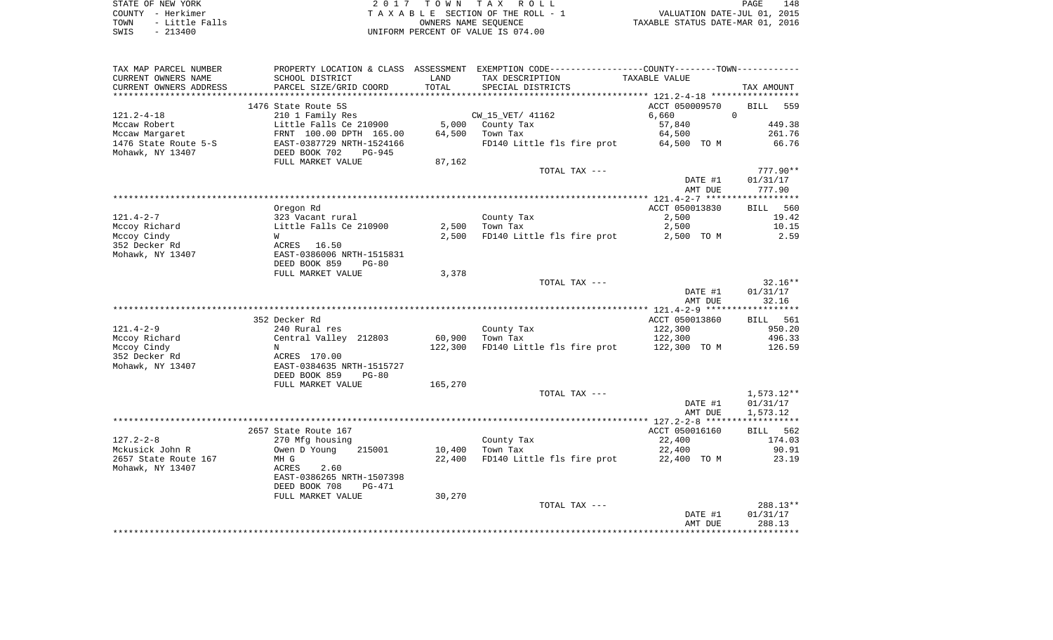| STATE OF NEW YORK   | 2017 TOWN TAX ROLL                 | 148<br>PAGE                      |
|---------------------|------------------------------------|----------------------------------|
| COUNTY - Herkimer   | TAXABLE SECTION OF THE ROLL - 1    | VALUATION DATE-JUL 01, 2015      |
| TOWN - Little Falls | OWNERS NAME SEOUENCE               | TAXABLE STATUS DATE-MAR 01, 2016 |
| SWIS<br>- 213400    | UNIFORM PERCENT OF VALUE IS 074.00 |                                  |

| TAX MAP PARCEL NUMBER  |                                |         | PROPERTY LOCATION & CLASS ASSESSMENT EXEMPTION CODE-----------------COUNTY--------TOWN-------- |                |                 |
|------------------------|--------------------------------|---------|------------------------------------------------------------------------------------------------|----------------|-----------------|
| CURRENT OWNERS NAME    | SCHOOL DISTRICT                | LAND    | TAX DESCRIPTION                                                                                | TAXABLE VALUE  |                 |
| CURRENT OWNERS ADDRESS | PARCEL SIZE/GRID COORD         | TOTAL   | SPECIAL DISTRICTS                                                                              |                | TAX AMOUNT      |
|                        |                                |         |                                                                                                |                |                 |
|                        | 1476 State Route 5S            |         |                                                                                                | ACCT 050009570 | BILL<br>559     |
| $121.2 - 4 - 18$       | 210 1 Family Res               |         | CW_15_VET/ 41162                                                                               | 6,660          | $\Omega$        |
| Mccaw Robert           | Little Falls Ce 210900         |         | 5,000 County Tax                                                                               | 57,840         | 449.38          |
| Mccaw Margaret         | FRNT 100.00 DPTH 165.00        | 64,500  | Town Tax                                                                                       | 64,500         | 261.76          |
| 1476 State Route 5-S   | EAST-0387729 NRTH-1524166      |         | FD140 Little fls fire prot                                                                     | 64,500 TO M    | 66.76           |
|                        | DEED BOOK 702<br>$PG-945$      |         |                                                                                                |                |                 |
| Mohawk, NY 13407       |                                |         |                                                                                                |                |                 |
|                        | FULL MARKET VALUE              | 87,162  |                                                                                                |                |                 |
|                        |                                |         | TOTAL TAX ---                                                                                  |                | $777.90**$      |
|                        |                                |         |                                                                                                | DATE #1        | 01/31/17        |
|                        |                                |         |                                                                                                | AMT DUE        | 777.90          |
|                        |                                |         |                                                                                                |                |                 |
|                        | Oregon Rd                      |         |                                                                                                | ACCT 050013830 | BILL 560        |
| $121.4 - 2 - 7$        | 323 Vacant rural               |         | County Tax                                                                                     | 2,500          | 19.42           |
| Mccoy Richard          | Little Falls Ce 210900         | 2,500   | Town Tax                                                                                       | 2,500          | 10.15           |
| Mccoy Cindy            | W                              | 2,500   | FD140 Little fls fire prot                                                                     | 2,500 TO M     | 2.59            |
| 352 Decker Rd          | ACRES 16.50                    |         |                                                                                                |                |                 |
| Mohawk, NY 13407       | EAST-0386006 NRTH-1515831      |         |                                                                                                |                |                 |
|                        | DEED BOOK 859<br>$PG-80$       |         |                                                                                                |                |                 |
|                        | FULL MARKET VALUE              | 3,378   |                                                                                                |                |                 |
|                        |                                |         | TOTAL TAX ---                                                                                  |                | $32.16**$       |
|                        |                                |         |                                                                                                |                |                 |
|                        |                                |         |                                                                                                | DATE #1        | 01/31/17        |
|                        |                                |         |                                                                                                | AMT DUE        | 32.16           |
|                        |                                |         |                                                                                                |                |                 |
|                        | 352 Decker Rd                  |         |                                                                                                | ACCT 050013860 | <b>BILL</b> 561 |
| $121.4 - 2 - 9$        | 240 Rural res                  |         | County Tax                                                                                     | 122,300        | 950.20          |
| Mccoy Richard          | Central Valley 212803          | 60,900  | Town Tax                                                                                       | 122,300        | 496.33          |
| Mccoy Cindy            | N                              | 122,300 | FD140 Little fls fire prot                                                                     | 122,300 TO M   | 126.59          |
| 352 Decker Rd          | ACRES 170.00                   |         |                                                                                                |                |                 |
| Mohawk, NY 13407       | EAST-0384635 NRTH-1515727      |         |                                                                                                |                |                 |
|                        | DEED BOOK 859<br>$PG-80$       |         |                                                                                                |                |                 |
|                        | FULL MARKET VALUE              | 165,270 |                                                                                                |                |                 |
|                        |                                |         | TOTAL TAX ---                                                                                  |                | $1,573.12**$    |
|                        |                                |         |                                                                                                | DATE #1        | 01/31/17        |
|                        |                                |         |                                                                                                | AMT DUE        | 1,573.12        |
|                        |                                |         |                                                                                                |                |                 |
|                        | 2657 State Route 167           |         |                                                                                                | ACCT 050016160 | BILL 562        |
| $127.2 - 2 - 8$        | 270 Mfg housing                |         | County Tax                                                                                     | 22,400         | 174.03          |
| Mckusick John R        | Owen D Young<br>215001         | 10,400  | Town Tax                                                                                       | 22,400         | 90.91           |
| 2657 State Route 167   |                                |         |                                                                                                |                |                 |
|                        | MH G                           | 22,400  | FD140 Little fls fire prot 22,400 TO M                                                         |                | 23.19           |
| Mohawk, NY 13407       | ACRES<br>2.60                  |         |                                                                                                |                |                 |
|                        | EAST-0386265 NRTH-1507398      |         |                                                                                                |                |                 |
|                        | DEED BOOK 708<br><b>PG-471</b> |         |                                                                                                |                |                 |
|                        | FULL MARKET VALUE              | 30,270  |                                                                                                |                |                 |
|                        |                                |         | TOTAL TAX ---                                                                                  |                | $288.13**$      |
|                        |                                |         |                                                                                                | DATE #1        | 01/31/17        |
|                        |                                |         |                                                                                                | AMT DUE        | 288.13          |
|                        |                                |         |                                                                                                |                |                 |
|                        |                                |         |                                                                                                |                |                 |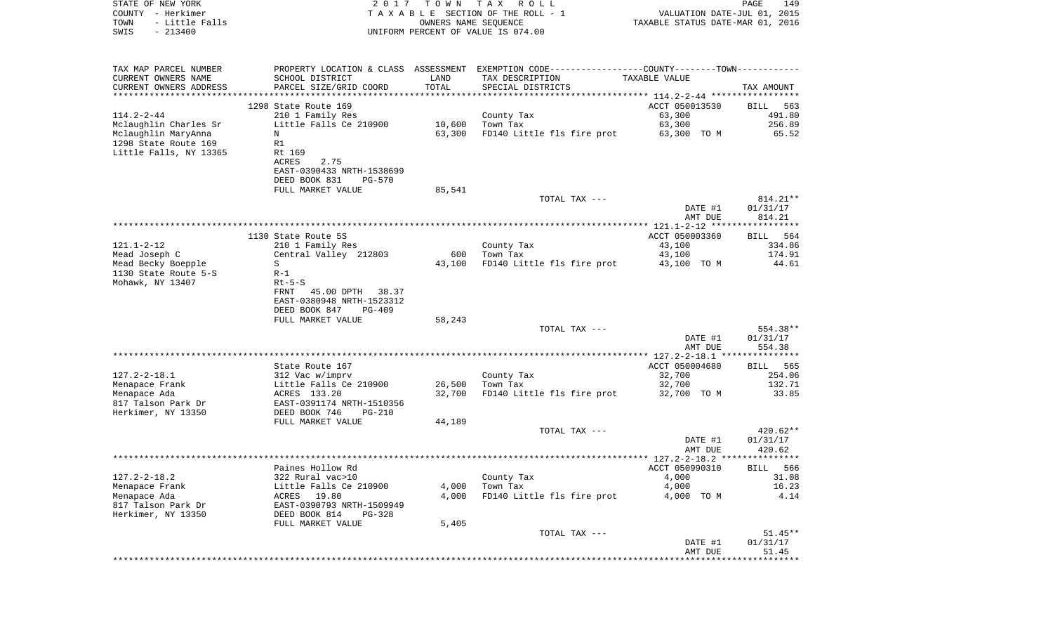| COUNTY - Herkimer<br>TOWN<br>- Little Falls<br>SWIS<br>$-213400$ | T A X A B L E SECTION OF THE ROLL - 1<br>OWNERS NAME SEQUENCE<br>UNIFORM PERCENT OF VALUE IS 074.00 |        |                                                                                               | VALUATION DATE-JUL 01, 2015<br>TAXABLE STATUS DATE-MAR 01, 2016 |                    |  |
|------------------------------------------------------------------|-----------------------------------------------------------------------------------------------------|--------|-----------------------------------------------------------------------------------------------|-----------------------------------------------------------------|--------------------|--|
| TAX MAP PARCEL NUMBER                                            |                                                                                                     |        | PROPERTY LOCATION & CLASS ASSESSMENT EXEMPTION CODE---------------COUNTY-------TOWN---------- |                                                                 |                    |  |
| CURRENT OWNERS NAME                                              | SCHOOL DISTRICT                                                                                     | LAND   | TAX DESCRIPTION                                                                               | TAXABLE VALUE                                                   |                    |  |
| CURRENT OWNERS ADDRESS                                           | PARCEL SIZE/GRID COORD                                                                              | TOTAL  | SPECIAL DISTRICTS                                                                             |                                                                 | TAX AMOUNT         |  |
|                                                                  |                                                                                                     |        |                                                                                               |                                                                 |                    |  |
|                                                                  | 1298 State Route 169                                                                                |        |                                                                                               | ACCT 050013530                                                  | BILL<br>563        |  |
| 114.2-2-44                                                       | 210 1 Family Res                                                                                    |        | County Tax                                                                                    | 63,300                                                          | 491.80             |  |
| Mclaughlin Charles Sr                                            | Little Falls Ce 210900                                                                              | 10,600 | Town Tax                                                                                      | 63,300                                                          | 256.89             |  |
| Mclaughlin MaryAnna                                              | N                                                                                                   | 63,300 | FD140 Little fls fire prot                                                                    | 63,300 TO M                                                     | 65.52              |  |
| 1298 State Route 169                                             | R1                                                                                                  |        |                                                                                               |                                                                 |                    |  |
| Little Falls, NY 13365                                           | Rt 169<br>ACRES<br>2.75                                                                             |        |                                                                                               |                                                                 |                    |  |
|                                                                  | EAST-0390433 NRTH-1538699                                                                           |        |                                                                                               |                                                                 |                    |  |
|                                                                  | DEED BOOK 831<br>PG-570                                                                             |        |                                                                                               |                                                                 |                    |  |
|                                                                  | FULL MARKET VALUE                                                                                   | 85,541 |                                                                                               |                                                                 |                    |  |
|                                                                  |                                                                                                     |        | TOTAL TAX ---                                                                                 |                                                                 | 814.21**           |  |
|                                                                  |                                                                                                     |        |                                                                                               | DATE #1                                                         | 01/31/17           |  |
|                                                                  |                                                                                                     |        |                                                                                               | AMT DUE                                                         | 814.21             |  |
|                                                                  |                                                                                                     |        |                                                                                               |                                                                 |                    |  |
| 121.1-2-12                                                       | 1130 State Route 5S                                                                                 |        | County Tax                                                                                    | ACCT 050003360<br>43,100                                        | BILL 564<br>334.86 |  |
| Mead Joseph C                                                    | 210 1 Family Res<br>Central Valley 212803                                                           | 600    | Town Tax                                                                                      | 43,100                                                          | 174.91             |  |
| Mead Becky Boepple                                               | S                                                                                                   | 43,100 | FD140 Little fls fire prot                                                                    | 43,100 TO M                                                     | 44.61              |  |
| 1130 State Route 5-S                                             | $R-1$                                                                                               |        |                                                                                               |                                                                 |                    |  |
| Mohawk, NY 13407                                                 | $Rt-5-S$                                                                                            |        |                                                                                               |                                                                 |                    |  |
|                                                                  | 45.00 DPTH 38.37<br>FRNT                                                                            |        |                                                                                               |                                                                 |                    |  |
|                                                                  | EAST-0380948 NRTH-1523312                                                                           |        |                                                                                               |                                                                 |                    |  |
|                                                                  | DEED BOOK 847<br>PG-409                                                                             |        |                                                                                               |                                                                 |                    |  |
|                                                                  | FULL MARKET VALUE                                                                                   | 58,243 | TOTAL TAX ---                                                                                 |                                                                 | 554.38**           |  |
|                                                                  |                                                                                                     |        |                                                                                               | DATE #1                                                         | 01/31/17           |  |
|                                                                  |                                                                                                     |        |                                                                                               | AMT DUE                                                         | 554.38             |  |
|                                                                  |                                                                                                     |        |                                                                                               |                                                                 |                    |  |
|                                                                  | State Route 167                                                                                     |        |                                                                                               | ACCT 050004680                                                  | BILL<br>565        |  |
| 127.2-2-18.1                                                     | 312 Vac w/imprv                                                                                     |        | County Tax                                                                                    | 32,700                                                          | 254.06             |  |
| Menapace Frank                                                   | Little Falls Ce 210900                                                                              | 26,500 | Town Tax                                                                                      | 32,700                                                          | 132.71             |  |
| Menapace Ada                                                     | ACRES 133.20                                                                                        | 32,700 | FD140 Little fls fire prot                                                                    | 32,700 TO M                                                     | 33.85              |  |
| 817 Talson Park Dr                                               | EAST-0391174 NRTH-1510356                                                                           |        |                                                                                               |                                                                 |                    |  |
| Herkimer, NY 13350                                               | DEED BOOK 746<br>$PG-210$<br>FULL MARKET VALUE                                                      | 44,189 |                                                                                               |                                                                 |                    |  |
|                                                                  |                                                                                                     |        | TOTAL TAX ---                                                                                 |                                                                 | $420.62**$         |  |
|                                                                  |                                                                                                     |        |                                                                                               | DATE #1                                                         | 01/31/17           |  |
|                                                                  |                                                                                                     |        |                                                                                               | AMT DUE                                                         | 420.62             |  |
|                                                                  |                                                                                                     |        |                                                                                               |                                                                 |                    |  |
|                                                                  | Paines Hollow Rd                                                                                    |        |                                                                                               | ACCT 050990310                                                  | 566<br>BILL        |  |
| $127.2 - 2 - 18.2$                                               | 322 Rural vac>10                                                                                    |        | County Tax                                                                                    | 4,000                                                           | 31.08              |  |
| Menapace Frank                                                   | Little Falls Ce 210900                                                                              | 4,000  | Town Tax                                                                                      | 4,000                                                           | 16.23              |  |
| Menapace Ada<br>817 Talson Park Dr                               | 19.80<br>ACRES<br>EAST-0390793 NRTH-1509949                                                         | 4,000  | FD140 Little fls fire prot                                                                    | 4,000 TO M                                                      | 4.14               |  |
| Herkimer, NY 13350                                               | DEED BOOK 814<br>PG-328                                                                             |        |                                                                                               |                                                                 |                    |  |
|                                                                  | FULL MARKET VALUE                                                                                   | 5,405  |                                                                                               |                                                                 |                    |  |
|                                                                  |                                                                                                     |        | TOTAL TAX ---                                                                                 |                                                                 | $51.45**$          |  |
|                                                                  |                                                                                                     |        |                                                                                               | DATE #1                                                         | 01/31/17           |  |
|                                                                  |                                                                                                     |        |                                                                                               | AMT DUE                                                         | 51.45              |  |
|                                                                  |                                                                                                     |        |                                                                                               |                                                                 |                    |  |

PAGE 149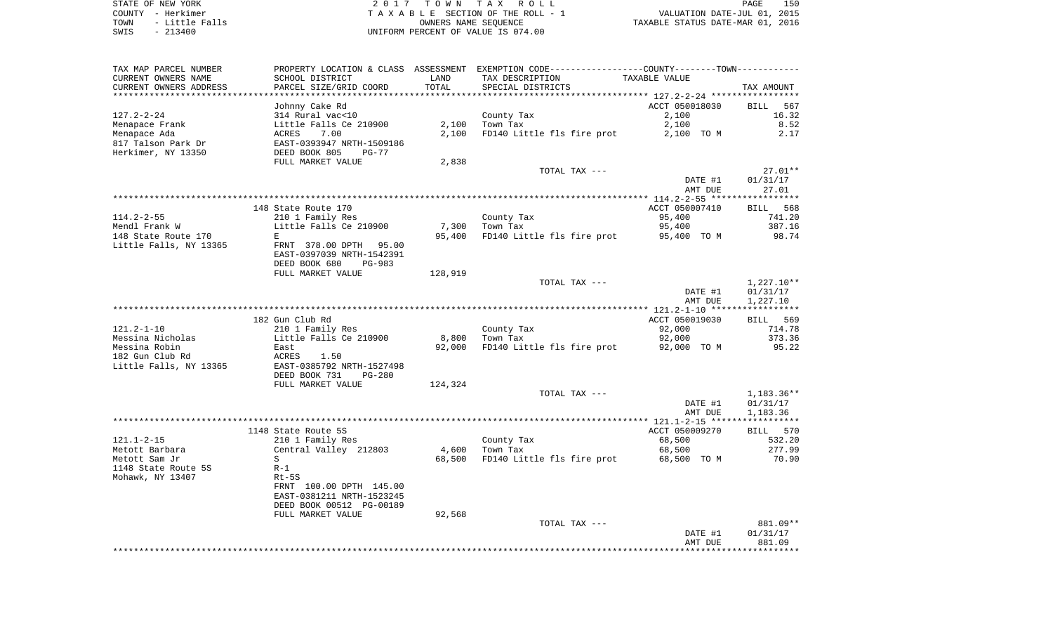STATE OF NEW YORK **EXECUTE:**  $2017$  TOWN TAX ROLL COUNTY - Herkimer<br>
T A X A B L E SECTION OF THE ROLL - 1<br>
TOWN - Little Falls<br>
SWIS - 213400 - 2013400 - UNIFORM PERCENT OF VALUE IS 074.00 TOWN - Little Falls OWNERS NAME SEQUENCE TAXABLE STATUS DATE-MAR 01, 2016 SWIS - 213400 UNIFORM PERCENT OF VALUE IS 074.00

| TAX MAP PARCEL NUMBER  |                           |         | PROPERTY LOCATION & CLASS ASSESSMENT EXEMPTION CODE----------------COUNTY-------TOWN---------- |                |              |
|------------------------|---------------------------|---------|------------------------------------------------------------------------------------------------|----------------|--------------|
| CURRENT OWNERS NAME    | SCHOOL DISTRICT           | LAND    | TAX DESCRIPTION                                                                                | TAXABLE VALUE  |              |
| CURRENT OWNERS ADDRESS | PARCEL SIZE/GRID COORD    | TOTAL   | SPECIAL DISTRICTS                                                                              |                | TAX AMOUNT   |
|                        |                           |         |                                                                                                |                |              |
|                        | Johnny Cake Rd            |         |                                                                                                | ACCT 050018030 | BILL 567     |
| $127.2 - 2 - 24$       | 314 Rural vac<10          |         | County Tax                                                                                     | 2,100          | 16.32        |
| Menapace Frank         | Little Falls Ce 210900    | 2,100   | Town Tax                                                                                       | 2,100          | 8.52         |
| Menapace Ada           | ACRES<br>7.00             | 2,100   | FD140 Little fls fire prot                                                                     | 2,100 TO M     | 2.17         |
| 817 Talson Park Dr     | EAST-0393947 NRTH-1509186 |         |                                                                                                |                |              |
| Herkimer, NY 13350     | DEED BOOK 805<br>$PG-77$  |         |                                                                                                |                |              |
|                        | FULL MARKET VALUE         | 2,838   |                                                                                                |                |              |
|                        |                           |         | TOTAL TAX ---                                                                                  |                | $27.01**$    |
|                        |                           |         |                                                                                                | DATE #1        | 01/31/17     |
|                        |                           |         |                                                                                                | AMT DUE        | 27.01        |
|                        |                           |         |                                                                                                |                |              |
|                        | 148 State Route 170       |         |                                                                                                | ACCT 050007410 | BILL 568     |
| $114.2 - 2 - 55$       | 210 1 Family Res          |         | County Tax                                                                                     | 95,400         | 741.20       |
| Mendl Frank W          | Little Falls Ce 210900    | 7,300   | Town Tax                                                                                       | 95,400         | 387.16       |
| 148 State Route 170    | E                         | 95,400  | FD140 Little fls fire prot                                                                     | 95,400 TO M    | 98.74        |
| Little Falls, NY 13365 | FRNT 378.00 DPTH 95.00    |         |                                                                                                |                |              |
|                        | EAST-0397039 NRTH-1542391 |         |                                                                                                |                |              |
|                        | DEED BOOK 680<br>PG-983   |         |                                                                                                |                |              |
|                        | FULL MARKET VALUE         | 128,919 |                                                                                                |                |              |
|                        |                           |         | TOTAL TAX ---                                                                                  |                | $1,227.10**$ |
|                        |                           |         |                                                                                                | DATE #1        | 01/31/17     |
|                        |                           |         |                                                                                                | AMT DUE        | 1,227.10     |
|                        |                           |         |                                                                                                |                |              |
|                        | 182 Gun Club Rd           |         |                                                                                                | ACCT 050019030 | BILL 569     |
| $121.2 - 1 - 10$       | 210 1 Family Res          |         | County Tax                                                                                     | 92,000         | 714.78       |
| Messina Nicholas       | Little Falls Ce 210900    | 8,800   | Town Tax                                                                                       | 92,000         | 373.36       |
| Messina Robin          | East                      | 92,000  | FD140 Little fls fire prot                                                                     | 92,000 TO M    | 95.22        |
| 182 Gun Club Rd        | ACRES<br>1.50             |         |                                                                                                |                |              |
| Little Falls, NY 13365 | EAST-0385792 NRTH-1527498 |         |                                                                                                |                |              |
|                        | DEED BOOK 731<br>$PG-280$ |         |                                                                                                |                |              |
|                        | FULL MARKET VALUE         | 124,324 |                                                                                                |                |              |
|                        |                           |         | TOTAL TAX ---                                                                                  |                | 1,183.36**   |
|                        |                           |         |                                                                                                | DATE #1        | 01/31/17     |
|                        |                           |         |                                                                                                | AMT DUE        | 1,183.36     |
|                        |                           |         |                                                                                                |                |              |
|                        | 1148 State Route 5S       |         |                                                                                                | ACCT 050009270 | BILL 570     |
| $121.1 - 2 - 15$       | 210 1 Family Res          |         | County Tax                                                                                     | 68,500         | 532.20       |
| Metott Barbara         | Central Valley 212803     | 4,600   | Town Tax                                                                                       | 68,500         | 277.99       |
| Metott Sam Jr          | S                         | 68,500  | FD140 Little fls fire prot                                                                     | 68,500 TO M    | 70.90        |
| 1148 State Route 5S    | $R-1$                     |         |                                                                                                |                |              |
| Mohawk, NY 13407       | Rt-5S                     |         |                                                                                                |                |              |
|                        | FRNT 100.00 DPTH 145.00   |         |                                                                                                |                |              |
|                        | EAST-0381211 NRTH-1523245 |         |                                                                                                |                |              |
|                        | DEED BOOK 00512 PG-00189  |         |                                                                                                |                |              |
|                        | FULL MARKET VALUE         | 92,568  |                                                                                                |                |              |
|                        |                           |         | TOTAL TAX ---                                                                                  |                | 881.09**     |
|                        |                           |         |                                                                                                | DATE #1        | 01/31/17     |
|                        |                           |         |                                                                                                | AMT DUE        | 881.09       |
|                        |                           |         |                                                                                                |                |              |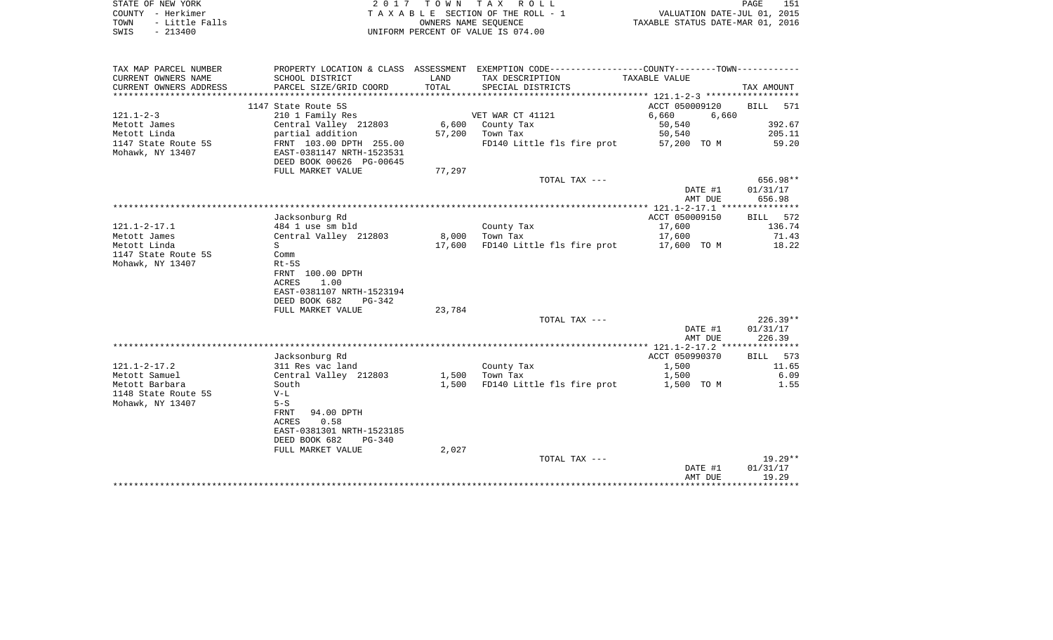| STATE OF NEW YORK      | 2017 TOWN TAX ROLL                 | 151<br>PAGE                      |
|------------------------|------------------------------------|----------------------------------|
| COUNTY - Herkimer      | TAXABLE SECTION OF THE ROLL - 1    | VALUATION DATE-JUL 01, 2015      |
| TOWN<br>- Little Falls | OWNERS NAME SEOUENCE               | TAXABLE STATUS DATE-MAR 01, 2016 |
| SWIS<br>$-213400$      | UNIFORM PERCENT OF VALUE IS 074.00 |                                  |

| TAX MAP PARCEL NUMBER    | PROPERTY LOCATION & CLASS ASSESSMENT EXEMPTION CODE---------------COUNTY-------TOWN--------- |        |                                   |                |              |
|--------------------------|----------------------------------------------------------------------------------------------|--------|-----------------------------------|----------------|--------------|
| CURRENT OWNERS NAME      | SCHOOL DISTRICT                                                                              | LAND   | TAX DESCRIPTION                   | TAXABLE VALUE  |              |
| CURRENT OWNERS ADDRESS   | PARCEL SIZE/GRID COORD                                                                       | TOTAL  | SPECIAL DISTRICTS                 |                | TAX AMOUNT   |
| ************************ |                                                                                              |        |                                   |                |              |
|                          | 1147 State Route 5S                                                                          |        |                                   | ACCT 050009120 | BILL<br>571  |
| $121.1 - 2 - 3$          | 210 1 Family Res                                                                             |        | VET WAR CT 41121                  | 6,660<br>6,660 |              |
| Metott James             | Central Valley 212803                                                                        |        | 6,600 County Tax                  | 50,540         | 392.67       |
| Metott Linda             | partial addition                                                                             |        | 57,200 Town Tax                   | 50,540         | 205.11       |
| 1147 State Route 5S      | FRNT 103.00 DPTH 255.00                                                                      |        | FD140 Little fls fire prot        | 57,200 TO M    | 59.20        |
| Mohawk, NY 13407         | EAST-0381147 NRTH-1523531                                                                    |        |                                   |                |              |
|                          | DEED BOOK 00626 PG-00645                                                                     |        |                                   |                |              |
|                          | FULL MARKET VALUE                                                                            | 77,297 |                                   |                |              |
|                          |                                                                                              |        | TOTAL TAX ---                     |                | 656.98**     |
|                          |                                                                                              |        |                                   | DATE #1        | 01/31/17     |
|                          |                                                                                              |        |                                   | AMT DUE        | 656.98       |
|                          |                                                                                              |        |                                   |                |              |
|                          | Jacksonburg Rd                                                                               |        |                                   | ACCT 050009150 | BILL 572     |
| $121.1 - 2 - 17.1$       | 484 1 use sm bld                                                                             |        | County Tax                        | 17,600         | 136.74       |
| Metott James             | Central Valley 212803                                                                        | 8,000  | Town Tax                          | 17,600         | 71.43        |
| Metott Linda             | S.                                                                                           |        | 17,600 FD140 Little fls fire prot | 17,600 TO M    | 18.22        |
| 1147 State Route 5S      | Comm                                                                                         |        |                                   |                |              |
| Mohawk, NY 13407         | $Rt-5S$                                                                                      |        |                                   |                |              |
|                          | FRNT 100.00 DPTH                                                                             |        |                                   |                |              |
|                          | ACRES<br>1.00                                                                                |        |                                   |                |              |
|                          | EAST-0381107 NRTH-1523194                                                                    |        |                                   |                |              |
|                          | DEED BOOK 682<br>PG-342                                                                      |        |                                   |                |              |
|                          | FULL MARKET VALUE                                                                            | 23,784 |                                   |                |              |
|                          |                                                                                              |        | TOTAL TAX ---                     |                | $226.39**$   |
|                          |                                                                                              |        |                                   | DATE #1        | 01/31/17     |
|                          |                                                                                              |        |                                   | AMT DUE        | 226.39       |
|                          |                                                                                              |        |                                   |                |              |
|                          | Jacksonburg Rd                                                                               |        |                                   | ACCT 050990370 | BILL 573     |
| $121.1 - 2 - 17.2$       | 311 Res vac land                                                                             |        | County Tax                        | 1,500          | 11.65        |
| Metott Samuel            | Central Valley 212803                                                                        | 1,500  | Town Tax                          | 1,500          | 6.09         |
| Metott Barbara           | South                                                                                        | 1,500  | FD140 Little fls fire prot        | 1,500 TO M     | 1.55         |
| 1148 State Route 5S      | $V-L$                                                                                        |        |                                   |                |              |
| Mohawk, NY 13407         | $5-S$                                                                                        |        |                                   |                |              |
|                          | 94.00 DPTH<br>FRNT                                                                           |        |                                   |                |              |
|                          | 0.58<br>ACRES                                                                                |        |                                   |                |              |
|                          | EAST-0381301 NRTH-1523185                                                                    |        |                                   |                |              |
|                          | DEED BOOK 682<br>$PG-340$                                                                    |        |                                   |                |              |
|                          | FULL MARKET VALUE                                                                            | 2,027  |                                   |                |              |
|                          |                                                                                              |        | TOTAL TAX ---                     |                | 19.29**      |
|                          |                                                                                              |        |                                   | DATE #1        | 01/31/17     |
|                          |                                                                                              |        |                                   | AMT DUE        | 19.29        |
|                          |                                                                                              |        |                                   |                | ************ |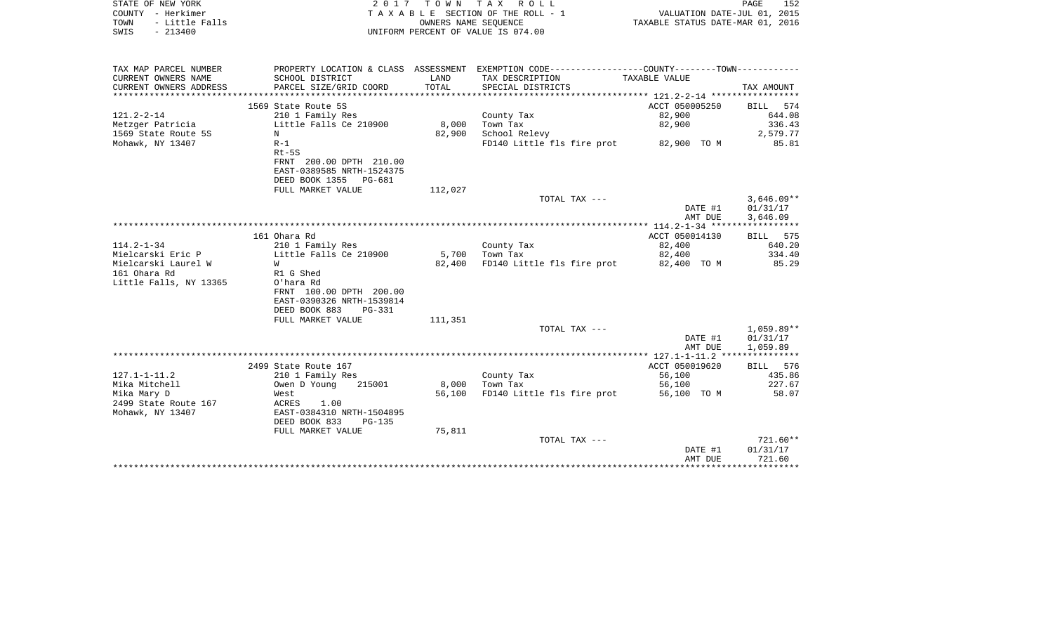|      | STATE OF NEW YORK | 2017 TOWN TAX ROLL                 | PAGE                             | 152 |
|------|-------------------|------------------------------------|----------------------------------|-----|
|      | COUNTY - Herkimer | TAXABLE SECTION OF THE ROLL - 1    | VALUATION DATE-JUL 01, 2015      |     |
| TOWN | - Little Falls    | OWNERS NAME SEOUENCE               | TAXABLE STATUS DATE-MAR 01, 2016 |     |
| SWIS | $-213400$         | UNIFORM PERCENT OF VALUE IS 074.00 |                                  |     |

| TAX MAP PARCEL NUMBER  |                                |         | PROPERTY LOCATION & CLASS ASSESSMENT EXEMPTION CODE----------------COUNTY--------TOWN---------- |                |              |
|------------------------|--------------------------------|---------|-------------------------------------------------------------------------------------------------|----------------|--------------|
| CURRENT OWNERS NAME    | SCHOOL DISTRICT                | LAND    | TAX DESCRIPTION                                                                                 | TAXABLE VALUE  |              |
| CURRENT OWNERS ADDRESS | PARCEL SIZE/GRID COORD         | TOTAL   | SPECIAL DISTRICTS                                                                               |                | TAX AMOUNT   |
|                        |                                |         |                                                                                                 |                |              |
|                        | 1569 State Route 5S            |         |                                                                                                 | ACCT 050005250 | BILL 574     |
| $121.2 - 2 - 14$       | 210 1 Family Res               |         | County Tax                                                                                      | 82,900         | 644.08       |
| Metzger Patricia       | Little Falls Ce 210900         | 8,000   | Town Tax                                                                                        | 82,900         | 336.43       |
| 1569 State Route 5S    | N                              | 82,900  | School Relevy                                                                                   |                | 2,579.77     |
| Mohawk, NY 13407       | $R-1$                          |         | FD140 Little fls fire prot 82,900 TO M                                                          |                | 85.81        |
|                        | $Rt-5S$                        |         |                                                                                                 |                |              |
|                        | FRNT 200.00 DPTH 210.00        |         |                                                                                                 |                |              |
|                        | EAST-0389585 NRTH-1524375      |         |                                                                                                 |                |              |
|                        | DEED BOOK 1355 PG-681          |         |                                                                                                 |                |              |
|                        | FULL MARKET VALUE              | 112,027 |                                                                                                 |                |              |
|                        |                                |         | TOTAL TAX ---                                                                                   |                | $3,646.09**$ |
|                        |                                |         |                                                                                                 | DATE #1        | 01/31/17     |
|                        |                                |         |                                                                                                 | AMT DUE        | 3,646.09     |
|                        |                                |         |                                                                                                 |                |              |
|                        | 161 Ohara Rd                   |         |                                                                                                 | ACCT 050014130 | BILL 575     |
| $114.2 - 1 - 34$       | 210 1 Family Res               |         | County Tax                                                                                      | 82,400         | 640.20       |
| Mielcarski Eric P      | Little Falls Ce 210900         | 5,700   | Town Tax                                                                                        | 82,400         | 334.40       |
| Mielcarski Laurel W    | W                              | 82,400  | FD140 Little fls fire prot                                                                      | 82,400 TO M    | 85.29        |
| 161 Ohara Rd           | R1 G Shed                      |         |                                                                                                 |                |              |
|                        |                                |         |                                                                                                 |                |              |
| Little Falls, NY 13365 | O'hara Rd                      |         |                                                                                                 |                |              |
|                        | FRNT 100.00 DPTH 200.00        |         |                                                                                                 |                |              |
|                        | EAST-0390326 NRTH-1539814      |         |                                                                                                 |                |              |
|                        | DEED BOOK 883<br><b>PG-331</b> |         |                                                                                                 |                |              |
|                        | FULL MARKET VALUE              | 111,351 |                                                                                                 |                |              |
|                        |                                |         | TOTAL TAX ---                                                                                   |                | 1,059.89**   |
|                        |                                |         |                                                                                                 | DATE #1        | 01/31/17     |
|                        |                                |         |                                                                                                 | AMT DUE        | 1,059.89     |
|                        |                                |         |                                                                                                 |                |              |
|                        | 2499 State Route 167           |         |                                                                                                 | ACCT 050019620 | BILL 576     |
| $127.1 - 1 - 11.2$     | 210 1 Family Res               |         | County Tax                                                                                      | 56,100         | 435.86       |
| Mika Mitchell          | Owen D Young<br>215001         | 8,000   | Town Tax                                                                                        | 56,100         | 227.67       |
| Mika Mary D            | West                           | 56,100  | FD140 Little fls fire prot                                                                      | 56,100 TO M    | 58.07        |
| 2499 State Route 167   | ACRES<br>1.00                  |         |                                                                                                 |                |              |
| Mohawk, NY 13407       | EAST-0384310 NRTH-1504895      |         |                                                                                                 |                |              |
|                        | DEED BOOK 833<br><b>PG-135</b> |         |                                                                                                 |                |              |
|                        | FULL MARKET VALUE              | 75,811  |                                                                                                 |                |              |
|                        |                                |         | TOTAL TAX ---                                                                                   |                | $721.60**$   |
|                        |                                |         |                                                                                                 | DATE #1        | 01/31/17     |
|                        |                                |         |                                                                                                 | AMT DUE        | 721.60       |
|                        |                                |         |                                                                                                 |                |              |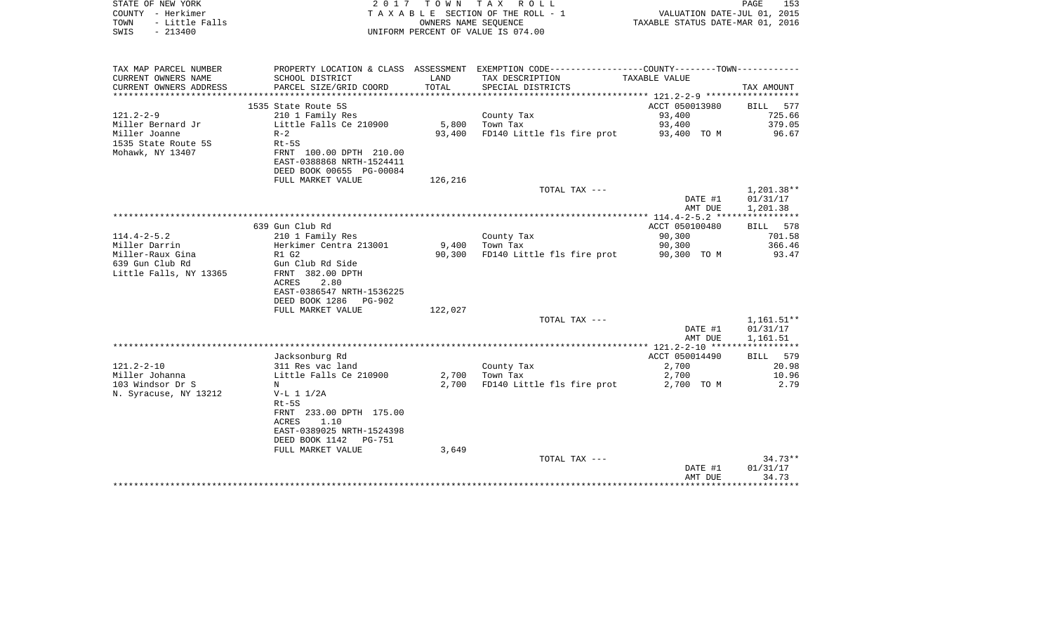| COUNTY - Herkimer<br>TOWN<br>- Little Falls<br>$-213400$<br>SWIS |                                          |         | TAXABLE SECTION OF THE ROLL - 1<br>OWNERS NAME SEOUENCE<br>UNIFORM PERCENT OF VALUE IS 074.00  | VALUATION DATE-JUL 01, 2015<br>TAXABLE STATUS DATE-MAR 01, 2016 |                    |
|------------------------------------------------------------------|------------------------------------------|---------|------------------------------------------------------------------------------------------------|-----------------------------------------------------------------|--------------------|
|                                                                  |                                          |         |                                                                                                |                                                                 |                    |
| TAX MAP PARCEL NUMBER                                            |                                          |         | PROPERTY LOCATION & CLASS ASSESSMENT EXEMPTION CODE----------------COUNTY-------TOWN---------- |                                                                 |                    |
| CURRENT OWNERS NAME                                              | SCHOOL DISTRICT                          | LAND    | TAX DESCRIPTION                                                                                | TAXABLE VALUE                                                   |                    |
| CURRENT OWNERS ADDRESS                                           | PARCEL SIZE/GRID COORD                   | TOTAL   | SPECIAL DISTRICTS                                                                              |                                                                 | TAX AMOUNT         |
|                                                                  |                                          |         |                                                                                                |                                                                 |                    |
|                                                                  | 1535 State Route 5S                      |         |                                                                                                | ACCT 050013980                                                  | <b>BILL</b><br>577 |
| $121.2 - 2 - 9$                                                  | 210 1 Family Res                         |         | County Tax                                                                                     | 93,400                                                          | 725.66             |
| Miller Bernard Jr                                                | Little Falls Ce 210900                   | 5,800   | Town Tax                                                                                       | 93,400                                                          | 379.05             |
| Miller Joanne                                                    | $R-2$                                    | 93,400  | FD140 Little fls fire prot                                                                     | 93,400 TO M                                                     | 96.67              |
| 1535 State Route 5S                                              | $Rt-5S$                                  |         |                                                                                                |                                                                 |                    |
| Mohawk, NY 13407                                                 | FRNT 100.00 DPTH 210.00                  |         |                                                                                                |                                                                 |                    |
|                                                                  | EAST-0388868 NRTH-1524411                |         |                                                                                                |                                                                 |                    |
|                                                                  | DEED BOOK 00655 PG-00084                 |         |                                                                                                |                                                                 |                    |
|                                                                  | FULL MARKET VALUE                        | 126,216 | TOTAL TAX ---                                                                                  |                                                                 | 1,201.38**         |
|                                                                  |                                          |         |                                                                                                | DATE #1                                                         | 01/31/17           |
|                                                                  |                                          |         |                                                                                                | AMT DUE                                                         | 1,201.38           |
|                                                                  |                                          |         |                                                                                                |                                                                 |                    |
|                                                                  | 639 Gun Club Rd                          |         |                                                                                                | ACCT 050100480                                                  | BILL 578           |
| 114.4-2-5.2                                                      | 210 1 Family Res                         |         | County Tax                                                                                     | 90,300                                                          | 701.58             |
| Miller Darrin                                                    | Herkimer Centra 213001                   | 9,400   | Town Tax                                                                                       | 90,300                                                          | 366.46             |
| Miller-Raux Gina                                                 | R1 G2                                    | 90,300  | FD140 Little fls fire prot                                                                     | 90,300 TO M                                                     | 93.47              |
| 639 Gun Club Rd                                                  | Gun Club Rd Side                         |         |                                                                                                |                                                                 |                    |
| Little Falls, NY 13365                                           | FRNT 382.00 DPTH                         |         |                                                                                                |                                                                 |                    |
|                                                                  | ACRES<br>2.80                            |         |                                                                                                |                                                                 |                    |
|                                                                  | EAST-0386547 NRTH-1536225                |         |                                                                                                |                                                                 |                    |
|                                                                  | DEED BOOK 1286<br>PG-902                 |         |                                                                                                |                                                                 |                    |
|                                                                  | FULL MARKET VALUE                        | 122,027 |                                                                                                |                                                                 |                    |
|                                                                  |                                          |         | TOTAL TAX ---                                                                                  |                                                                 | $1,161.51**$       |
|                                                                  |                                          |         |                                                                                                | DATE #1                                                         | 01/31/17           |
|                                                                  |                                          |         |                                                                                                | AMT DUE                                                         | 1,161.51           |
|                                                                  |                                          |         |                                                                                                |                                                                 |                    |
|                                                                  | Jacksonburg Rd                           |         |                                                                                                | ACCT 050014490                                                  | 579<br>BILL        |
| 121.2-2-10                                                       | 311 Res vac land                         |         | County Tax                                                                                     | 2,700                                                           | 20.98              |
| Miller Johanna                                                   | Little Falls Ce 210900                   | 2,700   | Town Tax                                                                                       | 2,700                                                           | 10.96              |
| 103 Windsor Dr S                                                 | N                                        | 2,700   | FD140 Little fls fire prot                                                                     | 2,700 TO M                                                      | 2.79               |
| N. Syracuse, NY 13212                                            | $V-L 1 1/2A$                             |         |                                                                                                |                                                                 |                    |
|                                                                  | $Rt-5S$                                  |         |                                                                                                |                                                                 |                    |
|                                                                  | FRNT 233.00 DPTH 175.00<br>1.10<br>ACRES |         |                                                                                                |                                                                 |                    |
|                                                                  | EAST-0389025 NRTH-1524398                |         |                                                                                                |                                                                 |                    |
|                                                                  | DEED BOOK 1142<br>PG-751                 |         |                                                                                                |                                                                 |                    |
|                                                                  | FULL MARKET VALUE                        | 3,649   |                                                                                                |                                                                 |                    |
|                                                                  |                                          |         | TOTAL TAX ---                                                                                  |                                                                 | $34.73**$          |
|                                                                  |                                          |         |                                                                                                | DATE #1                                                         | 01/31/17           |
|                                                                  |                                          |         |                                                                                                | AMT DUE                                                         | 34.73              |
|                                                                  |                                          |         |                                                                                                |                                                                 |                    |

STATE OF NEW YORK 2017 TOWN TAX ROLL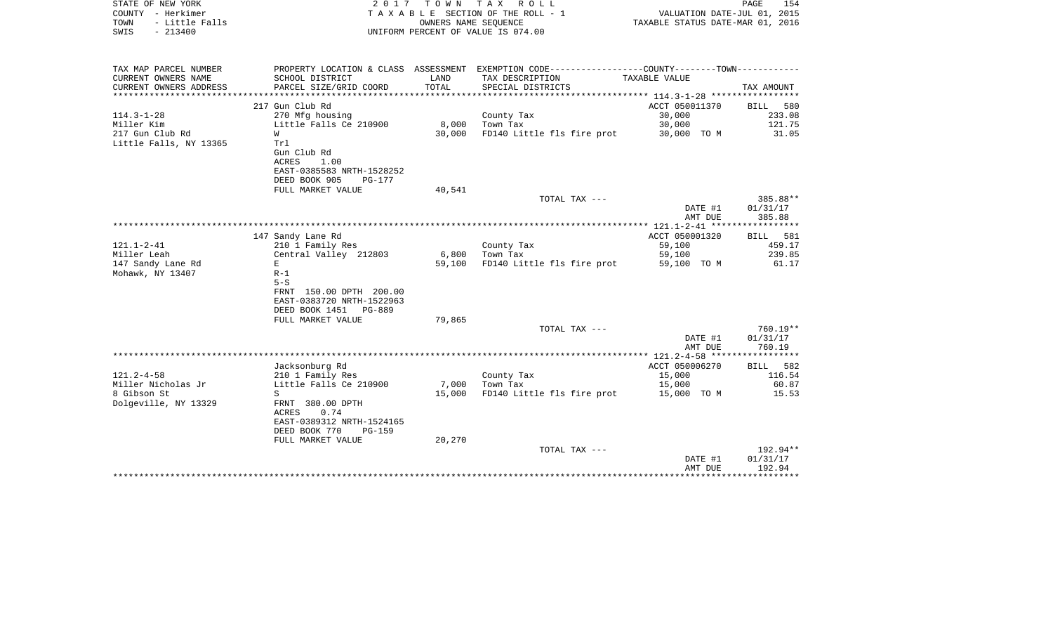| STATE OF NEW YORK<br>COUNTY - Herkimer<br>TOWN<br>- Little Falls<br>$-213400$<br>SWIS | 2017                                                                                    | OWNERS NAME SEQUENCE | TOWN TAX ROLL<br>TAXABLE SECTION OF THE ROLL - 1<br>UNIFORM PERCENT OF VALUE IS 074.00                           | VALUATION DATE-JUL 01, 2015<br>TAXABLE STATUS DATE-MAR 01, 2016 | PAGE<br>154                    |
|---------------------------------------------------------------------------------------|-----------------------------------------------------------------------------------------|----------------------|------------------------------------------------------------------------------------------------------------------|-----------------------------------------------------------------|--------------------------------|
| TAX MAP PARCEL NUMBER<br>CURRENT OWNERS NAME                                          | SCHOOL DISTRICT                                                                         | LAND                 | PROPERTY LOCATION & CLASS ASSESSMENT EXEMPTION CODE---------------COUNTY-------TOWN----------<br>TAX DESCRIPTION | TAXABLE VALUE                                                   |                                |
| CURRENT OWNERS ADDRESS                                                                | PARCEL SIZE/GRID COORD                                                                  | TOTAL                | SPECIAL DISTRICTS                                                                                                |                                                                 | TAX AMOUNT                     |
|                                                                                       | 217 Gun Club Rd                                                                         |                      |                                                                                                                  | ACCT 050011370                                                  | <b>BILL</b><br>580             |
| $114.3 - 1 - 28$                                                                      | 270 Mfg housing                                                                         |                      | County Tax                                                                                                       | 30,000                                                          | 233.08                         |
| Miller Kim                                                                            | Little Falls Ce 210900                                                                  | 8,000                | Town Tax                                                                                                         | 30,000                                                          | 121.75                         |
| 217 Gun Club Rd<br>W                                                                  |                                                                                         | 30,000               | FD140 Little fls fire prot                                                                                       | 30,000 TO M                                                     | 31.05                          |
| Little Falls, NY 13365<br>Trl<br>ACRES                                                | Gun Club Rd<br>1.00<br>EAST-0385583 NRTH-1528252<br>DEED BOOK 905<br>PG-177             |                      |                                                                                                                  |                                                                 |                                |
|                                                                                       | FULL MARKET VALUE                                                                       | 40,541               |                                                                                                                  |                                                                 |                                |
|                                                                                       |                                                                                         |                      | TOTAL TAX ---                                                                                                    | DATE #1<br>AMT DUE                                              | 385.88**<br>01/31/17<br>385.88 |
|                                                                                       |                                                                                         |                      |                                                                                                                  |                                                                 |                                |
|                                                                                       | 147 Sandy Lane Rd                                                                       |                      |                                                                                                                  | ACCT 050001320                                                  | BILL 581                       |
| 121.1-2-41                                                                            | 210 1 Family Res                                                                        |                      | County Tax                                                                                                       | 59,100                                                          | 459.17                         |
| Miller Leah                                                                           | Central Valley 212803                                                                   | 6,800                | Town Tax                                                                                                         | 59,100                                                          | 239.85                         |
| 147 Sandy Lane Rd<br>Е<br>Mohawk, NY 13407<br>$R-1$<br>$5-S$                          | FRNT 150.00 DPTH 200.00<br>EAST-0383720 NRTH-1522963<br>DEED BOOK 1451<br>PG-889        | 59,100               | FD140 Little fls fire prot                                                                                       | 59,100 TO M                                                     | 61.17                          |
|                                                                                       | FULL MARKET VALUE                                                                       | 79,865               |                                                                                                                  |                                                                 |                                |
|                                                                                       |                                                                                         |                      | TOTAL TAX ---                                                                                                    | DATE #1<br>AMT DUE                                              | 760.19**<br>01/31/17<br>760.19 |
|                                                                                       |                                                                                         |                      |                                                                                                                  |                                                                 |                                |
|                                                                                       | Jacksonburg Rd                                                                          |                      |                                                                                                                  | ACCT 050006270                                                  | BILL 582                       |
| $121.2 - 4 - 58$                                                                      | 210 1 Family Res                                                                        |                      | County Tax                                                                                                       | 15,000                                                          | 116.54                         |
| Miller Nicholas Jr<br>8 Gibson St<br>S                                                | Little Falls Ce 210900                                                                  | 7,000<br>15,000      | Town Tax                                                                                                         | 15,000                                                          | 60.87<br>15.53                 |
| Dolgeville, NY 13329<br>ACRES                                                         | FRNT 380.00 DPTH<br>0.74<br>EAST-0389312 NRTH-1524165<br>DEED BOOK 770<br><b>PG-159</b> |                      | FD140 Little fls fire prot                                                                                       | 15,000 TO M                                                     |                                |
|                                                                                       | FULL MARKET VALUE                                                                       | 20,270               |                                                                                                                  |                                                                 |                                |
|                                                                                       |                                                                                         |                      | TOTAL TAX ---                                                                                                    | DATE #1<br>AMT DUE                                              | 192.94**<br>01/31/17<br>192.94 |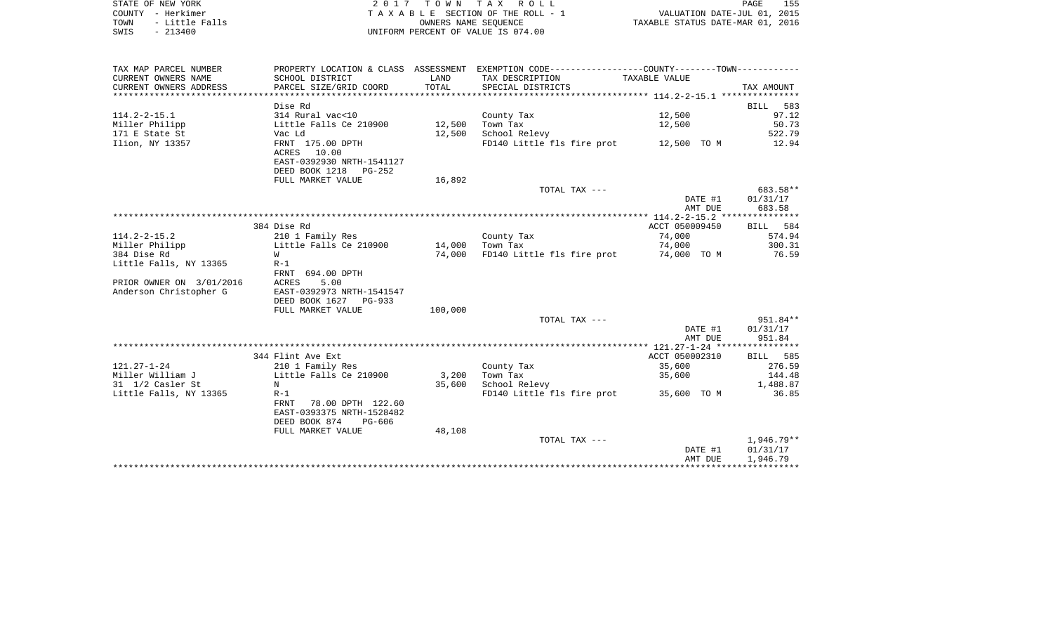|      | STATE OF NEW YORK | 2017 TOWN TAX ROLL                 | 155<br>PAGE                      |  |
|------|-------------------|------------------------------------|----------------------------------|--|
|      | COUNTY - Herkimer | TAXABLE SECTION OF THE ROLL - 1    | VALUATION DATE-JUL 01, 2015      |  |
| TOWN | - Little Falls    | OWNERS NAME SEOUENCE               | TAXABLE STATUS DATE-MAR 01, 2016 |  |
| SWIS | $-213400$         | UNIFORM PERCENT OF VALUE IS 074.00 |                                  |  |

| TAX MAP PARCEL NUMBER    |                           |         | PROPERTY LOCATION & CLASS ASSESSMENT EXEMPTION CODE----------------COUNTY--------TOWN----------- |                |            |
|--------------------------|---------------------------|---------|--------------------------------------------------------------------------------------------------|----------------|------------|
| CURRENT OWNERS NAME      | SCHOOL DISTRICT           | LAND    | TAX DESCRIPTION                                                                                  | TAXABLE VALUE  |            |
| CURRENT OWNERS ADDRESS   | PARCEL SIZE/GRID COORD    | TOTAL   | SPECIAL DISTRICTS                                                                                |                | TAX AMOUNT |
|                          |                           |         |                                                                                                  |                |            |
|                          | Dise Rd                   |         |                                                                                                  |                | BILL 583   |
| $114.2 - 2 - 15.1$       | 314 Rural vac<10          |         | County Tax                                                                                       | 12,500         | 97.12      |
| Miller Philipp           | Little Falls Ce 210900    | 12,500  | Town Tax                                                                                         | 12,500         | 50.73      |
| 171 E State St           | Vac Ld                    | 12,500  | School Relevy                                                                                    |                | 522.79     |
| Ilion, NY 13357          | FRNT 175.00 DPTH          |         | FD140 Little fls fire prot 12,500 TO M                                                           |                | 12.94      |
|                          | ACRES 10.00               |         |                                                                                                  |                |            |
|                          | EAST-0392930 NRTH-1541127 |         |                                                                                                  |                |            |
|                          | DEED BOOK 1218 PG-252     |         |                                                                                                  |                |            |
|                          | FULL MARKET VALUE         | 16,892  |                                                                                                  |                |            |
|                          |                           |         | TOTAL TAX ---                                                                                    |                | 683.58**   |
|                          |                           |         |                                                                                                  | DATE #1        | 01/31/17   |
|                          |                           |         |                                                                                                  | AMT DUE        | 683.58     |
|                          |                           |         |                                                                                                  |                |            |
|                          | 384 Dise Rd               |         |                                                                                                  | ACCT 050009450 | BILL 584   |
| $114.2 - 2 - 15.2$       | 210 1 Family Res          |         | County Tax                                                                                       | 74,000         | 574.94     |
| Miller Philipp           | Little Falls Ce 210900    | 14,000  | Town Tax                                                                                         | 74,000         | 300.31     |
| 384 Dise Rd              | W                         | 74,000  | FD140 Little fls fire prot 74,000 TO M                                                           |                | 76.59      |
| Little Falls, NY 13365   | $R-1$                     |         |                                                                                                  |                |            |
|                          | FRNT 694.00 DPTH          |         |                                                                                                  |                |            |
| PRIOR OWNER ON 3/01/2016 | 5.00<br><b>ACRES</b>      |         |                                                                                                  |                |            |
| Anderson Christopher G   | EAST-0392973 NRTH-1541547 |         |                                                                                                  |                |            |
|                          | DEED BOOK 1627 PG-933     |         |                                                                                                  |                |            |
|                          | FULL MARKET VALUE         | 100,000 |                                                                                                  |                |            |
|                          |                           |         | TOTAL TAX ---                                                                                    |                | 951.84**   |
|                          |                           |         |                                                                                                  | DATE #1        | 01/31/17   |
|                          |                           |         |                                                                                                  | AMT DUE        | 951.84     |
|                          |                           |         |                                                                                                  |                |            |
|                          | 344 Flint Ave Ext         |         |                                                                                                  | ACCT 050002310 | BILL 585   |
| $121.27 - 1 - 24$        | 210 1 Family Res          |         | County Tax                                                                                       | 35,600         | 276.59     |
| Miller William J         | Little Falls Ce 210900    | 3,200   | Town Tax                                                                                         | 35,600         | 144.48     |
| 31 1/2 Casler St         | N                         | 35,600  | School Relevy                                                                                    |                | 1,488.87   |
| Little Falls, NY 13365   | $R-1$                     |         | FD140 Little fls fire prot 35,600 TO M                                                           |                | 36.85      |
|                          | 78.00 DPTH 122.60<br>FRNT |         |                                                                                                  |                |            |
|                          | EAST-0393375 NRTH-1528482 |         |                                                                                                  |                |            |
|                          | DEED BOOK 874<br>PG-606   |         |                                                                                                  |                |            |
|                          | FULL MARKET VALUE         | 48,108  |                                                                                                  |                |            |
|                          |                           |         | TOTAL TAX ---                                                                                    |                | 1,946.79** |
|                          |                           |         |                                                                                                  | DATE #1        | 01/31/17   |
|                          |                           |         |                                                                                                  | AMT DUE        | 1,946.79   |
|                          |                           |         |                                                                                                  |                |            |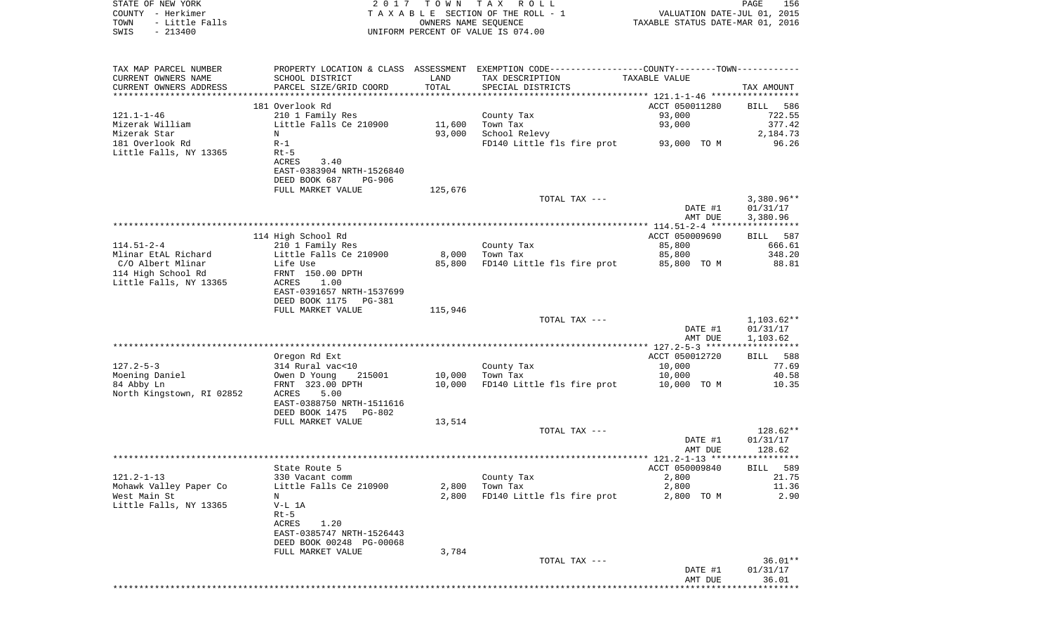| STATE OF NEW YORK<br>COUNTY - Herkimer<br>TOWN<br>- Little Falls<br>$-213400$<br>SWIS | 2017                              | TOWN TAX | R O L L<br>TAXABLE SECTION OF THE ROLL - 1<br>OWNERS NAME SEQUENCE<br>UNIFORM PERCENT OF VALUE IS 074.00 | VALUATION DATE-JUL 01, 2015<br>TAXABLE STATUS DATE-MAR 01, 2016 | 156<br>PAGE          |
|---------------------------------------------------------------------------------------|-----------------------------------|----------|----------------------------------------------------------------------------------------------------------|-----------------------------------------------------------------|----------------------|
| TAX MAP PARCEL NUMBER                                                                 |                                   |          | PROPERTY LOCATION & CLASS ASSESSMENT EXEMPTION CODE---------------COUNTY-------TOWN----------            |                                                                 |                      |
| CURRENT OWNERS NAME                                                                   | SCHOOL DISTRICT                   | LAND     | TAX DESCRIPTION                                                                                          | TAXABLE VALUE                                                   |                      |
| CURRENT OWNERS ADDRESS                                                                | PARCEL SIZE/GRID COORD            | TOTAL    | SPECIAL DISTRICTS                                                                                        |                                                                 | TAX AMOUNT           |
|                                                                                       | 181 Overlook Rd                   |          |                                                                                                          | ACCT 050011280                                                  | BILL<br>586          |
| 121.1-1-46                                                                            | 210 1 Family Res                  |          | County Tax                                                                                               | 93,000                                                          | 722.55               |
| Mizerak William                                                                       | Little Falls Ce 210900            | 11,600   | Town Tax                                                                                                 | 93,000                                                          | 377.42               |
| Mizerak Star                                                                          | N                                 | 93,000   | School Relevy                                                                                            |                                                                 | 2,184.73             |
| 181 Overlook Rd<br>Little Falls, NY 13365                                             | $R-1$<br>$Rt-5$                   |          | FD140 Little fls fire prot                                                                               | 93,000 TO M                                                     | 96.26                |
|                                                                                       | 3.40<br>ACRES                     |          |                                                                                                          |                                                                 |                      |
|                                                                                       | EAST-0383904 NRTH-1526840         |          |                                                                                                          |                                                                 |                      |
|                                                                                       | DEED BOOK 687<br><b>PG-906</b>    |          |                                                                                                          |                                                                 |                      |
|                                                                                       | FULL MARKET VALUE                 | 125,676  |                                                                                                          |                                                                 |                      |
|                                                                                       |                                   |          | TOTAL TAX ---                                                                                            |                                                                 | $3,380.96**$         |
|                                                                                       |                                   |          |                                                                                                          | DATE #1<br>AMT DUE                                              | 01/31/17<br>3,380.96 |
|                                                                                       |                                   |          |                                                                                                          |                                                                 | ***********          |
|                                                                                       | 114 High School Rd                |          |                                                                                                          | ACCT 050009690                                                  | 587<br>BILL          |
| 114.51-2-4                                                                            | 210 1 Family Res                  |          | County Tax                                                                                               | 85,800                                                          | 666.61               |
| Mlinar EtAL Richard                                                                   | Little Falls Ce 210900            | 8,000    | Town Tax                                                                                                 | 85,800                                                          | 348.20               |
| C/O Albert Mlinar<br>114 High School Rd                                               | Life Use<br>FRNT 150.00 DPTH      | 85,800   | FD140 Little fls fire prot                                                                               | 85,800 TO M                                                     | 88.81                |
| Little Falls, NY 13365                                                                | ACRES<br>1.00                     |          |                                                                                                          |                                                                 |                      |
|                                                                                       | EAST-0391657 NRTH-1537699         |          |                                                                                                          |                                                                 |                      |
|                                                                                       | DEED BOOK 1175<br>PG-381          |          |                                                                                                          |                                                                 |                      |
|                                                                                       | FULL MARKET VALUE                 | 115,946  |                                                                                                          |                                                                 |                      |
|                                                                                       |                                   |          | TOTAL TAX ---                                                                                            |                                                                 | $1,103.62**$         |
|                                                                                       |                                   |          |                                                                                                          | DATE #1<br>AMT DUE                                              | 01/31/17<br>1,103.62 |
|                                                                                       |                                   |          |                                                                                                          |                                                                 |                      |
|                                                                                       | Oregon Rd Ext                     |          |                                                                                                          | ACCT 050012720                                                  | 588<br>BILL          |
| 127.2-5-3                                                                             | 314 Rural vac<10                  |          | County Tax                                                                                               | 10,000                                                          | 77.69                |
| Moening Daniel                                                                        | Owen D Young<br>215001            | 10,000   | Town Tax                                                                                                 | 10,000                                                          | 40.58                |
| 84 Abby Ln                                                                            | FRNT 323.00 DPTH<br>ACRES<br>5.00 | 10,000   | FD140 Little fls fire prot                                                                               | 10,000 TO M                                                     | 10.35                |
| North Kingstown, RI 02852                                                             | EAST-0388750 NRTH-1511616         |          |                                                                                                          |                                                                 |                      |
|                                                                                       | DEED BOOK 1475<br>PG-802          |          |                                                                                                          |                                                                 |                      |
|                                                                                       | FULL MARKET VALUE                 | 13,514   |                                                                                                          |                                                                 |                      |
|                                                                                       |                                   |          | TOTAL TAX ---                                                                                            |                                                                 | 128.62**             |
|                                                                                       |                                   |          |                                                                                                          | DATE #1                                                         | 01/31/17             |
|                                                                                       |                                   |          |                                                                                                          | AMT DUE                                                         | 128.62               |
|                                                                                       | State Route 5                     |          |                                                                                                          | ACCT 050009840                                                  | BILL 589             |
| $121.2 - 1 - 13$                                                                      | 330 Vacant comm                   |          | County Tax                                                                                               | 2,800                                                           | 21.75                |
| Mohawk Valley Paper Co                                                                | Little Falls Ce 210900            | 2,800    | Town Tax                                                                                                 | 2,800                                                           | 11.36                |
| West Main St                                                                          | N                                 | 2,800    | FD140 Little fls fire prot                                                                               | 2,800<br>TO M                                                   | 2.90                 |
| Little Falls, NY 13365                                                                | V-L 1A                            |          |                                                                                                          |                                                                 |                      |
|                                                                                       | $Rt-5$<br>ACRES<br>1.20           |          |                                                                                                          |                                                                 |                      |
|                                                                                       | EAST-0385747 NRTH-1526443         |          |                                                                                                          |                                                                 |                      |
|                                                                                       | DEED BOOK 00248 PG-00068          |          |                                                                                                          |                                                                 |                      |
|                                                                                       | FULL MARKET VALUE                 | 3,784    |                                                                                                          |                                                                 |                      |
|                                                                                       |                                   |          | TOTAL TAX ---                                                                                            |                                                                 | $36.01**$            |
|                                                                                       |                                   |          |                                                                                                          | DATE #1                                                         | 01/31/17             |

 AMT DUE 36.01 \*\*\*\*\*\*\*\*\*\*\*\*\*\*\*\*\*\*\*\*\*\*\*\*\*\*\*\*\*\*\*\*\*\*\*\*\*\*\*\*\*\*\*\*\*\*\*\*\*\*\*\*\*\*\*\*\*\*\*\*\*\*\*\*\*\*\*\*\*\*\*\*\*\*\*\*\*\*\*\*\*\*\*\*\*\*\*\*\*\*\*\*\*\*\*\*\*\*\*\*\*\*\*\*\*\*\*\*\*\*\*\*\*\*\*\*\*\*\*\*\*\*\*\*\*\*\*\*\*\*\*\*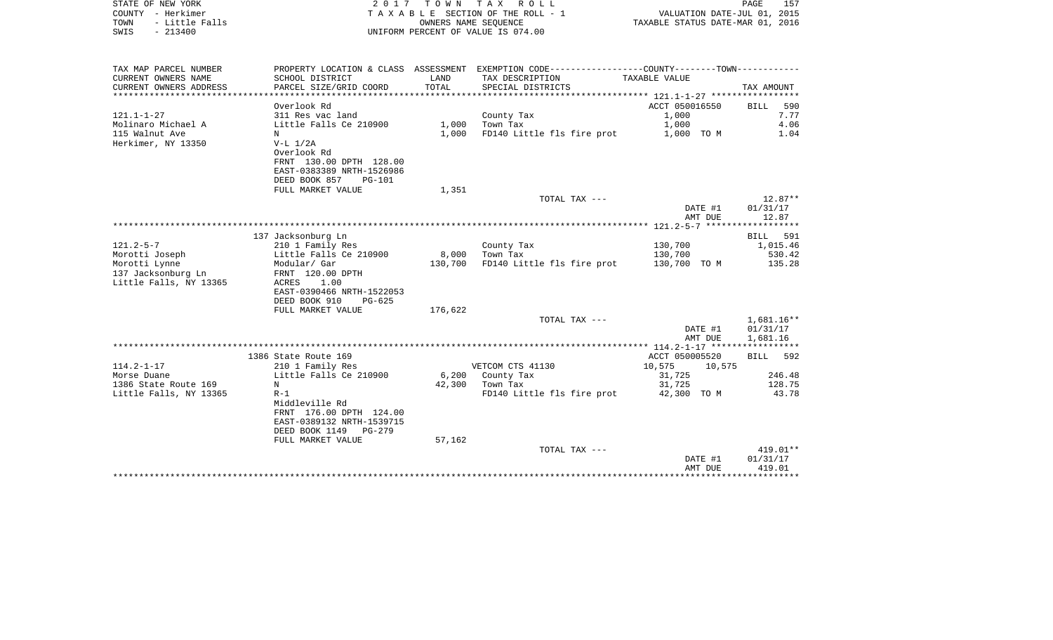| STATE OF NEW YORK<br>COUNTY - Herkimer<br>- Little Falls<br>TOWN<br>$-213400$<br>SWIS | 2017                                                                                                                             | T O W N       | TAX ROLL<br>TAXABLE SECTION OF THE ROLL - 1<br>OWNERS NAME SEQUENCE<br>UNIFORM PERCENT OF VALUE IS 074.00 | VALUATION DATE-JUL 01, 2015<br>TAXABLE STATUS DATE-MAR 01, 2016 | PAGE<br>157                          |
|---------------------------------------------------------------------------------------|----------------------------------------------------------------------------------------------------------------------------------|---------------|-----------------------------------------------------------------------------------------------------------|-----------------------------------------------------------------|--------------------------------------|
| TAX MAP PARCEL NUMBER                                                                 |                                                                                                                                  |               | PROPERTY LOCATION & CLASS ASSESSMENT EXEMPTION CODE----------------COUNTY-------TOWN----------            |                                                                 |                                      |
| CURRENT OWNERS NAME<br>CURRENT OWNERS ADDRESS<br>************************             | SCHOOL DISTRICT<br>PARCEL SIZE/GRID COORD                                                                                        | LAND<br>TOTAL | TAX DESCRIPTION<br>SPECIAL DISTRICTS                                                                      | TAXABLE VALUE                                                   | TAX AMOUNT                           |
|                                                                                       | Overlook Rd                                                                                                                      |               |                                                                                                           | ACCT 050016550                                                  | 590<br><b>BILL</b>                   |
| $121.1 - 1 - 27$                                                                      | 311 Res vac land                                                                                                                 |               | County Tax                                                                                                | 1,000                                                           | 7.77                                 |
| Molinaro Michael A                                                                    | Little Falls Ce 210900                                                                                                           | 1,000         | Town Tax                                                                                                  | 1,000                                                           | 4.06                                 |
| 115 Walnut Ave<br>Herkimer, NY 13350                                                  | N<br>$V-L$ $1/2A$<br>Overlook Rd<br>FRNT 130.00 DPTH 128.00<br>EAST-0383389 NRTH-1526986<br>DEED BOOK 857<br>PG-101              | 1,000         | FD140 Little fls fire prot                                                                                | 1,000 TO M                                                      | 1.04                                 |
|                                                                                       | FULL MARKET VALUE                                                                                                                | 1,351         |                                                                                                           |                                                                 |                                      |
|                                                                                       |                                                                                                                                  |               | TOTAL TAX ---                                                                                             | DATE #1<br>AMT DUE                                              | $12.87**$<br>01/31/17<br>12.87       |
|                                                                                       |                                                                                                                                  |               |                                                                                                           | ************** 121.2-5-7 *******************                    |                                      |
|                                                                                       | 137 Jacksonburg Ln                                                                                                               |               |                                                                                                           |                                                                 | 591<br><b>BILL</b>                   |
| $121.2 - 5 - 7$                                                                       | 210 1 Family Res                                                                                                                 |               | County Tax                                                                                                | 130,700                                                         | 1,015.46                             |
| Morotti Joseph                                                                        | Little Falls Ce 210900                                                                                                           | 8,000         | Town Tax                                                                                                  | 130,700                                                         | 530.42                               |
| Morotti Lynne<br>137 Jacksonburg Ln<br>Little Falls, NY 13365                         | Modular/ Gar<br>FRNT 120.00 DPTH<br>ACRES<br>1.00<br>EAST-0390466 NRTH-1522053<br>DEED BOOK 910<br>$PG-625$                      | 130,700       | FD140 Little fls fire prot                                                                                | 130,700 TO M                                                    | 135.28                               |
|                                                                                       | FULL MARKET VALUE                                                                                                                | 176,622       |                                                                                                           |                                                                 |                                      |
|                                                                                       |                                                                                                                                  |               | TOTAL TAX ---                                                                                             | DATE #1<br>AMT DUE                                              | $1,681.16**$<br>01/31/17<br>1,681.16 |
|                                                                                       |                                                                                                                                  |               |                                                                                                           |                                                                 |                                      |
|                                                                                       | 1386 State Route 169                                                                                                             |               |                                                                                                           | ACCT 050005520                                                  | 592<br>BILL                          |
| $114.2 - 1 - 17$                                                                      | 210 1 Family Res                                                                                                                 |               | VETCOM CTS 41130                                                                                          | 10,575<br>10,575                                                |                                      |
| Morse Duane                                                                           | Little Falls Ce 210900                                                                                                           | 6,200         | County Tax                                                                                                | 31,725                                                          | 246.48                               |
| 1386 State Route 169                                                                  | N                                                                                                                                | 42,300        | Town Tax                                                                                                  | 31,725                                                          | 128.75                               |
| Little Falls, NY 13365                                                                | $R-1$<br>Middleville Rd<br>FRNT 176.00 DPTH 124.00<br>EAST-0389132 NRTH-1539715<br>DEED BOOK 1149<br>PG-279<br>FULL MARKET VALUE | 57,162        | FD140 Little fls fire prot                                                                                | 42,300 TO M                                                     | 43.78                                |
|                                                                                       |                                                                                                                                  |               | TOTAL TAX ---                                                                                             |                                                                 | 419.01**                             |
|                                                                                       |                                                                                                                                  |               |                                                                                                           | DATE #1                                                         | 01/31/17                             |
|                                                                                       |                                                                                                                                  |               |                                                                                                           | AMT DUE                                                         | 419.01                               |
|                                                                                       |                                                                                                                                  |               |                                                                                                           | ********************                                            | ************                         |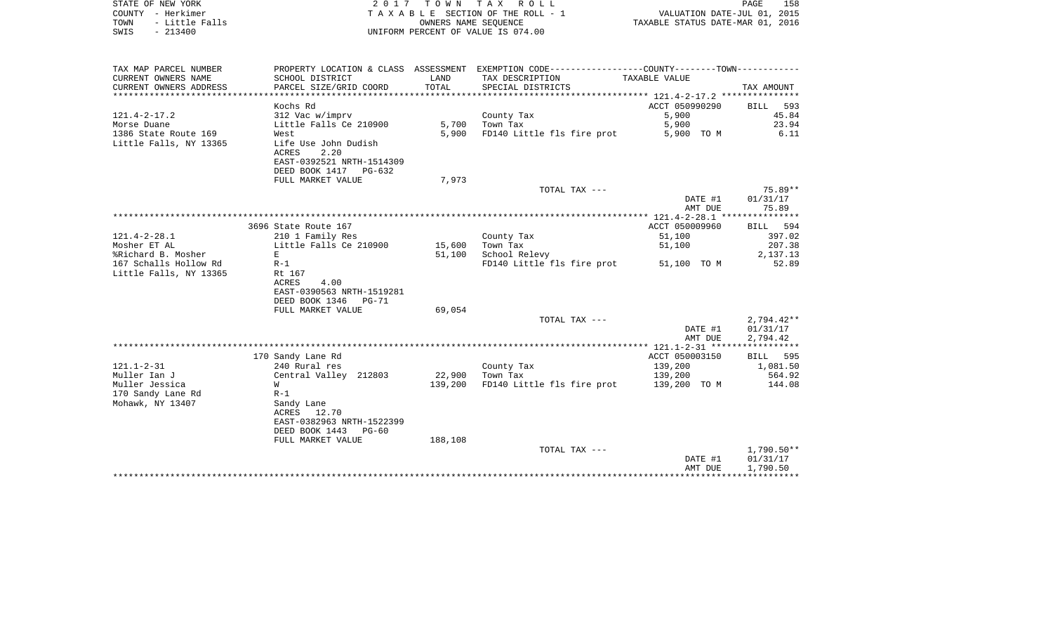| COUNTY - Herkimer<br>- Little Falls<br>TOWN<br>SWIS<br>$-213400$ |                                    |               | TAXABLE SECTION OF THE ROLL - 1<br>OWNERS NAME SEQUENCE<br>UNIFORM PERCENT OF VALUE IS 074.00 | VALUATION DATE-JUL 01, 2015<br>TAXABLE STATUS DATE-MAR 01, 2016 |                  |
|------------------------------------------------------------------|------------------------------------|---------------|-----------------------------------------------------------------------------------------------|-----------------------------------------------------------------|------------------|
|                                                                  |                                    |               |                                                                                               |                                                                 |                  |
| TAX MAP PARCEL NUMBER                                            |                                    |               | PROPERTY LOCATION & CLASS ASSESSMENT EXEMPTION CODE---------------COUNTY-------TOWN---------- |                                                                 |                  |
| CURRENT OWNERS NAME                                              | SCHOOL DISTRICT                    | LAND<br>TOTAL | TAX DESCRIPTION                                                                               | TAXABLE VALUE                                                   |                  |
| CURRENT OWNERS ADDRESS                                           | PARCEL SIZE/GRID COORD             |               | SPECIAL DISTRICTS                                                                             |                                                                 | TAX AMOUNT       |
|                                                                  | Kochs Rd                           |               |                                                                                               | ACCT 050990290                                                  | BILL 593         |
| $121.4 - 2 - 17.2$                                               | 312 Vac w/imprv                    |               | County Tax                                                                                    | 5,900                                                           | 45.84            |
| Morse Duane                                                      | Little Falls Ce 210900             |               | 5,700 Town Tax                                                                                | 5,900                                                           | 23.94            |
| 1386 State Route 169                                             | West                               | 5,900         | FD140 Little fls fire prot                                                                    | 5,900 TO M                                                      | 6.11             |
| Little Falls, NY 13365                                           | Life Use John Dudish               |               |                                                                                               |                                                                 |                  |
|                                                                  | ACRES<br>2.20                      |               |                                                                                               |                                                                 |                  |
|                                                                  | EAST-0392521 NRTH-1514309          |               |                                                                                               |                                                                 |                  |
|                                                                  | DEED BOOK 1417<br>PG-632           |               |                                                                                               |                                                                 |                  |
|                                                                  | FULL MARKET VALUE                  | 7,973         | TOTAL TAX ---                                                                                 |                                                                 | 75.89**          |
|                                                                  |                                    |               |                                                                                               | DATE #1                                                         | 01/31/17         |
|                                                                  |                                    |               |                                                                                               | AMT DUE                                                         | 75.89            |
|                                                                  |                                    |               |                                                                                               | ***************** 121.4-2-28.1 ****************                 |                  |
|                                                                  | 3696 State Route 167               |               |                                                                                               | ACCT 050009960                                                  | BILL<br>594      |
| $121.4 - 2 - 28.1$                                               | 210 1 Family Res                   |               | County Tax                                                                                    | 51,100                                                          | 397.02           |
| Mosher ET AL                                                     | Little Falls Ce 210900             | 15,600        | Town Tax                                                                                      | 51,100                                                          | 207.38           |
| %Richard B. Mosher                                               | E                                  | 51,100        | School Relevy                                                                                 |                                                                 | 2,137.13         |
| 167 Schalls Hollow Rd                                            | $R-1$                              |               | FD140 Little fls fire prot                                                                    | 51,100 TO M                                                     | 52.89            |
| Little Falls, NY 13365                                           | Rt 167<br>4.00<br>ACRES            |               |                                                                                               |                                                                 |                  |
|                                                                  | EAST-0390563 NRTH-1519281          |               |                                                                                               |                                                                 |                  |
|                                                                  | DEED BOOK 1346<br>$PG-71$          |               |                                                                                               |                                                                 |                  |
|                                                                  | FULL MARKET VALUE                  | 69,054        |                                                                                               |                                                                 |                  |
|                                                                  |                                    |               | TOTAL TAX ---                                                                                 |                                                                 | $2,794.42**$     |
|                                                                  |                                    |               |                                                                                               | DATE #1                                                         | 01/31/17         |
|                                                                  |                                    |               |                                                                                               | AMT DUE                                                         | 2,794.42         |
|                                                                  |                                    |               |                                                                                               | ACCT 050003150                                                  | 595              |
| $121.1 - 2 - 31$                                                 | 170 Sandy Lane Rd<br>240 Rural res |               | County Tax                                                                                    | 139,200                                                         | BILL<br>1,081.50 |
| Muller Ian J                                                     | Central Valley 212803              | 22,900        | Town Tax                                                                                      | 139,200                                                         | 564.92           |
| Muller Jessica                                                   | W                                  | 139,200       | FD140 Little fls fire prot                                                                    | 139,200 TO M                                                    | 144.08           |
| 170 Sandy Lane Rd                                                | $R-1$                              |               |                                                                                               |                                                                 |                  |
| Mohawk, NY 13407                                                 | Sandy Lane                         |               |                                                                                               |                                                                 |                  |
|                                                                  | 12.70<br>ACRES                     |               |                                                                                               |                                                                 |                  |
|                                                                  | EAST-0382963 NRTH-1522399          |               |                                                                                               |                                                                 |                  |
|                                                                  | DEED BOOK 1443<br>PG-60            |               |                                                                                               |                                                                 |                  |
|                                                                  | FULL MARKET VALUE                  | 188,108       | TOTAL TAX ---                                                                                 |                                                                 | $1,790.50**$     |
|                                                                  |                                    |               |                                                                                               | DATE #1                                                         | 01/31/17         |
|                                                                  |                                    |               |                                                                                               | AMT DUE                                                         | 1,790.50         |
|                                                                  |                                    |               |                                                                                               |                                                                 |                  |

STATE OF NEW YORK 2017 TOWN TAX ROLL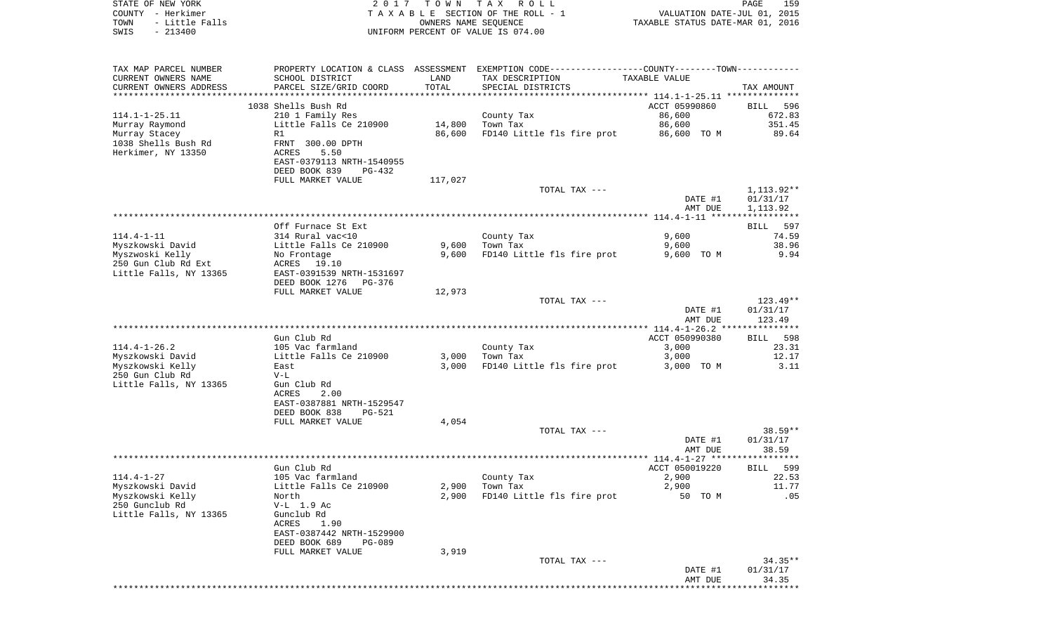| STATE OF NEW YORK                           | 2017                                         | T O W N        | TAX ROLL                                                                                      |                                  | PAGE<br>159                 |
|---------------------------------------------|----------------------------------------------|----------------|-----------------------------------------------------------------------------------------------|----------------------------------|-----------------------------|
| COUNTY - Herkimer                           |                                              |                | TAXABLE SECTION OF THE ROLL - 1                                                               |                                  | VALUATION DATE-JUL 01, 2015 |
| TOWN<br>- Little Falls<br>SWIS<br>$-213400$ |                                              |                | OWNERS NAME SEQUENCE<br>UNIFORM PERCENT OF VALUE IS 074.00                                    | TAXABLE STATUS DATE-MAR 01, 2016 |                             |
|                                             |                                              |                |                                                                                               |                                  |                             |
|                                             |                                              |                |                                                                                               |                                  |                             |
| TAX MAP PARCEL NUMBER                       |                                              |                | PROPERTY LOCATION & CLASS ASSESSMENT EXEMPTION CODE---------------COUNTY-------TOWN---------- |                                  |                             |
| CURRENT OWNERS NAME                         | SCHOOL DISTRICT                              | LAND           | TAX DESCRIPTION                                                                               | TAXABLE VALUE                    |                             |
| CURRENT OWNERS ADDRESS                      | PARCEL SIZE/GRID COORD                       | TOTAL          | SPECIAL DISTRICTS                                                                             |                                  | TAX AMOUNT                  |
| ********************                        |                                              | ************** | ********************************* 114.1-1-25.11 **************                                |                                  |                             |
|                                             | 1038 Shells Bush Rd                          |                |                                                                                               | ACCT 05990860                    | BILL<br>596                 |
| $114.1 - 1 - 25.11$                         | 210 1 Family Res                             |                | County Tax                                                                                    | 86,600                           | 672.83                      |
| Murray Raymond<br>Murray Stacey             | Little Falls Ce 210900                       | 14,800         | Town Tax<br>FD140 Little fls fire prot                                                        | 86,600                           | 351.45<br>89.64             |
| 1038 Shells Bush Rd                         | R1<br>FRNT 300.00 DPTH                       | 86,600         |                                                                                               | 86,600 TO M                      |                             |
| Herkimer, NY 13350                          | ACRES<br>5.50                                |                |                                                                                               |                                  |                             |
|                                             | EAST-0379113 NRTH-1540955                    |                |                                                                                               |                                  |                             |
|                                             | DEED BOOK 839<br>PG-432                      |                |                                                                                               |                                  |                             |
|                                             | FULL MARKET VALUE                            | 117,027        |                                                                                               |                                  |                             |
|                                             |                                              |                | TOTAL TAX ---                                                                                 |                                  | 1,113.92**                  |
|                                             |                                              |                |                                                                                               | DATE #1                          | 01/31/17                    |
|                                             |                                              |                |                                                                                               | AMT DUE                          | 1,113.92                    |
|                                             |                                              |                |                                                                                               |                                  |                             |
|                                             | Off Furnace St Ext                           |                |                                                                                               |                                  | BILL 597                    |
| $114.4 - 1 - 11$<br>Myszkowski David        | 314 Rural vac<10<br>Little Falls Ce 210900   | 9,600          | County Tax<br>Town Tax                                                                        | 9,600<br>9,600                   | 74.59<br>38.96              |
| Myszwoski Kelly                             | No Frontage                                  | 9,600          | FD140 Little fls fire prot                                                                    | 9,600 TO M                       | 9.94                        |
| 250 Gun Club Rd Ext                         | ACRES<br>19.10                               |                |                                                                                               |                                  |                             |
| Little Falls, NY 13365                      | EAST-0391539 NRTH-1531697                    |                |                                                                                               |                                  |                             |
|                                             | DEED BOOK 1276<br>PG-376                     |                |                                                                                               |                                  |                             |
|                                             | FULL MARKET VALUE                            | 12,973         |                                                                                               |                                  |                             |
|                                             |                                              |                | TOTAL TAX ---                                                                                 |                                  | 123.49**                    |
|                                             |                                              |                |                                                                                               | DATE #1                          | 01/31/17                    |
|                                             |                                              |                |                                                                                               | AMT DUE                          | 123.49                      |
|                                             |                                              |                |                                                                                               |                                  |                             |
| $114.4 - 1 - 26.2$                          | Gun Club Rd<br>105 Vac farmland              |                | County Tax                                                                                    | ACCT 050990380<br>3,000          | BILL 598<br>23.31           |
| Myszkowski David                            | Little Falls Ce 210900                       | 3,000          | Town Tax                                                                                      | 3,000                            | 12.17                       |
| Myszkowski Kelly                            | East                                         | 3,000          | FD140 Little fls fire prot                                                                    | 3,000 TO M                       | 3.11                        |
| 250 Gun Club Rd                             | V-L                                          |                |                                                                                               |                                  |                             |
| Little Falls, NY 13365                      | Gun Club Rd                                  |                |                                                                                               |                                  |                             |
|                                             | ACRES<br>2.00                                |                |                                                                                               |                                  |                             |
|                                             | EAST-0387881 NRTH-1529547                    |                |                                                                                               |                                  |                             |
|                                             | DEED BOOK 838<br>PG-521                      |                |                                                                                               |                                  |                             |
|                                             | FULL MARKET VALUE                            | 4,054          |                                                                                               |                                  |                             |
|                                             |                                              |                | TOTAL TAX ---                                                                                 |                                  | $38.59**$                   |
|                                             |                                              |                |                                                                                               | DATE #1<br>AMT DUE               | 01/31/17<br>38.59           |
|                                             |                                              |                |                                                                                               |                                  |                             |
|                                             | Gun Club Rd                                  |                |                                                                                               | ACCT 050019220                   | 599<br>BILL                 |
| $114.4 - 1 - 27$                            | 105 Vac farmland                             |                | County Tax                                                                                    | 2,900                            | 22.53                       |
| Myszkowski David                            | Little Falls Ce 210900                       | 2,900          | Town Tax                                                                                      | 2,900                            | 11.77                       |
| Myszkowski Kelly                            | North                                        | 2,900          | FD140 Little fls fire prot                                                                    | 50 TO M                          | .05                         |
| 250 Gunclub Rd                              | $V-L$ 1.9 Ac                                 |                |                                                                                               |                                  |                             |
| Little Falls, NY 13365                      | Gunclub Rd                                   |                |                                                                                               |                                  |                             |
|                                             | ACRES<br>1.90                                |                |                                                                                               |                                  |                             |
|                                             | EAST-0387442 NRTH-1529900                    |                |                                                                                               |                                  |                             |
|                                             | DEED BOOK 689<br>PG-089<br>FULL MARKET VALUE | 3,919          |                                                                                               |                                  |                             |
|                                             |                                              |                | TOTAL TAX ---                                                                                 |                                  | $34.35**$                   |
|                                             |                                              |                |                                                                                               | DATE #1                          | 01/31/17                    |
|                                             |                                              |                |                                                                                               | AMT DUE                          | 34.35                       |
|                                             |                                              |                |                                                                                               |                                  |                             |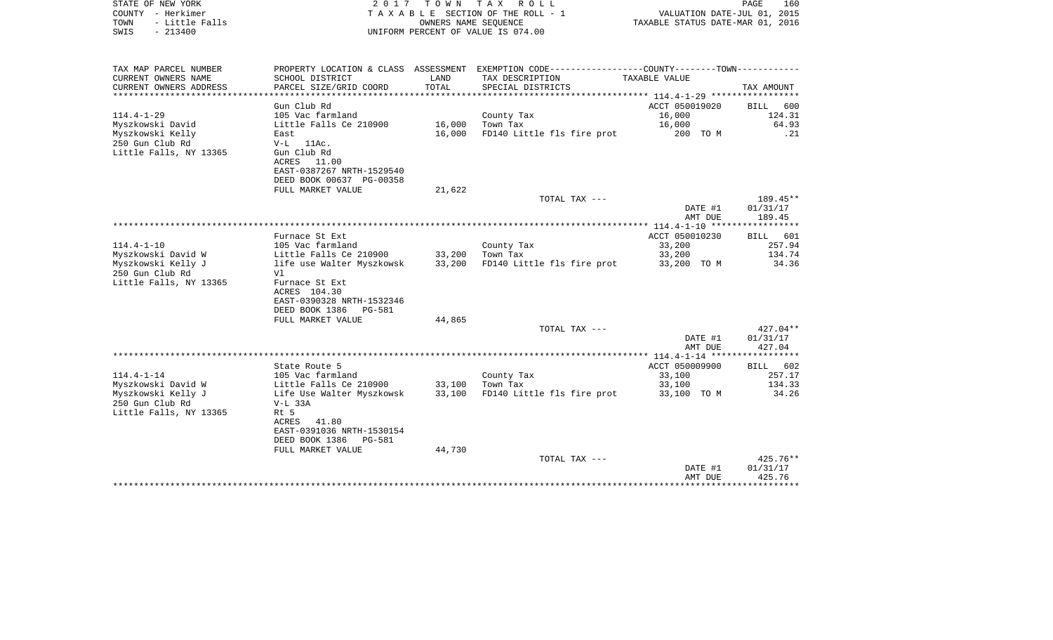| STATE OF NEW YORK<br>COUNTY - Herkimer<br>- Little Falls<br>TOWN<br>$-213400$<br>SWIS | 2017                                                 | T O W N             | T A X<br>R O L L<br>TAXABLE SECTION OF THE ROLL - 1<br>OWNERS NAME SEQUENCE<br>UNIFORM PERCENT OF VALUE IS 074.00 | VALUATION DATE-JUL 01, 2015<br>TAXABLE STATUS DATE-MAR 01, 2016 | PAGE<br>160          |
|---------------------------------------------------------------------------------------|------------------------------------------------------|---------------------|-------------------------------------------------------------------------------------------------------------------|-----------------------------------------------------------------|----------------------|
| TAX MAP PARCEL NUMBER                                                                 | PROPERTY LOCATION & CLASS ASSESSMENT                 |                     | EXEMPTION CODE-----------------COUNTY-------TOWN-----------                                                       |                                                                 |                      |
| CURRENT OWNERS NAME                                                                   | SCHOOL DISTRICT                                      | LAND                | TAX DESCRIPTION                                                                                                   | TAXABLE VALUE                                                   |                      |
| CURRENT OWNERS ADDRESS                                                                | PARCEL SIZE/GRID COORD                               | TOTAL<br>********** | SPECIAL DISTRICTS                                                                                                 | ****************** 114.4-1-29 **************                    | TAX AMOUNT           |
|                                                                                       | Gun Club Rd                                          |                     |                                                                                                                   | ACCT 050019020                                                  | BILL<br>600          |
| $114.4 - 1 - 29$                                                                      | 105 Vac farmland                                     |                     | County Tax                                                                                                        | 16,000                                                          | 124.31               |
| Myszkowski David                                                                      | Little Falls Ce 210900                               | 16,000              | Town Tax                                                                                                          | 16,000                                                          | 64.93                |
| Myszkowski Kelly                                                                      | East                                                 | 16,000              | FD140 Little fls fire prot                                                                                        | 200 TO M                                                        | .21                  |
| 250 Gun Club Rd<br>Little Falls, NY 13365                                             | 11Ac.<br>$V-L$<br>Gun Club Rd                        |                     |                                                                                                                   |                                                                 |                      |
|                                                                                       | ACRES 11.00                                          |                     |                                                                                                                   |                                                                 |                      |
|                                                                                       | EAST-0387267 NRTH-1529540                            |                     |                                                                                                                   |                                                                 |                      |
|                                                                                       | DEED BOOK 00637 PG-00358                             |                     |                                                                                                                   |                                                                 |                      |
|                                                                                       | FULL MARKET VALUE                                    | 21,622              |                                                                                                                   |                                                                 |                      |
|                                                                                       |                                                      |                     | TOTAL TAX ---                                                                                                     | DATE #1                                                         | 189.45**<br>01/31/17 |
|                                                                                       |                                                      |                     |                                                                                                                   | AMT DUE                                                         | 189.45               |
|                                                                                       |                                                      |                     |                                                                                                                   |                                                                 |                      |
|                                                                                       | Furnace St Ext                                       |                     |                                                                                                                   | ACCT 050010230                                                  | <b>BILL</b><br>601   |
| $114.4 - 1 - 10$                                                                      | 105 Vac farmland                                     |                     | County Tax                                                                                                        | 33,200                                                          | 257.94               |
| Myszkowski David W                                                                    | Little Falls Ce 210900                               | 33,200              | Town Tax                                                                                                          | 33,200                                                          | 134.74               |
| Myszkowski Kelly J<br>250 Gun Club Rd                                                 | life use Walter Myszkowsk<br>Vl                      | 33,200              | FD140 Little fls fire prot                                                                                        | 33,200 TO M                                                     | 34.36                |
| Little Falls, NY 13365                                                                | Furnace St Ext                                       |                     |                                                                                                                   |                                                                 |                      |
|                                                                                       | ACRES 104.30                                         |                     |                                                                                                                   |                                                                 |                      |
|                                                                                       | EAST-0390328 NRTH-1532346                            |                     |                                                                                                                   |                                                                 |                      |
|                                                                                       | DEED BOOK 1386<br><b>PG-581</b>                      |                     |                                                                                                                   |                                                                 |                      |
|                                                                                       | FULL MARKET VALUE                                    | 44,865              | TOTAL TAX ---                                                                                                     |                                                                 | 427.04**             |
|                                                                                       |                                                      |                     |                                                                                                                   | DATE #1                                                         | 01/31/17             |
|                                                                                       |                                                      |                     |                                                                                                                   | AMT DUE                                                         | 427.04               |
|                                                                                       |                                                      |                     |                                                                                                                   | ****************** 114.4-1-14 ******                            | ***********          |
|                                                                                       | State Route 5                                        |                     |                                                                                                                   | ACCT 050009900                                                  | <b>BILL</b><br>602   |
| $114.4 - 1 - 14$<br>Myszkowski David W                                                | 105 Vac farmland<br>Little Falls Ce 210900           | 33,100              | County Tax<br>Town Tax                                                                                            | 33,100<br>33,100                                                | 257.17<br>134.33     |
| Myszkowski Kelly J                                                                    | Life Use Walter Myszkowsk                            | 33,100              | FD140 Little fls fire prot                                                                                        | 33,100 TO M                                                     | 34.26                |
| 250 Gun Club Rd                                                                       | $V-L$ 33A                                            |                     |                                                                                                                   |                                                                 |                      |
| Little Falls, NY 13365                                                                | Rt 5                                                 |                     |                                                                                                                   |                                                                 |                      |
|                                                                                       | ACRES<br>41.80                                       |                     |                                                                                                                   |                                                                 |                      |
|                                                                                       | EAST-0391036 NRTH-1530154                            |                     |                                                                                                                   |                                                                 |                      |
|                                                                                       | DEED BOOK 1386<br><b>PG-581</b><br>FULL MARKET VALUE | 44,730              |                                                                                                                   |                                                                 |                      |
|                                                                                       |                                                      |                     | TOTAL TAX ---                                                                                                     |                                                                 | $425.76**$           |
|                                                                                       |                                                      |                     |                                                                                                                   | DATE #1                                                         | 01/31/17             |
|                                                                                       |                                                      |                     |                                                                                                                   | AMT DUE                                                         | 425.76               |
|                                                                                       |                                                      |                     |                                                                                                                   | ************                                                    | ***********          |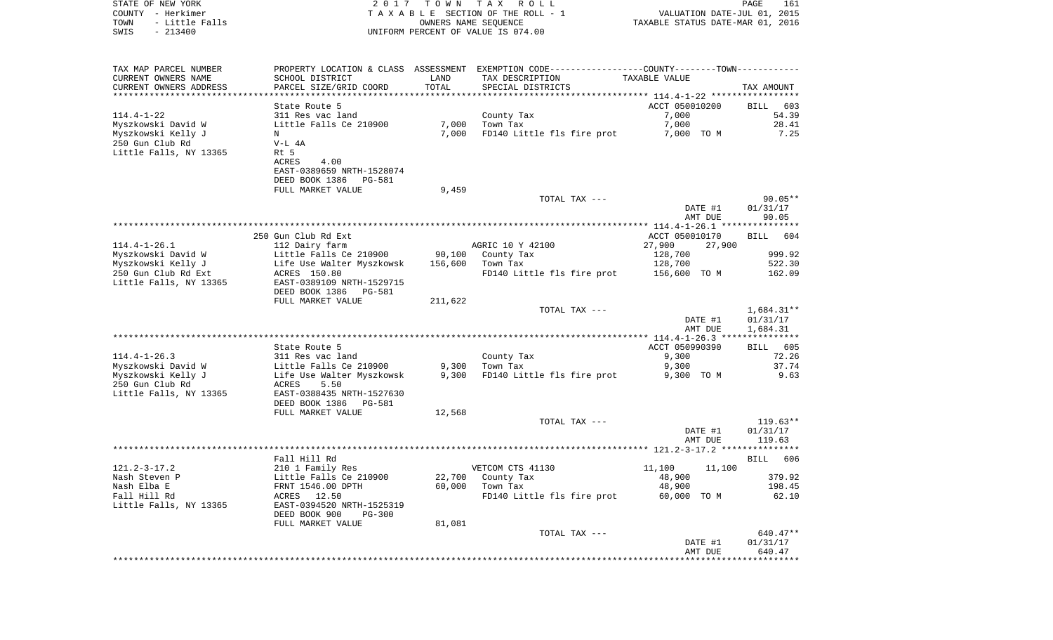| COUNTY - Herkimer<br>TOWN<br>- Little Falls<br>SWIS<br>$-213400$       |                                                                                                     |                   | TAXABLE SECTION OF THE ROLL - 1<br>OWNERS NAME SEQUENCE<br>UNIFORM PERCENT OF VALUE IS 074.00                                         | VALUATION DATE-JUL 01, 2015<br>TAXABLE STATUS DATE-MAR 01, 2016 |                                 |
|------------------------------------------------------------------------|-----------------------------------------------------------------------------------------------------|-------------------|---------------------------------------------------------------------------------------------------------------------------------------|-----------------------------------------------------------------|---------------------------------|
| TAX MAP PARCEL NUMBER<br>CURRENT OWNERS NAME<br>CURRENT OWNERS ADDRESS | SCHOOL DISTRICT<br>PARCEL SIZE/GRID COORD                                                           | LAND<br>TOTAL     | PROPERTY LOCATION & CLASS ASSESSMENT EXEMPTION CODE---------------COUNTY-------TOWN----------<br>TAX DESCRIPTION<br>SPECIAL DISTRICTS | TAXABLE VALUE                                                   | TAX AMOUNT                      |
|                                                                        | State Route 5                                                                                       |                   |                                                                                                                                       | ACCT 050010200                                                  | BILL 603                        |
| $114.4 - 1 - 22$<br>Myszkowski David W<br>Myszkowski Kelly J           | 311 Res vac land<br>Little Falls Ce 210900<br>N                                                     | 7,000<br>7,000    | County Tax<br>Town Tax<br>FD140 Little fls fire prot                                                                                  | 7,000<br>7,000<br>7,000 TO M                                    | 54.39<br>28.41<br>7.25          |
| 250 Gun Club Rd<br>Little Falls, NY 13365                              | $V-L$ 4A<br>Rt 5<br>ACRES<br>4.00<br>EAST-0389659 NRTH-1528074<br>DEED BOOK 1386<br>PG-581          |                   |                                                                                                                                       |                                                                 |                                 |
|                                                                        | FULL MARKET VALUE                                                                                   | 9,459             |                                                                                                                                       |                                                                 |                                 |
|                                                                        |                                                                                                     |                   | TOTAL TAX ---                                                                                                                         | DATE #1<br>AMT DUE                                              | $90.05**$<br>01/31/17<br>90.05  |
|                                                                        |                                                                                                     |                   |                                                                                                                                       |                                                                 |                                 |
|                                                                        | 250 Gun Club Rd Ext                                                                                 |                   |                                                                                                                                       | ACCT 050010170                                                  | BILL<br>604                     |
| $114.4 - 1 - 26.1$                                                     | 112 Dairy farm                                                                                      |                   | AGRIC 10 Y 42100<br>County Tax                                                                                                        | 27,900<br>27,900                                                | 999.92                          |
| Myszkowski David W<br>Myszkowski Kelly J                               | Little Falls Ce 210900<br>Life Use Walter Myszkowsk                                                 | 90,100<br>156,600 | Town Tax                                                                                                                              | 128,700<br>128,700                                              | 522.30                          |
| 250 Gun Club Rd Ext<br>Little Falls, NY 13365                          | ACRES 150.80<br>EAST-0389109 NRTH-1529715<br>DEED BOOK 1386<br>PG-581                               |                   | FD140 Little fls fire prot                                                                                                            | 156,600 TO M                                                    | 162.09                          |
|                                                                        | FULL MARKET VALUE                                                                                   | 211,622           |                                                                                                                                       |                                                                 |                                 |
|                                                                        |                                                                                                     |                   | TOTAL TAX ---                                                                                                                         |                                                                 | $1,684.31**$                    |
|                                                                        |                                                                                                     |                   |                                                                                                                                       | DATE #1<br>AMT DUE                                              | 01/31/17<br>1,684.31            |
|                                                                        | State Route 5                                                                                       |                   |                                                                                                                                       | ACCT 050990390                                                  |                                 |
| $114.4 - 1 - 26.3$                                                     | 311 Res vac land                                                                                    |                   | County Tax                                                                                                                            | 9,300                                                           | BILL 605<br>72.26               |
| Myszkowski David W                                                     | Little Falls Ce 210900                                                                              | 9,300             | Town Tax                                                                                                                              | 9,300                                                           | 37.74                           |
| Myszkowski Kelly J<br>250 Gun Club Rd<br>Little Falls, NY 13365        | Life Use Walter Myszkowsk<br>ACRES<br>5.50<br>EAST-0388435 NRTH-1527630<br>DEED BOOK 1386<br>PG-581 | 9,300             | FD140 Little fls fire prot                                                                                                            | 9,300 TO M                                                      | 9.63                            |
|                                                                        | FULL MARKET VALUE                                                                                   | 12,568            |                                                                                                                                       |                                                                 |                                 |
|                                                                        |                                                                                                     |                   | TOTAL TAX ---                                                                                                                         | DATE #1<br>AMT DUE                                              | 119.63**<br>01/31/17<br>119.63  |
|                                                                        |                                                                                                     |                   |                                                                                                                                       |                                                                 |                                 |
| $121.2 - 3 - 17.2$                                                     | Fall Hill Rd                                                                                        |                   |                                                                                                                                       |                                                                 | BILL 606                        |
| Nash Steven P                                                          | 210 1 Family Res<br>Little Falls Ce 210900                                                          |                   | VETCOM CTS 41130<br>22,700 County Tax                                                                                                 | 11,100<br>11,100<br>48,900                                      | 379.92                          |
| Nash Elba E                                                            | FRNT 1546.00 DPTH                                                                                   | 60,000            | Town Tax                                                                                                                              | 48,900                                                          | 198.45                          |
| Fall Hill Rd<br>Little Falls, NY 13365                                 | ACRES 12.50<br>EAST-0394520 NRTH-1525319<br>DEED BOOK 900<br><b>PG-300</b>                          |                   | FD140 Little fls fire prot                                                                                                            | 60,000 TO M                                                     | 62.10                           |
|                                                                        | FULL MARKET VALUE                                                                                   | 81,081            |                                                                                                                                       |                                                                 |                                 |
|                                                                        |                                                                                                     |                   | TOTAL TAX ---                                                                                                                         |                                                                 | 640.47**                        |
|                                                                        |                                                                                                     |                   |                                                                                                                                       | DATE #1<br>AMT DUE<br>*****************                         | 01/31/17<br>640.47<br>********* |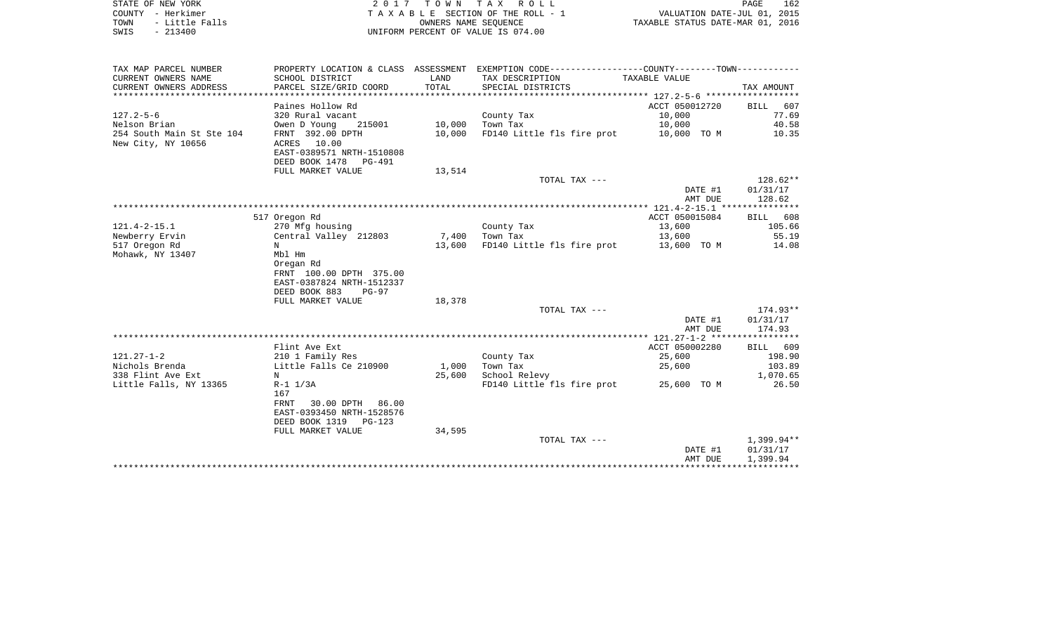|      | STATE OF NEW YORK | 2017 TOWN TAX ROLL                 | PAGE                             | 162 |
|------|-------------------|------------------------------------|----------------------------------|-----|
|      | COUNTY - Herkimer | TAXABLE SECTION OF THE ROLL - 1    | VALUATION DATE-JUL 01, 2015      |     |
| TOWN | - Little Falls    | OWNERS NAME SEOUENCE               | TAXABLE STATUS DATE-MAR 01, 2016 |     |
| SWIS | - 213400          | UNIFORM PERCENT OF VALUE IS 074.00 |                                  |     |

| TAX MAP PARCEL NUMBER     |                           |        | PROPERTY LOCATION & CLASS ASSESSMENT EXEMPTION CODE---------------COUNTY-------TOWN---------- |                |            |
|---------------------------|---------------------------|--------|-----------------------------------------------------------------------------------------------|----------------|------------|
| CURRENT OWNERS NAME       | SCHOOL DISTRICT           | LAND   | TAX DESCRIPTION                                                                               | TAXABLE VALUE  |            |
| CURRENT OWNERS ADDRESS    | PARCEL SIZE/GRID COORD    | TOTAL  | SPECIAL DISTRICTS                                                                             |                | TAX AMOUNT |
|                           |                           |        |                                                                                               |                |            |
|                           | Paines Hollow Rd          |        |                                                                                               | ACCT 050012720 | BILL 607   |
| $127.2 - 5 - 6$           | 320 Rural vacant          |        | County Tax                                                                                    | 10,000         | 77.69      |
| Nelson Brian              | Owen D Young<br>215001    |        | 10,000 Town Tax                                                                               | 10,000         | 40.58      |
| 254 South Main St Ste 104 | FRNT 392.00 DPTH          | 10,000 | FD140 Little fls fire prot 10,000 TO M                                                        |                | 10.35      |
| New City, NY 10656        | ACRES 10.00               |        |                                                                                               |                |            |
|                           | EAST-0389571 NRTH-1510808 |        |                                                                                               |                |            |
|                           |                           |        |                                                                                               |                |            |
|                           | DEED BOOK 1478 PG-491     |        |                                                                                               |                |            |
|                           | FULL MARKET VALUE         | 13,514 |                                                                                               |                |            |
|                           |                           |        | TOTAL TAX ---                                                                                 |                | 128.62**   |
|                           |                           |        |                                                                                               | DATE #1        | 01/31/17   |
|                           |                           |        |                                                                                               | AMT DUE        | 128.62     |
|                           |                           |        |                                                                                               |                |            |
|                           | 517 Oregon Rd             |        |                                                                                               | ACCT 050015084 | BILL 608   |
| $121.4 - 2 - 15.1$        | 270 Mfg housing           |        | County Tax                                                                                    | 13,600         | 105.66     |
| Newberry Ervin            | Central Valley 212803     |        | 7,400 Town Tax                                                                                | 13,600         | 55.19      |
| 517 Oregon Rd             | N                         | 13,600 | FD140 Little fls fire prot 13,600 TO M                                                        |                | 14.08      |
| Mohawk, NY 13407          | Mbl Hm                    |        |                                                                                               |                |            |
|                           | Oregan Rd                 |        |                                                                                               |                |            |
|                           | FRNT 100.00 DPTH 375.00   |        |                                                                                               |                |            |
|                           | EAST-0387824 NRTH-1512337 |        |                                                                                               |                |            |
|                           | DEED BOOK 883<br>PG-97    |        |                                                                                               |                |            |
|                           | FULL MARKET VALUE         | 18,378 |                                                                                               |                |            |
|                           |                           |        | TOTAL TAX ---                                                                                 |                | 174.93**   |
|                           |                           |        |                                                                                               | DATE #1        | 01/31/17   |
|                           |                           |        |                                                                                               | AMT DUE        | 174.93     |
|                           |                           |        |                                                                                               |                |            |
|                           |                           |        |                                                                                               |                |            |
|                           | Flint Ave Ext             |        |                                                                                               | ACCT 050002280 | BILL 609   |
| $121.27 - 1 - 2$          | 210 1 Family Res          |        | County Tax                                                                                    | 25,600         | 198.90     |
| Nichols Brenda            | Little Falls Ce 210900    | 1,000  | Town Tax                                                                                      | 25,600         | 103.89     |
| 338 Flint Ave Ext         | N                         | 25,600 | School Relevy                                                                                 |                | 1,070.65   |
| Little Falls, NY 13365    | $R-1$ $1/3A$              |        | FD140 Little fls fire prot 25,600 TO M                                                        |                | 26.50      |
|                           | 167                       |        |                                                                                               |                |            |
|                           | 30.00 DPTH 86.00<br>FRNT  |        |                                                                                               |                |            |
|                           | EAST-0393450 NRTH-1528576 |        |                                                                                               |                |            |
|                           | DEED BOOK 1319 PG-123     |        |                                                                                               |                |            |
|                           | FULL MARKET VALUE         | 34,595 |                                                                                               |                |            |
|                           |                           |        | TOTAL TAX ---                                                                                 |                | 1,399.94** |
|                           |                           |        |                                                                                               | DATE #1        | 01/31/17   |
|                           |                           |        |                                                                                               | AMT DUE        | 1,399.94   |
|                           |                           |        |                                                                                               |                |            |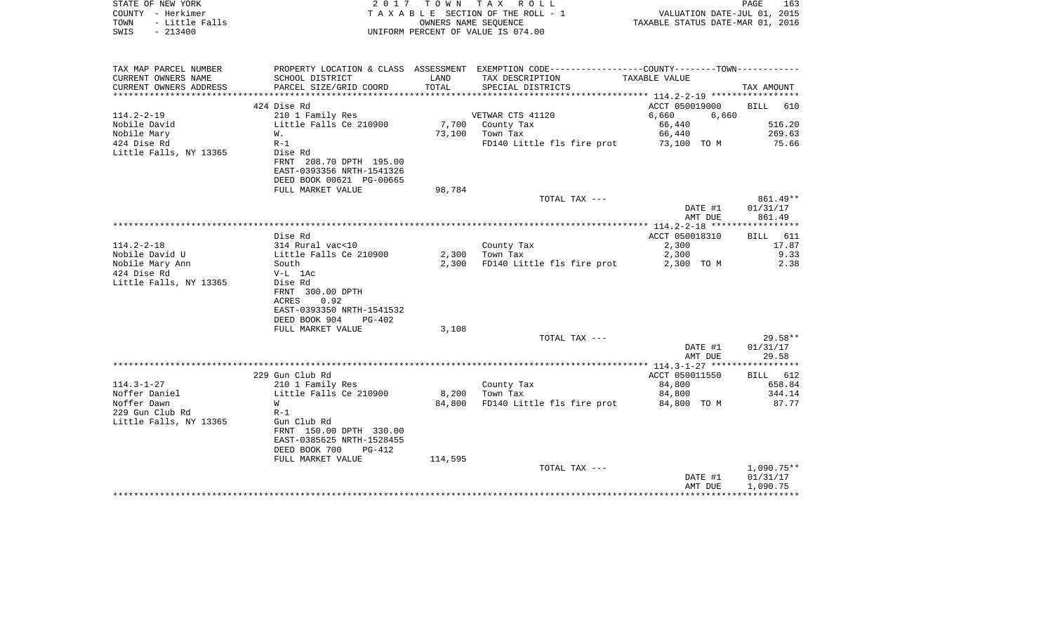| STATE OF NEW YORK<br>COUNTY - Herkimer<br>TOWN<br>- Little Falls<br>$-213400$<br>SWIS |                                                                                                                           |         | 2017 TOWN TAX ROLL<br>T A X A B L E SECTION OF THE ROLL - 1<br>OWNERS NAME SEOUENCE<br>UNIFORM PERCENT OF VALUE IS 074.00 | VALUATION DATE-JUL 01, 2015<br>TAXABLE STATUS DATE-MAR 01, 2016 | PAGE<br>163          |
|---------------------------------------------------------------------------------------|---------------------------------------------------------------------------------------------------------------------------|---------|---------------------------------------------------------------------------------------------------------------------------|-----------------------------------------------------------------|----------------------|
| TAX MAP PARCEL NUMBER                                                                 |                                                                                                                           |         | PROPERTY LOCATION & CLASS ASSESSMENT EXEMPTION CODE---------------COUNTY-------TOWN----------                             |                                                                 |                      |
| CURRENT OWNERS NAME                                                                   | SCHOOL DISTRICT                                                                                                           | LAND    | TAX DESCRIPTION                                                                                                           | TAXABLE VALUE                                                   |                      |
| CURRENT OWNERS ADDRESS                                                                | PARCEL SIZE/GRID COORD                                                                                                    | TOTAL   | SPECIAL DISTRICTS                                                                                                         |                                                                 | TAX AMOUNT           |
|                                                                                       | 424 Dise Rd                                                                                                               |         |                                                                                                                           | ACCT 050019000                                                  | BILL 610             |
| $114.2 - 2 - 19$                                                                      | 210 1 Family Res                                                                                                          |         | VETWAR CTS 41120                                                                                                          | 6,660<br>6,660                                                  |                      |
| Nobile David                                                                          | Little Falls Ce 210900                                                                                                    |         | 7,700 County Tax                                                                                                          | 66,440                                                          | 516.20               |
| Nobile Mary                                                                           | W.                                                                                                                        |         | 73,100 Town Tax                                                                                                           | 66,440                                                          | 269.63               |
| 424 Dise Rd                                                                           | $R-1$                                                                                                                     |         | FD140 Little fls fire prot                                                                                                | 73,100 TO M                                                     | 75.66                |
| Little Falls, NY 13365                                                                | Dise Rd<br>FRNT 208.70 DPTH 195.00<br>EAST-0393356 NRTH-1541326<br>DEED BOOK 00621 PG-00665                               |         |                                                                                                                           |                                                                 |                      |
|                                                                                       | FULL MARKET VALUE                                                                                                         | 98,784  |                                                                                                                           |                                                                 |                      |
|                                                                                       |                                                                                                                           |         | TOTAL TAX ---                                                                                                             |                                                                 | 861.49**             |
|                                                                                       |                                                                                                                           |         |                                                                                                                           | DATE #1                                                         | 01/31/17             |
|                                                                                       |                                                                                                                           |         |                                                                                                                           | AMT DUE                                                         | 861.49               |
|                                                                                       | Dise Rd                                                                                                                   |         |                                                                                                                           | ACCT 050018310                                                  | BILL 611             |
| $114.2 - 2 - 18$                                                                      | 314 Rural vac<10                                                                                                          |         | County Tax                                                                                                                | 2,300                                                           | 17.87                |
| Nobile David U                                                                        | Little Falls Ce 210900                                                                                                    | 2,300   | Town Tax                                                                                                                  | 2,300                                                           | 9.33                 |
| Nobile Mary Ann                                                                       | South                                                                                                                     | 2,300   | FD140 Little fls fire prot                                                                                                | 2,300 TO M                                                      | 2.38                 |
| 424 Dise Rd                                                                           | $V-L$ 1Ac                                                                                                                 |         |                                                                                                                           |                                                                 |                      |
| Little Falls, NY 13365                                                                | Dise Rd<br>FRNT 300.00 DPTH<br>0.92<br>ACRES<br>EAST-0393350 NRTH-1541532<br>DEED BOOK 904<br>PG-402<br>FULL MARKET VALUE | 3,108   |                                                                                                                           |                                                                 |                      |
|                                                                                       |                                                                                                                           |         | TOTAL TAX ---                                                                                                             |                                                                 | $29.58**$            |
|                                                                                       |                                                                                                                           |         |                                                                                                                           | DATE #1<br>AMT DUE                                              | 01/31/17<br>29.58    |
|                                                                                       |                                                                                                                           |         |                                                                                                                           |                                                                 |                      |
|                                                                                       | 229 Gun Club Rd                                                                                                           |         |                                                                                                                           | ACCT 050011550                                                  | BILL 612             |
| $114.3 - 1 - 27$                                                                      | 210 1 Family Res                                                                                                          |         | County Tax                                                                                                                | 84,800                                                          | 658.84               |
| Noffer Daniel                                                                         | Little Falls Ce 210900                                                                                                    | 8,200   | Town Tax                                                                                                                  | 84,800                                                          | 344.14               |
| Noffer Dawn<br>229 Gun Club Rd                                                        | W<br>$R-1$                                                                                                                | 84,800  | FD140 Little fls fire prot                                                                                                | 84,800 TO M                                                     | 87.77                |
| Little Falls, NY 13365                                                                | Gun Club Rd<br>FRNT 150.00 DPTH 330.00<br>EAST-0385625 NRTH-1528455<br>DEED BOOK 700<br>PG-412<br>FULL MARKET VALUE       | 114,595 |                                                                                                                           |                                                                 |                      |
|                                                                                       |                                                                                                                           |         | TOTAL TAX ---                                                                                                             |                                                                 | $1,090.75**$         |
|                                                                                       |                                                                                                                           |         |                                                                                                                           | DATE #1<br>AMT DUE                                              | 01/31/17<br>1,090.75 |

\*\*\*\*\*\*\*\*\*\*\*\*\*\*\*\*\*\*\*\*\*\*\*\*\*\*\*\*\*\*\*\*\*\*\*\*\*\*\*\*\*\*\*\*\*\*\*\*\*\*\*\*\*\*\*\*\*\*\*\*\*\*\*\*\*\*\*\*\*\*\*\*\*\*\*\*\*\*\*\*\*\*\*\*\*\*\*\*\*\*\*\*\*\*\*\*\*\*\*\*\*\*\*\*\*\*\*\*\*\*\*\*\*\*\*\*\*\*\*\*\*\*\*\*\*\*\*\*\*\*\*\*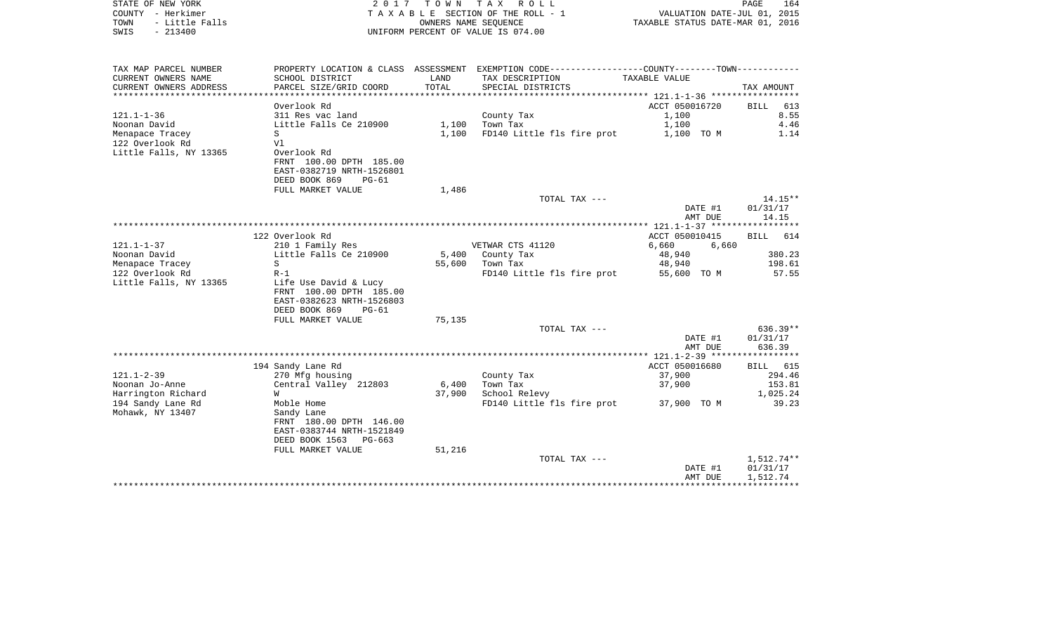| COUNTY - Herkimer<br>TOWN<br>- Little Falls<br>$-213400$<br>SWIS          | T A X A B L E SECTION OF THE ROLL - 1<br>OWNERS NAME SEOUENCE<br>UNIFORM PERCENT OF VALUE IS 074.00       |               |                                                                                               | VALUATION DATE-JUL 01, 2015<br>TAXABLE STATUS DATE-MAR 01, 2016 |                    |
|---------------------------------------------------------------------------|-----------------------------------------------------------------------------------------------------------|---------------|-----------------------------------------------------------------------------------------------|-----------------------------------------------------------------|--------------------|
| TAX MAP PARCEL NUMBER                                                     |                                                                                                           |               | PROPERTY LOCATION & CLASS ASSESSMENT EXEMPTION CODE---------------COUNTY-------TOWN---------- |                                                                 |                    |
| CURRENT OWNERS NAME<br>CURRENT OWNERS ADDRESS<br>************************ | SCHOOL DISTRICT<br>PARCEL SIZE/GRID COORD                                                                 | LAND<br>TOTAL | TAX DESCRIPTION<br>SPECIAL DISTRICTS                                                          | TAXABLE VALUE                                                   | TAX AMOUNT         |
|                                                                           | Overlook Rd                                                                                               |               |                                                                                               | ACCT 050016720                                                  | 613                |
| $121.1 - 1 - 36$                                                          | 311 Res vac land                                                                                          |               | County Tax                                                                                    | 1,100                                                           | BILL<br>8.55       |
| Noonan David                                                              | Little Falls Ce 210900                                                                                    | 1,100         | Town Tax                                                                                      | 1,100                                                           | 4.46               |
| Menapace Tracey                                                           | S                                                                                                         | 1,100         | FD140 Little fls fire prot                                                                    | 1,100 TO M                                                      | 1.14               |
| 122 Overlook Rd                                                           | Vl                                                                                                        |               |                                                                                               |                                                                 |                    |
| Little Falls, NY 13365                                                    | Overlook Rd                                                                                               |               |                                                                                               |                                                                 |                    |
|                                                                           | FRNT 100.00 DPTH 185.00                                                                                   |               |                                                                                               |                                                                 |                    |
|                                                                           | EAST-0382719 NRTH-1526801                                                                                 |               |                                                                                               |                                                                 |                    |
|                                                                           | DEED BOOK 869<br>$PG-61$                                                                                  |               |                                                                                               |                                                                 |                    |
|                                                                           | FULL MARKET VALUE                                                                                         | 1,486         |                                                                                               |                                                                 |                    |
|                                                                           |                                                                                                           |               | TOTAL TAX ---                                                                                 |                                                                 | $14.15**$          |
|                                                                           |                                                                                                           |               |                                                                                               | DATE #1                                                         | 01/31/17<br>14.15  |
|                                                                           |                                                                                                           |               |                                                                                               | AMT DUE                                                         |                    |
|                                                                           | 122 Overlook Rd                                                                                           |               |                                                                                               | ACCT 050010415                                                  | 614<br><b>BILL</b> |
| $121.1 - 1 - 37$                                                          | 210 1 Family Res                                                                                          |               | VETWAR CTS 41120                                                                              | 6,660<br>6,660                                                  |                    |
| Noonan David                                                              | Little Falls Ce 210900                                                                                    | 5,400         | County Tax                                                                                    | 48,940                                                          | 380.23             |
| Menapace Tracey                                                           | S                                                                                                         | 55,600        | Town Tax                                                                                      | 48,940                                                          | 198.61             |
| 122 Overlook Rd                                                           | $R-1$                                                                                                     |               | FD140 Little fls fire prot                                                                    | 55,600 TO M                                                     | 57.55              |
| Little Falls, NY 13365                                                    | Life Use David & Lucy<br>FRNT 100.00 DPTH 185.00<br>EAST-0382623 NRTH-1526803<br>DEED BOOK 869<br>$PG-61$ |               |                                                                                               |                                                                 |                    |
|                                                                           | FULL MARKET VALUE                                                                                         | 75,135        |                                                                                               |                                                                 |                    |
|                                                                           |                                                                                                           |               | TOTAL TAX ---                                                                                 |                                                                 | 636.39**           |
|                                                                           |                                                                                                           |               |                                                                                               | DATE #1                                                         | 01/31/17           |
|                                                                           |                                                                                                           |               |                                                                                               | AMT DUE                                                         | 636.39             |
|                                                                           | 194 Sandy Lane Rd                                                                                         |               |                                                                                               | ACCT 050016680                                                  | BILL 615           |
| $121.1 - 2 - 39$                                                          | 270 Mfg housing                                                                                           |               | County Tax                                                                                    | 37,900                                                          | 294.46             |
| Noonan Jo-Anne                                                            | Central Valley 212803                                                                                     | 6,400         | Town Tax                                                                                      | 37,900                                                          | 153.81             |
| Harrington Richard                                                        | W                                                                                                         | 37,900        | School Relevy                                                                                 |                                                                 | 1,025.24           |
| 194 Sandy Lane Rd                                                         | Moble Home                                                                                                |               | FD140 Little fls fire prot                                                                    | 37,900 TO M                                                     | 39.23              |
| Mohawk, NY 13407                                                          | Sandy Lane<br>FRNT 180.00 DPTH 146.00<br>EAST-0383744 NRTH-1521849<br>DEED BOOK 1563<br>$PG-663$          |               |                                                                                               |                                                                 |                    |
|                                                                           | FULL MARKET VALUE                                                                                         | 51,216        |                                                                                               |                                                                 |                    |
|                                                                           |                                                                                                           |               | TOTAL TAX ---                                                                                 |                                                                 | 1,512.74**         |
|                                                                           |                                                                                                           |               |                                                                                               | DATE #1                                                         | 01/31/17           |
|                                                                           |                                                                                                           |               |                                                                                               | AMT DUE                                                         | 1,512.74           |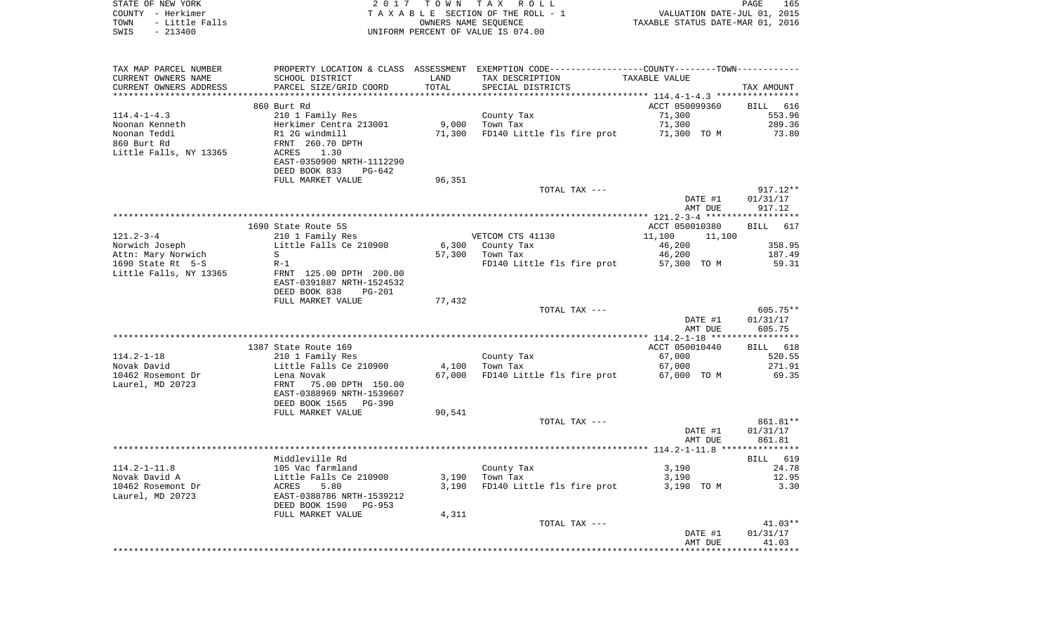| COUNTY - Herkimer      |                                                                                                                                                                                                                                                        |        | T A X A B L E SECTION OF THE ROLL - 1                                                         |                                                                 |                    |
|------------------------|--------------------------------------------------------------------------------------------------------------------------------------------------------------------------------------------------------------------------------------------------------|--------|-----------------------------------------------------------------------------------------------|-----------------------------------------------------------------|--------------------|
| TOWN<br>- Little Falls |                                                                                                                                                                                                                                                        |        | OWNERS NAME SEQUENCE                                                                          | VALUATION DATE-JUL 01, 2015<br>TAXABLE STATUS DATE-MAR 01, 2016 |                    |
| SWIS<br>$-213400$      |                                                                                                                                                                                                                                                        |        | UNIFORM PERCENT OF VALUE IS 074.00                                                            |                                                                 |                    |
|                        |                                                                                                                                                                                                                                                        |        |                                                                                               |                                                                 |                    |
| TAX MAP PARCEL NUMBER  |                                                                                                                                                                                                                                                        |        | PROPERTY LOCATION & CLASS ASSESSMENT EXEMPTION CODE---------------COUNTY-------TOWN---------- |                                                                 |                    |
| CURRENT OWNERS NAME    | SCHOOL DISTRICT                                                                                                                                                                                                                                        | LAND   | TAX DESCRIPTION                                                                               | TAXABLE VALUE                                                   |                    |
| CURRENT OWNERS ADDRESS | PARCEL SIZE/GRID COORD                                                                                                                                                                                                                                 | TOTAL  | SPECIAL DISTRICTS                                                                             |                                                                 | TAX AMOUNT         |
|                        |                                                                                                                                                                                                                                                        |        |                                                                                               |                                                                 |                    |
|                        | 860 Burt Rd                                                                                                                                                                                                                                            |        |                                                                                               | ACCT 050099360<br>71,300                                        | BILL 616<br>553.96 |
| $114.4 - 1 - 4.3$      | 210 1 Family Res                                                                                                                                                                                                                                       |        | County Tax<br>$9,000$ Town Tax                                                                | 71,300                                                          | 289.36             |
|                        |                                                                                                                                                                                                                                                        |        | 71,300 FD140 Little fls fire prot 71,300 TO M                                                 |                                                                 | 73.80              |
|                        |                                                                                                                                                                                                                                                        |        |                                                                                               |                                                                 |                    |
|                        |                                                                                                                                                                                                                                                        |        |                                                                                               |                                                                 |                    |
|                        | EAST-0350900 NRTH-1112290                                                                                                                                                                                                                              |        |                                                                                               |                                                                 |                    |
|                        | DEED BOOK 833<br>PG-642                                                                                                                                                                                                                                |        |                                                                                               |                                                                 |                    |
|                        | FULL MARKET VALUE                                                                                                                                                                                                                                      | 96,351 |                                                                                               |                                                                 |                    |
|                        |                                                                                                                                                                                                                                                        |        | TOTAL TAX ---                                                                                 |                                                                 | $917.12**$         |
|                        |                                                                                                                                                                                                                                                        |        |                                                                                               | DATE #1                                                         | 01/31/17           |
|                        |                                                                                                                                                                                                                                                        |        |                                                                                               | AMT DUE                                                         | 917.12             |
|                        |                                                                                                                                                                                                                                                        |        |                                                                                               |                                                                 |                    |
|                        | Accounts to the SS<br>Norwich Joseph<br>Attn: Mary Norwich<br>1690 State Rt 5-S<br>1690 State Rt 5-S<br>1690 State Rt 5-S<br>1690 State Rt 5-S<br>1690 State Rt 5-S<br>1690 State Rt 5-S<br>1690 State Rt 5-S<br>1690 State Rt 5-S<br>1690 State Rt    |        |                                                                                               | ACCT 050010380                                                  | BILL 617           |
|                        |                                                                                                                                                                                                                                                        |        | VETCOM CTS 41130                                                                              | 11,100 11,100                                                   |                    |
|                        |                                                                                                                                                                                                                                                        |        | 6,300 County Tax                                                                              |                                                                 | 358.95             |
|                        |                                                                                                                                                                                                                                                        |        | 57,300 Town Tax                                                                               | 46,200<br>46,200                                                | 187.49             |
|                        |                                                                                                                                                                                                                                                        |        | FD140 Little fls fire prot 57,300 TO M                                                        |                                                                 | 59.31              |
|                        | Little Falls, NY 13365 FRNT 125.00 DPTH 200.00                                                                                                                                                                                                         |        |                                                                                               |                                                                 |                    |
|                        | EAST-0391887 NRTH-1524532                                                                                                                                                                                                                              |        |                                                                                               |                                                                 |                    |
|                        | DEED BOOK 838<br>PG-201                                                                                                                                                                                                                                |        |                                                                                               |                                                                 |                    |
|                        | FULL MARKET VALUE                                                                                                                                                                                                                                      | 77,432 |                                                                                               |                                                                 |                    |
|                        |                                                                                                                                                                                                                                                        |        | TOTAL TAX ---                                                                                 |                                                                 | 605.75**           |
|                        |                                                                                                                                                                                                                                                        |        |                                                                                               | DATE #1                                                         | 01/31/17           |
|                        |                                                                                                                                                                                                                                                        |        |                                                                                               | AMT DUE                                                         | 605.75             |
|                        |                                                                                                                                                                                                                                                        |        |                                                                                               |                                                                 |                    |
|                        | 1387 State Route 169                                                                                                                                                                                                                                   |        |                                                                                               | ACCT 050010440                                                  | BILL 618           |
|                        |                                                                                                                                                                                                                                                        |        | County Tax<br>Town Tax<br>4,100 Town Tax                                                      | 67,000                                                          | 520.55<br>271.91   |
|                        |                                                                                                                                                                                                                                                        |        | 67,000 FD140 Little fls fire prot 67,000 TO M                                                 | 67,000                                                          | 69.35              |
|                        | 114.2-1-18 210 1 Family Res<br>Novak David 210 1 Family Res<br>10462 Rosemont Dr Lena Novak<br>Laurel, MD 20723 FRNT 75.00 DPTH 150.00<br>EAST-0388969 NRTH-1539607                                                                                    |        |                                                                                               |                                                                 |                    |
|                        |                                                                                                                                                                                                                                                        |        |                                                                                               |                                                                 |                    |
|                        | DEED BOOK 1565 PG-390                                                                                                                                                                                                                                  |        |                                                                                               |                                                                 |                    |
|                        | FULL MARKET VALUE                                                                                                                                                                                                                                      | 90,541 |                                                                                               |                                                                 |                    |
|                        |                                                                                                                                                                                                                                                        |        | TOTAL TAX ---                                                                                 |                                                                 | 861.81**           |
|                        |                                                                                                                                                                                                                                                        |        |                                                                                               | DATE #1                                                         | 01/31/17           |
|                        |                                                                                                                                                                                                                                                        |        |                                                                                               | AMT DUE                                                         | 861.81             |
|                        |                                                                                                                                                                                                                                                        |        |                                                                                               |                                                                 |                    |
|                        | Middleville Rd                                                                                                                                                                                                                                         |        |                                                                                               |                                                                 | BILL 619           |
|                        |                                                                                                                                                                                                                                                        |        | County Tax                                                                                    | 3,190                                                           | 24.78              |
|                        |                                                                                                                                                                                                                                                        |        | $3,190$ Town Tax                                                                              | 3,190                                                           | 12.95              |
|                        |                                                                                                                                                                                                                                                        |        | 3,190 FD140 Little fls fire prot 3,190 TO M                                                   |                                                                 | 3.30               |
|                        |                                                                                                                                                                                                                                                        |        |                                                                                               |                                                                 |                    |
|                        | 114.2-1-11.8<br>105 Vac farmland<br>Novak David A<br>105 Vac farmland<br>10462 Rosemont Dr<br>10462 Rosemont Dr<br>10462 Rosemont Dr<br>105 Vac farmland<br>105 Vac farmland<br>105 Vac farmland<br>105 Vac farmland<br>105 Vac farmland<br>105 Vac fa |        |                                                                                               |                                                                 |                    |
|                        | FULL MARKET VALUE                                                                                                                                                                                                                                      | 4,311  |                                                                                               |                                                                 |                    |
|                        |                                                                                                                                                                                                                                                        |        | TOTAL TAX ---                                                                                 |                                                                 | $41.03**$          |
|                        |                                                                                                                                                                                                                                                        |        |                                                                                               | DATE #1                                                         | 01/31/17           |
|                        |                                                                                                                                                                                                                                                        |        |                                                                                               | AMT DUE                                                         | 41.03              |
|                        |                                                                                                                                                                                                                                                        |        |                                                                                               |                                                                 | ***********        |

PAGE 165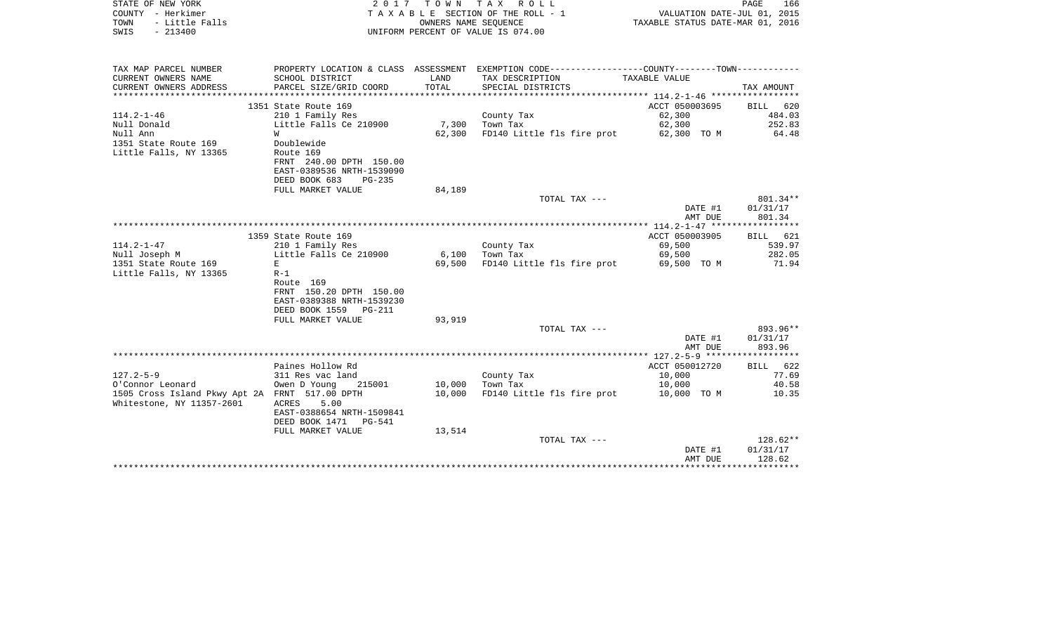| COUNTY - Herkimer<br>TOWN<br>- Little Falls<br>$-213400$<br>SWIS | TAXABLE SECTION OF THE ROLL - 1<br>OWNERS NAME SEOUENCE<br>UNIFORM PERCENT OF VALUE IS 074.00 |        | VALUATION DATE-JUL 01, 2015<br>TAXABLE STATUS DATE-MAR 01, 2016                                |                    |                    |
|------------------------------------------------------------------|-----------------------------------------------------------------------------------------------|--------|------------------------------------------------------------------------------------------------|--------------------|--------------------|
| TAX MAP PARCEL NUMBER                                            |                                                                                               |        | PROPERTY LOCATION & CLASS ASSESSMENT EXEMPTION CODE----------------COUNTY-------TOWN---------- |                    |                    |
| CURRENT OWNERS NAME                                              | SCHOOL DISTRICT                                                                               | LAND   | TAX DESCRIPTION                                                                                | TAXABLE VALUE      |                    |
| CURRENT OWNERS ADDRESS                                           | PARCEL SIZE/GRID COORD                                                                        | TOTAL  | SPECIAL DISTRICTS                                                                              |                    | TAX AMOUNT         |
|                                                                  |                                                                                               |        |                                                                                                |                    |                    |
|                                                                  | 1351 State Route 169                                                                          |        |                                                                                                | ACCT 050003695     | BILL 620           |
| $114.2 - 1 - 46$                                                 | 210 1 Family Res                                                                              |        | County Tax                                                                                     | 62,300             | 484.03             |
| Null Donald                                                      | Little Falls Ce 210900                                                                        |        | 7,300 Town Tax                                                                                 | 62,300             | 252.83             |
| Null Ann                                                         | W                                                                                             | 62,300 | FD140 Little fls fire prot 62,300 TO M                                                         |                    | 64.48              |
| 1351 State Route 169                                             | Doublewide                                                                                    |        |                                                                                                |                    |                    |
| Little Falls, NY 13365                                           | Route 169                                                                                     |        |                                                                                                |                    |                    |
|                                                                  | FRNT 240.00 DPTH 150.00                                                                       |        |                                                                                                |                    |                    |
|                                                                  | EAST-0389536 NRTH-1539090<br>DEED BOOK 683<br>$PG-235$                                        |        |                                                                                                |                    |                    |
|                                                                  | FULL MARKET VALUE                                                                             | 84,189 |                                                                                                |                    |                    |
|                                                                  |                                                                                               |        | TOTAL TAX ---                                                                                  |                    | 801.34**           |
|                                                                  |                                                                                               |        |                                                                                                | DATE #1            | 01/31/17           |
|                                                                  |                                                                                               |        |                                                                                                | AMT DUE            | 801.34             |
|                                                                  |                                                                                               |        |                                                                                                |                    |                    |
|                                                                  | 1359 State Route 169                                                                          |        |                                                                                                | ACCT 050003905     | BILL 621           |
| $114.2 - 1 - 47$                                                 | 210 1 Family Res                                                                              |        | County Tax                                                                                     | 69,500             | 539.97             |
| Null Joseph M                                                    | Little Falls Ce 210900                                                                        | 6,100  | Town Tax                                                                                       | 69,500             | 282.05             |
| 1351 State Route 169                                             | E                                                                                             | 69,500 | FD140 Little fls fire prot                                                                     | 69,500 TO M        | 71.94              |
| Little Falls, NY 13365                                           | $R-1$                                                                                         |        |                                                                                                |                    |                    |
|                                                                  | Route 169                                                                                     |        |                                                                                                |                    |                    |
|                                                                  | FRNT 150.20 DPTH 150.00                                                                       |        |                                                                                                |                    |                    |
|                                                                  | EAST-0389388 NRTH-1539230                                                                     |        |                                                                                                |                    |                    |
|                                                                  | DEED BOOK 1559 PG-211                                                                         |        |                                                                                                |                    |                    |
|                                                                  | FULL MARKET VALUE                                                                             | 93,919 |                                                                                                |                    |                    |
|                                                                  |                                                                                               |        | TOTAL TAX ---                                                                                  |                    | 893.96**           |
|                                                                  |                                                                                               |        |                                                                                                | DATE #1<br>AMT DUE | 01/31/17<br>893.96 |
|                                                                  |                                                                                               |        |                                                                                                |                    |                    |
|                                                                  | Paines Hollow Rd                                                                              |        |                                                                                                | ACCT 050012720     | BILL 622           |
| $127.2 - 5 - 9$                                                  | 311 Res vac land                                                                              |        | County Tax                                                                                     | 10,000             | 77.69              |
| O'Connor Leonard                                                 | Owen D Young<br>215001                                                                        | 10,000 | Town Tax                                                                                       | 10,000             | 40.58              |
| 1505 Cross Island Pkwy Apt 2A FRNT 517.00 DPTH                   |                                                                                               | 10,000 | FD140 Little fls fire prot                                                                     | 10,000 TO M        | 10.35              |
| Whitestone, NY 11357-2601                                        | ACRES<br>5.00                                                                                 |        |                                                                                                |                    |                    |
|                                                                  | EAST-0388654 NRTH-1509841                                                                     |        |                                                                                                |                    |                    |
|                                                                  | DEED BOOK 1471<br>PG-541                                                                      |        |                                                                                                |                    |                    |
|                                                                  | FULL MARKET VALUE                                                                             | 13,514 |                                                                                                |                    |                    |
|                                                                  |                                                                                               |        | TOTAL TAX ---                                                                                  |                    | 128.62**           |
|                                                                  |                                                                                               |        |                                                                                                | DATE #1            | 01/31/17           |
|                                                                  |                                                                                               |        |                                                                                                |                    |                    |
|                                                                  |                                                                                               |        |                                                                                                | AMT DUE            | 128.62             |

PAGE 166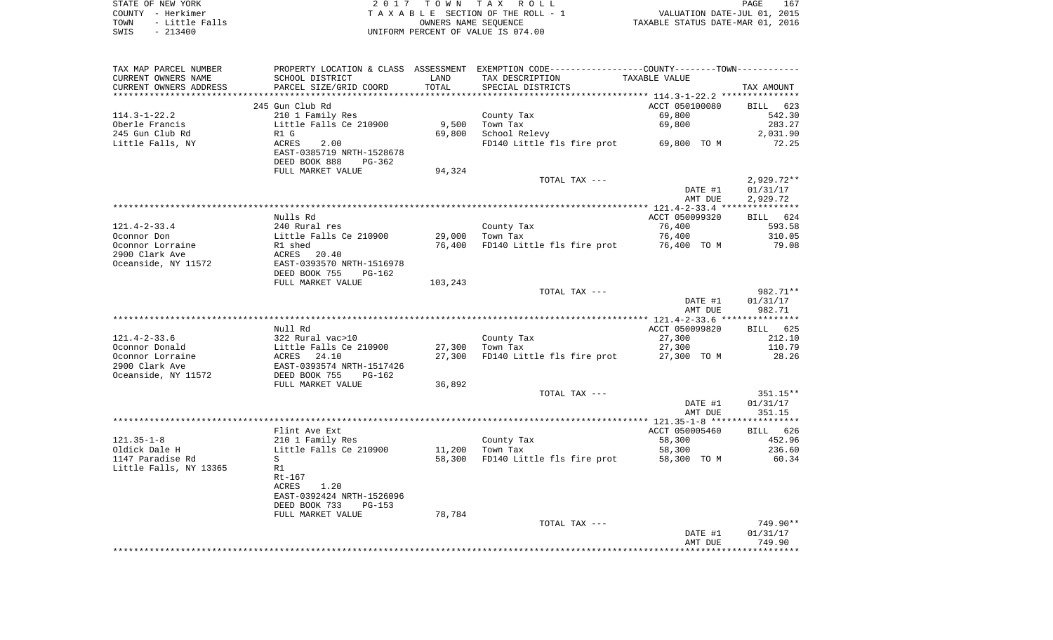| STATE OF NEW YORK      | 2017 TOWN TAX ROLL                 | 167<br>PAGE                      |
|------------------------|------------------------------------|----------------------------------|
| COUNTY - Herkimer      | TAXABLE SECTION OF THE ROLL - 1    | VALUATION DATE-JUL 01, 2015      |
| TOWN<br>- Little Falls | OWNERS NAME SEOUENCE               | TAXABLE STATUS DATE-MAR 01, 2016 |
| SWIS<br>$-213400$      | UNIFORM PERCENT OF VALUE IS 074.00 |                                  |

| TAX MAP PARCEL NUMBER  |                                                                                                               |         | PROPERTY LOCATION & CLASS ASSESSMENT EXEMPTION CODE---------------COUNTY-------TOWN---------- |                |              |
|------------------------|---------------------------------------------------------------------------------------------------------------|---------|-----------------------------------------------------------------------------------------------|----------------|--------------|
| CURRENT OWNERS NAME    | SCHOOL DISTRICT                                                                                               | LAND    | TAX DESCRIPTION                                                                               | TAXABLE VALUE  |              |
| CURRENT OWNERS ADDRESS | PARCEL SIZE/GRID COORD                                                                                        | TOTAL   | SPECIAL DISTRICTS                                                                             |                | TAX AMOUNT   |
|                        |                                                                                                               |         |                                                                                               |                |              |
|                        | 245 Gun Club Rd                                                                                               |         |                                                                                               | ACCT 050100080 | BILL 623     |
| 114.3-1-22.2           | 210 1 Family Res                                                                                              |         | County Tax                                                                                    | 69,800         | 542.30       |
| Oberle Francis         | Little Falls Ce 210900                                                                                        | 9,500   | Town Tax                                                                                      | 69,800         | 283.27       |
| 245 Gun Club Rd        | R1 G                                                                                                          | 69,800  | School Relevy                                                                                 |                | 2,031.90     |
| Little Falls, NY       | ACRES<br>2.00<br>EAST-0385719 NRTH-1528678                                                                    |         | FD140 Little fls fire prot 69,800 TO M                                                        |                | 72.25        |
|                        | DEED BOOK 888                                                                                                 |         |                                                                                               |                |              |
|                        | PG-362<br>FULL MARKET VALUE                                                                                   | 94,324  |                                                                                               |                |              |
|                        |                                                                                                               |         |                                                                                               |                | $2,929.72**$ |
|                        |                                                                                                               |         | TOTAL TAX ---                                                                                 | DATE #1        | 01/31/17     |
|                        |                                                                                                               |         |                                                                                               | AMT DUE        | 2,929.72     |
|                        |                                                                                                               |         |                                                                                               |                |              |
|                        | Nulls Rd                                                                                                      |         |                                                                                               | ACCT 050099320 | BILL 624     |
| 121.4-2-33.4           | 240 Rural res                                                                                                 |         | County Tax                                                                                    | 76,400         | 593.58       |
| Oconnor Don            | Little Falls Ce 210900                                                                                        | 29,000  | Town Tax                                                                                      | 76,400         | 310.05       |
| Oconnor Lorraine       | R1 shed                                                                                                       | 76,400  | FD140 Little fls fire prot                                                                    | 76,400 TO M    | 79.08        |
| 2900 Clark Ave         | ACRES 20.40                                                                                                   |         |                                                                                               |                |              |
| Oceanside, NY 11572    | EAST-0393570 NRTH-1516978                                                                                     |         |                                                                                               |                |              |
|                        | DEED BOOK 755<br>PG-162                                                                                       |         |                                                                                               |                |              |
|                        | FULL MARKET VALUE                                                                                             | 103,243 |                                                                                               |                |              |
|                        |                                                                                                               |         | TOTAL TAX ---                                                                                 |                | 982.71**     |
|                        |                                                                                                               |         |                                                                                               | DATE #1        | 01/31/17     |
|                        |                                                                                                               |         |                                                                                               | AMT DUE        | 982.71       |
|                        |                                                                                                               |         |                                                                                               |                |              |
|                        | Null Rd                                                                                                       |         |                                                                                               | ACCT 050099820 | BILL 625     |
| 121.4-2-33.6           | 322 Rural vac>10                                                                                              |         | County Tax                                                                                    | 27,300         | 212.10       |
| Oconnor Donald         |                                                                                                               | 27,300  | Town Tax                                                                                      | 27,300         | 110.79       |
| Oconnor Lorraine       | 322 Muai vac-10<br>Little Falls Ce 210900<br>ACRES 24.10<br>EAST-0393574 NRTH-1517426<br>DEED BOOK 755 PG-162 | 27,300  | FD140 Little fls fire prot 27,300 TO M                                                        |                | 28.26        |
| 2900 Clark Ave         |                                                                                                               |         |                                                                                               |                |              |
| Oceanside, NY 11572    |                                                                                                               |         |                                                                                               |                |              |
|                        | FULL MARKET VALUE                                                                                             | 36,892  |                                                                                               |                |              |
|                        |                                                                                                               |         | TOTAL TAX ---                                                                                 |                | 351.15**     |
|                        |                                                                                                               |         |                                                                                               | DATE #1        | 01/31/17     |
|                        |                                                                                                               |         |                                                                                               | AMT DUE        | 351.15       |
|                        | Flint Ave Ext                                                                                                 |         |                                                                                               | ACCT 050005460 | BILL 626     |
| 121.35-1-8             | 210 1 Family Res                                                                                              |         | County Tax                                                                                    | 58,300         | 452.96       |
| Oldick Dale H          | Little Falls Ce 210900                                                                                        | 11,200  | Town Tax                                                                                      | 58,300         | 236.60       |
| 1147 Paradise Rd       | S                                                                                                             | 58,300  | FD140 Little fls fire prot 58,300 TO M                                                        |                | 60.34        |
| Little Falls, NY 13365 | R1                                                                                                            |         |                                                                                               |                |              |
|                        | Rt-167                                                                                                        |         |                                                                                               |                |              |
|                        | ACRES<br>1.20                                                                                                 |         |                                                                                               |                |              |
|                        | EAST-0392424 NRTH-1526096                                                                                     |         |                                                                                               |                |              |
|                        | DEED BOOK 733<br>PG-153                                                                                       |         |                                                                                               |                |              |
|                        | FULL MARKET VALUE                                                                                             | 78,784  |                                                                                               |                |              |
|                        |                                                                                                               |         | TOTAL TAX ---                                                                                 |                | 749.90**     |
|                        |                                                                                                               |         |                                                                                               | DATE #1        | 01/31/17     |
|                        |                                                                                                               |         |                                                                                               | AMT DUE        | 749.90       |
|                        |                                                                                                               |         |                                                                                               |                |              |
|                        |                                                                                                               |         |                                                                                               |                |              |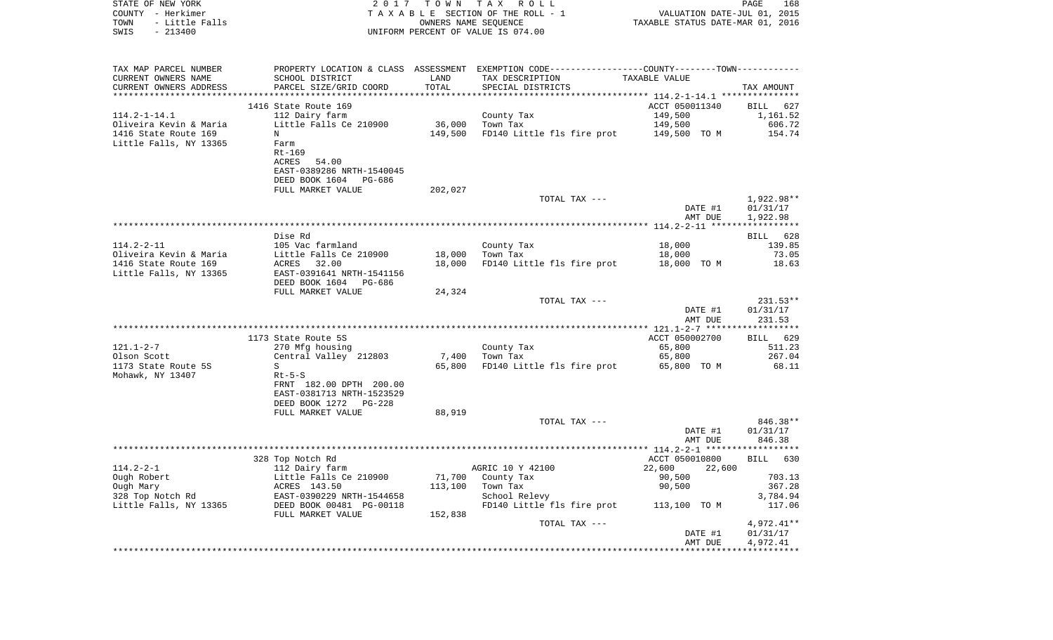| COUNTY - Herkimer<br>TOWN<br>- Little Falls<br>$-213400$<br>SWIS | TAXABLE SECTION OF THE ROLL - 1<br>OWNERS NAME SEQUENCE<br>UNIFORM PERCENT OF VALUE IS 074.00                                                                                                                                 |         | VALUATION DATE-JUL 01, 2015<br>TAXABLE STATUS DATE-MAR 01, 2016 |                                    |                      |
|------------------------------------------------------------------|-------------------------------------------------------------------------------------------------------------------------------------------------------------------------------------------------------------------------------|---------|-----------------------------------------------------------------|------------------------------------|----------------------|
| TAX MAP PARCEL NUMBER                                            | PROPERTY LOCATION & CLASS ASSESSMENT EXEMPTION CODE----------------COUNTY-------TOWN----------                                                                                                                                |         |                                                                 |                                    |                      |
| CURRENT OWNERS NAME                                              | SCHOOL DISTRICT                                                                                                                                                                                                               | LAND    | TAX DESCRIPTION                                                 | TAXABLE VALUE                      |                      |
| CURRENT OWNERS ADDRESS                                           | PARCEL SIZE/GRID COORD                                                                                                                                                                                                        | TOTAL   | SPECIAL DISTRICTS                                               |                                    | TAX AMOUNT           |
|                                                                  | 1416 State Route 169                                                                                                                                                                                                          |         |                                                                 | ACCT 050011340                     |                      |
| $114.2 - 1 - 14.1$                                               | 112 Dairy farm                                                                                                                                                                                                                |         | County Tax                                                      | 149,500                            | BILL 627<br>1,161.52 |
| Oliveira Kevin & Maria                                           | Little Falls Ce 210900                                                                                                                                                                                                        |         | 36,000 Town Tax                                                 | 149,500                            | 606.72               |
| 1416 State Route 169                                             | $\mathbf N$                                                                                                                                                                                                                   | 149,500 | FD140 Little fls fire prot 149,500 TO M                         |                                    | 154.74               |
| Little Falls, NY 13365                                           | Farm                                                                                                                                                                                                                          |         |                                                                 |                                    |                      |
|                                                                  | Rt-169                                                                                                                                                                                                                        |         |                                                                 |                                    |                      |
|                                                                  | ACRES 54.00                                                                                                                                                                                                                   |         |                                                                 |                                    |                      |
|                                                                  | EAST-0389286 NRTH-1540045<br>DEED BOOK 1604 PG-686                                                                                                                                                                            |         |                                                                 |                                    |                      |
|                                                                  | FULL MARKET VALUE                                                                                                                                                                                                             | 202,027 |                                                                 |                                    |                      |
|                                                                  |                                                                                                                                                                                                                               |         | TOTAL TAX ---                                                   |                                    | 1,922.98**           |
|                                                                  |                                                                                                                                                                                                                               |         |                                                                 | DATE #1                            | 01/31/17             |
|                                                                  |                                                                                                                                                                                                                               |         |                                                                 | AMT DUE                            | 1,922.98             |
|                                                                  |                                                                                                                                                                                                                               |         |                                                                 |                                    |                      |
| $114.2 - 2 - 11$                                                 | Dise Rd<br>105 Vac farmland                                                                                                                                                                                                   |         |                                                                 |                                    | BILL 628             |
| Oliveira Kevin & Maria                                           | Little Falls Ce 210900                                                                                                                                                                                                        | 18,000  | County Tax<br>Town Tax                                          | 18,000<br>18,000                   | 139.85<br>73.05      |
| 1416 State Route 169                                             | ACRES 32.00                                                                                                                                                                                                                   | 18,000  | FD140 Little fls fire prot 18,000 TO M                          |                                    | 18.63                |
| Little Falls, NY 13365                                           | EAST-0391641 NRTH-1541156                                                                                                                                                                                                     |         |                                                                 |                                    |                      |
|                                                                  | DEED BOOK 1604 PG-686                                                                                                                                                                                                         |         |                                                                 |                                    |                      |
|                                                                  | FULL MARKET VALUE                                                                                                                                                                                                             | 24,324  |                                                                 |                                    |                      |
|                                                                  |                                                                                                                                                                                                                               |         | TOTAL TAX ---                                                   |                                    | $231.53**$           |
|                                                                  |                                                                                                                                                                                                                               |         |                                                                 | DATE #1                            | 01/31/17<br>231.53   |
|                                                                  |                                                                                                                                                                                                                               |         |                                                                 | AMT DUE                            |                      |
|                                                                  | 1173 State Route 5S                                                                                                                                                                                                           |         |                                                                 | ACCT 050002700                     | BILL 629             |
| 121.1-2-7                                                        | 270 Mfg housing                                                                                                                                                                                                               |         | County Tax                                                      | 65,800                             | 511.23               |
| Olson Scott                                                      | Central Valley 212803                                                                                                                                                                                                         | 7,400   | Town Tax                                                        | 65,800                             | 267.04               |
| 1173 State Route 5S                                              | S                                                                                                                                                                                                                             |         | 65,800 FD140 Little fls fire prot 65,800 TO M                   |                                    | 68.11                |
| Mohawk, NY 13407                                                 | Rt-5-S                                                                                                                                                                                                                        |         |                                                                 |                                    |                      |
|                                                                  | FRNT 182.00 DPTH 200.00<br>EAST-0381713 NRTH-1523529                                                                                                                                                                          |         |                                                                 |                                    |                      |
|                                                                  | DEED BOOK 1272 PG-228                                                                                                                                                                                                         |         |                                                                 |                                    |                      |
|                                                                  | FULL MARKET VALUE                                                                                                                                                                                                             | 88,919  |                                                                 |                                    |                      |
|                                                                  |                                                                                                                                                                                                                               |         | TOTAL TAX ---                                                   |                                    | 846.38**             |
|                                                                  |                                                                                                                                                                                                                               |         |                                                                 | DATE #1                            | 01/31/17             |
|                                                                  |                                                                                                                                                                                                                               |         |                                                                 | AMT DUE                            | 846.38               |
|                                                                  |                                                                                                                                                                                                                               |         |                                                                 |                                    |                      |
|                                                                  | 328 Top Notch Rd                                                                                                                                                                                                              |         | AGRIC 10 Y 42100                                                | ACCT 050010800<br>22,600<br>22,600 | BILL 630             |
|                                                                  |                                                                                                                                                                                                                               |         | 71,700 County Tax                                               | 90,500                             | 703.13               |
|                                                                  |                                                                                                                                                                                                                               | 113,100 | Town Tax                                                        | 90,500                             | 367.28               |
|                                                                  |                                                                                                                                                                                                                               |         | School Relevy                                                   |                                    | 3,784.94             |
|                                                                  | 114.2-2-1<br>Ough Robert<br>Ough Mary 112 Dairy farm<br>Ough Mary 113.50<br>328 Top Notch Rd<br>Little Falls, NY 13365<br>28 Top Notch Rd<br>EAST-0390229 NRTH-1544658<br>DEED BOOK 00481 PG-00118<br>THE MOOK 00481 PG-00118 |         | FD140 Little fls fire prot 113,100 TO M                         |                                    | 117.06               |
|                                                                  | FULL MARKET VALUE                                                                                                                                                                                                             | 152,838 |                                                                 |                                    |                      |
|                                                                  |                                                                                                                                                                                                                               |         | TOTAL TAX ---                                                   |                                    | 4,972.41**           |
|                                                                  |                                                                                                                                                                                                                               |         |                                                                 | DATE #1                            | 01/31/17             |
|                                                                  |                                                                                                                                                                                                                               |         |                                                                 | AMT DUE                            | 4,972.41             |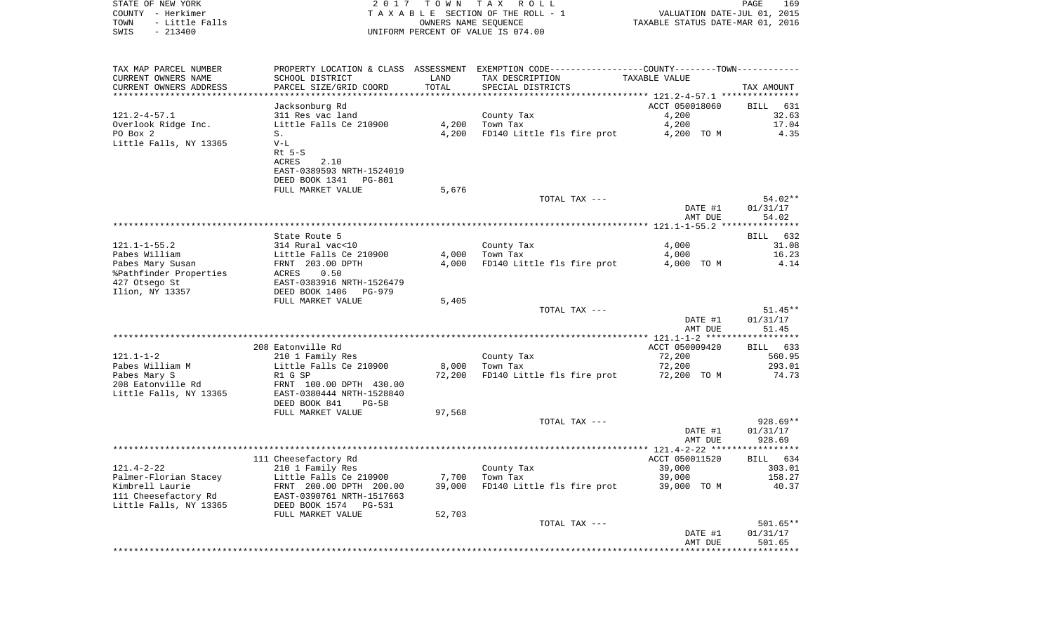| COUNTY - Herkimer      |                                                                                                                                                                                                                                            |        | T A X A B L E SECTION OF THE ROLL - 1                                                            |                                                                 |              |
|------------------------|--------------------------------------------------------------------------------------------------------------------------------------------------------------------------------------------------------------------------------------------|--------|--------------------------------------------------------------------------------------------------|-----------------------------------------------------------------|--------------|
| TOWN<br>- Little Falls |                                                                                                                                                                                                                                            |        | OWNERS NAME SEQUENCE                                                                             | VALUATION DATE-JUL 01, 2015<br>TAXABLE STATUS DATE-MAR 01, 2016 |              |
| SWIS<br>$-213400$      |                                                                                                                                                                                                                                            |        | UNIFORM PERCENT OF VALUE IS 074.00                                                               |                                                                 |              |
|                        |                                                                                                                                                                                                                                            |        |                                                                                                  |                                                                 |              |
|                        |                                                                                                                                                                                                                                            |        |                                                                                                  |                                                                 |              |
|                        |                                                                                                                                                                                                                                            |        |                                                                                                  |                                                                 |              |
| TAX MAP PARCEL NUMBER  |                                                                                                                                                                                                                                            |        | PROPERTY LOCATION & CLASS ASSESSMENT EXEMPTION CODE----------------COUNTY--------TOWN----------- |                                                                 |              |
| CURRENT OWNERS NAME    | SCHOOL DISTRICT                                                                                                                                                                                                                            | LAND   | TAX DESCRIPTION                                                                                  | TAXABLE VALUE                                                   |              |
| CURRENT OWNERS ADDRESS | PARCEL SIZE/GRID COORD                                                                                                                                                                                                                     | TOTAL  | SPECIAL DISTRICTS                                                                                |                                                                 | TAX AMOUNT   |
|                        |                                                                                                                                                                                                                                            |        |                                                                                                  |                                                                 |              |
|                        | Jacksonburg Rd                                                                                                                                                                                                                             |        |                                                                                                  | ACCT 050018060                                                  | BILL 631     |
| 121.2-4-57.1           | 311 Res vac land                                                                                                                                                                                                                           |        | County Tax                                                                                       | 4,200                                                           | 32.63        |
|                        |                                                                                                                                                                                                                                            |        | $4,200$ Town Tax                                                                                 |                                                                 |              |
| Overlook Ridge Inc.    | Little Falls Ce 210900                                                                                                                                                                                                                     |        |                                                                                                  | 4,200                                                           | 17.04        |
| PO Box 2               | S.                                                                                                                                                                                                                                         | 4,200  | FD140 Little fls fire prot 4,200 TO M                                                            |                                                                 | 4.35         |
| Little Falls, NY 13365 | $V-L$                                                                                                                                                                                                                                      |        |                                                                                                  |                                                                 |              |
|                        | $Rt$ 5-S                                                                                                                                                                                                                                   |        |                                                                                                  |                                                                 |              |
|                        | 2.10<br>ACRES                                                                                                                                                                                                                              |        |                                                                                                  |                                                                 |              |
|                        | EAST-0389593 NRTH-1524019                                                                                                                                                                                                                  |        |                                                                                                  |                                                                 |              |
|                        | DEED BOOK 1341 PG-801                                                                                                                                                                                                                      |        |                                                                                                  |                                                                 |              |
|                        | FULL MARKET VALUE                                                                                                                                                                                                                          | 5,676  |                                                                                                  |                                                                 |              |
|                        |                                                                                                                                                                                                                                            |        | TOTAL TAX ---                                                                                    |                                                                 | 54.02**      |
|                        |                                                                                                                                                                                                                                            |        |                                                                                                  | DATE #1                                                         | 01/31/17     |
|                        |                                                                                                                                                                                                                                            |        |                                                                                                  | AMT DUE                                                         | 54.02        |
|                        |                                                                                                                                                                                                                                            |        |                                                                                                  |                                                                 |              |
|                        |                                                                                                                                                                                                                                            |        |                                                                                                  |                                                                 |              |
|                        | State Route 5                                                                                                                                                                                                                              |        |                                                                                                  |                                                                 | BILL 632     |
|                        | 121.1-1-55.2<br>Pabes William 314 Rural vac<10<br>Pabes Mary Susan FRNT 203.00 DPTH<br>Pabes Mary Susan FRNT 203.00 DPTH<br>Pathfinder Properties ACRES 0.50<br>427 Otsego St EAST-0383916 NRTH-1526479<br>TILO NY 13357 DEED BOOK 1406 PG |        | County Tax                                                                                       | 4,000                                                           | 31.08        |
|                        |                                                                                                                                                                                                                                            |        | $4,000$ Town Tax                                                                                 | 4,000                                                           | 16.23        |
|                        |                                                                                                                                                                                                                                            | 4,000  | FD140 Little fls fire prot                                                                       | 4,000 TO M                                                      | 4.14         |
|                        |                                                                                                                                                                                                                                            |        |                                                                                                  |                                                                 |              |
|                        |                                                                                                                                                                                                                                            |        |                                                                                                  |                                                                 |              |
|                        |                                                                                                                                                                                                                                            |        |                                                                                                  |                                                                 |              |
|                        | FULL MARKET VALUE                                                                                                                                                                                                                          | 5,405  |                                                                                                  |                                                                 |              |
|                        |                                                                                                                                                                                                                                            |        | TOTAL TAX ---                                                                                    |                                                                 | $51.45**$    |
|                        |                                                                                                                                                                                                                                            |        |                                                                                                  | DATE #1                                                         | 01/31/17     |
|                        |                                                                                                                                                                                                                                            |        |                                                                                                  | AMT DUE                                                         | 51.45        |
|                        |                                                                                                                                                                                                                                            |        |                                                                                                  |                                                                 | ***********  |
|                        | 208 Eatonville Rd                                                                                                                                                                                                                          |        |                                                                                                  | ACCT 050009420                                                  | BILL 633     |
|                        |                                                                                                                                                                                                                                            |        |                                                                                                  |                                                                 |              |
| 121.1-1-2              | 210 1 Family Res                                                                                                                                                                                                                           |        | County Tax                                                                                       | 72,200                                                          | 560.95       |
| Pabes William M        | Little Falls Ce 210900<br>R1 G SP<br>FRNT 100.00 DPTH 430.00                                                                                                                                                                               | 8,000  | Town Tax                                                                                         | 72,200                                                          | 293.01       |
| Pabes Mary S           |                                                                                                                                                                                                                                            | 72,200 | FD140 Little fls fire prot 72,200 TO M                                                           |                                                                 | 74.73        |
| 208 Eatonville Rd      |                                                                                                                                                                                                                                            |        |                                                                                                  |                                                                 |              |
| Little Falls, NY 13365 | EAST-0380444 NRTH-1528840                                                                                                                                                                                                                  |        |                                                                                                  |                                                                 |              |
|                        | DEED BOOK 841<br>$PG-58$                                                                                                                                                                                                                   |        |                                                                                                  |                                                                 |              |
|                        | FULL MARKET VALUE                                                                                                                                                                                                                          | 97,568 |                                                                                                  |                                                                 |              |
|                        |                                                                                                                                                                                                                                            |        | TOTAL TAX ---                                                                                    |                                                                 | 928.69**     |
|                        |                                                                                                                                                                                                                                            |        |                                                                                                  | DATE #1                                                         | 01/31/17     |
|                        |                                                                                                                                                                                                                                            |        |                                                                                                  | AMT DUE                                                         | 928.69       |
|                        |                                                                                                                                                                                                                                            |        |                                                                                                  |                                                                 |              |
|                        | 111 Cheesefactory Rd                                                                                                                                                                                                                       |        |                                                                                                  | ACCT 050011520                                                  | BILL 634     |
|                        |                                                                                                                                                                                                                                            |        |                                                                                                  |                                                                 |              |
| 121.4-2-22             | 210 1 Family Res                                                                                                                                                                                                                           |        | County Tax                                                                                       | 39,000                                                          | 303.01       |
|                        |                                                                                                                                                                                                                                            | 7,700  | Town Tax                                                                                         | 39,000                                                          | 158.27       |
|                        |                                                                                                                                                                                                                                            | 39,000 | FD140 Little fls fire prot                                                                       | 39,000 TO M                                                     | 40.37        |
|                        |                                                                                                                                                                                                                                            |        |                                                                                                  |                                                                 |              |
|                        |                                                                                                                                                                                                                                            |        |                                                                                                  |                                                                 |              |
|                        | FULL MARKET VALUE                                                                                                                                                                                                                          | 52,703 |                                                                                                  |                                                                 |              |
|                        |                                                                                                                                                                                                                                            |        | TOTAL TAX ---                                                                                    |                                                                 | $501.65**$   |
|                        |                                                                                                                                                                                                                                            |        |                                                                                                  | DATE #1                                                         | 01/31/17     |
|                        |                                                                                                                                                                                                                                            |        |                                                                                                  | AMT DUE                                                         | 501.65       |
|                        |                                                                                                                                                                                                                                            |        |                                                                                                  |                                                                 | ************ |

PAGE 169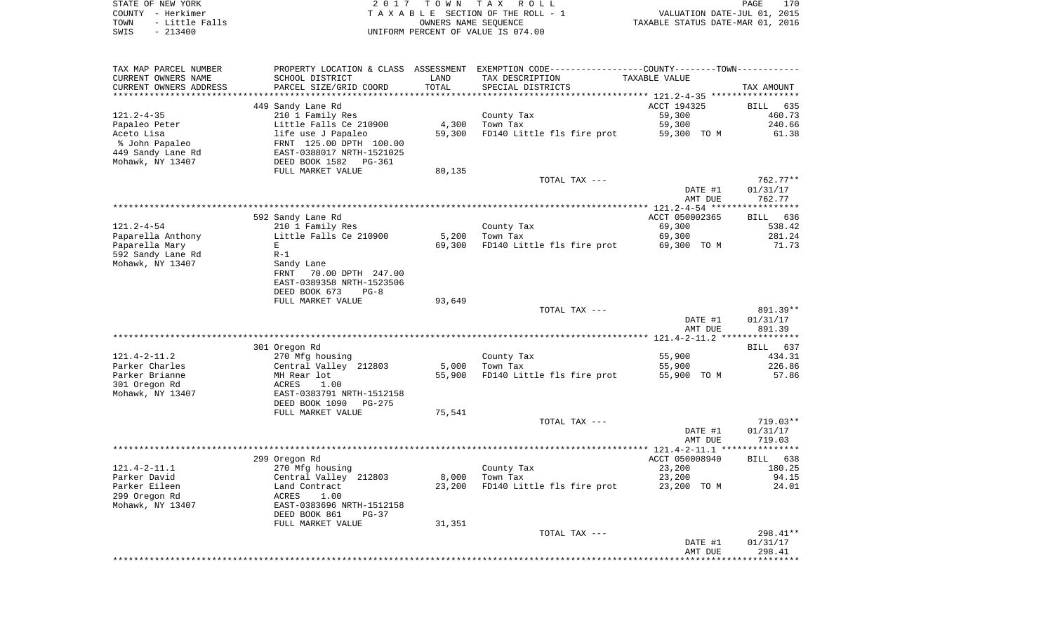| STATE OF NEW YORK      | 2017 TOWN TAX ROLL                 | 170<br>PAGE                      |
|------------------------|------------------------------------|----------------------------------|
| COUNTY - Herkimer      | TAXABLE SECTION OF THE ROLL - 1    | VALUATION DATE-JUL 01, 2015      |
| - Little Falls<br>TOWN | OWNERS NAME SEOUENCE               | TAXABLE STATUS DATE-MAR 01, 2016 |
| SWIS<br>$-213400$      | UNIFORM PERCENT OF VALUE IS 074.00 |                                  |

| TAX MAP PARCEL NUMBER<br>CURRENT OWNERS NAME<br>CURRENT OWNERS ADDRESS | PROPERTY LOCATION & CLASS<br>SCHOOL DISTRICT<br>PARCEL SIZE/GRID COORD | ASSESSMENT<br>LAND<br>TOTAL | EXEMPTION CODE-----------------COUNTY-------TOWN-----------<br>TAX DESCRIPTION<br>SPECIAL DISTRICTS | TAXABLE VALUE  | TAX AMOUNT         |
|------------------------------------------------------------------------|------------------------------------------------------------------------|-----------------------------|-----------------------------------------------------------------------------------------------------|----------------|--------------------|
|                                                                        |                                                                        |                             |                                                                                                     |                |                    |
|                                                                        | 449 Sandy Lane Rd                                                      |                             |                                                                                                     | ACCT 194325    | <b>BILL</b><br>635 |
| $121.2 - 4 - 35$                                                       | 210 1 Family Res                                                       |                             | County Tax                                                                                          | 59,300         | 460.73             |
| Papaleo Peter                                                          | Little Falls Ce 210900                                                 | 4,300                       | Town Tax                                                                                            | 59,300         | 240.66             |
| Aceto Lisa                                                             | life use J Papaleo                                                     | 59,300                      | FD140 Little fls fire prot                                                                          | 59,300 TO M    | 61.38              |
| % John Papaleo                                                         | FRNT 125.00 DPTH 100.00                                                |                             |                                                                                                     |                |                    |
| 449 Sandy Lane Rd                                                      | EAST-0388017 NRTH-1521025                                              |                             |                                                                                                     |                |                    |
| Mohawk, NY 13407                                                       | DEED BOOK 1582<br>PG-361                                               |                             |                                                                                                     |                |                    |
|                                                                        | FULL MARKET VALUE                                                      | 80,135                      |                                                                                                     |                |                    |
|                                                                        |                                                                        |                             | TOTAL TAX ---                                                                                       |                | 762.77**           |
|                                                                        |                                                                        |                             |                                                                                                     | DATE #1        | 01/31/17           |
|                                                                        |                                                                        |                             |                                                                                                     | AMT DUE        | 762.77             |
|                                                                        |                                                                        |                             |                                                                                                     |                |                    |
|                                                                        | 592 Sandy Lane Rd                                                      |                             |                                                                                                     | ACCT 050002365 | 636<br><b>BILL</b> |
| $121.2 - 4 - 54$                                                       | 210 1 Family Res                                                       |                             | County Tax                                                                                          | 69,300         | 538.42             |
| Paparella Anthony                                                      | Little Falls Ce 210900                                                 | 5,200                       | Town Tax                                                                                            | 69,300         | 281.24             |
| Paparella Mary                                                         | Е                                                                      | 69,300                      | FD140 Little fls fire prot                                                                          | 69,300 TO M    | 71.73              |
| 592 Sandy Lane Rd                                                      | $R-1$                                                                  |                             |                                                                                                     |                |                    |
| Mohawk, NY 13407                                                       | Sandy Lane<br>70.00 DPTH 247.00<br>FRNT                                |                             |                                                                                                     |                |                    |
|                                                                        | EAST-0389358 NRTH-1523506                                              |                             |                                                                                                     |                |                    |
|                                                                        | DEED BOOK 673<br>$PG-8$                                                |                             |                                                                                                     |                |                    |
|                                                                        | FULL MARKET VALUE                                                      | 93,649                      |                                                                                                     |                |                    |
|                                                                        |                                                                        |                             | TOTAL TAX ---                                                                                       |                | 891.39**           |
|                                                                        |                                                                        |                             |                                                                                                     | DATE #1        | 01/31/17           |
|                                                                        |                                                                        |                             |                                                                                                     | AMT DUE        | 891.39             |
|                                                                        |                                                                        |                             |                                                                                                     |                |                    |
|                                                                        | 301 Oregon Rd                                                          |                             |                                                                                                     |                | 637<br>BILL        |
| $121.4 - 2 - 11.2$                                                     | 270 Mfg housing                                                        |                             | County Tax                                                                                          | 55,900         | 434.31             |
| Parker Charles                                                         | Central Valley 212803                                                  | 5,000                       | Town Tax                                                                                            | 55,900         | 226.86             |
| Parker Brianne                                                         | MH Rear lot                                                            | 55,900                      | FD140 Little fls fire prot                                                                          | 55,900 TO M    | 57.86              |
| 301 Oregon Rd                                                          | 1.00<br>ACRES                                                          |                             |                                                                                                     |                |                    |
| Mohawk, NY 13407                                                       | EAST-0383791 NRTH-1512158                                              |                             |                                                                                                     |                |                    |
|                                                                        | DEED BOOK 1090<br>PG-275                                               |                             |                                                                                                     |                |                    |
|                                                                        | FULL MARKET VALUE                                                      | 75,541                      |                                                                                                     |                |                    |
|                                                                        |                                                                        |                             | TOTAL TAX ---                                                                                       |                | 719.03**           |
|                                                                        |                                                                        |                             |                                                                                                     | DATE #1        | 01/31/17           |
|                                                                        |                                                                        |                             |                                                                                                     | AMT DUE        | 719.03             |
|                                                                        | 299 Oregon Rd                                                          |                             |                                                                                                     | ACCT 050008940 | <b>BILL</b><br>638 |
| $121.4 - 2 - 11.1$                                                     | 270 Mfg housing                                                        |                             | County Tax                                                                                          | 23,200         | 180.25             |
| Parker David                                                           | Central Valley 212803                                                  | 8,000                       | Town Tax                                                                                            | 23,200         | 94.15              |
| Parker Eileen                                                          | Land Contract                                                          | 23,200                      | FD140 Little fls fire prot                                                                          | 23,200 TO M    | 24.01              |
| 299 Oregon Rd                                                          | 1.00<br>ACRES                                                          |                             |                                                                                                     |                |                    |
| Mohawk, NY 13407                                                       | EAST-0383696 NRTH-1512158                                              |                             |                                                                                                     |                |                    |
|                                                                        | DEED BOOK 861<br>$PG-37$                                               |                             |                                                                                                     |                |                    |
|                                                                        | FULL MARKET VALUE                                                      | 31,351                      |                                                                                                     |                |                    |
|                                                                        |                                                                        |                             | TOTAL TAX ---                                                                                       |                | 298.41**           |
|                                                                        |                                                                        |                             |                                                                                                     | DATE #1        | 01/31/17           |
|                                                                        |                                                                        |                             |                                                                                                     | AMT DUE        | 298.41             |
|                                                                        |                                                                        |                             |                                                                                                     |                |                    |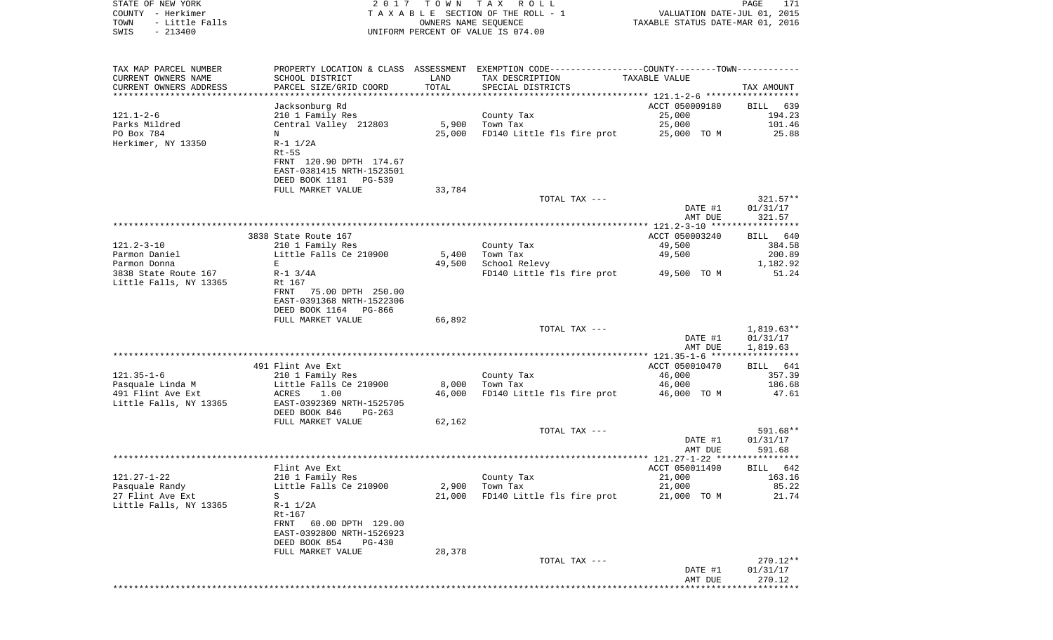| COUNTY - Herkimer<br>TOWN<br>- Little Falls<br>SWIS<br>$-213400$ |                                                         | T A X A B L E SECTION OF THE ROLL - 1<br>OWNERS NAME SEQUENCE<br>UNIFORM PERCENT OF VALUE IS 074.00 |                                                                               |                       | VALUATION DATE-JUL 01, 2015<br>TAXABLE STATUS DATE-MAR 01, 2016 |  |  |
|------------------------------------------------------------------|---------------------------------------------------------|-----------------------------------------------------------------------------------------------------|-------------------------------------------------------------------------------|-----------------------|-----------------------------------------------------------------|--|--|
|                                                                  |                                                         |                                                                                                     |                                                                               |                       |                                                                 |  |  |
| TAX MAP PARCEL NUMBER<br>CURRENT OWNERS NAME                     | PROPERTY LOCATION & CLASS ASSESSMENT<br>SCHOOL DISTRICT | LAND                                                                                                | EXEMPTION CODE----------------COUNTY-------TOWN-----------<br>TAX DESCRIPTION | TAXABLE VALUE         |                                                                 |  |  |
| CURRENT OWNERS ADDRESS                                           | PARCEL SIZE/GRID COORD                                  | TOTAL                                                                                               | SPECIAL DISTRICTS                                                             |                       | TAX AMOUNT                                                      |  |  |
| ***********************                                          |                                                         |                                                                                                     |                                                                               |                       |                                                                 |  |  |
|                                                                  | Jacksonburg Rd                                          |                                                                                                     |                                                                               | ACCT 050009180        | 639<br>BILL                                                     |  |  |
| 121.1-2-6                                                        | 210 1 Family Res                                        |                                                                                                     | County Tax                                                                    | 25,000                | 194.23                                                          |  |  |
| Parks Mildred                                                    | Central Valley 212803                                   | 5,900                                                                                               | Town Tax                                                                      | 25,000                | 101.46                                                          |  |  |
| PO Box 784<br>Herkimer, NY 13350                                 | N<br>$R-1$ $1/2A$                                       | 25,000                                                                                              | FD140 Little fls fire prot                                                    | 25,000 TO M           | 25.88                                                           |  |  |
|                                                                  | $Rt-5S$                                                 |                                                                                                     |                                                                               |                       |                                                                 |  |  |
|                                                                  | FRNT 120.90 DPTH 174.67                                 |                                                                                                     |                                                                               |                       |                                                                 |  |  |
|                                                                  | EAST-0381415 NRTH-1523501                               |                                                                                                     |                                                                               |                       |                                                                 |  |  |
|                                                                  | DEED BOOK 1181<br>PG-539                                |                                                                                                     |                                                                               |                       |                                                                 |  |  |
|                                                                  | FULL MARKET VALUE                                       | 33,784                                                                                              |                                                                               |                       |                                                                 |  |  |
|                                                                  |                                                         |                                                                                                     | TOTAL TAX ---                                                                 |                       | $321.57**$                                                      |  |  |
|                                                                  |                                                         |                                                                                                     |                                                                               | DATE #1<br>AMT DUE    | 01/31/17<br>321.57                                              |  |  |
|                                                                  |                                                         |                                                                                                     |                                                                               |                       |                                                                 |  |  |
|                                                                  | 3838 State Route 167                                    |                                                                                                     |                                                                               | ACCT 050003240        | BILL 640                                                        |  |  |
| 121.2-3-10                                                       | 210 1 Family Res                                        |                                                                                                     | County Tax                                                                    | 49,500                | 384.58                                                          |  |  |
| Parmon Daniel                                                    | Little Falls Ce 210900                                  | 5,400                                                                                               | Town Tax                                                                      | 49,500                | 200.89                                                          |  |  |
| Parmon Donna                                                     | Е                                                       | 49,500                                                                                              | School Relevy                                                                 |                       | 1,182.92                                                        |  |  |
| 3838 State Route 167<br>Little Falls, NY 13365                   | $R-1$ 3/4A<br>Rt 167                                    |                                                                                                     | FD140 Little fls fire prot                                                    | 49,500 TO M           | 51.24                                                           |  |  |
|                                                                  | 75.00 DPTH 250.00<br>FRNT                               |                                                                                                     |                                                                               |                       |                                                                 |  |  |
|                                                                  | EAST-0391368 NRTH-1522306                               |                                                                                                     |                                                                               |                       |                                                                 |  |  |
|                                                                  | DEED BOOK 1164 PG-866                                   |                                                                                                     |                                                                               |                       |                                                                 |  |  |
|                                                                  | FULL MARKET VALUE                                       | 66,892                                                                                              |                                                                               |                       |                                                                 |  |  |
|                                                                  |                                                         |                                                                                                     | TOTAL TAX ---                                                                 |                       | $1,819.63**$                                                    |  |  |
|                                                                  |                                                         |                                                                                                     |                                                                               | DATE #1               | 01/31/17                                                        |  |  |
|                                                                  |                                                         |                                                                                                     |                                                                               | AMT DUE               | 1,819.63                                                        |  |  |
|                                                                  | 491 Flint Ave Ext                                       |                                                                                                     |                                                                               | ACCT 050010470        | BILL 641                                                        |  |  |
| 121.35-1-6                                                       | 210 1 Family Res                                        |                                                                                                     | County Tax                                                                    | 46,000                | 357.39                                                          |  |  |
| Pasquale Linda M                                                 | Little Falls Ce 210900                                  | 8,000                                                                                               | Town Tax                                                                      | 46,000                | 186.68                                                          |  |  |
| 491 Flint Ave Ext                                                | ACRES<br>1.00                                           | 46,000                                                                                              | FD140 Little fls fire prot                                                    | 46,000 TO M           | 47.61                                                           |  |  |
| Little Falls, NY 13365                                           | EAST-0392369 NRTH-1525705                               |                                                                                                     |                                                                               |                       |                                                                 |  |  |
|                                                                  | DEED BOOK 846<br>PG-263<br>FULL MARKET VALUE            | 62,162                                                                                              |                                                                               |                       |                                                                 |  |  |
|                                                                  |                                                         |                                                                                                     | TOTAL TAX ---                                                                 |                       | 591.68**                                                        |  |  |
|                                                                  |                                                         |                                                                                                     |                                                                               | DATE #1               | 01/31/17                                                        |  |  |
|                                                                  |                                                         |                                                                                                     |                                                                               | AMT DUE               | 591.68                                                          |  |  |
|                                                                  |                                                         |                                                                                                     |                                                                               |                       | *******                                                         |  |  |
|                                                                  | Flint Ave Ext                                           |                                                                                                     |                                                                               | ACCT 050011490        | BILL 642                                                        |  |  |
| 121.27-1-22                                                      | 210 1 Family Res<br>Little Falls Ce 210900              |                                                                                                     | County Tax<br>Town Tax                                                        | 21,000                | 163.16<br>85.22                                                 |  |  |
| Pasquale Randy<br>27 Flint Ave Ext                               | S                                                       | 2,900<br>21,000                                                                                     | FD140 Little fls fire prot                                                    | 21,000<br>21,000 TO M | 21.74                                                           |  |  |
| Little Falls, NY 13365                                           | $R-1$ $1/2A$                                            |                                                                                                     |                                                                               |                       |                                                                 |  |  |
|                                                                  | $Rt-167$                                                |                                                                                                     |                                                                               |                       |                                                                 |  |  |
|                                                                  | 60.00 DPTH 129.00<br>FRNT                               |                                                                                                     |                                                                               |                       |                                                                 |  |  |
|                                                                  | EAST-0392800 NRTH-1526923                               |                                                                                                     |                                                                               |                       |                                                                 |  |  |
|                                                                  | DEED BOOK 854<br>PG-430                                 |                                                                                                     |                                                                               |                       |                                                                 |  |  |
|                                                                  | FULL MARKET VALUE                                       | 28,378                                                                                              | TOTAL TAX ---                                                                 |                       | 270.12**                                                        |  |  |
|                                                                  |                                                         |                                                                                                     |                                                                               | DATE #1               | 01/31/17                                                        |  |  |
|                                                                  |                                                         |                                                                                                     |                                                                               | AMT DUE               | 270.12                                                          |  |  |

\*\*\*\*\*\*\*\*\*\*\*\*\*\*\*\*\*\*\*\*\*\*\*\*\*\*\*\*\*\*\*\*\*\*\*\*\*\*\*\*\*\*\*\*\*\*\*\*\*\*\*\*\*\*\*\*\*\*\*\*\*\*\*\*\*\*\*\*\*\*\*\*\*\*\*\*\*\*\*\*\*\*\*\*\*\*\*\*\*\*\*\*\*\*\*\*\*\*\*\*\*\*\*\*\*\*\*\*\*\*\*\*\*\*\*\*\*\*\*\*\*\*\*\*\*\*\*\*\*\*\*\*

PAGE 171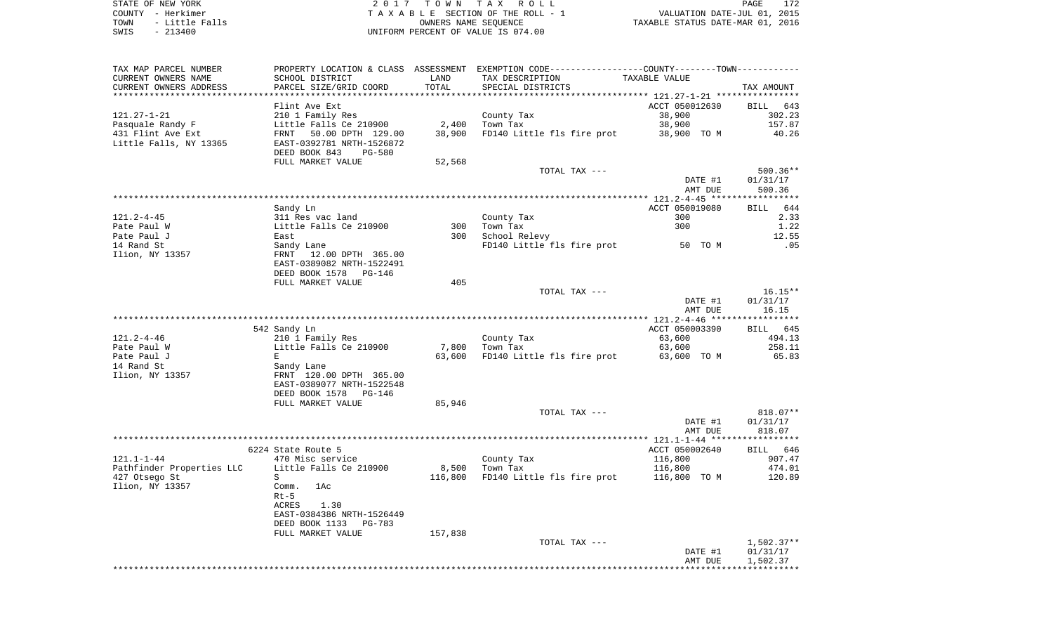| STATE OF NEW YORK      | 2017 TOWN TAX ROLL                  | 172<br>PAGE                      |
|------------------------|-------------------------------------|----------------------------------|
| COUNTY – Herkimer      | TAXABLE SECTION OF THE ROLL - 1     | VALUATION DATE-JUL 01, 2015      |
| - Little Falls<br>TOWN | OWNERS NAME SEOUENCE                | TAXABLE STATUS DATE-MAR 01, 2016 |
| CMTC _ 213400          | INITEOPM DEPOEMT OF VALUE IS 074 00 |                                  |

SWIS - 213400 UNIFORM PERCENT OF VALUE IS 074.00

| TAX MAP PARCEL NUMBER      |                                |         | PROPERTY LOCATION & CLASS ASSESSMENT EXEMPTION CODE----------------COUNTY--------TOWN---------- |                |              |
|----------------------------|--------------------------------|---------|-------------------------------------------------------------------------------------------------|----------------|--------------|
| CURRENT OWNERS NAME        | SCHOOL DISTRICT                | LAND    | TAX DESCRIPTION                                                                                 | TAXABLE VALUE  |              |
| CURRENT OWNERS ADDRESS     | PARCEL SIZE/GRID COORD         | TOTAL   | SPECIAL DISTRICTS                                                                               |                | TAX AMOUNT   |
|                            |                                |         |                                                                                                 |                |              |
|                            | Flint Ave Ext                  |         |                                                                                                 | ACCT 050012630 | BILL 643     |
| $121.27 - 1 - 21$          | 210 1 Family Res               |         | County Tax                                                                                      | 38,900         | 302.23       |
| Pasquale Randy F           | Little Falls Ce 210900         |         | 2,400 Town Tax                                                                                  | 38,900         | 157.87       |
| 431 Flint Ave Ext          | FRNT 50.00 DPTH 129.00         | 38,900  | FD140 Little fls fire prot                                                                      | 38,900 TO M    | 40.26        |
| Little Falls, NY 13365     | EAST-0392781 NRTH-1526872      |         |                                                                                                 |                |              |
|                            | DEED BOOK 843<br><b>PG-580</b> |         |                                                                                                 |                |              |
|                            | FULL MARKET VALUE              | 52,568  |                                                                                                 |                |              |
|                            |                                |         | TOTAL TAX ---                                                                                   |                | $500.36**$   |
|                            |                                |         |                                                                                                 | DATE #1        | 01/31/17     |
|                            |                                |         |                                                                                                 | AMT DUE        | 500.36       |
|                            |                                |         |                                                                                                 |                |              |
|                            | Sandy Ln                       |         |                                                                                                 | ACCT 050019080 | BILL 644     |
| $121.2 - 4 - 45$           | 311 Res vac land               |         | County Tax                                                                                      | 300            | 2.33         |
| Pate Paul W                | Little Falls Ce 210900         |         | 300 Town Tax                                                                                    | 300            | 1.22         |
| Pate Paul J                | East                           | 300     | School Relevy                                                                                   |                | 12.55        |
| 14 Rand St                 | Sandy Lane                     |         | FD140 Little fls fire prot 50 TO M                                                              |                | .05          |
| Ilion, NY 13357            | FRNT 12.00 DPTH 365.00         |         |                                                                                                 |                |              |
|                            | EAST-0389082 NRTH-1522491      |         |                                                                                                 |                |              |
|                            | DEED BOOK 1578<br>PG-146       |         |                                                                                                 |                |              |
|                            | FULL MARKET VALUE              | 405     |                                                                                                 |                |              |
|                            |                                |         | TOTAL TAX ---                                                                                   |                | $16.15**$    |
|                            |                                |         |                                                                                                 | DATE #1        | 01/31/17     |
|                            |                                |         |                                                                                                 | AMT DUE        | 16.15        |
|                            |                                |         |                                                                                                 |                |              |
|                            | 542 Sandy Ln                   |         |                                                                                                 | ACCT 050003390 | BILL 645     |
| $121.2 - 4 - 46$           | 210 1 Family Res               |         |                                                                                                 | 63,600         | 494.13       |
|                            | Little Falls Ce 210900         |         | County Tax<br>7,800 Town Tax                                                                    | 63,600         | 258.11       |
| Pate Paul W<br>Pate Paul J | E                              | 63,600  | FD140 Little fls fire prot                                                                      |                | 65.83        |
|                            |                                |         |                                                                                                 | 63,600 TO M    |              |
| 14 Rand St                 | Sandy Lane                     |         |                                                                                                 |                |              |
| Ilion, NY 13357            | FRNT 120.00 DPTH 365.00        |         |                                                                                                 |                |              |
|                            | EAST-0389077 NRTH-1522548      |         |                                                                                                 |                |              |
|                            | DEED BOOK 1578<br>PG-146       |         |                                                                                                 |                |              |
|                            | FULL MARKET VALUE              | 85,946  |                                                                                                 |                |              |
|                            |                                |         | TOTAL TAX ---                                                                                   |                | 818.07**     |
|                            |                                |         |                                                                                                 | DATE #1        | 01/31/17     |
|                            |                                |         |                                                                                                 | AMT DUE        | 818.07       |
|                            |                                |         |                                                                                                 |                |              |
|                            | 6224 State Route 5             |         |                                                                                                 | ACCT 050002640 | BILL 646     |
| $121.1 - 1 - 44$           | 470 Misc service               |         | County Tax                                                                                      | 116,800        | 907.47       |
| Pathfinder Properties LLC  | Little Falls Ce 210900         | 8,500   | Town Tax                                                                                        | 116,800        | 474.01       |
| 427 Otsego St              | S                              | 116,800 | FD140 Little fls fire prot                                                                      | 116,800 TO M   | 120.89       |
| Ilion, NY 13357            | Comm. 1Ac                      |         |                                                                                                 |                |              |
|                            | $Rt-5$                         |         |                                                                                                 |                |              |
|                            | 1.30<br>ACRES                  |         |                                                                                                 |                |              |
|                            | EAST-0384386 NRTH-1526449      |         |                                                                                                 |                |              |
|                            | DEED BOOK 1133<br>PG-783       |         |                                                                                                 |                |              |
|                            | FULL MARKET VALUE              | 157,838 |                                                                                                 |                |              |
|                            |                                |         | TOTAL TAX ---                                                                                   |                | $1,502.37**$ |
|                            |                                |         |                                                                                                 | DATE #1        | 01/31/17     |
|                            |                                |         |                                                                                                 | AMT DUE        | 1,502.37     |
|                            |                                |         |                                                                                                 |                |              |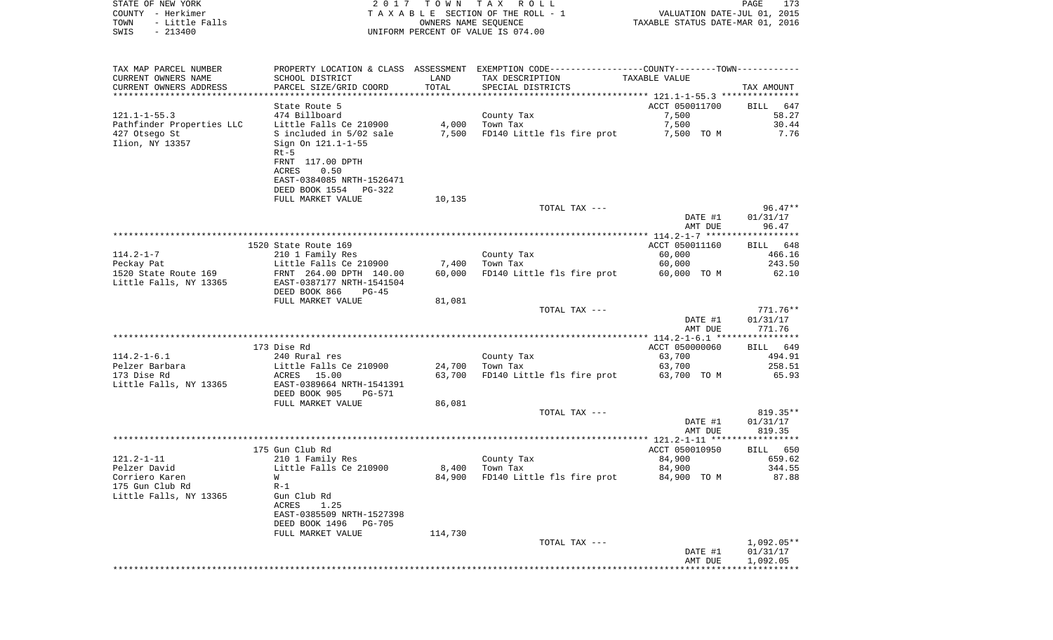| STATE OF NEW YORK<br>COUNTY - Herkimer<br>TOWN<br>- Little Falls |                                                                                   | OWNERS NAME SEQUENCE | 2017 TOWN TAX ROLL<br>TAXABLE SECTION OF THE ROLL - 1                                         | VALUATION DATE-JUL 01, 2015<br>TAXABLE STATUS DATE-MAR 01, 2016 | PAGE<br>173        |
|------------------------------------------------------------------|-----------------------------------------------------------------------------------|----------------------|-----------------------------------------------------------------------------------------------|-----------------------------------------------------------------|--------------------|
| $-213400$<br>SWIS                                                |                                                                                   |                      | UNIFORM PERCENT OF VALUE IS 074.00                                                            |                                                                 |                    |
| TAX MAP PARCEL NUMBER                                            |                                                                                   |                      | PROPERTY LOCATION & CLASS ASSESSMENT EXEMPTION CODE---------------COUNTY-------TOWN---------- |                                                                 |                    |
| CURRENT OWNERS NAME                                              | SCHOOL DISTRICT                                                                   | LAND                 | TAX DESCRIPTION                                                                               | TAXABLE VALUE                                                   |                    |
| CURRENT OWNERS ADDRESS<br>**************************             | PARCEL SIZE/GRID COORD                                                            | TOTAL                | SPECIAL DISTRICTS                                                                             |                                                                 | TAX AMOUNT         |
|                                                                  | State Route 5                                                                     |                      |                                                                                               | ACCT 050011700                                                  | BILL<br>647        |
| 121.1–1–55.3                                                     | 474 Billboard                                                                     |                      | County Tax                                                                                    | 7,500                                                           | 58.27              |
| Pathfinder Properties LLC                                        | Little Falls Ce 210900                                                            | 4,000                | Town Tax                                                                                      | 7,500                                                           | 30.44              |
| 427 Otsego St<br>Ilion, NY 13357                                 | S included in 5/02 sale 7,500<br>Sign On 121.1-1-55<br>$Rt-5$<br>FRNT 117.00 DPTH |                      | FD140 Little fls fire prot                                                                    | 7,500 TO M                                                      | 7.76               |
|                                                                  | ACRES<br>0.50<br>EAST-0384085 NRTH-1526471<br>DEED BOOK 1554 PG-322               |                      |                                                                                               |                                                                 |                    |
|                                                                  | FULL MARKET VALUE                                                                 | 10,135               |                                                                                               |                                                                 |                    |
|                                                                  |                                                                                   |                      | TOTAL TAX ---                                                                                 |                                                                 | $96.47**$          |
|                                                                  |                                                                                   |                      |                                                                                               | DATE #1                                                         | 01/31/17           |
|                                                                  |                                                                                   |                      |                                                                                               | AMT DUE                                                         | 96.47              |
|                                                                  | 1520 State Route 169                                                              |                      |                                                                                               | ACCT 050011160                                                  | BILL 648           |
| 114.2-1-7                                                        | 210 1 Family Res                                                                  |                      | County Tax                                                                                    | 60,000                                                          | 466.16             |
|                                                                  |                                                                                   | 7,400                | Town Tax                                                                                      | 60,000                                                          | 243.50             |
|                                                                  |                                                                                   | 60,000               | FD140 Little fls fire prot                                                                    | 60,000 TO M                                                     | 62.10              |
| Little Falls, NY 13365                                           | EAST-0387177 NRTH-1541504                                                         |                      |                                                                                               |                                                                 |                    |
|                                                                  | DEED BOOK 866<br>$PG-45$<br>FULL MARKET VALUE                                     | 81,081               |                                                                                               |                                                                 |                    |
|                                                                  |                                                                                   |                      | TOTAL TAX ---                                                                                 |                                                                 | 771.76**           |
|                                                                  |                                                                                   |                      |                                                                                               | DATE #1                                                         | 01/31/17<br>771.76 |
|                                                                  |                                                                                   |                      |                                                                                               | AMT DUE                                                         |                    |
|                                                                  | 173 Dise Rd                                                                       |                      |                                                                                               | ACCT 050000060                                                  | BILL 649           |
| 114.2-1-6.1                                                      | 240 Rural res                                                                     |                      | County Tax                                                                                    | 63,700                                                          | 494.91             |
| Pelzer Barbara                                                   | Little Falls Ce 210900                                                            | 24,700               | Town Tax                                                                                      | 63,700                                                          | 258.51             |
| 173 Dise Rd                                                      | ACRES 15.00                                                                       | 63,700               | FD140 Little fls fire prot                                                                    | 63,700 TO M                                                     | 65.93              |
| Little Falls, NY 13365                                           | EAST-0389664 NRTH-1541391                                                         |                      |                                                                                               |                                                                 |                    |
|                                                                  | DEED BOOK 905<br>PG-571<br>FULL MARKET VALUE                                      | 86,081               |                                                                                               |                                                                 |                    |
|                                                                  |                                                                                   |                      | TOTAL TAX ---                                                                                 |                                                                 | 819.35**           |
|                                                                  |                                                                                   |                      |                                                                                               | DATE #1                                                         | 01/31/17           |
|                                                                  |                                                                                   |                      |                                                                                               | AMT DUE                                                         | 819.35             |
|                                                                  |                                                                                   |                      |                                                                                               |                                                                 |                    |
| $121.2 - 1 - 11$                                                 | 175 Gun Club Rd<br>210 1 Family Res                                               |                      |                                                                                               | ACCT 050010950<br>84,900                                        | BILL 650<br>659.62 |
| Pelzer David                                                     | Little Falls Ce 210900                                                            |                      | County Tax<br>8,400 Town Tax                                                                  | 84,900                                                          | 344.55             |
| Corriero Karen                                                   | W                                                                                 | 84,900               | FD140 Little fls fire prot                                                                    | 84,900 TO M                                                     | 87.88              |
| 175 Gun Club Rd                                                  | $R-1$                                                                             |                      |                                                                                               |                                                                 |                    |
| Little Falls, NY 13365                                           | Gun Club Rd<br>ACRES<br>1.25                                                      |                      |                                                                                               |                                                                 |                    |
|                                                                  | EAST-0385509 NRTH-1527398<br>DEED BOOK 1496<br>PG-705                             |                      |                                                                                               |                                                                 |                    |
|                                                                  | FULL MARKET VALUE                                                                 | 114,730              |                                                                                               |                                                                 |                    |
|                                                                  |                                                                                   |                      | TOTAL TAX ---                                                                                 |                                                                 | $1,092.05**$       |
|                                                                  |                                                                                   |                      |                                                                                               | DATE #1                                                         | 01/31/17           |
|                                                                  |                                                                                   |                      |                                                                                               | AMT DUE                                                         | 1,092.05           |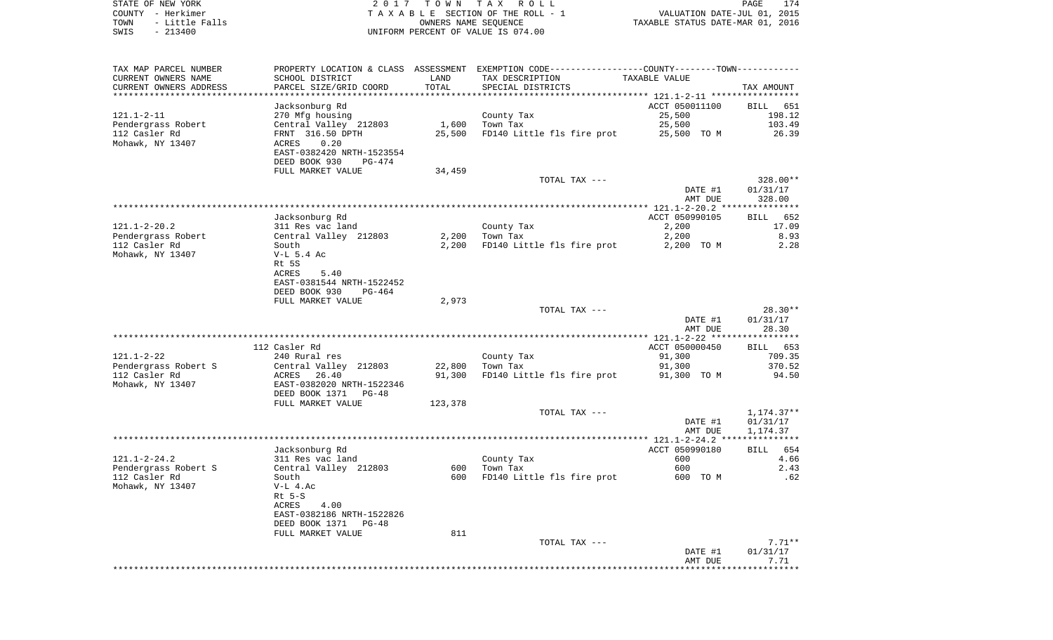STATE OF NEW YORK **EXECUTE:**  $2017$  TOWN TAX ROLL COUNTY - Herkimer<br>
T A X A B L E SECTION OF THE ROLL - 1<br>
TOWN - Little Falls<br>
SWIS - 213400 - 2013400 - UNIFORM PERCENT OF VALUE IS 074.00 TOWN - Little Falls OWNERS NAME SEQUENCE TAXABLE STATUS DATE-MAR 01, 2016 SWIS - 213400 UNIFORM PERCENT OF VALUE IS 074.00

|                                                                               |                                                                                                       |                  |                                                                                                                  | AMT DUE                                          | 7.71                                        |
|-------------------------------------------------------------------------------|-------------------------------------------------------------------------------------------------------|------------------|------------------------------------------------------------------------------------------------------------------|--------------------------------------------------|---------------------------------------------|
|                                                                               |                                                                                                       |                  |                                                                                                                  | DATE #1                                          | 01/31/17                                    |
|                                                                               | FULL MARKET VALUE                                                                                     | 811              | TOTAL TAX ---                                                                                                    |                                                  | $7.71**$                                    |
|                                                                               | $Rt$ 5-S<br>4.00<br>ACRES<br>EAST-0382186 NRTH-1522826<br>DEED BOOK 1371<br>$PG-48$                   |                  |                                                                                                                  |                                                  |                                             |
| 112 Casler Rd<br>Mohawk, NY 13407                                             | South<br>$V-L$ 4.Ac                                                                                   | 600              | FD140 Little fls fire prot                                                                                       | 600 TO M                                         | .62                                         |
| $121.1 - 2 - 24.2$<br>Pendergrass Robert S                                    | Jacksonburg Rd<br>311 Res vac land<br>Central Valley 212803                                           | 600              | County Tax<br>Town Tax                                                                                           | ACCT 050990180<br>600<br>600                     | 654<br><b>BILL</b><br>4.66<br>2.43          |
|                                                                               |                                                                                                       |                  |                                                                                                                  | DATE #1<br>AMT DUE                               | 01/31/17<br>1,174.37                        |
|                                                                               | FULL MARKET VALUE                                                                                     | 123,378          | TOTAL TAX ---                                                                                                    |                                                  | $1,174.37**$                                |
| Mohawk, NY 13407                                                              | EAST-0382020 NRTH-1522346<br>DEED BOOK 1371 PG-48                                                     |                  |                                                                                                                  |                                                  |                                             |
| Pendergrass Robert S<br>112 Casler Rd                                         | Central Valley 212803<br>ACRES<br>26.40                                                               | 22,800<br>91,300 | Town Tax<br>FD140 Little fls fire prot                                                                           | 91,300<br>91,300 TO M                            | 370.52<br>94.50                             |
| $121.1 - 2 - 22$                                                              | 112 Casler Rd<br>240 Rural res                                                                        |                  | County Tax                                                                                                       | ACCT 050000450<br>91,300                         | BILL 653<br>709.35                          |
|                                                                               |                                                                                                       |                  |                                                                                                                  | DATE #1<br>AMT DUE                               | 01/31/17<br>28.30                           |
|                                                                               | Rt 5S<br>ACRES<br>5.40<br>EAST-0381544 NRTH-1522452<br>DEED BOOK 930<br>$PG-464$<br>FULL MARKET VALUE | 2,973            | TOTAL TAX ---                                                                                                    |                                                  | $28.30**$                                   |
| $121.1 - 2 - 20.2$<br>Pendergrass Robert<br>112 Casler Rd<br>Mohawk, NY 13407 | Jacksonburg Rd<br>311 Res vac land<br>Central Valley 212803<br>South<br>$V-L$ 5.4 Ac                  | 2,200<br>2,200   | County Tax<br>Town Tax<br>FD140 Little fls fire prot                                                             | ACCT 050990105<br>2,200<br>2,200<br>2,200 TO M   | 652<br><b>BILL</b><br>17.09<br>8.93<br>2.28 |
|                                                                               |                                                                                                       |                  |                                                                                                                  | DATE #1<br>AMT DUE<br>*** $121.1 - 2 - 20.2$ *** | 01/31/17<br>328.00<br>**********            |
|                                                                               | DEED BOOK 930<br>PG-474<br>FULL MARKET VALUE                                                          | 34,459           | TOTAL TAX ---                                                                                                    |                                                  | 328.00**                                    |
| 112 Casler Rd<br>Mohawk, NY 13407                                             | FRNT 316.50 DPTH<br>ACRES<br>0.20<br>EAST-0382420 NRTH-1523554                                        | 25,500           | FD140 Little fls fire prot                                                                                       | 25,500 TO M                                      | 26.39                                       |
| $121.1 - 2 - 11$<br>Pendergrass Robert                                        | Jacksonburg Rd<br>270 Mfg housing<br>Central Valley 212803                                            | 1,600            | County Tax<br>Town Tax                                                                                           | ACCT 050011100<br>25,500<br>25,500               | BILL 651<br>198.12<br>103.49                |
| CURRENT OWNERS ADDRESS                                                        | PARCEL SIZE/GRID COORD                                                                                | TOTAL            | SPECIAL DISTRICTS<br>****************************                                                                |                                                  | TAX AMOUNT                                  |
| TAX MAP PARCEL NUMBER<br>CURRENT OWNERS NAME                                  | SCHOOL DISTRICT                                                                                       | LAND             | PROPERTY LOCATION & CLASS ASSESSMENT EXEMPTION CODE---------------COUNTY-------TOWN----------<br>TAX DESCRIPTION | TAXABLE VALUE                                    |                                             |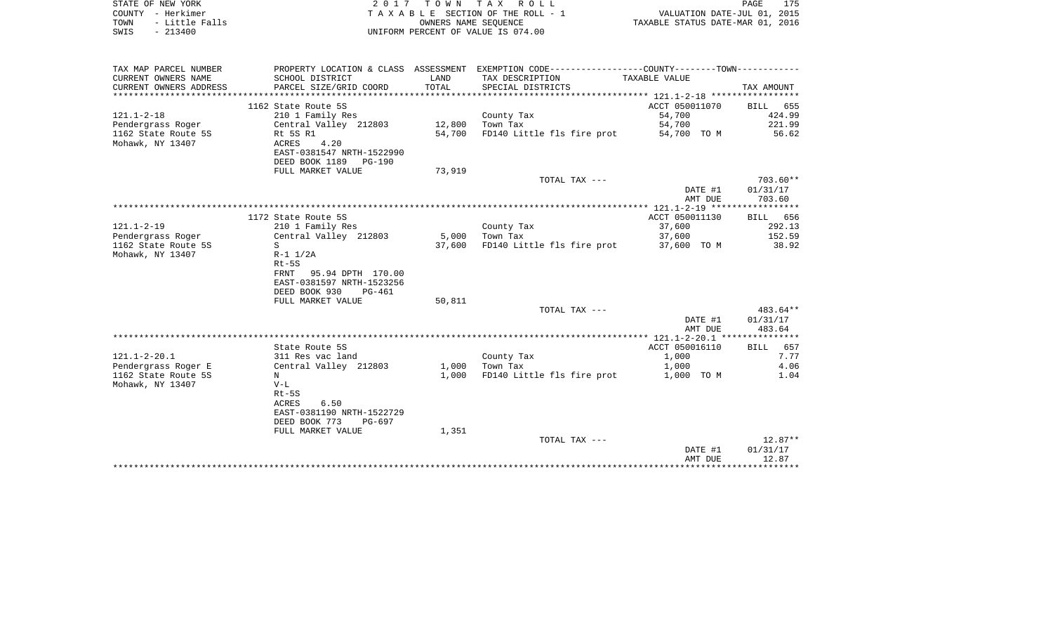| STATE OF NEW YORK<br>- Herkimer<br>COUNTY<br>- Little Falls<br>TOWN |                           | T O W N<br>OWNERS NAME SEOUENCE | T A X<br>R O L L<br>TAXABLE SECTION OF THE ROLL - 1 | VALUATION DATE-JUL 01, 2015<br>TAXABLE STATUS DATE-MAR 01, 2016 | 175<br>PAGE |
|---------------------------------------------------------------------|---------------------------|---------------------------------|-----------------------------------------------------|-----------------------------------------------------------------|-------------|
| $-213400$<br>SWIS                                                   |                           |                                 | UNIFORM PERCENT OF VALUE IS 074.00                  |                                                                 |             |
|                                                                     |                           |                                 |                                                     |                                                                 |             |
| TAX MAP PARCEL NUMBER                                               | PROPERTY LOCATION & CLASS | ASSESSMENT                      | EXEMPTION CODE---                                   | -------------COUNTY--------TOWN--                               |             |
| CURRENT OWNERS NAME                                                 | SCHOOL DISTRICT           | LAND                            | TAX DESCRIPTION                                     | TAXABLE VALUE                                                   |             |
| CURRENT OWNERS ADDRESS                                              | PARCEL SIZE/GRID COORD    | TOTAL                           | SPECIAL DISTRICTS                                   |                                                                 | TAX AMOUNT  |
|                                                                     |                           |                                 |                                                     |                                                                 |             |
|                                                                     | 1162 State Route 5S       |                                 |                                                     | ACCT 050011070                                                  | 655<br>BILL |
| $121.1 - 2 - 18$                                                    | 210 1 Family Res          |                                 | County Tax                                          | 54,700                                                          | 424.99      |
| Pendergrass Roger                                                   | Central Valley 212803     | 12,800                          | Town Tax                                            | 54,700                                                          | 221.99      |
| 1162 State Route 5S                                                 | Rt 5S R1                  | 54,700                          | FD140 Little fls fire prot                          | 54,700 TO M                                                     | 56.62       |
| Mohawk, NY 13407                                                    | 4.20<br>ACRES             |                                 |                                                     |                                                                 |             |
|                                                                     | EAST-0381547 NRTH-1522990 |                                 |                                                     |                                                                 |             |

| 73,919<br>FULL MARKET VALUE<br>TOTAL TAX ---<br>01/31/17<br>DATE #1<br>703.60<br>AMT DUE<br>ACCT 050011130<br>1172 State Route 5S<br>37,600<br>210 1 Family Res<br>County Tax<br>Central Valley 212803<br>Pendergrass Roger<br>5,000<br>Town Tax<br>37,600<br>FD140 Little fls fire prot<br>S<br>37,600<br>37,600 TO M<br>$R-1$ $1/2A$<br>$Rt-5S$<br>95.94 DPTH 170.00<br>FRNT<br>EAST-0381597 NRTH-1523256<br>DEED BOOK 930<br>PG-461<br>50,811<br>FULL MARKET VALUE<br>$483.64**$<br>TOTAL TAX --- | DEED BOOK 1189<br>PG-190 |  |         |             |
|------------------------------------------------------------------------------------------------------------------------------------------------------------------------------------------------------------------------------------------------------------------------------------------------------------------------------------------------------------------------------------------------------------------------------------------------------------------------------------------------------|--------------------------|--|---------|-------------|
| $121.1 - 2 - 19$<br>1162 State Route 5S<br>Mohawk, NY 13407                                                                                                                                                                                                                                                                                                                                                                                                                                          |                          |  |         |             |
|                                                                                                                                                                                                                                                                                                                                                                                                                                                                                                      |                          |  |         | $703.60**$  |
|                                                                                                                                                                                                                                                                                                                                                                                                                                                                                                      |                          |  |         |             |
|                                                                                                                                                                                                                                                                                                                                                                                                                                                                                                      |                          |  |         |             |
|                                                                                                                                                                                                                                                                                                                                                                                                                                                                                                      |                          |  |         |             |
|                                                                                                                                                                                                                                                                                                                                                                                                                                                                                                      |                          |  |         | BILL 656    |
|                                                                                                                                                                                                                                                                                                                                                                                                                                                                                                      |                          |  |         | 292.13      |
|                                                                                                                                                                                                                                                                                                                                                                                                                                                                                                      |                          |  |         | 152.59      |
|                                                                                                                                                                                                                                                                                                                                                                                                                                                                                                      |                          |  |         | 38.92       |
|                                                                                                                                                                                                                                                                                                                                                                                                                                                                                                      |                          |  |         |             |
|                                                                                                                                                                                                                                                                                                                                                                                                                                                                                                      |                          |  |         |             |
|                                                                                                                                                                                                                                                                                                                                                                                                                                                                                                      |                          |  |         |             |
|                                                                                                                                                                                                                                                                                                                                                                                                                                                                                                      |                          |  |         |             |
|                                                                                                                                                                                                                                                                                                                                                                                                                                                                                                      |                          |  |         |             |
|                                                                                                                                                                                                                                                                                                                                                                                                                                                                                                      |                          |  |         |             |
|                                                                                                                                                                                                                                                                                                                                                                                                                                                                                                      |                          |  |         |             |
|                                                                                                                                                                                                                                                                                                                                                                                                                                                                                                      |                          |  | DATE #1 | 01/31/17    |
| 483.64<br>AMT DUE                                                                                                                                                                                                                                                                                                                                                                                                                                                                                    |                          |  |         |             |
| ACCT 050016110                                                                                                                                                                                                                                                                                                                                                                                                                                                                                       |                          |  |         |             |
| BILL<br>State Route 5S<br>1,000<br>$121.1 - 2 - 20.1$<br>311 Res vac land                                                                                                                                                                                                                                                                                                                                                                                                                            |                          |  |         | 657<br>7.77 |
| County Tax<br>Pendergrass Roger E<br>Central Valley 212803<br>Town Tax<br>1,000<br>1,000                                                                                                                                                                                                                                                                                                                                                                                                             |                          |  |         | 4.06        |
| FD140 Little fls fire prot<br>1162 State Route 5S<br>1,000<br>1,000 TO M<br>N                                                                                                                                                                                                                                                                                                                                                                                                                        |                          |  |         | 1.04        |
| Mohawk, NY 13407<br>$V-L$                                                                                                                                                                                                                                                                                                                                                                                                                                                                            |                          |  |         |             |
| $Rt-5S$                                                                                                                                                                                                                                                                                                                                                                                                                                                                                              |                          |  |         |             |
| 6.50<br>ACRES                                                                                                                                                                                                                                                                                                                                                                                                                                                                                        |                          |  |         |             |
| EAST-0381190 NRTH-1522729                                                                                                                                                                                                                                                                                                                                                                                                                                                                            |                          |  |         |             |
| DEED BOOK 773<br>PG-697                                                                                                                                                                                                                                                                                                                                                                                                                                                                              |                          |  |         |             |
| FULL MARKET VALUE<br>1,351                                                                                                                                                                                                                                                                                                                                                                                                                                                                           |                          |  |         |             |
| TOTAL TAX ---                                                                                                                                                                                                                                                                                                                                                                                                                                                                                        |                          |  |         | $12.87**$   |
| 01/31/17<br>DATE #1                                                                                                                                                                                                                                                                                                                                                                                                                                                                                  |                          |  |         |             |
| 12.87<br>AMT DUE                                                                                                                                                                                                                                                                                                                                                                                                                                                                                     |                          |  |         |             |
|                                                                                                                                                                                                                                                                                                                                                                                                                                                                                                      |                          |  |         |             |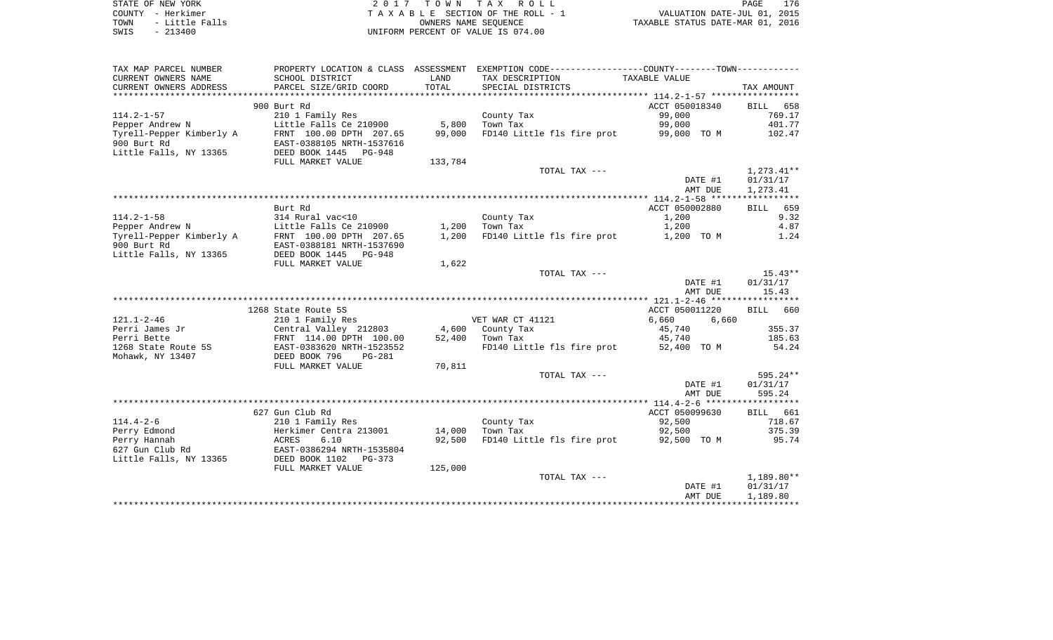| STATE OF NEW YORK |  |           |                |
|-------------------|--|-----------|----------------|
| COUNTY - Herkimer |  |           |                |
| TOWN              |  |           | - Little Falls |
| SWIS              |  | $-213400$ |                |

STATE OF NEW YORK 2 0 1 7 T O W N T A X R O L L PAGE 176TA X A B L E SECTION OF THE ROLL - 1 TOWN - Little Falls OWNERS NAME SEQUENCE TAXABLE STATUS DATE-MAR 01, 2016 SWIS - 213400 UNIFORM PERCENT OF VALUE IS 074.00

| TAX MAP PARCEL NUMBER    | PROPERTY LOCATION & CLASS ASSESSMENT |         | EXEMPTION CODE-----------------COUNTY-------TOWN----------- |                |                    |
|--------------------------|--------------------------------------|---------|-------------------------------------------------------------|----------------|--------------------|
| CURRENT OWNERS NAME      | SCHOOL DISTRICT                      | LAND    | TAX DESCRIPTION                                             | TAXABLE VALUE  |                    |
| CURRENT OWNERS ADDRESS   | PARCEL SIZE/GRID COORD               | TOTAL   | SPECIAL DISTRICTS                                           |                | TAX AMOUNT         |
|                          |                                      |         |                                                             |                |                    |
|                          | 900 Burt Rd                          |         |                                                             | ACCT 050018340 | <b>BILL</b><br>658 |
|                          |                                      |         |                                                             |                |                    |
| $114.2 - 1 - 57$         | 210 1 Family Res                     |         | County Tax                                                  | 99,000         | 769.17             |
| Pepper Andrew N          | Little Falls Ce 210900               | 5,800   | Town Tax                                                    | 99,000         | 401.77             |
| Tyrell-Pepper Kimberly A | FRNT 100.00 DPTH 207.65              | 99,000  | FD140 Little fls fire prot                                  | 99,000 TO M    | 102.47             |
| 900 Burt Rd              | EAST-0388105 NRTH-1537616            |         |                                                             |                |                    |
| Little Falls, NY 13365   | DEED BOOK 1445<br><b>PG-948</b>      |         |                                                             |                |                    |
|                          | FULL MARKET VALUE                    | 133,784 |                                                             |                |                    |
|                          |                                      |         | TOTAL TAX ---                                               |                | 1,273.41**         |
|                          |                                      |         |                                                             | DATE #1        | 01/31/17           |
|                          |                                      |         |                                                             | AMT DUE        | 1,273.41           |
|                          |                                      |         |                                                             |                |                    |
|                          | Burt Rd                              |         |                                                             | ACCT 050002880 | BILL 659           |
| $114.2 - 1 - 58$         | 314 Rural vac<10                     |         | County Tax                                                  | 1,200          | 9.32               |
| Pepper Andrew N          | Little Falls Ce 210900               | 1,200   | Town Tax                                                    | 1,200          | 4.87               |
|                          |                                      |         |                                                             |                |                    |
| Tyrell-Pepper Kimberly A | FRNT 100.00 DPTH 207.65              | 1,200   | FD140 Little fls fire prot                                  | 1,200 TO M     | 1.24               |
| 900 Burt Rd              | EAST-0388181 NRTH-1537690            |         |                                                             |                |                    |
| Little Falls, NY 13365   | DEED BOOK 1445 PG-948                |         |                                                             |                |                    |
|                          | FULL MARKET VALUE                    | 1,622   |                                                             |                |                    |
|                          |                                      |         | TOTAL TAX ---                                               |                | $15.43**$          |
|                          |                                      |         |                                                             | DATE #1        | 01/31/17           |
|                          |                                      |         |                                                             | AMT DUE        | 15.43              |
|                          |                                      |         |                                                             |                |                    |
|                          | 1268 State Route 5S                  |         |                                                             | ACCT 050011220 | BILL 660           |
| $121.1 - 2 - 46$         | 210 1 Family Res                     |         | VET WAR CT 41121                                            | 6,660<br>6,660 |                    |
| Perri James Jr           | Central Valley 212803                |         | 4,600 County Tax                                            | 45,740         | 355.37             |
| Perri Bette              | FRNT 114.00 DPTH 100.00              | 52,400  | Town Tax                                                    | 45,740         | 185.63             |
| 1268 State Route 5S      | EAST-0383620 NRTH-1523552            |         | FD140 Little fls fire prot                                  | 52,400 TO M    | 54.24              |
| Mohawk, NY 13407         | DEED BOOK 796<br>$PG-281$            |         |                                                             |                |                    |
|                          | FULL MARKET VALUE                    | 70,811  |                                                             |                |                    |
|                          |                                      |         | TOTAL TAX ---                                               |                | 595.24**           |
|                          |                                      |         |                                                             | DATE #1        | 01/31/17           |
|                          |                                      |         |                                                             | AMT DUE        | 595.24             |
|                          |                                      |         |                                                             |                |                    |
|                          |                                      |         |                                                             |                |                    |
|                          | 627 Gun Club Rd                      |         |                                                             | ACCT 050099630 | BILL 661           |
| $114.4 - 2 - 6$          | 210 1 Family Res                     |         | County Tax                                                  | 92,500         | 718.67             |
| Perry Edmond             | Herkimer Centra 213001               | 14,000  | Town Tax                                                    | 92,500         | 375.39             |
| Perry Hannah             | 6.10<br>ACRES                        | 92,500  | FD140 Little fls fire prot                                  | 92,500 TO M    | 95.74              |
| 627 Gun Club Rd          | EAST-0386294 NRTH-1535804            |         |                                                             |                |                    |
| Little Falls, NY 13365   | DEED BOOK 1102<br>$PG-373$           |         |                                                             |                |                    |
|                          | FULL MARKET VALUE                    | 125,000 |                                                             |                |                    |
|                          |                                      |         | TOTAL TAX ---                                               |                | $1,189.80**$       |
|                          |                                      |         |                                                             | DATE #1        | 01/31/17           |
|                          |                                      |         |                                                             | AMT DUE        | 1,189.80           |
|                          |                                      |         |                                                             |                |                    |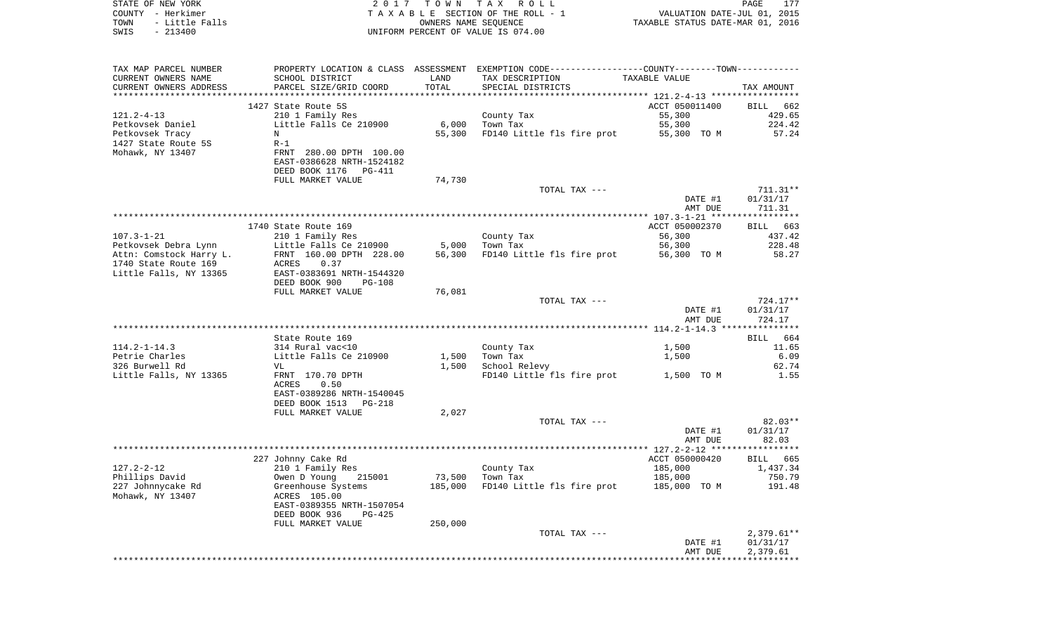| STATE OF NEW YORK<br>COUNTY - Herkimer<br>- Little Falls<br>TOWN<br>$-213400$<br>SWIS | 2017                                         | OWNERS NAME SEQUENCE | TOWN TAX ROLL<br>TAXABLE SECTION OF THE ROLL - 1<br>UNIFORM PERCENT OF VALUE IS 074.00        | VALUATION DATE-JUL 01, 2015<br>TAXABLE STATUS DATE-MAR 01, 2016 | PAGE<br>177       |
|---------------------------------------------------------------------------------------|----------------------------------------------|----------------------|-----------------------------------------------------------------------------------------------|-----------------------------------------------------------------|-------------------|
|                                                                                       |                                              |                      |                                                                                               |                                                                 |                   |
| TAX MAP PARCEL NUMBER                                                                 |                                              |                      | PROPERTY LOCATION & CLASS ASSESSMENT EXEMPTION CODE---------------COUNTY-------TOWN---------- |                                                                 |                   |
| CURRENT OWNERS NAME                                                                   | SCHOOL DISTRICT                              | LAND                 | TAX DESCRIPTION                                                                               | TAXABLE VALUE                                                   |                   |
| CURRENT OWNERS ADDRESS                                                                | PARCEL SIZE/GRID COORD                       | TOTAL                | SPECIAL DISTRICTS                                                                             |                                                                 | TAX AMOUNT        |
| ***********************                                                               |                                              |                      |                                                                                               |                                                                 |                   |
|                                                                                       | 1427 State Route 5S                          |                      |                                                                                               | ACCT 050011400                                                  | BILL 662          |
| $121.2 - 4 - 13$                                                                      | 210 1 Family Res                             |                      | County Tax                                                                                    | 55,300                                                          | 429.65            |
| Petkovsek Daniel<br>Petkovsek Tracy                                                   | Little Falls Ce 210900<br>N                  | 6,000<br>55,300      | Town Tax<br>FD140 Little fls fire prot                                                        | 55,300<br>55,300 TO M                                           | 224.42<br>57.24   |
| 1427 State Route 5S                                                                   | $R-1$                                        |                      |                                                                                               |                                                                 |                   |
| Mohawk, NY 13407                                                                      | FRNT 280.00 DPTH 100.00                      |                      |                                                                                               |                                                                 |                   |
|                                                                                       | EAST-0386628 NRTH-1524182                    |                      |                                                                                               |                                                                 |                   |
|                                                                                       | DEED BOOK 1176<br>PG-411                     |                      |                                                                                               |                                                                 |                   |
|                                                                                       | FULL MARKET VALUE                            | 74,730               |                                                                                               |                                                                 |                   |
|                                                                                       |                                              |                      | TOTAL TAX ---                                                                                 |                                                                 | 711.31**          |
|                                                                                       |                                              |                      |                                                                                               | DATE #1                                                         | 01/31/17          |
|                                                                                       |                                              |                      |                                                                                               | AMT DUE                                                         | 711.31            |
|                                                                                       | 1740 State Route 169                         |                      |                                                                                               | ACCT 050002370                                                  | BILL 663          |
| $107.3 - 1 - 21$                                                                      | 210 1 Family Res                             |                      | County Tax                                                                                    | 56,300                                                          | 437.42            |
| Petkovsek Debra Lynn                                                                  | Little Falls Ce 210900                       | 5,000                | Town Tax                                                                                      | 56,300                                                          | 228.48            |
| Attn: Comstock Harry L.                                                               | FRNT 160.00 DPTH 228.00                      | 56,300               | FD140 Little fls fire prot                                                                    | 56,300 TO M                                                     | 58.27             |
| 1740 State Route 169                                                                  | ACRES<br>0.37                                |                      |                                                                                               |                                                                 |                   |
| Little Falls, NY 13365                                                                | EAST-0383691 NRTH-1544320                    |                      |                                                                                               |                                                                 |                   |
|                                                                                       | DEED BOOK 900<br>PG-108<br>FULL MARKET VALUE | 76,081               |                                                                                               |                                                                 |                   |
|                                                                                       |                                              |                      | TOTAL TAX ---                                                                                 |                                                                 | 724.17**          |
|                                                                                       |                                              |                      |                                                                                               | DATE #1                                                         | 01/31/17          |
|                                                                                       |                                              |                      |                                                                                               | AMT DUE                                                         | 724.17            |
|                                                                                       |                                              |                      |                                                                                               |                                                                 |                   |
|                                                                                       | State Route 169                              |                      |                                                                                               |                                                                 | BILL 664          |
| 114.2-1-14.3<br>Petrie Charles                                                        | 314 Rural vac<10                             |                      | County Tax                                                                                    | 1,500                                                           | 11.65             |
| 326 Burwell Rd                                                                        | Little Falls Ce 210900<br>VL                 | 1,500<br>1,500       | Town Tax<br>School Relevy                                                                     | 1,500                                                           | 6.09<br>62.74     |
| Little Falls, NY 13365                                                                | FRNT 170.70 DPTH                             |                      | FD140 Little fls fire prot                                                                    | 1,500 TO M                                                      | 1.55              |
|                                                                                       | ACRES<br>0.50                                |                      |                                                                                               |                                                                 |                   |
|                                                                                       | EAST-0389286 NRTH-1540045                    |                      |                                                                                               |                                                                 |                   |
|                                                                                       | DEED BOOK 1513<br>PG-218                     |                      |                                                                                               |                                                                 |                   |
|                                                                                       | FULL MARKET VALUE                            | 2,027                |                                                                                               |                                                                 |                   |
|                                                                                       |                                              |                      | TOTAL TAX ---                                                                                 |                                                                 | $82.03**$         |
|                                                                                       |                                              |                      |                                                                                               | DATE #1                                                         | 01/31/17<br>82.03 |
|                                                                                       |                                              |                      |                                                                                               | AMT DUE                                                         |                   |
|                                                                                       | 227 Johnny Cake Rd                           |                      |                                                                                               | ACCT 050000420                                                  | BILL 665          |
| 127.2-2-12                                                                            | 210 1 Family Res                             |                      | County Tax                                                                                    | 185,000                                                         | 1,437.34          |
| Phillips David                                                                        | Owen D Young<br>215001                       | 73,500               | Town Tax                                                                                      | 185,000                                                         | 750.79            |
| 227 Johnnycake Rd                                                                     | Greenhouse Systems                           | 185,000              | FD140 Little fls fire prot                                                                    | 185,000 TO M                                                    | 191.48            |
| Mohawk, NY 13407                                                                      | ACRES 105.00                                 |                      |                                                                                               |                                                                 |                   |
|                                                                                       | EAST-0389355 NRTH-1507054<br>$PG-425$        |                      |                                                                                               |                                                                 |                   |
|                                                                                       | DEED BOOK 936<br>FULL MARKET VALUE           | 250,000              |                                                                                               |                                                                 |                   |
|                                                                                       |                                              |                      | TOTAL TAX ---                                                                                 |                                                                 | $2,379.61**$      |
|                                                                                       |                                              |                      |                                                                                               | DATE #1                                                         | 01/31/17          |
|                                                                                       |                                              |                      |                                                                                               | AMT DUE                                                         | 2,379.61          |
|                                                                                       |                                              |                      |                                                                                               |                                                                 |                   |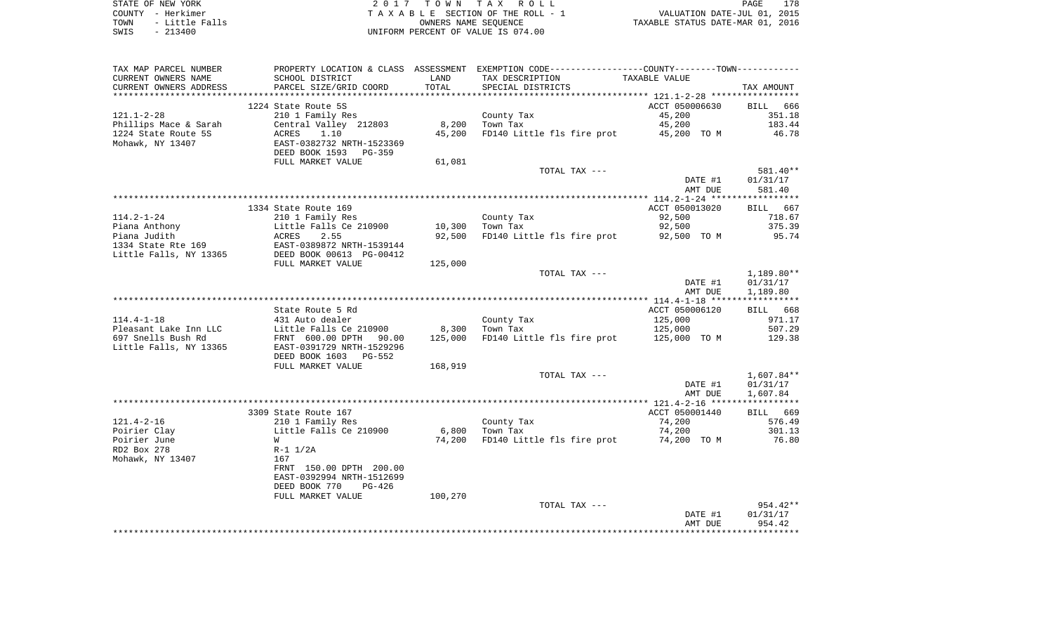| STATE OF NEW YORK      | 2017 TOWN TAX ROLL                 | 178<br>PAGE                      |
|------------------------|------------------------------------|----------------------------------|
| COUNTY - Herkimer      | TAXABLE SECTION OF THE ROLL - 1    | VALUATION DATE-JUL 01, 2015      |
| - Little Falls<br>TOWN | OWNERS NAME SEOUENCE               | TAXABLE STATUS DATE-MAR 01, 2016 |
| $-213400$<br>SWIS      | UNIFORM PERCENT OF VALUE IS 074.00 |                                  |

| TAX MAP PARCEL NUMBER  |                                                                   |         | PROPERTY LOCATION & CLASS ASSESSMENT EXEMPTION CODE---------------COUNTY-------TOWN---------- |                |              |
|------------------------|-------------------------------------------------------------------|---------|-----------------------------------------------------------------------------------------------|----------------|--------------|
| CURRENT OWNERS NAME    | SCHOOL DISTRICT                                                   | LAND    | TAX DESCRIPTION                                                                               | TAXABLE VALUE  |              |
| CURRENT OWNERS ADDRESS | PARCEL SIZE/GRID COORD                                            | TOTAL   | SPECIAL DISTRICTS                                                                             |                | TAX AMOUNT   |
| *******************    | *************************                                         |         |                                                                                               |                |              |
|                        | 1224 State Route 5S                                               |         |                                                                                               | ACCT 050006630 | BILL 666     |
| $121.1 - 2 - 28$       | 210 1 Family Res                                                  |         | County Tax                                                                                    | 45,200         | 351.18       |
| Phillips Mace & Sarah  | Central Valley 212803                                             |         | 8,200 Town Tax                                                                                | 45,200         | 183.44       |
| 1224 State Route 5S    | ACRES<br>1.10                                                     | 45,200  | FD140 Little fls fire prot 45,200 TO M                                                        |                | 46.78        |
| Mohawk, NY 13407       | EAST-0382732 NRTH-1523369                                         |         |                                                                                               |                |              |
|                        | DEED BOOK 1593 PG-359                                             |         |                                                                                               |                |              |
|                        | FULL MARKET VALUE                                                 | 61,081  |                                                                                               |                |              |
|                        |                                                                   |         | TOTAL TAX ---                                                                                 |                | 581.40**     |
|                        |                                                                   |         |                                                                                               | DATE #1        | 01/31/17     |
|                        |                                                                   |         |                                                                                               | AMT DUE        | 581.40       |
|                        |                                                                   |         |                                                                                               |                |              |
|                        | 1334 State Route 169                                              |         |                                                                                               | ACCT 050013020 | BILL 667     |
| $114.2 - 1 - 24$       | 210 1 Family Res                                                  |         | County Tax                                                                                    | 92,500         | 718.67       |
| Piana Anthony          | Little Falls Ce 210900<br>ACRES 2.55<br>EAST-0389872 NRTH-1539144 |         | 10,300 Town Tax                                                                               | 92,500         | 375.39       |
| Piana Judith           |                                                                   | 92,500  | FD140 Little fls fire prot 92,500 TO M                                                        |                | 95.74        |
| 1334 State Rte 169     |                                                                   |         |                                                                                               |                |              |
| Little Falls, NY 13365 | DEED BOOK 00613 PG-00412                                          |         |                                                                                               |                |              |
|                        | FULL MARKET VALUE                                                 | 125,000 | TOTAL TAX ---                                                                                 |                | $1,189.80**$ |
|                        |                                                                   |         |                                                                                               | DATE #1        | 01/31/17     |
|                        |                                                                   |         |                                                                                               | AMT DUE        | 1,189.80     |
|                        |                                                                   |         |                                                                                               |                |              |
|                        | State Route 5 Rd                                                  |         |                                                                                               | ACCT 050006120 | BILL 668     |
| $114.4 - 1 - 18$       | 431 Auto dealer                                                   |         | County Tax                                                                                    | 125,000        | 971.17       |
| Pleasant Lake Inn LLC  | Little Falls Ce 210900                                            |         | 8,300 Town Tax                                                                                | 125,000        | 507.29       |
| 697 Snells Bush Rd     | FRNT 600.00 DPTH 90.00                                            | 125,000 | FD140 Little fls fire prot 125,000 TO M                                                       |                | 129.38       |
| Little Falls, NY 13365 | EAST-0391729 NRTH-1529296                                         |         |                                                                                               |                |              |
|                        | DEED BOOK 1603 PG-552                                             |         |                                                                                               |                |              |
|                        | FULL MARKET VALUE                                                 | 168,919 |                                                                                               |                |              |
|                        |                                                                   |         | TOTAL TAX ---                                                                                 |                | $1,607.84**$ |
|                        |                                                                   |         |                                                                                               | DATE #1        | 01/31/17     |
|                        |                                                                   |         |                                                                                               | AMT DUE        | 1,607.84     |
|                        |                                                                   |         |                                                                                               |                |              |
|                        | 3309 State Route 167                                              |         |                                                                                               | ACCT 050001440 | BILL 669     |
| $121.4 - 2 - 16$       | 210 1 Family Res                                                  |         | County Tax                                                                                    | 74,200         | 576.49       |
| Poirier Clay           | Little Falls Ce 210900                                            |         | $6,800$ Town Tax                                                                              | 74,200         | 301.13       |
| Poirier June           | W                                                                 | 74,200  | FD140 Little fls fire prot                                                                    | 74,200 TO M    | 76.80        |
| RD2 Box 278            | R-1 1/2A                                                          |         |                                                                                               |                |              |
| Mohawk, NY 13407       | 167                                                               |         |                                                                                               |                |              |
|                        | FRNT 150.00 DPTH 200.00                                           |         |                                                                                               |                |              |
|                        | EAST-0392994 NRTH-1512699                                         |         |                                                                                               |                |              |
|                        | DEED BOOK 770<br>PG-426                                           |         |                                                                                               |                |              |
|                        | FULL MARKET VALUE                                                 | 100,270 | TOTAL TAX ---                                                                                 |                | $954.42**$   |
|                        |                                                                   |         |                                                                                               | DATE #1        | 01/31/17     |
|                        |                                                                   |         |                                                                                               | AMT DUE        | 954.42       |
|                        |                                                                   |         |                                                                                               |                |              |
|                        |                                                                   |         |                                                                                               |                |              |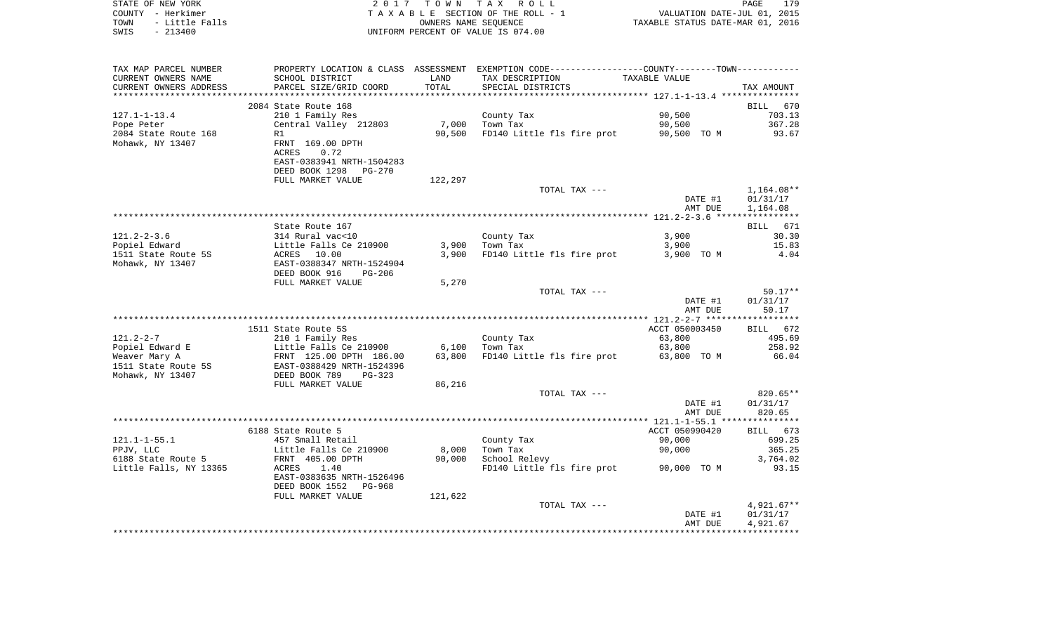|      | STATE OF NEW YORK | 2017 TOWN TAX ROLL                 | PAGE                             | 179 |
|------|-------------------|------------------------------------|----------------------------------|-----|
|      | COUNTY - Herkimer | TAXABLE SECTION OF THE ROLL - 1    | VALUATION DATE-JUL 01, 2015      |     |
| TOWN | - Little Falls    | OWNERS NAME SEOUENCE               | TAXABLE STATUS DATE-MAR 01, 2016 |     |
| SWIS | $-213400$         | UNIFORM PERCENT OF VALUE IS 074.00 |                                  |     |

| TAX MAP PARCEL NUMBER  |                                                                |         | PROPERTY LOCATION & CLASS ASSESSMENT EXEMPTION CODE---------------COUNTY-------TOWN--------- |                |              |
|------------------------|----------------------------------------------------------------|---------|----------------------------------------------------------------------------------------------|----------------|--------------|
| CURRENT OWNERS NAME    | SCHOOL DISTRICT                                                | LAND    | TAX DESCRIPTION                                                                              | TAXABLE VALUE  |              |
| CURRENT OWNERS ADDRESS | PARCEL SIZE/GRID COORD                                         | TOTAL   | SPECIAL DISTRICTS                                                                            |                | TAX AMOUNT   |
|                        |                                                                |         |                                                                                              |                |              |
|                        | 2084 State Route 168                                           |         |                                                                                              |                | BILL 670     |
| $127.1 - 1 - 13.4$     | 210 1 Family Res                                               |         | County Tax                                                                                   | 90,500         | 703.13       |
| Pope Peter             | Central Valley 212803                                          | 7,000   | Town Tax                                                                                     | 90,500         | 367.28       |
|                        |                                                                |         |                                                                                              |                |              |
| 2084 State Route 168   | R1                                                             | 90,500  | FD140 Little fls fire prot 90,500 TO M                                                       |                | 93.67        |
| Mohawk, NY 13407       | FRNT 169.00 DPTH                                               |         |                                                                                              |                |              |
|                        | 0.72<br>ACRES                                                  |         |                                                                                              |                |              |
|                        | EAST-0383941 NRTH-1504283                                      |         |                                                                                              |                |              |
|                        | DEED BOOK 1298 PG-270                                          |         |                                                                                              |                |              |
|                        | FULL MARKET VALUE                                              | 122,297 |                                                                                              |                |              |
|                        |                                                                |         | TOTAL TAX ---                                                                                |                | 1,164.08**   |
|                        |                                                                |         |                                                                                              | DATE #1        | 01/31/17     |
|                        |                                                                |         |                                                                                              | AMT DUE        | 1,164.08     |
|                        |                                                                |         |                                                                                              |                |              |
|                        | State Route 167                                                |         |                                                                                              |                | BILL 671     |
|                        |                                                                |         |                                                                                              |                |              |
| $121.2 - 2 - 3.6$      | 314 Rural vac<10                                               |         | County Tax                                                                                   | 3,900          | 30.30        |
| Popiel Edward          | Little Falls Ce 210900<br>ACRES 10.00                          |         | $3,900$ Town Tax                                                                             | 3,900          | 15.83        |
| 1511 State Route 5S    |                                                                |         | 3,900 FD140 Little fls fire prot 3,900 TO M                                                  |                | 4.04         |
| Mohawk, NY 13407       | EAST-0388347 NRTH-1524904                                      |         |                                                                                              |                |              |
|                        | DEED BOOK 916<br>$PG-206$                                      |         |                                                                                              |                |              |
|                        | FULL MARKET VALUE                                              | 5,270   |                                                                                              |                |              |
|                        |                                                                |         | TOTAL TAX ---                                                                                |                | $50.17**$    |
|                        |                                                                |         |                                                                                              | DATE #1        | 01/31/17     |
|                        |                                                                |         |                                                                                              | AMT DUE        | 50.17        |
|                        |                                                                |         |                                                                                              |                |              |
|                        | 1511 State Route 5S                                            |         |                                                                                              | ACCT 050003450 | BILL 672     |
| $121.2 - 2 - 7$        | 210 1 Family Res                                               |         | County Tax                                                                                   | 63,800         | 495.69       |
| Popiel Edward E        |                                                                |         | $\mathbf{z}$ and $\mathbf{z}$ and $\mathbf{z}$ and $\mathbf{z}$                              |                | 258.92       |
|                        | Little Falls Ce 210900 6,100<br>FRNT 125.00 DPTH 186.00 63,800 |         | Town Tax                                                                                     | 63,800         |              |
| Weaver Mary A          |                                                                |         | 63,800 FD140 Little fls fire prot 63,800 TO M                                                |                | 66.04        |
| 1511 State Route 5S    | EAST-0388429 NRTH-1524396<br>DEED BOOK 789 PG-323              |         |                                                                                              |                |              |
| Mohawk, NY 13407       |                                                                |         |                                                                                              |                |              |
|                        | FULL MARKET VALUE                                              | 86,216  |                                                                                              |                |              |
|                        |                                                                |         | TOTAL TAX ---                                                                                |                | 820.65**     |
|                        |                                                                |         |                                                                                              | DATE #1        | 01/31/17     |
|                        |                                                                |         |                                                                                              | AMT DUE        | 820.65       |
|                        |                                                                |         |                                                                                              |                |              |
|                        | 6188 State Route 5                                             |         |                                                                                              | ACCT 050990420 | BILL 673     |
| $121.1 - 1 - 55.1$     | 457 Small Retail                                               |         | County Tax                                                                                   | 90,000         | 699.25       |
| PPJV, LLC              | Little Falls Ce $210900$                                       | 8,000   | Town Tax                                                                                     | 90,000         | 365.25       |
| 6188 State Route 5     | FRNT 405.00 DPTH                                               | 90,000  | School Relevy                                                                                |                | 3,764.02     |
|                        | 1.40<br>ACRES                                                  |         | FD140 Little fls fire prot 90,000 TO M                                                       |                | 93.15        |
| Little Falls, NY 13365 |                                                                |         |                                                                                              |                |              |
|                        | EAST-0383635 NRTH-1526496                                      |         |                                                                                              |                |              |
|                        | DEED BOOK 1552 PG-968                                          |         |                                                                                              |                |              |
|                        | FULL MARKET VALUE                                              | 121,622 |                                                                                              |                |              |
|                        |                                                                |         | TOTAL TAX ---                                                                                |                | $4,921.67**$ |
|                        |                                                                |         |                                                                                              | DATE #1        | 01/31/17     |
|                        |                                                                |         |                                                                                              | AMT DUE        | 4,921.67     |
|                        |                                                                |         |                                                                                              |                |              |
|                        |                                                                |         |                                                                                              |                |              |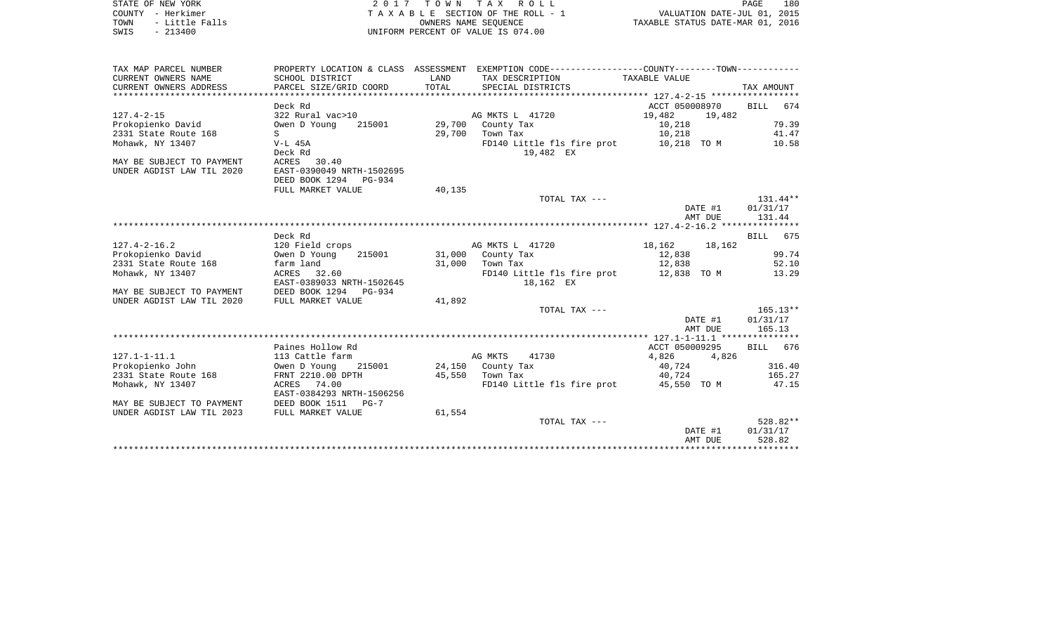| STATE OF NEW YORK      | 2017 TOWN TAX ROLL                 | 180<br>PAGE                      |
|------------------------|------------------------------------|----------------------------------|
| COUNTY - Herkimer      | TAXABLE SECTION OF THE ROLL - 1    | VALUATION DATE-JUL 01, 2015      |
| - Little Falls<br>TOWN | OWNERS NAME SEOUENCE               | TAXABLE STATUS DATE-MAR 01, 2016 |
| $-213400$<br>SWIS      | UNIFORM PERCENT OF VALUE IS 074.00 |                                  |

| TAX MAP PARCEL NUMBER               |                                                                                          |                 | PROPERTY LOCATION & CLASS ASSESSMENT EXEMPTION CODE---------------COUNTY-------TOWN---------- |                               |                  |
|-------------------------------------|------------------------------------------------------------------------------------------|-----------------|-----------------------------------------------------------------------------------------------|-------------------------------|------------------|
| CURRENT OWNERS NAME SCHOOL DISTRICT |                                                                                          |                 | LAND TAX DESCRIPTION TAXABLE VALUE                                                            |                               |                  |
|                                     |                                                                                          |                 |                                                                                               |                               |                  |
|                                     |                                                                                          |                 |                                                                                               |                               |                  |
|                                     | Deck Rd                                                                                  |                 |                                                                                               | ACCT 050008970 BILL 674       |                  |
|                                     |                                                                                          |                 | AG MKTS L 41720                                                                               | $19,482$ $19,482$<br>$10,218$ |                  |
|                                     |                                                                                          |                 |                                                                                               | 10,218                        | 79.39            |
| 2331 State Route 168                | $S \sim$                                                                                 |                 | 29,700 Town Tax                                                                               | 10,218                        | 41.47            |
| Mohawk, NY 13407                    | V-L 45A                                                                                  |                 | FD140 Little fls fire prot 10,218 TO M                                                        |                               | 10.58            |
|                                     | Deck Rd                                                                                  |                 | 19,482 EX                                                                                     |                               |                  |
| MAY BE SUBJECT TO PAYMENT           | ACRES 30.40                                                                              |                 |                                                                                               |                               |                  |
| UNDER AGDIST LAW TIL 2020           | EAST-0390049 NRTH-1502695                                                                |                 |                                                                                               |                               |                  |
|                                     | DEED BOOK 1294 PG-934                                                                    |                 |                                                                                               |                               |                  |
|                                     | FULL MARKET VALUE                                                                        | 40,135          |                                                                                               |                               |                  |
|                                     |                                                                                          |                 | TOTAL TAX ---                                                                                 |                               | $131.44**$       |
|                                     |                                                                                          |                 |                                                                                               |                               | DATE #1 01/31/17 |
|                                     |                                                                                          |                 |                                                                                               | AMT DUE                       | 131.44           |
|                                     |                                                                                          |                 |                                                                                               |                               |                  |
|                                     | Deck Rd                                                                                  |                 |                                                                                               |                               | BILL 675         |
| $127.4 - 2 - 16.2$                  | 120 Field crops                                                                          |                 | AG MKTS L 41720 18,162 18,162                                                                 |                               | 99.74            |
| 2331 State Route 168 farm land      |                                                                                          |                 |                                                                                               | 12,838<br>12,838              | 52.10            |
| Mohawk, NY 13407                    | ACRES 32.60                                                                              | 31,000 Town Tax | FD140 Little fls fire prot 12,838 TO M 13.29                                                  |                               |                  |
|                                     | EAST-0389033 NRTH-1502645                                                                |                 | 18,162 EX                                                                                     |                               |                  |
| MAY BE SUBJECT TO PAYMENT           |                                                                                          |                 |                                                                                               |                               |                  |
| UNDER AGDIST LAW TIL 2020           | DEED BOOK 1294 PG-934<br>FULL MARKET VALUE                                               | 41,892          |                                                                                               |                               |                  |
|                                     |                                                                                          |                 | TOTAL TAX ---                                                                                 |                               | $165.13**$       |
|                                     |                                                                                          |                 |                                                                                               | DATE #1                       | 01/31/17         |
|                                     |                                                                                          |                 |                                                                                               | AMT DUE                       | 165.13           |
|                                     |                                                                                          |                 |                                                                                               |                               |                  |
|                                     | Paines Hollow Rd                                                                         |                 |                                                                                               | ACCT 050009295                | BILL 676         |
| $127.1 - 1 - 11.1$                  | 113 Cattle farm                                                                          |                 | AG MKTS<br>41730                                                                              | 4,826 4,826                   |                  |
|                                     | Prokopienko John                   Owen D Young     215001           24,150   County Tax |                 |                                                                                               | 40,724                        | 316.40           |
|                                     | 2331 State Route 168 FRNT 2210.00 DPTH 45,550 Town Tax 40,724 40,724 165.27              |                 |                                                                                               |                               |                  |
| Mohawk, NY 13407                    | ACRES 74.00                                                                              |                 | FD140 Little fls fire prot 45,550 TO M 47.15                                                  |                               |                  |
|                                     | EAST-0384293 NRTH-1506256                                                                |                 |                                                                                               |                               |                  |
| MAY BE SUBJECT TO PAYMENT           | DEED BOOK 1511 PG-7<br>FULL MARKET VALUE                                                 |                 |                                                                                               |                               |                  |
| UNDER AGDIST LAW TIL 2023           |                                                                                          | 61,554          |                                                                                               |                               |                  |
|                                     |                                                                                          |                 | TOTAL TAX ---                                                                                 |                               | 528.82**         |
|                                     |                                                                                          |                 |                                                                                               | DATE #1                       | 01/31/17         |
|                                     |                                                                                          |                 |                                                                                               |                               | AMT DUE 528.82   |

\*\*\*\*\*\*\*\*\*\*\*\*\*\*\*\*\*\*\*\*\*\*\*\*\*\*\*\*\*\*\*\*\*\*\*\*\*\*\*\*\*\*\*\*\*\*\*\*\*\*\*\*\*\*\*\*\*\*\*\*\*\*\*\*\*\*\*\*\*\*\*\*\*\*\*\*\*\*\*\*\*\*\*\*\*\*\*\*\*\*\*\*\*\*\*\*\*\*\*\*\*\*\*\*\*\*\*\*\*\*\*\*\*\*\*\*\*\*\*\*\*\*\*\*\*\*\*\*\*\*\*\*

180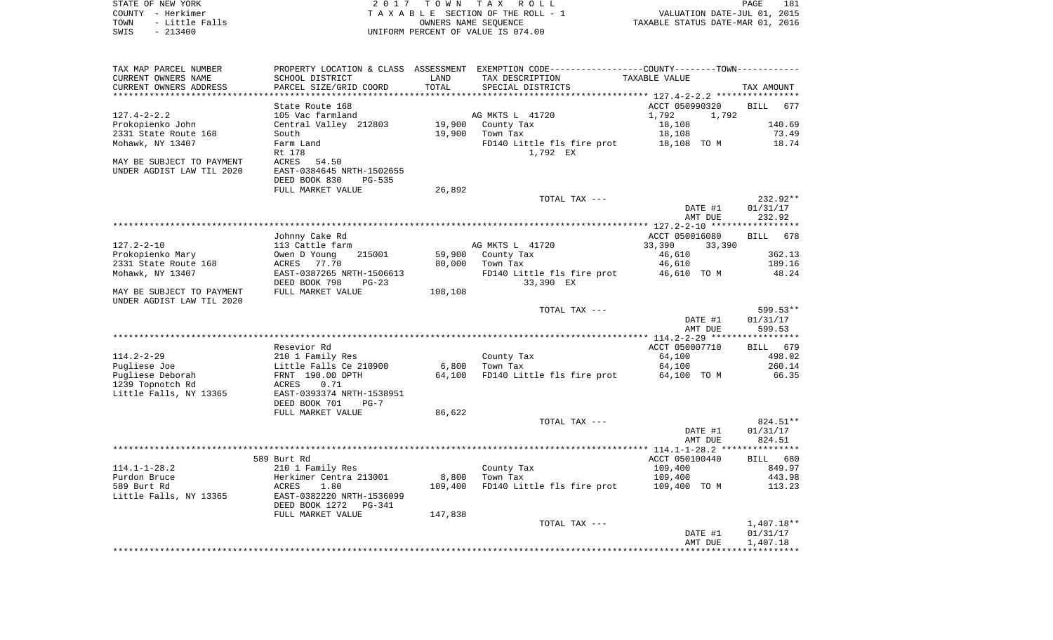| STATE OF NEW YORK      | 2017 TOWN TAX ROLL                 | 181<br>PAGE                      |
|------------------------|------------------------------------|----------------------------------|
| COUNTY - Herkimer      | TAXABLE SECTION OF THE ROLL - 1    | VALUATION DATE-JUL 01, 2015      |
| TOWN<br>- Little Falls | OWNERS NAME SEOUENCE               | TAXABLE STATUS DATE-MAR 01, 2016 |
| $-213400$<br>SWIS      | UNIFORM PERCENT OF VALUE IS 074.00 |                                  |

| TAX MAP PARCEL NUMBER     | PROPERTY LOCATION & CLASS ASSESSMENT |                           | EXEMPTION CODE-----------------COUNTY-------TOWN----------- |                                                |                    |
|---------------------------|--------------------------------------|---------------------------|-------------------------------------------------------------|------------------------------------------------|--------------------|
| CURRENT OWNERS NAME       | SCHOOL DISTRICT                      | LAND                      | TAX DESCRIPTION                                             | TAXABLE VALUE                                  |                    |
| CURRENT OWNERS ADDRESS    | PARCEL SIZE/GRID COORD               | TOTAL                     | SPECIAL DISTRICTS                                           |                                                | TAX AMOUNT         |
| *********************     |                                      | ************************* |                                                             | **************** 127.4-2-2.2 ***************** |                    |
|                           | State Route 168                      |                           |                                                             | ACCT 050990320                                 | BILL 677           |
| $127.4 - 2 - 2.2$         | 105 Vac farmland                     |                           | AG MKTS L 41720                                             | 1,792<br>1,792                                 |                    |
| Prokopienko John          | Central Valley 212803                |                           | 19,900 County Tax                                           | 18,108                                         | 140.69             |
| 2331 State Route 168      | South                                |                           | 19,900 Town Tax                                             | 18,108                                         | 73.49              |
| Mohawk, NY 13407          | Farm Land                            |                           | FD140 Little fls fire prot 18,108 TO M                      |                                                | 18.74              |
|                           | Rt 178                               |                           | 1,792 EX                                                    |                                                |                    |
| MAY BE SUBJECT TO PAYMENT | ACRES<br>54.50                       |                           |                                                             |                                                |                    |
| UNDER AGDIST LAW TIL 2020 | EAST-0384645 NRTH-1502655            |                           |                                                             |                                                |                    |
|                           |                                      |                           |                                                             |                                                |                    |
|                           | DEED BOOK 830<br>PG-535              |                           |                                                             |                                                |                    |
|                           | FULL MARKET VALUE                    | 26,892                    |                                                             |                                                |                    |
|                           |                                      |                           | TOTAL TAX ---                                               |                                                | 232.92**           |
|                           |                                      |                           |                                                             | DATE #1                                        | 01/31/17           |
|                           |                                      |                           |                                                             | AMT DUE                                        | 232.92             |
|                           |                                      |                           |                                                             |                                                |                    |
|                           | Johnny Cake Rd                       |                           |                                                             | ACCT 050016080                                 | BILL 678           |
| $127.2 - 2 - 10$          | 113 Cattle farm                      |                           | AG MKTS L 41720                                             | 33,390<br>33,390                               |                    |
| Prokopienko Mary          | Owen D Young<br>215001               | 59,900                    | County Tax                                                  | 46,610                                         | 362.13             |
| 2331 State Route 168      | ACRES 77.70                          | 80,000                    | Town Tax                                                    | 46,610                                         | 189.16             |
| Mohawk, NY 13407          | EAST-0387265 NRTH-1506613            |                           | FD140 Little fls fire prot                                  | 46,610 TO M                                    | 48.24              |
|                           | DEED BOOK 798<br>$PG-23$             |                           | 33,390 EX                                                   |                                                |                    |
| MAY BE SUBJECT TO PAYMENT | FULL MARKET VALUE                    | 108,108                   |                                                             |                                                |                    |
| UNDER AGDIST LAW TIL 2020 |                                      |                           |                                                             |                                                |                    |
|                           |                                      |                           | TOTAL TAX ---                                               |                                                | 599.53**           |
|                           |                                      |                           |                                                             | DATE #1                                        | 01/31/17           |
|                           |                                      |                           |                                                             | AMT DUE                                        | 599.53             |
|                           |                                      |                           |                                                             |                                                |                    |
|                           | Resevior Rd                          |                           |                                                             | ACCT 050007710                                 | <b>BILL</b><br>679 |
| $114.2 - 2 - 29$          | 210 1 Family Res                     |                           | County Tax                                                  | 64,100                                         | 498.02             |
| Pugliese Joe              | Little Falls Ce 210900               |                           | 6,800 Town Tax                                              | 64,100                                         | 260.14             |
| Pugliese Deborah          | FRNT 190.00 DPTH                     | 64,100                    | FD140 Little fls fire prot                                  | 64,100 TO M                                    | 66.35              |
| 1239 Topnotch Rd          | ACRES<br>0.71                        |                           |                                                             |                                                |                    |
| Little Falls, NY 13365    | EAST-0393374 NRTH-1538951            |                           |                                                             |                                                |                    |
|                           | DEED BOOK 701<br>$PG-7$              |                           |                                                             |                                                |                    |
|                           | FULL MARKET VALUE                    | 86,622                    |                                                             |                                                |                    |
|                           |                                      |                           | TOTAL TAX ---                                               |                                                | 824.51**           |
|                           |                                      |                           |                                                             |                                                |                    |
|                           |                                      |                           |                                                             | DATE #1                                        | 01/31/17           |
|                           |                                      |                           |                                                             | AMT DUE                                        | 824.51             |
|                           |                                      |                           |                                                             |                                                |                    |
|                           | 589 Burt Rd                          |                           |                                                             | ACCT 050100440                                 | BILL 680           |
| $114.1 - 1 - 28.2$        | 210 1 Family Res                     |                           | County Tax                                                  | 109,400                                        | 849.97             |
| Purdon Bruce              | Herkimer Centra 213001               |                           | 8,800 Town Tax                                              | 109,400                                        | 443.98             |
| 589 Burt Rd               | ACRES<br>1.80                        | 109,400                   | FD140 Little fls fire prot                                  | 109,400 TO M                                   | 113.23             |
| Little Falls, NY 13365    | EAST-0382220 NRTH-1536099            |                           |                                                             |                                                |                    |
|                           | DEED BOOK 1272 PG-341                |                           |                                                             |                                                |                    |
|                           | FULL MARKET VALUE                    | 147,838                   |                                                             |                                                |                    |
|                           |                                      |                           | TOTAL TAX ---                                               |                                                | $1,407.18**$       |
|                           |                                      |                           |                                                             | DATE #1                                        | 01/31/17           |
|                           |                                      |                           |                                                             | AMT DUE                                        | 1,407.18           |
|                           |                                      |                           |                                                             |                                                |                    |
|                           |                                      |                           |                                                             |                                                |                    |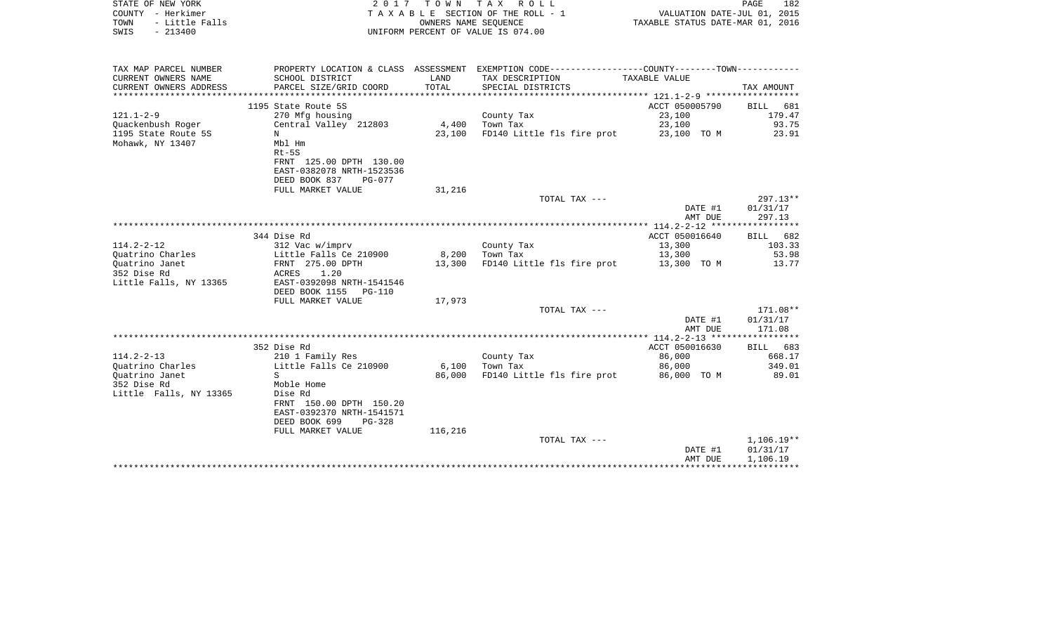| STATE OF NEW YORK<br>COUNTY - Herkimer          |                                                        | 2017 TOWN            | TAX ROLL<br>TAXABLE SECTION OF THE ROLL - 1                                                   | VALUATION DATE-JUL 01, 2015      | PAGE<br>182    |
|-------------------------------------------------|--------------------------------------------------------|----------------------|-----------------------------------------------------------------------------------------------|----------------------------------|----------------|
| TOWN<br>- Little Falls                          |                                                        | OWNERS NAME SEOUENCE |                                                                                               | TAXABLE STATUS DATE-MAR 01, 2016 |                |
| $-213400$<br>SWIS                               |                                                        |                      | UNIFORM PERCENT OF VALUE IS 074.00                                                            |                                  |                |
|                                                 |                                                        |                      |                                                                                               |                                  |                |
| TAX MAP PARCEL NUMBER                           |                                                        |                      | PROPERTY LOCATION & CLASS ASSESSMENT EXEMPTION CODE---------------COUNTY-------TOWN---------- |                                  |                |
| CURRENT OWNERS NAME                             | SCHOOL DISTRICT                                        | LAND                 | TAX DESCRIPTION                                                                               | TAXABLE VALUE                    |                |
| CURRENT OWNERS ADDRESS<br>********************* | PARCEL SIZE/GRID COORD<br>***************************  | TOTAL                | SPECIAL DISTRICTS                                                                             |                                  | TAX AMOUNT     |
|                                                 | 1195 State Route 5S                                    |                      |                                                                                               | ACCT 050005790                   | 681<br>BILL    |
| $121.1 - 2 - 9$                                 | 270 Mfg housing                                        |                      | County Tax                                                                                    | 23,100                           | 179.47         |
| Quackenbush Roger                               | Central Valley 212803                                  | 4,400                | Town Tax                                                                                      | 23,100                           | 93.75          |
| 1195 State Route 5S                             | N                                                      | 23,100               | FD140 Little fls fire prot                                                                    | 23,100 TO M                      | 23.91          |
| Mohawk, NY 13407                                | Mbl Hm                                                 |                      |                                                                                               |                                  |                |
|                                                 | Rt-5S                                                  |                      |                                                                                               |                                  |                |
|                                                 | FRNT 125.00 DPTH 130.00                                |                      |                                                                                               |                                  |                |
|                                                 | EAST-0382078 NRTH-1523536                              |                      |                                                                                               |                                  |                |
|                                                 | DEED BOOK 837<br><b>PG-077</b><br>FULL MARKET VALUE    | 31,216               |                                                                                               |                                  |                |
|                                                 |                                                        |                      | TOTAL TAX ---                                                                                 |                                  | $297.13**$     |
|                                                 |                                                        |                      |                                                                                               | DATE #1                          | 01/31/17       |
|                                                 |                                                        |                      |                                                                                               | AMT DUE                          | 297.13         |
|                                                 |                                                        |                      |                                                                                               |                                  |                |
|                                                 | 344 Dise Rd                                            |                      |                                                                                               | ACCT 050016640                   | BILL 682       |
| $114.2 - 2 - 12$                                | 312 Vac w/imprv                                        |                      | County Tax                                                                                    | 13,300                           | 103.33         |
| Ouatrino Charles<br>Ouatrino Janet              | Little Falls Ce 210900<br>FRNT 275.00 DPTH             | 8,200<br>13,300      | Town Tax<br>FD140 Little fls fire prot                                                        | 13,300<br>13,300 TO M            | 53.98<br>13.77 |
| 352 Dise Rd                                     | ACRES<br>1.20                                          |                      |                                                                                               |                                  |                |
| Little Falls, NY 13365                          | EAST-0392098 NRTH-1541546                              |                      |                                                                                               |                                  |                |
|                                                 | DEED BOOK 1155<br><b>PG-110</b>                        |                      |                                                                                               |                                  |                |
|                                                 | FULL MARKET VALUE                                      | 17,973               |                                                                                               |                                  |                |
|                                                 |                                                        |                      | TOTAL TAX ---                                                                                 |                                  | 171.08**       |
|                                                 |                                                        |                      |                                                                                               | DATE #1                          | 01/31/17       |
|                                                 |                                                        |                      |                                                                                               | AMT DUE                          | 171.08         |
|                                                 | 352 Dise Rd                                            |                      |                                                                                               | ACCT 050016630                   | BILL 683       |
| 114.2-2-13                                      | 210 1 Family Res                                       |                      | County Tax                                                                                    | 86,000                           | 668.17         |
| Quatrino Charles                                | Little Falls Ce 210900                                 | 6,100                | Town Tax                                                                                      | 86,000                           | 349.01         |
| Quatrino Janet                                  | S                                                      | 86,000               | FD140 Little fls fire prot                                                                    | 86,000 TO M                      | 89.01          |
| 352 Dise Rd                                     | Moble Home                                             |                      |                                                                                               |                                  |                |
| Little Falls, NY 13365                          | Dise Rd                                                |                      |                                                                                               |                                  |                |
|                                                 | FRNT 150.00 DPTH 150.20                                |                      |                                                                                               |                                  |                |
|                                                 | EAST-0392370 NRTH-1541571<br>DEED BOOK 699<br>$PG-328$ |                      |                                                                                               |                                  |                |
|                                                 | FULL MARKET VALUE                                      | 116,216              |                                                                                               |                                  |                |
|                                                 |                                                        |                      | TOTAL TAX ---                                                                                 |                                  | 1,106.19**     |
|                                                 |                                                        |                      |                                                                                               |                                  |                |

 DATE #1 01/31/17 AMT DUE 1,106.19 \*\*\*\*\*\*\*\*\*\*\*\*\*\*\*\*\*\*\*\*\*\*\*\*\*\*\*\*\*\*\*\*\*\*\*\*\*\*\*\*\*\*\*\*\*\*\*\*\*\*\*\*\*\*\*\*\*\*\*\*\*\*\*\*\*\*\*\*\*\*\*\*\*\*\*\*\*\*\*\*\*\*\*\*\*\*\*\*\*\*\*\*\*\*\*\*\*\*\*\*\*\*\*\*\*\*\*\*\*\*\*\*\*\*\*\*\*\*\*\*\*\*\*\*\*\*\*\*\*\*\*\*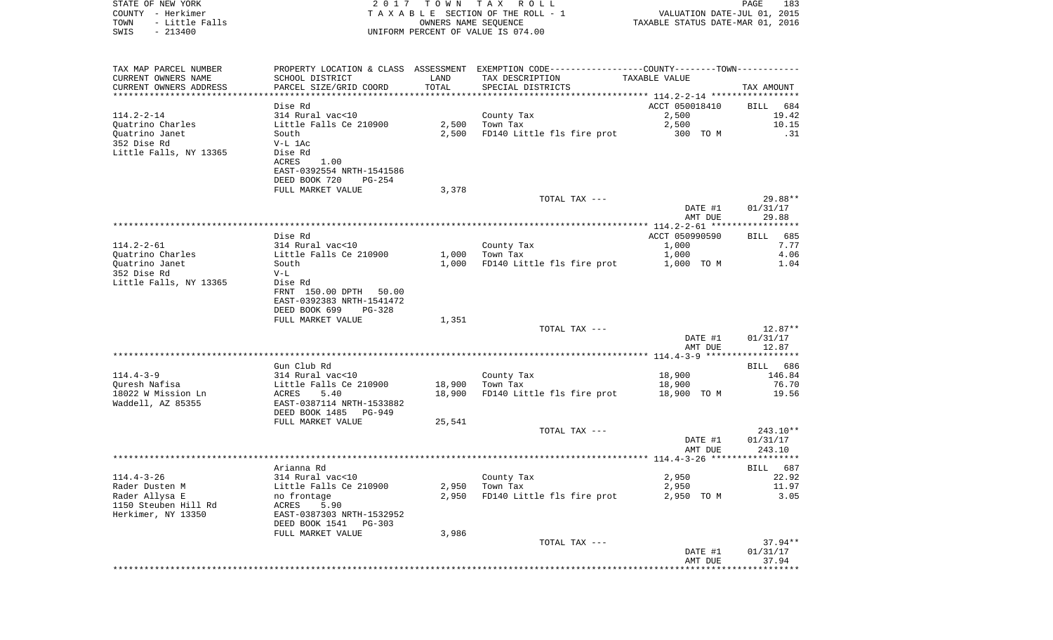| STATE OF NEW YORK<br>COUNTY - Herkimer<br>- Little Falls<br>TOWN<br>$-213400$<br>SWIS |                                                    | OWNERS NAME SEQUENCE | 2017 TOWN TAX ROLL<br>TAXABLE SECTION OF THE ROLL - 1<br>UNIFORM PERCENT OF VALUE IS 074.00   | VALUATION DATE-JUL 01, 2015<br>TAXABLE STATUS DATE-MAR 01, 2016 | PAGE<br>183         |
|---------------------------------------------------------------------------------------|----------------------------------------------------|----------------------|-----------------------------------------------------------------------------------------------|-----------------------------------------------------------------|---------------------|
|                                                                                       |                                                    |                      |                                                                                               |                                                                 |                     |
| TAX MAP PARCEL NUMBER                                                                 |                                                    |                      | PROPERTY LOCATION & CLASS ASSESSMENT EXEMPTION CODE---------------COUNTY-------TOWN---------- |                                                                 |                     |
| CURRENT OWNERS NAME                                                                   | SCHOOL DISTRICT                                    | LAND                 | TAX DESCRIPTION                                                                               | TAXABLE VALUE                                                   |                     |
| CURRENT OWNERS ADDRESS<br>************************                                    | PARCEL SIZE/GRID COORD<br>***********************  | TOTAL                | SPECIAL DISTRICTS                                                                             |                                                                 | TAX AMOUNT<br>***** |
|                                                                                       | Dise Rd                                            |                      |                                                                                               | ACCT 050018410                                                  | BILL<br>684         |
| $114.2 - 2 - 14$                                                                      | 314 Rural vac<10                                   |                      | County Tax                                                                                    | 2,500                                                           | 19.42               |
| Quatrino Charles                                                                      | Little Falls Ce 210900                             | 2,500                | Town Tax                                                                                      | 2,500                                                           | 10.15               |
| Ouatrino Janet                                                                        | South                                              | 2,500                | FD140 Little fls fire prot                                                                    | 300 TO M                                                        | .31                 |
| 352 Dise Rd                                                                           | V-L 1Ac                                            |                      |                                                                                               |                                                                 |                     |
| Little Falls, NY 13365                                                                | Dise Rd<br>ACRES<br>1.00                           |                      |                                                                                               |                                                                 |                     |
|                                                                                       | EAST-0392554 NRTH-1541586                          |                      |                                                                                               |                                                                 |                     |
|                                                                                       | DEED BOOK 720<br>PG-254                            |                      |                                                                                               |                                                                 |                     |
|                                                                                       | FULL MARKET VALUE                                  | 3,378                |                                                                                               |                                                                 |                     |
|                                                                                       |                                                    |                      | TOTAL TAX ---                                                                                 |                                                                 | $29.88**$           |
|                                                                                       |                                                    |                      |                                                                                               | DATE #1                                                         | 01/31/17            |
|                                                                                       |                                                    |                      |                                                                                               | AMT DUE                                                         | 29.88               |
|                                                                                       | Dise Rd                                            |                      |                                                                                               | ACCT 050990590                                                  | BILL 685            |
| $114.2 - 2 - 61$                                                                      | 314 Rural vac<10                                   |                      | County Tax                                                                                    | 1,000                                                           | 7.77                |
| Quatrino Charles                                                                      | Little Falls Ce 210900                             | 1,000                | Town Tax                                                                                      | 1,000                                                           | 4.06                |
| Ouatrino Janet                                                                        | South                                              | 1,000                | FD140 Little fls fire prot                                                                    | 1,000 TO M                                                      | 1.04                |
| 352 Dise Rd<br>Little Falls, NY 13365                                                 | $V-L$<br>Dise Rd                                   |                      |                                                                                               |                                                                 |                     |
|                                                                                       | FRNT 150.00 DPTH 50.00                             |                      |                                                                                               |                                                                 |                     |
|                                                                                       | EAST-0392383 NRTH-1541472                          |                      |                                                                                               |                                                                 |                     |
|                                                                                       | DEED BOOK 699<br>PG-328                            |                      |                                                                                               |                                                                 |                     |
|                                                                                       | FULL MARKET VALUE                                  | 1,351                |                                                                                               |                                                                 |                     |
|                                                                                       |                                                    |                      | TOTAL TAX ---                                                                                 |                                                                 | $12.87**$           |
|                                                                                       |                                                    |                      |                                                                                               | DATE #1<br>AMT DUE                                              | 01/31/17<br>12.87   |
|                                                                                       |                                                    |                      |                                                                                               |                                                                 |                     |
|                                                                                       | Gun Club Rd                                        |                      |                                                                                               |                                                                 | BILL 686            |
| $114.4 - 3 - 9$                                                                       | 314 Rural vac<10                                   |                      | County Tax                                                                                    | 18,900                                                          | 146.84              |
| Ouresh Nafisa                                                                         | Little Falls Ce 210900                             | 18,900               | Town Tax                                                                                      | 18,900                                                          | 76.70               |
| 18022 W Mission Ln                                                                    | ACRES<br>5.40                                      | 18,900               | FD140 Little fls fire prot                                                                    | 18,900 TO M                                                     | 19.56               |
| Waddell, AZ 85355                                                                     | EAST-0387114 NRTH-1533882<br>DEED BOOK 1485 PG-949 |                      |                                                                                               |                                                                 |                     |
|                                                                                       | FULL MARKET VALUE                                  | 25,541               |                                                                                               |                                                                 |                     |
|                                                                                       |                                                    |                      | TOTAL TAX ---                                                                                 |                                                                 | $243.10**$          |
|                                                                                       |                                                    |                      |                                                                                               | DATE #1                                                         | 01/31/17            |
|                                                                                       |                                                    |                      |                                                                                               | AMT DUE                                                         | 243.10              |
|                                                                                       |                                                    |                      |                                                                                               |                                                                 |                     |
| $114.4 - 3 - 26$                                                                      | Arianna Rd<br>314 Rural vac<10                     |                      | County Tax                                                                                    | 2,950                                                           | BILL 687<br>22.92   |
| Rader Dusten M                                                                        | Little Falls Ce 210900                             | 2,950                | Town Tax                                                                                      | 2,950                                                           | 11.97               |
| Rader Allysa E                                                                        | no frontage                                        | 2,950                | FD140 Little fls fire prot                                                                    | 2,950<br>TO M                                                   | 3.05                |
| 1150 Steuben Hill Rd                                                                  | ACRES<br>5.90                                      |                      |                                                                                               |                                                                 |                     |
| Herkimer, NY 13350                                                                    | EAST-0387303 NRTH-1532952                          |                      |                                                                                               |                                                                 |                     |
|                                                                                       | DEED BOOK 1541<br>PG-303<br>FULL MARKET VALUE      | 3,986                |                                                                                               |                                                                 |                     |
|                                                                                       |                                                    |                      | TOTAL TAX ---                                                                                 |                                                                 | $37.94**$           |
|                                                                                       |                                                    |                      |                                                                                               | DATE #1                                                         | 01/31/17            |
|                                                                                       |                                                    |                      |                                                                                               | AMT DUE                                                         | 37.94               |
|                                                                                       |                                                    |                      |                                                                                               |                                                                 |                     |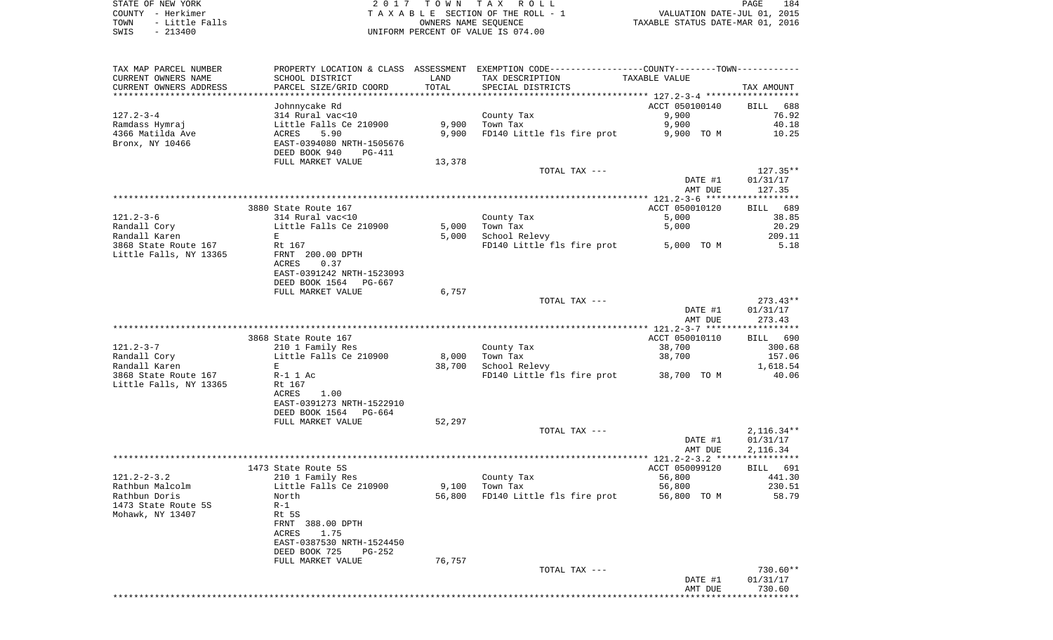|                                       |                                                                                                                  |        |                                                                          | AMT DUE                 | 730.60               |
|---------------------------------------|------------------------------------------------------------------------------------------------------------------|--------|--------------------------------------------------------------------------|-------------------------|----------------------|
|                                       |                                                                                                                  |        |                                                                          | DATE #1                 | 01/31/17             |
|                                       |                                                                                                                  |        | TOTAL TAX ---                                                            |                         | 730.60**             |
| Mohawk, NY 13407                      | FRNT 388.00 DPTH<br>1.75<br>ACRES<br>EAST-0387530 NRTH-1524450<br>DEED BOOK 725<br>$PG-252$<br>FULL MARKET VALUE | 76,757 |                                                                          |                         |                      |
| 1473 State Route 5S                   | $R-1$<br>Rt 5S                                                                                                   |        |                                                                          |                         |                      |
| Rathbun Doris                         | North                                                                                                            | 56,800 | FD140 Little fls fire prot                                               | 56,800 TO M             | 58.79                |
| Rathbun Malcolm                       | Little Falls Ce 210900                                                                                           |        | 9,100 Town Tax                                                           | 56,800                  | 230.51               |
| $121.2 - 2 - 3.2$                     | 210 1 Family Res                                                                                                 |        | County Tax                                                               | 56,800                  | 441.30               |
|                                       | 1473 State Route 5S                                                                                              |        |                                                                          | ACCT 050099120          | BILL 691             |
|                                       |                                                                                                                  |        |                                                                          |                         |                      |
|                                       |                                                                                                                  |        |                                                                          | DATE #1<br>AMT DUE      | 01/31/17<br>2,116.34 |
|                                       |                                                                                                                  |        | TOTAL TAX ---                                                            |                         | $2,116.34**$         |
|                                       | FULL MARKET VALUE                                                                                                | 52,297 |                                                                          |                         |                      |
|                                       | DEED BOOK 1564 PG-664                                                                                            |        |                                                                          |                         |                      |
|                                       | 1.00<br>ACRES<br>EAST-0391273 NRTH-1522910                                                                       |        |                                                                          |                         |                      |
| Little Falls, NY 13365                | Rt 167                                                                                                           |        |                                                                          |                         |                      |
| 3868 State Route 167                  | R-1 1 Ac                                                                                                         |        | FD140 Little fls fire prot 38,700 TO M                                   |                         | 40.06                |
| Randall Karen                         | E                                                                                                                | 38,700 | School Relevy                                                            |                         | 1,618.54             |
| Randall Cory                          | Little Falls Ce 210900                                                                                           | 8,000  | Town Tax                                                                 | 38,700                  | 157.06               |
| $121.2 - 3 - 7$                       | 210 1 Family Res                                                                                                 |        | County Tax                                                               | 38,700                  | 300.68               |
|                                       | 3868 State Route 167                                                                                             |        |                                                                          | ACCT 050010110          | BILL 690             |
|                                       |                                                                                                                  |        |                                                                          | AMT DUE                 | 273.43               |
|                                       |                                                                                                                  |        |                                                                          | DATE #1                 | 01/31/17             |
|                                       |                                                                                                                  |        | TOTAL TAX ---                                                            |                         | $273.43**$           |
|                                       | DEED BOOK 1564 PG-667<br>FULL MARKET VALUE                                                                       | 6,757  |                                                                          |                         |                      |
|                                       | EAST-0391242 NRTH-1523093                                                                                        |        |                                                                          |                         |                      |
|                                       | ACRES<br>0.37                                                                                                    |        |                                                                          |                         |                      |
| Little Falls, NY 13365                | FRNT 200.00 DPTH                                                                                                 |        |                                                                          |                         |                      |
| Randall Karen<br>3868 State Route 167 | E<br>Rt 167                                                                                                      | 5,000  | School Relevy<br>FD140 Little fls fire prot 5,000 TO M                   |                         | 209.11<br>5.18       |
| Randall Cory                          | Little Falls Ce 210900                                                                                           | 5,000  | Town Tax                                                                 | 5,000                   | 20.29                |
| $121.2 - 3 - 6$                       | 314 Rural vac<10                                                                                                 |        | County Tax                                                               | 5,000                   | 38.85                |
|                                       | 3880 State Route 167                                                                                             |        |                                                                          | ACCT 050010120          | BILL 689             |
|                                       |                                                                                                                  |        |                                                                          |                         |                      |
|                                       |                                                                                                                  |        |                                                                          | DATE #1<br>AMT DUE      | 01/31/17<br>127.35   |
|                                       |                                                                                                                  |        | TOTAL TAX ---                                                            |                         | 127.35**             |
|                                       | DEED BOOK 940<br>PG-411<br>FULL MARKET VALUE                                                                     | 13,378 |                                                                          |                         |                      |
| Bronx, NY 10466                       | EAST-0394080 NRTH-1505676                                                                                        |        |                                                                          |                         |                      |
| 4366 Matilda Ave                      | ACRES<br>5.90                                                                                                    | 9,900  | FD140 Little fls fire prot                                               | 9,900 TO M              | 10.25                |
| Ramdass Hymraj                        | Little Falls Ce 210900                                                                                           | 9,900  | Town Tax                                                                 | 9,900                   | 40.18                |
| $127.2 - 3 - 4$                       | Johnnycake Rd<br>314 Rural vac<10                                                                                |        | County Tax                                                               | ACCT 050100140<br>9,900 | BILL 688<br>76.92    |
|                                       |                                                                                                                  |        |                                                                          |                         |                      |
| CURRENT OWNERS ADDRESS                | PARCEL SIZE/GRID COORD                                                                                           | TOTAL  | SPECIAL DISTRICTS                                                        |                         | TAX AMOUNT           |
| CURRENT OWNERS NAME                   | SCHOOL DISTRICT                                                                                                  | LAND   | TAX DESCRIPTION                                                          | TAXABLE VALUE           |                      |
| TAX MAP PARCEL NUMBER                 | PROPERTY LOCATION & CLASS                                                                                        |        | - ASSESSMENT EXEMPTION CODE------------------COUNTY-------TOWN---------- |                         |                      |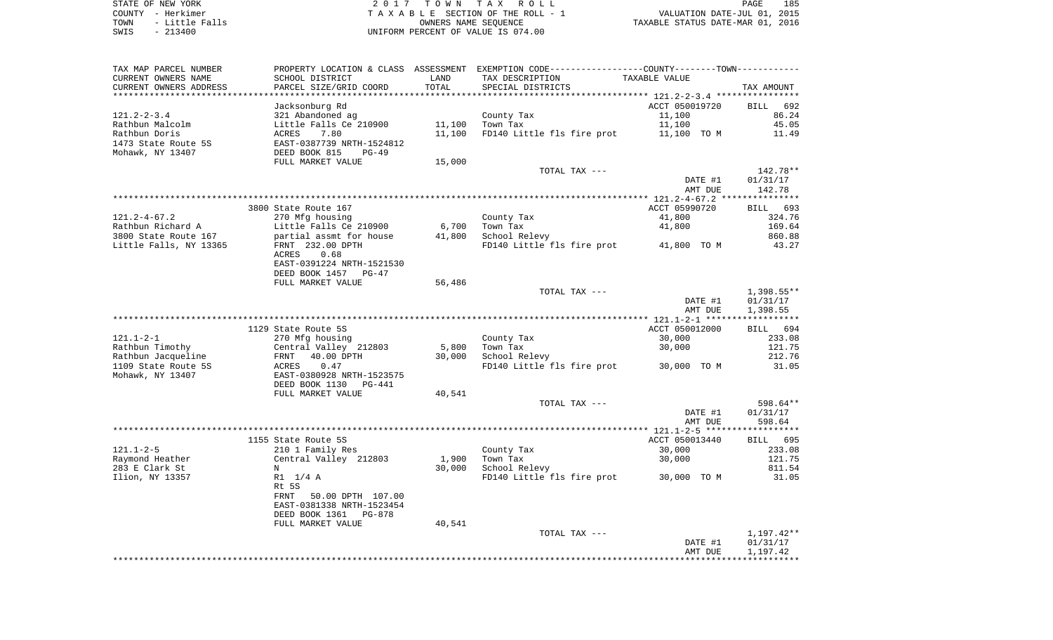| TAX MAP PARCEL NUMBER             |                                          |        | PROPERTY LOCATION & CLASS ASSESSMENT EXEMPTION CODE---------------COUNTY-------TOWN--------- |                |                  |
|-----------------------------------|------------------------------------------|--------|----------------------------------------------------------------------------------------------|----------------|------------------|
| CURRENT OWNERS NAME               | SCHOOL DISTRICT                          | LAND   | TAX DESCRIPTION                                                                              | TAXABLE VALUE  |                  |
| CURRENT OWNERS ADDRESS            | PARCEL SIZE/GRID COORD                   | TOTAL  | SPECIAL DISTRICTS                                                                            |                | TAX AMOUNT       |
| * * * * * * * * * * * * * * * * * |                                          |        |                                                                                              |                |                  |
|                                   | Jacksonburg Rd                           |        |                                                                                              | ACCT 050019720 | BILL 692         |
| $121.2 - 2 - 3.4$                 | 321 Abandoned ag                         |        | County Tax                                                                                   | 11,100         | 86.24            |
| Rathbun Malcolm                   | Little Falls Ce 210900                   | 11,100 | Town Tax                                                                                     | 11,100         | 45.05            |
| Rathbun Doris                     | 7.80<br>ACRES                            | 11,100 | FD140 Little fls fire prot                                                                   | 11,100 TO M    | 11.49            |
| 1473 State Route 5S               | EAST-0387739 NRTH-1524812                |        |                                                                                              |                |                  |
| Mohawk, NY 13407                  | DEED BOOK 815<br>$PG-49$                 |        |                                                                                              |                |                  |
|                                   | FULL MARKET VALUE                        | 15,000 |                                                                                              |                |                  |
|                                   |                                          |        | TOTAL TAX ---                                                                                |                | 142.78**         |
|                                   |                                          |        |                                                                                              | DATE #1        | 01/31/17         |
|                                   |                                          |        |                                                                                              | AMT DUE        | 142.78           |
|                                   |                                          |        |                                                                                              |                |                  |
|                                   | 3800 State Route 167                     |        |                                                                                              | ACCT 05990720  | BILL 693         |
| $121.2 - 4 - 67.2$                | 270 Mfg housing                          |        | County Tax                                                                                   | 41,800         | 324.76           |
| Rathbun Richard A                 | Little Falls Ce 210900                   | 6,700  | Town Tax                                                                                     | 41,800         | 169.64           |
| 3800 State Route 167              | partial assmt for house                  | 41,800 | School Relevy                                                                                |                | 860.88           |
| Little Falls, NY 13365            | FRNT 232.00 DPTH                         |        | FD140 Little fls fire prot 41,800 TO M                                                       |                | 43.27            |
|                                   | ACRES<br>0.68                            |        |                                                                                              |                |                  |
|                                   | EAST-0391224 NRTH-1521530                |        |                                                                                              |                |                  |
|                                   | DEED BOOK 1457<br>PG-47                  |        |                                                                                              |                |                  |
|                                   | FULL MARKET VALUE                        | 56,486 |                                                                                              |                |                  |
|                                   |                                          |        | TOTAL TAX ---                                                                                |                | $1,398.55**$     |
|                                   |                                          |        |                                                                                              | DATE #1        | 01/31/17         |
|                                   |                                          |        |                                                                                              | AMT DUE        | 1,398.55         |
|                                   | 1129 State Route 5S                      |        |                                                                                              | ACCT 050012000 |                  |
| $121.1 - 2 - 1$                   |                                          |        |                                                                                              |                | BILL 694         |
| Rathbun Timothy                   | 270 Mfg housing<br>Central Valley 212803 | 5,800  | County Tax<br>Town Tax                                                                       | 30,000         | 233.08<br>121.75 |
| Rathbun Jacqueline                | 40.00 DPTH                               |        |                                                                                              | 30,000         | 212.76           |
| 1109 State Route 5S               | FRNT<br>ACRES<br>0.47                    | 30,000 | School Relevy<br>FD140 Little fls fire prot 30,000 TO M                                      |                | 31.05            |
| Mohawk, NY 13407                  | EAST-0380928 NRTH-1523575                |        |                                                                                              |                |                  |
|                                   | DEED BOOK 1130<br>$PG-441$               |        |                                                                                              |                |                  |
|                                   | FULL MARKET VALUE                        | 40,541 |                                                                                              |                |                  |
|                                   |                                          |        | TOTAL TAX ---                                                                                |                | 598.64**         |
|                                   |                                          |        |                                                                                              | DATE #1        | 01/31/17         |
|                                   |                                          |        |                                                                                              | AMT DUE        | 598.64           |
|                                   |                                          |        |                                                                                              |                |                  |
|                                   | 1155 State Route 5S                      |        |                                                                                              | ACCT 050013440 | BILL 695         |
| $121.1 - 2 - 5$                   | 210 1 Family Res                         |        | County Tax                                                                                   | 30,000         | 233.08           |
| Raymond Heather                   | Central Valley 212803                    | 1,900  | Town Tax                                                                                     | 30,000         | 121.75           |
| 283 E Clark St                    | N                                        | 30,000 | School Relevy                                                                                |                | 811.54           |
| Ilion, NY 13357                   | R1 1/4 A                                 |        | FD140 Little fls fire prot 30,000 TO M                                                       |                | 31.05            |
|                                   | Rt 5S                                    |        |                                                                                              |                |                  |
|                                   | 50.00 DPTH 107.00<br>FRNT                |        |                                                                                              |                |                  |
|                                   | EAST-0381338 NRTH-1523454                |        |                                                                                              |                |                  |
|                                   | DEED BOOK 1361<br>PG-878                 |        |                                                                                              |                |                  |
|                                   | FULL MARKET VALUE                        | 40,541 |                                                                                              |                |                  |
|                                   |                                          |        | TOTAL TAX ---                                                                                |                | 1,197.42**       |
|                                   |                                          |        |                                                                                              | DATE #1        | 01/31/17         |
|                                   |                                          |        |                                                                                              | AMT DUE        | 1,197.42         |
|                                   |                                          |        |                                                                                              |                |                  |
|                                   |                                          |        |                                                                                              |                |                  |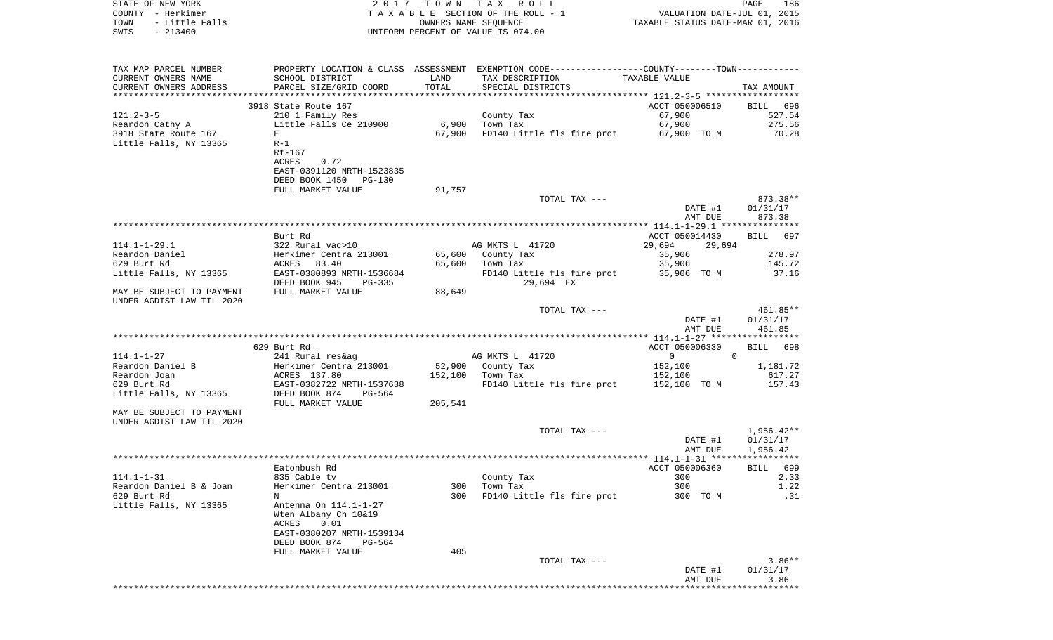| STATE OF NEW YORK<br>COUNTY - Herkimer<br>- Little Falls<br>TOWN<br>$-213400$<br>SWIS |                                           | OWNERS NAME SEQUENCE | 2017 TOWN TAX ROLL<br>TAXABLE SECTION OF THE ROLL - 1<br>UNIFORM PERCENT OF VALUE IS 074.00    | VALUATION DATE-JUL 01, 2015<br>TAXABLE STATUS DATE-MAR 01, 2016 | PAGE<br>186        |
|---------------------------------------------------------------------------------------|-------------------------------------------|----------------------|------------------------------------------------------------------------------------------------|-----------------------------------------------------------------|--------------------|
|                                                                                       |                                           |                      |                                                                                                |                                                                 |                    |
| TAX MAP PARCEL NUMBER                                                                 |                                           |                      | PROPERTY LOCATION & CLASS ASSESSMENT EXEMPTION CODE----------------COUNTY-------TOWN---------- |                                                                 |                    |
| CURRENT OWNERS NAME                                                                   | SCHOOL DISTRICT                           | LAND                 | TAX DESCRIPTION                                                                                | TAXABLE VALUE                                                   |                    |
| CURRENT OWNERS ADDRESS<br>************************                                    | PARCEL SIZE/GRID COORD                    | TOTAL                | SPECIAL DISTRICTS                                                                              |                                                                 | TAX AMOUNT         |
|                                                                                       | 3918 State Route 167                      |                      |                                                                                                | ACCT 050006510                                                  |                    |
| $121.2 - 3 - 5$                                                                       | 210 1 Family Res                          |                      | County Tax                                                                                     | 67,900                                                          | BILL 696<br>527.54 |
| Reardon Cathy A                                                                       | Little Falls Ce 210900                    | 6,900                | Town Tax                                                                                       | 67,900                                                          | 275.56             |
| 3918 State Route 167                                                                  | Е                                         | 67,900               | FD140 Little fls fire prot                                                                     | 67,900 TO M                                                     | 70.28              |
| Little Falls, NY 13365                                                                | R-1                                       |                      |                                                                                                |                                                                 |                    |
|                                                                                       | Rt-167                                    |                      |                                                                                                |                                                                 |                    |
|                                                                                       | ACRES<br>0.72                             |                      |                                                                                                |                                                                 |                    |
|                                                                                       | EAST-0391120 NRTH-1523835                 |                      |                                                                                                |                                                                 |                    |
|                                                                                       | DEED BOOK 1450<br>PG-130                  |                      |                                                                                                |                                                                 |                    |
|                                                                                       | FULL MARKET VALUE                         | 91,757               |                                                                                                |                                                                 |                    |
|                                                                                       |                                           |                      | TOTAL TAX ---                                                                                  |                                                                 | 873.38**           |
|                                                                                       |                                           |                      |                                                                                                | DATE #1                                                         | 01/31/17           |
|                                                                                       |                                           |                      |                                                                                                | AMT DUE                                                         | 873.38             |
|                                                                                       |                                           |                      |                                                                                                |                                                                 |                    |
| $114.1 - 1 - 29.1$                                                                    | Burt Rd<br>322 Rural vac>10               |                      | AG MKTS L 41720                                                                                | ACCT 050014430<br>29,694<br>29,694                              | BILL<br>697        |
| Reardon Daniel                                                                        | Herkimer Centra 213001                    | 65,600               | County Tax                                                                                     | 35,906                                                          | 278.97             |
| 629 Burt Rd                                                                           | ACRES 83.40                               | 65,600               | Town Tax                                                                                       | 35,906                                                          | 145.72             |
| Little Falls, NY 13365                                                                | EAST-0380893 NRTH-1536684                 |                      | FD140 Little fls fire prot                                                                     | 35,906 TO M                                                     | 37.16              |
|                                                                                       | DEED BOOK 945<br>PG-335                   |                      | 29,694 EX                                                                                      |                                                                 |                    |
| MAY BE SUBJECT TO PAYMENT                                                             | FULL MARKET VALUE                         | 88,649               |                                                                                                |                                                                 |                    |
| UNDER AGDIST LAW TIL 2020                                                             |                                           |                      |                                                                                                |                                                                 |                    |
|                                                                                       |                                           |                      | TOTAL TAX ---                                                                                  |                                                                 | 461.85**           |
|                                                                                       |                                           |                      |                                                                                                | DATE #1                                                         | 01/31/17           |
|                                                                                       |                                           |                      |                                                                                                | AMT DUE                                                         | 461.85             |
|                                                                                       |                                           |                      |                                                                                                |                                                                 |                    |
|                                                                                       | 629 Burt Rd                               |                      |                                                                                                | ACCT 050006330                                                  | 698<br>BILL        |
| 114.1-1-27                                                                            | 241 Rural res&ag                          |                      | AG MKTS L 41720                                                                                | $\overline{0}$                                                  | $\mathbf{0}$       |
| Reardon Daniel B                                                                      | Herkimer Centra 213001                    | 52,900               | County Tax                                                                                     | 152,100                                                         | 1,181.72           |
| Reardon Joan<br>629 Burt Rd                                                           | ACRES 137.80<br>EAST-0382722 NRTH-1537638 | 152,100              | Town Tax<br>FD140 Little fls fire prot                                                         | 152,100                                                         | 617.27<br>157.43   |
| Little Falls, NY 13365                                                                | DEED BOOK 874<br>PG-564                   |                      |                                                                                                | 152,100 TO M                                                    |                    |
|                                                                                       | FULL MARKET VALUE                         | 205,541              |                                                                                                |                                                                 |                    |
| MAY BE SUBJECT TO PAYMENT                                                             |                                           |                      |                                                                                                |                                                                 |                    |
| UNDER AGDIST LAW TIL 2020                                                             |                                           |                      |                                                                                                |                                                                 |                    |
|                                                                                       |                                           |                      | TOTAL TAX ---                                                                                  |                                                                 | 1,956.42**         |
|                                                                                       |                                           |                      |                                                                                                | DATE #1                                                         | 01/31/17           |
|                                                                                       |                                           |                      |                                                                                                | AMT DUE                                                         | 1,956.42           |
|                                                                                       |                                           |                      |                                                                                                |                                                                 |                    |
|                                                                                       | Eatonbush Rd                              |                      |                                                                                                | ACCT 050006360                                                  | BILL 699           |
| $114.1 - 1 - 31$                                                                      | 835 Cable tv                              |                      | County Tax                                                                                     | 300                                                             | 2.33               |
| Reardon Daniel B & Joan                                                               | Herkimer Centra 213001                    | 300                  | Town Tax                                                                                       | 300                                                             | 1.22               |
| 629 Burt Rd                                                                           | N                                         | 300                  | FD140 Little fls fire prot                                                                     | 300 TO M                                                        | .31                |
| Little Falls, NY 13365                                                                | Antenna On 114.1-1-27                     |                      |                                                                                                |                                                                 |                    |
|                                                                                       | Wten Albany Ch 10&19<br>ACRES<br>0.01     |                      |                                                                                                |                                                                 |                    |
|                                                                                       | EAST-0380207 NRTH-1539134                 |                      |                                                                                                |                                                                 |                    |
|                                                                                       | DEED BOOK 874<br>$PG-564$                 |                      |                                                                                                |                                                                 |                    |
|                                                                                       | FULL MARKET VALUE                         | 405                  |                                                                                                |                                                                 |                    |
|                                                                                       |                                           |                      | TOTAL TAX ---                                                                                  |                                                                 | $3.86**$           |
|                                                                                       |                                           |                      |                                                                                                | DATE #1                                                         | 01/31/17           |
|                                                                                       |                                           |                      |                                                                                                | AMT DUE                                                         | 3.86               |
|                                                                                       |                                           |                      |                                                                                                |                                                                 |                    |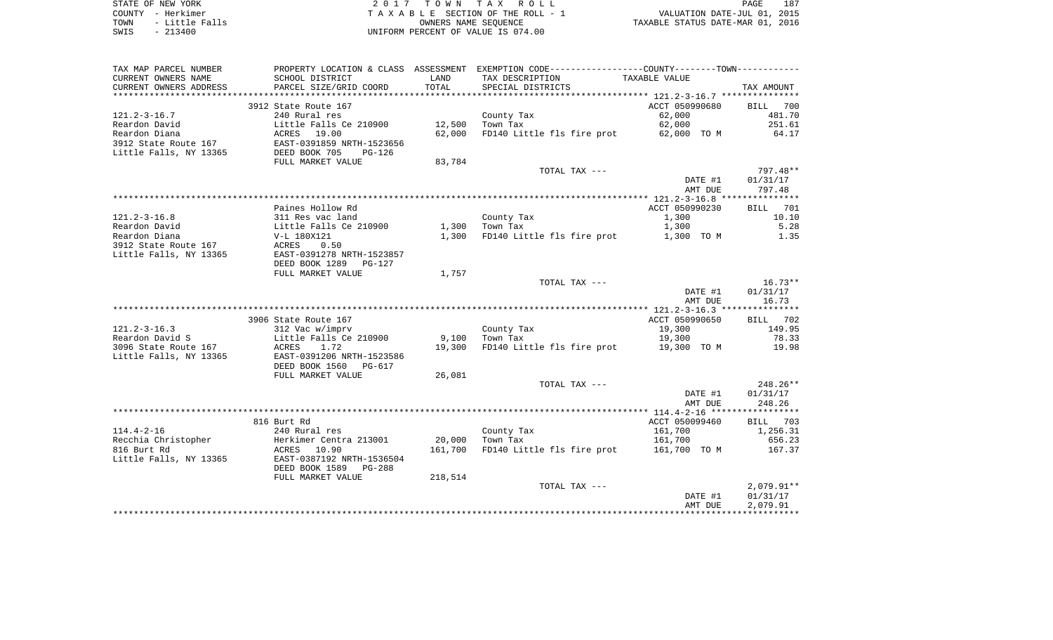| STATE OF NEW YORK      | 2017 TOWN TAX ROLL                 | 187<br>PAGE                      |
|------------------------|------------------------------------|----------------------------------|
| COUNTY - Herkimer      | TAXABLE SECTION OF THE ROLL - 1    | VALUATION DATE-JUL 01, 2015      |
| - Little Falls<br>TOWN | OWNERS NAME SEOUENCE               | TAXABLE STATUS DATE-MAR 01, 2016 |
| SWIS<br>$-213400$      | UNIFORM PERCENT OF VALUE IS 074.00 |                                  |

187<br>2015

| TAX MAP PARCEL NUMBER  |                                 |            | PROPERTY LOCATION & CLASS ASSESSMENT EXEMPTION CODE----------------COUNTY--------TOWN---------- |                    |                        |
|------------------------|---------------------------------|------------|-------------------------------------------------------------------------------------------------|--------------------|------------------------|
| CURRENT OWNERS NAME    | SCHOOL DISTRICT                 | LAND       | TAX DESCRIPTION                                                                                 | TAXABLE VALUE      |                        |
| CURRENT OWNERS ADDRESS | PARCEL SIZE/GRID COORD          | TOTAL      | SPECIAL DISTRICTS                                                                               |                    | TAX AMOUNT             |
|                        |                                 | ********** | ***************************** 121.2-3-16.7 ***************                                      |                    |                        |
|                        | 3912 State Route 167            |            |                                                                                                 | ACCT 050990680     | BILL 700               |
| $121.2 - 3 - 16.7$     | 240 Rural res                   |            | County Tax                                                                                      | 62,000             | 481.70                 |
| Reardon David          | Little Falls Ce 210900          | 12,500     | Town Tax                                                                                        | 62,000             | 251.61                 |
| Reardon Diana          | ACRES 19.00                     | 62,000     | FD140 Little fls fire prot                                                                      | 62,000 TO M        | 64.17                  |
| 3912 State Route 167   | EAST-0391859 NRTH-1523656       |            |                                                                                                 |                    |                        |
| Little Falls, NY 13365 | DEED BOOK 705<br>PG-126         |            |                                                                                                 |                    |                        |
|                        | FULL MARKET VALUE               | 83,784     |                                                                                                 |                    |                        |
|                        |                                 |            | TOTAL TAX ---                                                                                   |                    | 797.48**               |
|                        |                                 |            |                                                                                                 | DATE #1<br>AMT DUE | 01/31/17<br>797.48     |
|                        |                                 |            |                                                                                                 |                    |                        |
|                        | Paines Hollow Rd                |            |                                                                                                 | ACCT 050990230     | 701<br>BILL            |
| $121.2 - 3 - 16.8$     | 311 Res vac land                |            | County Tax                                                                                      | 1,300              | 10.10                  |
| Reardon David          | Little Falls Ce 210900          | 1,300      | Town Tax                                                                                        | 1,300              | 5.28                   |
| Reardon Diana          | V-L 180X121                     | 1,300      | FD140 Little fls fire prot 1,300 TO M                                                           |                    | 1.35                   |
| 3912 State Route 167   | ACRES<br>0.50                   |            |                                                                                                 |                    |                        |
| Little Falls, NY 13365 | EAST-0391278 NRTH-1523857       |            |                                                                                                 |                    |                        |
|                        | DEED BOOK 1289<br><b>PG-127</b> |            |                                                                                                 |                    |                        |
|                        | FULL MARKET VALUE               | 1,757      |                                                                                                 |                    |                        |
|                        |                                 |            | TOTAL TAX ---                                                                                   |                    | $16.73**$              |
|                        |                                 |            |                                                                                                 | DATE #1            | 01/31/17               |
|                        |                                 |            |                                                                                                 | AMT DUE            | 16.73                  |
|                        |                                 |            |                                                                                                 |                    |                        |
|                        | 3906 State Route 167            |            |                                                                                                 | ACCT 050990650     | BILL 702               |
| $121.2 - 3 - 16.3$     | 312 Vac w/imprv                 |            | County Tax                                                                                      | 19,300             | 149.95                 |
| Reardon David S        | Little Falls Ce 210900          | 9,100      | Town Tax                                                                                        | 19,300             | 78.33                  |
| 3096 State Route 167   | ACRES<br>1.72                   | 19,300     | FD140 Little fls fire prot 19,300 TO M                                                          |                    | 19.98                  |
| Little Falls, NY 13365 | EAST-0391206 NRTH-1523586       |            |                                                                                                 |                    |                        |
|                        | DEED BOOK 1560<br>PG-617        |            |                                                                                                 |                    |                        |
|                        | FULL MARKET VALUE               | 26,081     |                                                                                                 |                    |                        |
|                        |                                 |            | TOTAL TAX ---                                                                                   | DATE #1            | $248.26**$<br>01/31/17 |
|                        |                                 |            |                                                                                                 | AMT DUE            | 248.26                 |
|                        |                                 |            |                                                                                                 |                    |                        |
|                        | 816 Burt Rd                     |            |                                                                                                 | ACCT 050099460     | BILL 703               |
| $114.4 - 2 - 16$       | 240 Rural res                   |            | County Tax                                                                                      | 161,700            | 1,256.31               |
| Recchia Christopher    | Herkimer Centra 213001          | 20,000     | Town Tax                                                                                        | 161,700            | 656.23                 |
| 816 Burt Rd            | ACRES<br>10.90                  | 161,700    | FD140 Little fls fire prot                                                                      | 161,700 TO M       | 167.37                 |
| Little Falls, NY 13365 | EAST-0387192 NRTH-1536504       |            |                                                                                                 |                    |                        |
|                        | DEED BOOK 1589<br>PG-288        |            |                                                                                                 |                    |                        |
|                        | FULL MARKET VALUE               | 218,514    |                                                                                                 |                    |                        |
|                        |                                 |            | TOTAL TAX ---                                                                                   |                    | $2,079.91**$           |
|                        |                                 |            |                                                                                                 | DATE #1            | 01/31/17               |
|                        |                                 |            |                                                                                                 | AMT DUE            | 2,079.91               |
|                        |                                 |            |                                                                                                 |                    |                        |
|                        |                                 |            |                                                                                                 |                    |                        |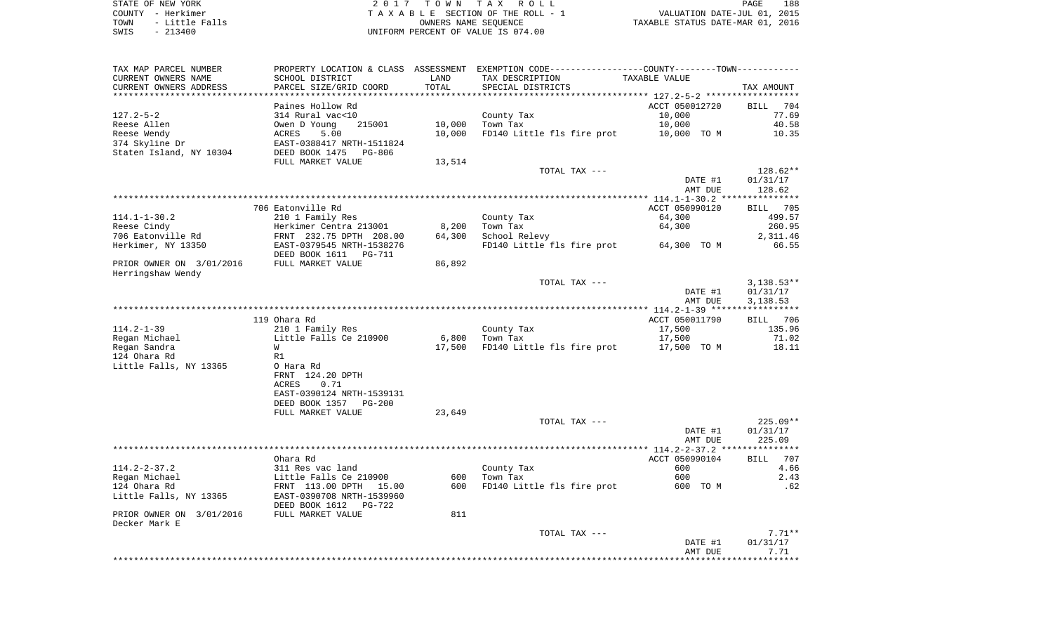| TAX MAP PARCEL NUMBER    | PROPERTY LOCATION & CLASS ASSESSMENT |        | EXEMPTION CODE-----------------COUNTY-------TOWN----------- |                |                    |
|--------------------------|--------------------------------------|--------|-------------------------------------------------------------|----------------|--------------------|
| CURRENT OWNERS NAME      | SCHOOL DISTRICT                      | LAND   | TAX DESCRIPTION                                             | TAXABLE VALUE  |                    |
| CURRENT OWNERS ADDRESS   | PARCEL SIZE/GRID COORD               | TOTAL  | SPECIAL DISTRICTS                                           |                | TAX AMOUNT         |
|                          |                                      |        |                                                             |                |                    |
|                          | Paines Hollow Rd                     |        |                                                             | ACCT 050012720 | BILL 704           |
| $127.2 - 5 - 2$          | 314 Rural vac<10                     |        | County Tax                                                  | 10,000         | 77.69              |
| Reese Allen              | Owen D Young<br>215001               | 10,000 | Town Tax                                                    | 10,000         | 40.58              |
| Reese Wendy              | 5.00<br>ACRES                        | 10,000 | FD140 Little fls fire prot                                  | 10,000 TO M    | 10.35              |
| 374 Skyline Dr           | EAST-0388417 NRTH-1511824            |        |                                                             |                |                    |
| Staten Island, NY 10304  | DEED BOOK 1475<br>PG-806             |        |                                                             |                |                    |
|                          | FULL MARKET VALUE                    | 13,514 |                                                             |                |                    |
|                          |                                      |        | TOTAL TAX ---                                               |                | 128.62**           |
|                          |                                      |        |                                                             | DATE #1        | 01/31/17           |
|                          |                                      |        |                                                             |                |                    |
|                          |                                      |        |                                                             | AMT DUE        | 128.62             |
|                          |                                      |        |                                                             |                |                    |
|                          | 706 Eatonville Rd                    |        |                                                             | ACCT 050990120 | 705<br><b>BILL</b> |
| $114.1 - 1 - 30.2$       | 210 1 Family Res                     |        | County Tax                                                  | 64,300         | 499.57             |
| Reese Cindy              | Herkimer Centra 213001               | 8,200  | Town Tax                                                    | 64,300         | 260.95             |
| 706 Eatonville Rd        | FRNT 232.75 DPTH 208.00              | 64,300 | School Relevy                                               |                | 2,311.46           |
| Herkimer, NY 13350       | EAST-0379545 NRTH-1538276            |        | FD140 Little fls fire prot                                  | 64,300 TO M    | 66.55              |
|                          | DEED BOOK 1611<br>PG-711             |        |                                                             |                |                    |
| PRIOR OWNER ON 3/01/2016 | FULL MARKET VALUE                    | 86,892 |                                                             |                |                    |
| Herringshaw Wendy        |                                      |        |                                                             |                |                    |
|                          |                                      |        | TOTAL TAX ---                                               |                | $3,138.53**$       |
|                          |                                      |        |                                                             | DATE #1        | 01/31/17           |
|                          |                                      |        |                                                             | AMT DUE        | 3,138.53           |
|                          |                                      |        |                                                             |                |                    |
|                          | 119 Ohara Rd                         |        |                                                             | ACCT 050011790 | BILL 706           |
| $114.2 - 1 - 39$         | 210 1 Family Res                     |        | County Tax                                                  | 17,500         | 135.96             |
| Regan Michael            | Little Falls Ce 210900               | 6,800  | Town Tax                                                    | 17,500         | 71.02              |
| Regan Sandra             | W                                    | 17,500 | FD140 Little fls fire prot                                  | 17,500 TO M    | 18.11              |
| 124 Ohara Rd             | R1                                   |        |                                                             |                |                    |
| Little Falls, NY 13365   | O Hara Rd                            |        |                                                             |                |                    |
|                          | FRNT 124.20 DPTH                     |        |                                                             |                |                    |
|                          | <b>ACRES</b><br>0.71                 |        |                                                             |                |                    |
|                          | EAST-0390124 NRTH-1539131            |        |                                                             |                |                    |
|                          | DEED BOOK 1357<br>$PG-200$           |        |                                                             |                |                    |
|                          | FULL MARKET VALUE                    | 23,649 |                                                             |                |                    |
|                          |                                      |        | TOTAL TAX ---                                               |                | $225.09**$         |
|                          |                                      |        |                                                             |                |                    |
|                          |                                      |        |                                                             | DATE #1        | 01/31/17           |
|                          |                                      |        |                                                             | AMT DUE        | 225.09             |
|                          |                                      |        |                                                             |                |                    |
|                          | Ohara Rd                             |        |                                                             | ACCT 050990104 | 707<br><b>BILL</b> |
| $114.2 - 2 - 37.2$       | 311 Res vac land                     |        | County Tax                                                  | 600            | 4.66               |
| Regan Michael            | Little Falls Ce 210900               | 600    | Town Tax                                                    | 600            | 2.43               |
| 124 Ohara Rd             | FRNT 113.00 DPTH 15.00               | 600    | FD140 Little fls fire prot                                  | 600 TO M       | .62                |
| Little Falls, NY 13365   | EAST-0390708 NRTH-1539960            |        |                                                             |                |                    |
|                          | DEED BOOK 1612<br>PG-722             |        |                                                             |                |                    |
| PRIOR OWNER ON 3/01/2016 | FULL MARKET VALUE                    | 811    |                                                             |                |                    |
| Decker Mark E            |                                      |        |                                                             |                |                    |
|                          |                                      |        | TOTAL TAX ---                                               |                | $7.71**$           |
|                          |                                      |        |                                                             | DATE #1        | 01/31/17           |
|                          |                                      |        |                                                             | AMT DUE        | 7.71               |
|                          |                                      |        |                                                             |                |                    |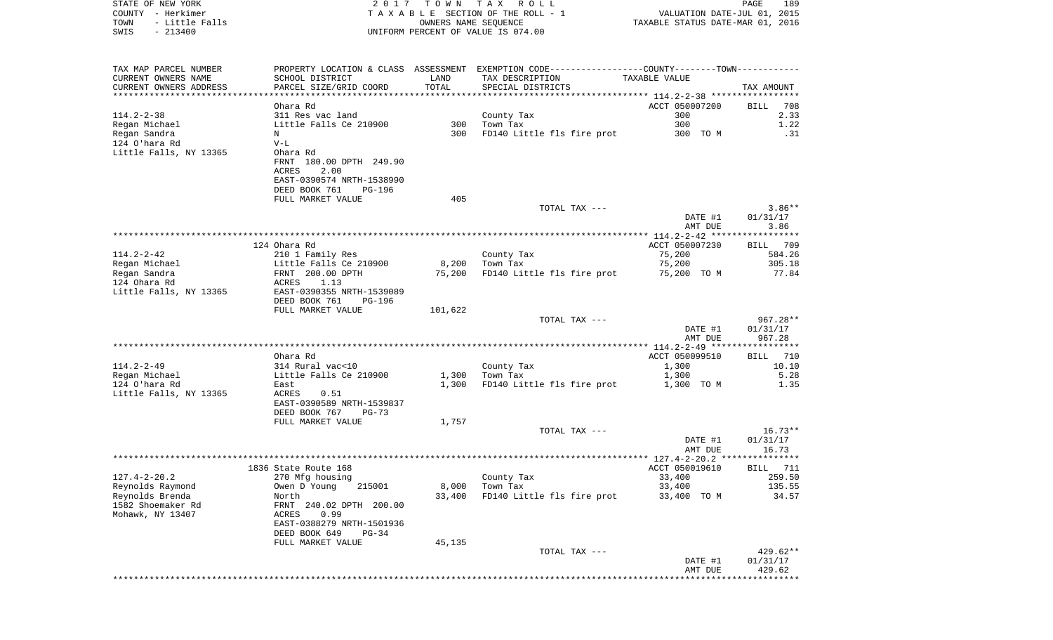| COUNTY - Herkimer<br>TOWN<br>- Little Falls<br>$-213400$<br>SWIS                                     |                                                                      | OWNERS NAME SEQUENCE | T A X A B L E SECTION OF THE ROLL - 1<br>UNIFORM PERCENT OF VALUE IS 074.00                                                           | VALUATION DATE-JUL 01, 2015<br>TAXABLE STATUS DATE-MAR 01, 2016 |                              |
|------------------------------------------------------------------------------------------------------|----------------------------------------------------------------------|----------------------|---------------------------------------------------------------------------------------------------------------------------------------|-----------------------------------------------------------------|------------------------------|
| TAX MAP PARCEL NUMBER<br>CURRENT OWNERS NAME<br>CURRENT OWNERS ADDRESS<br>************************** | SCHOOL DISTRICT<br>PARCEL SIZE/GRID COORD                            | LAND<br>TOTAL        | PROPERTY LOCATION & CLASS ASSESSMENT EXEMPTION CODE---------------COUNTY-------TOWN----------<br>TAX DESCRIPTION<br>SPECIAL DISTRICTS | TAXABLE VALUE                                                   | TAX AMOUNT                   |
|                                                                                                      | Ohara Rd                                                             |                      |                                                                                                                                       | ACCT 050007200                                                  | BILL<br>708                  |
| 114.2-2-38<br>Regan Michael                                                                          | 311 Res vac land<br>Little Falls Ce 210900                           |                      | County Tax<br>300 Town Tax                                                                                                            | 300<br>300                                                      | 2.33<br>1.22                 |
| Regan Sandra                                                                                         | N                                                                    | 300                  | FD140 Little fls fire prot                                                                                                            | 300 TO M                                                        | .31                          |
| 124 O'hara Rd                                                                                        | $V-L$                                                                |                      |                                                                                                                                       |                                                                 |                              |
| Little Falls, NY 13365                                                                               | Ohara Rd<br>FRNT 180.00 DPTH 249.90<br>2.00<br>ACRES                 |                      |                                                                                                                                       |                                                                 |                              |
|                                                                                                      | EAST-0390574 NRTH-1538990<br>DEED BOOK 761<br>PG-196                 |                      |                                                                                                                                       |                                                                 |                              |
|                                                                                                      | FULL MARKET VALUE                                                    | 405                  |                                                                                                                                       |                                                                 |                              |
|                                                                                                      |                                                                      |                      | TOTAL TAX ---                                                                                                                         | DATE #1<br>AMT DUE                                              | $3.86**$<br>01/31/17<br>3.86 |
|                                                                                                      |                                                                      |                      |                                                                                                                                       |                                                                 |                              |
|                                                                                                      | 124 Ohara Rd                                                         |                      |                                                                                                                                       | ACCT 050007230                                                  | BILL 709                     |
| 114.2-2-42<br>Regan Michael                                                                          | 210 1 Family Res<br>Little Falls Ce 210900                           | 8,200                | County Tax<br>Town Tax                                                                                                                | 75,200<br>75,200                                                | 584.26<br>305.18             |
| Regan Sandra                                                                                         | FRNT 200.00 DPTH                                                     |                      | 75,200 FD140 Little fls fire prot                                                                                                     | 75,200 TO M                                                     | 77.84                        |
| 124 Ohara Rd                                                                                         | ACRES<br>1.13                                                        |                      |                                                                                                                                       |                                                                 |                              |
| Little Falls, NY 13365                                                                               | EAST-0390355 NRTH-1539089<br>DEED BOOK 761<br>PG-196                 |                      |                                                                                                                                       |                                                                 |                              |
|                                                                                                      | FULL MARKET VALUE                                                    | 101,622              | TOTAL TAX ---                                                                                                                         |                                                                 | 967.28**                     |
|                                                                                                      |                                                                      |                      |                                                                                                                                       | DATE #1<br>AMT DUE                                              | 01/31/17<br>967.28           |
|                                                                                                      |                                                                      |                      |                                                                                                                                       |                                                                 |                              |
| 114.2-2-49                                                                                           | Ohara Rd<br>314 Rural vac<10                                         |                      | County Tax                                                                                                                            | ACCT 050099510<br>1,300                                         | BILL 710<br>10.10            |
| Regan Michael                                                                                        | Little Falls Ce 210900                                               | 1,300                | Town Tax                                                                                                                              | 1,300                                                           | 5.28                         |
| 124 O'hara Rd                                                                                        | East                                                                 | 1,300                | FD140 Little fls fire prot                                                                                                            | 1,300 TO M                                                      | 1.35                         |
| Little Falls, NY 13365                                                                               | 0.51<br>ACRES<br>EAST-0390589 NRTH-1539837<br>DEED BOOK 767<br>PG-73 |                      |                                                                                                                                       |                                                                 |                              |
|                                                                                                      | FULL MARKET VALUE                                                    | 1,757                |                                                                                                                                       |                                                                 |                              |
|                                                                                                      |                                                                      |                      | TOTAL TAX ---                                                                                                                         | DATE #1<br>AMT DUE                                              | 16.73**<br>01/31/17<br>16.73 |
|                                                                                                      |                                                                      |                      |                                                                                                                                       |                                                                 |                              |
|                                                                                                      | 1836 State Route 168                                                 |                      |                                                                                                                                       | ACCT 050019610                                                  | 711<br>BILL                  |
| 127.4-2-20.2                                                                                         | 270 Mfg housing                                                      |                      | County Tax                                                                                                                            | 33,400                                                          | 259.50                       |
| Reynolds Raymond<br>Reynolds Brenda                                                                  | 215001<br>Owen D Young<br>North                                      | 8,000<br>33,400      | Town Tax<br>FD140 Little fls fire prot                                                                                                | 33,400<br>33,400 TO M                                           | 135.55<br>34.57              |
| 1582 Shoemaker Rd                                                                                    | FRNT 240.02 DPTH 200.00                                              |                      |                                                                                                                                       |                                                                 |                              |
| Mohawk, NY 13407                                                                                     | ACRES<br>0.99<br>EAST-0388279 NRTH-1501936                           |                      |                                                                                                                                       |                                                                 |                              |
|                                                                                                      | DEED BOOK 649<br>$PG-34$                                             |                      |                                                                                                                                       |                                                                 |                              |
|                                                                                                      | FULL MARKET VALUE                                                    | 45,135               | TOTAL TAX ---                                                                                                                         |                                                                 | 429.62**                     |
|                                                                                                      |                                                                      |                      |                                                                                                                                       | DATE #1<br>AMT DUE                                              | 01/31/17<br>429.62           |
|                                                                                                      |                                                                      |                      |                                                                                                                                       |                                                                 | ********                     |

PAGE 189

STATE OF NEW YORK **EXECUTE:**  $2017$  TOWN TAX ROLL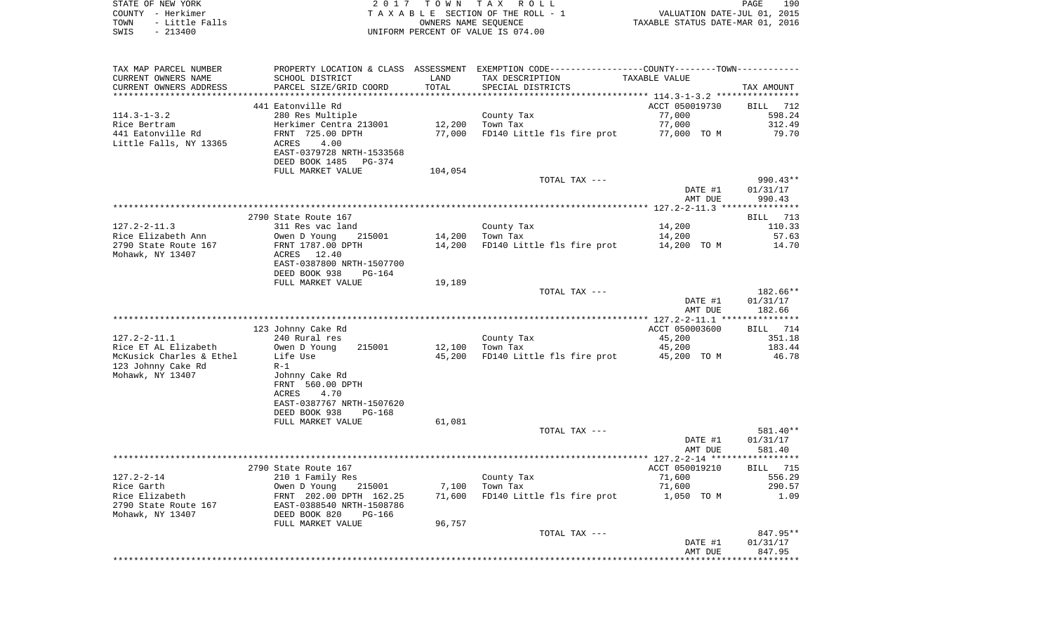|      | STATE OF NEW YORK | 2017 TOWN TAX ROLL                 | <b>PAGE</b>                      | 190 |
|------|-------------------|------------------------------------|----------------------------------|-----|
|      | COUNTY - Herkimer | TAXABLE SECTION OF THE ROLL - 1    | VALUATION DATE-JUL 01, 2015      |     |
| TOWN | - Little Falls    | OWNERS NAME SEOUENCE               | TAXABLE STATUS DATE-MAR 01, 2016 |     |
| SWIS | $-213400$         | UNIFORM PERCENT OF VALUE IS 074.00 |                                  |     |

| TAX MAP PARCEL NUMBER    | PROPERTY LOCATION & CLASS ASSESSMENT EXEMPTION CODE----------------COUNTY--------TOWN----------- |         |                                        |                |            |
|--------------------------|--------------------------------------------------------------------------------------------------|---------|----------------------------------------|----------------|------------|
| CURRENT OWNERS NAME      | SCHOOL DISTRICT                                                                                  | LAND    | TAX DESCRIPTION                        | TAXABLE VALUE  |            |
| CURRENT OWNERS ADDRESS   | PARCEL SIZE/GRID COORD                                                                           | TOTAL   | SPECIAL DISTRICTS                      |                | TAX AMOUNT |
|                          |                                                                                                  |         |                                        |                |            |
|                          | 441 Eatonville Rd                                                                                |         |                                        | ACCT 050019730 | BILL 712   |
| $114.3 - 1 - 3.2$        | 280 Res Multiple                                                                                 |         | County Tax                             | 77,000         | 598.24     |
| Rice Bertram             | Herkimer Centra 213001                                                                           | 12,200  | Town Tax                               | 77,000         | 312.49     |
| 441 Eatonville Rd        | FRNT 725.00 DPTH                                                                                 | 77,000  | FD140 Little fls fire prot 77,000 TO M |                | 79.70      |
| Little Falls, NY 13365   | 4.00<br>ACRES                                                                                    |         |                                        |                |            |
|                          | EAST-0379728 NRTH-1533568                                                                        |         |                                        |                |            |
|                          |                                                                                                  |         |                                        |                |            |
|                          | DEED BOOK 1485<br>PG-374                                                                         |         |                                        |                |            |
|                          | FULL MARKET VALUE                                                                                | 104,054 |                                        |                |            |
|                          |                                                                                                  |         | TOTAL TAX ---                          |                | $990.43**$ |
|                          |                                                                                                  |         |                                        | DATE #1        | 01/31/17   |
|                          |                                                                                                  |         |                                        | AMT DUE        | 990.43     |
|                          |                                                                                                  |         |                                        |                |            |
|                          | 2790 State Route 167                                                                             |         |                                        |                | BILL 713   |
| $127.2 - 2 - 11.3$       | 311 Res vac land                                                                                 |         | County Tax                             | 14,200         | 110.33     |
| Rice Elizabeth Ann       | 215001<br>Owen D Young                                                                           | 14,200  | Town Tax                               | 14,200         | 57.63      |
| 2790 State Route 167     | FRNT 1787.00 DPTH                                                                                |         | 14,200 FD140 Little fls fire prot      | 14,200 TO M    | 14.70      |
| Mohawk, NY 13407         | ACRES 12.40                                                                                      |         |                                        |                |            |
|                          | EAST-0387800 NRTH-1507700                                                                        |         |                                        |                |            |
|                          | DEED BOOK 938<br>PG-164                                                                          |         |                                        |                |            |
|                          | FULL MARKET VALUE                                                                                | 19,189  |                                        |                |            |
|                          |                                                                                                  |         | TOTAL TAX ---                          |                | 182.66**   |
|                          |                                                                                                  |         |                                        | DATE #1        | 01/31/17   |
|                          |                                                                                                  |         |                                        | AMT DUE        | 182.66     |
|                          |                                                                                                  |         |                                        |                |            |
|                          | 123 Johnny Cake Rd                                                                               |         |                                        | ACCT 050003600 | BILL 714   |
| 127.2-2-11.1             | 240 Rural res                                                                                    |         | County Tax                             | 45,200         | 351.18     |
|                          | 215001                                                                                           |         |                                        |                | 183.44     |
| Rice ET AL Elizabeth     | Owen D Young                                                                                     | 12,100  | Town Tax                               | 45,200         |            |
| McKusick Charles & Ethel | Life Use                                                                                         |         | 45,200 FD140 Little fls fire prot      | 45,200 TO M    | 46.78      |
| 123 Johnny Cake Rd       | $R-1$                                                                                            |         |                                        |                |            |
| Mohawk, NY 13407         | Johnny Cake Rd                                                                                   |         |                                        |                |            |
|                          | FRNT 560.00 DPTH                                                                                 |         |                                        |                |            |
|                          | 4.70<br>ACRES                                                                                    |         |                                        |                |            |
|                          | EAST-0387767 NRTH-1507620                                                                        |         |                                        |                |            |
|                          | DEED BOOK 938<br>$PG-168$                                                                        |         |                                        |                |            |
|                          | FULL MARKET VALUE                                                                                | 61,081  |                                        |                |            |
|                          |                                                                                                  |         | TOTAL TAX ---                          |                | 581.40**   |
|                          |                                                                                                  |         |                                        | DATE #1        | 01/31/17   |
|                          |                                                                                                  |         |                                        | AMT DUE        | 581.40     |
|                          |                                                                                                  |         |                                        |                |            |
|                          | 2790 State Route 167                                                                             |         |                                        | ACCT 050019210 | BILL 715   |
| $127.2 - 2 - 14$         | 210 1 Family Res                                                                                 |         | County Tax                             | 71,600         | 556.29     |
| Rice Garth               | Owen D Young<br>215001                                                                           |         | 7,100 Town Tax                         | 71,600         | 290.57     |
| Rice Elizabeth           | FRNT 202.00 DPTH 162.25                                                                          |         | 71,600 FD140 Little fls fire prot      | 1,050 TO M     | 1.09       |
| 2790 State Route 167     | EAST-0388540 NRTH-1508786<br>DEED BOOK 820 PG-166                                                |         |                                        |                |            |
| Mohawk, NY 13407         |                                                                                                  |         |                                        |                |            |
|                          | FULL MARKET VALUE                                                                                | 96,757  |                                        |                |            |
|                          |                                                                                                  |         | TOTAL TAX ---                          |                | 847.95**   |
|                          |                                                                                                  |         |                                        | DATE #1        | 01/31/17   |
|                          |                                                                                                  |         |                                        |                |            |
|                          |                                                                                                  |         |                                        | AMT DUE        | 847.95     |
|                          |                                                                                                  |         |                                        |                |            |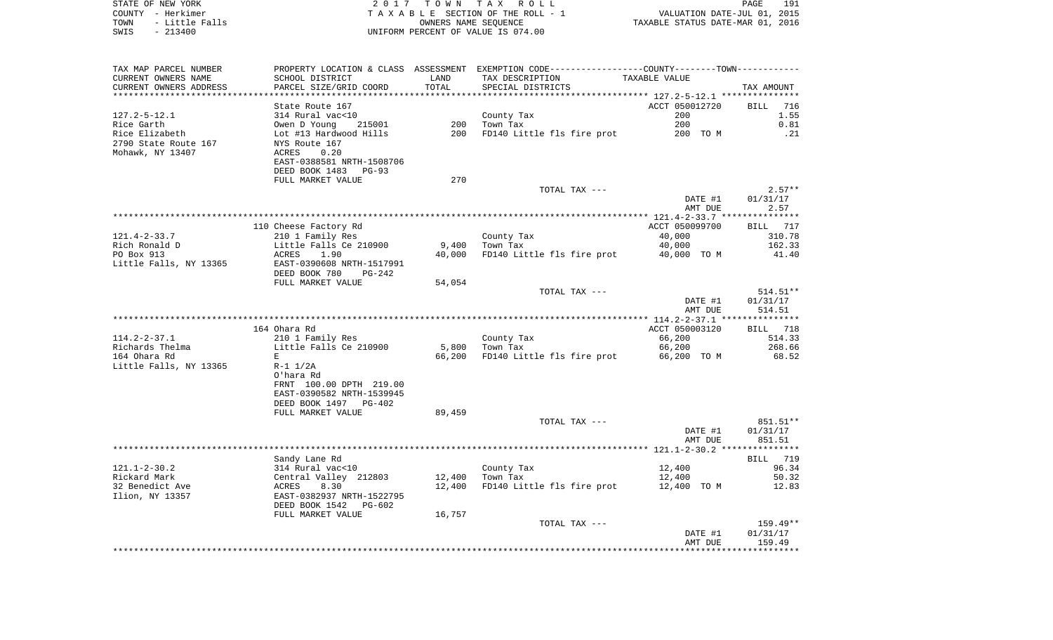| STATE OF NEW YORK<br>COUNTY - Herkimer<br>TOWN<br>- Little Falls<br>$-213400$<br>SWIS |                                            | OWNERS NAME SEQUENCE | 2017 TOWN TAX ROLL<br>TAXABLE SECTION OF THE ROLL - 1<br>UNIFORM PERCENT OF VALUE IS 074.00   | VALUATION DATE-JUL 01, 2015<br>TAXABLE STATUS DATE-MAR 01, 2016 | PAGE<br>191        |
|---------------------------------------------------------------------------------------|--------------------------------------------|----------------------|-----------------------------------------------------------------------------------------------|-----------------------------------------------------------------|--------------------|
| TAX MAP PARCEL NUMBER                                                                 |                                            |                      | PROPERTY LOCATION & CLASS ASSESSMENT EXEMPTION CODE---------------COUNTY-------TOWN---------- |                                                                 |                    |
| CURRENT OWNERS NAME                                                                   | SCHOOL DISTRICT                            | LAND                 | TAX DESCRIPTION                                                                               | TAXABLE VALUE                                                   |                    |
| CURRENT OWNERS ADDRESS                                                                | PARCEL SIZE/GRID COORD                     | TOTAL                | SPECIAL DISTRICTS                                                                             |                                                                 | TAX AMOUNT         |
| ***********************                                                               |                                            |                      |                                                                                               |                                                                 |                    |
|                                                                                       | State Route 167                            |                      |                                                                                               | ACCT 050012720                                                  | BILL<br>716        |
| $127.2 - 5 - 12.1$                                                                    | 314 Rural vac<10                           |                      | County Tax                                                                                    | 200                                                             | 1.55               |
| Rice Garth                                                                            | Owen D Young<br>215001                     | 200                  | Town Tax                                                                                      | 200                                                             | 0.81               |
| Rice Elizabeth                                                                        | Lot #13 Hardwood Hills                     | 200                  | FD140 Little fls fire prot                                                                    | 200 TO M                                                        | .21                |
| 2790 State Route 167                                                                  | NYS Route 167                              |                      |                                                                                               |                                                                 |                    |
| Mohawk, NY 13407                                                                      | ACRES<br>0.20<br>EAST-0388581 NRTH-1508706 |                      |                                                                                               |                                                                 |                    |
|                                                                                       | DEED BOOK 1483<br>PG-93                    |                      |                                                                                               |                                                                 |                    |
|                                                                                       | FULL MARKET VALUE                          | 270                  |                                                                                               |                                                                 |                    |
|                                                                                       |                                            |                      | TOTAL TAX ---                                                                                 |                                                                 | $2.57**$           |
|                                                                                       |                                            |                      |                                                                                               | DATE #1                                                         | 01/31/17           |
|                                                                                       |                                            |                      |                                                                                               | AMT DUE                                                         | 2.57               |
|                                                                                       |                                            |                      |                                                                                               |                                                                 |                    |
|                                                                                       | 110 Cheese Factory Rd                      |                      |                                                                                               | ACCT 050099700                                                  | BILL 717           |
| 121.4-2-33.7                                                                          | 210 1 Family Res                           |                      | County Tax                                                                                    | 40,000                                                          | 310.78             |
| Rich Ronald D                                                                         | Little Falls Ce 210900                     | 9,400                | Town Tax                                                                                      | 40,000                                                          | 162.33             |
| PO Box 913<br>Little Falls, NY 13365                                                  | 1.90<br>ACRES<br>EAST-0390608 NRTH-1517991 | 40,000               | FD140 Little fls fire prot                                                                    | 40,000 TO M                                                     | 41.40              |
|                                                                                       | DEED BOOK 780<br>PG-242                    |                      |                                                                                               |                                                                 |                    |
|                                                                                       | FULL MARKET VALUE                          | 54,054               |                                                                                               |                                                                 |                    |
|                                                                                       |                                            |                      | TOTAL TAX ---                                                                                 |                                                                 | 514.51**           |
|                                                                                       |                                            |                      |                                                                                               | DATE #1                                                         | 01/31/17           |
|                                                                                       |                                            |                      |                                                                                               | AMT DUE                                                         | 514.51             |
|                                                                                       |                                            |                      |                                                                                               |                                                                 |                    |
| 114.2-2-37.1                                                                          | 164 Ohara Rd                               |                      |                                                                                               | ACCT 050003120                                                  | BILL 718<br>514.33 |
| Richards Thelma                                                                       | 210 1 Family Res<br>Little Falls Ce 210900 | 5,800                | County Tax<br>Town Tax                                                                        | 66,200<br>66,200                                                | 268.66             |
| 164 Ohara Rd                                                                          | E                                          | 66,200               | FD140 Little fls fire prot                                                                    | 66,200 TO M                                                     | 68.52              |
| Little Falls, NY 13365                                                                | $R-1$ $1/2A$                               |                      |                                                                                               |                                                                 |                    |
|                                                                                       | O'hara Rd                                  |                      |                                                                                               |                                                                 |                    |
|                                                                                       | FRNT 100.00 DPTH 219.00                    |                      |                                                                                               |                                                                 |                    |
|                                                                                       | EAST-0390582 NRTH-1539945                  |                      |                                                                                               |                                                                 |                    |
|                                                                                       | DEED BOOK 1497 PG-402                      |                      |                                                                                               |                                                                 |                    |
|                                                                                       | FULL MARKET VALUE                          | 89,459               |                                                                                               |                                                                 |                    |
|                                                                                       |                                            |                      | TOTAL TAX ---                                                                                 |                                                                 | 851.51**           |
|                                                                                       |                                            |                      |                                                                                               | DATE #1<br>AMT DUE                                              | 01/31/17<br>851.51 |
|                                                                                       |                                            |                      |                                                                                               |                                                                 |                    |
|                                                                                       | Sandy Lane Rd                              |                      |                                                                                               |                                                                 | 719<br>BILL        |
| 121.1-2-30.2                                                                          | 314 Rural vac<10                           |                      | County Tax                                                                                    | 12,400                                                          | 96.34              |
| Rickard Mark                                                                          | Central Valley 212803                      | 12,400               | Town Tax                                                                                      | 12,400                                                          | 50.32              |
| 32 Benedict Ave                                                                       | ACRES<br>8.30                              | 12,400               | FD140 Little fls fire prot                                                                    | 12,400 TO M                                                     | 12.83              |
| Ilion, NY 13357                                                                       | EAST-0382937 NRTH-1522795                  |                      |                                                                                               |                                                                 |                    |
|                                                                                       | DEED BOOK 1542<br>PG-602                   |                      |                                                                                               |                                                                 |                    |
|                                                                                       | FULL MARKET VALUE                          | 16,757               |                                                                                               |                                                                 | 159.49**           |
|                                                                                       |                                            |                      | TOTAL TAX ---                                                                                 | DATE #1                                                         | 01/31/17           |
|                                                                                       |                                            |                      |                                                                                               | AMT DUE                                                         | 159.49             |
|                                                                                       |                                            |                      |                                                                                               |                                                                 |                    |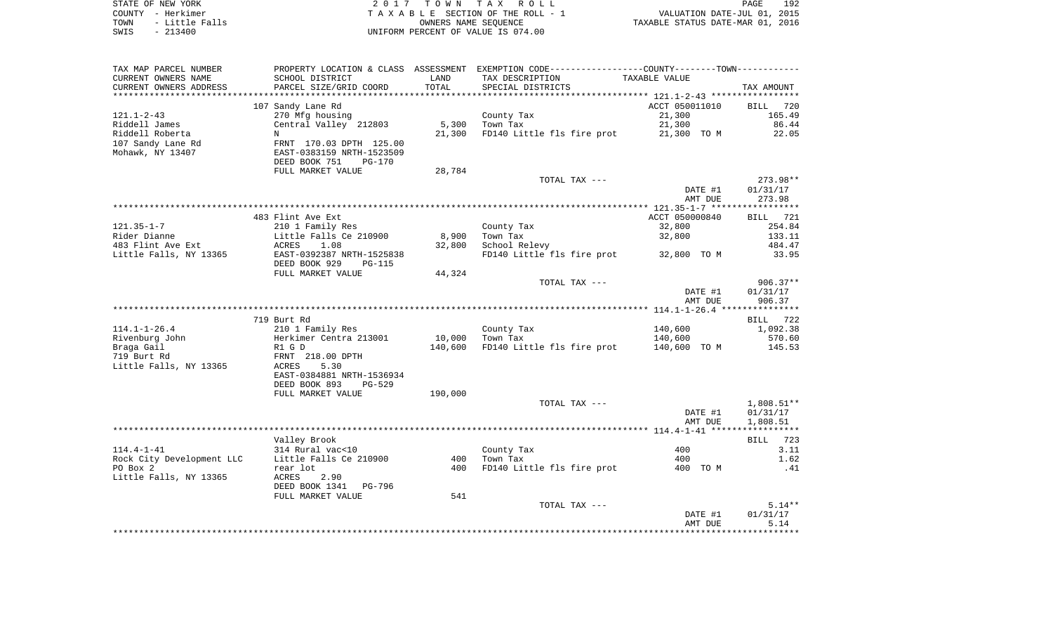| STATE OF NEW YORK      | 2017 TOWN TAX ROLL                 | 192<br>PAGE                      |
|------------------------|------------------------------------|----------------------------------|
| COUNTY - Herkimer      | TAXABLE SECTION OF THE ROLL - 1    | VALUATION DATE-JUL 01, 2015      |
| - Little Falls<br>TOWN | OWNERS NAME SEOUENCE               | TAXABLE STATUS DATE-MAR 01, 2016 |
| SWIS<br>$-213400$      | UNIFORM PERCENT OF VALUE IS 074.00 |                                  |

| TAX MAP PARCEL NUMBER     |                                                             |         | PROPERTY LOCATION & CLASS ASSESSMENT EXEMPTION CODE---------------COUNTY-------TOWN---------- |                |                 |
|---------------------------|-------------------------------------------------------------|---------|-----------------------------------------------------------------------------------------------|----------------|-----------------|
| CURRENT OWNERS NAME       | SCHOOL DISTRICT                                             | LAND    | TAX DESCRIPTION                                                                               | TAXABLE VALUE  |                 |
| CURRENT OWNERS ADDRESS    | PARCEL SIZE/GRID COORD                                      | TOTAL   | SPECIAL DISTRICTS                                                                             |                | TAX AMOUNT      |
| ***********************   |                                                             |         |                                                                                               |                |                 |
|                           | 107 Sandy Lane Rd                                           |         |                                                                                               | ACCT 050011010 | BILL 720        |
| 121.1-2-43                | 270 Mfg housing                                             |         | County Tax                                                                                    | 21,300         | 165.49          |
| Riddell James             | Central Valley 212803                                       | 5,300   | Town Tax                                                                                      | 21,300         | 86.44           |
| Riddell Roberta           | N                                                           | 21,300  | FD140 Little fls fire prot                                                                    | 21,300 TO M    | 22.05           |
| 107 Sandy Lane Rd         | FRNT 170.03 DPTH 125.00                                     |         |                                                                                               |                |                 |
| Mohawk, NY 13407          | EAST-0383159 NRTH-1523509                                   |         |                                                                                               |                |                 |
|                           | DEED BOOK 751<br><b>PG-170</b>                              |         |                                                                                               |                |                 |
|                           | FULL MARKET VALUE                                           | 28,784  |                                                                                               |                |                 |
|                           |                                                             |         | TOTAL TAX ---                                                                                 |                | 273.98**        |
|                           |                                                             |         |                                                                                               | DATE #1        | 01/31/17        |
|                           |                                                             |         |                                                                                               | AMT DUE        | 273.98          |
|                           |                                                             |         |                                                                                               |                |                 |
|                           | 483 Flint Ave Ext                                           |         |                                                                                               | ACCT 050000840 | <b>BILL</b> 721 |
| $121.35 - 1 - 7$          | 210 1 Family Res                                            |         | County Tax                                                                                    | 32,800         | 254.84          |
| Rider Dianne              | Little Falls Ce 210900                                      | 8,900   | Town Tax                                                                                      | 32,800         | 133.11          |
| 483 Flint Ave Ext         | 1.08<br>ACRES                                               | 32,800  | School Relevy                                                                                 |                | 484.47          |
| Little Falls, NY 13365    | EAST-0392387 NRTH-1525838<br>DEED BOOK 929<br><b>PG-115</b> |         | FD140 Little fls fire prot 32,800 TO M                                                        |                | 33.95           |
|                           | FULL MARKET VALUE                                           | 44,324  |                                                                                               |                |                 |
|                           |                                                             |         | TOTAL TAX ---                                                                                 |                | $906.37**$      |
|                           |                                                             |         |                                                                                               | DATE #1        | 01/31/17        |
|                           |                                                             |         |                                                                                               | AMT DUE        | 906.37          |
|                           |                                                             |         |                                                                                               |                |                 |
|                           | 719 Burt Rd                                                 |         |                                                                                               |                | BILL 722        |
| $114.1 - 1 - 26.4$        | 210 1 Family Res                                            |         | County Tax                                                                                    | 140,600        | 1,092.38        |
| Rivenburg John            | Herkimer Centra 213001                                      | 10,000  | Town Tax                                                                                      | 140,600        | 570.60          |
| Braga Gail                | R1 G D                                                      | 140,600 | FD140 Little fls fire prot                                                                    | 140,600 TO M   | 145.53          |
| 719 Burt Rd               | FRNT 218.00 DPTH                                            |         |                                                                                               |                |                 |
| Little Falls, NY 13365    | ACRES<br>5.30                                               |         |                                                                                               |                |                 |
|                           | EAST-0384881 NRTH-1536934                                   |         |                                                                                               |                |                 |
|                           | DEED BOOK 893<br>$PG-529$                                   |         |                                                                                               |                |                 |
|                           | FULL MARKET VALUE                                           | 190,000 |                                                                                               |                |                 |
|                           |                                                             |         | TOTAL TAX ---                                                                                 |                | $1,808.51**$    |
|                           |                                                             |         |                                                                                               | DATE #1        | 01/31/17        |
|                           |                                                             |         |                                                                                               | AMT DUE        | 1,808.51        |
|                           |                                                             |         |                                                                                               |                |                 |
|                           | Valley Brook                                                |         |                                                                                               |                | 723<br>BILL     |
| $114.4 - 1 - 41$          | 314 Rural vac<10                                            |         | County Tax                                                                                    | 400            | 3.11            |
| Rock City Development LLC | Little Falls Ce 210900                                      | 400     | Town Tax                                                                                      | 400            | 1.62            |
| PO Box 2                  | rear lot                                                    | 400     | FD140 Little fls fire prot                                                                    | 400 TO M       | .41             |
| Little Falls, NY 13365    | ACRES<br>2.90                                               |         |                                                                                               |                |                 |
|                           | DEED BOOK 1341<br>PG-796                                    |         |                                                                                               |                |                 |
|                           | FULL MARKET VALUE                                           | 541     |                                                                                               |                |                 |
|                           |                                                             |         | TOTAL TAX ---                                                                                 |                | $5.14**$        |
|                           |                                                             |         |                                                                                               | DATE #1        | 01/31/17        |
|                           |                                                             |         |                                                                                               | AMT DUE        | 5.14            |
|                           |                                                             |         |                                                                                               |                |                 |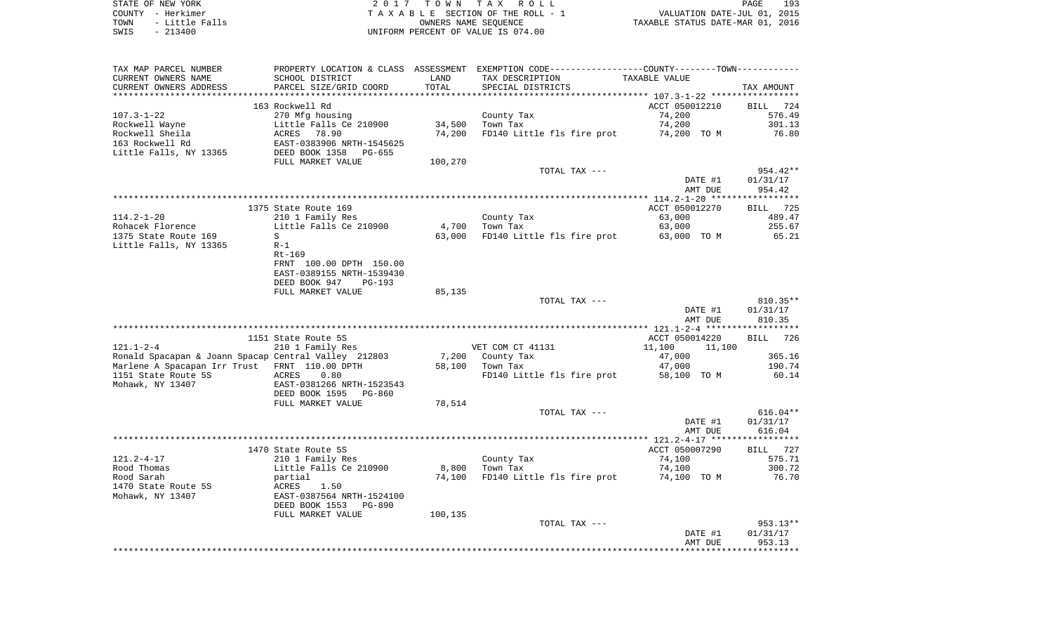| TAX MAP PARCEL NUMBER                                |                           |         | PROPERTY LOCATION & CLASS ASSESSMENT EXEMPTION CODE----------------COUNTY--------TOWN----------- |                  |                    |
|------------------------------------------------------|---------------------------|---------|--------------------------------------------------------------------------------------------------|------------------|--------------------|
| CURRENT OWNERS NAME                                  | SCHOOL DISTRICT           | LAND    | TAX DESCRIPTION                                                                                  | TAXABLE VALUE    |                    |
| CURRENT OWNERS ADDRESS                               | PARCEL SIZE/GRID COORD    | TOTAL   | SPECIAL DISTRICTS                                                                                |                  | TAX AMOUNT         |
|                                                      |                           |         |                                                                                                  |                  |                    |
|                                                      | 163 Rockwell Rd           |         |                                                                                                  | ACCT 050012210   | BILL<br>724        |
| $107.3 - 1 - 22$                                     | 270 Mfg housing           |         | County Tax                                                                                       | 74,200           | 576.49             |
| Rockwell Wayne                                       | Little Falls Ce 210900    | 34,500  | Town Tax                                                                                         | 74,200           | 301.13             |
| Rockwell Sheila                                      | ACRES<br>78.90            | 74,200  | FD140 Little fls fire prot                                                                       | 74,200 TO M      | 76.80              |
| 163 Rockwell Rd                                      | EAST-0383906 NRTH-1545625 |         |                                                                                                  |                  |                    |
| Little Falls, NY 13365                               | DEED BOOK 1358<br>PG-655  |         |                                                                                                  |                  |                    |
|                                                      | FULL MARKET VALUE         | 100,270 |                                                                                                  |                  |                    |
|                                                      |                           |         | TOTAL TAX ---                                                                                    |                  | 954.42**           |
|                                                      |                           |         |                                                                                                  | DATE #1          | 01/31/17           |
|                                                      |                           |         |                                                                                                  | AMT DUE          | 954.42             |
|                                                      |                           |         |                                                                                                  |                  |                    |
|                                                      | 1375 State Route 169      |         |                                                                                                  | ACCT 050012270   | 725<br>BILL        |
| $114.2 - 1 - 20$                                     | 210 1 Family Res          |         | County Tax                                                                                       | 63,000           | 489.47             |
| Rohacek Florence                                     | Little Falls Ce 210900    | 4,700   | Town Tax                                                                                         | 63,000           | 255.67             |
| 1375 State Route 169                                 | S                         | 63,000  | FD140 Little fls fire prot                                                                       | 63,000 TO M      | 65.21              |
| Little Falls, NY 13365                               | $R-1$                     |         |                                                                                                  |                  |                    |
|                                                      | $Rt-169$                  |         |                                                                                                  |                  |                    |
|                                                      | FRNT 100.00 DPTH 150.00   |         |                                                                                                  |                  |                    |
|                                                      | EAST-0389155 NRTH-1539430 |         |                                                                                                  |                  |                    |
|                                                      | DEED BOOK 947<br>PG-193   |         |                                                                                                  |                  |                    |
|                                                      | FULL MARKET VALUE         | 85,135  |                                                                                                  |                  |                    |
|                                                      |                           |         | TOTAL TAX ---                                                                                    |                  | 810.35**           |
|                                                      |                           |         |                                                                                                  | DATE #1          | 01/31/17           |
|                                                      |                           |         |                                                                                                  | AMT DUE          | 810.35             |
|                                                      | 1151 State Route 5S       |         |                                                                                                  | ACCT 050014220   | <b>BILL</b><br>726 |
| $121.1 - 2 - 4$                                      | 210 1 Family Res          |         | VET COM CT 41131                                                                                 | 11,100<br>11,100 |                    |
| Ronald Spacapan & Joann Spacap Central Valley 212803 |                           | 7,200   | County Tax                                                                                       | 47,000           | 365.16             |
| Marlene A Spacapan Irr Trust FRNT 110.00 DPTH        |                           | 58,100  | Town Tax                                                                                         | 47,000           | 190.74             |
| 1151 State Route 5S                                  | ACRES<br>0.80             |         | FD140 Little fls fire prot                                                                       | 58,100 TO M      | 60.14              |
| Mohawk, NY 13407                                     | EAST-0381266 NRTH-1523543 |         |                                                                                                  |                  |                    |
|                                                      | DEED BOOK 1595<br>PG-860  |         |                                                                                                  |                  |                    |
|                                                      | FULL MARKET VALUE         | 78,514  |                                                                                                  |                  |                    |
|                                                      |                           |         | TOTAL TAX ---                                                                                    |                  | $616.04**$         |
|                                                      |                           |         |                                                                                                  | DATE #1          | 01/31/17           |
|                                                      |                           |         |                                                                                                  | AMT DUE          | 616.04             |
|                                                      |                           |         |                                                                                                  |                  |                    |
|                                                      | 1470 State Route 5S       |         |                                                                                                  | ACCT 050007290   | <b>BILL</b><br>727 |
| $121.2 - 4 - 17$                                     | 210 1 Family Res          |         | County Tax                                                                                       | 74,100           | 575.71             |
| Rood Thomas                                          | Little Falls Ce 210900    | 8,800   | Town Tax                                                                                         | 74,100           | 300.72             |
| Rood Sarah                                           | partial                   | 74,100  | FD140 Little fls fire prot                                                                       | 74,100 TO M      | 76.70              |
| 1470 State Route 5S                                  | 1.50<br>ACRES             |         |                                                                                                  |                  |                    |
| Mohawk, NY 13407                                     | EAST-0387564 NRTH-1524100 |         |                                                                                                  |                  |                    |
|                                                      | DEED BOOK 1553<br>PG-890  |         |                                                                                                  |                  |                    |
|                                                      | FULL MARKET VALUE         | 100,135 |                                                                                                  |                  |                    |
|                                                      |                           |         | TOTAL TAX ---                                                                                    |                  | 953.13**           |
|                                                      |                           |         |                                                                                                  | DATE #1          | 01/31/17           |
|                                                      |                           |         |                                                                                                  | AMT DUE          | 953.13             |
|                                                      |                           |         |                                                                                                  |                  |                    |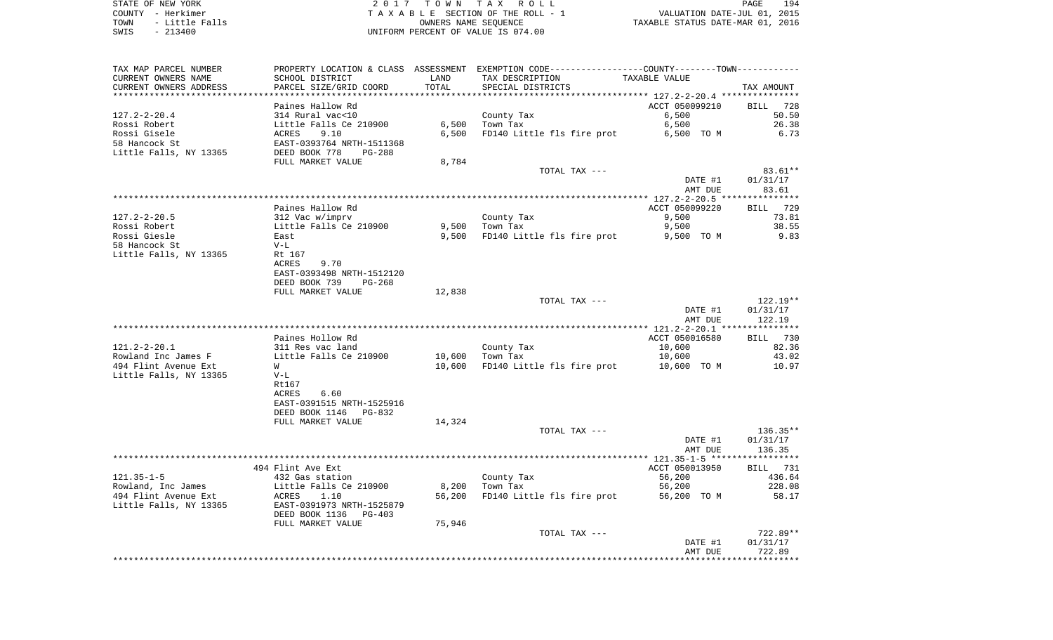| TAX MAP PARCEL NUMBER  |                            |        | PROPERTY LOCATION & CLASS ASSESSMENT EXEMPTION CODE----------------COUNTY-------TOWN-------- |                                           |                    |
|------------------------|----------------------------|--------|----------------------------------------------------------------------------------------------|-------------------------------------------|--------------------|
| CURRENT OWNERS NAME    | SCHOOL DISTRICT            | LAND   | TAX DESCRIPTION                                                                              | TAXABLE VALUE                             |                    |
| CURRENT OWNERS ADDRESS | PARCEL SIZE/GRID COORD     | TOTAL  | SPECIAL DISTRICTS                                                                            |                                           | TAX AMOUNT         |
|                        |                            |        |                                                                                              | ***************** 127.2-2-20.4 ********** |                    |
|                        | Paines Hallow Rd           |        |                                                                                              | ACCT 050099210                            | BILL<br>728        |
| $127.2 - 2 - 20.4$     | 314 Rural vac<10           |        | County Tax                                                                                   | 6,500                                     | 50.50              |
| Rossi Robert           | Little Falls Ce 210900     | 6,500  | Town Tax                                                                                     | 6,500                                     | 26.38              |
| Rossi Gisele           | ACRES<br>9.10              | 6,500  | FD140 Little fls fire prot                                                                   | 6,500 TO M                                | 6.73               |
| 58 Hancock St          | EAST-0393764 NRTH-1511368  |        |                                                                                              |                                           |                    |
| Little Falls, NY 13365 | DEED BOOK 778<br>PG-288    |        |                                                                                              |                                           |                    |
|                        | FULL MARKET VALUE          | 8,784  |                                                                                              |                                           |                    |
|                        |                            |        | TOTAL TAX ---                                                                                |                                           | $83.61**$          |
|                        |                            |        |                                                                                              | DATE #1                                   | 01/31/17           |
|                        |                            |        |                                                                                              | AMT DUE                                   | 83.61              |
|                        |                            |        |                                                                                              |                                           | ************       |
|                        | Paines Hallow Rd           |        |                                                                                              | ACCT 050099220                            | BILL 729           |
| $127.2 - 2 - 20.5$     | 312 Vac w/imprv            |        | County Tax                                                                                   | 9,500                                     | 73.81              |
| Rossi Robert           | Little Falls Ce 210900     | 9,500  | Town Tax                                                                                     | 9,500                                     | 38.55              |
| Rossi Giesle           | East                       | 9,500  | FD140 Little fls fire prot                                                                   | 9,500 TO M                                | 9.83               |
| 58 Hancock St          | $V-L$                      |        |                                                                                              |                                           |                    |
| Little Falls, NY 13365 | Rt 167                     |        |                                                                                              |                                           |                    |
|                        | 9.70<br>ACRES              |        |                                                                                              |                                           |                    |
|                        | EAST-0393498 NRTH-1512120  |        |                                                                                              |                                           |                    |
|                        | DEED BOOK 739<br>$PG-268$  |        |                                                                                              |                                           |                    |
|                        |                            |        |                                                                                              |                                           |                    |
|                        | FULL MARKET VALUE          | 12,838 | TOTAL TAX ---                                                                                |                                           | $122.19**$         |
|                        |                            |        |                                                                                              |                                           |                    |
|                        |                            |        |                                                                                              | DATE #1                                   | 01/31/17<br>122.19 |
|                        |                            |        |                                                                                              | AMT DUE                                   | **********         |
|                        |                            |        |                                                                                              |                                           |                    |
|                        | Paines Hollow Rd           |        |                                                                                              | ACCT 050016580                            | <b>BILL</b><br>730 |
| $121.2 - 2 - 20.1$     | 311 Res vac land           |        | County Tax                                                                                   | 10,600                                    | 82.36              |
| Rowland Inc James F    | Little Falls Ce 210900     | 10,600 | Town Tax                                                                                     | 10,600                                    | 43.02              |
| 494 Flint Avenue Ext   | W                          | 10,600 | FD140 Little fls fire prot                                                                   | 10,600 TO M                               | 10.97              |
| Little Falls, NY 13365 | $V-L$                      |        |                                                                                              |                                           |                    |
|                        | Rt167                      |        |                                                                                              |                                           |                    |
|                        | ACRES<br>6.60              |        |                                                                                              |                                           |                    |
|                        | EAST-0391515 NRTH-1525916  |        |                                                                                              |                                           |                    |
|                        | DEED BOOK 1146<br>PG-832   |        |                                                                                              |                                           |                    |
|                        | FULL MARKET VALUE          | 14,324 |                                                                                              |                                           |                    |
|                        |                            |        | TOTAL TAX ---                                                                                |                                           | $136.35**$         |
|                        |                            |        |                                                                                              | DATE #1                                   | 01/31/17           |
|                        |                            |        |                                                                                              | AMT DUE                                   | 136.35             |
|                        |                            |        |                                                                                              |                                           |                    |
|                        | 494 Flint Ave Ext          |        |                                                                                              | ACCT 050013950                            | <b>BILL</b> 731    |
| $121.35 - 1 - 5$       | 432 Gas station            |        | County Tax                                                                                   | 56,200                                    | 436.64             |
| Rowland, Inc James     | Little Falls Ce 210900     | 8,200  | Town Tax                                                                                     | 56,200                                    | 228.08             |
| 494 Flint Avenue Ext   | <b>ACRES</b><br>1.10       | 56,200 | FD140 Little fls fire prot                                                                   | 56,200 TO M                               | 58.17              |
| Little Falls, NY 13365 | EAST-0391973 NRTH-1525879  |        |                                                                                              |                                           |                    |
|                        | DEED BOOK 1136<br>$PG-403$ |        |                                                                                              |                                           |                    |
|                        | FULL MARKET VALUE          | 75,946 |                                                                                              |                                           |                    |
|                        |                            |        | TOTAL TAX ---                                                                                |                                           | 722.89**           |
|                        |                            |        |                                                                                              | DATE #1                                   | 01/31/17           |
|                        |                            |        |                                                                                              | AMT DUE                                   | 722.89             |
|                        |                            |        |                                                                                              |                                           |                    |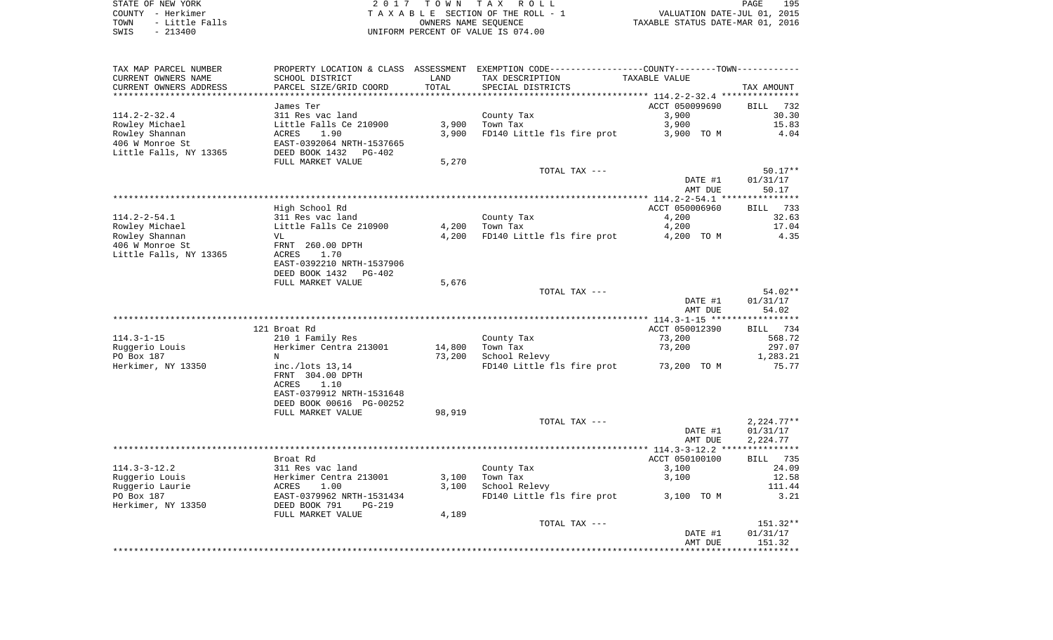| TAX MAP PARCEL NUMBER  |                                |        | PROPERTY LOCATION & CLASS ASSESSMENT EXEMPTION CODE---------------COUNTY-------TOWN---------- |                                                |              |
|------------------------|--------------------------------|--------|-----------------------------------------------------------------------------------------------|------------------------------------------------|--------------|
| CURRENT OWNERS NAME    | SCHOOL DISTRICT                | LAND   | TAX DESCRIPTION                                                                               | TAXABLE VALUE                                  |              |
| CURRENT OWNERS ADDRESS | PARCEL SIZE/GRID COORD         | TOTAL  | SPECIAL DISTRICTS                                                                             |                                                | TAX AMOUNT   |
|                        |                                |        |                                                                                               |                                                |              |
|                        | James Ter                      |        |                                                                                               | ACCT 050099690                                 | BILL 732     |
| $114.2 - 2 - 32.4$     | 311 Res vac land               |        | County Tax                                                                                    | 3,900                                          | 30.30        |
| Rowley Michael         | Little Falls Ce 210900         | 3,900  | Town Tax                                                                                      | 3,900                                          | 15.83        |
| Rowley Shannan         | 1.90<br>ACRES                  | 3,900  | FD140 Little fls fire prot                                                                    | 3,900 TO M                                     | 4.04         |
| 406 W Monroe St        | EAST-0392064 NRTH-1537665      |        |                                                                                               |                                                |              |
| Little Falls, NY 13365 | DEED BOOK 1432<br>PG-402       |        |                                                                                               |                                                |              |
|                        | FULL MARKET VALUE              | 5,270  |                                                                                               |                                                |              |
|                        |                                |        | TOTAL TAX ---                                                                                 |                                                | $50.17**$    |
|                        |                                |        |                                                                                               | DATE #1                                        | 01/31/17     |
|                        |                                |        |                                                                                               | AMT DUE                                        | 50.17        |
|                        |                                |        |                                                                                               |                                                |              |
|                        | High School Rd                 |        |                                                                                               | ACCT 050006960                                 | 733<br>BILL  |
| $114.2 - 2 - 54.1$     | 311 Res vac land               |        | County Tax                                                                                    | 4,200                                          | 32.63        |
| Rowley Michael         | Little Falls Ce 210900         | 4,200  | Town Tax                                                                                      | 4,200                                          | 17.04        |
| Rowley Shannan         | VL                             | 4,200  | FD140 Little fls fire prot                                                                    | 4,200 TO M                                     | 4.35         |
| 406 W Monroe St        | FRNT 260.00 DPTH               |        |                                                                                               |                                                |              |
| Little Falls, NY 13365 | <b>ACRES</b><br>1.70           |        |                                                                                               |                                                |              |
|                        | EAST-0392210 NRTH-1537906      |        |                                                                                               |                                                |              |
|                        | DEED BOOK 1432<br>$PG-402$     |        |                                                                                               |                                                |              |
|                        | FULL MARKET VALUE              | 5,676  |                                                                                               |                                                |              |
|                        |                                |        | TOTAL TAX ---                                                                                 |                                                | 54.02**      |
|                        |                                |        |                                                                                               | DATE #1                                        | 01/31/17     |
|                        |                                |        |                                                                                               | AMT DUE                                        | 54.02        |
|                        | **********                     |        | ***********************************                                                           | **************** 114.3-1-15 ****************** |              |
|                        | 121 Broat Rd                   |        |                                                                                               | ACCT 050012390                                 | BILL 734     |
| $114.3 - 1 - 15$       | 210 1 Family Res               |        | County Tax                                                                                    | 73,200                                         | 568.72       |
| Ruggerio Louis         | Herkimer Centra 213001         | 14,800 | Town Tax                                                                                      | 73,200                                         | 297.07       |
| PO Box 187             | N                              | 73,200 | School Relevy                                                                                 |                                                | 1,283.21     |
| Herkimer, NY 13350     | inc./lots 13,14                |        | FD140 Little fls fire prot                                                                    | 73,200 TO M                                    | 75.77        |
|                        | FRNT 304.00 DPTH               |        |                                                                                               |                                                |              |
|                        | <b>ACRES</b><br>1.10           |        |                                                                                               |                                                |              |
|                        | EAST-0379912 NRTH-1531648      |        |                                                                                               |                                                |              |
|                        | DEED BOOK 00616 PG-00252       |        |                                                                                               |                                                |              |
|                        | FULL MARKET VALUE              | 98,919 |                                                                                               |                                                |              |
|                        |                                |        | TOTAL TAX ---                                                                                 |                                                | $2,224.77**$ |
|                        |                                |        |                                                                                               | DATE #1                                        | 01/31/17     |
|                        |                                |        |                                                                                               | AMT DUE                                        | 2,224.77     |
|                        |                                |        |                                                                                               |                                                |              |
|                        | Broat Rd                       |        |                                                                                               | ACCT 050100100                                 | BILL 735     |
| $114.3 - 3 - 12.2$     | 311 Res vac land               |        | County Tax                                                                                    | 3,100                                          | 24.09        |
| Ruggerio Louis         | Herkimer Centra 213001         | 3,100  | Town Tax                                                                                      | 3,100                                          | 12.58        |
| Ruggerio Laurie        | ACRES<br>1.00                  | 3,100  | School Relevy                                                                                 |                                                | 111.44       |
| PO Box 187             | EAST-0379962 NRTH-1531434      |        | FD140 Little fls fire prot                                                                    | 3,100 TO M                                     | 3.21         |
| Herkimer, NY 13350     | DEED BOOK 791<br><b>PG-219</b> |        |                                                                                               |                                                |              |
|                        |                                |        |                                                                                               |                                                |              |
|                        | FULL MARKET VALUE              | 4,189  | TOTAL TAX ---                                                                                 |                                                | 151.32**     |
|                        |                                |        |                                                                                               | DATE #1                                        | 01/31/17     |
|                        |                                |        |                                                                                               | AMT DUE                                        | 151.32       |
|                        |                                |        |                                                                                               |                                                |              |
|                        |                                |        |                                                                                               |                                                |              |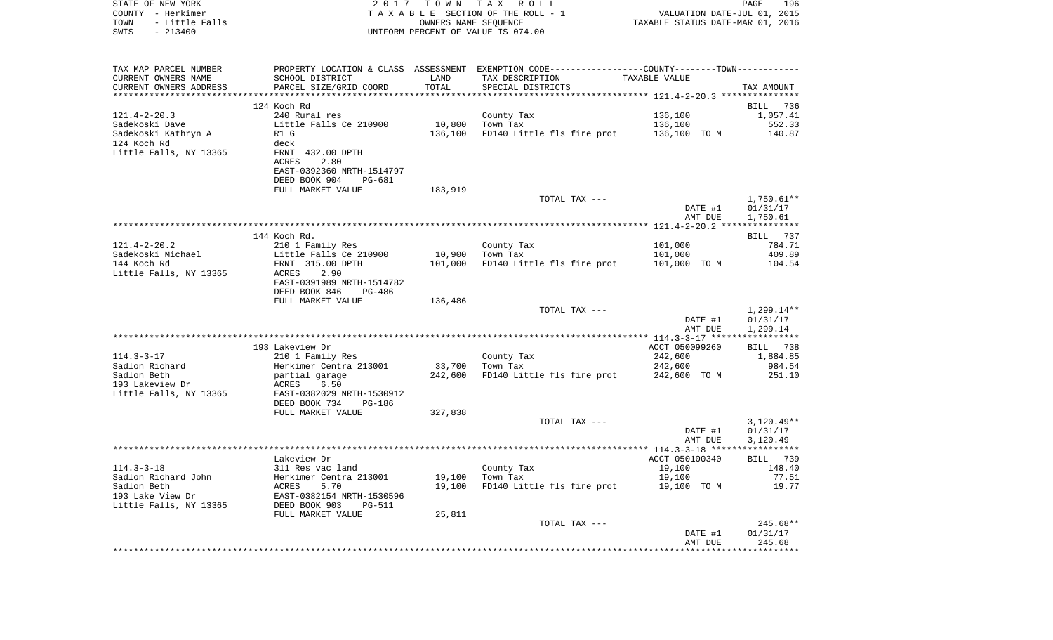| STATE OF NEW YORK<br>COUNTY - Herkimer<br>- Little Falls<br>TOWN<br>$-213400$<br>SWIS | 2017                                       |                   | TOWN TAX ROLL<br>TAXABLE SECTION OF THE ROLL - 1<br>OWNERS NAME SEQUENCE<br>UNIFORM PERCENT OF VALUE IS 074.00 | VALUATION DATE-JUL 01, 2015<br>TAXABLE STATUS DATE-MAR 01, 2016 | PAGE<br>196           |
|---------------------------------------------------------------------------------------|--------------------------------------------|-------------------|----------------------------------------------------------------------------------------------------------------|-----------------------------------------------------------------|-----------------------|
| TAX MAP PARCEL NUMBER                                                                 |                                            |                   | PROPERTY LOCATION & CLASS ASSESSMENT EXEMPTION CODE---------------COUNTY-------TOWN----------                  |                                                                 |                       |
| CURRENT OWNERS NAME                                                                   | SCHOOL DISTRICT                            | LAND              | TAX DESCRIPTION                                                                                                | TAXABLE VALUE                                                   |                       |
| CURRENT OWNERS ADDRESS                                                                | PARCEL SIZE/GRID COORD                     | TOTAL             | SPECIAL DISTRICTS                                                                                              |                                                                 | TAX AMOUNT            |
| **************************                                                            |                                            |                   |                                                                                                                |                                                                 |                       |
|                                                                                       | 124 Koch Rd<br>240 Rural res               |                   |                                                                                                                |                                                                 | BILL<br>736           |
| $121.4 - 2 - 20.3$<br>Sadekoski Dave                                                  | Little Falls Ce 210900                     | 10,800            | County Tax<br>Town Tax                                                                                         | 136,100<br>136,100                                              | 1,057.41<br>552.33    |
| Sadekoski Kathryn A                                                                   | R1 G                                       | 136,100           | FD140 Little fls fire prot                                                                                     | 136,100 TO M                                                    | 140.87                |
| 124 Koch Rd                                                                           | deck                                       |                   |                                                                                                                |                                                                 |                       |
| Little Falls, NY 13365                                                                | FRNT 432.00 DPTH                           |                   |                                                                                                                |                                                                 |                       |
|                                                                                       | 2.80<br>ACRES                              |                   |                                                                                                                |                                                                 |                       |
|                                                                                       | EAST-0392360 NRTH-1514797                  |                   |                                                                                                                |                                                                 |                       |
|                                                                                       | DEED BOOK 904<br>PG-681                    |                   |                                                                                                                |                                                                 |                       |
|                                                                                       | FULL MARKET VALUE                          | 183,919           | TOTAL TAX ---                                                                                                  |                                                                 | $1,750.61**$          |
|                                                                                       |                                            |                   |                                                                                                                | DATE #1                                                         | 01/31/17              |
|                                                                                       |                                            |                   |                                                                                                                | AMT DUE                                                         | 1,750.61              |
|                                                                                       |                                            |                   |                                                                                                                |                                                                 |                       |
|                                                                                       | 144 Koch Rd.                               |                   |                                                                                                                |                                                                 | BILL 737              |
| $121.4 - 2 - 20.2$                                                                    | 210 1 Family Res                           |                   | County Tax<br>Town Tax                                                                                         | 101,000                                                         | 784.71                |
| Sadekoski Michael<br>144 Koch Rd                                                      | Little Falls Ce 210900<br>FRNT 315.00 DPTH | 10,900<br>101,000 | FD140 Little fls fire prot                                                                                     | 101,000<br>101,000 TO M                                         | 409.89<br>104.54      |
| Little Falls, NY 13365                                                                | ACRES<br>2.90                              |                   |                                                                                                                |                                                                 |                       |
|                                                                                       | EAST-0391989 NRTH-1514782                  |                   |                                                                                                                |                                                                 |                       |
|                                                                                       | DEED BOOK 846<br>PG-486                    |                   |                                                                                                                |                                                                 |                       |
|                                                                                       | FULL MARKET VALUE                          | 136,486           |                                                                                                                |                                                                 |                       |
|                                                                                       |                                            |                   | TOTAL TAX ---                                                                                                  |                                                                 | 1,299.14**            |
|                                                                                       |                                            |                   |                                                                                                                | DATE #1<br>AMT DUE                                              | 01/31/17<br>1,299.14  |
|                                                                                       |                                            |                   |                                                                                                                |                                                                 |                       |
|                                                                                       | 193 Lakeview Dr                            |                   |                                                                                                                | ACCT 050099260                                                  | 738<br>BILL           |
| $114.3 - 3 - 17$                                                                      | 210 1 Family Res                           |                   | County Tax                                                                                                     | 242,600                                                         | 1,884.85              |
| Sadlon Richard                                                                        | Herkimer Centra 213001                     | 33,700            | Town Tax                                                                                                       | 242,600                                                         | 984.54                |
| Sadlon Beth                                                                           | partial garage                             | 242,600           | FD140 Little fls fire prot                                                                                     | 242,600 TO M                                                    | 251.10                |
| 193 Lakeview Dr<br>Little Falls, NY 13365                                             | ACRES<br>6.50<br>EAST-0382029 NRTH-1530912 |                   |                                                                                                                |                                                                 |                       |
|                                                                                       | DEED BOOK 734<br>PG-186                    |                   |                                                                                                                |                                                                 |                       |
|                                                                                       | FULL MARKET VALUE                          | 327,838           |                                                                                                                |                                                                 |                       |
|                                                                                       |                                            |                   | TOTAL TAX ---                                                                                                  |                                                                 | $3,120.49**$          |
|                                                                                       |                                            |                   |                                                                                                                | DATE #1                                                         | 01/31/17              |
|                                                                                       |                                            |                   |                                                                                                                | AMT DUE                                                         | 3,120.49              |
|                                                                                       |                                            |                   |                                                                                                                |                                                                 |                       |
| $114.3 - 3 - 18$                                                                      | Lakeview Dr<br>311 Res vac land            |                   | County Tax                                                                                                     | ACCT 050100340<br>19,100                                        | 739<br>BILL<br>148.40 |
| Sadlon Richard John                                                                   | Herkimer Centra 213001                     | 19,100            | Town Tax                                                                                                       | 19,100                                                          | 77.51                 |
| Sadlon Beth                                                                           | 5.70<br>ACRES                              | 19,100            | FD140 Little fls fire prot                                                                                     | 19,100 TO M                                                     | 19.77                 |
| 193 Lake View Dr                                                                      | EAST-0382154 NRTH-1530596                  |                   |                                                                                                                |                                                                 |                       |
| Little Falls, NY 13365                                                                | DEED BOOK 903<br>PG-511                    |                   |                                                                                                                |                                                                 |                       |
|                                                                                       | FULL MARKET VALUE                          | 25,811            |                                                                                                                |                                                                 |                       |
|                                                                                       |                                            |                   | TOTAL TAX ---                                                                                                  | DATE #1                                                         | 245.68**<br>01/31/17  |
|                                                                                       |                                            |                   |                                                                                                                | AMT DUE                                                         | 245.68                |
|                                                                                       |                                            |                   |                                                                                                                |                                                                 |                       |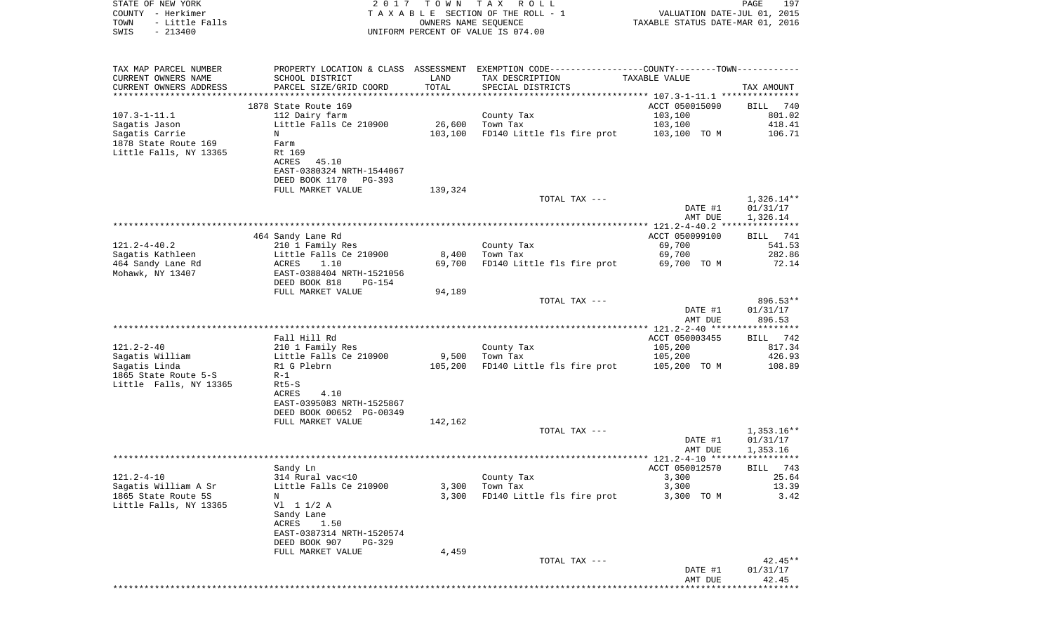| STATE OF NEW YORK<br>COUNTY - Herkimer | 2017                                                 | T O W N | TAX ROLL<br>TAXABLE SECTION OF THE ROLL - 1                                                   | VALUATION DATE-JUL 01,           | PAGE<br>197<br>2015      |
|----------------------------------------|------------------------------------------------------|---------|-----------------------------------------------------------------------------------------------|----------------------------------|--------------------------|
| - Little Falls<br>TOWN                 |                                                      |         | OWNERS NAME SEQUENCE                                                                          | TAXABLE STATUS DATE-MAR 01, 2016 |                          |
| $-213400$<br>SWIS                      |                                                      |         | UNIFORM PERCENT OF VALUE IS 074.00                                                            |                                  |                          |
| TAX MAP PARCEL NUMBER                  |                                                      |         | PROPERTY LOCATION & CLASS ASSESSMENT EXEMPTION CODE---------------COUNTY-------TOWN---------- |                                  |                          |
| CURRENT OWNERS NAME                    | SCHOOL DISTRICT                                      | LAND    | TAX DESCRIPTION                                                                               | TAXABLE VALUE                    |                          |
| CURRENT OWNERS ADDRESS                 | PARCEL SIZE/GRID COORD                               | TOTAL   | SPECIAL DISTRICTS                                                                             |                                  | TAX AMOUNT               |
| *********************                  |                                                      |         |                                                                                               |                                  |                          |
| $107.3 - 1 - 11.1$                     | 1878 State Route 169<br>112 Dairy farm               |         |                                                                                               | ACCT 050015090<br>103,100        | 740<br>BILL<br>801.02    |
| Sagatis Jason                          | Little Falls Ce 210900                               | 26,600  | County Tax<br>Town Tax                                                                        | 103,100                          | 418.41                   |
| Sagatis Carrie                         | N                                                    | 103,100 | FD140 Little fls fire prot                                                                    | 103,100 TO M                     | 106.71                   |
| 1878 State Route 169                   | Farm                                                 |         |                                                                                               |                                  |                          |
| Little Falls, NY 13365                 | Rt 169                                               |         |                                                                                               |                                  |                          |
|                                        | 45.10<br>ACRES                                       |         |                                                                                               |                                  |                          |
|                                        | EAST-0380324 NRTH-1544067                            |         |                                                                                               |                                  |                          |
|                                        | DEED BOOK 1170 PG-393                                |         |                                                                                               |                                  |                          |
|                                        | FULL MARKET VALUE                                    | 139,324 | TOTAL TAX ---                                                                                 |                                  | 1,326.14**               |
|                                        |                                                      |         |                                                                                               | DATE #1                          | 01/31/17                 |
|                                        |                                                      |         |                                                                                               | AMT DUE                          | 1,326.14                 |
|                                        |                                                      |         |                                                                                               |                                  |                          |
|                                        | 464 Sandy Lane Rd                                    |         |                                                                                               | ACCT 050099100                   | 741<br>BILL              |
| $121.2 - 4 - 40.2$                     | 210 1 Family Res                                     |         | County Tax                                                                                    | 69,700                           | 541.53                   |
| Sagatis Kathleen                       | Little Falls Ce 210900                               | 8,400   | Town Tax                                                                                      | 69,700                           | 282.86                   |
| 464 Sandy Lane Rd                      | 1.10<br>ACRES                                        | 69,700  | FD140 Little fls fire prot                                                                    | 69,700 TO M                      | 72.14                    |
| Mohawk, NY 13407                       | EAST-0388404 NRTH-1521056<br>DEED BOOK 818<br>PG-154 |         |                                                                                               |                                  |                          |
|                                        | FULL MARKET VALUE                                    | 94,189  |                                                                                               |                                  |                          |
|                                        |                                                      |         | TOTAL TAX ---                                                                                 |                                  | 896.53**                 |
|                                        |                                                      |         |                                                                                               | DATE #1                          | 01/31/17                 |
|                                        |                                                      |         |                                                                                               | AMT DUE                          | 896.53                   |
|                                        |                                                      |         |                                                                                               |                                  |                          |
|                                        | Fall Hill Rd                                         |         |                                                                                               | ACCT 050003455                   | BILL<br>742              |
| $121.2 - 2 - 40$<br>Sagatis William    | 210 1 Family Res<br>Little Falls Ce 210900           | 9,500   | County Tax<br>Town Tax                                                                        | 105,200<br>105,200               | 817.34<br>426.93         |
| Sagatis Linda                          | R1 G Plebrn                                          | 105,200 | FD140 Little fls fire prot                                                                    | 105,200 TO M                     | 108.89                   |
| 1865 State Route 5-S                   | $R-1$                                                |         |                                                                                               |                                  |                          |
| Little Falls, NY 13365                 | $Rt5-S$                                              |         |                                                                                               |                                  |                          |
|                                        | 4.10<br>ACRES                                        |         |                                                                                               |                                  |                          |
|                                        | EAST-0395083 NRTH-1525867                            |         |                                                                                               |                                  |                          |
|                                        | DEED BOOK 00652 PG-00349                             |         |                                                                                               |                                  |                          |
|                                        | FULL MARKET VALUE                                    | 142,162 |                                                                                               |                                  |                          |
|                                        |                                                      |         | TOTAL TAX ---                                                                                 |                                  | $1,353.16**$<br>01/31/17 |
|                                        |                                                      |         |                                                                                               | DATE #1<br>AMT DUE               | 1,353.16                 |
|                                        |                                                      |         |                                                                                               |                                  |                          |
|                                        | Sandy Ln                                             |         |                                                                                               | ACCT 050012570                   | BILL 743                 |
| $121.2 - 4 - 10$                       | 314 Rural vac<10                                     |         | County Tax                                                                                    | 3,300                            | 25.64                    |
| Sagatis William A Sr                   | Little Falls Ce 210900                               | 3,300   | Town Tax                                                                                      | 3,300                            | 13.39                    |
| 1865 State Route 5S                    | Ν                                                    | 3,300   | FD140 Little fls fire prot                                                                    | 3,300 TO M                       | 3.42                     |
| Little Falls, NY 13365                 | $VI$ 1 1/2 A<br>Sandy Lane                           |         |                                                                                               |                                  |                          |
|                                        | ACRES<br>1.50                                        |         |                                                                                               |                                  |                          |
|                                        | EAST-0387314 NRTH-1520574                            |         |                                                                                               |                                  |                          |
|                                        | DEED BOOK 907<br>PG-329                              |         |                                                                                               |                                  |                          |
|                                        | FULL MARKET VALUE                                    | 4,459   |                                                                                               |                                  |                          |
|                                        |                                                      |         | TOTAL TAX ---                                                                                 |                                  | $42.45**$                |
|                                        |                                                      |         |                                                                                               | DATE #1                          | 01/31/17                 |
|                                        |                                                      |         |                                                                                               | AMT DUE                          | 42.45                    |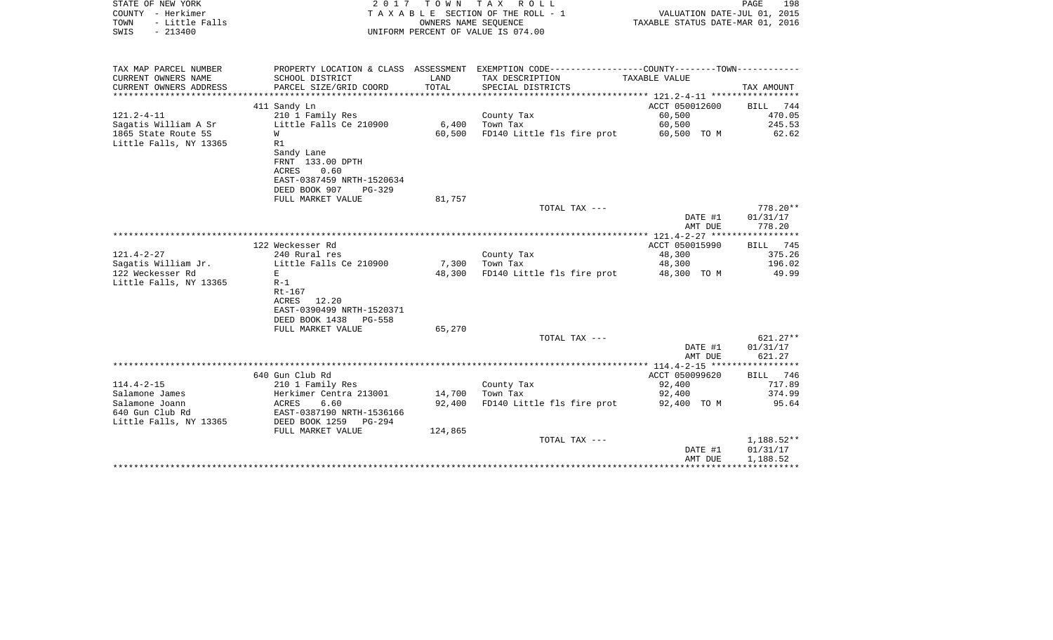| STATE OF NEW YORK<br>COUNTY - Herkimer<br>- Little Falls<br>TOWN<br>$-213400$<br>SWIS | 2017                                                                         | T O W N       | TAX ROLL<br>T A X A B L E SECTION OF THE ROLL - 1<br>OWNERS NAME SEOUENCE<br>UNIFORM PERCENT OF VALUE IS 074.00 | VALUATION DATE-JUL 01, 2015<br>TAXABLE STATUS DATE-MAR 01, 2016 | PAGE<br>198        |
|---------------------------------------------------------------------------------------|------------------------------------------------------------------------------|---------------|-----------------------------------------------------------------------------------------------------------------|-----------------------------------------------------------------|--------------------|
| TAX MAP PARCEL NUMBER                                                                 |                                                                              |               | PROPERTY LOCATION & CLASS ASSESSMENT EXEMPTION CODE---------------COUNTY-------TOWN----------                   |                                                                 |                    |
| CURRENT OWNERS NAME<br>CURRENT OWNERS ADDRESS<br>**********************               | SCHOOL DISTRICT<br>PARCEL SIZE/GRID COORD                                    | LAND<br>TOTAL | TAX DESCRIPTION<br>SPECIAL DISTRICTS                                                                            | TAXABLE VALUE                                                   | TAX AMOUNT         |
|                                                                                       | 411 Sandy Ln                                                                 |               |                                                                                                                 | ACCT 050012600                                                  | <b>BILL</b><br>744 |
| $121.2 - 4 - 11$                                                                      | 210 1 Family Res                                                             |               | County Tax                                                                                                      | 60,500                                                          | 470.05             |
| Sagatis William A Sr                                                                  | Little Falls Ce 210900                                                       | 6,400         | Town Tax                                                                                                        | 60,500                                                          | 245.53             |
| 1865 State Route 5S                                                                   | W                                                                            | 60,500        | FD140 Little fls fire prot                                                                                      | 60,500 TO M                                                     | 62.62              |
| Little Falls, NY 13365                                                                | R1                                                                           |               |                                                                                                                 |                                                                 |                    |
|                                                                                       | Sandy Lane<br>FRNT 133.00 DPTH<br>0.60<br>ACRES<br>EAST-0387459 NRTH-1520634 |               |                                                                                                                 |                                                                 |                    |
|                                                                                       | DEED BOOK 907<br>PG-329                                                      |               |                                                                                                                 |                                                                 |                    |
|                                                                                       | FULL MARKET VALUE                                                            | 81,757        |                                                                                                                 |                                                                 |                    |
|                                                                                       |                                                                              |               | TOTAL TAX ---                                                                                                   |                                                                 | $778.20**$         |
|                                                                                       |                                                                              |               |                                                                                                                 | DATE #1                                                         | 01/31/17<br>778.20 |
|                                                                                       |                                                                              |               |                                                                                                                 | AMT DUE                                                         |                    |
|                                                                                       | 122 Weckesser Rd                                                             |               |                                                                                                                 | ACCT 050015990                                                  | BILL 745           |
| $121.4 - 2 - 27$                                                                      | 240 Rural res                                                                |               | County Tax                                                                                                      | 48,300                                                          | 375.26             |
| Sagatis William Jr.                                                                   | Little Falls Ce 210900                                                       | 7,300         | Town Tax                                                                                                        | 48,300                                                          | 196.02             |
| 122 Weckesser Rd                                                                      | E                                                                            | 48,300        | FD140 Little fls fire prot                                                                                      | 48,300 TO M                                                     | 49.99              |
| Little Falls, NY 13365                                                                | $R-1$                                                                        |               |                                                                                                                 |                                                                 |                    |
|                                                                                       | Rt-167                                                                       |               |                                                                                                                 |                                                                 |                    |
|                                                                                       | ACRES<br>12.20                                                               |               |                                                                                                                 |                                                                 |                    |
|                                                                                       | EAST-0390499 NRTH-1520371                                                    |               |                                                                                                                 |                                                                 |                    |
|                                                                                       | DEED BOOK 1438<br><b>PG-558</b><br>FULL MARKET VALUE                         | 65,270        |                                                                                                                 |                                                                 |                    |
|                                                                                       |                                                                              |               | TOTAL TAX ---                                                                                                   |                                                                 | $621.27**$         |
|                                                                                       |                                                                              |               |                                                                                                                 | DATE #1                                                         | 01/31/17           |
|                                                                                       |                                                                              |               |                                                                                                                 | AMT DUE                                                         | 621.27             |
|                                                                                       |                                                                              |               |                                                                                                                 | *************** 114.4-2-15 ******************                   |                    |
|                                                                                       | 640 Gun Club Rd                                                              |               |                                                                                                                 | ACCT 050099620                                                  | BILL 746           |
| $114.4 - 2 - 15$                                                                      | 210 1 Family Res                                                             |               | County Tax                                                                                                      | 92,400                                                          | 717.89             |
| Salamone James                                                                        | Herkimer Centra 213001                                                       | 14,700        | Town Tax                                                                                                        | 92,400                                                          | 374.99             |
| Salamone Joann                                                                        | ACRES<br>6.60                                                                | 92,400        | FD140 Little fls fire prot                                                                                      | 92,400 TO M                                                     | 95.64              |
| 640 Gun Club Rd                                                                       | EAST-0387190 NRTH-1536166                                                    |               |                                                                                                                 |                                                                 |                    |
| Little Falls, NY 13365                                                                | DEED BOOK 1259<br>PG-294                                                     |               |                                                                                                                 |                                                                 |                    |
|                                                                                       | FULL MARKET VALUE                                                            | 124,865       | TOTAL TAX ---                                                                                                   |                                                                 | 1,188.52**         |
|                                                                                       |                                                                              |               |                                                                                                                 | DATE #1                                                         | 01/31/17           |
|                                                                                       |                                                                              |               |                                                                                                                 | AMT DUE                                                         | 1,188.52           |
|                                                                                       |                                                                              |               |                                                                                                                 |                                                                 |                    |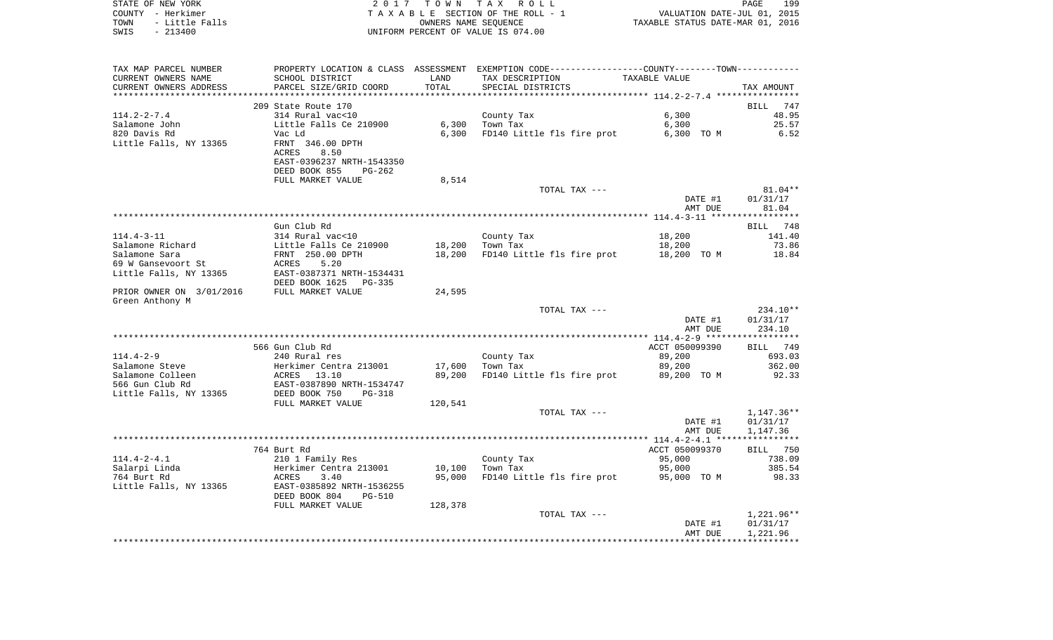| STATE OF NEW YORK      | 2017 TOWN TAX ROLL                 | 199<br><b>PAGE</b>               |
|------------------------|------------------------------------|----------------------------------|
| COUNTY - Herkimer      | TAXABLE SECTION OF THE ROLL - 1    | VALUATION DATE-JUL 01, 2015      |
| - Little Falls<br>TOWN | OWNERS NAME SEOUENCE               | TAXABLE STATUS DATE-MAR 01, 2016 |
| - 213400<br>SWIS       | UNIFORM PERCENT OF VALUE IS 074.00 |                                  |

| TAX MAP PARCEL NUMBER    |                                |         | PROPERTY LOCATION & CLASS ASSESSMENT EXEMPTION CODE----------------COUNTY--------TOWN----------- |                |              |
|--------------------------|--------------------------------|---------|--------------------------------------------------------------------------------------------------|----------------|--------------|
| CURRENT OWNERS NAME      | SCHOOL DISTRICT                | LAND    | TAX DESCRIPTION                                                                                  | TAXABLE VALUE  |              |
| CURRENT OWNERS ADDRESS   | PARCEL SIZE/GRID COORD         | TOTAL   | SPECIAL DISTRICTS                                                                                |                | TAX AMOUNT   |
|                          |                                |         |                                                                                                  |                |              |
|                          | 209 State Route 170            |         |                                                                                                  |                | BILL<br>747  |
| $114.2 - 2 - 7.4$        | 314 Rural vac<10               |         | County Tax                                                                                       | 6,300          | 48.95        |
| Salamone John            | Little Falls Ce 210900         | 6,300   | Town Tax                                                                                         | 6,300          | 25.57        |
|                          |                                |         |                                                                                                  |                |              |
| 820 Davis Rd             | Vac Ld                         | 6,300   | FD140 Little fls fire prot                                                                       | 6,300 TO M     | 6.52         |
| Little Falls, NY 13365   | FRNT 346.00 DPTH               |         |                                                                                                  |                |              |
|                          | ACRES<br>8.50                  |         |                                                                                                  |                |              |
|                          | EAST-0396237 NRTH-1543350      |         |                                                                                                  |                |              |
|                          | DEED BOOK 855<br>$PG-262$      |         |                                                                                                  |                |              |
|                          | FULL MARKET VALUE              | 8,514   |                                                                                                  |                |              |
|                          |                                |         | TOTAL TAX ---                                                                                    |                | $81.04**$    |
|                          |                                |         |                                                                                                  | DATE #1        | 01/31/17     |
|                          |                                |         |                                                                                                  | AMT DUE        | 81.04        |
|                          |                                |         |                                                                                                  |                |              |
|                          | Gun Club Rd                    |         |                                                                                                  |                |              |
|                          |                                |         |                                                                                                  |                | 748<br>BILL  |
| 114.4-3-11               | 314 Rural vac<10               |         | County Tax                                                                                       | 18,200         | 141.40       |
| Salamone Richard         | Little Falls Ce 210900         | 18,200  | Town Tax                                                                                         | 18,200         | 73.86        |
| Salamone Sara            | FRNT 250.00 DPTH               | 18,200  | FD140 Little fls fire prot                                                                       | 18,200 TO M    | 18.84        |
| 69 W Gansevoort St       | ACRES<br>5.20                  |         |                                                                                                  |                |              |
| Little Falls, NY 13365   | EAST-0387371 NRTH-1534431      |         |                                                                                                  |                |              |
|                          | DEED BOOK 1625<br>PG-335       |         |                                                                                                  |                |              |
| PRIOR OWNER ON 3/01/2016 | FULL MARKET VALUE              | 24,595  |                                                                                                  |                |              |
| Green Anthony M          |                                |         |                                                                                                  |                |              |
|                          |                                |         | TOTAL TAX ---                                                                                    |                | 234.10**     |
|                          |                                |         |                                                                                                  | DATE #1        | 01/31/17     |
|                          |                                |         |                                                                                                  | AMT DUE        | 234.10       |
|                          |                                |         |                                                                                                  |                |              |
|                          |                                |         |                                                                                                  |                |              |
|                          | 566 Gun Club Rd                |         |                                                                                                  | ACCT 050099390 | BILL 749     |
| $114.4 - 2 - 9$          | 240 Rural res                  |         | County Tax                                                                                       | 89,200         | 693.03       |
| Salamone Steve           | Herkimer Centra 213001         | 17,600  | Town Tax                                                                                         | 89,200         | 362.00       |
| Salamone Colleen         | ACRES 13.10                    | 89,200  | FD140 Little fls fire prot                                                                       | 89,200 TO M    | 92.33        |
| 566 Gun Club Rd          | EAST-0387890 NRTH-1534747      |         |                                                                                                  |                |              |
| Little Falls, NY 13365   | DEED BOOK 750<br>PG-318        |         |                                                                                                  |                |              |
|                          | FULL MARKET VALUE              | 120,541 |                                                                                                  |                |              |
|                          |                                |         | TOTAL TAX ---                                                                                    |                | 1,147.36**   |
|                          |                                |         |                                                                                                  | DATE #1        | 01/31/17     |
|                          |                                |         |                                                                                                  | AMT DUE        | 1,147.36     |
|                          |                                |         |                                                                                                  |                |              |
|                          |                                |         |                                                                                                  |                |              |
|                          | 764 Burt Rd                    |         |                                                                                                  | ACCT 050099370 | BILL 750     |
| $114.4 - 2 - 4.1$        | 210 1 Family Res               |         | County Tax                                                                                       | 95,000         | 738.09       |
| Salarpi Linda            | Herkimer Centra 213001         | 10,100  | Town Tax                                                                                         | 95,000         | 385.54       |
| 764 Burt Rd              | 3.40<br>ACRES                  | 95,000  | FD140 Little fls fire prot                                                                       | 95,000 TO M    | 98.33        |
| Little Falls, NY 13365   | EAST-0385892 NRTH-1536255      |         |                                                                                                  |                |              |
|                          | DEED BOOK 804<br><b>PG-510</b> |         |                                                                                                  |                |              |
|                          | FULL MARKET VALUE              | 128,378 |                                                                                                  |                |              |
|                          |                                |         | TOTAL TAX ---                                                                                    |                | $1,221.96**$ |
|                          |                                |         |                                                                                                  | DATE #1        | 01/31/17     |
|                          |                                |         |                                                                                                  | AMT DUE        | 1,221.96     |
|                          |                                |         |                                                                                                  |                |              |
|                          |                                |         |                                                                                                  |                |              |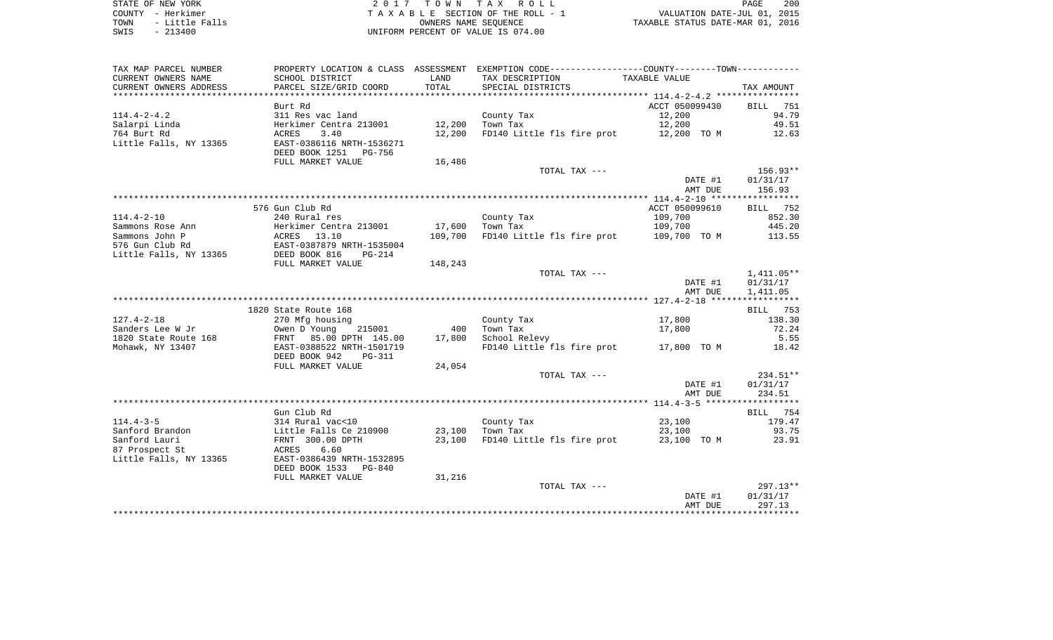| TAX MAP PARCEL NUMBER  |                            |                 | PROPERTY LOCATION & CLASS ASSESSMENT EXEMPTION CODE----------------COUNTY-------TOWN---------- |                |                 |
|------------------------|----------------------------|-----------------|------------------------------------------------------------------------------------------------|----------------|-----------------|
| CURRENT OWNERS NAME    | SCHOOL DISTRICT            | LAND            | TAX DESCRIPTION                                                                                | TAXABLE VALUE  |                 |
| CURRENT OWNERS ADDRESS | PARCEL SIZE/GRID COORD     | TOTAL           | SPECIAL DISTRICTS                                                                              |                | TAX AMOUNT      |
|                        |                            |                 |                                                                                                |                |                 |
|                        | Burt Rd                    |                 |                                                                                                | ACCT 050099430 | BILL<br>751     |
|                        |                            |                 |                                                                                                |                |                 |
| $114.4 - 2 - 4.2$      | 311 Res vac land           |                 | County Tax                                                                                     | 12,200         | 94.79           |
| Salarpi Linda          | Herkimer Centra 213001     | 12,200          | Town Tax                                                                                       | 12,200         | 49.51           |
| 764 Burt Rd            | 3.40<br>ACRES              | 12,200          | FD140 Little fls fire prot 12,200 TO M                                                         |                | 12.63           |
| Little Falls, NY 13365 | EAST-0386116 NRTH-1536271  |                 |                                                                                                |                |                 |
|                        | DEED BOOK 1251 PG-756      |                 |                                                                                                |                |                 |
|                        | FULL MARKET VALUE          | 16,486          |                                                                                                |                |                 |
|                        |                            |                 | TOTAL TAX ---                                                                                  |                | 156.93**        |
|                        |                            |                 |                                                                                                |                |                 |
|                        |                            |                 |                                                                                                | DATE #1        | 01/31/17        |
|                        |                            |                 |                                                                                                | AMT DUE        | 156.93          |
|                        |                            |                 |                                                                                                |                |                 |
|                        | 576 Gun Club Rd            |                 |                                                                                                | ACCT 050099610 | <b>BILL</b> 752 |
| $114.4 - 2 - 10$       | 240 Rural res              |                 | County Tax                                                                                     | 109,700        | 852.30          |
| Sammons Rose Ann       | Herkimer Centra 213001     | 17,600          | Town Tax                                                                                       | 109,700        | 445.20          |
| Sammons John P         | ACRES 13.10                | 109,700         | FD140 Little fls fire prot 109,700 TO M                                                        |                | 113.55          |
|                        |                            |                 |                                                                                                |                |                 |
| 576 Gun Club Rd        | EAST-0387879 NRTH-1535004  |                 |                                                                                                |                |                 |
| Little Falls, NY 13365 | DEED BOOK 816<br>$PG-214$  |                 |                                                                                                |                |                 |
|                        | FULL MARKET VALUE          | 148,243         |                                                                                                |                |                 |
|                        |                            |                 | TOTAL TAX ---                                                                                  |                | $1,411.05**$    |
|                        |                            |                 |                                                                                                | DATE #1        | 01/31/17        |
|                        |                            |                 |                                                                                                | AMT DUE        | 1,411.05        |
|                        |                            |                 |                                                                                                |                |                 |
|                        | 1820 State Route 168       |                 |                                                                                                |                | BILL 753        |
|                        |                            |                 |                                                                                                |                |                 |
| $127.4 - 2 - 18$       | 270 Mfg housing            |                 | County Tax                                                                                     | 17,800         | 138.30          |
| Sanders Lee W Jr       | 215001<br>Owen D Young     | 400             | Town Tax                                                                                       | 17,800         | 72.24           |
| 1820 State Route 168   | FRNT 85.00 DPTH 145.00     | 17,800          | School Relevy                                                                                  |                | 5.55            |
| Mohawk, NY 13407       | EAST-0388522 NRTH-1501719  |                 | FD140 Little fls fire prot 17,800 TO M                                                         |                | 18.42           |
|                        | DEED BOOK 942<br>PG-311    |                 |                                                                                                |                |                 |
|                        | FULL MARKET VALUE          | 24,054          |                                                                                                |                |                 |
|                        |                            |                 | TOTAL TAX ---                                                                                  |                | $234.51**$      |
|                        |                            |                 |                                                                                                |                |                 |
|                        |                            |                 |                                                                                                | DATE #1        | 01/31/17        |
|                        |                            |                 |                                                                                                | AMT DUE        | 234.51          |
|                        |                            |                 |                                                                                                |                |                 |
|                        | Gun Club Rd                |                 |                                                                                                |                | BILL 754        |
| $114.4 - 3 - 5$        | 314 Rural vac<10           |                 | County Tax                                                                                     | 23,100         | 179.47          |
| Sanford Brandon        | Little Falls Ce 210900     | 23,100 Town Tax |                                                                                                | 23,100         | 93.75           |
| Sanford Lauri          | FRNT 300.00 DPTH           | 23,100          | FD140 Little fls fire prot 23,100 TO M                                                         |                | 23.91           |
| 87 Prospect St         | 6.60<br>ACRES              |                 |                                                                                                |                |                 |
|                        |                            |                 |                                                                                                |                |                 |
| Little Falls, NY 13365 | EAST-0386439 NRTH-1532895  |                 |                                                                                                |                |                 |
|                        | DEED BOOK 1533<br>$PG-840$ |                 |                                                                                                |                |                 |
|                        | FULL MARKET VALUE          | 31,216          |                                                                                                |                |                 |
|                        |                            |                 | TOTAL TAX ---                                                                                  |                | 297.13**        |
|                        |                            |                 |                                                                                                | DATE #1        | 01/31/17        |
|                        |                            |                 |                                                                                                | AMT DUE        | 297.13          |
|                        |                            |                 |                                                                                                |                |                 |
|                        |                            |                 |                                                                                                |                |                 |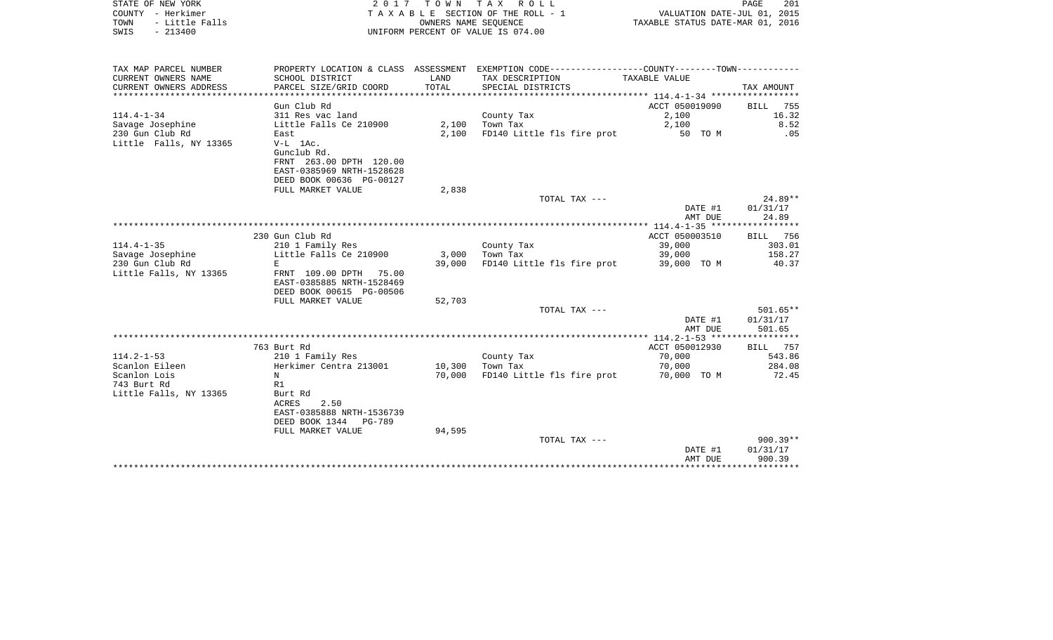| STATE OF NEW YORK<br>COUNTY - Herkimer<br>- Little Falls<br>TOWN<br>$-213400$<br>SWIS | 2017                                                         | T O W N<br>OWNERS NAME SEOUENCE | TAX ROLL<br>TAXABLE SECTION OF THE ROLL - 1<br>UNIFORM PERCENT OF VALUE IS 074.00             | VALUATION DATE-JUL 01, 2015<br>TAXABLE STATUS DATE-MAR 01, 2016 | PAGE<br>201        |
|---------------------------------------------------------------------------------------|--------------------------------------------------------------|---------------------------------|-----------------------------------------------------------------------------------------------|-----------------------------------------------------------------|--------------------|
| TAX MAP PARCEL NUMBER                                                                 |                                                              |                                 | PROPERTY LOCATION & CLASS ASSESSMENT EXEMPTION CODE---------------COUNTY-------TOWN---------- |                                                                 |                    |
| CURRENT OWNERS NAME                                                                   | SCHOOL DISTRICT                                              | LAND                            | TAX DESCRIPTION                                                                               | TAXABLE VALUE                                                   |                    |
| CURRENT OWNERS ADDRESS                                                                | PARCEL SIZE/GRID COORD                                       | TOTAL                           | SPECIAL DISTRICTS                                                                             |                                                                 | TAX AMOUNT         |
| *************************                                                             |                                                              |                                 |                                                                                               |                                                                 |                    |
|                                                                                       | Gun Club Rd                                                  |                                 |                                                                                               | ACCT 050019090                                                  | <b>BILL</b><br>755 |
| $114.4 - 1 - 34$<br>Savage Josephine                                                  | 311 Res vac land<br>Little Falls Ce 210900                   | 2,100                           | County Tax<br>Town Tax                                                                        | 2,100<br>2,100                                                  | 16.32<br>8.52      |
| 230 Gun Club Rd                                                                       | East                                                         | 2,100                           | FD140 Little fls fire prot                                                                    | 50 TO M                                                         | .05                |
| Little Falls, NY 13365                                                                | $V-L$ 1Ac.<br>Gunclub Rd.<br>FRNT 263.00 DPTH 120.00         |                                 |                                                                                               |                                                                 |                    |
|                                                                                       | EAST-0385969 NRTH-1528628                                    |                                 |                                                                                               |                                                                 |                    |
|                                                                                       | DEED BOOK 00636 PG-00127                                     |                                 |                                                                                               |                                                                 |                    |
|                                                                                       | FULL MARKET VALUE                                            | 2,838                           | TOTAL TAX ---                                                                                 |                                                                 | 24.89**            |
|                                                                                       |                                                              |                                 |                                                                                               | DATE #1                                                         | 01/31/17           |
|                                                                                       |                                                              |                                 |                                                                                               | AMT DUE                                                         | 24.89              |
|                                                                                       |                                                              |                                 |                                                                                               |                                                                 |                    |
|                                                                                       | 230 Gun Club Rd                                              |                                 |                                                                                               | ACCT 050003510                                                  | 756<br><b>BILL</b> |
| $114.4 - 1 - 35$                                                                      | 210 1 Family Res                                             |                                 | County Tax                                                                                    | 39,000                                                          | 303.01             |
| Savage Josephine                                                                      | Little Falls Ce 210900                                       | 3,000                           | Town Tax                                                                                      | 39,000                                                          | 158.27             |
| 230 Gun Club Rd                                                                       | E                                                            | 39,000                          | FD140 Little fls fire prot                                                                    | 39,000 TO M                                                     | 40.37              |
| Little Falls, NY 13365                                                                | FRNT 109.00 DPTH<br>75.00                                    |                                 |                                                                                               |                                                                 |                    |
|                                                                                       | EAST-0385885 NRTH-1528469                                    |                                 |                                                                                               |                                                                 |                    |
|                                                                                       | DEED BOOK 00615 PG-00506                                     |                                 |                                                                                               |                                                                 |                    |
|                                                                                       | FULL MARKET VALUE                                            | 52,703                          | TOTAL TAX ---                                                                                 |                                                                 | $501.65**$         |
|                                                                                       |                                                              |                                 |                                                                                               | DATE #1                                                         | 01/31/17           |
|                                                                                       |                                                              |                                 |                                                                                               | AMT DUE                                                         | 501.65             |
|                                                                                       |                                                              |                                 |                                                                                               |                                                                 |                    |
|                                                                                       | 763 Burt Rd                                                  |                                 |                                                                                               | ACCT 050012930                                                  | 757<br>BILL        |
| $114.2 - 1 - 53$                                                                      | 210 1 Family Res                                             |                                 | County Tax                                                                                    | 70,000                                                          | 543.86             |
| Scanlon Eileen                                                                        | Herkimer Centra 213001                                       | 10,300                          | Town Tax                                                                                      | 70,000                                                          | 284.08             |
| Scanlon Lois                                                                          | N                                                            | 70,000                          | FD140 Little fls fire prot                                                                    | 70,000 TO M                                                     | 72.45              |
| 743 Burt Rd                                                                           | R1                                                           |                                 |                                                                                               |                                                                 |                    |
| Little Falls, NY 13365                                                                | Burt Rd                                                      |                                 |                                                                                               |                                                                 |                    |
|                                                                                       | <b>ACRES</b><br>2.50                                         |                                 |                                                                                               |                                                                 |                    |
|                                                                                       | EAST-0385888 NRTH-1536739<br>DEED BOOK 1344<br><b>PG-789</b> |                                 |                                                                                               |                                                                 |                    |
|                                                                                       | FULL MARKET VALUE                                            | 94,595                          |                                                                                               |                                                                 |                    |
|                                                                                       |                                                              |                                 | TOTAL TAX ---                                                                                 |                                                                 | $900.39**$         |
|                                                                                       |                                                              |                                 |                                                                                               | DATE #1                                                         | 01/31/17           |
|                                                                                       |                                                              |                                 |                                                                                               | AMT DUE                                                         | 900.39             |
|                                                                                       |                                                              |                                 |                                                                                               |                                                                 |                    |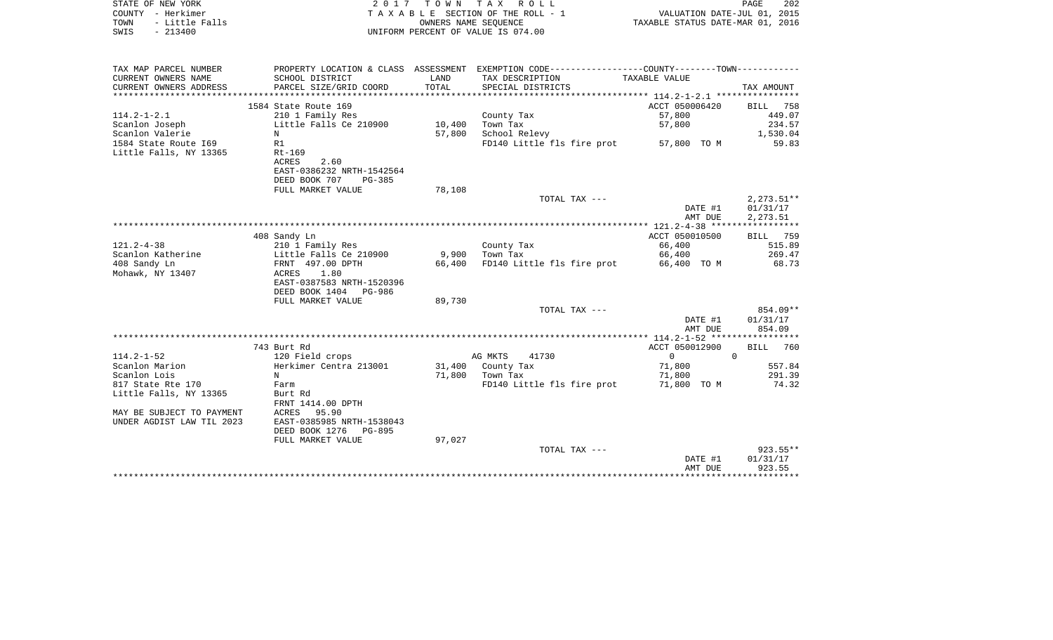|      | STATE OF NEW YORK   | 2017 TOWN TAX ROLL                 |                                  | PAGE | 202 |
|------|---------------------|------------------------------------|----------------------------------|------|-----|
|      | COUNTY - Herkimer   | TAXABLE SECTION OF THE ROLL - 1    | VALUATION DATE-JUL 01, 2015      |      |     |
|      | TOWN - Little Falls | OWNERS NAME SEOUENCE               | TAXABLE STATUS DATE-MAR 01, 2016 |      |     |
| SWIS | - 213400            | UNIFORM PERCENT OF VALUE IS 074.00 |                                  |      |     |
|      |                     |                                    |                                  |      |     |

| TAX MAP PARCEL NUMBER     | PROPERTY LOCATION & CLASS ASSESSMENT |            | EXEMPTION CODE-----------------COUNTY-------TOWN- |                                             |              |
|---------------------------|--------------------------------------|------------|---------------------------------------------------|---------------------------------------------|--------------|
| CURRENT OWNERS NAME       | SCHOOL DISTRICT                      | LAND       | TAX DESCRIPTION                                   | TAXABLE VALUE                               |              |
| CURRENT OWNERS ADDRESS    | PARCEL SIZE/GRID COORD               | TOTAL      | SPECIAL DISTRICTS                                 |                                             | TAX AMOUNT   |
|                           |                                      | ********** |                                                   |                                             |              |
|                           | 1584 State Route 169                 |            |                                                   | ACCT 050006420                              | 758<br>BILL  |
| $114.2 - 1 - 2.1$         | 210 1 Family Res                     |            | County Tax                                        | 57,800                                      | 449.07       |
| Scanlon Joseph            | Little Falls Ce 210900               | 10,400     | Town Tax                                          | 57,800                                      | 234.57       |
| Scanlon Valerie           | N                                    | 57,800     | School Relevy                                     |                                             | 1,530.04     |
| 1584 State Route 169      | R1                                   |            | FD140 Little fls fire prot                        | 57,800 TO M                                 | 59.83        |
| Little Falls, NY 13365    | $Rt-169$                             |            |                                                   |                                             |              |
|                           | ACRES<br>2.60                        |            |                                                   |                                             |              |
|                           | EAST-0386232 NRTH-1542564            |            |                                                   |                                             |              |
|                           |                                      |            |                                                   |                                             |              |
|                           | DEED BOOK 707<br>$PG-385$            |            |                                                   |                                             |              |
|                           | FULL MARKET VALUE                    | 78,108     |                                                   |                                             |              |
|                           |                                      |            | TOTAL TAX ---                                     |                                             | $2,273.51**$ |
|                           |                                      |            |                                                   | DATE #1                                     | 01/31/17     |
|                           |                                      |            |                                                   | AMT DUE                                     | 2,273.51     |
|                           |                                      |            |                                                   |                                             |              |
|                           | 408 Sandy Ln                         |            |                                                   | ACCT 050010500                              | BILL<br>759  |
| $121.2 - 4 - 38$          | 210 1 Family Res                     |            | County Tax                                        | 66,400                                      | 515.89       |
| Scanlon Katherine         | Little Falls Ce 210900               | 9,900      | Town Tax                                          | 66,400                                      | 269.47       |
| 408 Sandy Ln              | FRNT 497.00 DPTH                     | 66,400     | FD140 Little fls fire prot                        | 66,400 TO M                                 | 68.73        |
| Mohawk, NY 13407          | ACRES<br>1.80                        |            |                                                   |                                             |              |
|                           | EAST-0387583 NRTH-1520396            |            |                                                   |                                             |              |
|                           | DEED BOOK 1404 PG-986                |            |                                                   |                                             |              |
|                           | FULL MARKET VALUE                    | 89,730     |                                                   |                                             |              |
|                           |                                      |            | TOTAL TAX ---                                     |                                             | 854.09**     |
|                           |                                      |            |                                                   | DATE #1                                     | 01/31/17     |
|                           |                                      |            |                                                   | AMT DUE                                     | 854.09       |
|                           |                                      |            |                                                   | ************* 114.2-1-52 ****************** |              |
|                           | 743 Burt Rd                          |            |                                                   | ACCT 050012900                              | BILL<br>760  |
| $114.2 - 1 - 52$          | 120 Field crops                      |            | AG MKTS<br>41730                                  | $\mathbf 0$                                 | $\Omega$     |
| Scanlon Marion            | Herkimer Centra 213001               |            | 31,400 County Tax                                 | 71,800                                      | 557.84       |
| Scanlon Lois              | N                                    | 71,800     | Town Tax                                          | 71,800                                      | 291.39       |
| 817 State Rte 170         | Farm                                 |            | FD140 Little fls fire prot                        | 71,800 TO M                                 | 74.32        |
| Little Falls, NY 13365    | Burt Rd                              |            |                                                   |                                             |              |
|                           | FRNT 1414.00 DPTH                    |            |                                                   |                                             |              |
|                           | 95.90                                |            |                                                   |                                             |              |
| MAY BE SUBJECT TO PAYMENT | ACRES                                |            |                                                   |                                             |              |
| UNDER AGDIST LAW TIL 2023 | EAST-0385985 NRTH-1538043            |            |                                                   |                                             |              |
|                           | DEED BOOK 1276 PG-895                |            |                                                   |                                             |              |
|                           | FULL MARKET VALUE                    | 97,027     |                                                   |                                             |              |
|                           |                                      |            | TOTAL TAX ---                                     |                                             | $923.55***$  |
|                           |                                      |            |                                                   | DATE #1                                     | 01/31/17     |
|                           |                                      |            |                                                   | AMT DUE                                     | 923.55       |
|                           |                                      |            |                                                   |                                             |              |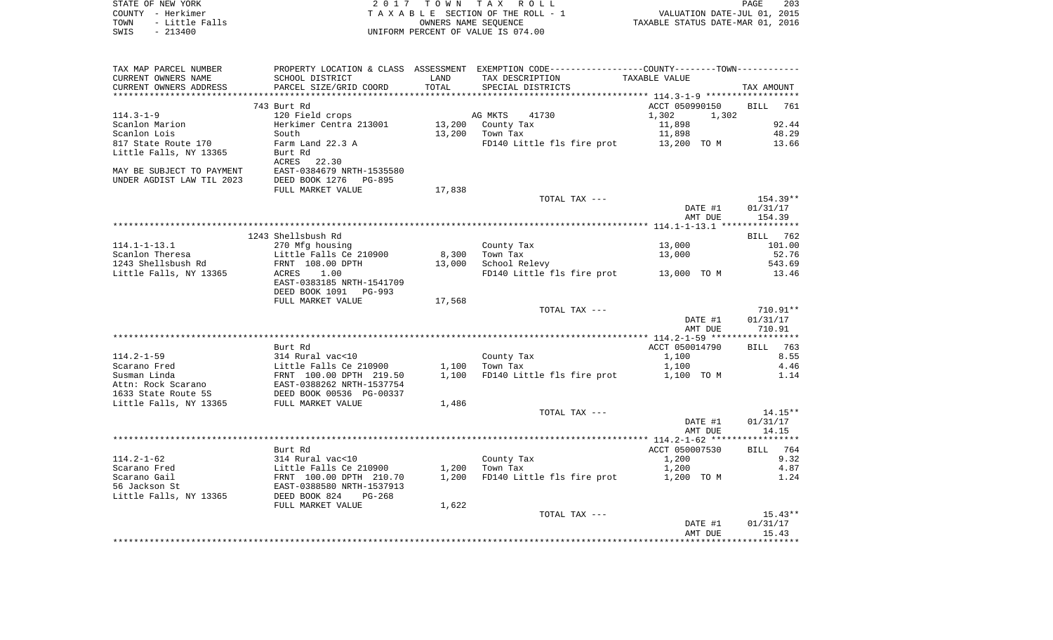| STATE OF NEW YORK      | 2017 TOWN TAX ROLL                 | 203<br>PAGE                      |
|------------------------|------------------------------------|----------------------------------|
| COUNTY - Herkimer      | TAXABLE SECTION OF THE ROLL - 1    | VALUATION DATE-JUL 01, 2015      |
| TOWN<br>- Little Falls | OWNERS NAME SEOUENCE               | TAXABLE STATUS DATE-MAR 01, 2016 |
| $-213400$<br>SWIS      | UNIFORM PERCENT OF VALUE IS 074.00 |                                  |

| TAX MAP PARCEL NUMBER     |                                                                                                            |                             | PROPERTY LOCATION & CLASS ASSESSMENT EXEMPTION CODE---------------COUNTY-------TOWN---------- |                                                 |             |
|---------------------------|------------------------------------------------------------------------------------------------------------|-----------------------------|-----------------------------------------------------------------------------------------------|-------------------------------------------------|-------------|
| CURRENT OWNERS NAME       | SCHOOL DISTRICT                                                                                            | LAND                        | TAX DESCRIPTION                                                                               | TAXABLE VALUE                                   |             |
| CURRENT OWNERS ADDRESS    | PARCEL SIZE/GRID COORD                                                                                     | TOTAL                       | SPECIAL DISTRICTS                                                                             |                                                 | TAX AMOUNT  |
|                           | ***************************                                                                                | *************************** |                                                                                               | ***************** 114.3-1-9 ******************* |             |
|                           | 743 Burt Rd                                                                                                |                             |                                                                                               | ACCT 050990150                                  | BILL<br>761 |
| $114.3 - 1 - 9$           | 120 Field crops                                                                                            |                             | AG MKTS<br>41730                                                                              | 1,302<br>1,302                                  |             |
| Scanlon Marion            | Herkimer Centra 213001                                                                                     | 13,200                      | County Tax                                                                                    | 11,898                                          | 92.44       |
| Scanlon Lois              | South                                                                                                      |                             | 13,200 Town Tax                                                                               | 11,898                                          | 48.29       |
|                           |                                                                                                            |                             |                                                                                               |                                                 |             |
| 817 State Route 170       | Farm Land 22.3 A                                                                                           |                             | FD140 Little fls fire prot 13,200 TO M                                                        |                                                 | 13.66       |
| Little Falls, NY 13365    | Burt Rd                                                                                                    |                             |                                                                                               |                                                 |             |
|                           | ACRES 22.30                                                                                                |                             |                                                                                               |                                                 |             |
| MAY BE SUBJECT TO PAYMENT | EAST-0384679 NRTH-1535580                                                                                  |                             |                                                                                               |                                                 |             |
| UNDER AGDIST LAW TIL 2023 | DEED BOOK 1276 PG-895                                                                                      |                             |                                                                                               |                                                 |             |
|                           | FULL MARKET VALUE                                                                                          | 17,838                      |                                                                                               |                                                 |             |
|                           |                                                                                                            |                             | TOTAL TAX ---                                                                                 |                                                 | $154.39**$  |
|                           |                                                                                                            |                             |                                                                                               | DATE #1                                         | 01/31/17    |
|                           |                                                                                                            |                             |                                                                                               | AMT DUE                                         | 154.39      |
|                           |                                                                                                            |                             |                                                                                               |                                                 |             |
|                           | 1243 Shellsbush Rd                                                                                         |                             |                                                                                               |                                                 | BILL 762    |
| $114.1 - 1 - 13.1$        | 270 Mfg housing                                                                                            |                             | County Tax                                                                                    | 13,000                                          | 101.00      |
|                           |                                                                                                            |                             |                                                                                               |                                                 | 52.76       |
| Scanlon Theresa           | Little Falls Ce 210900                                                                                     | 8,300                       | Town Tax<br>School Relevy                                                                     | 13,000                                          |             |
| 1243 Shellsbush Rd        | FRNT 108.00 DPTH                                                                                           | 13,000                      |                                                                                               |                                                 | 543.69      |
| Little Falls, NY 13365    | 1.00<br>ACRES                                                                                              |                             | FD140 Little fls fire prot 13,000 TO M                                                        |                                                 | 13.46       |
|                           | EAST-0383185 NRTH-1541709                                                                                  |                             |                                                                                               |                                                 |             |
|                           | DEED BOOK 1091 PG-993                                                                                      |                             |                                                                                               |                                                 |             |
|                           | FULL MARKET VALUE                                                                                          | 17,568                      |                                                                                               |                                                 |             |
|                           |                                                                                                            |                             | TOTAL TAX ---                                                                                 |                                                 | 710.91**    |
|                           |                                                                                                            |                             |                                                                                               | DATE #1                                         | 01/31/17    |
|                           |                                                                                                            |                             |                                                                                               | AMT DUE                                         | 710.91      |
|                           |                                                                                                            |                             |                                                                                               |                                                 |             |
|                           | Burt Rd                                                                                                    |                             |                                                                                               | ACCT 050014790                                  | BILL 763    |
| $114.2 - 1 - 59$          | 314 Rural vac<10                                                                                           |                             | County Tax                                                                                    | 1,100                                           | 8.55        |
| Scarano Fred              |                                                                                                            | 1,100                       | Town Tax                                                                                      |                                                 | 4.46        |
|                           | Little Falls Ce 210900<br>FRNT 100.00 DPTH 219.50<br>EAST-0388262 NRTH-1537754<br>DEED BOOK 00536 PG-00337 |                             |                                                                                               | 1,100                                           |             |
| Susman Linda              |                                                                                                            | 1,100                       | FD140 Little fls fire prot                                                                    | 1,100 TO M                                      | 1.14        |
| Attn: Rock Scarano        |                                                                                                            |                             |                                                                                               |                                                 |             |
| 1633 State Route 5S       |                                                                                                            |                             |                                                                                               |                                                 |             |
| Little Falls, NY 13365    | FULL MARKET VALUE                                                                                          | 1,486                       |                                                                                               |                                                 |             |
|                           |                                                                                                            |                             | TOTAL TAX ---                                                                                 |                                                 | $14.15**$   |
|                           |                                                                                                            |                             |                                                                                               | DATE #1                                         | 01/31/17    |
|                           |                                                                                                            |                             |                                                                                               | AMT DUE                                         | 14.15       |
|                           |                                                                                                            |                             |                                                                                               |                                                 |             |
|                           | Burt Rd                                                                                                    |                             |                                                                                               | ACCT 050007530                                  | BILL 764    |
| $114.2 - 1 - 62$          | 314 Rural vac<10                                                                                           |                             | County Tax                                                                                    | 1,200                                           | 9.32        |
| Scarano Fred              |                                                                                                            | 1,200                       | Town Tax                                                                                      | 1,200                                           | 4.87        |
| Scarano Gail              | Little Falls Ce 210900<br>FRNT 100.00 DPTH 210.70                                                          | 1,200                       | FD140 Little fls fire prot                                                                    | 1,200 TO M                                      | 1.24        |
| 56 Jackson St             | EAST-0388580 NRTH-1537913                                                                                  |                             |                                                                                               |                                                 |             |
|                           |                                                                                                            |                             |                                                                                               |                                                 |             |
| Little Falls, NY 13365    | DEED BOOK 824<br>$PG-268$                                                                                  |                             |                                                                                               |                                                 |             |
|                           | FULL MARKET VALUE                                                                                          | 1,622                       |                                                                                               |                                                 |             |
|                           |                                                                                                            |                             | TOTAL TAX ---                                                                                 |                                                 | $15.43**$   |
|                           |                                                                                                            |                             |                                                                                               | DATE #1                                         | 01/31/17    |
|                           |                                                                                                            |                             |                                                                                               | AMT DUE                                         | 15.43       |
|                           |                                                                                                            |                             |                                                                                               |                                                 |             |
|                           |                                                                                                            |                             |                                                                                               |                                                 |             |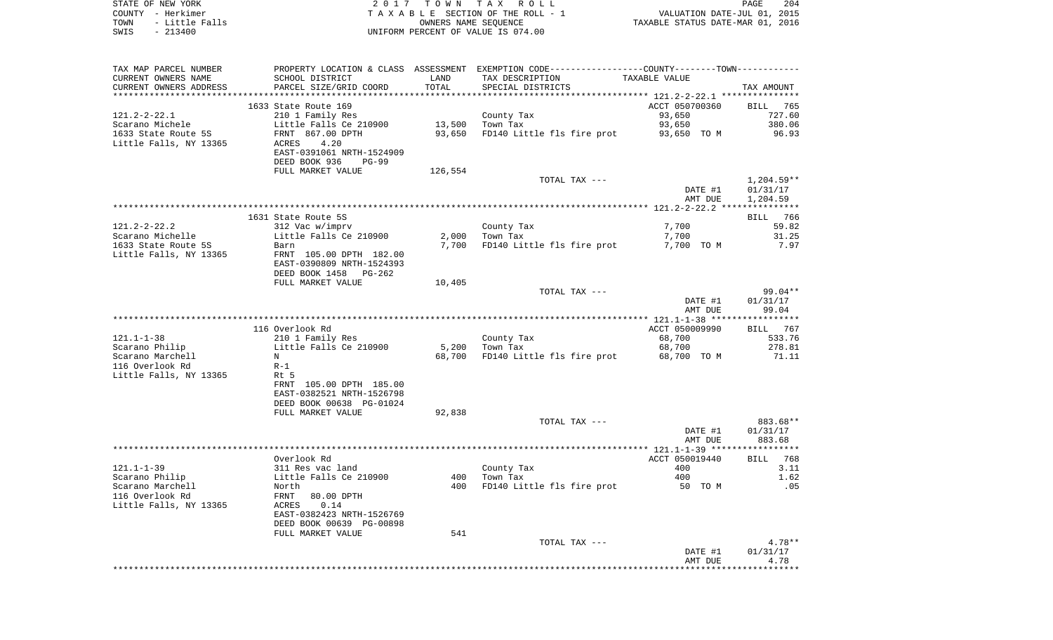|      | STATE OF NEW YORK        | 2017 TOWN TAX ROLL                 | PAGE                             | 204 |
|------|--------------------------|------------------------------------|----------------------------------|-----|
|      | COUNTY - Herkimer        | TAXABLE SECTION OF THE ROLL - 1    | VALUATION DATE-JUL 01, 2015      |     |
|      | TOWN      - Little Falls | OWNERS NAME SEOUENCE               | TAXABLE STATUS DATE-MAR 01, 2016 |     |
| SWIS | - 213400                 | UNIFORM PERCENT OF VALUE IS 074.00 |                                  |     |

| TAX MAP PARCEL NUMBER              |                               |                 | PROPERTY LOCATION & CLASS ASSESSMENT EXEMPTION CODE----------------COUNTY-------TOWN----------- |                       |                         |
|------------------------------------|-------------------------------|-----------------|-------------------------------------------------------------------------------------------------|-----------------------|-------------------------|
| CURRENT OWNERS NAME                | SCHOOL DISTRICT               | LAND            | TAX DESCRIPTION                                                                                 | TAXABLE VALUE         |                         |
| CURRENT OWNERS ADDRESS             | PARCEL SIZE/GRID COORD        | TOTAL           | SPECIAL DISTRICTS                                                                               |                       | TAX AMOUNT              |
| ***********************            | ***************************** |                 |                                                                                                 |                       |                         |
|                                    | 1633 State Route 169          |                 |                                                                                                 | ACCT 050700360        | <b>BILL</b><br>765      |
| $121.2 - 2 - 22.1$                 | 210 1 Family Res              |                 | County Tax                                                                                      | 93,650                | 727.60                  |
| Scarano Michele                    | Little Falls Ce 210900        | 13,500          | Town Tax                                                                                        | 93,650                | 380.06                  |
| 1633 State Route 5S                | FRNT 867.00 DPTH              | 93,650          | FD140 Little fls fire prot                                                                      | 93,650 TO M           | 96.93                   |
| Little Falls, NY 13365             | 4.20<br>ACRES                 |                 |                                                                                                 |                       |                         |
|                                    | EAST-0391061 NRTH-1524909     |                 |                                                                                                 |                       |                         |
|                                    | DEED BOOK 936<br>$PG-99$      |                 |                                                                                                 |                       |                         |
|                                    | FULL MARKET VALUE             | 126,554         |                                                                                                 |                       |                         |
|                                    |                               |                 | TOTAL TAX ---                                                                                   |                       | $1,204.59**$            |
|                                    |                               |                 |                                                                                                 | DATE #1               | 01/31/17                |
|                                    |                               |                 |                                                                                                 | AMT DUE               | 1,204.59                |
|                                    |                               |                 |                                                                                                 |                       |                         |
|                                    | 1631 State Route 5S           |                 |                                                                                                 |                       | 766<br><b>BILL</b>      |
| $121.2 - 2 - 22.2$                 | 312 Vac w/imprv               |                 | County Tax                                                                                      | 7,700                 | 59.82                   |
| Scarano Michelle                   | Little Falls Ce 210900        | 2,000           | Town Tax                                                                                        | 7,700                 | 31.25                   |
| 1633 State Route 5S                | Barn                          | 7,700           | FD140 Little fls fire prot                                                                      | 7,700 TO M            | 7.97                    |
| Little Falls, NY 13365             | FRNT 105.00 DPTH 182.00       |                 |                                                                                                 |                       |                         |
|                                    | EAST-0390809 NRTH-1524393     |                 |                                                                                                 |                       |                         |
|                                    | DEED BOOK 1458 PG-262         |                 |                                                                                                 |                       |                         |
|                                    | FULL MARKET VALUE             | 10,405          |                                                                                                 |                       |                         |
|                                    |                               |                 | TOTAL TAX ---                                                                                   |                       | $99.04**$               |
|                                    |                               |                 |                                                                                                 | DATE #1               | 01/31/17                |
|                                    |                               |                 |                                                                                                 | AMT DUE               | 99.04                   |
|                                    |                               |                 |                                                                                                 |                       |                         |
| $121.1 - 1 - 38$                   | 116 Overlook Rd               |                 |                                                                                                 | ACCT 050009990        | 767<br>BILL             |
|                                    | 210 1 Family Res              |                 | County Tax<br>Town Tax                                                                          | 68,700                | 533.76<br>278.81        |
| Scarano Philip<br>Scarano Marchell | Little Falls Ce 210900<br>N   | 5,200<br>68,700 | FD140 Little fls fire prot                                                                      | 68,700<br>68,700 TO M | 71.11                   |
| 116 Overlook Rd                    | $R-1$                         |                 |                                                                                                 |                       |                         |
|                                    | Rt 5                          |                 |                                                                                                 |                       |                         |
| Little Falls, NY 13365             | FRNT 105.00 DPTH 185.00       |                 |                                                                                                 |                       |                         |
|                                    | EAST-0382521 NRTH-1526798     |                 |                                                                                                 |                       |                         |
|                                    | DEED BOOK 00638 PG-01024      |                 |                                                                                                 |                       |                         |
|                                    | FULL MARKET VALUE             | 92,838          |                                                                                                 |                       |                         |
|                                    |                               |                 | TOTAL TAX ---                                                                                   |                       | 883.68**                |
|                                    |                               |                 |                                                                                                 | DATE #1               | 01/31/17                |
|                                    |                               |                 |                                                                                                 | AMT DUE               | 883.68                  |
|                                    |                               |                 |                                                                                                 |                       |                         |
|                                    | Overlook Rd                   |                 |                                                                                                 | ACCT 050019440        | BILL 768                |
| $121.1 - 1 - 39$                   | 311 Res vac land              |                 | County Tax                                                                                      | 400                   | 3.11                    |
| Scarano Philip                     | Little Falls Ce 210900        | 400             | Town Tax                                                                                        | 400                   | 1.62                    |
| Scarano Marchell                   | North                         | 400             | FD140 Little fls fire prot                                                                      | 50 TO M               | .05                     |
| 116 Overlook Rd                    | FRNT<br>80.00 DPTH            |                 |                                                                                                 |                       |                         |
| Little Falls, NY 13365             | 0.14<br>ACRES                 |                 |                                                                                                 |                       |                         |
|                                    | EAST-0382423 NRTH-1526769     |                 |                                                                                                 |                       |                         |
|                                    | DEED BOOK 00639 PG-00898      |                 |                                                                                                 |                       |                         |
|                                    | FULL MARKET VALUE             | 541             |                                                                                                 |                       |                         |
|                                    |                               |                 | TOTAL TAX ---                                                                                   |                       | $4.78**$                |
|                                    |                               |                 |                                                                                                 | DATE #1               | 01/31/17                |
|                                    |                               |                 |                                                                                                 | AMT DUE               | 4.78                    |
|                                    |                               |                 |                                                                                                 |                       | * * * * * * * * * * * * |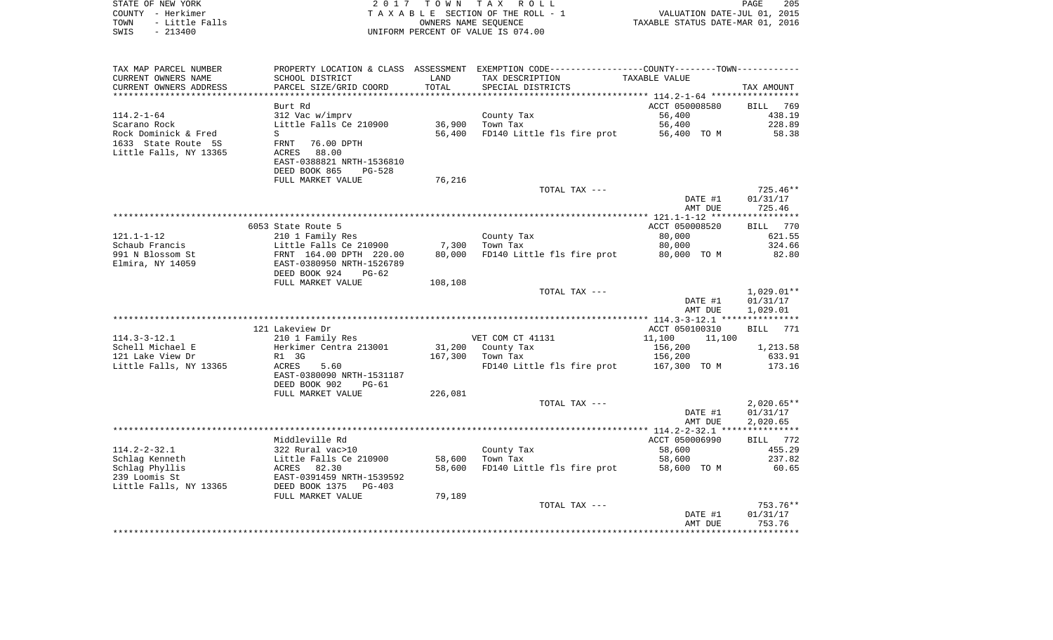| STATE OF NEW YORK<br>COUNTY - Herkimer<br>- Little Falls<br>TOWN<br>$-213400$<br>SWIS | 2 0 1 7                                                | T O W N             | TAX ROLL<br>TAXABLE SECTION OF THE ROLL - 1<br>OWNERS NAME SEOUENCE<br>UNIFORM PERCENT OF VALUE IS 074.00 | VALUATION DATE-JUL 01,<br>TAXABLE STATUS DATE-MAR 01, 2016 | 205<br>PAGE<br>2015      |
|---------------------------------------------------------------------------------------|--------------------------------------------------------|---------------------|-----------------------------------------------------------------------------------------------------------|------------------------------------------------------------|--------------------------|
|                                                                                       |                                                        |                     |                                                                                                           |                                                            |                          |
| TAX MAP PARCEL NUMBER                                                                 | PROPERTY LOCATION & CLASS ASSESSMENT                   |                     | EXEMPTION CODE-----------------COUNTY-------TOWN-----------                                               |                                                            |                          |
| CURRENT OWNERS NAME                                                                   | SCHOOL DISTRICT                                        | LAND                | TAX DESCRIPTION                                                                                           | TAXABLE VALUE                                              |                          |
| CURRENT OWNERS ADDRESS<br>***********************                                     | PARCEL SIZE/GRID COORD<br>**************************** | TOTAL<br>********** | SPECIAL DISTRICTS                                                                                         |                                                            | TAX AMOUNT               |
|                                                                                       | Burt Rd                                                |                     |                                                                                                           | ACCT 050008580                                             | 769<br>BILL              |
| $114.2 - 1 - 64$                                                                      | 312 Vac w/imprv                                        |                     | County Tax                                                                                                | 56,400                                                     | 438.19                   |
| Scarano Rock                                                                          | Little Falls Ce 210900                                 | 36,900              | Town Tax                                                                                                  | 56,400                                                     | 228.89                   |
| Rock Dominick & Fred<br>1633 State Route 5S                                           | S<br>76.00 DPTH<br><b>FRNT</b>                         | 56,400              | FD140 Little fls fire prot                                                                                | 56,400 TO M                                                | 58.38                    |
| Little Falls, NY 13365                                                                | ACRES<br>88.00                                         |                     |                                                                                                           |                                                            |                          |
|                                                                                       | EAST-0388821 NRTH-1536810                              |                     |                                                                                                           |                                                            |                          |
|                                                                                       | DEED BOOK 865<br>PG-528                                |                     |                                                                                                           |                                                            |                          |
|                                                                                       | FULL MARKET VALUE                                      | 76,216              |                                                                                                           |                                                            | $725.46**$               |
|                                                                                       |                                                        |                     | TOTAL TAX ---                                                                                             | DATE #1                                                    | 01/31/17                 |
|                                                                                       |                                                        |                     |                                                                                                           | AMT DUE                                                    | 725.46                   |
|                                                                                       |                                                        |                     |                                                                                                           | *********** 121.1-1-12 ******                              | ***********              |
|                                                                                       | 6053 State Route 5                                     |                     |                                                                                                           | ACCT 050008520                                             | 770<br><b>BILL</b>       |
| $121.1 - 1 - 12$<br>Schaub Francis                                                    | 210 1 Family Res<br>Little Falls Ce 210900             | 7,300               | County Tax<br>Town Tax                                                                                    | 80,000<br>80,000                                           | 621.55<br>324.66         |
| 991 N Blossom St                                                                      | FRNT 164.00 DPTH 220.00                                | 80,000              | FD140 Little fls fire prot                                                                                | 80,000 TO M                                                | 82.80                    |
| Elmira, NY 14059                                                                      | EAST-0380950 NRTH-1526789                              |                     |                                                                                                           |                                                            |                          |
|                                                                                       | DEED BOOK 924<br>$PG-62$                               |                     |                                                                                                           |                                                            |                          |
|                                                                                       | FULL MARKET VALUE                                      | 108,108             |                                                                                                           |                                                            |                          |
|                                                                                       |                                                        |                     | TOTAL TAX ---                                                                                             | DATE #1                                                    | $1,029.01**$<br>01/31/17 |
|                                                                                       |                                                        |                     |                                                                                                           | AMT DUE                                                    | 1,029.01                 |
|                                                                                       |                                                        |                     |                                                                                                           |                                                            |                          |
|                                                                                       | 121 Lakeview Dr                                        |                     |                                                                                                           | ACCT 050100310                                             | 771<br>BILL              |
| $114.3 - 3 - 12.1$                                                                    | 210 1 Family Res                                       |                     | VET COM CT 41131                                                                                          | 11,100<br>11,100                                           |                          |
| Schell Michael E<br>121 Lake View Dr                                                  | Herkimer Centra 213001<br>R1 3G                        | 31,200<br>167,300   | County Tax<br>Town Tax                                                                                    | 156,200<br>156,200                                         | 1,213.58<br>633.91       |
| Little Falls, NY 13365                                                                | ACRES<br>5.60                                          |                     | FD140 Little fls fire prot                                                                                | 167,300 TO M                                               | 173.16                   |
|                                                                                       | EAST-0380090 NRTH-1531187                              |                     |                                                                                                           |                                                            |                          |
|                                                                                       | DEED BOOK 902<br>$PG-61$                               |                     |                                                                                                           |                                                            |                          |
|                                                                                       | FULL MARKET VALUE                                      | 226,081             |                                                                                                           |                                                            |                          |
|                                                                                       |                                                        |                     | TOTAL TAX ---                                                                                             | DATE #1                                                    | $2,020.65**$<br>01/31/17 |
|                                                                                       |                                                        |                     |                                                                                                           | AMT DUE                                                    | 2,020.65                 |
|                                                                                       |                                                        |                     |                                                                                                           | ******** 114.2-2-32.1 ****                                 | * * * * * * * * * * *    |
|                                                                                       | Middleville Rd                                         |                     |                                                                                                           | ACCT 050006990                                             | 772<br><b>BILL</b>       |
| $114.2 - 2 - 32.1$                                                                    | 322 Rural vac>10                                       |                     | County Tax                                                                                                | 58,600                                                     | 455.29                   |
| Schlag Kenneth                                                                        | Little Falls Ce 210900                                 | 58,600              | Town Tax                                                                                                  | 58,600                                                     | 237.82                   |
| Schlag Phyllis<br>239 Loomis St                                                       | 82.30<br>ACRES<br>EAST-0391459 NRTH-1539592            | 58,600              | FD140 Little fls fire prot                                                                                | 58,600 TO M                                                | 60.65                    |
| Little Falls, NY 13365                                                                | DEED BOOK 1375<br>$PG-403$                             |                     |                                                                                                           |                                                            |                          |
|                                                                                       | FULL MARKET VALUE                                      | 79,189              |                                                                                                           |                                                            |                          |
|                                                                                       |                                                        |                     | TOTAL TAX ---                                                                                             |                                                            | 753.76**                 |
|                                                                                       |                                                        |                     |                                                                                                           | DATE #1                                                    | 01/31/17                 |
|                                                                                       |                                                        |                     |                                                                                                           | AMT DUE<br>**************                                  | 753.76<br>***********    |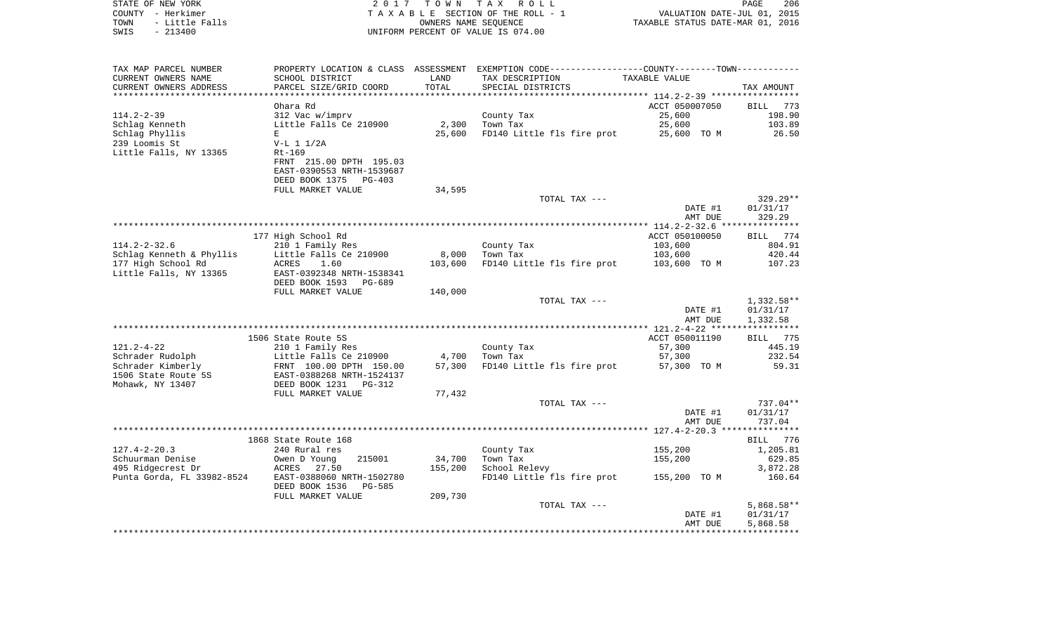|        | STATE OF NEW YORK     | 2017                      |            | TOWN TAX ROLL                                               |                                  | PAGE                        | 206 |
|--------|-----------------------|---------------------------|------------|-------------------------------------------------------------|----------------------------------|-----------------------------|-----|
| COUNTY | - Herkimer            |                           |            | TAXABLE SECTION OF THE ROLL - 1                             |                                  | VALUATION DATE-JUL 01, 2015 |     |
| TOWN   | - Little Falls        |                           |            | OWNERS NAME SEOUENCE                                        | TAXABLE STATUS DATE-MAR 01, 2016 |                             |     |
| SWIS   | $-213400$             |                           |            | UNIFORM PERCENT OF VALUE IS 074.00                          |                                  |                             |     |
|        |                       |                           |            |                                                             |                                  |                             |     |
|        |                       |                           |            |                                                             |                                  |                             |     |
|        |                       |                           |            |                                                             |                                  |                             |     |
|        | TAX MAP PARCEL NUMBER | PROPERTY LOCATION & CLASS | ASSESSMENT | EXEMPTION CODE-----------------COUNTY-------TOWN----------- |                                  |                             |     |
|        | CURRENT OWNERS NAME   | SCHOOL DISTRICT           | LAND       | TAX DESCRIPTION                                             | TAXABLE VALUE                    |                             |     |

| CURRENT OWNERS ADDRESS     | PARCEL SIZE/GRID COORD          | TOTAL   | SPECIAL DISTRICTS          |                | TAX AMOUNT         |
|----------------------------|---------------------------------|---------|----------------------------|----------------|--------------------|
|                            | Ohara Rd                        |         |                            | ACCT 050007050 | 773<br><b>BILL</b> |
| $114.2 - 2 - 39$           | 312 Vac w/imprv                 |         | County Tax                 | 25,600         | 198.90             |
| Schlag Kenneth             | Little Falls Ce 210900          | 2,300   | Town Tax                   | 25,600         | 103.89             |
| Schlag Phyllis             | E.                              | 25,600  | FD140 Little fls fire prot | 25,600 TO M    | 26.50              |
| 239 Loomis St              | $V-L 1 1/2A$                    |         |                            |                |                    |
| Little Falls, NY 13365     | $Rt-169$                        |         |                            |                |                    |
|                            | FRNT 215.00 DPTH 195.03         |         |                            |                |                    |
|                            | EAST-0390553 NRTH-1539687       |         |                            |                |                    |
|                            | DEED BOOK 1375<br>PG-403        |         |                            |                |                    |
|                            | FULL MARKET VALUE               | 34,595  |                            |                |                    |
|                            |                                 |         | TOTAL TAX ---              |                | $329.29**$         |
|                            |                                 |         |                            | DATE #1        | 01/31/17           |
|                            |                                 |         |                            | AMT DUE        | 329.29             |
|                            |                                 |         |                            |                |                    |
|                            | 177 High School Rd              |         |                            | ACCT 050100050 | 774<br>BILL        |
| $114.2 - 2 - 32.6$         | 210 1 Family Res                |         | County Tax                 | 103,600        | 804.91             |
| Schlag Kenneth & Phyllis   | Little Falls Ce 210900          | 8,000   | Town Tax                   | 103,600        | 420.44             |
| 177 High School Rd         | ACRES<br>1.60                   | 103,600 | FD140 Little fls fire prot | 103,600 TO M   | 107.23             |
| Little Falls, NY 13365     | EAST-0392348 NRTH-1538341       |         |                            |                |                    |
|                            | DEED BOOK 1593<br>PG-689        |         |                            |                |                    |
|                            | FULL MARKET VALUE               | 140,000 |                            |                |                    |
|                            |                                 |         | TOTAL TAX ---              |                | 1,332.58**         |
|                            |                                 |         |                            | DATE #1        | 01/31/17           |
|                            |                                 |         |                            | AMT DUE        | 1,332.58           |
|                            | 1506 State Route 5S             |         |                            | ACCT 050011190 | 775<br>BILL        |
| $121.2 - 4 - 22$           | 210 1 Family Res                |         | County Tax                 | 57,300         | 445.19             |
| Schrader Rudolph           | Little Falls Ce 210900          | 4,700   | Town Tax                   | 57,300         | 232.54             |
| Schrader Kimberly          | FRNT 100.00 DPTH 150.00         | 57,300  | FD140 Little fls fire prot | 57,300 TO M    | 59.31              |
| 1506 State Route 5S        | EAST-0388268 NRTH-1524137       |         |                            |                |                    |
| Mohawk, NY 13407           | DEED BOOK 1231<br>$PG-312$      |         |                            |                |                    |
|                            | FULL MARKET VALUE               | 77,432  |                            |                |                    |
|                            |                                 |         | TOTAL TAX ---              |                | $737.04**$         |
|                            |                                 |         |                            | DATE #1        | 01/31/17           |
|                            |                                 |         |                            | AMT DUE        | 737.04             |
|                            |                                 |         |                            |                |                    |
|                            | 1868 State Route 168            |         |                            |                | 776<br>BILL        |
| $127.4 - 2 - 20.3$         | 240 Rural res                   |         | County Tax                 | 155,200        | 1,205.81           |
| Schuurman Denise           | Owen D Young<br>215001          | 34,700  | Town Tax                   | 155,200        | 629.85             |
| 495 Ridgecrest Dr          | ACRES<br>27.50                  | 155,200 | School Relevy              |                | 3,872.28           |
| Punta Gorda, FL 33982-8524 | EAST-0388060 NRTH-1502780       |         | FD140 Little fls fire prot | 155,200 TO M   | 160.64             |
|                            | DEED BOOK 1536<br><b>PG-585</b> |         |                            |                |                    |
|                            | FULL MARKET VALUE               | 209,730 |                            |                |                    |
|                            |                                 |         | TOTAL TAX ---              |                | $5,868.58**$       |
|                            |                                 |         |                            | DATE #1        | 01/31/17           |
|                            |                                 |         |                            | AMT DUE        | 5,868.58           |
|                            |                                 |         |                            |                |                    |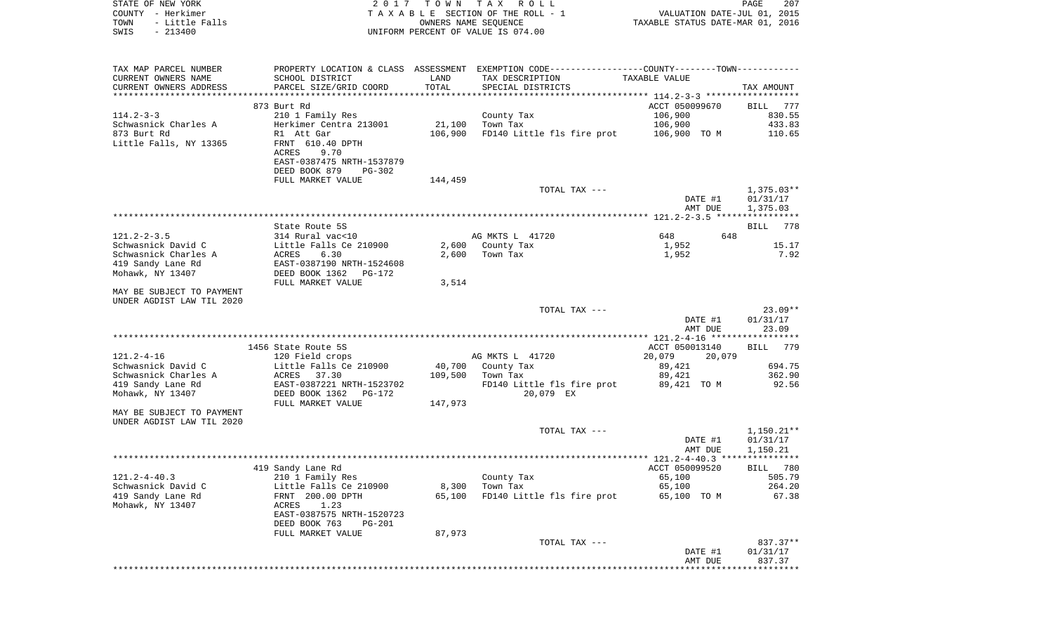| STATE OF NEW YORK<br>COUNTY - Herkimer<br>- Little Falls<br>TOWN<br>$-213400$<br>SWIS | 2017                                                    | T O W N | TAX ROLL<br>TAXABLE SECTION OF THE ROLL - 1<br>OWNERS NAME SEQUENCE<br>UNIFORM PERCENT OF VALUE IS 074.00 | TAXABLE STATUS DATE-MAR 01, 2016 | PAGE<br>207<br>VALUATION DATE-JUL 01, 2015 |
|---------------------------------------------------------------------------------------|---------------------------------------------------------|---------|-----------------------------------------------------------------------------------------------------------|----------------------------------|--------------------------------------------|
| TAX MAP PARCEL NUMBER<br>CURRENT OWNERS NAME                                          | PROPERTY LOCATION & CLASS ASSESSMENT<br>SCHOOL DISTRICT | LAND    | EXEMPTION CODE-----------------COUNTY-------TOWN-----------<br>TAX DESCRIPTION                            | TAXABLE VALUE                    |                                            |
| CURRENT OWNERS ADDRESS<br>***********************                                     | PARCEL SIZE/GRID COORD                                  | TOTAL   | SPECIAL DISTRICTS                                                                                         |                                  | TAX AMOUNT                                 |
|                                                                                       | 873 Burt Rd                                             |         |                                                                                                           | ACCT 050099670                   | 777<br>BILL                                |
| $114.2 - 3 - 3$                                                                       | 210 1 Family Res                                        |         | County Tax                                                                                                | 106,900                          | 830.55                                     |
| Schwasnick Charles A                                                                  | Herkimer Centra 213001                                  | 21,100  | Town Tax                                                                                                  | 106,900                          | 433.83                                     |
| 873 Burt Rd                                                                           | R1 Att Gar                                              | 106,900 | FD140 Little fls fire prot                                                                                | 106,900 TO M                     | 110.65                                     |
| Little Falls, NY 13365                                                                | FRNT 610.40 DPTH<br>ACRES<br>9.70                       |         |                                                                                                           |                                  |                                            |
|                                                                                       | EAST-0387475 NRTH-1537879<br>DEED BOOK 879<br>PG-302    |         |                                                                                                           |                                  |                                            |
|                                                                                       | FULL MARKET VALUE                                       | 144,459 |                                                                                                           |                                  |                                            |
|                                                                                       |                                                         |         | TOTAL TAX ---                                                                                             |                                  | $1,375.03**$                               |
|                                                                                       |                                                         |         |                                                                                                           | DATE #1<br>AMT DUE               | 01/31/17<br>1,375.03                       |
|                                                                                       |                                                         |         |                                                                                                           |                                  |                                            |
|                                                                                       | State Route 5S                                          |         |                                                                                                           |                                  | 778<br>BILL                                |
| $121.2 - 2 - 3.5$                                                                     | 314 Rural vac<10                                        |         | AG MKTS L 41720                                                                                           | 648                              | 648                                        |
| Schwasnick David C                                                                    | Little Falls Ce 210900                                  | 2,600   | County Tax                                                                                                | 1,952                            | 15.17                                      |
| Schwasnick Charles A<br>419 Sandy Lane Rd                                             | 6.30<br><b>ACRES</b><br>EAST-0387190 NRTH-1524608       | 2,600   | Town Tax                                                                                                  | 1,952                            | 7.92                                       |
| Mohawk, NY 13407                                                                      | DEED BOOK 1362 PG-172                                   |         |                                                                                                           |                                  |                                            |
|                                                                                       | FULL MARKET VALUE                                       | 3,514   |                                                                                                           |                                  |                                            |
| MAY BE SUBJECT TO PAYMENT<br>UNDER AGDIST LAW TIL 2020                                |                                                         |         |                                                                                                           |                                  |                                            |
|                                                                                       |                                                         |         | TOTAL TAX ---                                                                                             |                                  | $23.09**$                                  |
|                                                                                       |                                                         |         |                                                                                                           | DATE #1<br>AMT DUE               | 01/31/17<br>23.09                          |
|                                                                                       |                                                         |         |                                                                                                           |                                  |                                            |
|                                                                                       | 1456 State Route 5S                                     |         |                                                                                                           | ACCT 050013140                   | BILL<br>779                                |
| $121.2 - 4 - 16$<br>Schwasnick David C                                                | 120 Field crops<br>Little Falls Ce 210900               | 40,700  | AG MKTS L 41720<br>County Tax                                                                             | 20,079<br>20,079<br>89,421       | 694.75                                     |
| Schwasnick Charles A                                                                  | ACRES 37.30                                             | 109,500 | Town Tax                                                                                                  | 89,421                           | 362.90                                     |
| 419 Sandy Lane Rd                                                                     | EAST-0387221 NRTH-1523702                               |         | FD140 Little fls fire prot                                                                                | 89,421 TO M                      | 92.56                                      |
| Mohawk, NY 13407                                                                      | DEED BOOK 1362 PG-172                                   |         | 20,079 EX                                                                                                 |                                  |                                            |
|                                                                                       | FULL MARKET VALUE                                       | 147,973 |                                                                                                           |                                  |                                            |
| MAY BE SUBJECT TO PAYMENT<br>UNDER AGDIST LAW TIL 2020                                |                                                         |         |                                                                                                           |                                  |                                            |
|                                                                                       |                                                         |         | TOTAL TAX ---                                                                                             |                                  | $1,150.21**$                               |
|                                                                                       |                                                         |         |                                                                                                           | DATE #1                          | 01/31/17                                   |
|                                                                                       |                                                         |         |                                                                                                           | AMT DUE                          | 1,150.21                                   |
|                                                                                       | 419 Sandy Lane Rd                                       |         |                                                                                                           | ACCT 050099520                   | BILL 780                                   |
| $121.2 - 4 - 40.3$                                                                    | 210 1 Family Res                                        |         | County Tax                                                                                                | 65,100                           | 505.79                                     |
| Schwasnick David C                                                                    | Little Falls Ce 210900                                  | 8,300   | Town Tax                                                                                                  | 65,100                           | 264.20                                     |
| 419 Sandy Lane Rd                                                                     | FRNT 200.00 DPTH                                        | 65,100  | FD140 Little fls fire prot                                                                                | 65,100 TO M                      | 67.38                                      |
| Mohawk, NY 13407                                                                      | ACRES<br>1.23<br>EAST-0387575 NRTH-1520723              |         |                                                                                                           |                                  |                                            |
|                                                                                       | DEED BOOK 763<br><b>PG-201</b>                          |         |                                                                                                           |                                  |                                            |
|                                                                                       | FULL MARKET VALUE                                       | 87,973  |                                                                                                           |                                  |                                            |
|                                                                                       |                                                         |         | TOTAL TAX ---                                                                                             |                                  | 837.37**                                   |
|                                                                                       |                                                         |         |                                                                                                           | DATE #1<br>AMT DUE               | 01/31/17<br>837.37                         |
|                                                                                       |                                                         |         |                                                                                                           |                                  |                                            |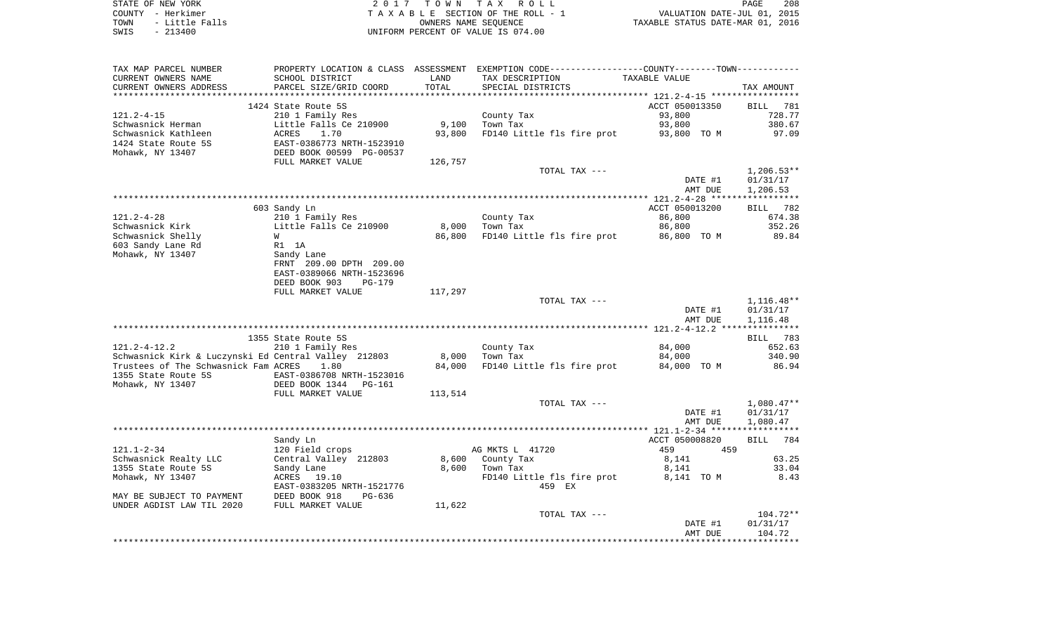| STATE OF NEW YORK      | 2017 TOWN TAX ROLL                 | 208<br>PAGE                      |
|------------------------|------------------------------------|----------------------------------|
| COUNTY - Herkimer      | TAXABLE SECTION OF THE ROLL - 1    | VALUATION DATE-JUL 01, 2015      |
| - Little Falls<br>TOWN | OWNERS NAME SEOUENCE               | TAXABLE STATUS DATE-MAR 01, 2016 |
| SWIS<br>$-213400$      | UNIFORM PERCENT OF VALUE IS 074.00 |                                  |

| TAX MAP PARCEL NUMBER                                | PROPERTY LOCATION & CLASS ASSESSMENT EXEMPTION CODE----------------COUNTY--------TOWN---------- |         |                            |                    |                    |
|------------------------------------------------------|-------------------------------------------------------------------------------------------------|---------|----------------------------|--------------------|--------------------|
| CURRENT OWNERS NAME                                  | SCHOOL DISTRICT                                                                                 | LAND    | TAX DESCRIPTION            | TAXABLE VALUE      |                    |
| CURRENT OWNERS ADDRESS                               | PARCEL SIZE/GRID COORD                                                                          | TOTAL   | SPECIAL DISTRICTS          |                    | TAX AMOUNT         |
|                                                      |                                                                                                 |         |                            |                    |                    |
|                                                      | 1424 State Route 5S                                                                             |         |                            | ACCT 050013350     | BILL<br>781        |
| 121.2-4-15                                           | 210 1 Family Res                                                                                |         | County Tax                 | 93,800             | 728.77             |
| Schwasnick Herman                                    | Little Falls Ce 210900                                                                          | 9,100   | Town Tax                   | 93,800             | 380.67             |
| Schwasnick Kathleen                                  | ACRES<br>1.70                                                                                   | 93,800  | FD140 Little fls fire prot | 93,800 TO M        | 97.09              |
| 1424 State Route 5S                                  | EAST-0386773 NRTH-1523910                                                                       |         |                            |                    |                    |
| Mohawk, NY 13407                                     | DEED BOOK 00599 PG-00537                                                                        |         |                            |                    |                    |
|                                                      | FULL MARKET VALUE                                                                               | 126,757 |                            |                    |                    |
|                                                      |                                                                                                 |         | TOTAL TAX ---              |                    | $1,206.53**$       |
|                                                      |                                                                                                 |         |                            | DATE #1            | 01/31/17           |
|                                                      |                                                                                                 |         |                            | AMT DUE            | 1,206.53           |
|                                                      |                                                                                                 |         |                            |                    |                    |
|                                                      | 603 Sandy Ln                                                                                    |         |                            | ACCT 050013200     | BILL 782           |
| $121.2 - 4 - 28$                                     | 210 1 Family Res                                                                                |         | County Tax                 | 86,800             | 674.38             |
| Schwasnick Kirk                                      | Little Falls Ce 210900                                                                          | 8,000   | Town Tax                   | 86,800             | 352.26             |
| Schwasnick Shelly                                    | W                                                                                               | 86,800  | FD140 Little fls fire prot | 86,800 TO M        | 89.84              |
| 603 Sandy Lane Rd                                    | R1 1A                                                                                           |         |                            |                    |                    |
| Mohawk, NY 13407                                     | Sandy Lane                                                                                      |         |                            |                    |                    |
|                                                      | FRNT 209.00 DPTH 209.00                                                                         |         |                            |                    |                    |
|                                                      | EAST-0389066 NRTH-1523696                                                                       |         |                            |                    |                    |
|                                                      | DEED BOOK 903<br><b>PG-179</b>                                                                  |         |                            |                    |                    |
|                                                      | FULL MARKET VALUE                                                                               | 117,297 |                            |                    |                    |
|                                                      |                                                                                                 |         | TOTAL TAX ---              |                    | $1,116.48**$       |
|                                                      |                                                                                                 |         |                            | DATE #1            | 01/31/17           |
|                                                      |                                                                                                 |         |                            | AMT DUE            | 1,116.48           |
|                                                      |                                                                                                 |         |                            |                    |                    |
|                                                      | 1355 State Route 5S                                                                             |         |                            |                    | BILL 783           |
| $121.2 - 4 - 12.2$                                   | 210 1 Family Res                                                                                |         | County Tax                 | 84,000             | 652.63             |
| Schwasnick Kirk & Luczynski Ed Central Valley 212803 |                                                                                                 | 8,000   | Town Tax                   | 84,000             | 340.90             |
| Trustees of The Schwasnick Fam ACRES                 | 1.80                                                                                            | 84,000  | FD140 Little fls fire prot | 84,000 TO M        | 86.94              |
| 1355 State Route 5S                                  | EAST-0386708 NRTH-1523016                                                                       |         |                            |                    |                    |
| Mohawk, NY 13407                                     | DEED BOOK 1344<br><b>PG-161</b>                                                                 |         |                            |                    |                    |
|                                                      | FULL MARKET VALUE                                                                               | 113,514 |                            |                    |                    |
|                                                      |                                                                                                 |         | TOTAL TAX ---              |                    | $1,080.47**$       |
|                                                      |                                                                                                 |         |                            | DATE #1            | 01/31/17           |
|                                                      |                                                                                                 |         |                            | AMT DUE            | 1,080.47           |
|                                                      |                                                                                                 |         |                            |                    |                    |
|                                                      | Sandy Ln                                                                                        |         |                            | ACCT 050008820     | 784<br>BILL        |
| $121.1 - 2 - 34$                                     | 120 Field crops                                                                                 |         | AG MKTS L 41720            | 459<br>459         |                    |
| Schwasnick Realty LLC                                | Central Valley 212803                                                                           | 8,600   | County Tax                 | 8,141              | 63.25              |
| 1355 State Route 5S                                  | Sandy Lane                                                                                      | 8,600   | Town Tax                   | 8,141              | 33.04              |
| Mohawk, NY 13407                                     | ACRES 19.10                                                                                     |         | FD140 Little fls fire prot | 8,141 TO M         | 8.43               |
|                                                      | EAST-0383205 NRTH-1521776                                                                       |         | 459 EX                     |                    |                    |
| MAY BE SUBJECT TO PAYMENT                            | DEED BOOK 918<br>$PG-636$                                                                       |         |                            |                    |                    |
| UNDER AGDIST LAW TIL 2020                            | FULL MARKET VALUE                                                                               | 11,622  |                            |                    |                    |
|                                                      |                                                                                                 |         | TOTAL TAX ---              |                    | $104.72**$         |
|                                                      |                                                                                                 |         |                            |                    |                    |
|                                                      |                                                                                                 |         |                            | DATE #1<br>AMT DUE | 01/31/17<br>104.72 |
|                                                      |                                                                                                 |         |                            |                    |                    |
|                                                      |                                                                                                 |         |                            |                    |                    |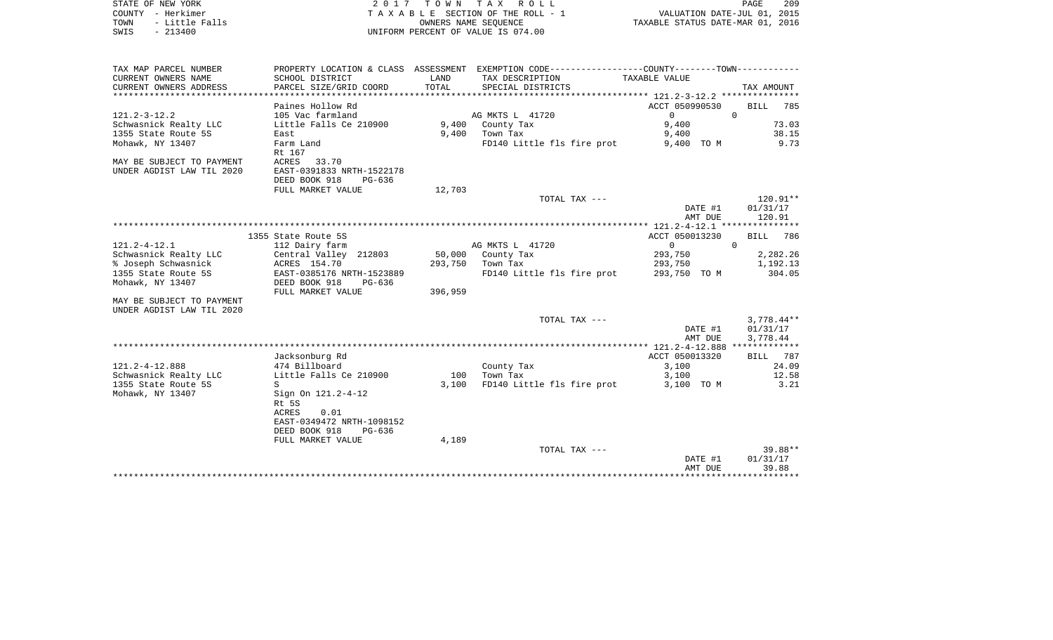| STATE OF NEW YORK         |                           |         | 2017 TOWN TAX ROLL                                                                            |                                  | PAGE           | 209          |
|---------------------------|---------------------------|---------|-----------------------------------------------------------------------------------------------|----------------------------------|----------------|--------------|
| COUNTY - Herkimer         |                           |         | TAXABLE SECTION OF THE ROLL - 1                                                               | VALUATION DATE-JUL 01, 2015      |                |              |
| TOWN<br>- Little Falls    |                           |         | OWNERS NAME SEQUENCE                                                                          | TAXABLE STATUS DATE-MAR 01, 2016 |                |              |
| SWIS<br>$-213400$         |                           |         | UNIFORM PERCENT OF VALUE IS 074.00                                                            |                                  |                |              |
|                           |                           |         |                                                                                               |                                  |                |              |
| TAX MAP PARCEL NUMBER     |                           |         | PROPERTY LOCATION & CLASS ASSESSMENT EXEMPTION CODE---------------COUNTY-------TOWN---------- |                                  |                |              |
| CURRENT OWNERS NAME       | SCHOOL DISTRICT           | LAND    | TAX DESCRIPTION                                                                               | TAXABLE VALUE                    |                |              |
| CURRENT OWNERS ADDRESS    | PARCEL SIZE/GRID COORD    | TOTAL   | SPECIAL DISTRICTS                                                                             |                                  | TAX AMOUNT     |              |
|                           |                           |         |                                                                                               |                                  |                |              |
|                           | Paines Hollow Rd          |         |                                                                                               | ACCT 050990530                   |                | BILL 785     |
| $121.2 - 3 - 12.2$        | 105 Vac farmland          |         | AG MKTS L 41720                                                                               | $\overline{0}$                   | $\overline{0}$ |              |
| Schwasnick Realty LLC     | Little Falls Ce 210900    |         | 9,400 County Tax                                                                              | 9,400                            |                | 73.03        |
| 1355 State Route 5S       | East                      |         | $9,400$ Town Tax                                                                              | 9,400                            |                | 38.15        |
| Mohawk, NY 13407          | Farm Land<br>Rt 167       |         | FD140 Little fls fire prot                                                                    | 9,400 TO M                       |                | 9.73         |
| MAY BE SUBJECT TO PAYMENT | ACRES 33.70               |         |                                                                                               |                                  |                |              |
| UNDER AGDIST LAW TIL 2020 | EAST-0391833 NRTH-1522178 |         |                                                                                               |                                  |                |              |
|                           | DEED BOOK 918<br>PG-636   |         |                                                                                               |                                  |                |              |
|                           | FULL MARKET VALUE         | 12,703  |                                                                                               |                                  |                |              |
|                           |                           |         | TOTAL TAX ---                                                                                 |                                  |                | 120.91**     |
|                           |                           |         |                                                                                               | DATE #1                          |                | 01/31/17     |
|                           |                           |         |                                                                                               | AMT DUE                          |                | 120.91       |
|                           |                           |         |                                                                                               |                                  |                |              |
|                           | 1355 State Route 5S       |         |                                                                                               | ACCT 050013230                   | <b>BILL</b>    | 786          |
| 121.2-4-12.1              | 112 Dairy farm            |         | AG MKTS L 41720                                                                               | $\overline{0}$                   | $\mathbf 0$    |              |
| Schwasnick Realty LLC     | Central Valley 212803     |         | 50,000 County Tax                                                                             | 293,750                          |                | 2,282.26     |
| % Joseph Schwasnick       | ACRES 154.70              |         | 293,750 Town Tax                                                                              | 293,750                          |                | 1,192.13     |
| 1355 State Route 5S       | EAST-0385176 NRTH-1523889 |         | FD140 Little fls fire prot 293,750 TO M                                                       |                                  |                | 304.05       |
| Mohawk, NY 13407          | DEED BOOK 918<br>PG-636   |         |                                                                                               |                                  |                |              |
|                           | FULL MARKET VALUE         | 396,959 |                                                                                               |                                  |                |              |
| MAY BE SUBJECT TO PAYMENT |                           |         |                                                                                               |                                  |                |              |
| UNDER AGDIST LAW TIL 2020 |                           |         |                                                                                               |                                  |                |              |
|                           |                           |         | TOTAL TAX ---                                                                                 |                                  |                | $3,778.44**$ |
|                           |                           |         |                                                                                               | DATE #1                          | 01/31/17       |              |
|                           |                           |         |                                                                                               | AMT DUE                          | 3,778.44       |              |
|                           | Jacksonburg Rd            |         |                                                                                               | ACCT 050013320                   |                | BILL 787     |
| 121.2-4-12.888            | 474 Billboard             |         | County Tax                                                                                    | 3,100                            |                | 24.09        |
| Schwasnick Realty LLC     | Little Falls Ce 210900    |         | 100 Town Tax                                                                                  | 3,100                            |                | 12.58        |
| 1355 State Route 5S       | S                         | 3,100   | FD140 Little fls fire prot                                                                    | 3,100 TO M                       |                | 3.21         |
| Mohawk, NY 13407          | Sign On 121.2-4-12        |         |                                                                                               |                                  |                |              |
|                           | Rt 5S                     |         |                                                                                               |                                  |                |              |
|                           | ACRES<br>0.01             |         |                                                                                               |                                  |                |              |
|                           | EAST-0349472 NRTH-1098152 |         |                                                                                               |                                  |                |              |
|                           | DEED BOOK 918<br>PG-636   |         |                                                                                               |                                  |                |              |
|                           | FULL MARKET VALUE         | 4,189   |                                                                                               |                                  |                |              |
|                           |                           |         | TOTAL TAX ---                                                                                 |                                  |                | 39.88**      |
|                           |                           |         |                                                                                               | DATE #1                          | 01/31/17       |              |

AMT DUE 39.88 \*\*\*\*\*\*\*\*\*\*\*\*\*\*\*\*\*\*\*\*\*\*\*\*\*\*\*\*\*\*\*\*\*\*\*\*\*\*\*\*\*\*\*\*\*\*\*\*\*\*\*\*\*\*\*\*\*\*\*\*\*\*\*\*\*\*\*\*\*\*\*\*\*\*\*\*\*\*\*\*\*\*\*\*\*\*\*\*\*\*\*\*\*\*\*\*\*\*\*\*\*\*\*\*\*\*\*\*\*\*\*\*\*\*\*\*\*\*\*\*\*\*\*\*\*\*\*\*\*\*\*\*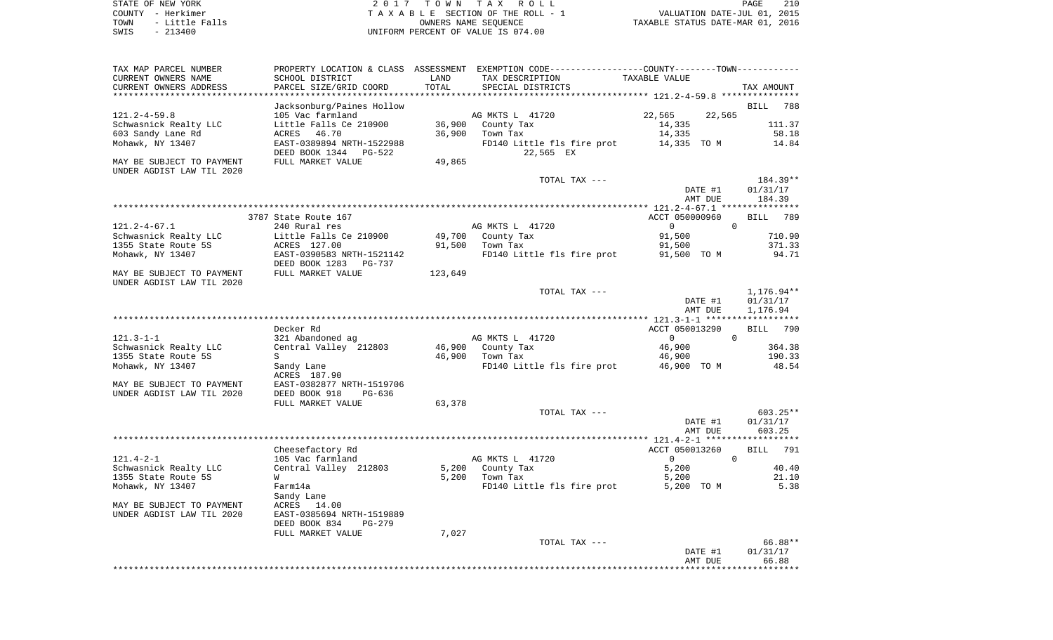|      | STATE OF NEW YORK | 2017 TOWN TAX ROLL                 | 210<br>PAGE                      |
|------|-------------------|------------------------------------|----------------------------------|
|      | COUNTY - Herkimer | TAXABLE SECTION OF THE ROLL - 1    | VALUATION DATE-JUL 01, 2015      |
| TOWN | - Little Falls    | OWNERS NAME SEOUENCE               | TAXABLE STATUS DATE-MAR 01, 2016 |
| SWIS | $-213400$         | UNIFORM PERCENT OF VALUE IS 074.00 |                                  |

| TAX MAP PARCEL NUMBER<br>CURRENT OWNERS NAME                                                                                            | PROPERTY LOCATION & CLASS<br>SCHOOL DISTRICT                                                                                                                            | ASSESSMENT<br>LAND          | EXEMPTION CODE-----------------COUNTY--------TOWN-----------<br>TAX DESCRIPTION      | TAXABLE VALUE                                                              |                                                |
|-----------------------------------------------------------------------------------------------------------------------------------------|-------------------------------------------------------------------------------------------------------------------------------------------------------------------------|-----------------------------|--------------------------------------------------------------------------------------|----------------------------------------------------------------------------|------------------------------------------------|
| CURRENT OWNERS ADDRESS                                                                                                                  | PARCEL SIZE/GRID COORD                                                                                                                                                  | TOTAL<br>********           | SPECIAL DISTRICTS                                                                    | *************************** 121.2-4-59.8 **********                        | TAX AMOUNT                                     |
| $121.2 - 4 - 59.8$<br>Schwasnick Realty LLC<br>603 Sandy Lane Rd<br>Mohawk, NY 13407<br>MAY BE SUBJECT TO PAYMENT                       | Jacksonburg/Paines Hollow<br>105 Vac farmland<br>Little Falls Ce 210900<br>ACRES<br>46.70<br>EAST-0389894 NRTH-1522988<br>DEED BOOK 1344<br>PG-522<br>FULL MARKET VALUE | 36,900<br>36,900<br>49,865  | AG MKTS L 41720<br>County Tax<br>Town Tax<br>FD140 Little fls fire prot<br>22,565 EX | 22,565<br>22,565<br>14,335<br>14,335<br>14,335 TO M                        | 788<br><b>BILL</b><br>111.37<br>58.18<br>14.84 |
| UNDER AGDIST LAW TIL 2020                                                                                                               |                                                                                                                                                                         |                             | TOTAL TAX ---                                                                        |                                                                            | 184.39**                                       |
|                                                                                                                                         |                                                                                                                                                                         |                             |                                                                                      | DATE #1<br>AMT DUE                                                         | 01/31/17<br>184.39                             |
|                                                                                                                                         |                                                                                                                                                                         |                             |                                                                                      |                                                                            |                                                |
|                                                                                                                                         | 3787 State Route 167                                                                                                                                                    |                             |                                                                                      | ACCT 050000960<br>$\mathbf{0}$<br>$\mathbf 0$                              | <b>BILL</b><br>789                             |
| $121.2 - 4 - 67.1$<br>Schwasnick Realty LLC<br>1355 State Route 5S<br>Mohawk, NY 13407<br>MAY BE SUBJECT TO PAYMENT                     | 240 Rural res<br>Little Falls Ce 210900<br>ACRES 127.00<br>EAST-0390583 NRTH-1521142<br>DEED BOOK 1283<br><b>PG-737</b><br>FULL MARKET VALUE                            | 49,700<br>91,500<br>123,649 | AG MKTS L 41720<br>County Tax<br>Town Tax<br>FD140 Little fls fire prot              | 91,500<br>91,500<br>91,500 TO M                                            | 710.90<br>371.33<br>94.71                      |
| UNDER AGDIST LAW TIL 2020                                                                                                               |                                                                                                                                                                         |                             |                                                                                      |                                                                            |                                                |
|                                                                                                                                         |                                                                                                                                                                         |                             | TOTAL TAX ---                                                                        | DATE #1<br>AMT DUE                                                         | 1,176.94**<br>01/31/17<br>1,176.94             |
|                                                                                                                                         |                                                                                                                                                                         |                             |                                                                                      |                                                                            |                                                |
| $121.3 - 1 - 1$                                                                                                                         | Decker Rd<br>321 Abandoned ag                                                                                                                                           |                             | AG MKTS L 41720                                                                      | ACCT 050013290<br>$\mathbf 0$<br>$\mathbf 0$                               | 790<br><b>BILL</b>                             |
| Schwasnick Realty LLC<br>1355 State Route 5S                                                                                            | Central Valley 212803<br>S                                                                                                                                              | 46,900<br>46,900            | County Tax<br>Town Tax                                                               | 46,900<br>46,900                                                           | 364.38<br>190.33                               |
| Mohawk, NY 13407                                                                                                                        | Sandy Lane<br>ACRES 187.90                                                                                                                                              |                             | FD140 Little fls fire prot                                                           | 46,900 TO M                                                                | 48.54                                          |
| MAY BE SUBJECT TO PAYMENT<br>UNDER AGDIST LAW TIL 2020                                                                                  | EAST-0382877 NRTH-1519706<br>DEED BOOK 918<br>$PG-636$<br>FULL MARKET VALUE                                                                                             | 63,378                      |                                                                                      |                                                                            |                                                |
|                                                                                                                                         |                                                                                                                                                                         |                             | TOTAL TAX ---                                                                        | DATE #1<br>AMT DUE                                                         | 603.25**<br>01/31/17<br>603.25                 |
|                                                                                                                                         |                                                                                                                                                                         |                             |                                                                                      |                                                                            | **********                                     |
| 121.4-2-1<br>Schwasnick Realty LLC<br>1355 State Route 5S<br>Mohawk, NY 13407<br>MAY BE SUBJECT TO PAYMENT<br>UNDER AGDIST LAW TIL 2020 | Cheesefactory Rd<br>105 Vac farmland<br>Central Valley 212803<br>W<br>Farm14a<br>Sandy Lane<br>ACRES<br>14.00<br>EAST-0385694 NRTH-1519889                              | 5,200<br>5,200              | AG MKTS L 41720<br>County Tax<br>Town Tax<br>FD140 Little fls fire prot              | ACCT 050013260<br>$\mathbf{0}$<br>$\Omega$<br>5,200<br>5,200<br>5,200 TO M | 791<br><b>BILL</b><br>40.40<br>21.10<br>5.38   |
|                                                                                                                                         | DEED BOOK 834<br>PG-279<br>FULL MARKET VALUE                                                                                                                            | 7,027                       |                                                                                      |                                                                            |                                                |
|                                                                                                                                         |                                                                                                                                                                         |                             | TOTAL TAX ---                                                                        | DATE #1<br>AMT DUE                                                         | 66.88**<br>01/31/17<br>66.88                   |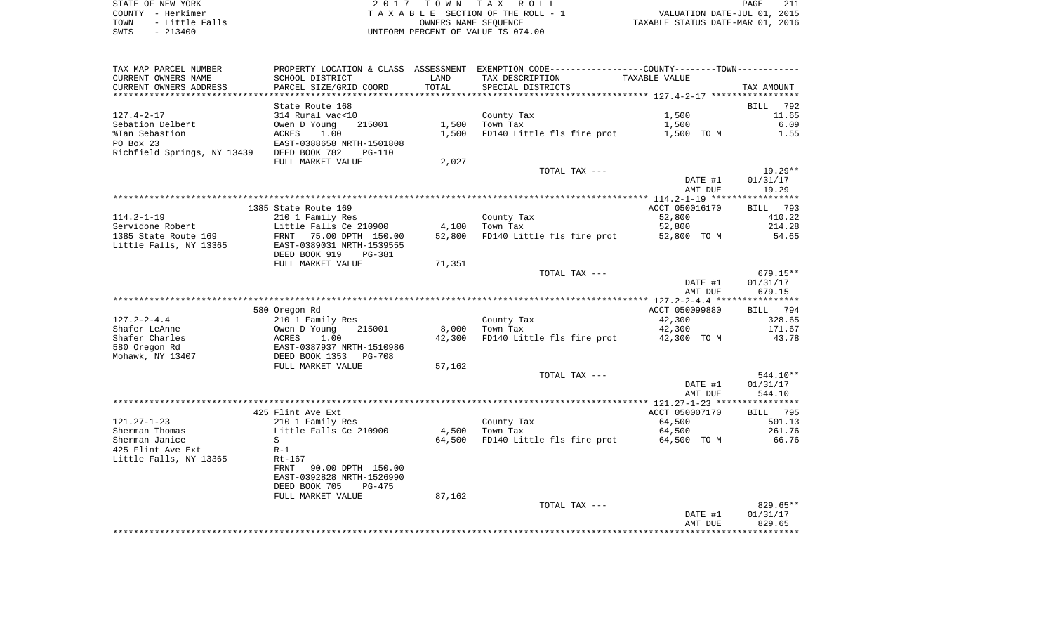| TAX MAP PARCEL NUMBER       | PROPERTY LOCATION & CLASS       | ASSESSMENT | EXEMPTION CODE-----------------COUNTY-------TOWN----------- |                |                    |
|-----------------------------|---------------------------------|------------|-------------------------------------------------------------|----------------|--------------------|
| CURRENT OWNERS NAME         | SCHOOL DISTRICT                 | LAND       | TAX DESCRIPTION                                             | TAXABLE VALUE  |                    |
| CURRENT OWNERS ADDRESS      | PARCEL SIZE/GRID COORD          | TOTAL      | SPECIAL DISTRICTS                                           |                | TAX AMOUNT         |
|                             |                                 |            |                                                             |                |                    |
|                             | State Route 168                 |            |                                                             |                | <b>BILL</b><br>792 |
| $127.4 - 2 - 17$            | 314 Rural vac<10                |            | County Tax                                                  | 1,500          | 11.65              |
| Sebation Delbert            | 215001<br>Owen D Young          | 1,500      | Town Tax                                                    | 1,500          | 6.09               |
| %Ian Sebastion              | 1.00<br>ACRES                   | 1,500      | FD140 Little fls fire prot                                  | 1,500 TO M     | 1.55               |
| PO Box 23                   | EAST-0388658 NRTH-1501808       |            |                                                             |                |                    |
| Richfield Springs, NY 13439 | DEED BOOK 782<br>$PG-110$       |            |                                                             |                |                    |
|                             | FULL MARKET VALUE               | 2,027      |                                                             |                |                    |
|                             |                                 |            | TOTAL TAX ---                                               |                | $19.29**$          |
|                             |                                 |            |                                                             | DATE #1        | 01/31/17           |
|                             |                                 |            |                                                             | AMT DUE        | 19.29              |
|                             |                                 |            |                                                             |                |                    |
|                             | 1385 State Route 169            |            |                                                             | ACCT 050016170 | 793<br>BILL        |
| $114.2 - 1 - 19$            | 210 1 Family Res                |            | County Tax                                                  | 52,800         | 410.22             |
|                             |                                 |            |                                                             |                |                    |
| Servidone Robert            | Little Falls Ce 210900          | 4,100      | Town Tax                                                    | 52,800         | 214.28             |
| 1385 State Route 169        | 75.00 DPTH 150.00<br>FRNT       | 52,800     | FD140 Little fls fire prot                                  | 52,800 TO M    | 54.65              |
| Little Falls, NY 13365      | EAST-0389031 NRTH-1539555       |            |                                                             |                |                    |
|                             | DEED BOOK 919<br><b>PG-381</b>  |            |                                                             |                |                    |
|                             | FULL MARKET VALUE               | 71,351     |                                                             |                |                    |
|                             |                                 |            | TOTAL TAX ---                                               |                | $679.15**$         |
|                             |                                 |            |                                                             | DATE #1        | 01/31/17           |
|                             |                                 |            |                                                             | AMT DUE        | 679.15             |
|                             |                                 |            |                                                             |                |                    |
|                             | 580 Oregon Rd                   |            |                                                             | ACCT 050099880 | 794<br>BILL        |
| $127.2 - 2 - 4.4$           | 210 1 Family Res                |            | County Tax                                                  | 42,300         | 328.65             |
| Shafer LeAnne               | Owen D Young<br>215001          | 8,000      | Town Tax                                                    | 42,300         | 171.67             |
| Shafer Charles              | ACRES<br>1.00                   | 42,300     | FD140 Little fls fire prot                                  | 42,300 TO M    | 43.78              |
| 580 Oregon Rd               | EAST-0387937 NRTH-1510986       |            |                                                             |                |                    |
| Mohawk, NY 13407            | DEED BOOK 1353<br><b>PG-708</b> |            |                                                             |                |                    |
|                             | FULL MARKET VALUE               | 57,162     |                                                             |                |                    |
|                             |                                 |            | TOTAL TAX ---                                               |                | $544.10**$         |
|                             |                                 |            |                                                             | DATE #1        | 01/31/17           |
|                             |                                 |            |                                                             | AMT DUE        | 544.10             |
|                             |                                 |            |                                                             |                |                    |
|                             | 425 Flint Ave Ext               |            |                                                             | ACCT 050007170 | 795<br>BILL        |
| $121.27 - 1 - 23$           | 210 1 Family Res                |            | County Tax                                                  | 64,500         | 501.13             |
| Sherman Thomas              | Little Falls Ce 210900          | 4,500      | Town Tax                                                    | 64,500         | 261.76             |
| Sherman Janice              | S                               | 64,500     | FD140 Little fls fire prot                                  | 64,500 TO M    | 66.76              |
| 425 Flint Ave Ext           | $R-1$                           |            |                                                             |                |                    |
| Little Falls, NY 13365      | $Rt-167$                        |            |                                                             |                |                    |
|                             | 90.00 DPTH 150.00<br>FRNT       |            |                                                             |                |                    |
|                             | EAST-0392828 NRTH-1526990       |            |                                                             |                |                    |
|                             | DEED BOOK 705<br>$PG-475$       |            |                                                             |                |                    |
|                             | FULL MARKET VALUE               | 87,162     |                                                             |                |                    |
|                             |                                 |            | TOTAL TAX ---                                               |                | 829.65**           |
|                             |                                 |            |                                                             | DATE #1        | 01/31/17           |
|                             |                                 |            |                                                             | AMT DUE        | 829.65             |
|                             |                                 |            |                                                             |                |                    |
|                             |                                 |            |                                                             |                |                    |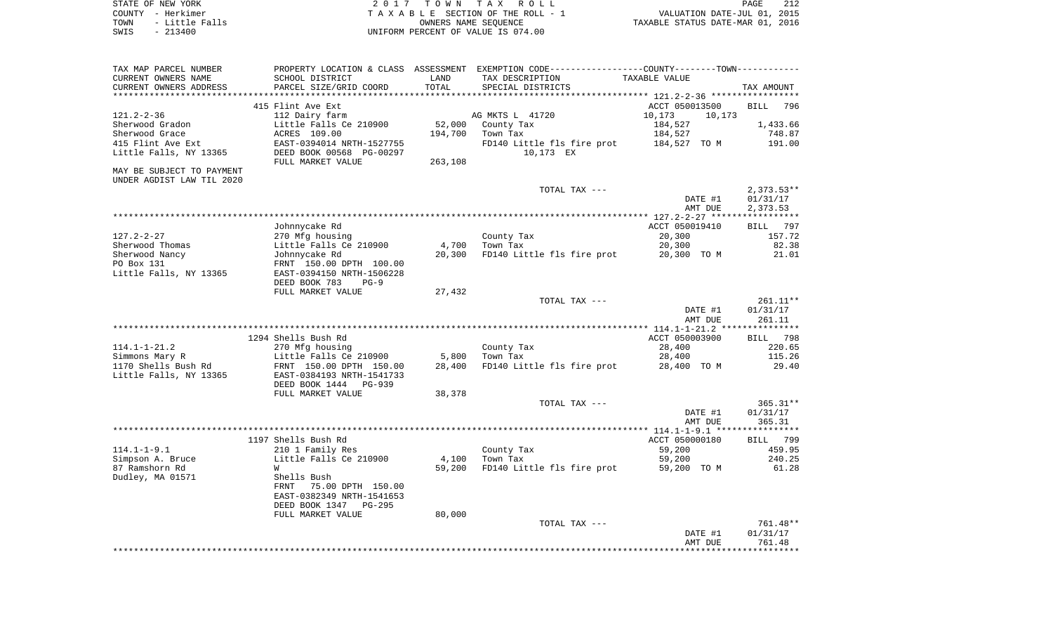| STATE OF NEW YORK      | 2017 TOWN TAX ROLL                 | 212<br>PAGE                      |
|------------------------|------------------------------------|----------------------------------|
| COUNTY - Herkimer      | TAXABLE SECTION OF THE ROLL - 1    | VALUATION DATE-JUL 01, 2015      |
| - Little Falls<br>TOWN | OWNERS NAME SEOUENCE               | TAXABLE STATUS DATE-MAR 01, 2016 |
| SWIS<br>- 213400       | UNIFORM PERCENT OF VALUE IS 074.00 |                                  |

 $\begin{array}{c} 212 \\ 2015 \\ 2016 \end{array}$ 

| TAX MAP PARCEL NUMBER<br>CURRENT OWNERS NAME                                                   | SCHOOL DISTRICT                                                                                                                                                               | LAND                         | PROPERTY LOCATION & CLASS ASSESSMENT EXEMPTION CODE---------------COUNTY-------TOWN----------<br>TAX DESCRIPTION | TAXABLE VALUE                                                            |                                                    |
|------------------------------------------------------------------------------------------------|-------------------------------------------------------------------------------------------------------------------------------------------------------------------------------|------------------------------|------------------------------------------------------------------------------------------------------------------|--------------------------------------------------------------------------|----------------------------------------------------|
| CURRENT OWNERS ADDRESS<br>**********************                                               | PARCEL SIZE/GRID COORD                                                                                                                                                        | TOTAL                        | SPECIAL DISTRICTS                                                                                                |                                                                          | TAX AMOUNT                                         |
| 121.2-2-36<br>Sherwood Gradon<br>Sherwood Grace<br>415 Flint Ave Ext<br>Little Falls, NY 13365 | 415 Flint Ave Ext<br>112 Dairy farm<br>Little Falls Ce 210900<br>ACRES 109.00<br>EAST-0394014 NRTH-1527755<br>DEED BOOK 00568 PG-00297<br>FULL MARKET VALUE                   | 52,000<br>194,700<br>263,108 | AG MKTS L 41720<br>County Tax<br>Town Tax<br>FD140 Little fls fire prot<br>10,173 EX                             | ACCT 050013500<br>10,173<br>10,173<br>184,527<br>184,527<br>184,527 TO M | 796<br><b>BILL</b><br>1,433.66<br>748.87<br>191.00 |
| MAY BE SUBJECT TO PAYMENT                                                                      |                                                                                                                                                                               |                              |                                                                                                                  |                                                                          |                                                    |
| UNDER AGDIST LAW TIL 2020                                                                      |                                                                                                                                                                               |                              | TOTAL TAX ---                                                                                                    |                                                                          | $2,373.53**$                                       |
|                                                                                                |                                                                                                                                                                               |                              |                                                                                                                  | DATE #1<br>AMT DUE                                                       | 01/31/17<br>2,373.53                               |
|                                                                                                |                                                                                                                                                                               |                              |                                                                                                                  |                                                                          |                                                    |
| $127.2 - 2 - 27$<br>Sherwood Thomas                                                            | Johnnycake Rd<br>270 Mfg housing<br>Little Falls Ce 210900                                                                                                                    | 4,700                        | County Tax<br>Town Tax                                                                                           | ACCT 050019410<br>20,300<br>20,300                                       | 797<br><b>BILL</b><br>157.72<br>82.38              |
| Sherwood Nancy<br>PO Box 131<br>Little Falls, NY 13365                                         | Johnnycake Rd<br>FRNT 150.00 DPTH 100.00<br>EAST-0394150 NRTH-1506228                                                                                                         | 20,300                       | FD140 Little fls fire prot                                                                                       | 20,300 TO M                                                              | 21.01                                              |
|                                                                                                | DEED BOOK 783<br>$PG-9$<br>FULL MARKET VALUE                                                                                                                                  | 27,432                       |                                                                                                                  |                                                                          |                                                    |
|                                                                                                |                                                                                                                                                                               |                              | TOTAL TAX ---                                                                                                    | DATE #1<br>AMT DUE                                                       | $261.11**$<br>01/31/17<br>261.11                   |
|                                                                                                |                                                                                                                                                                               |                              |                                                                                                                  |                                                                          |                                                    |
| $114.1 - 1 - 21.2$<br>Simmons Mary R<br>1170 Shells Bush Rd<br>Little Falls, NY 13365          | 1294 Shells Bush Rd<br>270 Mfg housing<br>Little Falls Ce 210900<br>FRNT 150.00 DPTH 150.00<br>EAST-0384193 NRTH-1541733                                                      | 5,800<br>28,400              | County Tax<br>Town Tax<br>FD140 Little fls fire prot                                                             | ACCT 050003900<br>28,400<br>28,400<br>28,400 TO M                        | BILL<br>798<br>220.65<br>115.26<br>29.40           |
|                                                                                                | FULL MARKET VALUE                                                                                                                                                             | 38,378                       |                                                                                                                  |                                                                          |                                                    |
|                                                                                                |                                                                                                                                                                               |                              | TOTAL TAX ---                                                                                                    | DATE #1<br>AMT DUE                                                       | $365.31**$<br>01/31/17<br>365.31                   |
|                                                                                                |                                                                                                                                                                               |                              |                                                                                                                  |                                                                          |                                                    |
| $114.1 - 1 - 9.1$<br>Simpson A. Bruce<br>87 Ramshorn Rd<br>Dudley, MA 01571                    | 1197 Shells Bush Rd<br>210 1 Family Res<br>Little Falls Ce 210900<br>W<br>Shells Bush<br>75.00 DPTH 150.00<br>FRNT<br>EAST-0382349 NRTH-1541653<br>DEED BOOK 1347<br>$PG-295$ | 4,100<br>59,200              | County Tax<br>Town Tax<br>FD140 Little fls fire prot                                                             | ACCT 050000180<br>59,200<br>59,200<br>59,200 TO M                        | 799<br>BILL<br>459.95<br>240.25<br>61.28           |
|                                                                                                | FULL MARKET VALUE                                                                                                                                                             |                              |                                                                                                                  |                                                                          |                                                    |
|                                                                                                |                                                                                                                                                                               |                              |                                                                                                                  | DATE #1<br>AMT DUE                                                       | 01/31/17<br>761.48                                 |
|                                                                                                | DEED BOOK 1444<br><b>PG-939</b>                                                                                                                                               | 80,000                       | TOTAL TAX ---                                                                                                    |                                                                          | 761.48**<br>********                               |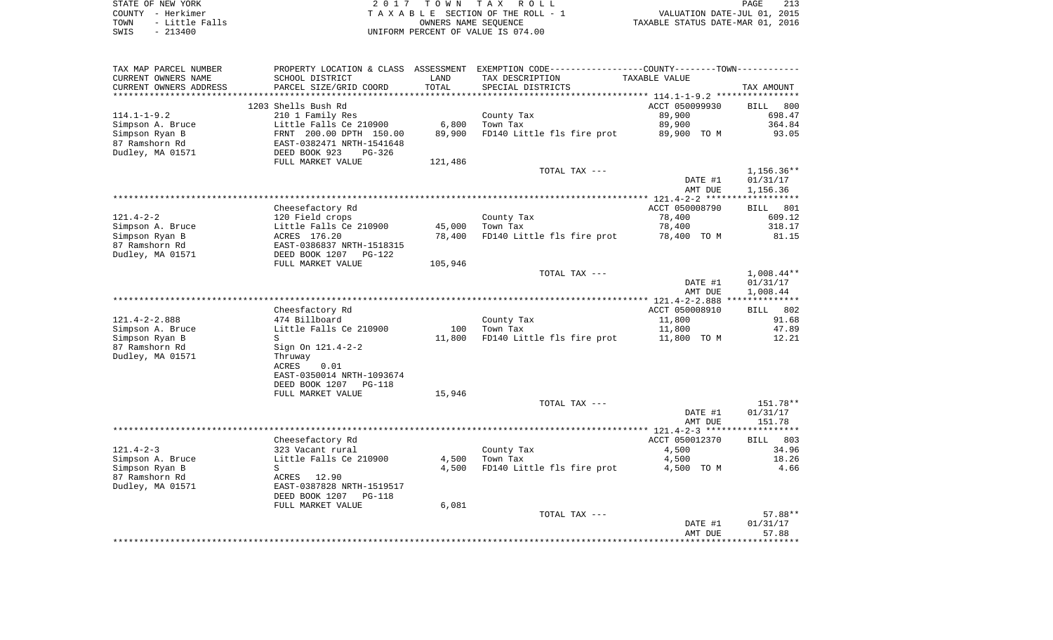| STATE OF NEW YORK      | 2017 TOWN TAX ROLL                 | 213<br>PAGE                      |
|------------------------|------------------------------------|----------------------------------|
| COUNTY - Herkimer      | TAXABLE SECTION OF THE ROLL - 1    | VALUATION DATE-JUL 01, 2015      |
| - Little Falls<br>TOWN | OWNERS NAME SEOUENCE               | TAXABLE STATUS DATE-MAR 01, 2016 |
| SWIS<br>$-213400$      | UNIFORM PERCENT OF VALUE IS 074.00 |                                  |

|  | PAGE.                          |  | -213 |
|--|--------------------------------|--|------|
|  | VALUATION DATE-JUL 01, 2015    |  |      |
|  | XABLE STATUS DATE-MAR 01, 2016 |  |      |

| TAX MAP PARCEL NUMBER                         | PROPERTY LOCATION & CLASS ASSESSMENT                 |                      | EXEMPTION CODE----------------COUNTY-------TOWN---------- |                                             |                    |
|-----------------------------------------------|------------------------------------------------------|----------------------|-----------------------------------------------------------|---------------------------------------------|--------------------|
| CURRENT OWNERS NAME                           | SCHOOL DISTRICT                                      | LAND                 | TAX DESCRIPTION                                           | TAXABLE VALUE                               |                    |
| CURRENT OWNERS ADDRESS<br>******************* | PARCEL SIZE/GRID COORD<br>************************** | TOTAL<br>*********** | SPECIAL DISTRICTS                                         |                                             | TAX AMOUNT         |
|                                               |                                                      |                      |                                                           |                                             |                    |
|                                               | 1203 Shells Bush Rd                                  |                      |                                                           | ACCT 050099930                              | <b>BILL</b><br>800 |
| $114.1 - 1 - 9.2$                             | 210 1 Family Res                                     |                      | County Tax                                                | 89,900                                      | 698.47             |
| Simpson A. Bruce                              | Little Falls Ce 210900                               | 6,800                | Town Tax                                                  | 89,900                                      | 364.84             |
| Simpson Ryan B<br>87 Ramshorn Rd              | FRNT 200.00 DPTH 150.00<br>EAST-0382471 NRTH-1541648 | 89,900               | FD140 Little fls fire prot                                | 89,900 TO M                                 | 93.05              |
| Dudley, MA 01571                              | DEED BOOK 923<br>PG-326                              |                      |                                                           |                                             |                    |
|                                               | FULL MARKET VALUE                                    | 121,486              |                                                           |                                             |                    |
|                                               |                                                      |                      | TOTAL TAX ---                                             |                                             | 1,156.36**         |
|                                               |                                                      |                      |                                                           | DATE #1                                     | 01/31/17           |
|                                               |                                                      |                      |                                                           | AMT DUE                                     | 1,156.36           |
|                                               |                                                      |                      |                                                           |                                             |                    |
|                                               | Cheesefactory Rd                                     |                      |                                                           | ACCT 050008790                              | <b>BILL</b><br>801 |
| $121.4 - 2 - 2$                               | 120 Field crops                                      |                      | County Tax                                                | 78,400                                      | 609.12             |
| Simpson A. Bruce                              | Little Falls Ce 210900                               | 45,000               | Town Tax                                                  | 78,400                                      | 318.17             |
| Simpson Ryan B                                | ACRES 176.20                                         | 78,400               | FD140 Little fls fire prot                                | 78,400 TO M                                 | 81.15              |
| 87 Ramshorn Rd                                | EAST-0386837 NRTH-1518315                            |                      |                                                           |                                             |                    |
| Dudley, MA 01571                              | DEED BOOK 1207<br>$PG-122$                           |                      |                                                           |                                             |                    |
|                                               | FULL MARKET VALUE                                    | 105,946              |                                                           |                                             |                    |
|                                               |                                                      |                      | TOTAL TAX ---                                             |                                             | $1,008.44**$       |
|                                               |                                                      |                      |                                                           | DATE #1                                     | 01/31/17           |
|                                               |                                                      |                      |                                                           | AMT DUE                                     | 1,008.44           |
|                                               |                                                      |                      |                                                           | ************* 121.4-2-2.888                 | **************     |
|                                               | Cheesfactory Rd                                      |                      |                                                           | ACCT 050008910                              | 802<br>BILL        |
| $121.4 - 2 - 2.888$                           | 474 Billboard                                        |                      | County Tax                                                | 11,800                                      | 91.68              |
| Simpson A. Bruce                              | Little Falls Ce 210900                               | 100                  | Town Tax                                                  | 11,800                                      | 47.89              |
| Simpson Ryan B                                | S                                                    | 11,800               | FD140 Little fls fire prot                                | 11,800 TO M                                 | 12.21              |
| 87 Ramshorn Rd                                | Sign On 121.4-2-2                                    |                      |                                                           |                                             |                    |
| Dudley, MA 01571                              | Thruway<br>0.01<br><b>ACRES</b>                      |                      |                                                           |                                             |                    |
|                                               | EAST-0350014 NRTH-1093674                            |                      |                                                           |                                             |                    |
|                                               | DEED BOOK 1207<br><b>PG-118</b>                      |                      |                                                           |                                             |                    |
|                                               | FULL MARKET VALUE                                    | 15,946               |                                                           |                                             |                    |
|                                               |                                                      |                      | TOTAL TAX ---                                             |                                             | 151.78**           |
|                                               |                                                      |                      |                                                           | DATE #1                                     | 01/31/17           |
|                                               |                                                      |                      |                                                           | AMT DUE                                     | 151.78             |
|                                               |                                                      |                      |                                                           |                                             |                    |
|                                               | Cheesefactory Rd                                     |                      |                                                           | ACCT 050012370                              | <b>BILL</b><br>803 |
| $121.4 - 2 - 3$                               | 323 Vacant rural                                     |                      | County Tax                                                | 4,500                                       | 34.96              |
| Simpson A. Bruce                              | Little Falls Ce 210900                               | 4,500                | Town Tax                                                  | 4,500                                       | 18.26              |
| Simpson Ryan B                                | S                                                    | 4,500                | FD140 Little fls fire prot                                | 4,500 TO M                                  | 4.66               |
| 87 Ramshorn Rd                                | ACRES<br>12.90                                       |                      |                                                           |                                             |                    |
| Dudley, MA 01571                              | EAST-0387828 NRTH-1519517                            |                      |                                                           |                                             |                    |
|                                               | DEED BOOK 1207<br><b>PG-118</b>                      |                      |                                                           |                                             |                    |
|                                               | FULL MARKET VALUE                                    | 6,081                |                                                           |                                             |                    |
|                                               |                                                      |                      | TOTAL TAX ---                                             |                                             | 57.88**            |
|                                               |                                                      |                      |                                                           | DATE #1                                     | 01/31/17           |
|                                               |                                                      |                      |                                                           | AMT DUE<br>******************************** | 57.88              |
|                                               |                                                      |                      |                                                           |                                             |                    |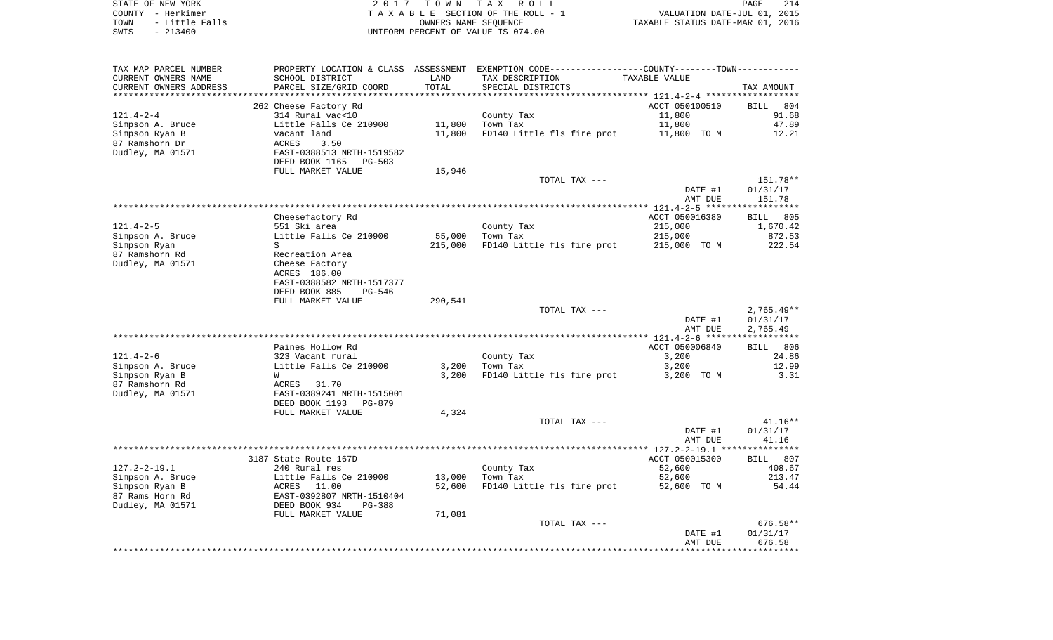| STATE OF NEW YORK      | 2017 TOWN TAX ROLL                 | 214<br>PAGE                      |
|------------------------|------------------------------------|----------------------------------|
| COUNTY - Herkimer      | TAXABLE SECTION OF THE ROLL - 1    | VALUATION DATE-JUL 01, 2015      |
| TOWN<br>- Little Falls | OWNERS NAME SEOUENCE               | TAXABLE STATUS DATE-MAR 01, 2016 |
| $-213400$<br>SWIS      | UNIFORM PERCENT OF VALUE IS 074.00 |                                  |

| TAX MAP PARCEL NUMBER<br>CURRENT OWNERS NAME<br>CURRENT OWNERS ADDRESS                          | PROPERTY LOCATION & CLASS<br>SCHOOL DISTRICT<br>PARCEL SIZE/GRID COORD                                                           | ASSESSMENT<br>LAND<br>TOTAL | EXEMPTION CODE-----------------COUNTY-------TOWN-----------<br>TAX DESCRIPTION<br>SPECIAL DISTRICTS | TAXABLE VALUE                                        | TAX AMOUNT                                    |
|-------------------------------------------------------------------------------------------------|----------------------------------------------------------------------------------------------------------------------------------|-----------------------------|-----------------------------------------------------------------------------------------------------|------------------------------------------------------|-----------------------------------------------|
|                                                                                                 | * * * * * * * * * *                                                                                                              |                             |                                                                                                     | ************** 121.4-2-4 ******                      |                                               |
| $121.4 - 2 - 4$<br>Simpson A. Bruce<br>Simpson Ryan B<br>87 Ramshorn Dr<br>Dudley, MA 01571     | 262 Cheese Factory Rd<br>314 Rural vac<10<br>Little Falls Ce 210900<br>vacant land<br>ACRES<br>3.50<br>EAST-0388513 NRTH-1519582 | 11,800<br>11,800            | County Tax<br>Town Tax<br>FD140 Little fls fire prot                                                | ACCT 050100510<br>11,800<br>11,800<br>11,800 TO M    | 804<br><b>BILL</b><br>91.68<br>47.89<br>12.21 |
|                                                                                                 | DEED BOOK 1165<br>PG-503<br>FULL MARKET VALUE                                                                                    | 15,946                      |                                                                                                     |                                                      |                                               |
|                                                                                                 |                                                                                                                                  |                             | TOTAL TAX ---                                                                                       | DATE #1<br>AMT DUE                                   | 151.78**<br>01/31/17<br>151.78                |
|                                                                                                 |                                                                                                                                  |                             |                                                                                                     |                                                      | * * * * * * * * * * *                         |
| $121.4 - 2 - 5$<br>Simpson A. Bruce<br>Simpson Ryan                                             | Cheesefactory Rd<br>551 Ski area<br>Little Falls Ce 210900<br>S.                                                                 | 55,000<br>215,000           | County Tax<br>Town Tax<br>FD140 Little fls fire prot                                                | ACCT 050016380<br>215,000<br>215,000<br>215,000 TO M | 805<br>BILL<br>1,670.42<br>872.53<br>222.54   |
| 87 Ramshorn Rd<br>Dudley, MA 01571                                                              | Recreation Area<br>Cheese Factory<br>ACRES 186.00<br>EAST-0388582 NRTH-1517377<br>DEED BOOK 885<br>$PG-546$                      |                             |                                                                                                     |                                                      |                                               |
|                                                                                                 | FULL MARKET VALUE                                                                                                                | 290,541                     | TOTAL TAX ---                                                                                       | DATE #1<br>AMT DUE                                   | $2,765.49**$<br>01/31/17<br>2,765.49          |
|                                                                                                 |                                                                                                                                  |                             |                                                                                                     |                                                      | ******************                            |
|                                                                                                 | Paines Hollow Rd                                                                                                                 |                             |                                                                                                     | ACCT 050006840                                       | 806<br>BILL                                   |
| $121.4 - 2 - 6$                                                                                 | 323 Vacant rural                                                                                                                 |                             | County Tax                                                                                          | 3,200                                                | 24.86                                         |
| Simpson A. Bruce<br>Simpson Ryan B<br>87 Ramshorn Rd                                            | Little Falls Ce 210900<br>W<br>31.70<br>ACRES                                                                                    | 3,200<br>3,200              | Town Tax<br>FD140 Little fls fire prot                                                              | 3,200<br>3,200 TO M                                  | 12.99<br>3.31                                 |
| Dudley, MA 01571                                                                                | EAST-0389241 NRTH-1515001<br>DEED BOOK 1193<br>PG-879<br>FULL MARKET VALUE                                                       | 4,324                       |                                                                                                     |                                                      |                                               |
|                                                                                                 |                                                                                                                                  |                             | TOTAL TAX ---                                                                                       | DATE #1                                              | $41.16**$<br>01/31/17                         |
|                                                                                                 |                                                                                                                                  |                             |                                                                                                     | AMT DUE                                              | 41.16                                         |
|                                                                                                 | 3187 State Route 167D                                                                                                            |                             |                                                                                                     | ACCT 050015300                                       | <b>BILL</b><br>807                            |
| $127.2 - 2 - 19.1$<br>Simpson A. Bruce<br>Simpson Ryan B<br>87 Rams Horn Rd<br>Dudley, MA 01571 | 240 Rural res<br>Little Falls Ce 210900<br>11.00<br>ACRES<br>EAST-0392807 NRTH-1510404<br>DEED BOOK 934<br>$PG-388$              | 13,000<br>52,600            | County Tax<br>Town Tax<br>FD140 Little fls fire prot                                                | 52,600<br>52,600<br>52,600 TO M                      | 408.67<br>213.47<br>54.44                     |
|                                                                                                 | FULL MARKET VALUE                                                                                                                | 71,081                      |                                                                                                     |                                                      |                                               |
|                                                                                                 |                                                                                                                                  |                             | TOTAL TAX ---                                                                                       | DATE #1<br>AMT DUE                                   | 676.58**<br>01/31/17<br>676.58                |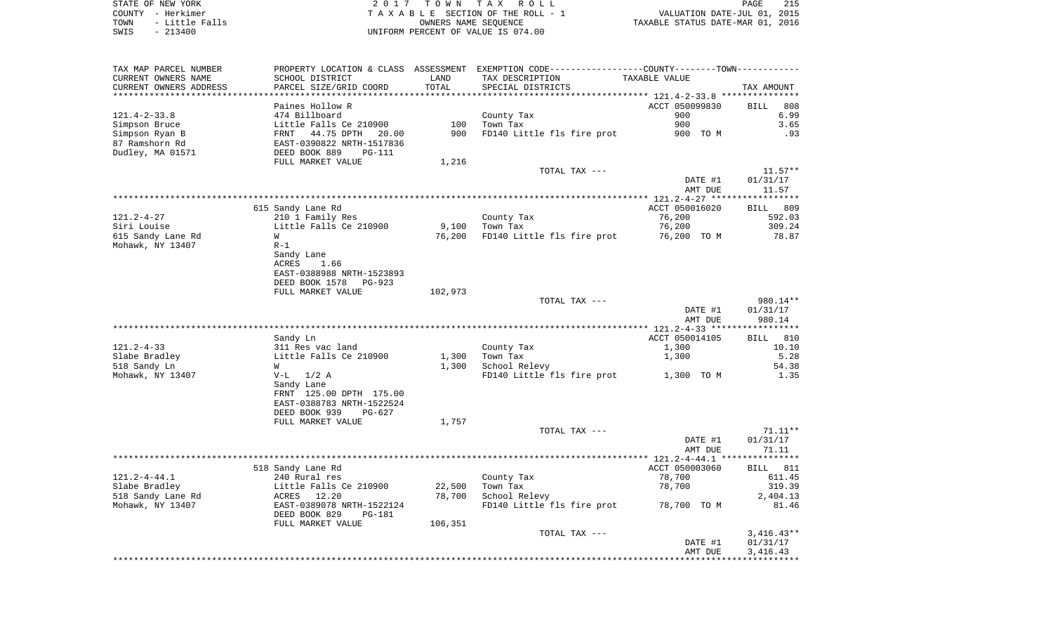| TAX MAP PARCEL NUMBER  |                                |         | PROPERTY LOCATION & CLASS ASSESSMENT EXEMPTION CODE----------------COUNTY-------TOWN------- |                                           |                       |
|------------------------|--------------------------------|---------|---------------------------------------------------------------------------------------------|-------------------------------------------|-----------------------|
| CURRENT OWNERS NAME    | SCHOOL DISTRICT                | LAND    | TAX DESCRIPTION                                                                             | TAXABLE VALUE                             |                       |
| CURRENT OWNERS ADDRESS | PARCEL SIZE/GRID COORD         | TOTAL   | SPECIAL DISTRICTS                                                                           |                                           | TAX AMOUNT            |
|                        |                                |         |                                                                                             | ****************** 121.4-2-33.8 ********* |                       |
|                        | Paines Hollow R                |         |                                                                                             | ACCT 050099830                            | 808<br>BILL           |
| $121.4 - 2 - 33.8$     | 474 Billboard                  |         | County Tax                                                                                  | 900                                       | 6.99                  |
| Simpson Bruce          | Little Falls Ce 210900         | 100     | Town Tax                                                                                    | 900                                       | 3.65                  |
| Simpson Ryan B         | 44.75 DPTH<br>FRNT<br>20.00    | 900     | FD140 Little fls fire prot                                                                  | 900 TO M                                  | .93                   |
| 87 Ramshorn Rd         | EAST-0390822 NRTH-1517836      |         |                                                                                             |                                           |                       |
| Dudley, MA 01571       | DEED BOOK 889<br><b>PG-111</b> |         |                                                                                             |                                           |                       |
|                        | FULL MARKET VALUE              | 1,216   |                                                                                             |                                           |                       |
|                        |                                |         | TOTAL TAX ---                                                                               |                                           | $11.57**$             |
|                        |                                |         |                                                                                             | DATE #1                                   | 01/31/17              |
|                        |                                |         |                                                                                             | AMT DUE                                   | 11.57                 |
|                        |                                |         |                                                                                             |                                           | * * * * * * * * * * * |
|                        | 615 Sandy Lane Rd              |         |                                                                                             | ACCT 050016020                            | 809<br>BILL           |
| $121.2 - 4 - 27$       | 210 1 Family Res               |         | County Tax                                                                                  | 76,200                                    | 592.03                |
| Siri Louise            | Little Falls Ce 210900         | 9,100   | Town Tax                                                                                    | 76,200                                    | 309.24                |
| 615 Sandy Lane Rd      | W                              | 76,200  | FD140 Little fls fire prot                                                                  | 76,200 TO M                               | 78.87                 |
| Mohawk, NY 13407       | $R-1$                          |         |                                                                                             |                                           |                       |
|                        |                                |         |                                                                                             |                                           |                       |
|                        | Sandy Lane                     |         |                                                                                             |                                           |                       |
|                        | ACRES<br>1.66                  |         |                                                                                             |                                           |                       |
|                        | EAST-0388988 NRTH-1523893      |         |                                                                                             |                                           |                       |
|                        | DEED BOOK 1578<br>PG-923       |         |                                                                                             |                                           |                       |
|                        | FULL MARKET VALUE              | 102,973 |                                                                                             |                                           |                       |
|                        |                                |         | TOTAL TAX ---                                                                               |                                           | 980.14**              |
|                        |                                |         |                                                                                             | DATE #1                                   | 01/31/17              |
|                        |                                |         |                                                                                             | AMT DUE                                   | 980.14                |
|                        |                                |         |                                                                                             |                                           |                       |
|                        | Sandy Ln                       |         |                                                                                             | ACCT 050014105                            | <b>BILL</b><br>810    |
| $121.2 - 4 - 33$       | 311 Res vac land               |         | County Tax                                                                                  | 1,300                                     | 10.10                 |
| Slabe Bradley          | Little Falls Ce 210900         | 1,300   | Town Tax                                                                                    | 1,300                                     | 5.28                  |
| 518 Sandy Ln           | W                              | 1,300   | School Relevy                                                                               |                                           | 54.38                 |
| Mohawk, NY 13407       | $V-L$ 1/2 A                    |         | FD140 Little fls fire prot                                                                  | 1,300 TO M                                | 1.35                  |
|                        | Sandy Lane                     |         |                                                                                             |                                           |                       |
|                        | FRNT 125.00 DPTH 175.00        |         |                                                                                             |                                           |                       |
|                        | EAST-0388783 NRTH-1522524      |         |                                                                                             |                                           |                       |
|                        | DEED BOOK 939<br>$PG-627$      |         |                                                                                             |                                           |                       |
|                        | FULL MARKET VALUE              | 1,757   |                                                                                             |                                           |                       |
|                        |                                |         | TOTAL TAX ---                                                                               |                                           | $71.11**$             |
|                        |                                |         |                                                                                             | DATE #1                                   | 01/31/17              |
|                        |                                |         |                                                                                             | AMT DUE                                   | 71.11                 |
|                        |                                |         |                                                                                             |                                           |                       |
|                        | 518 Sandy Lane Rd              |         |                                                                                             | ACCT 050003060                            | BILL 811              |
| $121.2 - 4 - 44.1$     | 240 Rural res                  |         | County Tax                                                                                  | 78,700                                    | 611.45                |
| Slabe Bradley          | Little Falls Ce 210900         | 22,500  | Town Tax                                                                                    | 78,700                                    | 319.39                |
| 518 Sandy Lane Rd      | ACRES<br>12.20                 | 78,700  | School Relevy                                                                               |                                           | 2,404.13              |
| Mohawk, NY 13407       | EAST-0389078 NRTH-1522124      |         | FD140 Little fls fire prot                                                                  | 78,700 TO M                               | 81.46                 |
|                        | DEED BOOK 829<br>PG-181        |         |                                                                                             |                                           |                       |
|                        | FULL MARKET VALUE              | 106,351 |                                                                                             |                                           |                       |
|                        |                                |         | TOTAL TAX ---                                                                               |                                           | $3,416.43**$          |
|                        |                                |         |                                                                                             | DATE #1                                   | 01/31/17              |
|                        |                                |         |                                                                                             | AMT DUE                                   | 3,416.43              |
|                        |                                |         |                                                                                             |                                           |                       |
|                        |                                |         |                                                                                             |                                           |                       |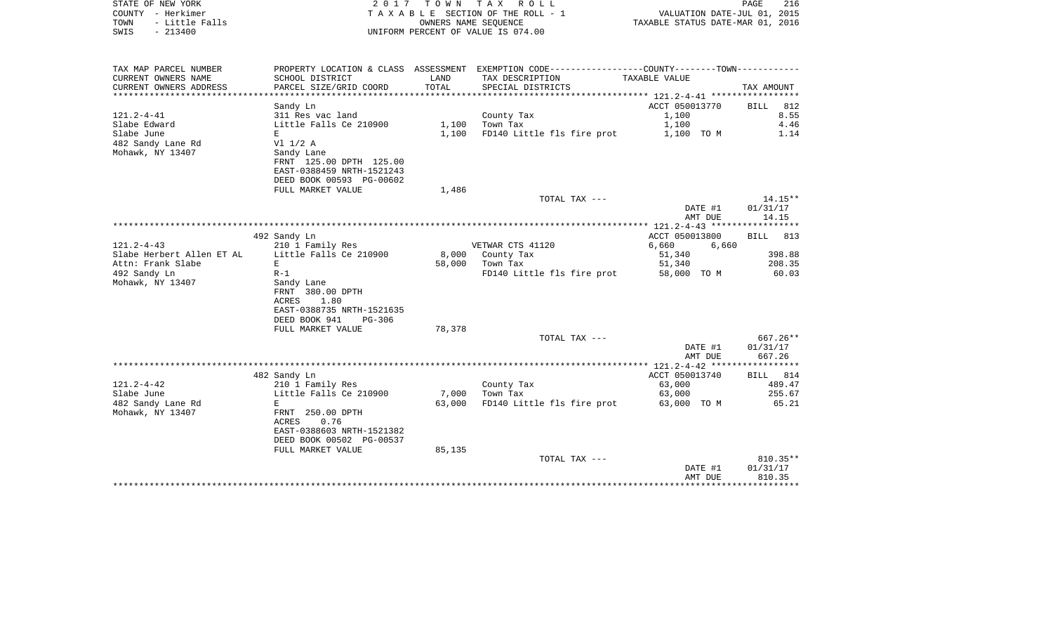| STATE OF NEW YORK<br>COUNTY - Herkimer<br>- Little Falls<br>TOWN<br>$-213400$<br>SWIS | 2017                                                                                                      | T O W N<br>OWNERS NAME SEQUENCE | TAX ROLL<br>TAXABLE SECTION OF THE ROLL - 1<br>UNIFORM PERCENT OF VALUE IS 074.00             | VALUATION DATE-JUL 01, 2015<br>TAXABLE STATUS DATE-MAR 01, 2016 | 216<br>PAGE        |
|---------------------------------------------------------------------------------------|-----------------------------------------------------------------------------------------------------------|---------------------------------|-----------------------------------------------------------------------------------------------|-----------------------------------------------------------------|--------------------|
| TAX MAP PARCEL NUMBER                                                                 |                                                                                                           |                                 | PROPERTY LOCATION & CLASS ASSESSMENT EXEMPTION CODE----------------COUNTY-------TOWN--------- |                                                                 |                    |
| CURRENT OWNERS NAME<br>CURRENT OWNERS ADDRESS                                         | SCHOOL DISTRICT<br>PARCEL SIZE/GRID COORD                                                                 | LAND<br>TOTAL                   | TAX DESCRIPTION<br>SPECIAL DISTRICTS                                                          | TAXABLE VALUE                                                   | TAX AMOUNT         |
| ********************                                                                  | * * * * * * * * * * * * * * * * * *                                                                       | * * * * * * * * * *             |                                                                                               |                                                                 |                    |
|                                                                                       | Sandy Ln                                                                                                  |                                 |                                                                                               | ACCT 050013770                                                  | 812<br><b>BILL</b> |
| $121.2 - 4 - 41$                                                                      | 311 Res vac land                                                                                          |                                 | County Tax                                                                                    | 1,100                                                           | 8.55               |
| Slabe Edward                                                                          | Little Falls Ce 210900                                                                                    | 1,100                           | Town Tax                                                                                      | 1,100                                                           | 4.46               |
| Slabe June                                                                            | E                                                                                                         | 1,100                           | FD140 Little fls fire prot                                                                    | 1,100 TO M                                                      | 1.14               |
| 482 Sandy Lane Rd<br>Mohawk, NY 13407                                                 | $VI$ $1/2$ A<br>Sandy Lane<br>FRNT 125.00 DPTH 125.00<br>EAST-0388459 NRTH-1521243                        |                                 |                                                                                               |                                                                 |                    |
|                                                                                       | DEED BOOK 00593 PG-00602                                                                                  |                                 |                                                                                               |                                                                 |                    |
|                                                                                       | FULL MARKET VALUE                                                                                         | 1,486                           | TOTAL TAX ---                                                                                 |                                                                 | 14.15**            |
|                                                                                       |                                                                                                           |                                 |                                                                                               | DATE #1<br>AMT DUE                                              | 01/31/17<br>14.15  |
|                                                                                       |                                                                                                           |                                 |                                                                                               |                                                                 |                    |
|                                                                                       | 492 Sandy Ln                                                                                              |                                 |                                                                                               | ACCT 050013800                                                  | 813<br><b>BILL</b> |
| $121.2 - 4 - 43$                                                                      | 210 1 Family Res                                                                                          |                                 | VETWAR CTS 41120                                                                              | 6,660<br>6,660                                                  |                    |
| Slabe Herbert Allen ET AL                                                             | Little Falls Ce 210900                                                                                    | 8,000                           | County Tax                                                                                    | 51,340                                                          | 398.88             |
| Attn: Frank Slabe                                                                     | E                                                                                                         | 58,000                          | Town Tax                                                                                      | 51,340                                                          | 208.35             |
| 492 Sandy Ln                                                                          | $R-1$                                                                                                     |                                 | FD140 Little fls fire prot                                                                    | 58,000 TO M                                                     | 60.03              |
| Mohawk, NY 13407                                                                      | Sandy Lane<br>FRNT 380.00 DPTH<br>1.80<br>ACRES<br>EAST-0388735 NRTH-1521635<br>DEED BOOK 941<br>$PG-306$ |                                 |                                                                                               |                                                                 |                    |
|                                                                                       | FULL MARKET VALUE                                                                                         | 78,378                          |                                                                                               |                                                                 |                    |
|                                                                                       |                                                                                                           |                                 | TOTAL TAX ---                                                                                 |                                                                 | 667.26**           |
|                                                                                       |                                                                                                           |                                 |                                                                                               | DATE #1<br>AMT DUE                                              | 01/31/17<br>667.26 |
|                                                                                       |                                                                                                           |                                 |                                                                                               |                                                                 |                    |
|                                                                                       | 482 Sandy Ln                                                                                              |                                 |                                                                                               | ACCT 050013740                                                  | 814<br>BILL        |
| $121.2 - 4 - 42$                                                                      | 210 1 Family Res                                                                                          |                                 | County Tax                                                                                    | 63,000                                                          | 489.47             |
| Slabe June                                                                            | Little Falls Ce 210900                                                                                    | 7,000                           | Town Tax                                                                                      | 63,000                                                          | 255.67             |
| 482 Sandy Lane Rd                                                                     | E                                                                                                         | 63,000                          | FD140 Little fls fire prot                                                                    | 63,000 TO M                                                     | 65.21              |
| Mohawk, NY 13407                                                                      | FRNT 250.00 DPTH<br>ACRES<br>0.76<br>EAST-0388603 NRTH-1521382<br>DEED BOOK 00502 PG-00537                |                                 |                                                                                               |                                                                 |                    |
|                                                                                       | FULL MARKET VALUE                                                                                         | 85,135                          |                                                                                               |                                                                 |                    |
|                                                                                       |                                                                                                           |                                 | TOTAL TAX ---                                                                                 |                                                                 | 810.35**           |
|                                                                                       |                                                                                                           |                                 |                                                                                               | DATE #1                                                         | 01/31/17           |

AMT DUE 810.35 \*\*\*\*\*\*\*\*\*\*\*\*\*\*\*\*\*\*\*\*\*\*\*\*\*\*\*\*\*\*\*\*\*\*\*\*\*\*\*\*\*\*\*\*\*\*\*\*\*\*\*\*\*\*\*\*\*\*\*\*\*\*\*\*\*\*\*\*\*\*\*\*\*\*\*\*\*\*\*\*\*\*\*\*\*\*\*\*\*\*\*\*\*\*\*\*\*\*\*\*\*\*\*\*\*\*\*\*\*\*\*\*\*\*\*\*\*\*\*\*\*\*\*\*\*\*\*\*\*\*\*\*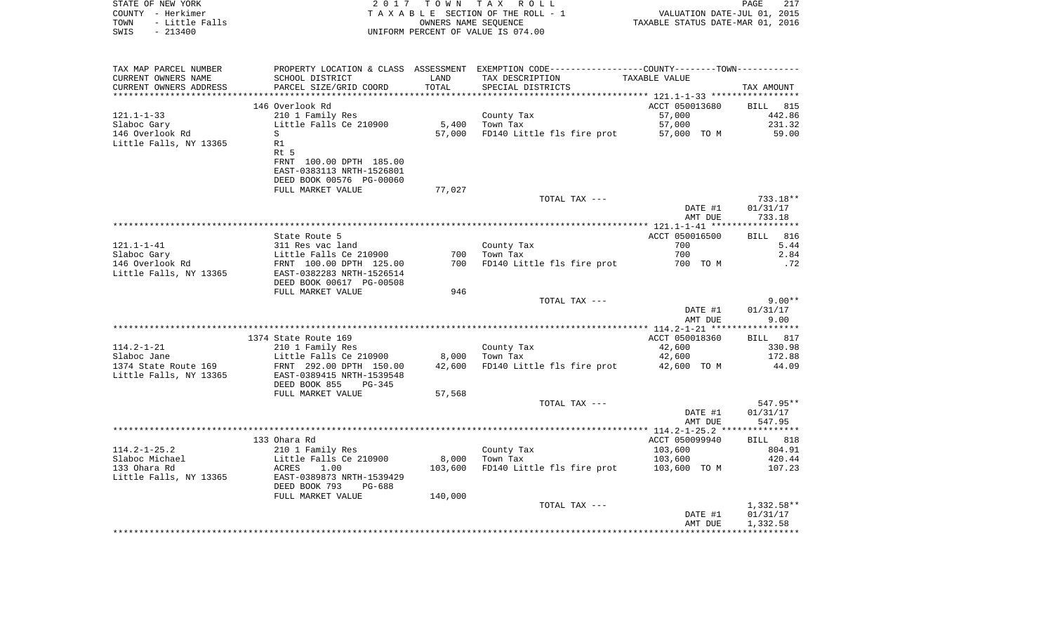| STATE OF NEW YORK<br>COUNTY - Herkimer<br>- Little Falls<br>TOWN<br>$-213400$<br>SWIS | 2017                                                                   | T O W N                      | TAX ROLL<br>TAXABLE SECTION OF THE ROLL - 1<br>OWNERS NAME SEOUENCE<br>UNIFORM PERCENT OF VALUE IS 074.00 | VALUATION DATE-JUL 01,<br>TAXABLE STATUS DATE-MAR 01, 2016 | 217<br>PAGE<br>2015   |
|---------------------------------------------------------------------------------------|------------------------------------------------------------------------|------------------------------|-----------------------------------------------------------------------------------------------------------|------------------------------------------------------------|-----------------------|
| TAX MAP PARCEL NUMBER                                                                 |                                                                        |                              | PROPERTY LOCATION & CLASS ASSESSMENT EXEMPTION CODE---------------COUNTY-------TOWN----------             |                                                            |                       |
| CURRENT OWNERS NAME<br>CURRENT OWNERS ADDRESS<br>***********************              | SCHOOL DISTRICT<br>PARCEL SIZE/GRID COORD<br>************************* | LAND<br>TOTAL<br>*********** | TAX DESCRIPTION<br>SPECIAL DISTRICTS                                                                      | TAXABLE VALUE                                              | TAX AMOUNT            |
|                                                                                       | 146 Overlook Rd                                                        |                              |                                                                                                           | ACCT 050013680                                             | <b>BILL</b><br>815    |
| $121.1 - 1 - 33$                                                                      | 210 1 Family Res                                                       |                              | County Tax                                                                                                | 57,000                                                     | 442.86                |
| Slaboc Gary                                                                           | Little Falls Ce 210900                                                 | 5,400                        | Town Tax                                                                                                  | 57,000                                                     | 231.32                |
| 146 Overlook Rd                                                                       | S                                                                      | 57,000                       | FD140 Little fls fire prot                                                                                | 57,000 TO M                                                | 59.00                 |
| Little Falls, NY 13365                                                                | R1                                                                     |                              |                                                                                                           |                                                            |                       |
|                                                                                       | Rt 5<br>FRNT 100.00 DPTH 185.00                                        |                              |                                                                                                           |                                                            |                       |
|                                                                                       | EAST-0383113 NRTH-1526801                                              |                              |                                                                                                           |                                                            |                       |
|                                                                                       | DEED BOOK 00576 PG-00060                                               |                              |                                                                                                           |                                                            |                       |
|                                                                                       | FULL MARKET VALUE                                                      | 77,027                       |                                                                                                           |                                                            |                       |
|                                                                                       |                                                                        |                              | TOTAL TAX ---                                                                                             | DATE #1                                                    | 733.18**<br>01/31/17  |
|                                                                                       |                                                                        |                              |                                                                                                           | AMT DUE                                                    | 733.18                |
|                                                                                       |                                                                        |                              | ************************************                                                                      | *********** 121.1-1-41 *****                               | ***********           |
|                                                                                       | State Route 5                                                          |                              |                                                                                                           | ACCT 050016500                                             | 816<br>BILL           |
| $121.1 - 1 - 41$                                                                      | 311 Res vac land                                                       | 700                          | County Tax<br>Town Tax                                                                                    | 700<br>700                                                 | 5.44<br>2.84          |
| Slaboc Gary<br>146 Overlook Rd                                                        | Little Falls Ce 210900<br>FRNT 100.00 DPTH 125.00                      | 700                          | FD140 Little fls fire prot                                                                                | 700 TO M                                                   | .72                   |
| Little Falls, NY 13365                                                                | EAST-0382283 NRTH-1526514                                              |                              |                                                                                                           |                                                            |                       |
|                                                                                       | DEED BOOK 00617 PG-00508                                               |                              |                                                                                                           |                                                            |                       |
|                                                                                       | FULL MARKET VALUE                                                      | 946                          |                                                                                                           |                                                            |                       |
|                                                                                       |                                                                        |                              | TOTAL TAX ---                                                                                             | DATE #1                                                    | $9.00**$<br>01/31/17  |
|                                                                                       |                                                                        |                              |                                                                                                           | AMT DUE                                                    | 9.00                  |
|                                                                                       |                                                                        |                              |                                                                                                           |                                                            |                       |
|                                                                                       | 1374 State Route 169                                                   |                              |                                                                                                           | ACCT 050018360                                             | <b>BILL</b><br>817    |
| $114.2 - 1 - 21$<br>Slaboc Jane                                                       | 210 1 Family Res<br>Little Falls Ce 210900                             | 8,000                        | County Tax<br>Town Tax                                                                                    | 42,600<br>42,600                                           | 330.98<br>172.88      |
| 1374 State Route 169                                                                  | FRNT 292.00 DPTH 150.00                                                | 42,600                       | FD140 Little fls fire prot                                                                                | 42,600 TO M                                                | 44.09                 |
| Little Falls, NY 13365                                                                | EAST-0389415 NRTH-1539548                                              |                              |                                                                                                           |                                                            |                       |
|                                                                                       | DEED BOOK 855<br><b>PG-345</b>                                         |                              |                                                                                                           |                                                            |                       |
|                                                                                       | FULL MARKET VALUE                                                      | 57,568                       |                                                                                                           |                                                            |                       |
|                                                                                       |                                                                        |                              | TOTAL TAX ---                                                                                             | DATE #1                                                    | 547.95**<br>01/31/17  |
|                                                                                       |                                                                        |                              |                                                                                                           | AMT DUE                                                    | 547.95                |
|                                                                                       |                                                                        |                              |                                                                                                           | ************ 114.2-1-25.2 ****************                 |                       |
|                                                                                       | 133 Ohara Rd                                                           |                              |                                                                                                           | ACCT 050099940                                             | 818<br><b>BILL</b>    |
| $114.2 - 1 - 25.2$                                                                    | 210 1 Family Res                                                       |                              | County Tax                                                                                                | 103,600                                                    | 804.91                |
| Slaboc Michael<br>133 Ohara Rd                                                        | Little Falls Ce 210900<br>ACRES<br>1.00                                | 8,000<br>103,600             | Town Tax<br>FD140 Little fls fire prot                                                                    | 103,600<br>103,600 TO M                                    | 420.44<br>107.23      |
| Little Falls, NY 13365                                                                | EAST-0389873 NRTH-1539429                                              |                              |                                                                                                           |                                                            |                       |
|                                                                                       | DEED BOOK 793<br>PG-688                                                |                              |                                                                                                           |                                                            |                       |
|                                                                                       | FULL MARKET VALUE                                                      | 140,000                      |                                                                                                           |                                                            |                       |
|                                                                                       |                                                                        |                              | TOTAL TAX ---                                                                                             |                                                            | 1,332.58**            |
|                                                                                       |                                                                        |                              |                                                                                                           | DATE #1<br>AMT DUE                                         | 01/31/17<br>1,332.58  |
|                                                                                       |                                                                        |                              |                                                                                                           | ****************                                           | * * * * * * * * * * * |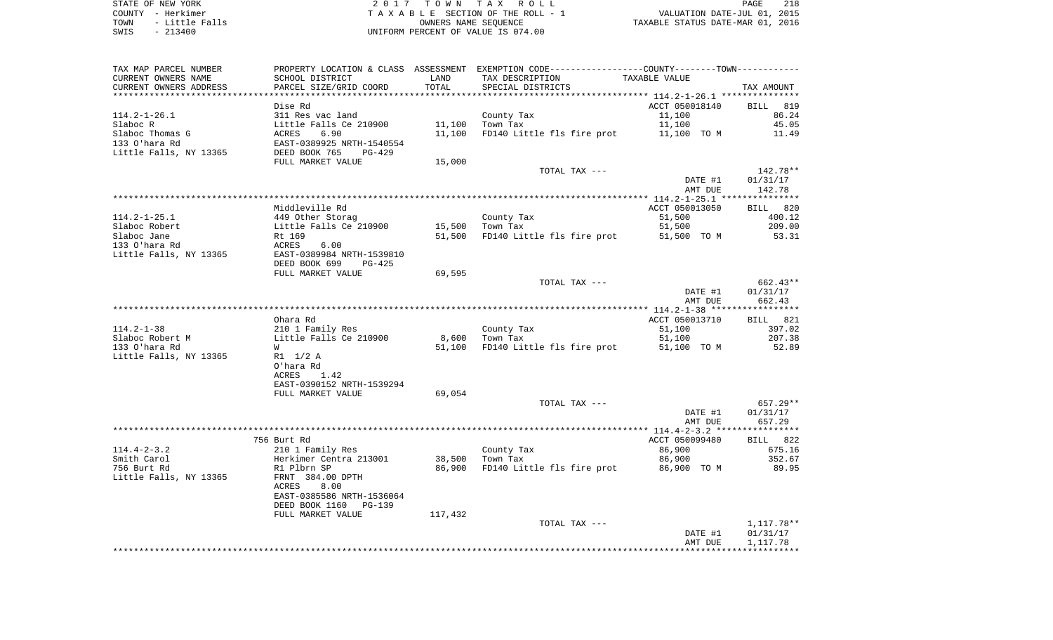| TAX MAP PARCEL NUMBER  |                                                                   |                 | PROPERTY LOCATION & CLASS ASSESSMENT EXEMPTION CODE---------------COUNTY-------TOWN--------- |                    |                    |
|------------------------|-------------------------------------------------------------------|-----------------|----------------------------------------------------------------------------------------------|--------------------|--------------------|
| CURRENT OWNERS NAME    | SCHOOL DISTRICT                                                   | LAND            | TAX DESCRIPTION                                                                              | TAXABLE VALUE      |                    |
| CURRENT OWNERS ADDRESS | PARCEL SIZE/GRID COORD                                            | TOTAL           | SPECIAL DISTRICTS                                                                            |                    | TAX AMOUNT         |
|                        |                                                                   |                 |                                                                                              |                    |                    |
|                        | Dise Rd                                                           |                 |                                                                                              | ACCT 050018140     | BILL 819           |
| $114.2 - 1 - 26.1$     | 311 Res vac land                                                  |                 | County Tax                                                                                   | 11,100             | 86.24              |
| Slaboc R               | Little Falls Ce 210900<br>ACRES 6.90<br>EAST-0389925 NRTH-1540554 |                 | 11,100 Town Tax                                                                              | 11,100             | 45.05              |
| Slaboc Thomas G        |                                                                   | 11,100          | FD140 Little fls fire prot 11,100 TO M                                                       |                    | 11.49              |
| 133 O'hara Rd          |                                                                   |                 |                                                                                              |                    |                    |
| Little Falls, NY 13365 | DEED BOOK 765<br>PG-429                                           |                 |                                                                                              |                    |                    |
|                        | FULL MARKET VALUE                                                 | 15,000          |                                                                                              |                    |                    |
|                        |                                                                   |                 | TOTAL TAX ---                                                                                |                    | 142.78**           |
|                        |                                                                   |                 |                                                                                              | DATE #1            | 01/31/17           |
|                        |                                                                   |                 |                                                                                              | AMT DUE            | 142.78             |
|                        |                                                                   |                 |                                                                                              |                    |                    |
|                        | Middleville Rd                                                    |                 |                                                                                              | ACCT 050013050     | BILL 820           |
| $114.2 - 1 - 25.1$     |                                                                   |                 | County Tax                                                                                   | 51,500             | 400.12             |
| Slaboc Robert          | Unit Storag<br>Little Falls Ce 210900<br>Rt 169                   | 15,500 Town Tax |                                                                                              | 51,500             | 209.00             |
| Slaboc Jane            |                                                                   |                 | 51,500 FD140 Little fls fire prot 51,500 TO M                                                |                    | 53.31              |
| 133 O'hara Rd          | ACRES<br>6.00                                                     |                 |                                                                                              |                    |                    |
| Little Falls, NY 13365 | EAST-0389984 NRTH-1539810                                         |                 |                                                                                              |                    |                    |
|                        | DEED BOOK 699<br>PG-425                                           |                 |                                                                                              |                    |                    |
|                        |                                                                   | 69,595          |                                                                                              |                    |                    |
|                        | FULL MARKET VALUE                                                 |                 |                                                                                              |                    | 662.43**           |
|                        |                                                                   |                 | TOTAL TAX ---                                                                                |                    |                    |
|                        |                                                                   |                 |                                                                                              | DATE #1<br>AMT DUE | 01/31/17<br>662.43 |
|                        |                                                                   |                 |                                                                                              |                    |                    |
|                        | Ohara Rd                                                          |                 |                                                                                              | ACCT 050013710     |                    |
|                        |                                                                   |                 |                                                                                              |                    | BILL 821           |
| $114.2 - 1 - 38$       | 210 1 Family Res<br>Little Falls Ce 210900                        |                 | County Tax                                                                                   | 51,100             | 397.02             |
| Slaboc Robert M        |                                                                   |                 | 8,600 Town Tax                                                                               | 51,100             | 207.38             |
| 133 O'hara Rd          | W                                                                 | 51,100          | FD140 Little fls fire prot 51,100 TO M                                                       |                    | 52.89              |
| Little Falls, NY 13365 | R1 1/2 A                                                          |                 |                                                                                              |                    |                    |
|                        | O'hara Rd                                                         |                 |                                                                                              |                    |                    |
|                        | ACRES 1.42                                                        |                 |                                                                                              |                    |                    |
|                        | EAST-0390152 NRTH-1539294                                         |                 |                                                                                              |                    |                    |
|                        | FULL MARKET VALUE                                                 | 69,054          |                                                                                              |                    |                    |
|                        |                                                                   |                 | TOTAL TAX ---                                                                                |                    | $657.29**$         |
|                        |                                                                   |                 |                                                                                              | DATE #1            | 01/31/17           |
|                        |                                                                   |                 |                                                                                              | AMT DUE            | 657.29             |
|                        |                                                                   |                 |                                                                                              |                    |                    |
|                        | 756 Burt Rd                                                       |                 |                                                                                              | ACCT 050099480     | BILL 822           |
| $114.4 - 2 - 3.2$      | 210 1 Family Res                                                  |                 | County Tax                                                                                   | 86,900             | 675.16             |
| Smith Carol            |                                                                   |                 | 38,500 Town Tax                                                                              | 86,900             | 352.67             |
| 756 Burt Rd            | Herkimer Centra 213001<br>R1 Plbrn SP                             |                 | 86,900 FD140 Little fls fire prot 86,900 TO M                                                |                    | 89.95              |
| Little Falls, NY 13365 | FRNT 384.00 DPTH                                                  |                 |                                                                                              |                    |                    |
|                        | ACRES<br>8.00                                                     |                 |                                                                                              |                    |                    |
|                        | EAST-0385586 NRTH-1536064                                         |                 |                                                                                              |                    |                    |
|                        | DEED BOOK 1160<br>PG-139                                          |                 |                                                                                              |                    |                    |
|                        | FULL MARKET VALUE                                                 | 117,432         |                                                                                              |                    |                    |
|                        |                                                                   |                 | TOTAL TAX ---                                                                                |                    | 1,117.78**         |
|                        |                                                                   |                 |                                                                                              | DATE #1            | 01/31/17           |
|                        |                                                                   |                 |                                                                                              | AMT DUE            | 1,117.78           |
|                        |                                                                   |                 |                                                                                              |                    |                    |
|                        |                                                                   |                 |                                                                                              |                    |                    |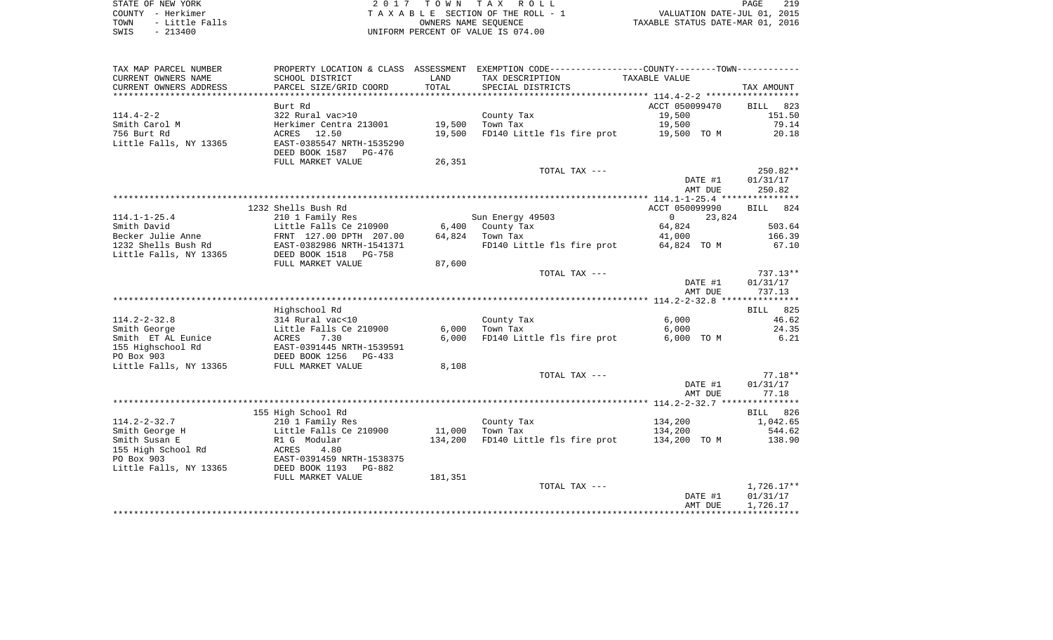| CURRENT OWNERS NAME<br>SCHOOL DISTRICT<br>TAX DESCRIPTION<br>LAND<br>TAXABLE VALUE<br>TOTAL<br>CURRENT OWNERS ADDRESS<br>PARCEL SIZE/GRID COORD<br>SPECIAL DISTRICTS<br>TAX AMOUNT<br>ACCT 050099470<br>Burt Rd<br><b>BILL</b><br>823<br>$114.4 - 2 - 2$<br>322 Rural vac>10<br>19,500<br>County Tax<br>151.50<br>19,500<br>19,500<br>79.14<br>Smith Carol M<br>Herkimer Centra 213001<br>Town Tax<br>756 Burt Rd<br>ACRES 12.50<br>19,500<br>FD140 Little fls fire prot<br>20.18<br>19,500 TO M<br>EAST-0385547 NRTH-1535290<br>DEED BOOK 1587 PG-476<br>FULL MARKET VALUE<br>26,351<br>TOTAL TAX ---<br>250.82**<br>DATE #1<br>01/31/17<br>250.82<br>AMT DUE<br>1232 Shells Bush Rd<br>ACCT 050099990<br>BILL 824<br>$114.1 - 1 - 25.4$<br>210 1 Family Res<br>Sun Energy 49503<br>$\overline{0}$<br>23,824<br>64,824<br>503.64<br>Smith David<br>Little Falls Ce 210900<br>6,400 County Tax<br>64,824<br>Becker Julie Anne<br>FRNT 127.00 DPTH 207.00<br>Town Tax<br>41,000<br>166.39<br>1232 Shells Bush Rd<br>FD140 Little fls fire prot<br>64,824 TO M<br>67.10<br>EAST-0382986 NRTH-1541371<br>Little Falls, NY 13365<br>DEED BOOK 1518 PG-758<br>FULL MARKET VALUE<br>87,600<br>TOTAL TAX ---<br>$737.13**$<br>DATE #1<br>01/31/17<br>AMT DUE<br>737.13<br>Highschool Rd<br><b>BILL</b> 825<br>$114.2 - 2 - 32.8$<br>314 Rural vac<10<br>County Tax<br>6,000<br>46.62<br>Little Falls Ce 210900<br>6,000<br>Town Tax<br>6,000<br>24.35<br>Smith George<br>7.30<br>6,000<br>FD140 Little fls fire prot<br>6,000 TO M<br>ACRES<br>6.21<br>155 Highschool Rd<br>EAST-0391445 NRTH-1539591<br>PO Box 903<br>DEED BOOK 1256 PG-433<br>Little Falls, NY 13365<br>FULL MARKET VALUE<br>8,108<br>TOTAL TAX ---<br>$77.18**$<br>DATE #1<br>01/31/17<br>AMT DUE<br>77.18<br>155 High School Rd<br>BILL 826<br>$114.2 - 2 - 32.7$<br>210 1 Family Res<br>County Tax<br>134,200<br>1,042.65<br>Smith George H<br>Little Falls Ce 210900<br>11,000<br>Town Tax<br>544.62<br>134,200<br>FD140 Little fls fire prot 134,200 TO M<br>R1 G Modular<br>Smith Susan E<br>134,200<br>138.90<br>155 High School Rd<br>ACRES<br>4.80<br>PO Box 903<br>EAST-0391459 NRTH-1538375<br>Little Falls, NY 13365<br>DEED BOOK 1193 PG-882<br>FULL MARKET VALUE<br>181,351<br>$1,726.17**$<br>TOTAL TAX ---<br>01/31/17<br>DATE #1<br>1,726.17<br>AMT DUE | TAX MAP PARCEL NUMBER  |  | PROPERTY LOCATION & CLASS ASSESSMENT EXEMPTION CODE----------------COUNTY-------TOWN---------- |  |
|-------------------------------------------------------------------------------------------------------------------------------------------------------------------------------------------------------------------------------------------------------------------------------------------------------------------------------------------------------------------------------------------------------------------------------------------------------------------------------------------------------------------------------------------------------------------------------------------------------------------------------------------------------------------------------------------------------------------------------------------------------------------------------------------------------------------------------------------------------------------------------------------------------------------------------------------------------------------------------------------------------------------------------------------------------------------------------------------------------------------------------------------------------------------------------------------------------------------------------------------------------------------------------------------------------------------------------------------------------------------------------------------------------------------------------------------------------------------------------------------------------------------------------------------------------------------------------------------------------------------------------------------------------------------------------------------------------------------------------------------------------------------------------------------------------------------------------------------------------------------------------------------------------------------------------------------------------------------------------------------------------------------------------------------------------------------------------------------------------------------------------------------------------------------------------------------------------------------------------------------------------------------------------------------------------------------------------------|------------------------|--|------------------------------------------------------------------------------------------------|--|
|                                                                                                                                                                                                                                                                                                                                                                                                                                                                                                                                                                                                                                                                                                                                                                                                                                                                                                                                                                                                                                                                                                                                                                                                                                                                                                                                                                                                                                                                                                                                                                                                                                                                                                                                                                                                                                                                                                                                                                                                                                                                                                                                                                                                                                                                                                                                     |                        |  |                                                                                                |  |
|                                                                                                                                                                                                                                                                                                                                                                                                                                                                                                                                                                                                                                                                                                                                                                                                                                                                                                                                                                                                                                                                                                                                                                                                                                                                                                                                                                                                                                                                                                                                                                                                                                                                                                                                                                                                                                                                                                                                                                                                                                                                                                                                                                                                                                                                                                                                     |                        |  |                                                                                                |  |
|                                                                                                                                                                                                                                                                                                                                                                                                                                                                                                                                                                                                                                                                                                                                                                                                                                                                                                                                                                                                                                                                                                                                                                                                                                                                                                                                                                                                                                                                                                                                                                                                                                                                                                                                                                                                                                                                                                                                                                                                                                                                                                                                                                                                                                                                                                                                     |                        |  |                                                                                                |  |
|                                                                                                                                                                                                                                                                                                                                                                                                                                                                                                                                                                                                                                                                                                                                                                                                                                                                                                                                                                                                                                                                                                                                                                                                                                                                                                                                                                                                                                                                                                                                                                                                                                                                                                                                                                                                                                                                                                                                                                                                                                                                                                                                                                                                                                                                                                                                     |                        |  |                                                                                                |  |
|                                                                                                                                                                                                                                                                                                                                                                                                                                                                                                                                                                                                                                                                                                                                                                                                                                                                                                                                                                                                                                                                                                                                                                                                                                                                                                                                                                                                                                                                                                                                                                                                                                                                                                                                                                                                                                                                                                                                                                                                                                                                                                                                                                                                                                                                                                                                     |                        |  |                                                                                                |  |
|                                                                                                                                                                                                                                                                                                                                                                                                                                                                                                                                                                                                                                                                                                                                                                                                                                                                                                                                                                                                                                                                                                                                                                                                                                                                                                                                                                                                                                                                                                                                                                                                                                                                                                                                                                                                                                                                                                                                                                                                                                                                                                                                                                                                                                                                                                                                     |                        |  |                                                                                                |  |
|                                                                                                                                                                                                                                                                                                                                                                                                                                                                                                                                                                                                                                                                                                                                                                                                                                                                                                                                                                                                                                                                                                                                                                                                                                                                                                                                                                                                                                                                                                                                                                                                                                                                                                                                                                                                                                                                                                                                                                                                                                                                                                                                                                                                                                                                                                                                     |                        |  |                                                                                                |  |
|                                                                                                                                                                                                                                                                                                                                                                                                                                                                                                                                                                                                                                                                                                                                                                                                                                                                                                                                                                                                                                                                                                                                                                                                                                                                                                                                                                                                                                                                                                                                                                                                                                                                                                                                                                                                                                                                                                                                                                                                                                                                                                                                                                                                                                                                                                                                     |                        |  |                                                                                                |  |
|                                                                                                                                                                                                                                                                                                                                                                                                                                                                                                                                                                                                                                                                                                                                                                                                                                                                                                                                                                                                                                                                                                                                                                                                                                                                                                                                                                                                                                                                                                                                                                                                                                                                                                                                                                                                                                                                                                                                                                                                                                                                                                                                                                                                                                                                                                                                     | Little Falls, NY 13365 |  |                                                                                                |  |
|                                                                                                                                                                                                                                                                                                                                                                                                                                                                                                                                                                                                                                                                                                                                                                                                                                                                                                                                                                                                                                                                                                                                                                                                                                                                                                                                                                                                                                                                                                                                                                                                                                                                                                                                                                                                                                                                                                                                                                                                                                                                                                                                                                                                                                                                                                                                     |                        |  |                                                                                                |  |
|                                                                                                                                                                                                                                                                                                                                                                                                                                                                                                                                                                                                                                                                                                                                                                                                                                                                                                                                                                                                                                                                                                                                                                                                                                                                                                                                                                                                                                                                                                                                                                                                                                                                                                                                                                                                                                                                                                                                                                                                                                                                                                                                                                                                                                                                                                                                     |                        |  |                                                                                                |  |
|                                                                                                                                                                                                                                                                                                                                                                                                                                                                                                                                                                                                                                                                                                                                                                                                                                                                                                                                                                                                                                                                                                                                                                                                                                                                                                                                                                                                                                                                                                                                                                                                                                                                                                                                                                                                                                                                                                                                                                                                                                                                                                                                                                                                                                                                                                                                     |                        |  |                                                                                                |  |
|                                                                                                                                                                                                                                                                                                                                                                                                                                                                                                                                                                                                                                                                                                                                                                                                                                                                                                                                                                                                                                                                                                                                                                                                                                                                                                                                                                                                                                                                                                                                                                                                                                                                                                                                                                                                                                                                                                                                                                                                                                                                                                                                                                                                                                                                                                                                     |                        |  |                                                                                                |  |
|                                                                                                                                                                                                                                                                                                                                                                                                                                                                                                                                                                                                                                                                                                                                                                                                                                                                                                                                                                                                                                                                                                                                                                                                                                                                                                                                                                                                                                                                                                                                                                                                                                                                                                                                                                                                                                                                                                                                                                                                                                                                                                                                                                                                                                                                                                                                     |                        |  |                                                                                                |  |
|                                                                                                                                                                                                                                                                                                                                                                                                                                                                                                                                                                                                                                                                                                                                                                                                                                                                                                                                                                                                                                                                                                                                                                                                                                                                                                                                                                                                                                                                                                                                                                                                                                                                                                                                                                                                                                                                                                                                                                                                                                                                                                                                                                                                                                                                                                                                     |                        |  |                                                                                                |  |
|                                                                                                                                                                                                                                                                                                                                                                                                                                                                                                                                                                                                                                                                                                                                                                                                                                                                                                                                                                                                                                                                                                                                                                                                                                                                                                                                                                                                                                                                                                                                                                                                                                                                                                                                                                                                                                                                                                                                                                                                                                                                                                                                                                                                                                                                                                                                     |                        |  |                                                                                                |  |
|                                                                                                                                                                                                                                                                                                                                                                                                                                                                                                                                                                                                                                                                                                                                                                                                                                                                                                                                                                                                                                                                                                                                                                                                                                                                                                                                                                                                                                                                                                                                                                                                                                                                                                                                                                                                                                                                                                                                                                                                                                                                                                                                                                                                                                                                                                                                     |                        |  |                                                                                                |  |
|                                                                                                                                                                                                                                                                                                                                                                                                                                                                                                                                                                                                                                                                                                                                                                                                                                                                                                                                                                                                                                                                                                                                                                                                                                                                                                                                                                                                                                                                                                                                                                                                                                                                                                                                                                                                                                                                                                                                                                                                                                                                                                                                                                                                                                                                                                                                     |                        |  |                                                                                                |  |
|                                                                                                                                                                                                                                                                                                                                                                                                                                                                                                                                                                                                                                                                                                                                                                                                                                                                                                                                                                                                                                                                                                                                                                                                                                                                                                                                                                                                                                                                                                                                                                                                                                                                                                                                                                                                                                                                                                                                                                                                                                                                                                                                                                                                                                                                                                                                     |                        |  |                                                                                                |  |
|                                                                                                                                                                                                                                                                                                                                                                                                                                                                                                                                                                                                                                                                                                                                                                                                                                                                                                                                                                                                                                                                                                                                                                                                                                                                                                                                                                                                                                                                                                                                                                                                                                                                                                                                                                                                                                                                                                                                                                                                                                                                                                                                                                                                                                                                                                                                     |                        |  |                                                                                                |  |
|                                                                                                                                                                                                                                                                                                                                                                                                                                                                                                                                                                                                                                                                                                                                                                                                                                                                                                                                                                                                                                                                                                                                                                                                                                                                                                                                                                                                                                                                                                                                                                                                                                                                                                                                                                                                                                                                                                                                                                                                                                                                                                                                                                                                                                                                                                                                     |                        |  |                                                                                                |  |
|                                                                                                                                                                                                                                                                                                                                                                                                                                                                                                                                                                                                                                                                                                                                                                                                                                                                                                                                                                                                                                                                                                                                                                                                                                                                                                                                                                                                                                                                                                                                                                                                                                                                                                                                                                                                                                                                                                                                                                                                                                                                                                                                                                                                                                                                                                                                     |                        |  |                                                                                                |  |
|                                                                                                                                                                                                                                                                                                                                                                                                                                                                                                                                                                                                                                                                                                                                                                                                                                                                                                                                                                                                                                                                                                                                                                                                                                                                                                                                                                                                                                                                                                                                                                                                                                                                                                                                                                                                                                                                                                                                                                                                                                                                                                                                                                                                                                                                                                                                     |                        |  |                                                                                                |  |
|                                                                                                                                                                                                                                                                                                                                                                                                                                                                                                                                                                                                                                                                                                                                                                                                                                                                                                                                                                                                                                                                                                                                                                                                                                                                                                                                                                                                                                                                                                                                                                                                                                                                                                                                                                                                                                                                                                                                                                                                                                                                                                                                                                                                                                                                                                                                     |                        |  |                                                                                                |  |
|                                                                                                                                                                                                                                                                                                                                                                                                                                                                                                                                                                                                                                                                                                                                                                                                                                                                                                                                                                                                                                                                                                                                                                                                                                                                                                                                                                                                                                                                                                                                                                                                                                                                                                                                                                                                                                                                                                                                                                                                                                                                                                                                                                                                                                                                                                                                     |                        |  |                                                                                                |  |
|                                                                                                                                                                                                                                                                                                                                                                                                                                                                                                                                                                                                                                                                                                                                                                                                                                                                                                                                                                                                                                                                                                                                                                                                                                                                                                                                                                                                                                                                                                                                                                                                                                                                                                                                                                                                                                                                                                                                                                                                                                                                                                                                                                                                                                                                                                                                     |                        |  |                                                                                                |  |
|                                                                                                                                                                                                                                                                                                                                                                                                                                                                                                                                                                                                                                                                                                                                                                                                                                                                                                                                                                                                                                                                                                                                                                                                                                                                                                                                                                                                                                                                                                                                                                                                                                                                                                                                                                                                                                                                                                                                                                                                                                                                                                                                                                                                                                                                                                                                     |                        |  |                                                                                                |  |
|                                                                                                                                                                                                                                                                                                                                                                                                                                                                                                                                                                                                                                                                                                                                                                                                                                                                                                                                                                                                                                                                                                                                                                                                                                                                                                                                                                                                                                                                                                                                                                                                                                                                                                                                                                                                                                                                                                                                                                                                                                                                                                                                                                                                                                                                                                                                     |                        |  |                                                                                                |  |
|                                                                                                                                                                                                                                                                                                                                                                                                                                                                                                                                                                                                                                                                                                                                                                                                                                                                                                                                                                                                                                                                                                                                                                                                                                                                                                                                                                                                                                                                                                                                                                                                                                                                                                                                                                                                                                                                                                                                                                                                                                                                                                                                                                                                                                                                                                                                     |                        |  |                                                                                                |  |
|                                                                                                                                                                                                                                                                                                                                                                                                                                                                                                                                                                                                                                                                                                                                                                                                                                                                                                                                                                                                                                                                                                                                                                                                                                                                                                                                                                                                                                                                                                                                                                                                                                                                                                                                                                                                                                                                                                                                                                                                                                                                                                                                                                                                                                                                                                                                     |                        |  |                                                                                                |  |
|                                                                                                                                                                                                                                                                                                                                                                                                                                                                                                                                                                                                                                                                                                                                                                                                                                                                                                                                                                                                                                                                                                                                                                                                                                                                                                                                                                                                                                                                                                                                                                                                                                                                                                                                                                                                                                                                                                                                                                                                                                                                                                                                                                                                                                                                                                                                     |                        |  |                                                                                                |  |
|                                                                                                                                                                                                                                                                                                                                                                                                                                                                                                                                                                                                                                                                                                                                                                                                                                                                                                                                                                                                                                                                                                                                                                                                                                                                                                                                                                                                                                                                                                                                                                                                                                                                                                                                                                                                                                                                                                                                                                                                                                                                                                                                                                                                                                                                                                                                     |                        |  |                                                                                                |  |
|                                                                                                                                                                                                                                                                                                                                                                                                                                                                                                                                                                                                                                                                                                                                                                                                                                                                                                                                                                                                                                                                                                                                                                                                                                                                                                                                                                                                                                                                                                                                                                                                                                                                                                                                                                                                                                                                                                                                                                                                                                                                                                                                                                                                                                                                                                                                     | Smith ET AL Eunice     |  |                                                                                                |  |
|                                                                                                                                                                                                                                                                                                                                                                                                                                                                                                                                                                                                                                                                                                                                                                                                                                                                                                                                                                                                                                                                                                                                                                                                                                                                                                                                                                                                                                                                                                                                                                                                                                                                                                                                                                                                                                                                                                                                                                                                                                                                                                                                                                                                                                                                                                                                     |                        |  |                                                                                                |  |
|                                                                                                                                                                                                                                                                                                                                                                                                                                                                                                                                                                                                                                                                                                                                                                                                                                                                                                                                                                                                                                                                                                                                                                                                                                                                                                                                                                                                                                                                                                                                                                                                                                                                                                                                                                                                                                                                                                                                                                                                                                                                                                                                                                                                                                                                                                                                     |                        |  |                                                                                                |  |
|                                                                                                                                                                                                                                                                                                                                                                                                                                                                                                                                                                                                                                                                                                                                                                                                                                                                                                                                                                                                                                                                                                                                                                                                                                                                                                                                                                                                                                                                                                                                                                                                                                                                                                                                                                                                                                                                                                                                                                                                                                                                                                                                                                                                                                                                                                                                     |                        |  |                                                                                                |  |
|                                                                                                                                                                                                                                                                                                                                                                                                                                                                                                                                                                                                                                                                                                                                                                                                                                                                                                                                                                                                                                                                                                                                                                                                                                                                                                                                                                                                                                                                                                                                                                                                                                                                                                                                                                                                                                                                                                                                                                                                                                                                                                                                                                                                                                                                                                                                     |                        |  |                                                                                                |  |
|                                                                                                                                                                                                                                                                                                                                                                                                                                                                                                                                                                                                                                                                                                                                                                                                                                                                                                                                                                                                                                                                                                                                                                                                                                                                                                                                                                                                                                                                                                                                                                                                                                                                                                                                                                                                                                                                                                                                                                                                                                                                                                                                                                                                                                                                                                                                     |                        |  |                                                                                                |  |
|                                                                                                                                                                                                                                                                                                                                                                                                                                                                                                                                                                                                                                                                                                                                                                                                                                                                                                                                                                                                                                                                                                                                                                                                                                                                                                                                                                                                                                                                                                                                                                                                                                                                                                                                                                                                                                                                                                                                                                                                                                                                                                                                                                                                                                                                                                                                     |                        |  |                                                                                                |  |
|                                                                                                                                                                                                                                                                                                                                                                                                                                                                                                                                                                                                                                                                                                                                                                                                                                                                                                                                                                                                                                                                                                                                                                                                                                                                                                                                                                                                                                                                                                                                                                                                                                                                                                                                                                                                                                                                                                                                                                                                                                                                                                                                                                                                                                                                                                                                     |                        |  |                                                                                                |  |
|                                                                                                                                                                                                                                                                                                                                                                                                                                                                                                                                                                                                                                                                                                                                                                                                                                                                                                                                                                                                                                                                                                                                                                                                                                                                                                                                                                                                                                                                                                                                                                                                                                                                                                                                                                                                                                                                                                                                                                                                                                                                                                                                                                                                                                                                                                                                     |                        |  |                                                                                                |  |
|                                                                                                                                                                                                                                                                                                                                                                                                                                                                                                                                                                                                                                                                                                                                                                                                                                                                                                                                                                                                                                                                                                                                                                                                                                                                                                                                                                                                                                                                                                                                                                                                                                                                                                                                                                                                                                                                                                                                                                                                                                                                                                                                                                                                                                                                                                                                     |                        |  |                                                                                                |  |
|                                                                                                                                                                                                                                                                                                                                                                                                                                                                                                                                                                                                                                                                                                                                                                                                                                                                                                                                                                                                                                                                                                                                                                                                                                                                                                                                                                                                                                                                                                                                                                                                                                                                                                                                                                                                                                                                                                                                                                                                                                                                                                                                                                                                                                                                                                                                     |                        |  |                                                                                                |  |
|                                                                                                                                                                                                                                                                                                                                                                                                                                                                                                                                                                                                                                                                                                                                                                                                                                                                                                                                                                                                                                                                                                                                                                                                                                                                                                                                                                                                                                                                                                                                                                                                                                                                                                                                                                                                                                                                                                                                                                                                                                                                                                                                                                                                                                                                                                                                     |                        |  |                                                                                                |  |
|                                                                                                                                                                                                                                                                                                                                                                                                                                                                                                                                                                                                                                                                                                                                                                                                                                                                                                                                                                                                                                                                                                                                                                                                                                                                                                                                                                                                                                                                                                                                                                                                                                                                                                                                                                                                                                                                                                                                                                                                                                                                                                                                                                                                                                                                                                                                     |                        |  |                                                                                                |  |
|                                                                                                                                                                                                                                                                                                                                                                                                                                                                                                                                                                                                                                                                                                                                                                                                                                                                                                                                                                                                                                                                                                                                                                                                                                                                                                                                                                                                                                                                                                                                                                                                                                                                                                                                                                                                                                                                                                                                                                                                                                                                                                                                                                                                                                                                                                                                     |                        |  |                                                                                                |  |
|                                                                                                                                                                                                                                                                                                                                                                                                                                                                                                                                                                                                                                                                                                                                                                                                                                                                                                                                                                                                                                                                                                                                                                                                                                                                                                                                                                                                                                                                                                                                                                                                                                                                                                                                                                                                                                                                                                                                                                                                                                                                                                                                                                                                                                                                                                                                     |                        |  |                                                                                                |  |
|                                                                                                                                                                                                                                                                                                                                                                                                                                                                                                                                                                                                                                                                                                                                                                                                                                                                                                                                                                                                                                                                                                                                                                                                                                                                                                                                                                                                                                                                                                                                                                                                                                                                                                                                                                                                                                                                                                                                                                                                                                                                                                                                                                                                                                                                                                                                     |                        |  |                                                                                                |  |
|                                                                                                                                                                                                                                                                                                                                                                                                                                                                                                                                                                                                                                                                                                                                                                                                                                                                                                                                                                                                                                                                                                                                                                                                                                                                                                                                                                                                                                                                                                                                                                                                                                                                                                                                                                                                                                                                                                                                                                                                                                                                                                                                                                                                                                                                                                                                     |                        |  |                                                                                                |  |
|                                                                                                                                                                                                                                                                                                                                                                                                                                                                                                                                                                                                                                                                                                                                                                                                                                                                                                                                                                                                                                                                                                                                                                                                                                                                                                                                                                                                                                                                                                                                                                                                                                                                                                                                                                                                                                                                                                                                                                                                                                                                                                                                                                                                                                                                                                                                     |                        |  |                                                                                                |  |
|                                                                                                                                                                                                                                                                                                                                                                                                                                                                                                                                                                                                                                                                                                                                                                                                                                                                                                                                                                                                                                                                                                                                                                                                                                                                                                                                                                                                                                                                                                                                                                                                                                                                                                                                                                                                                                                                                                                                                                                                                                                                                                                                                                                                                                                                                                                                     |                        |  |                                                                                                |  |
|                                                                                                                                                                                                                                                                                                                                                                                                                                                                                                                                                                                                                                                                                                                                                                                                                                                                                                                                                                                                                                                                                                                                                                                                                                                                                                                                                                                                                                                                                                                                                                                                                                                                                                                                                                                                                                                                                                                                                                                                                                                                                                                                                                                                                                                                                                                                     |                        |  |                                                                                                |  |
|                                                                                                                                                                                                                                                                                                                                                                                                                                                                                                                                                                                                                                                                                                                                                                                                                                                                                                                                                                                                                                                                                                                                                                                                                                                                                                                                                                                                                                                                                                                                                                                                                                                                                                                                                                                                                                                                                                                                                                                                                                                                                                                                                                                                                                                                                                                                     |                        |  |                                                                                                |  |
|                                                                                                                                                                                                                                                                                                                                                                                                                                                                                                                                                                                                                                                                                                                                                                                                                                                                                                                                                                                                                                                                                                                                                                                                                                                                                                                                                                                                                                                                                                                                                                                                                                                                                                                                                                                                                                                                                                                                                                                                                                                                                                                                                                                                                                                                                                                                     |                        |  |                                                                                                |  |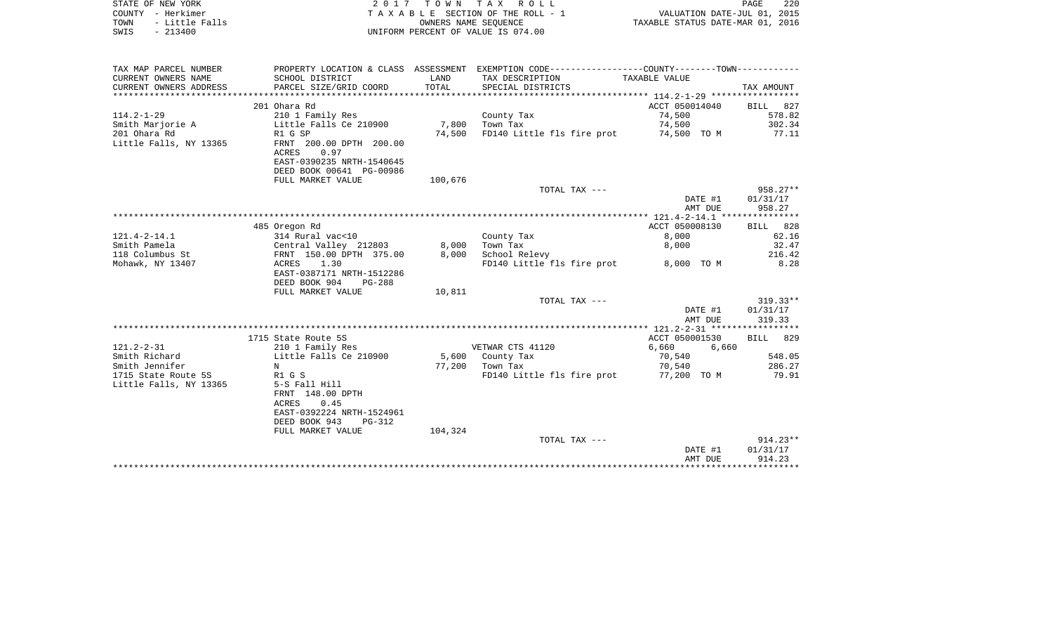| STATE OF NEW YORK<br>COUNTY - Herkimer<br>- Little Falls<br>TOWN |                                               | TOWN<br>T A X<br>2 0 1 7<br>R O L L<br>T A X A B L E SECTION OF THE ROLL - 1<br>OWNERS NAME SEOUENCE |                                                                                                |                         |                      |
|------------------------------------------------------------------|-----------------------------------------------|------------------------------------------------------------------------------------------------------|------------------------------------------------------------------------------------------------|-------------------------|----------------------|
| $-213400$<br>SWIS                                                |                                               |                                                                                                      | UNIFORM PERCENT OF VALUE IS 074.00                                                             |                         |                      |
| TAX MAP PARCEL NUMBER                                            |                                               |                                                                                                      | PROPERTY LOCATION & CLASS ASSESSMENT EXEMPTION CODE----------------COUNTY-------TOWN---------- |                         |                      |
| CURRENT OWNERS NAME                                              | SCHOOL DISTRICT                               | LAND                                                                                                 | TAX DESCRIPTION                                                                                | TAXABLE VALUE           |                      |
| CURRENT OWNERS ADDRESS<br>*************************              | PARCEL SIZE/GRID COORD                        | TOTAL                                                                                                | SPECIAL DISTRICTS                                                                              |                         | TAX AMOUNT           |
|                                                                  | 201 Ohara Rd                                  |                                                                                                      |                                                                                                | ACCT 050014040          | 827<br><b>BILL</b>   |
| $114.2 - 1 - 29$                                                 | 210 1 Family Res                              |                                                                                                      | County Tax                                                                                     | 74,500                  | 578.82               |
| Smith Marjorie A                                                 | Little Falls Ce 210900                        | 7,800                                                                                                | Town Tax                                                                                       | 74,500                  | 302.34               |
| 201 Ohara Rd                                                     | R1 G SP                                       | 74,500                                                                                               | FD140 Little fls fire prot                                                                     | 74,500 TO M             | 77.11                |
| Little Falls, NY 13365                                           | FRNT 200.00 DPTH 200.00<br>0.97<br>ACRES      |                                                                                                      |                                                                                                |                         |                      |
|                                                                  | EAST-0390235 NRTH-1540645                     |                                                                                                      |                                                                                                |                         |                      |
|                                                                  | DEED BOOK 00641 PG-00986<br>FULL MARKET VALUE | 100,676                                                                                              |                                                                                                |                         |                      |
|                                                                  |                                               |                                                                                                      | TOTAL TAX ---                                                                                  |                         | 958.27**             |
|                                                                  |                                               |                                                                                                      |                                                                                                | DATE #1                 | 01/31/17             |
|                                                                  |                                               |                                                                                                      |                                                                                                | AMT DUE                 | 958.27               |
|                                                                  |                                               |                                                                                                      |                                                                                                |                         |                      |
| $121.4 - 2 - 14.1$                                               | 485 Oregon Rd<br>314 Rural vac<10             |                                                                                                      | County Tax                                                                                     | ACCT 050008130<br>8,000 | 828<br>BILL<br>62.16 |
| Smith Pamela                                                     | Central Valley 212803                         | 8,000                                                                                                | Town Tax                                                                                       | 8,000                   | 32.47                |
| 118 Columbus St                                                  | FRNT 150.00 DPTH 375.00                       | 8,000                                                                                                | School Relevy                                                                                  |                         | 216.42               |
| Mohawk, NY 13407                                                 | ACRES<br>1.30                                 |                                                                                                      | FD140 Little fls fire prot                                                                     | 8,000 TO M              | 8.28                 |
|                                                                  | EAST-0387171 NRTH-1512286                     |                                                                                                      |                                                                                                |                         |                      |
|                                                                  | DEED BOOK 904<br>$PG-288$                     |                                                                                                      |                                                                                                |                         |                      |
|                                                                  | FULL MARKET VALUE                             | 10,811                                                                                               | TOTAL TAX ---                                                                                  |                         | $319.33**$           |
|                                                                  |                                               |                                                                                                      |                                                                                                | DATE #1                 | 01/31/17             |
|                                                                  |                                               |                                                                                                      |                                                                                                | AMT DUE                 | 319.33               |
|                                                                  |                                               |                                                                                                      |                                                                                                |                         |                      |
|                                                                  | 1715 State Route 5S                           |                                                                                                      |                                                                                                | ACCT 050001530          | 829<br><b>BILL</b>   |
| $121.2 - 2 - 31$                                                 | 210 1 Family Res                              |                                                                                                      | VETWAR CTS 41120                                                                               | 6,660<br>6,660          |                      |
| Smith Richard                                                    | Little Falls Ce 210900                        | 5,600                                                                                                | County Tax                                                                                     | 70,540                  | 548.05               |
| Smith Jennifer<br>1715 State Route 5S                            | N<br>R1 G S                                   | 77,200                                                                                               | Town Tax<br>FD140 Little fls fire prot                                                         | 70,540<br>77,200 TO M   | 286.27<br>79.91      |
| Little Falls, NY 13365                                           | 5-S Fall Hill                                 |                                                                                                      |                                                                                                |                         |                      |
|                                                                  | FRNT 148.00 DPTH                              |                                                                                                      |                                                                                                |                         |                      |
|                                                                  | <b>ACRES</b><br>0.45                          |                                                                                                      |                                                                                                |                         |                      |
|                                                                  | EAST-0392224 NRTH-1524961                     |                                                                                                      |                                                                                                |                         |                      |
|                                                                  | DEED BOOK 943<br>$PG-312$                     |                                                                                                      |                                                                                                |                         |                      |
|                                                                  | FULL MARKET VALUE                             | 104,324                                                                                              | TOTAL TAX ---                                                                                  |                         | $914.23**$           |
|                                                                  |                                               |                                                                                                      |                                                                                                | DATE #1                 | 01/31/17             |
|                                                                  |                                               |                                                                                                      |                                                                                                | AMT DUE                 | 914.23               |
|                                                                  |                                               |                                                                                                      |                                                                                                |                         |                      |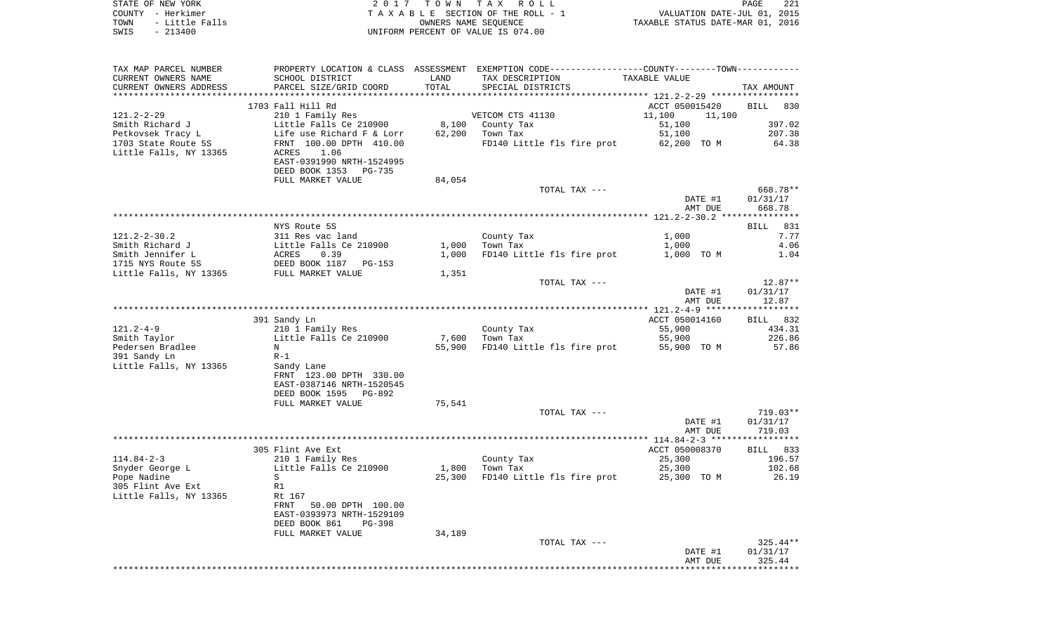| STATE OF NEW YORK      | 2017 TOWN TAX ROLL                 | -221<br>PAGE                     |
|------------------------|------------------------------------|----------------------------------|
| COUNTY - Herkimer      | TAXABLE SECTION OF THE ROLL - 1    | VALUATION DATE-JUL 01, 2015      |
| - Little Falls<br>TOWN | OWNERS NAME SEOUENCE               | TAXABLE STATUS DATE-MAR 01, 2016 |
| SWIS<br>$-213400$      | UNIFORM PERCENT OF VALUE IS 074.00 |                                  |

 $\begin{array}{c} 221 \\ 2015 \\ 2016 \end{array}$ 

| TAX MAP PARCEL NUMBER  |                                                          |        | PROPERTY LOCATION & CLASS ASSESSMENT EXEMPTION CODE---------------COUNTY--------TOWN---------- |                  |            |
|------------------------|----------------------------------------------------------|--------|------------------------------------------------------------------------------------------------|------------------|------------|
| CURRENT OWNERS NAME    | SCHOOL DISTRICT                                          | LAND   | TAX DESCRIPTION                                                                                | TAXABLE VALUE    |            |
| CURRENT OWNERS ADDRESS | PARCEL SIZE/GRID COORD                                   | TOTAL  | SPECIAL DISTRICTS                                                                              |                  | TAX AMOUNT |
|                        |                                                          |        |                                                                                                |                  |            |
|                        | 1703 Fall Hill Rd                                        |        |                                                                                                | ACCT 050015420   | BILL 830   |
| $121.2 - 2 - 29$       | 210 1 Family Res                                         |        | VETCOM CTS 41130                                                                               | 11,100<br>11,100 |            |
| Smith Richard J        | Little Falls Ce 210900                                   |        | 8,100 County Tax                                                                               | 51,100           | 397.02     |
| Petkovsek Tracy L      | Life use Richard F & Lorr                                |        | 62,200 Town Tax                                                                                | 51,100           | 207.38     |
| 1703 State Route 5S    | FRNT 100.00 DPTH 410.00                                  |        | FD140 Little fls fire prot                                                                     | 62,200 TO M      | 64.38      |
| Little Falls, NY 13365 | ACRES<br>1.06                                            |        |                                                                                                |                  |            |
|                        | EAST-0391990 NRTH-1524995                                |        |                                                                                                |                  |            |
|                        | DEED BOOK 1353 PG-735                                    |        |                                                                                                |                  |            |
|                        | FULL MARKET VALUE                                        | 84,054 |                                                                                                |                  |            |
|                        |                                                          |        | TOTAL TAX ---                                                                                  |                  | 668.78**   |
|                        |                                                          |        |                                                                                                | DATE #1          | 01/31/17   |
|                        |                                                          |        |                                                                                                | AMT DUE          | 668.78     |
|                        |                                                          |        |                                                                                                |                  |            |
|                        | NYS Route 5S                                             |        |                                                                                                |                  | BILL 831   |
| 121.2-2-30.2           | 311 Res vac land<br>Little Falls Ce 210900<br>ACRES 0.39 |        | County Tax                                                                                     | 1,000            | 7.77       |
| Smith Richard J        |                                                          | 1,000  | Town Tax                                                                                       | 1,000            | 4.06       |
| Smith Jennifer L       |                                                          | 1,000  | FD140 Little fls fire prot                                                                     | 1,000 TO M       | 1.04       |
| 1715 NYS Route 5S      |                                                          |        |                                                                                                |                  |            |
| Little Falls, NY 13365 | DEED BOOK 1187 PG-153<br>FULL MARKET VALUE               | 1,351  |                                                                                                |                  |            |
|                        |                                                          |        | TOTAL TAX ---                                                                                  |                  | $12.87**$  |
|                        |                                                          |        |                                                                                                | DATE #1          | 01/31/17   |
|                        |                                                          |        |                                                                                                | AMT DUE          | 12.87      |
|                        |                                                          |        |                                                                                                |                  |            |
|                        | 391 Sandy Ln                                             |        |                                                                                                | ACCT 050014160   | BILL 832   |
| 121.2-4-9              | 210 1 Family Res                                         |        | County Tax                                                                                     | 55,900           | 434.31     |
| Smith Taylor           | Little Falls Ce 210900                                   | 7,600  | Town Tax                                                                                       | 55,900           | 226.86     |
|                        | $_{\rm N}$                                               | 55,900 | FD140 Little fls fire prot                                                                     | 55,900 TO M      | 57.86      |
| .<br>Pedersen Bradlee  | $R-1$                                                    |        |                                                                                                |                  |            |
| 391 Sandy Ln           |                                                          |        |                                                                                                |                  |            |
| Little Falls, NY 13365 | Sandy Lane                                               |        |                                                                                                |                  |            |
|                        | FRNT 123.00 DPTH 330.00                                  |        |                                                                                                |                  |            |
|                        | EAST-0387146 NRTH-1520545                                |        |                                                                                                |                  |            |
|                        | DEED BOOK 1595<br>PG-892                                 |        |                                                                                                |                  |            |
|                        | FULL MARKET VALUE                                        | 75,541 |                                                                                                |                  |            |
|                        |                                                          |        | TOTAL TAX ---                                                                                  |                  | 719.03**   |
|                        |                                                          |        |                                                                                                | DATE #1          | 01/31/17   |
|                        |                                                          |        |                                                                                                | AMT DUE          | 719.03     |
|                        |                                                          |        |                                                                                                |                  |            |
|                        | 305 Flint Ave Ext                                        |        |                                                                                                | ACCT 050008370   | BILL 833   |
| $114.84 - 2 - 3$       | 210 1 Family Res                                         |        | County Tax                                                                                     | 25,300           | 196.57     |
| Snyder George L        | Little Falls Ce 210900                                   | 1,800  | Town Tax                                                                                       | 25,300           | 102.68     |
| Pope Nadine            | S                                                        | 25,300 | FD140 Little fls fire prot 25,300 TO M                                                         |                  | 26.19      |
| 305 Flint Ave Ext      | R1                                                       |        |                                                                                                |                  |            |
| Little Falls, NY 13365 | Rt 167                                                   |        |                                                                                                |                  |            |
|                        | FRNT 50.00 DPTH 100.00                                   |        |                                                                                                |                  |            |
|                        | EAST-0393973 NRTH-1529109                                |        |                                                                                                |                  |            |
|                        | DEED BOOK 861<br>PG-398                                  |        |                                                                                                |                  |            |
|                        | FULL MARKET VALUE                                        | 34,189 |                                                                                                |                  |            |
|                        |                                                          |        | TOTAL TAX ---                                                                                  |                  | $325.44**$ |
|                        |                                                          |        |                                                                                                | DATE #1          | 01/31/17   |
|                        |                                                          |        |                                                                                                | AMT DUE          | 325.44     |
|                        |                                                          |        |                                                                                                |                  |            |
|                        |                                                          |        |                                                                                                |                  |            |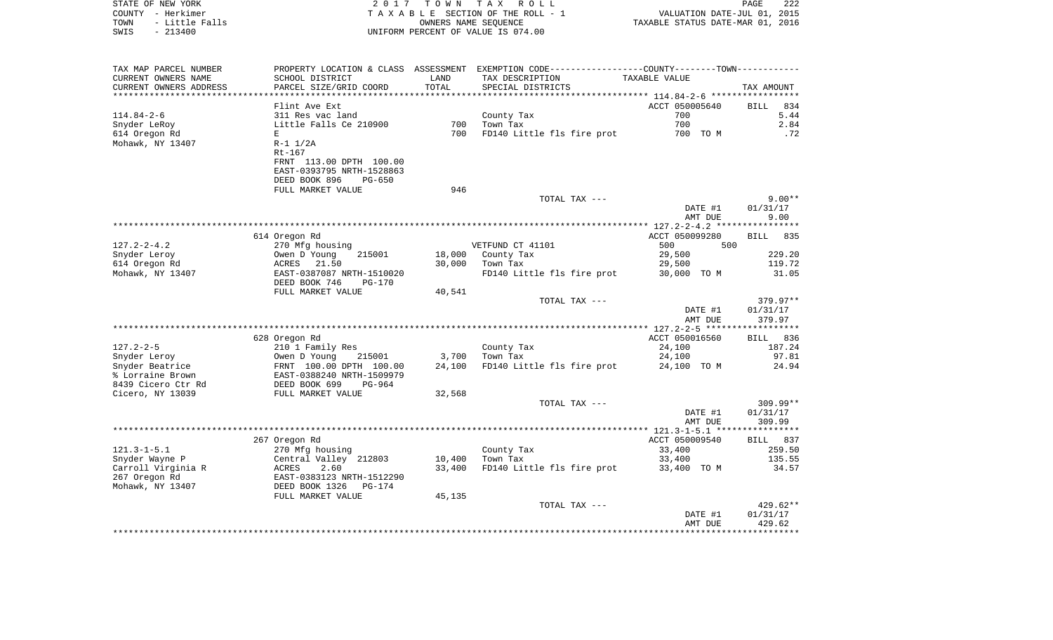| STATE OF NEW YORK      | 2017                           | T O W N              | TAX ROLL                                                                                      |                                  | PAGE<br>222                 |
|------------------------|--------------------------------|----------------------|-----------------------------------------------------------------------------------------------|----------------------------------|-----------------------------|
| COUNTY - Herkimer      |                                |                      | TAXABLE SECTION OF THE ROLL - 1                                                               |                                  | VALUATION DATE-JUL 01, 2015 |
| TOWN<br>- Little Falls |                                | OWNERS NAME SEQUENCE |                                                                                               | TAXABLE STATUS DATE-MAR 01, 2016 |                             |
| $-213400$<br>SWIS      |                                |                      | UNIFORM PERCENT OF VALUE IS 074.00                                                            |                                  |                             |
| TAX MAP PARCEL NUMBER  |                                |                      | PROPERTY LOCATION & CLASS ASSESSMENT EXEMPTION CODE---------------COUNTY-------TOWN---------- |                                  |                             |
| CURRENT OWNERS NAME    | SCHOOL DISTRICT                | LAND                 | TAX DESCRIPTION                                                                               | TAXABLE VALUE                    |                             |
| CURRENT OWNERS ADDRESS | PARCEL SIZE/GRID COORD         | TOTAL                | SPECIAL DISTRICTS                                                                             |                                  | TAX AMOUNT                  |
|                        |                                |                      |                                                                                               |                                  |                             |
|                        | Flint Ave Ext                  |                      |                                                                                               | ACCT 050005640                   | 834<br>BILL                 |
| 114.84-2-6             | 311 Res vac land               |                      | County Tax                                                                                    | 700                              | 5.44                        |
| Snyder LeRoy           | Little Falls Ce 210900         | 700                  | Town Tax                                                                                      | 700                              | 2.84                        |
| 614 Oregon Rd          | E<br>$R-1$ $1/2A$              | 700                  | FD140 Little fls fire prot                                                                    | 700 TO M                         | .72                         |
| Mohawk, NY 13407       | Rt-167                         |                      |                                                                                               |                                  |                             |
|                        | FRNT 113.00 DPTH 100.00        |                      |                                                                                               |                                  |                             |
|                        | EAST-0393795 NRTH-1528863      |                      |                                                                                               |                                  |                             |
|                        | DEED BOOK 896<br>$PG-650$      |                      |                                                                                               |                                  |                             |
|                        | FULL MARKET VALUE              | 946                  |                                                                                               |                                  |                             |
|                        |                                |                      | TOTAL TAX ---                                                                                 |                                  | $9.00**$                    |
|                        |                                |                      |                                                                                               | DATE #1                          | 01/31/17                    |
|                        |                                |                      |                                                                                               | AMT DUE                          | 9.00                        |
|                        |                                |                      |                                                                                               |                                  |                             |
|                        | 614 Oregon Rd                  |                      |                                                                                               | ACCT 050099280                   | <b>BILL</b><br>835          |
| $127.2 - 2 - 4.2$      | 270 Mfg housing                |                      | VETFUND CT 41101                                                                              | 500                              | 500                         |
| Snyder Leroy           | Owen D Young<br>215001         | 18,000               | County Tax                                                                                    | 29,500                           | 229.20                      |
| 614 Oregon Rd          | ACRES<br>21.50                 | 30,000               | Town Tax                                                                                      | 29,500                           | 119.72                      |
| Mohawk, NY 13407       | EAST-0387087 NRTH-1510020      |                      | FD140 Little fls fire prot                                                                    | 30,000 TO M                      | 31.05                       |
|                        | DEED BOOK 746<br><b>PG-170</b> |                      |                                                                                               |                                  |                             |
|                        | FULL MARKET VALUE              | 40,541               |                                                                                               |                                  |                             |
|                        |                                |                      | TOTAL TAX ---                                                                                 | DATE #1                          | 379.97**<br>01/31/17        |
|                        |                                |                      |                                                                                               | AMT DUE                          | 379.97                      |
|                        |                                |                      |                                                                                               |                                  |                             |
|                        | 628 Oregon Rd                  |                      |                                                                                               | ACCT 050016560                   | BILL 836                    |
| $127.2 - 2 - 5$        | 210 1 Family Res               |                      | County Tax                                                                                    | 24,100                           | 187.24                      |
| Snyder Leroy           | Owen D Young<br>215001         | 3,700                | Town Tax                                                                                      | 24,100                           | 97.81                       |
| Snyder Beatrice        | FRNT 100.00 DPTH 100.00        | 24,100               | FD140 Little fls fire prot                                                                    | 24,100 TO M                      | 24.94                       |
| % Lorraine Brown       | EAST-0388240 NRTH-1509979      |                      |                                                                                               |                                  |                             |
| 8439 Cicero Ctr Rd     | DEED BOOK 699<br>PG-964        |                      |                                                                                               |                                  |                             |
| Cicero, NY 13039       | FULL MARKET VALUE              | 32,568               |                                                                                               |                                  |                             |
|                        |                                |                      | TOTAL TAX ---                                                                                 |                                  | $309.99**$                  |
|                        |                                |                      |                                                                                               | DATE #1                          | 01/31/17                    |
|                        |                                |                      |                                                                                               | AMT DUE                          | 309.99                      |
|                        |                                |                      |                                                                                               |                                  |                             |
|                        | 267 Oregon Rd                  |                      |                                                                                               | ACCT 050009540                   | BILL 837                    |
| $121.3 - 1 - 5.1$      | 270 Mfg housing                |                      | County Tax                                                                                    | 33,400                           | 259.50                      |
| Snyder Wayne P         | Central Valley 212803          | 10,400               | Town Tax                                                                                      | 33,400                           | 135.55                      |
| Carroll Virginia R     | 2.60<br>ACRES                  | 33,400               | FD140 Little fls fire prot                                                                    | 33,400 TO M                      | 34.57                       |
| 267 Oregon Rd          | EAST-0383123 NRTH-1512290      |                      |                                                                                               |                                  |                             |
| Mohawk, NY 13407       | DEED BOOK 1326 PG-174          |                      |                                                                                               |                                  |                             |

| FULL MARKET VALUE | 45,135 |               |         |            |
|-------------------|--------|---------------|---------|------------|
|                   |        | TOTAL TAX --- |         | $429.62**$ |
|                   |        |               | DATE #1 | 01/31/17   |
|                   |        |               | AMT DUE | 429.62     |
|                   |        |               |         |            |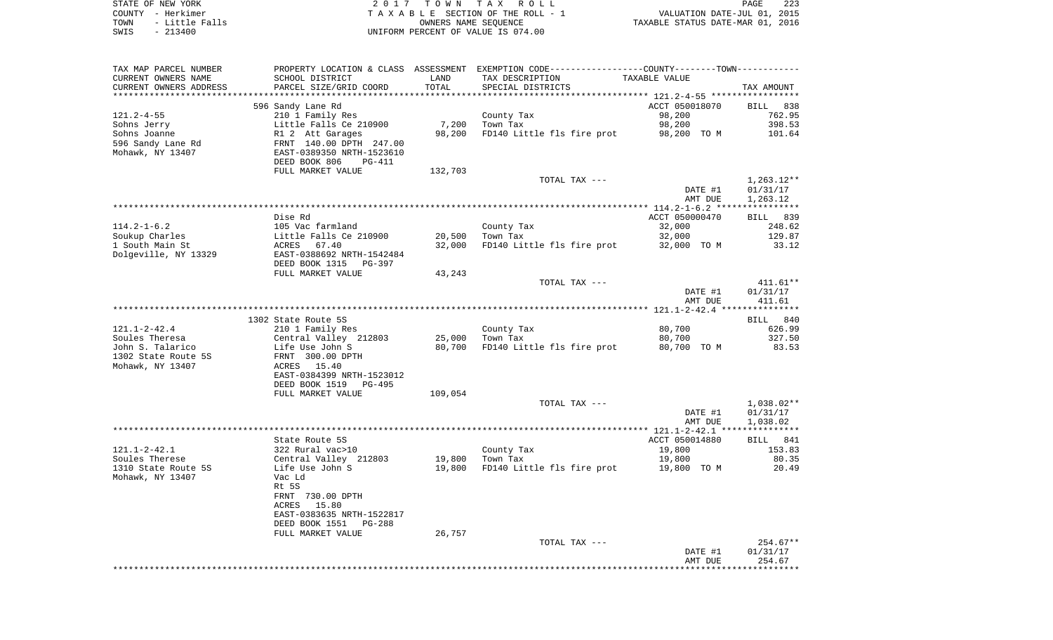| STATE OF NEW YORK      | 2017 TOWN TAX ROLL                 | 223<br>PAGE                      |
|------------------------|------------------------------------|----------------------------------|
| COUNTY - Herkimer      | TAXABLE SECTION OF THE ROLL - 1    | VALUATION DATE-JUL 01, 2015      |
| - Little Falls<br>TOWN | OWNERS NAME SEOUENCE               | TAXABLE STATUS DATE-MAR 01, 2016 |
| SWIS<br>$-213400$      | UNIFORM PERCENT OF VALUE IS 074.00 |                                  |

| TAX MAP PARCEL NUMBER                   | PROPERTY LOCATION & CLASS ASSESSMENT EXEMPTION CODE---------------COUNTY-------TOWN---------- |         |                            |                |              |
|-----------------------------------------|-----------------------------------------------------------------------------------------------|---------|----------------------------|----------------|--------------|
| CURRENT OWNERS NAME                     | SCHOOL DISTRICT                                                                               | LAND    | TAX DESCRIPTION            | TAXABLE VALUE  |              |
| CURRENT OWNERS ADDRESS                  | PARCEL SIZE/GRID COORD                                                                        | TOTAL   | SPECIAL DISTRICTS          |                | TAX AMOUNT   |
|                                         |                                                                                               |         |                            |                |              |
|                                         | 596 Sandy Lane Rd                                                                             |         |                            | ACCT 050018070 | BILL 838     |
| 121.2-4-55                              | 210 1 Family Res                                                                              |         | County Tax                 | 98,200         | 762.95       |
| Sohns Jerry                             | Little Falls Ce 210900                                                                        | 7,200   | Town Tax                   | 98,200         | 398.53       |
| Sohns Joanne                            | R1 2 Att Garages<br>FRNT 140.00 DPTH 247.00                                                   | 98,200  | FD140 Little fls fire prot | 98,200 TO M    | 101.64       |
| 596 Sandy Lane Rd                       |                                                                                               |         |                            |                |              |
| Mohawk, NY 13407                        | EAST-0389350 NRTH-1523610                                                                     |         |                            |                |              |
|                                         | DEED BOOK 806<br>PG-411                                                                       |         |                            |                |              |
|                                         | FULL MARKET VALUE                                                                             | 132,703 |                            |                |              |
|                                         |                                                                                               |         | TOTAL TAX ---              |                | $1,263.12**$ |
|                                         |                                                                                               |         |                            | DATE #1        | 01/31/17     |
|                                         |                                                                                               |         |                            | AMT DUE        | 1,263.12     |
|                                         | Dise Rd                                                                                       |         |                            | ACCT 050000470 | BILL 839     |
| $114.2 - 1 - 6.2$                       | 105 Vac farmland                                                                              |         | County Tax                 | 32,000         | 248.62       |
| Soukup Charles                          | Little Falls Ce 210900                                                                        | 20,500  | Town Tax                   | 32,000         | 129.87       |
| 1 South Main St                         | ACRES<br>67.40                                                                                | 32,000  | FD140 Little fls fire prot | 32,000 TO M    | 33.12        |
| Dolgeville, NY 13329                    | EAST-0388692 NRTH-1542484                                                                     |         |                            |                |              |
|                                         | DEED BOOK 1315 PG-397                                                                         |         |                            |                |              |
|                                         | FULL MARKET VALUE                                                                             | 43,243  |                            |                |              |
|                                         |                                                                                               |         | TOTAL TAX ---              |                | 411.61**     |
|                                         |                                                                                               |         |                            | DATE #1        | 01/31/17     |
|                                         |                                                                                               |         |                            | AMT DUE        | 411.61       |
|                                         |                                                                                               |         |                            |                |              |
|                                         | 1302 State Route 5S                                                                           |         |                            |                | BILL 840     |
| 121.1-2-42.4                            | 210 1 Family Res                                                                              |         | County Tax                 | 80,700         | 626.99       |
| Soules Theresa                          | Central Valley 212803                                                                         | 25,000  | Town Tax                   | 80,700         | 327.50       |
| John S. Talarico                        | Life Use John S                                                                               | 80,700  | FD140 Little fls fire prot | 80,700 TO M    | 83.53        |
| 1302 State Route 5S                     | FRNT 300.00 DPTH                                                                              |         |                            |                |              |
| Mohawk, NY 13407                        | ACRES 15.40                                                                                   |         |                            |                |              |
|                                         | EAST-0384399 NRTH-1523012                                                                     |         |                            |                |              |
|                                         | DEED BOOK 1519 PG-495                                                                         |         |                            |                |              |
|                                         | FULL MARKET VALUE                                                                             | 109,054 |                            |                |              |
|                                         |                                                                                               |         | TOTAL TAX ---              |                | 1,038.02**   |
|                                         |                                                                                               |         |                            | DATE #1        | 01/31/17     |
|                                         |                                                                                               |         |                            | AMT DUE        | 1,038.02     |
|                                         |                                                                                               |         |                            |                |              |
|                                         | State Route 5S                                                                                |         |                            | ACCT 050014880 | BILL 841     |
| 121.1-2-42.1                            | 322 Rural vac>10                                                                              |         | County Tax                 | 19,800         | 153.83       |
| Soules Therese                          | Central Valley 212803                                                                         |         | 19,800 Town Tax            | 19,800         | 80.35        |
| 1310 State Route 5S<br>Mohawk, NY 13407 | Life Use John S<br>Vac Ld                                                                     | 19,800  | FD140 Little fls fire prot | 19,800 TO M    | 20.49        |
|                                         | Rt 5S                                                                                         |         |                            |                |              |
|                                         | FRNT 730.00 DPTH                                                                              |         |                            |                |              |
|                                         | ACRES 15.80                                                                                   |         |                            |                |              |
|                                         | EAST-0383635 NRTH-1522817                                                                     |         |                            |                |              |
|                                         | DEED BOOK 1551<br>PG-288                                                                      |         |                            |                |              |
|                                         | FULL MARKET VALUE                                                                             | 26,757  |                            |                |              |
|                                         |                                                                                               |         | TOTAL TAX ---              |                | $254.67**$   |
|                                         |                                                                                               |         |                            | DATE #1        | 01/31/17     |
|                                         |                                                                                               |         |                            | AMT DUE        | 254.67       |
|                                         |                                                                                               |         |                            |                |              |
|                                         |                                                                                               |         |                            |                |              |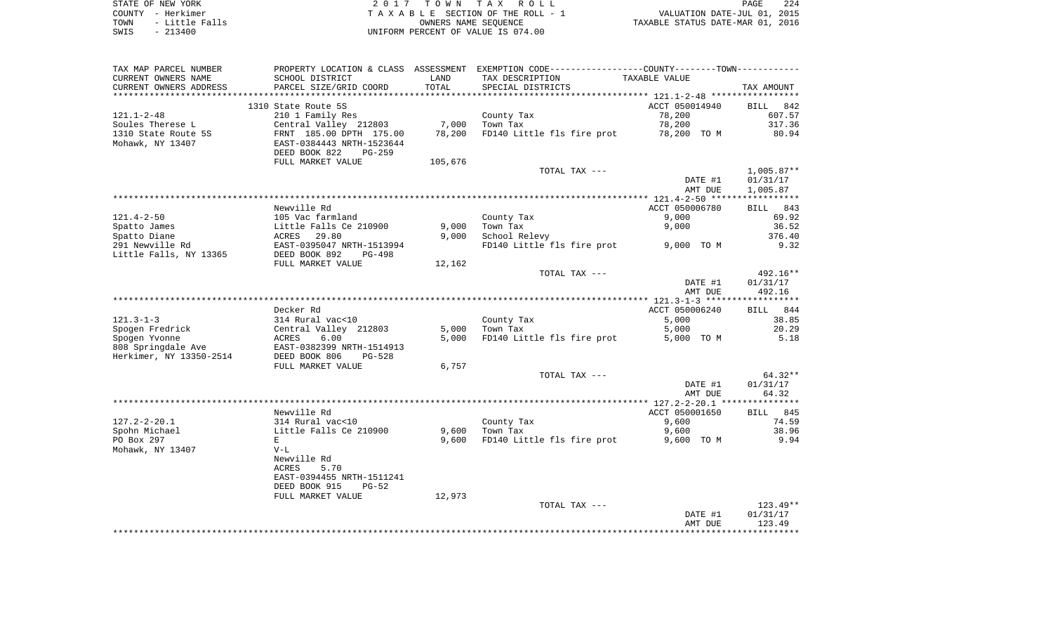| STATE OF NEW YORK |  |  |  |           |                |  |
|-------------------|--|--|--|-----------|----------------|--|
| COUNTY - Herkimer |  |  |  |           |                |  |
| TOWN              |  |  |  |           | - Little Falls |  |
| SWIS              |  |  |  | $-213400$ |                |  |

STATE OF NEW YORK 2 0 1 7 T O W N T A X R O L L PAGE 224TA X A B L E SECTION OF THE ROLL - 1 TOWN - Little Falls OWNERS NAME SEQUENCE TAXABLE STATUS DATE-MAR 01, 2016 SWIS - 213400 UNIFORM PERCENT OF VALUE IS 074.00

| TAX MAP PARCEL NUMBER   |                           |         | PROPERTY LOCATION & CLASS ASSESSMENT EXEMPTION CODE---------------COUNTY-------TOWN---------- |                |              |
|-------------------------|---------------------------|---------|-----------------------------------------------------------------------------------------------|----------------|--------------|
| CURRENT OWNERS NAME     | SCHOOL DISTRICT           | LAND    | TAX DESCRIPTION                                                                               | TAXABLE VALUE  |              |
| CURRENT OWNERS ADDRESS  | PARCEL SIZE/GRID COORD    | TOTAL   | SPECIAL DISTRICTS                                                                             |                | TAX AMOUNT   |
|                         |                           |         |                                                                                               |                |              |
|                         | 1310 State Route 5S       |         |                                                                                               | ACCT 050014940 | BILL<br>842  |
| $121.1 - 2 - 48$        | 210 1 Family Res          |         | County Tax                                                                                    | 78,200         | 607.57       |
| Soules Therese L        | Central Valley 212803     | 7,000   | Town Tax                                                                                      | 78,200         | 317.36       |
| 1310 State Route 5S     | FRNT 185.00 DPTH 175.00   | 78,200  | FD140 Little fls fire prot                                                                    | 78,200 TO M    | 80.94        |
| Mohawk, NY 13407        | EAST-0384443 NRTH-1523644 |         |                                                                                               |                |              |
|                         | DEED BOOK 822<br>$PG-259$ |         |                                                                                               |                |              |
|                         | FULL MARKET VALUE         | 105,676 |                                                                                               |                |              |
|                         |                           |         | TOTAL TAX ---                                                                                 |                | $1,005.87**$ |
|                         |                           |         |                                                                                               | DATE #1        | 01/31/17     |
|                         |                           |         |                                                                                               | AMT DUE        | 1,005.87     |
|                         |                           |         |                                                                                               |                |              |
|                         | Newville Rd               |         |                                                                                               | ACCT 050006780 | BILL<br>843  |
|                         |                           |         |                                                                                               | 9,000          | 69.92        |
| $121.4 - 2 - 50$        | 105 Vac farmland          |         | County Tax                                                                                    |                |              |
| Spatto James            | Little Falls Ce 210900    | 9,000   | Town Tax                                                                                      | 9,000          | 36.52        |
| Spatto Diane            | ACRES 29.80               | 9,000   | School Relevy                                                                                 |                | 376.40       |
| 291 Newville Rd         | EAST-0395047 NRTH-1513994 |         | FD140 Little fls fire prot 9,000 TO M                                                         |                | 9.32         |
| Little Falls, NY 13365  | DEED BOOK 892<br>$PG-498$ |         |                                                                                               |                |              |
|                         | FULL MARKET VALUE         | 12,162  |                                                                                               |                |              |
|                         |                           |         | TOTAL TAX ---                                                                                 |                | 492.16**     |
|                         |                           |         |                                                                                               | DATE #1        | 01/31/17     |
|                         |                           |         |                                                                                               | AMT DUE        | 492.16       |
|                         |                           |         |                                                                                               |                |              |
|                         | Decker Rd                 |         |                                                                                               | ACCT 050006240 | 844<br>BILL  |
| $121.3 - 1 - 3$         | 314 Rural vac<10          |         | County Tax                                                                                    | 5,000          | 38.85        |
| Spogen Fredrick         | Central Valley 212803     | 5,000   | Town Tax                                                                                      | 5,000          | 20.29        |
| Spogen Yvonne           | 6.00<br>ACRES             | 5,000   | FD140 Little fls fire prot                                                                    | 5,000 TO M     | 5.18         |
| 808 Springdale Ave      | EAST-0382399 NRTH-1514913 |         |                                                                                               |                |              |
| Herkimer, NY 13350-2514 | DEED BOOK 806<br>PG-528   |         |                                                                                               |                |              |
|                         | FULL MARKET VALUE         | 6,757   |                                                                                               |                |              |
|                         |                           |         | TOTAL TAX ---                                                                                 |                | $64.32**$    |
|                         |                           |         |                                                                                               | DATE #1        | 01/31/17     |
|                         |                           |         |                                                                                               | AMT DUE        | 64.32        |
|                         |                           |         |                                                                                               |                |              |
|                         | Newville Rd               |         |                                                                                               | ACCT 050001650 | BILL 845     |
| $127.2 - 2 - 20.1$      | 314 Rural vac<10          |         | County Tax                                                                                    | 9,600          | 74.59        |
| Spohn Michael           | Little Falls Ce 210900    | 9,600   | Town Tax                                                                                      | 9,600          | 38.96        |
| PO Box 297              | E                         | 9,600   | FD140 Little fls fire prot                                                                    | 9,600 TO M     | 9.94         |
| Mohawk, NY 13407        | $V-L$                     |         |                                                                                               |                |              |
|                         | Newville Rd               |         |                                                                                               |                |              |
|                         | ACRES<br>5.70             |         |                                                                                               |                |              |
|                         | EAST-0394455 NRTH-1511241 |         |                                                                                               |                |              |
|                         | DEED BOOK 915<br>$PG-52$  |         |                                                                                               |                |              |
|                         | FULL MARKET VALUE         | 12,973  |                                                                                               |                |              |
|                         |                           |         | TOTAL TAX ---                                                                                 |                | $123.49**$   |
|                         |                           |         |                                                                                               | DATE #1        | 01/31/17     |
|                         |                           |         |                                                                                               | AMT DUE        | 123.49       |
|                         |                           |         |                                                                                               |                |              |
|                         |                           |         |                                                                                               |                |              |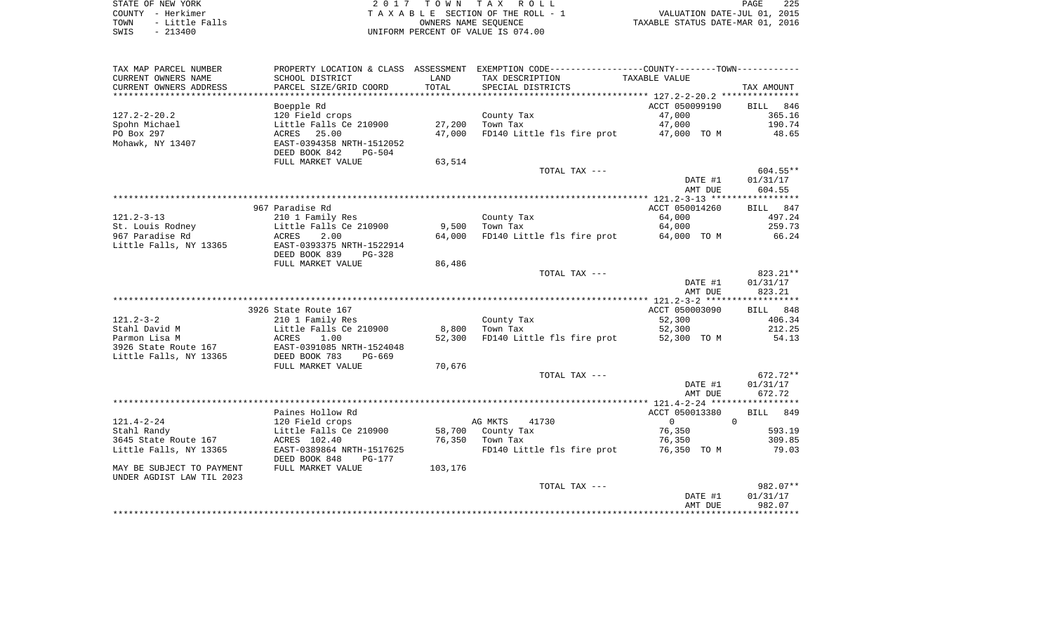| STATE OF NEW YORK |           |                |  |
|-------------------|-----------|----------------|--|
| COUNTY - Herkimer |           |                |  |
| TOWN              |           | - Little Falls |  |
| SMTS              | $-213400$ |                |  |

2017 TOWN TAX ROLL TA X A B L E SECTION OF THE ROLL - 1 TOWN - Little Falls OWNERS NAME SEQUENCE TAXABLE STATUS DATE-MAR 01, 2016 SWIS - 213400 WIFORM PERCENT OF VALUE IS 074.00

| CURRENT OWNERS NAME<br>SCHOOL DISTRICT<br>LAND<br>TAX DESCRIPTION<br>TAXABLE VALUE<br>PARCEL SIZE/GRID COORD<br>TOTAL<br>CURRENT OWNERS ADDRESS<br>SPECIAL DISTRICTS<br>TAX AMOUNT<br>Boepple Rd<br>ACCT 050099190<br>846<br><b>BILL</b><br>$127.2 - 2 - 20.2$<br>47,000<br>365.16<br>120 Field crops<br>County Tax<br>27,200<br>47,000<br>190.74<br>Spohn Michael<br>Little Falls Ce 210900<br>Town Tax<br>PO Box 297<br>25.00<br>47,000<br>FD140 Little fls fire prot<br>47,000 TO M<br>48.65<br>ACRES<br>Mohawk, NY 13407<br>EAST-0394358 NRTH-1512052<br>DEED BOOK 842<br>$PG-504$<br>FULL MARKET VALUE<br>63,514<br>TOTAL TAX ---<br>$604.55**$<br>DATE #1<br>01/31/17<br>604.55<br>AMT DUE<br>967 Paradise Rd<br>ACCT 050014260<br>BILL 847<br>$121.2 - 3 - 13$<br>64,000<br>497.24<br>210 1 Family Res<br>County Tax<br>259.73<br>St. Louis Rodney<br>Little Falls Ce 210900<br>9,500<br>Town Tax<br>64,000<br>967 Paradise Rd<br>2.00<br>66.24<br><b>ACRES</b><br>64,000<br>FD140 Little fls fire prot<br>64,000 TO M<br>Little Falls, NY 13365<br>EAST-0393375 NRTH-1522914<br>DEED BOOK 839<br>$PG-328$<br>FULL MARKET VALUE<br>86,486<br>823.21**<br>TOTAL TAX ---<br>DATE #1<br>01/31/17<br>823.21<br>AMT DUE<br>ACCT 050003090<br>3926 State Route 167<br>BILL 848<br>$121.2 - 3 - 2$<br>210 1 Family Res<br>County Tax<br>52,300<br>406.34<br>Stahl David M<br>Little Falls Ce 210900<br>8,800<br>Town Tax<br>52,300<br>212.25<br>Parmon Lisa M<br><b>ACRES</b><br>1.00<br>52,300<br>FD140 Little fls fire prot<br>52,300 TO M<br>54.13<br>3926 State Route 167<br>EAST-0391085 NRTH-1524048<br>Little Falls, NY 13365<br>DEED BOOK 783<br>$PG-669$<br>FULL MARKET VALUE<br>70,676<br>TOTAL TAX ---<br>672.72**<br>DATE #1<br>01/31/17<br>672.72<br>AMT DUE<br>Paines Hollow Rd<br>ACCT 050013380<br>849<br>BILL<br>$\mathbf 0$<br>$121.4 - 2 - 24$<br>120 Field crops<br>AG MKTS<br>41730<br>$\overline{0}$<br>76,350<br>593.19<br>Little Falls Ce 210900<br>58,700<br>County Tax<br>3645 State Route 167<br>ACRES 102.40<br>76,350<br>76,350<br>309.85<br>Town Tax<br>EAST-0389864 NRTH-1517625<br>FD140 Little fls fire prot<br>76,350 TO M<br>79.03<br>DEED BOOK 848<br>PG-177<br>103,176<br>MAY BE SUBJECT TO PAYMENT<br>FULL MARKET VALUE<br>UNDER AGDIST LAW TIL 2023<br>982.07**<br>TOTAL TAX ---<br>DATE #1<br>01/31/17<br>AMT DUE<br>982.07<br>* * * * * * * * * | TAX MAP PARCEL NUMBER  | PROPERTY LOCATION & CLASS ASSESSMENT | EXEMPTION CODE----------------COUNTY-------TOWN----------- |  |
|------------------------------------------------------------------------------------------------------------------------------------------------------------------------------------------------------------------------------------------------------------------------------------------------------------------------------------------------------------------------------------------------------------------------------------------------------------------------------------------------------------------------------------------------------------------------------------------------------------------------------------------------------------------------------------------------------------------------------------------------------------------------------------------------------------------------------------------------------------------------------------------------------------------------------------------------------------------------------------------------------------------------------------------------------------------------------------------------------------------------------------------------------------------------------------------------------------------------------------------------------------------------------------------------------------------------------------------------------------------------------------------------------------------------------------------------------------------------------------------------------------------------------------------------------------------------------------------------------------------------------------------------------------------------------------------------------------------------------------------------------------------------------------------------------------------------------------------------------------------------------------------------------------------------------------------------------------------------------------------------------------------------------------------------------------------------------------------------------------------------------------------------------------------------------------------------------------------------------------------------------------------------------------------------------------------------------------------------------------------------------------------|------------------------|--------------------------------------|------------------------------------------------------------|--|
|                                                                                                                                                                                                                                                                                                                                                                                                                                                                                                                                                                                                                                                                                                                                                                                                                                                                                                                                                                                                                                                                                                                                                                                                                                                                                                                                                                                                                                                                                                                                                                                                                                                                                                                                                                                                                                                                                                                                                                                                                                                                                                                                                                                                                                                                                                                                                                                          |                        |                                      |                                                            |  |
|                                                                                                                                                                                                                                                                                                                                                                                                                                                                                                                                                                                                                                                                                                                                                                                                                                                                                                                                                                                                                                                                                                                                                                                                                                                                                                                                                                                                                                                                                                                                                                                                                                                                                                                                                                                                                                                                                                                                                                                                                                                                                                                                                                                                                                                                                                                                                                                          |                        |                                      |                                                            |  |
|                                                                                                                                                                                                                                                                                                                                                                                                                                                                                                                                                                                                                                                                                                                                                                                                                                                                                                                                                                                                                                                                                                                                                                                                                                                                                                                                                                                                                                                                                                                                                                                                                                                                                                                                                                                                                                                                                                                                                                                                                                                                                                                                                                                                                                                                                                                                                                                          |                        |                                      |                                                            |  |
|                                                                                                                                                                                                                                                                                                                                                                                                                                                                                                                                                                                                                                                                                                                                                                                                                                                                                                                                                                                                                                                                                                                                                                                                                                                                                                                                                                                                                                                                                                                                                                                                                                                                                                                                                                                                                                                                                                                                                                                                                                                                                                                                                                                                                                                                                                                                                                                          |                        |                                      |                                                            |  |
|                                                                                                                                                                                                                                                                                                                                                                                                                                                                                                                                                                                                                                                                                                                                                                                                                                                                                                                                                                                                                                                                                                                                                                                                                                                                                                                                                                                                                                                                                                                                                                                                                                                                                                                                                                                                                                                                                                                                                                                                                                                                                                                                                                                                                                                                                                                                                                                          |                        |                                      |                                                            |  |
|                                                                                                                                                                                                                                                                                                                                                                                                                                                                                                                                                                                                                                                                                                                                                                                                                                                                                                                                                                                                                                                                                                                                                                                                                                                                                                                                                                                                                                                                                                                                                                                                                                                                                                                                                                                                                                                                                                                                                                                                                                                                                                                                                                                                                                                                                                                                                                                          |                        |                                      |                                                            |  |
|                                                                                                                                                                                                                                                                                                                                                                                                                                                                                                                                                                                                                                                                                                                                                                                                                                                                                                                                                                                                                                                                                                                                                                                                                                                                                                                                                                                                                                                                                                                                                                                                                                                                                                                                                                                                                                                                                                                                                                                                                                                                                                                                                                                                                                                                                                                                                                                          |                        |                                      |                                                            |  |
|                                                                                                                                                                                                                                                                                                                                                                                                                                                                                                                                                                                                                                                                                                                                                                                                                                                                                                                                                                                                                                                                                                                                                                                                                                                                                                                                                                                                                                                                                                                                                                                                                                                                                                                                                                                                                                                                                                                                                                                                                                                                                                                                                                                                                                                                                                                                                                                          |                        |                                      |                                                            |  |
|                                                                                                                                                                                                                                                                                                                                                                                                                                                                                                                                                                                                                                                                                                                                                                                                                                                                                                                                                                                                                                                                                                                                                                                                                                                                                                                                                                                                                                                                                                                                                                                                                                                                                                                                                                                                                                                                                                                                                                                                                                                                                                                                                                                                                                                                                                                                                                                          |                        |                                      |                                                            |  |
|                                                                                                                                                                                                                                                                                                                                                                                                                                                                                                                                                                                                                                                                                                                                                                                                                                                                                                                                                                                                                                                                                                                                                                                                                                                                                                                                                                                                                                                                                                                                                                                                                                                                                                                                                                                                                                                                                                                                                                                                                                                                                                                                                                                                                                                                                                                                                                                          |                        |                                      |                                                            |  |
|                                                                                                                                                                                                                                                                                                                                                                                                                                                                                                                                                                                                                                                                                                                                                                                                                                                                                                                                                                                                                                                                                                                                                                                                                                                                                                                                                                                                                                                                                                                                                                                                                                                                                                                                                                                                                                                                                                                                                                                                                                                                                                                                                                                                                                                                                                                                                                                          |                        |                                      |                                                            |  |
|                                                                                                                                                                                                                                                                                                                                                                                                                                                                                                                                                                                                                                                                                                                                                                                                                                                                                                                                                                                                                                                                                                                                                                                                                                                                                                                                                                                                                                                                                                                                                                                                                                                                                                                                                                                                                                                                                                                                                                                                                                                                                                                                                                                                                                                                                                                                                                                          |                        |                                      |                                                            |  |
|                                                                                                                                                                                                                                                                                                                                                                                                                                                                                                                                                                                                                                                                                                                                                                                                                                                                                                                                                                                                                                                                                                                                                                                                                                                                                                                                                                                                                                                                                                                                                                                                                                                                                                                                                                                                                                                                                                                                                                                                                                                                                                                                                                                                                                                                                                                                                                                          |                        |                                      |                                                            |  |
|                                                                                                                                                                                                                                                                                                                                                                                                                                                                                                                                                                                                                                                                                                                                                                                                                                                                                                                                                                                                                                                                                                                                                                                                                                                                                                                                                                                                                                                                                                                                                                                                                                                                                                                                                                                                                                                                                                                                                                                                                                                                                                                                                                                                                                                                                                                                                                                          |                        |                                      |                                                            |  |
|                                                                                                                                                                                                                                                                                                                                                                                                                                                                                                                                                                                                                                                                                                                                                                                                                                                                                                                                                                                                                                                                                                                                                                                                                                                                                                                                                                                                                                                                                                                                                                                                                                                                                                                                                                                                                                                                                                                                                                                                                                                                                                                                                                                                                                                                                                                                                                                          |                        |                                      |                                                            |  |
|                                                                                                                                                                                                                                                                                                                                                                                                                                                                                                                                                                                                                                                                                                                                                                                                                                                                                                                                                                                                                                                                                                                                                                                                                                                                                                                                                                                                                                                                                                                                                                                                                                                                                                                                                                                                                                                                                                                                                                                                                                                                                                                                                                                                                                                                                                                                                                                          |                        |                                      |                                                            |  |
|                                                                                                                                                                                                                                                                                                                                                                                                                                                                                                                                                                                                                                                                                                                                                                                                                                                                                                                                                                                                                                                                                                                                                                                                                                                                                                                                                                                                                                                                                                                                                                                                                                                                                                                                                                                                                                                                                                                                                                                                                                                                                                                                                                                                                                                                                                                                                                                          |                        |                                      |                                                            |  |
|                                                                                                                                                                                                                                                                                                                                                                                                                                                                                                                                                                                                                                                                                                                                                                                                                                                                                                                                                                                                                                                                                                                                                                                                                                                                                                                                                                                                                                                                                                                                                                                                                                                                                                                                                                                                                                                                                                                                                                                                                                                                                                                                                                                                                                                                                                                                                                                          |                        |                                      |                                                            |  |
|                                                                                                                                                                                                                                                                                                                                                                                                                                                                                                                                                                                                                                                                                                                                                                                                                                                                                                                                                                                                                                                                                                                                                                                                                                                                                                                                                                                                                                                                                                                                                                                                                                                                                                                                                                                                                                                                                                                                                                                                                                                                                                                                                                                                                                                                                                                                                                                          |                        |                                      |                                                            |  |
|                                                                                                                                                                                                                                                                                                                                                                                                                                                                                                                                                                                                                                                                                                                                                                                                                                                                                                                                                                                                                                                                                                                                                                                                                                                                                                                                                                                                                                                                                                                                                                                                                                                                                                                                                                                                                                                                                                                                                                                                                                                                                                                                                                                                                                                                                                                                                                                          |                        |                                      |                                                            |  |
|                                                                                                                                                                                                                                                                                                                                                                                                                                                                                                                                                                                                                                                                                                                                                                                                                                                                                                                                                                                                                                                                                                                                                                                                                                                                                                                                                                                                                                                                                                                                                                                                                                                                                                                                                                                                                                                                                                                                                                                                                                                                                                                                                                                                                                                                                                                                                                                          |                        |                                      |                                                            |  |
|                                                                                                                                                                                                                                                                                                                                                                                                                                                                                                                                                                                                                                                                                                                                                                                                                                                                                                                                                                                                                                                                                                                                                                                                                                                                                                                                                                                                                                                                                                                                                                                                                                                                                                                                                                                                                                                                                                                                                                                                                                                                                                                                                                                                                                                                                                                                                                                          |                        |                                      |                                                            |  |
|                                                                                                                                                                                                                                                                                                                                                                                                                                                                                                                                                                                                                                                                                                                                                                                                                                                                                                                                                                                                                                                                                                                                                                                                                                                                                                                                                                                                                                                                                                                                                                                                                                                                                                                                                                                                                                                                                                                                                                                                                                                                                                                                                                                                                                                                                                                                                                                          |                        |                                      |                                                            |  |
|                                                                                                                                                                                                                                                                                                                                                                                                                                                                                                                                                                                                                                                                                                                                                                                                                                                                                                                                                                                                                                                                                                                                                                                                                                                                                                                                                                                                                                                                                                                                                                                                                                                                                                                                                                                                                                                                                                                                                                                                                                                                                                                                                                                                                                                                                                                                                                                          |                        |                                      |                                                            |  |
|                                                                                                                                                                                                                                                                                                                                                                                                                                                                                                                                                                                                                                                                                                                                                                                                                                                                                                                                                                                                                                                                                                                                                                                                                                                                                                                                                                                                                                                                                                                                                                                                                                                                                                                                                                                                                                                                                                                                                                                                                                                                                                                                                                                                                                                                                                                                                                                          |                        |                                      |                                                            |  |
|                                                                                                                                                                                                                                                                                                                                                                                                                                                                                                                                                                                                                                                                                                                                                                                                                                                                                                                                                                                                                                                                                                                                                                                                                                                                                                                                                                                                                                                                                                                                                                                                                                                                                                                                                                                                                                                                                                                                                                                                                                                                                                                                                                                                                                                                                                                                                                                          |                        |                                      |                                                            |  |
|                                                                                                                                                                                                                                                                                                                                                                                                                                                                                                                                                                                                                                                                                                                                                                                                                                                                                                                                                                                                                                                                                                                                                                                                                                                                                                                                                                                                                                                                                                                                                                                                                                                                                                                                                                                                                                                                                                                                                                                                                                                                                                                                                                                                                                                                                                                                                                                          |                        |                                      |                                                            |  |
|                                                                                                                                                                                                                                                                                                                                                                                                                                                                                                                                                                                                                                                                                                                                                                                                                                                                                                                                                                                                                                                                                                                                                                                                                                                                                                                                                                                                                                                                                                                                                                                                                                                                                                                                                                                                                                                                                                                                                                                                                                                                                                                                                                                                                                                                                                                                                                                          |                        |                                      |                                                            |  |
|                                                                                                                                                                                                                                                                                                                                                                                                                                                                                                                                                                                                                                                                                                                                                                                                                                                                                                                                                                                                                                                                                                                                                                                                                                                                                                                                                                                                                                                                                                                                                                                                                                                                                                                                                                                                                                                                                                                                                                                                                                                                                                                                                                                                                                                                                                                                                                                          |                        |                                      |                                                            |  |
|                                                                                                                                                                                                                                                                                                                                                                                                                                                                                                                                                                                                                                                                                                                                                                                                                                                                                                                                                                                                                                                                                                                                                                                                                                                                                                                                                                                                                                                                                                                                                                                                                                                                                                                                                                                                                                                                                                                                                                                                                                                                                                                                                                                                                                                                                                                                                                                          |                        |                                      |                                                            |  |
|                                                                                                                                                                                                                                                                                                                                                                                                                                                                                                                                                                                                                                                                                                                                                                                                                                                                                                                                                                                                                                                                                                                                                                                                                                                                                                                                                                                                                                                                                                                                                                                                                                                                                                                                                                                                                                                                                                                                                                                                                                                                                                                                                                                                                                                                                                                                                                                          |                        |                                      |                                                            |  |
|                                                                                                                                                                                                                                                                                                                                                                                                                                                                                                                                                                                                                                                                                                                                                                                                                                                                                                                                                                                                                                                                                                                                                                                                                                                                                                                                                                                                                                                                                                                                                                                                                                                                                                                                                                                                                                                                                                                                                                                                                                                                                                                                                                                                                                                                                                                                                                                          |                        |                                      |                                                            |  |
|                                                                                                                                                                                                                                                                                                                                                                                                                                                                                                                                                                                                                                                                                                                                                                                                                                                                                                                                                                                                                                                                                                                                                                                                                                                                                                                                                                                                                                                                                                                                                                                                                                                                                                                                                                                                                                                                                                                                                                                                                                                                                                                                                                                                                                                                                                                                                                                          |                        |                                      |                                                            |  |
|                                                                                                                                                                                                                                                                                                                                                                                                                                                                                                                                                                                                                                                                                                                                                                                                                                                                                                                                                                                                                                                                                                                                                                                                                                                                                                                                                                                                                                                                                                                                                                                                                                                                                                                                                                                                                                                                                                                                                                                                                                                                                                                                                                                                                                                                                                                                                                                          |                        |                                      |                                                            |  |
|                                                                                                                                                                                                                                                                                                                                                                                                                                                                                                                                                                                                                                                                                                                                                                                                                                                                                                                                                                                                                                                                                                                                                                                                                                                                                                                                                                                                                                                                                                                                                                                                                                                                                                                                                                                                                                                                                                                                                                                                                                                                                                                                                                                                                                                                                                                                                                                          |                        |                                      |                                                            |  |
|                                                                                                                                                                                                                                                                                                                                                                                                                                                                                                                                                                                                                                                                                                                                                                                                                                                                                                                                                                                                                                                                                                                                                                                                                                                                                                                                                                                                                                                                                                                                                                                                                                                                                                                                                                                                                                                                                                                                                                                                                                                                                                                                                                                                                                                                                                                                                                                          | Stahl Randy            |                                      |                                                            |  |
|                                                                                                                                                                                                                                                                                                                                                                                                                                                                                                                                                                                                                                                                                                                                                                                                                                                                                                                                                                                                                                                                                                                                                                                                                                                                                                                                                                                                                                                                                                                                                                                                                                                                                                                                                                                                                                                                                                                                                                                                                                                                                                                                                                                                                                                                                                                                                                                          |                        |                                      |                                                            |  |
|                                                                                                                                                                                                                                                                                                                                                                                                                                                                                                                                                                                                                                                                                                                                                                                                                                                                                                                                                                                                                                                                                                                                                                                                                                                                                                                                                                                                                                                                                                                                                                                                                                                                                                                                                                                                                                                                                                                                                                                                                                                                                                                                                                                                                                                                                                                                                                                          | Little Falls, NY 13365 |                                      |                                                            |  |
|                                                                                                                                                                                                                                                                                                                                                                                                                                                                                                                                                                                                                                                                                                                                                                                                                                                                                                                                                                                                                                                                                                                                                                                                                                                                                                                                                                                                                                                                                                                                                                                                                                                                                                                                                                                                                                                                                                                                                                                                                                                                                                                                                                                                                                                                                                                                                                                          |                        |                                      |                                                            |  |
|                                                                                                                                                                                                                                                                                                                                                                                                                                                                                                                                                                                                                                                                                                                                                                                                                                                                                                                                                                                                                                                                                                                                                                                                                                                                                                                                                                                                                                                                                                                                                                                                                                                                                                                                                                                                                                                                                                                                                                                                                                                                                                                                                                                                                                                                                                                                                                                          |                        |                                      |                                                            |  |
|                                                                                                                                                                                                                                                                                                                                                                                                                                                                                                                                                                                                                                                                                                                                                                                                                                                                                                                                                                                                                                                                                                                                                                                                                                                                                                                                                                                                                                                                                                                                                                                                                                                                                                                                                                                                                                                                                                                                                                                                                                                                                                                                                                                                                                                                                                                                                                                          |                        |                                      |                                                            |  |
|                                                                                                                                                                                                                                                                                                                                                                                                                                                                                                                                                                                                                                                                                                                                                                                                                                                                                                                                                                                                                                                                                                                                                                                                                                                                                                                                                                                                                                                                                                                                                                                                                                                                                                                                                                                                                                                                                                                                                                                                                                                                                                                                                                                                                                                                                                                                                                                          |                        |                                      |                                                            |  |
|                                                                                                                                                                                                                                                                                                                                                                                                                                                                                                                                                                                                                                                                                                                                                                                                                                                                                                                                                                                                                                                                                                                                                                                                                                                                                                                                                                                                                                                                                                                                                                                                                                                                                                                                                                                                                                                                                                                                                                                                                                                                                                                                                                                                                                                                                                                                                                                          |                        |                                      |                                                            |  |
|                                                                                                                                                                                                                                                                                                                                                                                                                                                                                                                                                                                                                                                                                                                                                                                                                                                                                                                                                                                                                                                                                                                                                                                                                                                                                                                                                                                                                                                                                                                                                                                                                                                                                                                                                                                                                                                                                                                                                                                                                                                                                                                                                                                                                                                                                                                                                                                          |                        |                                      |                                                            |  |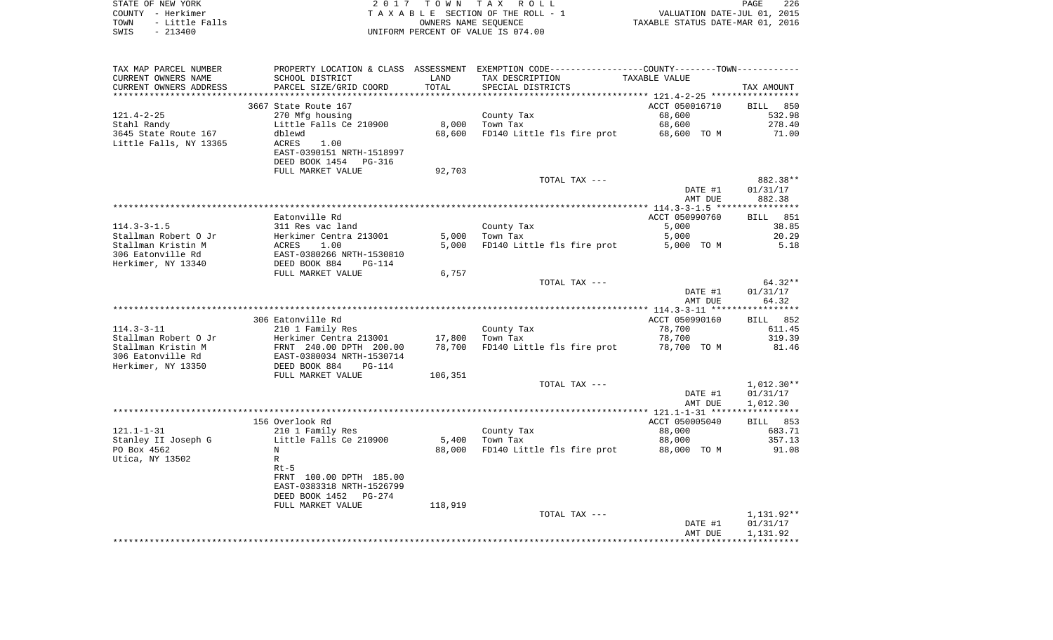| STATE OF NEW YORK |                | 2017 TOWN TAX ROLL                 | 226<br>PAGE                      |
|-------------------|----------------|------------------------------------|----------------------------------|
| COUNTY - Herkimer |                | TAXABLE SECTION OF THE ROLL - 1    | VALUATION DATE-JUL 01, 2015      |
| TOWN              | - Little Falls | OWNERS NAME SEOUENCE               | TAXABLE STATUS DATE-MAR 01, 2016 |
| SWIS              | - 213400       | UNIFORM PERCENT OF VALUE IS 074.00 |                                  |

| TAX MAP PARCEL NUMBER  |                                                      |         | PROPERTY LOCATION & CLASS ASSESSMENT EXEMPTION CODE----------------COUNTY-------TOWN--------- |                |              |
|------------------------|------------------------------------------------------|---------|-----------------------------------------------------------------------------------------------|----------------|--------------|
| CURRENT OWNERS NAME    | SCHOOL DISTRICT                                      | LAND    | TAX DESCRIPTION                                                                               | TAXABLE VALUE  |              |
| CURRENT OWNERS ADDRESS | PARCEL SIZE/GRID COORD                               | TOTAL   | SPECIAL DISTRICTS                                                                             |                | TAX AMOUNT   |
|                        |                                                      |         |                                                                                               |                |              |
|                        | 3667 State Route 167                                 |         |                                                                                               | ACCT 050016710 | BILL 850     |
| $121.4 - 2 - 25$       | 270 Mfg housing                                      |         | County Tax                                                                                    | 68,600         | 532.98       |
| Stahl Randy            | Little Falls Ce 210900                               | 8,000   | Town Tax                                                                                      | 68,600         | 278.40       |
| 3645 State Route 167   | dblewd                                               | 68,600  | FD140 Little fls fire prot                                                                    | 68,600 TO M    | 71.00        |
| Little Falls, NY 13365 | ACRES<br>1.00                                        |         |                                                                                               |                |              |
|                        | EAST-0390151 NRTH-1518997                            |         |                                                                                               |                |              |
|                        | DEED BOOK 1454<br>PG-316                             |         |                                                                                               |                |              |
|                        | FULL MARKET VALUE                                    | 92,703  |                                                                                               |                |              |
|                        |                                                      |         |                                                                                               |                |              |
|                        |                                                      |         | TOTAL TAX ---                                                                                 |                | 882.38**     |
|                        |                                                      |         |                                                                                               | DATE #1        | 01/31/17     |
|                        |                                                      |         |                                                                                               | AMT DUE        | 882.38       |
|                        |                                                      |         |                                                                                               |                |              |
|                        | Eatonville Rd                                        |         |                                                                                               | ACCT 050990760 | BILL 851     |
| $114.3 - 3 - 1.5$      | 311 Res vac land                                     |         | County Tax                                                                                    | 5,000          | 38.85        |
| Stallman Robert O Jr   | Herkimer Centra 213001                               | 5,000   | Town Tax                                                                                      | 5,000          | 20.29        |
| Stallman Kristin M     | 1.00<br>ACRES                                        | 5,000   | FD140 Little fls fire prot                                                                    | 5,000 TO M     | 5.18         |
| 306 Eatonville Rd      | EAST-0380266 NRTH-1530810                            |         |                                                                                               |                |              |
| Herkimer, NY 13340     | DEED BOOK 884<br>$PG-114$                            |         |                                                                                               |                |              |
|                        | FULL MARKET VALUE                                    | 6,757   |                                                                                               |                |              |
|                        |                                                      |         | TOTAL TAX ---                                                                                 |                | 64.32**      |
|                        |                                                      |         |                                                                                               | DATE #1        | 01/31/17     |
|                        |                                                      |         |                                                                                               | AMT DUE        | 64.32        |
|                        |                                                      |         |                                                                                               |                |              |
|                        | 306 Eatonville Rd                                    |         |                                                                                               | ACCT 050990160 | BILL 852     |
| $114.3 - 3 - 11$       | 210 1 Family Res                                     |         | County Tax                                                                                    | 78,700         | 611.45       |
| Stallman Robert O Jr   | Herkimer Centra 213001                               | 17,800  | Town Tax                                                                                      | 78,700         | 319.39       |
| Stallman Kristin M     |                                                      | 78,700  | FD140 Little fls fire prot                                                                    | 78,700 TO M    | 81.46        |
| 306 Eatonville Rd      | FRNT 240.00 DPTH 200.00<br>EAST-0380034 NRTH-1530714 |         |                                                                                               |                |              |
| Herkimer, NY 13350     | DEED BOOK 884<br>PG-114                              |         |                                                                                               |                |              |
|                        | FULL MARKET VALUE                                    | 106,351 |                                                                                               |                |              |
|                        |                                                      |         | TOTAL TAX ---                                                                                 |                | $1,012.30**$ |
|                        |                                                      |         |                                                                                               | DATE #1        | 01/31/17     |
|                        |                                                      |         |                                                                                               | AMT DUE        | 1,012.30     |
|                        |                                                      |         |                                                                                               |                |              |
|                        | 156 Overlook Rd                                      |         |                                                                                               |                |              |
|                        |                                                      |         |                                                                                               | ACCT 050005040 | BILL 853     |
| $121.1 - 1 - 31$       | 210 1 Family Res                                     |         | County Tax                                                                                    | 88,000         | 683.71       |
| Stanley II Joseph G    | Little Falls Ce 210900                               | 5,400   | Town Tax                                                                                      | 88,000         | 357.13       |
| PO Box 4562            | N                                                    | 88,000  | FD140 Little fls fire prot                                                                    | 88,000 TO M    | 91.08        |
| Utica, NY 13502        | $\mathbb{R}$                                         |         |                                                                                               |                |              |
|                        | $Rt-5$                                               |         |                                                                                               |                |              |
|                        | FRNT 100.00 DPTH 185.00                              |         |                                                                                               |                |              |
|                        | EAST-0383318 NRTH-1526799                            |         |                                                                                               |                |              |
|                        | DEED BOOK 1452 PG-274                                |         |                                                                                               |                |              |
|                        | FULL MARKET VALUE                                    | 118,919 |                                                                                               |                |              |
|                        |                                                      |         | TOTAL TAX ---                                                                                 |                | 1,131.92**   |
|                        |                                                      |         |                                                                                               | DATE #1        | 01/31/17     |
|                        |                                                      |         |                                                                                               | AMT DUE        | 1,131.92     |
|                        |                                                      |         |                                                                                               |                |              |
|                        |                                                      |         |                                                                                               |                |              |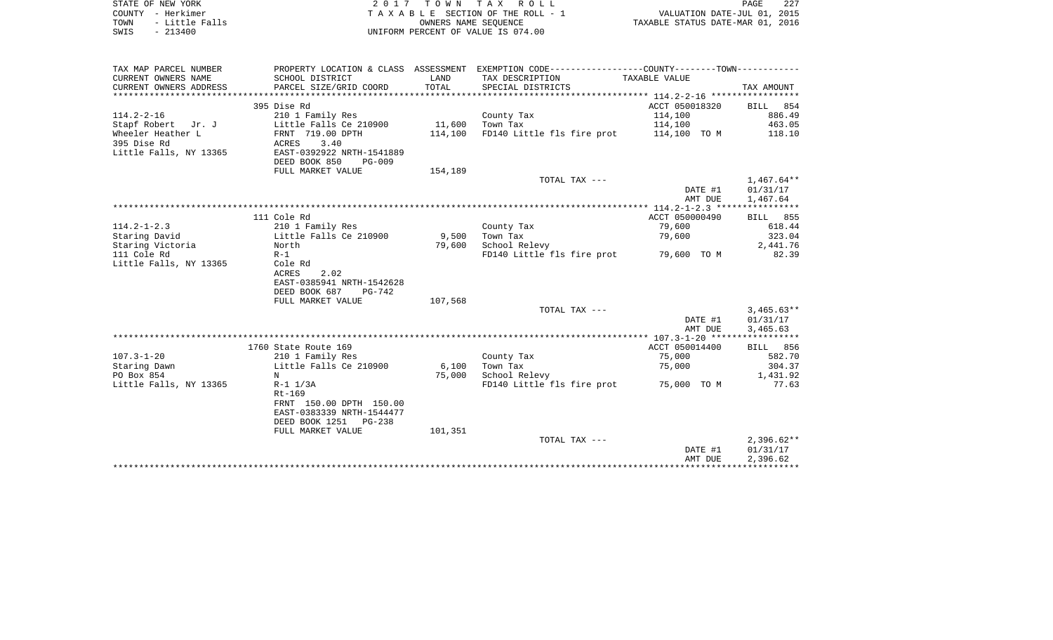| COUNTY - Herkimer<br>TOWN<br>- Little Falls<br>$-213400$<br>SWIS |                                   | OWNERS NAME SEQUENCE | TAXABLE SECTION OF THE ROLL - 1<br>UNIFORM PERCENT OF VALUE IS 074.00                          | VALUATION DATE-JUL 01, 2015<br>TAXABLE STATUS DATE-MAR 01, 2016 |                                      |
|------------------------------------------------------------------|-----------------------------------|----------------------|------------------------------------------------------------------------------------------------|-----------------------------------------------------------------|--------------------------------------|
|                                                                  |                                   |                      |                                                                                                |                                                                 |                                      |
| TAX MAP PARCEL NUMBER                                            |                                   |                      | PROPERTY LOCATION & CLASS ASSESSMENT EXEMPTION CODE----------------COUNTY-------TOWN---------- |                                                                 |                                      |
| CURRENT OWNERS NAME                                              | SCHOOL DISTRICT                   | LAND                 | TAX DESCRIPTION                                                                                | TAXABLE VALUE                                                   |                                      |
| CURRENT OWNERS ADDRESS                                           | PARCEL SIZE/GRID COORD            | TOTAL                | SPECIAL DISTRICTS                                                                              |                                                                 | TAX AMOUNT                           |
| ******************                                               |                                   |                      |                                                                                                |                                                                 |                                      |
| $114.2 - 2 - 16$                                                 | 395 Dise Rd<br>210 1 Family Res   |                      |                                                                                                | ACCT 050018320<br>114,100                                       | BILL 854<br>886.49                   |
| Stapf Robert Jr. J                                               | Little Falls Ce 210900            | 11,600               | County Tax<br>Town Tax                                                                         | 114,100                                                         | 463.05                               |
| Wheeler Heather L                                                | FRNT 719.00 DPTH                  | 114,100              | FD140 Little fls fire prot 114,100 TO M                                                        |                                                                 | 118.10                               |
| 395 Dise Rd                                                      | 3.40<br>ACRES                     |                      |                                                                                                |                                                                 |                                      |
| Little Falls, NY 13365                                           | EAST-0392922 NRTH-1541889         |                      |                                                                                                |                                                                 |                                      |
|                                                                  | DEED BOOK 850<br><b>PG-009</b>    |                      |                                                                                                |                                                                 |                                      |
|                                                                  | FULL MARKET VALUE                 | 154,189              |                                                                                                |                                                                 |                                      |
|                                                                  |                                   |                      | TOTAL TAX ---                                                                                  | DATE #1<br>AMT DUE                                              | $1,467.64**$<br>01/31/17<br>1,467.64 |
|                                                                  |                                   |                      |                                                                                                |                                                                 |                                      |
|                                                                  | 111 Cole Rd                       |                      |                                                                                                | ACCT 050000490                                                  | <b>BILL</b> 855                      |
| $114.2 - 1 - 2.3$                                                | 210 1 Family Res                  |                      | County Tax                                                                                     | 79,600                                                          | 618.44                               |
| Staring David                                                    | Little Falls Ce 210900            | 9,500                | Town Tax                                                                                       | 79,600                                                          | 323.04                               |
| Staring Victoria                                                 | North                             | 79,600               | School Relevy                                                                                  |                                                                 | 2,441.76                             |
| 111 Cole Rd                                                      | $R-1$                             |                      | FD140 Little fls fire prot 79,600 TO M                                                         |                                                                 | 82.39                                |
| Little Falls, NY 13365                                           | Cole Rd<br>ACRES                  |                      |                                                                                                |                                                                 |                                      |
|                                                                  | 2.02<br>EAST-0385941 NRTH-1542628 |                      |                                                                                                |                                                                 |                                      |
|                                                                  | DEED BOOK 687<br>$PG-742$         |                      |                                                                                                |                                                                 |                                      |
|                                                                  | FULL MARKET VALUE                 | 107,568              |                                                                                                |                                                                 |                                      |
|                                                                  |                                   |                      | TOTAL TAX ---                                                                                  |                                                                 | $3,465.63**$                         |
|                                                                  |                                   |                      |                                                                                                | DATE #1                                                         | 01/31/17                             |
|                                                                  |                                   |                      |                                                                                                | AMT DUE                                                         | 3,465.63                             |
|                                                                  |                                   |                      |                                                                                                |                                                                 |                                      |
|                                                                  | 1760 State Route 169              |                      |                                                                                                | ACCT 050014400                                                  | 856<br>BILL                          |
| $107.3 - 1 - 20$                                                 | 210 1 Family Res                  |                      | County Tax                                                                                     | 75,000                                                          | 582.70                               |
| Staring Dawn<br>PO Box 854                                       | Little Falls Ce 210900<br>N       | 6,100<br>75,000      | Town Tax<br>School Relevy                                                                      | 75,000                                                          | 304.37<br>1,431.92                   |
| Little Falls, NY 13365                                           | $R-1$ $1/3A$                      |                      | FD140 Little fls fire prot                                                                     | 75,000 TO M                                                     | 77.63                                |
|                                                                  | $Rt-169$                          |                      |                                                                                                |                                                                 |                                      |
|                                                                  | FRNT 150.00 DPTH 150.00           |                      |                                                                                                |                                                                 |                                      |
|                                                                  | EAST-0383339 NRTH-1544477         |                      |                                                                                                |                                                                 |                                      |
|                                                                  | DEED BOOK 1251<br>PG-238          |                      |                                                                                                |                                                                 |                                      |
|                                                                  | FULL MARKET VALUE                 | 101,351              |                                                                                                |                                                                 |                                      |
|                                                                  |                                   |                      | TOTAL TAX ---                                                                                  |                                                                 | $2,396.62**$                         |
|                                                                  |                                   |                      |                                                                                                | DATE #1                                                         | 01/31/17                             |
|                                                                  |                                   |                      |                                                                                                | AMT DUE                                                         | 2,396.62                             |

STATE OF NEW YORK **EXECUTE:**  $2017$  TOWN TAX ROLL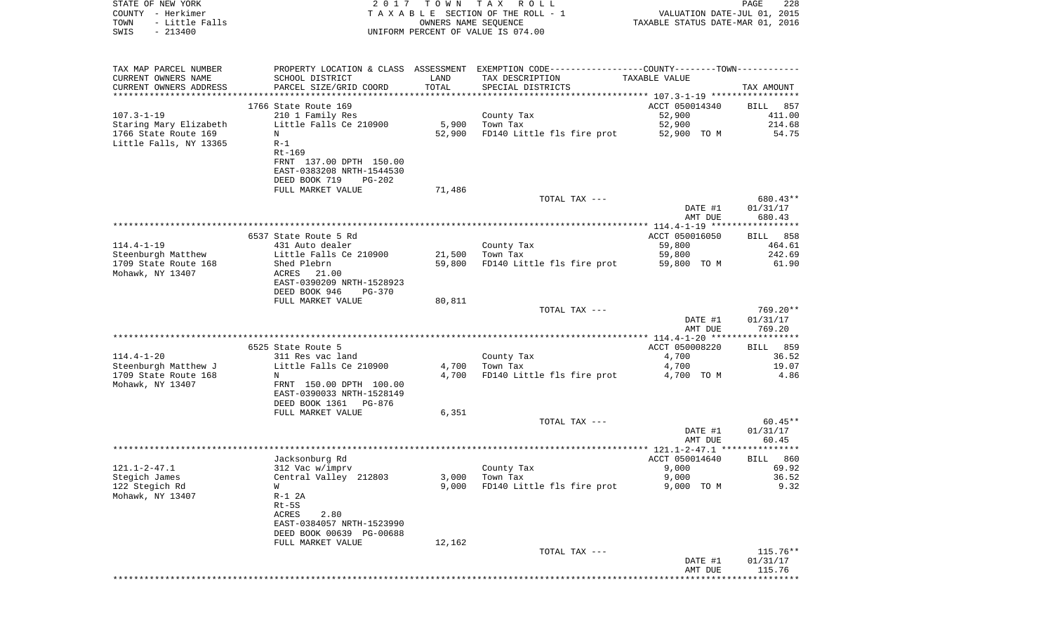| STATE OF NEW YORK<br>COUNTY - Herkimer<br>TOWN<br>- Little Falls<br>$-213400$<br>SWIS        |                                                                                                                                                        | OWNERS NAME SEQUENCE | 2017 TOWN TAX ROLL<br>TAXABLE SECTION OF THE ROLL - 1<br>UNIFORM PERCENT OF VALUE IS 074.00                                           | VALUATION DATE-JUL 01, 2015<br>TAXABLE STATUS DATE-MAR 01, 2016 | PAGE<br>228                           |
|----------------------------------------------------------------------------------------------|--------------------------------------------------------------------------------------------------------------------------------------------------------|----------------------|---------------------------------------------------------------------------------------------------------------------------------------|-----------------------------------------------------------------|---------------------------------------|
| TAX MAP PARCEL NUMBER<br>CURRENT OWNERS NAME<br>CURRENT OWNERS ADDRESS                       | SCHOOL DISTRICT<br>PARCEL SIZE/GRID COORD                                                                                                              | LAND<br>TOTAL        | PROPERTY LOCATION & CLASS ASSESSMENT EXEMPTION CODE---------------COUNTY-------TOWN----------<br>TAX DESCRIPTION<br>SPECIAL DISTRICTS | TAXABLE VALUE                                                   | TAX AMOUNT                            |
| ************************                                                                     |                                                                                                                                                        |                      |                                                                                                                                       |                                                                 |                                       |
| $107.3 - 1 - 19$<br>Staring Mary Elizabeth<br>1766 State Route 169<br>Little Falls, NY 13365 | 1766 State Route 169<br>210 1 Family Res<br>Little Falls Ce 210900<br>N<br>$R-1$<br>Rt-169                                                             | 5,900<br>52,900      | County Tax<br>Town Tax<br>FD140 Little fls fire prot                                                                                  | ACCT 050014340<br>52,900<br>52,900<br>52,900 TO M               | BILL 857<br>411.00<br>214.68<br>54.75 |
|                                                                                              | FRNT 137.00 DPTH 150.00<br>EAST-0383208 NRTH-1544530<br>DEED BOOK 719<br><b>PG-202</b><br>FULL MARKET VALUE                                            | 71,486               | TOTAL TAX ---                                                                                                                         |                                                                 | 680.43**                              |
|                                                                                              |                                                                                                                                                        |                      |                                                                                                                                       | DATE #1                                                         | 01/31/17                              |
|                                                                                              |                                                                                                                                                        |                      |                                                                                                                                       | AMT DUE                                                         | 680.43                                |
|                                                                                              | 6537 State Route 5 Rd                                                                                                                                  |                      |                                                                                                                                       | ACCT 050016050                                                  | BILL 858                              |
| 114.4-1-19<br>Steenburgh Matthew<br>1709 State Route 168<br>Mohawk, NY 13407                 | 431 Auto dealer<br>Little Falls Ce 210900<br>Shed Plebrn<br>ACRES 21.00                                                                                | 21,500<br>59,800     | County Tax<br>Town Tax<br>FD140 Little fls fire prot                                                                                  | 59,800<br>59,800<br>59,800 TO M                                 | 464.61<br>242.69<br>61.90             |
|                                                                                              | EAST-0390209 NRTH-1528923<br>DEED BOOK 946<br><b>PG-370</b><br>FULL MARKET VALUE                                                                       | 80,811               |                                                                                                                                       |                                                                 |                                       |
|                                                                                              |                                                                                                                                                        |                      | TOTAL TAX ---                                                                                                                         | DATE #1<br>AMT DUE                                              | 769.20**<br>01/31/17<br>769.20        |
|                                                                                              |                                                                                                                                                        |                      |                                                                                                                                       |                                                                 |                                       |
| 114.4-1-20<br>Steenburgh Matthew J<br>1709 State Route 168<br>Mohawk, NY 13407               | 6525 State Route 5<br>311 Res vac land<br>Little Falls Ce 210900<br>N<br>FRNT 150.00 DPTH 100.00<br>EAST-0390033 NRTH-1528149<br>DEED BOOK 1361 PG-876 | 4,700<br>4,700       | County Tax<br>Town Tax<br>FD140 Little fls fire prot                                                                                  | ACCT 050008220<br>4,700<br>4,700<br>4,700 TO M                  | BILL 859<br>36.52<br>19.07<br>4.86    |
|                                                                                              | FULL MARKET VALUE                                                                                                                                      | 6,351                |                                                                                                                                       |                                                                 |                                       |
|                                                                                              |                                                                                                                                                        |                      | TOTAL TAX ---                                                                                                                         | DATE #1<br>AMT DUE                                              | $60.45**$<br>01/31/17<br>60.45        |
|                                                                                              | Jacksonburg Rd                                                                                                                                         |                      |                                                                                                                                       | ACCT 050014640                                                  | BILL 860                              |
| 121.1-2-47.1<br>Stegich James<br>122 Stegich Rd<br>Mohawk, NY 13407                          | 312 Vac w/imprv<br>Central Valley 212803<br>W<br>$R-1$ 2A<br>Rt-5S<br>ACRES<br>2.80                                                                    | 3,000<br>9,000       | County Tax<br>Town Tax<br>FD140 Little fls fire prot                                                                                  | 9,000<br>9,000<br>9,000 TO M                                    | 69.92<br>36.52<br>9.32                |
|                                                                                              | EAST-0384057 NRTH-1523990<br>DEED BOOK 00639 PG-00688<br>FULL MARKET VALUE                                                                             | 12,162               | TOTAL TAX ---                                                                                                                         |                                                                 | $115.76**$                            |
|                                                                                              |                                                                                                                                                        |                      |                                                                                                                                       | DATE #1<br>AMT DUE                                              | 01/31/17<br>115.76                    |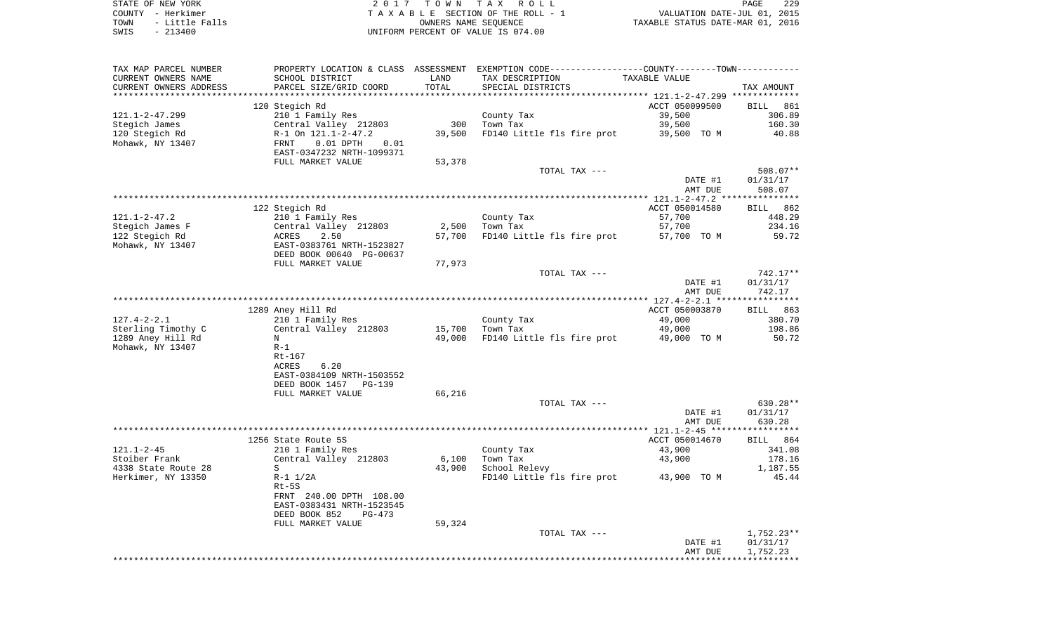| TAX MAP PARCEL NUMBER  |                                            |        | PROPERTY LOCATION & CLASS ASSESSMENT EXEMPTION CODE----------------COUNTY--------TOWN----------- |                |                    |
|------------------------|--------------------------------------------|--------|--------------------------------------------------------------------------------------------------|----------------|--------------------|
| CURRENT OWNERS NAME    | SCHOOL DISTRICT                            | LAND   | TAX DESCRIPTION                                                                                  | TAXABLE VALUE  |                    |
| CURRENT OWNERS ADDRESS | PARCEL SIZE/GRID COORD                     | TOTAL  | SPECIAL DISTRICTS                                                                                |                | TAX AMOUNT         |
|                        |                                            |        |                                                                                                  |                |                    |
|                        | 120 Stegich Rd                             |        |                                                                                                  | ACCT 050099500 | <b>BILL</b><br>861 |
| $121.1 - 2 - 47.299$   | 210 1 Family Res                           |        | County Tax                                                                                       | 39,500         | 306.89             |
| Stegich James          | Central Valley 212803                      | 300    | Town Tax                                                                                         | 39,500         | 160.30             |
| 120 Stegich Rd         | R-1 On 121.1-2-47.2                        | 39,500 | FD140 Little fls fire prot                                                                       | 39,500 TO M    | 40.88              |
| Mohawk, NY 13407       | $0.01$ DPTH<br>FRNT<br>0.01                |        |                                                                                                  |                |                    |
|                        | EAST-0347232 NRTH-1099371                  |        |                                                                                                  |                |                    |
|                        | FULL MARKET VALUE                          | 53,378 |                                                                                                  |                |                    |
|                        |                                            |        | TOTAL TAX ---                                                                                    |                | 508.07**           |
|                        |                                            |        |                                                                                                  | DATE #1        | 01/31/17<br>508.07 |
|                        |                                            |        |                                                                                                  | AMT DUE        |                    |
|                        | 122 Stegich Rd                             |        |                                                                                                  | ACCT 050014580 | 862<br>BILL        |
| $121.1 - 2 - 47.2$     | 210 1 Family Res                           |        | County Tax                                                                                       | 57,700         | 448.29             |
| Stegich James F        | Central Valley 212803                      | 2,500  | Town Tax                                                                                         | 57,700         | 234.16             |
| 122 Stegich Rd         | 2.50<br>ACRES                              | 57,700 | FD140 Little fls fire prot                                                                       | 57,700 TO M    | 59.72              |
| Mohawk, NY 13407       | EAST-0383761 NRTH-1523827                  |        |                                                                                                  |                |                    |
|                        | DEED BOOK 00640 PG-00637                   |        |                                                                                                  |                |                    |
|                        | FULL MARKET VALUE                          | 77,973 |                                                                                                  |                |                    |
|                        |                                            |        | TOTAL TAX ---                                                                                    |                | 742.17**           |
|                        |                                            |        |                                                                                                  | DATE #1        | 01/31/17           |
|                        |                                            |        |                                                                                                  | AMT DUE        | 742.17             |
|                        |                                            |        |                                                                                                  |                |                    |
|                        | 1289 Aney Hill Rd                          |        |                                                                                                  | ACCT 050003870 | BILL 863           |
| $127.4 - 2 - 2.1$      | 210 1 Family Res                           |        | County Tax                                                                                       | 49,000         | 380.70             |
| Sterling Timothy C     | Central Valley 212803                      | 15,700 | Town Tax                                                                                         | 49,000         | 198.86             |
| 1289 Aney Hill Rd      | N                                          | 49,000 | FD140 Little fls fire prot                                                                       | 49,000 TO M    | 50.72              |
| Mohawk, NY 13407       | $R-1$                                      |        |                                                                                                  |                |                    |
|                        | Rt-167                                     |        |                                                                                                  |                |                    |
|                        | 6.20<br>ACRES<br>EAST-0384109 NRTH-1503552 |        |                                                                                                  |                |                    |
|                        | DEED BOOK 1457<br>PG-139                   |        |                                                                                                  |                |                    |
|                        | FULL MARKET VALUE                          | 66,216 |                                                                                                  |                |                    |
|                        |                                            |        | TOTAL TAX ---                                                                                    |                | 630.28**           |
|                        |                                            |        |                                                                                                  | DATE #1        | 01/31/17           |
|                        |                                            |        |                                                                                                  | AMT DUE        | 630.28             |
|                        |                                            |        |                                                                                                  |                | ***********        |
|                        | 1256 State Route 5S                        |        |                                                                                                  | ACCT 050014670 | 864<br>BILL        |
| $121.1 - 2 - 45$       | 210 1 Family Res                           |        | County Tax                                                                                       | 43,900         | 341.08             |
| Stoiber Frank          | Central Valley 212803                      | 6,100  | Town Tax                                                                                         | 43,900         | 178.16             |
| 4338 State Route 28    | S                                          | 43,900 | School Relevy                                                                                    |                | 1,187.55           |
| Herkimer, NY 13350     | $R-1$ $1/2A$                               |        | FD140 Little fls fire prot                                                                       | 43,900 TO M    | 45.44              |
|                        | $Rt-5S$                                    |        |                                                                                                  |                |                    |
|                        | FRNT 240.00 DPTH 108.00                    |        |                                                                                                  |                |                    |
|                        | EAST-0383431 NRTH-1523545                  |        |                                                                                                  |                |                    |
|                        | DEED BOOK 852<br>$PG-473$                  |        |                                                                                                  |                |                    |
|                        | FULL MARKET VALUE                          | 59,324 |                                                                                                  |                |                    |
|                        |                                            |        | TOTAL TAX ---                                                                                    |                | $1,752.23**$       |
|                        |                                            |        |                                                                                                  | DATE #1        | 01/31/17           |
|                        |                                            |        |                                                                                                  | AMT DUE        | 1,752.23           |
|                        |                                            |        |                                                                                                  |                |                    |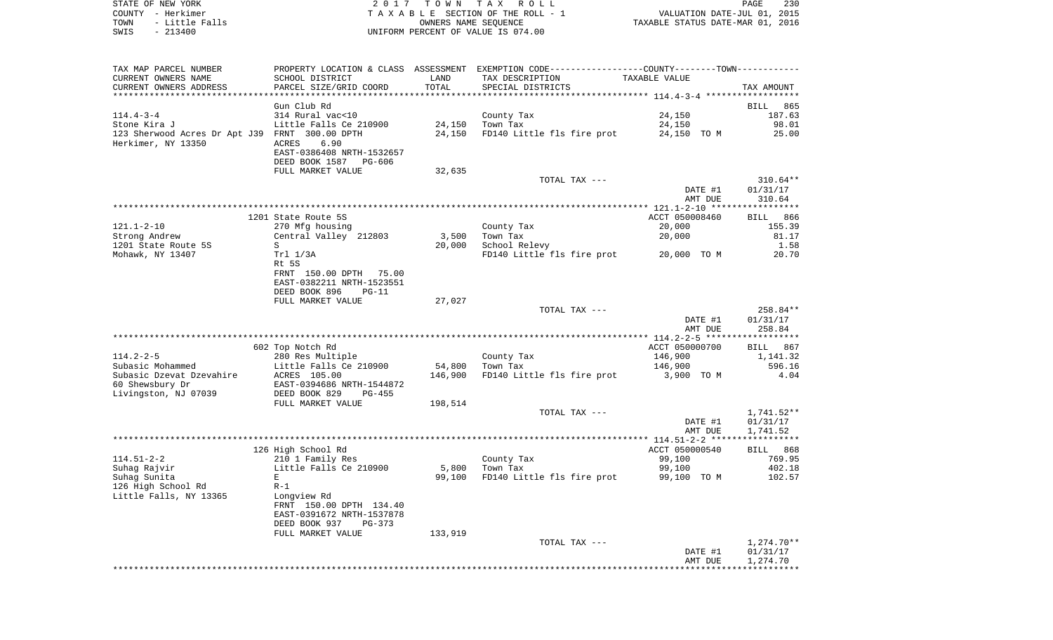| STATE OF NEW YORK |                | 2017 TOWN TAX ROLL                 | 230<br><b>PAGE</b>               |
|-------------------|----------------|------------------------------------|----------------------------------|
| COUNTY - Herkimer |                | TAXABLE SECTION OF THE ROLL - 1    | VALUATION DATE-JUL 01, 2015      |
| TOWN              | - Little Falls | OWNERS NAME SEOUENCE               | TAXABLE STATUS DATE-MAR 01, 2016 |
| SWIS              | $-213400$      | UNIFORM PERCENT OF VALUE IS 074.00 |                                  |

| TAX MAP PARCEL NUMBER<br>CURRENT OWNERS NAME                         | SCHOOL DISTRICT                                                              | LAND    | PROPERTY LOCATION & CLASS ASSESSMENT EXEMPTION CODE---------------COUNTY-------TOWN----------<br>TAX DESCRIPTION | TAXABLE VALUE            |                                    |
|----------------------------------------------------------------------|------------------------------------------------------------------------------|---------|------------------------------------------------------------------------------------------------------------------|--------------------------|------------------------------------|
| CURRENT OWNERS ADDRESS<br>******************************             | PARCEL SIZE/GRID COORD                                                       | TOTAL   | SPECIAL DISTRICTS                                                                                                |                          | TAX AMOUNT                         |
|                                                                      | Gun Club Rd                                                                  |         |                                                                                                                  |                          | <b>BILL</b><br>865                 |
| $114.4 - 3 - 4$<br>Stone Kira J                                      | 314 Rural vac<10<br>Little Falls Ce 210900                                   | 24,150  | County Tax<br>Town Tax                                                                                           | 24,150<br>24,150         | 187.63<br>98.01                    |
| 123 Sherwood Acres Dr Apt J39 FRNT 300.00 DPTH<br>Herkimer, NY 13350 | 6.90<br>ACRES<br>EAST-0386408 NRTH-1532657<br>DEED BOOK 1587<br>PG-606       | 24,150  | FD140 Little fls fire prot                                                                                       | 24,150 TO M              | 25.00                              |
|                                                                      | FULL MARKET VALUE                                                            | 32,635  | TOTAL TAX ---                                                                                                    |                          | 310.64**                           |
|                                                                      |                                                                              |         |                                                                                                                  | DATE #1<br>AMT DUE       | 01/31/17<br>310.64                 |
|                                                                      |                                                                              |         |                                                                                                                  |                          | * * * * * * * * * * * *            |
| $121.1 - 2 - 10$                                                     | 1201 State Route 5S<br>270 Mfg housing                                       |         | County Tax                                                                                                       | ACCT 050008460<br>20,000 | 866<br><b>BILL</b><br>155.39       |
| Strong Andrew                                                        | Central Valley 212803                                                        | 3,500   | Town Tax                                                                                                         | 20,000                   | 81.17                              |
| 1201 State Route 5S                                                  | S                                                                            | 20,000  | School Relevy                                                                                                    |                          | 1.58                               |
| Mohawk, NY 13407                                                     | Trl 1/3A<br>Rt 5S<br>FRNT 150.00 DPTH 75.00                                  |         | FD140 Little fls fire prot                                                                                       | 20,000 TO M              | 20.70                              |
|                                                                      | EAST-0382211 NRTH-1523551<br>DEED BOOK 896<br>$PG-11$<br>FULL MARKET VALUE   | 27,027  |                                                                                                                  |                          |                                    |
|                                                                      |                                                                              |         | TOTAL TAX ---                                                                                                    |                          | 258.84**                           |
|                                                                      |                                                                              |         |                                                                                                                  | DATE #1<br>AMT DUE       | 01/31/17<br>258.84                 |
|                                                                      |                                                                              |         |                                                                                                                  |                          |                                    |
|                                                                      | 602 Top Notch Rd                                                             |         |                                                                                                                  | ACCT 050000700           | 867<br>BILL                        |
| $114.2 - 2 - 5$<br>Subasic Mohammed                                  | 280 Res Multiple<br>Little Falls Ce 210900                                   | 54,800  | County Tax<br>Town Tax                                                                                           | 146,900<br>146,900       | 1,141.32<br>596.16                 |
| Subasic Dzevat Dzevahire<br>60 Shewsbury Dr                          | ACRES 105.00<br>EAST-0394686 NRTH-1544872                                    | 146,900 | FD140 Little fls fire prot                                                                                       | 3,900 TO M               | 4.04                               |
| Livingston, NJ 07039                                                 | DEED BOOK 829<br>$PG-455$<br>FULL MARKET VALUE                               | 198,514 |                                                                                                                  |                          |                                    |
|                                                                      |                                                                              |         | TOTAL TAX ---                                                                                                    | DATE #1<br>AMT DUE       | 1,741.52**<br>01/31/17<br>1,741.52 |
|                                                                      |                                                                              |         |                                                                                                                  |                          |                                    |
|                                                                      | 126 High School Rd                                                           |         |                                                                                                                  | ACCT 050000540           | BILL 868                           |
| $114.51 - 2 - 2$                                                     | 210 1 Family Res                                                             |         | County Tax                                                                                                       | 99,100                   | 769.95                             |
| Suhaq Rajvir                                                         | Little Falls Ce 210900                                                       | 5,800   | Town Tax                                                                                                         | 99,100                   | 402.18                             |
| Suhag Sunita                                                         | $\mathbf{E}$                                                                 | 99,100  | FD140 Little fls fire prot                                                                                       | 99,100 TO M              | 102.57                             |
| 126 High School Rd<br>Little Falls, NY 13365                         | $R-1$<br>Longview Rd<br>FRNT 150.00 DPTH 134.40<br>EAST-0391672 NRTH-1537878 |         |                                                                                                                  |                          |                                    |
|                                                                      | DEED BOOK 937<br>PG-373<br>FULL MARKET VALUE                                 |         |                                                                                                                  |                          |                                    |
|                                                                      |                                                                              | 133,919 | TOTAL TAX ---                                                                                                    |                          | $1,274.70**$                       |
|                                                                      |                                                                              |         |                                                                                                                  | DATE #1<br>AMT DUE       | 01/31/17<br>1,274.70               |
|                                                                      |                                                                              |         |                                                                                                                  |                          |                                    |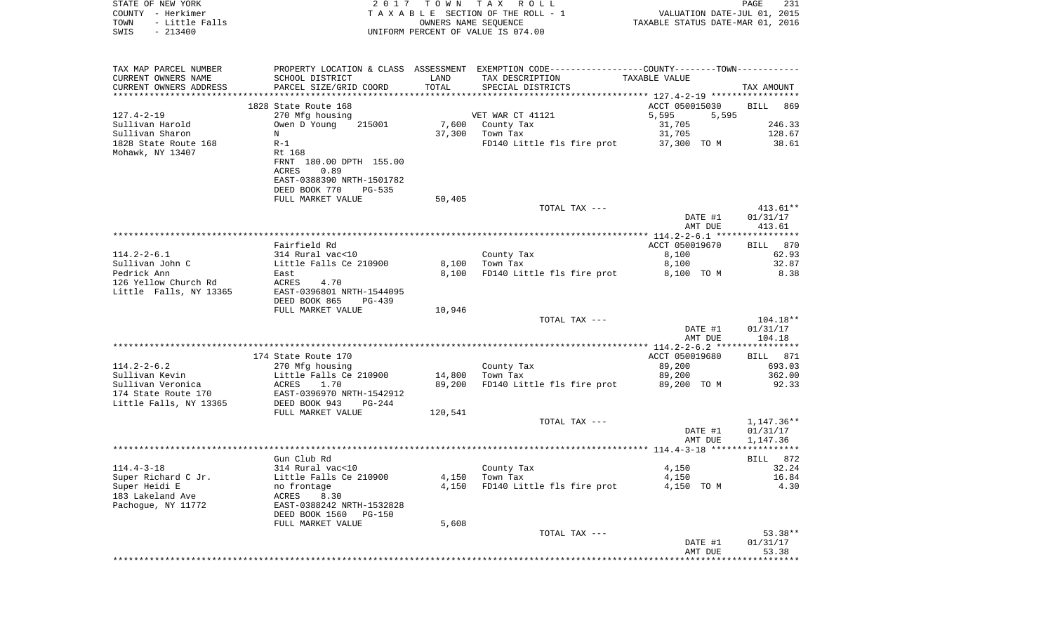| STATE OF NEW YORK                           |                           |         | 2017 TOWN TAX ROLL                                                                            |                                                                 | PAGE<br>231            |
|---------------------------------------------|---------------------------|---------|-----------------------------------------------------------------------------------------------|-----------------------------------------------------------------|------------------------|
| COUNTY - Herkimer                           |                           |         | TAXABLE SECTION OF THE ROLL - 1                                                               | VALUATION DATE-JUL 01, 2015<br>TAXABLE STATUS DATE-MAR 01, 2016 |                        |
| TOWN<br>- Little Falls<br>SWIS<br>$-213400$ |                           |         | OWNERS NAME SEOUENCE<br>UNIFORM PERCENT OF VALUE IS 074.00                                    |                                                                 |                        |
|                                             |                           |         |                                                                                               |                                                                 |                        |
|                                             |                           |         |                                                                                               |                                                                 |                        |
| TAX MAP PARCEL NUMBER                       |                           |         | PROPERTY LOCATION & CLASS ASSESSMENT EXEMPTION CODE---------------COUNTY-------TOWN---------- |                                                                 |                        |
| CURRENT OWNERS NAME                         | SCHOOL DISTRICT           | LAND    | TAX DESCRIPTION                                                                               | TAXABLE VALUE                                                   |                        |
| CURRENT OWNERS ADDRESS                      | PARCEL SIZE/GRID COORD    | TOTAL   | SPECIAL DISTRICTS                                                                             |                                                                 | TAX AMOUNT             |
|                                             | 1828 State Route 168      |         |                                                                                               | ACCT 050015030                                                  | BILL 869               |
| 127.4-2-19                                  | 270 Mfg housing           |         | VET WAR CT 41121                                                                              | 5,595<br>5,595                                                  |                        |
| Sullivan Harold                             | 215001<br>Owen D Young    |         | 7,600 County Tax                                                                              | 31,705                                                          | 246.33                 |
| Sullivan Sharon                             | N                         |         | 37,300 Town Tax                                                                               | 31,705                                                          | 128.67                 |
| 1828 State Route 168                        | $R-1$                     |         | FD140 Little fls fire prot                                                                    | 37,300 TO M                                                     | 38.61                  |
| Mohawk, NY 13407                            | Rt 168                    |         |                                                                                               |                                                                 |                        |
|                                             | FRNT 180.00 DPTH 155.00   |         |                                                                                               |                                                                 |                        |
|                                             | ACRES<br>0.89             |         |                                                                                               |                                                                 |                        |
|                                             | EAST-0388390 NRTH-1501782 |         |                                                                                               |                                                                 |                        |
|                                             | DEED BOOK 770<br>PG-535   |         |                                                                                               |                                                                 |                        |
|                                             | FULL MARKET VALUE         | 50,405  |                                                                                               |                                                                 |                        |
|                                             |                           |         | TOTAL TAX ---                                                                                 | DATE #1                                                         | $413.61**$<br>01/31/17 |
|                                             |                           |         |                                                                                               | AMT DUE                                                         | 413.61                 |
|                                             |                           |         |                                                                                               |                                                                 |                        |
|                                             | Fairfield Rd              |         |                                                                                               | ACCT 050019670                                                  | BILL 870               |
| 114.2-2-6.1                                 | 314 Rural vac<10          |         | County Tax                                                                                    | 8,100                                                           | 62.93                  |
| Sullivan John C                             | Little Falls Ce 210900    | 8,100   | Town Tax                                                                                      | 8,100                                                           | 32.87                  |
| Pedrick Ann                                 | East                      | 8,100   | FD140 Little fls fire prot                                                                    | 8,100 TO M                                                      | 8.38                   |
| 126 Yellow Church Rd                        | ACRES<br>4.70             |         |                                                                                               |                                                                 |                        |
| Little Falls, NY 13365                      | EAST-0396801 NRTH-1544095 |         |                                                                                               |                                                                 |                        |
|                                             | DEED BOOK 865<br>PG-439   |         |                                                                                               |                                                                 |                        |
|                                             | FULL MARKET VALUE         | 10,946  | TOTAL TAX ---                                                                                 |                                                                 | 104.18**               |
|                                             |                           |         |                                                                                               | DATE #1                                                         | 01/31/17               |
|                                             |                           |         |                                                                                               | AMT DUE                                                         | 104.18                 |
|                                             |                           |         |                                                                                               |                                                                 |                        |
|                                             | 174 State Route 170       |         |                                                                                               | ACCT 050019680                                                  | BILL 871               |
| 114.2-2-6.2                                 | 270 Mfg housing           |         | County Tax                                                                                    | 89,200                                                          | 693.03                 |
| Sullivan Kevin                              | Little Falls Ce 210900    | 14,800  | Town Tax                                                                                      | 89,200                                                          | 362.00                 |
| Sullivan Veronica                           | ACRES<br>1.70             | 89,200  | FD140 Little fls fire prot                                                                    | 89,200 TO M                                                     | 92.33                  |
| 174 State Route 170                         | EAST-0396970 NRTH-1542912 |         |                                                                                               |                                                                 |                        |
| Little Falls, NY 13365                      | DEED BOOK 943<br>PG-244   |         |                                                                                               |                                                                 |                        |
|                                             | FULL MARKET VALUE         | 120,541 |                                                                                               |                                                                 |                        |
|                                             |                           |         | TOTAL TAX ---                                                                                 | DATE #1                                                         | 1,147.36**<br>01/31/17 |
|                                             |                           |         |                                                                                               | AMT DUE                                                         | 1,147.36               |
|                                             |                           |         |                                                                                               |                                                                 |                        |
|                                             | Gun Club Rd               |         |                                                                                               |                                                                 | BILL 872               |
| $114.4 - 3 - 18$                            | 314 Rural vac<10          |         | County Tax                                                                                    | 4,150                                                           | 32.24                  |
| Super Richard C Jr.                         | Little Falls Ce 210900    | 4,150   | Town Tax                                                                                      | 4,150                                                           | 16.84                  |
| Super Heidi E                               | no frontage               | 4,150   | FD140 Little fls fire prot                                                                    | 4,150 TO M                                                      | 4.30                   |
| 183 Lakeland Ave                            | ACRES<br>8.30             |         |                                                                                               |                                                                 |                        |
| Pachogue, NY 11772                          | EAST-0388242 NRTH-1532828 |         |                                                                                               |                                                                 |                        |

FULL MARKET VALUE 5,608 TOTAL TAX  $-- 53.38**$  DATE #1 01/31/17 AMT DUE 53.38 \*\*\*\*\*\*\*\*\*\*\*\*\*\*\*\*\*\*\*\*\*\*\*\*\*\*\*\*\*\*\*\*\*\*\*\*\*\*\*\*\*\*\*\*\*\*\*\*\*\*\*\*\*\*\*\*\*\*\*\*\*\*\*\*\*\*\*\*\*\*\*\*\*\*\*\*\*\*\*\*\*\*\*\*\*\*\*\*\*\*\*\*\*\*\*\*\*\*\*\*\*\*\*\*\*\*\*\*\*\*\*\*\*\*\*\*\*\*\*\*\*\*\*\*\*\*\*\*\*\*\*\*

DEED BOOK 1560 PG-150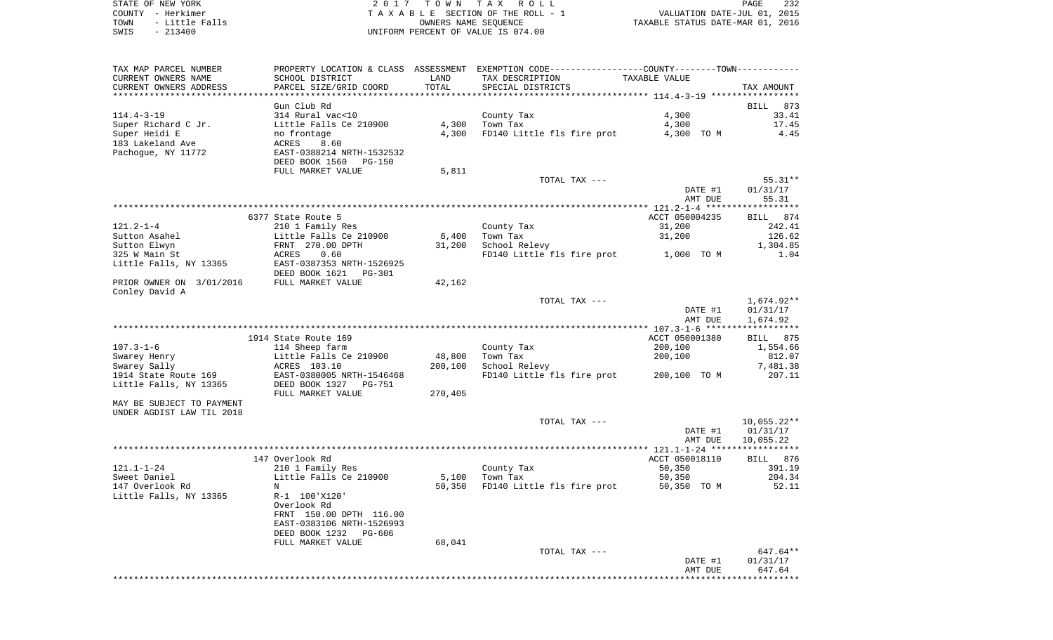STATE OF NEW YORK 2 0 1 7 T O W N T A X R O L L PAGE 232COUNTY - Herkimer **T A X A B L E** SECTION OF THE ROLL - 1 VALUATION DATE-JUL 01, 2015 TOWN - Little Falls OWNERS NAME SEQUENCE TAXABLE STATUS DATE-MAR 01, 2016 SWIS - 213400 UNIFORM PERCENT OF VALUE IS 074.00

TAX MAP PARCEL NUMBER PROPERTY LOCATION & CLASS ASSESSMENT EXEMPTION CODE------------------COUNTY--------TOWN------------ CURRENT OWNERS NAME SCHOOL DISTRICT LAND TAX DESCRIPTION TAXABLE VALUECURRENT OWNERS ADDRESS PARCEL SIZE/GRID COORD TOTAL SPECIAL DISTRICTS TAX AMOUNT \*\*\*\*\*\*\*\*\*\*\*\*\*\*\*\*\*\*\*\*\*\*\*\*\*\*\*\*\*\*\*\*\*\*\*\*\*\*\*\*\*\*\*\*\*\*\*\*\*\*\*\*\*\*\*\*\*\*\*\*\*\*\*\*\*\*\*\*\*\*\*\*\*\*\*\*\*\*\*\*\*\*\*\*\*\*\*\*\*\*\*\*\*\*\*\*\*\*\*\*\*\*\* 114.4-3-19 \*\*\*\*\*\*\*\*\*\*\*\*\*\*\*\*\* Gun Club Rd BILL 873 $33.41$ 114.4-3-19 314 Rural vac<10 County Tax 4,300 33.41 Super Richard C Jr. Little Falls Ce 210900 4,300 Town Tax 4,300 17.45 Super Heidi E compared to mo frontage the 4,300 FD140 Little fls fire prot compared 4,300 TO M compared 4.45 183 Lakeland Ave ACRES 8.60 Pachogue, NY 11772 EAST-0388214 NRTH-1532532 DEED BOOK 1560 PG-150FULL MARKET VALUE 5,811 TOTAL TAX --- 55.31\*\* DATE #1 01/31/17 AMT DUE 55.31 \*\*\*\*\*\*\*\*\*\*\*\*\*\*\*\*\*\*\*\*\*\*\*\*\*\*\*\*\*\*\*\*\*\*\*\*\*\*\*\*\*\*\*\*\*\*\*\*\*\*\*\*\*\*\*\*\*\*\*\*\*\*\*\*\*\*\*\*\*\*\*\*\*\*\*\*\*\*\*\*\*\*\*\*\*\*\*\*\*\*\*\*\*\*\*\*\*\*\*\*\*\*\* 121.2-1-4 \*\*\*\*\*\*\*\*\*\*\*\*\*\*\*\*\*\*BILL 874 6377 State Route 5 ACCT 050004235 242.41 121.2-1-4 210 1 Family Res County Tax 31,200 Sutton Asahel Little Falls Ce 210900 6,400 Town Tax 31,200 126.62 Sutton Elwyn 1,304.85 FRNT 270.00 DPTH 31,200 School Relevy 1,304.85 325 W Main St ACRES 0.60 FD140 Little fls fire prot 1,000 TO M 1.04 EAST-0387353 NRTH-1526925 DEED BOOK 1621 PG-301PRIOR OWNER ON 3/01/2016 FULL MARKET VALUE 42,162 Conley David A TOTAL TAX --- 1,674.92\*\* DATE #1 01/31/17 AMT DUE 1,674.92 \*\*\*\*\*\*\*\*\*\*\*\*\*\*\*\*\*\*\*\*\*\*\*\*\*\*\*\*\*\*\*\*\*\*\*\*\*\*\*\*\*\*\*\*\*\*\*\*\*\*\*\*\*\*\*\*\*\*\*\*\*\*\*\*\*\*\*\*\*\*\*\*\*\*\*\*\*\*\*\*\*\*\*\*\*\*\*\*\*\*\*\*\*\*\*\*\*\*\*\*\*\*\* 107.3-1-6 \*\*\*\*\*\*\*\*\*\*\*\*\*\*\*\*\*\*1914 State Route 169 **BILL 875 ACCT 050001380** 107.3-1-6 114 Sheep farm County Tax 200,100 1,554.66 Swarey Henry **Example 200** Extracts Central Little Falls Ce 210900 48,800 Town Tax 200,100 812.07 Swarey Sally **1.2.38** ACRES 103.10 200,100 School Relevy 200,000 School 7,481.38 1914 State Route 169 EAST-0380005 NRTH-1546468 FD140 Little fls fire prot 200,100 TO M 207.11 Little Falls, NY 13365 DEED BOOK 1327 PG-751 FULL MARKET VALUE 270,405 MAY BE SUBJECT TO PAYMENTUNDER AGDIST LAW TIL 2018 TOTAL TAX  $---$  10,055.22\*\* DATE #1 01/31/17 AMT DUE 10,055.22 \*\*\*\*\*\*\*\*\*\*\*\*\*\*\*\*\*\*\*\*\*\*\*\*\*\*\*\*\*\*\*\*\*\*\*\*\*\*\*\*\*\*\*\*\*\*\*\*\*\*\*\*\*\*\*\*\*\*\*\*\*\*\*\*\*\*\*\*\*\*\*\*\*\*\*\*\*\*\*\*\*\*\*\*\*\*\*\*\*\*\*\*\*\*\*\*\*\*\*\*\*\*\* 121.1-1-24 \*\*\*\*\*\*\*\*\*\*\*\*\*\*\*\*\***BTLL** 876 147 Overlook Rd and Accredit 276 overlook Rd Accredit 276 overlook Rd and Accredit 276 overlook Rd and Accredit 2766 overlook and Accredit 276 overlook Rd and Accredit 276 overlook Rd and Accredit 276 overlook Rd and Accre 121.1-1-24 210 1 Family Res County Tax 50,350 391.19 Sweet Daniel Little Falls Ce 210900 5,100 Town Tax 50,350 204.34 147 Overlook Rd N 50,350 FD140 Little fls fire prot 50,350 TO M 52.11 Little Falls, NY 13365 Overlook Rd FRNT 150.00 DPTH 116.00 EAST-0383106 NRTH-1526993 DEED BOOK 1232 PG-606FULL MARKET VALUE 68,041 TOTAL TAX  $---$  647.64\*\* DATE #1 01/31/17 AMT DUE 647.64\*\*\*\*\*\*\*\*\*\*\*\*\*\*\*\*\*\*\*\*\*\*\*\*\*\*\*\*\*\*\*\*\*\*\*\*\*\*\*\*\*\*\*\*\*\*\*\*\*\*\*\*\*\*\*\*\*\*\*\*\*\*\*\*\*\*\*\*\*\*\*\*\*\*\*\*\*\*\*\*\*\*\*\*\*\*\*\*\*\*\*\*\*\*\*\*\*\*\*\*\*\*\*\*\*\*\*\*\*\*\*\*\*\*\*\*\*\*\*\*\*\*\*\*\*\*\*\*\*\*\*\*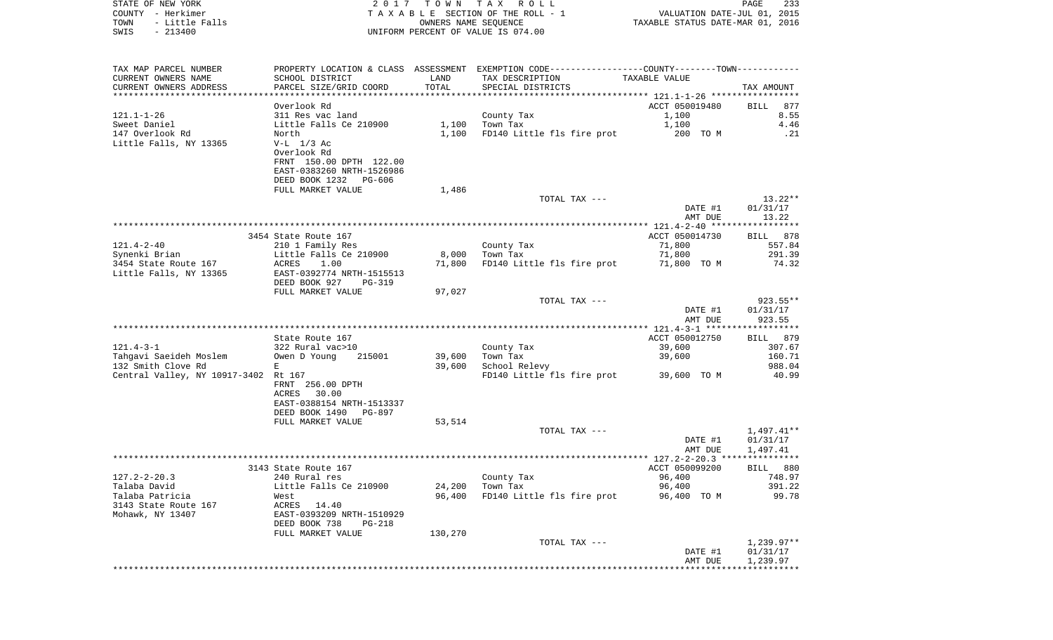STATE OF NEW YORK **2017 TOWN TAX ROLL** PAGE 233 COUNTY - Herkimer **TA X A B L E** SECTION OF THE ROLL - 1 VALUATION DATE-JUL 01, 2015 TOWN - Little Falls OWNERS NAME SEQUENCE TAXABLE STATUS DATE-MAR 01, 2016 UNIFORM PERCENT OF VALUE IS 074.00 TAX MAP PARCEL NUMBER PROPERTY LOCATION & CLASS ASSESSMENT EXEMPTION CODE------------------COUNTY--------TOWN------------ CURRENT OWNERS NAME SCHOOL DISTRICT SCHOOL DISTRICT LAND TAX DESCRIPTION TAXABLE VALUE CURRENT OWNERS ADDRESS PARCEL SIZE/GRID COORD TOTAL SPECIAL DISTRICTS TAX AMOUNT

|                                      |                                |         |                            | *********** 121.1-1-26 ******************      |              |
|--------------------------------------|--------------------------------|---------|----------------------------|------------------------------------------------|--------------|
|                                      | Overlook Rd                    |         |                            | ACCT 050019480                                 | 877<br>BILL  |
| $121.1 - 1 - 26$                     | 311 Res vac land               |         | County Tax                 | 1,100                                          | 8.55         |
|                                      |                                |         |                            |                                                |              |
| Sweet Daniel                         | Little Falls Ce 210900         | 1,100   | Town Tax                   | 1,100                                          | 4.46         |
| 147 Overlook Rd                      | North                          | 1,100   | FD140 Little fls fire prot | 200 TO M                                       | .21          |
| Little Falls, NY 13365               | $V-L$ $1/3$ Ac                 |         |                            |                                                |              |
|                                      | Overlook Rd                    |         |                            |                                                |              |
|                                      | FRNT 150.00 DPTH 122.00        |         |                            |                                                |              |
|                                      | EAST-0383260 NRTH-1526986      |         |                            |                                                |              |
|                                      |                                |         |                            |                                                |              |
|                                      | DEED BOOK 1232<br>PG-606       |         |                            |                                                |              |
|                                      | FULL MARKET VALUE              | 1,486   |                            |                                                |              |
|                                      |                                |         | TOTAL TAX ---              |                                                | $13.22**$    |
|                                      |                                |         |                            | DATE #1                                        | 01/31/17     |
|                                      |                                |         |                            | AMT DUE                                        | 13.22        |
|                                      |                                |         |                            |                                                |              |
|                                      |                                |         |                            |                                                |              |
|                                      | 3454 State Route 167           |         |                            | ACCT 050014730                                 | BILL 878     |
| $121.4 - 2 - 40$                     | 210 1 Family Res               |         | County Tax                 | 71,800                                         | 557.84       |
| Synenki Brian                        | Little Falls Ce 210900         | 8,000   | Town Tax                   | 71,800                                         | 291.39       |
| 3454 State Route 167                 | ACRES<br>1.00                  | 71,800  | FD140 Little fls fire prot | 71,800 TO M                                    | 74.32        |
|                                      |                                |         |                            |                                                |              |
| Little Falls, NY 13365               | EAST-0392774 NRTH-1515513      |         |                            |                                                |              |
|                                      | DEED BOOK 927<br><b>PG-319</b> |         |                            |                                                |              |
|                                      | FULL MARKET VALUE              | 97,027  |                            |                                                |              |
|                                      |                                |         | TOTAL TAX ---              |                                                | 923.55**     |
|                                      |                                |         |                            | DATE #1                                        | 01/31/17     |
|                                      |                                |         |                            | AMT DUE                                        | 923.55       |
|                                      |                                |         |                            |                                                |              |
|                                      |                                |         |                            |                                                |              |
|                                      | State Route 167                |         |                            | ACCT 050012750                                 | BILL 879     |
| $121.4 - 3 - 1$                      | 322 Rural vac>10               |         | County Tax                 | 39,600                                         | 307.67       |
| Tahqavi Saeideh Moslem               | 215001<br>Owen D Young         | 39,600  | Town Tax                   | 39,600                                         | 160.71       |
| 132 Smith Clove Rd                   | E                              | 39,600  | School Relevy              |                                                | 988.04       |
| Central Valley, NY 10917-3402 Rt 167 |                                |         | FD140 Little fls fire prot | 39,600 TO M                                    | 40.99        |
|                                      |                                |         |                            |                                                |              |
|                                      | FRNT 256.00 DPTH               |         |                            |                                                |              |
|                                      | 30.00<br>ACRES                 |         |                            |                                                |              |
|                                      | EAST-0388154 NRTH-1513337      |         |                            |                                                |              |
|                                      | DEED BOOK 1490<br>PG-897       |         |                            |                                                |              |
|                                      | FULL MARKET VALUE              | 53,514  |                            |                                                |              |
|                                      |                                |         | TOTAL TAX ---              |                                                | $1,497.41**$ |
|                                      |                                |         |                            |                                                |              |
|                                      |                                |         |                            | DATE #1                                        | 01/31/17     |
|                                      |                                |         |                            | AMT DUE                                        | 1,497.41     |
|                                      |                                |         |                            | ***************** 127.2-2-20.3 *************** |              |
|                                      | 3143 State Route 167           |         |                            | ACCT 050099200                                 | BILL 880     |
| $127.2 - 2 - 20.3$                   | 240 Rural res                  |         | County Tax                 | 96,400                                         | 748.97       |
| Talaba David                         | Little Falls Ce 210900         | 24,200  | Town Tax                   | 96,400                                         | 391.22       |
|                                      |                                |         |                            |                                                |              |
| Talaba Patricia                      | West                           | 96,400  | FD140 Little fls fire prot | 96,400 TO M                                    | 99.78        |
| 3143 State Route 167                 | ACRES<br>14.40                 |         |                            |                                                |              |
| Mohawk, NY 13407                     | EAST-0393209 NRTH-1510929      |         |                            |                                                |              |
|                                      | DEED BOOK 738<br>$PG-218$      |         |                            |                                                |              |
|                                      | FULL MARKET VALUE              | 130,270 |                            |                                                |              |
|                                      |                                |         | TOTAL TAX ---              |                                                | $1,239.97**$ |
|                                      |                                |         |                            |                                                |              |
|                                      |                                |         |                            | DATE #1                                        | 01/31/17     |
|                                      |                                |         |                            | AMT DUE                                        | 1,239.97     |
|                                      |                                |         |                            |                                                |              |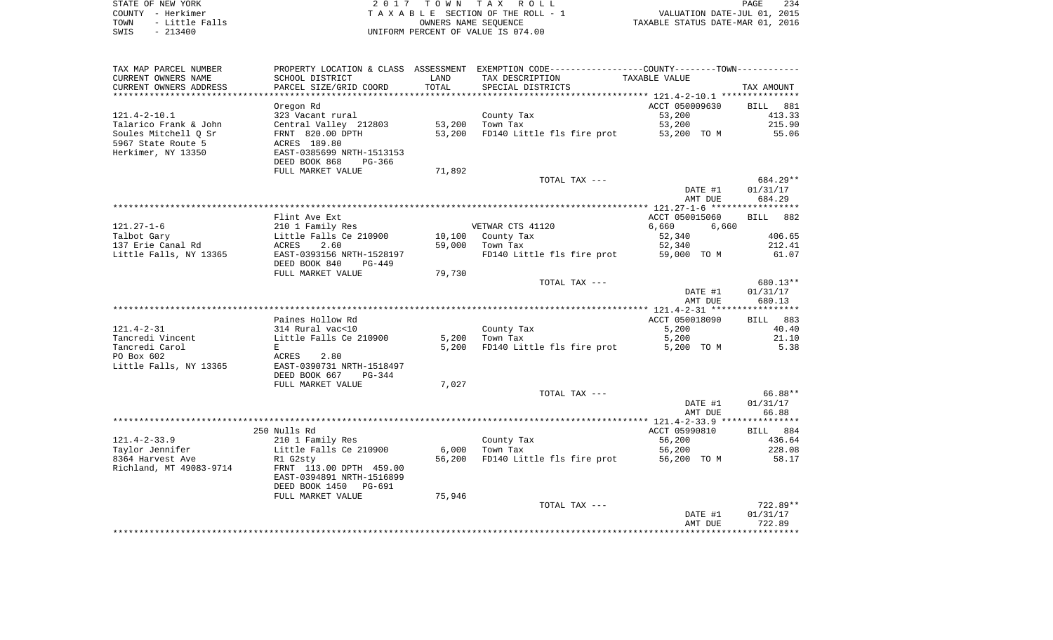| STATE OF NEW YORK |  |           |                |  |
|-------------------|--|-----------|----------------|--|
| COUNTY - Herkimer |  |           |                |  |
| TOWN              |  |           | - Little Falls |  |
| SWIS              |  | $-213400$ |                |  |

STATE OF NEW YORK 2 0 1 7 T O W N T A X R O L L PAGE 234 COUNTY - Herkimer T A X A B L E SECTION OF THE ROLL - 1 VALUATION DATE-JUL 01, 2015 TOWN - Little Falls OWNERS NAME SEQUENCE TAXABLE STATUS DATE-MAR 01, 2016 UNIFORM PERCENT OF VALUE IS 074.00

| TAX MAP PARCEL NUMBER<br>CURRENT OWNERS NAME        | PROPERTY LOCATION & CLASS ASSESSMENT<br>SCHOOL DISTRICT                                   | LAND<br>TOTAL | EXEMPTION CODE-----------------COUNTY-------TOWN-----------<br>TAX DESCRIPTION<br>SPECIAL DISTRICTS | TAXABLE VALUE            |                              |
|-----------------------------------------------------|-------------------------------------------------------------------------------------------|---------------|-----------------------------------------------------------------------------------------------------|--------------------------|------------------------------|
| CURRENT OWNERS ADDRESS<br>************************* | PARCEL SIZE/GRID COORD                                                                    |               |                                                                                                     |                          | TAX AMOUNT                   |
| $121.4 - 2 - 10.1$                                  | Oregon Rd<br>323 Vacant rural                                                             |               | County Tax                                                                                          | ACCT 050009630<br>53,200 | 881<br><b>BILL</b><br>413.33 |
| Talarico Frank & John                               | Central Valley 212803                                                                     | 53,200        | Town Tax                                                                                            | 53,200                   | 215.90                       |
| Soules Mitchell Q Sr                                | FRNT 820.00 DPTH                                                                          | 53,200        | FD140 Little fls fire prot                                                                          | 53,200 TO M              | 55.06                        |
| 5967 State Route 5<br>Herkimer, NY 13350            | ACRES 189.80<br>EAST-0385699 NRTH-1513153<br>DEED BOOK 868<br>PG-366<br>FULL MARKET VALUE | 71,892        |                                                                                                     |                          |                              |
|                                                     |                                                                                           |               | TOTAL TAX ---                                                                                       |                          | 684.29**                     |
|                                                     |                                                                                           |               |                                                                                                     | DATE #1<br>AMT DUE       | 01/31/17<br>684.29           |
|                                                     |                                                                                           |               |                                                                                                     |                          |                              |
|                                                     | Flint Ave Ext                                                                             |               |                                                                                                     | ACCT 050015060           | 882<br><b>BILL</b>           |
| $121.27 - 1 - 6$<br>Talbot Gary                     | 210 1 Family Res<br>Little Falls Ce 210900                                                | 10,100        | VETWAR CTS 41120                                                                                    | 6,660<br>6,660<br>52,340 | 406.65                       |
| 137 Erie Canal Rd                                   | ACRES<br>2.60                                                                             | 59,000        | County Tax<br>Town Tax                                                                              | 52,340                   | 212.41                       |
| Little Falls, NY 13365                              | EAST-0393156 NRTH-1528197                                                                 |               | FD140 Little fls fire prot                                                                          | 59,000 TO M              | 61.07                        |
|                                                     | DEED BOOK 840<br>$PG-449$<br>FULL MARKET VALUE                                            | 79,730        |                                                                                                     |                          |                              |
|                                                     |                                                                                           |               | TOTAL TAX ---                                                                                       |                          | 680.13**                     |
|                                                     |                                                                                           |               |                                                                                                     | DATE #1<br>AMT DUE       | 01/31/17<br>680.13           |
|                                                     |                                                                                           |               |                                                                                                     |                          |                              |
|                                                     | Paines Hollow Rd                                                                          |               |                                                                                                     | ACCT 050018090           | 883<br>BILL                  |
| $121.4 - 2 - 31$                                    | 314 Rural vac<10                                                                          |               | County Tax                                                                                          | 5,200                    | 40.40                        |
| Tancredi Vincent                                    | Little Falls Ce 210900                                                                    | 5,200         | Town Tax                                                                                            | 5,200                    | 21.10                        |
| Tancredi Carol<br>PO Box 602                        | E<br>ACRES<br>2.80                                                                        | 5,200         | FD140 Little fls fire prot                                                                          | 5,200 TO M               | 5.38                         |
| Little Falls, NY 13365                              | EAST-0390731 NRTH-1518497<br>DEED BOOK 667<br>$PG-344$                                    |               |                                                                                                     |                          |                              |
|                                                     | FULL MARKET VALUE                                                                         | 7,027         |                                                                                                     |                          |                              |
|                                                     |                                                                                           |               | TOTAL TAX ---                                                                                       |                          | 66.88**                      |
|                                                     |                                                                                           |               |                                                                                                     | DATE #1                  | 01/31/17                     |
|                                                     |                                                                                           |               |                                                                                                     | AMT DUE                  | 66.88                        |
|                                                     |                                                                                           |               |                                                                                                     |                          |                              |
| $121.4 - 2 - 33.9$                                  | 250 Nulls Rd<br>210 1 Family Res                                                          |               | County Tax                                                                                          | ACCT 05990810<br>56,200  | BILL 884<br>436.64           |
| Taylor Jennifer                                     | Little Falls Ce 210900                                                                    | 6,000         | Town Tax                                                                                            | 56,200                   | 228.08                       |
| 8364 Harvest Ave                                    | R1 G2sty                                                                                  | 56,200        | FD140 Little fls fire prot                                                                          | 56,200 TO M              | 58.17                        |
| Richland, MT 49083-9714                             | FRNT 113.00 DPTH 459.00<br>EAST-0394891 NRTH-1516899                                      |               |                                                                                                     |                          |                              |
|                                                     | DEED BOOK 1450<br><b>PG-691</b>                                                           |               |                                                                                                     |                          |                              |
|                                                     | FULL MARKET VALUE                                                                         | 75,946        |                                                                                                     |                          |                              |
|                                                     |                                                                                           |               | TOTAL TAX ---                                                                                       |                          | $722.89**$                   |
|                                                     |                                                                                           |               |                                                                                                     | DATE #1<br>AMT DUE       | 01/31/17<br>722.89           |
|                                                     |                                                                                           |               |                                                                                                     |                          |                              |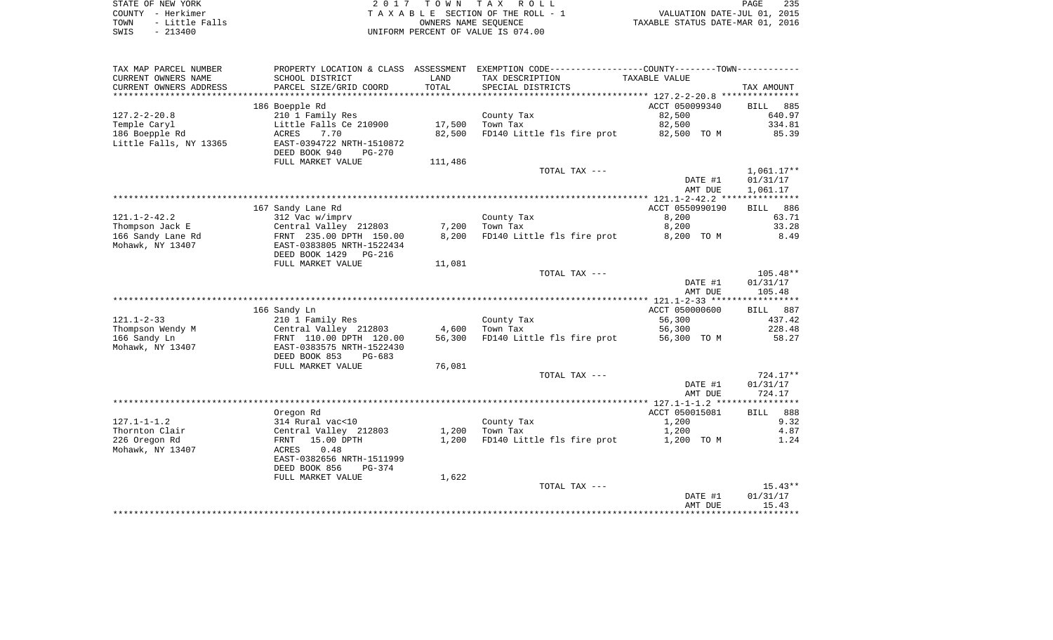| STATE OF NEW YORK      | 2017 TOWN TAX ROLL                 | 235<br>PAGE                      |
|------------------------|------------------------------------|----------------------------------|
| COUNTY - Herkimer      | TAXABLE SECTION OF THE ROLL - 1    | VALUATION DATE-JUL 01, 2015      |
| - Little Falls<br>TOWN | OWNERS NAME SEOUENCE               | TAXABLE STATUS DATE-MAR 01, 2016 |
| $-213400$<br>SWIS      | UNIFORM PERCENT OF VALUE IS 074.00 |                                  |

| TAX MAP PARCEL NUMBER      |                                      |         | PROPERTY LOCATION & CLASS ASSESSMENT EXEMPTION CODE---------------COUNTY-------TOWN---------- |                          |                    |
|----------------------------|--------------------------------------|---------|-----------------------------------------------------------------------------------------------|--------------------------|--------------------|
| CURRENT OWNERS NAME        | SCHOOL DISTRICT                      | LAND    | TAX DESCRIPTION                                                                               | TAXABLE VALUE            |                    |
| CURRENT OWNERS ADDRESS     | PARCEL SIZE/GRID COORD               | TOTAL   | SPECIAL DISTRICTS                                                                             |                          | TAX AMOUNT         |
| ************************** |                                      |         |                                                                                               |                          |                    |
|                            | 186 Boepple Rd                       |         |                                                                                               | ACCT 050099340           | 885<br><b>BILL</b> |
| $127.2 - 2 - 20.8$         | 210 1 Family Res                     |         | County Tax                                                                                    | 82,500                   | 640.97             |
| Temple Caryl               | Little Falls Ce 210900               | 17,500  | Town Tax                                                                                      | 82,500                   | 334.81             |
| 186 Boepple Rd             | 7.70<br>ACRES                        | 82,500  | FD140 Little fls fire prot                                                                    | 82,500 TO M              | 85.39              |
| Little Falls, NY 13365     | EAST-0394722 NRTH-1510872            |         |                                                                                               |                          |                    |
|                            | DEED BOOK 940<br>$PG-270$            |         |                                                                                               |                          |                    |
|                            | FULL MARKET VALUE                    | 111,486 |                                                                                               |                          |                    |
|                            |                                      |         | TOTAL TAX ---                                                                                 |                          | $1,061.17**$       |
|                            |                                      |         |                                                                                               | DATE #1                  | 01/31/17           |
|                            |                                      |         |                                                                                               | AMT DUE                  | 1,061.17           |
|                            |                                      |         |                                                                                               |                          |                    |
| $121.1 - 2 - 42.2$         | 167 Sandy Lane Rd<br>312 Vac w/imprv |         | County Tax                                                                                    | ACCT 0550990190<br>8,200 | BILL 886<br>63.71  |
| Thompson Jack E            | Central Valley 212803                | 7,200   | Town Tax                                                                                      | 8,200                    | 33.28              |
| 166 Sandy Lane Rd          | FRNT 235.00 DPTH 150.00              | 8,200   | FD140 Little fls fire prot                                                                    | 8,200 TO M               | 8.49               |
| Mohawk, NY 13407           | EAST-0383805 NRTH-1522434            |         |                                                                                               |                          |                    |
|                            | DEED BOOK 1429<br>PG-216             |         |                                                                                               |                          |                    |
|                            | FULL MARKET VALUE                    | 11,081  |                                                                                               |                          |                    |
|                            |                                      |         | TOTAL TAX ---                                                                                 |                          | $105.48**$         |
|                            |                                      |         |                                                                                               | DATE #1                  | 01/31/17           |
|                            |                                      |         |                                                                                               | AMT DUE                  | 105.48             |
|                            |                                      |         |                                                                                               |                          |                    |
|                            | 166 Sandy Ln                         |         |                                                                                               | ACCT 050000600           | 887<br><b>BILL</b> |
| $121.1 - 2 - 33$           | 210 1 Family Res                     |         | County Tax                                                                                    | 56,300                   | 437.42             |
| Thompson Wendy M           | Central Valley 212803                | 4,600   | Town Tax                                                                                      | 56,300                   | 228.48             |
| 166 Sandy Ln               | FRNT 110.00 DPTH 120.00              | 56,300  | FD140 Little fls fire prot                                                                    | 56,300 TO M              | 58.27              |
| Mohawk, NY 13407           | EAST-0383575 NRTH-1522430            |         |                                                                                               |                          |                    |
|                            | DEED BOOK 853<br>$PG-683$            |         |                                                                                               |                          |                    |
|                            | FULL MARKET VALUE                    | 76,081  |                                                                                               |                          |                    |
|                            |                                      |         | TOTAL TAX ---                                                                                 |                          | $724.17**$         |
|                            |                                      |         |                                                                                               | DATE #1                  | 01/31/17           |
|                            |                                      |         |                                                                                               | AMT DUE                  | 724.17             |
|                            |                                      |         |                                                                                               |                          |                    |
| $127.1 - 1 - 1.2$          | Oregon Rd<br>314 Rural vac<10        |         |                                                                                               | ACCT 050015081<br>1,200  | BILL 888<br>9.32   |
| Thornton Clair             | Central Valley 212803                | 1,200   | County Tax<br>Town Tax                                                                        | 1,200                    | 4.87               |
| 226 Oregon Rd              | 15.00 DPTH<br>FRNT                   | 1,200   | FD140 Little fls fire prot                                                                    | 1,200 TO M               | 1.24               |
| Mohawk, NY 13407           | ACRES<br>0.48                        |         |                                                                                               |                          |                    |
|                            | EAST-0382656 NRTH-1511999            |         |                                                                                               |                          |                    |
|                            | DEED BOOK 856<br>$PG-374$            |         |                                                                                               |                          |                    |
|                            | FULL MARKET VALUE                    | 1,622   |                                                                                               |                          |                    |
|                            |                                      |         | TOTAL TAX ---                                                                                 |                          | $15.43**$          |
|                            |                                      |         |                                                                                               | DATE #1                  | 01/31/17           |
|                            |                                      |         |                                                                                               | AMT DUE                  | 15.43              |
|                            |                                      |         |                                                                                               |                          |                    |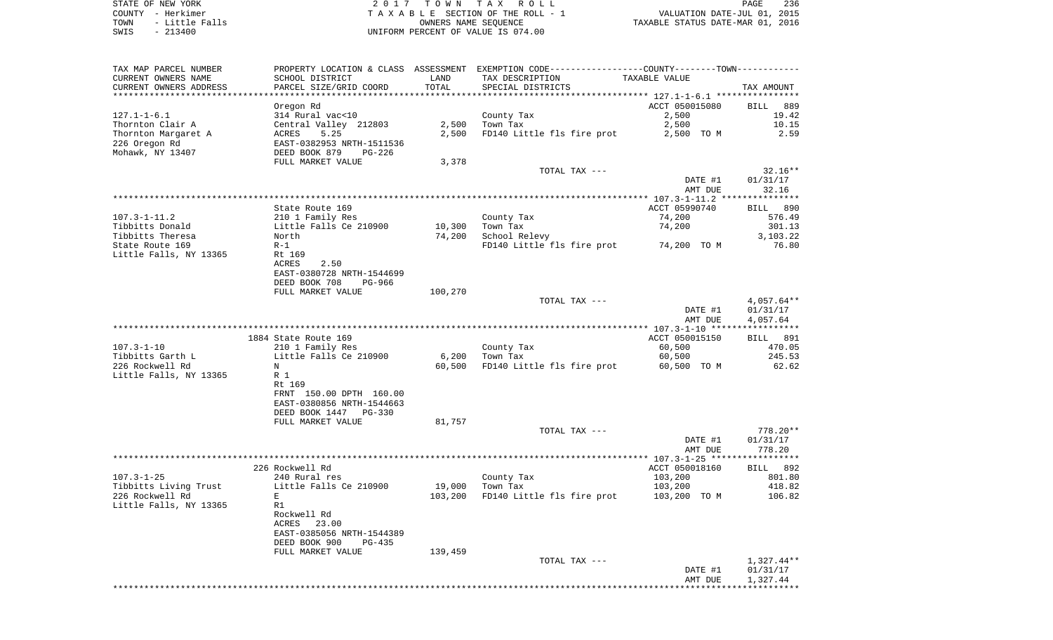| TAX MAP PARCEL NUMBER  | PROPERTY LOCATION & CLASS       |         | - ASSESSMENT EXEMPTION CODE------------------COUNTY-------TOWN----------- |                |              |
|------------------------|---------------------------------|---------|---------------------------------------------------------------------------|----------------|--------------|
| CURRENT OWNERS NAME    | SCHOOL DISTRICT                 | LAND    | TAX DESCRIPTION                                                           | TAXABLE VALUE  |              |
| CURRENT OWNERS ADDRESS | PARCEL SIZE/GRID COORD          | TOTAL   | SPECIAL DISTRICTS                                                         |                | TAX AMOUNT   |
|                        |                                 |         |                                                                           |                |              |
|                        | Oregon Rd                       |         |                                                                           | ACCT 050015080 | BILL<br>889  |
| $127.1 - 1 - 6.1$      | 314 Rural vac<10                |         | County Tax                                                                | 2,500          | 19.42        |
| Thornton Clair A       | Central Valley 212803           | 2,500   | Town Tax                                                                  | 2,500          | 10.15        |
| Thornton Margaret A    | 5.25<br>ACRES                   | 2,500   | FD140 Little fls fire prot                                                | 2,500 TO M     | 2.59         |
|                        |                                 |         |                                                                           |                |              |
| 226 Oregon Rd          | EAST-0382953 NRTH-1511536       |         |                                                                           |                |              |
| Mohawk, NY 13407       | DEED BOOK 879<br>PG-226         |         |                                                                           |                |              |
|                        | FULL MARKET VALUE               | 3,378   |                                                                           |                |              |
|                        |                                 |         | TOTAL TAX ---                                                             |                | $32.16**$    |
|                        |                                 |         |                                                                           | DATE #1        | 01/31/17     |
|                        |                                 |         |                                                                           | AMT DUE        | 32.16        |
|                        |                                 |         |                                                                           |                |              |
|                        | State Route 169                 |         |                                                                           | ACCT 05990740  | BILL 890     |
| $107.3 - 1 - 11.2$     | 210 1 Family Res                |         | County Tax                                                                | 74,200         | 576.49       |
| Tibbitts Donald        | Little Falls Ce 210900          | 10,300  | Town Tax                                                                  | 74,200         | 301.13       |
| Tibbitts Theresa       | North                           | 74,200  | School Relevy                                                             |                | 3,103.22     |
| State Route 169        | $R-1$                           |         | FD140 Little fls fire prot                                                | 74,200 TO M    | 76.80        |
| Little Falls, NY 13365 | Rt 169                          |         |                                                                           |                |              |
|                        | ACRES<br>2.50                   |         |                                                                           |                |              |
|                        | EAST-0380728 NRTH-1544699       |         |                                                                           |                |              |
|                        | DEED BOOK 708<br>PG-966         |         |                                                                           |                |              |
|                        |                                 |         |                                                                           |                |              |
|                        | FULL MARKET VALUE               | 100,270 |                                                                           |                |              |
|                        |                                 |         | TOTAL TAX ---                                                             |                | $4,057.64**$ |
|                        |                                 |         |                                                                           | DATE #1        | 01/31/17     |
|                        |                                 |         |                                                                           | AMT DUE        | 4,057.64     |
|                        |                                 |         |                                                                           |                |              |
|                        | 1884 State Route 169            |         |                                                                           | ACCT 050015150 | BILL 891     |
| $107.3 - 1 - 10$       | 210 1 Family Res                |         | County Tax                                                                | 60,500         | 470.05       |
| Tibbitts Garth L       | Little Falls Ce 210900          | 6,200   | Town Tax                                                                  | 60,500         | 245.53       |
| 226 Rockwell Rd        | N                               | 60,500  | FD140 Little fls fire prot                                                | 60,500 TO M    | 62.62        |
| Little Falls, NY 13365 | R 1                             |         |                                                                           |                |              |
|                        | Rt 169                          |         |                                                                           |                |              |
|                        | FRNT 150.00 DPTH 160.00         |         |                                                                           |                |              |
|                        | EAST-0380856 NRTH-1544663       |         |                                                                           |                |              |
|                        | DEED BOOK 1447<br><b>PG-330</b> |         |                                                                           |                |              |
|                        | FULL MARKET VALUE               | 81,757  |                                                                           |                |              |
|                        |                                 |         | TOTAL TAX ---                                                             |                | $778.20**$   |
|                        |                                 |         |                                                                           | DATE #1        | 01/31/17     |
|                        |                                 |         |                                                                           | AMT DUE        | 778.20       |
|                        |                                 |         |                                                                           |                |              |
|                        | 226 Rockwell Rd                 |         |                                                                           | ACCT 050018160 | BILL 892     |
| $107.3 - 1 - 25$       | 240 Rural res                   |         | County Tax                                                                | 103,200        | 801.80       |
|                        |                                 |         |                                                                           |                |              |
| Tibbitts Living Trust  | Little Falls Ce 210900          | 19,000  | Town Tax                                                                  | 103,200        | 418.82       |
| 226 Rockwell Rd        | E                               | 103,200 | FD140 Little fls fire prot                                                | 103,200 TO M   | 106.82       |
| Little Falls, NY 13365 | R1                              |         |                                                                           |                |              |
|                        | Rockwell Rd                     |         |                                                                           |                |              |
|                        | ACRES<br>23.00                  |         |                                                                           |                |              |
|                        | EAST-0385056 NRTH-1544389       |         |                                                                           |                |              |
|                        | DEED BOOK 900<br>$PG-435$       |         |                                                                           |                |              |
|                        | FULL MARKET VALUE               | 139,459 |                                                                           |                |              |
|                        |                                 |         | TOTAL TAX ---                                                             |                | $1,327.44**$ |
|                        |                                 |         |                                                                           | DATE #1        | 01/31/17     |
|                        |                                 |         |                                                                           | AMT DUE        | 1,327.44     |
|                        |                                 |         |                                                                           |                |              |
|                        |                                 |         |                                                                           |                |              |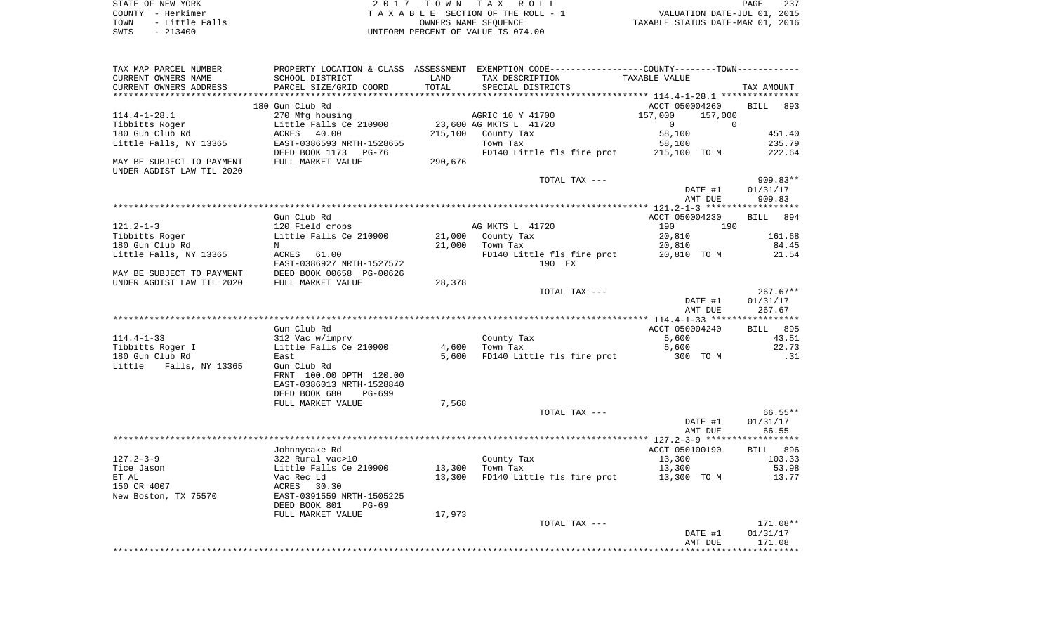| STATE OF NEW YORK      | 2017 TOWN TAX ROLL                 | 237<br>PAGE                      |
|------------------------|------------------------------------|----------------------------------|
| COUNTY - Herkimer      | TAXABLE SECTION OF THE ROLL - 1    | VALUATION DATE-JUL 01, 2015      |
| - Little Falls<br>TOWN | OWNERS NAME SEOUENCE               | TAXABLE STATUS DATE-MAR 01, 2016 |
| $-213400$<br>SWIS      | UNIFORM PERCENT OF VALUE IS 074.00 |                                  |

| TAX MAP PARCEL NUMBER     |                                            |         | PROPERTY LOCATION & CLASS ASSESSMENT EXEMPTION CODE---------------COUNTY-------TOWN---------- |                            |            |
|---------------------------|--------------------------------------------|---------|-----------------------------------------------------------------------------------------------|----------------------------|------------|
| CURRENT OWNERS NAME       | SCHOOL DISTRICT                            | LAND    | TAX DESCRIPTION                                                                               | TAXABLE VALUE              |            |
| CURRENT OWNERS ADDRESS    | PARCEL SIZE/GRID COORD                     | TOTAL   | SPECIAL DISTRICTS                                                                             |                            | TAX AMOUNT |
|                           |                                            |         |                                                                                               |                            |            |
|                           | 180 Gun Club Rd                            |         |                                                                                               | ACCT 050004260             | BILL 893   |
| $114.4 - 1 - 28.1$        | 270 Mfg housing                            |         | AGRIC 10 Y 41700                                                                              | 157,000<br>157,000         |            |
| Tibbitts Roger            | Little Falls Ce 210900                     |         | 23,600 AG MKTS L 41720                                                                        | $\overline{0}$<br>$\Omega$ |            |
| 180 Gun Club Rd           | ACRES 40.00                                | 215,100 | County Tax                                                                                    | 58,100                     | 451.40     |
| Little Falls, NY 13365    | EAST-0386593 NRTH-1528655                  |         | Town Tax                                                                                      | 58,100                     | 235.79     |
|                           | DEED BOOK 1173 PG-76                       |         | FD140 Little fls fire prot 215,100 TO M                                                       |                            | 222.64     |
| MAY BE SUBJECT TO PAYMENT | FULL MARKET VALUE                          | 290,676 |                                                                                               |                            |            |
| UNDER AGDIST LAW TIL 2020 |                                            |         |                                                                                               |                            |            |
|                           |                                            |         | TOTAL TAX ---                                                                                 |                            | 909.83**   |
|                           |                                            |         |                                                                                               | DATE #1                    | 01/31/17   |
|                           |                                            |         |                                                                                               | AMT DUE                    | 909.83     |
|                           |                                            |         |                                                                                               |                            |            |
|                           | Gun Club Rd                                |         |                                                                                               | ACCT 050004230             | BILL 894   |
| $121.2 - 1 - 3$           | 120 Field crops                            |         | AG MKTS L 41720                                                                               | 190<br>190                 |            |
| Tibbitts Roger            | Little Falls Ce 210900                     |         | 21,000 County Tax                                                                             | 20,810                     | 161.68     |
| 180 Gun Club Rd           | N                                          |         | 21,000 Town Tax                                                                               | 20,810                     | 84.45      |
| Little Falls, NY 13365    | ACRES 61.00                                |         | FD140 Little fls fire prot 20,810 TO M                                                        |                            | 21.54      |
|                           | EAST-0386927 NRTH-1527572                  |         | 190 EX                                                                                        |                            |            |
| MAY BE SUBJECT TO PAYMENT | DEED BOOK 00658 PG-00626                   |         |                                                                                               |                            |            |
| UNDER AGDIST LAW TIL 2020 | FULL MARKET VALUE                          | 28,378  |                                                                                               |                            |            |
|                           |                                            |         | TOTAL TAX ---                                                                                 |                            | $267.67**$ |
|                           |                                            |         |                                                                                               | DATE #1                    | 01/31/17   |
|                           |                                            |         |                                                                                               | AMT DUE                    | 267.67     |
|                           |                                            |         |                                                                                               |                            |            |
|                           | Gun Club Rd                                |         |                                                                                               | ACCT 050004240             | BILL 895   |
| $114.4 - 1 - 33$          |                                            |         | County Tax                                                                                    | 5,600                      | 43.51      |
| Tibbitts Roger I          | 312 Vac w/imprv<br>Little Falls Ce 210900  | 4,600   | Town Tax                                                                                      | 5,600                      | 22.73      |
| 180 Gun Club Rd           | East                                       | 5,600   | FD140 Little fls fire prot 300 TO M                                                           |                            | .31        |
| Little<br>Falls, NY 13365 | Gun Club Rd                                |         |                                                                                               |                            |            |
|                           | FRNT 100.00 DPTH 120.00                    |         |                                                                                               |                            |            |
|                           | EAST-0386013 NRTH-1528840                  |         |                                                                                               |                            |            |
|                           | DEED BOOK 680<br>PG-699                    |         |                                                                                               |                            |            |
|                           | FULL MARKET VALUE                          | 7,568   |                                                                                               |                            |            |
|                           |                                            |         | TOTAL TAX ---                                                                                 |                            | $66.55**$  |
|                           |                                            |         |                                                                                               | DATE #1                    | 01/31/17   |
|                           |                                            |         |                                                                                               | AMT DUE                    | 66.55      |
|                           |                                            |         |                                                                                               |                            |            |
|                           | Johnnycake Rd                              |         |                                                                                               | ACCT 050100190             | BILL 896   |
| $127.2 - 3 - 9$           | 322 Rural vac>10<br>Little Falls Ce 210900 |         | County Tax                                                                                    | 13,300                     | 103.33     |
| Tice Jason                |                                            | 13,300  | Town Tax                                                                                      | 13,300                     | 53.98      |
| ET AL                     | Vac Rec Ld                                 | 13,300  | FD140 Little fls fire prot 13,300 TO M                                                        |                            | 13.77      |
| 150 CR 4007               | ACRES 30.30                                |         |                                                                                               |                            |            |
| New Boston, TX 75570      | EAST-0391559 NRTH-1505225                  |         |                                                                                               |                            |            |
|                           | DEED BOOK 801<br>PG-69                     |         |                                                                                               |                            |            |
|                           | FULL MARKET VALUE                          | 17,973  |                                                                                               |                            |            |
|                           |                                            |         | TOTAL TAX ---                                                                                 |                            | 171.08**   |
|                           |                                            |         |                                                                                               | DATE #1                    | 01/31/17   |
|                           |                                            |         |                                                                                               | AMT DUE                    | 171.08     |
|                           |                                            |         |                                                                                               |                            |            |
|                           |                                            |         |                                                                                               |                            |            |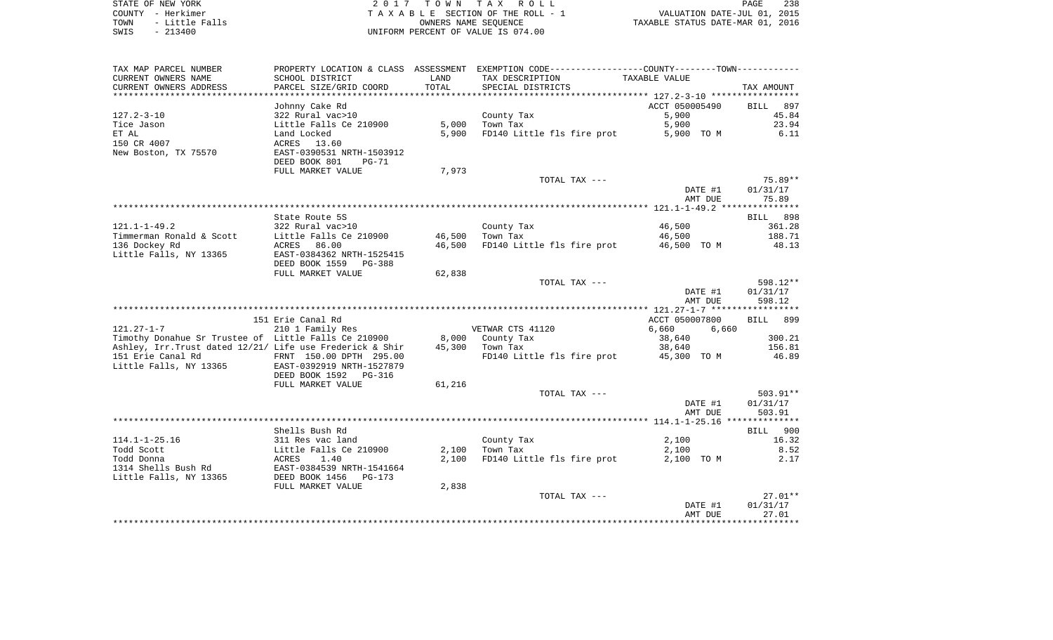| STATE OF NEW YORK      | 2017 TOWN TAX ROLL                 | 238<br>PAGE                      |
|------------------------|------------------------------------|----------------------------------|
| COUNTY - Herkimer      | TAXABLE SECTION OF THE ROLL - 1    | VALUATION DATE-JUL 01, 2015      |
| - Little Falls<br>TOWN | OWNERS NAME SEOUENCE               | TAXABLE STATUS DATE-MAR 01, 2016 |
| $-213400$<br>SWIS      | UNIFORM PERCENT OF VALUE IS 074.00 |                                  |

| TAX MAP PARCEL NUMBER                                     |                           |               | PROPERTY LOCATION & CLASS ASSESSMENT EXEMPTION CODE---------------COUNTY-------TOWN---------- |                |                    |
|-----------------------------------------------------------|---------------------------|---------------|-----------------------------------------------------------------------------------------------|----------------|--------------------|
| CURRENT OWNERS NAME                                       | SCHOOL DISTRICT           | LAND          | TAX DESCRIPTION                                                                               | TAXABLE VALUE  |                    |
| CURRENT OWNERS ADDRESS                                    | PARCEL SIZE/GRID COORD    | TOTAL         | SPECIAL DISTRICTS                                                                             |                | TAX AMOUNT         |
|                                                           | ********************      | ************* | ************************************** 127.2-3-10 ******************                          |                |                    |
|                                                           | Johnny Cake Rd            |               |                                                                                               | ACCT 050005490 | <b>BILL</b><br>897 |
| $127.2 - 3 - 10$                                          | 322 Rural vac>10          |               | County Tax                                                                                    | 5,900          | 45.84              |
| Tice Jason                                                | Little Falls Ce 210900    | 5,000         | Town Tax                                                                                      | 5,900          | 23.94              |
| ET AL                                                     | Land Locked               | 5,900         | FD140 Little fls fire prot                                                                    | 5,900 TO M     | 6.11               |
| 150 CR 4007                                               | ACRES 13.60               |               |                                                                                               |                |                    |
| New Boston, TX 75570                                      | EAST-0390531 NRTH-1503912 |               |                                                                                               |                |                    |
|                                                           | DEED BOOK 801<br>PG-71    |               |                                                                                               |                |                    |
|                                                           | FULL MARKET VALUE         | 7,973         |                                                                                               |                |                    |
|                                                           |                           |               | TOTAL TAX ---                                                                                 |                | 75.89**            |
|                                                           |                           |               |                                                                                               | DATE #1        | 01/31/17           |
|                                                           |                           |               |                                                                                               | AMT DUE        | 75.89              |
|                                                           |                           |               |                                                                                               |                |                    |
|                                                           | State Route 5S            |               |                                                                                               |                | 898<br>BILL        |
| $121.1 - 1 - 49.2$                                        | 322 Rural vac>10          |               | County Tax                                                                                    | 46,500         | 361.28             |
| Timmerman Ronald & Scott                                  | Little Falls Ce 210900    | 46,500        | Town Tax                                                                                      | 46,500         | 188.71             |
| 136 Dockey Rd                                             | ACRES<br>86.00            | 46,500        | FD140 Little fls fire prot                                                                    | 46,500 TO M    | 48.13              |
| Little Falls, NY 13365                                    | EAST-0384362 NRTH-1525415 |               |                                                                                               |                |                    |
|                                                           | DEED BOOK 1559<br>PG-388  |               |                                                                                               |                |                    |
|                                                           | FULL MARKET VALUE         | 62,838        |                                                                                               |                | 598.12**           |
|                                                           |                           |               | TOTAL TAX ---                                                                                 | DATE #1        | 01/31/17           |
|                                                           |                           |               |                                                                                               | AMT DUE        | 598.12             |
|                                                           |                           |               |                                                                                               |                |                    |
|                                                           | 151 Erie Canal Rd         |               |                                                                                               | ACCT 050007800 | 899<br>BILL        |
| $121.27 - 1 - 7$                                          | 210 1 Family Res          |               | VETWAR CTS 41120                                                                              | 6,660<br>6,660 |                    |
| Timothy Donahue Sr Trustee of Little Falls Ce 210900      |                           | 8,000         | County Tax                                                                                    | 38,640         | 300.21             |
| Ashley, Irr. Trust dated 12/21/ Life use Frederick & Shir |                           | 45,300        | Town Tax                                                                                      | 38,640         | 156.81             |
| 151 Erie Canal Rd                                         | FRNT 150.00 DPTH 295.00   |               | FD140 Little fls fire prot                                                                    | 45,300 TO M    | 46.89              |
| Little Falls, NY 13365                                    | EAST-0392919 NRTH-1527879 |               |                                                                                               |                |                    |
|                                                           | DEED BOOK 1592<br>PG-316  |               |                                                                                               |                |                    |
|                                                           | FULL MARKET VALUE         | 61,216        |                                                                                               |                |                    |
|                                                           |                           |               | TOTAL TAX ---                                                                                 |                | 503.91**           |
|                                                           |                           |               |                                                                                               | DATE #1        | 01/31/17           |
|                                                           |                           |               |                                                                                               | AMT DUE        | 503.91             |
|                                                           |                           |               |                                                                                               |                |                    |
|                                                           | Shells Bush Rd            |               |                                                                                               |                | 900<br>BILL        |
| $114.1 - 1 - 25.16$                                       | 311 Res vac land          |               | County Tax                                                                                    | 2,100          | 16.32              |
| Todd Scott                                                | Little Falls Ce 210900    | 2,100         | Town Tax                                                                                      | 2,100          | 8.52               |
| Todd Donna                                                | 1.40<br>ACRES             | 2,100         | FD140 Little fls fire prot                                                                    | 2,100 TO M     | 2.17               |
| 1314 Shells Bush Rd                                       | EAST-0384539 NRTH-1541664 |               |                                                                                               |                |                    |
| Little Falls, NY 13365                                    | DEED BOOK 1456<br>PG-173  |               |                                                                                               |                |                    |
|                                                           | FULL MARKET VALUE         | 2,838         |                                                                                               |                |                    |
|                                                           |                           |               | TOTAL TAX ---                                                                                 |                | $27.01**$          |
|                                                           |                           |               |                                                                                               | DATE #1        | 01/31/17           |
|                                                           |                           |               |                                                                                               | AMT DUE        | 27.01              |
|                                                           |                           |               |                                                                                               |                |                    |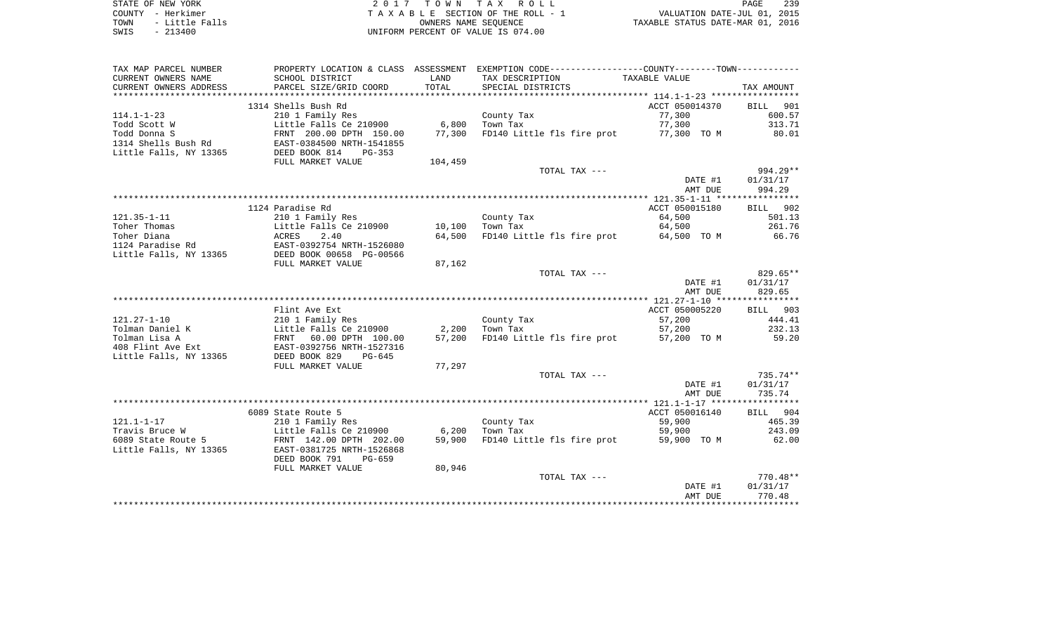| STATE OF NEW YORK |  |           |                |  |
|-------------------|--|-----------|----------------|--|
| COUNTY - Herkimer |  |           |                |  |
| TOWN              |  |           | - Little Falls |  |
| SWIS              |  | $-213400$ |                |  |

2017 TOWN TAX ROLL TA X A B L E SECTION OF THE ROLL - 1 SWIS - 213400 UNIFORM PERCENT OF VALUE IS 074.00

PAGE 239 TO THE ROLL - 1 VALUATION DATE-JUL 01, 2015<br>
TAXABLE STATUS DATE-MAR 01, 2016

| TAX MAP PARCEL NUMBER   |                                |         | PROPERTY LOCATION & CLASS ASSESSMENT EXEMPTION CODE---------------COUNTY-------TOWN--------- |                |                    |
|-------------------------|--------------------------------|---------|----------------------------------------------------------------------------------------------|----------------|--------------------|
| CURRENT OWNERS NAME     | SCHOOL DISTRICT                | LAND    | TAX DESCRIPTION                                                                              | TAXABLE VALUE  |                    |
| CURRENT OWNERS ADDRESS  | PARCEL SIZE/GRID COORD         | TOTAL   | SPECIAL DISTRICTS                                                                            |                | TAX AMOUNT         |
| *********************** | ****************************** |         |                                                                                              |                |                    |
|                         | 1314 Shells Bush Rd            |         |                                                                                              | ACCT 050014370 | 901<br>BILL        |
| $114.1 - 1 - 23$        | 210 1 Family Res               |         | County Tax                                                                                   | 77,300         | 600.57             |
| Todd Scott W            | Little Falls Ce 210900         | 6,800   | Town Tax                                                                                     | 77,300         | 313.71             |
| Todd Donna S            | FRNT 200.00 DPTH 150.00        | 77,300  | FD140 Little fls fire prot                                                                   | 77,300 TO M    | 80.01              |
| 1314 Shells Bush Rd     | EAST-0384500 NRTH-1541855      |         |                                                                                              |                |                    |
| Little Falls, NY 13365  | DEED BOOK 814<br>$PG-353$      |         |                                                                                              |                |                    |
|                         | FULL MARKET VALUE              | 104,459 |                                                                                              |                |                    |
|                         |                                |         | TOTAL TAX ---                                                                                |                | 994.29**           |
|                         |                                |         |                                                                                              | DATE #1        | 01/31/17           |
|                         |                                |         |                                                                                              | AMT DUE        | 994.29             |
|                         |                                |         |                                                                                              |                |                    |
|                         | 1124 Paradise Rd               |         |                                                                                              | ACCT 050015180 | 902<br><b>BILL</b> |
| $121.35 - 1 - 11$       | 210 1 Family Res               |         | County Tax                                                                                   | 64,500         | 501.13             |
| Toher Thomas            | Little Falls Ce 210900         | 10,100  | Town Tax                                                                                     | 64,500         | 261.76             |
| Toher Diana             | ACRES<br>2.40                  | 64,500  | FD140 Little fls fire prot                                                                   | 64,500 TO M    | 66.76              |
| 1124 Paradise Rd        | EAST-0392754 NRTH-1526080      |         |                                                                                              |                |                    |
| Little Falls, NY 13365  | DEED BOOK 00658 PG-00566       |         |                                                                                              |                |                    |
|                         | FULL MARKET VALUE              | 87,162  |                                                                                              |                |                    |
|                         |                                |         | TOTAL TAX ---                                                                                |                | 829.65**           |
|                         |                                |         |                                                                                              | DATE #1        | 01/31/17           |
|                         |                                |         |                                                                                              | AMT DUE        | 829.65             |
|                         |                                |         |                                                                                              |                |                    |
|                         | Flint Ave Ext                  |         |                                                                                              | ACCT 050005220 | BILL 903           |
| $121.27 - 1 - 10$       | 210 1 Family Res               |         | County Tax                                                                                   | 57,200         | 444.41             |
| Tolman Daniel K         | Little Falls Ce 210900         | 2,200   | Town Tax                                                                                     | 57,200         | 232.13             |
| Tolman Lisa A           | 60.00 DPTH 100.00<br>FRNT      | 57,200  | FD140 Little fls fire prot                                                                   | 57,200 TO M    | 59.20              |
| 408 Flint Ave Ext       | EAST-0392756 NRTH-1527316      |         |                                                                                              |                |                    |
| Little Falls, NY 13365  | DEED BOOK 829<br>$PG-645$      |         |                                                                                              |                |                    |
|                         | FULL MARKET VALUE              | 77,297  |                                                                                              |                |                    |
|                         |                                |         | TOTAL TAX ---                                                                                |                | $735.74**$         |
|                         |                                |         |                                                                                              | DATE #1        | 01/31/17           |
|                         |                                |         |                                                                                              | AMT DUE        | 735.74             |
|                         |                                |         |                                                                                              |                |                    |
|                         | 6089 State Route 5             |         |                                                                                              | ACCT 050016140 | BILL 904           |
| $121.1 - 1 - 17$        | 210 1 Family Res               |         | County Tax                                                                                   | 59,900         | 465.39             |
| Travis Bruce W          | Little Falls Ce 210900         | 6,200   | Town Tax                                                                                     | 59,900         | 243.09             |
| 6089 State Route 5      | FRNT 142.00 DPTH 202.00        | 59,900  | FD140 Little fls fire prot                                                                   | 59,900 TO M    | 62.00              |
| Little Falls, NY 13365  | EAST-0381725 NRTH-1526868      |         |                                                                                              |                |                    |
|                         | DEED BOOK 791<br>$PG-659$      |         |                                                                                              |                |                    |
|                         | FULL MARKET VALUE              | 80,946  |                                                                                              |                |                    |
|                         |                                |         | TOTAL TAX ---                                                                                |                | $770.48**$         |
|                         |                                |         |                                                                                              | DATE #1        | 01/31/17           |
|                         |                                |         |                                                                                              | AMT DUE        | 770.48             |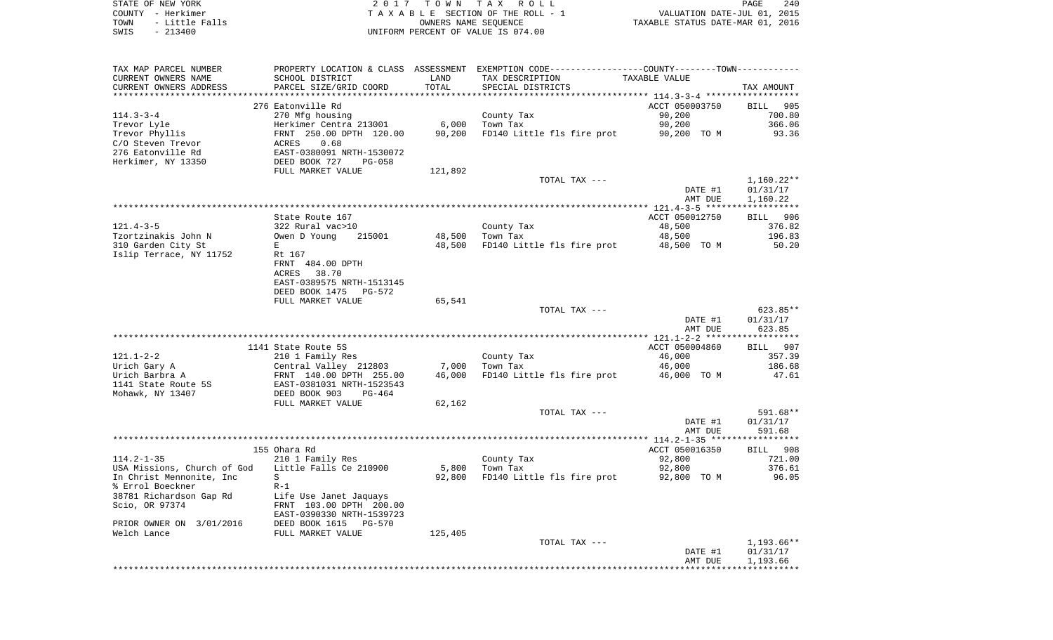| STATE OF NEW YORK      | 2017 TOWN TAX ROLL                 | 240<br>PAGE                      |
|------------------------|------------------------------------|----------------------------------|
| COUNTY - Herkimer      | TAXABLE SECTION OF THE ROLL - 1    | VALUATION DATE-JUL 01, 2015      |
| - Little Falls<br>TOWN | OWNERS NAME SEOUENCE               | TAXABLE STATUS DATE-MAR 01, 2016 |
| $-213400$<br>SWIS      | UNIFORM PERCENT OF VALUE IS 074.00 |                                  |

| TAX MAP PARCEL NUMBER       |                           |         | PROPERTY LOCATION & CLASS ASSESSMENT EXEMPTION CODE---------------COUNTY-------TOWN---------- |                    |                      |
|-----------------------------|---------------------------|---------|-----------------------------------------------------------------------------------------------|--------------------|----------------------|
| CURRENT OWNERS NAME         | SCHOOL DISTRICT           | LAND    | TAX DESCRIPTION                                                                               | TAXABLE VALUE      |                      |
| CURRENT OWNERS ADDRESS      | PARCEL SIZE/GRID COORD    | TOTAL   | SPECIAL DISTRICTS                                                                             |                    | TAX AMOUNT           |
|                             |                           |         |                                                                                               |                    |                      |
|                             | 276 Eatonville Rd         |         |                                                                                               | ACCT 050003750     | <b>BILL</b><br>905   |
| $114.3 - 3 - 4$             | 270 Mfg housing           |         | County Tax                                                                                    | 90,200             | 700.80               |
| Trevor Lyle                 | Herkimer Centra 213001    | 6,000   | Town Tax                                                                                      | 90,200             | 366.06               |
| Trevor Phyllis              | FRNT 250.00 DPTH 120.00   | 90,200  | FD140 Little fls fire prot                                                                    | 90,200 TO M        | 93.36                |
| C/O Steven Trevor           | 0.68<br>ACRES             |         |                                                                                               |                    |                      |
| 276 Eatonville Rd           | EAST-0380091 NRTH-1530072 |         |                                                                                               |                    |                      |
| Herkimer, NY 13350          | DEED BOOK 727<br>PG-058   |         |                                                                                               |                    |                      |
|                             | FULL MARKET VALUE         | 121,892 |                                                                                               |                    |                      |
|                             |                           |         | TOTAL TAX ---                                                                                 |                    | 1,160.22**           |
|                             |                           |         |                                                                                               | DATE #1            | 01/31/17             |
|                             |                           |         |                                                                                               | AMT DUE            | 1,160.22             |
|                             |                           |         |                                                                                               |                    |                      |
|                             | State Route 167           |         |                                                                                               | ACCT 050012750     | BILL 906             |
| $121.4 - 3 - 5$             | 322 Rural vac>10          |         | County Tax                                                                                    | 48,500             | 376.82               |
| Tzortzinakis John N         | Owen D Young<br>215001    | 48,500  | Town Tax                                                                                      | 48,500             | 196.83               |
| 310 Garden City St          | E                         | 48,500  | FD140 Little fls fire prot                                                                    | 48,500 TO M        | 50.20                |
| Islip Terrace, NY 11752     | Rt 167                    |         |                                                                                               |                    |                      |
|                             | FRNT 484.00 DPTH          |         |                                                                                               |                    |                      |
|                             | 38.70<br>ACRES            |         |                                                                                               |                    |                      |
|                             | EAST-0389575 NRTH-1513145 |         |                                                                                               |                    |                      |
|                             | DEED BOOK 1475<br>PG-572  |         |                                                                                               |                    |                      |
|                             | FULL MARKET VALUE         | 65,541  |                                                                                               |                    |                      |
|                             |                           |         | TOTAL TAX ---                                                                                 |                    | 623.85**             |
|                             |                           |         |                                                                                               | DATE #1            | 01/31/17             |
|                             |                           |         |                                                                                               | AMT DUE            | 623.85               |
|                             |                           |         |                                                                                               |                    |                      |
|                             | 1141 State Route 5S       |         |                                                                                               | ACCT 050004860     | 907<br>BILL          |
| $121.1 - 2 - 2$             | 210 1 Family Res          |         | County Tax                                                                                    | 46,000             | 357.39               |
| Urich Gary A                | Central Valley 212803     | 7,000   | Town Tax                                                                                      | 46,000             | 186.68               |
| Urich Barbra A              | FRNT 140.00 DPTH 255.00   | 46,000  | FD140 Little fls fire prot                                                                    | 46,000 TO M        | 47.61                |
| 1141 State Route 5S         | EAST-0381031 NRTH-1523543 |         |                                                                                               |                    |                      |
| Mohawk, NY 13407            | DEED BOOK 903<br>PG-464   |         |                                                                                               |                    |                      |
|                             | FULL MARKET VALUE         | 62,162  |                                                                                               |                    |                      |
|                             |                           |         | TOTAL TAX ---                                                                                 |                    | 591.68**             |
|                             |                           |         |                                                                                               | DATE #1            | 01/31/17             |
|                             |                           |         |                                                                                               | AMT DUE            | 591.68               |
|                             |                           |         |                                                                                               |                    |                      |
|                             | 155 Ohara Rd              |         |                                                                                               | ACCT 050016350     | BILL 908             |
| $114.2 - 1 - 35$            | 210 1 Family Res          |         | County Tax                                                                                    | 92,800             | 721.00               |
| USA Missions, Church of God | Little Falls Ce 210900    | 5,800   | Town Tax                                                                                      | 92,800             | 376.61               |
| In Christ Mennonite, Inc    | S                         | 92,800  | FD140 Little fls fire prot                                                                    | 92,800 TO M        | 96.05                |
| % Errol Boeckner            | $R-1$                     |         |                                                                                               |                    |                      |
| 38781 Richardson Gap Rd     | Life Use Janet Jaquays    |         |                                                                                               |                    |                      |
| Scio, OR 97374              | FRNT 103.00 DPTH 200.00   |         |                                                                                               |                    |                      |
|                             | EAST-0390330 NRTH-1539723 |         |                                                                                               |                    |                      |
| PRIOR OWNER ON 3/01/2016    | DEED BOOK 1615<br>PG-570  |         |                                                                                               |                    |                      |
| Welch Lance                 | FULL MARKET VALUE         | 125,405 |                                                                                               |                    |                      |
|                             |                           |         | TOTAL TAX ---                                                                                 |                    | 1,193.66**           |
|                             |                           |         |                                                                                               | DATE #1<br>AMT DUE | 01/31/17<br>1,193.66 |
|                             |                           |         |                                                                                               |                    |                      |
|                             |                           |         |                                                                                               |                    |                      |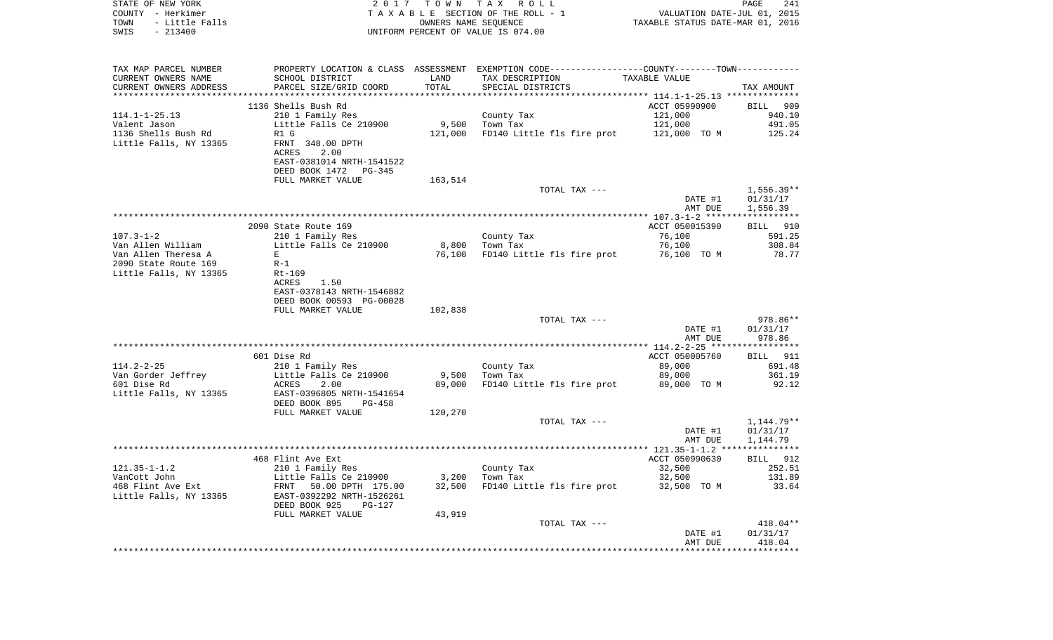| COUNTY - Herkimer<br>TOWN<br>- Little Falls<br>$-213400$<br>SWIS |                                                                   | TAXABLE SECTION OF THE ROLL - 1<br>OWNERS NAME SEQUENCE<br>UNIFORM PERCENT OF VALUE IS 074.00 |                                                                                               |                    | VALUATION DATE-JUL 01, 2015<br>TAXABLE STATUS DATE-MAR 01, 2016 |  |  |
|------------------------------------------------------------------|-------------------------------------------------------------------|-----------------------------------------------------------------------------------------------|-----------------------------------------------------------------------------------------------|--------------------|-----------------------------------------------------------------|--|--|
| TAX MAP PARCEL NUMBER                                            |                                                                   |                                                                                               | PROPERTY LOCATION & CLASS ASSESSMENT EXEMPTION CODE---------------COUNTY-------TOWN---------- |                    |                                                                 |  |  |
| CURRENT OWNERS NAME                                              | SCHOOL DISTRICT                                                   | LAND                                                                                          | TAX DESCRIPTION                                                                               | TAXABLE VALUE      |                                                                 |  |  |
| CURRENT OWNERS ADDRESS                                           | PARCEL SIZE/GRID COORD                                            | LAND<br>TOTAL                                                                                 | SPECIAL DISTRICTS                                                                             |                    | TAX AMOUNT                                                      |  |  |
|                                                                  |                                                                   |                                                                                               |                                                                                               |                    |                                                                 |  |  |
|                                                                  | 1136 Shells Bush Rd                                               |                                                                                               |                                                                                               | ACCT 05990900      | <b>BILL</b> 909                                                 |  |  |
| 114.1-1-25.13                                                    | 210 1 Family Res                                                  |                                                                                               |                                                                                               | 121,000            | 940.10                                                          |  |  |
| Valent Jason                                                     | Little Falls Ce 210900                                            |                                                                                               | County Tax<br>Town Tax<br>9,500 Town Tax                                                      | 121,000            | 491.05                                                          |  |  |
| 1136 Shells Bush Rd                                              | R1 G                                                              |                                                                                               | 121,000 FD140 Little fls fire prot 121,000 TO M 125.24                                        |                    |                                                                 |  |  |
| Little Falls, NY 13365 FRNT 348.00 DPTH                          |                                                                   |                                                                                               |                                                                                               |                    |                                                                 |  |  |
|                                                                  | ACRES<br>2.00                                                     |                                                                                               |                                                                                               |                    |                                                                 |  |  |
|                                                                  | EAST-0381014 NRTH-1541522                                         |                                                                                               |                                                                                               |                    |                                                                 |  |  |
|                                                                  | DEED BOOK 1472 PG-345                                             |                                                                                               |                                                                                               |                    |                                                                 |  |  |
|                                                                  | FULL MARKET VALUE                                                 | 163,514                                                                                       |                                                                                               |                    |                                                                 |  |  |
|                                                                  |                                                                   |                                                                                               | TOTAL TAX ---                                                                                 |                    | 1,556.39**                                                      |  |  |
|                                                                  |                                                                   |                                                                                               |                                                                                               | DATE #1            | 01/31/17                                                        |  |  |
|                                                                  |                                                                   |                                                                                               |                                                                                               | AMT DUE            | 1,556.39                                                        |  |  |
|                                                                  | 2090 State Route 169                                              |                                                                                               |                                                                                               | ACCT 050015390     | BILL 910                                                        |  |  |
|                                                                  |                                                                   |                                                                                               |                                                                                               | 76,100             | 591.25                                                          |  |  |
|                                                                  |                                                                   |                                                                                               | County Tax<br>Town Tax<br>8,800 Town Tax                                                      | 76,100             |                                                                 |  |  |
| Van Allen Theresa A                                              | E                                                                 |                                                                                               | 76,100 FD140 Little fls fire prot 76,100 TO M                                                 |                    | 308.84<br>78.77                                                 |  |  |
| 2090 State Route 169                                             | $R-1$                                                             |                                                                                               |                                                                                               |                    |                                                                 |  |  |
| Little Falls, NY 13365 Rt-169                                    |                                                                   |                                                                                               |                                                                                               |                    |                                                                 |  |  |
|                                                                  | ACRES 1.50                                                        |                                                                                               |                                                                                               |                    |                                                                 |  |  |
|                                                                  | EAST-0378143 NRTH-1546882                                         |                                                                                               |                                                                                               |                    |                                                                 |  |  |
|                                                                  | DEED BOOK 00593 PG-00028                                          |                                                                                               |                                                                                               |                    |                                                                 |  |  |
|                                                                  | FULL MARKET VALUE                                                 | 102,838                                                                                       |                                                                                               |                    |                                                                 |  |  |
|                                                                  |                                                                   |                                                                                               | TOTAL TAX ---                                                                                 |                    | 978.86**                                                        |  |  |
|                                                                  |                                                                   |                                                                                               |                                                                                               | DATE #1<br>AMT DUE | 01/31/17<br>978.86                                              |  |  |
|                                                                  |                                                                   |                                                                                               |                                                                                               |                    |                                                                 |  |  |
|                                                                  | 601 Dise Rd                                                       |                                                                                               |                                                                                               | ACCT 050005760     | BILL 911                                                        |  |  |
| $114.2 - 2 - 25$                                                 | 210 1 Family Res                                                  |                                                                                               | County Tax<br>Town Tax                                                                        | 89,000             | 691.48                                                          |  |  |
| Van Gorder Jeffrey<br>601 Dise Rd                                |                                                                   | 9,500                                                                                         |                                                                                               | 89,000             | 361.19                                                          |  |  |
| 601 Dise Rd                                                      | Little Falls Ce 210900<br>ACRES 2.00<br>EAST-0396805 NRTH-1541654 | 89,000                                                                                        | FD140 Little fls fire prot 89,000 TO M                                                        |                    | 92.12                                                           |  |  |
| Little Falls, NY 13365                                           |                                                                   |                                                                                               |                                                                                               |                    |                                                                 |  |  |
|                                                                  | DEED BOOK 895 PG-458                                              |                                                                                               |                                                                                               |                    |                                                                 |  |  |
|                                                                  | FULL MARKET VALUE                                                 | 120,270                                                                                       |                                                                                               |                    |                                                                 |  |  |
|                                                                  |                                                                   |                                                                                               | TOTAL TAX ---                                                                                 |                    | 1,144.79**                                                      |  |  |
|                                                                  |                                                                   |                                                                                               |                                                                                               | DATE #1            | 01/31/17                                                        |  |  |
|                                                                  |                                                                   |                                                                                               |                                                                                               | AMT DUE            | 1,144.79                                                        |  |  |
|                                                                  | 468 Flint Ave Ext                                                 |                                                                                               |                                                                                               | ACCT 050990630     | BILL 912                                                        |  |  |
|                                                                  |                                                                   |                                                                                               |                                                                                               | 32,500             | 252.51                                                          |  |  |
|                                                                  |                                                                   | 3,200                                                                                         | County Tax<br>Town Tax                                                                        | 32,500             | 131.89                                                          |  |  |
|                                                                  |                                                                   |                                                                                               | 32,500 FD140 Little fls fire prot 32,500 TO M                                                 |                    | 33.64                                                           |  |  |
|                                                                  |                                                                   |                                                                                               |                                                                                               |                    |                                                                 |  |  |
|                                                                  | DEED BOOK 925 PG-127                                              |                                                                                               |                                                                                               |                    |                                                                 |  |  |
|                                                                  | FULL MARKET VALUE                                                 | 43,919                                                                                        |                                                                                               |                    |                                                                 |  |  |
|                                                                  |                                                                   |                                                                                               | TOTAL TAX ---                                                                                 |                    | 418.04**                                                        |  |  |
|                                                                  |                                                                   |                                                                                               |                                                                                               | DATE #1            | 01/31/17                                                        |  |  |
|                                                                  |                                                                   |                                                                                               |                                                                                               | AMT DUE            | 418.04                                                          |  |  |
|                                                                  |                                                                   |                                                                                               |                                                                                               |                    |                                                                 |  |  |

PAGE 241

STATE OF NEW YORK **EXECUTE:**  $2017$  TOWN TAX ROLL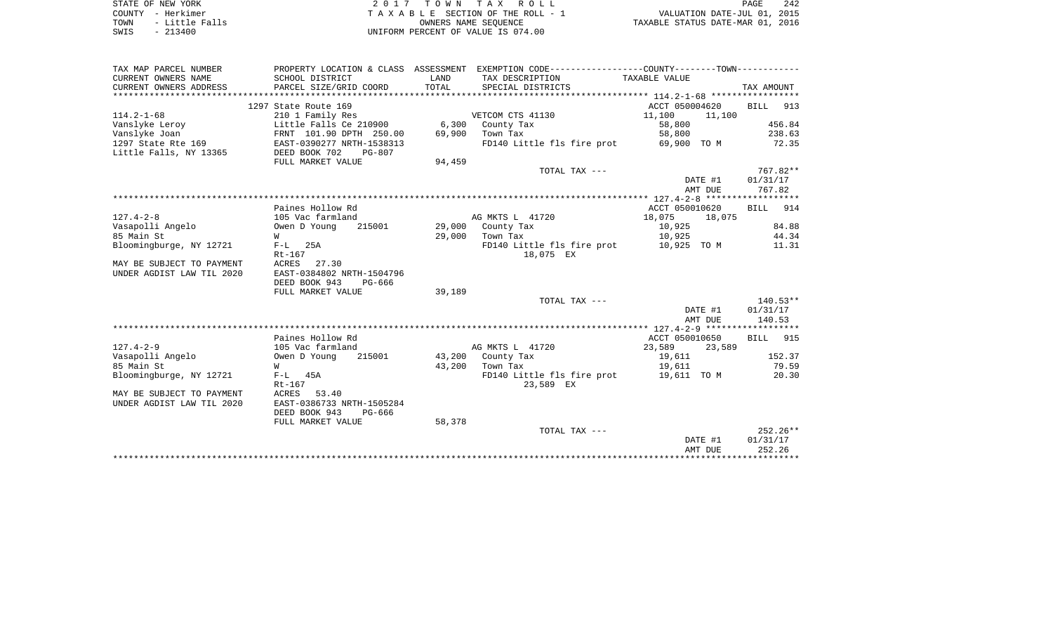| STATE OF NEW YORK      | 2017 TOWN TAX ROLL                 | 242<br>PAGE                      |
|------------------------|------------------------------------|----------------------------------|
| COUNTY - Herkimer      | TAXABLE SECTION OF THE ROLL - 1    | VALUATION DATE-JUL 01, 2015      |
| - Little Falls<br>TOWN | OWNERS NAME SEOUENCE               | TAXABLE STATUS DATE-MAR 01, 2016 |
| $-213400$<br>SWIS      | UNIFORM PERCENT OF VALUE IS 074.00 |                                  |

| TAX MAP PARCEL NUMBER     | PROPERTY LOCATION & CLASS ASSESSMENT |        | EXEMPTION CODE----------------COUNTY-------TOWN----------- |                  |            |
|---------------------------|--------------------------------------|--------|------------------------------------------------------------|------------------|------------|
| CURRENT OWNERS NAME       | SCHOOL DISTRICT                      | LAND   | TAX DESCRIPTION                                            | TAXABLE VALUE    |            |
| CURRENT OWNERS ADDRESS    | PARCEL SIZE/GRID COORD               | TOTAL  | SPECIAL DISTRICTS                                          |                  | TAX AMOUNT |
|                           |                                      |        |                                                            |                  |            |
|                           | 1297 State Route 169                 |        |                                                            | ACCT 050004620   | BILL 913   |
| $114.2 - 1 - 68$          | 210 1 Family Res                     |        | VETCOM CTS 41130                                           | 11,100<br>11,100 |            |
| Vanslyke Leroy            | Little Falls Ce 210900               | 6,300  | County Tax                                                 | 58,800           | 456.84     |
| Vanslyke Joan             | FRNT 101.90 DPTH 250.00              | 69,900 | Town Tax                                                   | 58,800           | 238.63     |
| 1297 State Rte 169        | -<br>EAST-0390277 NRTH-1538313       |        | FD140 Little fls fire prot 69,900 TO M                     |                  | 72.35      |
| Little Falls, NY 13365    | DEED BOOK 702<br>$PG-807$            |        |                                                            |                  |            |
|                           | FULL MARKET VALUE                    | 94,459 |                                                            |                  |            |
|                           |                                      |        | TOTAL TAX ---                                              |                  | 767.82**   |
|                           |                                      |        |                                                            | DATE #1          | 01/31/17   |
|                           |                                      |        |                                                            | AMT DUE          | 767.82     |
|                           |                                      |        |                                                            |                  |            |
|                           | Paines Hollow Rd                     |        |                                                            | ACCT 050010620   | BILL 914   |
| $127.4 - 2 - 8$           | 105 Vac farmland                     |        | AG MKTS L 41720                                            | 18,075<br>18,075 |            |
| Vasapolli Angelo          | 215001<br>Owen D Young               |        | 29,000 County Tax                                          | 10,925           | 84.88      |
| 85 Main St                | W                                    | 29,000 | Town Tax                                                   | 10,925           | 44.34      |
| Bloomingburge, NY 12721   | $F-L$ 25A                            |        | FD140 Little fls fire prot 10,925 TO M                     |                  | 11.31      |
|                           | Rt-167                               |        | 18,075 EX                                                  |                  |            |
| MAY BE SUBJECT TO PAYMENT | ACRES<br>27.30                       |        |                                                            |                  |            |
| UNDER AGDIST LAW TIL 2020 | EAST-0384802 NRTH-1504796            |        |                                                            |                  |            |
|                           | DEED BOOK 943<br>PG-666              |        |                                                            |                  |            |
|                           | FULL MARKET VALUE                    | 39,189 |                                                            |                  | $140.53**$ |
|                           |                                      |        | TOTAL TAX ---                                              | DATE #1          | 01/31/17   |
|                           |                                      |        |                                                            | AMT DUE          | 140.53     |
|                           |                                      |        |                                                            |                  |            |
|                           | Paines Hollow Rd                     |        |                                                            | ACCT 050010650   | BILL 915   |
| $127.4 - 2 - 9$           | 105 Vac farmland                     |        | AG MKTS L 41720                                            | 23,589<br>23,589 |            |
| Vasapolli Angelo          | Owen D Young<br>215001               |        | 43,200 County Tax                                          | 19,611           | 152.37     |
| 85 Main St                | W                                    | 43,200 | Town Tax                                                   | 19,611           | 79.59      |
| Bloomingburge, NY 12721   | $F-L$ 45A                            |        | FD140 Little fls fire prot 19,611 TO M                     |                  | 20.30      |
|                           | $Rt-167$                             |        | 23,589 EX                                                  |                  |            |
| MAY BE SUBJECT TO PAYMENT | ACRES<br>53.40                       |        |                                                            |                  |            |
| UNDER AGDIST LAW TIL 2020 | EAST-0386733 NRTH-1505284            |        |                                                            |                  |            |
|                           | DEED BOOK 943<br>$PG-666$            |        |                                                            |                  |            |
|                           | FULL MARKET VALUE                    | 58,378 |                                                            |                  |            |
|                           |                                      |        | TOTAL TAX ---                                              |                  | $252.26**$ |
|                           |                                      |        |                                                            | DATE #1          | 01/31/17   |
|                           |                                      |        |                                                            | AMT DUE          | 252.26     |
|                           |                                      |        |                                                            |                  |            |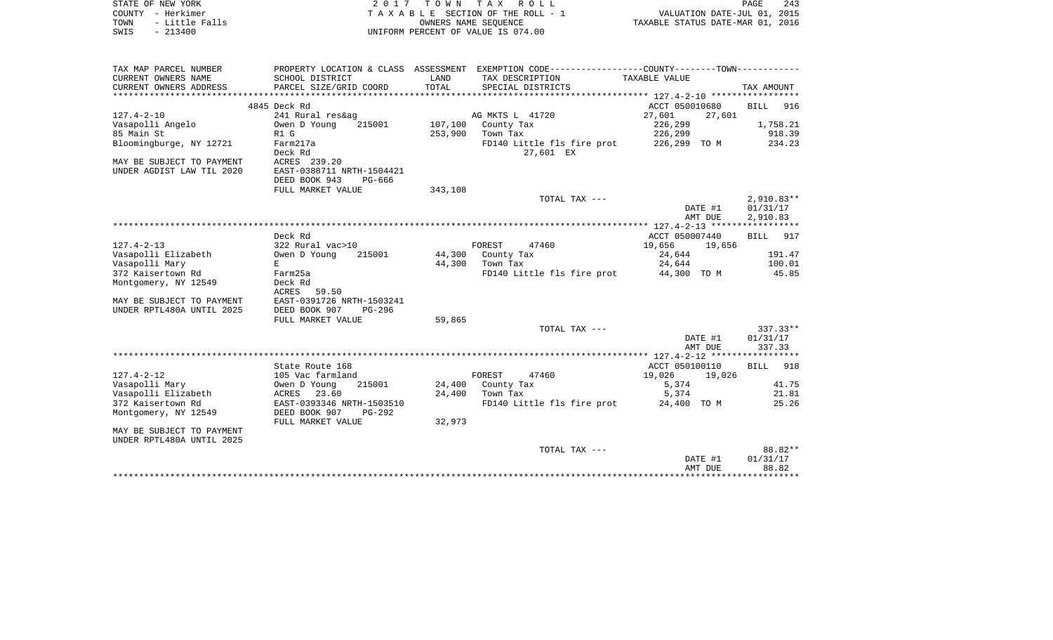| STATE OF NEW YORK<br>COUNTY - Herkimer<br>TOWN<br>- Little Falls<br>$-213400$<br>SWIS | 2017                                         |         | TOWN TAX ROLL<br>TAXABLE SECTION OF THE ROLL - 1<br>OWNERS NAME SEQUENCE<br>UNIFORM PERCENT OF VALUE IS 074.00 | VALUATION DATE-JUL 01, 2015<br>TAXABLE STATUS DATE-MAR 01, 2016 | PAGE<br>243                          |
|---------------------------------------------------------------------------------------|----------------------------------------------|---------|----------------------------------------------------------------------------------------------------------------|-----------------------------------------------------------------|--------------------------------------|
|                                                                                       |                                              |         |                                                                                                                |                                                                 |                                      |
| TAX MAP PARCEL NUMBER                                                                 |                                              |         | PROPERTY LOCATION & CLASS ASSESSMENT EXEMPTION CODE----------------COUNTY-------TOWN----------                 |                                                                 |                                      |
| CURRENT OWNERS NAME                                                                   | SCHOOL DISTRICT                              | LAND    | TAX DESCRIPTION                                                                                                | TAXABLE VALUE                                                   |                                      |
| CURRENT OWNERS ADDRESS                                                                | PARCEL SIZE/GRID COORD                       | TOTAL   | SPECIAL DISTRICTS                                                                                              |                                                                 | TAX AMOUNT                           |
|                                                                                       | 4845 Deck Rd                                 |         |                                                                                                                | ACCT 050010680                                                  | <b>BILL</b><br>916                   |
| $127.4 - 2 - 10$                                                                      | 241 Rural res&ag                             |         | AG MKTS L 41720                                                                                                | 27,601<br>27,601                                                |                                      |
| Vasapolli Angelo                                                                      | Owen D Young<br>215001                       | 107,100 | County Tax                                                                                                     | 226,299                                                         | 1,758.21                             |
| 85 Main St                                                                            | R1 G                                         | 253,900 | Town Tax                                                                                                       | 226,299                                                         | 918.39                               |
| Bloomingburge, NY 12721                                                               | Farm217a<br>Deck Rd                          |         | FD140 Little fls fire prot<br>27,601 EX                                                                        | 226,299 TO M                                                    | 234.23                               |
| MAY BE SUBJECT TO PAYMENT                                                             | ACRES 239.20                                 |         |                                                                                                                |                                                                 |                                      |
| UNDER AGDIST LAW TIL 2020                                                             | EAST-0388711 NRTH-1504421                    |         |                                                                                                                |                                                                 |                                      |
|                                                                                       | DEED BOOK 943<br>PG-666                      |         |                                                                                                                |                                                                 |                                      |
|                                                                                       | FULL MARKET VALUE                            | 343,108 |                                                                                                                |                                                                 |                                      |
|                                                                                       |                                              |         | TOTAL TAX ---                                                                                                  | DATE #1<br>AMT DUE                                              | $2,910.83**$<br>01/31/17<br>2,910.83 |
|                                                                                       |                                              |         |                                                                                                                |                                                                 |                                      |
|                                                                                       | Deck Rd                                      |         |                                                                                                                | ACCT 050007440                                                  | 917<br><b>BILL</b>                   |
| $127.4 - 2 - 13$                                                                      | 322 Rural vac>10                             |         | FOREST<br>47460                                                                                                | 19,656<br>19,656                                                |                                      |
| Vasapolli Elizabeth                                                                   | Owen D Young<br>215001                       | 44,300  | County Tax                                                                                                     | 24,644                                                          | 191.47                               |
| Vasapolli Mary                                                                        | E                                            | 44,300  | Town Tax                                                                                                       | 24,644                                                          | 100.01                               |
| 372 Kaisertown Rd                                                                     | Farm25a                                      |         | FD140 Little fls fire prot                                                                                     | 44,300 TO M                                                     | 45.85                                |
| Montgomery, NY 12549                                                                  | Deck Rd                                      |         |                                                                                                                |                                                                 |                                      |
| MAY BE SUBJECT TO PAYMENT                                                             | ACRES<br>59.50<br>EAST-0391726 NRTH-1503241  |         |                                                                                                                |                                                                 |                                      |
| UNDER RPTL480A UNTIL 2025                                                             | DEED BOOK 907<br>$PG-296$                    |         |                                                                                                                |                                                                 |                                      |
|                                                                                       | FULL MARKET VALUE                            | 59,865  |                                                                                                                |                                                                 |                                      |
|                                                                                       |                                              |         | TOTAL TAX ---                                                                                                  |                                                                 | $337.33**$                           |
|                                                                                       |                                              |         |                                                                                                                | DATE #1<br>AMT DUE                                              | 01/31/17<br>337.33                   |
|                                                                                       |                                              |         |                                                                                                                |                                                                 |                                      |
|                                                                                       | State Route 168                              |         |                                                                                                                | ACCT 050100110                                                  | 918<br>BILL                          |
| $127.4 - 2 - 12$                                                                      | 105 Vac farmland                             |         | FOREST<br>47460                                                                                                | 19,026<br>19,026                                                |                                      |
| Vasapolli Mary                                                                        | Owen D Young<br>215001                       | 24,400  | County Tax                                                                                                     | 5,374                                                           | 41.75                                |
| Vasapolli Elizabeth                                                                   | ACRES<br>23.60                               | 24,400  | Town Tax                                                                                                       | 5,374                                                           | 21.81                                |
| 372 Kaisertown Rd                                                                     | EAST-0393346 NRTH-1503510                    |         | FD140 Little fls fire prot                                                                                     | 24,400 TO M                                                     | 25.26                                |
| Montgomery, NY 12549                                                                  | DEED BOOK 907<br>PG-292<br>FULL MARKET VALUE | 32,973  |                                                                                                                |                                                                 |                                      |
| MAY BE SUBJECT TO PAYMENT                                                             |                                              |         |                                                                                                                |                                                                 |                                      |
| UNDER RPTL480A UNTIL 2025                                                             |                                              |         |                                                                                                                |                                                                 |                                      |
|                                                                                       |                                              |         | TOTAL TAX ---                                                                                                  |                                                                 | 88.82**                              |
|                                                                                       |                                              |         |                                                                                                                | DATE #1                                                         | 01/31/17                             |
|                                                                                       |                                              |         |                                                                                                                | AMT DUE                                                         | 88.82                                |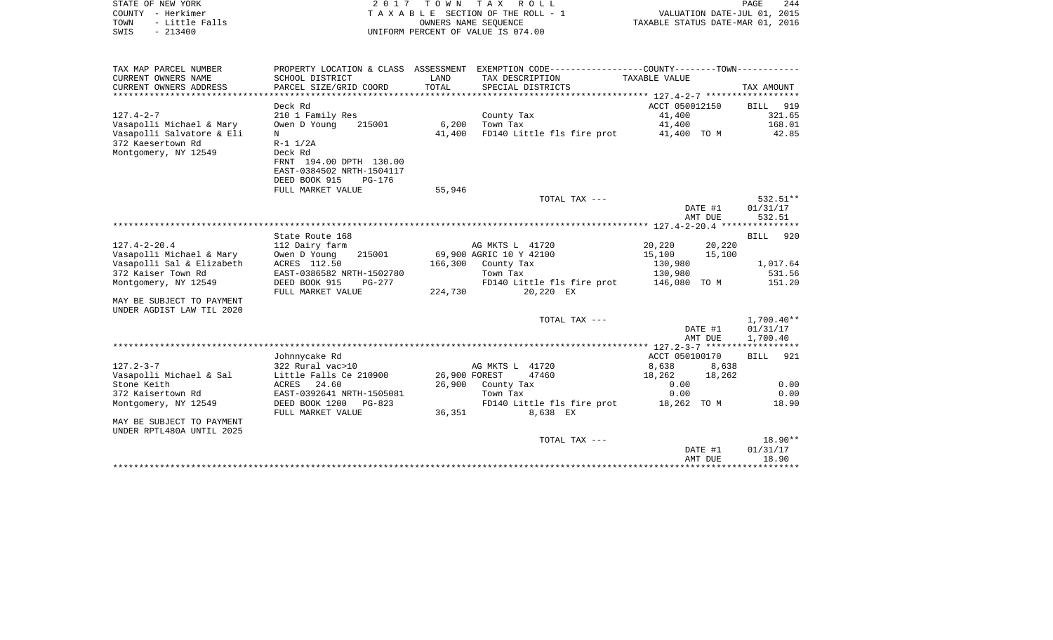| COUNTY - Herkimer<br>TOWN<br>- Little Falls<br>SWIS<br>$-213400$ |                                               |         | TAXABLE SECTION OF THE ROLL - 1<br>OWNERS NAME SEOUENCE<br>UNIFORM PERCENT OF VALUE IS 074.00 | VALUATION DATE-JUL 01, 2015<br>TAXABLE STATUS DATE-MAR 01, 2016 |                    |                      |
|------------------------------------------------------------------|-----------------------------------------------|---------|-----------------------------------------------------------------------------------------------|-----------------------------------------------------------------|--------------------|----------------------|
| TAX MAP PARCEL NUMBER                                            |                                               |         | PROPERTY LOCATION & CLASS ASSESSMENT EXEMPTION CODE---------------COUNTY-------TOWN---------- |                                                                 |                    |                      |
| CURRENT OWNERS NAME                                              | SCHOOL DISTRICT                               | LAND    | TAX DESCRIPTION                                                                               | TAXABLE VALUE                                                   |                    |                      |
| CURRENT OWNERS ADDRESS                                           | PARCEL SIZE/GRID COORD                        | TOTAL   | SPECIAL DISTRICTS                                                                             |                                                                 |                    | TAX AMOUNT           |
|                                                                  |                                               |         |                                                                                               |                                                                 |                    |                      |
|                                                                  | Deck Rd                                       |         |                                                                                               | ACCT 050012150                                                  |                    | BILL 919             |
| $127.4 - 2 - 7$                                                  | 210 1 Family Res                              |         | County Tax                                                                                    | 41,400                                                          |                    | 321.65               |
| Vasapolli Michael & Mary<br>Vasapolli Salvatore & Eli            | Owen D Young<br>215001<br>N                   | 41,400  | 6,200 Town Tax                                                                                | 41,400                                                          |                    | 168.01<br>42.85      |
| 372 Kaesertown Rd                                                | $R - 1$ $1/2A$                                |         | FD140 Little fls fire prot 41,400 TO M                                                        |                                                                 |                    |                      |
| Montgomery, NY 12549                                             | Deck Rd                                       |         |                                                                                               |                                                                 |                    |                      |
|                                                                  | FRNT 194.00 DPTH 130.00                       |         |                                                                                               |                                                                 |                    |                      |
|                                                                  | EAST-0384502 NRTH-1504117                     |         |                                                                                               |                                                                 |                    |                      |
|                                                                  | DEED BOOK 915<br>PG-176                       |         |                                                                                               |                                                                 |                    |                      |
|                                                                  | FULL MARKET VALUE                             | 55,946  |                                                                                               |                                                                 |                    |                      |
|                                                                  |                                               |         | TOTAL TAX ---                                                                                 |                                                                 |                    | 532.51**             |
|                                                                  |                                               |         |                                                                                               |                                                                 | DATE #1            | 01/31/17             |
|                                                                  |                                               |         |                                                                                               |                                                                 | AMT DUE            | 532.51               |
|                                                                  | State Route 168                               |         |                                                                                               |                                                                 |                    | <b>BILL</b><br>920   |
| $127.4 - 2 - 20.4$                                               | 112 Dairy farm                                |         | AG MKTS L 41720                                                                               | 20,220 20,220                                                   |                    |                      |
| Vasapolli Michael & Mary                                         | Owen D Young<br>215001                        |         | 69,900 AGRIC 10 Y 42100                                                                       | 15,100                                                          | 15,100             |                      |
| Vasapolli Sal & Elizabeth                                        | ACRES 112.50                                  |         | 166,300 County Tax                                                                            | 130,980                                                         |                    | 1,017.64             |
| 372 Kaiser Town Rd                                               | EAST-0386582 NRTH-1502780                     |         | Town Tax                                                                                      | 130,980                                                         |                    | 531.56               |
| Montgomery, NY 12549                                             | DEED BOOK 915<br>PG-277                       |         | FD140 Little fls fire prot                                                                    | 146,080 TO M                                                    |                    | 151.20               |
|                                                                  | FULL MARKET VALUE                             | 224,730 | 20,220 EX                                                                                     |                                                                 |                    |                      |
| MAY BE SUBJECT TO PAYMENT                                        |                                               |         |                                                                                               |                                                                 |                    |                      |
| UNDER AGDIST LAW TIL 2020                                        |                                               |         |                                                                                               |                                                                 |                    |                      |
|                                                                  |                                               |         | TOTAL TAX ---                                                                                 |                                                                 |                    | $1,700.40**$         |
|                                                                  |                                               |         |                                                                                               |                                                                 | DATE #1<br>AMT DUE | 01/31/17<br>1,700.40 |
|                                                                  |                                               |         |                                                                                               |                                                                 |                    |                      |
|                                                                  | Johnnycake Rd                                 |         |                                                                                               | ACCT 050100170                                                  |                    | <b>BILL</b><br>921   |
| $127.2 - 3 - 7$                                                  | 322 Rural vac>10                              |         | AG MKTS L 41720                                                                               | 8,638                                                           | 8,638              |                      |
| Vasapolli Michael & Sal                                          | Little Falls Ce 210900                        |         | 26,900 FOREST<br>47460                                                                        | 18,262                                                          | 18,262             |                      |
| Stone Keith                                                      | ACRES 24.60                                   |         | 26,900 County Tax                                                                             | 0.00                                                            |                    | 0.00                 |
| 372 Kaisertown Rd                                                | EAST-0392641 NRTH-1505081                     |         | Town Tax                                                                                      | 0.00                                                            |                    | 0.00                 |
| Montgomery, NY 12549                                             | DEED BOOK 1200<br>PG-823<br>FULL MARKET VALUE | 36,351  | FD140 Little fls fire prot 18,262 TO M<br>8,638 EX                                            |                                                                 |                    | 18.90                |
| MAY BE SUBJECT TO PAYMENT                                        |                                               |         |                                                                                               |                                                                 |                    |                      |
| UNDER RPTL480A UNTIL 2025                                        |                                               |         |                                                                                               |                                                                 |                    |                      |
|                                                                  |                                               |         | TOTAL TAX ---                                                                                 |                                                                 |                    | $18.90**$            |
|                                                                  |                                               |         |                                                                                               |                                                                 | DATE #1            | 01/31/17             |
|                                                                  |                                               |         |                                                                                               |                                                                 | AMT DUE            | 18.90                |
|                                                                  |                                               |         |                                                                                               |                                                                 |                    |                      |

PAGE 244

STATE OF NEW YORK  $2017$  TO W N TAX ROLL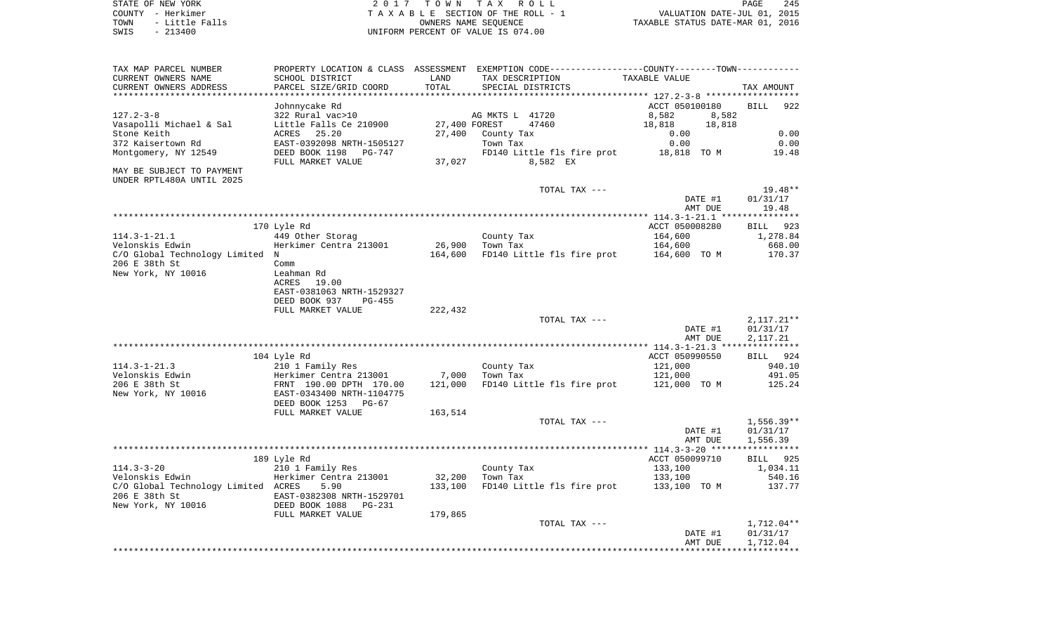| STATE OF NEW YORK<br>COUNTY - Herkimer<br>TOWN<br>- Little Falls<br>SWIS<br>$-213400$ |                                                   |                   | 2017 TOWN TAX ROLL<br>TAXABLE SECTION OF THE ROLL - 1<br>OWNERS NAME SEQUENCE<br>UNIFORM PERCENT OF VALUE IS 074.00 | VALUATION DATE-JUL 01, 2015<br>TAXABLE STATUS DATE-MAR 01, 2016 | PAGE<br>245              |
|---------------------------------------------------------------------------------------|---------------------------------------------------|-------------------|---------------------------------------------------------------------------------------------------------------------|-----------------------------------------------------------------|--------------------------|
| TAX MAP PARCEL NUMBER<br>CURRENT OWNERS NAME                                          | SCHOOL DISTRICT                                   | LAND              | PROPERTY LOCATION & CLASS ASSESSMENT EXEMPTION CODE---------------COUNTY-------TOWN----------<br>TAX DESCRIPTION    | TAXABLE VALUE                                                   |                          |
| CURRENT OWNERS ADDRESS                                                                | PARCEL SIZE/GRID COORD                            | TOTAL             | SPECIAL DISTRICTS                                                                                                   |                                                                 | TAX AMOUNT               |
|                                                                                       |                                                   |                   |                                                                                                                     |                                                                 |                          |
|                                                                                       | Johnnycake Rd                                     |                   |                                                                                                                     | ACCT 050100180                                                  | BILL 922                 |
| $127.2 - 3 - 8$                                                                       | 322 Rural vac>10<br>Little Falls Ce 210900        |                   | AG MKTS L 41720<br>27,400 FOREST<br>47460                                                                           | 8,582<br>8,582<br>18,818<br>18,818                              |                          |
| Vasapolli Michael & Sal<br>Stone Keith                                                | ACRES 25.20                                       |                   | 27,400 County Tax                                                                                                   | 0.00                                                            | 0.00                     |
| 372 Kaisertown Rd                                                                     | EAST-0392098 NRTH-1505127                         |                   | Town Tax                                                                                                            | 0.00                                                            | 0.00                     |
| Montgomery, NY 12549                                                                  | DEED BOOK 1198 PG-747                             |                   | FD140 Little fls fire prot 18,818 TO M                                                                              |                                                                 | 19.48                    |
| MAY BE SUBJECT TO PAYMENT<br>UNDER RPTL480A UNTIL 2025                                | FULL MARKET VALUE                                 | 37,027            | 8,582 EX                                                                                                            |                                                                 |                          |
|                                                                                       |                                                   |                   | TOTAL TAX ---                                                                                                       |                                                                 | 19.48**                  |
|                                                                                       |                                                   |                   |                                                                                                                     | DATE #1<br>AMT DUE                                              | 01/31/17<br>19.48        |
|                                                                                       |                                                   |                   |                                                                                                                     |                                                                 |                          |
| $114.3 - 1 - 21.1$                                                                    | 170 Lyle Rd<br>449 Other Storag                   |                   |                                                                                                                     | ACCT 050008280<br>164,600                                       | BILL 923<br>1,278.84     |
| Velonskis Edwin                                                                       | Herkimer Centra 213001                            |                   | County Tax<br>26,900 Town Tax                                                                                       | 164,600                                                         | 668.00                   |
| C/O Global Technology Limited N                                                       |                                                   | 164,600           | FD140 Little fls fire prot 164,600 TO M                                                                             |                                                                 | 170.37                   |
| 206 E 38th St<br>New York, NY 10016                                                   | Comm<br>Leahman Rd                                |                   |                                                                                                                     |                                                                 |                          |
|                                                                                       | ACRES<br>19.00<br>EAST-0381063 NRTH-1529327       |                   |                                                                                                                     |                                                                 |                          |
|                                                                                       | DEED BOOK 937<br>PG-455                           |                   |                                                                                                                     |                                                                 |                          |
|                                                                                       | FULL MARKET VALUE                                 | 222,432           |                                                                                                                     |                                                                 |                          |
|                                                                                       |                                                   |                   | TOTAL TAX ---                                                                                                       | DATE #1                                                         | $2,117.21**$<br>01/31/17 |
|                                                                                       |                                                   |                   |                                                                                                                     | AMT DUE                                                         | 2,117.21                 |
|                                                                                       |                                                   |                   |                                                                                                                     |                                                                 |                          |
|                                                                                       | 104 Lyle Rd                                       |                   |                                                                                                                     | ACCT 050990550                                                  | BILL 924                 |
| 114.3-1-21.3<br>Velonskis Edwin                                                       | 210 1 Family Res<br>Herkimer Centra 213001        | 7,000             | County Tax<br>Town Tax                                                                                              | 121,000<br>121,000                                              | 940.10<br>491.05         |
| 206 E 38th St                                                                         | FRNT 190.00 DPTH 170.00                           | 121,000           | FD140 Little fls fire prot 121,000 TO M                                                                             |                                                                 | 125.24                   |
| New York, NY 10016                                                                    | EAST-0343400 NRTH-1104775<br>DEED BOOK 1253 PG-67 |                   |                                                                                                                     |                                                                 |                          |
|                                                                                       | FULL MARKET VALUE                                 | 163,514           |                                                                                                                     |                                                                 |                          |
|                                                                                       |                                                   |                   | TOTAL TAX ---                                                                                                       |                                                                 | $1,556.39**$             |
|                                                                                       |                                                   |                   |                                                                                                                     | DATE #1<br>AMT DUE                                              | 01/31/17<br>1,556.39     |
|                                                                                       |                                                   |                   |                                                                                                                     |                                                                 |                          |
|                                                                                       | 189 Lyle Rd                                       |                   |                                                                                                                     | ACCT 050099710                                                  | BILL 925                 |
| 114.3-3-20                                                                            | 210 1 Family Res                                  |                   | County Tax                                                                                                          | 133,100                                                         | 1,034.11                 |
| Velonskis Edwin<br>C/O Global Technology Limited ACRES                                | Herkimer Centra 213001<br>5.90                    | 32,200<br>133,100 | Town Tax<br>FD140 Little fls fire prot 133,100 TO M                                                                 | 133,100                                                         | 540.16<br>137.77         |
| 206 E 38th St                                                                         | EAST-0382308 NRTH-1529701                         |                   |                                                                                                                     |                                                                 |                          |
| New York, NY 10016                                                                    | DEED BOOK 1088 PG-231                             |                   |                                                                                                                     |                                                                 |                          |
|                                                                                       | FULL MARKET VALUE                                 | 179,865           |                                                                                                                     |                                                                 |                          |

TOTAL TAX ---  $1,712.04**$  DATE #1 01/31/17 AMT DUE 1,712.04 \*\*\*\*\*\*\*\*\*\*\*\*\*\*\*\*\*\*\*\*\*\*\*\*\*\*\*\*\*\*\*\*\*\*\*\*\*\*\*\*\*\*\*\*\*\*\*\*\*\*\*\*\*\*\*\*\*\*\*\*\*\*\*\*\*\*\*\*\*\*\*\*\*\*\*\*\*\*\*\*\*\*\*\*\*\*\*\*\*\*\*\*\*\*\*\*\*\*\*\*\*\*\*\*\*\*\*\*\*\*\*\*\*\*\*\*\*\*\*\*\*\*\*\*\*\*\*\*\*\*\*\*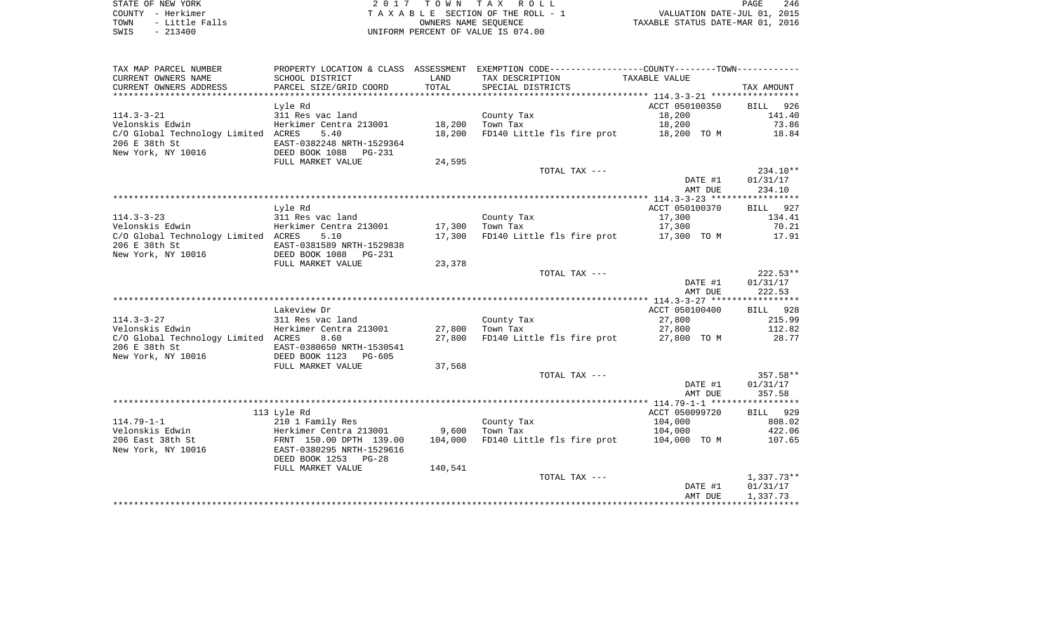STATE OF NEW YORK 2 0 1 7 T O W N T A X R O L L PAGE 246COUNTY - Herkimer T A X A B L E SECTION OF THE ROLL - 1 TOWN - Little Falls OWNERS NAME SEQUENCE TAXABLE STATUS DATE-MAR 01, 2016 SWIS - 213400 UNIFORM PERCENT OF VALUE IS 074.00

| TAX MAP PARCEL NUMBER<br>CURRENT OWNERS NAME<br>CURRENT OWNERS ADDRESS | SCHOOL DISTRICT<br>PARCEL SIZE/GRID COORD | LAND<br>TOTAL | PROPERTY LOCATION & CLASS ASSESSMENT EXEMPTION CODE----------------COUNTY--------TOWN----------<br>TAX DESCRIPTION<br>SPECIAL DISTRICTS | TAXABLE VALUE  | TAX AMOUNT   |
|------------------------------------------------------------------------|-------------------------------------------|---------------|-----------------------------------------------------------------------------------------------------------------------------------------|----------------|--------------|
|                                                                        |                                           |               |                                                                                                                                         |                |              |
|                                                                        | Lyle Rd                                   |               |                                                                                                                                         | ACCT 050100350 | BILL 926     |
| $114.3 - 3 - 21$                                                       | 311 Res vac land                          |               | County Tax                                                                                                                              | 18,200         | 141.40       |
| Velonskis Edwin                                                        | Herkimer Centra 213001                    | 18,200        | Town Tax                                                                                                                                | 18,200         | 73.86        |
| C/O Global Technology Limited ACRES                                    | 5.40                                      | 18,200        | FD140 Little fls fire prot 18,200 TO M                                                                                                  |                | 18.84        |
| 206 E 38th St                                                          | EAST-0382248 NRTH-1529364                 |               |                                                                                                                                         |                |              |
| New York, NY 10016                                                     | DEED BOOK 1088 PG-231                     |               |                                                                                                                                         |                |              |
|                                                                        | FULL MARKET VALUE                         | 24,595        |                                                                                                                                         |                |              |
|                                                                        |                                           |               | TOTAL TAX ---                                                                                                                           |                | 234.10**     |
|                                                                        |                                           |               |                                                                                                                                         | DATE #1        | 01/31/17     |
|                                                                        |                                           |               |                                                                                                                                         | AMT DUE        | 234.10       |
|                                                                        | Lyle Rd                                   |               |                                                                                                                                         | ACCT 050100370 | BILL 927     |
| $114.3 - 3 - 23$                                                       | 311 Res vac land                          |               | County Tax                                                                                                                              | 17,300         | 134.41       |
| Velonskis Edwin                                                        | Herkimer Centra 213001                    |               | 17,300 Town Tax                                                                                                                         | 17,300         | 70.21        |
| C/O Global Technology Limited ACRES                                    | 5.10                                      | 17,300        | FD140 Little fls fire prot 17,300 TO M                                                                                                  |                | 17.91        |
| 206 E 38th St                                                          | EAST-0381589 NRTH-1529838                 |               |                                                                                                                                         |                |              |
| New York, NY 10016                                                     | DEED BOOK 1088 PG-231                     |               |                                                                                                                                         |                |              |
|                                                                        | FULL MARKET VALUE                         | 23,378        |                                                                                                                                         |                |              |
|                                                                        |                                           |               | TOTAL TAX ---                                                                                                                           |                | $222.53**$   |
|                                                                        |                                           |               |                                                                                                                                         | DATE #1        | 01/31/17     |
|                                                                        |                                           |               |                                                                                                                                         | AMT DUE        | 222.53       |
|                                                                        |                                           |               |                                                                                                                                         |                |              |
|                                                                        | Lakeview Dr                               |               |                                                                                                                                         | ACCT 050100400 | BILL 928     |
| $114.3 - 3 - 27$                                                       | 311 Res vac land                          |               | County Tax                                                                                                                              | 27,800         | 215.99       |
| Velonskis Edwin                                                        | Herkimer Centra 213001                    | 27,800        | Town Tax                                                                                                                                | 27,800         | 112.82       |
| C/O Global Technology Limited ACRES                                    | 8.60                                      | 27,800        | FD140 Little fls fire prot 27,800 TO M                                                                                                  |                | 28.77        |
| 206 E 38th St                                                          | EAST-0380650 NRTH-1530541                 |               |                                                                                                                                         |                |              |
| New York, NY 10016                                                     | DEED BOOK 1123 PG-605                     |               |                                                                                                                                         |                |              |
|                                                                        | FULL MARKET VALUE                         | 37,568        | TOTAL TAX ---                                                                                                                           |                | 357.58**     |
|                                                                        |                                           |               |                                                                                                                                         | DATE #1        | 01/31/17     |
|                                                                        |                                           |               |                                                                                                                                         | AMT DUE        | 357.58       |
|                                                                        |                                           |               |                                                                                                                                         |                |              |
|                                                                        | 113 Lyle Rd                               |               |                                                                                                                                         | ACCT 050099720 | BILL 929     |
| $114.79 - 1 - 1$                                                       | 210 1 Family Res                          |               | County Tax                                                                                                                              | 104,000        | 808.02       |
| Velonskis Edwin                                                        | Herkimer Centra 213001                    | 9.600         | Town Tax                                                                                                                                | 104,000        | 422.06       |
| 206 East 38th St                                                       | FRNT 150.00 DPTH 139.00                   | 104,000       | FD140 Little fls fire prot 104,000 TO M                                                                                                 |                | 107.65       |
| New York, NY 10016                                                     | EAST-0380295 NRTH-1529616                 |               |                                                                                                                                         |                |              |
|                                                                        | DEED BOOK 1253 PG-28                      |               |                                                                                                                                         |                |              |
|                                                                        | FULL MARKET VALUE                         | 140,541       |                                                                                                                                         |                |              |
|                                                                        |                                           |               | TOTAL TAX ---                                                                                                                           |                | $1,337.73**$ |
|                                                                        |                                           |               |                                                                                                                                         | DATE #1        | 01/31/17     |
|                                                                        |                                           |               |                                                                                                                                         | AMT DUE        | 1,337.73     |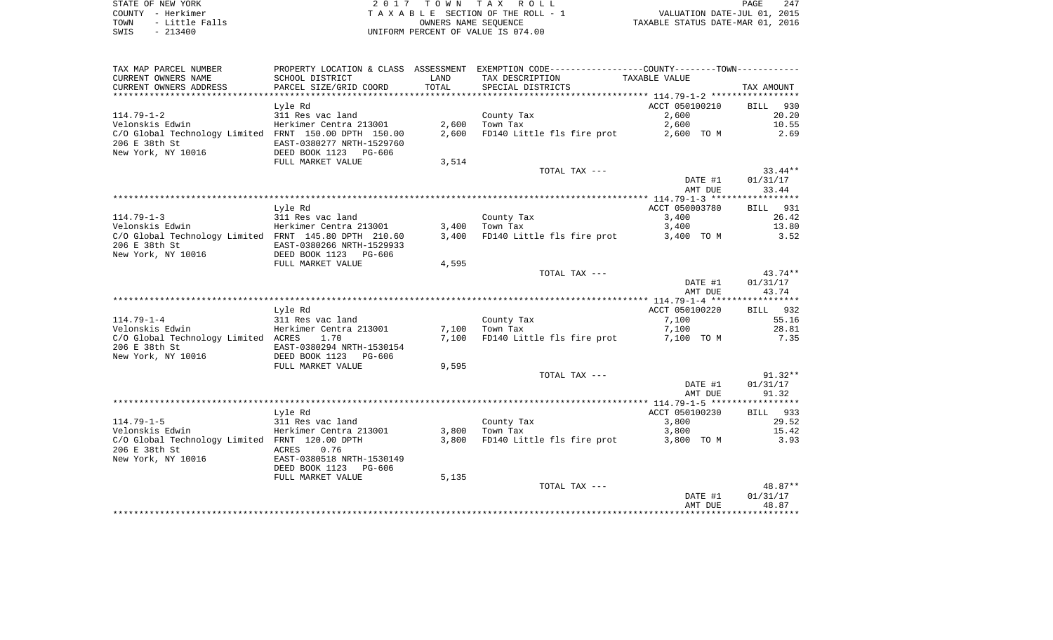STATE OF NEW YORK 2 0 1 7 T O W N T A X R O L L PAGE 247 COUNTY - Herkimer T A X A B L E SECTION OF THE ROLL - 1 VALUATION DATE-JUL 01, 2015 TOWN - Little Falls OWNERS NAME SEQUENCE TAXABLE STATUS DATE-MAR 01, 2016 SWIS - 213400 UNIFORM PERCENT OF VALUE IS 074.00

| TAX MAP PARCEL NUMBER<br>CURRENT OWNERS NAME                                                 | PROPERTY LOCATION & CLASS ASSESSMENT EXEMPTION CODE---------------COUNTY-------TOWN----------<br>SCHOOL DISTRICT | LAND  | TAX DESCRIPTION            | TAXABLE VALUE      |                                |
|----------------------------------------------------------------------------------------------|------------------------------------------------------------------------------------------------------------------|-------|----------------------------|--------------------|--------------------------------|
| CURRENT OWNERS ADDRESS                                                                       | PARCEL SIZE/GRID COORD                                                                                           | TOTAL | SPECIAL DISTRICTS          |                    | TAX AMOUNT                     |
|                                                                                              | Lyle Rd                                                                                                          |       |                            | ACCT 050100210     | BILL 930                       |
| $114.79 - 1 - 2$                                                                             | 311 Res vac land                                                                                                 |       | County Tax                 | 2,600              | 20.20                          |
| Velonskis Edwin                                                                              | Herkimer Centra 213001                                                                                           | 2,600 | Town Tax                   | 2,600              | 10.55                          |
| C/O Global Technology Limited FRNT 150.00 DPTH 150.00<br>206 E 38th St<br>New York, NY 10016 | EAST-0380277 NRTH-1529760<br>DEED BOOK 1123 PG-606                                                               | 2,600 | FD140 Little fls fire prot | 2,600 TO M         | 2.69                           |
|                                                                                              | FULL MARKET VALUE                                                                                                | 3,514 |                            |                    |                                |
|                                                                                              |                                                                                                                  |       | TOTAL TAX ---              |                    | $33.44**$                      |
|                                                                                              |                                                                                                                  |       |                            | DATE #1<br>AMT DUE | 01/31/17<br>33.44              |
|                                                                                              |                                                                                                                  |       |                            |                    |                                |
|                                                                                              | Lyle Rd                                                                                                          |       |                            | ACCT 050003780     | BILL 931                       |
| $114.79 - 1 - 3$                                                                             | 311 Res vac land                                                                                                 |       | County Tax                 | 3,400              | 26.42                          |
| Velonskis Edwin                                                                              | Herkimer Centra 213001                                                                                           | 3,400 | Town Tax                   | 3,400              | 13.80                          |
| C/O Global Technology Limited FRNT 145.80 DPTH 210.60<br>206 E 38th St                       | EAST-0380266 NRTH-1529933                                                                                        | 3,400 | FD140 Little fls fire prot | 3,400 TO M         | 3.52                           |
| New York, NY 10016                                                                           | DEED BOOK 1123 PG-606<br>FULL MARKET VALUE                                                                       | 4,595 |                            |                    |                                |
|                                                                                              |                                                                                                                  |       | TOTAL TAX ---              |                    | 43.74**                        |
|                                                                                              |                                                                                                                  |       |                            | DATE #1            | 01/31/17                       |
|                                                                                              |                                                                                                                  |       |                            | AMT DUE            | 43.74                          |
|                                                                                              |                                                                                                                  |       |                            |                    |                                |
|                                                                                              | Lyle Rd                                                                                                          |       |                            | ACCT 050100220     | BILL 932                       |
| $114.79 - 1 - 4$                                                                             | 311 Res vac land                                                                                                 |       | County Tax                 | 7,100              | 55.16                          |
| Velonskis Edwin                                                                              | Herkimer Centra 213001                                                                                           | 7,100 | Town Tax                   | 7,100              | 28.81                          |
| C/O Global Technology Limited ACRES<br>206 E 38th St<br>New York, NY 10016                   | 1.70<br>EAST-0380294 NRTH-1530154<br>DEED BOOK 1123 PG-606                                                       | 7,100 | FD140 Little fls fire prot | 7,100 TO M         | 7.35                           |
|                                                                                              | FULL MARKET VALUE                                                                                                | 9,595 |                            |                    |                                |
|                                                                                              |                                                                                                                  |       | TOTAL TAX ---              | DATE #1<br>AMT DUE | $91.32**$<br>01/31/17<br>91.32 |
|                                                                                              |                                                                                                                  |       |                            |                    |                                |
|                                                                                              | Lyle Rd                                                                                                          |       |                            | ACCT 050100230     | BILL 933                       |
| $114.79 - 1 - 5$                                                                             | 311 Res vac land                                                                                                 |       | County Tax                 | 3,800              | 29.52                          |
| Velonskis Edwin                                                                              | Herkimer Centra 213001                                                                                           | 3,800 | Town Tax                   | 3,800              | 15.42                          |
| C/O Global Technology Limited FRNT 120.00 DPTH                                               |                                                                                                                  | 3,800 | FD140 Little fls fire prot | 3,800 TO M         | 3.93                           |
| 206 E 38th St                                                                                | ACRES<br>0.76                                                                                                    |       |                            |                    |                                |
| New York, NY 10016                                                                           | EAST-0380518 NRTH-1530149                                                                                        |       |                            |                    |                                |
|                                                                                              | DEED BOOK 1123 PG-606                                                                                            |       |                            |                    |                                |
|                                                                                              | FULL MARKET VALUE                                                                                                | 5,135 |                            |                    |                                |
|                                                                                              |                                                                                                                  |       | TOTAL TAX ---              |                    | 48.87**                        |
|                                                                                              |                                                                                                                  |       |                            | DATE #1<br>AMT DUE | 01/31/17<br>48.87              |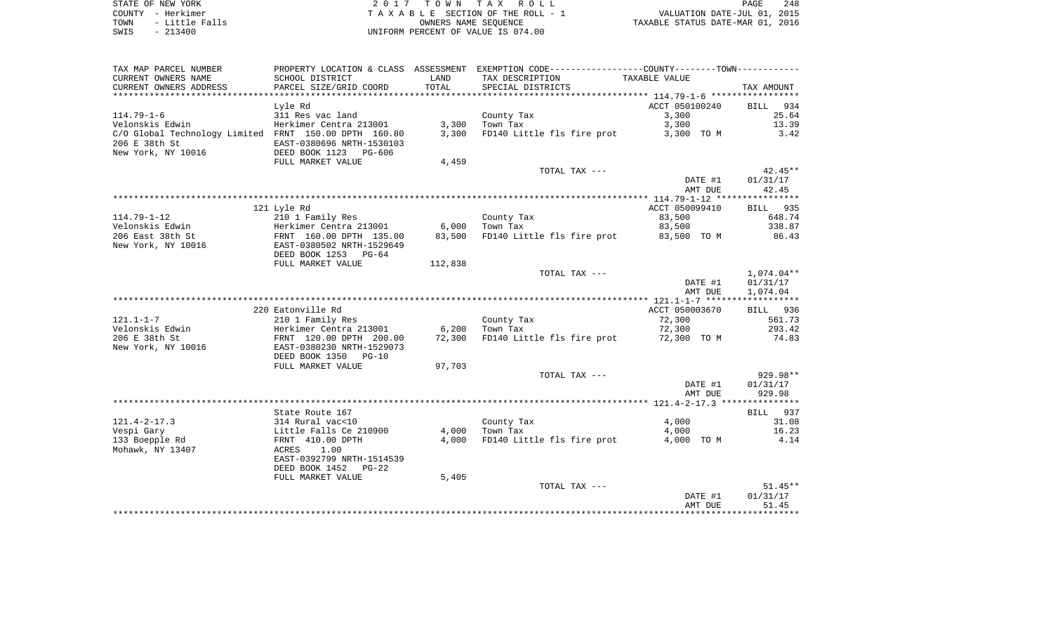| TAX MAP PARCEL NUMBER                                 | PROPERTY LOCATION & CLASS ASSESSMENT |         |                                        |                |                    |
|-------------------------------------------------------|--------------------------------------|---------|----------------------------------------|----------------|--------------------|
| CURRENT OWNERS NAME                                   | SCHOOL DISTRICT                      | LAND    | TAX DESCRIPTION                        | TAXABLE VALUE  |                    |
| CURRENT OWNERS ADDRESS                                | PARCEL SIZE/GRID COORD               | TOTAL   | SPECIAL DISTRICTS                      |                | TAX AMOUNT         |
|                                                       |                                      |         |                                        |                |                    |
|                                                       | Lyle Rd                              |         |                                        | ACCT 050100240 | <b>BILL</b><br>934 |
| $114.79 - 1 - 6$                                      | 311 Res vac land                     |         |                                        | 3,300          | 25.64              |
|                                                       |                                      |         | County Tax                             |                |                    |
| Velonskis Edwin                                       | Herkimer Centra 213001               | 3,300   | Town Tax                               | 3,300          | 13.39              |
| C/O Global Technology Limited FRNT 150.00 DPTH 160.80 |                                      | 3,300   | FD140 Little fls fire prot             | 3,300 TO M     | 3.42               |
| 206 E 38th St                                         | EAST-0380696 NRTH-1530103            |         |                                        |                |                    |
| New York, NY 10016                                    | DEED BOOK 1123 PG-606                |         |                                        |                |                    |
|                                                       | FULL MARKET VALUE                    | 4,459   |                                        |                |                    |
|                                                       |                                      |         | TOTAL TAX ---                          |                | $42.45**$          |
|                                                       |                                      |         |                                        | DATE #1        | 01/31/17           |
|                                                       |                                      |         |                                        | AMT DUE        | 42.45              |
|                                                       |                                      |         |                                        |                |                    |
|                                                       | 121 Lyle Rd                          |         |                                        | ACCT 050099410 | 935<br>BILL        |
| $114.79 - 1 - 12$                                     | 210 1 Family Res                     |         | County Tax                             | 83,500         | 648.74             |
| Velonskis Edwin                                       | Herkimer Centra 213001               | 6,000   | Town Tax                               | 83,500         | 338.87             |
|                                                       |                                      |         | FD140 Little fls fire prot             |                |                    |
| 206 East 38th St                                      | FRNT 160.00 DPTH 135.00              | 83,500  |                                        | 83,500 TO M    | 86.43              |
| New York, NY 10016                                    | EAST-0380502 NRTH-1529649            |         |                                        |                |                    |
|                                                       | DEED BOOK 1253 PG-64                 |         |                                        |                |                    |
|                                                       | FULL MARKET VALUE                    | 112,838 |                                        |                |                    |
|                                                       |                                      |         | TOTAL TAX ---                          |                | 1,074.04**         |
|                                                       |                                      |         |                                        | DATE #1        | 01/31/17           |
|                                                       |                                      |         |                                        | AMT DUE        | 1,074.04           |
|                                                       |                                      |         |                                        |                |                    |
|                                                       | 220 Eatonville Rd                    |         |                                        | ACCT 050003670 | BILL 936           |
| $121.1 - 1 - 7$                                       | 210 1 Family Res                     |         | County Tax                             | 72,300         | 561.73             |
| Velonskis Edwin                                       | Herkimer Centra 213001               | 6,200   | Town Tax                               | 72,300         | 293.42             |
| 206 E 38th St                                         | FRNT 120.00 DPTH 200.00              | 72,300  | FD140 Little fls fire prot 72,300 TO M |                | 74.83              |
| New York, NY 10016                                    | EAST-0380230 NRTH-1529073            |         |                                        |                |                    |
|                                                       |                                      |         |                                        |                |                    |
|                                                       | DEED BOOK 1350 PG-10                 |         |                                        |                |                    |
|                                                       | FULL MARKET VALUE                    | 97,703  |                                        |                |                    |
|                                                       |                                      |         | TOTAL TAX ---                          |                | 929.98**           |
|                                                       |                                      |         |                                        | DATE #1        | 01/31/17           |
|                                                       |                                      |         |                                        | AMT DUE        | 929.98             |
|                                                       |                                      |         |                                        |                |                    |
|                                                       | State Route 167                      |         |                                        |                | BILL 937           |
| $121.4 - 2 - 17.3$                                    | 314 Rural vac<10                     |         | County Tax                             | 4,000          | 31.08              |
| Vespi Gary                                            | Little Falls Ce 210900               | 4,000   | Town Tax                               | 4,000          | 16.23              |
| 133 Boepple Rd                                        | FRNT 410.00 DPTH                     | 4,000   | FD140 Little fls fire prot             | 4,000 TO M     | 4.14               |
| Mohawk, NY 13407                                      | ACRES<br>1.00                        |         |                                        |                |                    |
|                                                       | EAST-0392799 NRTH-1514539            |         |                                        |                |                    |
|                                                       | DEED BOOK 1452 PG-22                 |         |                                        |                |                    |
|                                                       |                                      |         |                                        |                |                    |
|                                                       | FULL MARKET VALUE                    | 5,405   |                                        |                |                    |
|                                                       |                                      |         | TOTAL TAX ---                          |                | $51.45**$          |
|                                                       |                                      |         |                                        | DATE #1        | 01/31/17           |
|                                                       |                                      |         |                                        | AMT DUE        | 51.45              |
|                                                       |                                      |         |                                        |                |                    |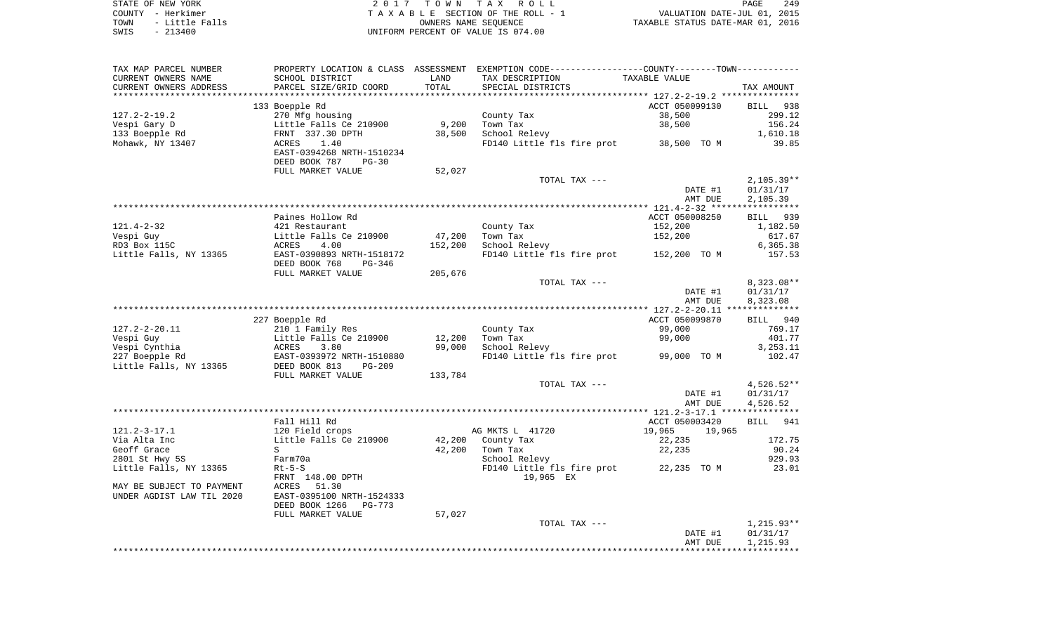| STATE OF NEW YORK      | 2017 TOWN TAX ROLL                 | 249<br>PAGE                      |
|------------------------|------------------------------------|----------------------------------|
| COUNTY - Herkimer      | TAXABLE SECTION OF THE ROLL - 1    | VALUATION DATE-JUL 01, 2015      |
| - Little Falls<br>TOWN | OWNERS NAME SEOUENCE               | TAXABLE STATUS DATE-MAR 01, 2016 |
| SWIS<br>$-213400$      | UNIFORM PERCENT OF VALUE IS 074.00 |                                  |

| TAX MAP PARCEL NUMBER     |                                                                                           |                   | PROPERTY LOCATION & CLASS ASSESSMENT EXEMPTION CODE----------------COUNTY--------TOWN---------- |                  |                          |
|---------------------------|-------------------------------------------------------------------------------------------|-------------------|-------------------------------------------------------------------------------------------------|------------------|--------------------------|
| CURRENT OWNERS NAME       | SCHOOL DISTRICT                                                                           | LAND              | TAX DESCRIPTION                                                                                 | TAXABLE VALUE    |                          |
| CURRENT OWNERS ADDRESS    | PARCEL SIZE/GRID COORD                                                                    | TOTAL             | SPECIAL DISTRICTS                                                                               |                  | TAX AMOUNT               |
|                           |                                                                                           |                   |                                                                                                 |                  |                          |
|                           | 133 Boepple Rd                                                                            |                   |                                                                                                 | ACCT 050099130   | BILL 938                 |
| $127.2 - 2 - 19.2$        | 270 Mfg housing                                                                           |                   | County Tax                                                                                      | 38,500           | 299.12                   |
| Vespi Gary D              | Little Falls Ce 210900                                                                    | 9,200             | Town Tax                                                                                        | 38,500           | 156.24                   |
| 133 Boepple Rd            | FRNT 337.30 DPTH                                                                          | 38,500            | School Relevy                                                                                   |                  | 1,610.18                 |
| Mohawk, NY 13407          | 1.40<br>ACRES<br>EAST-0394268 NRTH-1510234                                                |                   | FD140 Little fls fire prot 38,500 TO M                                                          |                  | 39.85                    |
|                           | DEED BOOK 787<br>$PG-30$                                                                  |                   |                                                                                                 |                  |                          |
|                           | FULL MARKET VALUE                                                                         | 52,027            |                                                                                                 |                  |                          |
|                           |                                                                                           |                   | TOTAL TAX ---                                                                                   |                  | $2,105.39**$             |
|                           |                                                                                           |                   |                                                                                                 | DATE #1          | 01/31/17                 |
|                           |                                                                                           |                   |                                                                                                 | AMT DUE          | 2,105.39                 |
|                           | Paines Hollow Rd                                                                          |                   |                                                                                                 | ACCT 050008250   | BILL 939                 |
|                           |                                                                                           |                   |                                                                                                 | 152,200          |                          |
| $121.4 - 2 - 32$          | 421 Restaurant                                                                            |                   | County Tax<br>Town Tax                                                                          | 152,200          | 1,182.50<br>617.67       |
| Vespi Guy<br>RD3 Box 115C | Little Falls Ce 210900<br>ACRES<br>4.00                                                   | 47,200<br>152,200 | School Relevy                                                                                   |                  | 6,365.38                 |
| Little Falls, NY 13365    | EAST-0390893 NRTH-1518172                                                                 |                   | FD140 Little fls fire prot 152,200 TO M                                                         |                  | 157.53                   |
|                           | DEED BOOK 768<br>PG-346                                                                   |                   |                                                                                                 |                  |                          |
|                           | FULL MARKET VALUE                                                                         | 205,676           |                                                                                                 |                  |                          |
|                           |                                                                                           |                   | TOTAL TAX ---                                                                                   | DATE #1          | $8,323.08**$<br>01/31/17 |
|                           |                                                                                           |                   |                                                                                                 | AMT DUE          | 8,323.08                 |
|                           |                                                                                           |                   |                                                                                                 |                  |                          |
|                           | 227 Boepple Rd                                                                            |                   |                                                                                                 | ACCT 050099870   | BILL 940                 |
| $127.2 - 2 - 20.11$       | 210 1 Family Res                                                                          |                   | County Tax                                                                                      | 99,000           | 769.17                   |
| Vespi Guy                 |                                                                                           | 12,200            | Town Tax                                                                                        | 99,000           | 401.77                   |
| Vespi Cynthia             |                                                                                           | 99,000            | School Relevy                                                                                   |                  | 3,253.11                 |
| 227 Boepple Rd            |                                                                                           |                   | FD140 Little fls fire prot 99,000 TO M                                                          |                  | 102.47                   |
| Little Falls, NY 13365    | Little Falls Ce 210900<br>ACRES 3.80<br>EAST-0393972 NRTH-1510880<br>DEED BOOK 813 PG-209 |                   |                                                                                                 |                  |                          |
|                           | FULL MARKET VALUE                                                                         | 133,784           |                                                                                                 |                  |                          |
|                           |                                                                                           |                   | TOTAL TAX ---                                                                                   |                  | $4,526.52**$             |
|                           |                                                                                           |                   |                                                                                                 | DATE #1          | 01/31/17                 |
|                           |                                                                                           |                   |                                                                                                 | AMT DUE          | 4,526.52                 |
|                           |                                                                                           |                   |                                                                                                 |                  |                          |
|                           | Fall Hill Rd                                                                              |                   |                                                                                                 | ACCT 050003420   | BILL 941                 |
| $121.2 - 3 - 17.1$        | 120 Field crops                                                                           |                   | AG MKTS L 41720                                                                                 | 19,965<br>19,965 |                          |
| Via Alta Inc              | Little Falls Ce 210900                                                                    |                   | 42,200 County Tax                                                                               | 22,235           | 172.75                   |
| Geoff Grace               | S                                                                                         | 42,200            | Town Tax                                                                                        | 22,235           | 90.24                    |
| 2801 St Hwy 5S            | Farm70a                                                                                   |                   | School Relevy                                                                                   |                  | 929.93                   |
| Little Falls, NY 13365    | $Rt-5-S$<br>FRNT 148.00 DPTH                                                              |                   | FD140 Little fls fire prot 22,235 TO M<br>19,965 EX                                             |                  | 23.01                    |
| MAY BE SUBJECT TO PAYMENT | 51.30<br>ACRES                                                                            |                   |                                                                                                 |                  |                          |
| UNDER AGDIST LAW TIL 2020 | EAST-0395100 NRTH-1524333                                                                 |                   |                                                                                                 |                  |                          |
|                           | DEED BOOK 1266<br>PG-773                                                                  |                   |                                                                                                 |                  |                          |
|                           | FULL MARKET VALUE                                                                         | 57,027            |                                                                                                 |                  |                          |
|                           |                                                                                           |                   | TOTAL TAX ---                                                                                   |                  | 1,215.93**               |
|                           |                                                                                           |                   |                                                                                                 | DATE #1          | 01/31/17                 |
|                           |                                                                                           |                   |                                                                                                 | AMT DUE          | 1,215.93                 |
|                           |                                                                                           |                   |                                                                                                 |                  |                          |
|                           |                                                                                           |                   |                                                                                                 |                  |                          |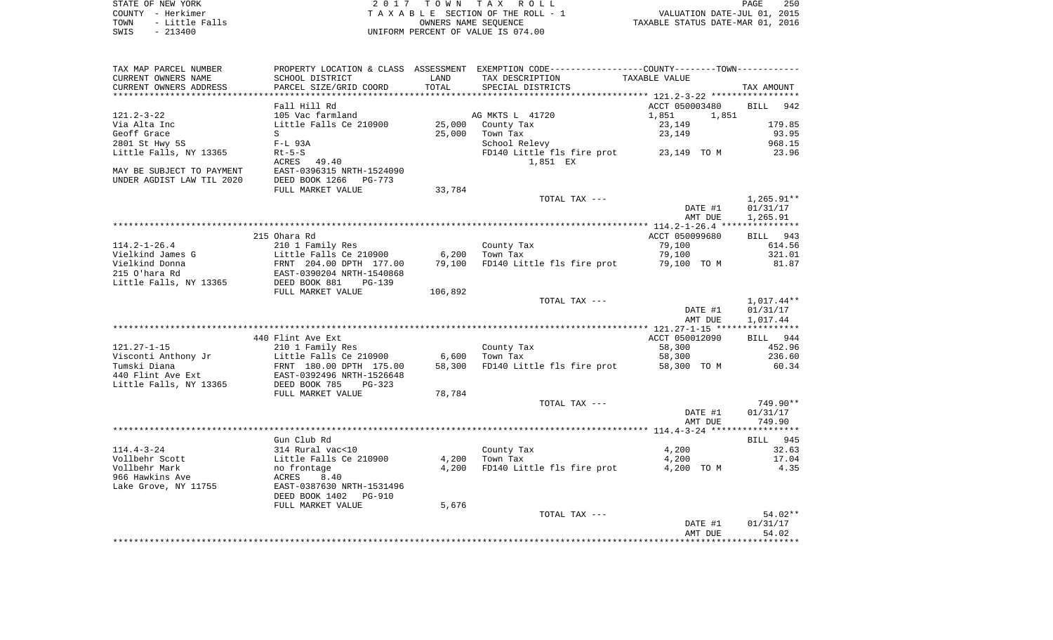| STATE OF NEW YORK      | 2017 TOWN TAX ROLL                 | 250<br>PAGE                      |
|------------------------|------------------------------------|----------------------------------|
| COUNTY - Herkimer      | TAXABLE SECTION OF THE ROLL - 1    | VALUATION DATE-JUL 01, 2015      |
| - Little Falls<br>TOWN | OWNERS NAME SEOUENCE               | TAXABLE STATUS DATE-MAR 01, 2016 |
| $-213400$<br>SWIS      | UNIFORM PERCENT OF VALUE IS 074.00 |                                  |

| TAX MAP PARCEL NUMBER         |                                                   |         | PROPERTY LOCATION & CLASS ASSESSMENT EXEMPTION CODE----------------COUNTY--------TOWN---------- |                |                    |
|-------------------------------|---------------------------------------------------|---------|-------------------------------------------------------------------------------------------------|----------------|--------------------|
| CURRENT OWNERS NAME           | SCHOOL DISTRICT                                   | LAND    | TAX DESCRIPTION                                                                                 | TAXABLE VALUE  |                    |
| CURRENT OWNERS ADDRESS        | PARCEL SIZE/GRID COORD                            | TOTAL   | SPECIAL DISTRICTS                                                                               |                | TAX AMOUNT         |
| ***************************** |                                                   |         |                                                                                                 |                |                    |
|                               | Fall Hill Rd                                      |         |                                                                                                 | ACCT 050003480 | <b>BILL</b><br>942 |
| $121.2 - 3 - 22$              | 105 Vac farmland                                  |         | AG MKTS L 41720                                                                                 | 1,851<br>1,851 |                    |
| Via Alta Inc                  | Little Falls Ce 210900                            | 25,000  | County Tax                                                                                      | 23,149         | 179.85             |
| Geoff Grace                   | S                                                 | 25,000  | Town Tax                                                                                        | 23,149         | 93.95              |
| 2801 St Hwy 5S                | $F-L$ 93A                                         |         | School Relevy                                                                                   |                | 968.15             |
| Little Falls, NY 13365        | $Rt-5-S$                                          |         | FD140 Little fls fire prot 23,149 TO M                                                          |                | 23.96              |
|                               | ACRES 49.40                                       |         | 1,851 EX                                                                                        |                |                    |
| MAY BE SUBJECT TO PAYMENT     | EAST-0396315 NRTH-1524090                         |         |                                                                                                 |                |                    |
| UNDER AGDIST LAW TIL 2020     | DEED BOOK 1266<br>PG-773                          |         |                                                                                                 |                |                    |
|                               | FULL MARKET VALUE                                 | 33,784  |                                                                                                 |                |                    |
|                               |                                                   |         | TOTAL TAX ---                                                                                   |                | $1,265.91**$       |
|                               |                                                   |         |                                                                                                 | DATE #1        | 01/31/17           |
|                               |                                                   |         |                                                                                                 | AMT DUE        | 1,265.91           |
|                               |                                                   |         |                                                                                                 |                |                    |
|                               | 215 Ohara Rd                                      |         |                                                                                                 | ACCT 050099680 | BILL 943           |
| $114.2 - 1 - 26.4$            | 210 1 Family Res                                  |         | County Tax                                                                                      | 79,100         | 614.56             |
| Vielkind James G              | Little Falls Ce 210900                            | 6,200   | Town Tax                                                                                        | 79,100         | 321.01             |
| Vielkind Donna                | FRNT 204.00 DPTH 177.00                           | 79,100  | FD140 Little fls fire prot                                                                      | 79,100 TO M    | 81.87              |
| 215 O'hara Rd                 | EAST-0390204 NRTH-1540868                         |         |                                                                                                 |                |                    |
| Little Falls, NY 13365        | DEED BOOK 881<br>$PG-139$                         |         |                                                                                                 |                |                    |
|                               | FULL MARKET VALUE                                 | 106,892 |                                                                                                 |                |                    |
|                               |                                                   |         | TOTAL TAX ---                                                                                   |                | $1,017.44**$       |
|                               |                                                   |         |                                                                                                 | DATE #1        | 01/31/17           |
|                               |                                                   |         |                                                                                                 | AMT DUE        | 1,017.44           |
|                               |                                                   |         |                                                                                                 |                |                    |
|                               | 440 Flint Ave Ext                                 |         |                                                                                                 | ACCT 050012090 | BILL 944           |
| $121.27 - 1 - 15$             | 210 1 Family Res                                  |         | County Tax                                                                                      | 58,300         | 452.96             |
| Visconti Anthony Jr           | Little Falls Ce 210900                            | 6,600   | Town Tax                                                                                        | 58,300         | 236.60             |
| Tumski Diana                  | FRNT 180.00 DPTH 175.00                           | 58,300  | FD140 Little fls fire prot                                                                      | 58,300 TO M    | 60.34              |
| 440 Flint Ave Ext             | EAST-0392496 NRTH-1526648<br>DEED BOOK 785 PG-323 |         |                                                                                                 |                |                    |
| Little Falls, NY 13365        |                                                   |         |                                                                                                 |                |                    |
|                               | FULL MARKET VALUE                                 | 78,784  |                                                                                                 |                |                    |
|                               |                                                   |         | TOTAL TAX ---                                                                                   |                | 749.90**           |
|                               |                                                   |         |                                                                                                 | DATE #1        | 01/31/17           |
|                               |                                                   |         |                                                                                                 | AMT DUE        | 749.90             |
|                               |                                                   |         |                                                                                                 |                |                    |
|                               | Gun Club Rd                                       |         |                                                                                                 |                | BILL 945           |
| $114.4 - 3 - 24$              | 314 Rural vac<10                                  |         | County Tax                                                                                      | 4,200          | 32.63              |
| Vollbehr Scott                | Little Falls Ce 210900                            | 4,200   | Town Tax                                                                                        | 4,200          | 17.04              |
| Vollbehr Mark                 | no frontage                                       | 4,200   | FD140 Little fls fire prot                                                                      | 4,200 TO M     | 4.35               |
| 966 Hawkins Ave               | ACRES<br>8.40                                     |         |                                                                                                 |                |                    |
| Lake Grove, NY 11755          | EAST-0387630 NRTH-1531496                         |         |                                                                                                 |                |                    |
|                               | DEED BOOK 1402<br>PG-910                          |         |                                                                                                 |                |                    |
|                               | FULL MARKET VALUE                                 | 5,676   |                                                                                                 |                |                    |
|                               |                                                   |         | TOTAL TAX ---                                                                                   |                | 54.02**            |
|                               |                                                   |         |                                                                                                 | DATE #1        | 01/31/17           |
|                               |                                                   |         |                                                                                                 | AMT DUE        | 54.02              |
|                               |                                                   |         |                                                                                                 |                |                    |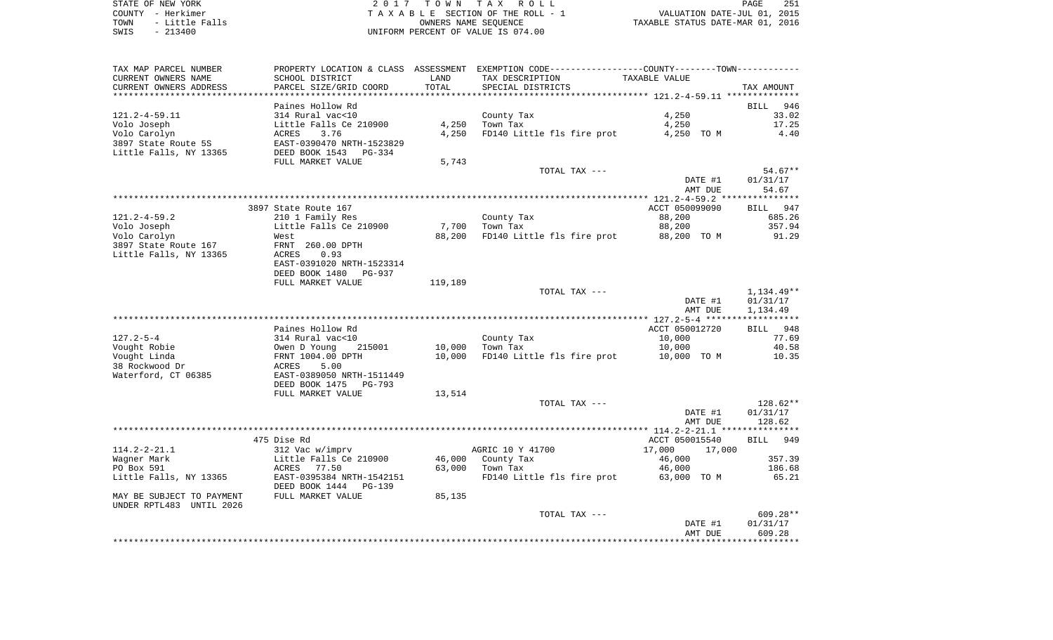STATE OF NEW YORK 2 0 1 7 T O W N T A X R O L L PAGE 251COUNTY - Herkimer **T A X A B L E** SECTION OF THE ROLL - 1 VALUATION DATE-JUL 01, 2015 TOWN - Little Falls OWNERS NAME SEQUENCE TAXABLE STATUS DATE-MAR 01, 2016 SWIS - 213400 UNIFORM PERCENT OF VALUE IS 074.00

TAX MAP PARCEL NUMBER PROPERTY LOCATION & CLASS ASSESSMENT EXEMPTION CODE------------------COUNTY--------TOWN------------ CURRENT OWNERS NAME SCHOOL DISTRICT LAND TAX DESCRIPTION TAXABLE VALUECURRENT OWNERS ADDRESS PARCEL SIZE/GRID COORD TOTAL SPECIAL DISTRICTS TAX AMOUNT \*\*\*\*\*\*\*\*\*\*\*\*\*\*\*\*\*\*\*\*\*\*\*\*\*\*\*\*\*\*\*\*\*\*\*\*\*\*\*\*\*\*\*\*\*\*\*\*\*\*\*\*\*\*\*\*\*\*\*\*\*\*\*\*\*\*\*\*\*\*\*\*\*\*\*\*\*\*\*\*\*\*\*\*\*\*\*\*\*\*\*\*\*\*\*\*\*\*\*\*\*\*\* 121.2-4-59.11 \*\*\*\*\*\*\*\*\*\*\*\*\*\*Paines Hollow Rd **BILL 946** 33.02 121.2-4-59.11 314 Rural vac<10 County Tax 4,250 Volo Joseph Little Falls Ce 210900 4,250 Town Tax 4,250 17.25 Volo Carolyn ACRES 3.76 4,250 FD140 Little fls fire prot 4,250 TO M 4.40 3897 State Route 5S EAST-0390470 NRTH-1523829Little Falls, NY 13365 DEED BOOK 1543 PG-334 FULL MARKET VALUE 5,743 TOTAL TAX  $---$  54.67\*\* DATE #1 01/31/17 AMT DUE 54.67 \*\*\*\*\*\*\*\*\*\*\*\*\*\*\*\*\*\*\*\*\*\*\*\*\*\*\*\*\*\*\*\*\*\*\*\*\*\*\*\*\*\*\*\*\*\*\*\*\*\*\*\*\*\*\*\*\*\*\*\*\*\*\*\*\*\*\*\*\*\*\*\*\*\*\*\*\*\*\*\*\*\*\*\*\*\*\*\*\*\*\*\*\*\*\*\*\*\*\*\*\*\*\* 121.2-4-59.2 \*\*\*\*\*\*\*\*\*\*\*\*\*\*\*3897 State Route 167 ACCT 050099090 BILL 947 121.2-4-59.2 210 1 Family Res County Tax 88,200 685.26 Volo Joseph Little Falls Ce 210900 7,700 Town Tax 88,200 357.94 Volo Carolyn **West** West 88,200 FD140 Little fls fire prot 88,200 TO M 91.29 3897 State Route 167 FRNT 260.00 DPTH Little Falls, NY 13365 ACRES 0.93 EAST-0391020 NRTH-1523314 DEED BOOK 1480 PG-937FULL MARKET VALUE 119,189 TOTAL TAX --- 1,134.49\*\* DATE #1 01/31/17 AMT DUE 1,134.49 \*\*\*\*\*\*\*\*\*\*\*\*\*\*\*\*\*\*\*\*\*\*\*\*\*\*\*\*\*\*\*\*\*\*\*\*\*\*\*\*\*\*\*\*\*\*\*\*\*\*\*\*\*\*\*\*\*\*\*\*\*\*\*\*\*\*\*\*\*\*\*\*\*\*\*\*\*\*\*\*\*\*\*\*\*\*\*\*\*\*\*\*\*\*\*\*\*\*\*\*\*\*\* 127.2-5-4 \*\*\*\*\*\*\*\*\*\*\*\*\*\*\*\*\*\***BTLL** 948 Paines Hollow Rd **ACCT** 050012720 127.2-5-4 314 Rural vac<10 County Tax 10,000 77.69 Vought Robie Owen D Young 215001 10,000 Town Tax 10,000 40.58 Vought Linda FRNT 1004.00 DPTH 10,000 FD140 Little fls fire prot 10,000 TO M 10.35 38 Rockwood Dr ACRES 5.00Waterford, CT 06385 EAST-0389050 NRTH-1511449 DEED BOOK 1475 PG-793FULL MARKET VALUE 13,514 TOTAL TAX --- 128.62\*\* DATE #1 01/31/17 AMT DUE 128.62 \*\*\*\*\*\*\*\*\*\*\*\*\*\*\*\*\*\*\*\*\*\*\*\*\*\*\*\*\*\*\*\*\*\*\*\*\*\*\*\*\*\*\*\*\*\*\*\*\*\*\*\*\*\*\*\*\*\*\*\*\*\*\*\*\*\*\*\*\*\*\*\*\*\*\*\*\*\*\*\*\*\*\*\*\*\*\*\*\*\*\*\*\*\*\*\*\*\*\*\*\*\*\* 114.2-2-21.1 \*\*\*\*\*\*\*\*\*\*\*\*\*\*\*BILL 949 475 Dise Rd ACCT 050015540 114.2-2-21.1 312 Vac w/imprv AGRIC 10 Y 41700 17,000 17,000 Wagner Mark **Little Falls Ce 210900** 46,000 County Tax 46,000 357.39 PO Box 591 ACRES 77.50 63,000 Town Tax 46,000 186.68 Little Falls, NY 13365 EAST-0395384 NRTH-1542151 FD140 Little fls fire prot 63,000 TO M 65.21 DEED BOOK 1444 PG-139MAY BE SUBJECT TO PAYMENT FULL MARKET VALUE 85,135 UNDER RPTL483 UNTIL 2026TOTAL TAX  $---$  609.28\*\* DATE #1 01/31/17 AMT DUE 609.28\*\*\*\*\*\*\*\*\*\*\*\*\*\*\*\*\*\*\*\*\*\*\*\*\*\*\*\*\*\*\*\*\*\*\*\*\*\*\*\*\*\*\*\*\*\*\*\*\*\*\*\*\*\*\*\*\*\*\*\*\*\*\*\*\*\*\*\*\*\*\*\*\*\*\*\*\*\*\*\*\*\*\*\*\*\*\*\*\*\*\*\*\*\*\*\*\*\*\*\*\*\*\*\*\*\*\*\*\*\*\*\*\*\*\*\*\*\*\*\*\*\*\*\*\*\*\*\*\*\*\*\*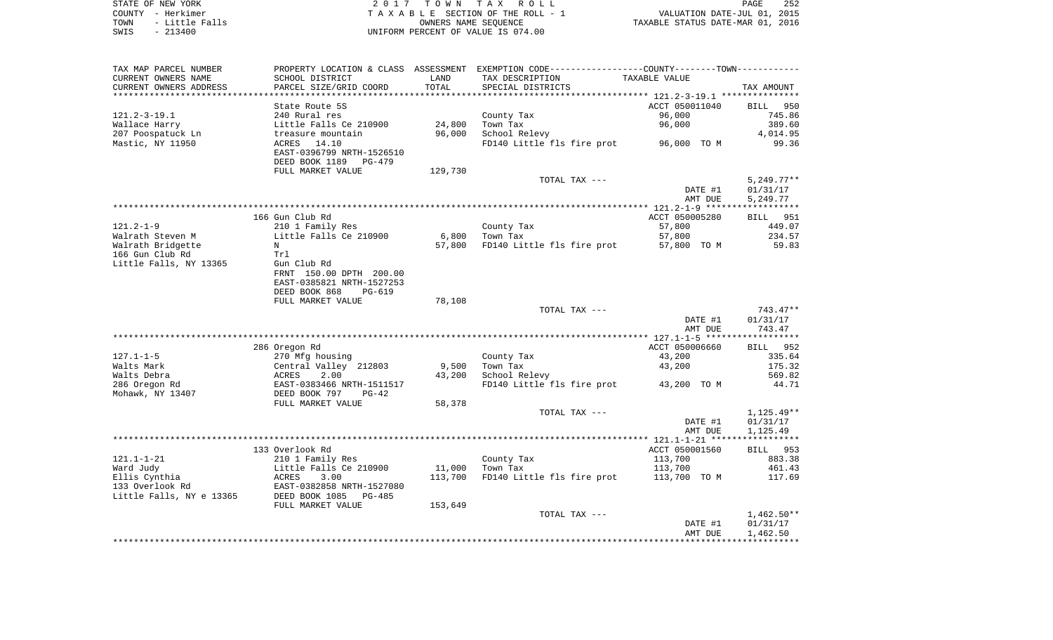| STATE OF NEW YORK      | 2017 TOWN TAX ROLL                 | 252<br>PAGE                      |
|------------------------|------------------------------------|----------------------------------|
| COUNTY - Herkimer      | TAXABLE SECTION OF THE ROLL - 1    | VALUATION DATE-JUL 01, 2015      |
| - Little Falls<br>TOWN | OWNERS NAME SEOUENCE               | TAXABLE STATUS DATE-MAR 01, 2016 |
| $-213400$<br>SWIS      | UNIFORM PERCENT OF VALUE IS 074.00 |                                  |

| TAX MAP PARCEL NUMBER    |                           |         | PROPERTY LOCATION & CLASS ASSESSMENT EXEMPTION CODE----------------COUNTY-------TOWN---------- |                |                 |
|--------------------------|---------------------------|---------|------------------------------------------------------------------------------------------------|----------------|-----------------|
| CURRENT OWNERS NAME      | SCHOOL DISTRICT           | LAND    | TAX DESCRIPTION                                                                                | TAXABLE VALUE  |                 |
| CURRENT OWNERS ADDRESS   | PARCEL SIZE/GRID COORD    | TOTAL   | SPECIAL DISTRICTS                                                                              |                | TAX AMOUNT      |
|                          |                           |         |                                                                                                |                |                 |
|                          | State Route 5S            |         |                                                                                                | ACCT 050011040 | BILL 950        |
| $121.2 - 3 - 19.1$       | 240 Rural res             |         | County Tax                                                                                     | 96,000         | 745.86          |
| Wallace Harry            | Little Falls Ce 210900    | 24,800  | Town Tax                                                                                       | 96,000         | 389.60          |
| 207 Poospatuck Ln        | treasure mountain         | 96,000  | School Relevy                                                                                  |                | 4,014.95        |
| Mastic, NY 11950         | 14.10<br>ACRES            |         | FD140 Little fls fire prot                                                                     | 96,000 TO M    | 99.36           |
|                          | EAST-0396799 NRTH-1526510 |         |                                                                                                |                |                 |
|                          | DEED BOOK 1189<br>PG-479  |         |                                                                                                |                |                 |
|                          | FULL MARKET VALUE         | 129,730 |                                                                                                |                |                 |
|                          |                           |         | TOTAL TAX ---                                                                                  |                | $5,249.77**$    |
|                          |                           |         |                                                                                                | DATE #1        | 01/31/17        |
|                          |                           |         |                                                                                                | AMT DUE        | 5,249.77        |
|                          |                           |         |                                                                                                |                |                 |
|                          | 166 Gun Club Rd           |         |                                                                                                | ACCT 050005280 | <b>BILL</b> 951 |
| $121.2 - 1 - 9$          | 210 1 Family Res          |         | County Tax                                                                                     | 57,800         | 449.07          |
| Walrath Steven M         | Little Falls Ce 210900    | 6,800   | Town Tax                                                                                       | 57,800         | 234.57          |
| Walrath Bridgette        | N                         | 57,800  | FD140 Little fls fire prot                                                                     | 57,800 TO M    | 59.83           |
| 166 Gun Club Rd          | Trl                       |         |                                                                                                |                |                 |
| Little Falls, NY 13365   | Gun Club Rd               |         |                                                                                                |                |                 |
|                          | FRNT 150.00 DPTH 200.00   |         |                                                                                                |                |                 |
|                          | EAST-0385821 NRTH-1527253 |         |                                                                                                |                |                 |
|                          | DEED BOOK 868<br>$PG-619$ |         |                                                                                                |                |                 |
|                          | FULL MARKET VALUE         | 78,108  |                                                                                                |                |                 |
|                          |                           |         | TOTAL TAX ---                                                                                  |                | 743.47**        |
|                          |                           |         |                                                                                                | DATE #1        | 01/31/17        |
|                          |                           |         |                                                                                                | AMT DUE        | 743.47          |
|                          |                           |         |                                                                                                |                |                 |
|                          | 286 Oregon Rd             |         |                                                                                                | ACCT 050006660 | BILL 952        |
| $127.1 - 1 - 5$          | 270 Mfg housing           |         | County Tax                                                                                     | 43,200         | 335.64          |
| Walts Mark               | Central Valley 212803     | 9,500   | Town Tax                                                                                       | 43,200         | 175.32          |
| Walts Debra              | ACRES<br>2.00             | 43,200  | School Relevy                                                                                  |                | 569.82          |
| 286 Oregon Rd            | EAST-0383466 NRTH-1511517 |         | FD140 Little fls fire prot                                                                     | 43,200 TO M    | 44.71           |
| Mohawk, NY 13407         | DEED BOOK 797<br>$PG-42$  |         |                                                                                                |                |                 |
|                          | FULL MARKET VALUE         | 58,378  |                                                                                                |                |                 |
|                          |                           |         | TOTAL TAX ---                                                                                  |                | $1,125.49**$    |
|                          |                           |         |                                                                                                | DATE #1        | 01/31/17        |
|                          |                           |         |                                                                                                | AMT DUE        | 1,125.49        |
|                          |                           |         |                                                                                                |                |                 |
|                          |                           |         |                                                                                                |                |                 |
|                          | 133 Overlook Rd           |         |                                                                                                | ACCT 050001560 | BILL 953        |
| $121.1 - 1 - 21$         | 210 1 Family Res          |         | County Tax                                                                                     | 113,700        | 883.38          |
| Ward Judy                | Little Falls Ce 210900    | 11,000  | Town Tax                                                                                       | 113,700        | 461.43          |
| Ellis Cynthia            | 3.00<br>ACRES             | 113,700 | FD140 Little fls fire prot                                                                     | 113,700 TO M   | 117.69          |
| 133 Overlook Rd          | EAST-0382858 NRTH-1527080 |         |                                                                                                |                |                 |
| Little Falls, NY e 13365 | DEED BOOK 1085<br>PG-485  |         |                                                                                                |                |                 |
|                          | FULL MARKET VALUE         | 153,649 |                                                                                                |                |                 |
|                          |                           |         | TOTAL TAX ---                                                                                  |                | $1,462.50**$    |
|                          |                           |         |                                                                                                | DATE #1        | 01/31/17        |
|                          |                           |         |                                                                                                | AMT DUE        | 1,462.50        |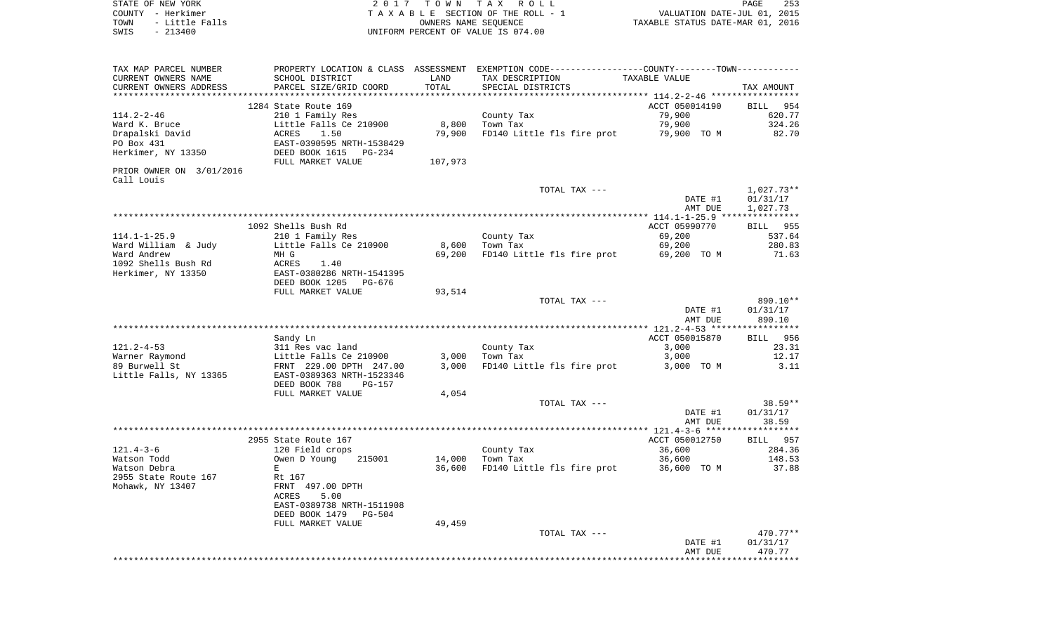| STATE OF NEW YORK<br>COUNTY - Herkimer |                                                                                  |                 | 2017 TOWN TAX ROLL<br>TAXABLE SECTION OF THE ROLL - 1                                         | VALUATION DATE-JUL 01, 2015      | 253<br>PAGE      |
|----------------------------------------|----------------------------------------------------------------------------------|-----------------|-----------------------------------------------------------------------------------------------|----------------------------------|------------------|
| TOWN - Little Falls                    |                                                                                  |                 | OWNERS NAME SEOUENCE                                                                          | TAXABLE STATUS DATE-MAR 01, 2016 |                  |
| SWIS<br>$-213400$                      |                                                                                  |                 | UNIFORM PERCENT OF VALUE IS 074.00                                                            |                                  |                  |
| TAX MAP PARCEL NUMBER                  |                                                                                  |                 | PROPERTY LOCATION & CLASS ASSESSMENT EXEMPTION CODE---------------COUNTY-------TOWN---------- |                                  |                  |
| CURRENT OWNERS NAME                    | SCHOOL DISTRICT                                                                  | LAND            | TAX DESCRIPTION                                                                               | TAXABLE VALUE                    |                  |
| CURRENT OWNERS ADDRESS                 | PARCEL SIZE/GRID COORD                                                           | TOTAL           | SPECIAL DISTRICTS                                                                             |                                  | TAX AMOUNT       |
|                                        |                                                                                  |                 |                                                                                               |                                  |                  |
|                                        | 1284 State Route 169                                                             |                 |                                                                                               | ACCT 050014190                   | BILL 954         |
| $114.2 - 2 - 46$                       | 210 1 Family Res                                                                 |                 | County Tax<br>Town Tax                                                                        | 79,900<br>79,900                 | 620.77<br>324.26 |
| Ward K. Bruce<br>Drapalski David       | Little Falls Ce 210900<br>ACRES<br>1.50                                          | 8,800<br>79,900 | FD140 Little fls fire prot                                                                    | 79,900 TO M                      | 82.70            |
| PO Box 431                             | EAST-0390595 NRTH-1538429                                                        |                 |                                                                                               |                                  |                  |
| Herkimer, NY 13350                     | DEED BOOK 1615 PG-234                                                            |                 |                                                                                               |                                  |                  |
|                                        | FULL MARKET VALUE                                                                | 107,973         |                                                                                               |                                  |                  |
| PRIOR OWNER ON 3/01/2016<br>Call Louis |                                                                                  |                 |                                                                                               |                                  |                  |
|                                        |                                                                                  |                 | TOTAL TAX ---                                                                                 |                                  | $1,027.73**$     |
|                                        |                                                                                  |                 |                                                                                               | DATE #1                          | 01/31/17         |
|                                        |                                                                                  |                 |                                                                                               | AMT DUE                          | 1,027.73         |
|                                        |                                                                                  |                 |                                                                                               |                                  |                  |
|                                        | 1092 Shells Bush Rd                                                              |                 |                                                                                               | ACCT 05990770                    | BILL 955         |
| $114.1 - 1 - 25.9$                     | 210 1 Family Res                                                                 |                 | County Tax                                                                                    | 69,200                           | 537.64           |
| Ward William & Judy                    | Little Falls Ce 210900                                                           |                 | 8,600 Town Tax                                                                                | 69,200                           | 280.83           |
| Ward Andrew<br>1092 Shells Bush Rd     | MH G<br>ACRES<br>1.40                                                            | 69,200          | FD140 Little fls fire prot                                                                    | 69,200 TO M                      | 71.63            |
| Herkimer, NY 13350                     | EAST-0380286 NRTH-1541395                                                        |                 |                                                                                               |                                  |                  |
|                                        | DEED BOOK 1205<br>PG-676                                                         |                 |                                                                                               |                                  |                  |
|                                        | FULL MARKET VALUE                                                                | 93,514          |                                                                                               |                                  |                  |
|                                        |                                                                                  |                 | TOTAL TAX ---                                                                                 |                                  | 890.10**         |
|                                        |                                                                                  |                 |                                                                                               | DATE #1                          | 01/31/17         |
|                                        |                                                                                  |                 |                                                                                               | AMT DUE                          | 890.10           |
|                                        |                                                                                  |                 |                                                                                               |                                  |                  |
|                                        | Sandy Ln                                                                         |                 |                                                                                               | ACCT 050015870                   | BILL 956         |
| 121.2-4-53                             | 311 Res vac land                                                                 |                 | County Tax                                                                                    | 3,000                            | 23.31            |
| Warner Raymond                         | Little Falls Ce 210900                                                           | 3,000           | Town Tax                                                                                      | 3,000                            | 12.17            |
| 89 Burwell St                          | FRNT 229.00 DPTH 247.00                                                          | 3,000           | FD140 Little fls fire prot                                                                    | 3,000 TO M                       | - 3.11           |
| Little Falls, NY 13365                 | EAST-0389363 NRTH-1523346<br>DEED BOOK 788<br><b>PG-157</b><br>FULL MARKET VALUE | 4,054           |                                                                                               |                                  |                  |
|                                        |                                                                                  |                 | TOTAL TAX ---                                                                                 |                                  | 38.59**          |
|                                        |                                                                                  |                 |                                                                                               | DATE #1                          | 01/31/17         |
|                                        |                                                                                  |                 |                                                                                               | AMT DUE                          | 38.59            |
|                                        |                                                                                  |                 |                                                                                               |                                  |                  |
|                                        | 2955 State Route 167                                                             |                 |                                                                                               | ACCT 050012750                   | BILL 957         |
| 121.4-3-6                              | 120 Field crops                                                                  |                 | County Tax                                                                                    | 36,600                           | 284.36           |
| Watson Todd                            | Owen D Young<br>215001                                                           | 14,000          | Town Tax                                                                                      | 36,600                           | 148.53           |
| Watson Debra                           | E                                                                                | 36,600          | FD140 Little fls fire prot                                                                    | 36,600 TO M                      | 37.88            |

2955 State Route 167 Rt 167Rt 167<br>FRNT 497.00 DPTH Mohawk, NY 13407 FRNT 497.00 DPTH ACRES 5.00 EAST-0389738 NRTH-1511908 DEED BOOK 1479 PG-504 FULL MARKET VALUE 49,459 TOTAL TAX  $---$ DATE #1<br>AMT DUE \*\*\*\*\*\*\*\*\*\*\*\*\*\*\*\*\*\*\*\*\*\*\*\*\*\*\*\*\*\*\*\*\*\*\*\*\*\*\*\*\*\*\*\*\*\*\*\*\*\*\*\*\*\*\*\*\*\*\*\*\*\*\*\*\*\*\*\*\*\*\*\*\*\*\*\*\*\*\*\*\*\*\*\*\*\*\*\*\*\*\*\*\*\*\*\*\*\*\*\*\*\*\*\*\*\*\*\*\*\*\*\*\*\*\*\*\*\*\*\*\*\*\*\*\*\*\*\*\*\*\*\*

 $470.77**$  $01/31/17$ <br>470.77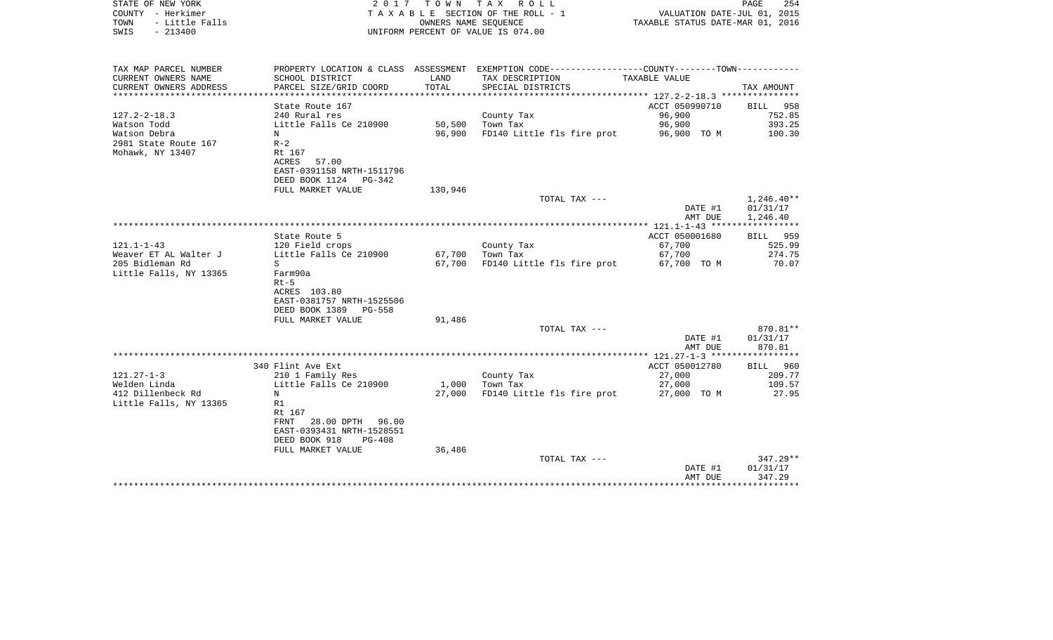| STATE OF NEW YORK<br>COUNTY - Herkimer<br>TOWN<br>- Little Falls<br>$-213400$<br>SWIS | 2017                        |         | TOWN TAX ROLL<br>TAXABLE SECTION OF THE ROLL - 1<br>OWNERS NAME SEOUENCE<br>UNIFORM PERCENT OF VALUE IS 074.00 | VALUATION DATE-JUL 01, 2015<br>TAXABLE STATUS DATE-MAR 01, 2016 | PAGE<br>254          |
|---------------------------------------------------------------------------------------|-----------------------------|---------|----------------------------------------------------------------------------------------------------------------|-----------------------------------------------------------------|----------------------|
|                                                                                       |                             |         |                                                                                                                |                                                                 |                      |
| TAX MAP PARCEL NUMBER                                                                 |                             |         | PROPERTY LOCATION & CLASS ASSESSMENT EXEMPTION CODE---------------COUNTY-------TOWN----------                  |                                                                 |                      |
| CURRENT OWNERS NAME                                                                   | SCHOOL DISTRICT             | LAND    | TAX DESCRIPTION                                                                                                | TAXABLE VALUE                                                   |                      |
| CURRENT OWNERS ADDRESS                                                                | PARCEL SIZE/GRID COORD      | TOTAL   | SPECIAL DISTRICTS                                                                                              | *********** 127.2-2-18.3 *********                              | TAX AMOUNT           |
|                                                                                       | State Route 167             |         |                                                                                                                | ACCT 050990710                                                  | BILL 958             |
| $127.2 - 2 - 18.3$                                                                    | 240 Rural res               |         | County Tax                                                                                                     | 96,900                                                          | 752.85               |
| Watson Todd                                                                           | Little Falls Ce 210900      | 50,500  | Town Tax                                                                                                       | 96,900                                                          | 393.25               |
| Watson Debra                                                                          | N                           | 96,900  | FD140 Little fls fire prot                                                                                     | 96,900 TO M                                                     | 100.30               |
| 2981 State Route 167                                                                  | $R-2$<br>Rt 167             |         |                                                                                                                |                                                                 |                      |
| Mohawk, NY 13407                                                                      | 57.00<br>ACRES              |         |                                                                                                                |                                                                 |                      |
|                                                                                       | EAST-0391158 NRTH-1511796   |         |                                                                                                                |                                                                 |                      |
|                                                                                       | DEED BOOK 1124<br>$PG-342$  |         |                                                                                                                |                                                                 |                      |
|                                                                                       | FULL MARKET VALUE           | 130,946 |                                                                                                                |                                                                 |                      |
|                                                                                       |                             |         | TOTAL TAX ---                                                                                                  |                                                                 | $1,246.40**$         |
|                                                                                       |                             |         |                                                                                                                | DATE #1<br>AMT DUE                                              | 01/31/17<br>1,246.40 |
|                                                                                       |                             |         |                                                                                                                | ****************** 121.1-1-43 ******************                |                      |
|                                                                                       | State Route 5               |         |                                                                                                                | ACCT 050001680                                                  | BILL 959             |
| $121.1 - 1 - 43$                                                                      | 120 Field crops             |         | County Tax                                                                                                     | 67,700                                                          | 525.99               |
| Weaver ET AL Walter J                                                                 | Little Falls Ce 210900      | 67,700  | Town Tax                                                                                                       | 67,700                                                          | 274.75               |
| 205 Bidleman Rd                                                                       | S                           | 67,700  | FD140 Little fls fire prot                                                                                     | 67,700 TO M                                                     | 70.07                |
| Little Falls, NY 13365                                                                | Farm90a<br>$Rt-5$           |         |                                                                                                                |                                                                 |                      |
|                                                                                       | ACRES 103.80                |         |                                                                                                                |                                                                 |                      |
|                                                                                       | EAST-0381757 NRTH-1525506   |         |                                                                                                                |                                                                 |                      |
|                                                                                       | DEED BOOK 1389<br>$PG-558$  |         |                                                                                                                |                                                                 |                      |
|                                                                                       | FULL MARKET VALUE           | 91,486  |                                                                                                                |                                                                 |                      |
|                                                                                       |                             |         | TOTAL TAX ---                                                                                                  | DATE #1                                                         | 870.81**<br>01/31/17 |
|                                                                                       |                             |         |                                                                                                                | AMT DUE                                                         | 870.81               |
|                                                                                       |                             |         |                                                                                                                |                                                                 |                      |
|                                                                                       | 340 Flint Ave Ext           |         |                                                                                                                | ACCT 050012780                                                  | BILL 960             |
| $121.27 - 1 - 3$                                                                      | 210 1 Family Res            |         | County Tax                                                                                                     | 27,000                                                          | 209.77               |
| Welden Linda<br>412 Dillenbeck Rd                                                     | Little Falls Ce 210900<br>N | 1,000   | Town Tax                                                                                                       | 27,000                                                          | 109.57<br>27.95      |
| Little Falls, NY 13365                                                                | R1                          | 27,000  | FD140 Little fls fire prot                                                                                     | 27,000 TO M                                                     |                      |
|                                                                                       | Rt 167                      |         |                                                                                                                |                                                                 |                      |
|                                                                                       | 28.00 DPTH<br>96.00<br>FRNT |         |                                                                                                                |                                                                 |                      |
|                                                                                       | EAST-0393431 NRTH-1528551   |         |                                                                                                                |                                                                 |                      |
|                                                                                       | DEED BOOK 918<br>$PG-408$   |         |                                                                                                                |                                                                 |                      |
|                                                                                       | FULL MARKET VALUE           | 36,486  |                                                                                                                |                                                                 | 347.29**             |
|                                                                                       |                             |         | TOTAL TAX ---                                                                                                  | DATE #1                                                         | 01/31/17             |
|                                                                                       |                             |         |                                                                                                                | AMT DUE                                                         | 347.29               |
|                                                                                       |                             |         |                                                                                                                |                                                                 |                      |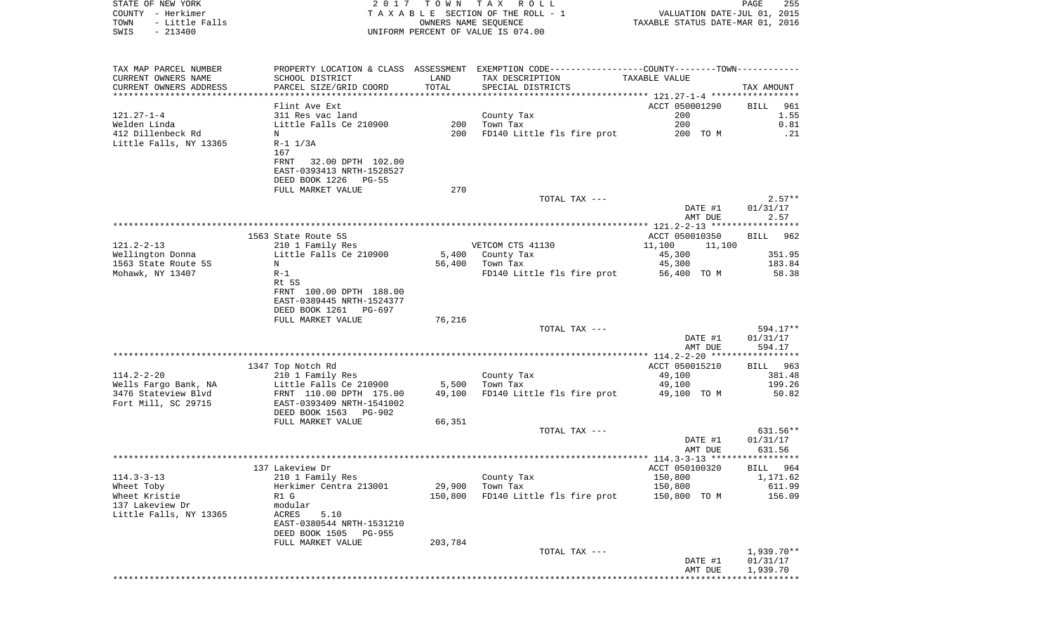| STATE OF NEW YORK<br>COUNTY - Herkimer<br>- Little Falls<br>TOWN<br>$-213400$<br>SWIS | 2017                                              | T O W N           | TAX ROLL<br>TAXABLE SECTION OF THE ROLL - 1<br>OWNERS NAME SEQUENCE<br>UNIFORM PERCENT OF VALUE IS 074.00 | VALUATION DATE-JUL 01, 2015<br>TAXABLE STATUS DATE-MAR 01, 2016 | PAGE<br>255        |
|---------------------------------------------------------------------------------------|---------------------------------------------------|-------------------|-----------------------------------------------------------------------------------------------------------|-----------------------------------------------------------------|--------------------|
|                                                                                       |                                                   |                   |                                                                                                           |                                                                 |                    |
| TAX MAP PARCEL NUMBER                                                                 |                                                   |                   | PROPERTY LOCATION & CLASS ASSESSMENT EXEMPTION CODE---------------COUNTY-------TOWN----------             |                                                                 |                    |
| CURRENT OWNERS NAME                                                                   | SCHOOL DISTRICT                                   | LAND              | TAX DESCRIPTION                                                                                           | TAXABLE VALUE                                                   |                    |
| CURRENT OWNERS ADDRESS                                                                | PARCEL SIZE/GRID COORD                            | TOTAL             | SPECIAL DISTRICTS                                                                                         |                                                                 | TAX AMOUNT         |
| ***********************                                                               |                                                   |                   |                                                                                                           |                                                                 |                    |
|                                                                                       | Flint Ave Ext                                     |                   |                                                                                                           | ACCT 050001290                                                  | <b>BILL</b><br>961 |
| $121.27 - 1 - 4$                                                                      | 311 Res vac land                                  |                   | County Tax                                                                                                | 200                                                             | 1.55               |
| Welden Linda                                                                          | Little Falls Ce 210900                            | 200               | Town Tax                                                                                                  | 200                                                             | 0.81               |
| 412 Dillenbeck Rd                                                                     | N                                                 | 200               | FD140 Little fls fire prot                                                                                | 200 TO M                                                        | .21                |
| Little Falls, NY 13365                                                                | $R-1$ $1/3A$<br>167                               |                   |                                                                                                           |                                                                 |                    |
|                                                                                       | FRNT<br>32.00 DPTH 102.00                         |                   |                                                                                                           |                                                                 |                    |
|                                                                                       | EAST-0393413 NRTH-1528527                         |                   |                                                                                                           |                                                                 |                    |
|                                                                                       | DEED BOOK 1226 PG-55                              |                   |                                                                                                           |                                                                 |                    |
|                                                                                       | FULL MARKET VALUE                                 | 270               |                                                                                                           |                                                                 |                    |
|                                                                                       |                                                   |                   | TOTAL TAX ---                                                                                             |                                                                 | $2.57**$           |
|                                                                                       |                                                   |                   |                                                                                                           | DATE #1<br>AMT DUE                                              | 01/31/17<br>2.57   |
|                                                                                       |                                                   |                   |                                                                                                           |                                                                 |                    |
|                                                                                       | 1563 State Route 5S                               |                   |                                                                                                           | ACCT 050010350                                                  | 962<br>BILL        |
| $121.2 - 2 - 13$                                                                      | 210 1 Family Res                                  |                   | VETCOM CTS 41130                                                                                          | 11,100<br>11,100                                                |                    |
| Wellington Donna                                                                      | Little Falls Ce 210900                            | 5,400             | County Tax                                                                                                | 45,300                                                          | 351.95             |
| 1563 State Route 5S<br>Mohawk, NY 13407                                               | N<br>$R-1$                                        | 56,400            | Town Tax<br>FD140 Little fls fire prot                                                                    | 45,300<br>56,400 TO M                                           | 183.84<br>58.38    |
|                                                                                       | Rt 5S                                             |                   |                                                                                                           |                                                                 |                    |
|                                                                                       | FRNT 100.00 DPTH 188.00                           |                   |                                                                                                           |                                                                 |                    |
|                                                                                       | EAST-0389445 NRTH-1524377                         |                   |                                                                                                           |                                                                 |                    |
|                                                                                       | DEED BOOK 1261 PG-697                             |                   |                                                                                                           |                                                                 |                    |
|                                                                                       | FULL MARKET VALUE                                 | 76,216            |                                                                                                           |                                                                 |                    |
|                                                                                       |                                                   |                   | TOTAL TAX ---                                                                                             |                                                                 | 594.17**           |
|                                                                                       |                                                   |                   |                                                                                                           | DATE #1                                                         | 01/31/17           |
|                                                                                       |                                                   |                   |                                                                                                           | AMT DUE                                                         | 594.17             |
|                                                                                       |                                                   |                   |                                                                                                           | ************** 114.2-2-20 ******************                    |                    |
|                                                                                       | 1347 Top Notch Rd                                 |                   |                                                                                                           | ACCT 050015210                                                  | BILL<br>963        |
| $114.2 - 2 - 20$                                                                      | 210 1 Family Res                                  | 5,500             | County Tax<br>Town Tax                                                                                    | 49,100                                                          | 381.48<br>199.26   |
| Wells Fargo Bank, NA<br>3476 Stateview Blvd                                           | Little Falls Ce 210900<br>FRNT 110.00 DPTH 175.00 | 49,100            | FD140 Little fls fire prot                                                                                | 49,100<br>49,100 TO M                                           | 50.82              |
| Fort Mill, SC 29715                                                                   | EAST-0393409 NRTH-1541002                         |                   |                                                                                                           |                                                                 |                    |
|                                                                                       | DEED BOOK 1563 PG-902                             |                   |                                                                                                           |                                                                 |                    |
|                                                                                       | FULL MARKET VALUE                                 | 66,351            |                                                                                                           |                                                                 |                    |
|                                                                                       |                                                   |                   | TOTAL TAX ---                                                                                             |                                                                 | $631.56**$         |
|                                                                                       |                                                   |                   |                                                                                                           | DATE #1                                                         | 01/31/17           |
|                                                                                       |                                                   |                   |                                                                                                           | AMT DUE                                                         | 631.56             |
|                                                                                       |                                                   |                   |                                                                                                           |                                                                 |                    |
|                                                                                       | 137 Lakeview Dr                                   |                   |                                                                                                           | ACCT 050100320                                                  | BILL 964           |
| $114.3 - 3 - 13$                                                                      | 210 1 Family Res                                  |                   | County Tax                                                                                                | 150,800                                                         | 1,171.62<br>611.99 |
| Wheet Toby<br>Wheet Kristie                                                           | Herkimer Centra 213001<br>R1 G                    | 29,900<br>150,800 | Town Tax<br>FD140 Little fls fire prot                                                                    | 150,800<br>150,800 TO M                                         | 156.09             |
| 137 Lakeview Dr                                                                       | modular                                           |                   |                                                                                                           |                                                                 |                    |
| Little Falls, NY 13365                                                                | ACRES<br>5.10                                     |                   |                                                                                                           |                                                                 |                    |
|                                                                                       | EAST-0380544 NRTH-1531210                         |                   |                                                                                                           |                                                                 |                    |
|                                                                                       | DEED BOOK 1505<br>PG-955                          |                   |                                                                                                           |                                                                 |                    |
|                                                                                       | FULL MARKET VALUE                                 | 203,784           |                                                                                                           |                                                                 |                    |
|                                                                                       |                                                   |                   | TOTAL TAX ---                                                                                             |                                                                 | $1,939.70**$       |
|                                                                                       |                                                   |                   |                                                                                                           | DATE #1                                                         | 01/31/17           |
|                                                                                       |                                                   |                   |                                                                                                           | AMT DUE<br>*******************************                      | 1,939.70           |
|                                                                                       |                                                   |                   |                                                                                                           |                                                                 |                    |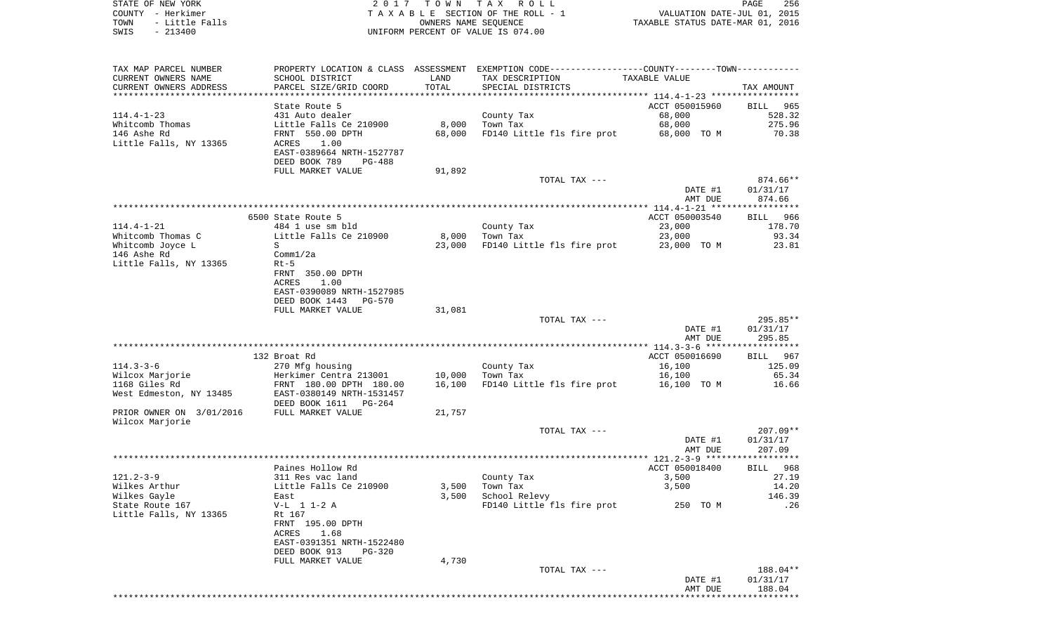| STATE OF NEW YORK      | 2017 TOWN TAX ROLL                 | 256<br>PAGE                      |  |
|------------------------|------------------------------------|----------------------------------|--|
| COUNTY - Herkimer      | TAXABLE SECTION OF THE ROLL - 1    | VALUATION DATE-JUL 01, 2015      |  |
| - Little Falls<br>TOWN | OWNERS NAME SEOUENCE               | TAXABLE STATUS DATE-MAR 01, 2016 |  |
| SWIS<br>- 213400       | UNIFORM PERCENT OF VALUE IS 074.00 |                                  |  |

| TAX MAP PARCEL NUMBER<br>CURRENT OWNERS NAME | SCHOOL DISTRICT                                      | LAND   | PROPERTY LOCATION & CLASS ASSESSMENT EXEMPTION CODE----------------COUNTY-------TOWN----------<br>TAX DESCRIPTION | TAXABLE VALUE                                |                      |
|----------------------------------------------|------------------------------------------------------|--------|-------------------------------------------------------------------------------------------------------------------|----------------------------------------------|----------------------|
| CURRENT OWNERS ADDRESS                       | PARCEL SIZE/GRID COORD                               | TOTAL  | SPECIAL DISTRICTS                                                                                                 |                                              | TAX AMOUNT           |
|                                              |                                                      |        |                                                                                                                   | ******************** 114.4-1-23 ************ |                      |
| $114.4 - 1 - 23$                             | State Route 5<br>431 Auto dealer                     |        | County Tax                                                                                                        | ACCT 050015960<br>68,000                     | BILL 965<br>528.32   |
| Whitcomb Thomas                              | Little Falls Ce 210900                               | 8,000  | Town Tax                                                                                                          | 68,000                                       | 275.96               |
| 146 Ashe Rd                                  | FRNT 550.00 DPTH                                     | 68,000 | FD140 Little fls fire prot                                                                                        | 68,000 TO M                                  | 70.38                |
| Little Falls, NY 13365                       | ACRES<br>1.00                                        |        |                                                                                                                   |                                              |                      |
|                                              | EAST-0389664 NRTH-1527787                            |        |                                                                                                                   |                                              |                      |
|                                              | DEED BOOK 789<br>PG-488                              |        |                                                                                                                   |                                              |                      |
|                                              | FULL MARKET VALUE                                    | 91,892 |                                                                                                                   |                                              |                      |
|                                              |                                                      |        | TOTAL TAX ---                                                                                                     |                                              | 874.66**             |
|                                              |                                                      |        |                                                                                                                   | DATE #1<br>AMT DUE                           | 01/31/17<br>874.66   |
|                                              |                                                      |        |                                                                                                                   |                                              |                      |
|                                              | 6500 State Route 5                                   |        |                                                                                                                   | ACCT 050003540                               | BILL 966             |
| $114.4 - 1 - 21$                             | 484 1 use sm bld                                     |        | County Tax                                                                                                        | 23,000                                       | 178.70               |
| Whitcomb Thomas C                            | Little Falls Ce 210900                               | 8,000  | Town Tax                                                                                                          | 23,000                                       | 93.34                |
| Whitcomb Joyce L                             | S.                                                   | 23,000 | FD140 Little fls fire prot                                                                                        | 23,000 TO M                                  | 23.81                |
| 146 Ashe Rd<br>Little Falls, NY 13365        | Comm1/2a<br>$Rt-5$                                   |        |                                                                                                                   |                                              |                      |
|                                              | FRNT 350.00 DPTH                                     |        |                                                                                                                   |                                              |                      |
|                                              | ACRES<br>1.00                                        |        |                                                                                                                   |                                              |                      |
|                                              | EAST-0390089 NRTH-1527985                            |        |                                                                                                                   |                                              |                      |
|                                              | DEED BOOK 1443<br>PG-570                             |        |                                                                                                                   |                                              |                      |
|                                              | FULL MARKET VALUE                                    | 31,081 |                                                                                                                   |                                              |                      |
|                                              |                                                      |        | TOTAL TAX ---                                                                                                     | DATE #1                                      | 295.85**<br>01/31/17 |
|                                              |                                                      |        |                                                                                                                   | AMT DUE                                      | 295.85               |
|                                              |                                                      |        |                                                                                                                   |                                              |                      |
|                                              | 132 Broat Rd                                         |        |                                                                                                                   | ACCT 050016690                               | BILL 967             |
| $114.3 - 3 - 6$                              | 270 Mfg housing                                      |        | County Tax                                                                                                        | 16,100                                       | 125.09               |
| Wilcox Marjorie                              | Herkimer Centra 213001                               | 10,000 | Town Tax                                                                                                          | 16,100                                       | 65.34                |
| 1168 Giles Rd<br>West Edmeston, NY 13485     | FRNT 180.00 DPTH 180.00<br>EAST-0380149 NRTH-1531457 | 16,100 | FD140 Little fls fire prot                                                                                        | 16,100 TO M                                  | 16.66                |
|                                              | DEED BOOK 1611<br>PG-264                             |        |                                                                                                                   |                                              |                      |
| PRIOR OWNER ON 3/01/2016 FULL MARKET VALUE   |                                                      | 21,757 |                                                                                                                   |                                              |                      |
| Wilcox Marjorie                              |                                                      |        |                                                                                                                   |                                              |                      |
|                                              |                                                      |        | TOTAL TAX ---                                                                                                     |                                              | $207.09**$           |
|                                              |                                                      |        |                                                                                                                   | DATE #1                                      | 01/31/17<br>207.09   |
|                                              |                                                      |        | **************************************                                                                            | AMT DUE<br>************ 121.2-3-9 ***        | *********            |
|                                              | Paines Hollow Rd                                     |        |                                                                                                                   | ACCT 050018400                               | <b>BILL</b><br>968   |
| $121.2 - 3 - 9$                              | 311 Res vac land                                     |        | County Tax                                                                                                        | 3,500                                        | 27.19                |
| Wilkes Arthur                                | Little Falls Ce 210900                               | 3,500  | Town Tax                                                                                                          | 3,500                                        | 14.20                |
| Wilkes Gayle                                 | East                                                 | 3,500  | School Relevy                                                                                                     |                                              | 146.39               |
| State Route 167                              | $V-L$ 1 1-2 A                                        |        | FD140 Little fls fire prot                                                                                        | 250 TO M                                     | .26                  |
| Little Falls, NY 13365                       | Rt 167<br>FRNT 195.00 DPTH                           |        |                                                                                                                   |                                              |                      |
|                                              | ACRES<br>1.68                                        |        |                                                                                                                   |                                              |                      |
|                                              | EAST-0391351 NRTH-1522480                            |        |                                                                                                                   |                                              |                      |
|                                              | DEED BOOK 913<br>$PG-320$                            |        |                                                                                                                   |                                              |                      |
|                                              | FULL MARKET VALUE                                    | 4,730  |                                                                                                                   |                                              |                      |
|                                              |                                                      |        | TOTAL TAX ---                                                                                                     |                                              | 188.04**             |
|                                              |                                                      |        |                                                                                                                   | DATE #1<br>AMT DUE                           | 01/31/17<br>188.04   |
|                                              |                                                      |        |                                                                                                                   |                                              |                      |
|                                              |                                                      |        |                                                                                                                   |                                              |                      |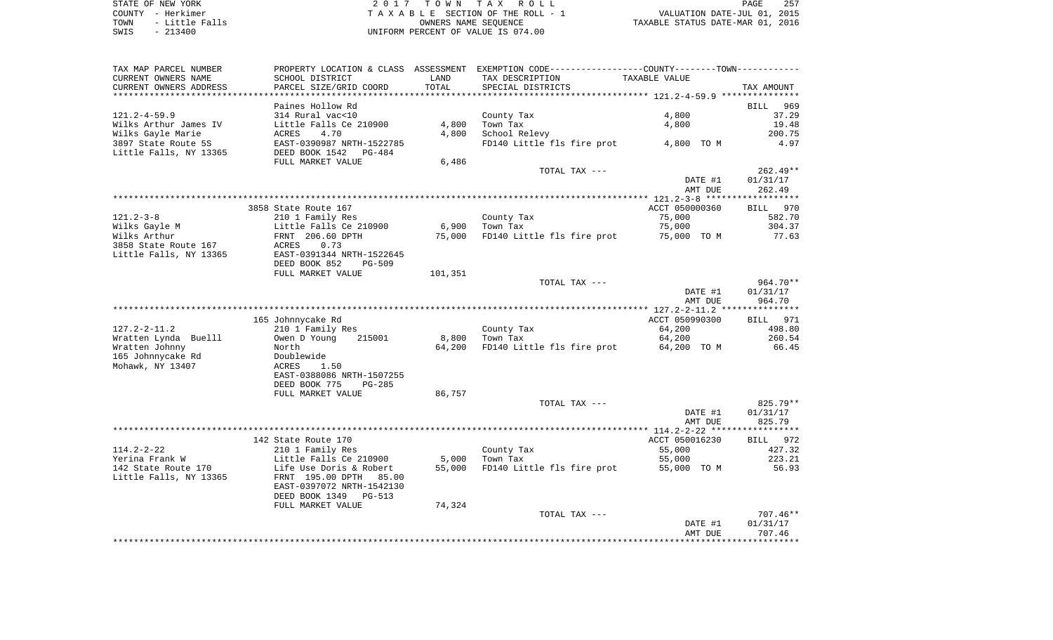|      | STATE OF NEW YORK   | 2017 TOWN TAX ROLL                 | -257<br>PAGE                     |
|------|---------------------|------------------------------------|----------------------------------|
|      | COUNTY - Herkimer   | TAXABLE SECTION OF THE ROLL - 1    | VALUATION DATE-JUL 01, 2015      |
|      | TOWN - Little Falls | OWNERS NAME SEOUENCE               | TAXABLE STATUS DATE-MAR 01, 2016 |
| SWIS | - 213400            | UNIFORM PERCENT OF VALUE IS 074.00 |                                  |

| TAX MAP PARCEL NUMBER  | PROPERTY LOCATION & CLASS ASSESSMENT |         | EXEMPTION CODE----------------COUNTY-------TOWN----------- |                |                    |
|------------------------|--------------------------------------|---------|------------------------------------------------------------|----------------|--------------------|
| CURRENT OWNERS NAME    | SCHOOL DISTRICT                      | LAND    | TAX DESCRIPTION                                            | TAXABLE VALUE  |                    |
| CURRENT OWNERS ADDRESS | PARCEL SIZE/GRID COORD               | TOTAL   | SPECIAL DISTRICTS                                          |                | TAX AMOUNT         |
|                        |                                      |         |                                                            |                |                    |
|                        | Paines Hollow Rd                     |         |                                                            |                | BILL<br>969        |
| $121.2 - 4 - 59.9$     | 314 Rural vac<10                     |         | County Tax                                                 | 4,800          | 37.29              |
| Wilks Arthur James IV  | Little Falls Ce 210900               | 4,800   | Town Tax                                                   | 4,800          | 19.48              |
| Wilks Gayle Marie      | ACRES<br>4.70                        | 4,800   | School Relevy                                              |                | 200.75             |
| 3897 State Route 5S    | EAST-0390987 NRTH-1522785            |         | FD140 Little fls fire prot                                 | 4,800 TO M     | 4.97               |
| Little Falls, NY 13365 | DEED BOOK 1542<br>PG-484             |         |                                                            |                |                    |
|                        | FULL MARKET VALUE                    | 6,486   |                                                            |                |                    |
|                        |                                      |         | TOTAL TAX ---                                              |                | 262.49**           |
|                        |                                      |         |                                                            | DATE #1        | 01/31/17           |
|                        |                                      |         |                                                            | AMT DUE        | 262.49             |
|                        |                                      |         |                                                            |                | ****************** |
|                        | 3858 State Route 167                 |         |                                                            | ACCT 050000360 | BILL 970           |
| $121.2 - 3 - 8$        | 210 1 Family Res                     |         | County Tax                                                 | 75,000         | 582.70             |
| Wilks Gayle M          | Little Falls Ce 210900               | 6,900   | Town Tax                                                   | 75,000         | 304.37             |
| Wilks Arthur           | FRNT 206.60 DPTH                     | 75,000  | FD140 Little fls fire prot                                 | 75,000 TO M    | 77.63              |
| 3858 State Route 167   | ACRES<br>0.73                        |         |                                                            |                |                    |
| Little Falls, NY 13365 | EAST-0391344 NRTH-1522645            |         |                                                            |                |                    |
|                        | DEED BOOK 852<br>$PG-509$            |         |                                                            |                |                    |
|                        | FULL MARKET VALUE                    | 101,351 |                                                            |                |                    |
|                        |                                      |         | TOTAL TAX ---                                              |                | 964.70**           |
|                        |                                      |         |                                                            | DATE #1        | 01/31/17           |
|                        |                                      |         |                                                            | AMT DUE        | 964.70             |
|                        |                                      |         |                                                            |                |                    |
|                        |                                      |         |                                                            |                |                    |
|                        | 165 Johnnycake Rd                    |         |                                                            | ACCT 050990300 | BILL 971           |
| $127.2 - 2 - 11.2$     | 210 1 Family Res                     |         | County Tax                                                 | 64,200         | 498.80             |
| Wratten Lynda Buelll   | Owen D Young<br>215001               | 8,800   | Town Tax                                                   | 64,200         | 260.54             |
| Wratten Johnny         | North                                | 64,200  | FD140 Little fls fire prot                                 | 64,200 TO M    | 66.45              |
| 165 Johnnycake Rd      | Doublewide                           |         |                                                            |                |                    |
| Mohawk, NY 13407       | ACRES<br>1.50                        |         |                                                            |                |                    |
|                        | EAST-0388086 NRTH-1507255            |         |                                                            |                |                    |
|                        | DEED BOOK 775<br>$PG-285$            |         |                                                            |                |                    |
|                        | FULL MARKET VALUE                    | 86,757  |                                                            |                |                    |
|                        |                                      |         | TOTAL TAX ---                                              |                | 825.79**           |
|                        |                                      |         |                                                            | DATE #1        | 01/31/17           |
|                        |                                      |         |                                                            | AMT DUE        | 825.79             |
|                        |                                      |         |                                                            |                |                    |
|                        | 142 State Route 170                  |         |                                                            | ACCT 050016230 | BILL 972           |
| $114.2 - 2 - 22$       | 210 1 Family Res                     |         | County Tax                                                 | 55,000         | 427.32             |
| Yerina Frank W         | Little Falls Ce 210900               | 5,000   | Town Tax                                                   | 55,000         | 223.21             |
| 142 State Route 170    | Life Use Doris & Robert              | 55,000  | FD140 Little fls fire prot                                 | 55,000 TO M    | 56.93              |
| Little Falls, NY 13365 | FRNT 195.00 DPTH<br>85.00            |         |                                                            |                |                    |
|                        | EAST-0397072 NRTH-1542130            |         |                                                            |                |                    |
|                        | DEED BOOK 1349<br>$PG-513$           |         |                                                            |                |                    |
|                        | FULL MARKET VALUE                    | 74,324  |                                                            |                |                    |
|                        |                                      |         | TOTAL TAX ---                                              |                | $707.46**$         |
|                        |                                      |         |                                                            | DATE #1        | 01/31/17           |
|                        |                                      |         |                                                            | AMT DUE        | 707.46             |
|                        |                                      |         |                                                            |                |                    |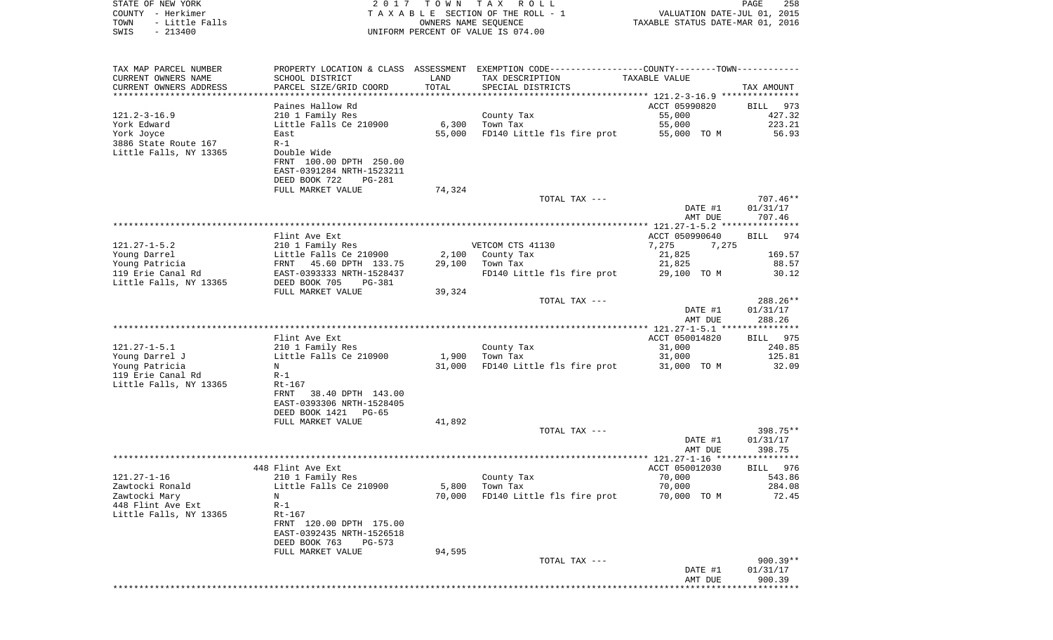| STATE OF NEW YORK<br>COUNTY - Herkimer<br>TOWN<br>- Little Falls<br>$-213400$<br>SWIS | 2 0 1 7                                              | T O W N<br>OWNERS NAME SEQUENCE | TAX ROLL<br>TAXABLE SECTION OF THE ROLL - 1<br>UNIFORM PERCENT OF VALUE IS 074.00              | VALUATION DATE-JUL 01, 2015<br>TAXABLE STATUS DATE-MAR 01, 2016 | PAGE<br>258                           |
|---------------------------------------------------------------------------------------|------------------------------------------------------|---------------------------------|------------------------------------------------------------------------------------------------|-----------------------------------------------------------------|---------------------------------------|
| TAX MAP PARCEL NUMBER                                                                 |                                                      |                                 | PROPERTY LOCATION & CLASS ASSESSMENT EXEMPTION CODE----------------COUNTY-------TOWN---------- |                                                                 |                                       |
| CURRENT OWNERS NAME                                                                   | SCHOOL DISTRICT                                      | LAND                            | TAX DESCRIPTION                                                                                | TAXABLE VALUE                                                   |                                       |
| CURRENT OWNERS ADDRESS                                                                | PARCEL SIZE/GRID COORD                               | TOTAL                           | SPECIAL DISTRICTS                                                                              |                                                                 | TAX AMOUNT                            |
| **********************                                                                |                                                      |                                 |                                                                                                |                                                                 |                                       |
|                                                                                       | Paines Hallow Rd                                     |                                 |                                                                                                | ACCT 05990820                                                   | BILL<br>973                           |
| $121.2 - 3 - 16.9$<br>York Edward                                                     | 210 1 Family Res<br>Little Falls Ce 210900           | 6,300                           | County Tax<br>Town Tax                                                                         | 55,000<br>55,000                                                | 427.32<br>223.21                      |
| York Joyce                                                                            | East                                                 | 55,000                          | FD140 Little fls fire prot                                                                     | 55,000 TO M                                                     | 56.93                                 |
| 3886 State Route 167                                                                  | $R-1$                                                |                                 |                                                                                                |                                                                 |                                       |
| Little Falls, NY 13365                                                                | Double Wide                                          |                                 |                                                                                                |                                                                 |                                       |
|                                                                                       | FRNT 100.00 DPTH 250.00                              |                                 |                                                                                                |                                                                 |                                       |
|                                                                                       | EAST-0391284 NRTH-1523211<br>DEED BOOK 722<br>PG-281 |                                 |                                                                                                |                                                                 |                                       |
|                                                                                       | FULL MARKET VALUE                                    | 74,324                          |                                                                                                |                                                                 |                                       |
|                                                                                       |                                                      |                                 | TOTAL TAX ---                                                                                  |                                                                 | $707.46**$                            |
|                                                                                       |                                                      |                                 |                                                                                                | DATE #1                                                         | 01/31/17                              |
|                                                                                       |                                                      |                                 |                                                                                                | AMT DUE                                                         | 707.46                                |
|                                                                                       | Flint Ave Ext                                        |                                 |                                                                                                | ACCT 050990640                                                  | 974<br>BILL                           |
| $121.27 - 1 - 5.2$                                                                    | 210 1 Family Res                                     |                                 | VETCOM CTS 41130                                                                               | 7,275<br>7,275                                                  |                                       |
| Young Darrel                                                                          | Little Falls Ce 210900                               | 2,100                           | County Tax                                                                                     | 21,825                                                          | 169.57                                |
| Young Patricia                                                                        | 45.60 DPTH 133.75<br>FRNT                            | 29,100                          | Town Tax                                                                                       | 21,825                                                          | 88.57                                 |
| 119 Erie Canal Rd                                                                     | EAST-0393333 NRTH-1528437                            |                                 | FD140 Little fls fire prot                                                                     | 29,100 TO M                                                     | 30.12                                 |
| Little Falls, NY 13365                                                                | DEED BOOK 705<br>PG-381                              |                                 |                                                                                                |                                                                 |                                       |
|                                                                                       | FULL MARKET VALUE                                    | 39,324                          | TOTAL TAX ---                                                                                  |                                                                 | 288.26**                              |
|                                                                                       |                                                      |                                 |                                                                                                | DATE #1                                                         | 01/31/17                              |
|                                                                                       |                                                      |                                 |                                                                                                | AMT DUE                                                         | 288.26                                |
|                                                                                       |                                                      |                                 |                                                                                                | ************* 121.27-1-5.1 ***************                      |                                       |
|                                                                                       | Flint Ave Ext                                        |                                 |                                                                                                | ACCT 050014820                                                  | BILL<br>975                           |
| $121.27 - 1 - 5.1$<br>Young Darrel J                                                  | 210 1 Family Res<br>Little Falls Ce 210900           | 1,900                           | County Tax<br>Town Tax                                                                         | 31,000<br>31,000                                                | 240.85<br>125.81                      |
| Young Patricia                                                                        | N                                                    | 31,000                          | FD140 Little fls fire prot                                                                     | 31,000 TO M                                                     | 32.09                                 |
| 119 Erie Canal Rd                                                                     | $R-1$                                                |                                 |                                                                                                |                                                                 |                                       |
| Little Falls, NY 13365                                                                | Rt-167                                               |                                 |                                                                                                |                                                                 |                                       |
|                                                                                       | 38.40 DPTH 143.00<br>FRNT                            |                                 |                                                                                                |                                                                 |                                       |
|                                                                                       | EAST-0393306 NRTH-1528405<br>PG-65                   |                                 |                                                                                                |                                                                 |                                       |
|                                                                                       | DEED BOOK 1421<br>FULL MARKET VALUE                  | 41,892                          |                                                                                                |                                                                 |                                       |
|                                                                                       |                                                      |                                 | TOTAL TAX ---                                                                                  |                                                                 | 398.75**                              |
|                                                                                       |                                                      |                                 |                                                                                                | DATE #1                                                         | 01/31/17                              |
|                                                                                       |                                                      |                                 |                                                                                                | AMT DUE                                                         | 398.75                                |
|                                                                                       |                                                      |                                 |                                                                                                |                                                                 |                                       |
| $121.27 - 1 - 16$                                                                     | 448 Flint Ave Ext<br>210 1 Family Res                |                                 | County Tax                                                                                     | ACCT 050012030<br>70,000                                        | BILL 976<br>543.86                    |
| Zawtocki Ronald                                                                       | Little Falls Ce 210900                               | 5,800                           | Town Tax                                                                                       | 70,000                                                          | 284.08                                |
| Zawtocki Mary                                                                         | Ν                                                    | 70,000                          | FD140 Little fls fire prot                                                                     | 70,000 TO M                                                     | 72.45                                 |
| 448 Flint Ave Ext                                                                     | $R-1$                                                |                                 |                                                                                                |                                                                 |                                       |
| Little Falls, NY 13365                                                                | $Rt-167$                                             |                                 |                                                                                                |                                                                 |                                       |
|                                                                                       | FRNT 120.00 DPTH 175.00<br>EAST-0392435 NRTH-1526518 |                                 |                                                                                                |                                                                 |                                       |
|                                                                                       | DEED BOOK 763<br>$PG-573$                            |                                 |                                                                                                |                                                                 |                                       |
|                                                                                       | FULL MARKET VALUE                                    | 94,595                          |                                                                                                |                                                                 |                                       |
|                                                                                       |                                                      |                                 | TOTAL TAX ---                                                                                  |                                                                 | 900.39**                              |
|                                                                                       |                                                      |                                 |                                                                                                | DATE #1                                                         | 01/31/17                              |
|                                                                                       |                                                      |                                 |                                                                                                | AMT DUE                                                         | 900.39<br>* * * * * * * * * * * * * * |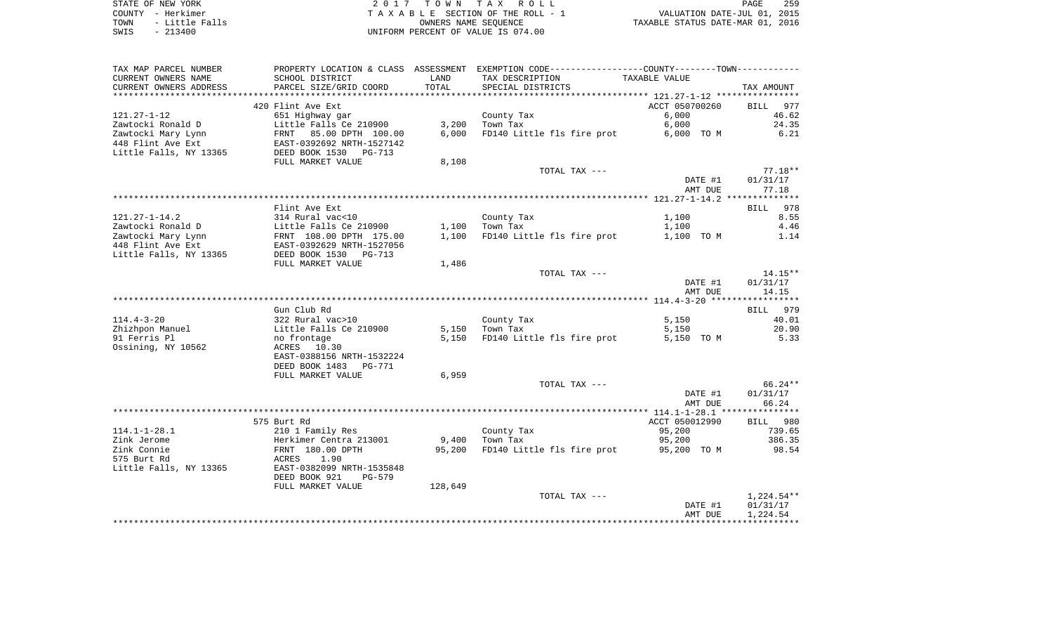| STATE OF NEW YORK      | 2017 TOWN TAX ROLL                 | 259<br><b>PAGE</b>               |
|------------------------|------------------------------------|----------------------------------|
| COUNTY - Herkimer      | TAXABLE SECTION OF THE ROLL - 1    | VALUATION DATE-JUL 01, 2015      |
| - Little Falls<br>TOWN | OWNERS NAME SEOUENCE               | TAXABLE STATUS DATE-MAR 01, 2016 |
| - 213400<br>SWTS       | INIFORM PERCENT OF VALUE IS 074 00 |                                  |

TA X A B L E SECTION OF THE ROLL - 1 SWIS - 213400 UNIFORM PERCENT OF VALUE IS 074.00

| **********************<br>ACCT 050700260<br>420 Flint Ave Ext<br>977<br>BILL<br>6,000<br>46.62<br>651 Highway gar<br>County Tax<br>24.35<br>Little Falls Ce 210900<br>3,200<br>Town Tax<br>6,000<br>6.21<br>85.00 DPTH 100.00<br>6,000<br>FD140 Little fls fire prot<br>6,000 TO M<br>FRNT<br>EAST-0392692 NRTH-1527142<br>DEED BOOK 1530 PG-713<br>FULL MARKET VALUE<br>8,108<br>TOTAL TAX ---<br>$77.18**$<br>DATE #1<br>01/31/17<br>77.18<br>AMT DUE<br>Flint Ave Ext<br>BILL 978<br>8.55<br>$121.27 - 1 - 14.2$<br>314 Rural vac<10<br>County Tax<br>1,100<br>Zawtocki Ronald D<br>Little Falls Ce 210900<br>Town Tax<br>4.46<br>1,100<br>1,100<br>Zawtocki Mary Lynn<br>FRNT 108.00 DPTH 175.00<br>1,100<br>FD140 Little fls fire prot<br>1.14<br>1,100 TO M<br>448 Flint Ave Ext<br>EAST-0392629 NRTH-1527056<br>Little Falls, NY 13365<br>DEED BOOK 1530 PG-713<br>FULL MARKET VALUE<br>1,486<br>$14.15**$<br>TOTAL TAX ---<br>DATE #1<br>01/31/17<br>14.15<br>AMT DUE<br>Gun Club Rd<br>BILL 979<br>$114.4 - 3 - 20$<br>322 Rural vac>10<br>County Tax<br>5,150<br>40.01<br>Zhizhpon Manuel<br>Little Falls Ce 210900<br>5,150<br>Town Tax<br>5,150<br>20.90<br>91 Ferris Pl<br>FD140 Little fls fire prot<br>5,150 TO M<br>5.33<br>no frontage<br>5,150<br>Ossining, NY 10562<br>ACRES 10.30<br>EAST-0388156 NRTH-1532224<br>DEED BOOK 1483 PG-771<br>FULL MARKET VALUE<br>6,959<br>TOTAL TAX ---<br>66.24**<br>01/31/17<br>DATE #1<br>AMT DUE<br>66.24<br>575 Burt Rd<br>ACCT 050012990<br>BILL 980<br>210 1 Family Res<br>County Tax<br>95,200<br>739.65<br>Herkimer Centra 213001<br>Town Tax<br>95,200<br>386.35<br>9,400<br>FD140 Little fls fire prot 95,200 TO M<br>FRNT 180.00 DPTH<br>95,200<br>98.54<br>ACRES<br>1.90<br>EAST-0382099 NRTH-1535848<br>DEED BOOK 921<br>PG-579<br>FULL MARKET VALUE<br>128,649<br>TOTAL TAX ---<br>$1,224.54**$<br>DATE #1<br>01/31/17<br>AMT DUE<br>1,224.54 | TAX MAP PARCEL NUMBER<br>CURRENT OWNERS NAME | PROPERTY LOCATION & CLASS ASSESSMENT<br>SCHOOL DISTRICT | LAND  | EXEMPTION CODE-----------------COUNTY-------TOWN-----------<br>TAX DESCRIPTION | TAXABLE VALUE |            |
|-----------------------------------------------------------------------------------------------------------------------------------------------------------------------------------------------------------------------------------------------------------------------------------------------------------------------------------------------------------------------------------------------------------------------------------------------------------------------------------------------------------------------------------------------------------------------------------------------------------------------------------------------------------------------------------------------------------------------------------------------------------------------------------------------------------------------------------------------------------------------------------------------------------------------------------------------------------------------------------------------------------------------------------------------------------------------------------------------------------------------------------------------------------------------------------------------------------------------------------------------------------------------------------------------------------------------------------------------------------------------------------------------------------------------------------------------------------------------------------------------------------------------------------------------------------------------------------------------------------------------------------------------------------------------------------------------------------------------------------------------------------------------------------------------------------------------------------------------------------------------------------------------------------------|----------------------------------------------|---------------------------------------------------------|-------|--------------------------------------------------------------------------------|---------------|------------|
|                                                                                                                                                                                                                                                                                                                                                                                                                                                                                                                                                                                                                                                                                                                                                                                                                                                                                                                                                                                                                                                                                                                                                                                                                                                                                                                                                                                                                                                                                                                                                                                                                                                                                                                                                                                                                                                                                                                 | CURRENT OWNERS ADDRESS                       | PARCEL SIZE/GRID COORD                                  | TOTAL | SPECIAL DISTRICTS                                                              |               | TAX AMOUNT |
|                                                                                                                                                                                                                                                                                                                                                                                                                                                                                                                                                                                                                                                                                                                                                                                                                                                                                                                                                                                                                                                                                                                                                                                                                                                                                                                                                                                                                                                                                                                                                                                                                                                                                                                                                                                                                                                                                                                 |                                              |                                                         |       |                                                                                |               |            |
|                                                                                                                                                                                                                                                                                                                                                                                                                                                                                                                                                                                                                                                                                                                                                                                                                                                                                                                                                                                                                                                                                                                                                                                                                                                                                                                                                                                                                                                                                                                                                                                                                                                                                                                                                                                                                                                                                                                 | $121.27 - 1 - 12$                            |                                                         |       |                                                                                |               |            |
|                                                                                                                                                                                                                                                                                                                                                                                                                                                                                                                                                                                                                                                                                                                                                                                                                                                                                                                                                                                                                                                                                                                                                                                                                                                                                                                                                                                                                                                                                                                                                                                                                                                                                                                                                                                                                                                                                                                 | Zawtocki Ronald D                            |                                                         |       |                                                                                |               |            |
|                                                                                                                                                                                                                                                                                                                                                                                                                                                                                                                                                                                                                                                                                                                                                                                                                                                                                                                                                                                                                                                                                                                                                                                                                                                                                                                                                                                                                                                                                                                                                                                                                                                                                                                                                                                                                                                                                                                 | Zawtocki Mary Lynn                           |                                                         |       |                                                                                |               |            |
|                                                                                                                                                                                                                                                                                                                                                                                                                                                                                                                                                                                                                                                                                                                                                                                                                                                                                                                                                                                                                                                                                                                                                                                                                                                                                                                                                                                                                                                                                                                                                                                                                                                                                                                                                                                                                                                                                                                 | 448 Flint Ave Ext<br>Little Falls, NY 13365  |                                                         |       |                                                                                |               |            |
|                                                                                                                                                                                                                                                                                                                                                                                                                                                                                                                                                                                                                                                                                                                                                                                                                                                                                                                                                                                                                                                                                                                                                                                                                                                                                                                                                                                                                                                                                                                                                                                                                                                                                                                                                                                                                                                                                                                 |                                              |                                                         |       |                                                                                |               |            |
|                                                                                                                                                                                                                                                                                                                                                                                                                                                                                                                                                                                                                                                                                                                                                                                                                                                                                                                                                                                                                                                                                                                                                                                                                                                                                                                                                                                                                                                                                                                                                                                                                                                                                                                                                                                                                                                                                                                 |                                              |                                                         |       |                                                                                |               |            |
|                                                                                                                                                                                                                                                                                                                                                                                                                                                                                                                                                                                                                                                                                                                                                                                                                                                                                                                                                                                                                                                                                                                                                                                                                                                                                                                                                                                                                                                                                                                                                                                                                                                                                                                                                                                                                                                                                                                 |                                              |                                                         |       |                                                                                |               |            |
|                                                                                                                                                                                                                                                                                                                                                                                                                                                                                                                                                                                                                                                                                                                                                                                                                                                                                                                                                                                                                                                                                                                                                                                                                                                                                                                                                                                                                                                                                                                                                                                                                                                                                                                                                                                                                                                                                                                 |                                              |                                                         |       |                                                                                |               |            |
|                                                                                                                                                                                                                                                                                                                                                                                                                                                                                                                                                                                                                                                                                                                                                                                                                                                                                                                                                                                                                                                                                                                                                                                                                                                                                                                                                                                                                                                                                                                                                                                                                                                                                                                                                                                                                                                                                                                 |                                              |                                                         |       |                                                                                |               |            |
|                                                                                                                                                                                                                                                                                                                                                                                                                                                                                                                                                                                                                                                                                                                                                                                                                                                                                                                                                                                                                                                                                                                                                                                                                                                                                                                                                                                                                                                                                                                                                                                                                                                                                                                                                                                                                                                                                                                 |                                              |                                                         |       |                                                                                |               |            |
|                                                                                                                                                                                                                                                                                                                                                                                                                                                                                                                                                                                                                                                                                                                                                                                                                                                                                                                                                                                                                                                                                                                                                                                                                                                                                                                                                                                                                                                                                                                                                                                                                                                                                                                                                                                                                                                                                                                 |                                              |                                                         |       |                                                                                |               |            |
|                                                                                                                                                                                                                                                                                                                                                                                                                                                                                                                                                                                                                                                                                                                                                                                                                                                                                                                                                                                                                                                                                                                                                                                                                                                                                                                                                                                                                                                                                                                                                                                                                                                                                                                                                                                                                                                                                                                 |                                              |                                                         |       |                                                                                |               |            |
|                                                                                                                                                                                                                                                                                                                                                                                                                                                                                                                                                                                                                                                                                                                                                                                                                                                                                                                                                                                                                                                                                                                                                                                                                                                                                                                                                                                                                                                                                                                                                                                                                                                                                                                                                                                                                                                                                                                 |                                              |                                                         |       |                                                                                |               |            |
|                                                                                                                                                                                                                                                                                                                                                                                                                                                                                                                                                                                                                                                                                                                                                                                                                                                                                                                                                                                                                                                                                                                                                                                                                                                                                                                                                                                                                                                                                                                                                                                                                                                                                                                                                                                                                                                                                                                 |                                              |                                                         |       |                                                                                |               |            |
|                                                                                                                                                                                                                                                                                                                                                                                                                                                                                                                                                                                                                                                                                                                                                                                                                                                                                                                                                                                                                                                                                                                                                                                                                                                                                                                                                                                                                                                                                                                                                                                                                                                                                                                                                                                                                                                                                                                 |                                              |                                                         |       |                                                                                |               |            |
|                                                                                                                                                                                                                                                                                                                                                                                                                                                                                                                                                                                                                                                                                                                                                                                                                                                                                                                                                                                                                                                                                                                                                                                                                                                                                                                                                                                                                                                                                                                                                                                                                                                                                                                                                                                                                                                                                                                 |                                              |                                                         |       |                                                                                |               |            |
|                                                                                                                                                                                                                                                                                                                                                                                                                                                                                                                                                                                                                                                                                                                                                                                                                                                                                                                                                                                                                                                                                                                                                                                                                                                                                                                                                                                                                                                                                                                                                                                                                                                                                                                                                                                                                                                                                                                 |                                              |                                                         |       |                                                                                |               |            |
|                                                                                                                                                                                                                                                                                                                                                                                                                                                                                                                                                                                                                                                                                                                                                                                                                                                                                                                                                                                                                                                                                                                                                                                                                                                                                                                                                                                                                                                                                                                                                                                                                                                                                                                                                                                                                                                                                                                 |                                              |                                                         |       |                                                                                |               |            |
|                                                                                                                                                                                                                                                                                                                                                                                                                                                                                                                                                                                                                                                                                                                                                                                                                                                                                                                                                                                                                                                                                                                                                                                                                                                                                                                                                                                                                                                                                                                                                                                                                                                                                                                                                                                                                                                                                                                 |                                              |                                                         |       |                                                                                |               |            |
|                                                                                                                                                                                                                                                                                                                                                                                                                                                                                                                                                                                                                                                                                                                                                                                                                                                                                                                                                                                                                                                                                                                                                                                                                                                                                                                                                                                                                                                                                                                                                                                                                                                                                                                                                                                                                                                                                                                 |                                              |                                                         |       |                                                                                |               |            |
|                                                                                                                                                                                                                                                                                                                                                                                                                                                                                                                                                                                                                                                                                                                                                                                                                                                                                                                                                                                                                                                                                                                                                                                                                                                                                                                                                                                                                                                                                                                                                                                                                                                                                                                                                                                                                                                                                                                 |                                              |                                                         |       |                                                                                |               |            |
|                                                                                                                                                                                                                                                                                                                                                                                                                                                                                                                                                                                                                                                                                                                                                                                                                                                                                                                                                                                                                                                                                                                                                                                                                                                                                                                                                                                                                                                                                                                                                                                                                                                                                                                                                                                                                                                                                                                 |                                              |                                                         |       |                                                                                |               |            |
|                                                                                                                                                                                                                                                                                                                                                                                                                                                                                                                                                                                                                                                                                                                                                                                                                                                                                                                                                                                                                                                                                                                                                                                                                                                                                                                                                                                                                                                                                                                                                                                                                                                                                                                                                                                                                                                                                                                 |                                              |                                                         |       |                                                                                |               |            |
|                                                                                                                                                                                                                                                                                                                                                                                                                                                                                                                                                                                                                                                                                                                                                                                                                                                                                                                                                                                                                                                                                                                                                                                                                                                                                                                                                                                                                                                                                                                                                                                                                                                                                                                                                                                                                                                                                                                 |                                              |                                                         |       |                                                                                |               |            |
|                                                                                                                                                                                                                                                                                                                                                                                                                                                                                                                                                                                                                                                                                                                                                                                                                                                                                                                                                                                                                                                                                                                                                                                                                                                                                                                                                                                                                                                                                                                                                                                                                                                                                                                                                                                                                                                                                                                 |                                              |                                                         |       |                                                                                |               |            |
|                                                                                                                                                                                                                                                                                                                                                                                                                                                                                                                                                                                                                                                                                                                                                                                                                                                                                                                                                                                                                                                                                                                                                                                                                                                                                                                                                                                                                                                                                                                                                                                                                                                                                                                                                                                                                                                                                                                 |                                              |                                                         |       |                                                                                |               |            |
|                                                                                                                                                                                                                                                                                                                                                                                                                                                                                                                                                                                                                                                                                                                                                                                                                                                                                                                                                                                                                                                                                                                                                                                                                                                                                                                                                                                                                                                                                                                                                                                                                                                                                                                                                                                                                                                                                                                 |                                              |                                                         |       |                                                                                |               |            |
|                                                                                                                                                                                                                                                                                                                                                                                                                                                                                                                                                                                                                                                                                                                                                                                                                                                                                                                                                                                                                                                                                                                                                                                                                                                                                                                                                                                                                                                                                                                                                                                                                                                                                                                                                                                                                                                                                                                 |                                              |                                                         |       |                                                                                |               |            |
|                                                                                                                                                                                                                                                                                                                                                                                                                                                                                                                                                                                                                                                                                                                                                                                                                                                                                                                                                                                                                                                                                                                                                                                                                                                                                                                                                                                                                                                                                                                                                                                                                                                                                                                                                                                                                                                                                                                 |                                              |                                                         |       |                                                                                |               |            |
|                                                                                                                                                                                                                                                                                                                                                                                                                                                                                                                                                                                                                                                                                                                                                                                                                                                                                                                                                                                                                                                                                                                                                                                                                                                                                                                                                                                                                                                                                                                                                                                                                                                                                                                                                                                                                                                                                                                 |                                              |                                                         |       |                                                                                |               |            |
|                                                                                                                                                                                                                                                                                                                                                                                                                                                                                                                                                                                                                                                                                                                                                                                                                                                                                                                                                                                                                                                                                                                                                                                                                                                                                                                                                                                                                                                                                                                                                                                                                                                                                                                                                                                                                                                                                                                 |                                              |                                                         |       |                                                                                |               |            |
|                                                                                                                                                                                                                                                                                                                                                                                                                                                                                                                                                                                                                                                                                                                                                                                                                                                                                                                                                                                                                                                                                                                                                                                                                                                                                                                                                                                                                                                                                                                                                                                                                                                                                                                                                                                                                                                                                                                 | $114.1 - 1 - 28.1$                           |                                                         |       |                                                                                |               |            |
|                                                                                                                                                                                                                                                                                                                                                                                                                                                                                                                                                                                                                                                                                                                                                                                                                                                                                                                                                                                                                                                                                                                                                                                                                                                                                                                                                                                                                                                                                                                                                                                                                                                                                                                                                                                                                                                                                                                 | Zink Jerome                                  |                                                         |       |                                                                                |               |            |
|                                                                                                                                                                                                                                                                                                                                                                                                                                                                                                                                                                                                                                                                                                                                                                                                                                                                                                                                                                                                                                                                                                                                                                                                                                                                                                                                                                                                                                                                                                                                                                                                                                                                                                                                                                                                                                                                                                                 | Zink Connie                                  |                                                         |       |                                                                                |               |            |
|                                                                                                                                                                                                                                                                                                                                                                                                                                                                                                                                                                                                                                                                                                                                                                                                                                                                                                                                                                                                                                                                                                                                                                                                                                                                                                                                                                                                                                                                                                                                                                                                                                                                                                                                                                                                                                                                                                                 | 575 Burt Rd                                  |                                                         |       |                                                                                |               |            |
|                                                                                                                                                                                                                                                                                                                                                                                                                                                                                                                                                                                                                                                                                                                                                                                                                                                                                                                                                                                                                                                                                                                                                                                                                                                                                                                                                                                                                                                                                                                                                                                                                                                                                                                                                                                                                                                                                                                 | Little Falls, NY 13365                       |                                                         |       |                                                                                |               |            |
|                                                                                                                                                                                                                                                                                                                                                                                                                                                                                                                                                                                                                                                                                                                                                                                                                                                                                                                                                                                                                                                                                                                                                                                                                                                                                                                                                                                                                                                                                                                                                                                                                                                                                                                                                                                                                                                                                                                 |                                              |                                                         |       |                                                                                |               |            |
|                                                                                                                                                                                                                                                                                                                                                                                                                                                                                                                                                                                                                                                                                                                                                                                                                                                                                                                                                                                                                                                                                                                                                                                                                                                                                                                                                                                                                                                                                                                                                                                                                                                                                                                                                                                                                                                                                                                 |                                              |                                                         |       |                                                                                |               |            |
|                                                                                                                                                                                                                                                                                                                                                                                                                                                                                                                                                                                                                                                                                                                                                                                                                                                                                                                                                                                                                                                                                                                                                                                                                                                                                                                                                                                                                                                                                                                                                                                                                                                                                                                                                                                                                                                                                                                 |                                              |                                                         |       |                                                                                |               |            |
|                                                                                                                                                                                                                                                                                                                                                                                                                                                                                                                                                                                                                                                                                                                                                                                                                                                                                                                                                                                                                                                                                                                                                                                                                                                                                                                                                                                                                                                                                                                                                                                                                                                                                                                                                                                                                                                                                                                 |                                              |                                                         |       |                                                                                |               |            |
|                                                                                                                                                                                                                                                                                                                                                                                                                                                                                                                                                                                                                                                                                                                                                                                                                                                                                                                                                                                                                                                                                                                                                                                                                                                                                                                                                                                                                                                                                                                                                                                                                                                                                                                                                                                                                                                                                                                 |                                              |                                                         |       |                                                                                |               |            |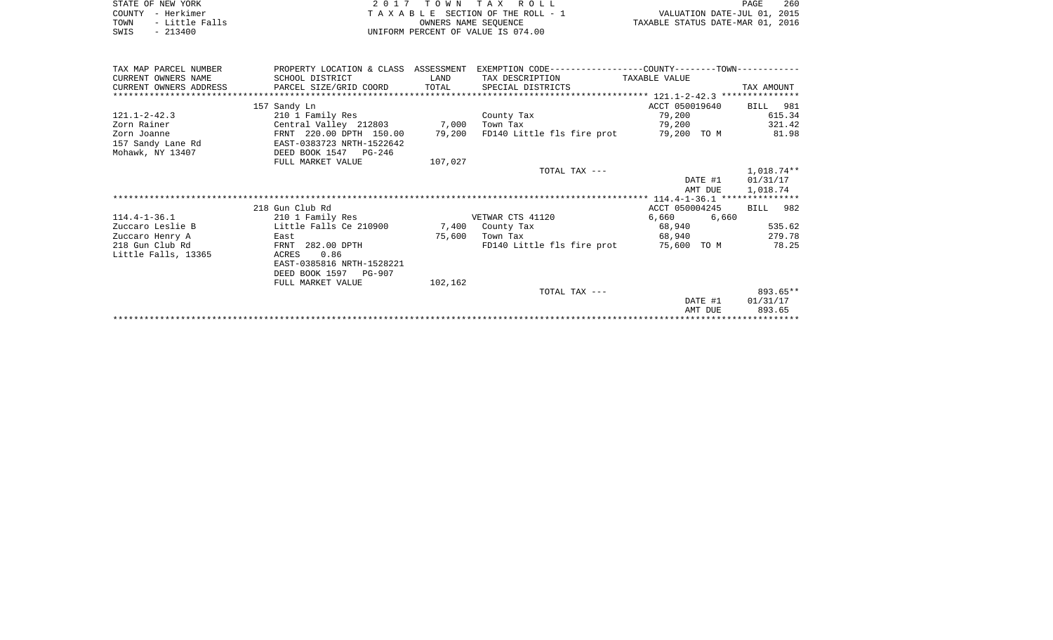|      | STATE OF NEW YORK | 2017 TOWN TAX ROLL                 | PAGE                             | 260 |
|------|-------------------|------------------------------------|----------------------------------|-----|
|      | COUNTY - Herkimer | TAXABLE SECTION OF THE ROLL - 1    | VALUATION DATE-JUL 01, 2015      |     |
| TOWN | - Little Falls    | OWNERS NAME SEOUENCE               | TAXABLE STATUS DATE-MAR 01, 2016 |     |
| SWIS | - 213400          | UNIFORM PERCENT OF VALUE IS 074.00 |                                  |     |

|  | PAGE                            | 260 |
|--|---------------------------------|-----|
|  | VALUATION DATE-JUL 01, 2015     |     |
|  | XABLE STATUS DATE-MAR 01, 2016. |     |

| TAX MAP PARCEL NUMBER  | PROPERTY LOCATION & CLASS ASSESSMENT |         | EXEMPTION CODE-----------------COUNTY-------TOWN----------- |                |            |
|------------------------|--------------------------------------|---------|-------------------------------------------------------------|----------------|------------|
| CURRENT OWNERS NAME    | SCHOOL DISTRICT                      | LAND    | TAX DESCRIPTION                                             | TAXABLE VALUE  |            |
| CURRENT OWNERS ADDRESS | PARCEL SIZE/GRID COORD               | TOTAL   | SPECIAL DISTRICTS                                           |                | TAX AMOUNT |
|                        |                                      |         |                                                             |                |            |
|                        | 157 Sandy Ln                         |         |                                                             | ACCT 050019640 | BILL 981   |
| $121.1 - 2 - 42.3$     | 210 1 Family Res                     |         | County Tax                                                  | 79,200         | 615.34     |
| Zorn Rainer            | Central Valley 212803 7,000          |         | Town Tax                                                    | 79,200         | 321.42     |
| Zorn Joanne            | FRNT 220.00 DPTH 150.00              | 79,200  | FD140 Little fls fire prot                                  | 79,200 TO M    | 81.98      |
| 157 Sandy Lane Rd      | EAST-0383723 NRTH-1522642            |         |                                                             |                |            |
| Mohawk, NY 13407       | DEED BOOK 1547<br>PG-246             |         |                                                             |                |            |
|                        | FULL MARKET VALUE                    | 107,027 |                                                             |                |            |
|                        |                                      |         | TOTAL TAX ---                                               |                | 1,018.74** |
|                        |                                      |         |                                                             | DATE #1        | 01/31/17   |
|                        |                                      |         |                                                             | AMT DUE        | 1,018.74   |
|                        |                                      |         |                                                             |                |            |
|                        | 218 Gun Club Rd                      |         |                                                             | ACCT 050004245 | BILL 982   |
| $114.4 - 1 - 36.1$     | 210 1 Family Res                     |         | VETWAR CTS 41120                                            | 6,660<br>6,660 |            |
| Zuccaro Leslie B       | Little Falls Ce 210900               | 7,400   | County Tax                                                  | 68,940         | 535.62     |
| Zuccaro Henry A        | East                                 | 75,600  | Town Tax                                                    | 68,940         | 279.78     |
| 218 Gun Club Rd        | FRNT 282.00 DPTH                     |         | FD140 Little fls fire prot                                  | 75,600 TO M    | 78.25      |
| Little Falls, 13365    | 0.86<br>ACRES                        |         |                                                             |                |            |
|                        | EAST-0385816 NRTH-1528221            |         |                                                             |                |            |
|                        | DEED BOOK 1597 PG-907                |         |                                                             |                |            |
|                        | FULL MARKET VALUE                    | 102,162 |                                                             |                |            |
|                        |                                      |         | TOTAL TAX ---                                               |                | 893.65**   |
|                        |                                      |         |                                                             | DATE #1        | 01/31/17   |
|                        |                                      |         |                                                             | AMT DUE        | 893.65     |
|                        |                                      |         |                                                             |                |            |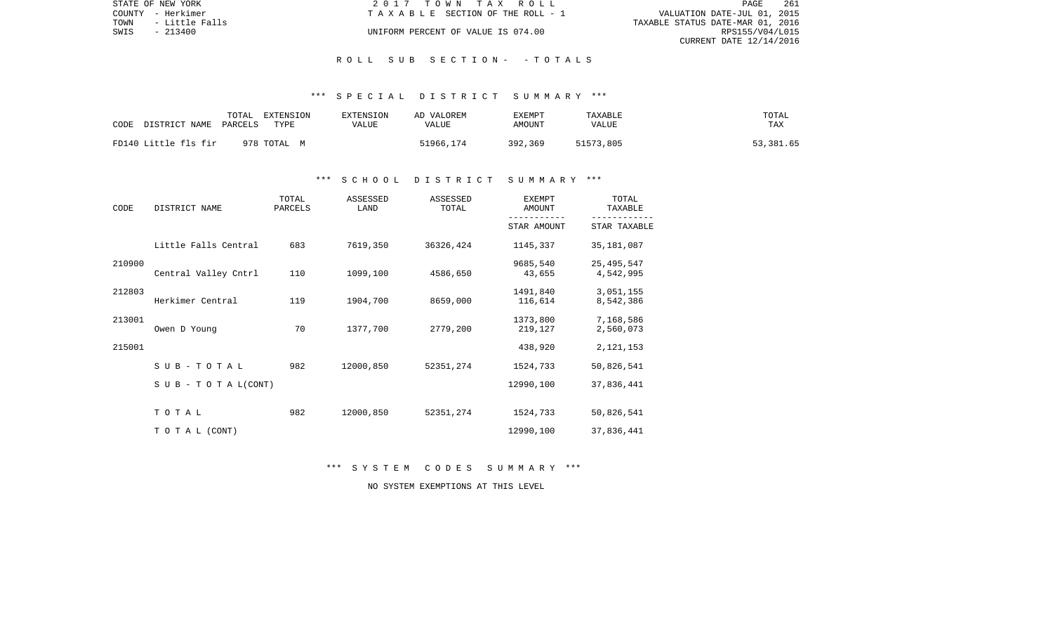| STATE OF NEW YORK |                | 2017 TOWN TAX ROLL                 | PAGE                             | 261 |
|-------------------|----------------|------------------------------------|----------------------------------|-----|
| COUNTY - Herkimer |                | TAXABLE SECTION OF THE ROLL - 1    | VALUATION DATE-JUL 01, 2015      |     |
| TOWN              | - Little Falls |                                    | TAXABLE STATUS DATE-MAR 01, 2016 |     |
| SWIS              | - 213400       | UNIFORM PERCENT OF VALUE IS 074.00 | RPS155/V04/L015                  |     |
|                   |                |                                    | CURRENT DATE 12/14/2016          |     |

## \*\*\* S P E C I A L D I S T R I C T S U M M A R Y \*\*\*

| CODE | DISTRICT NAME        | TOTAL<br>PARCELS | EXTENSION<br>TYPE | EXTENSION<br>VALUE | AD VALOREM<br>VALUE | EXEMPT<br>AMOUNT | TAXABLE<br>VALUE | TOTAL<br>TAX |
|------|----------------------|------------------|-------------------|--------------------|---------------------|------------------|------------------|--------------|
|      | FD140 Little fls fir |                  | 978 TOTAL M       |                    | 51966,174           | 392,369          | 51573,805        | 53,381.65    |

# \*\*\* S C H O O L D I S T R I C T S U M M A R Y \*\*\*

| CODE   | DISTRICT NAME                | TOTAL<br>PARCELS | ASSESSED<br>LAND | ASSESSED<br>TOTAL | <b>EXEMPT</b><br>AMOUNT | TOTAL<br>TAXABLE          |
|--------|------------------------------|------------------|------------------|-------------------|-------------------------|---------------------------|
|        |                              |                  |                  |                   | STAR AMOUNT             | STAR TAXABLE              |
|        | Little Falls Central         | 683              | 7619,350         | 36326,424         | 1145,337                | 35, 181, 087              |
| 210900 | Central Valley Cntrl         | 110              | 1099,100         | 4586,650          | 9685,540<br>43,655      | 25, 495, 547<br>4,542,995 |
| 212803 | Herkimer Central             | 119              | 1904,700         | 8659,000          | 1491,840<br>116,614     | 3,051,155<br>8,542,386    |
| 213001 | Owen D Young                 | 70               | 1377,700         | 2779,200          | 1373,800<br>219,127     | 7,168,586<br>2,560,073    |
| 215001 |                              |                  |                  |                   | 438,920                 | 2, 121, 153               |
|        | SUB-TOTAL                    | 982              | 12000,850        | 52351,274         | 1524,733                | 50,826,541                |
|        | $S \cup B - T O T A L(CONT)$ |                  |                  |                   | 12990,100               | 37,836,441                |
|        | TOTAL                        | 982              | 12000,850        | 52351,274         | 1524,733                | 50,826,541                |
|        | TO TAL (CONT)                |                  |                  |                   | 12990,100               | 37,836,441                |

\*\*\* S Y S T E M C O D E S S U M M A R Y \*\*\*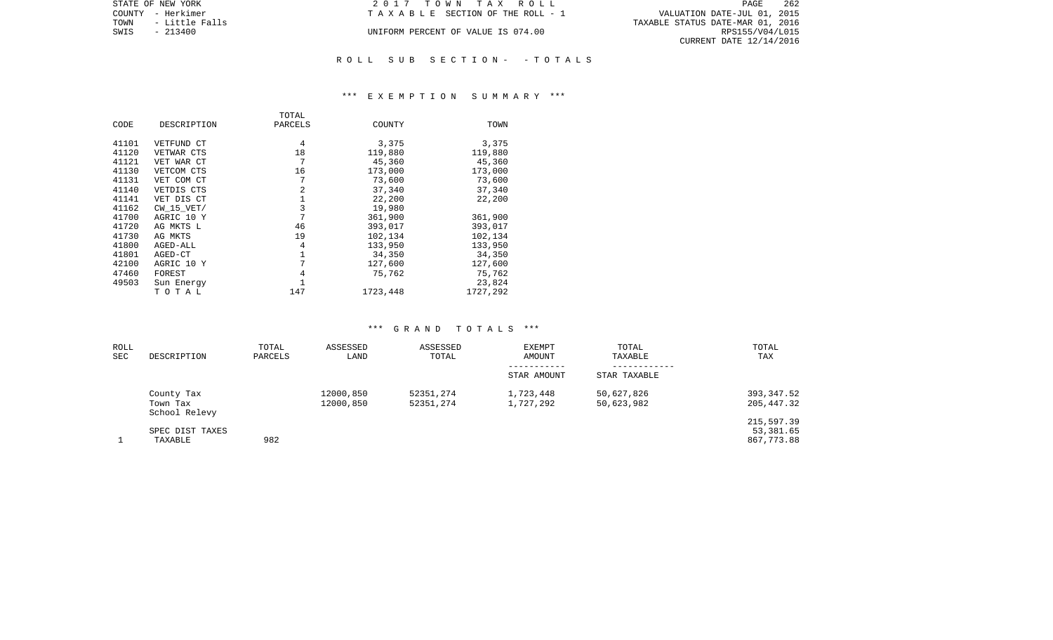|      | STATE OF NEW YORK | 2017 TOWN TAX ROLL                 | 262<br>PAGE                      |  |
|------|-------------------|------------------------------------|----------------------------------|--|
|      | COUNTY - Herkimer | TAXABLE SECTION OF THE ROLL - 1    | VALUATION DATE-JUL 01, 2015      |  |
| TOWN | - Little Falls    |                                    | TAXABLE STATUS DATE-MAR 01, 2016 |  |
| SWIS | $-213400$         | UNIFORM PERCENT OF VALUE IS 074.00 | RPS155/V04/L015                  |  |
|      |                   |                                    | CURRENT DATE 12/14/2016          |  |
|      |                   |                                    |                                  |  |

## \*\*\* E X E M P T I O N S U M M A R Y \*\*\*

|       |                | TOTAL   |          |          |
|-------|----------------|---------|----------|----------|
| CODE  | DESCRIPTION    | PARCELS | COUNTY   | TOWN     |
| 41101 | VETFUND CT     | 4       | 3,375    | 3,375    |
| 41120 | VETWAR CTS     | 18      | 119,880  | 119,880  |
| 41121 | VET WAR CT     | 7       | 45,360   | 45,360   |
| 41130 | VETCOM CTS     | 16      | 173,000  | 173,000  |
| 41131 | VET COM CT     | 7       | 73,600   | 73,600   |
| 41140 | VETDIS CTS     | 2       | 37,340   | 37,340   |
| 41141 | VET DIS CT     |         | 22,200   | 22,200   |
| 41162 | $CW$ 15 $VET/$ | 3       | 19,980   |          |
| 41700 | AGRIC 10 Y     | 7       | 361,900  | 361,900  |
| 41720 | AG MKTS L      | 46      | 393,017  | 393,017  |
| 41730 | AG MKTS        | 19      | 102,134  | 102,134  |
| 41800 | AGED-ALL       | 4       | 133,950  | 133,950  |
| 41801 | AGED-CT        | 1       | 34,350   | 34,350   |
| 42100 | AGRIC 10 Y     | 7       | 127,600  | 127,600  |
| 47460 | FOREST         | 4       | 75,762   | 75,762   |
| 49503 | Sun Energy     |         |          | 23,824   |
|       | TOTAL          | 147     | 1723,448 | 1727,292 |

| ROLL<br><b>SEC</b> | DESCRIPTION                             | TOTAL<br>PARCELS | ASSESSED<br>LAND       | ASSESSED<br>TOTAL      | <b>EXEMPT</b><br>AMOUNT | TOTAL<br>TAXABLE         | TOTAL<br>TAX                          |
|--------------------|-----------------------------------------|------------------|------------------------|------------------------|-------------------------|--------------------------|---------------------------------------|
|                    |                                         |                  |                        |                        | STAR AMOUNT             | STAR TAXABLE             |                                       |
|                    | County Tax<br>Town Tax<br>School Relevy |                  | 12000,850<br>12000,850 | 52351,274<br>52351,274 | 1,723,448<br>1,727,292  | 50,627,826<br>50,623,982 | 393,347.52<br>205,447.32              |
|                    | SPEC DIST TAXES<br>TAXABLE              | 982              |                        |                        |                         |                          | 215,597.39<br>53,381.65<br>867,773.88 |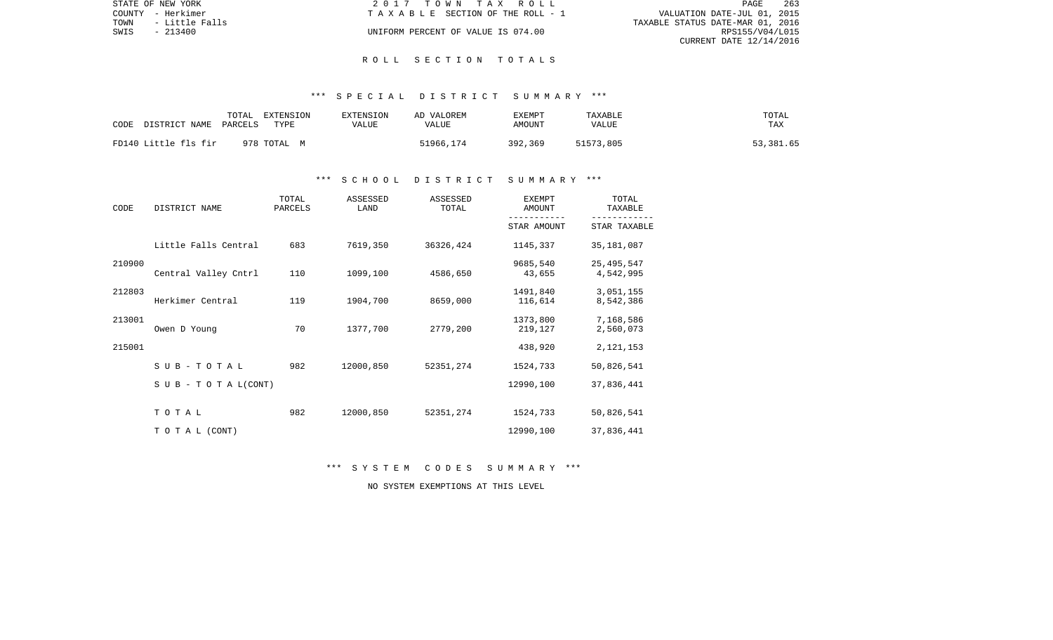|      | STATE OF NEW YORK | 2017 TOWN TAX ROLL                 | PAGE                             | 263 |  |
|------|-------------------|------------------------------------|----------------------------------|-----|--|
|      | COUNTY - Herkimer | TAXABLE SECTION OF THE ROLL - 1    | VALUATION DATE-JUL 01, 2015      |     |  |
| TOWN | - Little Falls    |                                    | TAXABLE STATUS DATE-MAR 01, 2016 |     |  |
| SWIS | - 213400          | UNIFORM PERCENT OF VALUE IS 074.00 | RPS155/V04/L015                  |     |  |
|      |                   |                                    | CURRENT DATE 12/14/2016          |     |  |

## R O L L S E C T I O N T O T A L S

## \*\*\* S P E C I A L D I S T R I C T S U M M A R Y \*\*\*

| CODE | DISTRICT NAME        | TOTAL<br>PARCELS | EXTENSION<br>TYPE | EXTENSION<br>VALUE | AD VALOREM<br>VALUE | EXEMPT<br>AMOUNT | TAXABLE<br>VALUE | TOTAL<br>TAX |
|------|----------------------|------------------|-------------------|--------------------|---------------------|------------------|------------------|--------------|
|      | FD140 Little fls fir |                  | 978 TOTAL M       |                    | 51966,174           | 392,369          | 51573,805        | 53,381.65    |

## \*\*\* S C H O O L D I S T R I C T S U M M A R Y \*\*\*

| CODE   | DISTRICT NAME             | TOTAL<br>PARCELS | ASSESSED<br>LAND | ASSESSED<br>TOTAL | <b>EXEMPT</b><br>AMOUNT | TOTAL<br>TAXABLE          |  |
|--------|---------------------------|------------------|------------------|-------------------|-------------------------|---------------------------|--|
|        |                           |                  |                  |                   | STAR AMOUNT             | STAR TAXABLE              |  |
|        | Little Falls Central      | 683              | 7619,350         | 36326,424         | 1145,337                | 35, 181, 087              |  |
| 210900 | Central Valley Cntrl      | 110              | 1099,100         | 4586,650          | 9685,540<br>43,655      | 25, 495, 547<br>4,542,995 |  |
| 212803 | Herkimer Central          | 119              | 1904,700         | 8659,000          | 1491,840<br>116,614     | 3,051,155<br>8,542,386    |  |
| 213001 | Owen D Young              | 70               | 1377,700         | 2779,200          | 1373,800<br>219,127     | 7,168,586<br>2,560,073    |  |
| 215001 |                           |                  |                  |                   | 438,920                 | 2, 121, 153               |  |
|        | SUB-TOTAL                 | 982              | 12000,850        | 52351,274         | 1524,733                | 50,826,541                |  |
|        | S U B - T O T A $L(CONT)$ |                  |                  |                   | 12990,100               | 37,836,441                |  |
|        | TOTAL                     | 982              | 12000,850        | 52351,274         | 1524,733                | 50,826,541                |  |
|        | TO TAL (CONT)             |                  |                  |                   | 12990,100               | 37,836,441                |  |

\*\*\* S Y S T E M C O D E S S U M M A R Y \*\*\*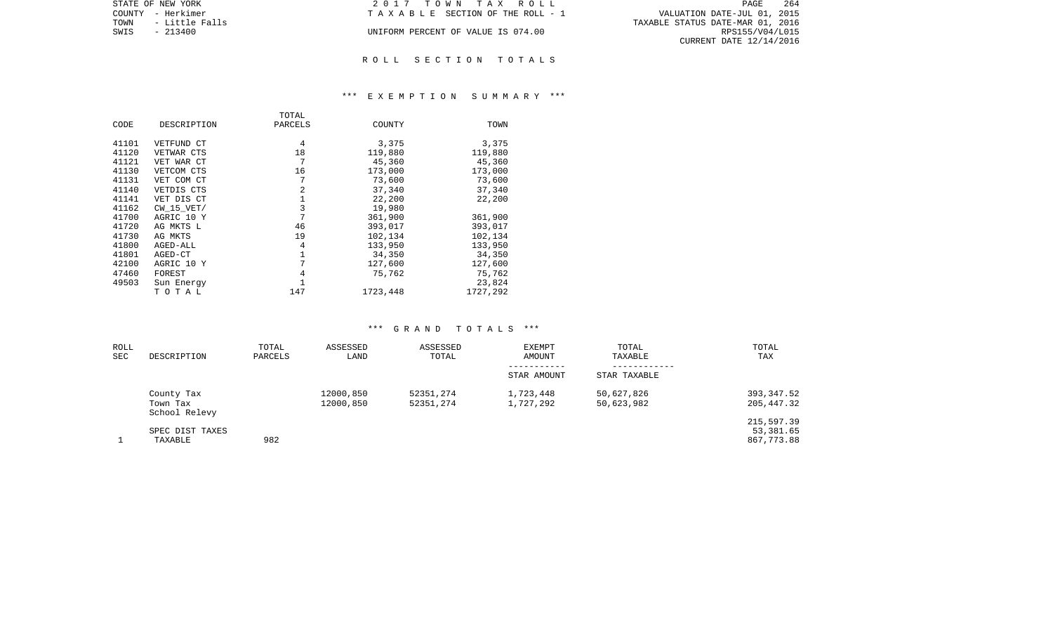| STATE OF NEW YORK      | 2017 TOWN TAX ROLL                    | 264<br>PAGE                      |
|------------------------|---------------------------------------|----------------------------------|
| COUNTY - Herkimer      | T A X A B L E SECTION OF THE ROLL - 1 | VALUATION DATE-JUL 01, 2015      |
| TOWN<br>- Little Falls |                                       | TAXABLE STATUS DATE-MAR 01, 2016 |
| SWIS<br>$-213400$      | UNIFORM PERCENT OF VALUE IS 074.00    | RPS155/V04/L015                  |
|                        |                                       | CURRENT DATE 12/14/2016          |
|                        |                                       |                                  |

## R O L L S E C T I O N T O T A L S

# \*\*\* E X E M P T I O N S U M M A R Y \*\*\*

|       |                | TOTAL   |          |          |
|-------|----------------|---------|----------|----------|
| CODE  | DESCRIPTION    | PARCELS | COUNTY   | TOWN     |
|       |                |         |          |          |
| 41101 | VETFUND CT     | 4       | 3,375    | 3,375    |
| 41120 | VETWAR CTS     | 18      | 119,880  | 119,880  |
| 41121 | VET WAR CT     | 7       | 45,360   | 45,360   |
| 41130 | VETCOM CTS     | 16      | 173,000  | 173,000  |
| 41131 | VET COM CT     | 7       | 73,600   | 73,600   |
| 41140 | VETDIS CTS     | 2       | 37,340   | 37,340   |
| 41141 | VET DIS CT     | 1       | 22,200   | 22,200   |
| 41162 | $CW$ 15 $VET/$ | 3       | 19,980   |          |
| 41700 | AGRIC 10 Y     | 7       | 361,900  | 361,900  |
| 41720 | AG MKTS L      | 46      | 393,017  | 393,017  |
| 41730 | AG MKTS        | 19      | 102,134  | 102,134  |
| 41800 | AGED-ALL       | 4       | 133,950  | 133,950  |
| 41801 | AGED-CT        | 1       | 34,350   | 34,350   |
| 42100 | AGRIC 10 Y     | 7       | 127,600  | 127,600  |
| 47460 | FOREST         | 4       | 75,762   | 75,762   |
| 49503 | Sun Energy     |         |          | 23,824   |
|       | TOTAL          | 147     | 1723,448 | 1727,292 |

| ROLL<br><b>SEC</b> | DESCRIPTION                             | TOTAL<br>PARCELS | ASSESSED<br>LAND       | ASSESSED<br>TOTAL      | <b>EXEMPT</b><br>AMOUNT | TOTAL<br>TAXABLE         | TOTAL<br>TAX                          |
|--------------------|-----------------------------------------|------------------|------------------------|------------------------|-------------------------|--------------------------|---------------------------------------|
|                    |                                         |                  |                        |                        | STAR AMOUNT             | STAR TAXABLE             |                                       |
|                    | County Tax<br>Town Tax<br>School Relevy |                  | 12000,850<br>12000,850 | 52351,274<br>52351,274 | 1,723,448<br>1,727,292  | 50,627,826<br>50,623,982 | 393,347.52<br>205,447.32              |
|                    | SPEC DIST TAXES<br>TAXABLE              | 982              |                        |                        |                         |                          | 215,597.39<br>53,381.65<br>867,773.88 |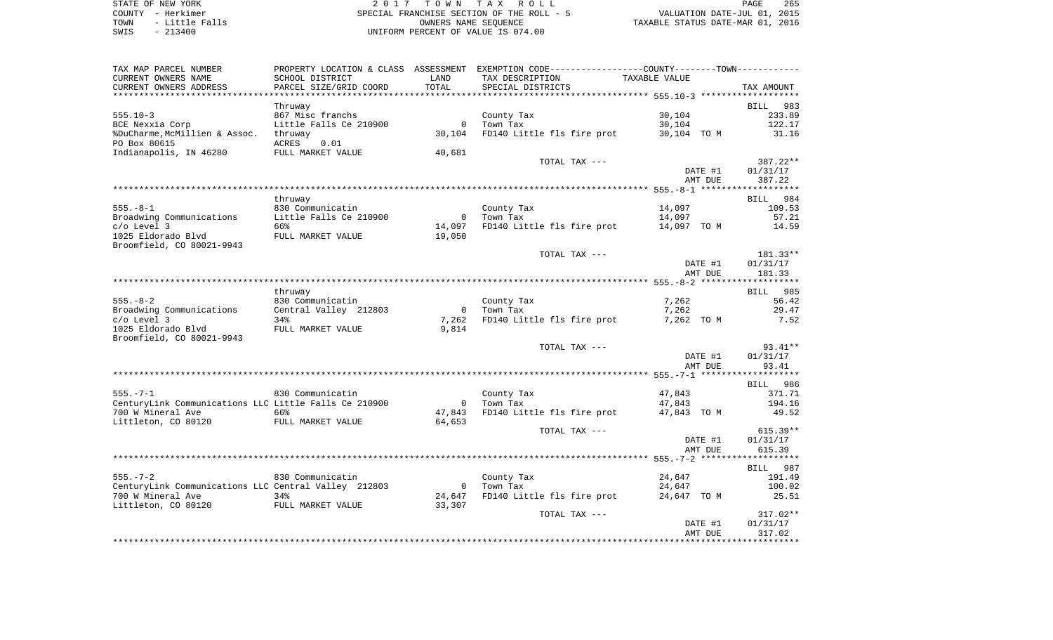STATE OF NEW YORK **EXECUTE:**  $2017$  TOWN TAX ROLL COUNTY - Herkimer<br>
TOWN - Little Falls<br>
SPECIAL FRANCHISE SECTION OF THE ROLL - 5<br>
SWIS - 213400 - 2013400 - UNIFORM PERCENT OF VALUE IS 074.00 TOWN - Little Falls OWNERS NAME SEQUENCE TAXABLE STATUS DATE-MAR 01, 2016 SWIS - 213400 UNIFORM PERCENT OF VALUE IS 074.00

| TAX MAP PARCEL NUMBER                                 |                        |                | PROPERTY LOCATION & CLASS ASSESSMENT EXEMPTION CODE---------------COUNTY-------TOWN---------- |               |                 |
|-------------------------------------------------------|------------------------|----------------|-----------------------------------------------------------------------------------------------|---------------|-----------------|
| CURRENT OWNERS NAME                                   | SCHOOL DISTRICT        | LAND           | TAX DESCRIPTION                                                                               | TAXABLE VALUE |                 |
| CURRENT OWNERS ADDRESS                                | PARCEL SIZE/GRID COORD | TOTAL          | SPECIAL DISTRICTS                                                                             |               | TAX AMOUNT      |
|                                                       |                        |                |                                                                                               |               |                 |
|                                                       |                        |                |                                                                                               |               |                 |
|                                                       | Thruway                |                |                                                                                               |               | BILL 983        |
| $555.10-3$                                            | 867 Misc franchs       |                | County Tax                                                                                    | 30,104        | 233.89          |
| BCE Nexxia Corp                                       | Little Falls Ce 210900 | $\mathbf{0}$   | Town Tax                                                                                      | 30,104        | 122.17          |
| %DuCharme, McMillien & Assoc.                         | thruway                | 30,104         | FD140 Little fls fire prot                                                                    | 30,104 TO M   | 31.16           |
| PO Box 80615                                          | ACRES<br>0.01          |                |                                                                                               |               |                 |
| Indianapolis, IN 46280                                | FULL MARKET VALUE      | 40,681         |                                                                                               |               |                 |
|                                                       |                        |                | TOTAL TAX ---                                                                                 |               | 387.22**        |
|                                                       |                        |                |                                                                                               | DATE #1       | 01/31/17        |
|                                                       |                        |                |                                                                                               |               |                 |
|                                                       |                        |                |                                                                                               | AMT DUE       | 387.22          |
|                                                       |                        |                |                                                                                               |               |                 |
|                                                       | thruway                |                |                                                                                               |               | BILL<br>984     |
| $555. - 8 - 1$                                        | 830 Communicatin       |                | County Tax                                                                                    | 14,097        | 109.53          |
| Broadwing Communications                              | Little Falls Ce 210900 | $\overline{0}$ | Town Tax                                                                                      | 14,097        | 57.21           |
| $c/o$ Level 3                                         | 66%                    | 14,097         | FD140 Little fls fire prot 14,097 TO M                                                        |               | 14.59           |
| 1025 Eldorado Blvd                                    | FULL MARKET VALUE      | 19,050         |                                                                                               |               |                 |
| Broomfield, CO 80021-9943                             |                        |                |                                                                                               |               |                 |
|                                                       |                        |                |                                                                                               |               |                 |
|                                                       |                        |                | TOTAL TAX ---                                                                                 |               | 181.33**        |
|                                                       |                        |                |                                                                                               | DATE #1       | 01/31/17        |
|                                                       |                        |                |                                                                                               | AMT DUE       | 181.33          |
|                                                       |                        |                |                                                                                               |               |                 |
|                                                       | thruway                |                |                                                                                               |               | <b>BILL</b> 985 |
| $555. - 8 - 2$                                        | 830 Communicatin       |                | County Tax                                                                                    | 7,262         | 56.42           |
| Broadwing Communications                              | Central Valley 212803  | $\overline{0}$ | Town Tax                                                                                      | 7,262         | 29.47           |
| $c/o$ Level 3                                         | 34%                    | 7,262          | FD140 Little fls fire prot                                                                    | 7,262 TO M    | 7.52            |
|                                                       |                        |                |                                                                                               |               |                 |
| 1025 Eldorado Blvd                                    | FULL MARKET VALUE      | 9,814          |                                                                                               |               |                 |
| Broomfield, CO 80021-9943                             |                        |                |                                                                                               |               |                 |
|                                                       |                        |                | TOTAL TAX ---                                                                                 |               | $93.41**$       |
|                                                       |                        |                |                                                                                               | DATE #1       | 01/31/17        |
|                                                       |                        |                |                                                                                               | AMT DUE       | 93.41           |
|                                                       |                        |                |                                                                                               |               |                 |
|                                                       |                        |                |                                                                                               |               | BILL 986        |
| $555. - 7 - 1$                                        | 830 Communicatin       |                | County Tax                                                                                    | 47,843        | 371.71          |
| CenturyLink Communications LLC Little Falls Ce 210900 |                        |                | 0 Town Tax                                                                                    | 47,843        | 194.16          |
|                                                       |                        |                |                                                                                               |               |                 |
| 700 W Mineral Ave                                     | 66%                    | 47,843         | FD140 Little fls fire prot                                                                    | 47,843 TO M   | 49.52           |
| Littleton, CO 80120                                   | FULL MARKET VALUE      | 64,653         |                                                                                               |               |                 |
|                                                       |                        |                | TOTAL TAX ---                                                                                 |               | $615.39**$      |
|                                                       |                        |                |                                                                                               | DATE #1       | 01/31/17        |
|                                                       |                        |                |                                                                                               | AMT DUE       | 615.39          |
|                                                       |                        |                |                                                                                               |               |                 |
|                                                       |                        |                |                                                                                               |               | BILL 987        |
| $555. - 7 - 2$                                        |                        |                |                                                                                               |               |                 |
|                                                       | 830 Communicatin       |                | County Tax                                                                                    | 24,647        | 191.49          |
| CenturyLink Communications LLC Central Valley 212803  |                        | $\overline{0}$ | Town Tax                                                                                      | 24,647        | 100.02          |
| 700 W Mineral Ave                                     | 34%                    | 24,647         | FD140 Little fls fire prot                                                                    | 24,647 TO M   | 25.51           |
| Littleton, CO 80120                                   | FULL MARKET VALUE      | 33,307         |                                                                                               |               |                 |
|                                                       |                        |                | TOTAL TAX ---                                                                                 |               | 317.02**        |
|                                                       |                        |                |                                                                                               | DATE #1       | 01/31/17        |
|                                                       |                        |                |                                                                                               | AMT DUE       | 317.02          |
|                                                       |                        |                |                                                                                               |               | ***********     |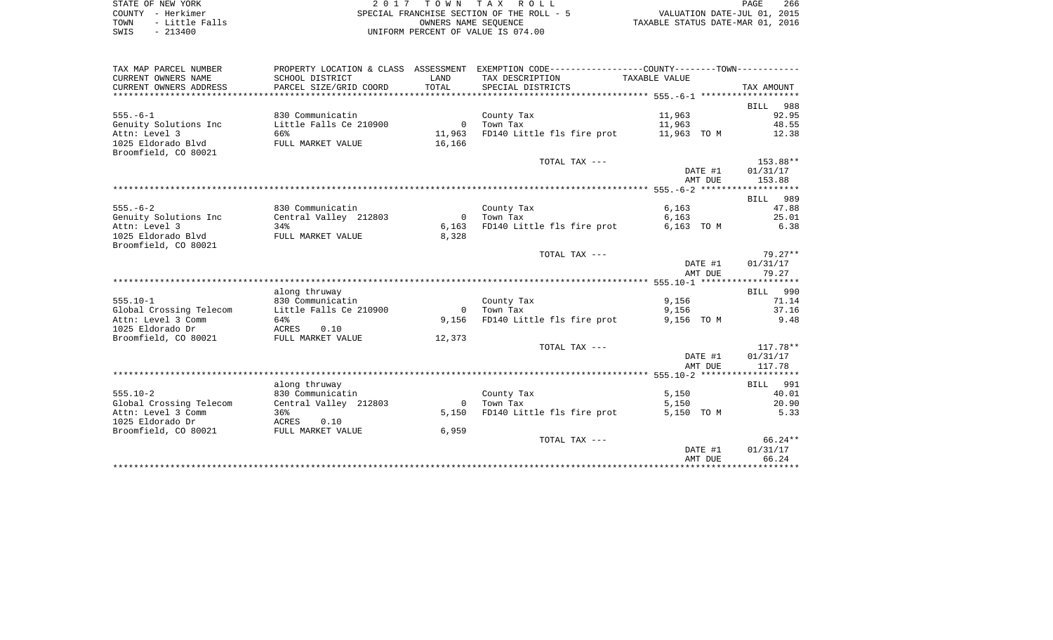| STATE OF NEW YORK      | 2017 TOWN TAX ROLL                        | 266<br>PAGE                      |
|------------------------|-------------------------------------------|----------------------------------|
| COUNTY - Herkimer      | SPECIAL FRANCHISE SECTION OF THE ROLL - 5 | VALUATION DATE-JUL 01, 2015      |
| - Little Falls<br>TOWN | OWNERS NAME SEOUENCE                      | TAXABLE STATUS DATE-MAR 01, 2016 |
| $-213400$<br>SWIS      | UNIFORM PERCENT OF VALUE IS 074.00        |                                  |

| TAX MAP PARCEL NUMBER                    |                        |                | PROPERTY LOCATION & CLASS ASSESSMENT EXEMPTION CODE---------------COUNTY-------TOWN---------- |                |            |
|------------------------------------------|------------------------|----------------|-----------------------------------------------------------------------------------------------|----------------|------------|
| CURRENT OWNERS NAME                      | SCHOOL DISTRICT        | LAND           | TAX DESCRIPTION                                                                               | TAXABLE VALUE  |            |
| CURRENT OWNERS ADDRESS                   | PARCEL SIZE/GRID COORD | TOTAL          | SPECIAL DISTRICTS                                                                             |                | TAX AMOUNT |
|                                          |                        |                |                                                                                               |                |            |
|                                          |                        |                |                                                                                               |                | BILL 988   |
| $555. - 6 - 1$                           | 830 Communicatin       |                | County Tax                                                                                    | 11,963         | 92.95      |
| Genuity Solutions Inc                    | Little Falls Ce 210900 | $\overline{0}$ | Town Tax                                                                                      | 11,963         | 48.55      |
| Attn: Level 3                            | 66%                    | 11,963         | FD140 Little fls fire prot 11,963 TO M                                                        |                | 12.38      |
| 1025 Eldorado Blvd                       | FULL MARKET VALUE      | 16,166         |                                                                                               |                |            |
| Broomfield, CO 80021                     |                        |                |                                                                                               |                |            |
|                                          |                        |                | TOTAL TAX ---                                                                                 |                | 153.88**   |
|                                          |                        |                |                                                                                               | DATE #1        | 01/31/17   |
|                                          |                        |                |                                                                                               | AMT DUE        | 153.88     |
|                                          |                        |                |                                                                                               |                | BILL 989   |
| $555. - 6 - 2$                           | 830 Communicatin       |                |                                                                                               |                | 47.88      |
| Genuity Solutions Inc                    | Central Valley 212803  | $\overline{0}$ | County Tax<br>Town Tax                                                                        | 6,163<br>6,163 | 25.01      |
| Attn: Level 3                            | 34%                    | 6,163          | FD140 Little fls fire prot                                                                    | 6,163 TO M     | 6.38       |
| 1025 Eldorado Blvd                       | FULL MARKET VALUE      | 8,328          |                                                                                               |                |            |
| Broomfield, CO 80021                     |                        |                |                                                                                               |                |            |
|                                          |                        |                | TOTAL TAX ---                                                                                 |                | $79.27**$  |
|                                          |                        |                |                                                                                               | DATE #1        | 01/31/17   |
|                                          |                        |                |                                                                                               | AMT DUE        | 79.27      |
|                                          |                        |                |                                                                                               |                |            |
|                                          | along thruway          |                |                                                                                               |                | BILL 990   |
| $555.10 - 1$                             | 830 Communicatin       |                | County Tax                                                                                    | 9,156          | 71.14      |
| Global Crossing Telecom                  | Little Falls Ce 210900 | $\bigcirc$     | Town Tax                                                                                      | 9,156          | 37.16      |
| Attn: Level 3 Comm                       | 64%                    | 9,156          | FD140 Little fls fire prot                                                                    | 9,156 TO M     | 9.48       |
| 1025 Eldorado Dr                         | ACRES<br>0.10          |                |                                                                                               |                |            |
| Broomfield, CO 80021                     | FULL MARKET VALUE      | 12,373         |                                                                                               |                |            |
|                                          |                        |                | TOTAL TAX ---                                                                                 |                | $117.78**$ |
|                                          |                        |                |                                                                                               | DATE #1        | 01/31/17   |
|                                          |                        |                |                                                                                               | AMT DUE        | 117.78     |
|                                          |                        |                |                                                                                               |                |            |
|                                          | along thruway          |                |                                                                                               |                | BILL 991   |
| $555.10 - 2$                             | 830 Communicatin       |                | County Tax                                                                                    | 5,150          | 40.01      |
| Global Crossing Telecom                  | Central Valley 212803  | $\overline{0}$ | Town Tax                                                                                      | 5,150          | 20.90      |
| Attn: Level 3 Comm                       | 36%                    | 5,150          | FD140 Little fls fire prot                                                                    | 5,150 TO M     | 5.33       |
| 1025 Eldorado Dr<br>Broomfield, CO 80021 | ACRES 0.10             |                |                                                                                               |                |            |
|                                          | FULL MARKET VALUE      | 6,959          | TOTAL TAX ---                                                                                 |                | 66.24**    |
|                                          |                        |                |                                                                                               | DATE #1        | 01/31/17   |
|                                          |                        |                |                                                                                               | AMT DUE        | 66.24      |
|                                          |                        |                |                                                                                               |                |            |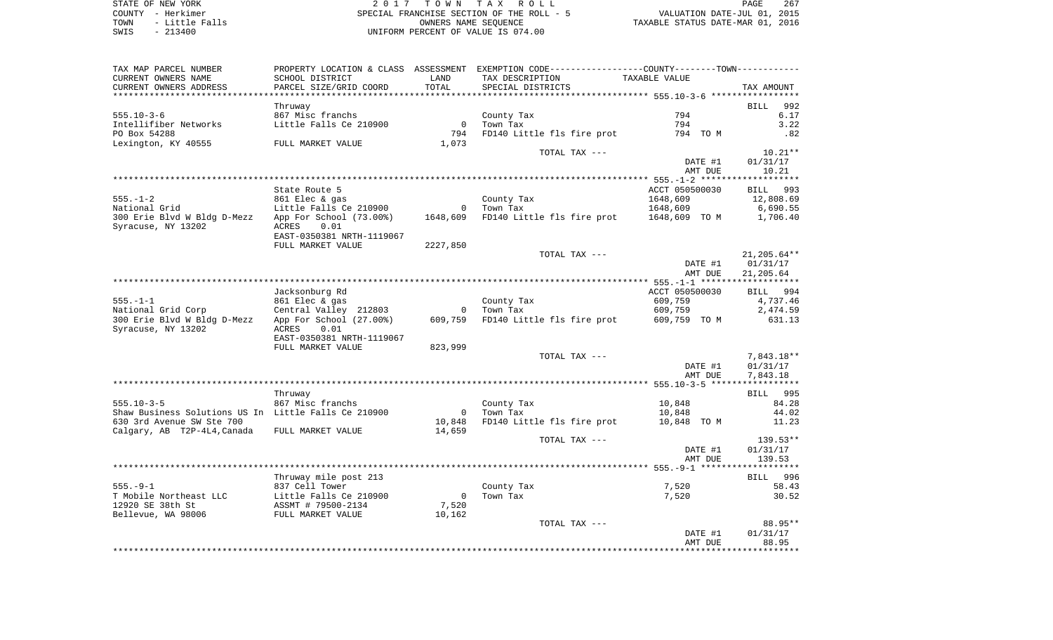STATE OF NEW YORK 2 0 1 7 T O W N T A X R O L L PAGE 267COUNTY - Herkimer SPECIAL FRANCHISE SECTION OF THE ROLL - 5 VALUATION DATE-JUL 01, 2015 TOWN - Little Falls OWNERS NAME SEQUENCE TAXABLE STATUS DATE-MAR 01, 2016 SWIS - 213400 UNIFORM PERCENT OF VALUE IS 074.00

TAX MAP PARCEL NUMBER PROPERTY LOCATION & CLASS ASSESSMENT EXEMPTION CODE------------------COUNTY--------TOWN------------ CURRENT OWNERS NAME SCHOOL DISTRICT LAND TAX DESCRIPTION TAXABLE VALUECURRENT OWNERS ADDRESS PARCEL SIZE/GRID COORD TOTAL SPECIAL DISTRICTS TAX AMOUNT \*\*\*\*\*\*\*\*\*\*\*\*\*\*\*\*\*\*\*\*\*\*\*\*\*\*\*\*\*\*\*\*\*\*\*\*\*\*\*\*\*\*\*\*\*\*\*\*\*\*\*\*\*\*\*\*\*\*\*\*\*\*\*\*\*\*\*\*\*\*\*\*\*\*\*\*\*\*\*\*\*\*\*\*\*\*\*\*\*\*\*\*\*\*\*\*\*\*\*\*\*\*\* 555.10-3-6 \*\*\*\*\*\*\*\*\*\*\*\*\*\*\*\*\* Thruway BILL 992 555.10-3-6 867 Misc franchs County Tax 794 6.17 Intellifiber Networks **Little Falls Ce 210900** 0 Town Tax 794 794 3.22 PO Box 54288 794 FD140 Little fls fire prot 794 TO M .82 Lexington, KY 40555 FULL MARKET VALUE 1,073 TOTAL TAX  $---$  10.21\*\* DATE #1 01/31/17 AMT DUE 10.21 \*\*\*\*\*\*\*\*\*\*\*\*\*\*\*\*\*\*\*\*\*\*\*\*\*\*\*\*\*\*\*\*\*\*\*\*\*\*\*\*\*\*\*\*\*\*\*\*\*\*\*\*\*\*\*\*\*\*\*\*\*\*\*\*\*\*\*\*\*\*\*\*\*\*\*\*\*\*\*\*\*\*\*\*\*\*\*\*\*\*\*\*\*\*\*\*\*\*\*\*\*\*\* 555.-1-2 \*\*\*\*\*\*\*\*\*\*\*\*\*\*\*\*\*\*\*State Route 5 ACCT 050500030 BILL 993 555.-1-2 861 Elec & gas County Tax 1648,609 12,808.69 National Grid Little Falls Ce 210900 0 Town Tax 1648,609 6,690.55 300 Erie Blvd W Bldg D-Mezz App For School (73.00%) 1648,609 FD140 Little fls fire prot 1648,609 TO M 1,706.40 Syracuse, NY 13202 ACRES 0.01 EAST-0350381 NRTH-1119067 FULL MARKET VALUE 2227,850 TOTAL TAX --- 21,205.64\*\* DATE #1 01/31/17 AMT DUE 21,205.64 \*\*\*\*\*\*\*\*\*\*\*\*\*\*\*\*\*\*\*\*\*\*\*\*\*\*\*\*\*\*\*\*\*\*\*\*\*\*\*\*\*\*\*\*\*\*\*\*\*\*\*\*\*\*\*\*\*\*\*\*\*\*\*\*\*\*\*\*\*\*\*\*\*\*\*\*\*\*\*\*\*\*\*\*\*\*\*\*\*\*\*\*\*\*\*\*\*\*\*\*\*\*\* 555.-1-1 \*\*\*\*\*\*\*\*\*\*\*\*\*\*\*\*\*\*\* Jacksonburg Rd ACCT 050500030 BILL 994 555.-1-1 861 Elec & gas County Tax 609,759 4,737.46 National Grid Corp Central Valley 212803 0 Town Tax 609,759 2,474.59 300 Erie Blvd W Bldg D-Mezz App For School (27.00%) 609,759 FD140 Little fls fire prot 609,759 TO M 631.13 Syracuse, NY 13202 ACRES 0.01 EAST-0350381 NRTH-1119067 FULL MARKET VALUE 823,999 TOTAL TAX --- 2001 2012 12:30 12:30 12:31 22:32 12:32 12:32 12:32 12:32 12:32 12:32 12:32 12:32 12:32 12:32 12:32 12:32 12:32 12:32 12:32 12:32 12:32 12:32 12:32 12:32 12:32 12:32 12:32 12:32 12:32 12:32 12:32 12:32 12:32 DATE #1 01/31/17 AMT DUE 7,843.18 \*\*\*\*\*\*\*\*\*\*\*\*\*\*\*\*\*\*\*\*\*\*\*\*\*\*\*\*\*\*\*\*\*\*\*\*\*\*\*\*\*\*\*\*\*\*\*\*\*\*\*\*\*\*\*\*\*\*\*\*\*\*\*\*\*\*\*\*\*\*\*\*\*\*\*\*\*\*\*\*\*\*\*\*\*\*\*\*\*\*\*\*\*\*\*\*\*\*\*\*\*\*\* 555.10-3-5 \*\*\*\*\*\*\*\*\*\*\*\*\*\*\*\*\* Thruway BILL 995 555.10-3-5 867 Misc franchs County Tax 10,848 84.28 Shaw Business Solutions US In Little Falls Ce 210900 0 10 Town Tax 10,848 10,848 44.02 630 3rd Avenue SW Ste 700 10,848 FD140 Little fls fire prot 10,848 TO M 11.23 Calgary, AB T2P-4L4, Canada FULL MARKET VALUE 14,659 TOTAL TAX  $---$  139.53\*\* DATE #1 01/31/17 AMT DUE 139.53 \*\*\*\*\*\*\*\*\*\*\*\*\*\*\*\*\*\*\*\*\*\*\*\*\*\*\*\*\*\*\*\*\*\*\*\*\*\*\*\*\*\*\*\*\*\*\*\*\*\*\*\*\*\*\*\*\*\*\*\*\*\*\*\*\*\*\*\*\*\*\*\*\*\*\*\*\*\*\*\*\*\*\*\*\*\*\*\*\*\*\*\*\*\*\*\*\*\*\*\*\*\*\* 555.-9-1 \*\*\*\*\*\*\*\*\*\*\*\*\*\*\*\*\*\*\*Thruway mile post 213 BILL 996 555.-9-1 837 Cell Tower County Tax 7,520 58.43 T Mobile Northeast LLC and Little Falls Ce 210900 0 Town Tax 30.52 7,520 7,520 30.52 12920 SE 38th St ASSMT # 79500-2134 7,520 Bellevue, WA 98006 FULL MARKET VALUE 10,162 TOTAL TAX  $---$ 88.95\*\* DATE #1 01/31/17 AMT DUE 88.95\*\*\*\*\*\*\*\*\*\*\*\*\*\*\*\*\*\*\*\*\*\*\*\*\*\*\*\*\*\*\*\*\*\*\*\*\*\*\*\*\*\*\*\*\*\*\*\*\*\*\*\*\*\*\*\*\*\*\*\*\*\*\*\*\*\*\*\*\*\*\*\*\*\*\*\*\*\*\*\*\*\*\*\*\*\*\*\*\*\*\*\*\*\*\*\*\*\*\*\*\*\*\*\*\*\*\*\*\*\*\*\*\*\*\*\*\*\*\*\*\*\*\*\*\*\*\*\*\*\*\*\*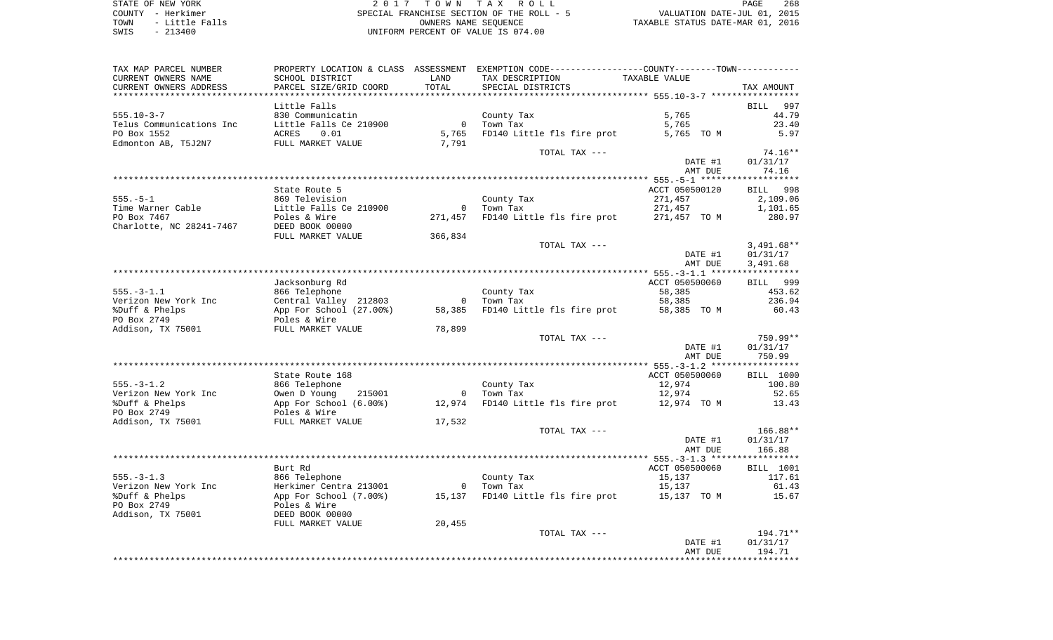STATE OF NEW YORK 2 0 1 7 T O W N T A X R O L L PAGE 268 COUNTY - Herkimer SPECIAL FRANCHISE SECTION OF THE ROLL - 5 VALUATION DATE-JUL 01, 2015 TOWN - Little Falls OWNERS NAME SEQUENCE TAXABLE STATUS DATE-MAR 01, 2016 SWIS - 213400 UNIFORM PERCENT OF VALUE IS 074.00

| TAX MAP PARCEL NUMBER            |                                   |                | PROPERTY LOCATION & CLASS ASSESSMENT EXEMPTION CODE---------------COUNTY-------TOWN---------- |                          |                    |
|----------------------------------|-----------------------------------|----------------|-----------------------------------------------------------------------------------------------|--------------------------|--------------------|
| CURRENT OWNERS NAME              | SCHOOL DISTRICT                   | LAND           | TAX DESCRIPTION                                                                               | TAXABLE VALUE            |                    |
| CURRENT OWNERS ADDRESS           | PARCEL SIZE/GRID COORD            | TOTAL          | SPECIAL DISTRICTS                                                                             |                          | TAX AMOUNT         |
|                                  |                                   |                |                                                                                               |                          |                    |
|                                  | Little Falls                      |                |                                                                                               |                          | <b>BILL</b><br>997 |
| $555.10 - 3 - 7$                 | 830 Communicatin                  |                | County Tax                                                                                    | 5,765                    | 44.79              |
| Telus Communications Inc         | Little Falls Ce 210900            | $\overline{0}$ | Town Tax                                                                                      | 5,765                    | 23.40              |
| PO Box 1552                      | 0.01<br>ACRES                     | 5,765          | FD140 Little fls fire prot                                                                    | 5,765 TO M               | 5.97               |
| Edmonton AB, T5J2N7              | FULL MARKET VALUE                 | 7,791          | TOTAL TAX ---                                                                                 |                          | $74.16**$          |
|                                  |                                   |                |                                                                                               | DATE #1                  | 01/31/17           |
|                                  |                                   |                |                                                                                               | AMT DUE                  | 74.16              |
|                                  |                                   |                |                                                                                               |                          |                    |
|                                  | State Route 5                     |                |                                                                                               | ACCT 050500120           | BILL 998           |
| $555. - 5 - 1$                   | 869 Television                    |                | County Tax                                                                                    | 271,457                  | 2,109.06           |
| Time Warner Cable                | Little Falls Ce 210900            |                | 0 Town Tax                                                                                    | 271,457                  | 1,101.65           |
| PO Box 7467                      | Poles & Wire                      | 271,457        | FD140 Little fls fire prot 271,457 TO M                                                       |                          | 280.97             |
| Charlotte, NC 28241-7467         | DEED BOOK 00000                   |                |                                                                                               |                          |                    |
|                                  | FULL MARKET VALUE                 | 366,834        |                                                                                               |                          |                    |
|                                  |                                   |                | TOTAL TAX ---                                                                                 |                          | $3,491.68**$       |
|                                  |                                   |                |                                                                                               | DATE #1                  | 01/31/17           |
|                                  |                                   |                |                                                                                               | AMT DUE                  | 3,491.68           |
|                                  |                                   |                |                                                                                               |                          | BILL 999           |
| $555. - 3 - 1.1$                 | Jacksonburg Rd<br>866 Telephone   |                | County Tax                                                                                    | ACCT 050500060<br>58,385 | 453.62             |
| Verizon New York Inc             | Central Valley 212803             | $\overline{0}$ | Town Tax                                                                                      | 58,385                   | 236.94             |
| %Duff & Phelps                   | App For School (27.00%)           | 58,385         | FD140 Little fls fire prot                                                                    | 58,385 TO M              | 60.43              |
| PO Box 2749                      | Poles & Wire                      |                |                                                                                               |                          |                    |
| Addison, TX 75001                | FULL MARKET VALUE                 | 78,899         |                                                                                               |                          |                    |
|                                  |                                   |                | TOTAL TAX ---                                                                                 |                          | 750.99**           |
|                                  |                                   |                |                                                                                               | DATE #1                  | 01/31/17           |
|                                  |                                   |                |                                                                                               | AMT DUE                  | 750.99             |
|                                  |                                   |                |                                                                                               |                          |                    |
|                                  | State Route 168                   |                |                                                                                               | ACCT 050500060           | <b>BILL</b> 1000   |
| $555. - 3 - 1.2$                 | 866 Telephone                     |                | County Tax                                                                                    | 12,974                   | 100.80             |
| Verizon New York Inc             | Owen D Young<br>215001            | $\overline{0}$ | Town Tax                                                                                      | 12,974                   | 52.65              |
| %Duff & Phelps                   | App For School (6.00%)            | 12,974         | FD140 Little fls fire prot 12,974 TO M                                                        |                          | 13.43              |
| PO Box 2749<br>Addison, TX 75001 | Poles & Wire<br>FULL MARKET VALUE | 17,532         |                                                                                               |                          |                    |
|                                  |                                   |                | TOTAL TAX ---                                                                                 |                          | 166.88**           |
|                                  |                                   |                |                                                                                               | DATE #1                  | 01/31/17           |
|                                  |                                   |                |                                                                                               | AMT DUE                  | 166.88             |
|                                  |                                   |                |                                                                                               |                          |                    |
|                                  | Burt Rd                           |                |                                                                                               | ACCT 050500060           | BILL 1001          |
| $555. - 3 - 1.3$                 | 866 Telephone                     |                | County Tax                                                                                    | 15,137                   | 117.61             |
| Verizon New York Inc             | Herkimer Centra 213001            |                | 0 Town Tax                                                                                    | 15,137                   | 61.43              |
| %Duff & Phelps                   | App For School (7.00%)            | 15,137         | FD140 Little fls fire prot 15,137 TO M                                                        |                          | 15.67              |
| PO Box 2749                      | Poles & Wire                      |                |                                                                                               |                          |                    |
| Addison, TX 75001                | DEED BOOK 00000                   |                |                                                                                               |                          |                    |
|                                  | FULL MARKET VALUE                 | 20,455         |                                                                                               |                          |                    |
|                                  |                                   |                | TOTAL TAX ---                                                                                 |                          | $194.71**$         |
|                                  |                                   |                |                                                                                               | DATE #1                  | 01/31/17<br>194.71 |
|                                  |                                   |                |                                                                                               | AMT DUE                  |                    |
|                                  |                                   |                |                                                                                               |                          |                    |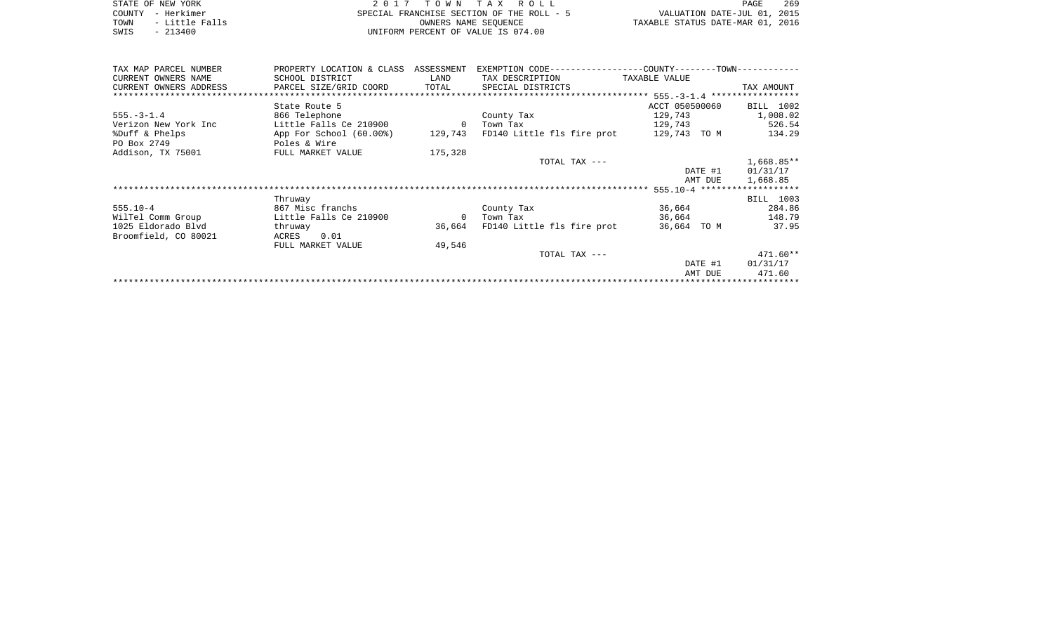|      | STATE OF NEW YORK | 2017 TOWN TAX ROLL                        | 269<br>PAGE                      |
|------|-------------------|-------------------------------------------|----------------------------------|
|      | COUNTY - Herkimer | SPECIAL FRANCHISE SECTION OF THE ROLL - 5 | VALUATION DATE-JUL 01, 2015      |
| TOWN | - Little Falls    | OWNERS NAME SEOUENCE                      | TAXABLE STATUS DATE-MAR 01, 2016 |
| SWIS | $-213400$         | UNIFORM PERCENT OF VALUE IS 074.00        |                                  |

| TAX MAP PARCEL NUMBER  | PROPERTY LOCATION & CLASS ASSESSMENT |                |                                                                         |                |            |
|------------------------|--------------------------------------|----------------|-------------------------------------------------------------------------|----------------|------------|
| CURRENT OWNERS NAME    | SCHOOL DISTRICT                      | LAND           | TAX DESCRIPTION                                                         | TAXABLE VALUE  |            |
| CURRENT OWNERS ADDRESS | PARCEL SIZE/GRID COORD               | TOTAL          | SPECIAL DISTRICTS                                                       |                | TAX AMOUNT |
|                        |                                      |                |                                                                         |                |            |
|                        | State Route 5                        |                |                                                                         | ACCT 050500060 | BILL 1002  |
| $555. - 3 - 1.4$       | 866 Telephone                        |                | County Tax                                                              | 129,743        | 1,008.02   |
| Verizon New York Inc   | Little Falls Ce 210900               | $\overline{0}$ | Town Tax                                                                | 129,743        | 526.54     |
| %Duff & Phelps         |                                      |                | App For School (60.00%) 129,743 FD140 Little fls fire prot 129,743 TO M |                | 134.29     |
| PO Box 2749            | Poles & Wire                         |                |                                                                         |                |            |
| Addison, TX 75001      | FULL MARKET VALUE                    | 175,328        |                                                                         |                |            |
|                        |                                      |                | TOTAL TAX ---                                                           |                | 1,668.85** |
|                        |                                      |                |                                                                         | DATE #1        | 01/31/17   |
|                        |                                      |                |                                                                         | AMT DUE        | 1,668.85   |
|                        |                                      |                |                                                                         |                |            |
|                        | Thruway                              |                |                                                                         |                | BILL 1003  |
| $555.10 - 4$           | 867 Misc franchs                     |                | County Tax                                                              | 36,664         | 284.86     |
| WilTel Comm Group      | Little Falls Ce 210900               | $\overline{0}$ | Town Tax                                                                | 36,664         | 148.79     |
| 1025 Eldorado Blvd     | thruway                              |                | 36,664 FD140 Little fls fire prot                                       | 36,664 TO M    | 37.95      |
| Broomfield, CO 80021   | 0.01<br>ACRES                        |                |                                                                         |                |            |
|                        | FULL MARKET VALUE                    | 49,546         |                                                                         |                |            |
|                        |                                      |                | TOTAL TAX ---                                                           |                | $471.60**$ |
|                        |                                      |                |                                                                         | DATE #1        | 01/31/17   |
|                        |                                      |                |                                                                         | AMT DUE        | 471.60     |
|                        |                                      |                |                                                                         |                |            |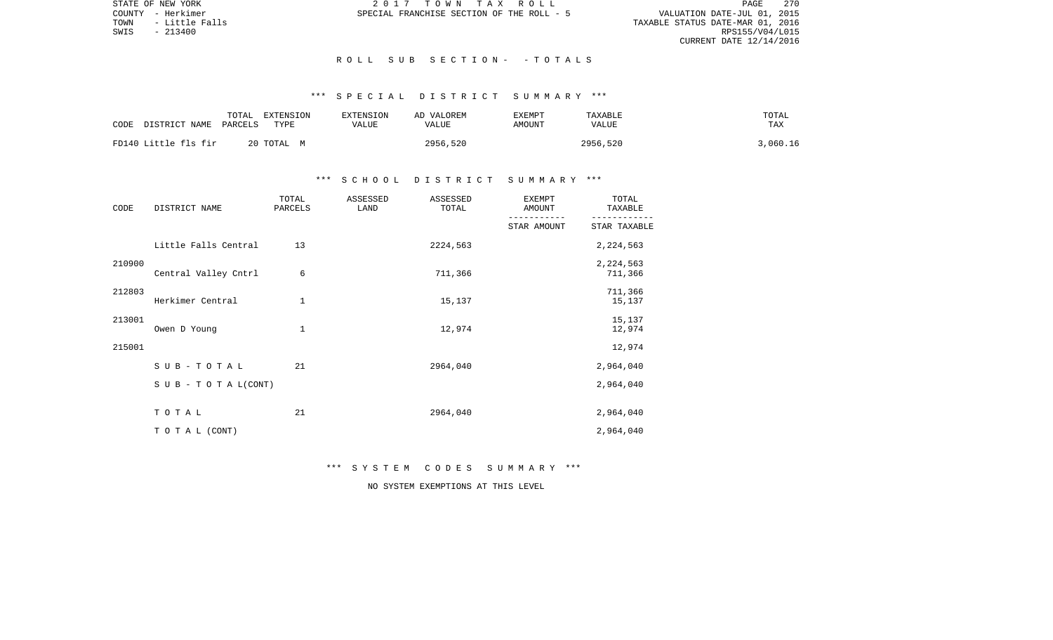PAGE 270 VALUATION DATE-JUL 01, 2015<br>TAXABLE STATUS DATE-MAR 01, 2016<br>RPS155/V04/L015 CURRENT DATE 12/14/2016

STATE OF NEW YORK **2017 TOWN TAX ROLL** COUNTY - Herkimer SPECIAL FRANCHISE SECTION OF THE ROLL - 5

TOWN - Little Falls<br>SWIS - 213400

## R O L L S U B S E C T I O N - - T O T A L S

# \*\*\* S P E C I A L D I S T R I C T S U M M A R Y \*\*\*

| CODE                 | TOTAL   | EXTENSION  | EXTENSION | AD VALOREM | EXEMPT | TAXABLE      | TOTAL    |
|----------------------|---------|------------|-----------|------------|--------|--------------|----------|
| DISTRICT NAME        | PARCELS | TYPE       | VALUE     | VALUE      | AMOUNT | <b>VALUE</b> | TAX      |
| FD140 Little fls fir |         | 20 TOTAL M |           | 2956,520   |        | 2956,520     | 3,060.16 |

# \*\*\* S C H O O L D I S T R I C T S U M M A R Y \*\*\*

| CODE   | DISTRICT NAME        | TOTAL<br>PARCELS | ASSESSED<br>LAND | ASSESSED<br>TOTAL | <b>EXEMPT</b><br>AMOUNT | TOTAL<br>TAXABLE     |
|--------|----------------------|------------------|------------------|-------------------|-------------------------|----------------------|
|        |                      |                  |                  |                   | STAR AMOUNT             | STAR TAXABLE         |
|        | Little Falls Central | 13               |                  | 2224,563          |                         | 2,224,563            |
| 210900 | Central Valley Cntrl | 6                |                  | 711,366           |                         | 2,224,563<br>711,366 |
| 212803 | Herkimer Central     | 1                |                  | 15,137            |                         | 711,366<br>15,137    |
| 213001 | Owen D Young         | 1                |                  | 12,974            |                         | 15,137<br>12,974     |
| 215001 |                      |                  |                  |                   |                         | 12,974               |
|        | SUB-TOTAL            | 21               |                  | 2964,040          |                         | 2,964,040            |
|        | SUB - TO TAL(CONT)   |                  |                  |                   |                         | 2,964,040            |
|        | TOTAL                | 21               |                  | 2964,040          |                         | 2,964,040            |
|        | TO TAL (CONT)        |                  |                  |                   |                         | 2,964,040            |

\*\*\* S Y S T E M C O D E S S U M M A R Y \*\*\*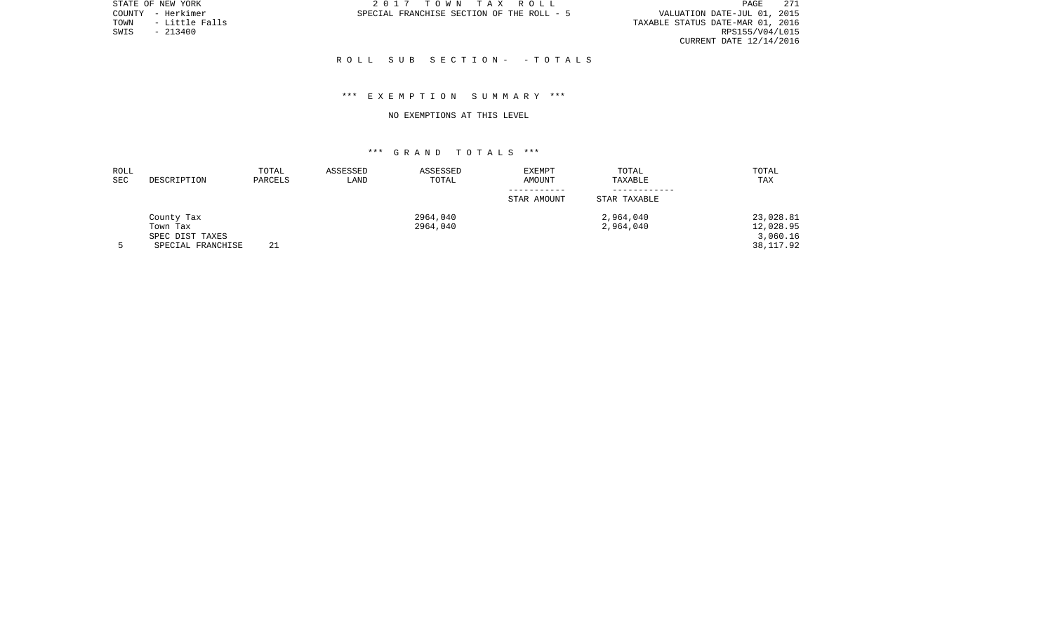PAGE 271 TOWN - LITTLE FALUATION DATE-JUL 01, 2015<br>TAXABLE STATUS DATE-MAR 01, 2016<br>RPS155/V04/L015 CURRENT DATE 12/14/2016

STATE OF NEW YORK **2017** TOWN TAX ROLL COUNTY - Herkimer SPECIAL FRANCHISE SECTION OF THE ROLL - 5

TOWN - Little Falls<br>SWIS - 213400

## R O L L S U B S E C T I O N - - T O T A L S

## \*\*\* E X E M P T I O N S U M M A R Y \*\*\*

#### NO EXEMPTIONS AT THIS LEVEL

| <b>ROLL</b> |                   | TOTAL   | ASSESSED | ASSESSED | <b>EXEMPT</b> | TOTAL        | TOTAL     |
|-------------|-------------------|---------|----------|----------|---------------|--------------|-----------|
| <b>SEC</b>  | DESCRIPTION       | PARCELS | LAND     | TOTAL    | <b>AMOUNT</b> | TAXABLE      | TAX       |
|             |                   |         |          |          |               |              |           |
|             |                   |         |          |          | STAR AMOUNT   | STAR TAXABLE |           |
|             | County Tax        |         |          | 2964,040 |               | 2,964,040    | 23,028.81 |
|             | Town Tax          |         |          | 2964,040 |               | 2,964,040    | 12,028.95 |
|             | SPEC DIST TAXES   |         |          |          |               |              | 3,060.16  |
|             | SPECIAL FRANCHISE | 21      |          |          |               |              | 38,117.92 |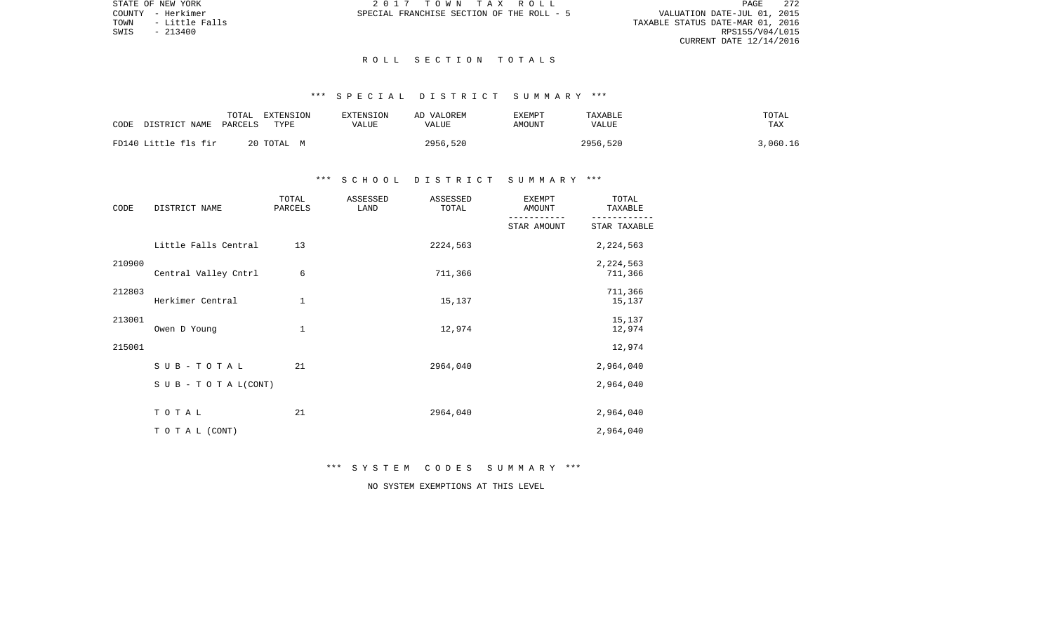PAGE 272 VALUATION DATE-JUL 01, 2015<br>TAXABLE STATUS DATE-MAR 01, 2016<br>RPS155/V04/L015 CURRENT DATE 12/14/2016

STATE OF NEW YORK **2017 TOWN TAX ROLL** COUNTY - Herkimer SPECIAL FRANCHISE SECTION OF THE ROLL - 5

TOWN - Little Falls<br>SWIS - 213400

## R O L L S E C T I O N T O T A L S

# \*\*\* S P E C I A L D I S T R I C T S U M M A R Y \*\*\*

| CODE<br>DISTRICT NAME | TOTAL<br>EXTENSION<br>PARCELS<br>TYPE | <b>EXTENSION</b><br>VALUE | AD VALOREM<br>VALUE | TXEMPT<br>AMOUNT | TAXABLE<br><b>VALUE</b> | TOTAL<br>TAX |
|-----------------------|---------------------------------------|---------------------------|---------------------|------------------|-------------------------|--------------|
| FD140 Little fls fir  | 20 TOTAL M                            |                           | 2956,520            |                  | 2956,520                | 3,060.16     |

# \*\*\* S C H O O L D I S T R I C T S U M M A R Y \*\*\*

| CODE   | DISTRICT NAME        | TOTAL<br>PARCELS | ASSESSED<br>LAND | ASSESSED<br>TOTAL | <b>EXEMPT</b><br>AMOUNT | TOTAL<br>TAXABLE     |
|--------|----------------------|------------------|------------------|-------------------|-------------------------|----------------------|
|        |                      |                  |                  |                   | STAR AMOUNT             | STAR TAXABLE         |
|        | Little Falls Central | 13               |                  | 2224,563          |                         | 2,224,563            |
| 210900 | Central Valley Cntrl | 6                |                  | 711,366           |                         | 2,224,563<br>711,366 |
| 212803 | Herkimer Central     | 1                |                  | 15,137            |                         | 711,366<br>15,137    |
| 213001 | Owen D Young         | 1                |                  | 12,974            |                         | 15,137<br>12,974     |
| 215001 |                      |                  |                  |                   |                         | 12,974               |
|        | SUB-TOTAL            | 21               |                  | 2964,040          |                         | 2,964,040            |
|        | SUB - TO TAL(CONT)   |                  |                  |                   |                         | 2,964,040            |
|        | TOTAL                | 21               |                  | 2964,040          |                         | 2,964,040            |
|        | TO TAL (CONT)        |                  |                  |                   |                         | 2,964,040            |

\*\*\* S Y S T E M C O D E S S U M M A R Y \*\*\*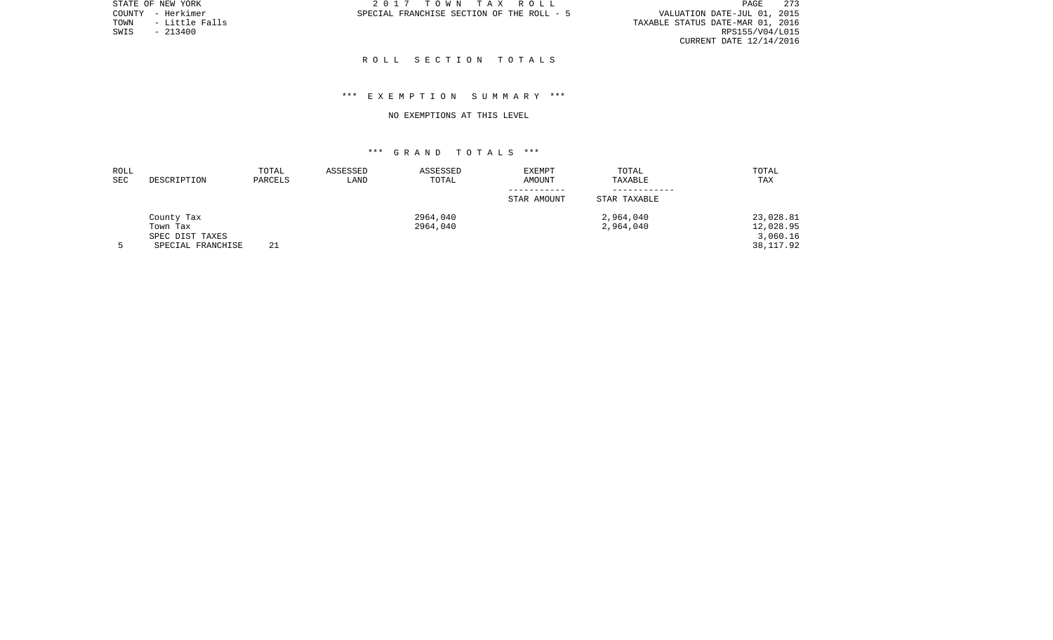PAGE 273 TOWN - LITTLE OIL 2015<br>TAXABLE STATUS DATE-MAR 01, 2016<br>RPS155/V04/L015 CURRENT DATE 12/14/2016

STATE OF NEW YORK **2017** TOWN TAX ROLL COUNTY - Herkimer SPECIAL FRANCHISE SECTION OF THE ROLL - 5

TOWN - Little Falls<br>SWIS - 213400

## R O L L S E C T I O N T O T A L S

# \*\*\* E X E M P T I O N S U M M A R Y \*\*\*

#### NO EXEMPTIONS AT THIS LEVEL

| ROLL |                   | TOTAL   | ASSESSED | ASSESSED | EXEMPT      | TOTAL        | TOTAL      |
|------|-------------------|---------|----------|----------|-------------|--------------|------------|
| SEC  | DESCRIPTION       | PARCELS | LAND     | TOTAL    | AMOUNT      | TAXABLE      | TAX        |
|      |                   |         |          |          | STAR AMOUNT | STAR TAXABLE |            |
|      | County Tax        |         |          | 2964,040 |             | 2,964,040    | 23,028.81  |
|      | Town Tax          |         |          | 2964,040 |             | 2,964,040    | 12,028.95  |
|      | SPEC DIST TAXES   |         |          |          |             |              | 3,060.16   |
|      | SPECIAL FRANCHISE | 21      |          |          |             |              | 38, 117.92 |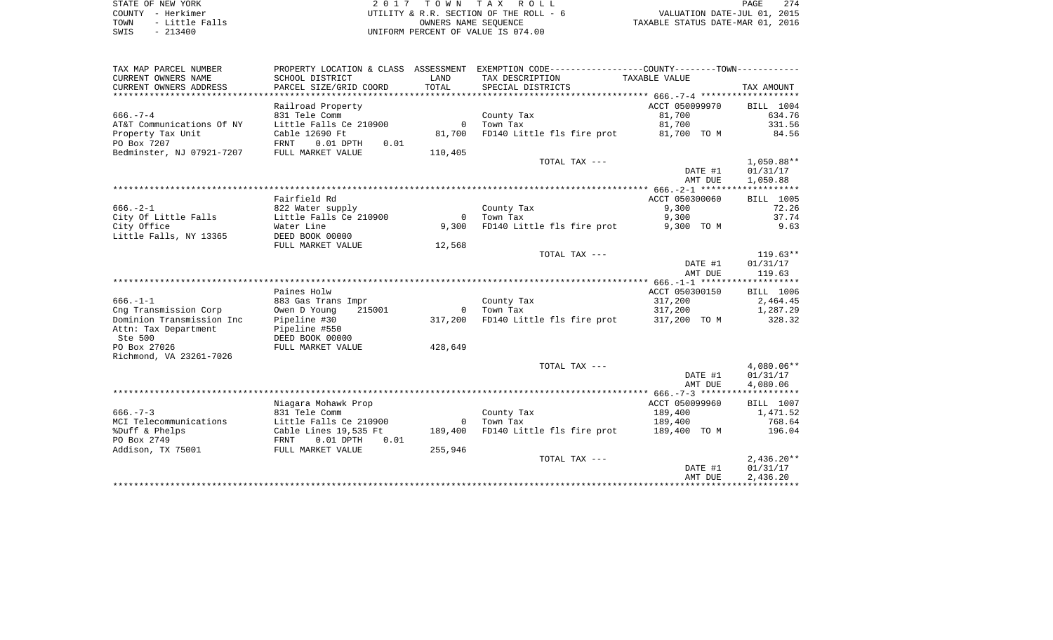| STATE OF NEW YORK |  |           |                |  |
|-------------------|--|-----------|----------------|--|
| COUNTY - Herkimer |  |           |                |  |
| TOWN              |  |           | - Little Falls |  |
| SWIS              |  | $-213400$ |                |  |

2017 TOWN TAX ROLL UTILITY & R.R. SECTION OF THE ROLL -  $6$ TOWN - Little Falls OWNERS NAME SEQUENCE TAXABLE STATUS DATE-MAR 01, 2016 UNIFORM PERCENT OF VALUE IS 074.00

| TAX MAP PARCEL NUMBER     |                                    |                | PROPERTY LOCATION & CLASS  ASSESSMENT  EXEMPTION CODE-----------------COUNTY--------TOWN----------- |                |              |
|---------------------------|------------------------------------|----------------|-----------------------------------------------------------------------------------------------------|----------------|--------------|
| CURRENT OWNERS NAME       | SCHOOL DISTRICT                    | LAND           | TAX DESCRIPTION                                                                                     | TAXABLE VALUE  |              |
| CURRENT OWNERS ADDRESS    | PARCEL SIZE/GRID COORD             | TOTAL          | SPECIAL DISTRICTS                                                                                   |                | TAX AMOUNT   |
|                           |                                    |                |                                                                                                     |                |              |
|                           | Railroad Property                  |                |                                                                                                     | ACCT 050099970 | BILL 1004    |
| $666. - 7 - 4$            | 831 Tele Comm                      |                | County Tax                                                                                          | 81,700         | 634.76       |
| AT&T Communications Of NY | Little Falls Ce 210900             | $\Omega$       | Town Tax                                                                                            | 81,700         | 331.56       |
| Property Tax Unit         | Cable 12690 Ft                     | 81,700         | FD140 Little fls fire prot                                                                          | 81,700 TO M    | 84.56        |
| PO Box 7207               | <b>FRNT</b><br>$0.01$ DPTH<br>0.01 |                |                                                                                                     |                |              |
| Bedminster, NJ 07921-7207 | FULL MARKET VALUE                  | 110,405        |                                                                                                     |                |              |
|                           |                                    |                | TOTAL TAX ---                                                                                       |                | $1,050.88**$ |
|                           |                                    |                |                                                                                                     | DATE #1        | 01/31/17     |
|                           |                                    |                |                                                                                                     |                |              |
|                           |                                    |                |                                                                                                     | AMT DUE        | 1,050.88     |
|                           |                                    |                |                                                                                                     |                |              |
|                           | Fairfield Rd                       |                |                                                                                                     | ACCT 050300060 | BILL 1005    |
| $666. - 2 - 1$            | 822 Water supply                   |                | County Tax                                                                                          | 9,300          | 72.26        |
| City Of Little Falls      | Little Falls Ce 210900             | $\overline{0}$ | Town Tax                                                                                            | 9,300          | 37.74        |
| City Office               | Water Line                         | 9,300          | FD140 Little fls fire prot                                                                          | 9,300 TO M     | 9.63         |
| Little Falls, NY 13365    | DEED BOOK 00000                    |                |                                                                                                     |                |              |
|                           | FULL MARKET VALUE                  | 12,568         |                                                                                                     |                |              |
|                           |                                    |                | TOTAL TAX ---                                                                                       |                | $119.63**$   |
|                           |                                    |                |                                                                                                     | DATE #1        | 01/31/17     |
|                           |                                    |                |                                                                                                     | AMT DUE        | 119.63       |
|                           |                                    |                |                                                                                                     |                |              |
|                           | Paines Holw                        |                |                                                                                                     | ACCT 050300150 | BILL 1006    |
| $666. - 1 - 1$            | 883 Gas Trans Impr                 |                | County Tax                                                                                          | 317,200        | 2,464.45     |
| Cng Transmission Corp     | Owen D Young<br>215001             | $\Omega$       | Town Tax                                                                                            | 317,200        | 1,287.29     |
| Dominion Transmission Inc | Pipeline #30                       | 317,200        | FD140 Little fls fire prot 317,200 TO M                                                             |                | 328.32       |
| Attn: Tax Department      | Pipeline #550                      |                |                                                                                                     |                |              |
| Ste 500                   | DEED BOOK 00000                    |                |                                                                                                     |                |              |
| PO Box 27026              | FULL MARKET VALUE                  | 428,649        |                                                                                                     |                |              |
| Richmond, VA 23261-7026   |                                    |                |                                                                                                     |                |              |
|                           |                                    |                | TOTAL TAX ---                                                                                       |                | $4,080.06**$ |
|                           |                                    |                |                                                                                                     | DATE #1        | 01/31/17     |
|                           |                                    |                |                                                                                                     | AMT DUE        | 4,080.06     |
|                           |                                    |                |                                                                                                     |                |              |
|                           |                                    |                |                                                                                                     |                |              |
|                           | Niagara Mohawk Prop                |                |                                                                                                     | ACCT 050099960 | BILL 1007    |
| $666. - 7 - 3$            | 831 Tele Comm                      |                | County Tax                                                                                          | 189,400        | 1,471.52     |
| MCI Telecommunications    | Little Falls Ce 210900             | $\mathbf{0}$   | Town Tax                                                                                            | 189,400        | 768.64       |
| %Duff & Phelps            | Cable Lines 19,535 Ft              | 189,400        | FD140 Little fls fire prot                                                                          | 189,400 TO M   | 196.04       |
| PO Box 2749               | $0.01$ DPTH<br>0.01<br>FRNT        |                |                                                                                                     |                |              |
| Addison, TX 75001         | FULL MARKET VALUE                  | 255,946        |                                                                                                     |                |              |
|                           |                                    |                | TOTAL TAX ---                                                                                       |                | $2,436.20**$ |
|                           |                                    |                |                                                                                                     | DATE #1        | 01/31/17     |
|                           |                                    |                |                                                                                                     | AMT DUE        | 2,436.20     |
|                           |                                    |                |                                                                                                     |                |              |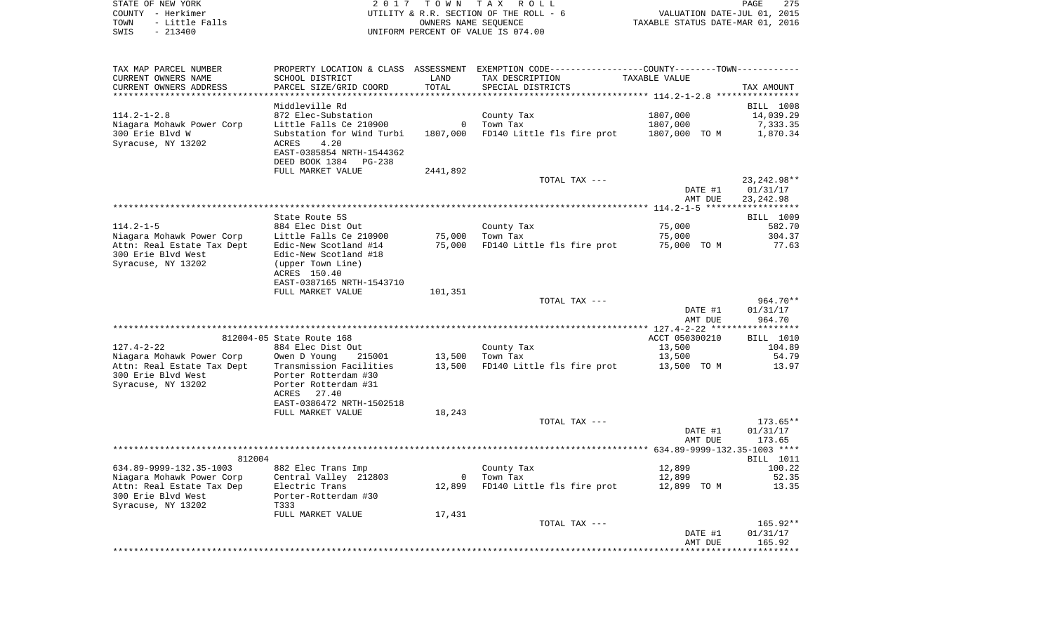|      | STATE OF NEW YORK | 2017 TOWN TAX ROLL                     | 275<br>PAGE                      |
|------|-------------------|----------------------------------------|----------------------------------|
|      | COUNTY - Herkimer | UTILITY & R.R. SECTION OF THE ROLL - 6 | VALUATION DATE-JUL 01, 2015      |
| TOWN | - Little Falls    | OWNERS NAME SEOUENCE                   | TAXABLE STATUS DATE-MAR 01, 2016 |
| SWIS | $-213400$         | UNIFORM PERCENT OF VALUE IS 074.00     |                                  |

| TAX MAP PARCEL NUMBER                           |                                              |          | PROPERTY LOCATION & CLASS ASSESSMENT EXEMPTION CODE---------------COUNTY-------TOWN--------- |                                           |               |
|-------------------------------------------------|----------------------------------------------|----------|----------------------------------------------------------------------------------------------|-------------------------------------------|---------------|
| CURRENT OWNERS NAME                             | SCHOOL DISTRICT                              | LAND     | TAX DESCRIPTION                                                                              | TAXABLE VALUE                             |               |
| CURRENT OWNERS ADDRESS                          | PARCEL SIZE/GRID COORD                       | TOTAL    | SPECIAL DISTRICTS                                                                            |                                           | TAX AMOUNT    |
| ***********************                         |                                              |          |                                                                                              |                                           |               |
|                                                 | Middleville Rd                               |          |                                                                                              |                                           | BILL 1008     |
| $114.2 - 1 - 2.8$                               | 872 Elec-Substation                          |          | County Tax                                                                                   | 1807,000                                  | 14,039.29     |
| Niagara Mohawk Power Corp                       | Little Falls Ce 210900                       | $\Omega$ | Town Tax                                                                                     | 1807,000                                  | 7,333.35      |
| 300 Erie Blvd W                                 | Substation for Wind Turbi                    | 1807,000 | FD140 Little fls fire prot                                                                   | 1807,000 TO M                             | 1,870.34      |
| Syracuse, NY 13202                              | ACRES<br>4.20<br>EAST-0385854 NRTH-1544362   |          |                                                                                              |                                           |               |
|                                                 | DEED BOOK 1384<br>$PG-238$                   |          |                                                                                              |                                           |               |
|                                                 | FULL MARKET VALUE                            | 2441,892 |                                                                                              |                                           |               |
|                                                 |                                              |          | TOTAL TAX ---                                                                                |                                           | 23, 242. 98** |
|                                                 |                                              |          |                                                                                              | DATE #1                                   | 01/31/17      |
|                                                 |                                              |          |                                                                                              | AMT DUE                                   | 23, 242, 98   |
|                                                 |                                              |          |                                                                                              |                                           |               |
|                                                 | State Route 5S                               |          |                                                                                              |                                           | BILL 1009     |
| $114.2 - 1 - 5$                                 | 884 Elec Dist Out                            |          | County Tax                                                                                   | 75,000                                    | 582.70        |
| Niagara Mohawk Power Corp                       | Little Falls Ce 210900                       | 75,000   | Town Tax                                                                                     | 75,000                                    | 304.37        |
| Attn: Real Estate Tax Dept                      | Edic-New Scotland #14                        | 75,000   | FD140 Little fls fire prot                                                                   | 75,000 TO M                               | 77.63         |
| 300 Erie Blvd West<br>Syracuse, NY 13202        | Edic-New Scotland #18                        |          |                                                                                              |                                           |               |
|                                                 | (upper Town Line)<br>ACRES 150.40            |          |                                                                                              |                                           |               |
|                                                 | EAST-0387165 NRTH-1543710                    |          |                                                                                              |                                           |               |
|                                                 | FULL MARKET VALUE                            | 101,351  |                                                                                              |                                           |               |
|                                                 |                                              |          | TOTAL TAX ---                                                                                |                                           | 964.70**      |
|                                                 |                                              |          |                                                                                              | DATE #1                                   | 01/31/17      |
|                                                 |                                              |          |                                                                                              | AMT DUE                                   | 964.70        |
|                                                 |                                              |          |                                                                                              |                                           |               |
|                                                 | 812004-05 State Route 168                    |          |                                                                                              | ACCT 050300210                            | BILL 1010     |
| $127.4 - 2 - 22$                                | 884 Elec Dist Out                            |          | County Tax                                                                                   | 13,500                                    | 104.89        |
| Niagara Mohawk Power Corp                       | Owen D Young<br>215001                       | 13,500   | Town Tax                                                                                     | 13,500                                    | 54.79         |
| Attn: Real Estate Tax Dept                      | Transmission Facilities                      | 13,500   | FD140 Little fls fire prot                                                                   | 13,500 TO M                               | 13.97         |
| 300 Erie Blvd West<br>Syracuse, NY 13202        | Porter Rotterdam #30<br>Porter Rotterdam #31 |          |                                                                                              |                                           |               |
|                                                 | 27.40<br>ACRES                               |          |                                                                                              |                                           |               |
|                                                 | EAST-0386472 NRTH-1502518                    |          |                                                                                              |                                           |               |
|                                                 | FULL MARKET VALUE                            | 18,243   |                                                                                              |                                           |               |
|                                                 |                                              |          | TOTAL TAX ---                                                                                |                                           | $173.65**$    |
|                                                 |                                              |          |                                                                                              | DATE #1                                   | 01/31/17      |
|                                                 |                                              |          |                                                                                              | AMT DUE                                   | 173.65        |
|                                                 |                                              |          |                                                                                              | ************ 634.89-9999-132.35-1003 **** |               |
| 812004                                          |                                              |          |                                                                                              |                                           | BILL 1011     |
| 634.89-9999-132.35-1003                         | 882 Elec Trans Imp                           |          | County Tax                                                                                   | 12,899                                    | 100.22        |
| Niagara Mohawk Power Corp                       | Central Valley 212803                        | $\Omega$ | Town Tax                                                                                     | 12,899                                    | 52.35         |
| Attn: Real Estate Tax Dep<br>300 Erie Blvd West | Electric Trans<br>Porter-Rotterdam #30       | 12,899   | FD140 Little fls fire prot                                                                   | 12,899 TO M                               | 13.35         |
| Syracuse, NY 13202                              | T333                                         |          |                                                                                              |                                           |               |
|                                                 | FULL MARKET VALUE                            | 17,431   |                                                                                              |                                           |               |
|                                                 |                                              |          | TOTAL TAX ---                                                                                |                                           | 165.92**      |
|                                                 |                                              |          |                                                                                              | DATE #1                                   | 01/31/17      |
|                                                 |                                              |          |                                                                                              | AMT DUE                                   | 165.92        |
|                                                 |                                              |          |                                                                                              |                                           |               |
|                                                 |                                              |          |                                                                                              |                                           |               |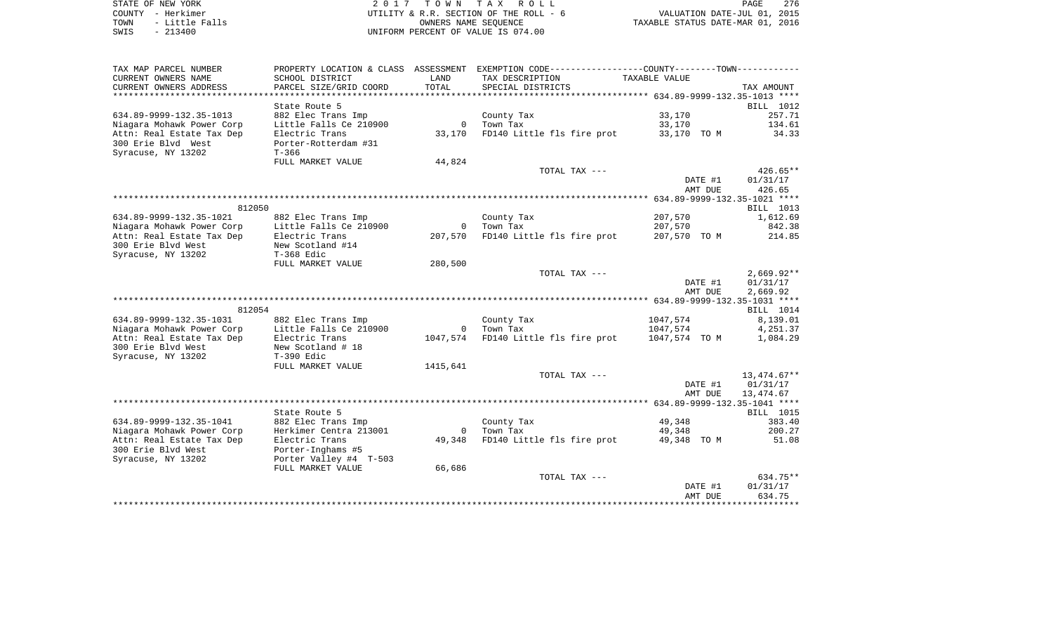| STATE OF NEW YORK      | 2017 TOWN TAX ROLL                     | 276<br>PAGE                      |
|------------------------|----------------------------------------|----------------------------------|
| COUNTY - Herkimer      | UTILITY & R.R. SECTION OF THE ROLL - 6 | VALUATION DATE-JUL 01, 2015      |
| - Little Falls<br>TOWN | OWNERS NAME SEOUENCE                   | TAXABLE STATUS DATE-MAR 01, 2016 |
| $-213400$<br>SWIS      | UNIFORM PERCENT OF VALUE IS 074.00     |                                  |

| TAX MAP PARCEL NUMBER         |                        |          | PROPERTY LOCATION & CLASS ASSESSMENT EXEMPTION CODE---------------COUNTY-------TOWN---------- |                                                  |              |
|-------------------------------|------------------------|----------|-----------------------------------------------------------------------------------------------|--------------------------------------------------|--------------|
| CURRENT OWNERS NAME           | SCHOOL DISTRICT        | LAND     | TAX DESCRIPTION                                                                               | TAXABLE VALUE                                    |              |
| CURRENT OWNERS ADDRESS        | PARCEL SIZE/GRID COORD | TOTAL    | SPECIAL DISTRICTS                                                                             |                                                  | TAX AMOUNT   |
| ***************************** |                        |          |                                                                                               |                                                  |              |
|                               | State Route 5          |          |                                                                                               |                                                  | BILL 1012    |
| 634.89-9999-132.35-1013       | 882 Elec Trans Imp     |          | County Tax                                                                                    | 33,170                                           | 257.71       |
| Niagara Mohawk Power Corp     | Little Falls Ce 210900 |          | 0 Town Tax                                                                                    | 33,170                                           | 134.61       |
| Attn: Real Estate Tax Dep     | Electric Trans         |          | 33,170 FD140 Little fls fire prot                                                             | 33,170 TO M                                      | 34.33        |
| 300 Erie Blvd West            | Porter-Rotterdam #31   |          |                                                                                               |                                                  |              |
| Syracuse, NY 13202            | $T - 366$              |          |                                                                                               |                                                  |              |
|                               | FULL MARKET VALUE      | 44,824   |                                                                                               |                                                  |              |
|                               |                        |          |                                                                                               |                                                  |              |
|                               |                        |          | TOTAL TAX ---                                                                                 |                                                  | $426.65**$   |
|                               |                        |          |                                                                                               | DATE #1                                          | 01/31/17     |
|                               |                        |          |                                                                                               | AMT DUE                                          | 426.65       |
|                               |                        |          |                                                                                               |                                                  |              |
| 812050                        |                        |          |                                                                                               |                                                  | BILL 1013    |
| 634.89-9999-132.35-1021       | 882 Elec Trans Imp     |          | County Tax                                                                                    | 207,570                                          | 1,612.69     |
| Niagara Mohawk Power Corp     | Little Falls Ce 210900 |          | 0 Town Tax                                                                                    | 207,570                                          | 842.38       |
| Attn: Real Estate Tax Dep     | Electric Trans         |          | 207,570 FD140 Little fls fire prot                                                            | 207,570 TO M                                     | 214.85       |
| 300 Erie Blvd West            | New Scotland #14       |          |                                                                                               |                                                  |              |
| Syracuse, NY 13202            | $T-368$ Edic           |          |                                                                                               |                                                  |              |
|                               | FULL MARKET VALUE      | 280,500  |                                                                                               |                                                  |              |
|                               |                        |          | TOTAL TAX ---                                                                                 |                                                  | $2,669.92**$ |
|                               |                        |          |                                                                                               | DATE #1                                          | 01/31/17     |
|                               |                        |          |                                                                                               | AMT DUE                                          | 2,669.92     |
|                               |                        |          |                                                                                               |                                                  |              |
| 812054                        |                        |          |                                                                                               |                                                  | BILL 1014    |
| 634.89-9999-132.35-1031       | 882 Elec Trans Imp     |          | County Tax                                                                                    | 1047,574                                         | 8,139.01     |
| Niagara Mohawk Power Corp     | Little Falls Ce 210900 |          | 0 Town Tax                                                                                    | 1047,574                                         | 4,251.37     |
| Attn: Real Estate Tax Dep     | Electric Trans         |          | 1047,574 FD140 Little fls fire prot                                                           | 1047,574 TO M                                    | 1,084.29     |
| 300 Erie Blvd West            | New Scotland # 18      |          |                                                                                               |                                                  |              |
| Syracuse, NY 13202            | T-390 Edic             |          |                                                                                               |                                                  |              |
|                               | FULL MARKET VALUE      | 1415,641 |                                                                                               |                                                  |              |
|                               |                        |          | TOTAL TAX ---                                                                                 |                                                  | 13,474.67**  |
|                               |                        |          |                                                                                               | DATE #1                                          | 01/31/17     |
|                               |                        |          |                                                                                               | AMT DUE                                          | 13,474.67    |
|                               |                        |          |                                                                                               |                                                  |              |
|                               | State Route 5          |          |                                                                                               |                                                  | BILL 1015    |
| 634.89-9999-132.35-1041       | 882 Elec Trans Imp     |          | County Tax                                                                                    | 49,348                                           | 383.40       |
| Niagara Mohawk Power Corp     | Herkimer Centra 213001 |          | 0     Town  Tax                                                                               | 49,348                                           | 200.27       |
| Attn: Real Estate Tax Dep     | Electric Trans         | 49,348   | FD140 Little fls fire prot 49,348 TO M                                                        |                                                  | 51.08        |
|                               |                        |          |                                                                                               |                                                  |              |
| 300 Erie Blvd West            | Porter-Inghams #5      |          |                                                                                               |                                                  |              |
| Syracuse, NY 13202            | Porter Valley #4 T-503 |          |                                                                                               |                                                  |              |
|                               | FULL MARKET VALUE      | 66,686   |                                                                                               |                                                  |              |
|                               |                        |          | TOTAL TAX ---                                                                                 |                                                  | $634.75**$   |
|                               |                        |          |                                                                                               | DATE #1                                          | 01/31/17     |
|                               |                        |          |                                                                                               | AMT DUE<br>************************************* | 634.75       |
|                               |                        |          |                                                                                               |                                                  |              |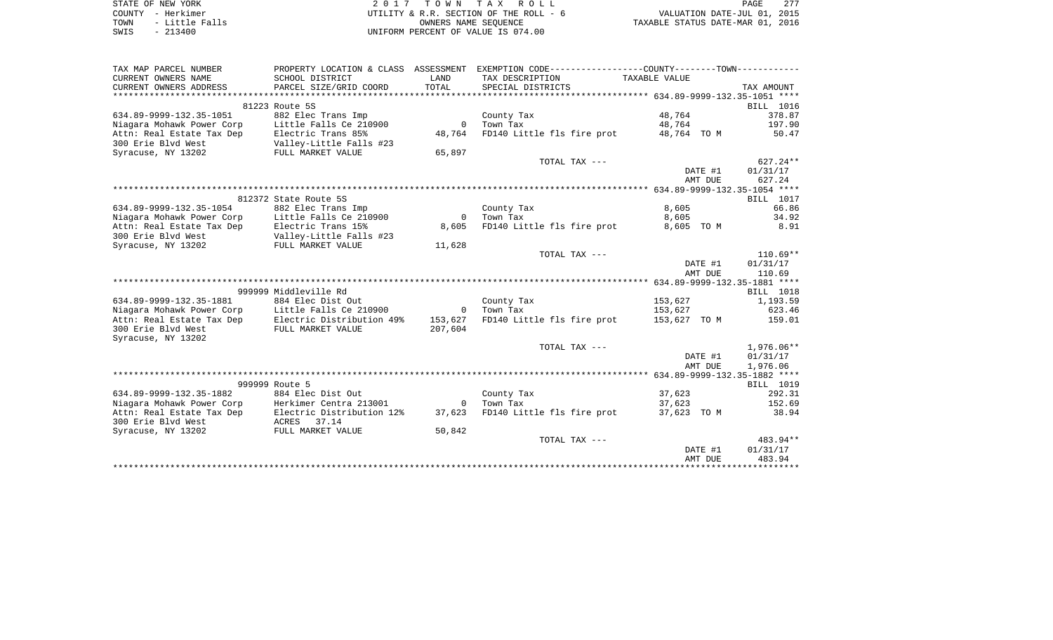|      | STATE OF NEW YORK | 2017 TOWN TAX ROLL                     | 277<br>PAGE                      |
|------|-------------------|----------------------------------------|----------------------------------|
|      | COUNTY - Herkimer | UTILITY & R.R. SECTION OF THE ROLL - 6 | VALUATION DATE-JUL 01, 2015      |
| TOWN | - Little Falls    | OWNERS NAME SEOUENCE                   | TAXABLE STATUS DATE-MAR 01, 2016 |
| SWIS | $-213400$         | UNIFORM PERCENT OF VALUE IS 074.00     |                                  |

| TAX MAP PARCEL NUMBER                                       |                                         |                | PROPERTY LOCATION & CLASS ASSESSMENT EXEMPTION CODE---------------COUNTY-------TOWN---------- |               |                  |
|-------------------------------------------------------------|-----------------------------------------|----------------|-----------------------------------------------------------------------------------------------|---------------|------------------|
| CURRENT OWNERS NAME                                         | SCHOOL DISTRICT                         | LAND           | TAX DESCRIPTION                                                                               | TAXABLE VALUE |                  |
| CURRENT OWNERS ADDRESS                                      | PARCEL SIZE/GRID COORD                  | TOTAL          | SPECIAL DISTRICTS                                                                             |               | TAX AMOUNT       |
|                                                             |                                         |                |                                                                                               |               |                  |
|                                                             | 81223 Route 5S                          |                |                                                                                               |               | BILL 1016        |
| 634.89-9999-132.35-1051                                     | 882 Elec Trans Imp                      |                | County Tax                                                                                    | 48,764        | 378.87           |
| Niagara Mohawk Power Corp                                   | Little Falls Ce 210900                  | $\mathbf{0}$   | Town Tax                                                                                      | 48,764        | 197.90           |
| Attn: Real Estate Tax Dep                                   | Electric Trans 85%                      | 48,764         | FD140 Little fls fire prot                                                                    | 48,764 TO M   | 50.47            |
| 300 Erie Blyd West                                          | Valley-Little Falls #23                 |                |                                                                                               |               |                  |
| Syracuse, NY 13202                                          | FULL MARKET VALUE                       | 65,897         |                                                                                               |               |                  |
|                                                             |                                         |                | TOTAL TAX ---                                                                                 |               | 627.24**         |
|                                                             |                                         |                |                                                                                               | DATE #1       | 01/31/17         |
|                                                             |                                         |                |                                                                                               | AMT DUE       | 627.24           |
|                                                             |                                         |                |                                                                                               |               |                  |
|                                                             | 812372 State Route 5S                   |                |                                                                                               |               | BILL 1017        |
| 634.89-9999-132.35-1054                                     | 882 Elec Trans Imp                      |                | County Tax                                                                                    | 8,605         | 66.86            |
| Niagara Mohawk Power Corp                                   | Little Falls Ce 210900                  | $\bigcirc$     | Town Tax                                                                                      | 8,605         | 34.92            |
| Attn: Real Estate Tax Dep                                   | Electric Trans 15%                      | 8,605          | FD140 Little fls fire prot                                                                    | 8,605 TO M    | 8.91             |
| 300 Erie Blyd West                                          | Valley-Little Falls #23                 |                |                                                                                               |               |                  |
| Syracuse, NY 13202                                          | Valley-Little Fall<br>FULL MARKET VALUE | 11,628         |                                                                                               |               |                  |
|                                                             |                                         |                | TOTAL TAX ---                                                                                 |               | $110.69**$       |
|                                                             |                                         |                |                                                                                               | DATE #1       | 01/31/17         |
|                                                             |                                         |                |                                                                                               | AMT DUE       | 110.69           |
|                                                             |                                         |                |                                                                                               |               |                  |
|                                                             | 999999 Middleville Rd                   |                |                                                                                               |               | <b>BILL</b> 1018 |
| 634.89-9999-132.35-1881                                     | 884 Elec Dist Out                       |                | County Tax                                                                                    | 153,627       | 1,193.59         |
| Niagara Mohawk Power Corp                                   | Little Falls Ce 210900 0                |                | Town Tax                                                                                      | 153,627       | 623.46           |
| Attn: Real Estate Tax Dep Electric Distribution 49% 153,627 |                                         |                | FD140 Little fls fire prot 153,627 TO M 159.01                                                |               |                  |
| 300 Erie Blvd West                                          | FULL MARKET VALUE                       | 207,604        |                                                                                               |               |                  |
| Syracuse, NY 13202                                          |                                         |                |                                                                                               |               |                  |
|                                                             |                                         |                | TOTAL TAX ---                                                                                 |               | 1,976.06**       |
|                                                             |                                         |                |                                                                                               | DATE #1       | 01/31/17         |
|                                                             |                                         |                |                                                                                               | AMT DUE       | 1,976.06         |
|                                                             |                                         |                |                                                                                               |               |                  |
|                                                             | 999999 Route 5                          |                |                                                                                               |               | BILL 1019        |
| 634.89-9999-132.35-1882                                     | 884 Elec Dist Out                       |                | County Tax                                                                                    | 37,623        | 292.31           |
| Niagara Mohawk Power Corp                                   | Herkimer Centra 213001                  | $\overline{0}$ | Town Tax<br>FD140 Little fls fire prot                                                        | 37,623        | 152.69           |
| Attn: Real Estate Tax Dep<br>300 Erie Blvd West             | Electric Distribution 12%               | 37,623         |                                                                                               | 37,623 TO M   | 38.94            |
|                                                             | ACRES 37.14<br>FULL MARKET VALUE        |                |                                                                                               |               |                  |
| Syracuse, NY 13202                                          |                                         | 50,842         | TOTAL TAX ---                                                                                 |               | 483.94**         |
|                                                             |                                         |                |                                                                                               | DATE #1       | 01/31/17         |
|                                                             |                                         |                |                                                                                               | AMT DUE       | 483.94           |
|                                                             |                                         |                |                                                                                               |               |                  |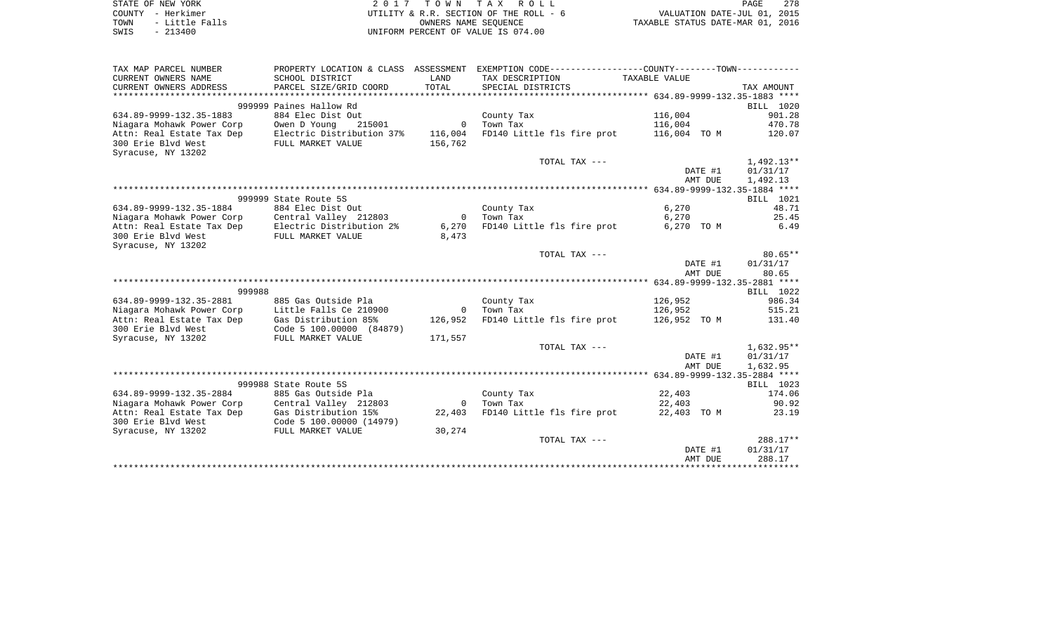|      | STATE OF NEW YORK | 2017 TOWN TAX ROLL                     | PAGE                             | 278 |
|------|-------------------|----------------------------------------|----------------------------------|-----|
|      | COUNTY - Herkimer | UTILITY & R.R. SECTION OF THE ROLL - 6 | VALUATION DATE-JUL 01, 2015      |     |
| TOWN | - Little Falls    | OWNERS NAME SEOUENCE                   | TAXABLE STATUS DATE-MAR 01, 2016 |     |
| SWIS | - 213400          | UNIFORM PERCENT OF VALUE IS 074.00     |                                  |     |

| TAX MAP PARCEL NUMBER                                                                      | PROPERTY LOCATION & CLASS ASSESSMENT EXEMPTION CODE---------------COUNTY-------TOWN---------- |                |                                                |               |            |                     |
|--------------------------------------------------------------------------------------------|-----------------------------------------------------------------------------------------------|----------------|------------------------------------------------|---------------|------------|---------------------|
| CURRENT OWNERS NAME                                                                        | SCHOOL DISTRICT                                                                               | LAND           | TAX DESCRIPTION                                | TAXABLE VALUE |            |                     |
| CURRENT OWNERS ADDRESS                                                                     | PARCEL SIZE/GRID COORD                                                                        | TOTAL          | SPECIAL DISTRICTS                              |               |            | TAX AMOUNT          |
|                                                                                            |                                                                                               |                |                                                |               |            |                     |
|                                                                                            | 999999 Paines Hallow Rd                                                                       |                |                                                |               |            | BILL 1020           |
| 634.89-9999-132.35-1883                                                                    | 884 Elec Dist Out                                                                             |                | County Tax                                     | 116,004       |            | 901.28              |
| Niagara Mohawk Power Corp                                                                  | Owen D Young<br>215001                                                                        | $\overline{0}$ | Town Tax                                       | 116,004       |            | 470.78              |
| Attn: Real Estate Tax Dep                                                                  | Electric Distribution 37%                                                                     | 116,004        | FD140 Little fls fire prot 116,004 TO M        |               |            | 120.07              |
| 300 Erie Blyd West                                                                         | FULL MARKET VALUE                                                                             | 156,762        |                                                |               |            |                     |
| Syracuse, NY 13202                                                                         |                                                                                               |                |                                                |               |            |                     |
|                                                                                            |                                                                                               |                | TOTAL TAX ---                                  |               |            | $1,492.13**$        |
|                                                                                            |                                                                                               |                |                                                |               | DATE #1    | 01/31/17            |
|                                                                                            |                                                                                               |                |                                                |               | AMT DUE    | 1,492.13            |
|                                                                                            |                                                                                               |                |                                                |               |            |                     |
|                                                                                            | 999999 State Route 5S                                                                         |                |                                                |               |            | <b>BILL</b> 1021    |
| 634.89-9999-132.35-1884                                                                    | 884 Elec Dist Out                                                                             |                | County Tax                                     | 6,270         |            | 48.71               |
| Niagara Mohawk Power Corp Central Valley 212803                                            |                                                                                               | $\overline{0}$ | Town Tax                                       | 6,270         |            | 25.45               |
| Attn: Real Estate Tax Dep Electric Distribution 2%<br>300 Erie Blvd West FULL MARKET VALUE |                                                                                               | 6,270          | FD140 Little fls fire prot                     |               | 6,270 TO M | 6.49                |
| 300 Erie Blvd West                                                                         | FULL MARKET VALUE                                                                             | 8,473          |                                                |               |            |                     |
| Syracuse, NY 13202                                                                         |                                                                                               |                |                                                |               |            |                     |
|                                                                                            |                                                                                               |                | TOTAL TAX ---                                  |               |            | $80.65**$           |
|                                                                                            |                                                                                               |                |                                                |               | DATE #1    | 01/31/17            |
|                                                                                            |                                                                                               |                |                                                |               | AMT DUE    | 80.65               |
|                                                                                            |                                                                                               |                |                                                |               |            |                     |
| 999988                                                                                     |                                                                                               |                |                                                |               |            | BILL 1022           |
| 634.89-9999-132.35-2881                                                                    | 885 Gas Outside Pla                                                                           |                | County Tax                                     | 126,952       |            | 986.34              |
| Niagara Mohawk Power Corp                                                                  | Little Falls Ce 210900                                                                        | $\overline{0}$ | Town Tax                                       | 126,952       |            | 515.21              |
| Attn: Real Estate Tax Dep Gas Distribution 85%                                             |                                                                                               | 126,952        | FD140 Little fls fire prot 126,952 TO M 131.40 |               |            |                     |
| 300 Erie Blvd West                                                                         | Code 5 100.00000 (84879)                                                                      |                |                                                |               |            |                     |
| Syracuse, NY 13202                                                                         | FULL MARKET VALUE                                                                             | 171,557        |                                                |               |            |                     |
|                                                                                            |                                                                                               |                | TOTAL TAX ---                                  |               |            | 1,632.95**          |
|                                                                                            |                                                                                               |                |                                                |               | DATE #1    | 01/31/17            |
|                                                                                            |                                                                                               |                |                                                |               | AMT DUE    | 1,632.95            |
|                                                                                            |                                                                                               |                |                                                |               |            |                     |
| 634.89-9999-132.35-2884                                                                    | 999988 State Route 5S<br>885 Gas Outside Pla                                                  |                |                                                | 22,403        |            | BILL 1023<br>174.06 |
| Niagara Mohawk Power Corp Central Valley 212803                                            |                                                                                               |                | County Tax<br>0 Town Tax                       | 22,403        |            | 90.92               |
|                                                                                            |                                                                                               | 22,403         | FD140 Little fls fire prot                     | 22,403 TO M   |            | 23.19               |
| Attn: Real Estate Tax Dep Gas Distribution 15%                                             |                                                                                               |                |                                                |               |            |                     |
| 300 Erie Blvd West<br>Syracuse, NY 13202                                                   | Code 5 100.00000 (14979)<br>FULL MARKET VALUE                                                 | 30,274         |                                                |               |            |                     |
|                                                                                            |                                                                                               |                | TOTAL TAX ---                                  |               |            | $288.17**$          |
|                                                                                            |                                                                                               |                |                                                |               | DATE #1    | 01/31/17            |
|                                                                                            |                                                                                               |                |                                                |               | AMT DUE    | 288.17              |
|                                                                                            |                                                                                               |                |                                                |               |            |                     |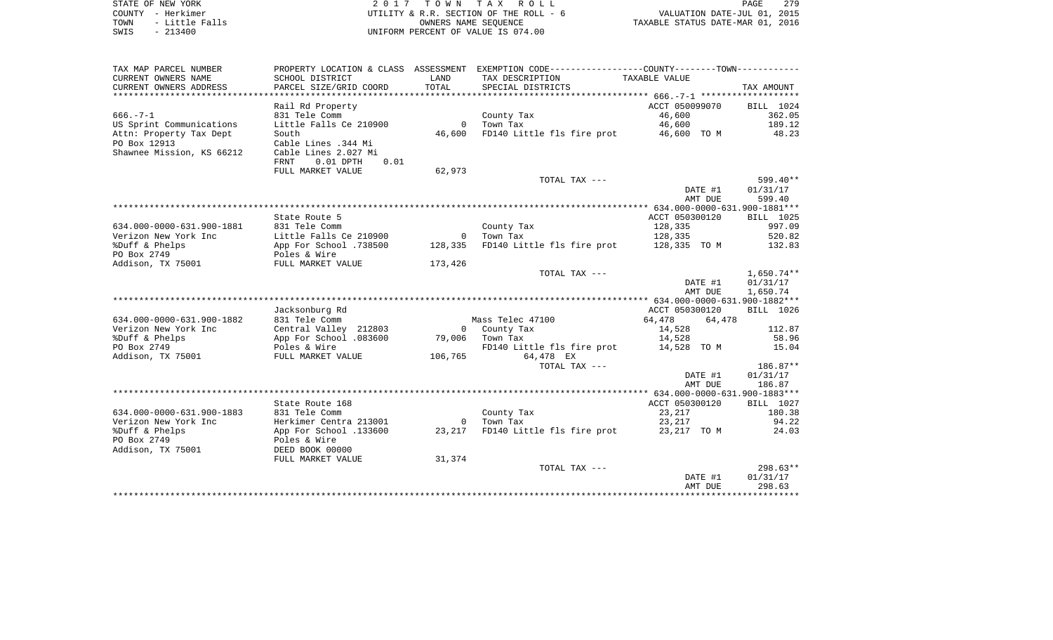STATE OF NEW YORK **EXECUTE:**  $2017$  TOWN TAX ROLL COUNTY - Herkimer<br>
TOWN - Little Falls<br>
SWIS - 213400<br>
SWIS - 213400 TOWN - Little Falls OWNERS NAME SEQUENCE TAXABLE STATUS DATE-MAR 01, 2016 SWIS - 213400 UNIFORM PERCENT OF VALUE IS 074.00

| TAX MAP PARCEL NUMBER     | PROPERTY LOCATION & CLASS ASSESSMENT   |         | EXEMPTION CODE-----------------COUNTY-------TOWN----------- |                |                  |
|---------------------------|----------------------------------------|---------|-------------------------------------------------------------|----------------|------------------|
| CURRENT OWNERS NAME       | SCHOOL DISTRICT                        | LAND    | TAX DESCRIPTION                                             | TAXABLE VALUE  |                  |
| CURRENT OWNERS ADDRESS    | PARCEL SIZE/GRID COORD                 | TOTAL   | SPECIAL DISTRICTS                                           |                | TAX AMOUNT       |
|                           |                                        |         |                                                             |                |                  |
|                           | Rail Rd Property                       |         |                                                             | ACCT 050099070 | BILL 1024        |
| $666. - 7 - 1$            | 831 Tele Comm                          |         | County Tax                                                  | 46,600         | 362.05           |
| US Sprint Communications  | Little Falls Ce 210900                 |         | 0 Town Tax                                                  |                | 46,600 189.12    |
| Attn: Property Tax Dept   | South                                  |         | 46,600 FD140 Little fls fire prot                           | 46,600 TO M    | 48.23            |
| PO Box 12913              | Cable Lines .344 Mi                    |         |                                                             |                |                  |
| Shawnee Mission, KS 66212 | Cable Lines 2.027 Mi                   |         |                                                             |                |                  |
|                           | FRNT<br>$0.01$ DPTH<br>0.01            |         |                                                             |                |                  |
|                           | FULL MARKET VALUE                      | 62,973  |                                                             |                |                  |
|                           |                                        |         | TOTAL TAX ---                                               |                | 599.40**         |
|                           |                                        |         |                                                             | DATE #1        | 01/31/17         |
|                           |                                        |         |                                                             | AMT DUE        | 599.40           |
|                           |                                        |         |                                                             |                |                  |
|                           | State Route 5                          |         |                                                             | ACCT 050300120 | <b>BILL</b> 1025 |
| 634.000-0000-631.900-1881 | 831 Tele Comm                          |         | County Tax                                                  | 128,335        | 997.09           |
| Verizon New York Inc      | Little Falls Ce 210900                 |         | 0 Town Tax                                                  | 128,335        | 520.82           |
| %Duff & Phelps            | App For School .738500                 |         | 128,335 FD140 Little fls fire prot 128,335 TO M             |                | 132.83           |
| PO Box 2749               | Poles & Wire                           |         |                                                             |                |                  |
| Addison, TX 75001         | FULL MARKET VALUE                      | 173,426 |                                                             |                |                  |
|                           |                                        |         | TOTAL TAX ---                                               |                | $1,650.74**$     |
|                           |                                        |         |                                                             | DATE #1        | 01/31/17         |
|                           |                                        |         |                                                             | AMT DUE        | 1,650.74         |
|                           |                                        |         |                                                             |                |                  |
|                           | Jacksonburg Rd                         |         |                                                             | ACCT 050300120 | BILL 1026        |
| 634.000-0000-631.900-1882 | 831 Tele Comm                          |         | Mass Telec 47100                                            | 64,478 64,478  |                  |
| Verizon New York Inc      | Central Valley 212803                  |         | 0 County Tax                                                | 14,528         | 112.87           |
| %Duff & Phelps            | App For School .083600 79,006 Town Tax |         |                                                             | 14,528         | 58.96            |
| PO Box 2749               | Poles & Wire                           |         | FD140 Little fls fire prot 14,528 TO M                      |                | 15.04            |
| Addison, TX 75001         | FULL MARKET VALUE                      |         | 106,765 64,478 EX                                           |                |                  |
|                           |                                        |         | TOTAL TAX ---                                               |                | 186.87**         |
|                           |                                        |         |                                                             | DATE #1        | 01/31/17         |
|                           |                                        |         |                                                             | AMT DUE        | 186.87           |
|                           |                                        |         |                                                             |                |                  |
|                           | State Route 168                        |         |                                                             | ACCT 050300120 | BILL 1027        |
| 634.000-0000-631.900-1883 | 831 Tele Comm                          |         | County Tax                                                  | 23,217         | 180.38           |
| Verizon New York Inc      | Herkimer Centra 213001                 |         | 0 Town Tax                                                  | 23,217         | 94.22            |
| %Duff & Phelps            | App For School .133600                 |         | 23,217 FD140 Little fls fire prot 23,217 TO M               |                | 24.03            |
| PO Box 2749               | Poles & Wire                           |         |                                                             |                |                  |
| Addison, TX 75001         | DEED BOOK 00000                        |         |                                                             |                |                  |
|                           | FULL MARKET VALUE                      | 31,374  |                                                             |                |                  |
|                           |                                        |         | TOTAL TAX ---                                               |                | 298.63**         |
|                           |                                        |         |                                                             | DATE #1        | 01/31/17         |
|                           |                                        |         |                                                             | AMT DUE        | 298.63           |
|                           |                                        |         |                                                             |                |                  |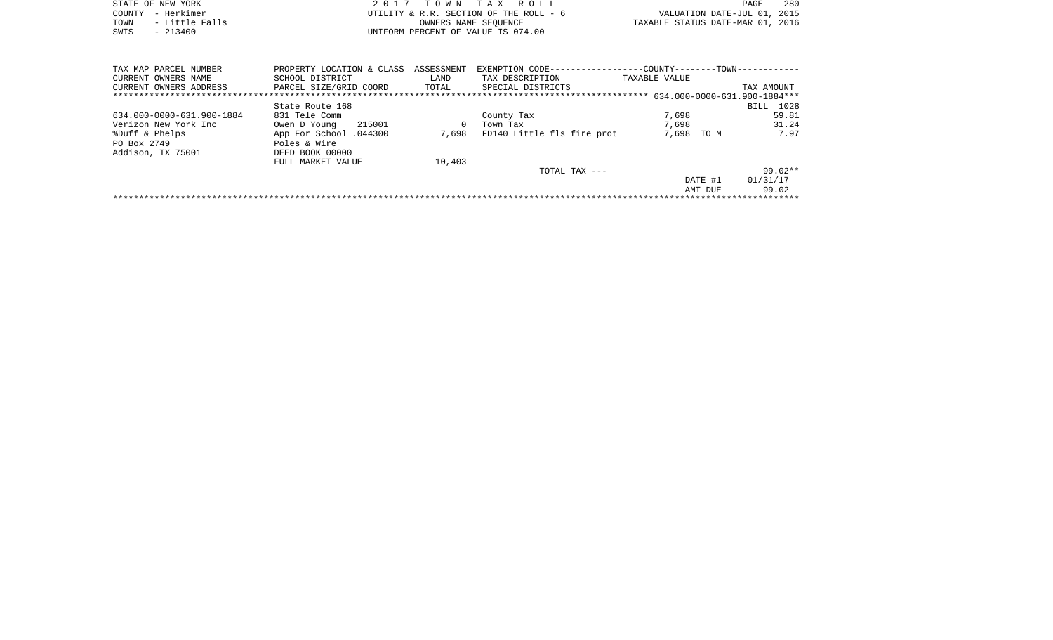|      | STATE OF NEW YORK | 2017 TOWN TAX ROLL                     |                                  | 280<br>PAGE |  |
|------|-------------------|----------------------------------------|----------------------------------|-------------|--|
|      | COUNTY - Herkimer | UTILITY & R.R. SECTION OF THE ROLL - 6 | VALUATION DATE-JUL 01, 2015      |             |  |
| TOWN | - Little Falls    | OWNERS NAME SEOUENCE                   | TAXABLE STATUS DATE-MAR 01, 2016 |             |  |
| SWIS | $-213400$         | UNIFORM PERCENT OF VALUE IS 074.00     |                                  |             |  |
|      |                   |                                        |                                  |             |  |

| TAX MAP PARCEL NUMBER     | PROPERTY LOCATION & CLASS | ASSESSMENT | EXEMPTION CODE-            | -COUNTY------<br>--TOWN-     |            |
|---------------------------|---------------------------|------------|----------------------------|------------------------------|------------|
| CURRENT OWNERS NAME       | SCHOOL DISTRICT           | LAND       | TAX DESCRIPTION            | TAXABLE VALUE                |            |
| CURRENT OWNERS ADDRESS    | PARCEL SIZE/GRID COORD    | TOTAL      | SPECIAL DISTRICTS          |                              | TAX AMOUNT |
|                           |                           |            |                            | 634.000-0000-631.900-1884*** |            |
|                           | State Route 168           |            |                            |                              | BILL 1028  |
| 634.000-0000-631.900-1884 | 831 Tele Comm             |            | County Tax                 | 7,698                        | 59.81      |
| Verizon New York Inc      | 215001<br>Owen D Young    | 0          | Town Tax                   | 7,698                        | 31.24      |
| %Duff & Phelps            | App For School .044300    | 7,698      | FD140 Little fls fire prot | 7,698<br>TO M                | 7.97       |
| PO Box 2749               | Poles & Wire              |            |                            |                              |            |
| Addison, TX 75001         | DEED BOOK 00000           |            |                            |                              |            |
|                           | FULL MARKET VALUE         | 10,403     |                            |                              |            |
|                           |                           |            | $TOTAL$ $TAX$ $---$        |                              | $99.02**$  |
|                           |                           |            |                            | DATE #1                      | 01/31/17   |
|                           |                           |            |                            | AMT DUE                      | 99.02      |
|                           |                           |            |                            |                              |            |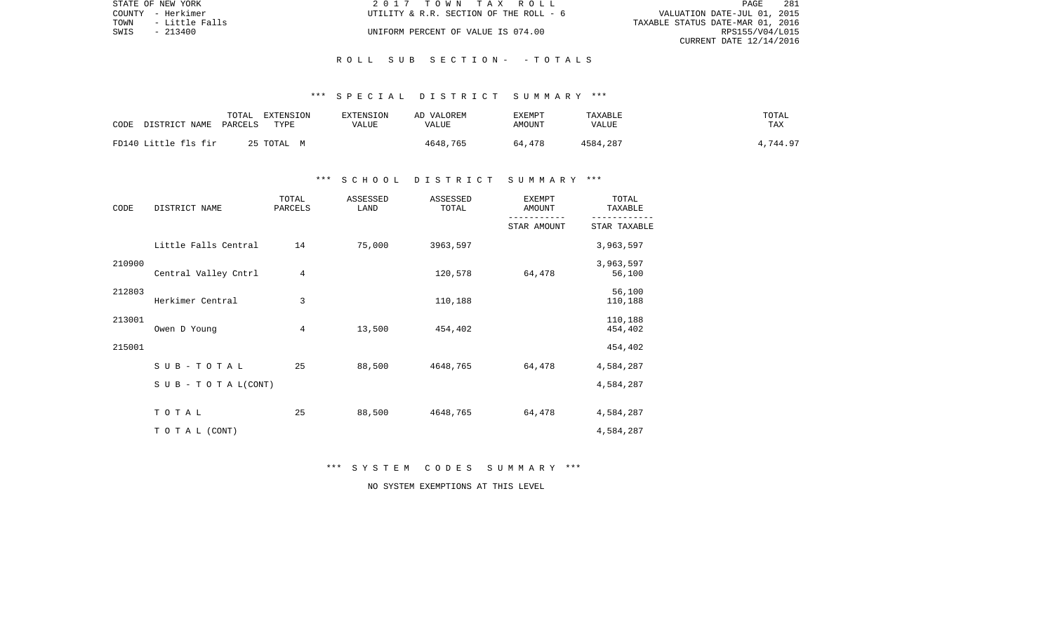|      | STATE OF NEW YORK | 2017 TOWN TAX ROLL                     | 281<br>PAGE                      |
|------|-------------------|----------------------------------------|----------------------------------|
|      | COUNTY - Herkimer | UTILITY & R.R. SECTION OF THE ROLL - 6 | VALUATION DATE-JUL 01, 2015      |
| TOWN | - Little Falls    |                                        | TAXABLE STATUS DATE-MAR 01, 2016 |
| SWIS | $-213400$         | UNIFORM PERCENT OF VALUE IS 074.00     | RPS155/V04/L015                  |
|      |                   |                                        | CURRENT DATE 12/14/2016          |

## \*\*\* S P E C I A L D I S T R I C T S U M M A R Y \*\*\*

| CODE | DISTRICT NAME        | TOTAL<br>PARCELS | EXTENSION<br>TYPE | EXTENSION<br>VALUE | AD VALOREM<br>VALUE | EXEMPT<br>AMOUNT | TAXABLE<br>VALUE | TOTAL<br>TAX |
|------|----------------------|------------------|-------------------|--------------------|---------------------|------------------|------------------|--------------|
|      | FD140 Little fls fir |                  | 25 TOTAL M        |                    | 4648,765            | 64,478           | 4584,287         | 4,744.97     |

## \*\*\* S C H O O L D I S T R I C T S U M M A R Y \*\*\*

| CODE   | DISTRICT NAME             | TOTAL<br>PARCELS | ASSESSED<br>LAND | ASSESSED<br>TOTAL | <b>EXEMPT</b><br>AMOUNT | TOTAL<br>TAXABLE    |  |
|--------|---------------------------|------------------|------------------|-------------------|-------------------------|---------------------|--|
|        |                           |                  |                  |                   | STAR AMOUNT             | STAR TAXABLE        |  |
|        | Little Falls Central      | 14               | 75,000           | 3963,597          |                         | 3,963,597           |  |
| 210900 | Central Valley Cntrl      | 4                |                  | 120,578           | 64,478                  | 3,963,597<br>56,100 |  |
| 212803 | Herkimer Central          | 3                |                  | 110,188           |                         | 56,100<br>110,188   |  |
| 213001 | Owen D Young              | 4                | 13,500           | 454,402           |                         | 110,188<br>454,402  |  |
| 215001 |                           |                  |                  |                   |                         | 454,402             |  |
|        | SUB-TOTAL                 | 25               | 88,500           | 4648,765          | 64,478                  | 4,584,287           |  |
|        | S U B - T O T A $L(CONT)$ |                  |                  |                   |                         | 4,584,287           |  |
|        | TOTAL                     | 25               | 88,500           | 4648,765          | 64,478                  | 4,584,287           |  |
|        | TO TAL (CONT)             |                  |                  |                   |                         | 4,584,287           |  |

\*\*\* S Y S T E M C O D E S S U M M A R Y \*\*\*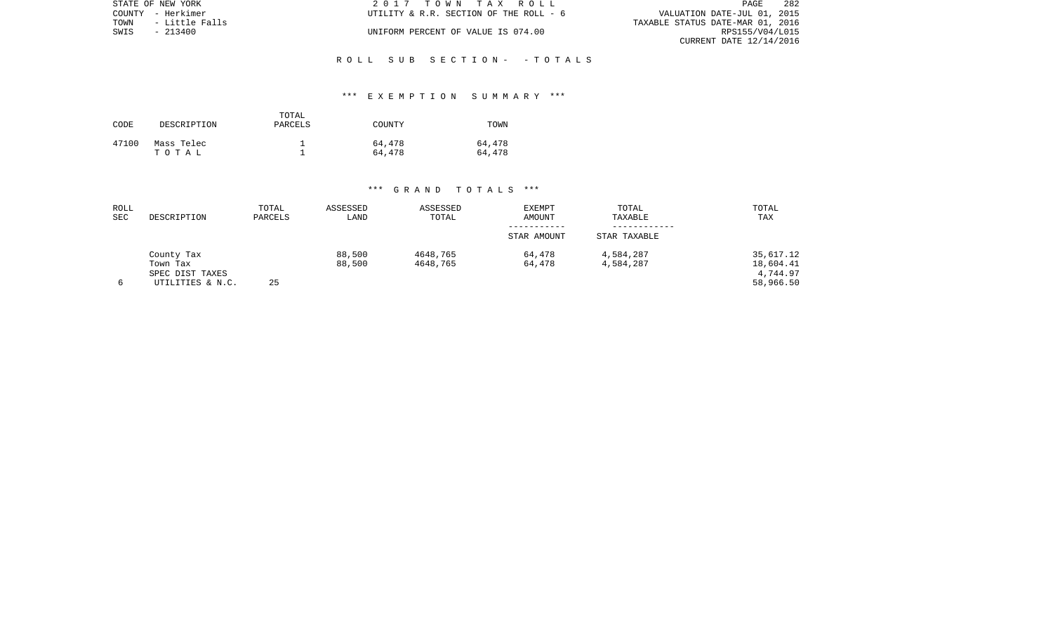| STATE OF NEW YORK      | 2017 TOWN TAX ROLL                     | -282<br><b>PAGE</b>              |
|------------------------|----------------------------------------|----------------------------------|
| COUNTY - Herkimer      | UTILITY & R.R. SECTION OF THE ROLL - 6 | VALUATION DATE-JUL 01, 2015      |
| TOWN<br>- Little Falls |                                        | TAXABLE STATUS DATE-MAR 01, 2016 |
| SWIS - 213400          | UNIFORM PERCENT OF VALUE IS 074.00     | RPS155/V04/L015                  |
|                        |                                        | CURRENT DATE 12/14/2016          |

## \*\*\* E X E M P T I O N S U M M A R Y \*\*\*

| CODE  | DESCRIPTION         | TOTAL<br>PARCELS | COUNTY           | TOWN             |
|-------|---------------------|------------------|------------------|------------------|
| 47100 | Mass Telec<br>тотаь |                  | 64,478<br>64,478 | 64,478<br>64,478 |

| ROLL<br><b>SEC</b> | DESCRIPTION      | TOTAL<br>PARCELS | ASSESSED<br>LAND | ASSESSED<br>TOTAL | <b>EXEMPT</b><br>AMOUNT | TOTAL<br>TAXABLE | TOTAL<br>TAX |
|--------------------|------------------|------------------|------------------|-------------------|-------------------------|------------------|--------------|
|                    |                  |                  |                  |                   | STAR AMOUNT             | STAR TAXABLE     |              |
|                    | County Tax       |                  | 88,500           | 4648,765          | 64,478                  | 4,584,287        | 35,617.12    |
|                    | Town Tax         |                  | 88,500           | 4648,765          | 64,478                  | 4,584,287        | 18,604.41    |
|                    | SPEC DIST TAXES  |                  |                  |                   |                         |                  | 4,744.97     |
|                    | UTILITIES & N.C. | 25               |                  |                   |                         |                  | 58,966.50    |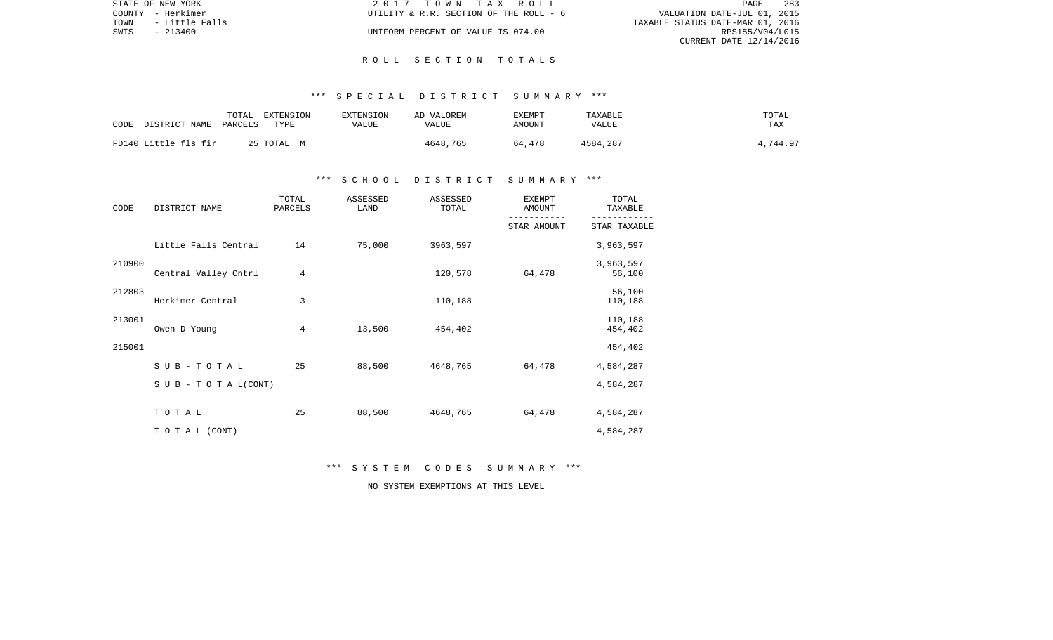| STATE OF NEW YORK      | 2017 TOWN TAX ROLL                     | -283<br>PAGE                     |
|------------------------|----------------------------------------|----------------------------------|
| COUNTY - Herkimer      | UTILITY & R.R. SECTION OF THE ROLL - 6 | VALUATION DATE-JUL 01, 2015      |
| TOWN<br>- Little Falls |                                        | TAXABLE STATUS DATE-MAR 01, 2016 |
| SWIS<br>- 213400       | UNIFORM PERCENT OF VALUE IS 074.00     | RPS155/V04/L015                  |
|                        |                                        | CURRENT DATE 12/14/2016          |

## R O L L S E C T I O N T O T A L S

## \*\*\* S P E C I A L D I S T R I C T S U M M A R Y \*\*\*

| CODE                 | DISTRICT NAME | TOTAL<br>PARCELS | EXTENSION<br>TYPE | <b>EXTENSION</b><br>VALUE | AD VALOREM<br>VALUE | <b>EXEMPT</b><br>AMOUNT | TAXABLE<br>VALUE | TOTAL<br>TAX |
|----------------------|---------------|------------------|-------------------|---------------------------|---------------------|-------------------------|------------------|--------------|
| FD140 Little fls fir |               |                  | 25 TOTAL M        |                           | 4648,765            | 64,478                  | 4584,287         | 4,744.97     |

## \*\*\* S C H O O L D I S T R I C T S U M M A R Y \*\*\*

| CODE   | DISTRICT NAME        | TOTAL<br>PARCELS | ASSESSED<br>LAND | ASSESSED<br>TOTAL | <b>EXEMPT</b><br>AMOUNT | TOTAL<br>TAXABLE   |
|--------|----------------------|------------------|------------------|-------------------|-------------------------|--------------------|
|        |                      |                  |                  |                   | STAR AMOUNT             | STAR TAXABLE       |
|        | Little Falls Central | 14               | 75,000           | 3963,597          |                         | 3,963,597          |
| 210900 |                      |                  |                  |                   |                         | 3,963,597          |
|        | Central Valley Cntrl | 4                |                  | 120,578           | 64,478                  | 56,100             |
| 212803 | Herkimer Central     | 3                |                  | 110,188           |                         | 56,100<br>110,188  |
| 213001 | Owen D Young         | 4                | 13,500           | 454,402           |                         | 110,188<br>454,402 |
| 215001 |                      |                  |                  |                   |                         | 454,402            |
|        | SUB-TOTAL            | 25               | 88,500           | 4648,765          | 64,478                  | 4,584,287          |
|        | SUB - TO TAL(CONT)   |                  |                  |                   |                         | 4,584,287          |
|        |                      |                  |                  |                   |                         |                    |
|        | TOTAL                | 25               | 88,500           | 4648,765          | 64,478                  | 4,584,287          |
|        | TO TAL (CONT)        |                  |                  |                   |                         | 4,584,287          |

\*\*\* S Y S T E M C O D E S S U M M A R Y \*\*\*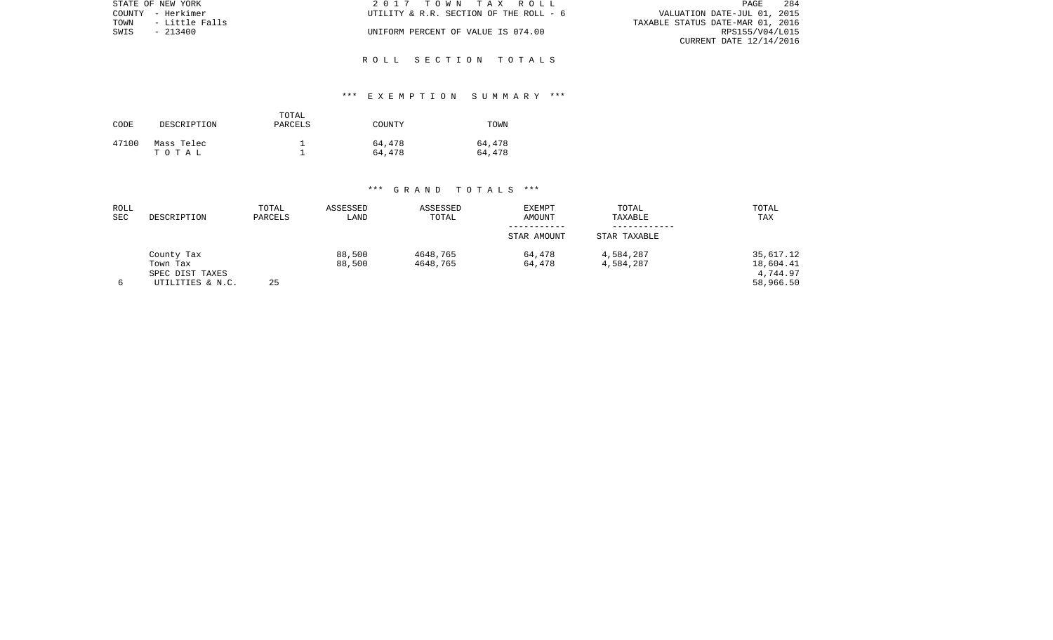|      | STATE OF NEW YORK | 2017 TOWN TAX ROLL                     | -284<br>PAGE                     |
|------|-------------------|----------------------------------------|----------------------------------|
|      | COUNTY - Herkimer | UTILITY & R.R. SECTION OF THE ROLL - 6 | VALUATION DATE-JUL 01, 2015      |
| TOWN | - Little Falls    |                                        | TAXABLE STATUS DATE-MAR 01, 2016 |
| SWIS | - 213400          | UNIFORM PERCENT OF VALUE IS 074.00     | RPS155/V04/L015                  |
|      |                   |                                        | CURRENT DATE 12/14/2016          |

## R O L L S E C T I O N T O T A L S

# \*\*\* E X E M P T I O N S U M M A R Y \*\*\*

| CODE  | DESCRIPTION         | TOTAL<br>PARCELS | COUNTY           | TOWN             |
|-------|---------------------|------------------|------------------|------------------|
| 47100 | Mass Telec<br>тотаь |                  | 64,478<br>64,478 | 64,478<br>64,478 |

| ROLL<br><b>SEC</b> | DESCRIPTION                         | TOTAL<br>PARCELS | ASSESSED<br>LAND | ASSESSED<br>TOTAL    | <b>EXEMPT</b><br>AMOUNT | TOTAL<br>TAXABLE       | TOTAL<br>TAX           |
|--------------------|-------------------------------------|------------------|------------------|----------------------|-------------------------|------------------------|------------------------|
|                    |                                     |                  |                  |                      | STAR AMOUNT             | STAR TAXABLE           |                        |
|                    | County Tax<br>Town Tax              |                  | 88,500<br>88,500 | 4648,765<br>4648,765 | 64,478<br>64,478        | 4,584,287<br>4,584,287 | 35,617.12<br>18,604.41 |
| 6                  | SPEC DIST TAXES<br>UTILITIES & N.C. | 25               |                  |                      |                         |                        | 4,744.97<br>58,966.50  |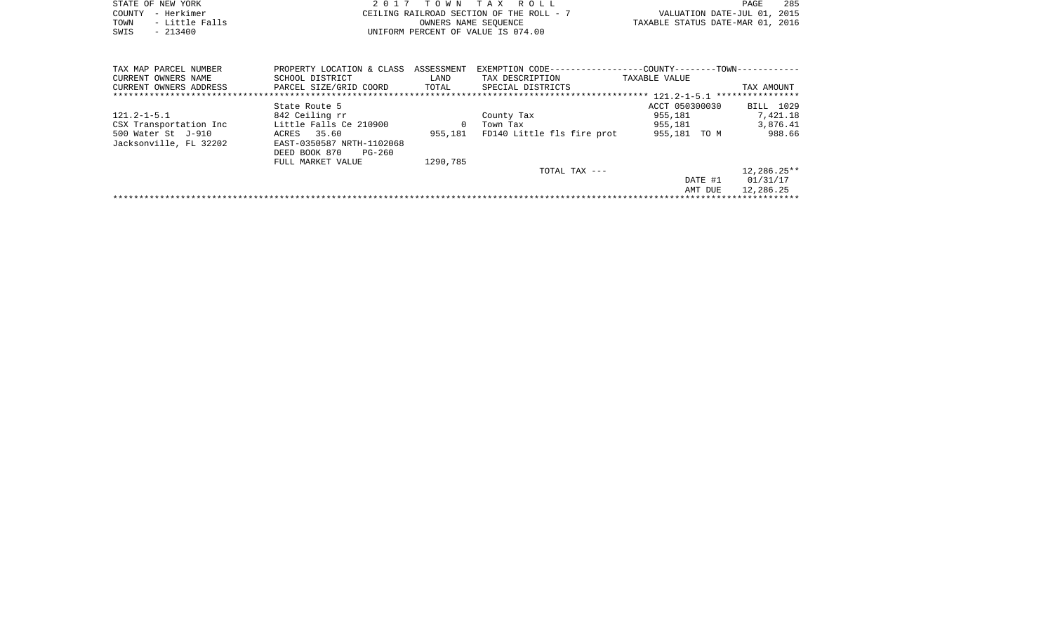|      | STATE OF NEW YORK | 2017 TOWN TAX ROLL                       | PAGE                             | 285 |
|------|-------------------|------------------------------------------|----------------------------------|-----|
|      | COUNTY - Herkimer | CEILING RAILROAD SECTION OF THE ROLL - 7 | VALUATION DATE-JUL 01, 2015      |     |
| TOWN | - Little Falls    | OWNERS NAME SEOUENCE                     | TAXABLE STATUS DATE-MAR 01, 2016 |     |
| SWIS | $-213400$         | UNIFORM PERCENT OF VALUE IS 074.00       |                                  |     |

| TAX MAP PARCEL NUMBER  | PROPERTY LOCATION & CLASS | ASSESSMENT | EXEMPTION CODE--           | -COUNTY--------TOWN------------ |                  |
|------------------------|---------------------------|------------|----------------------------|---------------------------------|------------------|
| CURRENT OWNERS NAME    | SCHOOL DISTRICT           | LAND       | TAX DESCRIPTION            | TAXABLE VALUE                   |                  |
| CURRENT OWNERS ADDRESS | PARCEL SIZE/GRID COORD    | TOTAL      | SPECIAL DISTRICTS          |                                 | TAX AMOUNT       |
|                        |                           |            |                            |                                 | **************** |
|                        | State Route 5             |            |                            | ACCT 050300030                  | BILL 1029        |
| $121.2 - 1 - 5.1$      | 842 Ceiling rr            |            | County Tax                 | 955,181                         | 7,421.18         |
| CSX Transportation Inc | Little Falls Ce 210900    | $\Omega$   | Town Tax                   | 955,181                         | 3,876.41         |
| 500 Water St J-910     | 35.60<br>ACRES            | 955,181    | FD140 Little fls fire prot | 955,181 TO M                    | 988.66           |
| Jacksonville, FL 32202 | EAST-0350587 NRTH-1102068 |            |                            |                                 |                  |
|                        | PG-260<br>DEED BOOK 870   |            |                            |                                 |                  |
|                        | FULL MARKET VALUE         | 1290.785   |                            |                                 |                  |
|                        |                           |            | TOTAL TAX $---$            |                                 | $12,286.25**$    |
|                        |                           |            |                            | DATE #1                         | 01/31/17         |
|                        |                           |            |                            | AMT DUE                         | 12,286.25        |
|                        |                           |            |                            |                                 |                  |
|                        |                           |            |                            |                                 |                  |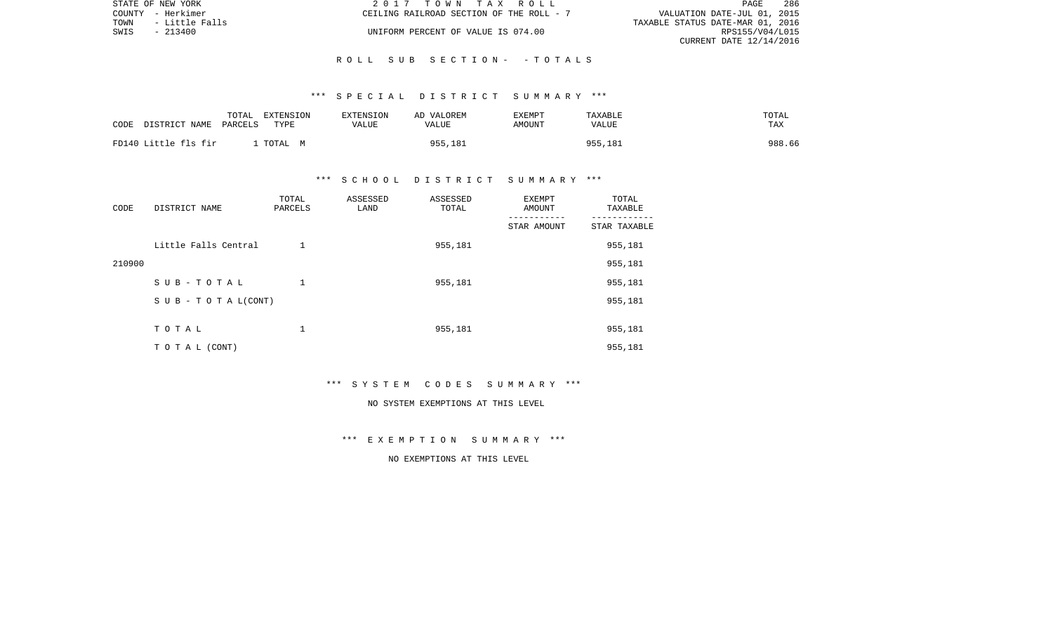| STATE OF NEW YORK      | 2017 TOWN TAX ROLL                       | PAGE                             | 286 |
|------------------------|------------------------------------------|----------------------------------|-----|
| COUNTY - Herkimer      | CEILING RAILROAD SECTION OF THE ROLL - 7 | VALUATION DATE-JUL 01, 2015      |     |
| TOWN<br>- Little Falls |                                          | TAXABLE STATUS DATE-MAR 01, 2016 |     |
| SWIS<br>$-213400$      | UNIFORM PERCENT OF VALUE IS 074.00       | RPS155/V04/L015                  |     |
|                        |                                          | CURRENT DATE 12/14/2016          |     |

## \*\*\* S P E C I A L D I S T R I C T S U M M A R Y \*\*\*

| CODE | DISTRICT NAME        | TOTAL<br>PARCELS | EXTENSION<br>TYPE | <b>EXTENSION</b><br>VALUE | AD VALOREM<br>VALUE | <b>EXEMPT</b><br>AMOUNT | TAXABLE<br>VALUE | TOTAL<br>TAX |  |
|------|----------------------|------------------|-------------------|---------------------------|---------------------|-------------------------|------------------|--------------|--|
|      | FD140 Little fls fir |                  | TOTAL<br>M        |                           | 955,181             |                         | 955,181          | 988.66       |  |

## \*\*\* S C H O O L D I S T R I C T S U M M A R Y \*\*\*

| CODE   | DISTRICT NAME        | TOTAL<br>PARCELS | ASSESSED<br>LAND | ASSESSED<br>TOTAL | EXEMPT<br>AMOUNT | TOTAL<br>TAXABLE |
|--------|----------------------|------------------|------------------|-------------------|------------------|------------------|
|        |                      |                  |                  |                   | STAR AMOUNT      | STAR TAXABLE     |
|        | Little Falls Central | 1                |                  | 955,181           |                  | 955,181          |
| 210900 |                      |                  |                  |                   |                  | 955,181          |
|        | SUB-TOTAL            | 1                |                  | 955,181           |                  | 955,181          |
|        | SUB - TO TAL(CONT)   |                  |                  |                   |                  | 955,181          |
|        |                      |                  |                  |                   |                  |                  |
|        | TOTAL                | T.               |                  | 955,181           |                  | 955,181          |
|        | T O T A L (CONT)     |                  |                  |                   |                  | 955,181          |

## \*\*\* S Y S T E M C O D E S S U M M A R Y \*\*\*

#### NO SYSTEM EXEMPTIONS AT THIS LEVEL

# \*\*\* E X E M P T I O N S U M M A R Y \*\*\*

# NO EXEMPTIONS AT THIS LEVEL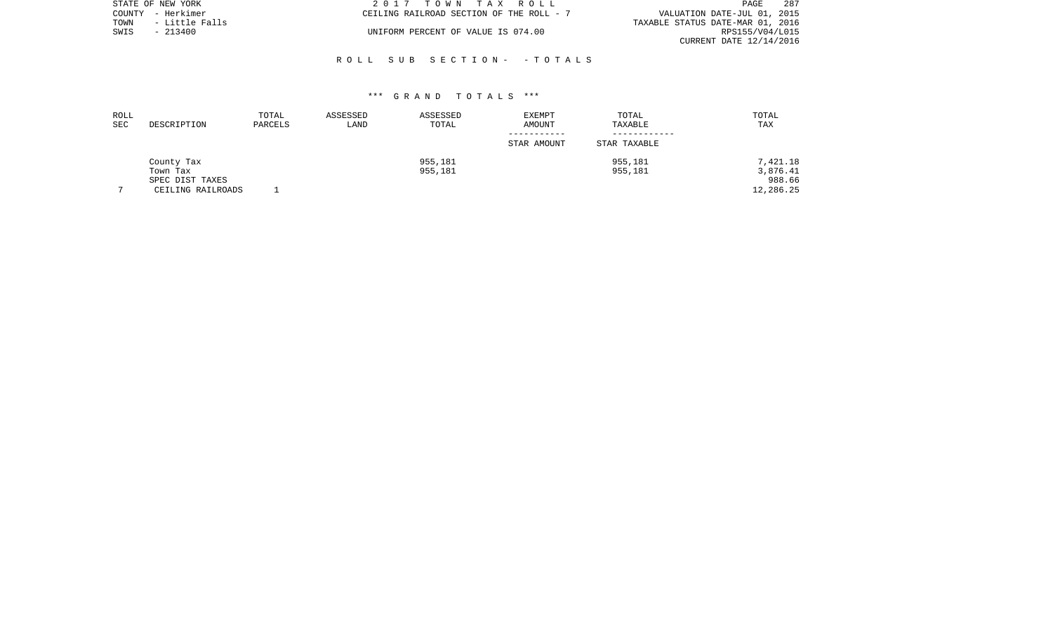|      | STATE OF NEW YORK | 2017 TOWN TAX ROLL                       | - 287<br>PAGE                    |
|------|-------------------|------------------------------------------|----------------------------------|
|      | COUNTY - Herkimer | CEILING RAILROAD SECTION OF THE ROLL - 7 | VALUATION DATE-JUL 01, 2015      |
| TOWN | - Little Falls    |                                          | TAXABLE STATUS DATE-MAR 01, 2016 |
| SWIS | $-213400$         | UNIFORM PERCENT OF VALUE IS 074.00       | RPS155/V04/L015                  |
|      |                   |                                          | CURRENT DATE 12/14/2016          |

| ROLL |                   | TOTAL   | ASSESSED | ASSESSED | <b>EXEMPT</b> | TOTAL        | TOTAL     |
|------|-------------------|---------|----------|----------|---------------|--------------|-----------|
| SEC  | DESCRIPTION       | PARCELS | LAND     | TOTAL    | AMOUNT        | TAXABLE      | TAX       |
|      |                   |         |          |          |               |              |           |
|      |                   |         |          |          | STAR AMOUNT   | STAR TAXABLE |           |
|      | County Tax        |         |          | 955,181  |               | 955,181      | 7,421.18  |
|      | Town Tax          |         |          | 955,181  |               | 955,181      | 3,876.41  |
|      | SPEC DIST TAXES   |         |          |          |               |              | 988.66    |
|      | CEILING RAILROADS |         |          |          |               |              | 12,286.25 |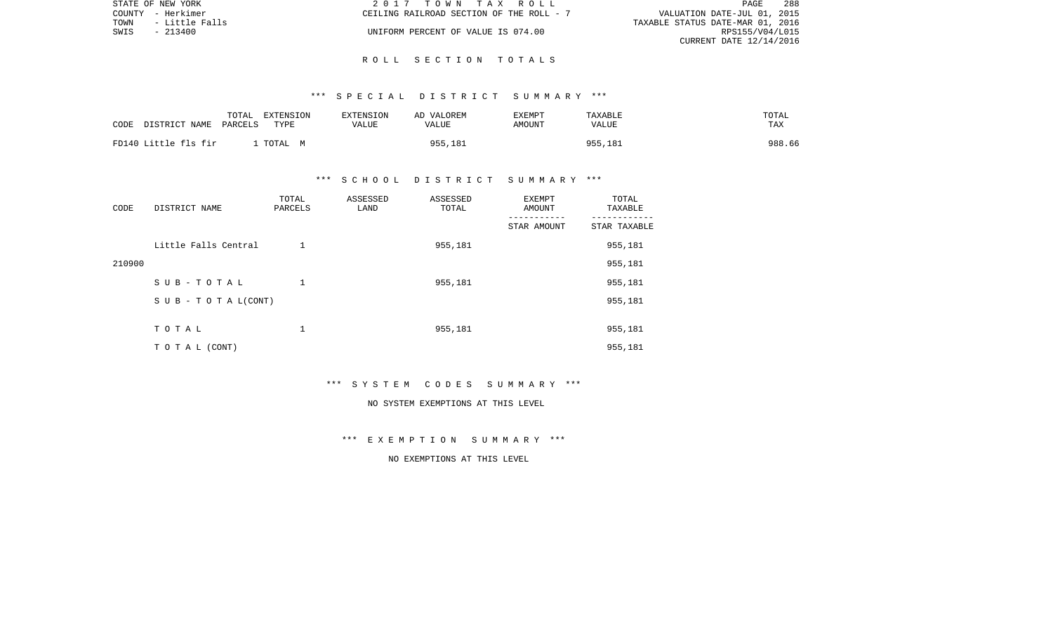| STATE OF NEW YORK |                   | 2017 TOWN TAX ROLL                       | - 288<br>PAGE                    |  |
|-------------------|-------------------|------------------------------------------|----------------------------------|--|
|                   | COUNTY - Herkimer | CEILING RAILROAD SECTION OF THE ROLL - 7 | VALUATION DATE-JUL 01, 2015      |  |
| TOWN              | - Little Falls    |                                          | TAXABLE STATUS DATE-MAR 01, 2016 |  |
| SWIS              | $-213400$         | UNIFORM PERCENT OF VALUE IS 074.00       | RPS155/V04/L015                  |  |
|                   |                   |                                          | CURRENT DATE 12/14/2016          |  |

### R O L L S E C T I O N T O T A L S

### \*\*\* S P E C I A L D I S T R I C T S U M M A R Y \*\*\*

| CODE | DISTRICT NAME        | TOTAL<br>PARCELS | EXTENSION<br>TYPE | EXTENSION<br><b>VALUE</b> | AD VALOREM<br>VALUE | <b>EXEMPT</b><br>AMOUNT | TAXABLE<br>VALUE | TOTAL<br>TAX |
|------|----------------------|------------------|-------------------|---------------------------|---------------------|-------------------------|------------------|--------------|
|      | FD140 Little fls fir |                  | TOTAL M           |                           | 955,181             |                         | 955,181          | 988.66       |

### \*\*\* S C H O O L D I S T R I C T S U M M A R Y \*\*\*

| CODE   | DISTRICT NAME        | TOTAL<br>PARCELS | ASSESSED<br>LAND | ASSESSED<br>TOTAL | EXEMPT<br>AMOUNT | TOTAL<br>TAXABLE |
|--------|----------------------|------------------|------------------|-------------------|------------------|------------------|
|        |                      |                  |                  |                   | STAR AMOUNT      | STAR TAXABLE     |
|        | Little Falls Central | 1                |                  | 955,181           |                  | 955,181          |
| 210900 |                      |                  |                  |                   |                  | 955,181          |
|        | SUB-TOTAL            | 1                |                  | 955,181           |                  | 955,181          |
|        | SUB - TO TAL(CONT)   |                  |                  |                   |                  | 955,181          |
|        |                      |                  |                  |                   |                  |                  |
|        | TOTAL                | T.               |                  | 955,181           |                  | 955,181          |
|        | T O T A L (CONT)     |                  |                  |                   |                  | 955,181          |

### \*\*\* S Y S T E M C O D E S S U M M A R Y \*\*\*

#### NO SYSTEM EXEMPTIONS AT THIS LEVEL

### \*\*\* E X E M P T I O N S U M M A R Y \*\*\*

## NO EXEMPTIONS AT THIS LEVEL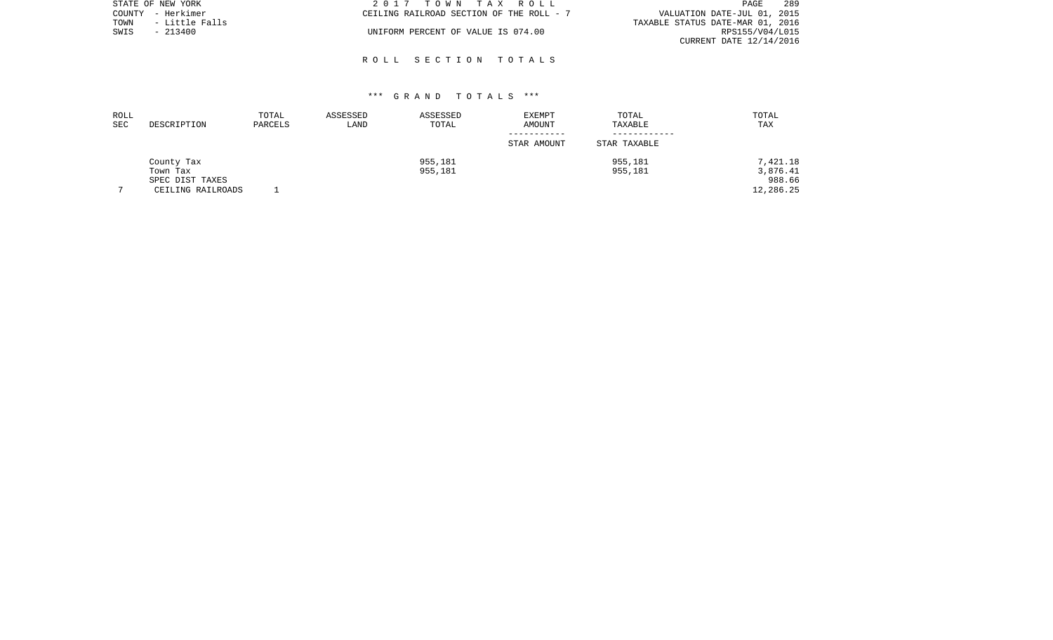|      | STATE OF NEW YORK | 2017 TOWN TAX ROLL                       | -289<br>PAGE                     |
|------|-------------------|------------------------------------------|----------------------------------|
|      | COUNTY - Herkimer | CEILING RAILROAD SECTION OF THE ROLL - 7 | VALUATION DATE-JUL 01, 2015      |
| TOWN | - Little Falls    |                                          | TAXABLE STATUS DATE-MAR 01, 2016 |
| SWIS | $-213400$         | UNIFORM PERCENT OF VALUE IS 074.00       | RPS155/V04/L015                  |
|      |                   |                                          | CURRENT DATE 12/14/2016          |

### R O L L S E C T I O N T O T A L S

| ROLL           |                   | TOTAL   | ASSESSED | ASSESSED | EXEMPT      | TOTAL        | TOTAL      |
|----------------|-------------------|---------|----------|----------|-------------|--------------|------------|
| <b>SEC</b>     | DESCRIPTION       | PARCELS | LAND     | TOTAL    | AMOUNT      | TAXABLE      | <b>TAX</b> |
|                |                   |         |          |          |             |              |            |
|                |                   |         |          |          | STAR AMOUNT | STAR TAXABLE |            |
|                | County Tax        |         |          | 955,181  |             | 955,181      | 7,421.18   |
|                | Town Tax          |         |          | 955,181  |             | 955,181      | 3,876.41   |
|                | SPEC DIST TAXES   |         |          |          |             |              | 988.66     |
| $\overline{ }$ | CEILING RAILROADS |         |          |          |             |              | 12,286.25  |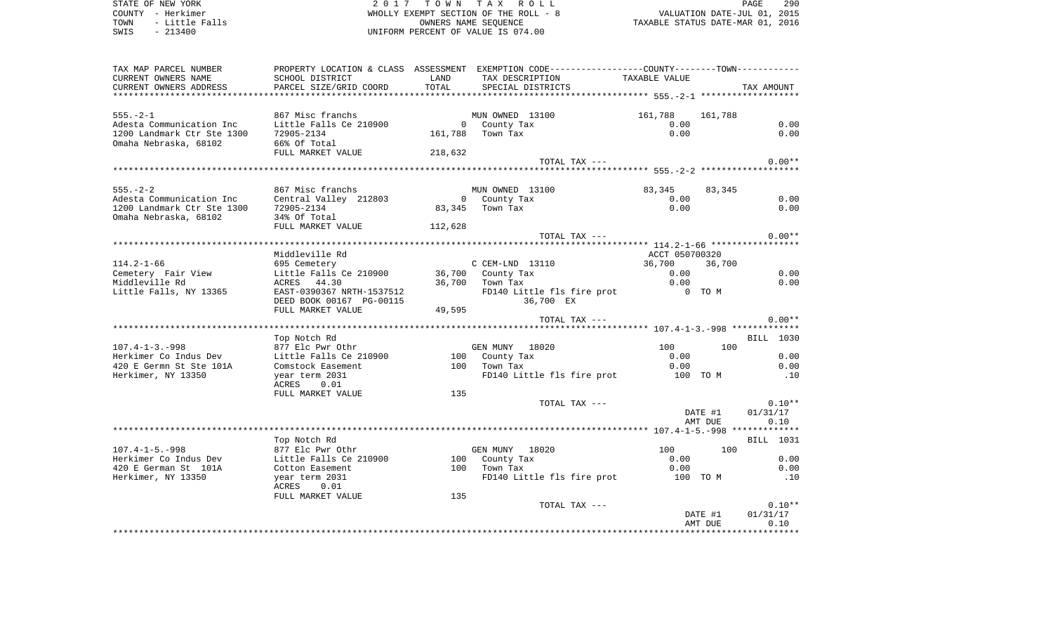| STATE OF NEW YORK<br>COUNTY - Herkimer<br>- Little Falls<br>TOWN<br>SWIS<br>$-213400$ |                                                       |         | 2017 TOWN TAX ROLL<br>WHOLLY EXEMPT SECTION OF THE ROLL - 8<br>OWNERS NAME SEQUENCE<br>UNIFORM PERCENT OF VALUE IS 074.00 | VALUATION DATE-JUL 01, 2015<br>TAXABLE STATUS DATE-MAR 01, 2016 |                    | PAGE<br>290          |
|---------------------------------------------------------------------------------------|-------------------------------------------------------|---------|---------------------------------------------------------------------------------------------------------------------------|-----------------------------------------------------------------|--------------------|----------------------|
| TAX MAP PARCEL NUMBER<br>CURRENT OWNERS NAME                                          | SCHOOL DISTRICT                                       | LAND    | PROPERTY LOCATION & CLASS ASSESSMENT EXEMPTION CODE---------------COUNTY-------TOWN----------                             | TAXABLE VALUE                                                   |                    |                      |
| CURRENT OWNERS ADDRESS<br>************************                                    | PARCEL SIZE/GRID COORD                                | TOTAL   | TAX DESCRIPTION<br>SPECIAL DISTRICTS                                                                                      |                                                                 |                    | TAX AMOUNT           |
| $555. - 2 - 1$                                                                        | 867 Misc franchs                                      |         | MUN OWNED 13100                                                                                                           | 161,788                                                         | 161,788            |                      |
| Adesta Communication Inc<br>1200 Landmark Ctr Ste 1300<br>Omaha Nebraska, 68102       | Little Falls Ce 210900<br>72905-2134<br>66% Of Total  |         | 0 County Tax<br>161,788 Town Tax                                                                                          | 0.00<br>0.00                                                    |                    | 0.00<br>0.00         |
|                                                                                       | FULL MARKET VALUE                                     | 218,632 |                                                                                                                           |                                                                 |                    |                      |
|                                                                                       |                                                       |         | TOTAL TAX ---                                                                                                             |                                                                 |                    | $0.00**$             |
|                                                                                       |                                                       |         |                                                                                                                           |                                                                 |                    |                      |
| $555. - 2 - 2$                                                                        | 867 Misc franchs                                      |         | MUN OWNED 13100                                                                                                           | 83,345                                                          | 83,345             |                      |
| Adesta Communication Inc                                                              | Central Valley 212803                                 |         | 0 County Tax                                                                                                              | 0.00                                                            |                    | 0.00                 |
| 1200 Landmark Ctr Ste 1300<br>Omaha Nebraska, 68102                                   | 72905-2134<br>34% Of Total                            |         | 83,345 Town Tax                                                                                                           | 0.00                                                            |                    | 0.00                 |
|                                                                                       | FULL MARKET VALUE                                     | 112,628 |                                                                                                                           |                                                                 |                    |                      |
|                                                                                       |                                                       |         | TOTAL TAX ---                                                                                                             |                                                                 |                    | $0.00**$             |
|                                                                                       | Middleville Rd                                        |         |                                                                                                                           | ACCT 050700320                                                  |                    |                      |
| $114.2 - 1 - 66$                                                                      | 695 Cemetery                                          |         | C CEM-LND 13110                                                                                                           | 36,700                                                          | 36,700             |                      |
| Cemetery Fair View                                                                    | Little Falls Ce 210900                                |         | 36,700 County Tax                                                                                                         | 0.00                                                            |                    | 0.00                 |
| Middleville Rd                                                                        | 44.30<br>ACRES                                        |         | 36,700 Town Tax                                                                                                           | 0.00                                                            |                    | 0.00                 |
| Little Falls, NY 13365                                                                | EAST-0390367 NRTH-1537512<br>DEED BOOK 00167 PG-00115 |         | FD140 Little fls fire prot<br>36,700 EX                                                                                   | $0$ TOM                                                         |                    |                      |
|                                                                                       | FULL MARKET VALUE                                     | 49,595  |                                                                                                                           |                                                                 |                    |                      |
|                                                                                       |                                                       |         | TOTAL TAX ---                                                                                                             |                                                                 |                    | $0.00**$             |
|                                                                                       | Top Notch Rd                                          |         |                                                                                                                           |                                                                 |                    | BILL 1030            |
| $107.4 - 1 - 3. - 998$                                                                | 877 Elc Pwr Othr                                      |         | GEN MUNY 18020                                                                                                            | 100                                                             | 100                |                      |
| Herkimer Co Indus Dev                                                                 | Little Falls Ce 210900                                |         | 100 County Tax                                                                                                            | 0.00                                                            |                    | 0.00                 |
| 420 E Germn St Ste 101A                                                               | Comstock Easement                                     |         | 100 Town Tax                                                                                                              | 0.00                                                            |                    | 0.00                 |
| Herkimer, NY 13350                                                                    | year term 2031<br>ACRES<br>0.01                       |         | FD140 Little fls fire prot                                                                                                | 100 TO M                                                        |                    | .10                  |
|                                                                                       | FULL MARKET VALUE                                     | 135     |                                                                                                                           |                                                                 |                    |                      |
|                                                                                       |                                                       |         | TOTAL TAX ---                                                                                                             |                                                                 | DATE #1            | $0.10**$<br>01/31/17 |
|                                                                                       |                                                       |         |                                                                                                                           |                                                                 | AMT DUE            | 0.10                 |
|                                                                                       | Top Notch Rd                                          |         |                                                                                                                           |                                                                 |                    | BILL 1031            |
| $107.4 - 1 - 5. - 998$                                                                | 877 Elc Pwr Othr                                      |         | GEN MUNY 18020                                                                                                            | 100                                                             | 100                |                      |
| Herkimer Co Indus Dev                                                                 | Little Falls Ce 210900                                |         | 100 County Tax                                                                                                            | 0.00                                                            |                    | 0.00                 |
| 420 E German St 101A                                                                  | Cotton Easement                                       |         | 100 Town Tax                                                                                                              | 0.00                                                            |                    | 0.00                 |
| Herkimer, NY 13350                                                                    | year term 2031<br>ACRES 0.01                          |         | FD140 Little fls fire prot                                                                                                | 100 TO M                                                        |                    | .10                  |
|                                                                                       | FULL MARKET VALUE                                     | 135     |                                                                                                                           |                                                                 |                    |                      |
|                                                                                       |                                                       |         | TOTAL TAX ---                                                                                                             |                                                                 |                    | $0.10**$             |
|                                                                                       |                                                       |         |                                                                                                                           |                                                                 | DATE #1<br>AMT DUE | 01/31/17<br>0.10     |
|                                                                                       |                                                       |         |                                                                                                                           |                                                                 |                    | ******               |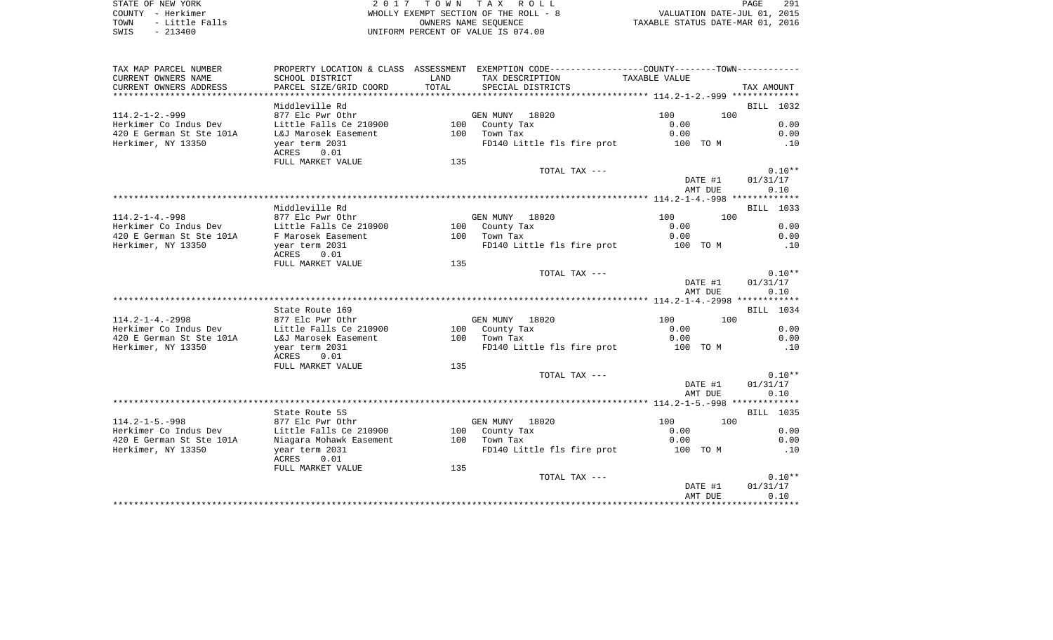STATE OF NEW YORK **EXECUTE:**  $2017$  TOWN TAX ROLL COUNTY - Herkimer<br>
TOWN - Little Falls<br>
SWIS - 213400 - 2013400 - 2013400 - 2013400 - 2013400 - 2014.00 TOWN - Little Falls OWNERS NAME SEQUENCE TAXABLE STATUS DATE-MAR 01, 2016 SWIS - 213400 UNIFORM PERCENT OF VALUE IS 074.00

| TAX MAP PARCEL NUMBER    |                                 |       | PROPERTY LOCATION & CLASS ASSESSMENT EXEMPTION CODE---------------COUNTY-------TOWN---------- |               |            |
|--------------------------|---------------------------------|-------|-----------------------------------------------------------------------------------------------|---------------|------------|
| CURRENT OWNERS NAME      | SCHOOL DISTRICT                 | LAND  | TAX DESCRIPTION                                                                               | TAXABLE VALUE |            |
| CURRENT OWNERS ADDRESS   | PARCEL SIZE/GRID COORD          | TOTAL | SPECIAL DISTRICTS                                                                             |               | TAX AMOUNT |
|                          |                                 |       |                                                                                               |               |            |
|                          | Middleville Rd                  |       |                                                                                               |               | BILL 1032  |
| $114.2 - 1 - 2. - 999$   | 877 Elc Pwr Othr                |       | GEN MUNY 18020                                                                                | 100           | 100        |
| Herkimer Co Indus Dev    | Little Falls Ce 210900          |       | 100 County Tax                                                                                | 0.00          | 0.00       |
| 420 E German St Ste 101A | L&J Marosek Easement            |       | 100 Town Tax                                                                                  | 0.00          | 0.00       |
| Herkimer, NY 13350       | year term 2031<br>0.01<br>ACRES |       | FD140 Little fls fire prot                                                                    | 100 TO M      | .10        |
|                          | FULL MARKET VALUE               | 135   |                                                                                               |               |            |
|                          |                                 |       | TOTAL TAX ---                                                                                 |               | $0.10**$   |
|                          |                                 |       |                                                                                               | DATE #1       | 01/31/17   |
|                          |                                 |       |                                                                                               | AMT DUE       | 0.10       |
|                          |                                 |       |                                                                                               |               |            |
|                          | Middleville Rd                  |       |                                                                                               |               | BILL 1033  |
| $114.2 - 1 - 4. - 998$   | 877 Elc Pwr Othr                |       | GEN MUNY 18020                                                                                | 100           | 100        |
| Herkimer Co Indus Dev    | Little Falls Ce 210900          |       | 100 County Tax                                                                                | 0.00          | 0.00       |
| 420 E German St Ste 101A | F Marosek Easement              |       | 100 Town Tax                                                                                  | 0.00          | 0.00       |
| Herkimer, NY 13350       | year term 2031                  |       | FD140 Little fls fire prot 100 TO M                                                           |               | .10        |
|                          | ACRES<br>0.01                   |       |                                                                                               |               |            |
|                          | FULL MARKET VALUE               | 135   |                                                                                               |               |            |
|                          |                                 |       | TOTAL TAX ---                                                                                 |               | $0.10**$   |
|                          |                                 |       |                                                                                               | DATE #1       | 01/31/17   |
|                          |                                 |       |                                                                                               | AMT DUE       | 0.10       |
|                          |                                 |       |                                                                                               |               |            |
|                          | State Route 169                 |       |                                                                                               |               | BILL 1034  |
| $114.2 - 1 - 4. - 2998$  | 877 Elc Pwr Othr                |       | GEN MUNY 18020                                                                                | 100           | 100        |
| Herkimer Co Indus Dev    | Little Falls Ce 210900          |       | 100 County Tax                                                                                | 0.00          | 0.00       |
| 420 E German St Ste 101A | L&J Marosek Easement            |       | 100 Town Tax                                                                                  | 0.00          | 0.00       |
| Herkimer, NY 13350       | year term 2031<br>0.01<br>ACRES |       | FD140 Little fls fire prot                                                                    | 100 TO M      | .10        |
|                          | FULL MARKET VALUE               | 135   |                                                                                               |               |            |
|                          |                                 |       | TOTAL TAX ---                                                                                 |               | $0.10**$   |
|                          |                                 |       |                                                                                               | DATE #1       | 01/31/17   |
|                          |                                 |       |                                                                                               | AMT DUE       | 0.10       |
|                          |                                 |       |                                                                                               |               |            |
|                          | State Route 5S                  |       |                                                                                               |               | BILL 1035  |
| $114.2 - 1 - 5. - 998$   | 877 Elc Pwr Othr                |       | GEN MUNY 18020                                                                                | 100           | 100        |
| Herkimer Co Indus Dev    | Little Falls Ce 210900          |       | 100 County Tax                                                                                | 0.00          | 0.00       |
| 420 E German St Ste 101A | Niagara Mohawk Easement         |       | 100 Town Tax                                                                                  | 0.00          | 0.00       |
| Herkimer, NY 13350       | year term 2031                  |       | FD140 Little fls fire prot                                                                    | 100 TO M      | .10        |
|                          | ACRES<br>0.01                   |       |                                                                                               |               |            |
|                          | FULL MARKET VALUE               | 135   |                                                                                               |               |            |
|                          |                                 |       | TOTAL TAX ---                                                                                 |               | $0.10**$   |
|                          |                                 |       |                                                                                               | DATE #1       | 01/31/17   |
|                          |                                 |       |                                                                                               | AMT DUE       | 0.10       |
|                          |                                 |       |                                                                                               |               |            |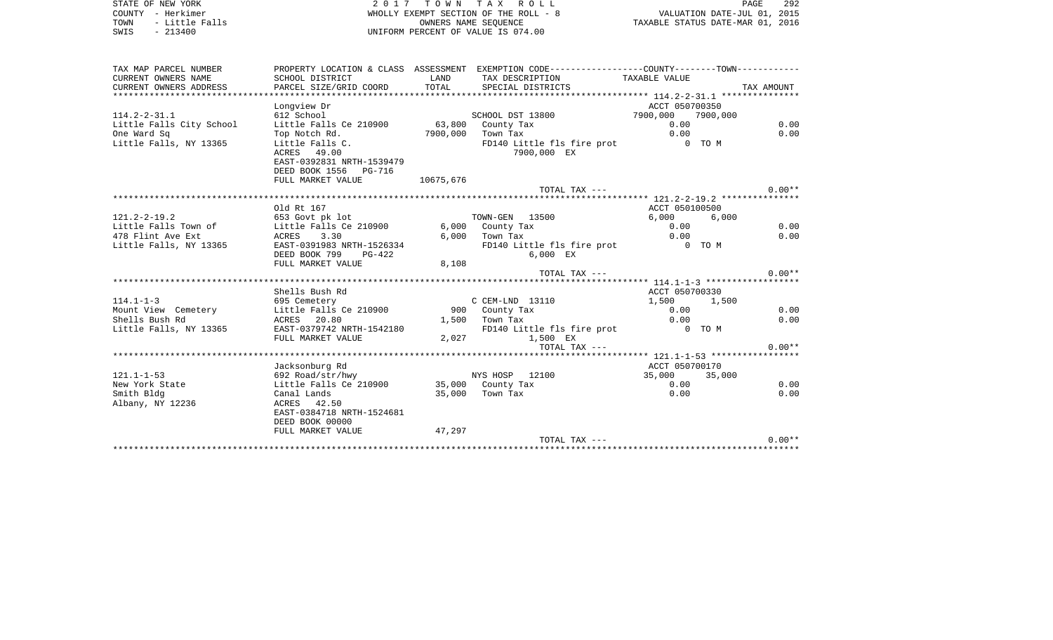| STATE OF NEW YORK      | 2017 TOWN TAX ROLL                    | PAGE                             | 292 |
|------------------------|---------------------------------------|----------------------------------|-----|
| - Herkimer<br>COUNTY   | WHOLLY EXEMPT SECTION OF THE ROLL - 8 | VALUATION DATE-JUL 01, 2015      |     |
| - Little Falls<br>TOWN | OWNERS NAME SEOUENCE                  | TAXABLE STATUS DATE-MAR 01, 2016 |     |
| $-213400$<br>SWIS      | UNIFORM PERCENT OF VALUE IS 074.00    |                                  |     |
|                        |                                       |                                  |     |
|                        |                                       |                                  |     |
|                        |                                       |                                  |     |

| TAX MAP PARCEL NUMBER    |                                         |           | PROPERTY LOCATION & CLASS ASSESSMENT EXEMPTION CODE----------------COUNTY-------TOWN----------- |                            |            |
|--------------------------|-----------------------------------------|-----------|-------------------------------------------------------------------------------------------------|----------------------------|------------|
| CURRENT OWNERS NAME      | SCHOOL DISTRICT                         | LAND      | TAX DESCRIPTION                                                                                 | TAXABLE VALUE              |            |
| CURRENT OWNERS ADDRESS   | PARCEL SIZE/GRID COORD                  | TOTAL     | SPECIAL DISTRICTS                                                                               |                            | TAX AMOUNT |
|                          |                                         |           |                                                                                                 | ACCT 050700350             |            |
|                          | Longview Dr                             |           |                                                                                                 |                            |            |
| $114.2 - 2 - 31.1$       | 612 School                              |           | SCHOOL DST 13800                                                                                | 7900,000  7900,000<br>0.00 |            |
| Little Falls City School | Little Falls Ce 210900                  |           | 63,800 County Tax                                                                               |                            | 0.00       |
| One Ward Sq              | Top Notch Rd.                           |           | 7900,000 Town Tax                                                                               | 0.00                       | 0.00       |
| Little Falls, NY 13365   | Little Falls C.                         |           | FD140 Little fls fire prot                                                                      | 0 TO M                     |            |
|                          | ACRES 49.00                             |           | 7900,000 EX                                                                                     |                            |            |
|                          | EAST-0392831 NRTH-1539479               |           |                                                                                                 |                            |            |
|                          | DEED BOOK 1556 PG-716                   |           |                                                                                                 |                            |            |
|                          | FULL MARKET VALUE                       | 10675,676 |                                                                                                 |                            | $0.00**$   |
|                          |                                         |           | TOTAL TAX $---$                                                                                 |                            |            |
|                          | Old Rt 167                              |           |                                                                                                 |                            |            |
|                          |                                         |           | TOWN-GEN 13500                                                                                  | ACCT 050100500             |            |
| $121.2 - 2 - 19.2$       | 653 Govt pk lot                         |           |                                                                                                 | 6,000 6,000                |            |
| Little Falls Town of     | Little Falls Ce 210900                  |           | 6,000 County Tax                                                                                | 0.00                       | 0.00       |
| 478 Flint Ave Ext        | ACRES 3.30<br>EAST-0391983 NRTH-1526334 |           | $6,000$ Town Tax                                                                                | 0.00<br>0 TO M             | 0.00       |
| Little Falls, NY 13365   |                                         |           | FD140 Little fls fire prot                                                                      |                            |            |
|                          | DEED BOOK 799<br>$PG-422$               |           | $6.000$ EX                                                                                      |                            |            |
|                          | FULL MARKET VALUE                       | 8,108     | TOTAL TAX ---                                                                                   |                            | $0.00**$   |
|                          |                                         |           |                                                                                                 |                            |            |
|                          | Shells Bush Rd                          |           |                                                                                                 | ACCT 050700330             |            |
| $114.1 - 1 - 3$          | 695 Cemetery                            |           | C CEM-LND 13110                                                                                 | 1,500 1,500                |            |
| Mount View Cemetery      | Little Falls Ce 210900 900 County Tax   |           |                                                                                                 | 0.00                       | 0.00       |
| Shells Bush Rd           | ACRES 20.80                             |           | $1,500$ Town Tax                                                                                | 0.00                       | 0.00       |
| Little Falls, NY 13365   | EAST-0379742 NRTH-1542180               |           | FD140 Little fls fire prot 0 TO M                                                               |                            |            |
|                          | FULL MARKET VALUE                       |           | 2,027 1,500 EX                                                                                  |                            |            |
|                          |                                         |           | TOTAL TAX ---                                                                                   |                            | $0.00**$   |
|                          |                                         |           |                                                                                                 |                            |            |
|                          | Jacksonburg Rd                          |           |                                                                                                 | ACCT 050700170             |            |
| $121.1 - 1 - 53$         | 692 Road/str/hwy                        |           | NYS HOSP 12100                                                                                  | 35,000 35,000              |            |
| New York State           | Little Falls Ce 210900                  |           | 35,000 County Tax                                                                               | 0.00                       | 0.00       |
| Smith Bldg               | Canal Lands                             |           | 35,000 Town Tax                                                                                 | 0.00                       | 0.00       |
| Albany, NY 12236         | ACRES 42.50                             |           |                                                                                                 |                            |            |
|                          | EAST-0384718 NRTH-1524681               |           |                                                                                                 |                            |            |
|                          | DEED BOOK 00000                         |           |                                                                                                 |                            |            |
|                          | FULL MARKET VALUE                       | 47,297    |                                                                                                 |                            |            |
|                          |                                         |           | TOTAL TAX ---                                                                                   |                            | $0.00**$   |
|                          |                                         |           |                                                                                                 |                            |            |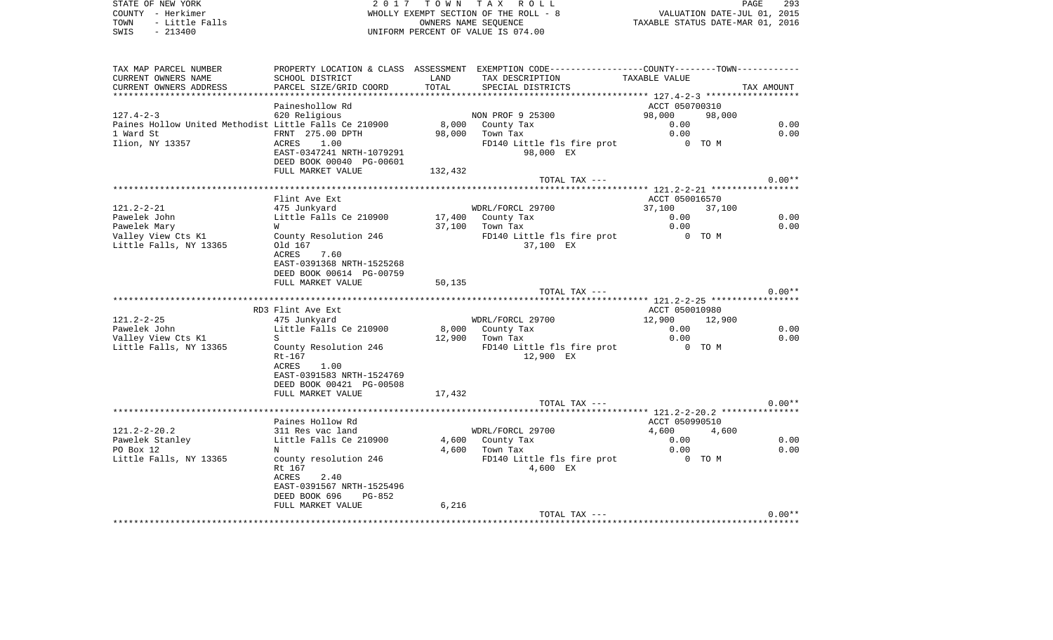STATE OF NEW YORK **EXECUTE:**  $2017$  TOWN TAX ROLL COUNTY - Herkimer<br>
TOWN - Little Falls<br>
SWIS - 213400 - 2013400 - 2013400 - 2013400 - 2013400 - 2014.00 TOWN - Little Falls OWNERS NAME SEQUENCE TAXABLE STATUS DATE-MAR 01, 2016 SWIS - 213400 UNIFORM PERCENT OF VALUE IS 074.00

| TAX MAP PARCEL NUMBER                                 |                           |         | PROPERTY LOCATION & CLASS ASSESSMENT EXEMPTION CODE---------------COUNTY-------TOWN---------- |                |            |
|-------------------------------------------------------|---------------------------|---------|-----------------------------------------------------------------------------------------------|----------------|------------|
| CURRENT OWNERS NAME                                   | SCHOOL DISTRICT           | LAND    | TAX DESCRIPTION                                                                               | TAXABLE VALUE  |            |
| CURRENT OWNERS ADDRESS                                | PARCEL SIZE/GRID COORD    | TOTAL   | SPECIAL DISTRICTS                                                                             |                | TAX AMOUNT |
|                                                       |                           |         |                                                                                               |                |            |
|                                                       | Paineshollow Rd           |         |                                                                                               | ACCT 050700310 |            |
| $127.4 - 2 - 3$                                       | 620 Religious             |         | NON PROF 9 25300                                                                              | 98,000         | 98,000     |
| Paines Hollow United Methodist Little Falls Ce 210900 |                           | 8,000   | County Tax                                                                                    | 0.00           | 0.00       |
| 1 Ward St                                             | FRNT 275.00 DPTH          | 98,000  | Town Tax                                                                                      | 0.00           | 0.00       |
| Ilion, NY 13357                                       | 1.00<br>ACRES             |         | FD140 Little fls fire prot                                                                    | 0 TO M         |            |
|                                                       | EAST-0347241 NRTH-1079291 |         | 98,000 EX                                                                                     |                |            |
|                                                       | DEED BOOK 00040 PG-00601  |         |                                                                                               |                |            |
|                                                       | FULL MARKET VALUE         | 132,432 |                                                                                               |                |            |
|                                                       |                           |         | TOTAL TAX ---                                                                                 |                | $0.00**$   |
|                                                       |                           |         |                                                                                               |                |            |
|                                                       | Flint Ave Ext             |         |                                                                                               | ACCT 050016570 |            |
| $121.2 - 2 - 21$                                      | 475 Junkyard              |         | WDRL/FORCL 29700                                                                              | 37,100         | 37,100     |
| Pawelek John                                          | Little Falls Ce 210900    |         | 17,400 County Tax                                                                             | 0.00           | 0.00       |
| Pawelek Mary                                          | W                         | 37,100  | Town Tax                                                                                      | 0.00           | 0.00       |
| Valley View Cts K1                                    | County Resolution 246     |         | FD140 Little fls fire prot                                                                    | 0 TO M         |            |
| Little Falls, NY 13365                                | Old 167                   |         | 37,100 EX                                                                                     |                |            |
|                                                       | ACRES<br>7.60             |         |                                                                                               |                |            |
|                                                       | EAST-0391368 NRTH-1525268 |         |                                                                                               |                |            |
|                                                       | DEED BOOK 00614 PG-00759  |         |                                                                                               |                |            |
|                                                       | FULL MARKET VALUE         | 50,135  |                                                                                               |                |            |
|                                                       |                           |         | TOTAL TAX ---                                                                                 |                | $0.00**$   |
|                                                       |                           |         |                                                                                               |                |            |
|                                                       | RD3 Flint Ave Ext         |         |                                                                                               | ACCT 050010980 |            |
| $121.2 - 2 - 25$                                      | 475 Junkyard              |         | WDRL/FORCL 29700                                                                              | 12,900         | 12,900     |
| Pawelek John                                          | Little Falls Ce 210900    |         | 8,000 County Tax                                                                              | 0.00           | 0.00       |
| Valley View Cts K1                                    | S                         | 12,900  | Town Tax                                                                                      | 0.00           | 0.00       |
| Little Falls, NY 13365                                | County Resolution 246     |         | FD140 Little fls fire prot                                                                    | 0 TO M         |            |
|                                                       | $Rt-167$                  |         | 12,900 EX                                                                                     |                |            |
|                                                       | <b>ACRES</b><br>1.00      |         |                                                                                               |                |            |
|                                                       | EAST-0391583 NRTH-1524769 |         |                                                                                               |                |            |
|                                                       | DEED BOOK 00421 PG-00508  |         |                                                                                               |                |            |
|                                                       | FULL MARKET VALUE         | 17,432  |                                                                                               |                |            |
|                                                       |                           |         | TOTAL TAX ---                                                                                 |                | $0.00**$   |
|                                                       |                           |         |                                                                                               |                |            |
|                                                       | Paines Hollow Rd          |         |                                                                                               | ACCT 050990510 |            |
| $121.2 - 2 - 20.2$                                    | 311 Res vac land          |         | WDRL/FORCL 29700                                                                              | 4,600          | 4,600      |
| Pawelek Stanley                                       | Little Falls Ce 210900    |         | 4,600 County Tax                                                                              | 0.00           | 0.00       |
| PO Box 12                                             | N                         | 4,600   | Town Tax                                                                                      | 0.00           | 0.00       |
|                                                       |                           |         |                                                                                               | 0 TO M         |            |
| Little Falls, NY 13365                                | county resolution 246     |         | FD140 Little fls fire prot                                                                    |                |            |
|                                                       | Rt 167<br>2.40<br>ACRES   |         | 4,600 EX                                                                                      |                |            |
|                                                       |                           |         |                                                                                               |                |            |
|                                                       | EAST-0391567 NRTH-1525496 |         |                                                                                               |                |            |
|                                                       | DEED BOOK 696<br>PG-852   |         |                                                                                               |                |            |
|                                                       | FULL MARKET VALUE         | 6,216   |                                                                                               |                | $0.00**$   |
|                                                       |                           |         | TOTAL TAX ---                                                                                 |                |            |
|                                                       |                           |         |                                                                                               |                |            |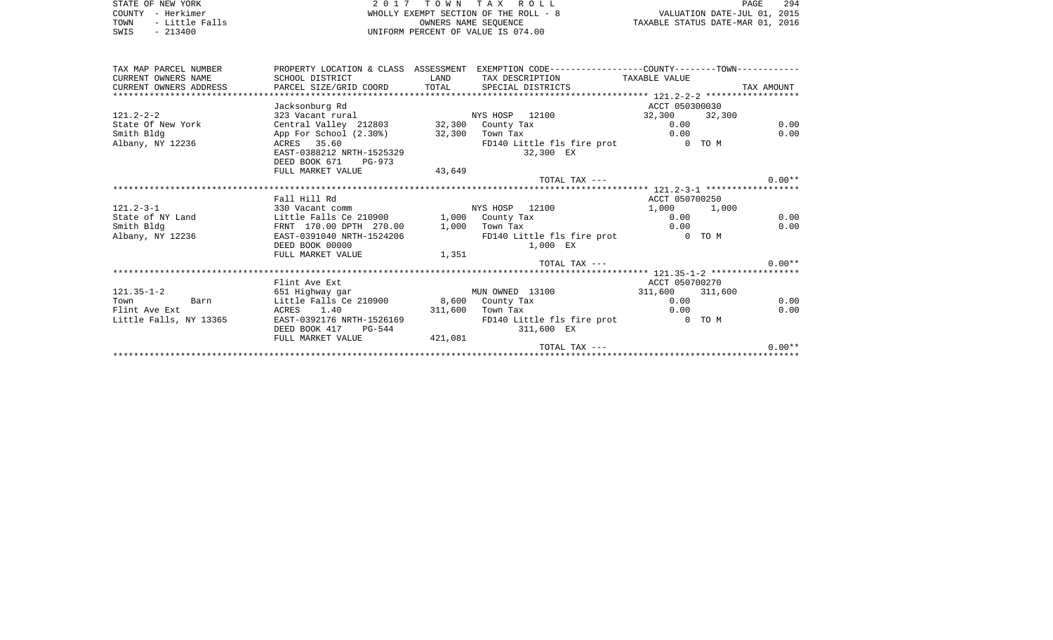STATE OF NEW YORK **2017 TOWN TAX ROLL** COUNTY - Herkimer<br>
TOWN - Little Falls<br>
SWIS - 213400 - 2013400 - 2013400 - 2013400 - 2013400 - 2014.00 SWIS - 213400 UNIFORM PERCENT OF VALUE IS 074.00

PAGE 294 EMPT SECTION OF THE ROLL - 8<br>
OWNERS NAME SEQUENCE TAXABLE STATUS DATE-JUL 01, 2015

| TAX MAP PARCEL NUMBER  |                                                                              |                  | PROPERTY LOCATION & CLASS ASSESSMENT EXEMPTION CODE---------------COUNTY-------TOWN---------- |                 |            |
|------------------------|------------------------------------------------------------------------------|------------------|-----------------------------------------------------------------------------------------------|-----------------|------------|
| CURRENT OWNERS NAME    | SCHOOL DISTRICT                                                              | <b>LAND</b>      | TAX DESCRIPTION TAXABLE VALUE                                                                 |                 |            |
|                        | CURRENT OWNERS ADDRESS <b>DARCEL SIZE/GRID COORD</b> TOTAL SPECIAL DISTRICTS |                  |                                                                                               |                 | TAX AMOUNT |
|                        |                                                                              |                  |                                                                                               |                 |            |
|                        | Jacksonburg Rd                                                               |                  |                                                                                               | ACCT 050300030  |            |
| $121.2 - 2 - 2$        | 323 Vacant rural NYS HOSP 12100                                              |                  |                                                                                               | 32,300 32,300   |            |
| State Of New York      | Central Valley 212803 32,300 County Tax                                      |                  |                                                                                               | 0.00            | 0.00       |
| Smith Bldg             | App For School (2.30%) 32,300 Town Tax                                       |                  |                                                                                               | 0.00            | 0.00       |
| Albany, NY 12236       | ACRES 35.60                                                                  |                  | FD140 Little fls fire prot 0 TO M                                                             |                 |            |
|                        | EAST-0388212 NRTH-1525329                                                    |                  | 32,300 EX                                                                                     |                 |            |
|                        | DEED BOOK 671 PG-973                                                         |                  |                                                                                               |                 |            |
|                        | FULL MARKET VALUE                                                            | 43,649           |                                                                                               |                 |            |
|                        |                                                                              |                  | TOTAL TAX ---                                                                                 |                 | $0.00**$   |
|                        |                                                                              |                  |                                                                                               |                 |            |
|                        | Fall Hill Rd                                                                 |                  |                                                                                               | ACCT 050700250  |            |
| $121.2 - 3 - 1$        | 330 Vacant comm                                                              |                  | NYS HOSP 12100                                                                                | 1,000 1,000     |            |
| State of NY Land       | Little Falls Ce 210900 1,000 County Tax                                      |                  |                                                                                               | 0.00            | 0.00       |
| Smith Bldg             | FRNT 170.00 DPTH 270.00 1,000 Town Tax                                       |                  |                                                                                               | 0.00            | 0.00       |
| Albany, NY 12236       | EAST-0391040 NRTH-1524206                                                    |                  | FD140 Little fls fire prot 0 TO M                                                             |                 |            |
|                        | DEED BOOK 00000                                                              |                  | 1,000 EX                                                                                      |                 |            |
|                        | FULL MARKET VALUE 1,351                                                      |                  |                                                                                               |                 |            |
|                        |                                                                              |                  | TOTAL TAX ---                                                                                 |                 | $0.00**$   |
|                        |                                                                              |                  |                                                                                               |                 |            |
|                        | Flint Ave Ext                                                                |                  |                                                                                               | ACCT 050700270  |            |
| $121.35 - 1 - 2$       | 651 Highway gar                                                              |                  | MUN OWNED 13100                                                                               | 311,600 311,600 |            |
| Town Barn              | Little Falls Ce 210900 8,600 County Tax                                      |                  |                                                                                               | 0.00            | 0.00       |
| Flint Ave Ext          | ACRES 1.40                                                                   | 311,600 Town Tax |                                                                                               | 0.00            | 0.00       |
| Little Falls, NY 13365 | EAST-0392176 NRTH-1526169                                                    |                  | FD140 Little fls fire prot 0 TO M                                                             |                 |            |
|                        | DEED BOOK 417 PG-544                                                         |                  | 311,600 EX                                                                                    |                 |            |
|                        | FULL MARKET VALUE                                                            | 421,081          |                                                                                               |                 |            |
|                        |                                                                              |                  | TOTAL TAX ---                                                                                 |                 | $0.00**$   |
|                        |                                                                              |                  |                                                                                               |                 |            |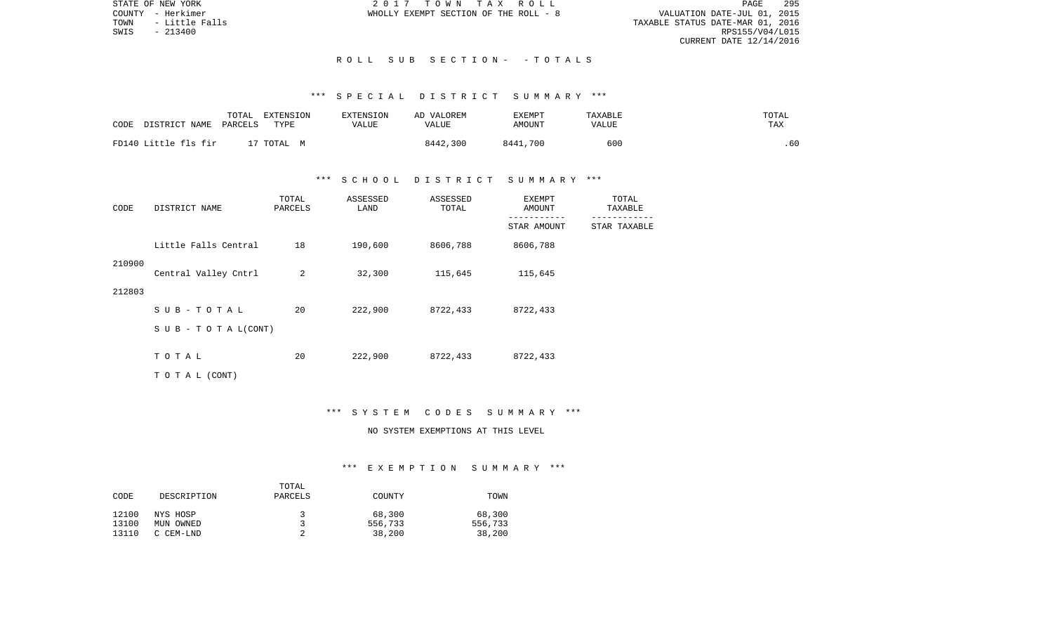STATE OF NEW YORK 2 0 1 7 T O W N T A X R O L L PAGE 295VALUATION DATE-JUL 01, 2015 TOWN - Little Falls TAXABLE STATUS DATE-MAR 01, 2016 RPS155/V04/L015 CURRENT DATE 12/14/2016

COUNTY - Herkimer WHOLLY EXEMPT SECTION OF THE ROLL - 8

#### R O L L S U B S E C T I O N - - T O T A L S

## \*\*\* S P E C I A L D I S T R I C T S U M M A R Y \*\*\*

| CODE                 | TOTAL   | EXTENSION  | <b>EXTENSION</b> | AD VALOREM | EXEMPT   | TAXABLE | TOTAL |
|----------------------|---------|------------|------------------|------------|----------|---------|-------|
| DISTRICT NAME        | PARCELS | TYPE       | VALUE            | VALUE      | AMOUNT   | VALUE   | TAX   |
| FD140 Little fls fir |         | 17 TOTAL M |                  | 8442,300   | 8441,700 | 600     | .60   |

#### \*\*\* S C H O O L D I S T R I C T S U M M A R Y \*\*\*

| CODE   | DISTRICT NAME             | TOTAL<br>PARCELS | ASSESSED<br>LAND | ASSESSED<br>TOTAL | EXEMPT<br>AMOUNT | TOTAL<br>TAXABLE |  |
|--------|---------------------------|------------------|------------------|-------------------|------------------|------------------|--|
|        |                           |                  |                  |                   | STAR AMOUNT      | STAR TAXABLE     |  |
|        | Little Falls Central      | 18               | 190,600          | 8606,788          | 8606,788         |                  |  |
| 210900 | Central Valley Cntrl      | 2                | 32,300           | 115,645           | 115,645          |                  |  |
| 212803 |                           |                  |                  |                   |                  |                  |  |
|        | SUB-TOTAL                 | 20               | 222,900          | 8722,433          | 8722,433         |                  |  |
|        | S U B - T O T A $L(CONT)$ |                  |                  |                   |                  |                  |  |
|        | TOTAL                     | 20               | 222,900          | 8722,433          | 8722,433         |                  |  |
|        | T O T A L (CONT)          |                  |                  |                   |                  |                  |  |

#### \*\*\* S Y S T E M C O D E S S U M M A R Y \*\*\*

## NO SYSTEM EXEMPTIONS AT THIS LEVEL

|       |             | TOTAL   |         |         |
|-------|-------------|---------|---------|---------|
| CODE  | DESCRIPTION | PARCELS | COUNTY  | TOWN    |
|       |             |         |         |         |
| 12100 | NYS HOSP    | 2       | 68,300  | 68,300  |
| 13100 | MUN OWNED   |         | 556,733 | 556,733 |
| 13110 | C CEM-LND   |         | 38,200  | 38,200  |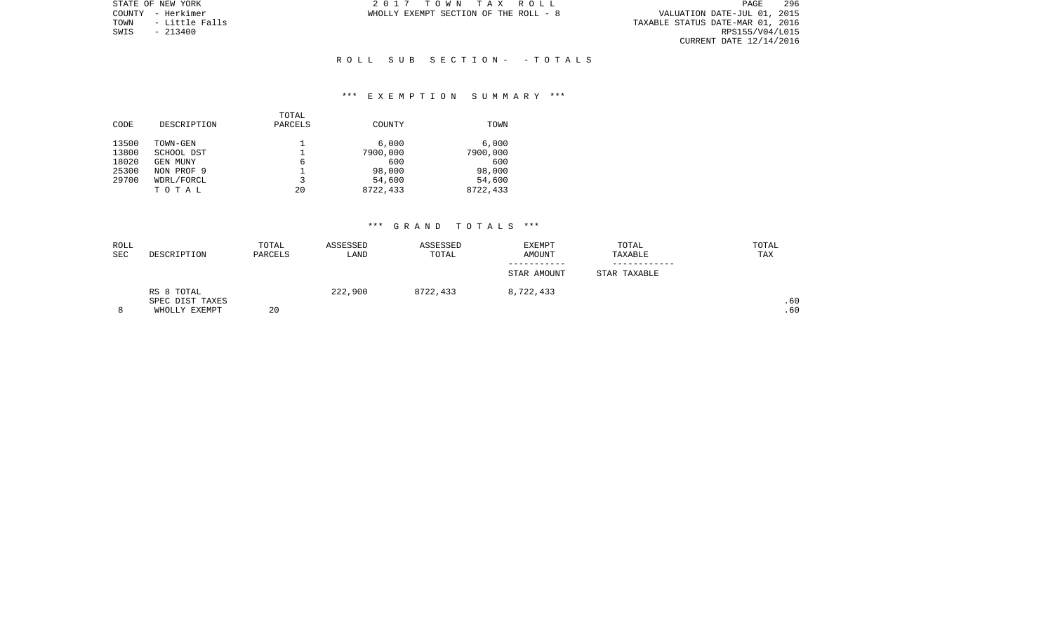PAGE 296 VALUATION DATE-JUL 01, 2015<br>TAXABLE STATUS DATE-MAR 01, 2016<br>RPS155/V04/L015 CURRENT DATE 12/14/2016

STATE OF NEW YORK **2017** TOWN TAX ROLL COUNTY - Herkimer WHOLLY EXEMPT SECTION OF THE ROLL - 8

TOWN - Little Falls<br>SWIS - 213400

### R O L L S U B S E C T I O N - - T O T A L S

### \*\*\* E X E M P T I O N S U M M A R Y \*\*\*

|       |             | TOTAL   |          |          |
|-------|-------------|---------|----------|----------|
| CODE  | DESCRIPTION | PARCELS | COUNTY   | TOWN     |
| 13500 | TOWN-GEN    |         | 6.000    | 6.000    |
| 13800 | SCHOOL DST  |         | 7900,000 | 7900,000 |
| 18020 | GEN MUNY    | 6       | 600      | 600      |
| 25300 | NON PROF 9  |         | 98,000   | 98,000   |
| 29700 | WDRL/FORCL  | 3       | 54,600   | 54,600   |
|       | TOTAL       | 20      | 8722,433 | 8722,433 |
|       |             |         |          |          |

| ROLL       |                 | TOTAL   | ASSESSED | ASSESSED | EXEMPT      | TOTAL        | TOTAL |
|------------|-----------------|---------|----------|----------|-------------|--------------|-------|
| <b>SEC</b> | DESCRIPTION     | PARCELS | LAND     | TOTAL    | AMOUNT      | TAXABLE      | TAX   |
|            |                 |         |          |          |             |              |       |
|            |                 |         |          |          | STAR AMOUNT | STAR TAXABLE |       |
|            | RS 8 TOTAL      |         | 222,900  | 8722,433 | 8,722,433   |              |       |
|            | SPEC DIST TAXES |         |          |          |             |              | .60   |
| 8          | WHOLLY EXEMPT   | 20      |          |          |             |              | .60   |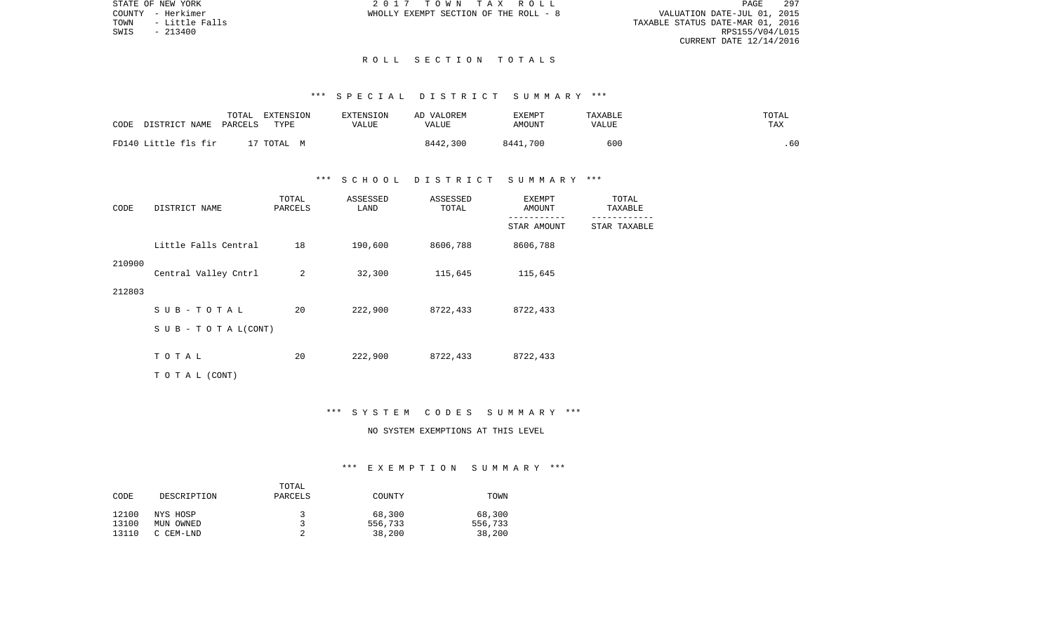STATE OF NEW YORK 2 0 1 7 T O W N T A X R O L L PAGE 297VALUATION DATE-JUL 01, 2015 TOWN - Little Falls TAXABLE STATUS DATE-MAR 01, 2016 RPS155/V04/L015 CURRENT DATE 12/14/2016

COUNTY - Herkimer WHOLLY EXEMPT SECTION OF THE ROLL - 8

#### R O L L S E C T I O N T O T A L S

## \*\*\* S P E C I A L D I S T R I C T S U M M A R Y \*\*\*

| CODE<br>DISTRICT NAME | TOTAL<br>EXTENSION<br>PARCELS<br>TYPE | <b>EXTENSION</b><br>VALUE | AD VALOREM<br>VALUE | EXEMPT<br>AMOUNT | TAXABLE<br>VALUE | TOTAL<br>TAX |
|-----------------------|---------------------------------------|---------------------------|---------------------|------------------|------------------|--------------|
| FD140 Little fls fir  | 17 TOTAL M                            |                           | 8442,300            | 8441,700         | 60C              | .60          |

### \*\*\* S C H O O L D I S T R I C T S U M M A R Y \*\*\*

| CODE   | DISTRICT NAME             | TOTAL<br>PARCELS | ASSESSED<br>LAND | ASSESSED<br>TOTAL | EXEMPT<br>AMOUNT | TOTAL<br>TAXABLE |  |
|--------|---------------------------|------------------|------------------|-------------------|------------------|------------------|--|
|        |                           |                  |                  |                   | STAR AMOUNT      | STAR TAXABLE     |  |
|        | Little Falls Central      | 18               | 190,600          | 8606,788          | 8606,788         |                  |  |
| 210900 | Central Valley Cntrl      | 2                | 32,300           | 115,645           | 115,645          |                  |  |
| 212803 |                           |                  |                  |                   |                  |                  |  |
|        | $SUB - TO T AL$           | 20               | 222,900          | 8722,433          | 8722,433         |                  |  |
|        | S U B - T O T A $L(CONT)$ |                  |                  |                   |                  |                  |  |
|        | TOTAL                     | 20               | 222,900          | 8722,433          | 8722,433         |                  |  |
|        | TO TAL (CONT)             |                  |                  |                   |                  |                  |  |

#### \*\*\* S Y S T E M C O D E S S U M M A R Y \*\*\*

## NO SYSTEM EXEMPTIONS AT THIS LEVEL

|       |             | TOTAL   |         |         |
|-------|-------------|---------|---------|---------|
| CODE  | DESCRIPTION | PARCELS | COUNTY  | TOWN    |
|       |             |         |         |         |
| 12100 | NYS HOSP    | 2       | 68,300  | 68,300  |
| 13100 | MUN OWNED   |         | 556,733 | 556,733 |
| 13110 | C CEM-LND   |         | 38,200  | 38,200  |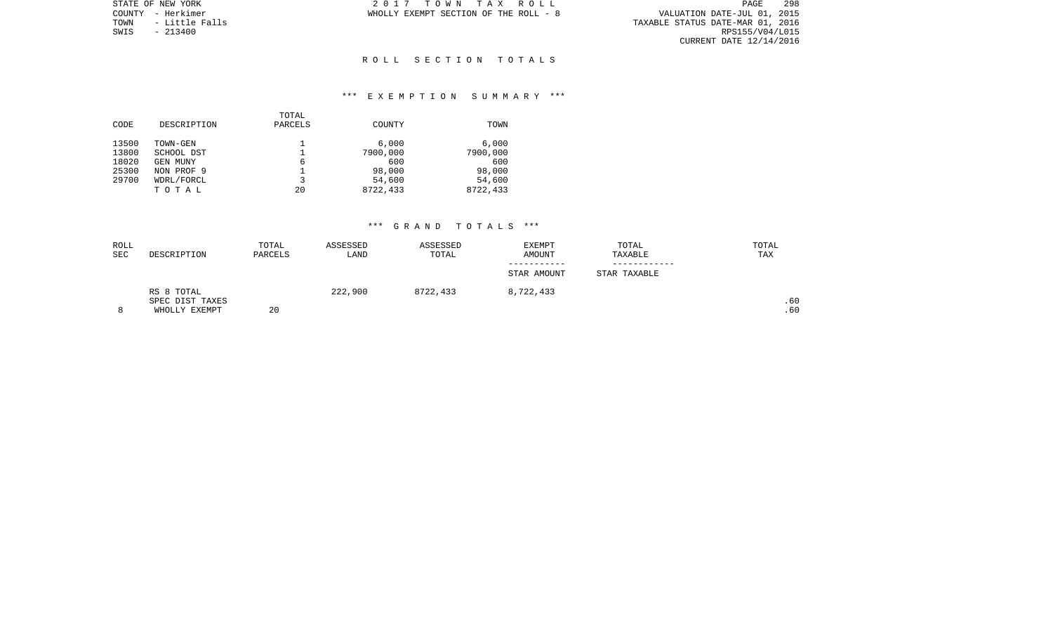PAGE 298 VALUATION DATE-JUL 01, 2015<br>TAXABLE STATUS DATE-MAR 01, 2016<br>RPS155/V04/L015 CURRENT DATE 12/14/2016

STATE OF NEW YORK **2017 TOWN TAX ROLL** COUNTY - Herkimer WHOLLY EXEMPT SECTION OF THE ROLL - 8

TOWN - Little Falls<br>SWIS - 213400

### R O L L S E C T I O N T O T A L S

### \*\*\* E X E M P T I O N S U M M A R Y \*\*\*

| CODE  | DESCRIPTION | TOTAL<br>PARCELS | COUNTY   | TOWN     |
|-------|-------------|------------------|----------|----------|
| 13500 | TOWN-GEN    |                  | 6.000    | 6.000    |
| 13800 | SCHOOL DST  |                  | 7900,000 | 7900,000 |
| 18020 | GEN MUNY    | 6                | 600      | 600      |
| 25300 | NON PROF 9  |                  | 98,000   | 98,000   |
| 29700 | WDRL/FORCL  | 3                | 54,600   | 54,600   |
|       | TOTAL       | 20               | 8722,433 | 8722,433 |
|       |             |                  |          |          |

| ROLL |                 | TOTAL   | ASSESSED | ASSESSED | <b>EXEMPT</b> | TOTAL        | TOTAL |
|------|-----------------|---------|----------|----------|---------------|--------------|-------|
| SEC  | DESCRIPTION     | PARCELS | LAND     | TOTAL    | AMOUNT        | TAXABLE      | TAX   |
|      |                 |         |          |          |               |              |       |
|      |                 |         |          |          | STAR AMOUNT   | STAR TAXABLE |       |
|      | RS 8 TOTAL      |         | 222,900  | 8722,433 | 8,722,433     |              |       |
|      | SPEC DIST TAXES |         |          |          |               |              | .60   |
| 8    | WHOLLY EXEMPT   | 20      |          |          |               |              | .60   |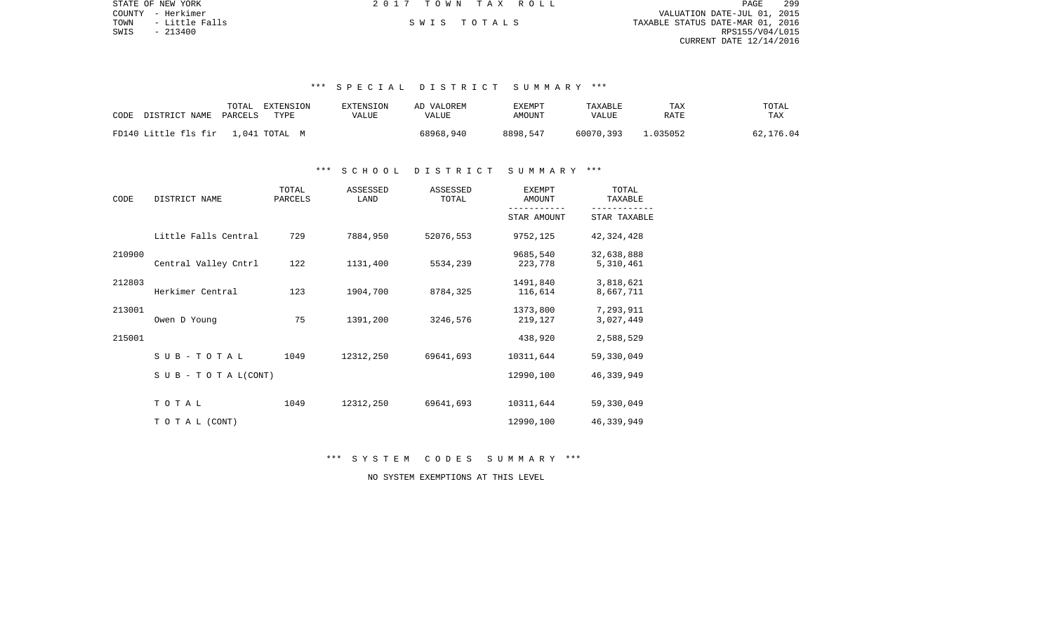|      | STATE OF NEW YORK | 2017 TOWN TAX ROLL |             |                                  | PAGE            | 299 |
|------|-------------------|--------------------|-------------|----------------------------------|-----------------|-----|
|      | COUNTY - Herkimer |                    |             | VALUATION DATE-JUL 01, 2015      |                 |     |
| TOWN | - Little Falls    |                    | SWIS TOTALS | TAXABLE STATUS DATE-MAR 01, 2016 |                 |     |
| SWIS | $-213400$         |                    |             |                                  | RPS155/V04/L015 |     |
|      |                   |                    |             | CURRENT DATE 12/14/2016          |                 |     |
|      |                   |                    |             |                                  |                 |     |

# \*\*\* S P E C I A L D I S T R I C T S U M M A R Y \*\*\*

| CODE                               | TOTAL   | EXTENSION | EXTENSION | AD VALOREM | EXEMPT   | TAXABLE   | TAX      | TOTAL     |
|------------------------------------|---------|-----------|-----------|------------|----------|-----------|----------|-----------|
| DISTRICT NAME                      | PARCELS | TYPE      | VALUE     | VALUE      | AMOUNT   | VALUE     | RATE     | TAX       |
| FD140 Little fls fir 1,041 TOTAL M |         |           |           | 68968,940  | 8898,547 | 60070,393 | L.035052 | 62,176.04 |

### \*\*\* S C H O O L D I S T R I C T S U M M A R Y \*\*\*

| CODE   | DISTRICT NAME                    | TOTAL<br>PARCELS | ASSESSED<br>LAND | ASSESSED<br>TOTAL | <b>EXEMPT</b><br>AMOUNT | TOTAL<br>TAXABLE                                                                                                                                                     |
|--------|----------------------------------|------------------|------------------|-------------------|-------------------------|----------------------------------------------------------------------------------------------------------------------------------------------------------------------|
|        |                                  |                  |                  |                   | STAR AMOUNT             | STAR TAXABLE<br>42, 324, 428<br>32,638,888<br>5,310,461<br>3,818,621<br>8,667,711<br>7,293,911<br>3,027,449<br>2,588,529<br>59,330,049<br>46, 339, 949<br>59,330,049 |
|        | Little Falls Central             | 729              | 7884,950         | 52076,553         | 9752,125                |                                                                                                                                                                      |
| 210900 | Central Valley Cntrl             | 122              | 1131,400         | 5534,239          | 9685,540<br>223,778     |                                                                                                                                                                      |
| 212803 | Herkimer Central                 | 123              | 1904,700         | 8784,325          | 1491,840<br>116,614     |                                                                                                                                                                      |
| 213001 | Owen D Young                     | 75               | 1391,200         | 3246,576          | 1373,800<br>219,127     |                                                                                                                                                                      |
| 215001 |                                  |                  |                  |                   | 438,920                 |                                                                                                                                                                      |
|        | SUB-TOTAL                        | 1049             | 12312,250        | 69641,693         | 10311,644               |                                                                                                                                                                      |
|        | $S \cup B - T \cup T A L (CONT)$ |                  |                  |                   | 12990,100               |                                                                                                                                                                      |
|        | TOTAL                            | 1049             | 12312,250        | 69641,693         | 10311,644               |                                                                                                                                                                      |
|        | TO TAL (CONT)                    |                  |                  |                   | 12990,100               | 46, 339, 949                                                                                                                                                         |

\*\*\* S Y S T E M C O D E S S U M M A R Y \*\*\*

NO SYSTEM EXEMPTIONS AT THIS LEVEL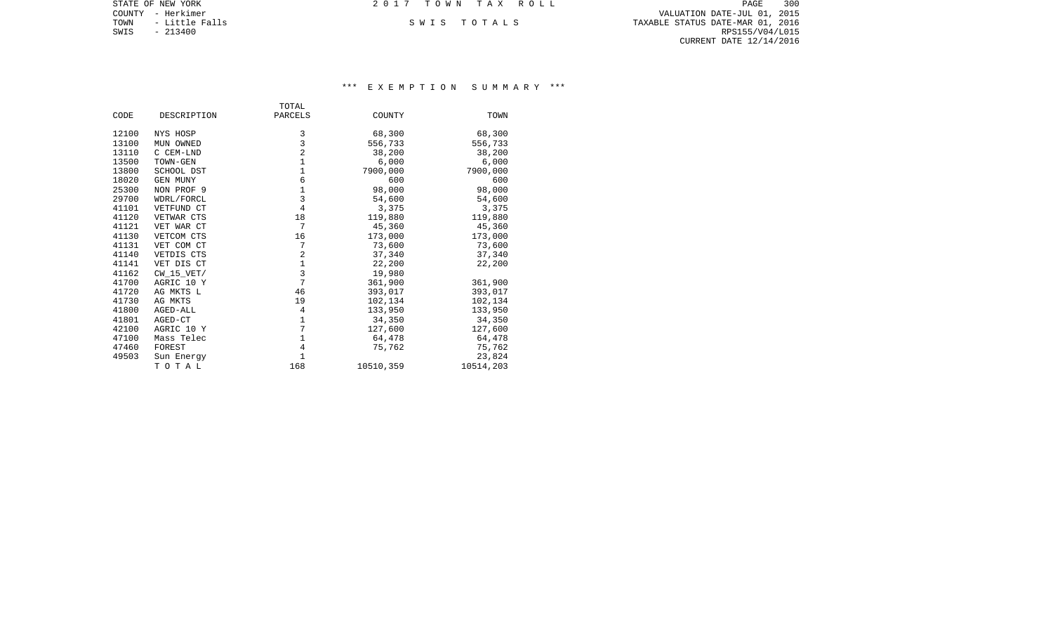COUNTY - Herkimer VALUATION DATE-JUL 01, 2015 TOWN - Little Falls S W I S T O T A L S TAXABLE STATUS DATE-MAR 01, 2016 EXAMPLE SWIS - 213400<br>SWIS - 213400<br>SWIS - 213400 RPS155/V04/L015 CURRENT DATE 12/14/2016

STATE OF NEW YORK **2017 TOWN TAX ROLL** 

|       |                | TOTAL          |           |           |
|-------|----------------|----------------|-----------|-----------|
| CODE  | DESCRIPTION    | PARCELS        | COUNTY    | TOWN      |
| 12100 | NYS HOSP       | 3              | 68,300    | 68,300    |
| 13100 | MUN OWNED      | 3              | 556,733   | 556,733   |
| 13110 | C CEM-LND      | $\overline{a}$ | 38,200    | 38,200    |
|       |                | $\mathbf 1$    |           |           |
| 13500 | TOWN-GEN       |                | 6,000     | 6,000     |
| 13800 | SCHOOL DST     | 1              | 7900,000  | 7900,000  |
| 18020 | GEN MUNY       | 6              | 600       | 600       |
| 25300 | NON PROF 9     | $\mathbf 1$    | 98,000    | 98,000    |
| 29700 | WDRL/FORCL     | 3              | 54,600    | 54,600    |
| 41101 | VETFUND CT     | 4              | 3,375     | 3,375     |
| 41120 | VETWAR CTS     | 18             | 119,880   | 119,880   |
| 41121 | VET WAR CT     | 7              | 45,360    | 45,360    |
| 41130 | VETCOM CTS     | 16             | 173,000   | 173,000   |
| 41131 | VET COM CT     | 7              | 73,600    | 73,600    |
| 41140 | VETDIS CTS     | $\overline{2}$ | 37,340    | 37,340    |
| 41141 | VET DIS CT     | $\mathbf 1$    | 22,200    | 22,200    |
| 41162 | $CW$ 15 $VET/$ | 3              | 19,980    |           |
| 41700 | AGRIC 10 Y     | $\overline{7}$ | 361,900   | 361,900   |
| 41720 | AG MKTS L      | 46             | 393,017   | 393,017   |
| 41730 | AG MKTS        | 19             | 102,134   | 102,134   |
| 41800 | AGED-ALL       | 4              | 133,950   | 133,950   |
| 41801 | AGED-CT        | 1              | 34,350    | 34,350    |
| 42100 | AGRIC 10 Y     | $\overline{7}$ | 127,600   | 127,600   |
| 47100 | Mass Telec     | 1              | 64,478    | 64,478    |
| 47460 | FOREST         | 4              | 75,762    | 75,762    |
| 49503 | Sun Energy     | $\mathbf{1}$   |           | 23,824    |
|       | TOTAL          | 168            | 10510,359 | 10514,203 |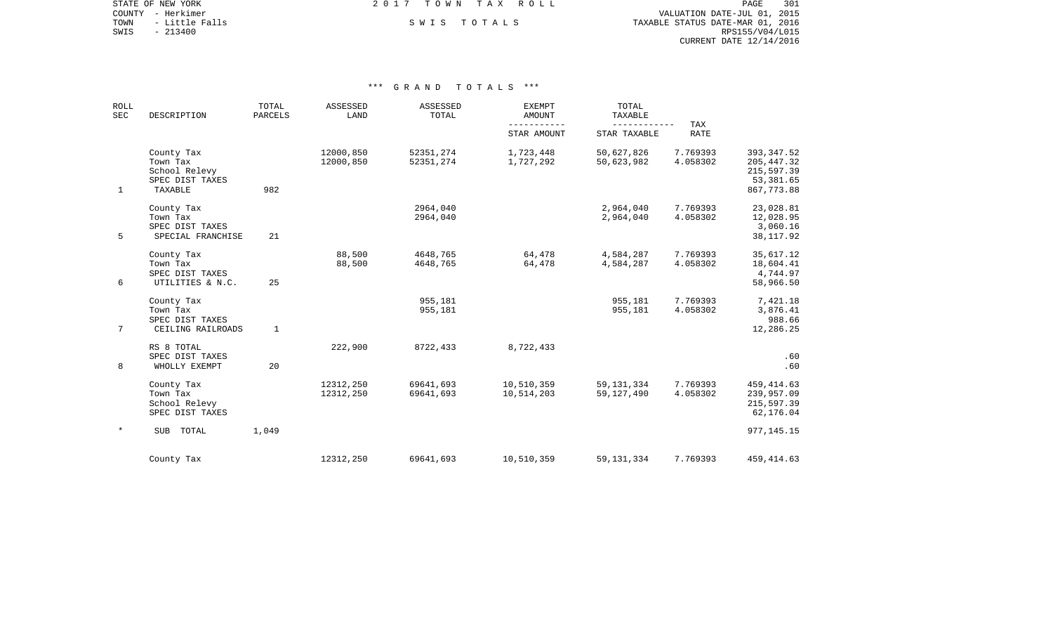COUNTY - Herkimer VALUATION DATE-JUL 01, 2015

STATE OF NEW YORK **EXECUTE:** TOWN TAX ROLL

TOWN - Little Falls S W I S T O T A L S TAXABLE STATUS DATE-MAR 01, 2016 EXAMPLE SWIS - 213400<br>SWIS - 213400<br>SWIS - 213400<br>SWIS - 213400<br>RPS155/V04/L015 CURRENT DATE 12/14/2016

| <b>ROLL</b><br>SEC | DESCRIPTION                                                           | TOTAL<br><b>PARCELS</b> | ASSESSED<br>LAND       | ASSESSED<br>TOTAL      | <b>EXEMPT</b><br><b>AMOUNT</b><br>$- - - - -$ | TOTAL<br>TAXABLE<br>------------ | TAX                  |                                                                     |
|--------------------|-----------------------------------------------------------------------|-------------------------|------------------------|------------------------|-----------------------------------------------|----------------------------------|----------------------|---------------------------------------------------------------------|
|                    |                                                                       |                         |                        |                        | STAR AMOUNT                                   | STAR TAXABLE                     | <b>RATE</b>          |                                                                     |
| $\mathbf{1}$       | County Tax<br>Town Tax<br>School Relevy<br>SPEC DIST TAXES<br>TAXABLE | 982                     | 12000,850<br>12000,850 | 52351,274<br>52351,274 | 1,723,448<br>1,727,292                        | 50,627,826<br>50,623,982         | 7.769393<br>4.058302 | 393, 347.52<br>205, 447.32<br>215,597.39<br>53,381.65<br>867,773.88 |
| 5                  | County Tax<br>Town Tax<br>SPEC DIST TAXES<br>SPECIAL FRANCHISE        | 21                      |                        | 2964,040<br>2964,040   |                                               | 2,964,040<br>2,964,040           | 7.769393<br>4.058302 | 23,028.81<br>12,028.95<br>3,060.16<br>38, 117.92                    |
| 6                  | County Tax<br>Town Tax<br>SPEC DIST TAXES<br>UTILITIES & N.C.         | 25                      | 88,500<br>88,500       | 4648,765<br>4648,765   | 64,478<br>64,478                              | 4,584,287<br>4,584,287           | 7.769393<br>4.058302 | 35,617.12<br>18,604.41<br>4,744.97<br>58,966.50                     |
| $7\phantom{.0}$    | County Tax<br>Town Tax<br>SPEC DIST TAXES<br>CEILING RAILROADS        | $\mathbf{1}$            |                        | 955,181<br>955,181     |                                               | 955,181<br>955,181               | 7.769393<br>4.058302 | 7,421.18<br>3,876.41<br>988.66<br>12,286.25                         |
| 8                  | RS 8 TOTAL<br>SPEC DIST TAXES<br>WHOLLY EXEMPT                        | 20                      | 222,900                | 8722,433               | 8,722,433                                     |                                  |                      | .60<br>.60                                                          |
|                    | County Tax<br>Town Tax<br>School Relevy<br>SPEC DIST TAXES            |                         | 12312,250<br>12312,250 | 69641,693<br>69641,693 | 10,510,359<br>10,514,203                      | 59, 131, 334<br>59, 127, 490     | 7.769393<br>4.058302 | 459, 414.63<br>239,957.09<br>215,597.39<br>62,176.04                |
|                    | SUB<br>TOTAL                                                          | 1,049                   |                        |                        |                                               |                                  |                      | 977, 145. 15                                                        |
|                    | County Tax                                                            |                         | 12312,250              | 69641,693              | 10,510,359                                    | 59, 131, 334                     | 7.769393             | 459, 414.63                                                         |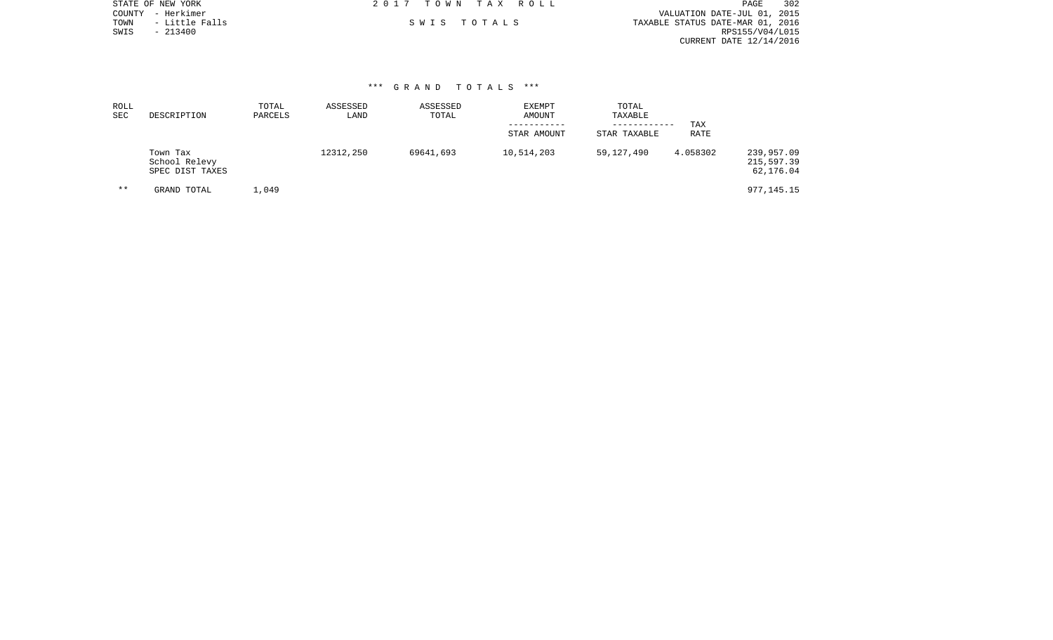|      | STATE OF NEW YORK | 2017 TOWN TAX ROLL | 302<br>PAGE                      |
|------|-------------------|--------------------|----------------------------------|
|      | COUNTY - Herkimer |                    | VALUATION DATE-JUL 01, 2015      |
| TOWN | - Little Falls    | SWIS TOTALS        | TAXABLE STATUS DATE-MAR 01, 2016 |
| SWIS | $-213400$         |                    | RPS155/V04/L015                  |
|      |                   |                    | CURRENT DATE 12/14/2016          |
|      |                   |                    |                                  |
|      |                   |                    |                                  |

| ROLL<br>SEC | DESCRIPTION                                  | TOTAL<br>PARCELS | ASSESSED<br>LAND | ASSESSED<br>TOTAL | EXEMPT<br>AMOUNT<br>STAR AMOUNT | TOTAL<br>TAXABLE<br>------------<br>STAR TAXABLE | TAX<br>RATE |                                       |
|-------------|----------------------------------------------|------------------|------------------|-------------------|---------------------------------|--------------------------------------------------|-------------|---------------------------------------|
|             | Town Tax<br>School Relevy<br>SPEC DIST TAXES |                  | 12312,250        | 69641,693         | 10,514,203                      | 59,127,490                                       | 4.058302    | 239,957.09<br>215,597.39<br>62,176.04 |
| $***$       | GRAND TOTAL                                  | 1,049            |                  |                   |                                 |                                                  |             | 977,145.15                            |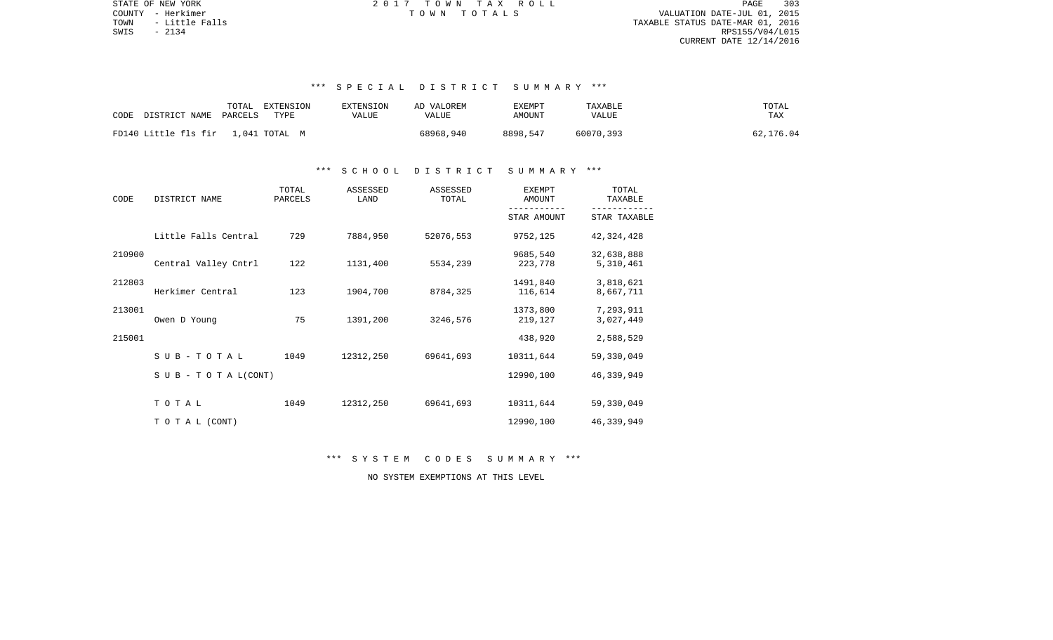STATE OF NEW YORK 2 0 1 7 T O W N T A X R O L L PAGE 303TOWN - Little Falls TAXABLE STATUS DATE-MAR 01, 2016  $S WIS$  - 2134 RPS155/V04/L015 CURRENT DATE 12/14/2016

COUNTY - Herkimer T O W N T O T A L S VALUATION DATE-JUL 01, 2015

# \*\*\* S P E C I A L D I S T R I C T S U M M A R Y \*\*\*

| DISTRICT NAME                      | TOTAL   | EXTENSION | EXTENSION | AD VALOREM | <b>EXEMPT</b> | TAXABLE   | TOTAL     |
|------------------------------------|---------|-----------|-----------|------------|---------------|-----------|-----------|
| CODE                               | PARCELS | TYPE      | VALUE     | VALUE      | AMOUNT        | VALUE     | TAX       |
| FD140 Little fls fir 1.041 TOTAL M |         |           |           | 68968,940  | 8898,547      | 60070,393 | 62,176.04 |

#### \*\*\* S C H O O L D I S T R I C T S U M M A R Y \*\*\*

| CODE   | DISTRICT NAME                    | TOTAL<br>PARCELS | ASSESSED<br>LAND | ASSESSED<br>TOTAL | <b>EXEMPT</b><br>AMOUNT | TOTAL<br>TAXABLE        |  |
|--------|----------------------------------|------------------|------------------|-------------------|-------------------------|-------------------------|--|
|        |                                  |                  |                  |                   | STAR AMOUNT             | STAR TAXABLE            |  |
|        | Little Falls Central             | 729              | 7884,950         | 52076,553         | 9752,125                | 42, 324, 428            |  |
| 210900 | Central Valley Cntrl             | 122              | 1131,400         | 5534,239          | 9685,540<br>223,778     | 32,638,888<br>5,310,461 |  |
| 212803 | Herkimer Central                 | 123              | 1904,700         | 8784,325          | 1491,840<br>116,614     | 3,818,621<br>8,667,711  |  |
| 213001 | Owen D Young                     | 75               | 1391,200         | 3246,576          | 1373,800<br>219,127     | 7,293,911<br>3,027,449  |  |
| 215001 |                                  |                  |                  |                   | 438,920                 | 2,588,529               |  |
|        | $SUB - TO T AL$                  | 1049             | 12312,250        | 69641,693         | 10311,644               | 59,330,049              |  |
|        | $S \cup B - T \cup T A L (CONT)$ |                  |                  |                   | 12990,100               | 46,339,949              |  |
|        | TOTAL                            | 1049             | 12312,250        | 69641,693         | 10311,644               | 59,330,049              |  |
|        | TO TAL (CONT)                    |                  |                  |                   | 12990,100               | 46, 339, 949            |  |

\*\*\* S Y S T E M C O D E S S U M M A R Y \*\*\*

NO SYSTEM EXEMPTIONS AT THIS LEVEL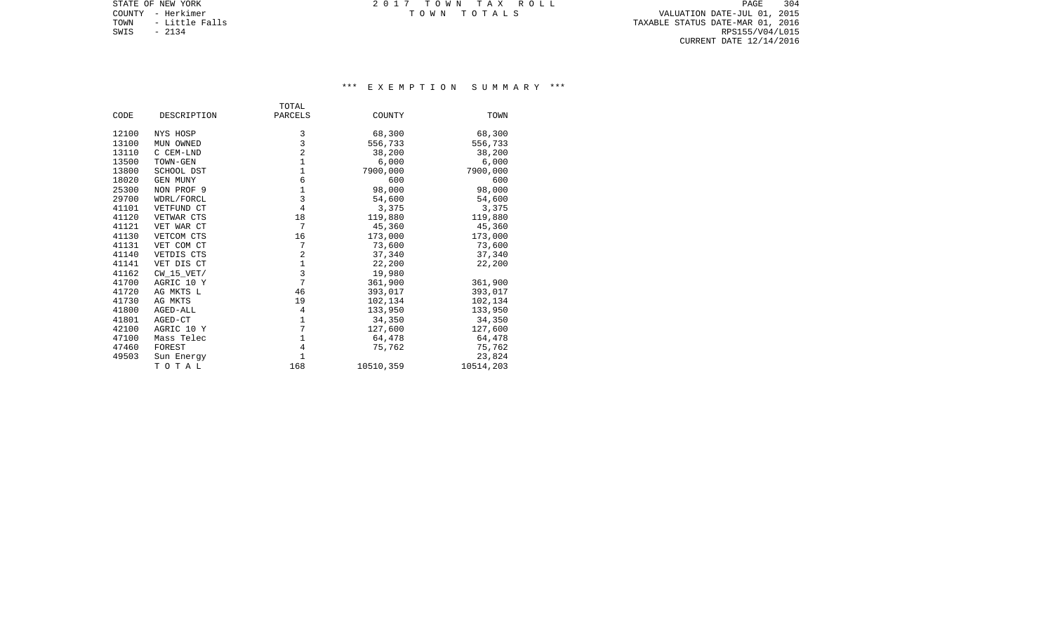COUNTY - Herkimer T O W N T O T A L S VALUATION DATE-JUL 01, 2015 TOWN - Little Falls TAXABLE STATUS DATE-MAR 01, 2016 SOUNTY - Herkimer<br>
TOWN - Little Falls<br>
SWIS - 2134 RPS155/V04/L015 CURRENT DATE 12/14/2016

STATE OF NEW YORK **EXECUTE:** TOWN TAX ROLL

|       |                 | TOTAL          |           |           |
|-------|-----------------|----------------|-----------|-----------|
| CODE  | DESCRIPTION     | PARCELS        | COUNTY    | TOWN      |
| 12100 | NYS HOSP        | 3              | 68,300    | 68,300    |
| 13100 | MUN OWNED       | 3              | 556,733   | 556,733   |
| 13110 | C CEM-LND       | $\overline{c}$ | 38,200    | 38,200    |
| 13500 | TOWN-GEN        | $\mathbf 1$    | 6,000     | 6,000     |
| 13800 | SCHOOL DST      | $\mathbf 1$    | 7900,000  | 7900,000  |
| 18020 | <b>GEN MUNY</b> | $\epsilon$     | 600       | 600       |
| 25300 | NON PROF 9      | $\mathbf 1$    | 98,000    | 98,000    |
| 29700 | WDRL/FORCL      | 3              | 54,600    | 54,600    |
| 41101 | VETFUND CT      | $\overline{4}$ | 3,375     | 3,375     |
| 41120 | VETWAR CTS      | 18             | 119,880   | 119,880   |
| 41121 | VET WAR CT      | 7              | 45,360    | 45,360    |
| 41130 | VETCOM CTS      | 16             | 173,000   | 173,000   |
| 41131 | VET COM CT      | 7              | 73,600    | 73,600    |
| 41140 | VETDIS CTS      | 2              | 37,340    | 37,340    |
| 41141 | VET DIS CT      | $\mathbf 1$    | 22,200    | 22,200    |
| 41162 | $CW_15_VET/$    | 3              | 19,980    |           |
| 41700 | AGRIC 10 Y      | $\overline{7}$ | 361,900   | 361,900   |
| 41720 | AG MKTS L       | 46             | 393,017   | 393,017   |
| 41730 | AG MKTS         | 19             | 102,134   | 102,134   |
| 41800 | AGED-ALL        | 4              | 133,950   | 133,950   |
| 41801 | AGED-CT         | $\mathbf 1$    | 34,350    | 34,350    |
| 42100 | AGRIC 10 Y      | $\overline{7}$ | 127,600   | 127,600   |
| 47100 | Mass Telec      | $\mathbf 1$    | 64,478    | 64,478    |
| 47460 | FOREST          | $\overline{4}$ | 75,762    | 75,762    |
| 49503 | Sun Energy      | $\mathbf{1}$   |           | 23,824    |
|       | TOTAL           | 168            | 10510,359 | 10514,203 |
|       |                 |                |           |           |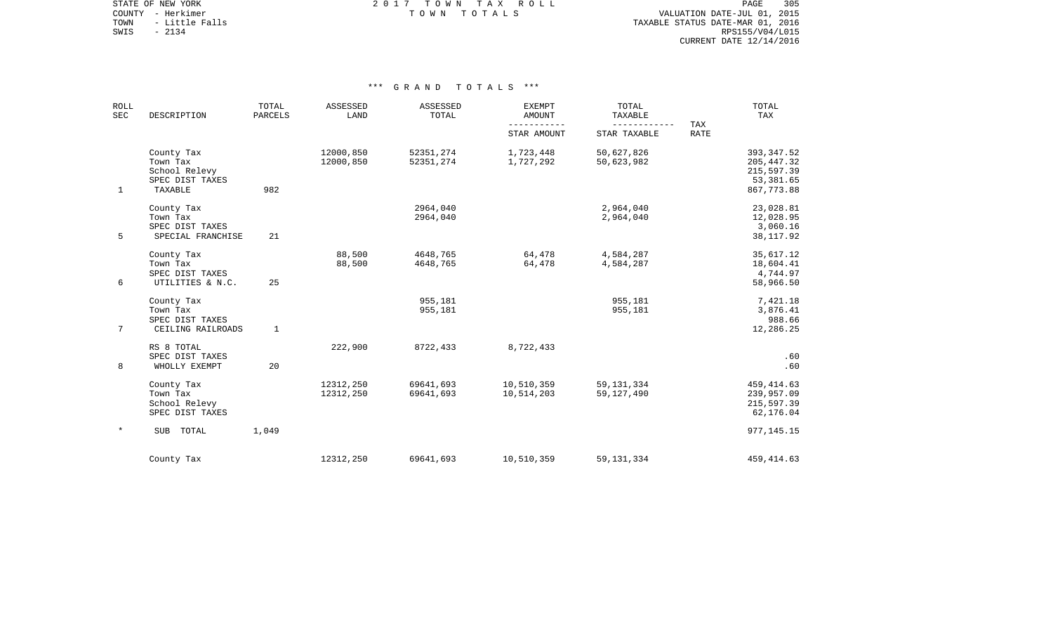STATE OF NEW YORK **EXECUTE:**  $2017$  TOWN TAX ROLL COUNTY - Herkimer T O W N T O T A L S VALUATION DATE-JUL 01, 2015

TOWN - Little Falls TAXABLE STATUS DATE-MAR 01, 2016 SOUNTY - Herkimer<br>
TOWN - Little Falls<br>
SWIS - 2134 RPS155/V04/L015 CURRENT DATE 12/14/2016

| <b>ROLL</b><br><b>SEC</b> | DESCRIPTION                                                           | TOTAL<br>PARCELS | ASSESSED<br>LAND       | ASSESSED<br>TOTAL      | <b>EXEMPT</b><br>AMOUNT<br>$- - - - -$ | TOTAL<br>TAXABLE             | TAX         | TOTAL<br>TAX                                                        |
|---------------------------|-----------------------------------------------------------------------|------------------|------------------------|------------------------|----------------------------------------|------------------------------|-------------|---------------------------------------------------------------------|
|                           |                                                                       |                  |                        |                        | STAR AMOUNT                            | STAR TAXABLE                 | <b>RATE</b> |                                                                     |
| $\mathbf 1$               | County Tax<br>Town Tax<br>School Relevy<br>SPEC DIST TAXES<br>TAXABLE | 982              | 12000,850<br>12000,850 | 52351,274<br>52351,274 | 1,723,448<br>1,727,292                 | 50,627,826<br>50,623,982     |             | 393, 347.52<br>205, 447.32<br>215,597.39<br>53,381.65<br>867,773.88 |
| 5                         | County Tax<br>Town Tax<br>SPEC DIST TAXES<br>SPECIAL FRANCHISE        | 21               |                        | 2964,040<br>2964,040   |                                        | 2,964,040<br>2,964,040       |             | 23,028.81<br>12,028.95<br>3,060.16<br>38, 117.92                    |
| 6                         | County Tax<br>Town Tax<br>SPEC DIST TAXES<br>UTILITIES & N.C.         | 25               | 88,500<br>88,500       | 4648,765<br>4648,765   | 64,478<br>64,478                       | 4,584,287<br>4,584,287       |             | 35,617.12<br>18,604.41<br>4,744.97<br>58,966.50                     |
| $\overline{7}$            | County Tax<br>Town Tax<br>SPEC DIST TAXES<br>CEILING RAILROADS        | $\mathbf{1}$     |                        | 955,181<br>955,181     |                                        | 955,181<br>955,181           |             | 7,421.18<br>3,876.41<br>988.66<br>12,286.25                         |
| 8                         | RS 8 TOTAL<br>SPEC DIST TAXES<br>WHOLLY EXEMPT                        | 20               | 222,900                | 8722,433               | 8,722,433                              |                              |             | .60<br>.60                                                          |
|                           | County Tax<br>Town Tax<br>School Relevy<br>SPEC DIST TAXES            |                  | 12312,250<br>12312,250 | 69641,693<br>69641,693 | 10,510,359<br>10,514,203               | 59, 131, 334<br>59, 127, 490 |             | 459, 414.63<br>239,957.09<br>215,597.39<br>62,176.04                |
| $\star$                   | TOTAL<br><b>SUB</b>                                                   | 1,049            |                        |                        |                                        |                              |             | 977, 145. 15                                                        |
|                           | County Tax                                                            |                  | 12312,250              | 69641,693              | 10,510,359                             | 59, 131, 334                 |             | 459, 414.63                                                         |